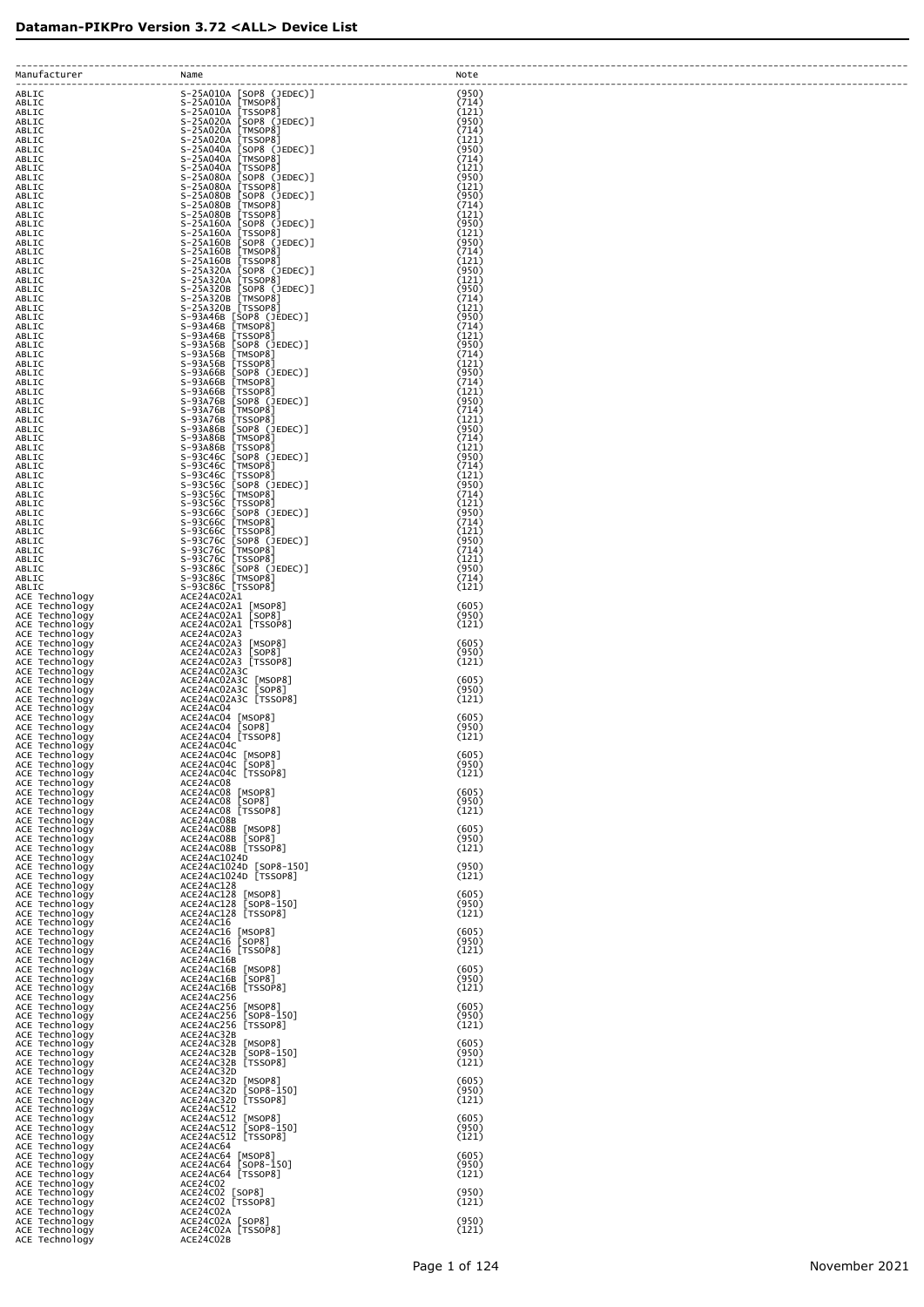| Manufacturer                                       | Name                                                                                                                                                                                                                                                 | Note                    |
|----------------------------------------------------|------------------------------------------------------------------------------------------------------------------------------------------------------------------------------------------------------------------------------------------------------|-------------------------|
| ABLIC                                              |                                                                                                                                                                                                                                                      | (950)                   |
| ABLIC<br>ABLIC                                     |                                                                                                                                                                                                                                                      | (714)<br>(121)<br>(950) |
| ABLIC<br>ABLIC<br>ABLIC                            |                                                                                                                                                                                                                                                      | (714)<br>(121)          |
| ABLIC<br>ABLIC                                     |                                                                                                                                                                                                                                                      | (950)<br>(714)          |
| ABLIC<br>ABLIC                                     |                                                                                                                                                                                                                                                      | (121)<br>(950)          |
| ABLIC<br>ABLIC                                     |                                                                                                                                                                                                                                                      | (121)<br>(950)          |
| ABLIC<br>ABLIC                                     |                                                                                                                                                                                                                                                      | (714)<br>(121)          |
| ABLIC<br>ABLIC                                     |                                                                                                                                                                                                                                                      | (950)<br>(121)          |
| ABLIC<br>ABLIC                                     |                                                                                                                                                                                                                                                      | (950)<br>(714)          |
| ABLIC<br>ABLIC                                     | S-25A1608 [SOP8<br>S-25A1608 [TMSOP8]<br>S-25A1608 [TMSOP8]<br>S-25A320A [SOP8 (JEDEC)]<br>S-25A320A [TSSOP8]<br>S-25A320A [TSSOP8]<br>S-25A320B [TMSOP8]<br>S-25A320B [TMSOP8]<br>S-93A46B [TSSOP8]<br>S-93A46B [TSSOP8]<br>S-93A46B [TMSOP8]<br>S- | (121)<br>(950)          |
| ABLIC<br>ABLIC                                     |                                                                                                                                                                                                                                                      | (121)<br>(950)<br>(714) |
| ABLIC<br>ABLIC<br>ABLIC                            |                                                                                                                                                                                                                                                      | (121)<br>(950)          |
| ABLIC<br>ABLIC                                     | S-93A46B [TSSOP8]                                                                                                                                                                                                                                    | (714)<br>(121)          |
| ABLIC<br>ABLIC                                     | S-93A56B [SOP8 (JEDEC)]<br>$S-93A56B$ [TMSOP8]                                                                                                                                                                                                       | (950)<br>(714)          |
| ABLIC<br>ABLIC                                     | S-93A56B [TSSOP8]<br>S-93A66B [SOP8 (JEDEC)]                                                                                                                                                                                                         | (121)<br>(950)          |
| ABLIC<br>ABLIC                                     | S-93A66B [TMSOP8]<br>S-93A66B [TSSOP8]                                                                                                                                                                                                               | (714)<br>(121)          |
| ABLIC<br>ABLIC                                     | S-93A76B [SOP8 (JEDEC)]<br>S-93A76B [TMSOP8]                                                                                                                                                                                                         | (950)<br>(714)          |
| ABLIC<br>ABLIC                                     | S-93A76B [TSSOP8]<br>S-93A86B [SOP8 (JEDEC)]                                                                                                                                                                                                         | (121)<br>(950)          |
| ABLIC<br>ABLIC                                     | S-93A86B [TMSOP8]<br>S-93A86B [TSSOP8]                                                                                                                                                                                                               | (714)<br>(121)          |
| ABLIC<br>ABLIC                                     | S-93C46C [SOP8 (JEDEC)]<br>S-93C46C [TMSOP8]<br>S-93C46C [TSSOP8]                                                                                                                                                                                    | (950)<br>(714)          |
| ABLIC<br>ABLIC                                     |                                                                                                                                                                                                                                                      | (121)<br>(950)<br>(714) |
| ABLIC<br>ABLIC<br>ABLIC                            | 3-93C56C [SOP8 (JEDEC)]<br>S-93C56C [TMSOP8]<br>S-93C56C [TMSOP8]<br>S-93C66C [SOP8 (JEDEC)]                                                                                                                                                         | (121)<br>(950)          |
| ABLIC<br>ABLIC                                     | S-93C66C [TMSOP8]                                                                                                                                                                                                                                    | (714)<br>(121)          |
| ABLIC<br>ABLIC                                     | S-93C66C [TSSOP8]<br>S-93C76C [SOP8 (JEDEC)]                                                                                                                                                                                                         | (950)<br>(714)          |
| ABLIC<br>ABLIC                                     |                                                                                                                                                                                                                                                      | (121)<br>(950)          |
| ABLIC<br>ABLIC                                     | S-93C76C [SMP6 (3DEC)]<br>S-93C76C [TMSOP8]<br>S-93C76C [TSSOP8]<br>S-93C86C [SMP6 (3EDEC)]<br>S-93C86C [TMSOP8]<br>ACE24AC02A1 [MSOP8]<br>ACE24AC02A1 [MSOP8]                                                                                       | (714)<br>(121)          |
| ACE Technology<br>ACE Technology                   |                                                                                                                                                                                                                                                      | (605)                   |
| ACE Technology<br>ACE Technology                   | ACE24ACO2A1 [MSOP8]<br>ACE24ACO2A1 [SOP8]<br>ACE24ACO2A1 [TSSOP8]                                                                                                                                                                                    | (950)<br>(121)          |
| ACE Technology<br>ACE Technology                   | ACE24AC02A3<br>ACE24AC02A3 [MSOP8]<br>ACE24AC02A3 [SOP8]                                                                                                                                                                                             | (605)<br>(950)          |
| ACE Technology<br>ACE Technology<br>ACE Technology | ACE24AC02A3 [TSSOP8]<br>ACE24AC02A3C                                                                                                                                                                                                                 | (121)                   |
| ACE Technology<br>ACE Technology                   | ACE24AC02A3C [MSOP8]<br>ACE24AC02A3C [SOP8]<br>ACE24AC02A3C [TSSOP8]                                                                                                                                                                                 | (605)<br>(950)          |
| ACE Technology<br>ACE Technology                   | ACE24AC04                                                                                                                                                                                                                                            | (121)                   |
| ACE Technology<br>ACE Technology                   | ACE24AC04 [MSOP8]<br>ACE24AC04 [SOP8]                                                                                                                                                                                                                | (605)<br>(950)          |
| ACE Technology<br>ACE Technology                   | ACE24AC04 [TSSOP8]<br>ACE24AC04C                                                                                                                                                                                                                     | (121)                   |
| ACE Technology<br>ACE Technology                   | ACE24AC04C [MSOP8]<br>ACE24AC04C [SOP8]                                                                                                                                                                                                              | (605)<br>(950)          |
| ACE Technology<br>ACE Technology<br>ACE Technology | ACE24AC04C [TSSOP8]<br>ACE24AC08<br>ACE24AC08 [MSOP8]                                                                                                                                                                                                | (121)<br>(605)          |
| ACE Technology<br>ACE Technology                   | ACE24AC08 [SOP8]<br>ACE24AC08 [TSSOP8]                                                                                                                                                                                                               | (950)<br>(121)          |
| ACE Technology<br>ACE Technology                   | ACE24AC08B<br>ACE24AC08B [MSOP8]                                                                                                                                                                                                                     | (605)                   |
| ACE Technology<br>ACE Technology                   | ACE24AC08B [SOP8]<br>ACE24AC08B [TSSOP8]                                                                                                                                                                                                             | (950)<br>(121)          |
| ACE Technology<br>ACE Technology                   | ACE24AC1024D<br>ACE24AC1024D [SOP8-150]                                                                                                                                                                                                              | (950)                   |
| ACE Technology<br>ACE Technology                   | ACE24AC1024D [TSSOP8]<br>ACE24AC128<br>ACE24AC128 [MSOP8]                                                                                                                                                                                            | (121)                   |
| ACE Technology<br>ACE Technology<br>ACE Technology | ACE24AC128 [SOP8-150]<br>ACE24AC128 [TSSOP8]                                                                                                                                                                                                         | (605)<br>(950)<br>(121) |
| ACE Technology<br>ACE Technology                   | ACE24AC16<br>ACE24AC16 [MSOP8]                                                                                                                                                                                                                       | (605)                   |
| ACE Technology<br>ACE Technology                   | ACE24AC16 [SOP8]<br>ACE24AC16 [TSSOP8]                                                                                                                                                                                                               | (950)<br>(121)          |
| ACE Technology<br>ACE Technology                   | ACE24AC16B<br>ACE24AC16B [MSOP8]                                                                                                                                                                                                                     | (605)                   |
| ACE Technology<br>ACE Technology                   | ACE24AC16B<br>[SOP8]<br>ACE24AC16B [TSSOP8]                                                                                                                                                                                                          | (950)<br>(121)          |
| ACE Technology<br>ACE Technology                   | ACE24AC256<br>ACE24AC256 [MSOP8]                                                                                                                                                                                                                     | (605)                   |
| ACE Technology<br>ACE Technology<br>ACE Technology | ACE24AC256<br>$[SOP8-150]$<br>ACE24AC256 [TSSOP8]<br>ACE24AC32B                                                                                                                                                                                      | (950)<br>(121)          |
| ACE Technology<br>ACE Technology                   | ACE24AC32B [MSOP8]<br>ACE24AC32B<br>$[SOP8-150]$                                                                                                                                                                                                     | (605)<br>(950)          |
| ACE Technology<br>ACE Technology                   | ACE24AC32B [TSSOP8]                                                                                                                                                                                                                                  | (121)                   |
| ACE Technology<br>ACE Technology                   | ACE24AC32D [MSOP8]<br>ACE24AC32D [SOP8-150]<br>ACE24AC32D [TSSOP8]<br>$[SOP8-150]$                                                                                                                                                                   | (605)<br>(950)          |
| ACE Technology<br>ACE Technology                   | ACE24AC512                                                                                                                                                                                                                                           | (121)                   |
| ACE Technology<br>ACE Technology                   | ACE24AC512 [MSOP8]<br>ACE24AC512<br>$[SOP8-150]$                                                                                                                                                                                                     | (605)<br>(950)          |
| ACE Technology<br>ACE Technology<br>ACE Technology | ACE24AC512 [TSSOP8]<br>ACE24AC64<br>ACE24AC64 [MSOP8]                                                                                                                                                                                                | (121)<br>(605)          |
| ACE Technology<br>ACE Technology                   | ACE24AC64<br>$[SOP8 - 150]$<br>ACE24AC64 [TSSOP8]                                                                                                                                                                                                    | (950)<br>(121)          |
| ACE Technology<br>ACE Technology                   | ACE24C02                                                                                                                                                                                                                                             | (950)                   |
| ACE Technology<br>ACE Technology                   | ACE24C02 [SOP8]<br>ACE24C02 [TSSOP8]<br>ACE24C02A                                                                                                                                                                                                    | (121)                   |
| ACE Technology<br>ACE Technology                   | ACE24C02A [SOP8]<br>ACE24C02A [TSSOP8]                                                                                                                                                                                                               | (950)<br>(121)          |
| ACE Technology                                     | ACE24C02B                                                                                                                                                                                                                                            |                         |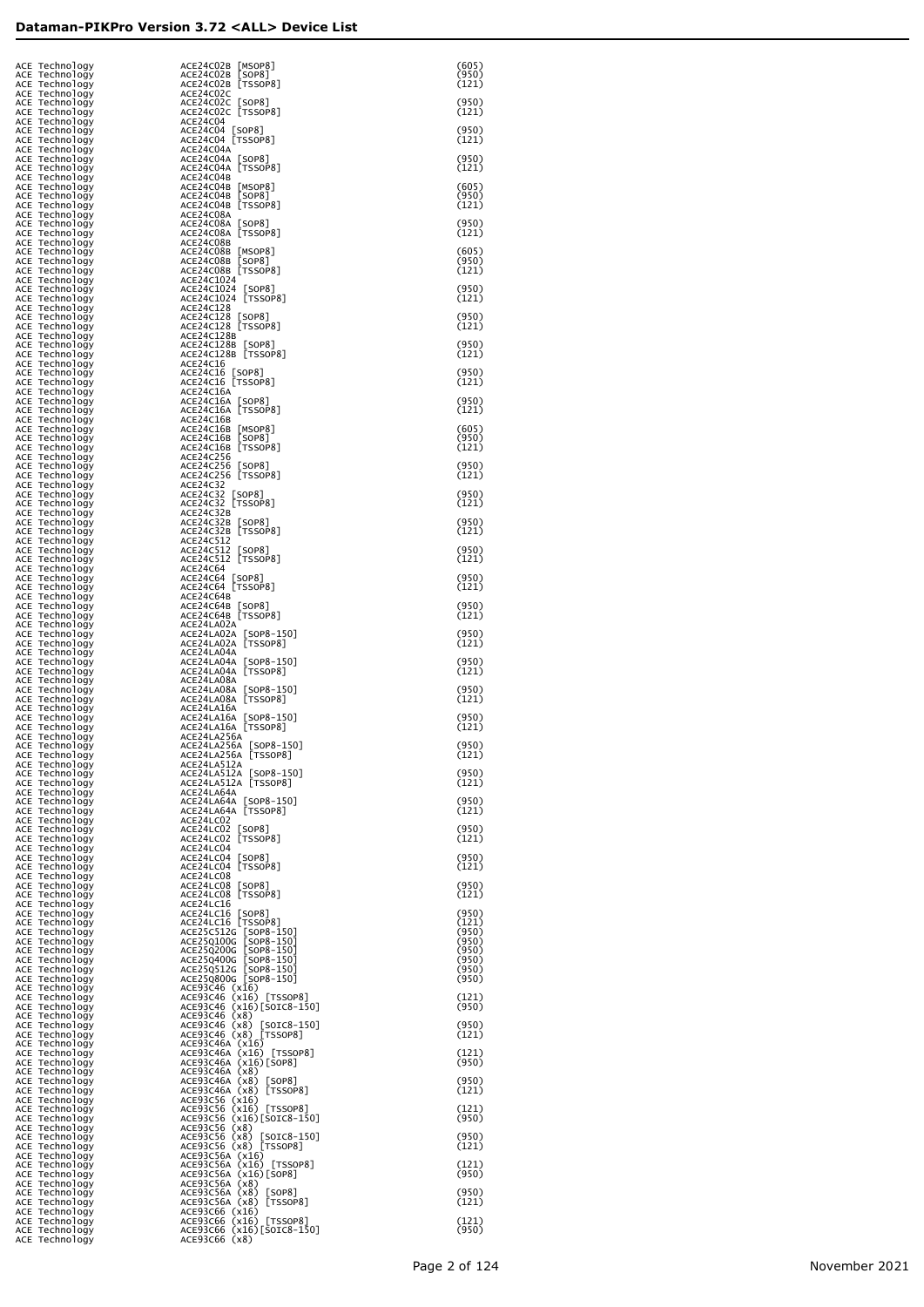| ACE Technology<br>ACE Technology<br>ACE Technology | ACE24C02B [MSOP8]<br>ACE24C02B [SOP8]<br>ACE24C02B [TSSOP8]               | (605)<br>(950)<br>(121) |
|----------------------------------------------------|---------------------------------------------------------------------------|-------------------------|
| ACE Technology<br>ACE Technology                   | ACE24C02C<br>ACE24C02C [SOP8]<br>ACE24C02C [TSSOP8]                       | (950)                   |
| ACE Technology<br>ACE Technology<br>ACE Technology | ACE24C04<br>ACE24C04 [SOP8]                                               | (121)<br>(950)          |
| ACE Technology<br>ACE Technology<br>ACE Technology | ACE24C04 [TSSOP8]<br>ACE24C04A<br>ACE24C04A [SOP8]                        | (121)<br>(950)          |
| ACE Technology<br>ACE Technology                   | ACE24C04A [TSSOP8]<br>ACE24C04B                                           | (121)                   |
| ACE Technology<br>ACE Technology<br>ACE Technology | ACE24C04B [MSOP8]<br>ACE24C04B [SOP8]<br>ACE24C04B [TSSOP8]               | (605)<br>(950)<br>(121) |
| ACE Technology<br>ACE Technology<br>ACE Technology | ACE24C08A<br>ACE24C08A [SOP8]<br>ACE24C08A [TSSOP8]                       | (950)<br>(121)          |
| ACE Technology<br>ACE Technology                   | ACE24C08B<br>ACE24C08B [MSOP8]                                            | (605)                   |
| ACE Technology<br>ACE Technology<br>ACE Technology | ACE24C08B [SOP8]<br>ACE24C08B [TSSOP8]<br>ACE24C1024                      | (950)<br>(121)          |
| ACE Technology<br>ACE Technology<br>ACE Technology | ACE24C1024 [SOP8]<br>ACE24C1024 [TSSOP8]<br>ACE24C128                     | (950)<br>(121)          |
| ACE Technology<br>ACE Technology<br>ACE Technology | ACE24C128 [SOP8]<br>ACE24C128 [TSSOP8]<br>ACE24C128B                      | (950)<br>(121)          |
| ACE Technology<br>ACE Technology                   | ACE24C128B [SOP8]<br>ACE24C128B [TSSOP8]                                  | (950)<br>(121)          |
| ACE Technology<br>ACE Technology<br>ACE Technology | ACE24C16<br>ACE24C16 [SOP8]<br>ACE24C16 [TSSOP8]                          | (950)<br>(121)          |
| ACE Technology<br>ACE Technology<br>ACE Technology | ACE24C16A<br>ACE24C16A [SOP8]<br>ACE24C16A [TSSOP8]                       | (950)<br>(121)          |
| ACE Technology<br>ACE Technology                   | ACE24C16B<br>ACE24C16B [MSOP8]                                            | (605)                   |
| ACE Technology<br>ACE Technology<br>ACE Technology | ACE24C16B [SOP8]<br>ACE24C16B [TSSOP8]<br>ACE24C256                       | (950)<br>(121)          |
| ACE Technology<br>ACE Technology<br>ACE Technology | ACE24C256 [SOP8]<br>ACE24C256 [TSSOP8]<br>ACE24C32                        | (950)<br>(121)          |
| ACE Technology<br>ACE Technology                   | ACE24C32 [SOP8]<br>ACE24C32 [TSSOP8]                                      | (950)<br>(121)          |
| ACE Technology<br>ACE Technology<br>ACE Technology | ACE24C32B<br>ACE24C32B [SOP8]<br>ACE24C32B [TSSOP8]                       | (950)<br>(121)          |
| ACE Technology<br>ACE Technology<br>ACE Technology | ACE24C512<br>ACE24C512 [SOP8]<br>ACE24C512 [TSSOP8]                       | (950)<br>(121)          |
| ACE Technology<br>ACE Technology<br>ACE Technology | ACE24C64<br>ACE24C64 [SOP8]<br>ACE24C64 [TSSOP8]                          | (950)<br>(121)          |
| ACE Technology<br>ACE Technology                   | ACE24C64B<br>ACE24C64B [SOP8]                                             | (950)                   |
| ACE Technology<br>ACE Technology<br>ACE Technology | ACE24C64B [TSSOP8]<br>ACE24LA02A<br>ACE24LA02A [SOP8-150]                 | (121)<br>(950)          |
| ACE Technology<br>ACE Technology<br>ACE Technology | ACE24LA02A [TSSOP8]<br>ACE24LA04A<br>ACE24LA04A [SOP8-150]                | (121)<br>(950)          |
| ACE Technology<br>ACE Technology                   | ACE24LA04A [TSSOP8]<br>ACE24LA08A                                         | (121)                   |
| ACE Technology<br>ACE Technology<br>ACE Technology | ACE24LA08A [SOP8-150]<br>ACE24LA08A [TSSOP8]<br>ACE24LA16A                | (950)<br>(121)          |
| ACE Technology<br>ACE Technology<br>ACE Technology | ACE24LA16A [SOP8-150]<br>ACE24LA16A [TSSOP8]<br>ACE24LA256A               | (950)<br>(121)          |
| ACE Technology<br>ACE Technoloav<br>ACE Technology | ACE24LA256A [SOP8-150]<br>ACE24LA256A [TSSOP8]<br>ACE24LA512A             | (950)<br>(121)          |
| ACE Technology<br>ACE Technology                   | ACE24LA512A [SOP8-150]<br>ACE24LA512A [TSSOP8]                            | (950)<br>(121)          |
| ACE Technology<br>ACE Technology<br>ACE Technology | ACE24LA64A<br>ACE24LA64A [SOP8-150]<br>ACE24LA64A [TSSOP8]                | (950)<br>(121)          |
| ACE Technology<br>ACE Technology<br>ACE Technology | ACE24LC02<br>ACE24LC02 [SOP8]<br>ACE24LC02 [TSSOP8]                       | (950)<br>(121)          |
| ACE Technology<br>ACE Technology                   | ACE24LC04<br>ACE24LC04 [SOP8]                                             | (950)                   |
| ACE Technology<br>ACE Technology<br>ACE Technology | ACE24LC04 [TSSOP8]<br>ACE24LC08<br>ACE24LC08 [SOP8]                       | (121)<br>(950)          |
| ACE Technology<br>ACE Technology<br>ACE Technology | ACE24LC08 [TSSOP8]<br>ACE24LC16<br>ACE24LC16 [SOP8]                       | (121)<br>(950)          |
| ACE Technology<br>ACE Technology<br>ACE Technology | ACE24LC16 [TSSOP8]<br>ACE25C512G [SOP8-150]<br>ACE25Q100G [SOP8-150]      | (121)<br>(950)<br>(950) |
| ACE Technology<br>ACE Technology                   | ACE25Q200G [SOP8-150]<br>ACE25Q400G [SOP8-150]                            | (950)<br>(950)          |
| ACE Technology<br>ACE Technology<br>ACE Technology | ACE25Q512G [SOP8-150]<br>ACE250800G [SOP8-150]<br>ACE93C46 (x16)          | (950)<br>(950)          |
| ACE Technology<br>ACE Technology<br>ACE Technology | ACE93C46 (x16) [TSSOP8]<br>ACE93C46 (x16)[SOIC8-150]<br>$ACE93C46$ $(x8)$ | (121)<br>(950)          |
| ACE Technology<br>ACE Technology<br>ACE Technology | ACE93C46 (x8) [SOIC8-150]<br>ACE93C46 (x8) [TSSOP8]<br>ACE93C46A (x16)    | (950)<br>(121)          |
| ACE Technology<br>ACE Technology                   | ACE93C46A (x16) [TSSOP8]<br>ACE93C46A (x16)[SOP8]                         | (121)<br>(950)          |
| ACE Technology<br>ACE Technology<br>ACE Technology | ACE93C46A (x8)<br>ACE93C46A (x8) [SOP8]<br>ACE93C46A (x8) [TSSOP8]        | (950)<br>(121)          |
| ACE Technology<br>ACE Technology<br>ACE Technology | ACE93C56 (x16)<br>ACE93C56 (x16) [TSSOP8]<br>ACE93C56 (x16)[SOIC8-150]    | (121)<br>(950)          |
| ACE Technology<br>ACE Technology                   | ACE93C56 (x8)<br>ACE93C56 (x8) [SOIC8-150]                                | (950)                   |
| ACE Technology<br>ACE Technology<br>ACE Technology | ACE93C56 (x8) [TSSOP8]<br>ACE93C56A (x16)<br>ACE93C56A (x16) [TSSOP8]     | (121)<br>(121)          |
| ACE Technology<br>ACE Technology<br>ACE Technology | ACE93C56A (x16)[SOP8]<br>ACE93C56A (x8)<br>ACE93C56A (x8) [SOP8]          | (950)<br>(950)          |
| ACE Technology<br>ACE Technology<br>ACE Technology | ACE93C56A (x8) [TSSOP8]<br>ACE93C66 (x16)<br>ACE93C66 (x16) [TSSOP8]      | (121)<br>(121)          |
| ACE Technology<br>ACE Technology                   | ACE93C66 (x16)[SOIC8-150]<br>ACE93C66 (x8)                                | (950)                   |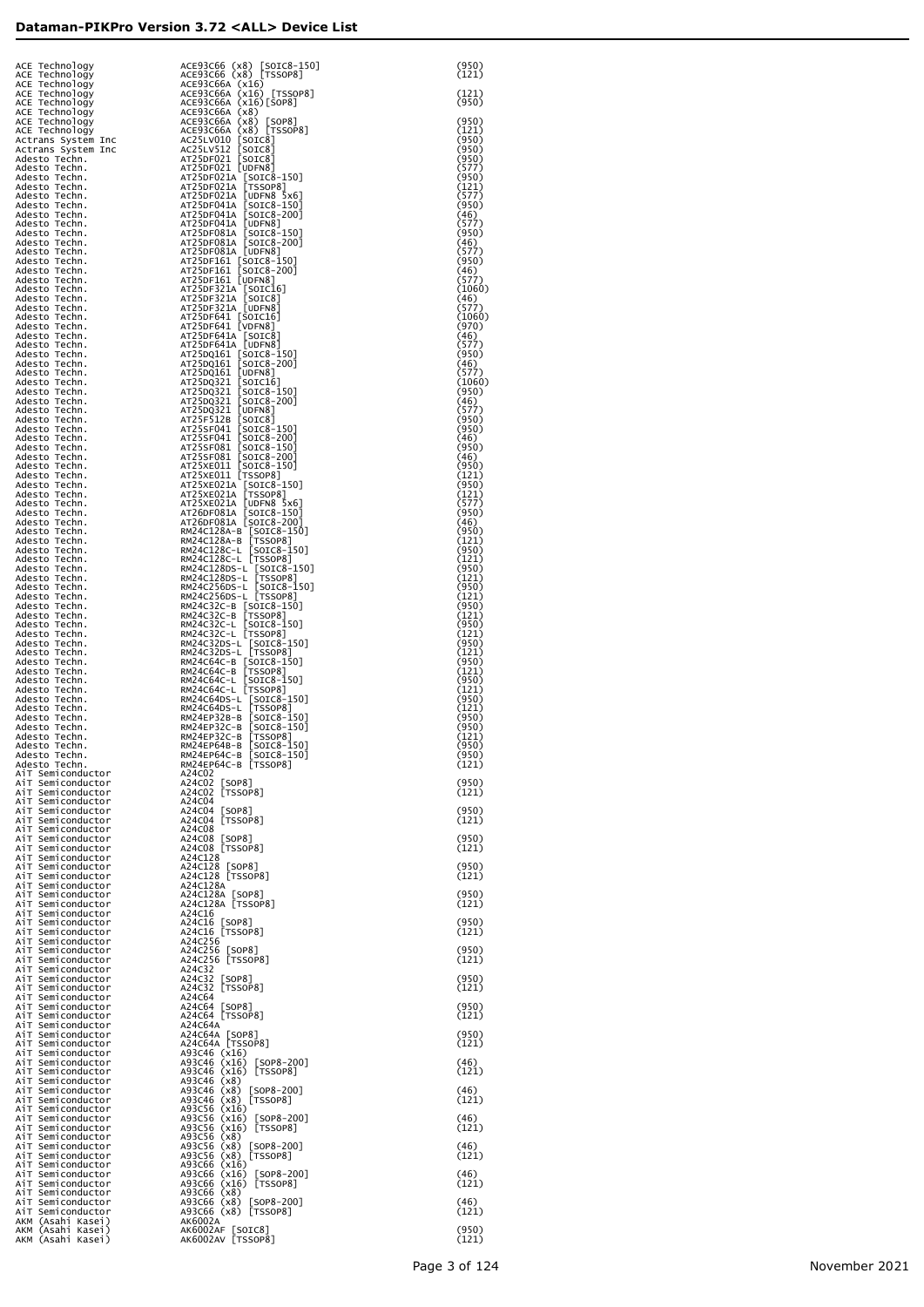|                                                                                                                                                                                  |                                                                                                                                                                                                                                                              | (950)<br>(121)          |
|----------------------------------------------------------------------------------------------------------------------------------------------------------------------------------|--------------------------------------------------------------------------------------------------------------------------------------------------------------------------------------------------------------------------------------------------------------|-------------------------|
| ACE Technology<br>ACE Technology<br>ACE Technology<br>ACE Technology<br>ACE Technology<br>ACE Technology<br>ACE Technology<br>ACE Technology<br>ACE Technology<br>ACE Technology | ACE93C66 (x8) [SOIC8-150]<br>ACE93C66 (x8) [TSSOP8]<br>ACE93C66A (x16) [TSSOP8]<br>ACE93C66A (x16) [TSSOP8]<br>ACE93C66A (x16) [SOP8]<br>ACE93C66A (x8) [SOP8]<br>ACE93C66A (x8) [SOP8]<br>ACE93C66A (x8) [TSSOP8]<br>ACE51V512 [SOIC8]<br>AT25DF021 [SOI    | (121)<br>(950)          |
|                                                                                                                                                                                  |                                                                                                                                                                                                                                                              | (950)                   |
| Actrans System Inc<br>Actrans System Inc                                                                                                                                         |                                                                                                                                                                                                                                                              | (121)<br>(950)<br>(950) |
| Adesto Techn.<br>Adesto Techn.                                                                                                                                                   |                                                                                                                                                                                                                                                              | (950)<br>(577)          |
| Adesto Techn.                                                                                                                                                                    |                                                                                                                                                                                                                                                              | (950)<br>(121)<br>(577) |
|                                                                                                                                                                                  |                                                                                                                                                                                                                                                              | (950)<br>(46)           |
| Adesto Techn.<br>Adesto Techn.<br>Adesto Techn.<br>Adesto Techn.<br>Adesto Techn.<br>Adesto Techn.<br>Adesto Techn.                                                              | AT25DF0214 [UDFN6]<br>AT25DF021A [TSSOP8]<br>AT25DF021A [TSSOP8]<br>AT25DF021A [UDFN8 5x6]<br>AT25DF041A [SOTC8-150]<br>AT25DF041A [SOTC8-200]<br>AT25DF081A [UDFN8]<br>AT25DF081A [UDFN8]<br>AT25DF081A [UDFN8]<br>AT25DF081A [UDFN8]                       | (577)<br>(950)<br>(46)  |
| Adesto Techn.<br>Adesto Techn.                                                                                                                                                   | AT25DF081A [UDFN8]<br>AT25DF161 [SOIC8-150]<br>AT25DF161 [SOIC8-200]<br>AT25DF161 [UDFN8]                                                                                                                                                                    | (577)<br>(950)          |
| Adesto Techn.<br>Adesto Techn.<br>Adesto Techn.                                                                                                                                  |                                                                                                                                                                                                                                                              | (46)<br>(577)<br>(1060) |
| Adesto Techn.<br>Adesto Techn.                                                                                                                                                   | AT25DF321A [SOTC16]<br>AT25DF321A [SOTC8]<br>AT25DF321A [UDFN8]<br>AT25DF641 [SOTC16]<br>AT25DF641 [VDFN8]                                                                                                                                                   | (46)<br>(577)           |
| Adesto Techn.<br>Adesto Techn.<br>Adesto Techn.                                                                                                                                  |                                                                                                                                                                                                                                                              | (1060)<br>(970)<br>(46) |
| Adesto Techn.<br>Adesto Techn.                                                                                                                                                   |                                                                                                                                                                                                                                                              | (577)<br>(950)          |
| Adesto Techn.<br>Adesto Techn.<br>Adesto Techn.                                                                                                                                  |                                                                                                                                                                                                                                                              | (46)<br>(577)<br>(1060) |
| Adesto Techn.<br>Adesto Techn.                                                                                                                                                   | AT2SDF641 [VDFN8]<br>AT2SDF641A [VDFN8]<br>AT2SDF641A [UDFN8]<br>AT2SDF641A [UDFN8]<br>AT2SDQ161 [SOTC8-150]<br>AT2SDQ161 [SOTC8-200]<br>AT2SDQ321 [SOTC16]<br>AT2SDQ321 [SOTC8-150]<br>AT2SDQ321 [SOTC8-200]<br>AT2SSF041 [SOTC8-150]<br>AT2SSF041 [SOTC8-1 | (950)<br>(46)           |
| Adesto Techn.<br>Adesto Techn.<br>Adesto Techn.                                                                                                                                  |                                                                                                                                                                                                                                                              | (577)<br>(950)<br>(950) |
| Adesto Techn.<br>Adesto Techn.                                                                                                                                                   |                                                                                                                                                                                                                                                              | (46)<br>(950)           |
| Adesto Techn.<br>Adesto Techn.<br>Adesto Techn.                                                                                                                                  |                                                                                                                                                                                                                                                              | (46)<br>(950)<br>(121)  |
| Adesto Techn.<br>Adesto Techn.                                                                                                                                                   |                                                                                                                                                                                                                                                              | (950)<br>(121)          |
| Adesto Techn.<br>Adesto Techn.<br>Adesto Techn.                                                                                                                                  | AT25XE021A [SOTC8-150]<br>AT25XE021A [SOTC8-150]<br>AT25XE021A [UDFN8 5x6]<br>AT26DF081A [SOTC8-150]<br>AT26DF081A [SOTC8-200]<br>AT26DF081A [SOTC8-200]                                                                                                     | (577)<br>(950)<br>(46)  |
| Adesto Techn.<br>Adesto Techn.                                                                                                                                                   |                                                                                                                                                                                                                                                              | (950)<br>(121)          |
| Adesto Techn.<br>Adesto Techn.<br>Adesto Techn.                                                                                                                                  | RM24C128A-B [SOIC8-150]<br>RM24C128A-B [TSSOP8]<br>RM24C128C-L [SOIC8-150]<br>RM24C128C-L [TSSOP8]                                                                                                                                                           | (950)<br>(121)<br>(950) |
| Adesto Techn.<br>Adesto Techn.                                                                                                                                                   |                                                                                                                                                                                                                                                              | (121)<br>(950)          |
| Adesto Techn.<br>Adesto Techn.<br>Adesto Techn.                                                                                                                                  |                                                                                                                                                                                                                                                              | (121)<br>(950)<br>(121) |
| Adesto Techn.<br>Adesto Techn.                                                                                                                                                   | RM24C128Ds-L [1550F8]<br>RM24C128Ds-L [50TC8-150]<br>RM24C128Ds-L [50TC8-150]<br>RM24C256Ds-L [50TC8-150]<br>RM24C256Ds-L [TS50P8]<br>RM24C32C-L [50TC8-150]<br>RM24C32C-L [50TC8-150]<br>RM24C32C-L [50TC8-150]<br>RM24C32C-L [TS50P8]                      | (950)<br>(121)          |
| Adesto Techn.<br>Adesto Techn.<br>Adesto Techn.                                                                                                                                  |                                                                                                                                                                                                                                                              | (950)<br>(121)<br>(950) |
| Adesto Techn.<br>Adesto Techn.                                                                                                                                                   | RM24C32DS-L [SOTC8-150]<br>RM24C32DS-L [TSSOP8]<br>RM24C64C-B [SOTC8-150]<br>RM24C64C-B [TSSOP8]<br>RM24C64C-L [SOTC8-150]<br>RM24C64C-L [TSSOP8]<br>RM24C64C-L [TSSOP8]<br>RM24C64C-L [TSSOP8]                                                              | (121)<br>(950)          |
| Adesto Techn.<br>Adesto Techn.<br>Adesto Techn.                                                                                                                                  |                                                                                                                                                                                                                                                              | (121)<br>(950)<br>(121) |
| Adesto Techn.<br>Adesto Techn.                                                                                                                                                   | RM24C64DS-L [50IC8-150]<br>RM24C64DS-L [50IC8-150]<br>RM24EP32C-B [50IC8-150]<br>RM24EP32C-B [50IC8-150]<br>RM24EP32C-B [550P8]<br>MM24EP542-B [550P8]                                                                                                       | (950)<br>(950)          |
| Adesto Techn.<br>Adesto Techn.<br>Adesto Techn.                                                                                                                                  | RM24EP64B-B [SOIC8-150]<br>RM24EP64C-B [SOIC8-150]                                                                                                                                                                                                           | (121)<br>(950)<br>(950) |
| Adesto Techn.<br>AiT Semiconductor<br>AiT Semiconductor                                                                                                                          | RM24EP64C-B [TSSOP8]<br>A24C02                                                                                                                                                                                                                               | (121)<br>(950)          |
| AiT Semiconductor<br>AiT Semiconductor                                                                                                                                           | A24C02 [SOP8]<br>A24C02 [TSSOP8]<br>A24C04                                                                                                                                                                                                                   | (121)                   |
| AiT Semiconductor<br>Ai⊤ Semiconductor<br>Ai⊤ Semiconductor                                                                                                                      | A24C04 [SOP8]<br>A24C04 [TSSOP8]<br>A24C08                                                                                                                                                                                                                   | (950)<br>(121)          |
| Ai⊤ Semiconductor<br>Ai⊤ Semiconductor                                                                                                                                           | A24C08 [SOP8]<br>A24C08 [TSSOP8]                                                                                                                                                                                                                             | (950)<br>(121)          |
| Ai⊤ Semiconductor<br>Ai⊤ Semiconductor<br>Ai⊤ Semiconductor                                                                                                                      | A24C128<br>A24C128 [SOP8]<br>A24C128 [TSSOP8]                                                                                                                                                                                                                | (950)<br>(121)          |
| Ai⊤ Semiconductor<br>Ai⊤ Semiconductor                                                                                                                                           | A24C128A<br>A24C128A [SOP8]<br>A24C128A [TSSOP8]                                                                                                                                                                                                             | (950)                   |
| Ai⊤ Semiconductor<br>Ai⊤ Semiconductor<br>Ai⊤ Semiconductor                                                                                                                      | A24C16<br>A24C16 [SOP8]                                                                                                                                                                                                                                      | (121)<br>(950)          |
| Ai⊤ Semiconductor<br>Ai⊤ Semiconductor                                                                                                                                           | A24C16 [TSSOP8]<br>A24C256                                                                                                                                                                                                                                   | (121)<br>(950)          |
| Ai⊤ Semiconductor<br>Ai⊤ Semiconductor<br>Ai⊤ Semiconductor                                                                                                                      | A24C256 [SOP8]<br>A24C256 [TSSOP8]<br>A24C32                                                                                                                                                                                                                 | (121)                   |
| Ai⊤ Semiconductor<br>Ai⊤ Semiconductor<br>Ai⊤ Semiconductor                                                                                                                      | A24C32 [SOP8]<br>A24C32 [TSSOP8]<br>A24C64                                                                                                                                                                                                                   | (950)<br>(121)          |
| Ai⊤ Semiconductor<br>Ai⊤ Semiconductor                                                                                                                                           | A24C64 [SOP8]<br>A24C64 [TSSOP8]                                                                                                                                                                                                                             | (950)<br>(121)          |
| Ai⊤ Semiconductor<br>Ai⊤ Semiconductor<br>Ai⊤ Semiconductor                                                                                                                      | A24C64A<br>A24C64A [SOP8]<br>A24C64A [TSSOP8]                                                                                                                                                                                                                | (950)<br>(121)          |
| Ai⊤ Semiconductor<br>Ai⊤ Semiconductor                                                                                                                                           | A93C46 (x16)<br>A93C46 (x16) [SOP8-200]                                                                                                                                                                                                                      | (46)                    |
| Ai⊤ Semiconductor<br>Ai⊤ Semiconductor<br>Ai⊤ Semiconductor                                                                                                                      | A93C46 (x16) [TSSOP8]<br>A93C46 (x8)<br>A93C46 (x8)<br>$[SOP8-200]$                                                                                                                                                                                          | (121)<br>(46)           |
| Ai⊤ Semiconductor<br>Ai⊤ Semiconductor<br>Ai⊤ Semiconductor                                                                                                                      | A93C46 (x8) [TSSOP8]<br>A93C56 (x16)<br>A93C56 (x16) [SOP8-200]                                                                                                                                                                                              | (121)<br>(46)           |
| Ai⊤ Semiconductor<br>Ai⊤ Semiconductor                                                                                                                                           | A93C56 (x16) [TSSOP8]<br>A93C56 (x8)                                                                                                                                                                                                                         | (121)                   |
| Ai⊤ Semiconductor<br>Ai⊤ Semiconductor<br>AiT Semiconductor                                                                                                                      | A93C56 (x8)<br>$[SOP8-200]$<br>A93C56 (x8) [TSSOP8]<br>A93C66 (x16)                                                                                                                                                                                          | (46)<br>(121)           |
| AiT Semiconductor<br>AiT Semiconductor                                                                                                                                           | A93C66 (x16) [SOP8-200]<br>A93C66 (x16) [TSSOP8]                                                                                                                                                                                                             | (46)<br>(121)           |
| AiT Semiconductor<br>AiT Semiconductor<br>AiT Semiconductor                                                                                                                      | A93C66 (x8)<br>$[SOP8-200]$<br>A93C66 (x8)<br>A93C66 (x8) [TSSOP8]                                                                                                                                                                                           | (46)<br>(121)           |
| AKM (Asahi Kasei)<br>AKM (Asahi Kasei)<br>AKM (Asahi Kasei)                                                                                                                      | AK6002A<br>AK6002AF [SOIC8]<br>AK6002AV [TSSOP8]                                                                                                                                                                                                             | (950)<br>(121)          |
|                                                                                                                                                                                  |                                                                                                                                                                                                                                                              |                         |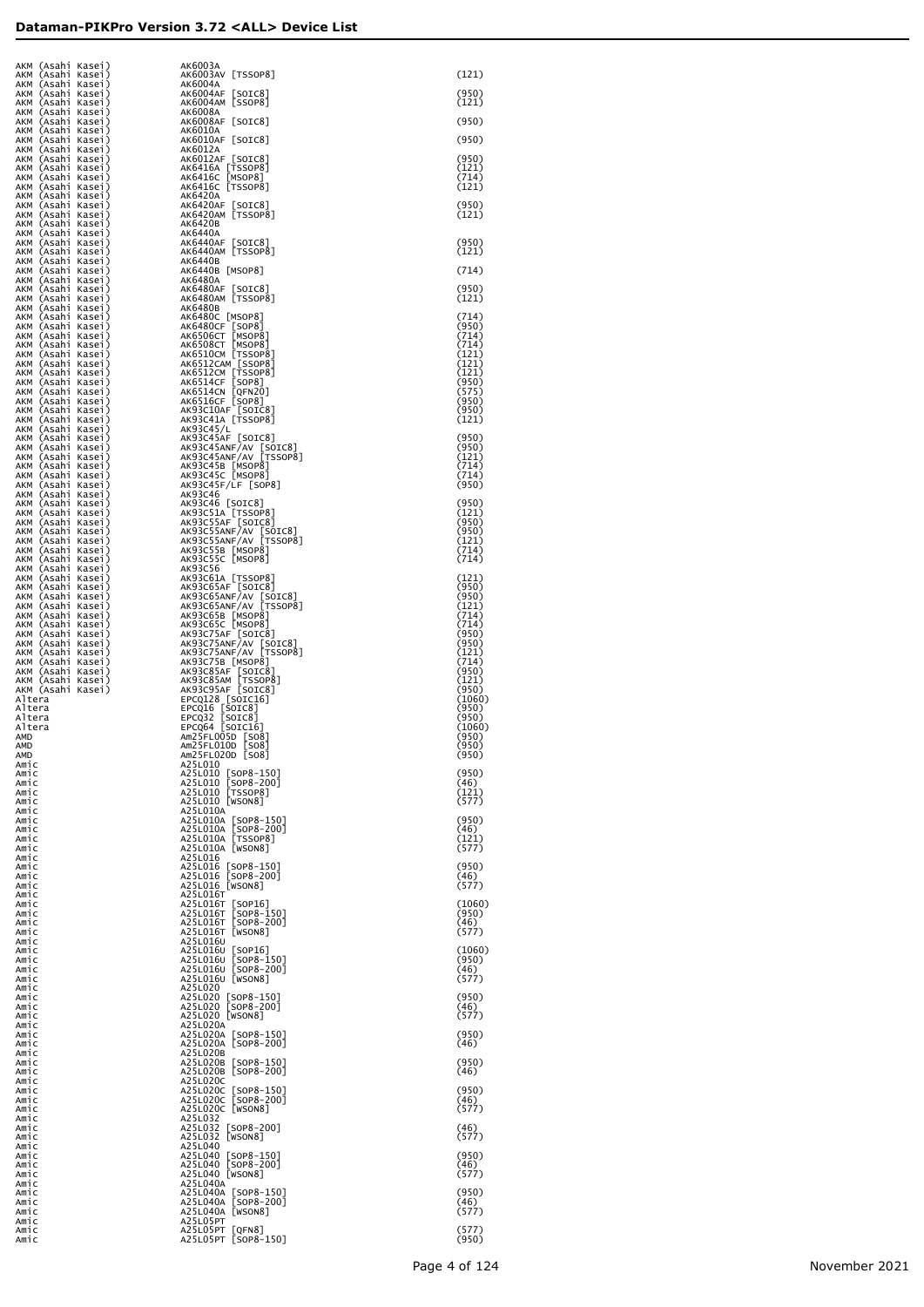| AKM (Asahi Kasei)                      | AK6003A                                                                                                                                                                                                                                                               |                 |
|----------------------------------------|-----------------------------------------------------------------------------------------------------------------------------------------------------------------------------------------------------------------------------------------------------------------------|-----------------|
| AKM (Asahi Kasei)<br>AKM (Asahi Kasei) |                                                                                                                                                                                                                                                                       | (121)           |
| AKM (Asahi Kasei)<br>AKM (Asahi Kasei) |                                                                                                                                                                                                                                                                       | (950)<br>(121)  |
| AKM (Asahi Kasei)                      |                                                                                                                                                                                                                                                                       |                 |
| AKM (Asahi Kasei)<br>AKM (Asahi Kasei) |                                                                                                                                                                                                                                                                       | (950)           |
| AKM (Asahi Kasei)<br>AKM (Asahi Kasei) |                                                                                                                                                                                                                                                                       | (950)           |
| AKM (Asahi Kasei)                      |                                                                                                                                                                                                                                                                       | (950)           |
| AKM (Asahi Kasei)<br>AKM (Asahi Kasei) |                                                                                                                                                                                                                                                                       | (121)<br>(714)  |
| AKM (Asahi Kasei)<br>AKM (Asahi Kasei) |                                                                                                                                                                                                                                                                       | (121)           |
| AKM (Asahi Kasei)                      |                                                                                                                                                                                                                                                                       | (950)           |
| AKM (Asahi Kasei)<br>AKM (Asahi Kasei) |                                                                                                                                                                                                                                                                       | (121)           |
| AKM (Asahi Kasei)<br>AKM (Asahi Kasei) |                                                                                                                                                                                                                                                                       |                 |
| AKM (Asahi Kasei)                      |                                                                                                                                                                                                                                                                       | (950)<br>(121)  |
| AKM (Asahi Kasei)<br>AKM (Asahi Kasei) |                                                                                                                                                                                                                                                                       | (714)           |
| AKM (Asahi Kasei)                      |                                                                                                                                                                                                                                                                       | (950)           |
| AKM (Asahi Kasei)<br>AKM (Asahi Kasei) |                                                                                                                                                                                                                                                                       | (121)           |
| AKM (Asahi Kasei)<br>AKM (Asahi Kasei) |                                                                                                                                                                                                                                                                       | (714)           |
| AKM (Asahi Kasei)<br>AKM (Asahi Kasei) |                                                                                                                                                                                                                                                                       | (950)<br>(714)  |
| AKM (Asahi Kasei)                      |                                                                                                                                                                                                                                                                       | (714)           |
| AKM (Asahi Kasei)<br>AKM (Asahi Kasei) |                                                                                                                                                                                                                                                                       | (121)<br>(121)  |
| AKM (Asahi Kasei)<br>AKM (Asahi Kasei) |                                                                                                                                                                                                                                                                       | (121)<br>(950)  |
| AKM (Asahi Kasei)                      |                                                                                                                                                                                                                                                                       | (575)           |
| AKM (Asahi Kasei)<br>AKM (Asahi Kasei) |                                                                                                                                                                                                                                                                       | (950)<br>(950)  |
| AKM (Asahi Kasei)<br>AKM (Asahi Kasei) |                                                                                                                                                                                                                                                                       | (121)           |
| AKM (Asahi Kasei)                      |                                                                                                                                                                                                                                                                       | (950)           |
| AKM (Asahi Kasei)<br>AKM (Asahi Kasei) |                                                                                                                                                                                                                                                                       | (950)<br>(121)  |
| AKM (Asahi Kasei)<br>AKM (Asahi Kasei) |                                                                                                                                                                                                                                                                       | (714)<br>(714)  |
| AKM (Asahi Kasei)                      |                                                                                                                                                                                                                                                                       | (950)           |
| AKM (Asahi Kasei)<br>AKM (Asahi Kasei) | AK603AV [TSSOP8]<br>AK6004A [SSOP8]<br>AK6004A [SSOP8]<br>AK6004A [SSOP8]<br>AK6004A [SSOP8]<br>AK6004A [SSOP8]<br>AK6006AF [SOTC8]<br>AK6006AF [SOTC8]<br>AK6010AF [SOTC8]<br>AK6010AF [SOTC8]<br>AK6012AF [SOTC8]<br>AK6012AF [SOTC8]<br>AK6012AF [SOTC8]<br>AK6012 | (950)           |
| AKM (Asahi Kasei)<br>AKM (Asahi Kasei) |                                                                                                                                                                                                                                                                       | (121)<br>(950)  |
| AKM (Asahi Kasei)                      |                                                                                                                                                                                                                                                                       | (950)           |
| AKM (Asahi Kasei)<br>AKM (Asahi Kasei) |                                                                                                                                                                                                                                                                       | (121)<br>(714)  |
| AKM (Asahi Kasei)<br>AKM (Asahi Kasei) |                                                                                                                                                                                                                                                                       | (714)           |
| AKM (Asahi Kasei)                      |                                                                                                                                                                                                                                                                       | (121)           |
| AKM (Asahi Kasei)<br>AKM (Asahi Kasei) |                                                                                                                                                                                                                                                                       | (950)<br>(950)  |
| AKM (Asahi Kasei)<br>AKM (Asahi Kasei) |                                                                                                                                                                                                                                                                       | (121)<br>(714)  |
| AKM (Asahi Kasei)                      |                                                                                                                                                                                                                                                                       | (714)           |
| AKM (Asahi Kasei)<br>AKM (Asahi Kasei) |                                                                                                                                                                                                                                                                       | (950)<br>(950)  |
| AKM (Asahi Kasei)<br>AKM (Asahi Kasei) |                                                                                                                                                                                                                                                                       | (121)<br>(714)  |
| AKM (Asahi Kasei)                      |                                                                                                                                                                                                                                                                       | (950)           |
| AKM (Asahi Kasei)<br>AKM (Asahi Kasei) |                                                                                                                                                                                                                                                                       | (121)<br>(950)  |
| Altera<br>Altera                       |                                                                                                                                                                                                                                                                       | (1060)<br>(950) |
| Altera                                 |                                                                                                                                                                                                                                                                       | (950)           |
| Altera<br>AMD                          | EPCOOR<br>Am25FL005D [SO8]<br>Am25FL010D [SO8]                                                                                                                                                                                                                        | (1060)<br>(950) |
| amd<br>amd                             | [508]<br>Am25FL020D                                                                                                                                                                                                                                                   | (950)<br>(950)  |
| Amic<br>Amic                           | A25L010<br>A25L010<br>$[$ SOP8-150]                                                                                                                                                                                                                                   | (950)           |
| Amic                                   | A25L010<br>[SOP8-200]                                                                                                                                                                                                                                                 | (46)            |
| Amic<br>Amic                           | A25L010<br>[TSSOP8]<br>A25L010 [WSON8]                                                                                                                                                                                                                                | (121)<br>(577)  |
| Amic<br>Amic                           | A25L010A<br>A25L010A [SOP8-150]                                                                                                                                                                                                                                       | (950)           |
| Amic                                   | A25L010A<br>[SOP8-200]                                                                                                                                                                                                                                                | (46)            |
| Amic<br>Amic                           | [TSSOP8]<br>A25L010A<br>A25L010A [WSON8]                                                                                                                                                                                                                              | (121)<br>(577)  |
| Amic<br>Amic                           | A25L016<br>A25L016<br>$[SOP8-150]$                                                                                                                                                                                                                                    | (950)           |
| Amic                                   | SOP8-200]<br>A25L016                                                                                                                                                                                                                                                  | (46)            |
| Amic<br>Amic                           | A25L016 [WSON8]<br>A25L016T                                                                                                                                                                                                                                           | (577)           |
| Amic<br>Amic                           | A25L016T<br>[SOP16]<br>A25L016T<br>$[SOP8-150]$                                                                                                                                                                                                                       | (1060)<br>(950) |
| Amic<br>Amic                           | FSOP8-2001<br>A25L016T<br>A25L016T<br>[WSON8]                                                                                                                                                                                                                         | (46)<br>(577)   |
| Amic                                   | A25L016U                                                                                                                                                                                                                                                              |                 |
| Amic<br>Amic                           | A25L016U<br>[SOP16]<br>A25L016U<br>$[$ SOP8-150]                                                                                                                                                                                                                      | (1060)<br>(950) |
| Amic<br>Amic                           | [SOP8-200]<br>A25L016U<br>A25L016U [WSON8]                                                                                                                                                                                                                            | (46)<br>(577)   |
| Amic                                   | A25L020                                                                                                                                                                                                                                                               |                 |
| Amic<br>Amic                           | A25L020<br>$[SOP8-150]$<br>A25L020<br>[SOP8-200]                                                                                                                                                                                                                      | (950)<br>(46)   |
| Amic<br>Amic                           | A25L020 [WSON8]<br>A25L020A                                                                                                                                                                                                                                           | (577)           |
| Amic<br>Amic                           | A25L020A [SOP8-150]<br>A25L020A [SOP8-200]                                                                                                                                                                                                                            | (950)<br>(46)   |
| Amic                                   | A25L020B                                                                                                                                                                                                                                                              |                 |
| Amic<br>Amic                           | A25L020B [SOP8-150]<br>[SOP8-200]<br>A25L020B                                                                                                                                                                                                                         | (950)<br>(46)   |
| Amic<br>Amic                           | A25L020C<br>A25L020C<br>$[SOP8-150]$                                                                                                                                                                                                                                  | (950)           |
| Amic                                   | [SOP8-200]<br>A25L020C                                                                                                                                                                                                                                                | (46)            |
| Amic<br>Amic                           | A25L020C [WSON8]<br>A25L032                                                                                                                                                                                                                                           | (577)           |
| Amic<br>Amic                           | A25L032<br>$[SOP8-200]$<br>A25L032<br>[WSON8]                                                                                                                                                                                                                         | (46)<br>(577)   |
| Amic                                   | A25L040                                                                                                                                                                                                                                                               |                 |
| Amic<br>Amic                           | A25L040<br>$[SOP8-150]$<br>[SOP8-200]<br>A25L040                                                                                                                                                                                                                      | (950)<br>(46)   |
| Amic<br>Amic                           | A25L040 [WSON8]<br>A25L040A                                                                                                                                                                                                                                           | (577)           |
| Amic<br>Amic                           | A25L040A [SOP8-150]<br>[SOP8-200]<br>A25L040A                                                                                                                                                                                                                         | (950)<br>(46)   |
| Amic                                   | A25L040A<br>[WSON8]                                                                                                                                                                                                                                                   | (577)           |
| Amic<br>Amic                           | A25L05PT<br>A25L05PT<br>[QFN8]                                                                                                                                                                                                                                        | (577)           |
| Amic                                   | $[SOP8-150]$<br>A25L05PT                                                                                                                                                                                                                                              | (950)           |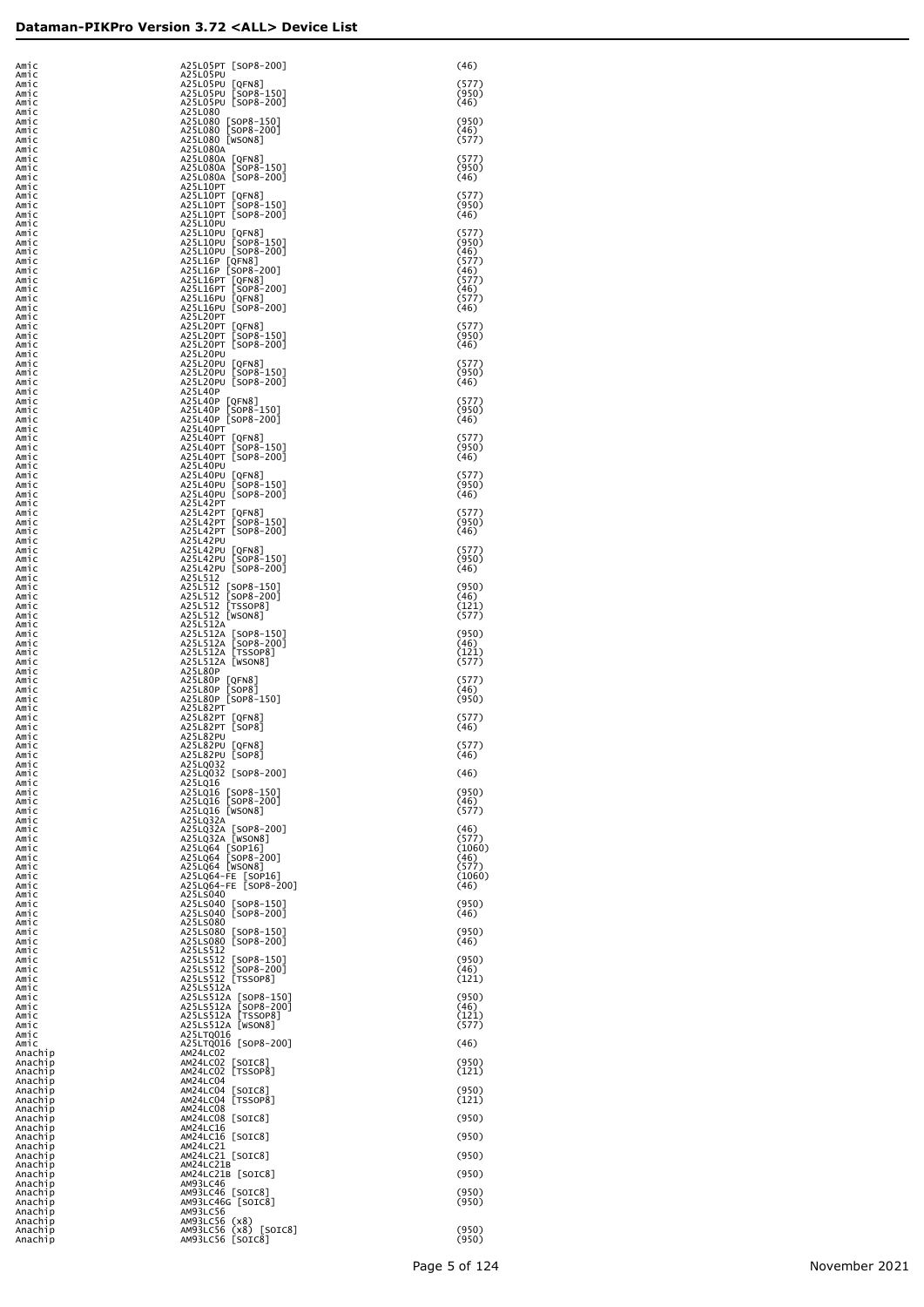| Amic<br>Amic                  | A25L05PT [SOP8-200]<br>A25L05PU                                                  | (46)                    |
|-------------------------------|----------------------------------------------------------------------------------|-------------------------|
| Amic<br>Amic                  | A25L05PU [QFN8]<br>A25L05PU [SOP8-150]                                           | (577)<br>(950)          |
| Amic<br>Amic<br>Amic          | A25L05PU [SOP8-200]<br>A25L080                                                   | (46)<br>(950)           |
| Amic<br>Amic<br>Amic          | A25L080 [SOP8-150]<br>A25L080 [SOP8-200]<br>A25L080 [WSON8]                      | (46)<br>(577)           |
| Amic<br>Amic                  | A25L080A<br>A25L080A [QFN8]<br>A25L080A [SOP8-150]                               | (577)<br>(950)          |
| Amic<br>Amic<br>Amic          | A25L080A [SOP8-200]<br>A25L10PT                                                  | (46)<br>(577)           |
| Amic<br>Amic<br>Amic          | A25L10PT [QFN8]<br>A25L10PT [SOP8-150]<br>A25L10PT [SOP8-200]                    | (950)<br>(46)           |
| Amic<br>Amic                  | A25L10PU<br>A25L10PU [QFN8]<br>A25L10PU [SOP8-150]                               | (577)<br>(950)          |
| Amic<br>Amic<br>Amic          | A25L10PU [SOP8-200]<br>A25L16P [QFN8]<br>A25L16P [SOP8-200]                      | (46)<br>(577)<br>(46)   |
| Amic<br>Amic                  | A25L16PT [QFN8]<br>A25L16PT [SOP8-200]<br>A25L16PU [QFN8]                        | (577)<br>(46)           |
| Amic<br>Amic<br>Amic          | A25L16PU [SOP8-200]<br>A25L20PT                                                  | (577)<br>(46)           |
| Amic<br>Amic<br>Amic          | A25L20PT [QFN8]<br>A25L20PT [SOP8-150]<br>A25L20PT [SOP8-200]                    | (577)<br>(950)<br>(46)  |
| Amic<br>Amic<br>Amic          | A25L20PU<br>A25L20PU [QFN8]<br>A25L20PU [SOP8-150]                               | (577)<br>(950)          |
| Amic<br>Amic                  | A25L20PU [SOP8-200]<br>A25L40P                                                   | (46)                    |
| Amic<br>Amic<br>Amic          | A25L40P [QFN8]<br>A25L40P [SOP8-150]<br>A25L40P [SOP8-200]                       | (577)<br>(950)<br>(46)  |
| Amic<br>Amic<br>Amic          | A25L40PT<br>A25L40PT [QFN8]<br>A25L40PT [SOP8-150]                               | (577)<br>(950)          |
| Amic<br>Amic                  | A25L40PT [SOP8-200]<br>A25L40PU                                                  | (46)                    |
| Amic<br>Amic<br>Amic          | A25L40PU [QFN8]<br>A25L40PU [SOP8-150]<br>A25L40PU [SOP8-200]                    | (577)<br>(950)<br>(46)  |
| Amic<br>Amic<br>Amic          | A25L42PT<br>A25L42PT [QFN8]<br>A25L42PT [SOP8-150]                               | (577)<br>(950)          |
| Amic<br>Amic<br>Amic          | A25L42PT [SOP8-200]<br>A25L42PU<br>A25L42PU [QFN8]                               | (46)<br>(577)           |
| Amic<br>Amic                  | A25L42PU [SOP8-150]<br>A25L42PU [SOP8-200]                                       | (950)<br>(46)           |
| Amic<br>Amic<br>Amic          | A25L512<br>A25L512 [SOP8-150]<br>A25L512 [SOP8-200]                              | (950)<br>(46)           |
| Amic<br>Amic<br>Amic          | A25L512 [TSSOP8]<br>A25L512 [WSON8]<br>A25L512A                                  | (121)<br>(577)          |
| Amic<br>Amic                  | A25L512A [SOP8-150]<br>A25L512A [SOP8-200]                                       | (950)<br>(46)           |
| Amic<br>Amic<br>Amic          | A25L512A [TSSOP8]<br>A25L512A [WSON8]<br>A25L80P                                 | (121)<br>(577)          |
| Amic<br>Amic<br>Amic          | A25L80P [QFN8]<br>A25L80P [SOP8]<br>A25L80P [SOP8-150]                           | (577)<br>(46)<br>(950)  |
| Amic<br>Amic<br>Amic          | A25L82PT<br>A25L82PT [QFN8]<br>A25L82PT [SOP8]                                   | (577)<br>(46)           |
| Amic<br>Amic                  | A25L82PU<br>A25L82PU [QFN8]                                                      | (577)                   |
| Amic<br>Amic<br>Amic          | A25L82PU [SOP8]<br>A25LQ032<br>A25LQ032 [SOP8-200]                               | (46)<br>(46)            |
| Amic<br>Amic<br>Amic          | A25LQ16<br>A25LQ16 [SOP8-150]<br>A25LQ16 [SOP8-200]                              | (950)<br>(46)           |
| Amic<br>Amic                  | A25LQ16 [WSON8]<br>A25LQ32A                                                      | (577)                   |
| Amic<br>Amic<br>Amic          | A25LQ32A [SOP8-200]<br>A25LQ32A [WSON8]<br>A25LQ64 [SOP16]<br>A25LQ64 [SOP8-200] | (46)<br>(577)<br>(1060) |
| Amic<br>Amic<br>Amic          | A25LQ64 [WSON8]                                                                  | (46)<br>(577)<br>(1060) |
| Amic<br>Amic<br>Amic          | A25LQ64-FE [SOP16]<br>A25LQ64-FE [SOP8-200]<br>A25LS040<br>A25LS040 [SOP8-150]   | (46)<br>(950)           |
| Amic<br>Amic                  | A25LS040 [SOP8-200]<br>A25LS080                                                  | (46)                    |
| Amic<br>Amic<br>Amic          | A25LS080 [SOP8-150]<br>A25LS080 [SOP8-200]<br>A25LS512                           | (950)<br>(46)           |
| Amic<br>Amic<br>Amic          | A25LS512 [SOP8-150]<br>A25LS512 [SOP8-200]<br>A25LS512 [TSSOP8]                  | (950)<br>(46)<br>(121)  |
| Amic<br>Amic                  | A25LS512A<br>A25LS512A [SOP8-150]<br>A25LS512A [SOP8-200]                        | (950)                   |
| Amic<br>Amic<br>Amic          | A25LS512A [TSSOP8]<br>A25LS512A [WSON8]                                          | (46)<br>(121)<br>(577)  |
| Amic<br>Amic<br>Anachip       | A25LTQ016<br>A25LTQ016 [SOP8-200]<br>AM24LC02                                    | (46)                    |
| Anachip<br>Anachip<br>Anachip | AM24LC02 [SOIC8]<br>AM24LC02 [TSSOP8]<br>AM24LC04                                | (950)<br>(121)          |
| Anachip<br>Anachip            | AM24LC04 [SOIC8]<br>AM24LC04 [TSSOP8]                                            | (950)<br>(121)          |
| Anachip<br>Anachip<br>Anachip | AM24LC08<br>AM24LC08 [SOIC8]<br>AM24LC16                                         | (950)                   |
| Anachip<br>Anachip<br>Anachip | AM24LC16 [SOIC8]<br>AM24LC21<br>AM24LC21 [SOIC8]                                 | (950)<br>(950)          |
| Anachip<br>Anachip            | AM24LC21B<br>AM24LC21B [SOIC8]                                                   | (950)                   |
| Anachip<br>Anachip<br>Anachip | AM93LC46<br>AM93LC46 [SOIC8]<br>AM93LC46G [SOIC8]                                | (950)<br>(950)          |
| Anachip<br>Anachip<br>Anachip | AM93LC56<br>AM93LC56 (x8)<br>AM93LC56 (x8) [SOIC8]                               | (950)                   |
| Anachip                       | AM93LC56 [SOIC8]                                                                 | (950)                   |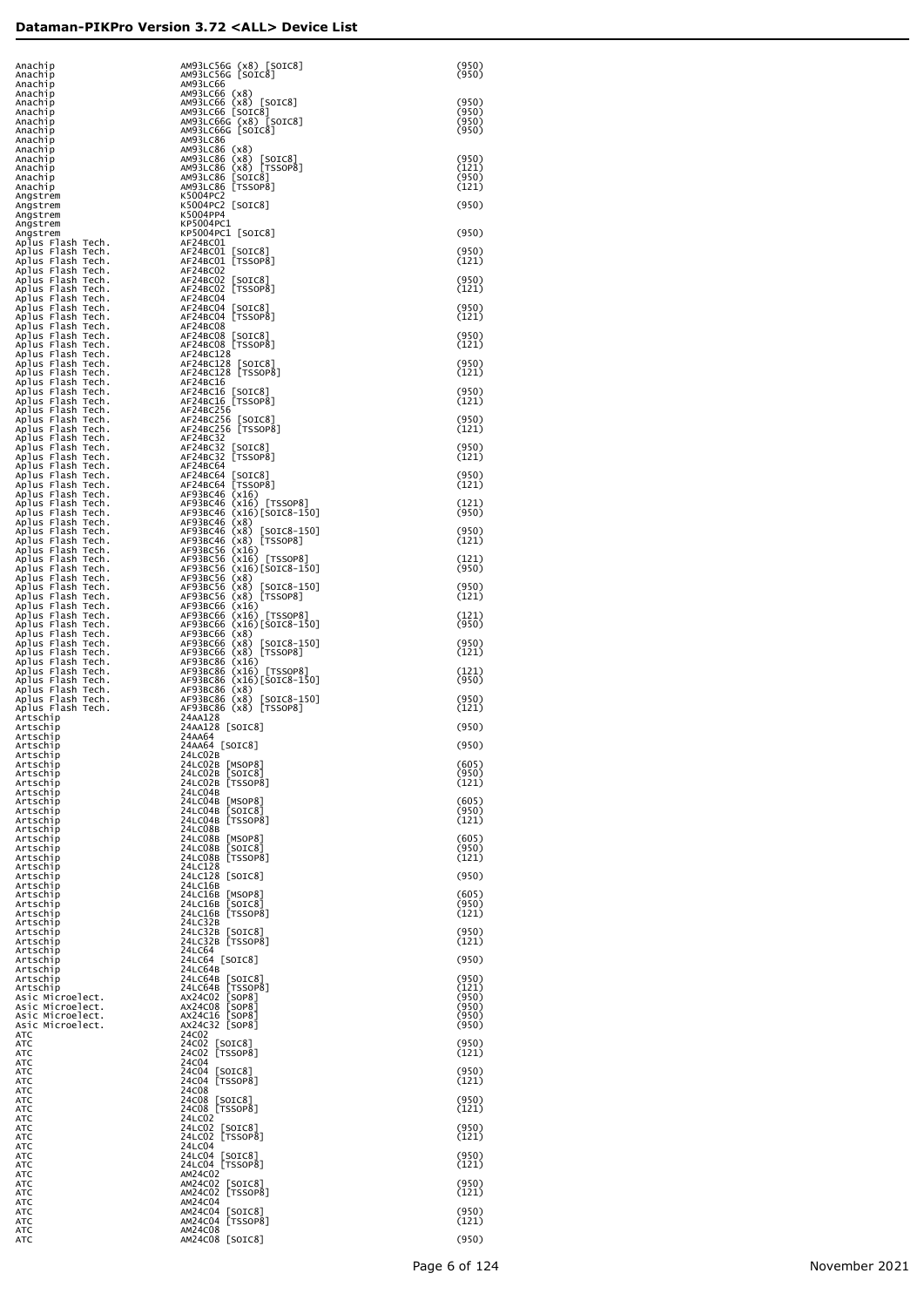| Anachip<br>Anachip                                                                                                                                                                                                                                                                                     | AM93LC56G (x8) [SOIC8]<br>AM93LC56G [SOIC8]                                                              | (950)<br>(950) |
|--------------------------------------------------------------------------------------------------------------------------------------------------------------------------------------------------------------------------------------------------------------------------------------------------------|----------------------------------------------------------------------------------------------------------|----------------|
| Anachip<br>Anachip                                                                                                                                                                                                                                                                                     | AM93LC66                                                                                                 |                |
| Anachip<br>Anachip                                                                                                                                                                                                                                                                                     | AM93LC66 (x8)<br>AM93LC66 (x8) [SOIC8]<br>AM93LC66 [SOIC8]<br>AM93LC66G (x8) [SOIC8]                     | (950)<br>(950) |
| Anachip<br>Anachip                                                                                                                                                                                                                                                                                     | AM93LC66G [SOIC8]                                                                                        | (950)<br>(950) |
| Anachip<br>Anachip                                                                                                                                                                                                                                                                                     | AM93LC86                                                                                                 |                |
| Anachip<br>Anachip                                                                                                                                                                                                                                                                                     | AM93LC86 (x8)<br>AM93LC86 (x8) [SOIC8]<br>AM93LC86 (x8) [TSSOP8]<br>AM93LC86 [SOIC8]<br>AM93LC86 [SOIC8] | (950)<br>(121) |
| Anachip<br>Anachip                                                                                                                                                                                                                                                                                     | AM93LC86 [TSSOP8]                                                                                        | (950)<br>(121) |
| Angstrem<br>Angstrem                                                                                                                                                                                                                                                                                   | K5004PC2<br>K5004PC2 [SOIC8]                                                                             | (950)          |
| Angstrem<br>Angstrem                                                                                                                                                                                                                                                                                   | K5004PP4<br>KP5004PC1                                                                                    |                |
|                                                                                                                                                                                                                                                                                                        |                                                                                                          | (950)          |
|                                                                                                                                                                                                                                                                                                        |                                                                                                          | (950)<br>(121) |
|                                                                                                                                                                                                                                                                                                        |                                                                                                          | (950)          |
|                                                                                                                                                                                                                                                                                                        |                                                                                                          | (121)          |
|                                                                                                                                                                                                                                                                                                        |                                                                                                          | (950)<br>(121) |
|                                                                                                                                                                                                                                                                                                        |                                                                                                          | (950)<br>(121) |
|                                                                                                                                                                                                                                                                                                        |                                                                                                          | (950)          |
|                                                                                                                                                                                                                                                                                                        |                                                                                                          | (121)          |
|                                                                                                                                                                                                                                                                                                        |                                                                                                          | (950)<br>(121) |
|                                                                                                                                                                                                                                                                                                        |                                                                                                          | (950)          |
|                                                                                                                                                                                                                                                                                                        |                                                                                                          | (121)          |
|                                                                                                                                                                                                                                                                                                        |                                                                                                          | (950)<br>(121) |
|                                                                                                                                                                                                                                                                                                        |                                                                                                          | (950)          |
|                                                                                                                                                                                                                                                                                                        |                                                                                                          | (121)          |
|                                                                                                                                                                                                                                                                                                        |                                                                                                          | (121)<br>(950) |
|                                                                                                                                                                                                                                                                                                        |                                                                                                          | (950)          |
| Angstrem<br>Angstrem<br>Angstrem<br>Angstrem<br>Angstrem<br>Angstrem<br>Angstrem<br>Angstrem<br>Angstrem<br>Angstrem<br>Angstrem<br>Angstrem<br>Angstrem<br>Angstrem<br>Angstrem<br>Angstrem<br>Angstrem<br>Angstrem<br>Angstrem<br>Angstrem<br>Angstrem<br>Angstrem<br>Angstrem<br>Angstrem<br>Angstr |                                                                                                          | (121)<br>(121) |
|                                                                                                                                                                                                                                                                                                        |                                                                                                          | (950)          |
|                                                                                                                                                                                                                                                                                                        |                                                                                                          | (950)<br>(121) |
|                                                                                                                                                                                                                                                                                                        |                                                                                                          | (121)          |
|                                                                                                                                                                                                                                                                                                        |                                                                                                          | (950)          |
|                                                                                                                                                                                                                                                                                                        |                                                                                                          | (950)<br>(121) |
|                                                                                                                                                                                                                                                                                                        |                                                                                                          | (121)          |
|                                                                                                                                                                                                                                                                                                        |                                                                                                          | (950)          |
|                                                                                                                                                                                                                                                                                                        |                                                                                                          | (950)<br>(121) |
| Artschip                                                                                                                                                                                                                                                                                               | 24AA128 [SOIC8]                                                                                          | (950)          |
| Artschip<br>Artschip                                                                                                                                                                                                                                                                                   | 24AA64<br>24AA64 [SOIC8]                                                                                 | (950)          |
| Artschip<br>Artschip                                                                                                                                                                                                                                                                                   | 24LC02B<br>24LC02B [MSOP8]                                                                               | (605)          |
| Artschip<br>Artschip<br>Artschip                                                                                                                                                                                                                                                                       | 24LC02B [SOIC8]<br>24LC02B [TSSOP8]<br>24LC04B                                                           | (950)<br>(121) |
| Artschip<br>Artschip                                                                                                                                                                                                                                                                                   | 24LC04B [MSOP8]<br>24LC04B [SOIC8]                                                                       | (605)<br>(950) |
| Artschip<br>Artschip                                                                                                                                                                                                                                                                                   | 24LC04B [TSSOP8]<br>24LC08B                                                                              | (121)          |
| Artschip<br>Artschip                                                                                                                                                                                                                                                                                   | 24LC08B [MSOP8]<br>24LC08B [SOIC8]                                                                       | (605)<br>(950) |
| Artschip<br>Artschip                                                                                                                                                                                                                                                                                   | 24LC08B [TSSOP8]<br>24LC128                                                                              | (121)          |
| Artschip<br>Artschip                                                                                                                                                                                                                                                                                   | 24LC128 [SOIC8]<br>24LC16B                                                                               | (950)          |
| Artschip<br>Artschip                                                                                                                                                                                                                                                                                   | 24LC16B [MSOP8]<br>24LC16B [SOIC8]                                                                       | (605)<br>(950) |
| Artschip<br>Artschip                                                                                                                                                                                                                                                                                   | 24LC16B [TSSOP8]<br>24LC32B                                                                              | (121)          |
| Artschip<br>Artschip                                                                                                                                                                                                                                                                                   | 24LC32B [SOIC8]<br>24LC32B [TSSOP8]                                                                      | (950)<br>(121) |
| Artschip<br>Artschip                                                                                                                                                                                                                                                                                   | 24LC64<br>24LC64 [SOIC8]                                                                                 | (950)          |
| Artschip<br>Artschip<br>Artschip                                                                                                                                                                                                                                                                       | 24LC64B<br>24LC64B [SOIC8]<br>24LC64B [TSSOP8]                                                           | (950)<br>(121) |
| Asic Microelect.<br>Asic Microelect.                                                                                                                                                                                                                                                                   | AX24C02 [SOP8]<br>AX24C08 [SOP8]                                                                         | (950)<br>(950) |
| Asic Microelect.<br>Asic Microelect.                                                                                                                                                                                                                                                                   | AX24C16 [SOP8]<br>AX24C32 [SOP8]                                                                         | (950)<br>(950) |
| ATC<br>АТС                                                                                                                                                                                                                                                                                             | 24C02<br>24C02 [SOIC8]                                                                                   | (950)          |
| ATC<br>ATC                                                                                                                                                                                                                                                                                             | 24C02 [TSSOP8]<br>24C04                                                                                  | (121)          |
| ATC<br>ATC                                                                                                                                                                                                                                                                                             | 24C04 [SOIC8]<br>24C04 [TSSOP8]                                                                          | (950)<br>(121) |
| ATC<br>ATC                                                                                                                                                                                                                                                                                             | 24C08<br>24C08 [SOIC8]                                                                                   | (950)          |
| ATC<br>ATC                                                                                                                                                                                                                                                                                             | 24C08 [TSSOP8]<br>24LC02                                                                                 | (121)          |
| ATC<br>ATC                                                                                                                                                                                                                                                                                             | 24LC02 [SOIC8]<br>24LC02 [TSSOP8]                                                                        | (950)<br>(121) |
| ATC<br>ATC                                                                                                                                                                                                                                                                                             | 24LC04<br>24LC04 [SOIC8]                                                                                 | (950)          |
| ATC<br>ATC<br>ATC                                                                                                                                                                                                                                                                                      | 24LC04 [TSSOP8]<br>AM24C02<br>AM24C02 [SOIC8]                                                            | (121)<br>(950) |
| ATC<br>ATC                                                                                                                                                                                                                                                                                             | AM24CO2 [TSSOP8]<br>AM24C04                                                                              | (121)          |
| ATC<br>ATC                                                                                                                                                                                                                                                                                             | AM24C04 [SOIC8]<br>AM24C04 [TSSOP8]                                                                      | (950)<br>(121) |
| ATC<br>ATC                                                                                                                                                                                                                                                                                             | AM24C08<br>AM24C08 [SOIC8]                                                                               | (950)          |
|                                                                                                                                                                                                                                                                                                        |                                                                                                          |                |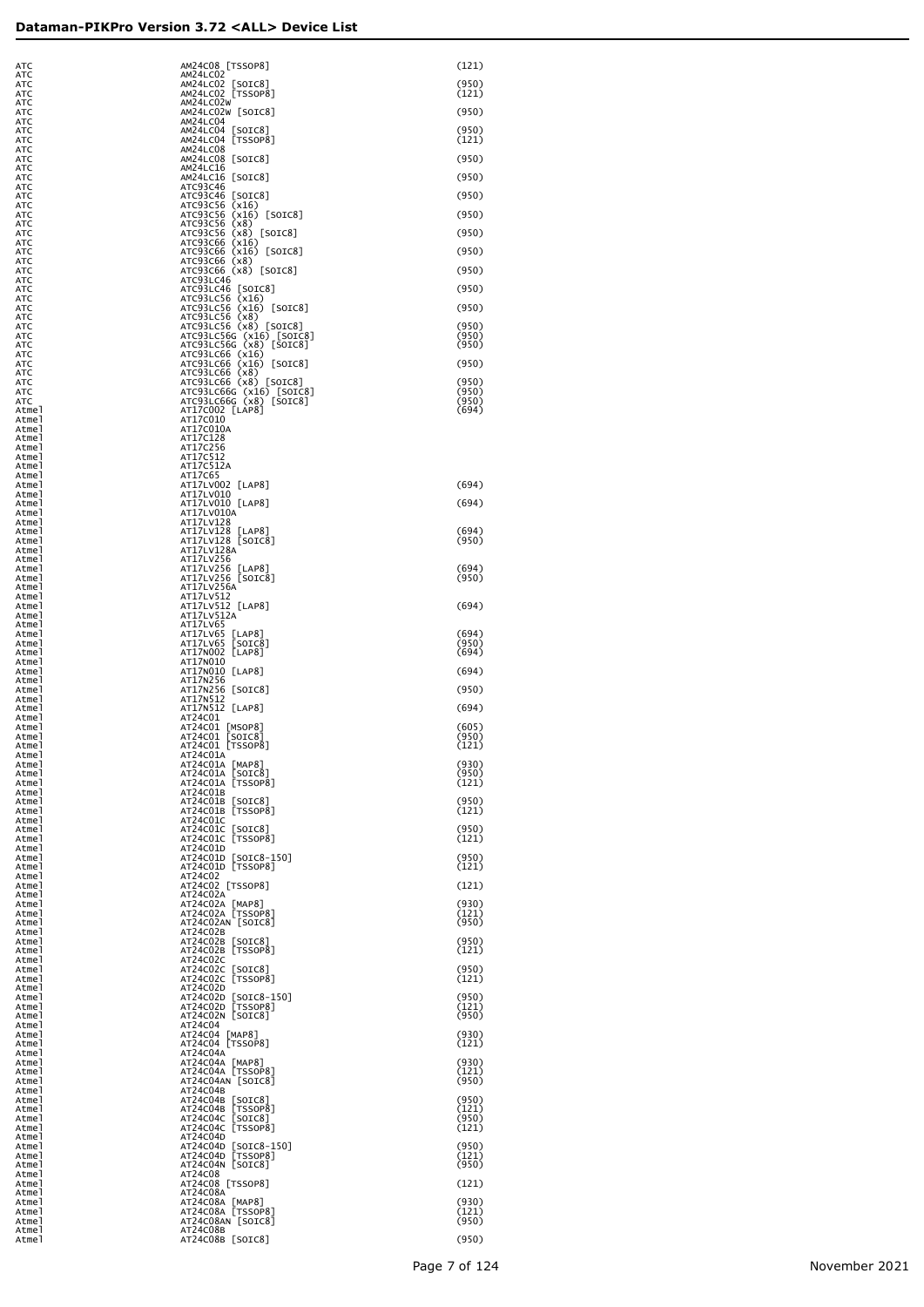| ATC            | AM24C08 [TSSOP8]                                    | (121)          |
|----------------|-----------------------------------------------------|----------------|
| ATC<br>ATC     | AM24LC02<br>AM24LC02 [SOIC8]                        | (950)          |
| ATC<br>ATC     | AM24LC02 [TSSOP8]<br>AM24LC02W                      | (121)          |
| ATC<br>ATC     | AM24LC02W [SOIC8]<br>AM24LC04                       | (950)          |
| ATC<br>ATC     | AM24LC04 [SOIC8]<br>AM24LC04 [TSSOP8]               | (950)<br>(121) |
| ATC<br>ATC     | AM24LC08<br>AM24LC08 [SOIC8]                        | (950)          |
| ATC            | AM24LC16                                            |                |
| ATC<br>ATC     | AM24LC16 [SOIC8]<br>ATC93C46                        | (950)          |
| ATC<br>ATC     | ATC93C46 [SOIC8]<br>ATC93C56 (x16)                  | (950)          |
| ATC<br>ATC     | ATC93C56 (x16) [SOIC8]<br>ATC93C56 (x8)             | (950)          |
| ATC<br>ATC     | ATC93C56 (x8) [SOIC8]<br>ATC93C66 (x16)             | (950)          |
| ATC<br>АТС     | ATC93C66 (x16) [SOIC8]<br>ATC93C66 (x8)             | (950)          |
| АТС<br>АТС     | ATC93C66 (x8) [SOIC8]<br>ATC93LC46                  | (950)          |
| АТС<br>АТС     | ATC93LC46 [SOIC8]<br>ATC93LC56 (x16)                | (950)          |
| АТС<br>АТС     | ATC93LC56 (x16) [SOIC8]<br>ATC93LC56 (x8)           | (950)          |
| АТС            | ATC93LC56 (x8) [SOIC8]<br>ATC93LC56G (x16) [SOIC8]  | (950)<br>(950) |
| АТС<br>АТС     | ATC93LC56G (x8) [SOIC8]                             | (950)          |
| АТС<br>АТС     | ATC93LC66 (x16)<br>ATC93LC66 (x16) [SOIC8]          | (950)          |
| АТС<br>АТС     | ATC93LC66 (x8)<br>ATC93LC66 (x8) [SOIC8]            | (950)          |
| АТС<br>АТС     | ATC93LC66G (x16) [SOIC8]<br>ATC93LC66G (x8) [SOIC8] | (950)<br>(950) |
| Atmel<br>Atmel | AT17C002 [LAP8]<br>AT17C010                         | (694)          |
| Atmel<br>Atmel | AT17C010A<br>AT17C128                               |                |
| Atmel<br>Atmel | AT17C256<br>AT17C512                                |                |
| Atmel<br>Atmel | AT17C512A<br>AT17C65                                |                |
| Atmel          | AT17LV002 [LAP8]                                    | (694)          |
| Atmel<br>Atmel | AT17LV010<br>AT17LV010 [LAP8]                       | (694)          |
| Atmel<br>Atmel | AT17LV010A<br>AT17LV128                             |                |
| Atmel<br>Atmel | AT17LV128 [LAP8]<br>AT17LV128 [SOIC8]               | (694)<br>(950) |
| Atmel<br>Atmel | AT17LV128A<br>AT17LV256                             |                |
| Atmel<br>Atmel | AT17LV256 [LAP8]<br>AT17LV256 [SOIC8]               | (694)<br>(950) |
| Atmel<br>Atmel | AT17LV256A<br>AT17LV512                             |                |
| Atmel<br>Atmel | AT17LV512 [LAP8]<br>AT17LV512A                      | (694)          |
| Atmel<br>Atmel | AT17LV65<br>AT17LV65 [LAP8]                         | (694)          |
| Atmel<br>Atmel | AT17LV65 [SOIC8]<br>AT17N002 [LAP8]                 | (950)<br>(694) |
| Atmel<br>Atmel | AT17N010<br>AT17N010 [LAP8]                         | (694)          |
| Atmel<br>Atmel | AT17N256<br>AT17N256 [SOIC8]                        | (950)          |
| Atmel          | AT17N512<br>AT17N512 [LAP8]                         | (694)          |
| Atmel<br>Atmel | AT24C01                                             | (605)          |
| Atmel<br>Atmel | AT24C01 [MSOP8]<br>AT24C01 [SOIC8]                  | (950)          |
| Atmel<br>Atmel | AT24C01 [TSSOP8]<br>AT24C01A                        | (121)          |
| Atmel<br>Atmel | AT24C01A [MAP8]<br>AT24C01A [SOIC8]                 | (930)<br>(950) |
| Atmel<br>Atmel | AT24C01A [TSSOP8]<br>AT24C01B                       | (121)          |
| Atmel<br>Atmel | AT24C01B [SOIC8]<br>AT24C01B [TSSOP8]               | (950)<br>(121) |
| Atmel<br>Atmel | AT24C01C<br>AT24C01C [SOIC8]                        | (950)          |
| Atmel<br>Atmel | AT24C01C [TSSOP8]<br>AT24C01D                       | (121)          |
| Atmel<br>Atmel | AT24C01D [SOIC8-150]<br>AT24C01D [TSSOP8]           | (950)<br>(121) |
| Atmel<br>Atmel | AT24C02<br>AT24C02 [TSSOP8]                         | (121)          |
| Atmel<br>Atmel | AT24C02A<br>AT24C02A [MAP8]                         | (930)          |
| Atmel<br>Atmel | AT24C02A [TSSOP8]<br>AT24C02AN [SOIC8]              | (121)<br>(950) |
| Atmel          | AT24C02B                                            | (950)          |
| Atmel<br>Atmel | AT24C02B [SOIC8]<br>AT24C02B [TSSOP8]               | (121)          |
| Atmel<br>Atmel | AT24C02C<br>AT24C02C [SOIC8]                        | (950)          |
| Atmel<br>Atmel | AT24C02C [TSSOP8]<br>AT24C02D                       | (121)          |
| Atmel<br>Atmel | AT24C02D [SOIC8-150]<br>AT24C02D [TSSOP8]           | (950)<br>(121) |
| Atmel<br>Atmel | AT24C02N [SOIC8]<br>AT24C04                         | (950)          |
| Atmel<br>Atmel | AT24C04 [MAP8]<br>AT24C04 [TSSOP8]                  | (930)<br>(121) |
| Atmel<br>Atmel | AT24C04A<br>AT24C04A [MAP8]                         | (930)          |
| Atmel<br>Atmel | AT24C04A [TSSOP8]<br>AT24C04AN [SOIC8]              | (121)<br>(950) |
| Atmel<br>Atmel | AT24C04B<br>AT24C04B [SOIC8]                        | (950)          |
| Atmel<br>Atmel | AT24C04B [TSSOP8]<br>AT24C04C [SOIC8]               | (121)<br>(950) |
| Atmel<br>Atmel | AT24C04C [TSSOP8]<br>AT24C04D                       | (121)          |
| Atmel          | AT24C04D [SOIC8-150]<br>AT24C04D [TSSOP8]           | (950)<br>(121) |
| Atmel<br>Atmel | AT24C04N [SOIC8]<br>AT24C08                         | (950)          |
| Atmel<br>Atmel | AT24C08 [TSSOP8]                                    | (121)          |
| Atmel<br>Atmel | AT24C08A<br>AT24C08A [MAP8]                         | (930)          |
| Atmel<br>Atmel | AT24C08A [TSSOP8]<br>AT24C08AN [SOIC8]              | (121)<br>(950) |
| Atmel<br>Atmel | AT24C08B<br>AT24C08B [SOIC8]                        | (950)          |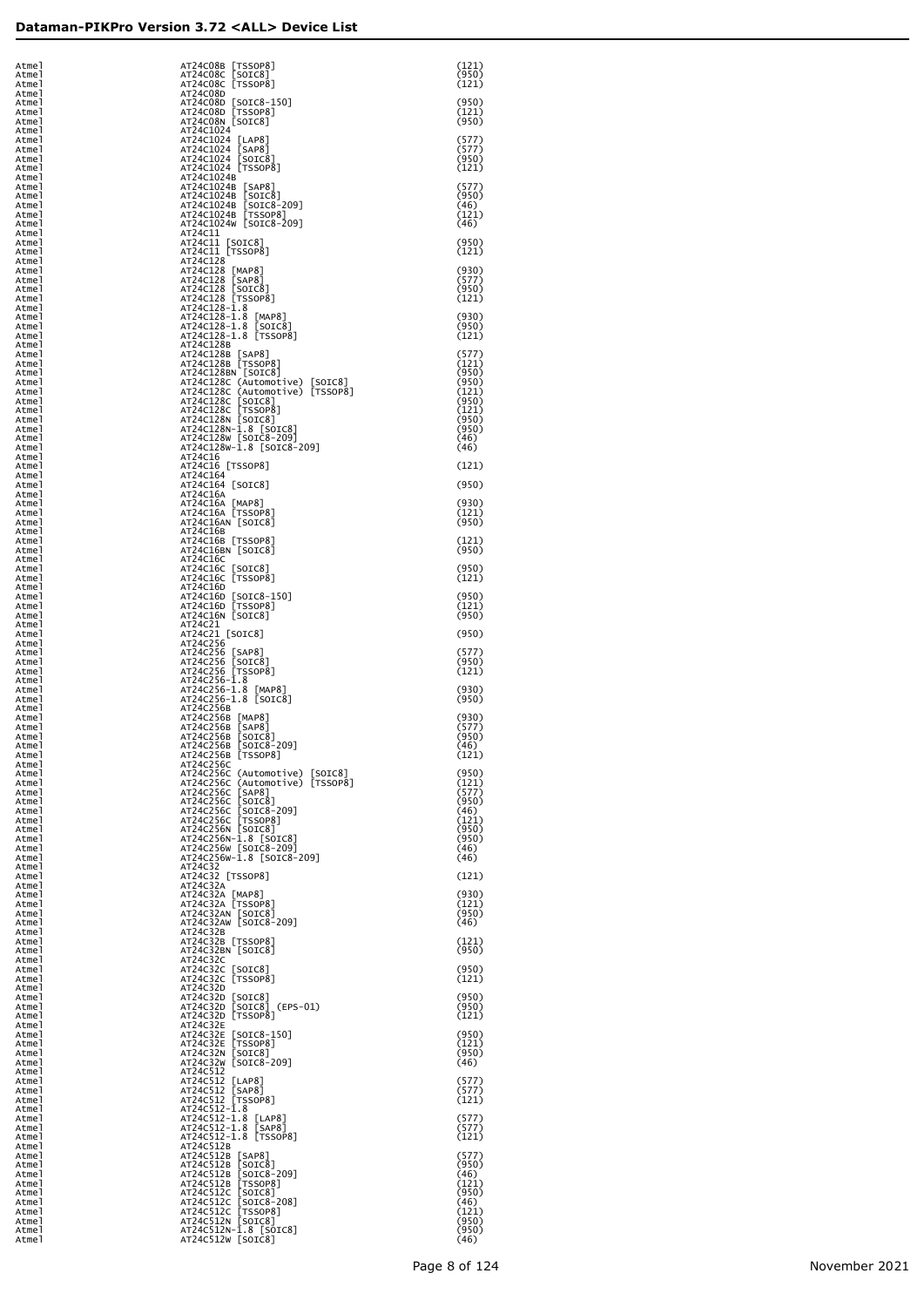| Atmel<br>Atmel          | AT24C08B [TSSOP8]<br>AT24C08C [SOIC8]<br>AT24C08C [TSSOP8]                                                                                                                                                                                                         | (121)<br>(950)<br>(121) |
|-------------------------|--------------------------------------------------------------------------------------------------------------------------------------------------------------------------------------------------------------------------------------------------------------------|-------------------------|
| Atmel<br>Atmel<br>Atmel | AT24C08D                                                                                                                                                                                                                                                           | (950)                   |
| Atmel<br>Atmel<br>Atmel | AT24C08D [SOIC8-150]<br>AT24C08D [TSSOP8]<br>AT24C08N [SOIC8]<br>AT24C1024                                                                                                                                                                                         | (121)<br>(950)          |
| Atmel<br>Atmel          | AT24C1024 [LAP8]<br>AT24C1024 [SAP8]<br>AT24C1024 [SOIC8]<br>AT24C1024 [TSSOP8]                                                                                                                                                                                    | (577)<br>(577)          |
| Atmel<br>Atmel<br>Atmel | AT24C1024B                                                                                                                                                                                                                                                         | (950)<br>(121)          |
| Atmel<br>Atmel<br>Atmel | AT24C1024B [SAP8]<br>AT24C1024B [SOIC8]<br>AT24C1024B [SOIC8-209]<br>AT24C1024B [TSSOP8]                                                                                                                                                                           | (577)<br>(950)<br>(46)  |
| Atmel<br>Atmel          | AT24C1024W [SOIC8-209]                                                                                                                                                                                                                                             | (121)<br>(46)           |
| Atmel<br>Atmel<br>Atmel | AT24C11<br>AT24C11 [SOIC8]<br>AT24C11 [TSSOP8]                                                                                                                                                                                                                     | (950)<br>(121)          |
| Atmel<br>Atmel<br>Atmel | AT24C128                                                                                                                                                                                                                                                           | (930)<br>(577)          |
| Atmel<br>Atmel          | AT24C128 [MAP8]<br>AT24C128 [SAP8]<br>AT24C128 [SOIC8]<br>AT24C128 [TSSOP8]<br>AT24C128 1.8                                                                                                                                                                        | (950)<br>(121)          |
| Atmel<br>Atmel<br>Atmel | AT24C128-1.8 [MAP8]<br>AT24C128-1.8 [SOIC8]<br>AT24C128-1.8 [TSSOP8]                                                                                                                                                                                               | (930)<br>(950)          |
| Atmel<br>Atmel<br>Atmel | AT24C128B                                                                                                                                                                                                                                                          | (121)<br>(577)          |
| Atmel<br>Atmel          | AT24C128B [SAP8]<br>AT24C128B [TSSOP8]<br>AT24C128BN [SOIC8]                                                                                                                                                                                                       | (121)<br>(950)          |
| Atmel<br>Atmel<br>Atmel | AT24C1286 (Automotive) [SOIC8]<br>AT24C128C (Automotive) [TSSOP8]<br>AT24C128C [SOIC8]<br>AT24C128C [TSSOP8]<br>AT24C128N [SOIC8]<br>AT24C128N [SOIC8]<br>AT24C128N [SOIC8]<br>AT24C128N [SOIC8]                                                                   | (950)<br>(121)<br>(950) |
| Atmel<br>Atmel<br>Atmel |                                                                                                                                                                                                                                                                    | (121)<br>(950)<br>(950) |
| Atmel<br>Atmel          | AT24C128W [SOIC8-209]<br>AT24C128W-1.8 [SOIC8-209]                                                                                                                                                                                                                 | (46)<br>(46)            |
| Atmel<br>Atmel<br>Atmel | AT24C16<br>AT24C16 [TSSOP8]<br>AT24C164                                                                                                                                                                                                                            | (121)                   |
| Atmel<br>Atmel<br>Atmel | AT24C164 [SOIC8]<br>AT24C16A                                                                                                                                                                                                                                       | (950)<br>(930)          |
| Atmel<br>Atmel          | AT24C16A [MAP8]<br>AT24C16A [TSSOP8]<br>AT24C16AN [SOIC8]                                                                                                                                                                                                          | (121)<br>(950)          |
| Atmel<br>Atmel<br>Atmel | AT24C16B<br>AT24C16B [TSSOP8]<br>AT24C16BN [SOIC8]                                                                                                                                                                                                                 | (121)<br>(950)          |
| Atmel<br>Atmel<br>Atmel | AT24C16C<br>AT24C16C [SOIC8]<br>AT24C16C [TSSOP8]                                                                                                                                                                                                                  | (950)<br>(121)          |
| Atmel<br>Atmel          | AT24C16D                                                                                                                                                                                                                                                           | (950)                   |
| Atmel<br>Atmel<br>Atmel | AT24C16D [SOIC8-150]<br>AT24C16D [TSSOP8]<br>AT24C16N [SOIC8]<br>AT24C21                                                                                                                                                                                           | (121)<br>(950)          |
| Atmel<br>Atmel<br>Atmel | AT24C21 [SOIC8]<br>AT24C256                                                                                                                                                                                                                                        | (950)<br>(577)          |
| Atmel<br>Atmel          | AT24C256 [SAP8]<br>AT24C256 [SOIC8]<br>AT24C256 [TSSOP8]<br>AT24C256-1.8                                                                                                                                                                                           | (950)<br>(121)          |
| Atmel<br>Atmel<br>Atmel | AT24C256-1.8 [MAP8]<br>AT24C256-1.8 [SOIC8]                                                                                                                                                                                                                        | (930)<br>(950)          |
| Atmel<br>Atmel<br>Atmel | AT24C256B                                                                                                                                                                                                                                                          | (930)<br>(577)          |
| Atmel<br>Atmel          | AT24C256B [MAP8]<br>AT24C256B [SAP8]<br>AT24C256B [SOIC8]<br>AT24C256B [SOIC8-209]<br>AT24C256B [SOIC8-209]                                                                                                                                                        | (950)<br>(46)           |
| Atmel<br>Atmel<br>Atmel | AT24C256B [TSSOP8]<br>AT24C256C                                                                                                                                                                                                                                    | (121)<br>(950)          |
| Atmel<br>Atmel<br>Atmel |                                                                                                                                                                                                                                                                    | (121)<br>(577)<br>(950) |
| Atmel<br>Atmel          |                                                                                                                                                                                                                                                                    | (46)<br>(121)           |
| Atmel<br>Atmel<br>Atmel | AT24C256C (Automotive) [SOIC8]<br>AT24C256C (Automotive) [TSSOP8]<br>AT24C256C [SAP8]<br>AT24C256C [SOIC8]<br>AT24C256C [SOIC8]<br>AT24C256C [SOIC8-209]<br>AT24C256C [SOIC8-209]<br>AT24C256N [SOIC8]<br>AT24C256N [SOIC8]<br>AT24C256N [SOIC8-209]<br>AT24       | (950)<br>(950)<br>(46)  |
| Atmel<br>Atmel<br>Atmel | AT24C32<br>AT24C32 [TSSOP8]<br>AT24C32A                                                                                                                                                                                                                            | (46)<br>(121)           |
| Atmel<br>Atmel<br>Atmel |                                                                                                                                                                                                                                                                    | (930)<br>(121)          |
| Atmel<br>Atmel          | AT24C32A [MAP8]<br>AT24C32A [TSSOP8]<br>AT24C32AN [SOIC8]<br>AT24C32AW [SOIC8-209]                                                                                                                                                                                 | (950)<br>(46)           |
| Atmel<br>Atmel<br>Atmel | AT24C32B<br>AT24C32B [TSSOP8]<br>AT24C32BN [SOIC8]                                                                                                                                                                                                                 | (121)<br>(950)          |
| Atmel<br>Atmel<br>Atmel | AT24C32C<br>AT24C32C [SOIC8]<br>AT24C32C [TSSOP8]                                                                                                                                                                                                                  | (950)<br>(121)          |
| Atmel<br>Atmel          | AT24C32D                                                                                                                                                                                                                                                           | (950)                   |
| Atmel<br>Atmel<br>Atmel | AIZ4C3ZD [SOTC8]<br>AT24C32D [SOTC8] (EP.<br>AT24C32D [SOTC8] (EP.<br>AT24C32D [TSSOP8]<br>AT24C32E [SOTC8-150]<br>AT24C32E [SOTC8-150]<br>AT24C32N [SOTC8]<br>AT24C32N [SOTC8]<br>AT24C32W [SOTC8-209]<br>AT24C512<br>(EPS-01)                                    | (950)<br>(121)          |
| Atmel<br>Atmel<br>Atmel |                                                                                                                                                                                                                                                                    | (950)<br>(121)<br>(950) |
| Atmel<br>Atmel          | AT24C512                                                                                                                                                                                                                                                           | (46)                    |
| Atmel<br>Atmel<br>Atmel | AT24C512 [LAP8]<br>AT24C512 [SAP8]<br>AT24C512 [TSSOP8]<br>AT24C512-1.8                                                                                                                                                                                            | (577)<br>(577)<br>(121) |
| Atmel<br>Atmel<br>Atmel | AT24C512-1.8 [LAP8]<br>AT24C512-1.8 [SAP8]                                                                                                                                                                                                                         | (577)<br>(577)          |
| Atmel<br>Atmel<br>Atmel | AT24C512-1.8 [TSSOP8]                                                                                                                                                                                                                                              | (121)<br>(577)          |
| Atmel<br>Atmel          | AT24C512-1.8 [TSSOP8]<br>AT24C512B<br>AT24C512B [SAP8]<br>AT24C512B [SOTC8]<br>AT24C512B [SOTC8]<br>AT24C512B [TSSOP8]<br>AT24C512C [SOTC8]<br>AT24C512C [SOTC8]<br>AT24C512C [TSSOP8]<br>AT24C512N [SOTC8]<br>AT24C512N [SOTC8]<br>AT24C512N [SOTC8]<br>AT24C512N | (950)<br>(46)           |
| Atmel<br>Atmel<br>Atmel |                                                                                                                                                                                                                                                                    | (121)<br>(950)<br>(46)  |
| Atmel<br>Atmel<br>Atmel |                                                                                                                                                                                                                                                                    | (121)<br>(950)<br>(950) |
| Atmel                   | AT24C512W [SOIC8]                                                                                                                                                                                                                                                  | (46)                    |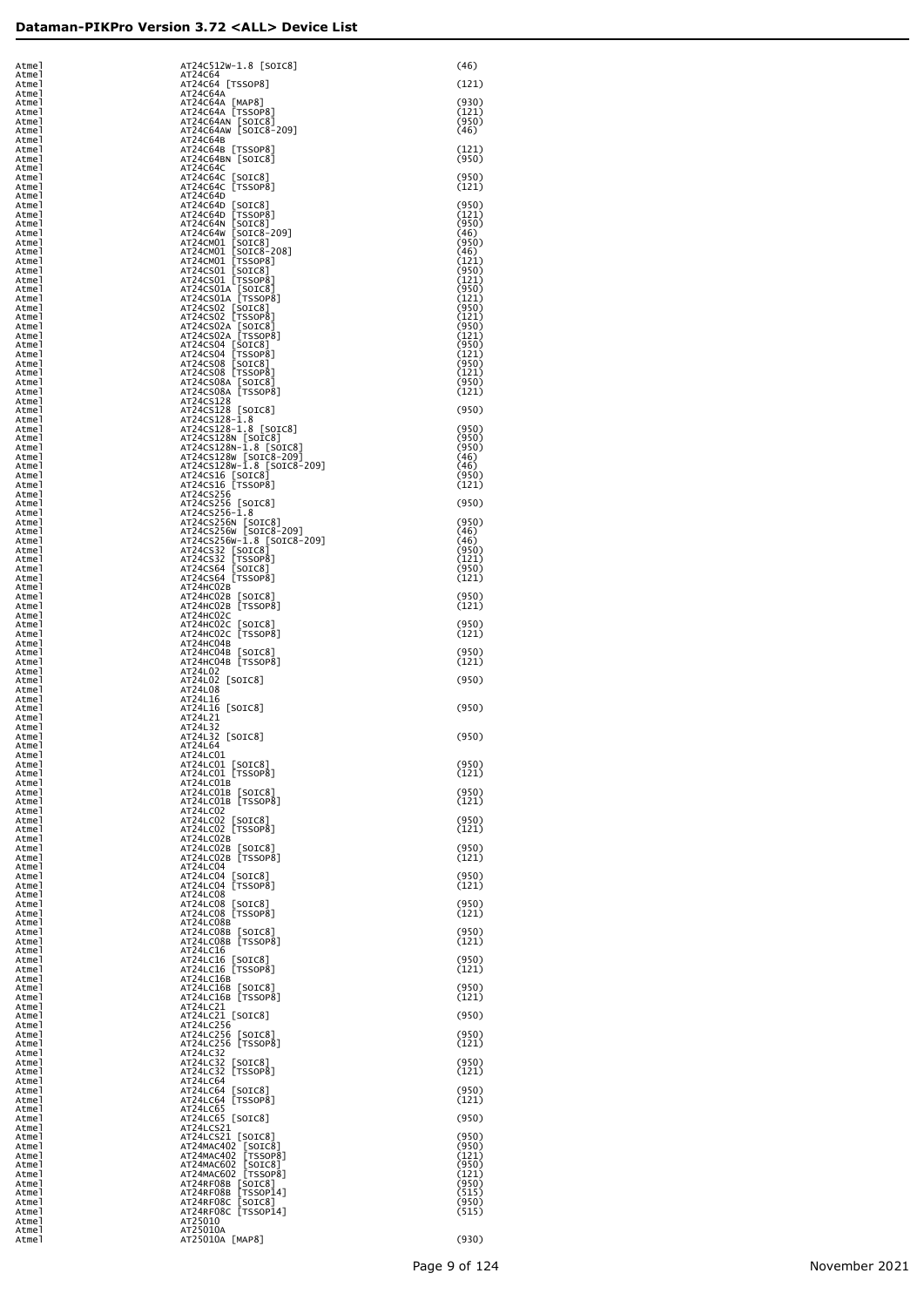| Atmel<br>Atmel          | AT24C512W-1.8 [SOIC8]<br>AT24C64                                                                      | (46)                    |
|-------------------------|-------------------------------------------------------------------------------------------------------|-------------------------|
| Atmel<br>Atmel          | AT24C64 [TSSOP8]<br>AT24C64A                                                                          | (121)                   |
| Atmel<br>Atmel          | AT24C64A [MAP8]<br>AT24C64A [TSSOP8]                                                                  | (930)<br>(121)          |
| Atmel<br>Atmel          | AT24C64AN [SOIC8]<br>AT24C64AW [SOIC8-209]                                                            | (950)<br>(46)           |
| Atmel<br>Atmel<br>Atmel | AT24C64B<br>AT24C64B [TSSOP8]<br>AT24C64BN [SOIC8]                                                    | (121)<br>(950)          |
| Atmel<br>Atmel          | AT24C64C                                                                                              | (950)                   |
| Atmel<br>Atmel          | AT24C64C [SOIC8]<br>AT24C64C [TSSOP8]<br>AT24C64D                                                     | (121)                   |
| Atmel<br>Atmel<br>Atmel |                                                                                                       | (950)<br>(121)<br>(950) |
| Atmel<br>Atmel          | AT24C64D [SOIC8]<br>AT24C64D [TSSOP8]<br>AT24C64N [SOIC8]<br>AT24C64W [SOIC8-209]<br>AT24CM01 [SOIC8] | (46)<br>(950)           |
| Atmel<br>Atmel          | AT24CM01 [SOIC8-208]<br>AT24CM01 [TSSOP8]                                                             | (46)<br>(121)           |
| Atmel<br>Atmel<br>Atmel | AT24CS01 [SOIC8]<br>AT24CS01 [TSSOP8]                                                                 | (950)<br>(121)<br>(950) |
| Atmel<br>Atmel          | AT24CS01A [SOIC8]<br>AT24CS01A [TSSOP8]<br>AT24CS02 [SOIC8]                                           | (121)<br>(950)          |
| Atmel<br>Atmel          | AT24CS02 [TSSOP8]<br>AT24CS02A [SOIC8]<br>AT24CS02A [TSS0P8]                                          | (121)<br>(950)          |
| Atmel<br>Atmel<br>Atmel | AT24CS04 [SOIC8]                                                                                      | (121)<br>(950)<br>(121) |
| Atmel<br>Atmel          | AT24CS04 [TSSOP8]<br>AT24CS08 [SOIC8]<br>AT24CS08 [TSSOP8]                                            | (950)<br>(121)          |
| Atmel<br>Atmel          | AT24CS08A [SOIC8]<br>AT24CS08A [TSSOP8]                                                               | (950)<br>(121)          |
| Atmel<br>Atmel<br>Atmel | AT24CS128<br>AT24CS128 [SOIC8]<br>AT24CS128-1.8                                                       | (950)                   |
| Atmel<br>Atmel          | AT24CS128-1.8 [SOIC8]<br>AT24CS128N [SOIC8]                                                           | (950)<br>(950)          |
| Atmel<br>Atmel          | AT24CS128N-1.8 [SOIC8]<br>AT24CS128W [SOIC8-209]                                                      | (950)<br>(46)           |
| Atmel<br>Atmel<br>Atmel | AT24CS128W-1.8 [SOIC8-209]<br>AT24CS16 [SOIC8]<br>AT24CS16 [TSSOP8]                                   | (46)<br>(950)<br>(121)  |
| Atmel<br>Atmel          | AT24CS256<br>AT24CS256 [SOIC8]                                                                        | (950)                   |
| Atmel<br>Atmel          | AT24CS256-1.8<br>AT24CS256N [SOIC8]<br>AT24CS256W [SOIC8-209]                                         | (950)                   |
| Atmel<br>Atmel<br>Atmel | AT24CS256W-1.8 [SOIC8-209]                                                                            | (46)<br>(46)<br>(950)   |
| Atmel<br>Atmel          | AT24CS32 [SOIC8]<br>AT24CS32 [TSSOP8]<br>AT24CS64<br>[SOIC8]                                          | (121)<br>(950)          |
| Atmel<br>Atmel<br>Atmel | AT24CS64 [TSSOP8]<br>AT24HC02B<br>AT24HC02B [SOIC8]                                                   | (121)<br>(950)          |
| Atmel<br>Atmel          | AT24HC02B [TSSOP8]<br>AT24HC02C                                                                       | (121)                   |
| Atmel<br>Atmel<br>Atmel | AT24HCO2C [SOIC8]<br>AT24HCO2C [TSSOP8]<br>AT24HC04B                                                  | (950)<br>(121)          |
| Atmel<br>Atmel          | AT24HC04B [SOIC8]<br>AT24HC04B [TSSOP8]                                                               | (950)<br>(121)          |
| Atmel<br>Atmel<br>Atmel | AT24L02<br>AT24L02 [SOIC8]<br>AT24L08                                                                 | (950)                   |
| Atmel<br>Atmel          | AT24L16<br>AT24L16 [SOIC8]                                                                            | (950)                   |
| Atmel<br>Atmel          | AT24L21<br>AT24L32                                                                                    |                         |
| Atmel<br>Atmel<br>Atmel | AT24L32 [SOIC8]<br>AT24L64<br>AT24LC01                                                                | (950)                   |
| Atmel<br>Atmel          | AT24LC01 [SOIC8]<br>AT24LC01 [TSSOP8]                                                                 | (950)<br>(121)          |
| Atmel<br>Atmel<br>Atmel | AT24LC01B<br>AT24LC01B [SOIC8]<br>AT24LC01B [TSSOP8]                                                  | (950)<br>(121)          |
| Atmel<br>Atmel          | AT24LC02<br>AT24LC02 [SOIC8]                                                                          | (950)                   |
| Atmel<br>Atmel<br>Atmel | AT24LC02 [TSSOP8]<br>AT24LC02B                                                                        | (121)<br>(950)          |
| Atmel<br>Atmel          | AT24LC02B [SOIC8]<br>AT24LC02B [TSSOP8]<br>AT24LC04                                                   | (121)                   |
| Atmel<br>Atmel<br>Atmel | AT24LC04 [SOIC8]<br>AT24LC04 [TSSOP8]<br>AT24LC08                                                     | (950)<br>(121)          |
| Atmel<br>Atmel          | AT24LC08 [SOIC8]<br>AT24LC08 [TSSOP8]                                                                 | (950)<br>(121)          |
| Atmel<br>Atmel          | AT24LC08B<br>AT24LC08B [SOIC8]<br>AT24LC08B [TSSOP8]                                                  | (950)                   |
| Atmel<br>Atmel<br>Atmel | AT24LC16<br>AT24LC16 [SOIC8]                                                                          | (121)<br>(950)          |
| Atmel<br>Atmel          | AT24LC16 [TSSOP8]<br>AT24LC16B                                                                        | (121)                   |
| Atmel<br>Atmel<br>Atmel | AT24LC16B [SOIC8]<br>AT24LC16B [TSSOP8]<br>AT24LC21                                                   | (950)<br>(121)          |
| Atmel<br>Atmel          | AT24LC21 [SOIC8]<br>AT24LC256                                                                         | (950)                   |
| Atmel<br>Atmel          | AT24LC256 [SOIC8]<br>AT24LC256 [TSSOP8]                                                               | (950)<br>(121)          |
| Atmel<br>Atmel<br>Atmel | AT24LC32<br>AT24LC32 [SOIC8]<br>AT24LC32 [TSSOP8]                                                     | (950)<br>(121)          |
| Atmel<br>Atmel          | AT24LC64<br>AT24LC64 [SOIC8]                                                                          | (950)                   |
| Atmel<br>Atmel<br>Atmel | AT24LC64 [TSSOP8]<br>AT24LC65<br>AT24LC65 [SOIC8]                                                     | (121)<br>(950)          |
| Atmel<br>Atmel          | AT24LCS21<br>AT24LCS21 [SOIC8]                                                                        | (950)                   |
| Atmel<br>Atmel          | AT24MAC402 [SOIC8]<br>AT24MAC402 [TSSOP8]                                                             | (950)<br>(121)<br>(950) |
| Atmel<br>Atmel<br>Atmel | AT24MAC602 [SOIC8]<br>AT24MAC602 [TSSOP8]<br>AT24RF08B [SOIC8]                                        | (121)<br>(950)          |
| Atmel<br>Atmel          | AT24RF08B<br>[TSSOP14]<br>AT24RF08C [SOIC8]<br>AT24RF08C [TSSOP14]                                    | (515)<br>(950)          |
| Atmel<br>Atmel<br>Atmel | AT25010<br>AT25010A                                                                                   | (515)                   |
| Atmel                   | AT25010A [MAP8]                                                                                       | (930)                   |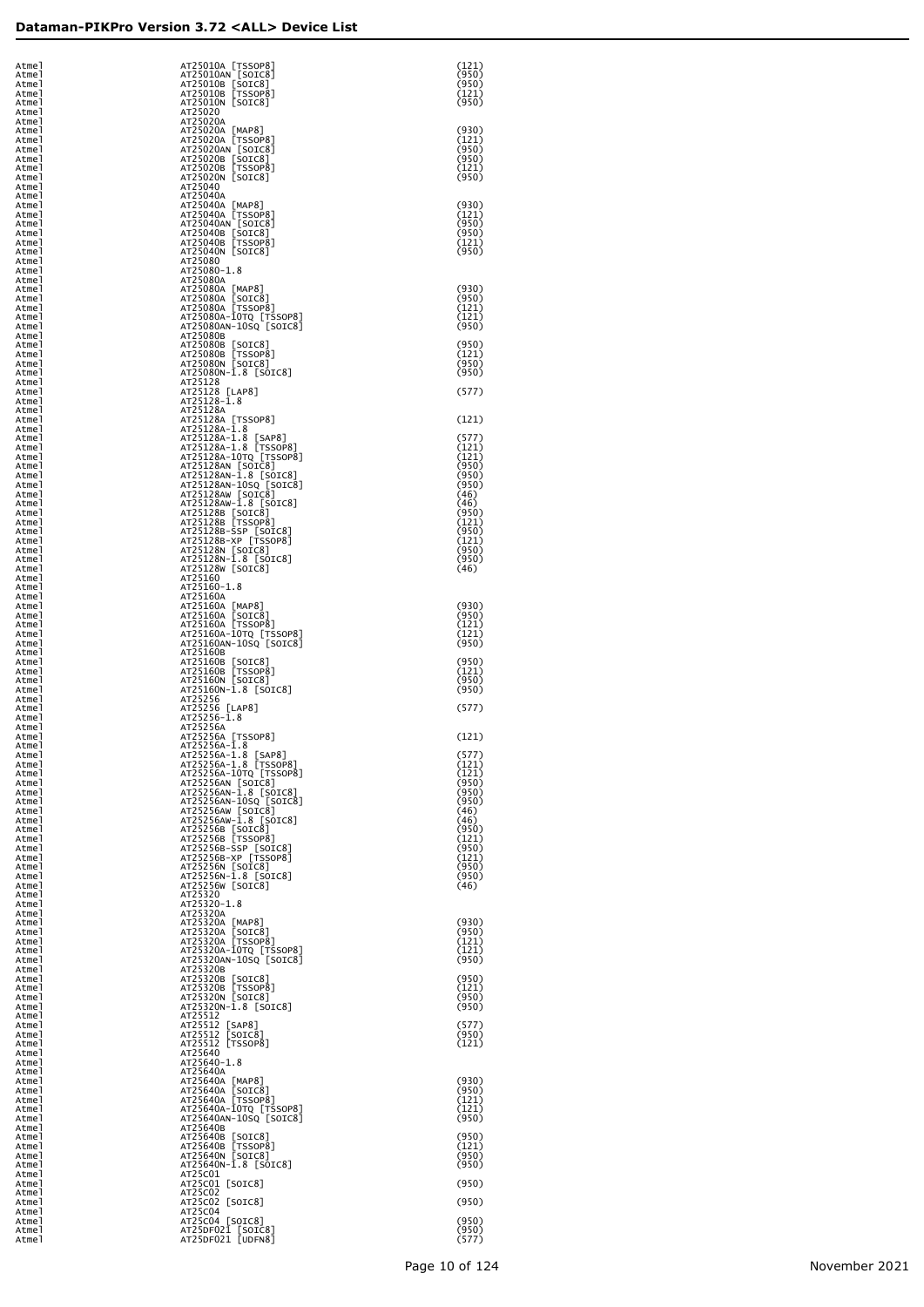| Atmel<br>Atmel          | AT25010A [TSSOP8]<br>AT25010AN [SOIC8]                               | (121)<br>(950)          |
|-------------------------|----------------------------------------------------------------------|-------------------------|
| Atmel<br>Atmel          | AT25010B [SOIC8]<br>AT25010B [TSSOP8]                                | (950)<br>(121)          |
| Atmel<br>Atmel<br>Atmel | AT25010N [SOIC8]<br>AT25020<br>AT25020A                              | (950)                   |
| Atmel<br>Atmel          | AT25020A [MAP8]<br>AT25020A [TSSOP8]                                 | (930)<br>(121)          |
| Atmel<br>Atmel          | AT25020AN [SOIC8]<br>AT25020B [SOIC8]                                | (950)<br>(950)          |
| Atmel<br>Atmel          | AT25020B [TSSOP8]<br>AT25020N [SOIC8]<br>AT25040                     | (121)<br>(950)          |
| Atmel<br>Atmel<br>Atmel | AT25040A<br>AT25040A [MAP8]                                          | (930)                   |
| Atmel<br>Atmel          | AT25040A [TSSOP8]<br>AT25040AN [SOIC8]                               | (121)<br>(950)          |
| Atmel<br>Atmel          | AT25040B [SOIC8]<br>AT25040B [TSSOP8]                                | (950)<br>(121)          |
| Atmel<br>Atmel          | AT25040N [SOIC8]<br>AT25080                                          | (950)                   |
| Atmel<br>Atmel<br>Atmel | AT25080-1.8<br>AT25080A<br>AT25080A [MAP8]                           | (930)                   |
| Atmel<br>Atmel          | AT25080A [SOIC8]<br>AT25080A [TSSOP8]                                | (950)<br>(121)          |
| Atmel<br>Atmel          | AT25080A-10TQ [TSSOP8]<br>AT25080AN-10SQ [SOIC8]                     | (121)<br>(950)          |
| Atmel<br>Atmel          | AT25080B<br>AT25080B [SOIC8]                                         | (950)                   |
| Atmel<br>Atmel          | AT25080B [TSSOP8]<br>AT25080N [SOIC8]<br>AT25080N-1.8 [SOIC8]        | (121)<br>(950)<br>(950) |
| Atmel<br>Atmel<br>Atmel | AT25128<br>AT25128 [LAP8]                                            | (577)                   |
| Atmel<br>Atmel          | AT25128-1.8<br>AT25128A                                              |                         |
| Atmel<br>Atmel          | AT25128A [TSSOP8]<br>AT25128A-1.8                                    | (121)                   |
| Atmel<br>Atmel          | AT25128A-1.8<br>[SAP8]<br>AT25128A-1.8 [TSSOP8]                      | (577)<br>(121)          |
| Atmel<br>Atmel<br>Atmel | AT25128A-10TQ [TSSOP8]<br>AT25128AN [SOIC8]<br>AT25128AN-1.8 [SOIC8] | (121)<br>(950)<br>(950) |
| Atmel<br>Atmel          | AT25128AN-10SQ [SOIC8]<br>AT25128AW [SOIC8]                          | (950)<br>(46)           |
| Atmel<br>Atmel          | AT25128AW-1.8 [SOIC8]<br>AT25128B [SOIC8]<br>AT25128B [TSSOP8]       | (46)<br>(950)           |
| Atmel<br>Atmel          | AT25128B-SSP [SOIC8]<br>AT25128B-XP [TSSOP8]                         | (121)<br>(950)          |
| Atmel<br>Atmel          | AT25128N [SOIC8]                                                     | (121)<br>(950)          |
| Atmel<br>Atmel          | AT25128N-1.8 [SOIC8]<br>AT25128W [SOIC8]<br>AT25160                  | (950)<br>(46)           |
| Atmel<br>Atmel<br>Atmel | AT25160-1.8<br>AT25160A                                              |                         |
| Atmel<br>Atmel          | AT25160A [MAP8]<br>AT25160A [SOIC8]                                  | (930)<br>(950)          |
| Atmel<br>Atmel          | AT25160A [TSSOP8]<br>AT25160A-10TQ [TSSOP8]                          | (121)<br>(121)          |
| Atmel<br>Atmel          | AT25160AN-10SQ [SOIC8]<br>AT25160B                                   | (950)                   |
| Atmel<br>Atmel          | AT25160B [SOIC8]<br>AT25160B [TSSOP8]                                | (950)<br>(121)          |
| Atmel<br>Atmel<br>Atmel | AT25160N [SOIC8]<br>AT25160N-1.8 [SOIC8]<br>AT25256                  | (950)<br>(950)          |
| Atmel<br>Atmel          | AT25256 [LAP8]<br>$AT25256 - \bar{1}.8$                              | (577)                   |
| Atmel<br>Atmel          | AT25256A<br>AT25256A [TSSOP8]                                        | (121)                   |
| Atmel<br>Atmel          | AT25256A-1.8<br>[SAP8]<br>AT25256A-1.8                               | (577)                   |
| Atmel<br>Atmel          | AT25256A-1.8 [TSSOP8]<br>AT25256A-10TQ [TSSOP8]                      | (121)<br>(121)          |
| Atmel<br>Atmel          | AT25256AN [SOIC8]<br>AT25256AN-1.8 [SOIC8]<br>AT25256AN-10SQ [SOIC8] | (950)<br>(950)<br>(950) |
| Atmel<br>Atmel<br>Atmel | AT25256AW [SOIC8]<br>AT25256AW-1.8 [SOIC8]                           | (46)<br>(46)            |
| Atmel<br>Atmel          | AT25256B [SOIC8]<br>AT25256B [TSSOP8]                                | (950)<br>(121)          |
| Atmel<br>Atmel          | AT25256B-SSP [SOIC8]<br>AT25256B-XP [TSSOP8]                         | (950)<br>(121)          |
| Atmel<br>Atmel          | AT25256N [SOIC8]<br>AT25256N-1.8 [SOIC8]                             | (950)<br>(950)          |
| Atmel<br>Atmel          | AT25256W [SOIC8]<br>AT25320<br>AT25320-1.8                           | (46)                    |
| Atmel<br>Atmel<br>Atmel | AT25320A<br>AT25320A [MAP8]                                          | (930)                   |
| Atmel<br>Atmel          | AT25320A [SOIC8]<br>AT25320A [TSSOP8]                                | (950)<br>(121)          |
| Atmel<br>Atmel          | AT25320A-10TQ [TSSOP8]<br>AT25320AN-10SQ [SOIC8]                     | (121)<br>(950)          |
| Atmel<br>Atmel          | AT25320B<br>AT25320B [SOIC8]                                         | (950)                   |
| Atmel<br>Atmel          | AT25320B [TSSOP8]<br>AT25320N [SOIC8]<br>AT25320N-1.8 [SOIC8]        | (121)<br>(950)<br>(950) |
| Atmel<br>Atmel<br>Atmel | AT25512<br>AT25512<br>[SAP8]                                         | (577)                   |
| Atmel<br>Atmel          | AT25512<br>[SOIC8]<br>AT25512 [TSSOP8]                               | (950)<br>(121)          |
| Atmel<br>Atmel          | AT25640<br>AT25640-1.8                                               |                         |
| Atmel<br>Atmel          | AT25640A<br>AT25640A [MAP8]                                          | (930)                   |
| Atmel<br>Atmel          | AT25640A [SOIC8]<br>AT25640A [TSSOP8]<br>AT25640A-10TQ [TSSOP8]      | (950)<br>(121)<br>(121) |
| Atmel<br>Atmel<br>Atmel | AT25640AN-10SQ [SOIC8]<br>AT25640B                                   | (950)                   |
| Atmel<br>Atmel          | AT25640B [SOIC8]<br>AT25640B [TSSOP8]                                | (950)<br>(121)          |
| Atmel<br>Atmel          | AT25640N [SOIC8]<br>AT25640N-1.8 [SOIC8]                             | (950)<br>(950)          |
| Atmel<br>Atmel          | AT25C01<br>AT25C01 [SOIC8]                                           | (950)                   |
| Atmel<br>Atmel          | AT25C02<br>AT25C02 [SOIC8]<br>AT25C04                                | (950)                   |
| Atmel<br>Atmel<br>Atmel | AT25C04 [SOIC8]<br>AT25DF021 [SOIC8]                                 | (950)<br>(950)          |
| Atmel                   | AT25DF021 [UDFN8]                                                    | (577)                   |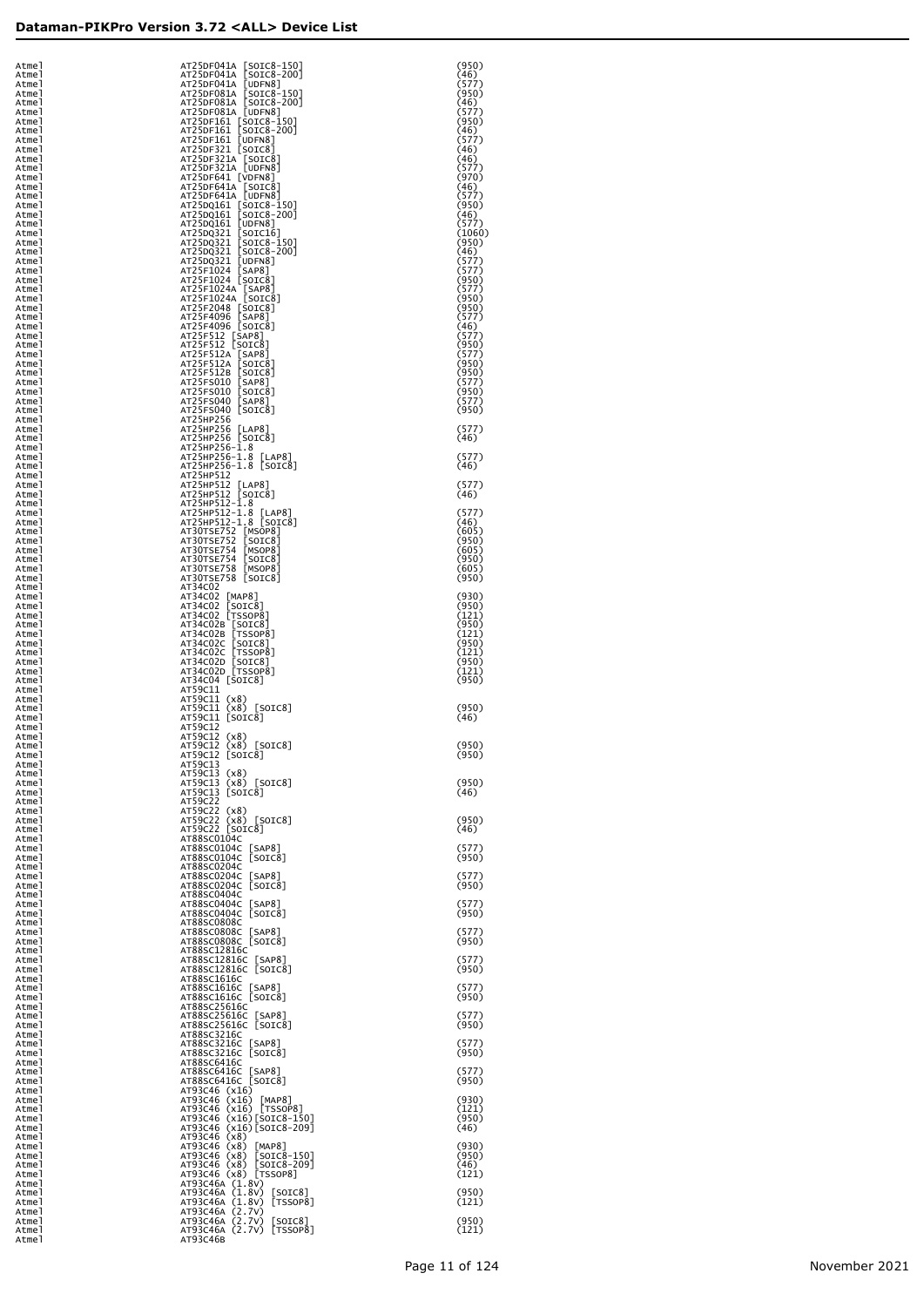| Atmel          | AT25DF041A [SOIC8-150]                                | (950)           |
|----------------|-------------------------------------------------------|-----------------|
| Atmel          | AT25DF041A [SOIC8-200]                                | (46)            |
| Atmel<br>Atmel | AT25DF041A [UDFN8]<br>AT25DF081A [SOIC8-150]          | (577)<br>(950)  |
| Atmel          | AT25DF081A [SOIC8-200]                                | (46)            |
| Atmel          | AT25DF081A [UDFN8]                                    | (577)           |
| Atmel<br>Atmel | AT25DF161 [SOIC8-150]<br>AT25DF161 [SOIC8-200]        | (950)<br>(46)   |
| Atmel          | AT25DF161 [UDFN8]                                     | (577)           |
| Atmel          | AT25DF321 [SOIC8]                                     | (46)            |
| Atmel<br>Atmel | AT25DF321A [SOIC8]<br>AT25DF321A [UDFN8]              | (46)<br>(577)   |
| Atmel          | AT25DF641 [VDFN8]                                     | (970)           |
| Atmel          | AT25DF641A [SOIC8]                                    | (46)            |
| Atmel<br>Atmel | AT25DF641A [UDFN8]<br>AT25DQ161 [SOIC8-150]           | (577)<br>(950)  |
| Atmel          | AT25DQ161 [SOIC8-200]                                 | (46)            |
| Atmel<br>Atmel | AT25DQ161 [UDFN8]<br>AT25DQ321 [SOIC16]               | (577)<br>(1060) |
| Atmel          | AT25DQ321 [SOIC8-150]                                 | (950)           |
| Atmel          | AT25DQ321 [SOIC8-200]                                 | (46)            |
| Atmel<br>Atmel | AT25DQ321 [UDFN8]<br>AT25F1024 [SAP8]                 | (577)<br>(577)  |
| Atmel          | AT25F1024 [SOIC8]                                     | (950)           |
| Atmel          | AT25F1024A [SAP8]                                     | (577)           |
| Atmel<br>Atmel | AT25F1024A [SOIC8]<br>AT25F2048 [SOIC8]               | (950)<br>(950)  |
| Atmel          | AT25F4096 [SAP8]                                      | (577)           |
| Atmel<br>Atmel | AT25F4096 [SOIC8]<br>AT25F512 [SAP8]                  | (46)<br>(577)   |
| Atmel          | AT25F512 [SOIC8]                                      | (950)           |
| Atmel          | AT25F512A [SAP8]                                      | (577)           |
| Atmel<br>Atmel | AT25F512A [SOIC8]<br>AT25F512B [SOIC8]                | (950)<br>(950)  |
| Atmel          | AT25FS010 [SAP8]                                      | (577)           |
| Atmel          | AT25FS010 [SOIC8]                                     | (950)           |
| Atmel<br>Atmel | AT25FS040 [SAP8]<br>AT25FS040 [SOIC8]                 | (577)<br>(950)  |
| Atmel          | AT25HP256                                             |                 |
| Atmel<br>Atmel | AT25HP256 [LAP8]<br>AT25HP256 [SOIC8]                 | (577)<br>(46)   |
| Atmel          | AT25HP256-1.8                                         |                 |
| Atmel          | AT25HP256-1.8 [LAP8]                                  | (577)           |
| Atmel<br>Atmel | AT25HP256-1.8 [SOIC8]<br>AT25HP512                    | (46)            |
| Atmel          | AT25HP512 [LAP8]                                      | (577)           |
| Atmel          | AT25HP512 [SOIC8]<br>AT25HP512-1.8                    | (46)            |
| Atmel<br>Atmel | AT25HP512-1.8 [LAP8]                                  | (577)           |
| Atmel          | AT25HP512-1.8 [SOIC8]                                 | (46)            |
| Atmel<br>Atmel | AT30TSE752 [MSOP8]<br>AT30TSE752 [SOIC8]              | (605)<br>(950)  |
| Atmel          | AT30TSE754 [MSOP8]                                    | (605)           |
| Atmel          | AT30TSE754 [SOIC8]                                    | (950)           |
| Atmel<br>Atmel | AT30TSE758 [MSOP8]<br>AT30TSE758 [SOIC8]              | (605)<br>(950)  |
| Atmel          | AT34C02                                               |                 |
| Atmel<br>Atmel | AT34C02 [MAP8]<br>AT34C02 [SOIC8]                     | (930)<br>(950)  |
| Atmel          | AT34C02 [TSS0P8]                                      | (121)           |
| Atmel<br>Atmel | AT34C02B [SOIC8]<br>AT34C02B [TSSOP8]                 | (950)<br>(121)  |
| Atmel          | AT34C02C [SOIC8]                                      | (950)           |
| Atmel          | AT34C02C [TSSOP8]                                     | (121)           |
| Atmel<br>Atmel | AT34C02D [SOIC8]<br>AT34C02D [TSSOP8]                 | (950)<br>(121)  |
| Atmel          | AT34C04 [SOIC8]                                       | (950)           |
| Atmel<br>Atmel | AT59C11<br>AT59C11 (x8)                               |                 |
| Atmel          | AT59C11 (x8) [SOIC8]                                  | (950)           |
| Atmel<br>Atmel | AT59C11 [SOIC8]<br>AT59C12                            | (46)            |
| Atmel          | AT59C12 (x8)                                          |                 |
| Atmel<br>Atmel | AT59C12 (x8) [SOIC8]                                  | (950)           |
| Atmel          | AT59C12 [SOIC8]<br>AT59C13                            | (950)           |
| Atmel          | AT59C13 (x8)                                          |                 |
| Atmel<br>Atmel | AT59C13 (x8) [SOIC8]<br>AT59C13 [SOIC8]               | (950)<br>(46)   |
| Atmel          | AT59C22                                               |                 |
| Atmel<br>Atmel | AT59C22 (x8)<br>AT59C22 (x8) [SOIC8]                  | (950)           |
| Atmel          | AT59C22 [SOIC8]                                       | (46)            |
| Atmel<br>Atmel | AT88SC0104C<br>AT88SC0104C [SAP8]                     | (577)           |
| Atmel          | AT88SC0104C [SOIC8]                                   | (950)           |
| Atmel          | AT88SC0204C                                           |                 |
| Atmel<br>Atmel | AT88SC0204C [SAP8]<br>AT88SC0204C [SOIC8]             | (577)<br>(950)  |
| Atmel          | AT88SC0404C                                           |                 |
| Atmel<br>Atmel | AT88SC0404C [SAP8]<br>AT88SC0404C [SOIC8]             | (577)<br>(950)  |
| Atmel          | AT88SC0808C                                           |                 |
| Atmel<br>Atmel | AT88SC0808C [SAP8]<br>AT88SC0808C [SOIC8]             | (577)<br>(950)  |
| Atmel          | AT88SC12816C                                          |                 |
| Atmel          | AT88SC12816C [SAP8]<br>AT88SC12816C [SOIC8]           | (577)           |
| Atmel<br>Atmel | AT88SC1616C                                           | (950)           |
| Atmel          | AT88SC1616C [SAP8]                                    | (577)           |
| Atmel<br>Atmel | AT88SC1616C [SOIC8]<br>AT88SC25616C                   | (950)           |
| Atmel          | AT88SC25616C [SAP8]                                   | (577)           |
| Atmel<br>Atmel | AT88SC25616C [SOIC8]<br>AT88SC3216C                   | (950)           |
| Atmel          | AT88SC3216C [SAP8]                                    | (577)           |
| Atmel<br>Atmel | AT88SC3216C [SOIC8]<br>AT88SC6416C                    | (950)           |
| Atmel          | AT88SC6416C [SAP8]                                    | (577)           |
| Atmel          | AT88SC6416C [SOIC8]<br>AT93C46 (x16)                  | (950)           |
| Atmel<br>Atmel | AT93C46 (x16) [MAP8]                                  | (930)           |
| Atmel          | AT93C46 (x16) [TSSOP8]<br>AT93C46 (x16)[SOIC8-150]    | (121)           |
| Atmel<br>Atmel | AT93C46 (x16) [SOIC8-209]                             | (950)<br>(46)   |
| Atmel          | AT93C46 (x8)                                          |                 |
| Atmel<br>Atmel | AT93C46 (x8)<br>[MAP8]<br>AT93C46 (x8)<br>[SOIC8-150] | (930)<br>(950)  |
| Atmel          | AT93C46 (x8)<br>$[SOIC8-209]$                         | (46)            |
| Atmel<br>Atmel | AT93C46 (x8) [TSSOP8]<br>AT93C46A (1.8V)              | (121)           |
| Atmel          | AT93C46A (1.8V)<br>$\lfloor$ SOIC $8$ ]               | (950)           |
| Atmel          | AT93C46A (1.8V) [TSSOP8]                              | (121)           |
| Atmel<br>Atmel | AT93C46A (2.7V)<br>AT93C46A (2.7V) [SOIC8]            | (950)           |
| Atmel          | AT93C46A (2.7V) [TSSOP8]                              | (121)           |
| Atmel          | AT93C46B                                              |                 |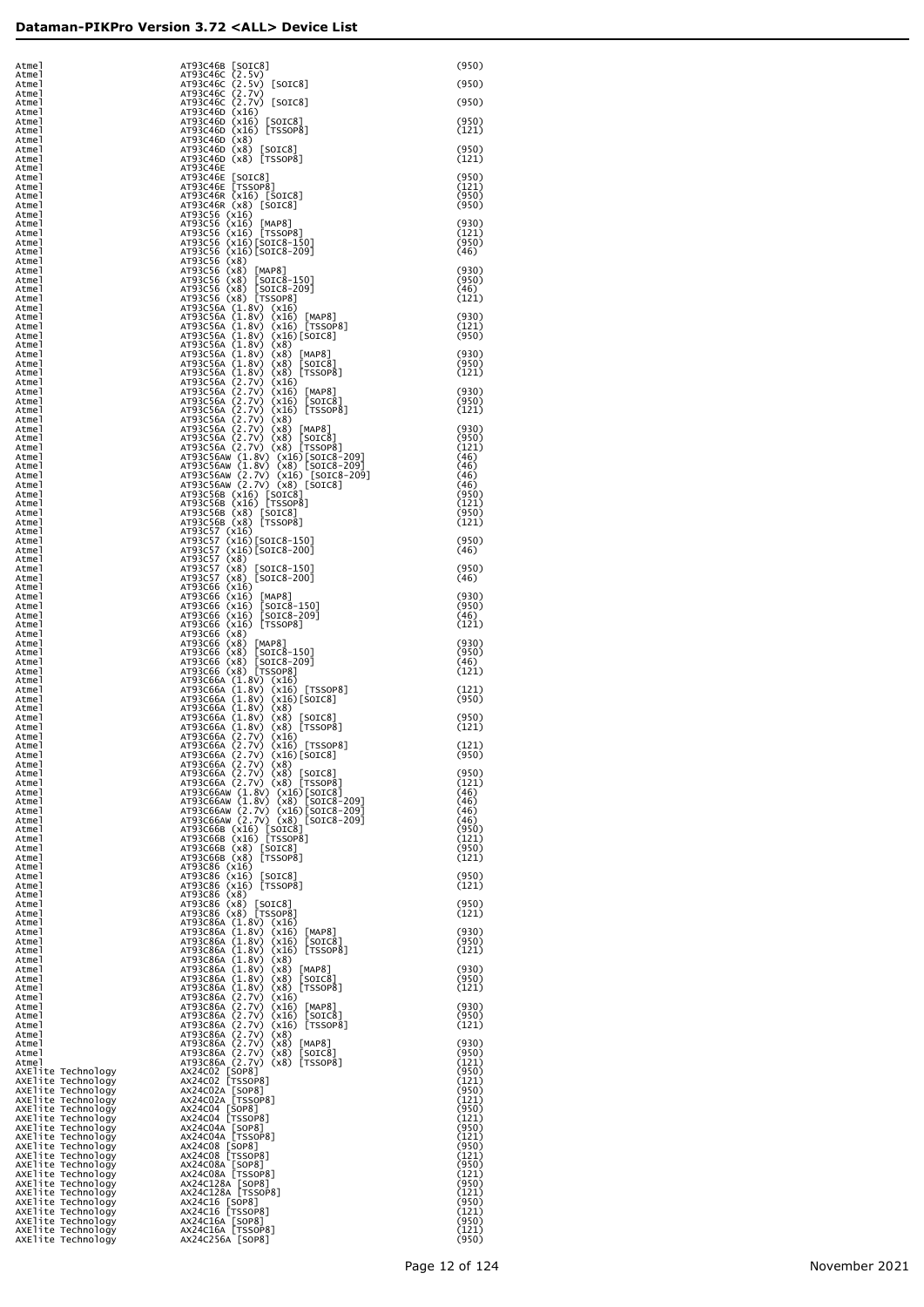| Atmel                                    |                                                                                                                                                                                                                                                           | (950)          |
|------------------------------------------|-----------------------------------------------------------------------------------------------------------------------------------------------------------------------------------------------------------------------------------------------------------|----------------|
| Atmel<br>Atmel                           |                                                                                                                                                                                                                                                           | (950)          |
| Atmel<br>Atmel                           |                                                                                                                                                                                                                                                           | (950)          |
| Atmel<br>Atmel                           |                                                                                                                                                                                                                                                           | (950)          |
| Atmel                                    | AT93C46B [SOIC8]<br>AT93C46C (2.5V) [SOIC8]<br>AT93C46C (2.5V) [SOIC8]<br>AT93C46C (2.7V) [SOIC8]<br>AT93C46C (2.7V) [SOIC8]<br>AT93C46D (X16) [SOIC8]<br>AT93C46D (X16) [TSSOP8]<br>AT93C46D (X8) [SOIC8]<br>AT93C46D (X8) [SOIC8]<br>AT93C46D (X8) [SOI | (121)          |
| Atmel<br>Atmel                           |                                                                                                                                                                                                                                                           | (950)          |
| Atmel<br>Atmel                           | AT93C46E                                                                                                                                                                                                                                                  | (121)          |
| Atmel<br>Atmel                           | AT93C46E [SOIC8]<br>AT93C46E [SOIC8]<br>AT93C46E [TSSOP8]<br>AT93C46E (X16) [SOIC8]<br>AT93C46E (X16) [SOIC8]<br>AT93C56 (X16) [TSSOP8]<br>AT93C56 (X16) [TSSOP8]<br>AT93C56 (X16)[SOIC8-150]<br>AT93C56 (X16)[SOIC8-150]                                 | (950)<br>(121) |
| Atmel                                    |                                                                                                                                                                                                                                                           | (950)          |
| Atmel<br>Atmel                           |                                                                                                                                                                                                                                                           | (950)          |
| Atmel<br>Atmel                           |                                                                                                                                                                                                                                                           | (930)<br>(121) |
| Atmel<br>Atmel                           |                                                                                                                                                                                                                                                           | (950)<br>(46)  |
| Atmel                                    | AT93C56 (x16) [SOTC8-209]<br>AT93C56 (x8)<br>AT93C56 (x8)<br>AT93C56 (x8) [MAP8]<br>AT93C56 (x8) [SOTC8-150]<br>AT93C56 (x8) [SOTC8-209]<br>AT93C56 (x8) [T5SOP8]<br>AT93C56 (x8) [T5SOP8]                                                                |                |
| Atmel<br>Atmel                           |                                                                                                                                                                                                                                                           | (930)<br>(950) |
| Atmel<br>Atmel                           |                                                                                                                                                                                                                                                           | (46)<br>(121)  |
| Atmel<br>Atmel                           | AT93C56 (1.8V) (x16)<br>AT93C56 (1.8V) (x16)<br>AT93C56A (1.8V) (x16) [MAP8]<br>AT93C56A (1.8V) (x16) [TSSOP8]<br>AT93C56A (1.8V) (x16) [SOTC8]<br>AT93C56A (1.8V) (x8) [MAP8]<br>AT93C56A (1.8V) (x8) [MAP8]<br>AT93C56A (1.8V) (x8) [SOTC8]<br>AT93C    | (930)          |
| Atmel                                    |                                                                                                                                                                                                                                                           | (121)          |
| Atmel<br>Atmel                           |                                                                                                                                                                                                                                                           | (950)          |
| Atmel<br>Atmel                           |                                                                                                                                                                                                                                                           | (930)<br>(950) |
| Atmel<br>Atmel                           |                                                                                                                                                                                                                                                           | (121)          |
| Atmel                                    |                                                                                                                                                                                                                                                           | (930)          |
| Atmel<br>Atmel                           |                                                                                                                                                                                                                                                           | (950)<br>(121) |
| Atmel<br>Atmel                           |                                                                                                                                                                                                                                                           | (930)          |
| Atmel<br>Atmel                           |                                                                                                                                                                                                                                                           | (950)<br>(121) |
| Atmel                                    |                                                                                                                                                                                                                                                           | (46)           |
| Atmel<br>Atmel                           |                                                                                                                                                                                                                                                           | (46)<br>(46)   |
| Atmel<br>Atmel                           | A193C56AW (1.8V) (X8) [TSSOP8]<br>AT93C56AW (1.8V) (X16)[SOTC8-209]<br>AT93C56AW (1.8V) (X16) [SOTC8-209]<br>AT93C56AW (2.7V) (X16) [SOTC8-209]<br>AT93C56AW (2.7V) (X8) [SOTC8]<br>AT93C56B (X16) [TSSOP8]<br>AT93C56B (X8) [SOTC8]<br>AT93C56B (X       | (46)<br>(950)  |
| Atmel<br>Atmel                           |                                                                                                                                                                                                                                                           | (121)<br>(950) |
| Atmel                                    |                                                                                                                                                                                                                                                           | (121)          |
| Atmel<br>Atmel                           | AT93C568 (x8) [TSS0P8]<br>AT93C57 (x16) [SOTC8-150]<br>AT93C57 (x16) [SOTC8-150]<br>AT93C57 (x16) [SOTC8-200]<br>AT93C57 (x8) [SOTC8-200]<br>AT93C66 (x16) [SOTC8-200]<br>AT93C66 (x16) [MAP8]<br>AT93C66 (x16) [MAP8]<br>AT93C66 (x16) [SOTC8-150]<br>AT | (950)          |
| Atmel<br>Atmel                           |                                                                                                                                                                                                                                                           | (46)           |
| Atmel<br>Atmel                           |                                                                                                                                                                                                                                                           | (950)<br>(46)  |
| Atmel                                    |                                                                                                                                                                                                                                                           | (930)          |
| Atmel<br>Atmel                           |                                                                                                                                                                                                                                                           | (950)          |
| Atmel<br>Atmel                           |                                                                                                                                                                                                                                                           | (46)<br>(121)  |
| Atmel<br>Atmel                           |                                                                                                                                                                                                                                                           | (930)          |
| Atmel<br>Atmel                           |                                                                                                                                                                                                                                                           | (950)<br>(46)  |
| Atmel                                    | AT93C66 (x8)<br>AT93C66 (x8) [MAP8]<br>AT93C66 (x8) [SOIC8-150]<br>AT93C66 (x8) [SOIC8-209]<br>AT93C66 (x8) [T5SOP8]<br>AT93C66 (x8) [T5SOP8]                                                                                                             | (121)          |
| Atmel<br>Atmel                           | AT93C66A (1.8V) (x16)<br>AT93C66A (1.8V) (x16) [TSSOP8]                                                                                                                                                                                                   | (121)          |
| Atmel<br>Atmel                           | AT93C66A (1.8V) (x16)[SOIC8]                                                                                                                                                                                                                              | (950)          |
| Atmel<br>Atmel                           | AT93C66A (1.8V) (X8)<br>AT93C66A (1.8V) (X8)<br>AT93C66A (1.8V) (X8) [TSSOP8]<br>AT93C66A (2.7V) (X16) [TSSOP8]<br>AT93C66A (2.7V) (X16) [TSSOP8]<br>AT93C66A (2.7V) (X16) [TSSOP8]                                                                       | (950)<br>(121) |
| Atmel                                    |                                                                                                                                                                                                                                                           |                |
| Atmel<br>Atmel                           | AT93C66A (2.7V) (x16)[SOIC8]                                                                                                                                                                                                                              | (121)<br>(950) |
| Atmel<br>Atmel                           | AT93C66A (2.7V) (x8)                                                                                                                                                                                                                                      | (950)          |
| Atmel<br>Atmel                           | AT93C66A (2.7V) (x8) [SOIC8]<br>AT93C66A (2.7V) (x8) [TSSOP8]<br>AT93C66AW (1.8V) (X16)[SOIC8]                                                                                                                                                            | (121)<br>(46)  |
| Atmel<br>Atmel                           | AT93C66AW (1.8V) (X8) [SOIC8-209]<br>AT93C66AW (2.7V) (X16)[SOIC8-209]<br>AT93C66AW (2.7V) (X8) [SOIC8-209]                                                                                                                                               | (46)           |
| Atmel                                    |                                                                                                                                                                                                                                                           | (46)<br>(46)   |
| Atmel<br>Atmel                           |                                                                                                                                                                                                                                                           | (950)<br>(121) |
| Atmel<br>Atmel                           | AT93C66B (x16) [SOTC8]<br>AT93C66B (x16) [TSSOP8]<br>AT93C66B (x8) [SOTC8]<br>AT93C66B (x8) [TSSOP8]                                                                                                                                                      | (950)<br>(121) |
| Atmel<br>Atmel                           | AT93C86 (x16)                                                                                                                                                                                                                                             | (950)          |
| Atmel                                    | AT93C86 (x16) [SOIC8]<br>AT93C86 (x16) [TSSOP8]<br>AT93C86 (x8) [SOIC8]<br>AT93C86 (x8) [SOIC8]<br>AT93C86 (x8) [TSSOP8]<br>AT93C86 (x8) [TSSOP8]                                                                                                         | (121)          |
| Atmel<br>Atmel                           |                                                                                                                                                                                                                                                           | (950)          |
| Atmel<br>Atmel                           |                                                                                                                                                                                                                                                           | (121)          |
| Atmel<br>Atmel                           | AT93C86A (1.8V) (x16)<br>AT93C86A (1.8V) (x16) [MAP8]<br>AT93C86A (1.8V) (x16) [SOIC8]                                                                                                                                                                    | (930)<br>(950) |
| Atmel                                    | AT93C86A (1.8V) (x16) [TSSOP8]                                                                                                                                                                                                                            | (121)          |
| Atmel<br>Atmel                           | AT93C86A (1.8V) (x8)<br>AT93C86A (1.8V) (x8) [MAP8]                                                                                                                                                                                                       | (930)          |
| Atmel<br>Atmel                           | AT93C86A (1.8V) (x8)<br>[SOIC8]                                                                                                                                                                                                                           | (950)<br>(121) |
| Atmel<br>Atmel                           |                                                                                                                                                                                                                                                           | (930)          |
| Atmel                                    |                                                                                                                                                                                                                                                           | (950)          |
| Atmel<br>Atmel                           | AT93C86A (1.8V) (x8) [SOTC8]<br>AT93C86A (1.8V) (x8) [SOSOP8]<br>AT93C86A (2.7V) (x16) [MAP8]<br>AT93C86A (2.7V) (x16) [MAP8]<br>AT93C86A (2.7V) (x16) [MORE8]<br>AT93C86A (2.7V) (x8) [MSOTC8]<br>AT93C86A (2.7V) (x8) [MAP8]<br>AT93C86A (2.7V) (       | (121)          |
| Atmel<br>Atmel                           |                                                                                                                                                                                                                                                           | (930)<br>(950) |
| Atmel<br>AXElite Technology              |                                                                                                                                                                                                                                                           | (121)<br>(950) |
| AXElite Technology<br>AXElite Technology |                                                                                                                                                                                                                                                           | (121)<br>(950) |
| AXElite Technology                       | AX24CO2A [SOP8]<br>AX24CO2A [TSSOP8]<br>AX24CO4 [SOP8]<br>AX24CO4 [TSSOP8]                                                                                                                                                                                | (121)          |
| AXElite Technology<br>AXElite Technology |                                                                                                                                                                                                                                                           | (950)<br>(121) |
| AXElite Technology<br>AXElite Technology | AX24C04A [SOP8]<br>AX24C04A [TSSOP8]<br>AX24C08 [SOP8]<br>AX24C08 [TSSOP8]                                                                                                                                                                                | (950)<br>(121) |
| AXElite Technology<br>AXElite Technology |                                                                                                                                                                                                                                                           | (950)<br>(121) |
| AXElite Technology                       | AX24C08A [SOP8]<br>AX24C08A [TSSOP8]                                                                                                                                                                                                                      | (950)<br>(121) |
| AXElite Technology<br>AXElite Technology | AX24C128A [SOP8]<br>AX24C128A [TSSOP8]                                                                                                                                                                                                                    | (950)          |
| AXElite Technology<br>AXElite Technology |                                                                                                                                                                                                                                                           | (121)<br>(950) |
| AXElite Technology<br>AXElite Technology | AX24C16 [SOP8]<br>AX24C16 [TSSOP8]                                                                                                                                                                                                                        | (121)<br>(950) |
| AXElite Technology<br>AXElite Technology | AX24C16A [SOP8]<br>AX24C16A [TSSOP8]<br>AX24C256A [SOP8]                                                                                                                                                                                                  | (121)<br>(950) |
|                                          |                                                                                                                                                                                                                                                           |                |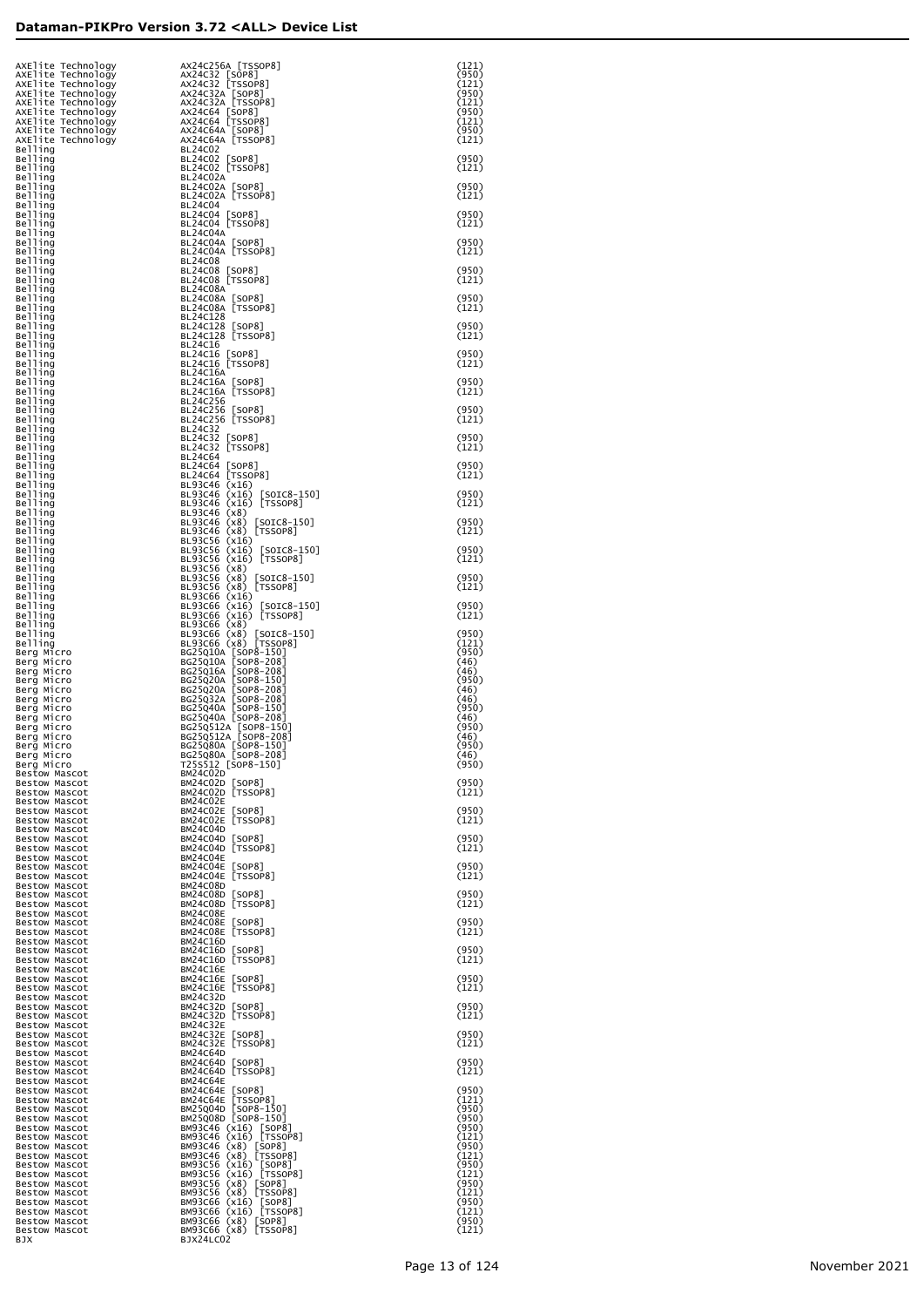| AXElite Technology<br>AXElite Technology                       | AX24C256A [TSSOP8]<br>AX24C32 [SOP8]                                                                                                                                                                                                      | (121)<br>(950)          |
|----------------------------------------------------------------|-------------------------------------------------------------------------------------------------------------------------------------------------------------------------------------------------------------------------------------------|-------------------------|
| AXElite Technology<br>AXElite Technology<br>AXElite Technology | AX24C32 [TSSOP8]<br>AX24C32A [SOP8]<br>AX24C32A [TSSOP8]                                                                                                                                                                                  | (121)<br>(950)<br>(121) |
| AXElite Technology<br>AXElite Technology                       | AX24C64 [SOP8]<br>AX24C64 [TSSOP8]                                                                                                                                                                                                        | (950)<br>(121)          |
| AXElite Technology<br>AXElite Technology<br>Belling            | AX24C64A [SOP8]<br>AX24C64A [TSSOP8]<br><b>BL24C02</b>                                                                                                                                                                                    | (950)<br>(121)          |
| Belling<br>Belling                                             | BL24C02 [SOP8]<br>BL24C02 [TSSOP8]                                                                                                                                                                                                        | (950)<br>(121)          |
| Belling<br>Belling<br>Belling                                  | BL24C02A<br>BL24C02A [SOP8]<br>BL24C02A [TSSOP8]                                                                                                                                                                                          | (950)<br>(121)          |
| Belling<br>Belling<br>Belling                                  | <b>BL24C04</b><br>BL24C04 [SOP8]<br>BL24C04 [TSSOP8]                                                                                                                                                                                      | (950)<br>(121)          |
| Belling<br>Belling                                             | BL24C04A<br>BL24C04A [SOP8]                                                                                                                                                                                                               | (950)                   |
| Belling<br>Belling<br>Belling                                  | BL24C04A [TSSOP8]<br><b>BL24C08</b><br>BL24C08 [SOP8]                                                                                                                                                                                     | (121)<br>(950)          |
| Belling<br>Belling<br>Belling                                  | BL24C08 [TSSOP8]<br>BL24C08A<br>BL24C08A [SOP8]                                                                                                                                                                                           | (121)<br>(950)          |
| Belling<br>Belling                                             | BL24C08A [TSSOP8]<br>BL24C128                                                                                                                                                                                                             | (121)                   |
| Belling<br>Belling<br>Belling                                  | BL24C128 [SOP8]<br>BL24C128 [TSSOP8]<br>BL24C16                                                                                                                                                                                           | (950)<br>(121)          |
| Belling<br>Belling                                             | BL24C16 [SOP8]<br>BL24C16 [TSSOP8]                                                                                                                                                                                                        | (950)<br>(121)          |
| Belling<br>Belling<br>Belling                                  | BL24C16A<br>BL24C16A [SOP8]<br>BL24C16A [TSSOP8]                                                                                                                                                                                          | (950)<br>(121)          |
| Belling<br>Belling<br>Belling                                  | BL24C256<br>BL24C256 [SOP8]<br>BL24C256 [TSSOP8]                                                                                                                                                                                          | (950)<br>(121)          |
| Belling<br>Belling                                             | <b>BL24C32</b><br>BL24C32 [SOP8]                                                                                                                                                                                                          | (950)                   |
| Belling<br>Belling<br>Belling                                  | BL24C32 [TSSOP8]<br><b>BL24C64</b><br>BL24C64 [SOP8]                                                                                                                                                                                      | (121)<br>(950)          |
| Belling<br>Belling                                             | BL24C64 [TSSOP8]<br>BL93C46 (x16)                                                                                                                                                                                                         | (121)                   |
| Belling<br>Belling<br>Belling                                  | BL93C46 (x16)<br>$[SOIC8-150]$<br>BL93C46 (x16) [TSSOP8]<br>BL93C46 (x8)                                                                                                                                                                  | (950)<br>(121)          |
| Belling<br>Belling                                             | BL93C46 (x8) [SOIC8-150]<br>BL93C46 (x8) [TSSOP8]                                                                                                                                                                                         | (950)<br>(121)          |
| Belling<br>Belling<br>Belling                                  | BL93C56 (x16)<br>BL93C56 (x16) [SOIC8-150]<br>BL93C56 (x16) [TSSOP8]                                                                                                                                                                      | (950)<br>(121)          |
| Belling<br>Belling<br>Belling                                  | BL93C56 (x8)<br>BL93C56 (x8) [SOIC8-150]<br>BL93C56 (x8) [TSSOP8]                                                                                                                                                                         | (950)<br>(121)          |
| Belling<br>Belling                                             | BL93C66 (x16)<br>BL93C66 (x16) [SOIC8-150]                                                                                                                                                                                                | (950)                   |
| Belling<br>Belling<br>Belling                                  | BL93C66 (x16) [TSSOP8]<br>BL93C66 (x8)<br>BL93C66 (x8) [SOIC8-150]                                                                                                                                                                        | (121)<br>(950)          |
| Belling<br>Berg Micro                                          | BL93C66 (x8) [TSSOP8]                                                                                                                                                                                                                     | (121)<br>(950)          |
| Berg Micro<br>Berg Micro<br>Berg Micro                         | <b>BL25010A [SOP8-150]</b><br>BG25010A [SOP8-208]<br>BG25010A [SOP8-208]<br>BG25020A [SOP8-208]<br>BG25020A [SOP8-208]<br>BG25032A [SOP8-150]<br>BG25040A [SOP8-150]<br>BG25040A [SOP8-150]<br>BG25040A [SOP8-208]<br>BG25040A [SOP8-208] | (46)<br>(46)<br>(950)   |
| Berg Micro<br>Berg Micro                                       |                                                                                                                                                                                                                                           | (46)<br>(46)            |
| Berg Micro<br>Berg Micro<br>Berg Micro                         |                                                                                                                                                                                                                                           | (950)<br>(46)<br>(950)  |
| Berg Micro<br>Berg Micro                                       | BG25Q512A [SOP8-150]<br>BG25Q512A [SOP8-208]<br>BG25Q80A [SOP8-150]<br>BG25Q80A [SOP8-208]                                                                                                                                                | (46)<br>(950)           |
| Berg Micro<br>Berg Micro<br>Bestow Mascot                      | T25S512 [SOP8-150]<br>BM24C02D                                                                                                                                                                                                            | (46)<br>(950)           |
| Bestow Mascot<br>Bestow Mascot<br><b>Bestow Mascot</b>         | BM24C02D [SOP8]<br>BM24C02D [TSSOP8]<br>BM24C02E                                                                                                                                                                                          | (950)<br>(121)          |
| <b>Bestow Mascot</b><br>Bestow Mascot                          | BM24C02E [SOP8]<br>BM24C02E [TSSOP8]                                                                                                                                                                                                      | (950)<br>(121)          |
| Bestow Mascot<br><b>Bestow Mascot</b><br>Bestow Mascot         | BM24C04D<br>BM24C04D [SOP8]<br>BM24C04D [TSSOP8]                                                                                                                                                                                          | (950)<br>(121)          |
| Bestow Mascot<br>Bestow Mascot                                 | BM24C04E<br>BM24C04E [SOP8]                                                                                                                                                                                                               | (950)                   |
| Bestow Mascot<br>Bestow Mascot<br>Bestow Mascot                | BM24C04E [TSSOP8]<br>BM24C08D<br>BM24C08D [SOP8]                                                                                                                                                                                          | (121)<br>(950)          |
| Bestow Mascot<br>Bestow Mascot                                 | BM24C08D [TSSOP8]<br>BM24C08E                                                                                                                                                                                                             | (121)                   |
| Bestow Mascot<br>Bestow Mascot<br>Bestow Mascot                | BM24C08E [SOP8]<br>BM24C08E [TSSOP8]<br>BM24C16D                                                                                                                                                                                          | (950)<br>(121)          |
| Bestow Mascot<br>Bestow Mascot                                 | BM24C16D [SOP8]<br>BM24C16D [TSSOP8]                                                                                                                                                                                                      | (950)<br>(121)          |
| Bestow Mascot<br>Bestow Mascot<br>Bestow Mascot                | BM24C16E<br>BM24C16E [SOP8]<br>BM24C16E [TSSOP8]                                                                                                                                                                                          | (950)<br>(121)          |
| Bestow Mascot<br>Bestow Mascot<br>Bestow Mascot                | BM24C32D<br>BM24C32D [SOP8]<br>BM24C32D [TSSOP8]                                                                                                                                                                                          | (950)<br>(121)          |
| Bestow Mascot<br>Bestow Mascot                                 | BM24C32E<br>BM24C32E [SOP8]                                                                                                                                                                                                               | (950)                   |
| Bestow Mascot<br>Bestow Mascot<br>Bestow Mascot                | BM24C32E [TSSOP8]<br>BM24C64D<br>BM24C64D [SOP8]                                                                                                                                                                                          | (121)<br>(950)          |
| Bestow Mascot<br>Bestow Mascot                                 | BM24C64D [TSSOP8]<br>BM24C64E                                                                                                                                                                                                             | (121)                   |
| Bestow Mascot<br>Bestow Mascot<br>Bestow Mascot                | BM24C64E [SOP8]<br>BM24C64E [TSSOP8]<br>BM25Q04D [SOP8-150]<br>BM25Q08D [SOP8-150]                                                                                                                                                        | (950)<br>(121)<br>(950) |
| Bestow Mascot<br>Bestow Mascot                                 | BM93C46 (x16) [SOP8]                                                                                                                                                                                                                      | (950)<br>(950)          |
| Bestow Mascot<br>Bestow Mascot<br>Bestow Mascot                | BM93C46 (x16) [TSSOP8]<br>BM93C46 (x8) [SOP8]<br>BM93C46 (x8) [TSSOP8]                                                                                                                                                                    | (121)<br>(950)<br>(121) |
| Bestow Mascot<br>Bestow Mascot<br>Bestow Mascot                | BM93C56 (x16) [SOP8]<br>BM93C56 (x16) [TSSOP8]<br>BM93C56 (x8) [SOP8]                                                                                                                                                                     | (950)<br>(121)<br>(950) |
| Bestow Mascot<br>Bestow Mascot                                 | BM93C56 (x8) [TSSOP8]<br>BM93C66 (x16) [SOP8]<br>BM93C66 (x16) [TSSOP8]                                                                                                                                                                   | (121)<br>(950)          |
| Bestow Mascot<br>Bestow Mascot<br>Bestow Mascot                | BM93C66 (x8) [SOP8]<br>BM93C66 (x8) [TSSOP8]                                                                                                                                                                                              | (121)<br>(950)<br>(121) |
| BJX                                                            | BJX24LC02                                                                                                                                                                                                                                 |                         |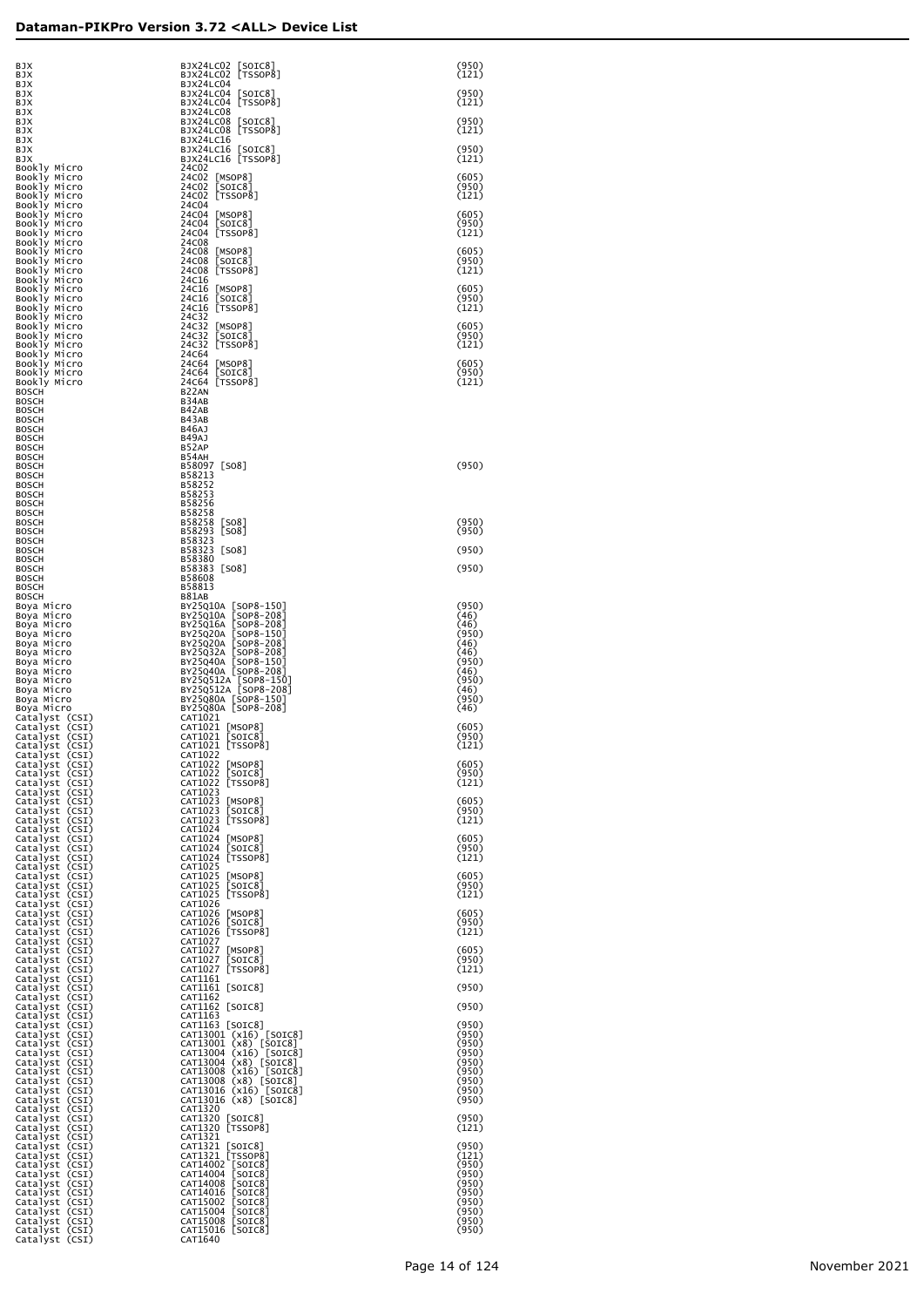| BJX<br>BJX                                                           | BJX24LC02 [SOIC8]<br>BJX24LC02 [TSSOP8]                                                                                                                                          | (950)<br>(121)          |
|----------------------------------------------------------------------|----------------------------------------------------------------------------------------------------------------------------------------------------------------------------------|-------------------------|
| BJX<br>BJX<br>BJX                                                    | BJX24LC04<br>BJX24LC04 [SOIC8]<br>BJX24LC04 [TSSOP8]                                                                                                                             | (950)<br>(121)          |
| BJX<br>BJX<br>BJX                                                    | BJX24LC08<br>BJX24LC08 [SOIC8]<br>BJX24LC08 [TSSOP8]                                                                                                                             | (950)<br>(121)          |
| BJX<br>BJX<br>BJX                                                    | BJX24LC16<br>BJX24LC16 [SOIC8]<br>BJX24LC16 [TSSOP8]                                                                                                                             | (950)<br>(121)          |
| Bookly Micro<br>Bookly Micro<br>Bookly Micro                         | 24C02<br>24C02 [MSOP8]<br>24C02 [SOIC8]                                                                                                                                          | (605)<br>(950)          |
| Bookly Micro<br>Bookly Micro<br>Bookly Micro                         | 24C02 [TSSOP8]<br>24C04<br>24C04 [MSOP8]                                                                                                                                         | (121)<br>(605)          |
| Bookly Micro<br>Bookly Micro<br>Bookly Micro                         | 24C04 [SOIC8]<br>24C04 [TSSOP8]<br>24C08                                                                                                                                         | (950)<br>(121)          |
| Bookly Micro<br>Bookly Micro<br>Bookly Micro                         | 24C08 [MSOP8]<br>24C08 [SOIC8]<br>24C08 [TSSOP8]                                                                                                                                 | (605)<br>(950)<br>(121) |
| Bookly Micro<br>Bookly Micro<br>Bookly Micro                         | 24C16<br>24C16 [MSOP8]<br>24C16 [SOIC8]                                                                                                                                          | (605)<br>(950)          |
| Bookly Micro<br>Bookly Micro<br>Bookly Micro                         | 24C16 [TSSOP8]<br>24C32<br>24C32 [MSOP8]                                                                                                                                         | (121)<br>(605)          |
| Bookly Micro<br>Bookly Micro<br>Bookly Micro                         | 24C32<br>[SOIC8]<br>24C32 [TSSOP8]<br>24C64                                                                                                                                      | (950)<br>(121)          |
| Bookly Micro<br>Bookly Micro<br>Bookly Micro                         | 24C64 [MSOP8]<br>24C64 [SOIC8]<br>24C64 [TSSOP8]                                                                                                                                 | (605)<br>(950)<br>(121) |
| BOSCH<br>BOSCH<br>BOSCH                                              | B <sub>22</sub> AN<br>B34AB<br>B42AB                                                                                                                                             |                         |
| BOSCH<br>BOSCH<br>BOSCH                                              | B43AB<br>B46AJ<br>B49AJ                                                                                                                                                          |                         |
| BOSCH<br>BOSCH<br>BOSCH                                              | B52AP<br>B54AH<br>B58097 [SO8]                                                                                                                                                   | (950)                   |
| BOSCH<br>BOSCH<br>BOSCH                                              | B58213<br>B58252<br>B58253                                                                                                                                                       |                         |
| BOSCH<br>BOSCH<br>BOSCH                                              | B58256<br>B58258<br>B58258 [SO8]                                                                                                                                                 | (950)                   |
| BOSCH<br>BOSCH<br>BOSCH                                              | B58293 [SO8]<br>B58323<br>B58323 [SO8]                                                                                                                                           | (950)<br>(950)          |
| BOSCH<br>BOSCH<br>BOSCH                                              | B58380<br>B58383 [SO8]<br>B58608                                                                                                                                                 | (950)                   |
| BOSCH<br>BOSCH<br>Boya Micro                                         | B58813<br>B81AB<br>BY25Q10A [SOP8-150]<br>BY25Q10A [SOP8-208]                                                                                                                    | (950)<br>(46)           |
| Boya Micro<br>Boya Micro<br>Boya Micro<br>Boya Micro                 | BY25016A [SOP8-208]<br>BY25020A [SOP8-150]<br>BY25020A [SOP8-208]<br>BY25032A [SOP8-208]                                                                                         | (46)<br>(950)<br>(46)   |
| Boya Micro<br>Boya Micro<br>Boya Micro                               | BY25Q40A [SOP8-150]<br>BY25Q40A [SOP8-208]                                                                                                                                       | (46)<br>(950)<br>(46)   |
| Boya Micro<br>Boya Micro<br>Boya Micro                               | BY25Q512A [SOP8-150]<br>BY25Q512A [SOP8-208]<br>BY25Q80A [SOP8-150]                                                                                                              | (950)<br>(46)<br>(950)  |
| Boya Micro<br>Catalyst (CSI)<br>Catalyst (CSI)                       | BY25Q80A [SOP8-208]<br>CAT1021<br>CAT1021 [MSOP8]                                                                                                                                | (46)<br>(605)           |
| Catalyst (CSI)<br>Catalyst (CSI)<br>Catalyst (CSI)                   | CAT1021 [SOIC8]<br>CAT1021 [TSSOP8]<br>CAT1022                                                                                                                                   | (950)<br>(121)          |
| Catalyst (CSI)<br>Catalyst (CSI)<br>Catalyst (CSI)                   | CAT1022 [MSOP8]<br>[SOIC8]<br>CAT1022<br>CAT1022 [TSSOP8]                                                                                                                        | (605)<br>(950)<br>(121) |
| Catalyst (CSI)<br>Catalyst (CSI)<br>Catalyst (CSI)                   | CAT1023<br>CAT1023 [MSOP8]<br>[SOIC8]<br>CAT1023                                                                                                                                 | (605)<br>(950)          |
| Catalyst (CSI)<br>Catalyst (CSI)<br>Catalyst (CSI)                   | CAT1023 [TSSOP8]<br>CAT1024<br>CAT1024 [MSOP8]                                                                                                                                   | (121)<br>(605)          |
| Catalyst (CSI)<br>Catalyst (CSI)<br>Catalyst (CSI)                   | CAT1024 [SOIC8]<br>CAT1024 [TSSOP8]<br>CAT1025                                                                                                                                   | (950)<br>(121)          |
| Catalyst (CSI)<br>Catalyst (CSI)<br>Catalyst (CSI)                   | CAT1025 [MSOP8]<br>[SOIC8]<br>CAT1025<br>CAT1025 [TSSOP8]                                                                                                                        | (605)<br>(950)<br>(121) |
| Catalyst (CSI)<br>Catalyst (CSI)<br>Catalyst (CSI)                   | CAT1026<br>CAT1026 [MSOP8]<br>CAT1026 SOIC8                                                                                                                                      | (605)<br>(950)          |
| Catalyst (CSI)<br>Catalyst (CSI)<br>Catalyst (CSI)                   | CAT1026 [TSSOP8]<br>CAT1027<br>CAT1027 [MSOP8]<br>CAT1027 [SOIC8]                                                                                                                | (121)<br>(605)          |
| Catalyst (CSI)<br>Catalyst (CSI)<br>Catalyst (CSI)                   | CAT1027 [TSSOP8]<br>CAT1161                                                                                                                                                      | (950)<br>(121)          |
| Catalyst (CSI)<br>Catalyst (CSI)<br>Catalyst (CSI)                   | CAT1161 [SOIC8]<br>CAT1162<br>CAT1162 [SOIC8]                                                                                                                                    | (950)<br>(950)          |
| Catalyst (CSI)<br>Catalyst (CSI)<br>Catalyst (CSI)<br>Catalyst (CSI) | CAT1163<br>CAT1163 [SOIC8]<br>CAT13001 (x16) [SOIC8]                                                                                                                             | (950)<br>(950)<br>(950) |
| Catalyst (CSI)<br>Catalyst (CSI)<br>Catalyst (CSI)                   | CATI3001 (x8) [SOTC8]<br>CATI3004 (x16) [SOTC8]<br>CATI3004 (x16) [SOTC8]<br>CATI3008 (x16) [SOTC8]<br>CATI3008 (x8) [SOTC8]<br>CATI3016 (x16) [SOTC8]<br>CATI3016 (x16) [SOTC8] | (950)<br>(950)<br>(950) |
| Catalyst (CSI)<br>Catalyst (CSI)<br>Catalyst (CSI)                   | CAT13016 (x8) [SOIC8]                                                                                                                                                            | (950)<br>(950)<br>(950) |
| Catalyst (CSI)<br>Catalyst (CSI)<br>Catalyst (CSI)                   | CAT1320<br>CAT1320 [SOIC8]<br>CAT1320 [TSSOP8]                                                                                                                                   | (950)<br>(121)          |
| Catalyst (CSI)<br>Catalyst (CSI)<br>Catalyst (CSI)                   | CAT1321<br>CAT1321 [SOIC8]<br>CAT1321 [TSSOP8]                                                                                                                                   | (950)<br>(121)          |
| Catalyst (CSI)<br>Catalyst (CSI)<br>Catalyst (CSI)                   | CAT14002 [SOIC8]<br>[SOIC8]<br>CAT14004<br>CAT14008<br>[SOIC8]                                                                                                                   | (950)<br>(950)<br>(950) |
| Catalyst (CSI)<br>Catalyst (CSI)<br>Catalyst (CSI)                   | CAT14016<br>[SOIC8]<br>CAT15002 [SOIC8]<br>CAT15004 [SOIC8]<br>CAT15008 [SOIC8]<br>CAT15016 [SOIC8]                                                                              | (950)<br>(950)<br>(950) |
| Catalyst (CSI)<br>Catalyst (CSI)<br>Catalyst (CSI)                   | CAT1640                                                                                                                                                                          | (950)<br>(950)          |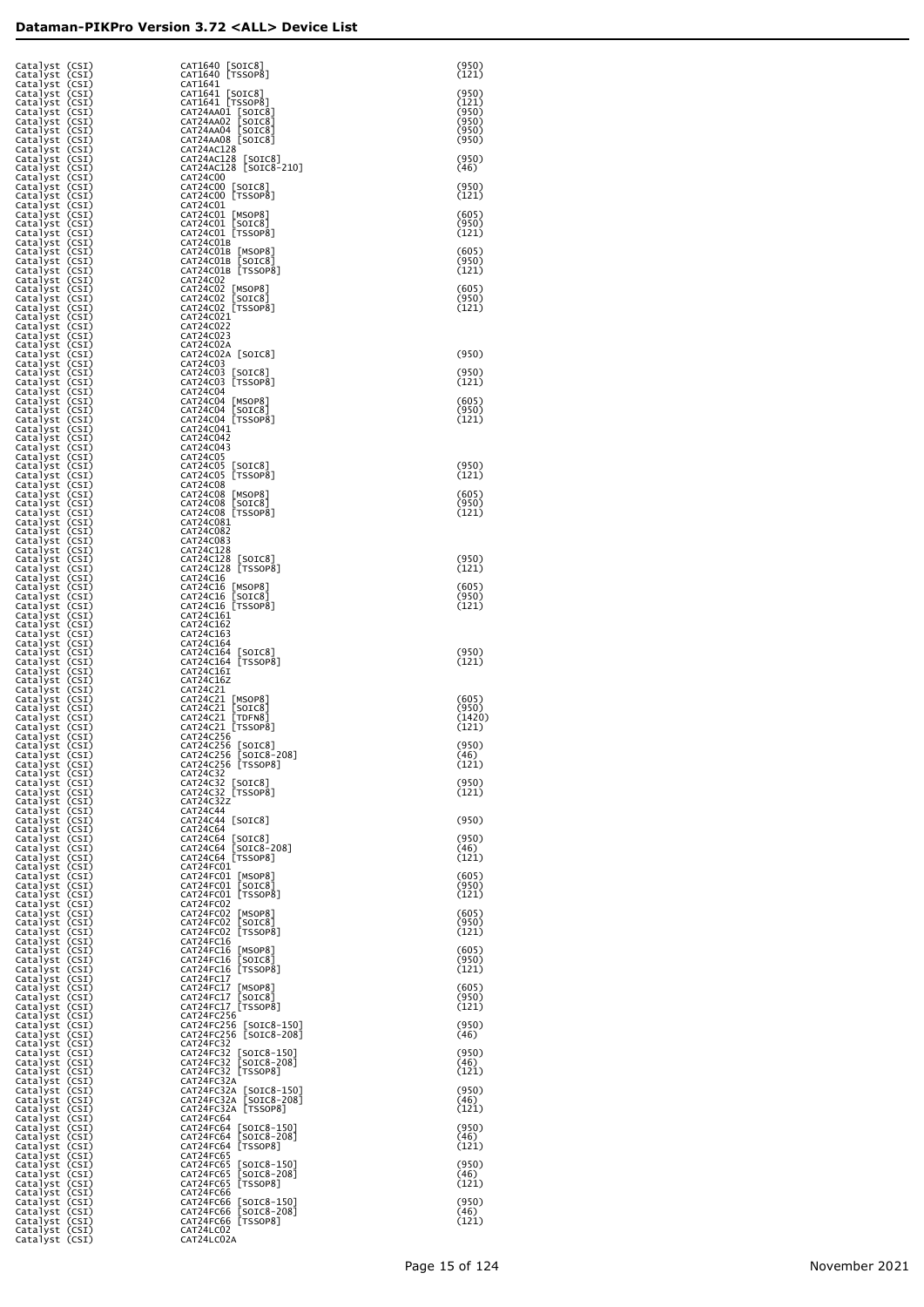| Catalyst (CSI)<br>Catalyst (CSI)                   |                         | CAT1640 [SOIC8]<br>CAT1640 [TSSOP8]                                         | (950)<br>(121)           |
|----------------------------------------------------|-------------------------|-----------------------------------------------------------------------------|--------------------------|
| Catalyst (CSI)<br>Catalyst (CSI)<br>Catalyst (CSI) |                         | CAT1641<br>CAT1641 [SOIC8]<br>CAT1641 [TSSOP8]                              | (950)<br>(121)           |
| Catalyst (CSI)<br>Catalyst                         | (CSI)                   | CAT24AA01 [SOIC8]<br>CAT24AA02 [SOIC8]                                      | (950)<br>(950)           |
| Catalyst<br>Catalyst                               | (CSI)<br>(CSI)          | CAT24AA04 [SOIC8]<br>CAT24AA08 [SOIC8]                                      | (950)<br>(950)           |
| Catalyst<br>Catalyst<br>Catalyst                   | (CSI)<br>(CSI)<br>(CSI) | CAT24AC128<br>CAT24AC128 [SOIC8]<br>CAT24AC128 [SOIC8-210]                  | (950)<br>(46)            |
| Catalyst<br>Catalyst                               | (CSI)<br>(CSI)          | CAT24C00<br>CAT24C00 [SOIC8]                                                | (950)                    |
| Catalyst<br>Catalyst<br>Catalyst                   | (CSI)<br>(CSI)<br>(CSI) | CAT24C00 [TSSOP8]<br>CAT24C01<br>CAT24C01 [MSOP8]                           | (121)<br>(605)           |
| Catalyst<br>Catalyst                               | (CSI)<br>(CSI)          | CAT24C01 [SOIC8]<br>CAT24C01 [TSSOP8]                                       | (950)<br>(121)           |
| Catalyst (CSI)<br>Catalyst<br>Catalyst             | (CSI)<br>(CSI)          | CAT24C01B<br>CAT24C01B [MSOP8]<br>CAT24C01B<br>SOIC8                        | (605)<br>(950)           |
| Catalyst<br>Catalyst                               | (CSI)<br>(CSI)          | CAT24C01B [TSSOP8]<br>CAT24C02<br>CAT24C02                                  | (121)<br>(605)           |
| Catalyst<br>Catalyst<br>Catalyst                   | (CSI)<br>(CSI)<br>(CSI) | [MSOP8]<br>[SOIC8]<br>CAT24C02<br>CAT24C02 [TSSOP8]                         | (950)<br>(121)           |
| Catalyst<br>Catalyst<br>Catalyst                   | (CSI)<br>(CSI)<br>(CSI) | CAT24C021<br>CAT24C022<br>CAT24C023                                         |                          |
| Catalyst<br>Catalyst                               | (CSI)<br>(CSI)          | CAT24C02A<br>CAT24C02A [SOIC8]                                              | (950)                    |
| Catalyst<br>Catalyst<br>Catalyst                   | (CSI)<br>(CSI)<br>(CSI) | CAT24C03<br>CAT24C03 [SOIC8]<br>CAT24C03 [TSSOP8]                           | (950)<br>(121)           |
| Catalyst<br>Catalyst                               | (CSI)<br>(CSI)          | CAT24C04<br>CAT24C04 [MSOP8]                                                | (605)                    |
| Catalyst<br>Catalyst<br>Catalyst                   | (CSI)<br>(CSI)<br>(CSI) | [SOIC8]<br>CAT24C04<br>CAT24C04 [TSSOP8]<br>CAT24C041                       | (950)<br>(121)           |
| Catalyst<br>Catalyst                               | (CSI)<br>(CSI)          | CAT24C042<br>CAT24C043                                                      |                          |
| Catalyst<br>Catalyst<br>Catalyst                   | (CSI)<br>(CSI)<br>(CSI) | CAT24C05<br>CAT24C05<br>$\lfloor$ SOIC $8$ ]<br>[TSSOP8]<br>CAT24C05        | (950)<br>(121)           |
| Catalyst<br>Catalyst                               | (CSI)<br>(CSI)          | CAT24C08<br>CAT24C08<br>[MSOP8]                                             | (605)                    |
| Catalyst<br>Catalyst<br>Catalyst                   | (CSI)<br>(CSI)<br>(CSI) | [SOIC8]<br>CAT24C08<br>CAT24C08 [TSSOP8]<br>CAT24C081                       | (950)<br>(121)           |
| Catalyst<br>Catalyst<br>Catalyst                   | (CSI)<br>(CSI)<br>(CSI) | CAT24C082<br>CAT24C083<br>CAT24C128                                         |                          |
| Catalyst<br>Catalyst                               | (CSI)<br>(CSI)          | CAT24C128<br>$\lfloor$ SOIC8<br>CAT24C128 [TSSOP8]                          | (950)<br>(121)           |
| Catalyst<br>Catalyst<br>Catalyst                   | (CSI)<br>(CSI)<br>(CSI) | CAT24C16<br>CAT24C16<br>[MSOP8]<br>[SOIC8]<br>CAT24C16                      | (605)<br>(950)           |
| Catalyst<br>Catalyst                               | (CSI)<br>(CSI)          | CAT24C16 [TSSOP8]<br>CAT24C161                                              | (121)                    |
| Catalyst<br>Catalyst<br>Catalyst                   | (CSI)<br>(CSI)<br>(CSI) | CAT24C162<br>CAT24C163<br>CAT24C164                                         |                          |
| Catalyst<br>Catalyst                               | (CSI)<br>(CSI)          | CAT24C164<br>$\lfloor$ SOIC8<br>[TSSOP8]<br>CAT24C164                       | (950)<br>(121)           |
| Catalyst<br>Catalyst<br>Catalyst                   | (CSI)<br>(CSI)<br>(CSI) | CAT24C16I<br>CAT24C16Z<br>CAT24C21                                          |                          |
| Catalyst<br>Catalyst<br>Catalyst                   | (CSI)<br>(CSI)<br>(CSI) | CAT24C21 [MSOP8]<br>[SOIC8]<br>CAT24C21<br>[TDFN8<br>CAT24C21               | (605)<br>(950)<br>(1420) |
| Catalyst<br>Catalyst                               | (CSI)<br>(CSI)          | CAT24C21 [TSSOP8]<br>CAT24C256                                              | (121)                    |
| Catalyst<br>Catalyst<br>Catalyst (CSI)             | (CSI)<br>(CSI,          | CAT24C256 [SOIC8]<br>CAT24C256 [SOIC8-208]<br>CAT24C256 [TSSOP8]            | (950)<br>46<br>(121)     |
| Catalyst (CSI)<br>Catalyst (CSI)                   |                         | CAT24C32<br>CAT24C32 [SOIC8]<br>CAT24C32 [TSSOP8]                           | (950)                    |
| Catalyst (CSI)<br>Catalyst<br>Catalyst             | (CSI)<br>(CSI)          | CAT24C32Z<br>CAT24C44                                                       | (121)                    |
| Catalyst<br>Catalyst                               | (CSI)<br>(CSI)<br>(CSI) | CAT24C44 [SOIC8]<br>CAT24C64                                                | (950)<br>(950)           |
| Catalyst<br>Catalyst<br>Catalyst                   | (CSI)<br>(CSI)          | CAT24C64 [SOIC8]<br>CAT24C64 [SOIC8-208]<br>CAT24C64 [TSSOP8]               | (46)<br>(121)            |
| Catalyst<br>Catalyst<br>Catalyst                   | (CSI)<br>(CSI)<br>(CSI) | CAT24FC01<br>CAT24FC01 [MSOP8]<br>CAT24FC01 [SOIC8]                         | (605)<br>(950)           |
| Catalyst<br>Catalyst                               | (CSI)<br>(CSI)          | CAT24FC01 [TSSOP8]<br>CAT24FC02                                             | (121)                    |
| Catalyst<br>Catalyst<br>Catalyst                   | (CSI)<br>(CSI)<br>(CSI) | CAT24FC02<br>[MSOP8]<br>[SOIC8]<br>CAT24FC02<br>[TSSOP8]<br>CAT24FC02       | (605)<br>(950)<br>(121)  |
| Catalyst<br>Catalyst<br>Catalyst                   | (CSI)<br>(CSI)<br>(CSI) | CAT24FC16<br>CAT24FC16<br>[MSOP8]<br>[SOIC8]<br>CAT24FC16                   | (605)<br>(950)           |
| Catalyst<br>Catalyst                               | (CSI)<br>(CSI)          | CAT24FC16 [TSSOP8]<br>CAT24FC17                                             | (121)                    |
| Catalyst<br>Catalyst<br>Catalyst                   | (CSI)<br>(CSI)<br>(CSI) | CAT24FC17<br>[MSOP8]<br>[SOIC8]<br>CAT24FC17<br>CAT24FC17<br>[TSSOP8]       | (605)<br>(950)<br>(121)  |
| Catalyst<br>Catalyst                               | (CSI)<br>(CSI)          | CAT24FC256<br>CAT24FC256<br>$\lfloor$ SOIC8-150                             | (950)                    |
| Catalyst<br>Catalyst<br>Catalyst                   | (CSI)<br>(CSI)<br>(CSI) | CAT24FC256 [SOIC8-208]<br>CAT24FC32<br>CAT24FC32                            | (46)<br>(950)            |
| Catalyst<br>Catalyst                               | (CSI)<br>(CSI)          | [SOIC8-150]<br>[SOIC8-208]<br>CAT24FC32<br>CAT24FC32 [TSSOP8]<br>CAT24FC32A | (46)<br>(121)            |
| Catalyst<br>Catalyst<br>Catalyst                   | (CSI)<br>(CSI)<br>(CSI) | CAT24FC32A [SOIC8-150]<br>CAT24FC32A [SOIC8-208]                            | (950)<br>(46)            |
| Catalyst<br>Catalyst<br>Catalyst                   | (CSI)<br>(CSI)<br>(CSI) | CAT24FC32A [TSSOP8]<br>CAT24FC64                                            | (121)<br>(950)           |
| Catalyst<br>Catalyst                               | (CSI)<br>(CSI)          | CAT24FC64 [SOIC8-150]<br>CAT24FC64 [SOIC8-208]<br>CAT24FC64 [TSSOP8]        | (46)<br>(121)            |
| Catalyst<br>Catalyst<br>Catalyst                   | (CSI)<br>(CSI)<br>(CSI) | CAT24FC65<br>CAT24FC65 [SOIC8-150]<br>CAT24FC65 [SOIC8-208]                 | (950)<br>(46)            |
| Catalyst<br>Catalyst                               | (CSI)<br>(CSI)          | CAT24FC65 [TSSOP8]<br>CAT24FC66                                             | (121)                    |
| Catalyst<br>Catalyst<br>Catalyst                   | (CSI)<br>(CSI)<br>(CSI) | CAT24FC66 [SOIC8-150]<br>CAT24FC66 [SOIC8-208]<br>CAT24FC66 [TSSOP8]        | (950)<br>(46)<br>(121)   |
| Catalyst<br>Catalyst (CSI)                         | (CSI)                   | CAT24LC02<br>CAT24LC02A                                                     |                          |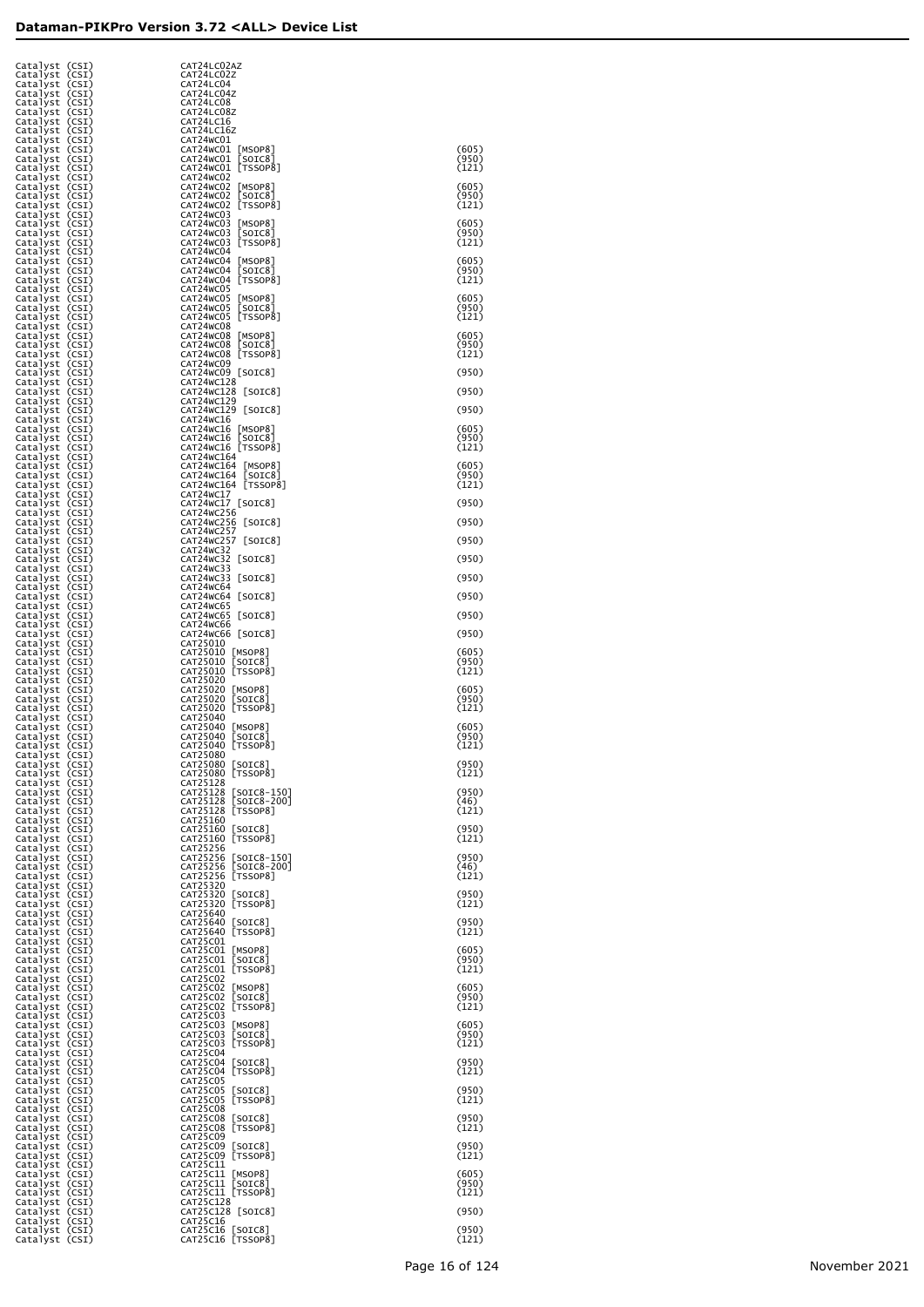| Catalyst (CSI)<br>Catalyst       | (CSI)          | CAT24LC02AZ<br>CAT24LC02Z                                         |                |
|----------------------------------|----------------|-------------------------------------------------------------------|----------------|
| Catalyst                         | (CSI)          | CAT24LC04                                                         |                |
| Catalyst (CSI)<br>Catalyst (CSI) |                | CAT24LC04Z<br>CAT24LC08                                           |                |
| Catalyst (CSI)<br>Catalyst (CSI) |                | CAT24LC08Z<br>CAT24LC16                                           |                |
| Catalyst (CSI)                   |                | CAT24LC16Z                                                        |                |
| Catalyst (CSI)<br>Catalyst (CSI) |                | CAT24WC01<br>CAT24WC01<br>[MSOP8]                                 | (605)          |
| Catalyst<br>Catalyst             | (CSI)<br>(CSI) | CAT24WC01<br>SOIC8<br>[TSSOP8]<br>CAT24WC01                       | (950)<br>(121) |
| Catalyst                         | (CSI)          | CAT24WC02                                                         |                |
| Catalyst<br>Catalyst             | (CSI)<br>(CSI) | CAT24WC02<br>$\lfloor$ MSOP $8$ ]<br>[201C8]<br>CAT24WC02         | (605)<br>(950) |
| Catalyst                         | (CSI)          | [TSSOP8]<br>CAT24WC02<br>CAT24WC03                                | (121)          |
| Catalyst (CSI)<br>Catalyst (CSI) |                | CAT24WC03<br>[MSOP8]                                              | (605)          |
| Catalyst (CSI)<br>Catalyst (CSI) |                | [201C8]<br>CAT24WC03<br>[TSSOP8]<br>CAT24WC03                     | (950)<br>(121) |
| Catalyst (CSI)                   |                | CAT24WC04                                                         | (605)          |
| Catalyst (CSI)<br>Catalyst (CSI) |                | CAT24WC04<br>[MSOP8]<br>CAT24WC04<br>[SOIC8]<br>[TSSOP8]          | (950)          |
| Catalyst (CSI)<br>Catalyst (CSI) |                | CAT24WC04<br>CAT24WC05                                            | (121)          |
| Catalyst (CSI)                   |                | CAT24WC05<br>[MSOP8]                                              | (605)          |
| Catalyst (CSI)<br>Catalyst (CSI) |                | CAT24WC05<br>[SOIC8]<br>[TSSOP8]<br>CAT24WC05                     | (950)<br>(121) |
| Catalyst (CSI)<br>Catalyst (CSI) |                | CAT24WC08<br>CAT24WC08<br>[MSOP8]                                 | (605)          |
| Catalyst (CSI)                   |                | CAT24WC08<br>SOIC8<br>[TSSOP8]<br>CAT24WC08                       | (950)<br>(121) |
| Catalyst (CSI)<br>Catalyst (CSI) |                | CAT24WC09                                                         |                |
| Catalyst (CSI)<br>Catalyst (CSI) |                | CAT24WC09 [SOIC8]<br>CAT24WC128                                   | (950)          |
| Catalyst (CSI)                   |                | CAT24WC128 [SOIC8]<br>CAT24WC129                                  | (950)          |
| Catalyst (CSI)<br>Catalyst (CSI) |                | CAT24WC129 [SOIC8]                                                | (950)          |
| Catalyst (CSI)<br>Catalyst (CSI) |                | CAT24WC16<br>CAT24WC16 [MSOP8]                                    | (605)          |
| Catalyst (CSI)                   |                | CAT24WC16 [SOIC8]<br>CAT24WC16 [TSSOP8]                           | (950)<br>(121) |
| Catalyst (CSI)<br>Catalyst (CSI) |                | CAT24WC164                                                        |                |
| Catalyst (CSI)<br>Catalyst (CSI) |                | CAT24WC164 [MSOP8]<br>CAT24WC164 [SOIC8]                          | (605)<br>(950) |
| Catalyst (CSI)                   |                | CAT24WC164 [TSSOP8]<br>CAT24WC17                                  | (121)          |
| Catalyst (CSI)<br>Catalyst (CSI) |                | CAT24WC17<br>$\lfloor$ SOIC $8$ ]                                 | (950)          |
| Catalyst (CSI)<br>Catalyst (CSI) |                | CAT24WC256<br>CAT24WC256 [SOIC8]                                  | (950)          |
| Catalyst (CSI)                   |                | CAT24WC257<br>CAT24WC257 [SOIC8]                                  | (950)          |
| Catalyst (CSI)<br>Catalyst (CSI) |                | CAT24WC32                                                         |                |
| Catalyst (CSI)<br>Catalyst (CSI) |                | CAT24WC32 [SOIC8]<br>CAT24WC33                                    | (950)          |
| Catalyst (CSI)                   |                | CAT24WC33<br>$\lfloor$ SOIC $8$<br>CAT24WC64                      | (950)          |
| Catalyst (CSI)<br>Catalyst (CSI) |                | CAT24WC64<br>$\lfloor$ SOIC $8$                                   | (950)          |
| Catalyst (CSI)<br>Catalyst (CSI) |                | CAT24WC65<br>CAT24WC65<br>[SOIC8]                                 | (950)          |
| Catalyst (CSI)<br>Catalyst (CSI) |                | CAT24WC66<br>CAT24WC66 [SOIC8]                                    | (950)          |
| Catalyst (CSI)                   |                | CAT25010                                                          |                |
| Catalyst (CSI)<br>Catalyst (CSI) |                | CAT25010<br>[MSOP8]<br>CAT25010                                   | (605)<br>(950) |
| Catalyst (CSI)<br>Catalyst (CSI) |                | [SOIC8]<br>[TSSOP8]<br>CAT25010<br>CAT25020                       | (121)          |
| Catalyst (CSI)                   |                | CAT25020<br>[MSOP8]                                               | (605)          |
| Catalyst (CSI)<br>Catalyst (CSI) |                | CAT25020<br>[SOIC8]<br>[TSSOP8]<br>CAT25020                       | (950)<br>(121) |
| Catalyst (CSI)<br>Catalyst (CSI) |                | CAT25040<br>CAT25040 [MSOP8]                                      | (605)          |
| Catalyst (CSI)                   |                | CAT25040 [SOIC8]<br>CAT25040 [TSSOP8]                             | (950)          |
| Catalyst (CSI)<br>Catalyst (CSI) |                | CAT25080                                                          | (121)          |
| Catalyst (CSI)<br>Catalyst (CSI) |                | CAT25080 [SOIC8]<br>CAT25080 [TSSOP8]                             | (950)<br>(121) |
| Catalyst (CSI)                   |                | CAT25128                                                          | (950)          |
| Catalyst (CSI)<br>Catalyst (CSI) |                | CAT25128 [SOIC8-150]<br>CAT25128 [SOIC8-200]<br>CAT25128 [TSSOP8] | (46)           |
| Catalyst (CSI)<br>Catalyst (CSI) |                | CAT25160                                                          | (121)          |
| Catalyst (CSI)                   |                | CAT25160 [SOIC8]<br>CAT25160 [TSSOP8]                             | (950)<br>(121) |
| Catalyst (CSI)<br>Catalyst (CSI) |                | CAT25256                                                          |                |
| Catalyst (CSI)<br>Catalyst (CSI) |                | CAT25256 [SOIC8-150]<br>CAT25256 [SOIC8-200]<br>CAT25256 [TSSOP8] | (950)<br>(46)  |
| Catalyst (CSI)                   |                |                                                                   | (121)          |
| Catalyst (CSI)<br>Catalyst (CSI) |                | CAT25320<br>CAT25320 [SOIC8]<br>CAT25320 [TSSOP8]                 | (950)          |
| Catalyst (CSI)<br>Catalyst (CSI) |                | CAT25640                                                          | (121)          |
| Catalyst (CSI)<br>Catalyst (CSI) |                | CAT25640 [SOIC8]<br>CAT25640 [TSSOP8]                             | (950)<br>(121) |
| Catalyst (CSI)                   |                | CAT25C01                                                          |                |
| Catalyst (CSI)<br>Catalyst (CSI) |                | CAT25C01 [MSOP8]                                                  | (605)<br>(950) |
| Catalyst (CSI)<br>Catalyst (CSI) |                | CAT25C01 [SOIC8]<br>CAT25C01 [TSSOP8]<br>CAT25C02                 | (121)          |
| Catalyst (CSI)                   |                | CAT25C02<br>[MSOP8]<br>[SOIC8]                                    | (605)          |
| Catalyst (CSI)<br>Catalyst (CSI) |                | CAT25C02<br>[TSSOP8]<br>CAT25C02                                  | (950)<br>(121) |
| Catalyst (CSI)<br>Catalyst (CSI) |                | CAT25C03<br>CAT25C03<br>[MSOP8]                                   | (605)          |
| Catalyst (CSI)                   |                | CAT25C03<br>[SOIC8]<br>[TSSOP8]                                   | (950)          |
| Catalyst (CSI)<br>Catalyst (CSI) |                | CAT25C03<br>CAT25C04                                              | (121)          |
| Catalyst (CSI)<br>Catalyst (CSI) |                | CAT25C04<br>[SOIC8]<br>[TSSOP8]<br>CAT25C04                       | (950)<br>(121) |
| Catalyst (CSI)                   |                | CAT25C05                                                          |                |
| Catalyst (CSI)<br>Catalyst (CSI) |                | CAT25C05 [SOIC8]<br>CAT25C05 [TSSOP8]                             | (950)<br>(121) |
| Catalyst (CSI)<br>Catalyst (CSI) |                | CAT25C08<br>CAT25C08                                              | (950)          |
| Catalyst (CSI)                   |                | [SOIC8]<br>[TSSOP8]<br>CAT25C08<br>CAT25C09                       | (121)          |
| Catalyst (CSI)<br>Catalyst (CSI) |                | CAT25C09 [SOIC8]<br>CAT25C09 [TSSOP8]                             | (950)          |
| Catalyst (CSI)<br>Catalyst (CSI) |                | CAT25C11                                                          | (121)          |
| Catalyst (CSI)                   |                | CAT25C11 [MSOP8]                                                  | (605)<br>(950) |
| Catalyst (CSI)<br>Catalyst (CSI) |                | CAT25C11 [SOIC8]<br>CAT25C11 [TSSOP8]                             | (121)          |
| Catalyst (CSI)<br>Catalyst (CSI) |                | CAT25C128<br>CAT25C128 [SOIC8]                                    | (950)          |
| Catalyst (CSI)<br>Catalyst (CSI) |                | CAT25C16                                                          | (950)          |
| Catalyst (CSI)                   |                | CAT25C16 [SOIC8]<br>CAT25C16 [TSSOP8]                             | (121)          |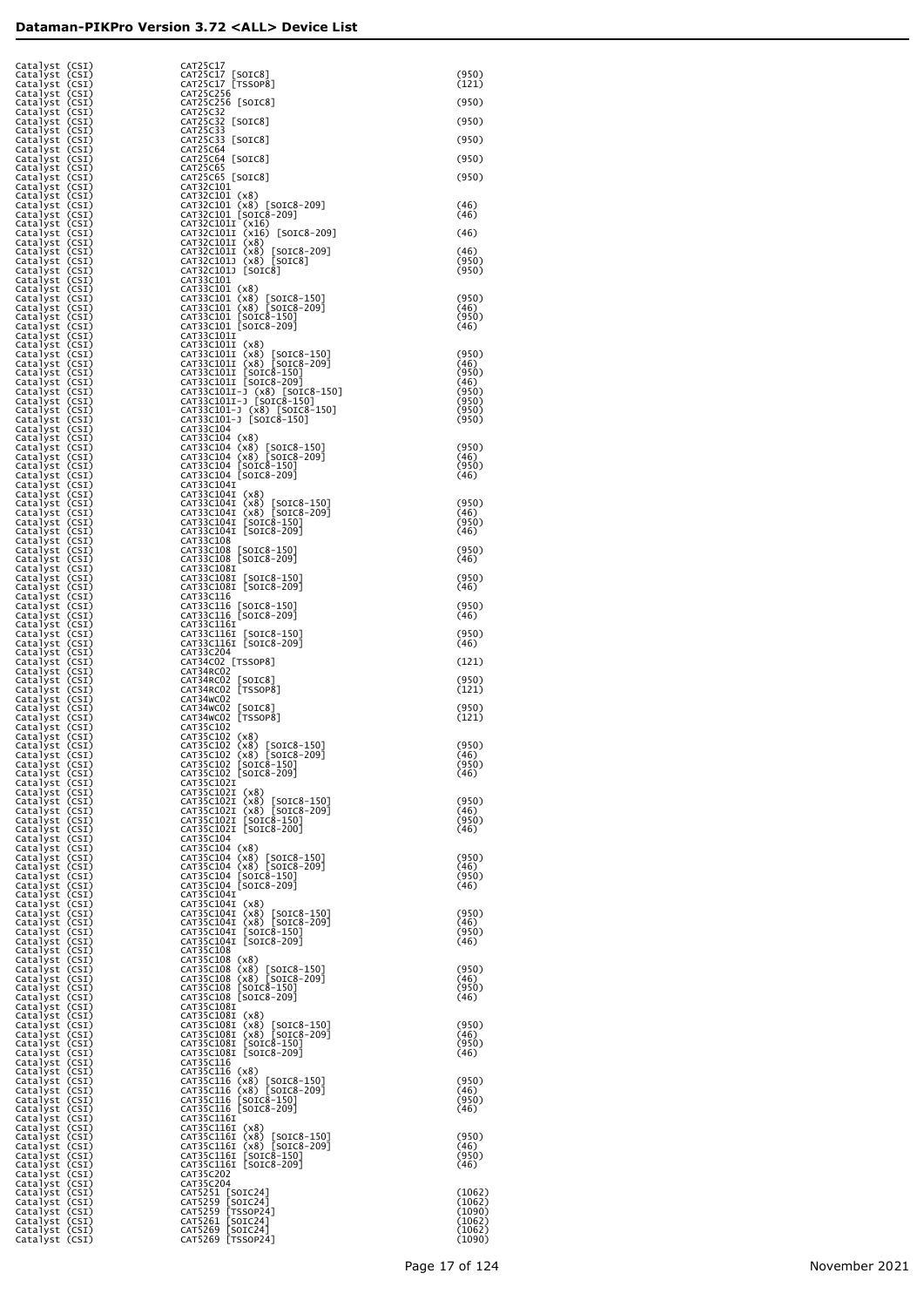| Catalyst (CSI)<br>Catalyst (CSI)<br>Catalyst (CSI) | CAT25C17<br>CAT25C17 [SOIC8]<br>CAT25C17 [TSSOP8]                                                                                                              | (950)<br>(121)         |
|----------------------------------------------------|----------------------------------------------------------------------------------------------------------------------------------------------------------------|------------------------|
| Catalyst (CSI)<br>Catalyst (CSI)                   | CAT25C256<br>CAT25C256 [SOIC8]                                                                                                                                 | (950)                  |
| Catalyst (CSI)<br>Catalyst (CSI)<br>Catalyst (CSI) | CAT25C32<br>CAT25C32 [SOIC8]                                                                                                                                   | (950)                  |
| Catalyst (CSI)<br>Catalyst (CSI)                   | CAT25C33<br>CAT25C33 [SOIC8]<br>CAT25C64                                                                                                                       | (950)                  |
| Catalyst (CSI)<br>Catalyst (CSI)                   | CAT25C64 [SOIC8]<br>CAT25C65                                                                                                                                   | (950)                  |
| Catalyst (CSI)<br>Catalyst (CSI)<br>Catalyst (CSI) | CAT25C65 [SOIC8]<br>CAT32C101                                                                                                                                  | (950)                  |
| Catalyst (CSI)<br>Catalyst (CSI)                   |                                                                                                                                                                | (46)<br>(46)           |
| Catalyst (CSI)<br>Catalyst (CSI)<br>Catalyst (CSI) | CAT32C101 (x8)<br>CAT32C101 (x8) [S01C8-209]<br>CAT32C101 [S01C8-209]<br>CAT32C1011 [S01C8-209]<br>CAT32C1011 (x16) [S01C8-209]<br>CAT32C1011 (x8) [S01C8-209] | (46)                   |
| Catalyst (CSI)<br>Catalyst (CSI)                   | CAT32C101I (x8) [SOIC8-209]<br>CAT32C101J (x8) [SOIC8]                                                                                                         | (46)<br>(950)          |
| Catalyst (CSI)<br>Catalyst (CSI)                   | CAT32C101J [SOIC8]<br>CAT33C101                                                                                                                                | (950)                  |
| Catalyst (CSI)<br>Catalyst (CSI)<br>Catalyst (CSI) | CAT33C101 (x8)<br>CAT33C101 (x8) [SOIC8-150]<br>CAT33C101 (x8) [SOIC8-209]<br>CAT33C101 [SOIC8-150]<br>CAT33C101 [SOIC8-209]                                   | (950)<br>(46)          |
| Catalyst (CSI)<br>Catalyst (CSI)                   |                                                                                                                                                                | (950)<br>(46)          |
| Catalyst (CSI)<br>Catalyst (CSI)<br>Catalyst (CSI) | CAT33C101I<br>CAT33C101I (x8)                                                                                                                                  | (950)                  |
| Catalyst (CSI)<br>Catalyst (CSI)                   | CAT33C101I (x8) [SOIC8-150]<br>CAT33C101I (x8) [SOIC8-209]<br>CAT33C101I [SOIC8-150]<br>CAT33C101I [SOIC8-209]                                                 | (46)<br>(950)          |
| Catalyst (CSI)<br>Catalyst (CSI)<br>Catalyst (CSI) | CAT33C1011-J (x8) [SOIC8-150]<br>CAT33C1011-J [SOIC8-150]                                                                                                      | (46)<br>(950)<br>(950) |
| Catalyst (CSI)<br>Catalyst (CSI)                   | CAT33C101-J (x8) [SOIC8-150]<br>CAT33C101-J [SOIC8-150]                                                                                                        | (950)<br>(950)         |
| Catalyst (CSI)<br>Catalyst (CSI)                   | CAT33C104                                                                                                                                                      | (950)                  |
| Catalyst (CSI)<br>Catalyst (CSI)<br>Catalyst (CSI) | CAT33C104 (x8)<br>CAT33C104 (x8) [SOIC8-150]<br>CAT33C104 (x8) [SOIC8-209]<br>CAT33C104 [SOIC8-150]<br>CAT33C104 [SOIC8-209]                                   | (46)<br>(950)          |
| Catalyst (CSI)<br>Catalyst (CSI)                   | CAT33C104I                                                                                                                                                     | (46)                   |
| Catalyst (CSI)<br>Catalyst (CSI)<br>Catalyst (CSI) | CAT33C104I (x8)                                                                                                                                                | (950)<br>(46)          |
| Catalyst (CSI)<br>Catalyst (CSI)                   | CAT33C104I (x8) [SOIC8-150]<br>CAT33C104I (x8) [SOIC8-209]<br>CAT33C104I [SOIC8-150]<br>CAT33C104I [SOIC8-209]                                                 | (950)<br>(46)          |
| Catalyst (CSI)<br>Catalyst (CSI)<br>Catalyst (CSI) | CAT33C108<br>CAT33C108 [SOIC8-150]<br>CAT33C108 [SOIC8-209]                                                                                                    | (950)<br>(46)          |
| Catalyst (CSI)<br>Catalyst (CSI)                   | CAT33C108I<br>CAT33C108I [SOIC8-150]<br>CAT33C108I [SOIC8-209]                                                                                                 | (950)                  |
| Catalyst (CSI)<br>Catalyst (CSI)                   | CAT33C116                                                                                                                                                      | (46)<br>(950)          |
| Catalyst (CSI)<br>Catalyst (CSI)<br>Catalyst (CSI) | CAT33C116 [SOIC8-150]<br>CAT33C116 [SOIC8-209]<br>CAT33C116I                                                                                                   | (46)                   |
| Catalyst (CSI)<br>Catalyst (CSI)                   | CAT33C116I [SOIC8-150]<br>CAT33C116I [SOIC8-209]                                                                                                               | (950)<br>(46)          |
| Catalyst (CSI)<br>Catalyst (CSI)<br>Catalyst (CSI) | CAT33C204<br>CAT34C02 [TSSOP8]<br>CAT34RC02                                                                                                                    | (121)                  |
| Catalyst (CSI)<br>Catalyst (CSI)                   | CAT34RC02 [SOIC8]<br>CAT34RC02 [TSSOP8]                                                                                                                        | (950)<br>(121)         |
| Catalyst (CSI)<br>Catalyst (CSI)<br>Catalyst (CSI) | CAT34WC02<br>CAT34WC02 [SOIC8]<br>CAT34WC02 [TSSOP8]                                                                                                           | (950)<br>(121)         |
| Catalyst (CSI)<br>Catalyst (CSI)                   | CAT35C102<br>CAT35C102 (x8)<br>CAT35C102 (x8) [SOIC8-150]                                                                                                      |                        |
| Catalyst (CSI)<br>Catalyst (CSI)<br>Catalyst (CSI) | CAT35C102 (x8) [SOIC8-209]                                                                                                                                     | (950)<br>(46)<br>(950) |
| Catalyst (CSI)<br>Catalyst (CSI)                   | CAT35C102 [SOIC8-150]<br>CAT35C102 [SOIC8-209]<br>CAT35C102I                                                                                                   | (46)                   |
| Catalyst (CSI)<br>Catalyst (CSI)<br>Catalyst (CSI) | CAT35C102I (x8)<br>CAT35C102I (x8) [SOIC8-150]<br>CAT35C102I (x8) [SOIC8-209]                                                                                  | (950)<br>(46)          |
| Catalyst (CSI)<br>Catalyst (CSI)                   | CAT35C102I [SOIC8-150]<br>CAT35C102I [SOIC8-200]                                                                                                               | (950)<br>(46)          |
| Catalyst (CSI)<br>Catalyst (CSI)<br>Catalyst (CSI) | CAT35C104<br>CAT35C104 (x8)                                                                                                                                    | (950)                  |
| Catalyst (CSI)<br>Catalyst (CSI)                   | CAT35C104 (x8) [SOIC8-150]<br>CAT35C104 (x8) [SOIC8-209]<br>CAT35C104 [SOIC8-150]<br>CAT35C104 [SOIC8-209]                                                     | (46)<br>(950)          |
| Catalyst (CSI)<br>Catalyst (CSI)<br>Catalyst (CSI) | CAT35C104I<br>CAT35C104I (x8)                                                                                                                                  | (46)                   |
| Catalyst (CSI)<br>Catalyst (CSI)                   | CAT35C104I (x8) [SOIC8-150]<br>CAT35C104I (x8) [SOIC8-209]                                                                                                     | (950)<br>(46)          |
| Catalyst (CSI)<br>Catalyst (CSI)<br>Catalyst (CSI) | CAT35C104I [SOIC8-150]<br>CAT35C104I [SOIC8-209]<br>CAT35C108                                                                                                  | (950)<br>(46)          |
| Catalyst (CSI)<br>Catalyst (CSI)                   | CAT35C108 (x8)                                                                                                                                                 | (950)                  |
| Catalyst (CSI)<br>Catalyst (CSI)                   | CAT35C108 (x8) [SOIC8-150]<br>CAT35C108 (x8) [SOIC8-209]<br>CAT35C108 [SOIC8-150]<br>CAT35C108 [SOIC8-209]                                                     | (46)<br>(950)<br>(46)  |
| Catalyst (CSI)<br>Catalyst (CSI)<br>Catalyst (CSI) | CAT35C108I<br>CAT35C108I (x8)                                                                                                                                  |                        |
| Catalyst (CSI)<br>Catalyst (CSI)                   | CAT35C1081 (x8) [SOIC8-150]<br>CAT35C1081 (x8) [SOIC8-209]<br>CAT35C1081 [SOIC8-150]                                                                           | (950)<br>(46)          |
| Catalyst (CSI)<br>Catalyst (CSI)<br>Catalyst (CSI) | CAT35C108I [SOIC8-209]<br>CAT35C116                                                                                                                            | (950)<br>(46)          |
| Catalyst (CSI)<br>Catalyst (CSI)                   | CAT35C116 (x8)                                                                                                                                                 | (950)                  |
| Catalyst (CSI)<br>Catalyst (CSI)<br>Catalyst (CSI) | CAT35C116 (X8) [SOIC8-150]<br>CAT35C116 (X8) [SOIC8-209]<br>CAT35C116 [SOIC8-150]<br>CAT35C116 [SOIC8-209]                                                     | (46)<br>(950)<br>(46)  |
| Catalyst (CSI)<br>Catalyst (CSI)                   | CAT35C116I<br>CAT35C116I (x8)                                                                                                                                  |                        |
| Catalyst (CSI)<br>Catalyst (CSI)<br>Catalyst (CSI) | CAT35C116I (x8) [SOIC8-150]<br>CAT35C116I (x8) [SOIC8-209]<br>CAT35C116I [SOIC8-150]                                                                           | (950)<br>(46)<br>(950) |
| Catalyst (CSI)<br>Catalyst (CSI)                   | CAT35C116I [SOIC8-209]<br>CAT35C202                                                                                                                            | (46)                   |
| Catalyst (CSI)<br>Catalyst (CSI)<br>Catalyst (CSI) | CAT35C204                                                                                                                                                      | (1062)<br>(1062)       |
| Catalyst (CSI)<br>Catalyst (CSI)                   | CAT5251 [SOIC24]<br>CAT5259 [SOIC24]<br>CAT5259 [TSOIC24]<br>CAT5261 [SOIC24]<br>CAT5269 [SOIC24]<br>CAT5269 [TSOP24]                                          | (1090)<br>(1062)       |
| Catalyst (CSI)<br>Catalyst (CSI)                   |                                                                                                                                                                | (1062)<br>(1090)       |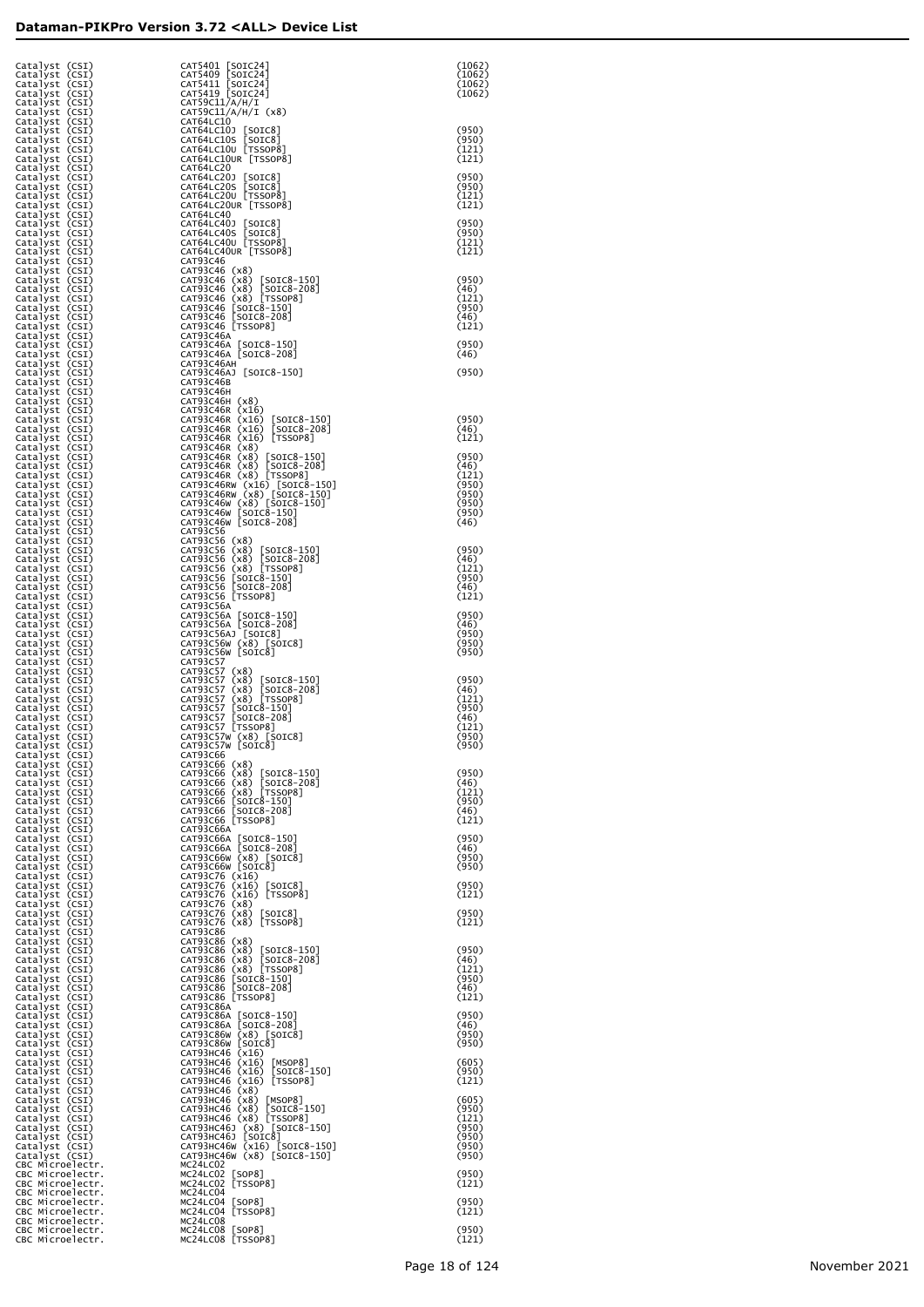| Catalyst (CSI)<br>Catalyst (CSI)                                                                                     | CAT5401 [SOIC24]<br>CAT5409 [SOIC24]<br>CAT5411 [SOIC24]<br>CAT59C11/A/H/I<br>CAT59C11/A/H/I                                                                                                                                                           | (1062)<br>(1062)        |
|----------------------------------------------------------------------------------------------------------------------|--------------------------------------------------------------------------------------------------------------------------------------------------------------------------------------------------------------------------------------------------------|-------------------------|
| Catalyst (CSI)<br>Catalyst (CSI)<br>Catalyst (CSI)                                                                   |                                                                                                                                                                                                                                                        | (1062)<br>(1062)        |
| Catalyst (CSI)<br>Catalyst (CSI)                                                                                     | CAT59C11/A/H/I (x8)<br>CAT64LC10                                                                                                                                                                                                                       |                         |
| Catalyst (CSI)<br>Catalyst (CSI)<br>Catalyst (CSI)                                                                   | CAT64LC10J [SOIC8]<br>CAT64LC10S [SOIC8]<br>CAT64LC10U [TSSOP8]                                                                                                                                                                                        | (950)<br>(950)<br>(121) |
| Catalyst (CSI)<br>Catalyst (CSI)                                                                                     | CAT64LC10UR [TSSOP8]<br>CAT64LC20                                                                                                                                                                                                                      | (121)                   |
| Catalyst (CSI)<br>Catalyst (CSI)                                                                                     | CAT64LC20J [SOIC8]<br>CAT64LC20S [SOIC8]<br>CAT64LC20U [TSSOP8]                                                                                                                                                                                        | (950)<br>(950)          |
| Catalyst (CSI)<br>Catalyst (CSI)<br>Catalyst (CSI)                                                                   | CAT64LC20UR [TSSOP8]<br>CAT64LC40                                                                                                                                                                                                                      | (121)<br>(121)          |
| Catalyst (CSI)<br>Catalyst (CSI)<br>Catalyst (CSI)                                                                   | CAT64LC40J [SOIC8]<br>CAT64LC40S [SOIC8]<br>CAT64LC40U [TSSOP8]                                                                                                                                                                                        | (950)<br>(950)          |
| Catalyst (CSI)<br>Catalyst (CSI)                                                                                     | CAT64LC40UR [TSSOP8]<br>CAT93C46                                                                                                                                                                                                                       | (121)<br>(121)          |
| Catalyst (CSI)<br>Catalyst (CSI)                                                                                     | CA193C46 (x8)<br>CAT93C46 (x8) [SOIC8-150]<br>CAT93C46 (x8) [SOIC8-208]<br>CAT93C46 (x8) [TSSOP8]<br>CAT93C46 [SOIC8-150]<br>CAT93C46 [SOIC8-208]<br>CAT93C46 [SOIC8-208]<br>CAT93C46 [TSSOP8]                                                         | (950)                   |
| Catalyst (CSI)<br>Catalyst (CSI)<br>Catalyst (CSI)                                                                   |                                                                                                                                                                                                                                                        | (46)<br>(121)<br>(950)  |
| Catalyst (CSI)<br>Catalyst (CSI)                                                                                     |                                                                                                                                                                                                                                                        | (46)<br>(121)           |
| Catalyst (CSI)<br>Catalyst (CSI)                                                                                     | CAT93C46A<br>CAT93C46A [SOIC8-150]<br>CAT93C46A [SOIC8-208]                                                                                                                                                                                            | (950)<br>(46)           |
| Catalyst (CSI)<br>Catalyst (CSI)<br>Catalyst (CSI)                                                                   | САТ93С46АН<br>CAT93C46AJ [SOIC8-150]                                                                                                                                                                                                                   | (950)                   |
| Catalyst (CSI)<br>Catalyst (CSI)                                                                                     | CAT93C46B<br><b>САТ93С46Н</b>                                                                                                                                                                                                                          |                         |
| Catalyst (CSI)<br>Catalyst (CSI)<br>Catalyst (CSI)                                                                   | CAT93C46H (x8)<br>CAT93C46R (x16)                                                                                                                                                                                                                      | (950)                   |
| Catalyst (CSI)<br>Catalyst (CSI)                                                                                     | CAT93C46R (x16) [SOIC8-150]<br>CAT93C46R (x16) [SOIC8-208]<br>CAT93C46R (x16) [TSSOP8]                                                                                                                                                                 | (46)<br>(121)           |
| Catalyst (CSI)<br>Catalyst (CSI)<br>Catalyst (CSI)                                                                   | CAT93C46R (x8)                                                                                                                                                                                                                                         | (950)<br>(46)           |
| Catalyst (CSI)<br>Catalyst (CSI)                                                                                     | CAT93C46R (x8) [SOIC8-150]<br>CAT93C46R (x8) [SOIC8-208]<br>CAT93C46R (x8) [TSOIC8-208]<br>CAT93C46R (x8) [TSOIC8-150]<br>CAT93C46RW (x8) [SOIC8-150]<br>CAT93C46W (x8) [SOIC8-150]<br>CAT93C46W [SOIC8-150]<br>CAT93C46W [SOIC8-208]<br>CAT93C46W [SO | (121)<br>(950)          |
| Catalyst (CSI)<br>Catalyst (CSI)<br>Catalyst (CSI)                                                                   |                                                                                                                                                                                                                                                        | (950)<br>(950)<br>(950) |
| Catalyst (CSI)<br>Catalyst (CSI)                                                                                     | CAT93C56                                                                                                                                                                                                                                               | (46)                    |
| Catalyst (CSI)<br>Catalyst (CSI)                                                                                     | CAT93C56 (x8)<br>CAT93C56 (x8) [SOIC8-150]<br>CAT93C56 (x8) [SOIC8-208]<br>CAT93C56 (x8) [TSSOP8]<br>CAT93C56 [SOIC8-208]<br>CAT93C56 [SOIC8-208]<br>CAT93C56 [SOIC8-208]                                                                              | (950)                   |
| Catalyst (CSI)<br>Catalyst (CSI)<br>Catalyst (CSI)                                                                   |                                                                                                                                                                                                                                                        | (46)<br>(121)<br>(950)  |
| Catalyst (CSI)<br>Catalyst (CSI)                                                                                     | CAT93C56 [TSSOP8]                                                                                                                                                                                                                                      | (46)<br>(121)           |
| Catalyst (CSI)<br>Catalyst (CSI)<br>Catalyst (CSI)                                                                   | CAT93C56A<br>CAT93C56A [SOIC8-150]<br>CAT93C56A [SOIC8-208]                                                                                                                                                                                            | (950)<br>(46)           |
| Catalyst (CSI)<br>Catalyst (CSI)                                                                                     | CAT93C56AJ [SOIC8]<br>CAT93C56W (x8) [SOIC8]                                                                                                                                                                                                           | (950)<br>(950)          |
| Catalyst (CSI)<br>Catalyst (CSI)<br>Catalyst (CSI)                                                                   | CAT93C56W [SOIC8]<br>CAT93C57                                                                                                                                                                                                                          | (950)                   |
| Catalyst (CSI)<br>Catalyst (CSI)                                                                                     | CA193C57 (x8)<br>CAT93C57 (x8)<br>CAT93C57 (x8) [SOIC8-208]<br>CAT93C57 (x8) [SOIC8-208]<br>CAT93C57 (x8) [TSSOP8]<br>CAT93C57 [SOIC8-208]<br>CAT93C57 [SOIC8-208]<br>CAT93C57 [TSSOP8]<br>CAT93C57 [TSSOP8]                                           | (950)<br>(46)           |
| Catalyst (CSI)<br>Catalyst (CSI)<br>Catalyst (CSI)                                                                   |                                                                                                                                                                                                                                                        | (121)<br>(950)<br>(46)  |
| Catalyst (CSI)<br>Catalyst (CSI)                                                                                     | CAT93C57W (x8) [SOIC8]<br>CAT93C57W [SOIC8]                                                                                                                                                                                                            | (121)<br>(950)          |
| Catalyst (CSI)<br>cataiyst (csi)<br>Catalyst (CSI)                                                                   | CAIY3C00<br>CAT93C66 (x8)                                                                                                                                                                                                                              | (950)                   |
| Catalyst (CSI)<br>Catalyst (CSI)                                                                                     | CAT93C66 (x8) [SOIC8-150]<br>CAT93C66 (x8) [SOIC8-208]<br>CAT93C66 (x8) [TSSOP8]<br>CAT93C66 [SOIC8-150]<br>CAT93C66 [SOIC8-208]<br>CAT93C66 [SOIC8-208]<br>CAT93C66 [TSSOP8]                                                                          | (950)<br>(46)           |
| Catalyst (CSI)<br>Catalyst (CSI)<br>Catalyst (CSI)                                                                   |                                                                                                                                                                                                                                                        | (121)<br>(950)<br>(46)  |
| Catalyst (CSI)<br>Catalyst (CSI)                                                                                     | CAT93C66A                                                                                                                                                                                                                                              | (121)                   |
| Catalyst (CSI)<br>Catalyst (CSI)                                                                                     | CAT93C66A [SOIC8-150]<br>CAT93C66A [SOIC8-208]<br>CAT93C66W (x8) [SOIC8]<br>CAT93C66W [SOIC8]                                                                                                                                                          | (950)<br>(46)<br>(950)  |
| Catalyst (CSI)<br>Catalyst (CSI)<br>Catalyst (CSI)                                                                   |                                                                                                                                                                                                                                                        | (950)                   |
| Catalyst (CSI)<br>Catalyst (CSI)                                                                                     | CAT93C76 (x16)<br>CAT93C76 (x16) [SOIC8]<br>CAT93C76 (x16) [TSSOP8]                                                                                                                                                                                    | (950)<br>(121)          |
| Catalyst (CSI)<br>Catalyst (CSI)<br>Catalyst (CSI)                                                                   | CAT93C76 (x8)<br>CAT93C76 (x8) [SOIC8]<br>CAT93C76 (x8) [TSSOP8]                                                                                                                                                                                       | (950)<br>(121)          |
| Catalyst (CSI)<br>Catalyst (CSI)                                                                                     | CAT93C86                                                                                                                                                                                                                                               | (950)                   |
| Catalyst (CSI)<br>Catalyst (CSI)<br>Catalyst (CSI)                                                                   | CAP33C86 (x8)<br>CAT93C86 (x8) [SOIC8-150]<br>CAT93C86 (x8) [SOIC8-208]<br>CAT93C86 (x8) [TSSOP8]<br>CAT93C86 [SOIC8-150]<br>CAT93C86 [SOIC8-208]<br>CAT93C86 [SOIC8-208]<br>CAT93C86 [TSSOP8]                                                         | (46)<br>(121)           |
| Catalyst (CSI)<br>Catalyst (CSI)                                                                                     |                                                                                                                                                                                                                                                        | (950)<br>(46)           |
| Catalyst (CSI)<br>Catalyst (CSI)<br>Catalyst (CSI)                                                                   | CAT93C86A                                                                                                                                                                                                                                              | (121)<br>(950)          |
| Catalyst (CSI)<br>Catalyst (CSI)                                                                                     | CAT93C86A [SOIC8-150]<br>CAT93C86A [SOIC8-208]<br>CAT93C86W (x8) [SOIC8]<br>CAT93C86W [SOIC8]                                                                                                                                                          | (46)<br>(950)           |
| Catalyst (CSI)<br>Catalyst (CSI)<br>Catalyst (CSI)                                                                   |                                                                                                                                                                                                                                                        | (950)<br>(605)          |
| Catalyst (CSI)<br>Catalyst (CSI)                                                                                     | CAT93HC46 (x16)<br>CAT93HC46 (x16) [MSOP8]<br>CAT93HC46 (x16) [SOIC8-150]<br>CAT93HC46 (x16) [TSSOP8]                                                                                                                                                  | (950)<br>(121)          |
| Catalyst (CSI)<br>Catalyst (CSI)<br>Catalyst (CSI)                                                                   | CAT93HC46 (x8)                                                                                                                                                                                                                                         | (605)<br>(950)          |
| Catalyst (CSI)<br>Catalyst (CSI)                                                                                     | CAT93HC46 (x8) [MSOP8]<br>CAT93HC46 (x8) [SOIC8-150]<br>CAT93HC46 (x8) [SOIC8-150]<br>CAT93HC46J (x8) [SOIC8-150]                                                                                                                                      | (121)<br>(950)          |
| Catalyst (CSI)<br>Catalyst (CSI)<br>Catalyst (CSI)                                                                   | САТ93НС46Ј [SOIC8]<br>САТ93НС46W (x16) [SOIC8-150]<br>CAT93HC46W (x8) [SOIC8-150]                                                                                                                                                                      | (950)<br>(950)<br>(950) |
| CBC Microelectr.                                                                                                     | MC24LC02<br>MC24LC02 [SOP8]                                                                                                                                                                                                                            | (950)                   |
| CBC Microelectr.<br>CBC Microelectr.<br>CBC Microelectr.<br>CBC Microelectr.<br>CBC Microelectr.<br>CBC Microelectr. | MC24LC02 [TSSOP8]<br>MC24LC04<br>MC24LC04 [SOP8]                                                                                                                                                                                                       | (121)<br>(950)          |
|                                                                                                                      | MC24LC04 [TSSOP8]<br>MC24LC08                                                                                                                                                                                                                          | (121)                   |
| CBC Microelectr.<br>CBC Microelectr.                                                                                 | MC24LC08 [SOP8]<br>MC24LC08 [TSSOP8]                                                                                                                                                                                                                   | (950)<br>(121)          |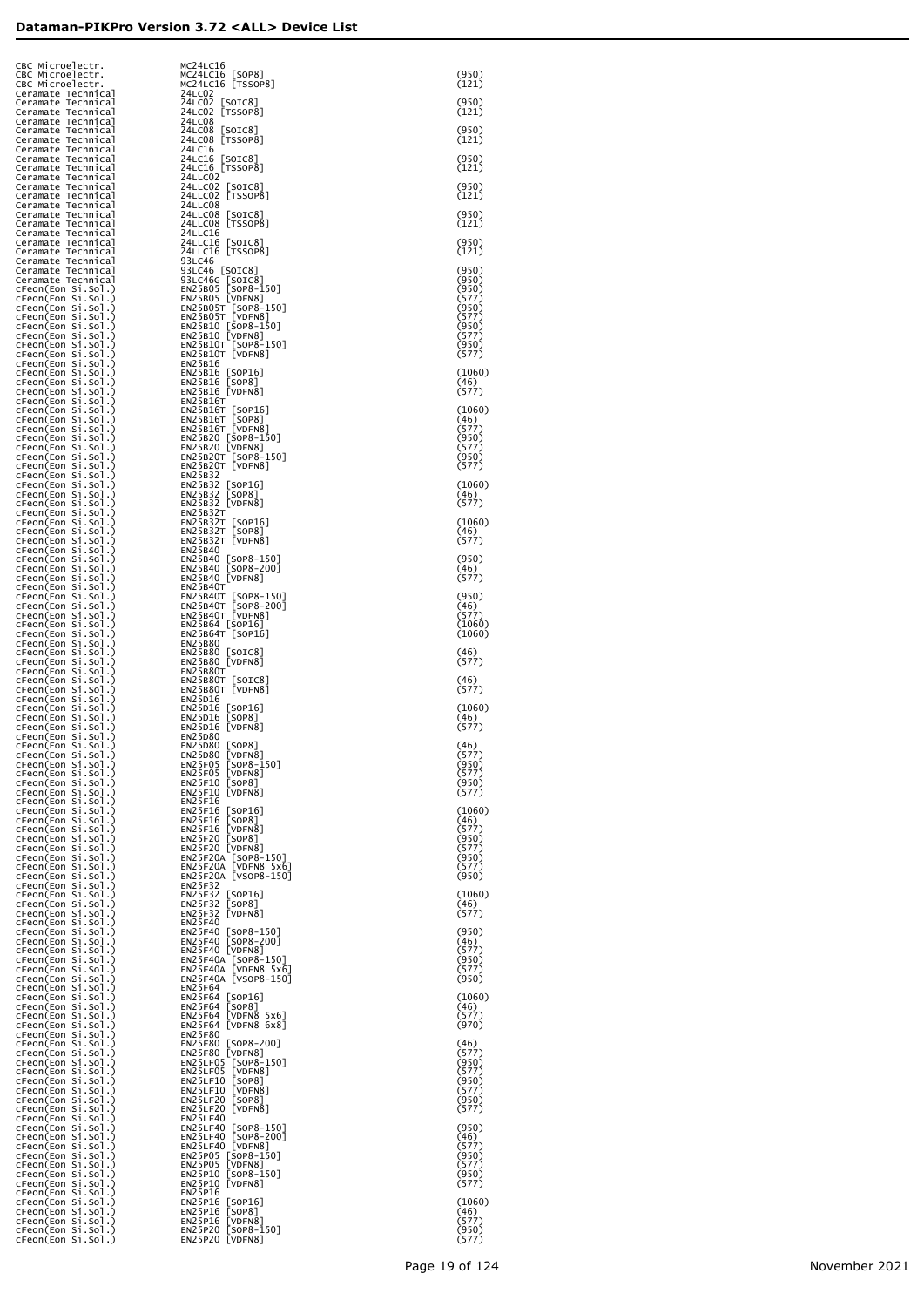| CBC Microelectr.<br>CBC Microelectr.                                                 | MC24LC16<br>MC24LC16 [SOP8]<br>MC24LC16 [TSSOP8]                                                                                                                                                                                          | (950)                   |
|--------------------------------------------------------------------------------------|-------------------------------------------------------------------------------------------------------------------------------------------------------------------------------------------------------------------------------------------|-------------------------|
| CBC Microelectr.<br>Ceramate Technical                                               | 24LC02                                                                                                                                                                                                                                    | (121)                   |
| Ceramate Technical<br>Ceramate Technical<br>Ceramate Technical                       | 24LC02 [SOIC8]<br>24LC02 [TSSOP8]<br>24LC08                                                                                                                                                                                               | (950)<br>(121)          |
| Ceramate Technical<br>Ceramate Technical                                             | 24LC08 [SOIC8]<br>24LC08 [TSSOP8]                                                                                                                                                                                                         | (950)<br>(121)          |
| Ceramate Technical<br>Ceramate Technical                                             | 24LC16<br>24LC16 [SOIC8]                                                                                                                                                                                                                  | (950)                   |
| Ceramate Technical<br>Ceramate Technical                                             | 24LC16 [TSSOP8]<br>24LLC02                                                                                                                                                                                                                | (121)                   |
| Ceramate Technical<br>Ceramate Technical                                             | 24LLC02 [SOIC8]<br>24LLC02 [TSSOP8]                                                                                                                                                                                                       | (950)<br>(121)          |
| Ceramate Technical<br>Ceramate Technical<br>Ceramate Technical                       | 24LLC08<br>24LLC08 [SOIC8]<br>24LLC08 [TSSOP8]                                                                                                                                                                                            | (950)<br>(121)          |
| Ceramate Technical<br>Ceramate Technical                                             | 24LLC16<br>24LLC16 [SOIC8]                                                                                                                                                                                                                | (950)                   |
| ceramate Technical<br>Ceramate Technical<br>Ceramate Technical<br>Ceramate Technical | 24LLC16 [TSSOP8]<br>93LC46                                                                                                                                                                                                                | (121)                   |
|                                                                                      | 93LC46 [SOIC8]                                                                                                                                                                                                                            | (950)<br>(950)          |
| cFeon(Eon Si.Sol.)<br>cFeon(Eon Si.Sol.)                                             |                                                                                                                                                                                                                                           | (950)<br>(577)          |
| cFeon(Eon Si.Sol.)<br>cFeon(Eon Si.Sol.)<br>cFeon(Eon Si.Sol.)                       |                                                                                                                                                                                                                                           | (950)<br>(577)<br>(950) |
| cFeon(Eon Si.Sol.)<br>cFeon(Eon Si.Sol.)                                             | 931C46G [SOIC8]<br>ENZ5805 [SOIC8]<br>ENZ5805 [VDFN8]<br>ENZ5805 [VDFN8]<br>ENZ5805T [VDFN8]<br>ENZ5805T [VDFN8]<br>ENZ5810 [VDFN8]<br>ENZ5810 [VDFN8]<br>ENZ5810T [SOP8-150]<br>ENZ5810T [VDFN8]<br>ENZ5810T [VDFN8]<br>ENZ5810T [VDFN8] | (577)<br>(950)          |
| cFeon(Eon Si.Sol.)<br>cFeon(Eon Si.Sol.)                                             | EN25B16                                                                                                                                                                                                                                   | (577)                   |
| cFeon(Eon Si.Sol.)<br>cFeon(Eon Si.Sol.)                                             | EN25B16 [SOP16]<br>EN25B16 [SOP8]<br>EN25B16 [VDFN8]                                                                                                                                                                                      | (1060)<br>(46)          |
| cFeon(Eon Si.Sol.)<br>cFeon(Eon Si.Sol.)<br>cFeon(Eon Si.Sol.)                       | EN25B16T                                                                                                                                                                                                                                  | (577)<br>(1060)         |
| cFeon(Eon Si.Sol.)<br>cFeon(Eon Si.Sol.)                                             |                                                                                                                                                                                                                                           | (46)<br>(577)           |
| cFeon(Eon Si.Sol.)<br>cFeon(Eon Si.Sol.)                                             |                                                                                                                                                                                                                                           | (950)<br>(577)          |
| cFeon(Eon Si.Sol.)<br>cFeon(Eon Si.Sol.)                                             | EN2SB16T<br>EN2SB16T [SOP16]<br>EN2SB16T [SOP8]<br>EN2SB16T [VDFN8]<br>EN2SB20 [SOP8-150]<br>EN2SB20 [VDFN8]<br>EN2SB20T [SOP8-150]<br>EN2SB20T [SOP8-150]<br>EN2SB20T [VDFN8]<br>EN2SB20T [VDFN8]                                        | (950)<br>(577)          |
| cFeon(Eon Si.Sol.)<br>cFeon(Eon Si.Sol.)<br>cFeon(Eon Si.Sol.)                       | EN25B32<br>EN25B32 [SOP16]<br>EN25B32 [SOP8]<br>EN25B32 [VDFN8]                                                                                                                                                                           | (1060)                  |
| cFeon(Eon Si.Sol.)<br>cFeon(Eon Si.Sol.)                                             | EN25B32T                                                                                                                                                                                                                                  | (46)<br>(577)           |
| cFeon(Eon Si.Sol.)<br>cFeon(Eon Si.Sol.)                                             | EN25B32T [SOP16]<br>EN25B32T [SOP8]                                                                                                                                                                                                       | (1060)<br>(46)          |
| cFeon(Eon Si.Sol.)<br>cFeon(Eon Si.Sol.)                                             | EN25B32T [VDFN8]<br>EN25B40                                                                                                                                                                                                               | (577)                   |
| cFeon(Eon Si.Sol.)<br>cFeon(Eon Si.Sol.)<br>cFeon(Eon Si.Sol.)                       | EN25B40 [SOP8-150]<br>EN25B40 [SOP8-200]<br>EN25B40 [VDFN8]                                                                                                                                                                               | (950)<br>(46)<br>(577)  |
| cFeon(Eon Si.Sol.)<br>cFeon(Eon Si.Sol.)                                             | <b>EN25B40T</b>                                                                                                                                                                                                                           | (950)                   |
| cFeon(Eon Si.Sol.)<br>cFeon(Eon Si.Sol.)                                             | ENZ3B40T [SOP8-150]<br>ENZ5B40T [SOP8-200]<br>ENZ5B40T [SOP8-200]<br>ENZ5B64 [SOP16]<br>ENZ5B64T [SOP16]                                                                                                                                  | (46)<br>(577)           |
| cFeon(Eon Si.Sol.)<br>cFeon(Eon Si.Sol.)<br>cFeon(Eon Si.Sol.)                       | EN25B80                                                                                                                                                                                                                                   | (1060)<br>(1060)        |
| cFeon(Eon Si.Sol.)<br>cFeon(Eon Si.Sol.)                                             | EN25B80 [SOIC8]<br>EN25B80 [VDFN8]                                                                                                                                                                                                        | (46)<br>(577)           |
| cFeon(Eon Si.Sol.)<br>cFeon(Eon Si.Sol.)                                             | <b>EN25B80T</b><br>EN25B80T [SOIC8]<br>EN25B80T [VDFN8]                                                                                                                                                                                   | (46)                    |
| cFeon(Eon Si.Sol.)<br>cFeon(Eon Si.Sol.)<br>cFeon(Eon Si.Sol.)                       | EN25D16                                                                                                                                                                                                                                   | (577)<br>(1060)         |
| cFeon(Eon Si.Sol.)<br>cFeon(Eon Si.Sol.)                                             | EN25D16 [SOP16]<br>EN25D16 [SOP8]<br>EN25D16 [VDFN8]                                                                                                                                                                                      | (46)<br>(577)           |
| cFeon(Eon Si.Sol.)<br>cFeon(Eon Si.Sol.)                                             | EN25D80<br>EN25D80 [SOP8]<br>EN25D80 [VDFN8]                                                                                                                                                                                              | (46)                    |
| cFeon(Eon Si.Sol.)<br>cFeon(Eon Si.Sol.)<br>cFeon(Eon Si.Sol.)                       | EN25F05<br>$[$ SOP $8$ - $\bar{1}50$ ]<br>VDFN87<br>EN25F05                                                                                                                                                                               | (577)<br>(950)<br>(577) |
| cFeon(Eon Si.Sol.)<br>cFeon(Eon Si.Sol.)                                             | [soP8]<br>EN25F10<br>EN25F10<br>[VDFN8]                                                                                                                                                                                                   | (950)<br>(577)          |
| cFeon(Eon Si.Sol.)<br>cFeon(Eon Si.Sol.)                                             | EN25F16<br>EN25F16<br>$\lfloor$ SOP $16$                                                                                                                                                                                                  | (1060)                  |
| cFeon(Eon Si.Sol.)<br>cFeon(Eon Si.Sol.)<br>cFeon(Eon Si.Sol.)                       | EN25F16<br>[SOP8]<br>[VDFN8]<br>EN25F16<br>EN25F20                                                                                                                                                                                        | (46)<br>(577)           |
| cFeon(Eon Si.Sol.)<br>cFeon(Eon Si.Sol.)                                             | [SOP8]<br>EN25F20 [VDFN8]                                                                                                                                                                                                                 | (950)<br>(577)<br>(950) |
| cFeon(Eon Si.Sol.)<br>cFeon(Eon Si.Sol.)                                             | EN25F20A [SOP8-150]<br>EN25F20A [VDFN8 5x6]<br>EN25F20A [VSOP8-150]                                                                                                                                                                       | (577)<br>(950)          |
| cFeon(Eon Si.Sol.)<br>cFeon(Eon Si.Sol.)                                             | EN25F32<br>EN25F32<br>[SOP16]<br>[SOP8]                                                                                                                                                                                                   | (1060)                  |
| cFeon(Eon Si.Sol.)<br>cFeon(Eon Si.Sol.)<br>cFeon(Eon Si.Sol.)                       | EN25F32<br>EN25F32<br>[VDFN8]<br><b>EN25F40</b>                                                                                                                                                                                           | (46)<br>(577)           |
| cFeon(Eon Si.Sol.)<br>cFeon(Eon Si.Sol.)                                             | EN25F40 [SOP8-150]<br>SOP8-200]<br>EN25F40                                                                                                                                                                                                | (950)<br>(46)           |
| cFeon(Eon Si.Sol.)<br>cFeon(Eon Si.Sol.)                                             | EN25F40 [VDFN8]<br>EN25F40A [SOP8-150]<br>EN25F40A [VDFN8 5x6]                                                                                                                                                                            | (577)<br>(950)          |
| cFeon(Eon Si.Sol.)<br>cFeon(Eon Si.Sol.)<br>cFeon(Eon Si.Sol.)                       | EN25F40A [VSOP8-150]<br>EN25F64                                                                                                                                                                                                           | (577)<br>(950)          |
| cFeon(Eon Si.Sol.)<br>cFeon(Eon Si.Sol.)                                             | EN25F64<br>$\lfloor$ SOP16]<br>$[$ SOP8 $]$<br>EN25F64                                                                                                                                                                                    | (1060)<br>(46)          |
| cFeon(Eon Si.Sol.)<br>cFeon(Eon Si.Sol.)                                             | [VDFN8 5x6]<br>EN25F64<br>EN25F64<br>[ $VDFN8$ $6x8$ ]                                                                                                                                                                                    | (577)<br>(970)          |
| cFeon(Eon Si.Sol.)<br>cFeon(Eon Si.Sol.)<br>cFeon(Eon Si.Sol.)                       | EN25F80<br>EN25F80 [SOP8-200]<br>EN25F80 [VDFN8]                                                                                                                                                                                          | (46)<br>(577)           |
| cFeon(Eon Si.Sol.)<br>cFeon(Eon Si.Sol.)                                             | <b>EN25LF05</b><br>[SOP8-150]<br>[VDFN8]<br><b>EN25LF05</b>                                                                                                                                                                               | (950)<br>(577)          |
| cFeon(Eon Si.Sol.)<br>cFeon(Eon Si.Sol.)                                             | EN25LF10<br>[SOP8]<br>EN25LF10<br>[VDFN8]                                                                                                                                                                                                 | (950)<br>(577)          |
| cFeon(Eon Si.Sol.)<br>cFeon(Eon Si.Sol.)                                             | [SOP8]<br><b>EN25LF20</b><br><b>EN25LF20</b><br>[VDFN8]<br><b>EN25LF40</b>                                                                                                                                                                | (950)<br>(577)          |
| cFeon(Eon Si.Sol.)<br>cFeon(Eon Si.Sol.)<br>cFeon(Eon Si.Sol.)                       | <b>EN25LF40</b><br>$[SOP8-150]$<br>$[50P8-200]$<br><b>EN25LF40</b>                                                                                                                                                                        | (950)<br>(46)           |
| cFeon(Eon Si.Sol.)<br>cFeon(Eon Si.Sol.)                                             | EN25LF40 [VDFN8]<br>EN25P05<br>[SOP8-150]<br>[VDFN8]                                                                                                                                                                                      | (577)<br>(950)          |
| cFeon(Eon Si.Sol.)<br>cFeon(Eon Si.Sol.)                                             | EN25P05<br>EN25P10<br>$[SOP8-150]$                                                                                                                                                                                                        | (577)<br>(950)          |
| cFeon(Eon Si.Sol.)<br>cFeon(Eon Si.Sol.)<br>cFeon(Eon Si.Sol.)                       | EN25P10<br>[VDFN8]<br>EN25P16<br>EN25P16<br>$\lfloor$ SOP $16$                                                                                                                                                                            | (577)<br>(1060)         |
| cFeon(Eon Si.Sol.)<br>cFeon(Eon Si.Sol.)                                             | EN25P16<br>[SOP8]<br>EN25P16<br>[VDFN8]                                                                                                                                                                                                   | (46)<br>(577)           |
| cFeon(Eon Si.Sol.)<br>cFeon(Eon Si.Sol.)                                             | EN25P20<br>$[SOP8-150]$<br>EN25P20 [VDFN8]                                                                                                                                                                                                | (950)<br>(577)          |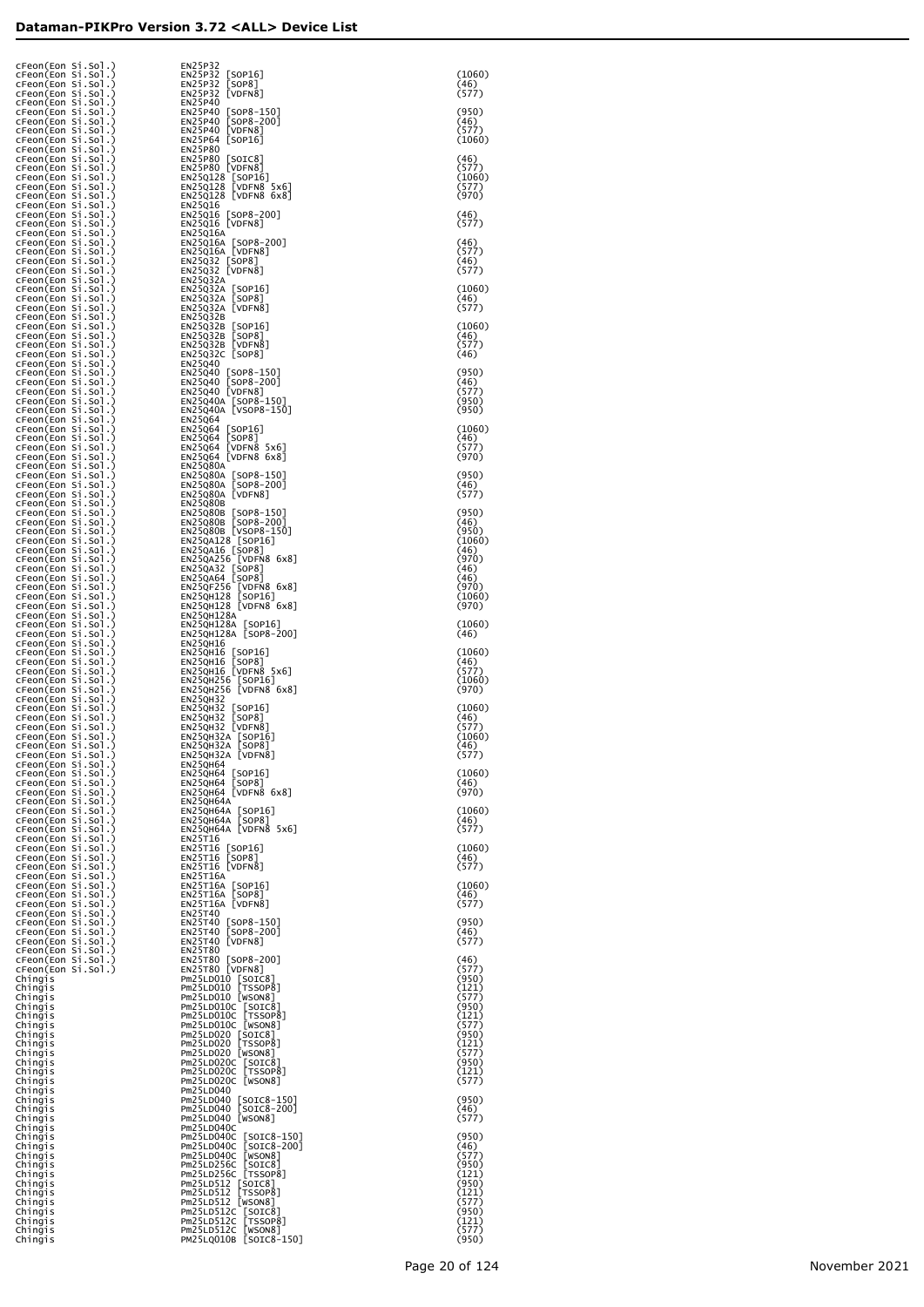| CFeon(Eon Si.Sol.)<br>cFeon(Eon Si.Sol.)<br>cFeon(Eon Si.Sol.)                       | EN25P32<br>EN25P32<br>[SOP16]<br>[SOP8]<br>EN25P32                                                                                                                                                                                                              | (1060)<br>(46)                   |
|--------------------------------------------------------------------------------------|-----------------------------------------------------------------------------------------------------------------------------------------------------------------------------------------------------------------------------------------------------------------|----------------------------------|
| cFeon(Eon Si.Sol.)<br>cFeon(Eon Si.Sol.)<br>cFeon(Eon Si.Sol.)                       | EN25P32<br>[VDFN8]<br>EN25P40<br>EN25P40<br>[SOP8-150]<br>[SOP8-200]                                                                                                                                                                                            | (577)<br>(950)                   |
| cFeon(Eon Si.Sol.)<br>cFeon(Eon Si.Sol.)<br>cFeon(Eon Si.Sol.)                       | EN25P40<br>[VDFN8]<br>EN25P40<br>EN25P64 [SOP16]                                                                                                                                                                                                                | (46)<br>(577)<br>(1060)          |
| cFeon(Eon Si.Sol.)<br>cFeon(Eon Si.Sol.)<br>cFeon(Eon Si.Sol.)<br>cFeon(Eon Si.Sol.) | EN25P80<br>EN25P80                                                                                                                                                                                                                                              | (46)<br>(577)                    |
| cFeon(Eon Si.Sol.)<br>cFeon(Eon Si.Sol.)<br>cFeon(Eon Si.Sol.)                       | EN25P80 [SOIC8]<br>EN25P80 [VDFN8]<br>EN25Q128 [SOP16]<br>EN25Q128 [VDFN8 5x6]<br>EN25Q128 [VDFN8 6x8]<br>EN25Q16                                                                                                                                               | (1060)<br>〔577〕<br>(970)         |
| cFeon(Eon Si.Sol.)<br>cFeon(Eon Si.Sol.)<br>cFeon(Eon Si.Sol.)                       | EN25Q16<br>EN25Q16 [SOP8-200]<br>EN25Q16 [VDFN8]<br><b>EN25Q16A</b>                                                                                                                                                                                             | (46)<br>(577)                    |
| cFeon(Eon Si.Sol.)<br>CFeon(Eon Si.Sol.)<br>cFeon(Eon Si.Sol.)                       | EN25016A [SOP8-200]<br>EN25016A [VDFN8]<br>EN25032 [SOP8]<br>EN25032 [VDFN8]                                                                                                                                                                                    | (46)<br>(577)<br>(46)            |
| cFeon(Eon Si.Sol.)<br>cFeon(Eon Si.Sol.)<br>cFeon(Eon Si.Sol.)                       | EN25Q32A                                                                                                                                                                                                                                                        | (577)<br>(1060)                  |
| cFeon(Eon Si.Sol.)<br>cFeon(Eon Si.Sol.)<br>cFeon(Eon Si.Sol.)                       | EN25032A [SOP16]<br>EN25032A [SOP8]<br>EN25032A [VDFN8]<br>EN25Q32B                                                                                                                                                                                             | (46)<br>(577)                    |
| cFeon(Eon Si.Sol.)<br>cFeon(Eon Si.Sol.)<br>cFeon(Eon Si.Sol.)                       | EN25032B [SOP16]<br>EN25032B [SOP8]<br>EN25032B [VDFN8]<br>EN25032C [SOP8]                                                                                                                                                                                      | (1060)<br>(46)<br>(577)          |
| cFeon(Eon Si.Sol.)<br>cFeon(Eon Si.Sol.)<br>cFeon(Eon Si.Sol.)                       | EN25Q40                                                                                                                                                                                                                                                         | (46)<br>(950)                    |
| cFeon(Eon Si.Sol.)<br>cFeon(Eon Si.Sol.)<br>cFeon(Eon Si.Sol.)                       | EN25040 [SOP8-150]<br>EN25040 [SOP8-200]<br>EN25040 [VDFN8]<br>EN25Q40A [SOP8-150]<br>EN25Q40A [VSOP8-150]                                                                                                                                                      | (46)<br>(577)<br>(950)           |
| cFeon(Eon Si.Sol.)<br>cFeon(Eon Si.Sol.)<br>cFeon(Eon Si.Sol.)                       | EN25Q64                                                                                                                                                                                                                                                         | (950)<br>(1060)                  |
| cFeon(Eon Si.Sol.)<br>cFeon(Eon Si.Sol.)<br>cFeon(Eon Si.Sol.)                       | EN25064 [SOP16]<br>EN25064 [SOP8]<br>EN25064 [VDFN8 5x6]<br>EN25064 [VDFN8 6x8]                                                                                                                                                                                 | (46)<br>(577)<br>(970)           |
| cFeon(Eon Si.Sol.)<br>cFeon(Eon Si.Sol.)<br>cFeon(Eon Si.Sol.)                       | <b>EN25Q80A</b><br>EN25080A [SOP8-150]<br>EN25080A [SOP8-200]<br>EN25080A [VDFN8]                                                                                                                                                                               | (950)<br>(46)<br>(577)           |
| cFeon(Eon Si.Sol.)<br>cFeon(Eon Si.Sol.)<br>cFeon(Eon Si.Sol.)<br>cFeon(Eon Si.Sol.) | <b>EN25Q80B</b>                                                                                                                                                                                                                                                 | (950)<br>(46)                    |
| cFeon(Eon Si.Sol.)<br>cFeon(Eon Si.Sol.)<br>cFeon(Eon Si.Sol.)                       |                                                                                                                                                                                                                                                                 | (950)<br>(1060)<br>(46)          |
| cFeon(Eon Si.Sol.)<br>cFeon(Eon Si.Sol.)<br>cFeon(Eon Si.Sol.)                       | EN25080B<br>EN25080B [SOP8-150]<br>EN25080B [SOP8-2001]<br>EN25080B [VSOP8-150]<br>EN2504128 [VSOP8-150]<br>EN2504128 [SOP16]<br>EN250425 [VDF88 6x8]<br>EN250425 [VDFN8 6x8]<br>EN2504256 [VDFN8 6x8]<br>EN2504128 [SOP16]<br>EN250H128 [VDFN8 6x8]<br>EN250H1 | (970)<br>(46)<br>(46)            |
| cFeon(Eon Si.Sol.)<br>cFeon(Eon Si.Sol.)<br>cFeon(Eon Si.Sol.)                       |                                                                                                                                                                                                                                                                 | (970)<br>(1060)<br>(970)         |
| cFeon(Eon Si.Sol.)<br>cFeon(Eon Si.Sol.)<br>cFeon(Eon Si.Sol.)                       | <b>EN25QH128A</b><br>EN25QH128A [SOP16]<br>EN25QH128A [SOP8-200]                                                                                                                                                                                                | (1060)<br>(46)                   |
| CFeon(Eon Si.Sol.)<br>CFeon(Eon Si.Sol.)<br>CFeon(Eon Si.Sol.)                       | EN25QH16                                                                                                                                                                                                                                                        | (1060)<br>(46)                   |
| cFeon(Eon Si.Sol.)<br>cFeon(Eon Si.Sol.)<br>CFeon(Eon Si.Sol.)                       | EN25QH16 [SOP16]<br>EN25QH16 [SOP16]<br>EN25QH16 [SOP8]<br>EN25QH256 [SOP16]<br>EN25QH256 [SOP16]<br>EN25QH256 [VDFN8 6x8]                                                                                                                                      | (577)<br>(1060)<br>(970)         |
| CFeon(Eon Si.Sol.)<br>cFeon(Eon Si.Sol.)<br>cFeon(Eon Si.Sol.)<br>CFeon(Eon Si.Sol.) | <b>EN25QH32</b><br>EN25QH32 [SOP16]<br>EN25QH32 [SOP8]<br>EN25QH32 [VDFN8]                                                                                                                                                                                      | (1060)<br>(46)<br>(577)          |
| CFeon(Eon Si.Sol.)<br>cFeon(Eon Si.Sol.)<br>cFeon(Eon Si.Sol.)                       | EN25QH32A [SOP16]<br>EN25QH32A [SOP8]<br>EN25QH32A [VDFN8]                                                                                                                                                                                                      | (1060)<br>(46)<br>(577)          |
| cFeon(Eon Si.Sol.)<br>cFeon(Eon Si.Sol.)<br>cFeon(Eon Si.Sol.)                       | <b>EN25QH64</b><br>EN25QH64 [SOP16]<br>EN25QH64 [SOP8]<br>EN25QH64 [VDFN8 6x8]                                                                                                                                                                                  | (1060)<br>(46)                   |
| cFeon(Eon Si.Sol.)<br>cFeon(Eon Si.Sol.)<br>cFeon(Eon Si.Sol.)                       | EN25QH64A                                                                                                                                                                                                                                                       | (970)<br>(1060)                  |
| cFeon(Eon Si.Sol.)<br>cFeon(Eon Si.Sol.)<br>cFeon(Eon Si.Sol.)                       | EN25QH64A [SOP16]<br>EN25QH64A [SOP8]<br>EN25QH64A [VDFN8 5x6]<br>EN25T16                                                                                                                                                                                       | (46)<br>(577)                    |
| cFeon(Eon Si.Sol.)<br>cFeon(Eon Si.Sol.)<br>cFeon(Eon Si.Sol.)<br>cFeon(Eon Si.Sol.) | EN25T16 [SOP16]<br>EN25T16 [SOP8]<br>EN25T16 [VDFN8]<br><b>EN25T16A</b>                                                                                                                                                                                         | (1060)<br>(46)<br>(577)          |
| cFeon(Eon Si.Sol.)<br>cFeon(Eon Si.Sol.)<br>cFeon(Eon Si.Sol.)                       | EN25T16A [SOP16]<br>EN25T16A [SOP8]<br>EN25T16A [VDFN8]                                                                                                                                                                                                         | (1060)<br>(46)<br>(577)          |
| cFeon(Eon Si.Sol.)<br>cFeon(Eon Si.Sol.)<br>cFeon(Eon Si.Sol.)                       | EN25T40<br>EN25T40 [SOP8-150]<br>EN25T40 [SOP8-200]<br>EN25T40 [VDFN8]                                                                                                                                                                                          | (950)<br>(46)                    |
| cFeon(Eon Si.Sol.)<br>cFeon(Eon Si.Sol.)<br>cFeon(Eon Si.Sol.)                       | EN25T80<br>EN25T80 [SOP8-200]<br>EN25T80 [VDFN8]                                                                                                                                                                                                                | (577)<br>(46)                    |
| CFeon(Eon Si.Sol.)<br>Chingis<br>Chingis                                             | ENZIST<br>PM25LD010 [SOTC8]<br>PM25LD010 [SOTC8]<br>PM25LD010 [WSON8]<br>PM25LD010 [WSON8]<br>PM25LD010 [WSON8]<br>PM25LD010 [WSON8]<br>PM25LD020 [SOTC8]<br>PM25LD020 [WSON8]<br>PM25LD0200 [WSON8]<br>PM25LD0200 [WSON8]<br>PM25LD0200 [WSON8]<br>PM          | (577)<br>(950)<br>(121)          |
| Chingis<br>Chingis<br>Chingis                                                        |                                                                                                                                                                                                                                                                 | (577)<br>(950)<br>(121)<br>(577) |
| Chingis<br>Chingis<br>Chingis<br>Chingis                                             |                                                                                                                                                                                                                                                                 | (950)<br>(121)<br>(577)          |
| Chingis<br>Chingis<br>Chingis                                                        |                                                                                                                                                                                                                                                                 | (950)<br>(121)<br>(577)          |
| Chingis<br>Chingis<br>Chingis                                                        | Pm25LD040<br>Pm25LD040 [SOIC8-150]<br>Pm25LD040 [SOIC8-200]<br>Pm25LD040 [WSON8]                                                                                                                                                                                | (950)<br>(46)                    |
| Chingis<br>Chingis<br>Chingis                                                        | Pm25LD040C                                                                                                                                                                                                                                                      | (577)<br>(950)                   |
| Chingis<br>Chingis<br>Chingis                                                        | Pm25LD040C<br>Pm25LD040C [SOTC8-150]<br>Pm25LD040C [SOTC8-200]<br>Pm25LD040C [WSON8]<br>Pm25LD256C [SOTC8]<br>Pm25LD256C [SOTC8]<br>Pm25LD512 [WSON8]<br>Pm25LD512 [WSON8]<br>Pm25LD512C [USON8]<br>Pm25LD512C [USON8]<br>Pm25LD512C [USON8]<br>Pm25            | (46)<br>(577)<br>(950)           |
| Chingis<br>Chingis<br>Chingis                                                        |                                                                                                                                                                                                                                                                 | (121)<br>(950)<br>(121)<br>(577) |
| Chingis<br>Chingis<br>Chingis<br>Chingis                                             |                                                                                                                                                                                                                                                                 | (950)<br>(121)<br>(577)          |
| Chingis                                                                              |                                                                                                                                                                                                                                                                 | (950)                            |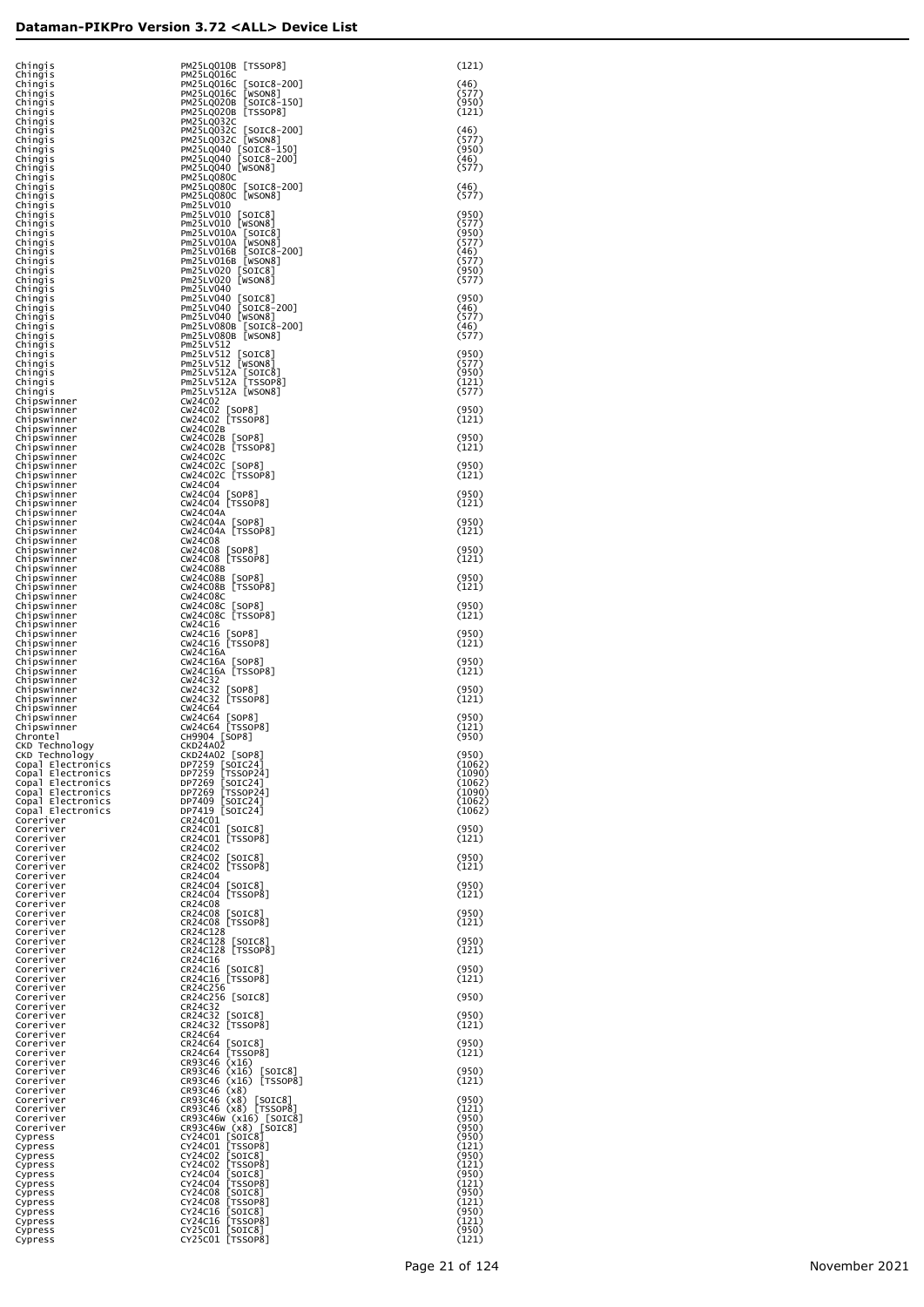| Chingis                                | PM25LQ010B [TSSOP8]                             | (121)            |
|----------------------------------------|-------------------------------------------------|------------------|
| Chingis<br>Chingis                     | PM25LQ016C<br>PM25LQ016C [SOIC8-200]            | (46)             |
| Chingis<br>Chingis                     | PM25LQ016C [WSON8]<br>PM25LQ020B [SOIC8-150]    | (577)<br>(950)   |
| Chingis<br>Chingis                     | PM25LQ020B [TSSOP8]<br>PM25LQ032C               | (121)            |
| Chingis<br>Chingis                     | PM25LQ032C [SOIC8-200]<br>PM25LQ032C [WSON8]    | (46)<br>(577)    |
| Chingis<br>Chingis                     | PM25LQ040 [SOIC8-150]<br>PM25LQ040 [SOIC8-200]  | (950)<br>(46)    |
| Chingis                                | PM25LQ040 [WSON8]<br>PM25LQ080C                 | (577)            |
| Chingis<br>Chingis                     | PM25LQ080C [SOIC8-200]                          | (46)<br>(577)    |
| Chingis<br>Chingis                     | PM25LQ080C [WSON8]<br>Pm25LV010                 |                  |
| Chingis<br>Chingis                     | Pm25LV010 [SOIC8]<br>Pm25LV010 [WSON8]          | (950)<br>(577)   |
| Chingis<br>Chingis                     | Pm25LV010A [SOIC8]<br>Pm25LV010A [WSON8]        | (950)<br>(577)   |
| Chingis<br>Chingis                     | Pm25LV016B [SOIC8-200]<br>Pm25LV016B [WSON8]    | (46)<br>(577)    |
| Chingis<br>Chingis                     | Pm25LV020 [SOIC8]<br>Pm25LV020 [WSON8]          | (950)<br>(577)   |
| Chingis<br>Chingis                     | Pm25LV040<br>Pm25LV040 [SOIC8]                  | (950)            |
| Chingis<br>Chingis                     | Pm25LV040 [SOIC8-200]<br>Pm25LV040 [WSON8]      | (46)<br>(577)    |
| Chingis<br>Chingis                     | Pm25LV080B [SOIC8-200]<br>Pm25LV080B [WSON8]    | (46)<br>(577)    |
| Chingis<br>Chingis                     | Pm25LV512<br>Pm25LV512 [SOIC8]                  | (950)            |
| Chingis                                | Pm25LV512 [WSON8]                               | (577)            |
| Chingis<br>Chingis                     | Pm25LV512A [SOIC8]<br>Pm25LV512A [TSSOP8]       | (950)<br>(121)   |
| Chingis<br>Chipswinner                 | Pm25LV512A [WSON8]<br>CW24C02                   | (577)            |
| Chipswinner<br>Chipswinner             | CW24C02 [SOP8]<br>CW24C02 [TSSOP8]              | (950)<br>(121)   |
| Chipswinner<br>Chipswinner             | CW24C02B<br>CW24C02B [SOP8]                     | (950)            |
| Chipswinner<br>Chipswinner             | CW24C02B [TSSOP8]<br>CW24C02C                   | (121)            |
| Chipswinner<br>Chipswinner             | CW24C02C [SOP8]<br>CW24C02C [TSSOP8]            | (950)<br>(121)   |
| Chipswinner<br>Chipswinner             | CW24C04<br>CW24C04 [SOP8]                       | (950)            |
| Chipswinner<br>Chipswinner             | CW24C04 [TSSOP8]<br>CW24C04A                    | (121)            |
| Chipswinner                            | CW24C04A [SOP8]                                 | (950)            |
| Chipswinner<br>Chipswinner             | CW24C04A [TSSOP8]<br>CW24C08                    | (121)            |
| Chipswinner<br>Chipswinner             | CW24C08 [SOP8]<br>CW24C08 [TSSOP8]              | (950)<br>(121)   |
| Chipswinner<br>Chipswinner             | CW24C08B<br>CW24C08B [SOP8]                     | (950)            |
| Chipswinner<br>Chipswinner             | CW24C08B [TSSOP8]<br>CW24C08C                   | (121)            |
| Chipswinner<br>Chipswinner             | CW24C08C [SOP8]<br>CW24C08C [TSSOP8]            | (950)<br>(121)   |
| Chipswinner<br>Chipswinner             | CW24C16<br>CW24C16 [SOP8]                       | (950)            |
| Chipswinner<br>Chipswinner             | CW24C16 [TSSOP8]<br>CW24C16A                    | (121)            |
| Chipswinner<br>Chipswinner             | CW24C16A [SOP8]<br>CW24C16A [TSSOP8]            | (950)<br>(121)   |
| Chipswinner<br>Chipswinner             | CW24C32<br>CW24C32 [SOP8]                       | (950)            |
| Chipswinner<br>Chipswinner             | CW24C32 [TSSOP8]<br>CW24C64                     | (121)            |
| Chipswinner<br>Chipswinner             | CW24C64 [SOP8]<br>CW24C64 [TSSOP8]              | (950)<br>(121)   |
| Chrontel<br>CKD Technology             | CH9904 [SOP8]<br><b>CKD24A02</b>                | (950)            |
| CKD Technology<br>Copal Electronics    | CKD24A02 [SOP8]<br>DP7259 [SOIC24]              | (950)<br>(1062)  |
| Copal Electronics                      | DP7259 [TSSOP24]<br>DP7269 [SOIC24]             | (1090)           |
| Copal Electronics<br>Copal Electronics | DP7269 [TSSOP24]                                | (1062)<br>(1090) |
| Copal Electronics<br>Copal Electronics | DP7409 [SOIC24]<br>DP7419 [SOIC24]              | (1062)<br>(1062) |
| Coreriver<br>Coreriver                 | CR24C01<br>CR24C01 [SOIC8]                      | (950)            |
| Coreriver<br>Coreriver                 | CR24C01 [TSSOP8]<br>CR24C02                     | (121)            |
| Coreriver<br>Coreriver                 | CR24C02 [SOIC8]<br>CR24C02 [TSSOP8]             | (950)<br>(121)   |
| Coreriver<br>Coreriver                 | CR24C04<br>CR24C04 [SOIC8]                      | (950)            |
| Coreriver<br>Coreriver                 | CR24C04 [TSSOP8]<br>CR24C08                     | (121)            |
| Coreriver<br>Coreriver                 | CR24C08 [SOIC8]<br>CR24C08 [TSSOP8]             | (950)<br>(121)   |
| Coreriver<br>Coreriver                 | CR24C128<br>CR24C128 [SOIC8]                    | (950)            |
| Coreriver                              | CR24C128 [TSSOP8]                               | (121)            |
| Coreriver<br>Coreriver                 | CR24C16<br>CR24C16 [SOIC8]                      | (950)            |
| Coreriver<br>Coreriver                 | CR24C16 [TSSOP8]<br>CR24C256                    | (121)            |
| Coreriver<br>Coreriver                 | CR24C256 [SOIC8]<br>CR24C32                     | (950)            |
| Coreriver<br>Coreriver                 | CR24C32 [SOIC8]<br>CR24C32 [TSSOP8]             | (950)<br>(121)   |
| Coreriver<br>Coreriver                 | CR24C64<br>CR24C64 [SOIC8]                      | (950)            |
| Coreriver<br>Coreriver                 | CR24C64 [TSSOP8]<br>CR93C46 (x16)               | (121)            |
| Coreriver<br>Coreriver                 | CR93C46 (x16) [SOIC8]<br>CR93C46 (x16) [TSSOP8] | (950)<br>(121)   |
| Coreriver<br>Coreriver                 | CR93C46 (x8)<br>CR93C46 (x8) [SOIC8]            | (950)            |
| Coreriver<br>Coreriver                 | CR93C46 (x8) [TSSOP8]<br>CR93C46W (x16) [SOIC8] | (121)<br>(950)   |
| Coreriver<br>Cypress                   | CR93C46W (x8) [SOIC8]<br>CY24C01 [SOIC8]        | (950)<br>(950)   |
| Cypress<br>Cypress                     | CY24C01 [TSSOP8]<br>CY24C02 [SOIC8]             | (121)<br>(950)   |
| Cypress                                | CY24C02 [TSSOP8]<br>CY24C04 [SOIC8]             | (121)<br>(950)   |
| Cypress<br>Cypress                     | CY24C04 [TSSOP8]                                | (121)            |
| Cypress<br>Cypress                     | CY24C08 [SOIC8]<br>CY24C08 [TSSOP8]             | (950)<br>(121)   |
| Cypress<br>Cypress                     | CY24C16 [SOIC8]<br>CY24C16 [TSSOP8]             | (950)<br>(121)   |
| Cypress<br>Cypress                     | CY25C01 [SOIC8]<br>CY25C01 [TSSOP8]             | (950)<br>(121)   |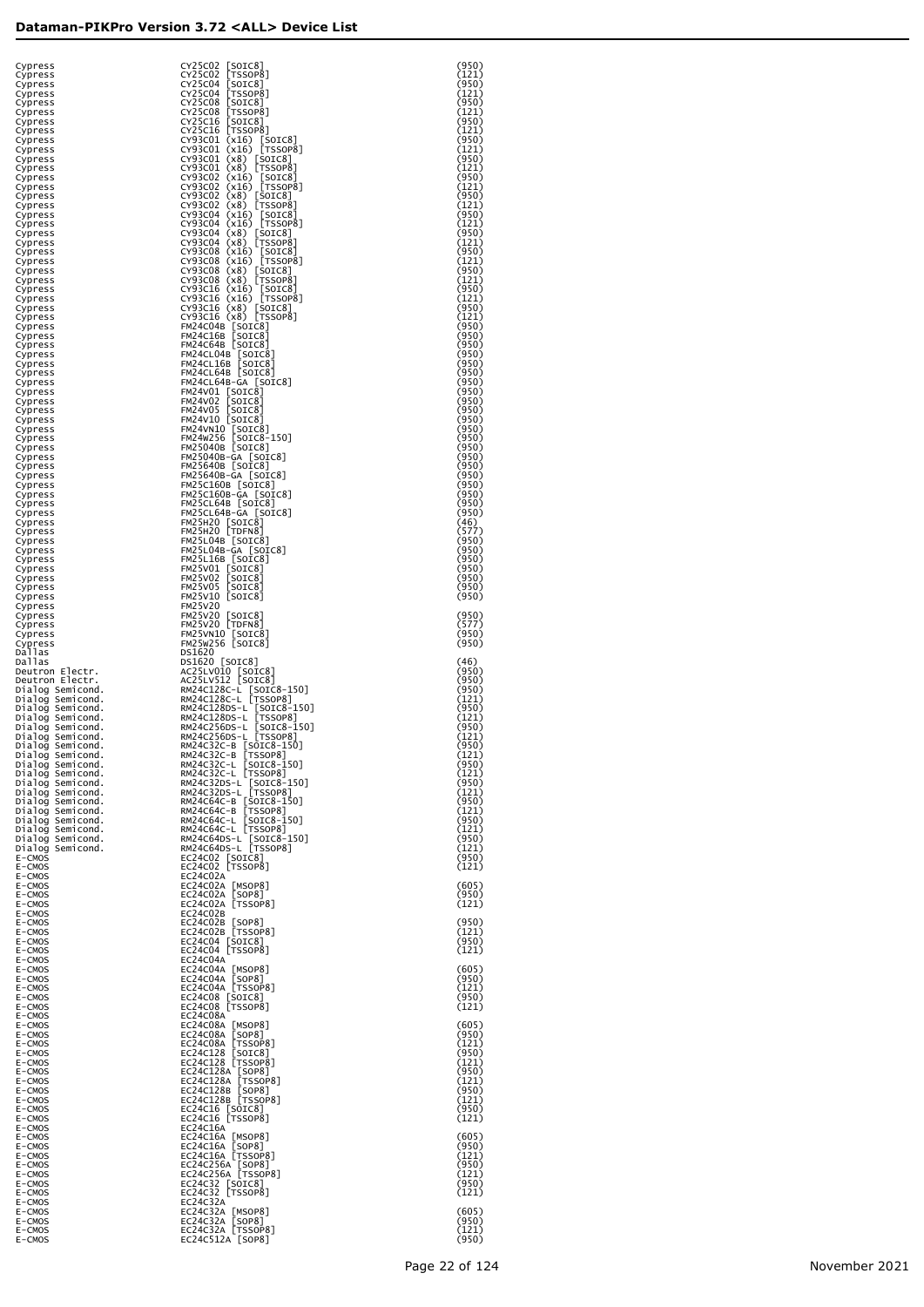| Cypress                              | CY25C02 [SOIC8]<br>[TSSOP8]<br>CY25C02                                                                 | (950)<br>(121) |
|--------------------------------------|--------------------------------------------------------------------------------------------------------|----------------|
| Cypress<br>Cypress                   | CY25C04 [SOIC8]<br>CY25C04 [TSS0P8]                                                                    | (950)          |
| Cypress<br>Cypress                   | CY25C08 [SOIC8]                                                                                        | (121)<br>(950) |
| Cypress<br>Cypress                   | CY25C08 [TSSOP8]<br>CY25C16 [SOIC8]                                                                    | (121)<br>(950) |
| Cypress<br>Cypress                   | CY25C16 [TSSOP8]<br>CY93C01 (x16) [SOIC8]<br>CY93C01 (x16) [TSSOP8]                                    | (121)<br>(950) |
| Cypress<br>Cypress                   | CY93C01 (x8) [SOIC8]                                                                                   | (121)<br>(950) |
| Cypress<br>Cypress                   | CY93C01 (x8) [TSSOP8]                                                                                  | (121)<br>(950) |
| Cypress<br>Cypress                   | CY93C02 (x16) [SOIC8]<br>CY93C02 (x16) [TSSOP8]<br>CY93C02 (x8) [SOIC8]                                | (121)<br>(950) |
| Cypress<br>Cypress                   | CY93C02 (x8) [TSSOP8]<br>CY93C04 (x16) [SOIC8]                                                         | (121)<br>(950) |
| Cypress                              | CY93C04 (x16) [TSSOP8]<br>CY93C04 (x8) [SOIC8]                                                         | (121)<br>(950) |
| Cypress<br>Cypress                   | CY93C04 (x8) [TSSOP8]                                                                                  | (121)          |
| Cypress<br>Cypress                   | CY93C08 (x16) [SOIC8]<br>CY93C08 (x16) [TSSOP8]                                                        | (950)<br>(121) |
| Cypress<br>Cypress                   | CY93C08 (x8) [SOIC8]<br>CY93C08 (x8) [TSSOP8]<br>CY93C16 (x16) [SOIC8]                                 | (950)<br>(121) |
| Cypress<br>Cypress                   | CY93C16 (x16) [SOIC8]<br>CY93C16 (x16) [TSSOP8]                                                        | (950)<br>(121) |
| Cypress<br>Cypress                   | CY93C16 (x8) [SOIC8]<br>CY93C16 (x8) [TSSOP8]                                                          | (950)<br>(121) |
| Cypress<br>Cypress                   | FM24C04B [SOIC8]<br>FM24C16B [SOIC8]                                                                   | (950)<br>(950) |
| Cypress                              | FM24C64B [SOIC8]                                                                                       | (950)<br>(950) |
| Cypress<br>Cypress                   | FM24CL04B [SOIC8]<br>FM24CL16B [SOIC8]                                                                 | (950)          |
| Cypress<br>Cypress                   | FM24CL64B [SOIC8]<br>FM24CL64B-GA [SOIC8]                                                              | (950)<br>(950) |
| Cypress<br>Cypress                   | FM24V01 [SOIC8]<br>FM24V02 SOIC8                                                                       | (950)<br>(950) |
| Cypress<br>Cypress                   | FM24V05 [SOIC8]<br>FM24V10 [SOIC8]                                                                     | (950)<br>(950) |
| Cypress<br>Cypress                   | FM24VN10 [SOIC8]<br>FM24W256 [SOIC8-150]                                                               | (950)<br>(950) |
| Cypress                              | FM25040B [SOIC8]                                                                                       | (950)<br>(950) |
| Cypress<br>Cypress                   | FM25040B-GA [SOIC8]<br>FM25640B [SOIC8]                                                                | (950)          |
| Cypress<br>Cypress                   | FM25640B-GA [SOIC8]<br>FM25C160B [SOIC8]                                                               | (950)<br>(950) |
| Cypress<br>Cypress                   | FM25C160B-GA [SOIC8]<br>FM25CL64B [SOIC8]                                                              | (950)<br>(950) |
| Cypress<br>Cypress                   | FM25CL64B-GA [SOIC8]<br>FM25H20 [SOIC8]                                                                | (950)<br>(46)  |
| Cypress<br>Cypress                   | FM25H20 [TDFN8]<br>FM25L04B [SOIC8]                                                                    | (577)<br>(950) |
| Cypress                              | FM25L04B-GA [SOIC8]                                                                                    | (950)<br>(950) |
| Cypress<br>Cypress                   | FM25L16B [SOIC8]<br>FM25V01 [SOIC8]                                                                    | (950)          |
| Cypress<br>Cypress                   | [SOIC8]<br><b>FM25V02</b><br>FM25V05 [SOIC8]                                                           | (950)<br>(950) |
| Cypress<br>Cypress                   | FM25V10 [SOIC8]<br><b>FM25V20</b>                                                                      | (950)          |
| Cypress<br>Cypress                   | FM25V20 [SOIC8]<br>FM25V20 [TDFN8]                                                                     | (950)<br>(577) |
| Cypress<br>Cypress                   | FM25VN10 [SOIC8]<br>FM25W256 [SOIC8]                                                                   | (950)<br>(950) |
| Dallas<br>Dallas                     | DS1620<br>DS1620 [SOIC8]                                                                               | (46)           |
| Deutron Electr.                      | AC25LV010 [SOIC8]<br>AC25LV512 [SOIC8]                                                                 | (950)          |
| Deutron Electr.<br>Dialog Semicond.  | RM24C128C-L [SOIC8-150]<br>RM24C128C-L [TSSOP8]                                                        | (950)<br>(950) |
| Dialog Semicond.<br>Dialog Semicond. |                                                                                                        | (121)<br>(950) |
| Dialog Semicond.<br>Dialog Semicond. | RM24C128DS-L [SOTC8-150]<br>RM24C128DS-L [TSSOP8]<br>RM24C256DS-L [SOTC8-150]<br>RM24C256DS-L [TSSOP8] | (121)<br>(950) |
| Dialog Semicond.<br>Dialog Semicond. |                                                                                                        | (121)<br>(950) |
| Dialog Semicond.<br>Dialog Semicond. | RM24C32C-B [SOIC8-150]<br>RM24C32C-B [TSSOP8]<br>RM24C32C-L [SOIC8-150]                                | (121)<br>(950) |
| Dialog Semicond.<br>Dialog Semicond. | RM24C32C-L [TSSOP8]                                                                                    | (121)<br>(950) |
| Dialog Semicond.                     | RM24C32DS-L [SOIC8-150]<br>RM24C32DS-L [TSSOP8]<br>RM24C64C-B [SOIC8-150]                              | (121)<br>(950) |
| Dialog Semicond.<br>Dialog Semicond. | RM24C64C-B [TSSOP8]                                                                                    | (121)          |
| Dialog Semicond.<br>Dialog Semicond. | RM24C64C-L [SOIC8-150]<br>RM24C64C-L [TSSOP8]                                                          | (950)<br>(121) |
| Dialog Semicond.<br>Dialog Semicond. | RM24C64DS-L [SOIC8-150]<br>RM24C64DS-L [TSSOP8]                                                        | (950)<br>(121) |
| E-CMOS<br>E-CMOS                     | EC24C02 [SOIC8]<br>EC24C02 [TSSOP8]                                                                    | (950)<br>(121) |
| E-CMOS<br>E-CMOS                     | EC24C02A<br>EC24C02A [MSOP8]                                                                           | (605)          |
| E-CMOS<br>E-CMOS                     | EC24C02A [SOP8]<br>EC24C02A [TSSOP8]                                                                   | (950)<br>(121) |
| E-CMOS<br>E-CMOS                     | EC24C02B<br>EC24C02B [SOP8]                                                                            | (950)          |
| E-CMOS                               | EC24C02B [TSSOP8]<br>EC24C04 [SOIC8]                                                                   | (121)          |
| E-CMOS<br>E-CMOS                     | EC24C04 [TSSOP8]                                                                                       | (950)<br>(121) |
| E-CMOS<br>E-CMOS                     | EC24C04A<br>EC24C04A [MSOP8]                                                                           | (605)          |
| E-CMOS<br>E-CMOS                     | EC24C04A [SOP8]<br>EC24C04A [TSSOP8]                                                                   | (950)<br>(121) |
| E-CMOS<br>E-CMOS                     | EC24C08 [SOIC8]<br>EC24C08 [TSSOP8]                                                                    | (950)<br>(121) |
| E-CMOS<br>E-CMOS                     | EC24C08A<br>EC24C08A [MSOP8]                                                                           | (605)          |
| E-CMOS<br>E-CMOS                     | EC24C08A [SOP8]<br>EC24C08A [TSSOP8]                                                                   | (950)<br>(121) |
| E-CMOS<br>E-CMOS                     | EC24C128 [SOIC8]<br>EC24C128 [TSSOP8]                                                                  | (950)<br>(121) |
| E-CMOS                               | EC24C128A [SOP8]<br>EC24C128A [TSSOP8]                                                                 | (950)          |
| E-CMOS<br>E-CMOS                     | EC24C128B [SOP8]                                                                                       | (121)<br>(950) |
| E-CMOS<br>E-CMOS                     | EC24C128B [TSSOP8]<br>EC24C16 [SOIC8]                                                                  | (121)<br>(950) |
| E-CMOS<br>E-CMOS                     | EC24C16 [TSSOP8]<br>EC24C16A                                                                           | (121)          |
| E-CMOS<br>E-CMOS                     | EC24C16A [MSOP8]<br>EC24C16A [SOP8]                                                                    | (605)<br>(950) |
| E-CMOS<br>E-CMOS                     | EC24C16A [TSSOP8]                                                                                      | (121)<br>(950) |
| E-CMOS<br>E-CMOS                     | EC24C256A [SOP8]<br>EC24C256A [TSSOP8]<br>EC24C32 [SOIC8]                                              | (121)<br>(950) |
| E-CMOS<br>E-CMOS                     | EC24C32 [TSSOP8]<br>EC24C32A                                                                           | (121)          |
| E-CMOS                               | EC24C32A [MSOP8]                                                                                       | (605)          |
| E-CMOS<br>E-CMOS                     | EC24C32A [SOP8]<br>EC24C32A [TSSOP8]                                                                   | (950)<br>(121) |
| E-CMOS                               | EC24C512A [SOP8]                                                                                       | (950)          |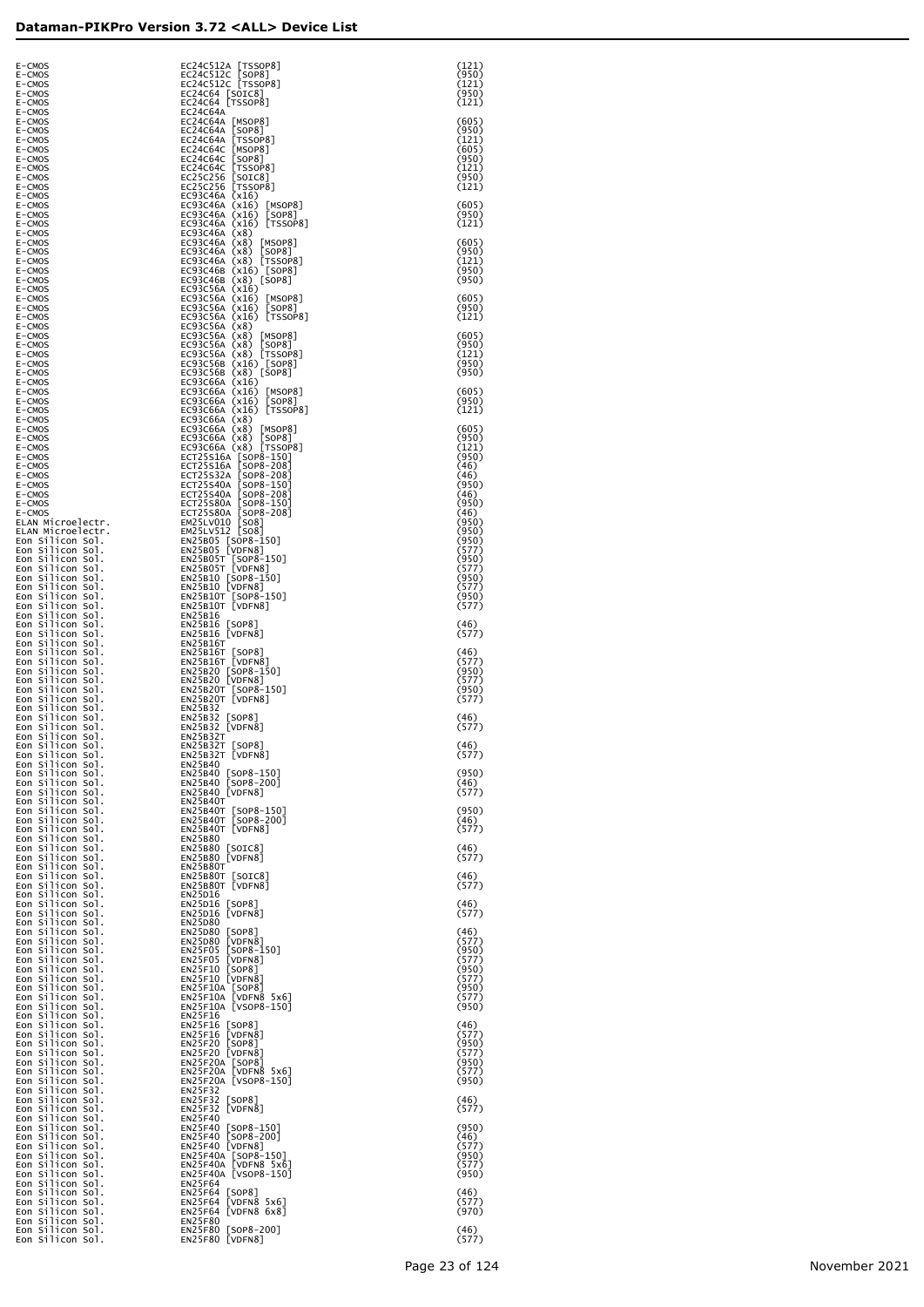| E-CMOS<br>E-CMOS                                           | EC24C512A [TSSOP8]                                                                                                                                                                                                                                                                                                                                                                                                         | (121)<br>(950)          |
|------------------------------------------------------------|----------------------------------------------------------------------------------------------------------------------------------------------------------------------------------------------------------------------------------------------------------------------------------------------------------------------------------------------------------------------------------------------------------------------------|-------------------------|
| E-CMOS<br>E-CMOS                                           | EC24C512C [SOP8]<br>EC24C512C [TSSOP8]<br>EC24C64 [SOIC8]<br>EC24C64 [TSSOP8]                                                                                                                                                                                                                                                                                                                                              | (121)<br>(950)          |
| E-CMOS<br>E-CMOS                                           | EC24C64A                                                                                                                                                                                                                                                                                                                                                                                                                   | (121)                   |
| E-CMOS<br>E-CMOS                                           |                                                                                                                                                                                                                                                                                                                                                                                                                            | (605)<br>(950)          |
| E-CMOS<br>E-CMOS                                           |                                                                                                                                                                                                                                                                                                                                                                                                                            | (121)<br>(605)          |
| E-CMOS<br>E-CMOS                                           |                                                                                                                                                                                                                                                                                                                                                                                                                            | (950)<br>(121)          |
| E-CMOS<br>E-CMOS<br>E-CMOS                                 |                                                                                                                                                                                                                                                                                                                                                                                                                            | (950)<br>(121)          |
| E-CMOS<br>E-CMOS                                           | EC24C64A [TSSOP8]<br>EC24C64A [MSOP8]<br>EC24C64A [MSOP8]<br>EC24C64A [MSOP8]<br>EC24C64A [TSSOP8]<br>EC24C64A [TSSOP8]<br>EC24C64A [TSSOP8]<br>EC24C64C [TSSOP8]<br>EC22C64A [TSSOP8]<br>EC22C64A (TSSOP8]<br>EC22C256 [STOP8]<br>EC23C256 [SSOP8]<br>EC23C46A (X                                                                                                                                                         | (605)<br>(950)          |
| E-CMOS<br>E-CMOS                                           |                                                                                                                                                                                                                                                                                                                                                                                                                            | (121)                   |
| E-CMOS<br>E-CMOS                                           |                                                                                                                                                                                                                                                                                                                                                                                                                            | (605)<br>(950)          |
| E-CMOS<br>E-CMOS                                           |                                                                                                                                                                                                                                                                                                                                                                                                                            | (121)<br>(950)          |
| E-CMOS<br>E-CMOS                                           |                                                                                                                                                                                                                                                                                                                                                                                                                            | (950)                   |
| E-CMOS<br>E-CMOS<br>E-CMOS                                 |                                                                                                                                                                                                                                                                                                                                                                                                                            | (605)<br>(950)<br>(121) |
| E-CMOS<br>E-CMOS                                           |                                                                                                                                                                                                                                                                                                                                                                                                                            | (605)                   |
| E-CMOS<br>E-CMOS                                           |                                                                                                                                                                                                                                                                                                                                                                                                                            | (950)<br>(121)          |
| E-CMOS<br>E-CMOS                                           |                                                                                                                                                                                                                                                                                                                                                                                                                            | (950)<br>(950)          |
| E-CMOS<br>E-CMOS                                           |                                                                                                                                                                                                                                                                                                                                                                                                                            | (605)                   |
| E-CMOS<br>E-CMOS                                           |                                                                                                                                                                                                                                                                                                                                                                                                                            | (950)<br>(121)          |
| E-CMOS<br>E-CMOS<br>E-CMOS                                 |                                                                                                                                                                                                                                                                                                                                                                                                                            | (605)<br>(950)          |
| E-CMOS<br>E-CMOS                                           |                                                                                                                                                                                                                                                                                                                                                                                                                            | (121)<br>(950)          |
| E-CMOS<br>E-CMOS                                           |                                                                                                                                                                                                                                                                                                                                                                                                                            | (46)<br>(46)            |
| E-CMOS<br>E-CMOS                                           |                                                                                                                                                                                                                                                                                                                                                                                                                            | (950)<br>(46)           |
| E-CMOS<br>E-CMOS                                           |                                                                                                                                                                                                                                                                                                                                                                                                                            | (950)<br>(46)           |
| ELAN Microelectr.<br>ELAN Microelectr.<br>Eon Silicon Sol. |                                                                                                                                                                                                                                                                                                                                                                                                                            | (950)<br>(950)<br>(950) |
| Eon Silicon Sol.<br>Eon Silicon Sol.                       |                                                                                                                                                                                                                                                                                                                                                                                                                            | (577)<br>(950)          |
| Eon Silicon Sol.<br>Eon Silicon Sol.                       |                                                                                                                                                                                                                                                                                                                                                                                                                            | (577)<br>(950)          |
| Eon Silicon Sol.<br>Eon Silicon Sol.                       |                                                                                                                                                                                                                                                                                                                                                                                                                            | (577)<br>(950)          |
| Eon Silicon Sol.<br>Eon Silicon Sol.                       |                                                                                                                                                                                                                                                                                                                                                                                                                            | (577)                   |
| Eon Silicon Sol.<br>Eon Silicon Sol.                       |                                                                                                                                                                                                                                                                                                                                                                                                                            | (46)<br>(577)           |
| Eon Silicon Sol.<br>Eon Silicon Sol.<br>Eon Silicon Sol.   | EC93C66A (X8) [SOP8]<br>EC93C66A (X8) [TSSOP8]<br>ECT25S16A [SOP8-150]<br>ECT25S16A [SOP8-108]<br>ECT25S30A [SOP8-208]<br>ECT25S40A [SOP8-108]<br>ECT25S40A [SOP8-108]<br>ECT25S80A [SOP8-108]<br>ECT25S80A [SOP8-108]<br>EM25LV010 [SO8]<br>EM25B05 [VDF8-1<br>ENZ2B1bT<br>EN25B16T [SOP8]<br>EN25B16T [VDFN8]<br>EN25B2O [SOP8-150]<br>EN25B2O [VDFN8]<br>EN25B2OT [SOP8-150]<br>EN25B2OT [SOP8-150]<br>EN25B3OT [VDFN8] | (46)<br>(577)           |
| Eon Silicon Sol.<br>Eon Silicon Sol.                       |                                                                                                                                                                                                                                                                                                                                                                                                                            | (950)<br>(577)          |
| Eon Silicon Sol.<br>Eon Silicon Sol.                       |                                                                                                                                                                                                                                                                                                                                                                                                                            | (950)<br>(577)          |
| Eon Silicon Sol.<br>Eon Silicon Sol.                       | EN25B32<br>EN25B32 [SOP8]                                                                                                                                                                                                                                                                                                                                                                                                  | $(46)$<br>(577)         |
| Eon Silicon Sol.<br>Eon Silicon Sol.                       | EN25B32 [VDFN8]<br>EN25B32T                                                                                                                                                                                                                                                                                                                                                                                                |                         |
| Eon Silicon Sol.<br>EON SITICON SOT.                       | $EN25B32T$ [SOP8]<br>ENZ5B32T<br>[VDFN8]                                                                                                                                                                                                                                                                                                                                                                                   | (46)<br>(311)           |
| Eon Silicon Sol.<br>Eon Silicon Sol.<br>Eon Silicon Sol.   | EN25B40<br>EN25B40 [SOP8-150]<br>EN25B40 [SOP8-200]<br>EN25B40 [VDFN8]                                                                                                                                                                                                                                                                                                                                                     | (950)<br>(46)           |
| Eon Silicon Sol.<br>Eon Silicon Sol.                       | EN25B40T                                                                                                                                                                                                                                                                                                                                                                                                                   | (577)                   |
| Eon Silicon Sol.<br>Eon Silicon Sol.                       | EN25B40T [SOP8-150]<br>EN25B40T [SOP8-200]<br>EN25B40T [VDFN8]                                                                                                                                                                                                                                                                                                                                                             | (950)<br>(46)           |
| Eon Silicon Sol.<br>Eon Silicon Sol.                       | EN25B80                                                                                                                                                                                                                                                                                                                                                                                                                    | (577)                   |
| Eon Silicon Sol.<br>Eon Silicon Sol.                       | EN25B80 [SOIC8]<br>EN25B80 [VDFN8]                                                                                                                                                                                                                                                                                                                                                                                         | (46)<br>(577)           |
| Eon Silicon Sol.<br>Eon Silicon Sol.<br>Eon Silicon Sol.   | EN25B80T<br>EN25B80T [SOIC8]<br>EN25B80T [VDFN8]                                                                                                                                                                                                                                                                                                                                                                           | $(46)$<br>(577)         |
| Eon Silicon Sol.<br>Eon Silicon Sol.                       | EN25D16<br>EN25D16 [SOP8]                                                                                                                                                                                                                                                                                                                                                                                                  | (46)                    |
| Eon Silicon Sol.<br>Eon Silicon Sol.                       | EN25D16 [VDFN8]<br>EN25D80                                                                                                                                                                                                                                                                                                                                                                                                 | (577)                   |
| Eon Silicon Sol.<br>Eon Silicon Sol.                       | EN23D80 [SOP8]<br>EN23D80 [VDFN8]<br>EN23F05 [SOP8-150]<br>EN23F05 [VDFN8]<br>EN23F10 [SOP8]<br>EN25F10 [VDFN8]<br>EN25F10 [VDFN8]<br>EN25F10 [VDFN8]                                                                                                                                                                                                                                                                      | (46)<br>(577)           |
| Eon Silicon Sol.<br>Eon Silicon Sol.                       |                                                                                                                                                                                                                                                                                                                                                                                                                            | (950)<br>(577)          |
| Eon Silicon Sol.<br>Eon Silicon Sol.                       |                                                                                                                                                                                                                                                                                                                                                                                                                            | (950)<br>(577)          |
| Eon Silicon Sol.<br>Eon Silicon Sol.<br>Eon Silicon Sol.   | EN25F10A [SOP8]<br>EN25F10A [VDFN8 5x6]<br>EN25F10A [VSOP8-150]                                                                                                                                                                                                                                                                                                                                                            | (950)<br>(577)<br>(950) |
| Eon Silicon Sol.<br>Eon Silicon Sol.                       | EN25F16                                                                                                                                                                                                                                                                                                                                                                                                                    | (46)                    |
| Eon Silicon Sol.<br>Eon Silicon Sol.                       | EN25F16 [SOP8]<br>EN25F16 [VDFN8]<br>EN25F20 [SOP8]<br>EN25F20 [VDFN8]<br>EN25F20 [VDFN8]                                                                                                                                                                                                                                                                                                                                  | (577)<br>(950)          |
| Eon Silicon Sol.<br>Eon Silicon Sol.                       | EN25F20A [SOP8]<br>EN25F20A [VDFN8 5x6]                                                                                                                                                                                                                                                                                                                                                                                    | (577)<br>(950)          |
| Eon Silicon Sol.<br>Eon Silicon Sol.                       | EN25F20A [VSOP8-150]                                                                                                                                                                                                                                                                                                                                                                                                       | (577)<br>(950)          |
| Eon Silicon Sol.<br>Eon Silicon Sol.<br>Eon Silicon Sol.   | EN25F32<br>EN25F32 [SOP8]<br>EN25F32 [VDFN8]                                                                                                                                                                                                                                                                                                                                                                               | (46)<br>(577)           |
| Eon Silicon Sol.<br>Eon Silicon Sol.                       | EN25F40                                                                                                                                                                                                                                                                                                                                                                                                                    | (950)                   |
| Eon Silicon Sol.<br>Eon Silicon Sol.                       | EN25F40 [SOP8-150]<br>EN25F40 [SOP8-200]<br>EN25F40 [VDFN8]                                                                                                                                                                                                                                                                                                                                                                | (46)<br>(577)           |
| Eon Silicon Sol.<br>Eon Silicon Sol.                       | EN25F40A [SOP8-150]<br>EN25F40A [VDFN8 5x6]                                                                                                                                                                                                                                                                                                                                                                                | (950)<br>(577)          |
| Eon Silicon Sol.<br>Eon Silicon Sol.                       | EN25F40A [VSOP8-150]<br>EN25F64                                                                                                                                                                                                                                                                                                                                                                                            | (950)                   |
| Eon Silicon Sol.<br>Eon Silicon Sol.                       | EN25F64 [SOP8]<br>EN25F64 [VDFN8 5x6]                                                                                                                                                                                                                                                                                                                                                                                      | (46)<br>(577)           |
| Eon Silicon Sol.<br>Eon Silicon Sol.<br>Eon Silicon Sol.   | EN25F64 [VDFN8 6x8]<br>EN25F80<br>EN25F80 [SOP8-200]                                                                                                                                                                                                                                                                                                                                                                       | (970)<br>(46)           |
| Eon Silicon Sol.                                           | EN25F80 [VDFN8]                                                                                                                                                                                                                                                                                                                                                                                                            | (577)                   |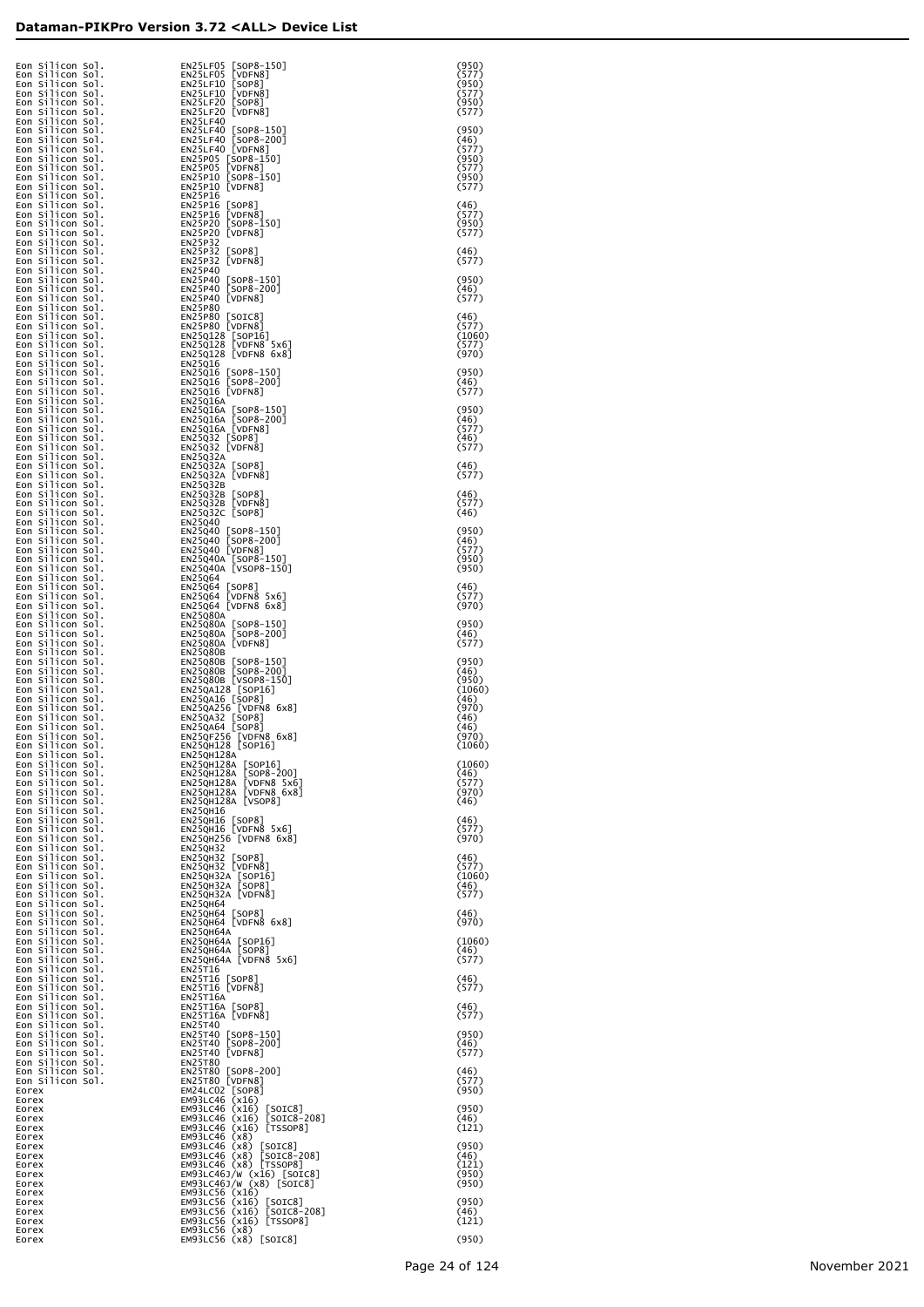| Eon Silicon Sol.<br>Eon Silicon Sol.<br>Eon Silicon Sol. | EN25LF05 [SOP8-150]<br>EN25LF05<br>[VDFN8]<br>EN25LF10<br>[SOP8]                         | (950)<br>(577)<br>(950) |
|----------------------------------------------------------|------------------------------------------------------------------------------------------|-------------------------|
| Eon Silicon Sol.<br>Eon Silicon Sol.                     | EN25LF10 [VDFN8]<br>EN25LF20 [SOP8]                                                      | (577)<br>(950)          |
| Eon Silicon Sol.<br>Eon Silicon Sol.<br>Eon Silicon Sol. | EN25LF20 [VDFN8]<br><b>EN25LF40</b><br>EN25LF40 [SOP8-150]                               | (577)<br>(950)          |
| Eon Silicon Sol.<br>Eon Silicon Sol.                     | EN25LF40 [SOP8-200]<br>EN25LF40 [VDFN8]                                                  | (46)<br>(577)           |
| Eon Silicon Sol.<br>Eon Silicon Sol.<br>Eon Silicon Sol. | EN25P05 [SOP8-150]<br>EN25P05 [VDFN8]<br>EN25P10 [SOP8-150]                              | (950)<br>(577)<br>(950) |
| Eon Silicon Sol.<br>Eon Silicon Sol.                     | EN25P10 [VDFN8]<br>EN25P16                                                               | (577)                   |
| Eon Silicon Sol.<br>Eon Silicon Sol.<br>Eon Silicon Sol. | EN25P16<br>[SOP8]<br>EN25P16<br>[VDFN8]<br>EN25P20<br>$[SOP8-150]$                       | (46)<br>(577)<br>(950)  |
| Eon Silicon Sol.<br>Eon Silicon Sol.<br>Eon Silicon Sol. | EN25P20 [VDFN8]<br>EN25P32<br>EN25P32 [SOP8]                                             | (577)<br>(46)           |
| Eon Silicon Sol.<br>Eon Silicon Sol.                     | EN25P32 [VDFN8]<br>EN25P40                                                               | (577)                   |
| Eon Silicon Sol.<br>Eon Silicon Sol.<br>Eon Silicon Sol. | EN25P40 [SOP8-150]<br>EN25P40 [SOP8-200]<br>EN25P40 [VDFN8]                              | (950)<br>(46)<br>(577)  |
| Eon Silicon Sol.<br>Eon Silicon Sol.<br>Eon Silicon Sol. | EN25P80<br>EN25P80 [SOIC8]<br>EN25P80 [VDFN8]                                            | (46)<br>(577)           |
| Eon Silicon Sol.<br>Eon Silicon Sol.                     | EN25Q128 [SOP16]<br>EN25Q128 [VDFN8 5x6]                                                 | (1060)<br>(577)         |
| Eon Silicon Sol.<br>Eon Silicon Sol.<br>Eon Silicon Sol. | EN25Q128 [VDFN8 6x8]<br>EN25Q16<br>EN25Q16 [SOP8-150]                                    | (970)<br>(950)          |
| Eon Silicon Sol.<br>Eon Silicon Sol.                     | EN25016 [SOP8-200]<br>EN25Q16 [VDFN8]                                                    | (46)<br>(577)           |
| Eon Silicon Sol.<br>Eon Silicon Sol.<br>Eon Silicon Sol. | EN25Q16A<br>EN25Q16A [SOP8-150]<br>EN25Q16A [SOP8-200]                                   | (950)<br>(46)           |
| Eon Silicon Sol.<br>Eon Silicon Sol.<br>Eon Silicon Sol. | EN25Q16A [VDFN8]<br>EN25Q32 [SOP8]<br>EN25Q32 [VDFN8]                                    | (577)<br>(46)<br>(577)  |
| Eon Silicon Sol.<br>Eon Silicon Sol.                     | EN25Q32A<br>EN25Q32A [SOP8]                                                              | (46)                    |
| Eon Silicon Sol.<br>Eon Silicon Sol.<br>Eon Silicon Sol. | EN25Q32A [VDFN8]<br>EN25Q32B<br>EN25Q32B [SOP8]                                          | (577)<br>(46)           |
| Eon Silicon Sol.<br>Eon Silicon Sol.                     | EN25Q32B [VDFN8]<br>EN25Q32C [SOP8]                                                      | (577)<br>(46)           |
| Eon Silicon Sol.<br>Eon Silicon Sol.<br>Eon Silicon Sol. | EN25Q40<br>EN25Q40 [SOP8-150]<br>EN25Q40 [SOP8-200]                                      | (950)<br>(46)           |
| Eon Silicon Sol.<br>Eon Silicon Sol.<br>Eon Silicon Sol. | EN25Q40 [VDFN8]<br>EN25Q40A [SOP8-150]<br>EN25Q40A [VSOP8-150]                           | (577)<br>(950)<br>(950) |
| Eon Silicon Sol.<br>Eon Silicon Sol.                     | <b>EN25Q64</b><br>EN25Q64 [SOP8]                                                         | (46)                    |
| Eon Silicon Sol.<br>Eon Silicon Sol.<br>Eon Silicon Sol. | EN25Q64 [VDFN8 5x6]<br>EN25Q64 [VDFN8 6x8]<br><b>EN25Q80A</b>                            | (577)<br>(970)          |
| Eon Silicon Sol.<br>Eon Silicon Sol.<br>Eon Silicon Sol. | EN25Q80A [SOP8-150]<br>EN25Q80A [SOP8-200]<br>EN25Q80A [VDFN8]                           | (950)<br>(46)<br>(577)  |
| Eon Silicon Sol.<br>Eon Silicon Sol.                     | <b>EN25Q80B</b><br>EN25Q80B [SOP8-150]                                                   | (950)                   |
| Eon Silicon Sol.<br>Eon Silicon Sol.<br>Eon Silicon Sol. | EN25Q80B [SOP8-200]<br>EN25Q80B [VSOP8-150]<br>EN25QA128 [SOP16]                         | (46)<br>(950)<br>(1060) |
| Eon Silicon Sol.<br>Eon Silicon Sol.<br>Eon Silicon Sol. | EN25QA16 [SOP8]<br>EN25QA256 [VDFN8 6x8]<br>EN25QA32 [SOP8]                              | (46)<br>(970)<br>(46)   |
| Eon Silicon Sol.<br>Eon Silicon Sol.                     | EN250A64 [SOP8]<br>EN250F256 [VDFN8 6x8]<br>EN250H128 [SOP16]                            | (46)<br>(970)           |
| Eon Silicon Sol.<br>Eon Silicon Sol<br>Eon Silicon Sol.  | <b>EN25QH128A</b><br>EN25QH128A [SOP16]                                                  | (1060)<br>(1060)        |
| Eon Silicon Sol.<br>Eon Silicon Sol.<br>Eon Silicon Sol. | $[SOP8-200]$<br>EN25QH128A<br>EN25QH128A [VDFN8 5x6]<br>EN25QH128A [VDFN8 6x8]           | (46)<br>(577)<br>(970)  |
| Eon Silicon Sol.<br>Eon Silicon Sol.                     | EN25QH128A [VSOP8]<br>EN25QH16                                                           | (46)                    |
| Eon Silicon Sol.<br>Eon Silicon Sol.<br>Eon Silicon Sol. | EN25QH16 [SOP8]<br>EN25QH16 [VDFN8 5x6]<br>EN25QH256 [VDFN8 6x8]                         | (46)<br>(577)<br>(970)  |
| Eon Silicon Sol.<br>Eon Silicon Sol.<br>Eon Silicon Sol. | <b>EN25QH32</b><br>[SOP8]<br>EN250H32<br>EN25QH32 [VDFN8]                                | (46)<br>(577)           |
| Eon Silicon Sol.<br>Eon Silicon Sol.                     | EN25QH32A [SOP16]<br>EN25QH32A [SOP8]                                                    | (1060)<br>(46)          |
| Eon Silicon Sol.<br>Eon Silicon Sol.<br>Eon Silicon Sol. | EN25QH32A [VDFN8]<br><b>EN25QH64</b><br>EN25QH64 [SOP8]                                  | (577)<br>(46)           |
| Eon Silicon Sol.<br>Eon Silicon Sol.<br>Eon Silicon Sol. | EN25QH64 [VDFN8 6x8]<br>EN25QH64A<br>EN250H64A [SOP16]                                   | (970)<br>(1060)         |
| Eon Silicon Sol.<br>Eon Silicon Sol.                     | EN25QH64A [SOP8]<br>EN25QH64A [VDFN8 5x6]                                                | (46)<br>(577)           |
| Eon Silicon Sol.<br>Eon Silicon Sol.<br>Eon Silicon Sol. | EN25T16<br>EN25T16<br>[SOP8]<br>EN25T16 [VDFN8]                                          | (46)<br>(577)           |
| Eon Silicon Sol.<br>Eon Silicon Sol.<br>Eon Silicon Sol. | <b>EN25T16A</b><br>EN25T16A [SOP8]<br>EN25T16A [VDFN8]                                   | (46)<br>(577)           |
| Eon Silicon Sol.<br>Eon Silicon Sol.                     | EN25T40<br>EN25T40 [SOP8-150]                                                            | (950)                   |
| Eon Silicon Sol.<br>Eon Silicon Sol.<br>Eon Silicon Sol. | EN25T40 [SOP8-200]<br>EN25T40 [VDFN8]<br><b>EN25T80</b>                                  | (46)<br>(577)           |
| Eon Silicon Sol.<br>Eon Silicon Sol.<br>Eorex            | EN25T80 [SOP8-200]<br>EN25T80 [VDFN8]<br>EM24LC02 [SOP8]                                 | (46)<br>(577)<br>(950)  |
| Eorex<br>Eorex                                           | EM93LC46 (x16)<br>$EM93LC46$ $(x16)$<br>$[SOIC8]$                                        | (950)                   |
| Eorex<br>Eorex<br>Eorex                                  | $[SOIC8-208]$<br>EM93LC46 (x16)<br>EM93LC46 (x16) [TSSOP8]<br>EM93LC46 (x8)              | (46)<br>(121)           |
| Eorex<br>Eorex<br>Eorex                                  | EM93LC46 (x8) [SOIC8]<br>EM93LC46 (x8) [SOIC8-208]<br>EM93LC46 (x8) [TSSOP8]             | (950)<br>(46)<br>(121)  |
| Eorex<br>Eorex                                           | EM93LC46J/W (x16) [SOIC8]<br>EM93LC46J/W (x8) [SOIC8]                                    | (950)<br>(950)          |
| Eorex<br>Eorex<br>Eorex                                  | $EM93LC56$ $(x16)$<br>EM93LC56 $(x16)$<br>[SOIC8]<br>$[SOIC8-208]$<br>$EM93LC56$ $(x16)$ | (950)<br>(46)           |
| Eorex<br>Eorex<br>Eorex                                  | EM93LC56 (x16) [TSSOP8]<br>$EM93LC56$ $(x8)$<br>EM93LC56 (x8) [SOIC8]                    | (121)<br>(950)          |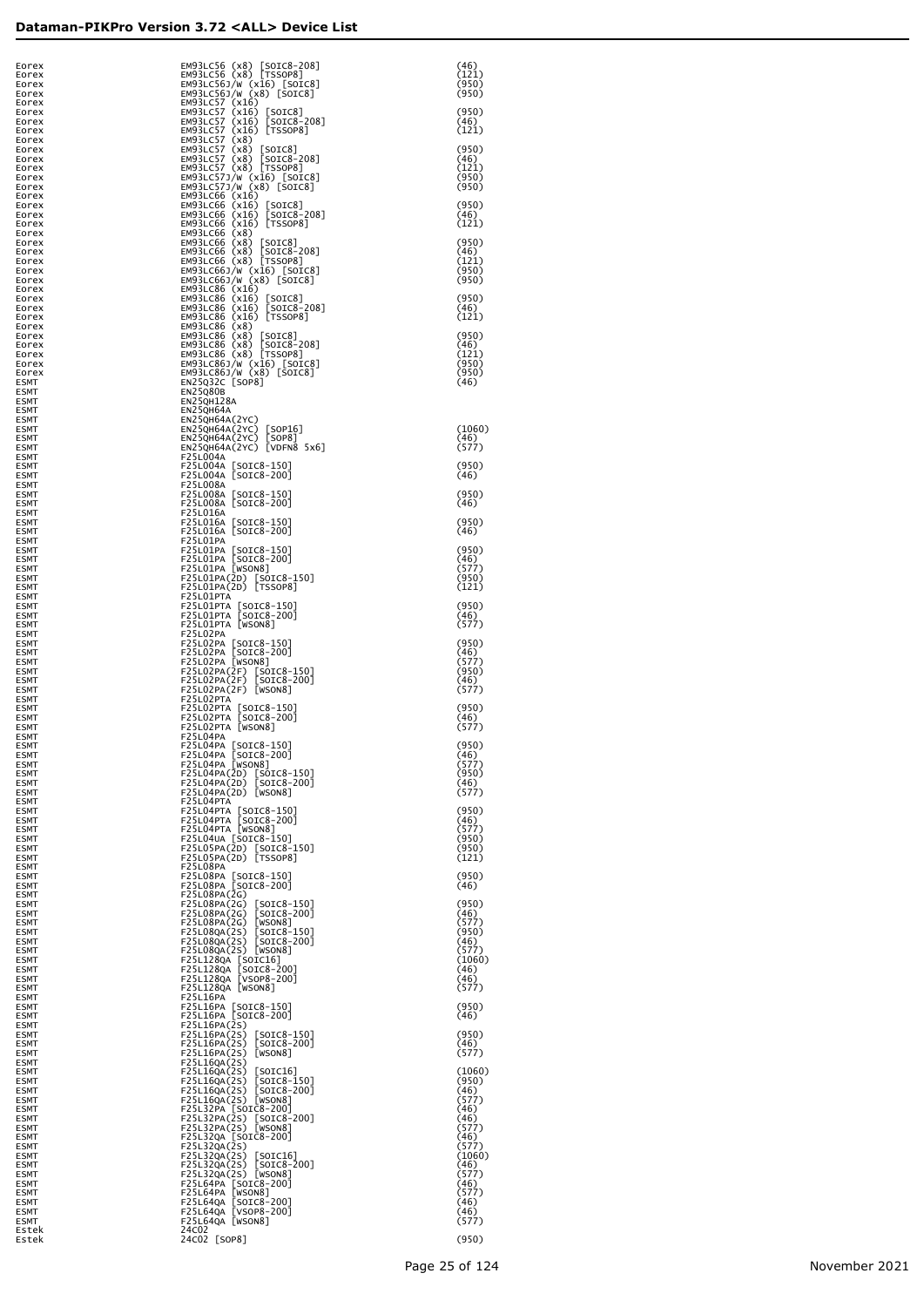| Eorex<br>Eorex             | EM93LC56 (x8) [SOIC8-208]<br>EM93LC56 (x8) [TSSOP8]                                                                                                                                  | (46)<br>(121)   |
|----------------------------|--------------------------------------------------------------------------------------------------------------------------------------------------------------------------------------|-----------------|
| Eorex<br>Eorex             | EM93LC56J/W (x16) [SOIC8]<br>EM93LC56J/W (x8) [SOIC8]                                                                                                                                | (950)<br>(950)  |
| Eorex<br>Eorex             | EM93LC57 (x16)<br>EM93LC57 (x16) [SOIC8]<br>EM93LC57 (x16) [SOIC8-208]<br>EM93LC57 (x16) [TSSOP8]                                                                                    | (950)           |
| Eorex<br>Eorex             |                                                                                                                                                                                      | (46)<br>(121)   |
| Eorex<br>Eorex             | EM93LC57 (x8)                                                                                                                                                                        | (950)           |
| Eorex<br>Eorex             | EM93LC57 (x8)<br>EM93LC57 (x8) [SOIC8]<br>EM93LC57 (x8) [SOIC8-208]<br>EM93LC57 (x8) [TSSOP8]                                                                                        | (46)<br>(121)   |
| Eorex<br>Eorex             | EM93LC57J/W (x16) [SOIC8]<br>EM93LC57J/W (x8) [SOIC8]                                                                                                                                | (950)<br>(950)  |
| Eorex<br>Eorex             | EM93LC66 (x16)<br>EM93LC66 (x16) [SOIC8]                                                                                                                                             | (950)           |
| Eorex<br>Eorex             | EM93LC66 (x16) [SOIC8-208]<br>EM93LC66 (x16) [TSSOP8]                                                                                                                                | (46)<br>(121)   |
| Eorex<br>Eorex             | EM93LC66 (x8)<br>EM93LC66 (x8) [SOIC8]                                                                                                                                               | (950)           |
| Eorex<br>Eorex             | EM93LC66 (x8) [SOIC8-208]<br>EM93LC66 (x8) [TSSOP8]<br>EM93LC661/W (x16) [SOIC8]                                                                                                     | (46)<br>(121)   |
| Eorex<br>Eorex             | EM93LC66J/W (x8) [SOIC8]                                                                                                                                                             | (950)<br>(950)  |
| Eorex<br>Eorex             | EM93LC86 (x16)<br>EM93LC86 (x16) [SOIC8]<br>EM93LC86 (x16) [SOIC8-208]<br>EM93LC86 (x16) [TSSOP8]                                                                                    | (950)           |
| Eorex<br>Eorex             |                                                                                                                                                                                      | (46)<br>(121)   |
| Eorex<br>Eorex             | EM93LC86 (x8)<br>EM93LC86 (x8)<br>[SOIC8]                                                                                                                                            | (950)           |
| Eorex<br>Eorex             | EMP3LC86 (x8) [SOIC8-208]<br>EMP3LC86 (x8) [SOIC8-208]<br>EMP3LC86 (x8) [TSSOP8]<br>EMP3LC861/W (x16) [SOIC8]<br>EMP3LC861/W (x8) [SOIC8]<br>ENP25Q32C [SOP8]                        | (46)<br>(121)   |
| Eorex<br>Eorex             |                                                                                                                                                                                      | (950)<br>(950)  |
| ESMT<br>ESMT               | <b>EN25Q80B</b>                                                                                                                                                                      | (46)            |
| <b>ESMT</b><br><b>ESMT</b> | <b>EN25QH128A</b><br>EN25QH64A                                                                                                                                                       |                 |
| ESMT<br><b>ESMT</b>        | EN25QH64A(2YC)<br>EN25QH64A(2YC) [SOP16]                                                                                                                                             | (1060)          |
| <b>ESMT</b><br><b>ESMT</b> | EN25QH64A(2YC) [SOP8]<br>EN25QH64A(2YC) [VDFN8 5x6]                                                                                                                                  | (46)<br>(577)   |
| <b>ESMT</b><br><b>ESMT</b> | F25L004A<br>F25L004A [SOIC8-150]                                                                                                                                                     | (950)           |
| <b>ESMT</b><br><b>ESMT</b> | F25L004A [SOIC8-200]<br>F25L008A                                                                                                                                                     | (46)            |
| <b>ESMT</b><br><b>ESMT</b> | F25L008A [SOIC8-150]<br>F25L008A [SOIC8-200]                                                                                                                                         | (950)<br>(46)   |
| ESMT<br>ESMT               | F25L016A                                                                                                                                                                             | (950)           |
| ESMT<br>ESMT               | F25L016A [SOIC8-150]<br>F25L016A [SOIC8-200]<br>F25L01PA                                                                                                                             | (46)            |
| ESMT<br>ESMT               |                                                                                                                                                                                      | (950)<br>(46)   |
| ESMT<br>ESMT               | F25LO1PA [SOTC8-150]<br>F25LO1PA [SOTC8-200]<br>F25LO1PA [SOTC8-200]<br>F25LO1PA(2D) [SOTC8-150]<br>F25LO1PA(2D) [TSSOP8]                                                            | (577)<br>(950)  |
| ESMT<br>ESMT               | F25L01PTA                                                                                                                                                                            | (121)           |
| ESMT<br>ESMT               | F25L01PTA [SOIC8-150]<br>F25L01PTA [SOIC8-200]                                                                                                                                       | (950)<br>(46)   |
| ESMT<br>ESMT               | F25L01PTA [WSON8]<br>F25L02PA                                                                                                                                                        | (577)           |
| ESMT<br>ESMT               | F25L02PA [SOIC8-150]<br>F25L02PA [SOIC8-200]<br>F25L02PA [SOIC8-200]<br>F25L02PA(2F) [SOIC8-150]<br>F25L02PA(2F) [SOIC8-200]                                                         | (950)<br>(46)   |
| ESMT<br>ESMT               |                                                                                                                                                                                      | (577)<br>(950)  |
| ESMT<br>ESMT               | $F25L02PA(2F)$ [WSON8]                                                                                                                                                               | (46)<br>(577)   |
| ESMT<br>ESMT               | F25L02PTA<br>F25L02PTA [SOIC8-150]<br>F25L02PTA [SOIC8-200]                                                                                                                          | (950)           |
| ESMT<br>ESMT               | F25L02PTA [WSON8]                                                                                                                                                                    | (46)<br>(577)   |
| ESMT<br>ESMT               | F25L04PA                                                                                                                                                                             | (950)           |
| ESMT<br>ESMT               | F25L04PA [SOIC8-150]<br>F25L04PA [SOIC8-200]<br>F25L04PA [SOIC8-200]<br>F25L04PA [ZD] [SOIC8-150]<br>F25L04PA (2D) [SOIC8-200]                                                       | 46)<br>(577)    |
| ESMT<br>ESMT               |                                                                                                                                                                                      | (950)<br>(46)   |
| ESMT<br>ESMT               | F25L04PA(2D) [WSON8]<br>F25L04PTA                                                                                                                                                    | (577)           |
| ESMT<br>ESMT               | F25L04PTA [SOTC8-150]<br>F25L04PTA [SOTC8-200]<br>F25L04PTA [SOTC8-200]<br>F25L04PTA [WSOM8]<br>F25L05PA(2D) [SOTC8-150]<br>F25L05PA(2D) [SOTC8-150]<br>F25L05PA(2D) [TSSOP8]        | (950)<br>(46)   |
| ESMT<br>ESMT               |                                                                                                                                                                                      | (577)<br>(950)  |
| ESMT<br>ESMT               |                                                                                                                                                                                      | (950)<br>(121)  |
| ESMT<br>ESMT               | F25L08PA                                                                                                                                                                             | (950)           |
| ESMT<br>ESMT               | F25L08PA [SOIC8-150]<br>F25L08PA [SOIC8-200]<br>F25L08PA(2G)                                                                                                                         | (46)            |
| ESMT<br>ESMT               | F25L08PA(2G) [SOTC8-150]<br>F25L08PA(2G) [SOTC8-200]<br>F25L08PA(2G) [WSON8]<br>F25L08PA(2G) [WSON8]<br>F25L08QA(2S) [SOTC8-150]<br>F25L08QA(2S) [SOTC8-200]<br>F25L08QA(2S) [WSON8] | (950)<br>(46)   |
| ESMT<br>ESMT               |                                                                                                                                                                                      | (577)<br>(950)  |
| ESMT<br>ESMT               |                                                                                                                                                                                      | (46)<br>(577)   |
| ESMT<br>ESMT               |                                                                                                                                                                                      | (1060)<br>(46)  |
| ESMT<br>ESMT               | F25L128QA [SOTC16]<br>F25L128QA [SOTC16]<br>F25L128QA [SOTC8-200]<br>F25L128QA [VSOP8-200]<br>F25L128QA [WSON8]                                                                      | (46)<br>(577)   |
| ESMT<br>ESMT               | F25L16PA                                                                                                                                                                             | (950)           |
| ESMT<br>ESMT               | F25L16PA [SOIC8-150]<br>F25L16PA [SOIC8-200]<br>F25L16PA(2S)                                                                                                                         | (46)            |
| ESMT<br>ESMT               | F25L16PA(2S)<br>[SOIC8-150]<br>[SOIC8-200]<br>F25L16PA(2S)                                                                                                                           | (950)<br>(46)   |
| ESMT<br>ESMT               | [WSON8]<br>F25L16PA(2S)<br>F25L16QA(2S)                                                                                                                                              | (577)           |
| ESMT<br>ESMT               | F25L16QA(2S) [SOIC16]<br>F25L16QA(2S) [SOIC8-150]<br>F25L16QA(2S) [SOIC8-200]<br>F25L16QA(2S) [WSON8]                                                                                | (1060)<br>(950) |
| ESMT<br>ESMT               |                                                                                                                                                                                      | (46)<br>(577)   |
| ESMT<br>ESMT               | F25L32PA [SOIC8-200]<br>F25L32PA(2S) [SOIC8-200]<br>F25L32PA(2S) [WSON8]                                                                                                             | (46)<br>(46)    |
| ESMT<br>ESMT               |                                                                                                                                                                                      | (577)<br>(46)   |
| ESMT<br>ESMT               | F25L32QA [SOIC8-200]<br>F25L32QA(2S)                                                                                                                                                 | (577)<br>(1060) |
| ESMT<br>ESMT               | F25L32QA(2S) [SOIC16]<br>F25L32QA(2S) [SOIC8-200]<br>F25L32QA(2S) [WSON8]                                                                                                            | (46)<br>(577)   |
| ESMT<br>ESMT               | P25L64PA [SOIC8-200]<br>F25L64PA [WSON8]<br>F25L64PA [WSON8]<br>F25L64QA [SOIC8-200]<br>F25L64QA [VSOP8-200]<br>F25L64QA [WSON8]                                                     | (46)<br>(577)   |
| ESMT<br>ESMT               |                                                                                                                                                                                      | (46)<br>(46)    |
| ESMT<br>Estek              | 24C02                                                                                                                                                                                | (577)           |
| Estek                      | 24C02 [SOP8]                                                                                                                                                                         | (950)           |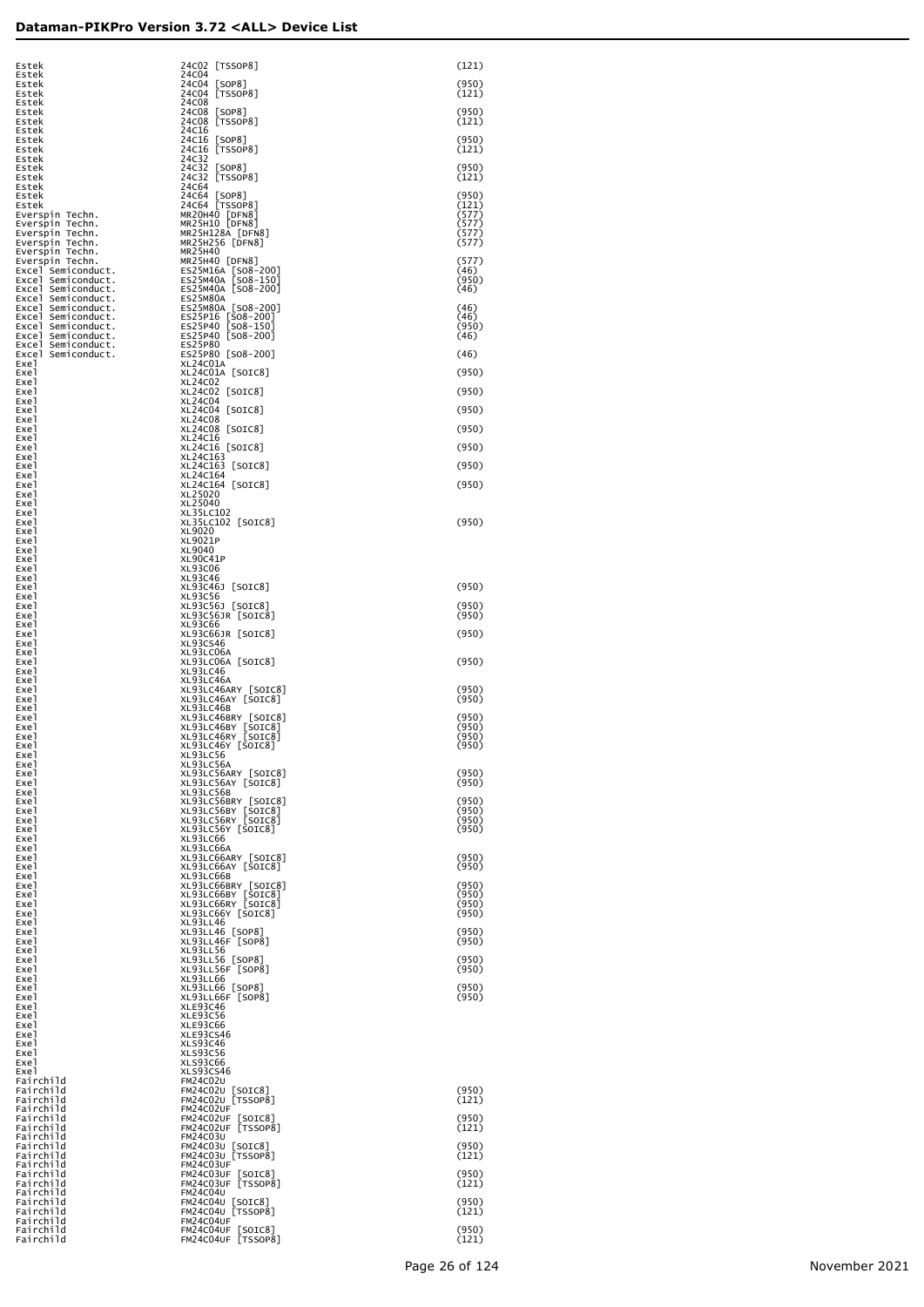| Estek<br>Estek                                                                                                                                                                                                        | 24C02 [TSSOP8]<br>24C04                                         | (121)          |
|-----------------------------------------------------------------------------------------------------------------------------------------------------------------------------------------------------------------------|-----------------------------------------------------------------|----------------|
| Estek                                                                                                                                                                                                                 | 24C04 [SOP8]<br>24C04 [TSSOP8]                                  | (950)<br>(121) |
| Estek<br>Estek                                                                                                                                                                                                        | 24C08                                                           |                |
| Estek<br>Estek                                                                                                                                                                                                        | 24C08 [SOP8]<br>24C08 [TSSOP8]                                  | (950)<br>(121) |
| Estek<br>Estek                                                                                                                                                                                                        | 24C16<br>24C16 [SOP8]                                           | (950)          |
| Estek<br>Estek                                                                                                                                                                                                        | 24C16 [TSSOP8]<br>24C32                                         | (121)          |
| Estek<br>Estek                                                                                                                                                                                                        | 24C32 [SOP8]<br>24C32 [TSSOP8]                                  | (950)<br>(121) |
| Estek<br>Estek                                                                                                                                                                                                        | 24C64<br>24C64 [SOP8]                                           | (950)          |
| Estek                                                                                                                                                                                                                 | 24C64 [TSSOP8]<br>MR20H40 [DFN8]                                | (121)<br>(577) |
| Everspin Techn.<br>Everspin Techn.                                                                                                                                                                                    | MR25H10 [DFN8]                                                  | (577)          |
| Everspin Techn.<br>Everspin Techn.                                                                                                                                                                                    | MR25H128A [DFN8]<br>MR25H256 [DFN8]                             | (577)<br>(577) |
| Everspin Techn.<br>Everspin Techn.                                                                                                                                                                                    | MR25H40<br>MR25H40 [DFN8]                                       | (577)          |
|                                                                                                                                                                                                                       | ES25M16A [SO8-200]<br>ES25M40A [SO8-150]<br>ES25M40A [SO8-200]  | (46)<br>(950)  |
|                                                                                                                                                                                                                       | <b>ES25M80A</b>                                                 | (46)           |
| everspin lecnn.<br>Excel Semiconduct.<br>Excel Semiconduct.<br>Excel Semiconduct.<br>Excel Semiconduct.<br>Excel Semiconduct.<br>Excel Semiconduct.<br>Excel Semiconduct.<br>Excel Semiconduct.<br>Excel Semiconduct. | ES25M80A [SO8-200]<br>ES25P16 [SO8-200]<br>ES25P40 [SO8-150]    | (46)           |
|                                                                                                                                                                                                                       |                                                                 | (46)<br>(950)  |
|                                                                                                                                                                                                                       | ES25P40 [SO8-200]<br>ES25P80                                    | (46)           |
| Excel Semiconduct.<br>Exe l                                                                                                                                                                                           | ES25P80 [SO8-200]<br>XL24C01A                                   | (46)           |
| Exe l<br>Exe l                                                                                                                                                                                                        | XL24C01A [SOIC8]<br>XL24C02                                     | (950)          |
| Exe l<br>Exe l                                                                                                                                                                                                        | XL24C02 [SOIC8]<br>XL24C04                                      | (950)          |
| Exe l                                                                                                                                                                                                                 | XL24C04 [SOIC8]                                                 | (950)          |
| Exe l<br>Exe l                                                                                                                                                                                                        | XL24C08<br>XL24C08 [SOIC8]                                      | (950)          |
| Exe l<br>Exe l                                                                                                                                                                                                        | XL24C16<br>XL24C16 [SOIC8]                                      | (950)          |
| Exe l<br>Exe l                                                                                                                                                                                                        | XL24C163<br>XL24C163 [SOIC8]                                    | (950)          |
| Exe l<br>Exe l                                                                                                                                                                                                        | XL24C164<br>XL24C164 [SOIC8]                                    | (950)          |
| Exe l<br>Exe l                                                                                                                                                                                                        | XL25020<br>XL25040                                              |                |
| Exe l                                                                                                                                                                                                                 | XL35LC102                                                       |                |
| Exe l<br>Exe l                                                                                                                                                                                                        | XL35LC102 [SOIC8]<br>XL9020                                     | (950)          |
| Exe l<br>Exe l                                                                                                                                                                                                        | XL9021P<br>XL9040                                               |                |
| Exe l<br>Exe l                                                                                                                                                                                                        | XL90C41P<br>XL93C06                                             |                |
| Exe l<br>Exe l                                                                                                                                                                                                        | XL93C46<br>XL93C46J [SOIC8]                                     | (950)          |
| Exe l<br>Exe l                                                                                                                                                                                                        | XL93C56<br>XL93C56J [SOIC8]                                     | (950)          |
| Exe l                                                                                                                                                                                                                 | XL93C56JR [SOIC8]                                               | (950)          |
| Exe l<br>Exe l                                                                                                                                                                                                        | XL93C66<br>XL93C66JR [SOIC8]                                    | (950)          |
| Exe l<br>Exe l                                                                                                                                                                                                        | XL93CS46<br>XL93LC06A                                           |                |
| Exe l<br>Exe l                                                                                                                                                                                                        | XL93LC06A [SOIC8]<br><b>XL93LC46</b>                            | (950)          |
| Exe l<br>Exe l                                                                                                                                                                                                        | XL93LC46A                                                       | (950)          |
| Exe l<br>Exe l                                                                                                                                                                                                        | XL93LC46ARY [SOIC8]<br>XL93LC46AY [SOIC8]<br>XL93LC46B          | (950)          |
| Exe l                                                                                                                                                                                                                 | XL93LC46BRY [SOIC8]<br>XL93LC46BY [SOIC8]<br>XL93LC46RY [SOIC8] | (950)<br>(950) |
| Exe l<br>Exe1                                                                                                                                                                                                         |                                                                 | (950)          |
| Exe l<br>Exe l                                                                                                                                                                                                        | XL93LC46Y [SOIC8]                                               | (950)          |
| Exe l<br>Exe l                                                                                                                                                                                                        | XL93LC56A<br>XL93LC56ARY [SOIC8]<br>XL93LC56AY [SOIC8]          | (950)          |
| Exe l<br>Exe1                                                                                                                                                                                                         | XL93LC56B                                                       | (950)          |
| Exe l<br>Exe l                                                                                                                                                                                                        | XL93LC56BRY [SOIC8]<br>XL93LC56BY [SOIC8]<br>XL93LC56RY [SOIC8] | (950)<br>(950) |
| Exe l<br>Exe l                                                                                                                                                                                                        | XL93LC56Y [SOIC8]                                               | (950)<br>(950) |
| Exe l                                                                                                                                                                                                                 | XL93LC66                                                        |                |
| Exe l<br>Exe l                                                                                                                                                                                                        | XL93LC66A<br>XL93LC66ARY [SOIC8]<br>XL93LC66AY [SOIC8]          | (950)          |
| Exe l<br>Exe l                                                                                                                                                                                                        | XL93LC66B                                                       | (950)          |
| Exe l<br>Exe l                                                                                                                                                                                                        | XL93LC66BRY [SOIC8]<br>XL93LC66BY [SOIC8]<br>XL93LC66RY [SOIC8] | (950)<br>(950) |
| Exe l<br>Exe l                                                                                                                                                                                                        | XL93LC66Y [SOIC8]                                               | (950)<br>(950) |
| Exe l<br>Exe l                                                                                                                                                                                                        | <b>XL93LL46</b>                                                 | (950)          |
| Exe l                                                                                                                                                                                                                 | XL93LL46 [SOP8]<br>XL93LL46F [SOP8]<br><b>XL93LL56</b>          | (950)          |
| Exe l<br>Exe l                                                                                                                                                                                                        | XL93LL56 [SOP8]<br>XL93LL56F [SOP8]                             | (950)          |
| Exe l<br>Exe l                                                                                                                                                                                                        | XL93LL66                                                        | (950)          |
| Exe l<br>Exe l                                                                                                                                                                                                        | XL93LL66 [SOP8]<br>XL93LL66F [SOP8]                             | (950)<br>(950) |
| Exe l<br>Exe l                                                                                                                                                                                                        | <b>XLE93C46</b><br><b>XLE93C56</b>                              |                |
| Exe l<br>Exe l                                                                                                                                                                                                        | <b>XLE93C66</b><br>XLE93CS46                                    |                |
| Exe l<br>Exe l                                                                                                                                                                                                        | <b>XLS93C46</b><br><b>XLS93C56</b>                              |                |
| Exe l                                                                                                                                                                                                                 | <b>XLS93C66</b>                                                 |                |
| Exe l<br>Fairchild                                                                                                                                                                                                    | XLS93CS46<br>FM24C02U                                           |                |
| Fairchild<br>Fairchild                                                                                                                                                                                                | FM24C02U [SOIC8]<br>FM24C02U [TSSOP8]                           | (950)<br>(121) |
| Fairchild<br>Fairchild                                                                                                                                                                                                | FM24C02UF<br>FM24C02UF [SOIC8]                                  | (950)          |
| Fairchild<br>Fairchild                                                                                                                                                                                                | FM24C02UF [TSSOP8]<br>FM24C03U                                  | (121)          |
| Fairchild<br>Fairchild                                                                                                                                                                                                | FM24CO3U [SOIC8]<br>FM24CO3U [TSSOP8]                           | (950)<br>(121) |
| Fairchild<br>Fairchild                                                                                                                                                                                                | FM24C03UF<br>FM24C03UF [SOIC8]                                  | (950)          |
| Fairchild                                                                                                                                                                                                             | FM24C03UF [TSSOP8]                                              | (121)          |
| Fairchild<br>Fairchild                                                                                                                                                                                                | FM24C04U<br>FM24C04U [SOIC8]<br>FM24C04U [TSSOP8]               | (950)          |
| Fairchild<br>Fairchild                                                                                                                                                                                                | FM24C04UF                                                       | (121)          |
| Fairchild<br>Fairchild                                                                                                                                                                                                | FM24C04UF [SOIC8]<br>FM24C04UF [TSSOP8]                         | (950)<br>(121) |
|                                                                                                                                                                                                                       |                                                                 |                |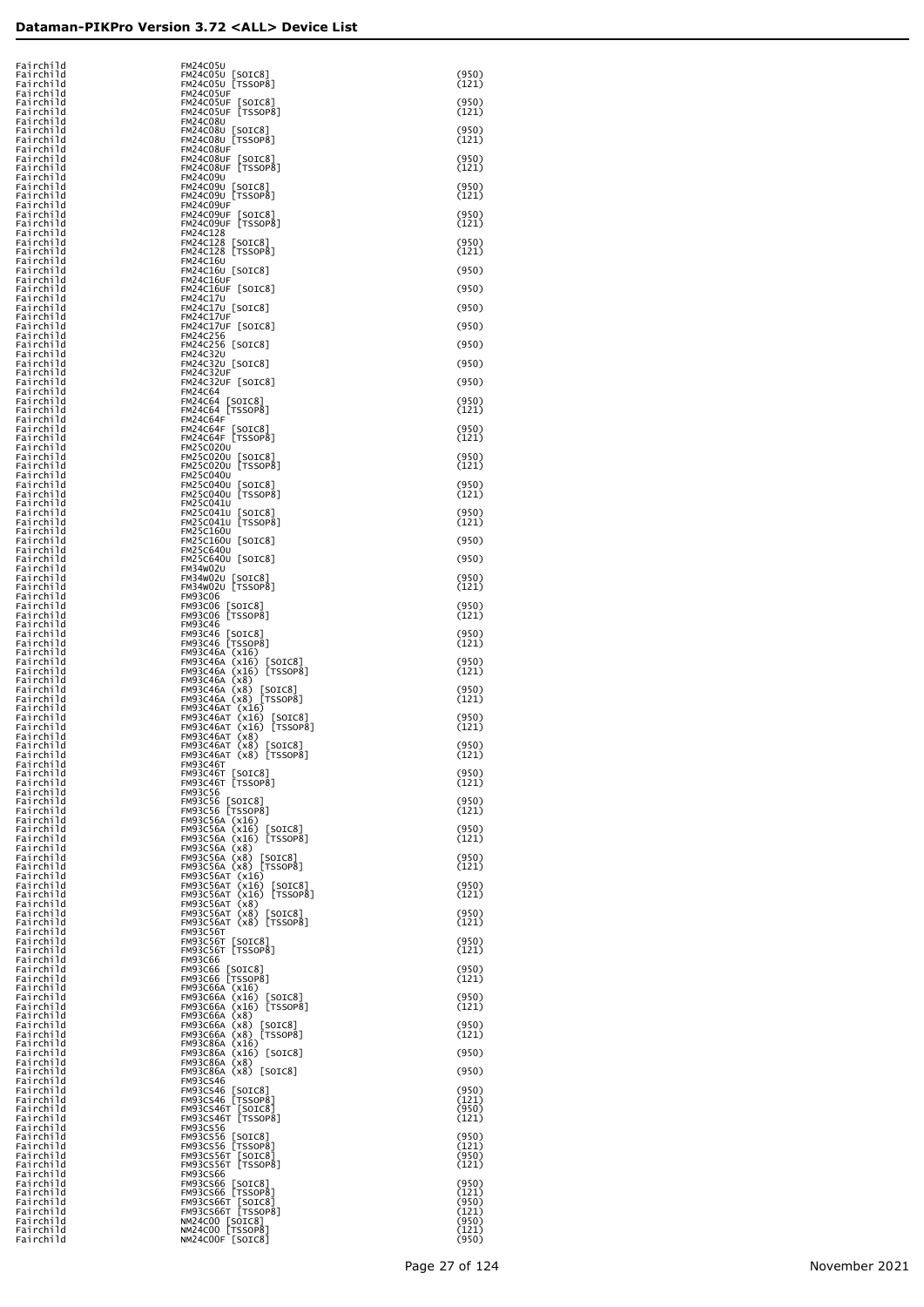| Fairchild<br>Fairchild<br>Fairchild |  | FM24C05U<br>FM24C05U [SOIC8]<br>FM24C05U [TSSOP8]                                                                                                                                                                | (950)<br>(121)          |
|-------------------------------------|--|------------------------------------------------------------------------------------------------------------------------------------------------------------------------------------------------------------------|-------------------------|
| Fairchild<br>Fairchild              |  | FM24C05UF<br>FM24C05UF [SOIC8]<br>FM24C05UF [TSSOP8]                                                                                                                                                             | (950)                   |
| Fairchild<br>Fairchild<br>Fairchild |  | <b>FM24C08U</b><br>FM24C08U [SOIC8]                                                                                                                                                                              | (121)<br>(950)          |
| Fairchild<br>Fairchild              |  | FM24C08U [TSSOP8]<br>FM24C08UF                                                                                                                                                                                   | (121)                   |
| Fairchild<br>Fairchild<br>Fairchild |  | FM24C08UF [SOIC8]<br>FM24C08UF [TSSOP8]<br><b>FM24C09U</b>                                                                                                                                                       | (950)<br>(121)          |
| Fairchild<br>Fairchild              |  | FM24C09U [SOIC8]<br>FM24C09U [TSSOP8]                                                                                                                                                                            | (950)<br>(121)          |
| Fairchild<br>Fairchild<br>Fairchild |  | FM24C09UF<br>FM24C09UF [SOIC8]<br>FM24C09UF [TSSOP8]                                                                                                                                                             | (950)<br>(121)          |
| Fairchild<br>Fairchild<br>Fairchild |  | FM24C128<br>FM24C128 [SOIC8]<br>FM24C128 [TSSOP8]                                                                                                                                                                | (950)                   |
| Fairchild<br>Fairchild              |  | <b>FM24C16U</b><br>FM24C16U [SOIC8]                                                                                                                                                                              | (121)<br>(950)          |
| Fairchild<br>Fairchild<br>Fairchild |  | <b>FM24C16UF</b><br>FM24C16UF [SOIC8]<br><b>FM24C17U</b>                                                                                                                                                         | (950)                   |
| Fairchild<br>Fairchild              |  | FM24C17U [SOIC8]<br>FM24C17UF                                                                                                                                                                                    | (950)                   |
| Fairchild<br>Fairchild<br>Fairchild |  | FM24C17UF [SOIC8]<br>FM24C256<br>FM24C256 [SOIC8]                                                                                                                                                                | (950)<br>(950)          |
| Fairchild<br>Fairchild              |  | <b>FM24C32U</b><br>FM24C32U [SOIC8]                                                                                                                                                                              | (950)                   |
| Fairchild<br>Fairchild<br>Fairchild |  | FM24C32UF<br>FM24C32UF [SOIC8]<br><b>FM24C64</b>                                                                                                                                                                 | (950)                   |
| Fairchild<br>Fairchild              |  | FM24C64 [SOIC8]<br>FM24C64 [TSSOP8]                                                                                                                                                                              | (950)<br>(121)          |
| Fairchild<br>Fairchild<br>Fairchild |  | <b>FM24C64F</b><br>FM24C64F [SOIC8]<br>FM24C64F [TSSOP8]                                                                                                                                                         | (950)<br>(121)          |
| Fairchild<br>Fairchild              |  | <b>FM25C020U</b><br>FM25C020U<br>[SOIC8]<br>FM25C020U [TSSOP8]                                                                                                                                                   | (950)                   |
| Fairchild<br>Fairchild<br>Fairchild |  | FM25C040U<br>FM25C040U<br>$\lfloor$ SOIC $8$                                                                                                                                                                     | (121)<br>(950)          |
| Fairchild<br>Fairchild              |  | FM25C040U [TSSOP8]<br>FM25C041U<br>FM25C041U                                                                                                                                                                     | (121)<br>(950)          |
| Fairchild<br>Fairchild<br>Fairchild |  | $\lfloor$ SOIC $8$<br>FM25C041U [TSSOP8]<br>FM25C160U                                                                                                                                                            | (121)                   |
| Fairchild<br>Fairchild<br>Fairchild |  | FM25C160U [SOIC8]<br>FM25C640U<br>FM25C640U [SOIC8]                                                                                                                                                              | (950)<br>(950)          |
| Fairchild<br>Fairchild              |  | <b>FM34W02U</b><br>FM34W02U [SOIC8]<br>FM34W02U [TSSOP8]                                                                                                                                                         | (950)                   |
| Fairchild<br>Fairchild<br>Fairchild |  | <b>FM93C06</b><br><b>FM93C06</b><br>$\lfloor$ SOIC $8$                                                                                                                                                           | (121)<br>(950)          |
| Fairchild<br>Fairchild              |  | [TSSOP8]<br>FM93C06<br><b>FM93C46</b>                                                                                                                                                                            | (121)                   |
| Fairchild<br>Fairchild<br>Fairchild |  | FM93C46<br>FM93C46 [SOIC8]<br>FM93C46 [TSSOP8]                                                                                                                                                                   | (950)<br>(121)          |
| Fairchild<br>Fairchild              |  | FM93C46A (x16)<br>FM93C46A (x16)<br>[SOIC8]<br>FM93C46A (x16) [TSSOP8]                                                                                                                                           | (950)<br>(121)          |
| Fairchild<br>Fairchild<br>Fairchild |  | FM93C46A (x8)<br>FM93C46A (x8)<br>[SOIC8]                                                                                                                                                                        | (950)<br>(121)          |
| Fairchild<br>Fairchild<br>Fairchild |  | FM93C46A (x8) [SOTC8]<br>FM93C46A (x8) [TSSOP8]<br>FM93C46AT (x16) [SOTC8]<br>FM93C46AT (x16) [SOTC8]<br>FM93C46AT (x8) [TSSOP8]<br>FM93C46AT (x8) [SOTC8]<br>FM93C46AT (x8) [TSSOP8]<br>FM93C46AT (x8) [TSSOP8] | (950)<br>(121)          |
| Fairchild<br>Fairchild              |  |                                                                                                                                                                                                                  | (950)                   |
| Fairchild<br>Fairchild<br>Fairchild |  | <b>FM93C46T</b><br>[SOIC8]<br>FM93C46T                                                                                                                                                                           | (121)<br>(950)          |
| Fairchild<br>Fairchild              |  | FM93C46T [TSSOP8]<br><b>FM93C56</b>                                                                                                                                                                              | (121)                   |
| Fairchild<br>Fairchild<br>Fairchild |  | FM93C56<br>$\lfloor$ SOIC $8$ ]<br>FM93C56 [TSSOP8]<br>FM93C56A (x16)<br>FM93C56A (x16)                                                                                                                          | (950)<br>(121)          |
| Fairchild<br>Fairchild              |  | $\lfloor$ SOIC $8$<br>FM93C56A (x16) [TSSOP8]<br>FM93C56A (x8)                                                                                                                                                   | (950)<br>(121)          |
| Fairchild<br>Fairchild<br>Fairchild |  | FM93C56A (x8)<br>[SOIC8]                                                                                                                                                                                         | (950)<br>(121)          |
| Fairchild<br>Fairchild<br>Fairchild |  | FM93C56A (x8) [TSSOP8]<br>FM93C56AT (x16)<br>FM93C56AT (x16) [SOIC8]<br>FM93C56AT (x16) [TSSOP8]                                                                                                                 | (950)<br>(121)          |
| Fairchild<br>Fairchild              |  | FM93C56AT (x8)<br>FM93C56AT (x8)<br>FM93C56AT (x8) [SOIC8]<br>FM93C56AT (x8) [TSSOP8]                                                                                                                            | (950)                   |
| Fairchild<br>Fairchild<br>Fairchild |  | <b>FM93C56T</b><br><b>FM93C56T</b>                                                                                                                                                                               | (121)<br>(950)          |
| Fairchild<br>Fairchild              |  | FM93C56T [SOIC8]<br>FM93C56T [TSSOP8]<br><b>FM93C66</b>                                                                                                                                                          | (121)                   |
| Fairchild<br>Fairchild<br>Fairchild |  | FM93C66 [SOIC8]<br>FM93C66 [TSSOP8]                                                                                                                                                                              | (950)<br>(121)          |
| Fairchild<br>Fairchild              |  | FM93C66A (x16)<br>FM93C66A (x16)<br>$\lfloor$ SOIC $8$<br>FM93C66A (x16) [TSSOP8]                                                                                                                                | (950)<br>(121)          |
| Fairchild<br>Fairchild<br>Fairchild |  | FM93C66A (x8)<br>FM93C66A (x8)<br>[SOIC8]<br>FM93C66A (x8) [TSSOP8]                                                                                                                                              | (950)<br>(121)          |
| Fairchild<br>Fairchild              |  | FM93C86A (x16)<br>FM93C86A (x16) [SOIC8]<br>FM93C86A (x8)                                                                                                                                                        | (950)                   |
| Fairchild<br>Fairchild<br>Fairchild |  | FM93C86A (x8) [SOIC8]<br><b>FM93CS46</b>                                                                                                                                                                         | (950)                   |
| Fairchild<br>Fairchild<br>Fairchild |  | FM93CS46 [SOIC8]<br>FM93CS46 [TSSOP8]                                                                                                                                                                            | (950)<br>(121)<br>(950) |
| Fairchild<br>Fairchild              |  | FM93CS46T [SOIC8]<br>FM93CS46T [TSSOP8]<br>FM93CS56                                                                                                                                                              | (121)                   |
| Fairchild<br>Fairchild<br>Fairchild |  | FM93CS56 [SOIC8]<br>FM93CS56 [TSSOP8]                                                                                                                                                                            | (950)<br>(121)<br>(950) |
| Fairchild<br>Fairchild              |  | FM93CS56T [SOIC8]<br>FM93CS56T [TSSOP8]<br>FM93CS66                                                                                                                                                              | (121)<br>(950)          |
| Fairchild<br>Fairchild<br>Fairchild |  | FM93CS66 [SOIC8]<br>FM93CS66 [TSSOP8]<br>FM93CS66T [SOIC8]<br>FM93CS66T [TSSOP8]                                                                                                                                 | (121)<br>(950)          |
| Fairchild<br>Fairchild<br>Fairchild |  | NM24C00 [SOIC8]<br>NM24C00 [TSSOP8]                                                                                                                                                                              | (121)<br>(950)<br>(121) |
| Fairchild                           |  | NM24C00F [SOIC8]                                                                                                                                                                                                 | (950)                   |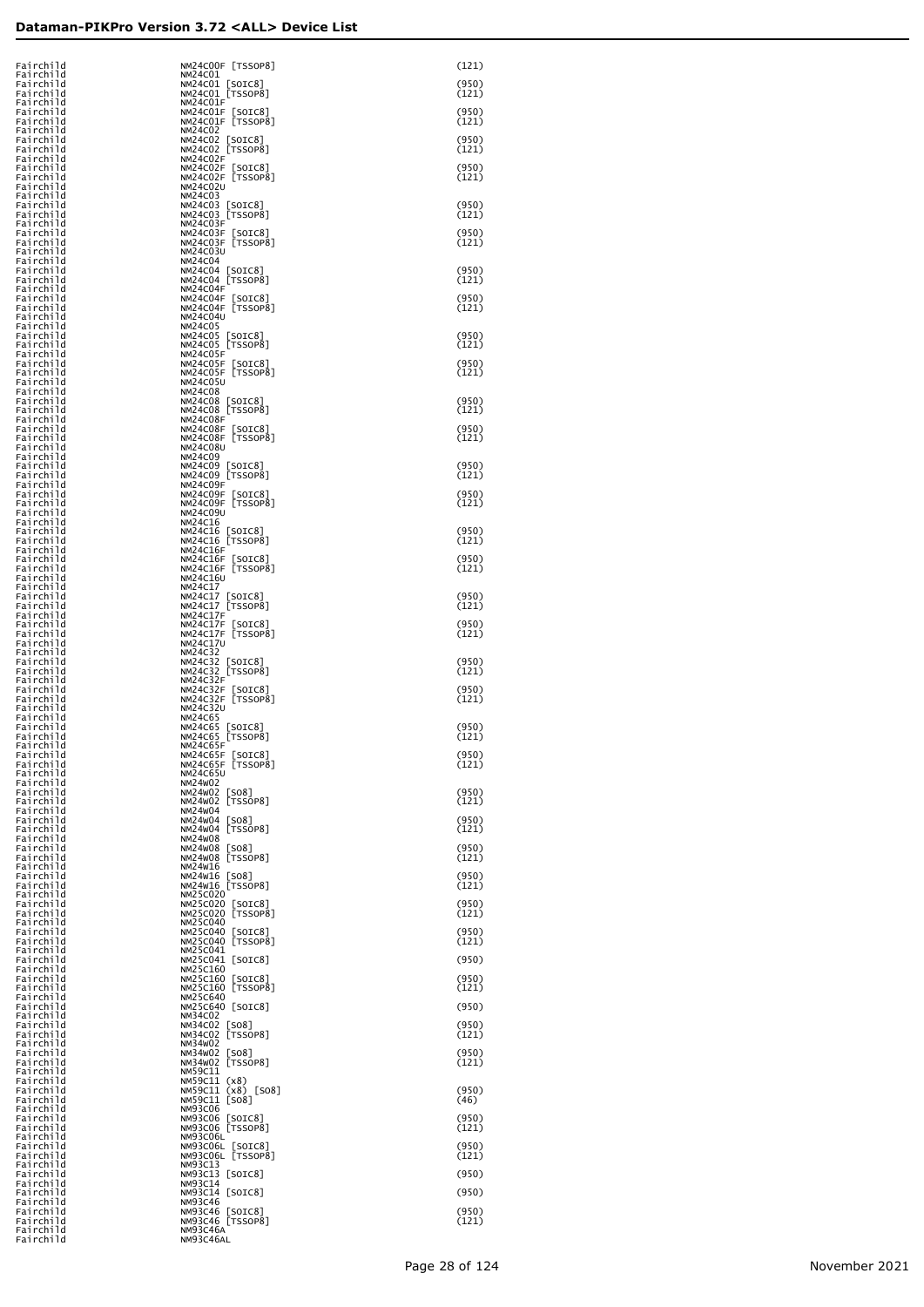| Fairchild<br>Fairchild | NM24C00F [TSSOP8]<br>NM24C01             | (121)          |
|------------------------|------------------------------------------|----------------|
| Fairchild<br>Fairchild | NM24C01 [SOIC8]<br>NM24C01 [TSSOP8]      | (950)<br>(121) |
| Fairchild<br>Fairchild | NM24C01F<br>NM24CO1F [SOIC8]             | (950)          |
| Fairchild              | NM24C01F [TSSOP8]                        | (121)          |
| Fairchild<br>Fairchild | NM24C02<br>NM24C02 [SOIC8]               | (950)          |
| Fairchild<br>Fairchild | NM24C02 [TSSOP8]<br>NM24C02F             | (121)          |
| Fairchild<br>Fairchild | NM24C02F [SOIC8]<br>NM24C02F [TSSOP8]    | (950)<br>(121) |
| Fairchild<br>Fairchild | <b>NM24C02U</b><br>NM24C03               |                |
| Fairchild<br>Fairchild | NM24C03 [SOIC8]<br>NM24C03 [TSSOP8]      | (950)<br>(121) |
| Fairchild              | NM24C03F                                 |                |
| Fairchild<br>Fairchild | NM24C03F<br>[SOIC8]<br>NM24C03F [TSSOP8] | (950)<br>(121) |
| Fairchild<br>Fairchild | NM24C03U<br><b>NM24C04</b>               |                |
| Fairchild<br>Fairchild | NM24C04 [SOIC8]<br>NM24C04 [TSSOP8]      | (950)<br>(121) |
| Fairchild<br>Fairchild | NM24C04F<br>NM24C04F [SOIC8]             | (950)          |
| Fairchild<br>Fairchild | NM24C04F [TSSOP8]<br><b>NM24C04U</b>     | (121)          |
| Fairchild<br>Fairchild | <b>NM24C05</b>                           | (950)          |
| Fairchild              | NM24C05 [SOIC8]<br>NM24C05 [TSSOP8]      | (121)          |
| Fairchild<br>Fairchild | NM24C05F<br>NM24C05F [SOIC8]             | (950)          |
| Fairchild<br>Fairchild | NM24C05F [TSSOP8]<br>NM24C05U            | (121)          |
| Fairchild<br>Fairchild | <b>NM24C08</b><br>NM24C08 [SOIC8]        | (950)          |
| Fairchild<br>Fairchild | NM24C08 [TSSOP8]<br>NM24C08F             | (121)          |
| Fairchild<br>Fairchild | NM24C08F [SOIC8]<br>NM24C08F [TSSOP8]    | (950)<br>(121) |
| Fairchild<br>Fairchild | <b>NM24C08U</b><br><b>NM24C09</b>        |                |
| Fairchild              | NM24C09 [SOIC8]                          | (950)          |
| Fairchild<br>Fairchild | NM24C09 [TSSOP8]<br>NM24C09F             | (121)          |
| Fairchild<br>Fairchild | NM24C09F [SOIC8]<br>NM24C09F [TSSOP8]    | (950)<br>(121) |
| Fairchild<br>Fairchild | <b>NM24C09U</b><br>NM24C16               |                |
| Fairchild<br>Fairchild | NM24C16 [SOIC8]<br>NM24C16 [TSSOP8]      | (950)<br>(121) |
| Fairchild<br>Fairchild | NM24C16F<br>NM24C16F [SOIC8]             | (950)          |
| Fairchild<br>Fairchild | NM24C16F [TSSOP8]<br>NM24C16U            | (121)          |
| Fairchild<br>Fairchild | <b>NM24C17</b><br>NM24C17 [SOIC8]        | (950)          |
| Fairchild<br>Fairchild | NM24C17 [TSSOP8]<br><b>NM24C17F</b>      | (121)          |
| Fairchild<br>Fairchild | NM24C17F [SOIC8]<br>NM24C17F [TSSOP8]    | (950)<br>(121) |
| Fairchild<br>Fairchild | NM24C17U<br>NM24C32                      |                |
| Fairchild<br>Fairchild | NM24C32 [SOIC8]<br>NM24C32 [TSSOP8]      | (950)<br>(121) |
| Fairchild              | <b>NM24C32F</b>                          |                |
| Fairchild<br>Fairchild | NM24C32F [SOIC8]<br>NM24C32F [TSSOP8]    | (950)<br>(121) |
| Fairchild<br>Fairchild | NM24C32U<br>NM24C65                      |                |
| Fairchild<br>Fairchild | NM24C65 [SOIC8]<br>NM24C65 [TSSOP8]      | (950)<br>(121) |
| Fairchild<br>Fairchild | <b>NM24C65F</b><br>NM24C65F [SOIC8]      | (950)          |
| Fairchild<br>Fairchild | NM24C65F [TSSOP8]<br>NM24C65U            | (121)          |
| Fairchild<br>Fairchild | NM24W02<br>NM24W02 [SO8]                 | (950)          |
| Fairchild<br>Fairchild | NM24W02 [TSSOP8]<br>NM24W04              | (121)          |
| Fairchild<br>Fairchild | NM24W04<br>[508]<br>NM24W04 [TSSOP8]     | (950)<br>(121) |
| Fairchild<br>Fairchild | NM24W08<br>NM24W08 [SO8]                 | (950)          |
| Fairchild<br>Fairchild | NM24W08 [TSSOP8]<br>NM24W16              | (121)          |
| Fairchild<br>Fairchild | NM24W16 [SO8]<br>NM24W16 [TSSOP8]        | (950)<br>(121) |
| Fairchild<br>Fairchild | NM25C020<br>NM25C020 [SOIC8]             | (950)          |
| Fairchild<br>Fairchild | NM25C020 [TSSOP8]<br>NM25C040            | (121)          |
| Fairchild<br>Fairchild | NM25C040 [SOIC8]<br>NM25C040 [TSSOP8]    | (950)<br>(121) |
| Fairchild<br>Fairchild | NM25C041<br>NM25C041 [SOIC8]             | (950)          |
| Fairchild<br>Fairchild | NM25C160<br>NM25C160 [SOIC8]             | (950)          |
| Fairchild<br>Fairchild | NM25C160 [TSSOP8]<br>NM25C640            | (121)          |
| Fairchild              | NM25C640 [SOIC8]                         | (950)          |
| Fairchild<br>Fairchild | <b>NM34C02</b><br>NM34C02 [SO8]          | (950)          |
| Fairchild<br>Fairchild | NM34C02 [TSSOP8]<br>NM34W02              | (121)          |
| Fairchild<br>Fairchild | NM34W02 [SO8]<br>NM34W02 [TSSOP8]        | (950)<br>(121) |
| Fairchild<br>Fairchild | <b>NM59C11</b><br>NM59C11 (x8)           |                |
| Fairchild<br>Fairchild | NM59C11 (x8) [SO8]<br>NM59C11 [SO8]      | (950)<br>(46)  |
| Fairchild<br>Fairchild | <b>NM93C06</b><br>NM93C06 [SOIC8]        | (950)          |
| Fairchild<br>Fairchild | NM93C06 [TSSOP8]<br>NM93C06L             | (121)          |
| Fairchild<br>Fairchild | NM93C06L [SOIC8]<br>NM93C06L [TSSOP8]    | (950)<br>(121) |
| Fairchild<br>Fairchild | <b>NM93C13</b><br>NM93C13 [SOIC8]        | (950)          |
| Fairchild<br>Fairchild | NM93C14<br>NM93C14 [SOIC8]               | (950)          |
| Fairchild<br>Fairchild | <b>NM93C46</b><br>NM93C46 [SOIC8]        | (950)          |
| Fairchild<br>Fairchild | NM93C46 [TSSOP8]<br><b>NM93C46A</b>      | (121)          |
| Fairchild              | NM93C46AL                                |                |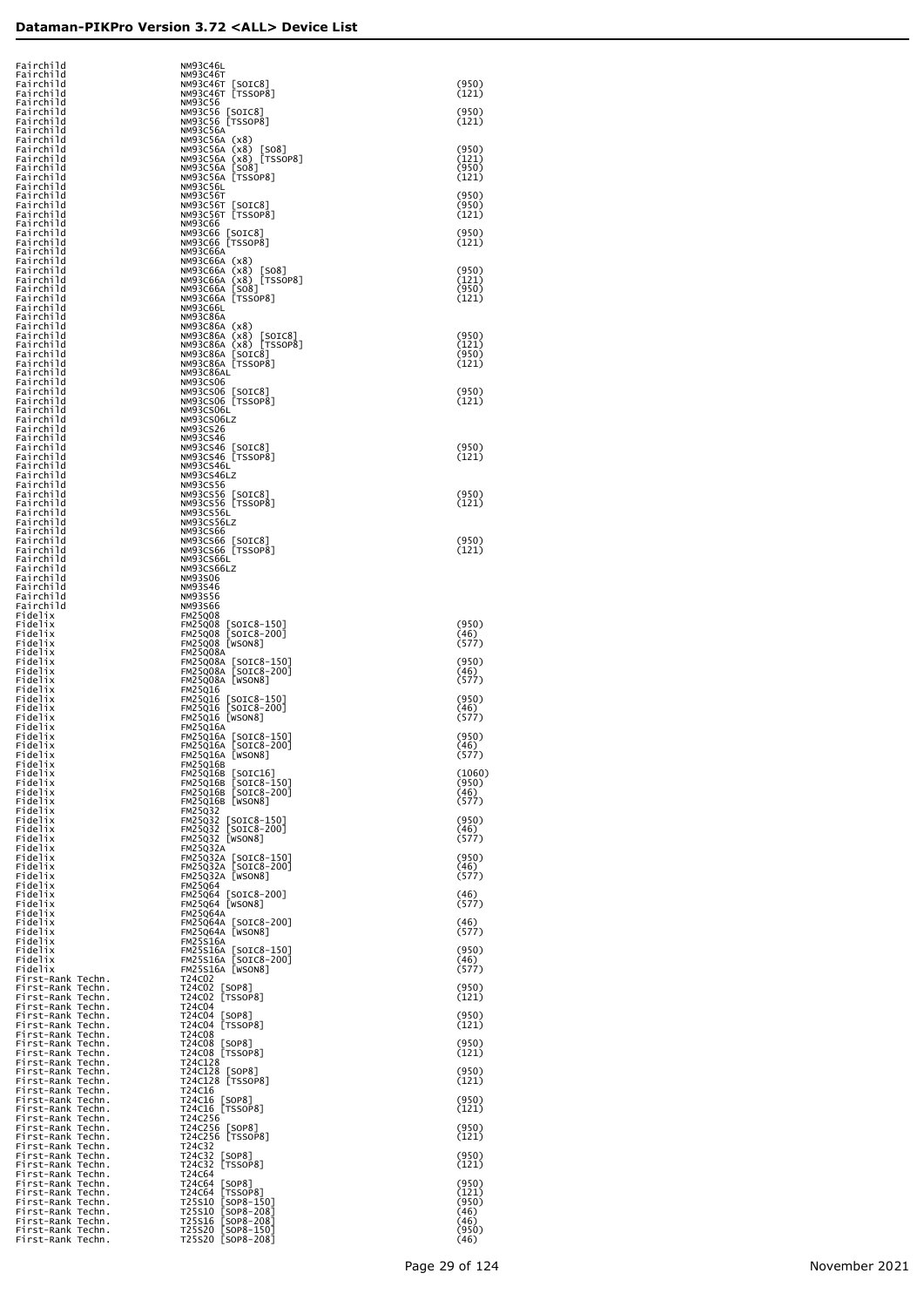| Fairchild                                                                                                                                                                                                                                                          | NM93C46L                                                        |                |
|--------------------------------------------------------------------------------------------------------------------------------------------------------------------------------------------------------------------------------------------------------------------|-----------------------------------------------------------------|----------------|
| Fairchild<br>Fairchild                                                                                                                                                                                                                                             | <b>NM93C46T</b><br>NM93C46T [SOIC8]                             | (950)          |
| Fairchild<br>Fairchild                                                                                                                                                                                                                                             | NM93C46T [TSSOP8]<br>NM93C56                                    | (121)          |
| Fairchild                                                                                                                                                                                                                                                          | NM93C56 [SOIC8]                                                 | (950)          |
| Fairchild<br>Fairchild                                                                                                                                                                                                                                             | NM93C56 [TSSOP8]<br><b>NM93C56A</b>                             | (121)          |
| Fairchild<br>Fairchild                                                                                                                                                                                                                                             | NM93C56A (x8)<br>NM93C56A (x8)<br>[SO8]                         | (950)          |
| Fairchild<br>Fairchild                                                                                                                                                                                                                                             | NM93C56A (x8) [TSSOP8]<br>NM93C56A [SO8]                        | (121)<br>(950) |
| Fairchild                                                                                                                                                                                                                                                          | NM93C56A [TSSOP8]                                               | (121)          |
| Fairchild<br>Fairchild                                                                                                                                                                                                                                             | NM93C56L<br><b>NM93C56T</b>                                     | (950)          |
| Fairchild<br>Fairchild                                                                                                                                                                                                                                             | NM93C56T [SOIC8]<br>NM93C56T [TSSOP8]                           | (950)<br>(121) |
| Fairchild                                                                                                                                                                                                                                                          | NM93C66                                                         |                |
| Fairchild<br>Fairchild                                                                                                                                                                                                                                             | NM93C66 [SOIC8]<br>NM93C66 [TSSOP8]                             | (950)<br>(121) |
| Fairchild<br>Fairchild                                                                                                                                                                                                                                             | NM93C66A<br>NM93C66A (x8)                                       |                |
| Fairchild                                                                                                                                                                                                                                                          | NM93C66A (x8)<br><b>[SO8]</b>                                   | (950)          |
| Fairchild<br>Fairchild                                                                                                                                                                                                                                             | NM93C66A (x8)<br>[TSSOP8]<br>[508]<br>NM93C66A                  | (121)<br>(950) |
| Fairchild<br>Fairchild                                                                                                                                                                                                                                             | NM93C66A [TSSOP8]<br>NM93C66L                                   | (121)          |
| Fairchild<br>Fairchild                                                                                                                                                                                                                                             | <b>NM93C86A</b><br>NM93C86A (x8)                                |                |
| Fairchild                                                                                                                                                                                                                                                          | NM93C86A (x8)<br>$\lfloor$ SOIC8 $\rfloor$                      | (950)          |
| Fairchild<br>Fairchild                                                                                                                                                                                                                                             | NM93C86A (x8) [TSSOP8]<br>NM93C86A<br>[SOIC8]                   | (121)<br>(950) |
| Fairchild<br>Fairchild                                                                                                                                                                                                                                             | NM93C86A [TSSOP8]<br>NM93C86AL                                  | (121)          |
| Fairchild                                                                                                                                                                                                                                                          | NM93CS06                                                        |                |
| Fairchild<br>Fairchild                                                                                                                                                                                                                                             | NM93CS06<br>[SOIC8]<br>NM93CS06 [TSSOP8]                        | (950)<br>(121) |
| Fairchild<br>Fairchild                                                                                                                                                                                                                                             | NM93CS06L<br>NM93CS06LZ                                         |                |
| Fairchild<br>Fairchild                                                                                                                                                                                                                                             | NM93CS26                                                        |                |
| Fairchild                                                                                                                                                                                                                                                          | <b>NM93CS46</b><br>NM93CS46<br>[SOIC8]                          | (950)          |
| Fairchild<br>Fairchild                                                                                                                                                                                                                                             | NM93CS46 [TSSOP8]<br>NM93CS46L                                  | (121)          |
| Fairchild<br>Fairchild                                                                                                                                                                                                                                             | NM93CS46LZ<br><b>NM93CS56</b>                                   |                |
| Fairchild                                                                                                                                                                                                                                                          | NM93CS56<br>[SOIC8]                                             | (950)          |
| Fairchild<br>Fairchild                                                                                                                                                                                                                                             | NM93CS56 [TSSOP8]<br>NM93CS56L                                  | (121)          |
| Fairchild<br>Fairchild                                                                                                                                                                                                                                             | NM93CS56LZ<br>NM93CS66                                          |                |
| Fairchild<br>Fairchild                                                                                                                                                                                                                                             | NM93CS66<br>[SOIC8]<br>NM93CS66 [TSSOP8]                        | (950)<br>(121) |
| Fairchild                                                                                                                                                                                                                                                          | NM93CS66L                                                       |                |
| Fairchild<br>Fairchild                                                                                                                                                                                                                                             | NM93CS66LZ<br>NM93S06                                           |                |
| Fairchild<br>Fairchild                                                                                                                                                                                                                                             | NM93S46<br>NM93S56                                              |                |
| Fairchild<br>Fidelix                                                                                                                                                                                                                                               | <b>NM93S66</b><br><b>FM25Q08</b>                                |                |
| Fidelix                                                                                                                                                                                                                                                            | <b>FM25Q08</b><br>$[SOIC8-150]$                                 | (950)          |
| Fidelix<br>Fidelix                                                                                                                                                                                                                                                 | $[SOIC8-200]$<br><b>FM25Q08</b><br>FM25Q08 [WSON8]              | (46)<br>(577)  |
| Fidelix<br>Fidelix                                                                                                                                                                                                                                                 | <b>FM25Q08A</b><br><b>FM25Q08A</b><br>$\lfloor$ SOIC8-150]      | (950)          |
| Fidelix<br>Fidelix                                                                                                                                                                                                                                                 | $[SOIC8-200]$<br><b>FM25Q08A</b><br>FM25Q08A [WSON8]            | (46)<br>(577)  |
| Fidelix                                                                                                                                                                                                                                                            | <b>FM25Q16</b>                                                  |                |
| Fidelix<br>Fidelix                                                                                                                                                                                                                                                 | <b>FM25Q16</b><br>[SOIC8-150]<br>[SOIC8-200]<br><b>FM25Q16</b>  | (950)<br>(46)  |
| Fidelix<br>Fidelix                                                                                                                                                                                                                                                 | FM25Q16 [WSON8]<br><b>FM25Q16A</b>                              | (577)          |
| Fidelix<br>Fidelix                                                                                                                                                                                                                                                 | FM25Q16A [SOIC8-150]<br><b>FM25Q16A</b><br>[SOIC8-200]          | (950)<br>(46)  |
| Fidelix                                                                                                                                                                                                                                                            | FM25Q16A [WSON8]                                                | (577)          |
| Fidelix<br>Fidelix                                                                                                                                                                                                                                                 | <b>FM25Q16B</b><br><b>FM25Q16B</b><br>$\lfloor$ SOIC $16$ ]     | (1060)         |
| Fidelix<br>Fidelix                                                                                                                                                                                                                                                 | FM25Q16B [SOIC8-150]<br>FM25Q16B [SOIC8-200]                    | (950)<br>(46)  |
| Fidelix                                                                                                                                                                                                                                                            | $FM25Q16B$ [WSON8]<br><b>FM25Q32</b>                            | (577)          |
| Fidelix<br>Fidelix                                                                                                                                                                                                                                                 | FM25032 [SOIC8-150]<br>FM25032 [SOIC8-200]                      | (950)          |
| Fidelix<br>Fidelix                                                                                                                                                                                                                                                 | FM25Q32 [WSON8]                                                 | (46)<br>(577)  |
| Fidelix<br>Fidelix                                                                                                                                                                                                                                                 | <b>FM25Q32A</b>                                                 | (950)          |
| Fidelix                                                                                                                                                                                                                                                            | FM25Q32A [SOIC8-150]<br>FM25Q32A [SOIC8-200]                    | (46)           |
| Fidelix<br>Fidelix                                                                                                                                                                                                                                                 | FM25Q32A [WSON8]<br><b>FM25Q64</b>                              | (577)          |
| Fidelix<br>Fidelix                                                                                                                                                                                                                                                 | FM25Q64 [SOIC8-200]<br>FM25Q64 [WSON8]                          | (46)<br>(577)  |
| Fidelix<br>Fidelix                                                                                                                                                                                                                                                 | <b>FM25Q64A</b>                                                 | (46)           |
| Fidelix                                                                                                                                                                                                                                                            | FM25Q64A [SOIC8-200]<br>FM25Q64A [WSON8]                        | (577)          |
| Fidelix<br>Fidelix                                                                                                                                                                                                                                                 | <b>FM25S16A</b><br>FM25S16A [SOIC8-150]<br>FM25S16A [SOIC8-200] | (950)          |
| Fidelix<br>Fidelix                                                                                                                                                                                                                                                 | FM25S16A [WSON8]                                                | (46)<br>(577)  |
| First-Rank Techn.                                                                                                                                                                                                                                                  | T24C02<br>T24C02 [SOP8]                                         | (950)          |
|                                                                                                                                                                                                                                                                    | T24C02 [TSSOP8]                                                 | (121)          |
| Fidelix<br>First-Rank Techn.<br>First-Rank Techn.<br>First-Rank Techn.<br>First-Rank Techn.<br>First-Rank Techn.<br>First-Rank Techn.<br>First-Rank Techn.<br>First-Rank Techn.<br>First-Rank Techn.<br>First-Rank Techn.<br>First-Rank Techn.<br>First-Rank Techn | T24C04<br>T24C04 [SOP8]                                         | (950)          |
|                                                                                                                                                                                                                                                                    | T24C04 [TSSOP8]<br>T24C08                                       | (121)          |
|                                                                                                                                                                                                                                                                    | T24C08 [SOP8]<br>T24C08 [TSSOP8]                                | (950)<br>(121) |
|                                                                                                                                                                                                                                                                    | T24C128                                                         | (950)          |
|                                                                                                                                                                                                                                                                    | T24C128<br>[SOP8]<br>T24C128 [TSSOP8]                           | (121)          |
|                                                                                                                                                                                                                                                                    | T24C16<br>T24C16<br>[SOP8]                                      | (950)          |
|                                                                                                                                                                                                                                                                    | T24C16 [TSSOP8]<br>T24C256                                      | (121)          |
|                                                                                                                                                                                                                                                                    | T24C256 [SOP8]<br>T24C256 [TSSOP8]                              | (950)          |
|                                                                                                                                                                                                                                                                    | T24C32                                                          | (121)          |
|                                                                                                                                                                                                                                                                    | T24C32<br>$\lfloor$ SOP8]<br>T24C32 [TSSOP8]                    | (950)<br>(121) |
|                                                                                                                                                                                                                                                                    | T24C64<br>T24C64 [SOP8]                                         | (950)          |
|                                                                                                                                                                                                                                                                    | [TSSOP8]<br>T24C64<br>$[SOP8-150]$<br>T25S10                    | (121)<br>(950) |
|                                                                                                                                                                                                                                                                    | $[SOP8-208]$<br>T25S10                                          | (46)           |
|                                                                                                                                                                                                                                                                    | $[50P8-208]$<br>T25S16<br>$[SOP8-150]$<br>T25S20                | (46)<br>(950)  |
| First-Rank Techn.                                                                                                                                                                                                                                                  | T25s20 [SOP8-208]                                               | (46)           |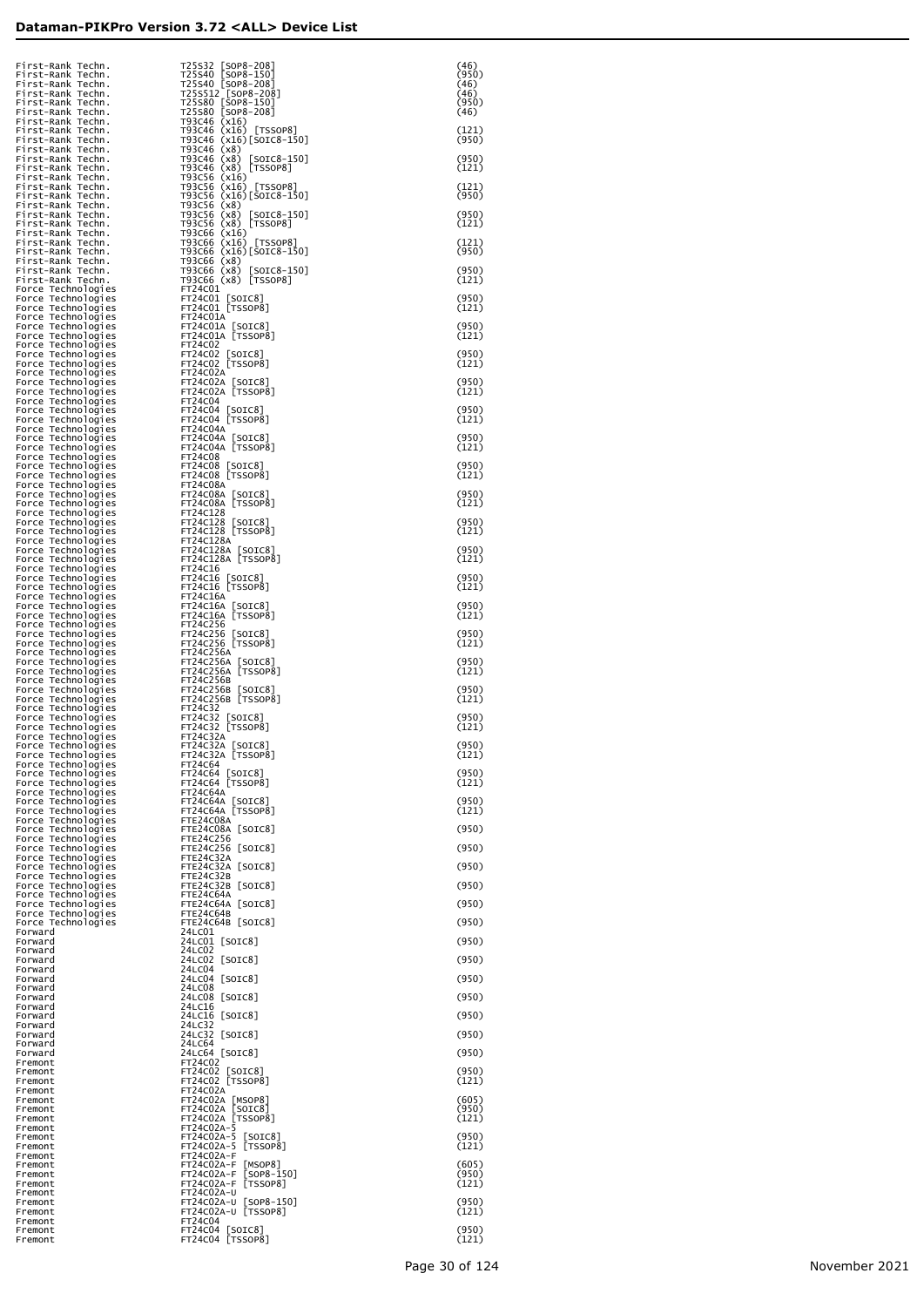| First-Rank Techn.<br>First-Rank Techn.                                                                                                                                                                                                                             |                                                                                                                                                                                                                                                           | (46)<br>(950)  |
|--------------------------------------------------------------------------------------------------------------------------------------------------------------------------------------------------------------------------------------------------------------------|-----------------------------------------------------------------------------------------------------------------------------------------------------------------------------------------------------------------------------------------------------------|----------------|
| First-Rank Techn.                                                                                                                                                                                                                                                  |                                                                                                                                                                                                                                                           | (46)<br>(46)   |
|                                                                                                                                                                                                                                                                    | T25s32 [SOP8-208]<br>T25s40 [SOP8-150]<br>T25s512 [SOP8-208]<br>T25s512 [SOP8-208]<br>T25s80 [SOP8-150]<br>T25s80 [SOP8-208]<br>T3580 [SOP8-208]                                                                                                          | (950)<br>(46)  |
|                                                                                                                                                                                                                                                                    |                                                                                                                                                                                                                                                           | (121)<br>(950) |
|                                                                                                                                                                                                                                                                    |                                                                                                                                                                                                                                                           | (950)          |
| First-Rank Techn.<br>First-Rank Techn.<br>First-Rank Techn.<br>First-Rank Techn.<br>First-Rank Techn.<br>First-Rank Techn.<br>First-Rank Techn.<br>First-Rank Techn.<br>First-Rank Techn.<br>First-Rank Techn.<br>First-Rank Techn.<br>First-Rank Techn.<br>First- | T2580 [SOP8-208]<br>T93C46 (x16) [TSSOP8]<br>T93C46 (x16) [TSSOP8]<br>T93C46 (x16) [SOTC8-150]<br>T93C46 (x8) [SOTC8-150]<br>T93C46 (x8) [TSSOP8]<br>T93C56 (x16) [TSSOP8]<br>T93C56 (x16) [TSSOP8]<br>T93C56 (x8) [SOTC8-150]<br>T93C56 (x8) [SOTC8-150] | (121)          |
|                                                                                                                                                                                                                                                                    |                                                                                                                                                                                                                                                           | (121)<br>(950) |
|                                                                                                                                                                                                                                                                    |                                                                                                                                                                                                                                                           | (950)<br>(121) |
|                                                                                                                                                                                                                                                                    |                                                                                                                                                                                                                                                           | (121)          |
| First-Rank Techn.<br>First-Rank Techn.<br>First-Rank Techn.                                                                                                                                                                                                        | T93C66 (x16)[SOIC8-150]<br>T93C66 (x8)<br>T93C66 (x8) [SOIC8-150]                                                                                                                                                                                         | (950)<br>(950) |
| First-Rank Techn.<br>Force Technologies                                                                                                                                                                                                                            | T93C66 (x8) [TSSOP8]<br>FT24C01                                                                                                                                                                                                                           | (121)          |
| Force Technologies<br>Force Technologies<br>Force Technologies                                                                                                                                                                                                     | FT24C01 [SOIC8]<br>FT24C01 [TSSOP8]<br>FT24C01A                                                                                                                                                                                                           | (950)<br>(121) |
| Force Technologies<br>Force Technologies                                                                                                                                                                                                                           | FT24C01A [SOIC8]<br>FT24C01A [TSSOP8]                                                                                                                                                                                                                     | (950)<br>(121) |
| Force Technologies<br>Force Technologies                                                                                                                                                                                                                           | FT24C02<br>FT24C02 [SOIC8]                                                                                                                                                                                                                                | (950)          |
| Force Technologies<br>Force Technologies<br>Force Technologies                                                                                                                                                                                                     | FT24C02 [TSSOP8]<br>FT24C02A<br>FT24C02A [SOIC8]                                                                                                                                                                                                          | (121)<br>(950) |
| Force Technologies<br>Force Technologies                                                                                                                                                                                                                           | FT24C02A [TSSOP8]<br>FT24C04                                                                                                                                                                                                                              | (121)          |
| Force Technologies<br>Force Technologies                                                                                                                                                                                                                           | FT24C04 [SOIC8]<br>FT24C04 [TSSOP8]                                                                                                                                                                                                                       | (950)<br>(121) |
| Force Technologies<br>Force Technologies<br>Force Technologies                                                                                                                                                                                                     | FT24C04A<br>FT24C04A [SOIC8]<br>FT24C04A [TSSOP8]                                                                                                                                                                                                         | (950)<br>(121) |
| Force Technologies<br>Force Technologies                                                                                                                                                                                                                           | FT24C08<br>FT24C08 [SOIC8]                                                                                                                                                                                                                                | (950)          |
| Force Technologies<br>Force Technologies<br>Force Technologies                                                                                                                                                                                                     | FT24C08 [TSSOP8]<br>FT24C08A<br>FT24C08A [SOIC8]                                                                                                                                                                                                          | (121)<br>(950) |
| Force Technologies<br>Force Technologies                                                                                                                                                                                                                           | FT24C08A [TSSOP8]<br>FT24C128                                                                                                                                                                                                                             | (121)          |
| Force Technologies<br>Force Technologies<br>Force Technologies                                                                                                                                                                                                     | FT24C128 [SOIC8]<br>FT24C128 [TSSOP8]<br>FT24C128A                                                                                                                                                                                                        | (950)<br>(121) |
| Force Technologies<br>Force Technologies                                                                                                                                                                                                                           | FT24C128A [SOIC8]<br>FT24C128A [TSSOP8]                                                                                                                                                                                                                   | (950)<br>(121) |
| Force Technologies<br>Force Technologies<br>Force Technologies                                                                                                                                                                                                     | FT24C16<br>FT24C16 [SOIC8]<br>FT24C16 [TSSOP8]                                                                                                                                                                                                            | (950)<br>(121) |
| Force Technologies<br>Force Technologies                                                                                                                                                                                                                           | FT24C16A<br>FT24C16A [SOIC8]                                                                                                                                                                                                                              | (950)          |
| Force Technologies<br>Force Technologies                                                                                                                                                                                                                           | FT24C16A [TSSOP8]<br>FT24C256                                                                                                                                                                                                                             | (121)          |
| Force Technologies<br>Force Technologies<br>Force Technologies                                                                                                                                                                                                     | FT24C256 [SOIC8]<br>FT24C256 [TSSOP8]<br>FT24C256A                                                                                                                                                                                                        | (950)<br>(121) |
| Force Technologies<br>Force Technologies                                                                                                                                                                                                                           | FT24C256A [SOIC8]<br>FT24C256A [TSSOP8]                                                                                                                                                                                                                   | (950)<br>(121) |
| Force Technologies<br>Force Technologies<br>Force Technologies                                                                                                                                                                                                     | FT24C256B<br>FT24C256B [SOIC8]<br>FT24C256B [TSSOP8]                                                                                                                                                                                                      | (950)<br>(121) |
| Force Technologies<br>Force Technologies                                                                                                                                                                                                                           | FT24C32<br>FT24C32 [SOIC8]                                                                                                                                                                                                                                | (950)          |
| Force Technologies<br>Force Technologies<br>Force Technologies                                                                                                                                                                                                     | FT24C32 [TSSOP8]<br>FT24C32A<br>FT24C32A [SOIC8]                                                                                                                                                                                                          | (121)<br>(950) |
| Force Technologies<br>Force Technologies                                                                                                                                                                                                                           | FTZ4C3ZA [TSSOP8]<br>FT24C64                                                                                                                                                                                                                              | (T7T)          |
| Force Technologies<br>Force Technologies<br>Force Technologies                                                                                                                                                                                                     | FT24C64 [SOIC8]<br>FT24C64 [TSSOP8]<br>FT24C64A                                                                                                                                                                                                           | (950)<br>(121) |
| Force Technologies<br>Force Technologies                                                                                                                                                                                                                           | FT24C64A [SOIC8]<br>FT24C64A [TSSOP8]                                                                                                                                                                                                                     | (950)<br>(121) |
| Force Technologies<br>Force Technologies                                                                                                                                                                                                                           | FTE24C08A<br>FTE24C08A [SOIC8]                                                                                                                                                                                                                            | (950)          |
| Force Technologies<br>Force Technologies<br>Force Technologies                                                                                                                                                                                                     | <b>FTE24C256</b><br>FTE24C256 [SOIC8]<br>FTE24C32A                                                                                                                                                                                                        | (950)          |
| Force Technologies<br>Force Technologies                                                                                                                                                                                                                           | FTE24C32A [SOIC8]<br>FTE24C32B                                                                                                                                                                                                                            | (950)          |
| Force Technologies<br>Force Technologies<br>Force Technologies                                                                                                                                                                                                     | FTE24C32B [SOIC8]<br>FTE24C64A<br>FTE24C64A [SOIC8]                                                                                                                                                                                                       | (950)<br>(950) |
| Force Technologies<br>Force Technologies                                                                                                                                                                                                                           | FTE24C64B<br>FTE24C64B [SOIC8]                                                                                                                                                                                                                            | (950)          |
| Forward<br>Forward                                                                                                                                                                                                                                                 | 24LC01<br>24LC01 [SOIC8]<br>24LC02                                                                                                                                                                                                                        | (950)          |
| Forward<br>Forward<br>Forward                                                                                                                                                                                                                                      | 24LC02 [SOIC8]<br>24LC04                                                                                                                                                                                                                                  | (950)          |
| Forward<br>Forward                                                                                                                                                                                                                                                 | 24LC04 [SOIC8]<br>24LC08                                                                                                                                                                                                                                  | (950)          |
| Forward<br>Forward<br>Forward                                                                                                                                                                                                                                      | 24LC08 [SOIC8]<br>24LC16<br>24LC16 [SOIC8]                                                                                                                                                                                                                | (950)<br>(950) |
| Forward<br>Forward                                                                                                                                                                                                                                                 | 24LC32<br>24LC32 [SOIC8]                                                                                                                                                                                                                                  | (950)          |
| Forward<br>Forward<br>Fremont                                                                                                                                                                                                                                      | 24LC64<br>24LC64 [SOIC8]<br>FT24C02                                                                                                                                                                                                                       | (950)          |
| Fremont<br>Fremont                                                                                                                                                                                                                                                 | FT24C02 [SOIC8]<br>FT24C02 [TSSOP8]                                                                                                                                                                                                                       | (950)<br>(121) |
| Fremont<br>Fremont<br>Fremont                                                                                                                                                                                                                                      | FT24C02A<br>FT24C02A [MSOP8]<br>FT24C02A [SOIC8]                                                                                                                                                                                                          | (605)<br>(950) |
| Fremont<br>Fremont                                                                                                                                                                                                                                                 | FT24C02A [TSSOP8]<br>FT24C02A-5                                                                                                                                                                                                                           | (121)          |
| Fremont<br>Fremont<br>Fremont                                                                                                                                                                                                                                      | FT24C02A-5 [SOIC8]<br>FT24C02A-5 [TSSOP8]<br>FT24C02A-F                                                                                                                                                                                                   | (950)<br>(121) |
| Fremont<br>Fremont                                                                                                                                                                                                                                                 | FT24C02A-F [MSOP8]<br>FT24C02A-F [SOP8-150]                                                                                                                                                                                                               | (605)<br>(950) |
| Fremont<br>Fremont                                                                                                                                                                                                                                                 | FT24C02A-F [TSSOP8]<br>FT24C02A-U                                                                                                                                                                                                                         | (121)          |
| Fremont<br>Fremont<br>Fremont                                                                                                                                                                                                                                      | FT24C02A-U [SOP8-150]<br>FT24C02A-U [TSSOP8]<br>FT24C04                                                                                                                                                                                                   | (950)<br>(121) |
| Fremont<br>Fremont                                                                                                                                                                                                                                                 | FT24C04 [SOIC8]<br>FT24C04 [TSSOP8]                                                                                                                                                                                                                       | (950)<br>(121) |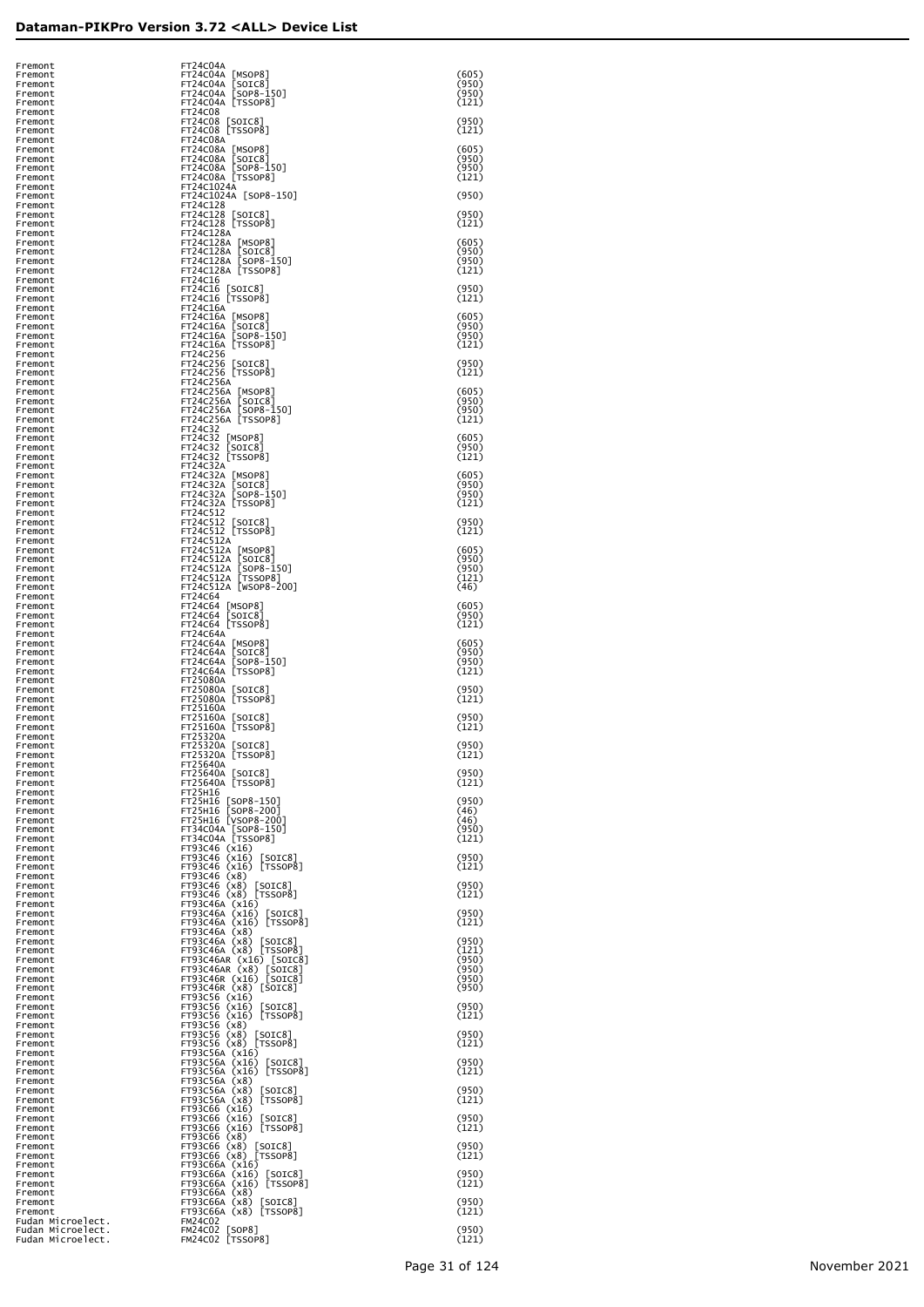| Fremont                                | FT24C04A                                                                                                                                |                |
|----------------------------------------|-----------------------------------------------------------------------------------------------------------------------------------------|----------------|
| Fremont<br>Fremont                     | FT24C04A [MSOP8]<br>FT24C04A [SOIC8]                                                                                                    | (605)<br>(950) |
| Fremont                                | FT24C04A [SOP8-150]                                                                                                                     | (950)          |
| Fremont<br>Fremont                     | FT24C04A [TSSOP8]<br>FT24C08                                                                                                            | (121)          |
| Fremont<br>Fremont                     | FT24C08 [SOIC8]<br>FT24C08 [TSSOP8]                                                                                                     | (950)<br>(121) |
| Fremont                                | FT24C08A                                                                                                                                |                |
| Fremont<br>Fremont                     | FT24C08A [MSOP8]<br>FT24C08A [SOIC8]                                                                                                    | (605)<br>(950) |
| Fremont<br>Fremont                     | FT24C08A [SOP8-150]<br>FT24C08A [TSSOP8]                                                                                                | (950)<br>(121) |
| Fremont                                | FT24C1024A<br>FT24C1024A [SOP8-150]                                                                                                     | (950)          |
| Fremont<br>Fremont                     | FT24C128                                                                                                                                |                |
| Fremont<br>Fremont                     | FT24C128 [SOIC8]<br>FT24C128 [TSSOP8]                                                                                                   | (950)<br>(121) |
| Fremont<br>Fremont                     | FT24C128A<br>FT24C128A [MSOP8]                                                                                                          | (605)          |
| Fremont                                |                                                                                                                                         | (950)          |
| Fremont<br>Fremont                     | FT24C128A [SOIC8]<br>FT24C128A [SOP8-150]<br>FT24C128A [TSSOP8]                                                                         | (950)<br>(121) |
| Fremont<br>Fremont                     | FT24C16<br>FT24C16 [SOIC8]                                                                                                              | (950)          |
| Fremont                                | FT24C16 [TSSOP8]                                                                                                                        | (121)          |
| Fremont<br>Fremont                     | FT24C16A                                                                                                                                | (605)          |
| Fremont<br>Fremont                     | FT24C16A [MSOP8]<br>FT24C16A [SOIC8]<br>FT24C16A [SOP8-150]<br>FT24C16A [TSSOP8]                                                        | (950)<br>(950) |
| Fremont<br>Fremont                     | FT24C256                                                                                                                                | (121)          |
| Fremont                                | FT24C256 [SOIC8]<br>FT24C256 [TSSOP8]                                                                                                   | (950)          |
| Fremont<br>Fremont                     | FT24C256A                                                                                                                               | (121)          |
| Fremont<br>Fremont                     | FT24C256A [MSOP8]<br>FT24C256A [SOIC8]<br>FT24C256A [SOP8-150]<br>FT24C256A [TSSOP8]                                                    | (605)<br>(950) |
| Fremont                                |                                                                                                                                         | (950)          |
| Fremont<br>Fremont                     | FT24C32                                                                                                                                 | (121)          |
| Fremont<br>Fremont                     | FT24C32 [MSOP8]<br>[201C8]<br>FT24C32                                                                                                   | (605)<br>(950) |
| Fremont<br>Fremont                     | FT24C32 [TSSOP8]<br>FT24C32A                                                                                                            | (121)          |
| Fremont                                |                                                                                                                                         | (605)          |
| Fremont<br>Fremont                     | FT24C32A [MSOP8]<br>FT24C32A [SOIC8]<br>FT24C32A [SOP8-150]<br>FT24C32A [TSSOP8]                                                        | (950)<br>(950) |
| Fremont<br>Fremont                     | FT24C512                                                                                                                                | (121)          |
| Fremont                                | FT24C512 [SOIC8]<br>FT24C512 [TSSOP8]                                                                                                   | (950)          |
| Fremont<br>Fremont                     | FT24C512A                                                                                                                               | (121)          |
| Fremont<br>Fremont                     |                                                                                                                                         | (605)<br>(950) |
| Fremont<br>Fremont                     | FT24C512A [MSOP8]<br>FT24C512A [SOIC8]<br>FT24C512A [SOP8-150]<br>FT24C512A [TSSOP8]<br>FT24C512A [WSOP8-200]                           | (950)<br>(121) |
| Fremont                                |                                                                                                                                         | (46)           |
| Fremont<br>Fremont                     | FT24C64<br>FT24C64 [MSOP8]                                                                                                              | (605)          |
| Fremont<br>Fremont                     | [SOIC8]<br>FT24C64<br>FT24C64 [TSSOP8]                                                                                                  | (950)<br>(121) |
| Fremont<br>Fremont                     | FT24C64A                                                                                                                                | (605)          |
| Fremont                                | FT24C64A [MSOP8]<br>FT24C64A [SOIC8]<br>FT24C64A [SOP8-150]<br>FT24C64A [TSSOP8]                                                        | (950)          |
| Fremont<br>Fremont                     |                                                                                                                                         | (950)<br>(121) |
| Fremont<br>Fremont                     | FT25080A                                                                                                                                | (950)          |
| Fremont<br>Fremont                     | FT25080A [SOIC8]<br>FT25080A [TSSOP8]<br>FT25160A                                                                                       | (121)          |
| Fremont                                | FT25160A [SOIC8]<br>FT25160A [TSSOP8]                                                                                                   | (950)          |
| Fremont<br>Fremont                     | FT25320A                                                                                                                                | (121)          |
| Fremont<br>Fremont                     | FT25320A [SOIC8]<br>FT25320A [TSSOP8]                                                                                                   | (950)<br>(121) |
| Fremont                                | FT25640A                                                                                                                                |                |
| Fremont<br>Fremont                     | FT25640A [SOIC8]<br>FT25640A [TSSOP8]                                                                                                   | (950)<br>(121) |
| Fremont<br>Fremont                     | FT25H16                                                                                                                                 | (950)          |
| Fremont<br>Fremont                     | FT25H16 [SOP8-150]<br>FT25H16 [SOP8-200]<br>FT25H16 [VSOP8-200]                                                                         | (46)<br>(46)   |
| Fremont                                | FT34C04A [SOP8-150]<br>FT34C04A [TSSOP8]                                                                                                | (950)          |
| Fremont<br>Fremont                     | FT93C46 (x16)                                                                                                                           | (121)          |
| Fremont<br>Fremont                     | FT93C46 (x16)<br>[SOIC8]<br>FT93C46 (x16) [TSSOP8]                                                                                      | (950)<br>(121) |
| Fremont<br>Fremont                     | FT93C46 (x8)                                                                                                                            | (950)          |
| Fremont                                | FT93C46 (x8) [SOIC8]<br>FT93C46 (x8) [TSSOP8]                                                                                           | (121)          |
| Fremont<br>Fremont                     | FT93C46A (x16)<br>FT93C46A (x16)<br>FT93C46A (x16) [SOIC8]<br>FT93C46A (x16) [TSSOP8]                                                   | (950)          |
| Fremont<br>Fremont                     |                                                                                                                                         | (121)          |
| Fremont<br>Fremont                     | FT93C46A (x8)<br>FT93C46A (x8) [SOIC8]<br>FT93C46A (x8) [TSSOP8]                                                                        | (950)<br>(121) |
| Fremont                                |                                                                                                                                         | (950)          |
| Fremont<br>Fremont                     |                                                                                                                                         | (950)<br>(950) |
| Fremont<br>Fremont                     | : 133046AR (x16) [SOIC8]<br>FT93C46AR (x8) [SOIC8]<br>FT93C46AR (x8) [SOIC8]<br>FT93C46R (x8) [SOIC8]<br>FT93C56 (x16)<br>TT93C56 (x16) | (950)          |
| Fremont<br>Fremont                     | FT93C56 (x16)<br>[SOIC8]<br>FT93C56 (x16) [TSSOP8]                                                                                      | (950)<br>(121) |
| Fremont                                | FT93C56 (x8)                                                                                                                            |                |
| Fremont<br>Fremont                     | FT93C56 (x8)<br>$\lfloor$ SOIC $8$ ]<br>FT93C56 (x8) [TSSOP8]                                                                           | (950)<br>(121) |
| Fremont<br>Fremont                     | FT93C56A (x16)<br>FT93C56A (x16)                                                                                                        | (950)          |
| Fremont<br>Fremont                     | FT93C56A (x16) [SOIC8]<br>FT93C56A (x16) [TSSOP8]<br>FT93C56A (x8)                                                                      | (121)          |
| Fremont                                |                                                                                                                                         | (950)          |
| Fremont<br>Fremont                     | FT93C56A (x8) [SOIC8]<br>FT93C56A (x8) [TSSOP8]<br>FT93C66 (x16)                                                                        | (121)          |
| Fremont<br>Fremont                     | FT93C66 (x16)<br>[SOIC8]<br>FT93C66 (x16) [TSSOP8]                                                                                      | (950)<br>(121) |
| Fremont                                | FT93C66 (x8)                                                                                                                            | (950)          |
| Fremont<br>Fremont                     | FT93C66 (x8)<br>$\lfloor$ SOIC $8$ ]<br>FT93C66 (x8) [TSSOP8]                                                                           | (121)          |
| Fremont<br>Fremont                     | FT93C66A (x16)<br>FT93C66A (x16)                                                                                                        | (950)          |
| Fremont<br>Fremont                     | FT93C66A (x16) [SOIC8]<br>FT93C66A (x16) [TSSOP8]<br>FT93C66A (x8)                                                                      | (121)          |
| Fremont                                | FT93C66A (x8) [SOIC8]<br>FT93C66A (x8) [TSSOP8]                                                                                         | (950)          |
| Fremont<br>Fudan Microelect.           | <b>FM24C02</b>                                                                                                                          | (121)          |
| Fudan Microelect.<br>Fudan Microelect. | FM24C02 [SOP8]<br>FM24C02 [TSSOP8]                                                                                                      | (950)<br>(121) |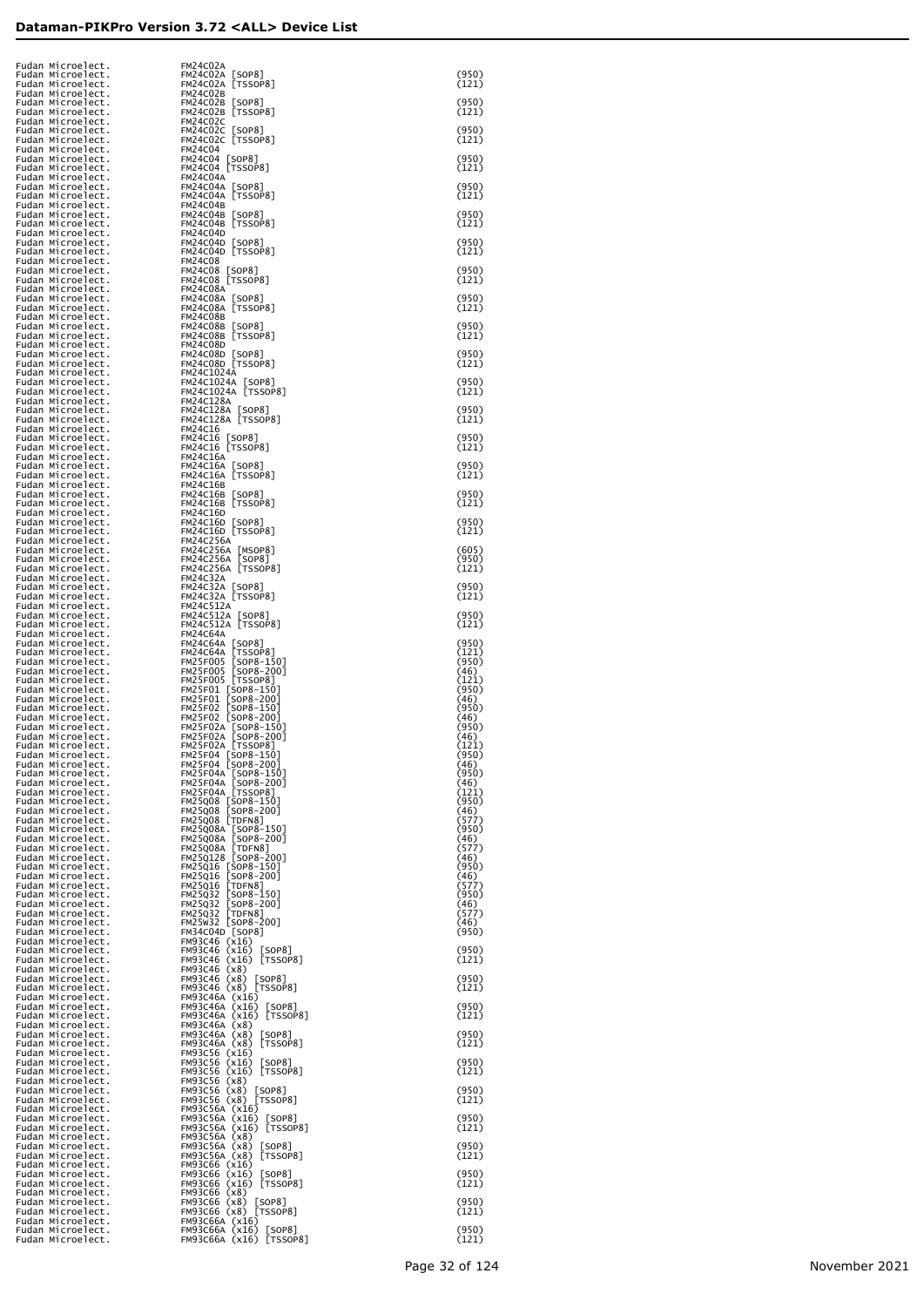| Fudan Microelect.<br>Fudan Microelect.                                           | FM24C02A                                                                                                                                                                                                                                                              | (950)                  |
|----------------------------------------------------------------------------------|-----------------------------------------------------------------------------------------------------------------------------------------------------------------------------------------------------------------------------------------------------------------------|------------------------|
| Fudan Microelect.<br>Fudan Microelect.                                           | FM24CO2A [SOP8]<br>FM24CO2A [TSSOP8]<br>FM24CUL<br>FM24C02B<br>-M24C02B                                                                                                                                                                                               | (121)                  |
| Fudan Microelect.<br>Fudan Microelect.                                           |                                                                                                                                                                                                                                                                       | (950)<br>(121)         |
| Fudan Microelect.<br>Fudan Microelect.                                           |                                                                                                                                                                                                                                                                       | (950)                  |
|                                                                                  |                                                                                                                                                                                                                                                                       | (121)                  |
| Fudan Microelect.<br>Fudan Microelect.<br>Fudan Microelect.<br>Fudan Microelect. | FM24C028 [SOF88]<br>FM24C028 [TSS0P8]<br>FM24C022 [TSS0P8]<br>FM24C02C [SOF88]<br>FM24C02C [SOF88]<br>FM24C02C [SOF88]<br>FM24C04 [SOF88]<br>FM24C04 [SOF88]<br>FM24C04 [SOF88]<br>FM24C04 [TSS0P8]<br>FM24C04 [TSS0P8]<br>FM24C04 [TSS0P8]<br>FM24C04 [TSS0P8]<br>FM | (950)<br>(121)         |
| Fudan Microelect.<br>Fudan Microelect.                                           |                                                                                                                                                                                                                                                                       | (950)                  |
| Fudan Microelect.<br>Fudan Microelect.                                           |                                                                                                                                                                                                                                                                       | (121)                  |
| Fudan Microelect.<br>Fudan Microelect.                                           |                                                                                                                                                                                                                                                                       | (950)<br>(121)         |
| Fudan Microelect.<br>Fudan Microelect.                                           |                                                                                                                                                                                                                                                                       | (950)                  |
| Fudan Microelect.<br>Fudan Microelect.                                           |                                                                                                                                                                                                                                                                       | (121)                  |
| Fudan Microelect.<br>Fudan Microelect.                                           |                                                                                                                                                                                                                                                                       | (950)<br>(121)         |
| Fudan Microelect.<br>Fudan Microelect.                                           |                                                                                                                                                                                                                                                                       | (950)                  |
| Fudan Microelect.<br>Fudan Microelect.                                           |                                                                                                                                                                                                                                                                       | (121)                  |
| Fudan Microelect.<br>Fudan Microelect.                                           |                                                                                                                                                                                                                                                                       | (950)<br>(121)         |
| Fudan Microelect.<br>Fudan Microelect.                                           |                                                                                                                                                                                                                                                                       | (950)                  |
| Fudan Microelect.<br>Fudan Microelect.                                           |                                                                                                                                                                                                                                                                       | (121)<br>(950)         |
| Fudan Microelect.<br>Fudan Microelect.<br>Fudan Microelect.                      |                                                                                                                                                                                                                                                                       | (121)                  |
| Fudan Microelect.<br>Fudan Microelect.                                           |                                                                                                                                                                                                                                                                       | (950)<br>(121)         |
| Fudan Microelect.<br>Fudan Microelect.                                           |                                                                                                                                                                                                                                                                       | (950)                  |
| Fudan Microelect.<br>Fudan Microelect.                                           |                                                                                                                                                                                                                                                                       | (121)                  |
| Fudan Microelect.<br>Fudan Microelect.                                           |                                                                                                                                                                                                                                                                       | (950)<br>(121)         |
| Fudan Microelect.<br>Fudan Microelect.                                           |                                                                                                                                                                                                                                                                       | (950)                  |
| Fudan Microelect.<br>Fudan Microelect.                                           |                                                                                                                                                                                                                                                                       | (121)                  |
| Fudan Microelect.<br>Fudan Microelect.                                           |                                                                                                                                                                                                                                                                       | (950)<br>(121)         |
| Fudan Microelect.<br>Fudan Microelect.                                           |                                                                                                                                                                                                                                                                       | (605)                  |
| Fudan Microelect.<br>Fudan Microelect.                                           |                                                                                                                                                                                                                                                                       | (950)<br>(121)         |
| Fudan Microelect.<br>Fudan Microelect.                                           |                                                                                                                                                                                                                                                                       | (950)                  |
| Fudan Microelect.<br>Fudan Microelect.                                           |                                                                                                                                                                                                                                                                       | (121)                  |
| Fudan Microelect.<br>Fudan Microelect.                                           |                                                                                                                                                                                                                                                                       | (950)<br>(121)         |
| Fudan Microelect.<br>Fudan Microelect.                                           |                                                                                                                                                                                                                                                                       | (950)                  |
| Fudan Microelect.<br>Fudan Microelect.                                           |                                                                                                                                                                                                                                                                       | (121)<br>(950)         |
| Fudan Microelect.<br>Fudan Microelect.                                           |                                                                                                                                                                                                                                                                       | (46)<br>(121)<br>(950) |
| Fudan Microelect.<br>Fudan Microelect.<br>Fudan Microelect.                      |                                                                                                                                                                                                                                                                       | (46)<br>(950)          |
| Fudan Microelect.<br>Fudan Microelect.                                           |                                                                                                                                                                                                                                                                       | (46)<br>(950)          |
| Fudan Microelect.<br>Fudan Microelect.                                           |                                                                                                                                                                                                                                                                       | (46)                   |
| Fudan Microelect.<br>Fudan Microelect.                                           |                                                                                                                                                                                                                                                                       | (121)<br>(950)<br>(46) |
| Fudan Microelect.<br>Fudan Microelect.                                           |                                                                                                                                                                                                                                                                       | (950)<br>(46)          |
| Fudan Microelect.<br>Fudan Microelect.                                           |                                                                                                                                                                                                                                                                       | (121)<br>(950)         |
| Fudan Microelect.<br>Fudan Microelect.                                           |                                                                                                                                                                                                                                                                       | (46)<br>(577)          |
| Fudan Microelect.<br>Fudan Microelect.                                           |                                                                                                                                                                                                                                                                       | (950)<br>(46)          |
| Fudan Microelect.<br>Fudan Microelect.                                           |                                                                                                                                                                                                                                                                       | (577)<br>(46)          |
| Fudan Microelect.<br>Fudan Microelect.                                           |                                                                                                                                                                                                                                                                       | (950)<br>(46)          |
| Fudan Microelect.<br>Fudan Microelect.                                           |                                                                                                                                                                                                                                                                       | (577)<br>(950)         |
| Fudan Microelect.<br>Fudan Microelect.                                           |                                                                                                                                                                                                                                                                       | (46)<br>(577)          |
| Fudan Microelect.<br>Fudan Microelect.                                           |                                                                                                                                                                                                                                                                       | (46)<br>(950)          |
| Fudan Microelect.<br>Fudan Microelect.                                           |                                                                                                                                                                                                                                                                       | (950)                  |
| Fudan Microelect.<br>Fudan Microelect.<br>Fudan Microelect.                      |                                                                                                                                                                                                                                                                       | (121)<br>(950)         |
| Fudan Microelect.<br>Fudan Microelect.                                           |                                                                                                                                                                                                                                                                       | (121)                  |
| Fudan Microelect.<br>Fudan Microelect.                                           |                                                                                                                                                                                                                                                                       | (950)<br>(121)         |
| Fudan Microelect.<br>Fudan Microelect.                                           |                                                                                                                                                                                                                                                                       | (950)                  |
| Fudan Microelect.<br>Fudan Microelect.                                           |                                                                                                                                                                                                                                                                       | (121)                  |
| Fudan Microelect.<br>Fudan Microelect.                                           |                                                                                                                                                                                                                                                                       | (950)<br>(121)         |
| Fudan Microelect.<br>Fudan Microelect.                                           |                                                                                                                                                                                                                                                                       | (950)                  |
| Fudan Microelect.<br>Fudan Microelect.                                           |                                                                                                                                                                                                                                                                       | (121)                  |
| Fudan Microelect.<br>Fudan Microelect.                                           |                                                                                                                                                                                                                                                                       | (950)<br>(121)         |
| Fudan Microelect.<br>Fudan Microelect.                                           |                                                                                                                                                                                                                                                                       | (950)                  |
| Fudan Microelect.<br>Fudan Microelect.                                           |                                                                                                                                                                                                                                                                       | (121)<br>(950)         |
| Fudan Microelect.<br>Fudan Microelect.<br>Fudan Microelect.                      |                                                                                                                                                                                                                                                                       | (121)                  |
| Fudan Microelect.<br>Fudan Microelect.                                           |                                                                                                                                                                                                                                                                       | (950)<br>(121)         |
| Fudan Microelect.<br>Fudan Microelect.                                           |                                                                                                                                                                                                                                                                       | (950)                  |
| Fudan Microelect.                                                                |                                                                                                                                                                                                                                                                       | (121)                  |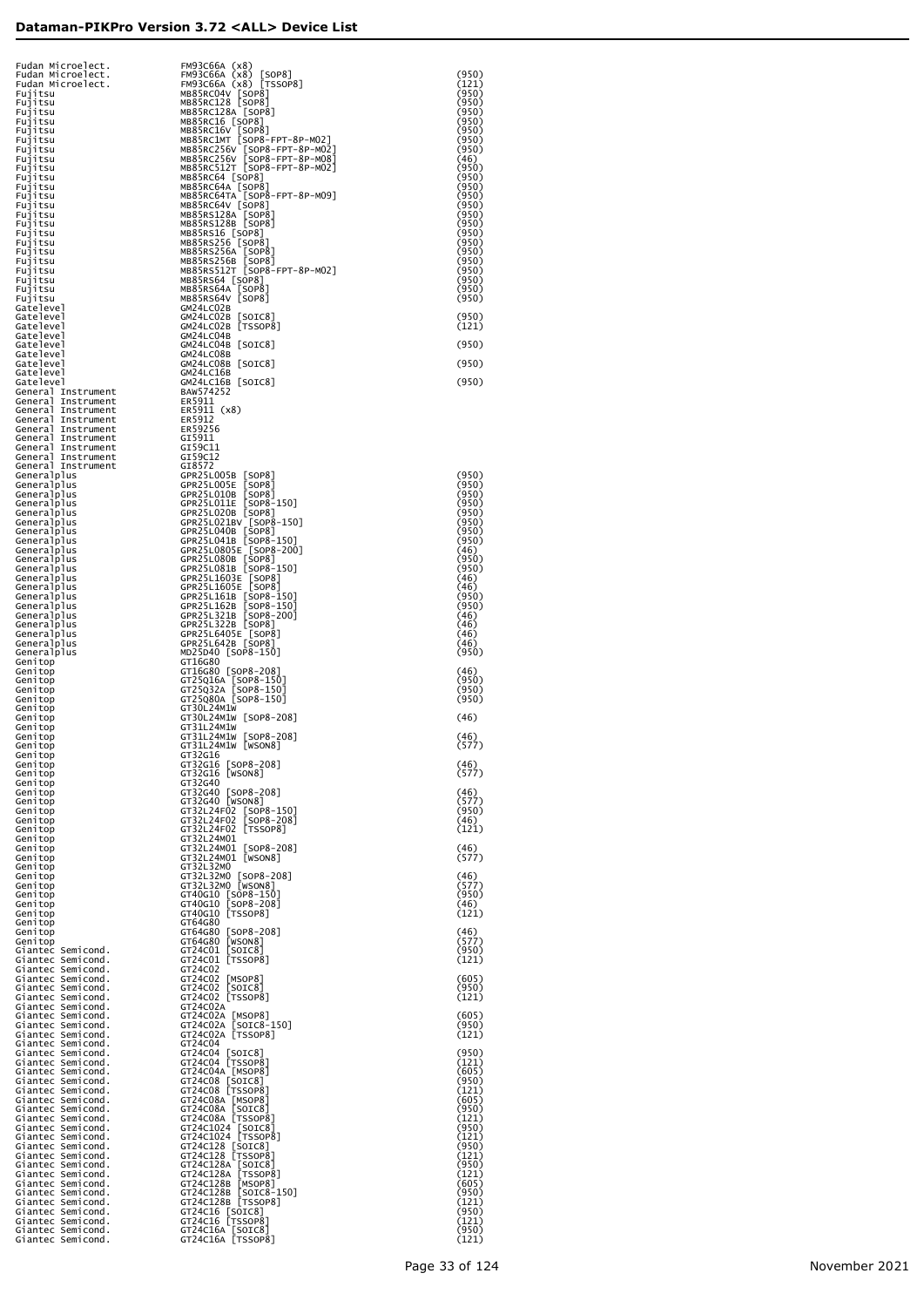| Fudan Microelect.<br>Fudan Microelect.                      | FM93C66A (x8)<br>FM93C66A (x8)<br>[SOP8]                               | (950)          |
|-------------------------------------------------------------|------------------------------------------------------------------------|----------------|
| Fudan Microelect.<br>Fujitsu                                | FM93C66A (x8) [TSSOP8]<br>MB85RC04V [SOP8]                             | (121)<br>(950) |
| Fujitsu                                                     | MB85RC128 [SOP8]                                                       | (950)<br>(950) |
| Fujitsu<br>Fujitsu                                          | MB85RC128A [SOP8]<br>MB85RC16 [SOP8]                                   | (950)          |
| Fujitsu<br>Fujitsu                                          | MB85RC16V [SOP8]<br>MB85RC1MT [SOP8-FPT-8P-M02]                        | (950)<br>(950) |
| Fujitsu<br>Fujitsu                                          | MB85RC256V [SOP8-FPT-8P-M02]<br>MB85RC256V SOP8-FPT-8P-M08             | (950)<br>(46)  |
| Fujitsu<br>Fujitsu                                          | MB85RC512T [SOP8-FPT-8P-M02]<br>MB85RC64 [SOP8]                        | (950)<br>(950) |
| Fujitsu<br>Fujitsu                                          | MB85RC64A [SOP8]<br>MB85RC64TA [SOP8-FPT-8P-MO9]                       | (950)<br>(950) |
| Fujitsu<br>Fujitsu                                          | MB85RC64V [SOP8]<br>MB85RS128A [SOP8]                                  | (950)<br>(950) |
| Fujitsu<br>Fujitsu                                          | MB85RS128B [SOP8]<br>MB85RS16 [SOP8]                                   | (950)<br>(950) |
| Fujitsu<br>Fujitsu                                          | MB85RS256 [SOP8]                                                       | (950)<br>(950) |
| Fujitsu<br>Fujitsu                                          | MB85RS256A [SOP8]<br>MB85RS256B [SOP8]<br>MB85RS512T [SOP8-FPT-8P-M02] | (950)<br>(950) |
| Fujitsu                                                     | MB85RS64 [SOP8]                                                        | (950)<br>(950) |
| Fujitsu<br>Fujitsu                                          | MB85RS64A<br>[SOP8]<br>MB85RS64V [SOP8]                                | (950)          |
| Gatelevel<br>Gatelevel                                      | GM24LC02B<br>GM24LC02B<br>[SOIC8]                                      | (950)          |
| Gatelevel<br>Gatelevel                                      | GM24LC02B [TSSOP8]<br>GM24LC04B                                        | (121)          |
| Gatelevel<br>Gatelevel                                      | GM24LC04B [SOIC8]<br>GM24LC08B                                         | (950)          |
| Gatelevel<br>Gatelevel                                      | GM24LC08B [SOIC8]<br>GM24LC16B                                         | (950)          |
| Gatelevel<br>General Instrument                             | GM24LC16B [SOIC8]<br>BAW574252                                         | (950)          |
| General Instrument<br>General Instrument                    | ER5911<br>ER5911 (x8)                                                  |                |
| General Instrument<br>General Instrument                    | ER5912<br>ER59256                                                      |                |
| General Instrument<br>General Instrument                    | GI5911<br>GI59C11                                                      |                |
| General Instrument<br>General Instrument                    | GI59C12<br>GI8572                                                      |                |
| Generalplus<br>Generalplus                                  | GPR25L005B [SOP8]<br>GPR25L005E<br>[SOP8]                              | (950)<br>(950) |
| Generalplus<br>Generalplus                                  | [SOP8]<br>GPR25L010B<br>$[SOP8-150]$<br>GPR25L011E                     | (950)<br>(950) |
| Generalplus<br>Generalplus                                  | GPR25L020B [SOP8]<br>GPR25L021BV [SOP8-150]                            | (950)<br>(950) |
| Generalplus<br>Generalplus                                  | GPR25L040B [SOP8]<br>GPR25L041B [SOP8-150]                             | (950)<br>(950) |
| Generalplus<br>Generalplus                                  | GPR25L0805E [SOP8-200]<br>GPR25L080B [SOP8]                            | (46)<br>(950)  |
| Generalplus<br>Generalplus                                  | GPR25L081B [SOP8-150]<br>GPR25L1603E [SOP8]                            | (950)<br>(46)  |
| Generalplus<br>Generalplus                                  | GPR25L1605E [SOP8]<br>GPR25L161B [SOP8-150]                            | (46)<br>(950)  |
| Generalplus<br>Generalplus                                  | $[SOP8-150]$<br>GPR25L162B<br>$[SOP8-200]$<br>GPR25L321B               | (950)<br>(46)  |
| Generalplus<br>Generalplus                                  | GPR25L322B [SOP8]<br>GPR25L6405E [SOP8]                                | (46)<br>(46)   |
| Generalplus<br>Generalplus                                  | GPR25L642B [SOP8]<br>MD25D40 [SOP8-150]                                | (46)<br>(950)  |
| Genitop<br>Genitop                                          | GT16G80<br>GT16G80 [SOP8-208]                                          | (46)           |
| Genitop<br>Genitop                                          | GT25Q16A [SOP8-150]<br>GT25Q32A [SOP8-150]                             | (950)<br>(950) |
| Genitop<br>Genitop                                          | GT25Q80A [SOP8-150]<br>GT30L24M1W                                      | (950)          |
| Genitop<br>Genitop                                          | GT30L24M1W [SOP8-208]<br>GT31L24M1W                                    | (46)           |
| Genitop<br>Genitop                                          | GT31L24M1W [SOP8-208]<br>GT31L24M1W [WSON8]                            | (46)<br>(577)  |
| Genitop<br>Genitop                                          | GT32G16<br>GT32G16 [SOP8-208]                                          | (46)           |
| Genitop<br>Genitop                                          | GT32G16 [WSON8]<br>GT32G40                                             | (577)          |
| Genitop<br>Genitop                                          | GT32G40 [SOP8-208]<br>GT32G40 [WSON8]                                  | (46)<br>(577)  |
| Genitop<br>Genitop                                          | GT32L24F02 [SOP8-150]<br>GT32L24F02 [SOP8-208]                         | (950)<br>(46)  |
| Genitop<br>Genitop                                          | GT32L24F02 [TSSOP8]<br>GT32L24M01                                      | (121)          |
| Genitop<br>Genitop                                          | GT32L24M01 [SOP8-208]<br>GT32L24M01 [WSON8]                            | (46)<br>(577)  |
| Genitop<br>Genitop                                          | GT32L32M0<br>GT32L32M0 [SOP8-208]                                      | (46)           |
| Genitop<br>Genitop                                          | GT32L32M0 [WSON8]<br>GT40G10 [SOP8-150]                                | (577)<br>(950) |
| Genitop<br>Genitop                                          | GT40G10 [SOP8-208]<br>GT40G10 [TSSOP8]                                 | (46)<br>(121)  |
| Genitop<br>Genitop                                          | GT64G80<br>GT64G80 [SOP8-208]                                          | (46)           |
| Genitop<br>Giantec Semicond.                                | GT64G80 [WSON8]<br>GT24C01 [SOIC8]                                     | (577)<br>(950) |
| Giantec Semicond.<br>Giantec Semicond.                      | GT24C01 [TSSOP8]<br>GT24C02                                            | (121)          |
| Giantec Semicond.<br>Giantec Semicond.                      | GT24C02 [MSOP8]<br>[SOIC8]<br>GT24C02                                  | (605)<br>(950) |
| Giantec Semicond.<br>Giantec Semicond.                      | GT24C02 [TSSOP8]<br>GT24C02A                                           | (121)          |
| Giantec Semicond.<br>Giantec Semicond.                      | GT24C02A [MSOP8]<br>GT24C02A [SOIC8-150]                               | (605)<br>(950) |
| Giantec Semicond.<br>Giantec Semicond.                      | GT24C02A [TSSOP8]<br>GT24C04                                           | (121)          |
| Giantec Semicond.<br>Giantec Semicond.                      | GT24C04 [SOIC8]<br>GT24C04 [TSSOP8]                                    | (950)<br>(121) |
| Giantec Semicond.                                           | GT24C04A [MSOP8]<br>GT24C08 [SOIC8]                                    | (605)          |
| Giantec Semicond.<br>Giantec Semicond.<br>Giantec Semicond. | GT24C08 [TSSOP8]                                                       | (950)<br>(121) |
| Giantec Semicond.                                           | GT24C08A [MSOP8]<br>GT24C08A [SOIC8]                                   | (605)<br>(950) |
| Giantec Semicond.<br>Giantec Semicond.                      | GT24C08A [TSSOP8]<br>GT24C1024 [SOIC8]<br>GT24C1024 [TSSOP8]           | (121)<br>(950) |
| Giantec Semicond.<br>Giantec Semicond.                      | GT24C128 [SOIC8]                                                       | (121)<br>(950) |
| Giantec Semicond.<br>Giantec Semicond.                      | GT24C128 [TSSOP8]<br>GT24C128A [SOIC8]                                 | (121)<br>(950) |
| Giantec Semicond.<br>Giantec Semicond.                      | GT24C128A [TSSOP8]<br>GT24C128B [MSOP8]                                | (121)<br>(605) |
| Giantec Semicond.<br>Giantec Semicond.                      | GT24C128B [SOIC8-150]<br>GT24C128B [TSSOP8]                            | (950)<br>(121) |
| Giantec Semicond.<br>Giantec Semicond.                      | GT24C16 [SOIC8]<br>GT24C16 [TSSOP8]                                    | (950)<br>(121) |
| Giantec Semicond.<br>Giantec Semicond.                      | GT24C16A [SOIC8]<br>GT24C16A [TSSOP8]                                  | (950)<br>(121) |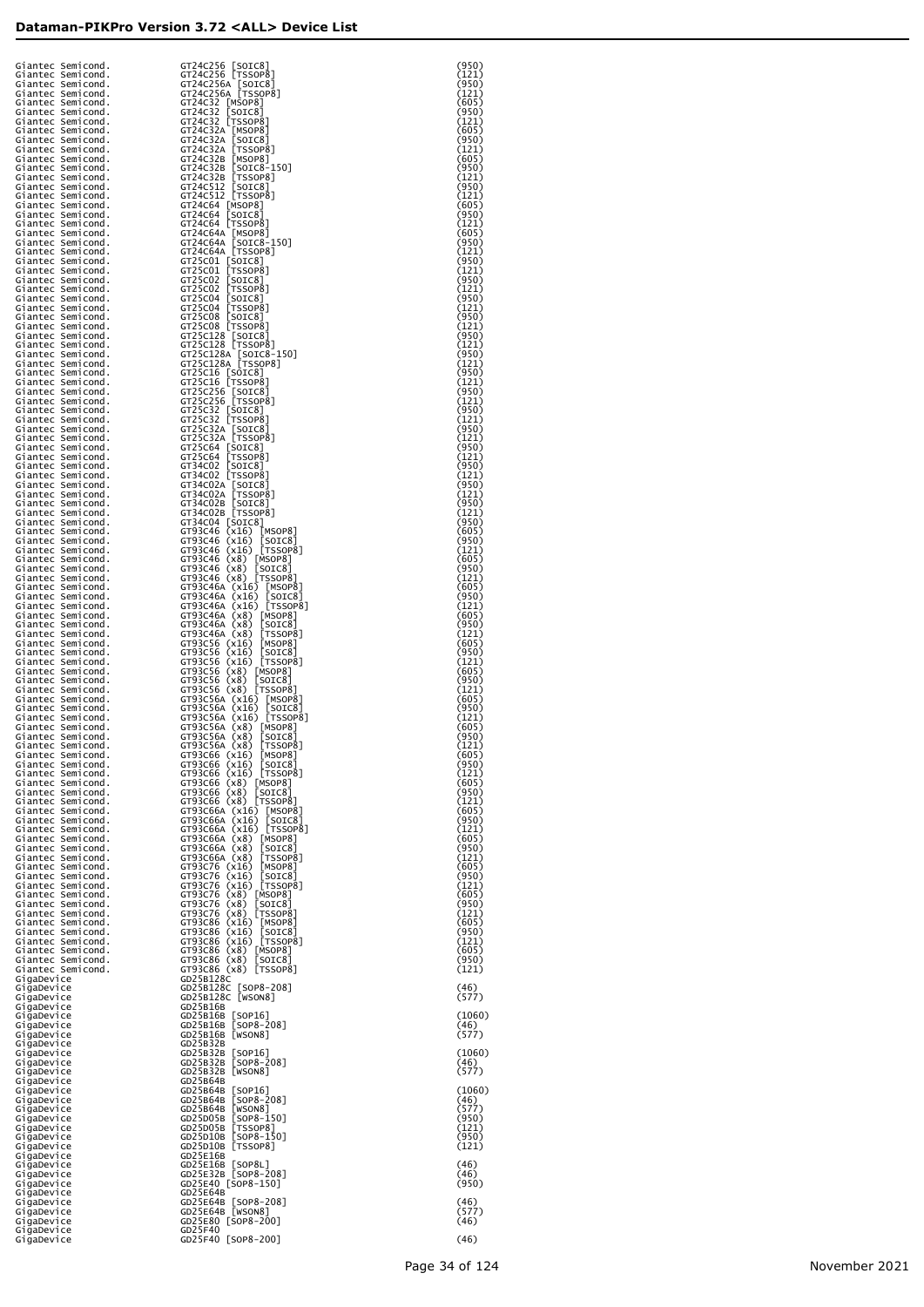|                                        |                                                                                                                                                                                                                                                                                                                                                                                                                              | (950)          |
|----------------------------------------|------------------------------------------------------------------------------------------------------------------------------------------------------------------------------------------------------------------------------------------------------------------------------------------------------------------------------------------------------------------------------------------------------------------------------|----------------|
|                                        |                                                                                                                                                                                                                                                                                                                                                                                                                              | (121)<br>(950) |
|                                        |                                                                                                                                                                                                                                                                                                                                                                                                                              | (121)          |
|                                        | $\begin{small} \textbf{G} \textbf{I} & \textbf{S} \textbf{I} & \textbf{S} \textbf{I} & \textbf{S} \textbf{I} & \textbf{S} \textbf{I} & \textbf{S} \textbf{I} & \textbf{S} \textbf{I} & \textbf{S} \textbf{I} & \textbf{S} \textbf{I} & \textbf{S} \textbf{I} & \textbf{S} \textbf{I} & \textbf{S} \textbf{I} & \textbf{S} \textbf{I} & \textbf{S} \textbf{I} & \textbf{S} \textbf{I} & \textbf{S} \textbf{I} & \textbf{S} \$ | (605)          |
|                                        |                                                                                                                                                                                                                                                                                                                                                                                                                              | (950)<br>(121) |
|                                        |                                                                                                                                                                                                                                                                                                                                                                                                                              | (605)          |
|                                        |                                                                                                                                                                                                                                                                                                                                                                                                                              | (950)          |
|                                        |                                                                                                                                                                                                                                                                                                                                                                                                                              | (121)<br>(605) |
|                                        |                                                                                                                                                                                                                                                                                                                                                                                                                              | (950)          |
|                                        |                                                                                                                                                                                                                                                                                                                                                                                                                              | (121)          |
|                                        |                                                                                                                                                                                                                                                                                                                                                                                                                              | (950)          |
|                                        |                                                                                                                                                                                                                                                                                                                                                                                                                              | (121)<br>(605) |
|                                        |                                                                                                                                                                                                                                                                                                                                                                                                                              | (950)          |
|                                        |                                                                                                                                                                                                                                                                                                                                                                                                                              | (121)          |
|                                        |                                                                                                                                                                                                                                                                                                                                                                                                                              | (605)<br>(950) |
|                                        |                                                                                                                                                                                                                                                                                                                                                                                                                              | (121)          |
|                                        |                                                                                                                                                                                                                                                                                                                                                                                                                              | (950)          |
|                                        |                                                                                                                                                                                                                                                                                                                                                                                                                              | (121)          |
|                                        |                                                                                                                                                                                                                                                                                                                                                                                                                              | (950)<br>(121) |
|                                        |                                                                                                                                                                                                                                                                                                                                                                                                                              | (950)          |
|                                        |                                                                                                                                                                                                                                                                                                                                                                                                                              | (121)          |
|                                        |                                                                                                                                                                                                                                                                                                                                                                                                                              | (950)<br>(121) |
|                                        |                                                                                                                                                                                                                                                                                                                                                                                                                              | (950)          |
|                                        |                                                                                                                                                                                                                                                                                                                                                                                                                              | (121)          |
|                                        |                                                                                                                                                                                                                                                                                                                                                                                                                              | (950)<br>(121) |
|                                        |                                                                                                                                                                                                                                                                                                                                                                                                                              | (950)          |
|                                        |                                                                                                                                                                                                                                                                                                                                                                                                                              | (121)          |
|                                        |                                                                                                                                                                                                                                                                                                                                                                                                                              | (950)          |
|                                        |                                                                                                                                                                                                                                                                                                                                                                                                                              | (121)<br>(950) |
|                                        |                                                                                                                                                                                                                                                                                                                                                                                                                              | (121)          |
|                                        |                                                                                                                                                                                                                                                                                                                                                                                                                              | (950)          |
|                                        |                                                                                                                                                                                                                                                                                                                                                                                                                              | (121)<br>(950) |
|                                        |                                                                                                                                                                                                                                                                                                                                                                                                                              | (121)          |
|                                        |                                                                                                                                                                                                                                                                                                                                                                                                                              | (950)          |
|                                        |                                                                                                                                                                                                                                                                                                                                                                                                                              | (121)<br>(950) |
|                                        |                                                                                                                                                                                                                                                                                                                                                                                                                              | (121)          |
|                                        |                                                                                                                                                                                                                                                                                                                                                                                                                              | (950)          |
|                                        |                                                                                                                                                                                                                                                                                                                                                                                                                              | (121)          |
|                                        |                                                                                                                                                                                                                                                                                                                                                                                                                              | (950)<br>(605) |
|                                        |                                                                                                                                                                                                                                                                                                                                                                                                                              | (950)          |
|                                        |                                                                                                                                                                                                                                                                                                                                                                                                                              | (121)          |
|                                        |                                                                                                                                                                                                                                                                                                                                                                                                                              | (605)<br>(950) |
|                                        |                                                                                                                                                                                                                                                                                                                                                                                                                              | (121)          |
|                                        |                                                                                                                                                                                                                                                                                                                                                                                                                              | (605)          |
|                                        |                                                                                                                                                                                                                                                                                                                                                                                                                              | (950)<br>(121) |
|                                        |                                                                                                                                                                                                                                                                                                                                                                                                                              | (605)          |
|                                        |                                                                                                                                                                                                                                                                                                                                                                                                                              | (950)          |
|                                        |                                                                                                                                                                                                                                                                                                                                                                                                                              | (121)<br>(605) |
|                                        |                                                                                                                                                                                                                                                                                                                                                                                                                              | (950)          |
|                                        |                                                                                                                                                                                                                                                                                                                                                                                                                              | (121)          |
|                                        |                                                                                                                                                                                                                                                                                                                                                                                                                              | (605)<br>(950) |
|                                        |                                                                                                                                                                                                                                                                                                                                                                                                                              | (121)          |
|                                        |                                                                                                                                                                                                                                                                                                                                                                                                                              | (605)          |
|                                        |                                                                                                                                                                                                                                                                                                                                                                                                                              | (950)          |
|                                        |                                                                                                                                                                                                                                                                                                                                                                                                                              | (121)<br>(605) |
|                                        |                                                                                                                                                                                                                                                                                                                                                                                                                              | (950)          |
|                                        |                                                                                                                                                                                                                                                                                                                                                                                                                              | (121)          |
| Giantec Semicond.<br>Giantec Semicond. | GT93C66 (x16) MSOP81<br>GT93C66 (x16) [SOIC8]                                                                                                                                                                                                                                                                                                                                                                                | (605)<br>(950) |
| Giantec Semicond.                      | GT93C66 (x16) [TSSOP8]                                                                                                                                                                                                                                                                                                                                                                                                       | (121)          |
| Giantec Semicond.                      | GT93C66 (x8) [MSOP8]                                                                                                                                                                                                                                                                                                                                                                                                         | (605)          |
| Giantec Semicond.<br>Giantec Semicond. | GT93C66 (x8) [SOIC8]<br>GT93C66 (x8) [TSSOP8]                                                                                                                                                                                                                                                                                                                                                                                | (950)<br>(121) |
| Giantec Semicond.                      | GT93C66A (x16) [MSOP8]                                                                                                                                                                                                                                                                                                                                                                                                       | (605)          |
| Giantec Semicond.                      | GT93C66A (x16) [SOIC8]<br>GT93C66A (x16) [TSSOP8]                                                                                                                                                                                                                                                                                                                                                                            | (950)          |
| Giantec Semicond.<br>Giantec Semicond. | GT93C66A (x8) [MSOP8]                                                                                                                                                                                                                                                                                                                                                                                                        | (121)<br>(605) |
| Giantec Semicond.                      | GT93C66A (x8)<br>[SOIC8]                                                                                                                                                                                                                                                                                                                                                                                                     | (950)          |
| Giantec Semicond.                      | GT93C66A (x8)<br>[TSSOP8]                                                                                                                                                                                                                                                                                                                                                                                                    | (121)          |
| Giantec Semicond.<br>Giantec Semicond. | GT93C76 (x16) [MSOP8]<br>GT93C76 (x16) [SOIC8]                                                                                                                                                                                                                                                                                                                                                                               | (605)<br>(950) |
| Giantec Semicond.                      | GT93C76 (x16) [TSSOP8]                                                                                                                                                                                                                                                                                                                                                                                                       | (121)          |
| Giantec Semicond.                      | GT93C76 (x8) [MSOP8]                                                                                                                                                                                                                                                                                                                                                                                                         | (605)          |
| Giantec Semicond.                      | GT93C76 (x8) [SOIC8]                                                                                                                                                                                                                                                                                                                                                                                                         | (950)          |
| Giantec Semicond.<br>Giantec Semicond. | GT93C76 (x8) [TSSOP8]<br>GT93C86 (x16) [MSOP8]                                                                                                                                                                                                                                                                                                                                                                               | (121)<br>(605) |
| Giantec Semicond.                      | GT93C86 (x16) [SOIC8]                                                                                                                                                                                                                                                                                                                                                                                                        | (950)          |
| Giantec Semicond.<br>Giantec Semicond. | GT93C86 (x16) [TSSOP8]                                                                                                                                                                                                                                                                                                                                                                                                       | (121)          |
| Giantec Semicond.                      | GT93C86 (x8) [MSOP8]<br>GT93C86 (x8) [SOIC8]                                                                                                                                                                                                                                                                                                                                                                                 | (605)<br>(950) |
| Giantec Semicond.                      | GT93C86 (x8) [TSSOP8]                                                                                                                                                                                                                                                                                                                                                                                                        | (121)          |
| GigaDevice                             | GD25B128C                                                                                                                                                                                                                                                                                                                                                                                                                    |                |
| GigaDevice<br>GigaDevice               | GD25B128C [SOP8-208]<br>GD25B128C [WSON8]                                                                                                                                                                                                                                                                                                                                                                                    | (46)<br>(577)  |
| GigaDevice                             | GD25B16B                                                                                                                                                                                                                                                                                                                                                                                                                     |                |
| GigaDevice                             | GD25B16B [SOP16]                                                                                                                                                                                                                                                                                                                                                                                                             | (1060)         |
| GigaDevice<br>GigaDevice               | GD25B16B [SOP8-208]<br>GD25B16B [WSON8]                                                                                                                                                                                                                                                                                                                                                                                      | (46)<br>(577)  |
| GigaDevice                             | GD25B32B                                                                                                                                                                                                                                                                                                                                                                                                                     |                |
| GigaDevice                             | GD25B32B [SOP16]                                                                                                                                                                                                                                                                                                                                                                                                             | (1060)         |
| GigaDevice<br>GigaDevice               | GD25B32B [SOP8-208]<br>GD25B32B [WSON8]                                                                                                                                                                                                                                                                                                                                                                                      | (46)<br>(577)  |
| GigaDevice                             | GD25B64B                                                                                                                                                                                                                                                                                                                                                                                                                     |                |
| GigaDevice                             | GD25B64B [SOP16]                                                                                                                                                                                                                                                                                                                                                                                                             | (1060)         |
| GigaDevice<br>GigaDevice               | GD25B64B [SOP8-208]<br>GD25B64B [WSON8]                                                                                                                                                                                                                                                                                                                                                                                      | (46)<br>(577)  |
| GigaDevice                             | GD25D05B [SOP8-150]                                                                                                                                                                                                                                                                                                                                                                                                          | (950)          |
| GigaDevice                             | GD25D05B [TSSOP8]                                                                                                                                                                                                                                                                                                                                                                                                            | (121)          |
| GigaDevice                             | GD25D10B [SOP8-150]<br>GD25D10B [TSSOP8]                                                                                                                                                                                                                                                                                                                                                                                     | (950)          |
| GigaDevice<br>GigaDevice               | GD25E16B                                                                                                                                                                                                                                                                                                                                                                                                                     | (121)          |
| GigaDevice                             | GD25E16B [SOP8L]<br>GD25E32B [SOP8-208]                                                                                                                                                                                                                                                                                                                                                                                      | (46)           |
| GigaDevice                             | GD25E40 [SOP8-150]                                                                                                                                                                                                                                                                                                                                                                                                           | (46)           |
| GigaDevice<br>GigaDevice               | GD25E64B                                                                                                                                                                                                                                                                                                                                                                                                                     | (950)          |
| GigaDevice                             | GD25E64B [SOP8-208]                                                                                                                                                                                                                                                                                                                                                                                                          | (46)           |
| GigaDevice                             | GD25E64B [WSON8]                                                                                                                                                                                                                                                                                                                                                                                                             | (577)          |
| GigaDevice<br>GigaDevice               | GD25E80 [SOP8-200]<br>GD25F40                                                                                                                                                                                                                                                                                                                                                                                                | (46)           |
| GigaDevice                             | GD25F40 [SOP8-200]                                                                                                                                                                                                                                                                                                                                                                                                           | (46)           |
|                                        |                                                                                                                                                                                                                                                                                                                                                                                                                              |                |

| (46) |  |
|------|--|
|      |  |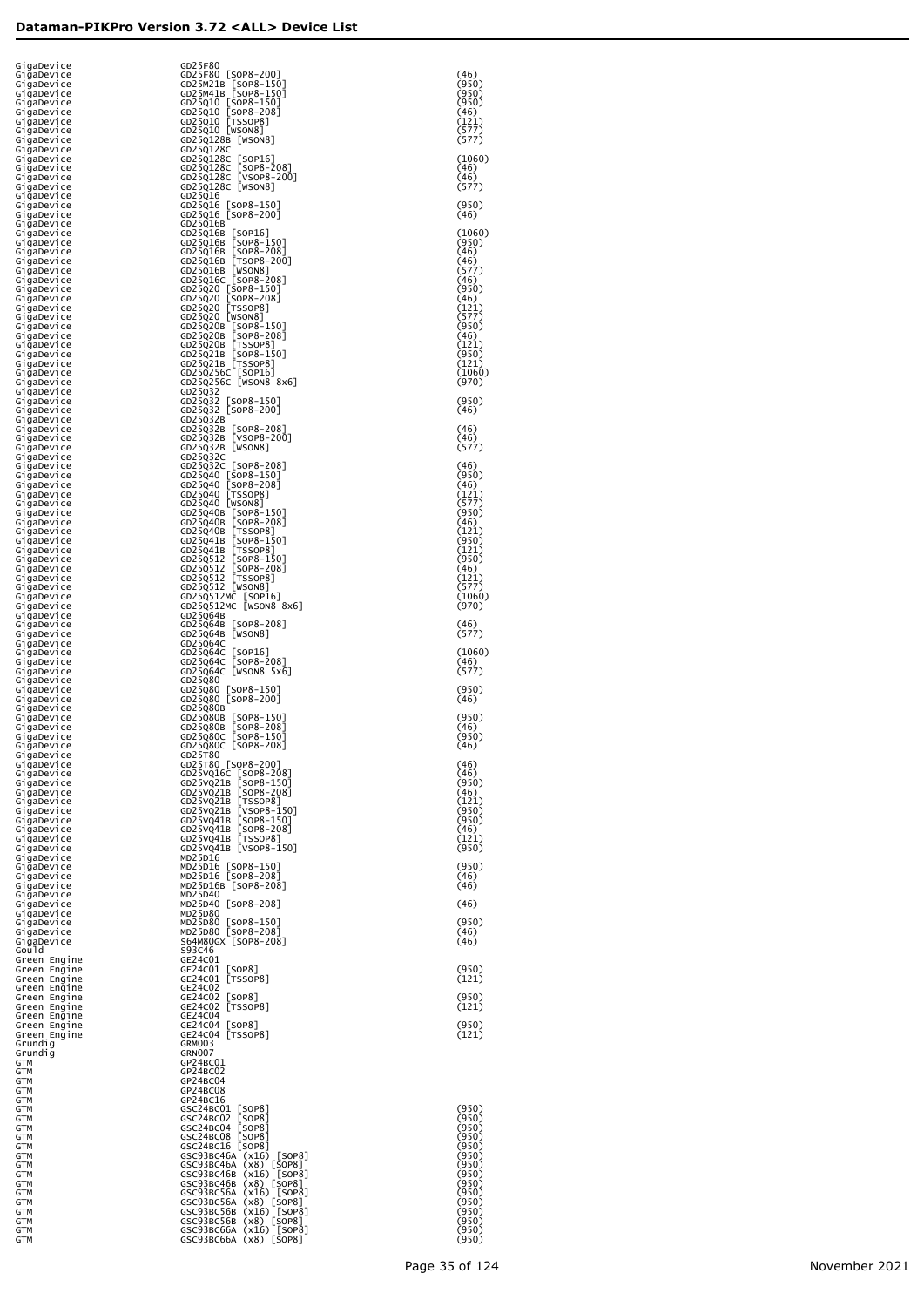| G1gaDev1ce<br>GigaDevice     | GD25F80<br>GD25F80 [SOP8-200]                                                                                                                                                                                                                      | (46)            |
|------------------------------|----------------------------------------------------------------------------------------------------------------------------------------------------------------------------------------------------------------------------------------------------|-----------------|
| GigaDevice<br>GigaDevice     | GD25M21B [SOP8-150]<br>GD25M41B [SOP8-150]                                                                                                                                                                                                         | (950)<br>(950)  |
| G1gaDev1ce<br>G1gaDev1ce     | GD25Q10 [SOP8-150]<br>GD25Q10 [SOP8-208]                                                                                                                                                                                                           | (950)<br>(46)   |
| G1gaDev1ce<br>G1gaDev1ce     | GD25010 [TSSOP8]<br>GD25010 [WSON8]                                                                                                                                                                                                                | (121)<br>(577)  |
| G1gaDev1ce<br>G1gaDev1ce     | GD25Q128B [WSON8]<br>GD25Q128C                                                                                                                                                                                                                     | (577)           |
| G1gaDev1ce<br>G1gaDev1ce     |                                                                                                                                                                                                                                                    | (1060)<br>(46)  |
| G1gaDev1ce<br>G1gaDev1ce     | GD250128C [SOP16]<br>GD250128C [SOP8-208]<br>GD250128C [VSOP8-200]<br>GD250128C [WSON8]                                                                                                                                                            | (46)<br>(577)   |
| G1gaDev1ce<br>G1gaDev1ce     | GD25Q16<br>GD25Q16 [SOP8-150]                                                                                                                                                                                                                      | (950)           |
| G1gaDev1ce<br>G1gaDev1ce     | GD25Q16 [SOP8-200]<br>GD25Q16B                                                                                                                                                                                                                     | (46)            |
| GigaDevice<br>GigaDevice     | GD25Q16B [SOP16]<br>GD25Q16B [SOP8-150]                                                                                                                                                                                                            | (1060)<br>(950) |
| GigaDevice<br>GigaDevice     | 00250168 [SOP8-150]<br>00250168 [SOP8-208]<br>00250168 [NSOP8-200]<br>00250168 [NSOP8-208]<br>0025020 [SOP8-150]<br>0025020 [NSOP8-150]<br>0025020 [NSOP8]<br>0025020 [NSOP8]<br>00250208 [SOP8-150]                                               | (46)<br>(46)    |
| GigaDevice<br>GigaDevice     |                                                                                                                                                                                                                                                    | (577)<br>(46)   |
| GigaDevice<br>GigaDevice     |                                                                                                                                                                                                                                                    | (950)<br>(46)   |
| GigaDevice<br>GigaDevice     |                                                                                                                                                                                                                                                    | (121)<br>(577)  |
| GigaDevice<br>GigaDevice     | GD25Q20B [SOP8-150]<br>GD25Q20B [SOP8-208]                                                                                                                                                                                                         | (950)<br>(46)   |
| GigaDevice<br>GigaDevice     | 00230208 [350P8-200]<br>GD25020B [350P8-150]<br>GD25021B [50P8-150]<br>GD25021B [7550P8]<br>GD250256C [SOP16]<br>GD250256C [WSON8 8x6]                                                                                                             | (121)<br>(950)  |
| GigaDevice<br>GigaDevice     |                                                                                                                                                                                                                                                    | (121)<br>(1060) |
| GigaDevice<br>GigaDevice     | GD25Q32                                                                                                                                                                                                                                            | (970)           |
| GigaDevice<br>GigaDevice     | GD25Q32<br>GD25Q32 [SOP8-150]<br>GD25Q32 [SOP8-200]                                                                                                                                                                                                | (950)<br>(46)   |
| GigaDevice<br>GigaDevice     | GD25Q32B                                                                                                                                                                                                                                           | (46)            |
| GigaDevice<br>GigaDevice     | GD25032B [SOP8-208]<br>GD25032B [VSOP8-200]<br>GD25Q32B [WSON8]                                                                                                                                                                                    | (46)<br>(577)   |
| GigaDevice<br>GigaDevice     | GD25Q32C                                                                                                                                                                                                                                           | (46)            |
| GigaDevice<br>GigaDevice     |                                                                                                                                                                                                                                                    | (950)<br>(46)   |
| GigaDevice                   | GD25Q32C [SOP8-208]<br>GD25Q40 [SOP8-150]<br>GD25Q40 [SOP8-208]<br>GD25Q40 [TSSOP8]<br>GD25Q40 [TSSOP8]<br>GD25Q40 [SOP8-150]                                                                                                                      | (121)<br>(577)  |
| GigaDevice<br>GigaDevice     |                                                                                                                                                                                                                                                    | (950)<br>(46)   |
| GigaDevice<br>GigaDevice     |                                                                                                                                                                                                                                                    | (121)<br>(950)  |
| GigaDevice<br>GigaDevice     |                                                                                                                                                                                                                                                    | (121)           |
| GigaDevice<br>GigaDevice     |                                                                                                                                                                                                                                                    | (950)<br>(46)   |
| GigaDevice<br>GigaDevice     | GD25040 [SOP8-150]<br>GD250408 [SOP8-150]<br>GD250408 [TSSOP8-208]<br>GD250408 [TSSOP8]<br>GD250418 [TSSOP8]<br>GD250512 [SOP8-150]<br>GD250512 [SOP8-208]<br>GD250512 [TSSOP8]<br>GD250512 [WSOP8-208]<br>GD250512 [WSOP8-08]<br>GD250512 [WSOP8] | (121)<br>(577)  |
| GigaDevice<br>GigaDevice     | GD25Q512MC [SOP16]<br>GD25Q512MC [WSON8 8x6]                                                                                                                                                                                                       | (1060)<br>(970) |
| GigaDevice<br>GigaDevice     | GD25Q64B<br>GD25Q64B [SOP8-208]                                                                                                                                                                                                                    | (46)            |
| GigaDevice<br>GigaDevice     | GD25Q64B [WSON8]<br>GD25Q64C                                                                                                                                                                                                                       | (577)           |
| GigaDevice<br>GigaDevice     | GD25Q64C<br>[SOP16]<br>[SOP8-208]<br>GD25Q64C                                                                                                                                                                                                      | (1060)<br>(46)  |
| GigaDevice<br>GigaDevice     | GD25064C [WSON8 5x6]<br>GD25Q80                                                                                                                                                                                                                    | (577)           |
| GigaDevice<br>GigaDevice     | GD25Q80 [SOP8-150]<br>GD25Q80 [SOP8-200]                                                                                                                                                                                                           | (950)<br>(46)   |
| GigaDevice<br>GigaDevice     | GD25Q80B<br>GD25Q80B<br>$[SOP8-150]$                                                                                                                                                                                                               | (950)           |
| GigaDevice<br>GigaDevice     | $[50P8-208]$<br>GD25Q80B<br>$[SOP8-150]$<br>GD25Q80C                                                                                                                                                                                               | (46)<br>(950)   |
| GiqaDevice<br>GigaDevice     | GD25Q80C [SOP8-208]<br>GD25T80                                                                                                                                                                                                                     | (46)            |
| GigaDevice<br>GigaDevice     | GD25T80 [SOP8-200]<br>GD25VQ16C<br>[SOP8-208]<br>[SOP8-150]                                                                                                                                                                                        | (46)<br>(46)    |
| GigaDevice<br>GigaDevice     | GD25VQ21B<br>$[SOP8 - 208]$<br>GD25VQ21B                                                                                                                                                                                                           | (950)<br>(46)   |
| GigaDevice<br>GigaDevice     | [TSSOP8]<br>GD25VQ21B<br>[VSOP8-150]<br>[SOP8-150]<br>GD25VQ21B                                                                                                                                                                                    | (121)<br>(950)  |
| GigaDevice<br>GigaDevice     | GD25VQ41B<br>$[50P8-208]$<br>GD25VQ41B                                                                                                                                                                                                             | (950)<br>(46)   |
| GigaDevice<br>GigaDevice     | GD25VQ41B<br>GD25VQ41B [VSOP8-150]                                                                                                                                                                                                                 | (121)<br>(950)  |
| GigaDevice<br>GigaDevice     | MD25D16<br>MD25D16 [SOP8-150]<br>MD25D16 [SOP8-208]                                                                                                                                                                                                | (950)           |
| GigaDevice<br>GigaDevice     | MD25D16B [SOP8-208]                                                                                                                                                                                                                                | (46)<br>(46)    |
| GigaDevice<br>GigaDevice     | MD25D40<br>MD25D40 [SOP8-208]                                                                                                                                                                                                                      | (46)            |
| GigaDevice<br>GigaDevice     | MD25D80<br>MD25D80 [SOP8-150]<br>MD25D80 [SOP8-208]                                                                                                                                                                                                | (950)           |
| GigaDevice<br>GigaDevice     | S64M80GX [SOP8-208]                                                                                                                                                                                                                                | (46)<br>(46)    |
| Gou I d<br>Green Engine      | S93C46<br>GE24C01                                                                                                                                                                                                                                  |                 |
| Green Engine<br>Green Engine | GE24CO1 [SOP8]<br>GE24CO1 [TSSOP8]                                                                                                                                                                                                                 | (950)<br>(121)  |
| Green Engine<br>Green Engine | GE24C02<br>GE24C02<br>$\lfloor$ SOP8                                                                                                                                                                                                               | (950)           |
| Green Engine<br>Green Engine | GE24C02 [TSSOP8]<br>GE24C04                                                                                                                                                                                                                        | (121)           |
| Green Engine<br>Green Engine | GE24C04 [SOP8]<br>GE24C04 [TSSOP8]                                                                                                                                                                                                                 | (950)<br>(121)  |
| Grundig<br>Grundig           | GRM003<br>GRN007                                                                                                                                                                                                                                   |                 |
| GTM<br>GTM                   | GP24BC01<br>GP24BC02                                                                                                                                                                                                                               |                 |
| GTM<br>GTM                   | GP24BC04<br>GP24BC08                                                                                                                                                                                                                               |                 |
| GTM<br>GTM                   | GP24BC16<br>GSC24BC01<br>$\lfloor$ SOP8 $\rfloor$                                                                                                                                                                                                  | (950)           |
| GTM<br>GTM                   | [SOP8]<br>GSC24BC02<br>[SOP8]<br>GSC24BC04                                                                                                                                                                                                         | (950)<br>(950)  |
| GTM<br>GTM                   | [SOP8]<br>GSC24BC08<br>GSC24BC16 [SOP8]                                                                                                                                                                                                            | (950)<br>(950)  |
| GTM<br>GTM                   | GSC93BC46A (x16) [SOP8]<br>GSC93BC46A (x8) [SOP8]                                                                                                                                                                                                  | (950)<br>(950)  |
| GTM<br>GTM                   | GSC93BC46B<br>$(x16)$ [SOP8]<br>$(x8)$ [SOP8]<br>GSC93BC46B                                                                                                                                                                                        | (950)<br>(950)  |
| GTM<br>GTM                   | GSC93BC56A<br>(x16) [SOP8]<br>(x8) [SOP8]<br>GSC93BC56A                                                                                                                                                                                            | (950)<br>(950)  |
| GTM<br>GTM                   | GSC93BC56B<br>$(x16)$ [SOP8]<br>$(x8)$ [sop8]<br>GSC93BC56B                                                                                                                                                                                        | (950)<br>(950)  |
| GTM<br>GTM                   | GSC93BC66A (x16) [SOP8]<br>GSC93BC66A (x8) [SOP8]                                                                                                                                                                                                  | (950)<br>(950)  |
|                              |                                                                                                                                                                                                                                                    |                 |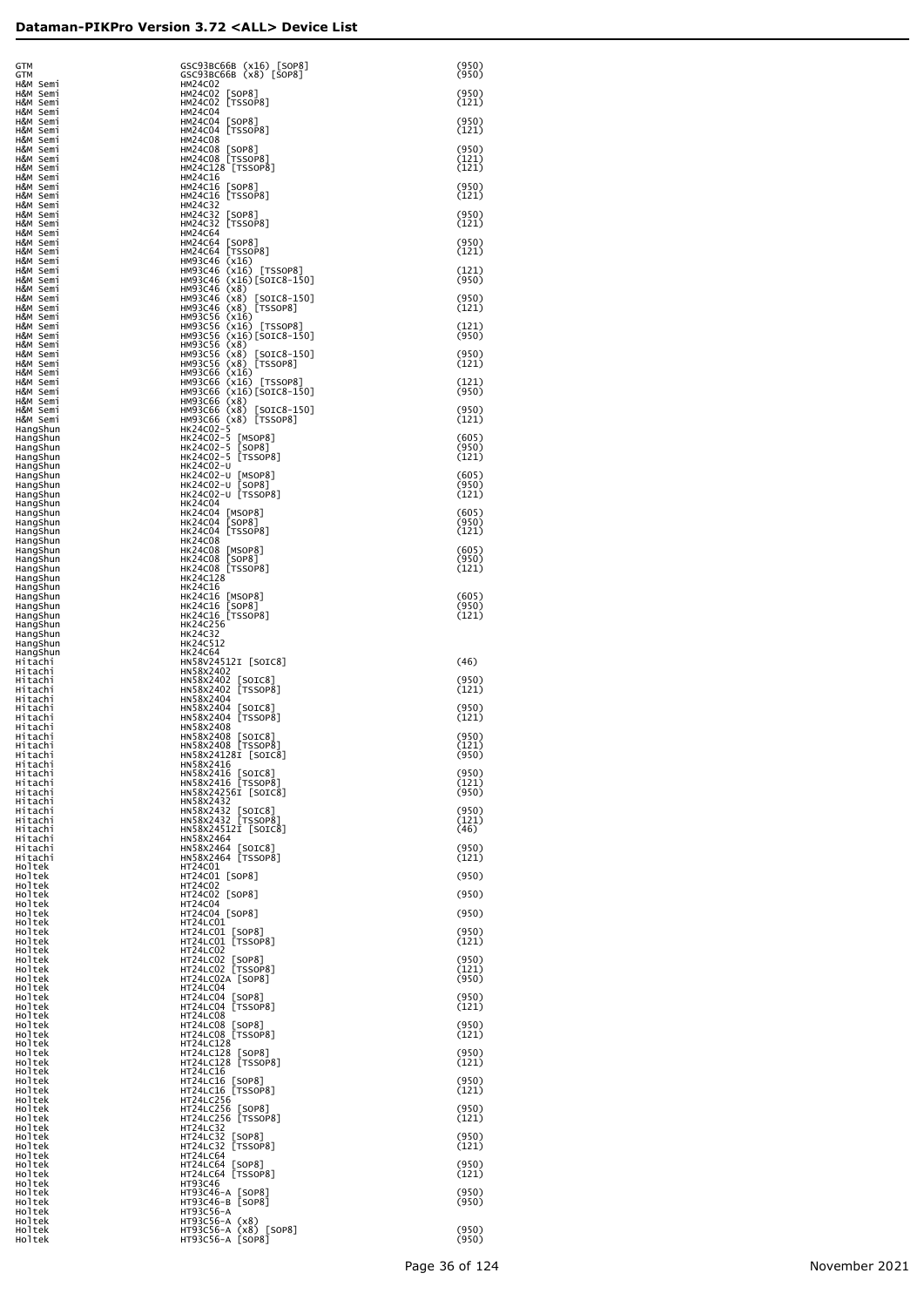| GTM<br>GTM                       | GSC93BC66B (x16) [SOP8]<br>GSC93BC66B (x8) [SOP8]                         | (950)<br>(950)          |
|----------------------------------|---------------------------------------------------------------------------|-------------------------|
| H&M Semi<br>H&M Semi<br>H&M Semi | <b>HM24C02</b><br>HM24C02 [SOP8]<br>HM24C02 [TSSOP8]                      | (950)<br>(121)          |
| H&M Semi<br>H&M Semi             | <b>HM24C04</b><br>HM24C04 [SOP8]                                          | (950)                   |
| H&M Semi<br>H&M Semi<br>H&M Semi | HM24C04 [TSSOP8]<br><b>HM24C08</b><br>HM24C08 [SOP8]                      | (121)<br>(950)          |
| H&M Semi<br>H&M Semi<br>H&M Semi | HM24C08 [TSSOP8]<br>HM24C128 [TSSOP8]<br>HM24C16                          | (121)<br>(121)          |
| H&M Semi<br>H&M Semi             | HM24C16 [SOP8]<br>HM24C16 [TSSOP8]                                        | (950)<br>(121)          |
| H&M Semi<br>H&M Semi<br>H&M Semi | <b>HM24C32</b><br>HM24C32 [SOP8]<br>HM24C32 [TSSOP8]                      | (950)<br>(121)          |
| H&M Semi<br>H&M Semi<br>H&M Semi | <b>HM24C64</b><br>HM24C64 [SOP8]<br>HM24C64 [TSSOP8]                      | (950)<br>(121)          |
| H&M Semi<br>H&M Semi             | HM93C46 (x16)<br>HM93C46 (x16) [TSSOP8]                                   | (121)<br>(950)          |
| H&M Semi<br>H&M Semi<br>H&M Semi | HM93C46 (x16)[SOIC8-150]<br>HM93C46 (x8)<br>HM93C46 (x8)<br>$[SOIC8-150]$ | (950)                   |
| H&M Semi<br>H&M Semi<br>H&M Semi | HM93C46 (x8) [TSSOP8]<br>HM93C56 (x16)<br>HM93C56 (x16) [TSSOP8]          | (121)<br>(121)          |
| H&M Semi<br>H&M Semi<br>H&M Semi | HM93C56 (x16)[SOIC8-150]<br>HM93C56 (x8)<br>HM93C56 (x8)<br>$[SOIC8-150]$ | (950)<br>(950)          |
| H&M Semi<br>H&M Semi             | HM93C56 (x8) [TSSOP8]<br>HM93C66 (x16)                                    | (121)                   |
| H&M Semi<br>H&M Semi<br>H&M Semi | HM93C66 (x16) [TSSOP8]<br>HM93C66 (x16)[SOIC8-150]<br>HM93C66 (x8)        | (121)<br>(950)          |
| H&M Semi<br>H&M Semi<br>HangShun | HM93C66 (x8) [SOIC8-150]<br>HM93C66 (x8) [TSSOP8]<br>HK24C02-5            | (950)<br>(121)          |
| HangShun<br>HangShun             | HK24C02-5 [MSOP8]<br>HK24C02-5 [SOP8]                                     | (605)<br>(950)          |
| HangShun<br>HangShun<br>HangShun | HK24C02-5 [TSSOP8]<br>HK24C02-U<br>HK24C02-U [MSOP8]                      | (121)<br>(605)          |
| HangShun<br>HangShun<br>HangShun | HK24C02-U [SOP8]<br>HK24C02-U [TSSOP8]<br><b>HK24C04</b>                  | (950)<br>(121)          |
| HangShun<br>HangShun             | HK24C04 [MSOP8]<br>HK24C04 [SOP8]                                         | (605)<br>(950)          |
| HangShun<br>HangShun<br>HangShun | HK24C04 [TSSOP8]<br><b>HK24C08</b><br>HK24C08 [MSOP8]                     | (121)<br>(605)          |
| HangShun<br>HangShun<br>HangShun | HK24C08 [SOP8]<br>HK24C08 [TSSOP8]<br>HK24C128                            | (950)<br>(121)          |
| HangShun<br>HangShun             | HK24C16<br>HK24C16 [MSOP8]<br>HK24C16 [SOP8]                              | (605)<br>(950)          |
| HangShun<br>HangShun<br>HangShun | HK24C16 [TSSOP8]<br>HK24C256                                              | (121)                   |
| HangShun<br>HangShun<br>HangShun | HK24C32<br>HK24C512<br><b>HK24C64</b>                                     |                         |
| Hitachi<br>Hitachi<br>Hitachi    | HN58V24512I [SOIC8]<br>HN58X2402<br>HN58X2402 [SOIC8]                     | (46)<br>(950)           |
| Hitachi<br>Hitachi               | HN58X2402 [TSSOP8]<br>HN58X2404                                           | (121)                   |
| Hitachi<br>Hitachi<br>Hitachi    | HN58X2404 [SOIC8]<br>HN58X2404 [TSSOP8]<br>HN58X2408                      | (950)<br>(121)          |
| Hitachi<br>Hitachi<br>Hitachi    | HN58X2408 [SOIC8]<br>HN58X2408 [TSSOP8]<br>HN58X24128I [SOIC8]            | (950)<br>(121)<br>(950) |
| Hitachi<br>Hitachi               | HN58X2416<br>HN58X2416 [SOIC8]<br>HN58X2416 [TSSOP8]                      | (950)                   |
| Hitachi<br>Hitachi<br>Hitachi    | HN58X24256I [SOIC8]<br>HN58X2432                                          | (121)<br>(950)          |
| Hitachi<br>Hitachi<br>Hitachi    | HN58X2432 [SOIC8]<br>HN58X2432 [TSSOP8]<br>HN58X24512I [SOIC8]            | (950)<br>(121)<br>(46)  |
| Hitachi<br>Hitachi<br>Hitachi    | HN58X2464<br>HN58X2464 [SOIC8]<br>HN58X2464 [TSSOP8]                      | (950)<br>(121)          |
| Holtek<br>Holtek                 | HT24C01<br>HT24C01 [SOP8]                                                 | (950)                   |
| Holtek<br>Holtek<br>Holtek       | HT24C02<br>HT24C02 [SOP8]<br>HT24C04                                      | (950)                   |
| Holtek<br>Holtek<br>Holtek       | HT24C04 [SOP8]<br>HT24LC01<br>HT24LC01 [SOP8]                             | (950)<br>(950)          |
| Holtek<br>Holtek                 | HT24LC01 [TSSOP8]<br>HT24LC02                                             | (121)                   |
| Holtek<br>Holtek<br>Holtek       | HT24LC02 [SOP8]<br>HT24LC02 [TSSOP8]<br>HT24LC02A [SOP8]                  | (950)<br>(121)<br>(950) |
| Holtek<br>Holtek<br>Holtek       | HT24LC04<br>HT24LC04 [SOP8]<br>HT24LC04 [TSSOP8]                          | (950)<br>(121)          |
| Holtek<br>Holtek<br>Holtek       | HT24LC08<br>HT24LC08 [SOP8]                                               | (950)                   |
| Holtek<br>Holtek                 | HT24LC08 [TSSOP8]<br>HT24LC128<br>HT24LC128 [SOP8]                        | (121)<br>(950)          |
| Holtek<br>Holtek<br>Holtek       | HT24LC128 [TSSOP8]<br><b>HT24LC16</b><br>HT24LC16 [SOP8]                  | (121)<br>(950)          |
| Holtek<br>Holtek<br>Holtek       | HT24LC16 [TSSOP8]<br>HT24LC256<br>HT24LC256 [SOP8]                        | (121)<br>(950)          |
| Holtek<br>Holtek                 | HT24LC256 [TSSOP8]<br><b>HT24LC32</b>                                     | (121)                   |
| Holtek<br>Holtek<br>Holtek       | HT24LC32 [SOP8]<br>HT24LC32 [TSSOP8]<br>HT24LC64                          | (950)<br>(121)          |
| Holtek<br>Holtek<br>Holtek       | HT24LC64 [SOP8]<br>HT24LC64 [TSSOP8]<br>HT93C46                           | (950)<br>(121)          |
| Holtek<br>Holtek                 | HT93C46-A [SOP8]<br>HT93C46-B [SOP8]                                      | (950)<br>(950)          |
| Holtek<br>Holtek<br>Holtek       | HT93C56-A<br>$HT93C56-A (x8)$<br>HT93C56-A (x8) [SOP8]                    | (950)                   |
| Holtek                           | HT93C56-A [SOP8]                                                          | (950)                   |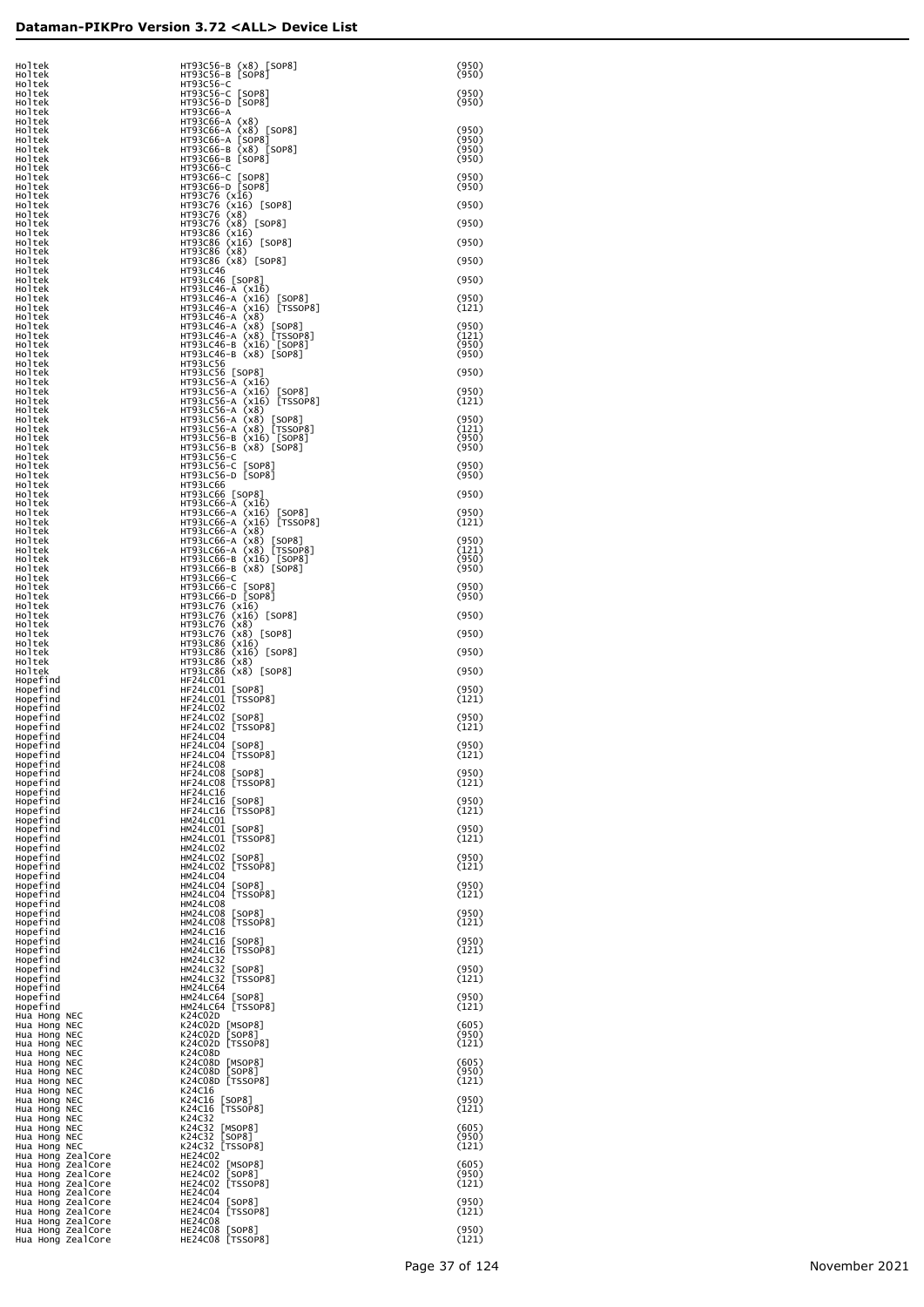| Holtek<br>Holtek                                                     | HT93C56-B (x8) [SOP8]                                                                                                                                                                                      | (950)<br>(950)          |
|----------------------------------------------------------------------|------------------------------------------------------------------------------------------------------------------------------------------------------------------------------------------------------------|-------------------------|
| Holtek<br>Holtek                                                     | HT93C56-B [SOP8]<br>HT93C56-C<br>HT93C56-C [SOP8]<br>HT93C56-D [SOP8]                                                                                                                                      | (950)                   |
| Holtek<br>Holtek<br>Holtek                                           | НТ93С66-А<br>HT93C66-A (x8)                                                                                                                                                                                | (950)                   |
| Holtek<br>Holtek                                                     | HT93C66-A (x8) [SOP8]<br>HT93C66-A [SOP8]                                                                                                                                                                  | (950)<br>(950)<br>(950) |
| Holtek<br>Holtek<br>Holtek                                           | НТ93С66-В (x8) [SOP8]<br>НТ93С66-В [SOP8]<br>HT93C66-C                                                                                                                                                     | (950)                   |
| Holtek<br>Holtek                                                     | HT93C66-C [SOP8]<br>HT93C66-D [SOP8]                                                                                                                                                                       | (950)<br>(950)          |
| Holtek<br>Holtek<br>Holtek                                           | HT93C76 (x16)<br>HT93C76 (x16) [SOP8]<br>HT93C76 (x8) [SOP8]<br>HT93C86 (x16) [SOP8]<br>HT93C86 (x16) [SOP8]<br>HT93C86 (x16) [SOP8]                                                                       | (950)                   |
| Holtek<br>Holtek<br>Holtek                                           |                                                                                                                                                                                                            | (950)<br>(950)          |
| Holtek<br>Holtek                                                     | HT93C86 (x8)<br>HT93C86 (x8) [SOP8]                                                                                                                                                                        | (950)                   |
| Holtek<br>Holtek<br>Holtek                                           | <b>HT93LC46</b><br>HT93LC46 [SOP8]<br>HT93LC46-A (x16)                                                                                                                                                     | (950)                   |
| Holtek<br>Holtek                                                     | HT93LC46-A (x16) [SOP8]<br>HT93LC46-A (x16) [TSSOP8]                                                                                                                                                       | (950)<br>(121)          |
| Holtek<br>Holtek<br>Holtek                                           | HT93LC46-A (x8)<br>HT93LC46-A (x8) [SOP8]<br>HT93LC46-A (x8) [TSSOP8]<br>HT93LC46-B (x16) [SOP8]                                                                                                           | (950)<br>(121)          |
| Holtek<br>Holtek                                                     | HT93LC46-B (x8) [SOP8]                                                                                                                                                                                     | (950)<br>(950)          |
| Holtek<br>Holtek<br>Holtek                                           | HT93LC56<br>HT93LC56 [SOP8]<br>HT93LC56-A (x16)                                                                                                                                                            | (950)                   |
| Holtek<br>Holtek                                                     | HT93LC56-A (x16) [SOP8]<br>HT93LC56-A (x16) [TSSOP8]                                                                                                                                                       | (950)<br>(121)          |
| Holtek<br>Holtek<br>Holtek                                           | HT93LC56-A (x8)<br>HT93LC56-A (x8) [SOP8]<br>HT93LC56-A (x8) [TSSOP8]                                                                                                                                      | (950)<br>(121)          |
| Holtek<br>Holtek                                                     | HT93LC56-B (x16) [SOP8]<br>HT93LC56-B (x8) [SOP8]<br>HT93LC56-C                                                                                                                                            | (950)<br>(950)          |
| Holtek<br>Holtek<br>Holtek                                           | HT93LC56-C [SOP8]<br>HT93LC56-D [SOP8]                                                                                                                                                                     | (950)<br>(950)          |
| Holtek<br>Holtek<br>Holtek                                           | HT93LC66<br>HT93LC66 [SOP8]<br>HT93LC66-A (x16)                                                                                                                                                            | (950)                   |
| Holtek<br>Holtek                                                     | HT93LC66-A (x16) [SOP8]<br>HT93LC66-A (x16) [TSSOP8]                                                                                                                                                       | (950)<br>(121)          |
| Holtek<br>Holtek<br>Holtek                                           | HT93LC66-A (x8)<br>HT93LC66-A (x8) [SOP8]<br>HT93LC66-A (x8) [TSSOP8]                                                                                                                                      | (950)<br>(121)          |
| Holtek<br>Holtek                                                     | HT93LC66-B (x16) [SOP8]<br>HT93LC66-B (x8) [SOP8]                                                                                                                                                          | (950)<br>(950)          |
| Holtek<br>Holtek<br>Holtek                                           | HT93LC66-C<br>HT93LC66-C [SOP8]<br>HT93LC66-D [SOP8]                                                                                                                                                       | (950)<br>(950)          |
| Holtek<br>Holtek                                                     |                                                                                                                                                                                                            | (950)                   |
| Holtek<br>Holtek<br>Holtek                                           |                                                                                                                                                                                                            | (950)                   |
| Holtek<br>Holtek<br>Holtek                                           | нт93LC76 (x16)<br>HT93LC76 (x16)<br>HT93LC76 (x16) [SOP8]<br>HT93LC76 (x8) [SOP8]<br>HT93LC86 (x16)<br>HT93LC86 (x16)<br>HT93LC86 (x8)<br>HT93LC86 (x8)<br>HT93LC86 (x8)<br>HT93LC86 (x8)<br>HT93LC86 (x8) | (950)<br>(950)          |
| Hopefind<br>Hopefind                                                 | HF24LC01<br>HF24LCO1 [SOP8]<br>HF24LCO1 [TSSOP8]                                                                                                                                                           | (950)                   |
| Hopefind<br>Hopefind<br>Hopefind                                     | HF24LC02                                                                                                                                                                                                   | (121)<br>(950)          |
| Hopefind<br>Hopefind                                                 | HF24LC02 [SOP8]<br>HF24LC02 [TSSOP8]<br>HF24LC04                                                                                                                                                           | (121)                   |
| Hopefind<br>Hopefind<br>Hopefind                                     | HF24LC04 [SOP8]<br>HF24LC04 [TSSOP8]<br>HF24LC08                                                                                                                                                           | (950)<br>(121)          |
| Hopefind<br>Hopefind                                                 | HF24LC08 [SOP8]<br>HF24LC08 [TSSOP8]                                                                                                                                                                       | (950)<br>(121)          |
| Hopefind<br>Hopefind<br>Hopefind                                     | HF24LC16<br>HF24LC16 [SOP8]<br>HF24LC16 [TSSOP8]                                                                                                                                                           | (950)<br>(121)          |
| Hopefind<br>Hopefind<br>Hopefind                                     | HM24LC01<br>HM24LC01 [SOP8]<br>HM24LC01 [TSSOP8]                                                                                                                                                           | (950)<br>(121)          |
| Hopefind<br>Hopefind                                                 | HM24LC02<br>HM24LC02 [SOP8]<br>HM24LC02 [TSSOP8]                                                                                                                                                           | (950)                   |
| Hopefind<br>Hopefind<br>Hopefind                                     | HM24LC04                                                                                                                                                                                                   | (121)<br>(950)          |
| Hopefind<br>Hopefind                                                 | HM24LC04 [SOP8]<br>HM24LC04 [TSSOP8]<br>HM24LC08                                                                                                                                                           | (121)                   |
| Hopefind<br>Hopefind<br>Hopefind                                     | HM24LC08 [SOP8]<br>HM24LC08 [TSSOP8]<br>HM24LC16                                                                                                                                                           | (950)<br>(121)          |
| Hopefind<br>Hopefind<br>Hopefind                                     | HM24LC16 [SOP8]<br>HM24LC16 [TSSOP8]<br><b>HM24LC32</b>                                                                                                                                                    | (950)<br>(121)          |
| Hopefind<br>Hopefind                                                 | HM24LC32 [SOP8]<br>HM24LC32 [TSSOP8]                                                                                                                                                                       | (950)<br>(121)          |
| Hopefind<br>Hopefind<br>Hopefind                                     | HM24LC64<br>HM24LC64 [SOP8]<br>HM24LC64 [TSSOP8]                                                                                                                                                           | (950)<br>(121)          |
| Hua Hong NEC<br>Hua Hong NEC                                         | K24C02D<br>K24C02D [MSOP8]                                                                                                                                                                                 | (605)                   |
| Hua Hong NEC<br>Hua Hong NEC<br>Hua Hong NEC                         | K24C02D [SOP8]<br>K24C02D [TSSOP8]<br>K24C08D                                                                                                                                                              | (950)<br>(121)          |
| Hua Hong NEC<br>Hua Hong NEC                                         | K24C08D [MSOP8]<br>K24C08D [SOP8]                                                                                                                                                                          | (605)<br>(950)          |
| Hua Hong NEC<br>Hua Hong NEC<br>Hua Hong NEC                         | K24C08D [TSSOP8]<br>K24C16<br>K24C16 [SOP8]                                                                                                                                                                | (121)<br>(950)          |
| Hua Hong NEC<br>Hua Hong NEC<br>Hua Hong NEC                         | K24C16 [TSSOP8]<br>K24C32<br>K24C32 [MSOP8]                                                                                                                                                                | (121)<br>(605)          |
| Hua Hong NEC<br>Hua Hong NEC                                         | K24C32 [SOP8]<br>K24C32 [TSSOP8]                                                                                                                                                                           | (950)<br>(121)          |
| Hua Hong ZealCore<br>Hua Hong ZealCore<br>Hua Hong ZealCore          | <b>HE24C02</b><br>HE24C02 [MSOP8]<br>HE24C02 [SOP8]                                                                                                                                                        | (605)<br>(950)          |
| Hua Hong ZealCore<br>Hua Hong ZealCore                               | HE24C02 [TSSOP8]<br><b>HE24C04</b>                                                                                                                                                                         | (121)                   |
| Hua Hong ZealCore<br>Hua Hong ZealCore<br>Hua Hong Zea <u>l</u> Core | HE24C04 [SOP8]<br>HE24C04 [TSSOP8]<br><b>HE24C08</b>                                                                                                                                                       | (950)<br>(121)          |
| Hua Hong ZealCore<br>Hua Hong ZealCore                               | HE24C08 [SOP8]<br>HE24C08 [TSSOP8]                                                                                                                                                                         | (950)<br>(121)          |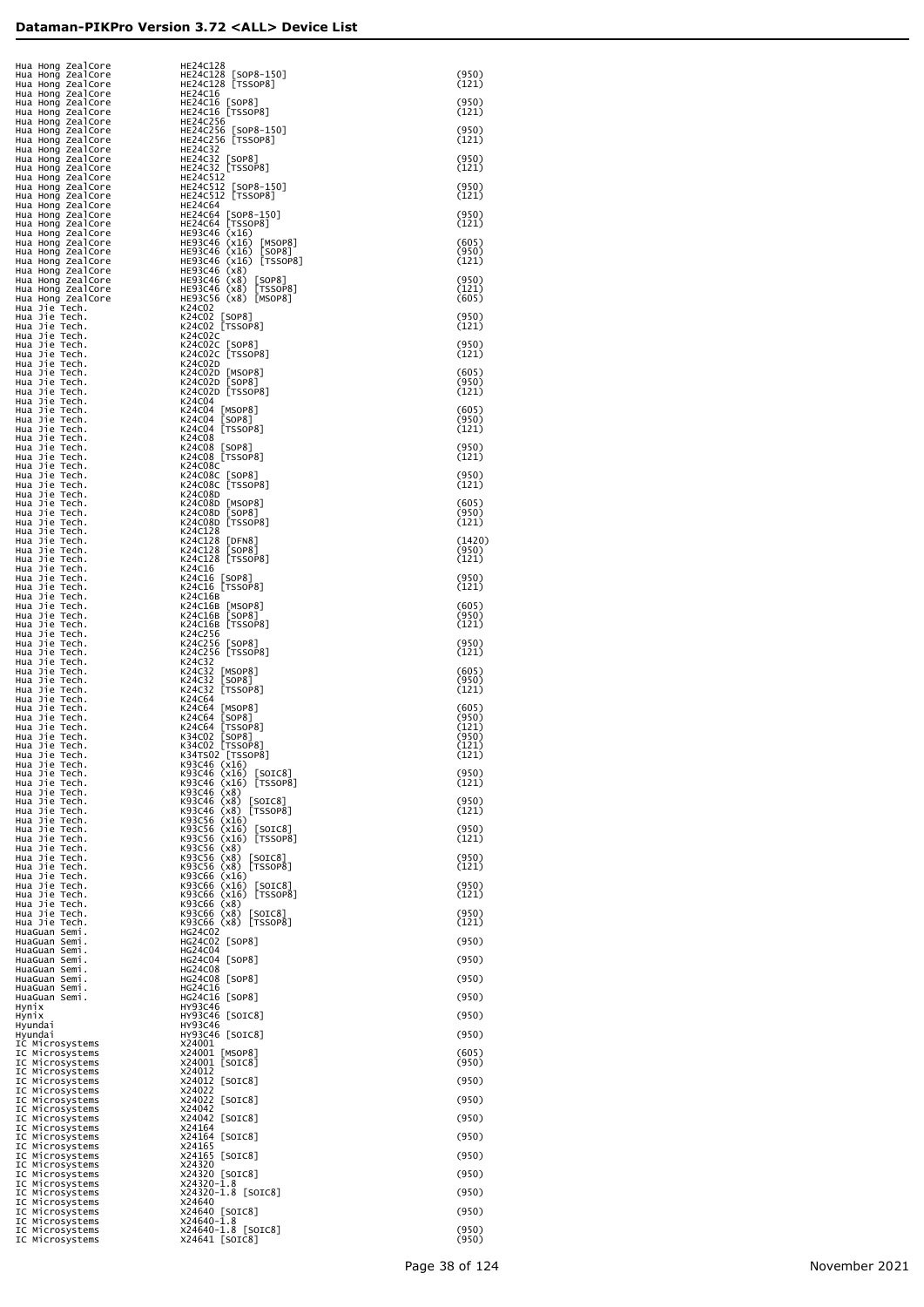| Hua Hong ZealCore<br>Hua Hong ZealCore<br>Hua Hong ZealCore<br>Hua Hong ZealCore<br>Hua Hong ZealCore<br>Hua Hong ZealCore                                                                                                                               | HE24C128<br>HE24C128 [SOP8-150]<br>HE24C128 [TSSOP8]         | (950)<br>(121)           |
|----------------------------------------------------------------------------------------------------------------------------------------------------------------------------------------------------------------------------------------------------------|--------------------------------------------------------------|--------------------------|
| Hua Hong ZealCore                                                                                                                                                                                                                                        | HE24C16<br>HE24C16 [SOP8]                                    | (950)                    |
| Hua Hong ZealCore                                                                                                                                                                                                                                        | HE24C16 [TSSOP8]<br>HE24C256<br>HE24C256 [SOP8-150]          | (121)<br>(950)           |
|                                                                                                                                                                                                                                                          | HE24C256 [TSSOP8]<br><b>HE24C32</b>                          | (121)                    |
|                                                                                                                                                                                                                                                          | HE24C32 [SOP8]<br>HE24C32 [TSSOP8]                           | (950)<br>(121)           |
| Hua Hong ZealCore<br>Hua Hong ZealCore<br>Hua Hong ZealCore<br>Hua Hong ZealCore<br>Hua Hong ZealCore<br>Hua Hong ZealCore<br>Hua Hong ZealCore<br>Hua Hong ZealCore<br>Hua Hong ZealCore<br>Hua Hong ZealCore<br>Hua Hong ZealCore<br>Hua Hong ZealCore |                                                              | (950)<br>(121)           |
|                                                                                                                                                                                                                                                          |                                                              | (950)<br>(121)           |
|                                                                                                                                                                                                                                                          |                                                              | (605)                    |
|                                                                                                                                                                                                                                                          |                                                              | (950)<br>(121)           |
|                                                                                                                                                                                                                                                          |                                                              | (950)<br>(121)<br>(605)  |
| ua Hong Zealcore<br>ua Hong Zealcore<br>ua Hong Zealcore<br>ua Hong Zealcore<br>ua Hong Zealcore<br>ua Hong Zealcore<br>lua Hong Zealcore<br>lua Hong Zealcore<br>lua Hong Zealcore<br>in Hong Zealcore<br>en HE93C46 (x16) [7550rv-101 Hong Zealc       |                                                              | (950)                    |
|                                                                                                                                                                                                                                                          |                                                              | (121)<br>(950)           |
|                                                                                                                                                                                                                                                          |                                                              | (121)                    |
|                                                                                                                                                                                                                                                          |                                                              | (605)<br>(950)<br>(121)  |
|                                                                                                                                                                                                                                                          |                                                              | (605)<br>(950)           |
| Hua Jie Tech.                                                                                                                                                                                                                                            | K24C08                                                       | (121)                    |
| Hua Jie Tech.<br>Hua Jie Tech.<br>Hua Jie Tech.                                                                                                                                                                                                          | K24C08 [SOP8]<br>K24C08 [TSSOP8]<br>K24C08C                  | (950)<br>(121)           |
| Hua Jie Tech.<br>Hua Jie Tech.                                                                                                                                                                                                                           | K24C08C [SOP8]<br>K24C08C [TSSOP8]                           | (950)<br>(121)           |
| Hua Jie Tech.<br>Hua Jie Tech.<br>Hua Jie Tech.                                                                                                                                                                                                          | K24C08D<br>K24C08D [MSOP8]<br>K24C08D [SOP8]                 | (605)<br>(950)           |
| Hua Jie Tech.<br>Hua Jie Tech.                                                                                                                                                                                                                           | K24C08D [TSSOP8]<br>K24C128                                  | (121)                    |
| Hua Jie Tech.<br>Hua Jie Tech.<br>Hua Jie Tech.                                                                                                                                                                                                          | K24C128 [DFN8]<br>K24C128 [SOP8]<br>K24C128 [TSSOP8]         | (1420)<br>(950)<br>(121) |
| Hua Jie Tech.<br>Hua Jie Tech.<br>Hua Jie Tech.                                                                                                                                                                                                          | K24C16<br>K24C16 [SOP8]<br>K24C16 [TSSOP8]                   | (950)<br>(121)           |
| Hua Jie Tech.<br>Hua Jie Tech.                                                                                                                                                                                                                           | K24C16B<br>K24C16B [MSOP8]                                   | (605)                    |
| Hua Jie Tech.<br>Hua Jie Tech.<br>Hua Jie Tech.                                                                                                                                                                                                          | K24C16B [SOP8]<br>K24C16B [TSSOP8]<br>K24C256                | (950)<br>(121)           |
| Hua Jie Tech.<br>Hua Jie Tech.                                                                                                                                                                                                                           | K24C256 [SOP8]<br>K24C256 [TSSOP8]                           | (950)<br>(121)           |
| Hua Jie Tech.<br>Hua Jie Tech.<br>Hua Jie Tech.                                                                                                                                                                                                          | K24C32<br>K24C32 [MSOP8]<br>K24C32 [SOP8]                    | (605)<br>(950)           |
| Hua Jie Tech.<br>Hua Jie Tech.<br>Hua Jie Tech.                                                                                                                                                                                                          | K24C32 [TSSOP8]<br>K24C64<br>K24C64 [MSOP8]                  | (121)<br>(605)           |
| Hua Jie Tech.<br>Hua Jie Tech.                                                                                                                                                                                                                           | K24C64 [SOP8]<br>K24C64 [TSSOP8]                             | (950)<br>(121)           |
| Hua Jie Tech.<br>Hua Jie Tech.<br>Hua Jie Tech.                                                                                                                                                                                                          | K34C02 [SOP8]<br>K34C02 [TSSOP8]<br>K34TS02 [TSSOP8]         | (950)<br>(121)<br>(121)  |
| Hua Jie Tech.<br>Hua Jie Tech.                                                                                                                                                                                                                           | K93C46 (x16)<br>K93C46 (x16) [SOIC8]                         | (950)                    |
| Hua Jie Tech.<br>Hua Jie Tech.<br>Hua Jie Tech.                                                                                                                                                                                                          | K93C46 (x16) [TSSOP8]<br>K93C46 (x8)<br>K93C46 (x8) [SOIC8]  | (121)<br>(950)           |
| Hua Jie Tech.<br>Hua Jie Tech.                                                                                                                                                                                                                           | K93C46 (x8) [TSSOP8]<br>K93C56 (x16)                         | (121)<br>(950)           |
| Hua Jie Tech.<br>Hua Jie Tech.<br>Hua Jie Tech.                                                                                                                                                                                                          | K93C56 (x16) [SOIC8]<br>K93C56 (x16) [TSSOP8]<br>K93C56 (x8) | (121)                    |
| Hua Jie Tech.<br>Hua Jie Tech.<br>Hua Jie Tech.                                                                                                                                                                                                          | K93C56 (x8) [SOIC8]<br>K93C56 (x8) [TSSOP8]<br>K93C66 (x16)  | (950)<br>(121)           |
| Hua Jie Tech.<br>Hua Jie Tech.                                                                                                                                                                                                                           | K93C66 (x16) [SOIC8]<br>K93C66 (x16) [TSSOP8]                | (950)<br>(121)           |
| Hua Jie Tech.<br>Hua Jie Tech.<br>Hua Jie Tech.                                                                                                                                                                                                          | K93C66 (x8)<br>K93C66 (x8) [SOIC8]<br>K93C66 (x8) [TSSOP8]   | (950)<br>(121)           |
| HuaGuan Semi.<br>HuaGuan Semi.                                                                                                                                                                                                                           | HG24C02<br>HG24C02 [SOP8]<br>HG24C04                         | (950)                    |
| HuaGuan Semi.<br>HuaGuan Semi.<br>HuaGuan Semi.                                                                                                                                                                                                          | HG24C04 [SOP8]<br>HG24C08                                    | (950)                    |
| HuaGuan Semi.<br>HuaGuan Semi.<br>HuaGuan Semi.                                                                                                                                                                                                          | HG24C08 [SOP8]<br>HG24C16<br>HG24C16 [SOP8]                  | (950)<br>(950)           |
| Hynıx<br>Hynix                                                                                                                                                                                                                                           | <b>HY93C46</b><br>HY93C46 [SOIC8]                            | (950)                    |
| Hyundai<br>Hyundai<br>IC Microsystems                                                                                                                                                                                                                    | <b>HY93C46</b><br>HY93C46 [SOIC8]<br>X24001                  | (950)                    |
| IC Microsystems<br>IC Microsystems                                                                                                                                                                                                                       | X24001 [MSOP8]<br>X24001 [SOIC8]                             | (605)<br>(950)           |
| IC Microsystems<br>IC Microsystems<br>IC Microsystems                                                                                                                                                                                                    | X24012<br>X24012 [SOIC8]<br>X24022                           | (950)                    |
| IC Microsystems<br>IC Microsystems<br>IC Microsystems                                                                                                                                                                                                    | X24022 [SOIC8]<br>X24042<br>X24042 [SOIC8]                   | (950)<br>(950)           |
| IC Microsystems<br>IC Microsystems                                                                                                                                                                                                                       | X24164<br>X24164 [SOIC8]                                     | (950)                    |
| IC Microsystems<br>IC Microsystems<br>IC Microsystems                                                                                                                                                                                                    | X24165<br>X24165 [SOIC8]<br>X24320                           | (950)                    |
| IC Microsystems<br>IC Microsystems                                                                                                                                                                                                                       | X24320 [SOIC8]<br>X24320-1.8                                 | (950)                    |
| IC Microsystems<br>IC Microsystems<br>IC Microsystems                                                                                                                                                                                                    | X24320-1.8 [SOIC8]<br>X24640<br>X24640 [SOIC8]               | (950)<br>(950)           |
| IC Microsystems<br>IC Microsystems<br>IC Microsystems                                                                                                                                                                                                    | X24640-1.8<br>X24640-1.8 [SOIC8]<br>X24641 [SOIC8]           | (950)<br>(950)           |
|                                                                                                                                                                                                                                                          |                                                              |                          |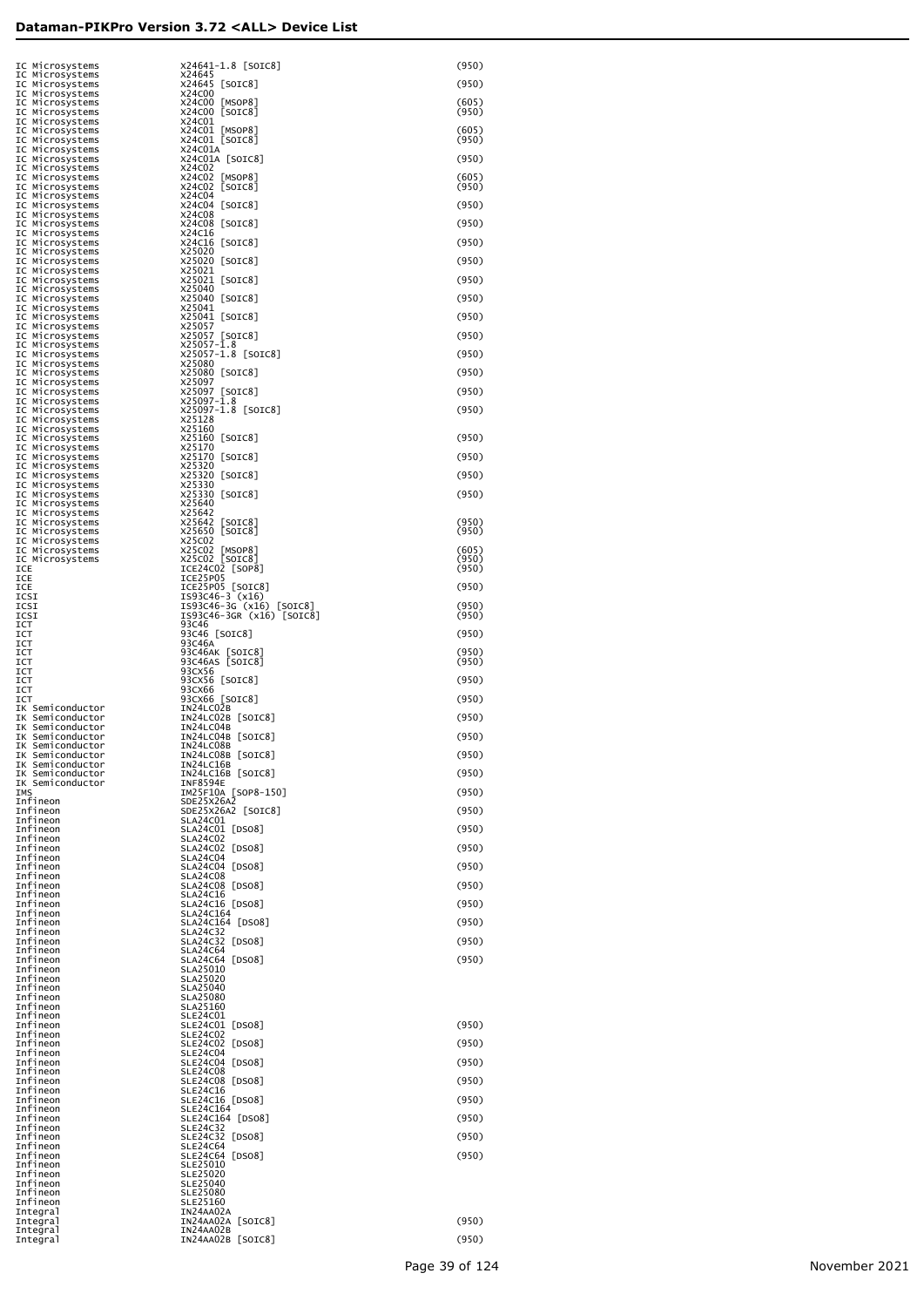|                                                                                                                                                                                                                                                                       | X24641-1.8 [SOIC8]<br>X24645                        | (950)          |
|-----------------------------------------------------------------------------------------------------------------------------------------------------------------------------------------------------------------------------------------------------------------------|-----------------------------------------------------|----------------|
|                                                                                                                                                                                                                                                                       | X24645 [SOIC8]                                      | (950)          |
|                                                                                                                                                                                                                                                                       | X24C00<br>X24C00 [MSOP8]                            | (605)          |
|                                                                                                                                                                                                                                                                       | X24C00 [SOIC8]<br>X24C01                            | (950)          |
|                                                                                                                                                                                                                                                                       | X24CO1 [MSOP8]<br>X24CO1 [SOIC8]                    | (605)<br>(950) |
|                                                                                                                                                                                                                                                                       | X24C01A<br>X24C01A [SOIC8]                          | (950)          |
|                                                                                                                                                                                                                                                                       | X24C02                                              |                |
|                                                                                                                                                                                                                                                                       | X24C02<br>[MSOP8]<br>X24C02 [SOIC8]                 | (605)<br>(950) |
|                                                                                                                                                                                                                                                                       | X24C04<br>X24C04 [SOIC8]                            | (950)          |
|                                                                                                                                                                                                                                                                       | X24C08<br>X24C08 [SOIC8]                            | (950)          |
|                                                                                                                                                                                                                                                                       | X24C16<br>X24C16 [SOIC8]                            | (950)          |
|                                                                                                                                                                                                                                                                       | X25020<br>X25020 [SOIC8]                            | (950)          |
|                                                                                                                                                                                                                                                                       | X25021                                              |                |
|                                                                                                                                                                                                                                                                       | X25021 [SOIC8]<br>X25040                            | (950)          |
|                                                                                                                                                                                                                                                                       | X25040 [SOIC8]<br>X25041                            | (950)          |
|                                                                                                                                                                                                                                                                       | X25041 [SOIC8]<br>X25057                            | (950)          |
|                                                                                                                                                                                                                                                                       | X25057 [SOIC8]<br>$X25057 - \bar{1}.8$              | (950)          |
|                                                                                                                                                                                                                                                                       | X25057-1.8 [SOIC8]<br>X25080                        | (950)          |
|                                                                                                                                                                                                                                                                       | X25080 [SOIC8]<br>X25097                            | (950)          |
|                                                                                                                                                                                                                                                                       | x25097 [SOIC8]<br>x25097-1.8                        | (950)          |
|                                                                                                                                                                                                                                                                       | X25097-1.8 [SOIC8]                                  | (950)          |
|                                                                                                                                                                                                                                                                       | X25128<br>X25160                                    |                |
|                                                                                                                                                                                                                                                                       | X25160 [SOIC8]<br>X25170                            | (950)          |
|                                                                                                                                                                                                                                                                       | X25170 [SOIC8]<br>X25320                            | (950)          |
|                                                                                                                                                                                                                                                                       | X25320 [SOIC8]<br>X25330                            | (950)          |
|                                                                                                                                                                                                                                                                       | X25330 [SOIC8]<br>X25640                            | (950)          |
|                                                                                                                                                                                                                                                                       | X25642                                              | (950)          |
| IC Microsystems<br>IC Microsystems<br>IC Microsystems<br>IC Microsystems<br>IC Microsystems<br>IC Microsystems<br>IC Microsystems<br>IC Microsystems<br>IC Microsystems<br>IC Microsystems<br>IC Microsystems<br>IC Microsystems<br>IC Microsystems<br>IC Microsystem | X25642 [SOIC8]<br>X25650 [SOIC8]                    | (950)          |
|                                                                                                                                                                                                                                                                       | X25C02<br>X25C02 [MSOP8]<br>X25C02 [SOIC8]          | (605)          |
| ICE                                                                                                                                                                                                                                                                   | ICE24C02 [SOP8]                                     | (950)<br>(950) |
| ICE<br>ICE                                                                                                                                                                                                                                                            | ICE25P05<br>ICE25P05 [SOIC8]                        | (950)          |
| ICSI<br>ICSI                                                                                                                                                                                                                                                          | IS93C46-3 (x16)<br>IS93C46-3G (x16) [SOIC8]         | (950)          |
| ICSI<br>ICT<br>ICT                                                                                                                                                                                                                                                    | IS93C46-3GR (x16) [SOIC8]<br>93C46<br>93C46 [SOIC8] | (950)<br>(950) |
| ICT<br>ICT                                                                                                                                                                                                                                                            | 93C46A                                              | (950)          |
| ICT<br>ICT                                                                                                                                                                                                                                                            | 93C46AK [SOIC8]<br>93C46AS [SOIC8]<br>93CX56        | (950)          |
| ICT<br>ICT                                                                                                                                                                                                                                                            | 93CX56 [SOIC8]<br>93CX66                            | (950)          |
| ICT<br>IK Semiconductor                                                                                                                                                                                                                                               | 93CX66 [SOIC8]<br>IN24LC02B                         | (950)          |
| IK Semiconductor<br>IK Semiconductor                                                                                                                                                                                                                                  | IN24LC02B [SOIC8]<br>IN24LC04B                      | (950)          |
| IK Semiconductor                                                                                                                                                                                                                                                      | IN24LC04B [SOIC8]                                   | (950)          |
| IK Semiconductor<br>IK Semiconductor                                                                                                                                                                                                                                  | IN24LC08B<br>IN24LC08B [SOIC8]                      | (950)          |
| IK Semiconductor<br>IK Semiconductor                                                                                                                                                                                                                                  | IN24LC16B<br>IN24LC16B [SOIC8]                      | (950)          |
| IK Semiconductor<br>IMS                                                                                                                                                                                                                                               | INF8594E<br>IM25F10A [SOP8-150]                     | (950)          |
| Infineon<br>Infineon                                                                                                                                                                                                                                                  | SDE25X26A2<br>SDE25X26A2 [SOIC8]                    | (950)          |
| Infineon<br>Infineon                                                                                                                                                                                                                                                  | SLA24C01<br>SLA24C01 [DS08]                         | (950)          |
| Infineon<br>Infineon                                                                                                                                                                                                                                                  | <b>SLA24C02</b><br>SLA24C02 [DS08]                  | (950)          |
| Infineon<br>Infineon                                                                                                                                                                                                                                                  | <b>SLA24C04</b><br>SLA24C04<br>[DSO8]               | (950)          |
| Infineon                                                                                                                                                                                                                                                              | <b>SLA24C08</b><br>SLA24C08 [DS08]                  |                |
| Infineon<br>Infineon                                                                                                                                                                                                                                                  | SLA24C16                                            | (950)          |
| Infineon<br>Infineon                                                                                                                                                                                                                                                  | SLA24C16 [DSO8]<br>SLA24C164                        | (950)          |
| Infineon<br>Infineon                                                                                                                                                                                                                                                  | SLA24C164 [DS08]<br><b>SLA24C32</b>                 | (950)          |
| Infineon<br>Infineon                                                                                                                                                                                                                                                  | SLA24C32<br>[DSO8]<br><b>SLA24C64</b>               | (950)          |
| Infineon<br>Infineon                                                                                                                                                                                                                                                  | SLA24C64<br>[DSO8]<br>SLA25010                      | (950)          |
| Infineon<br>Infineon                                                                                                                                                                                                                                                  | SLA25020<br><b>SLA25040</b>                         |                |
| Infineon<br>Infineon                                                                                                                                                                                                                                                  | <b>SLA25080</b><br>SLA25160                         |                |
| Infineon<br>Infineon                                                                                                                                                                                                                                                  | SLE24C01<br>SLE24C01 [DS08]                         | (950)          |
| Infineon                                                                                                                                                                                                                                                              | SLE24C02                                            |                |
| Infineon<br>Infineon                                                                                                                                                                                                                                                  | SLE24C02<br>[DSO8]<br><b>SLE24C04</b>               | (950)          |
| Infineon<br>Infineon                                                                                                                                                                                                                                                  | SLE24C04<br>[DSO8]<br>SLE24C08                      | (950)          |
| Infineon<br>Infineon                                                                                                                                                                                                                                                  | SLE24C08 [DS08]<br>SLE24C16                         | (950)          |
| Infineon<br>Infineon                                                                                                                                                                                                                                                  | SLE24C16 [DS08]<br>SLE24C164                        | (950)          |
| Infineon<br>Infineon                                                                                                                                                                                                                                                  | SLE24C164 [DS08]<br><b>SLE24C32</b>                 | (950)          |
| Infineon<br>Infineon                                                                                                                                                                                                                                                  | SLE24C32<br>[DSO8]<br><b>SLE24C64</b>               | (950)          |
| Infineon<br>Infineon                                                                                                                                                                                                                                                  | SLE24C64<br>[DSO8]<br>SLE25010                      | (950)          |
| Infineon                                                                                                                                                                                                                                                              | SLE25020                                            |                |
| Infineon<br>Infineon                                                                                                                                                                                                                                                  | SLE25040<br>SLE25080                                |                |
| Infineon<br>Integral                                                                                                                                                                                                                                                  | SLE25160<br>IN24AA02A                               |                |
| Integral                                                                                                                                                                                                                                                              | IN24AA02A [SOIC8]<br>IN24AA02B                      | (950)          |
| Integral<br>Integral                                                                                                                                                                                                                                                  | IN24AA02B [SOIC8]                                   | (950)          |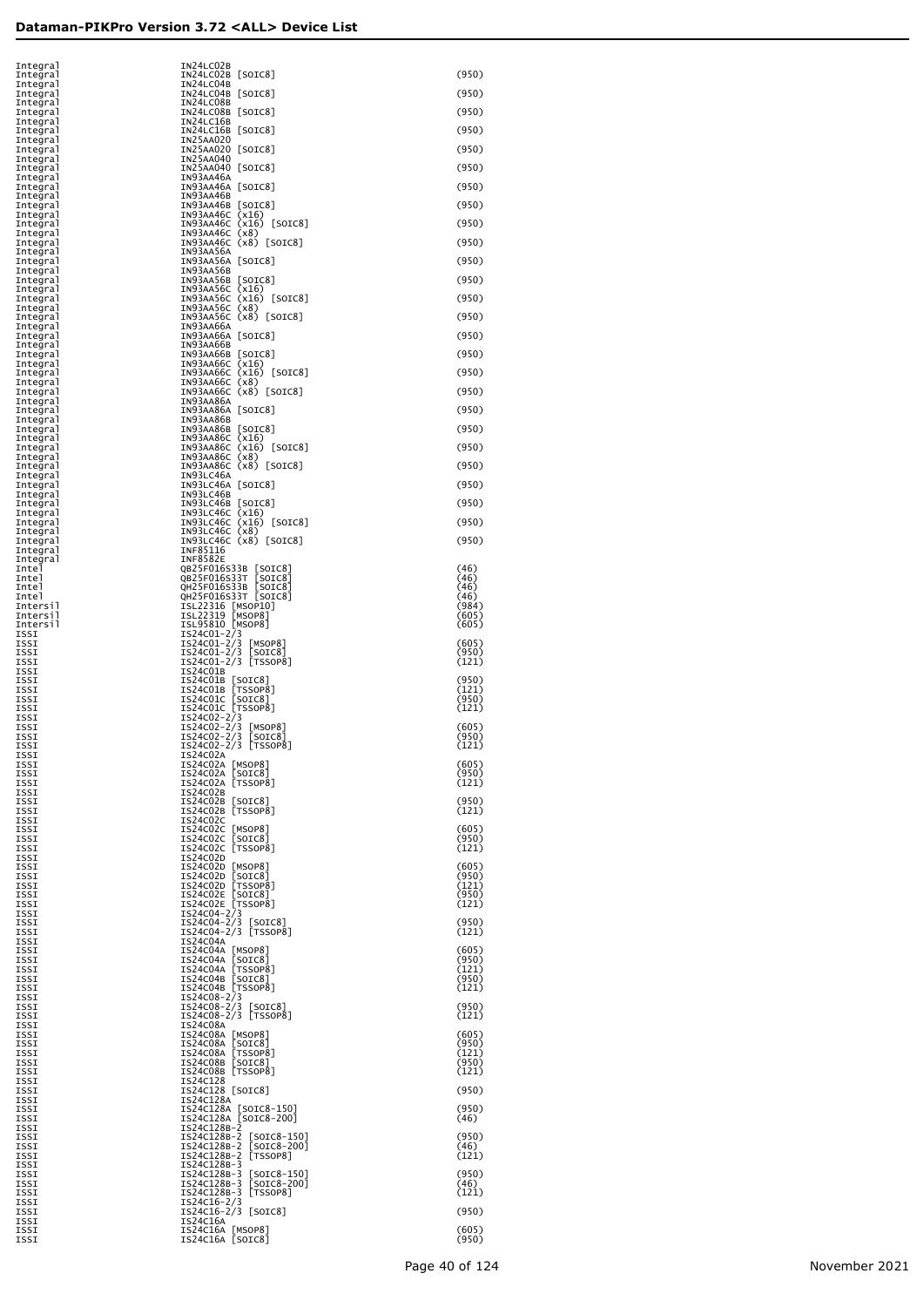| Integral             | IN24LC02B                                                                                                               |                |
|----------------------|-------------------------------------------------------------------------------------------------------------------------|----------------|
| Integral<br>Integral | IN24LC02B [SOIC8]<br>IN24LC04B                                                                                          | (950)          |
| Integral             | IN24LC04B [SOIC8]                                                                                                       | (950)          |
| Integral<br>Integral | IN24LC08B<br>IN24LC08B [SOIC8]                                                                                          | (950)          |
| Integral<br>Integral | IN24LC16B<br>IN24LC16B [SOIC8]                                                                                          | (950)          |
| Integral<br>Integral | IN25AA020<br>IN25AA020 [SOIC8]                                                                                          | (950)          |
| Integral<br>Integral | IN25AA040<br>IN25AA040 [SOIC8]                                                                                          | (950)          |
| Integral             | IN93AA46A                                                                                                               |                |
| Integral<br>Integral | IN93AA46A [SOIC8]<br>IN93AA46B                                                                                          | (950)          |
| Integral<br>Integral | IN93AA46B [SOIC8]                                                                                                       | (950)          |
| Integral<br>Integral | IN93AA46C (x16)<br>IN93AA46C (x16) [SOIC8]<br>IN93AA46C (x8)<br>IN93AA46C (x8) [SOIC8]                                  | (950)          |
| Integral<br>Integral | IN93AA56A                                                                                                               | (950)          |
| Integral             | IN93AA56A [SOIC8]<br>IN93AA56B                                                                                          | (950)          |
| Integral<br>Integral |                                                                                                                         | (950)          |
| Integral<br>Integral |                                                                                                                         | (950)          |
| Integral<br>Integral | 1893<br>AAS6B [SOIC8]<br>IN93AA56C (x16)<br>IN93AA56C (x16) [SOIC8]<br>IN93AA56C (x8)<br>IN93AA56C (x8) [SOIC8]         | (950)          |
| Integral<br>Integral | IN93AA66A<br>IN93AA66A [SOIC8]                                                                                          | (950)          |
| Integral<br>Integral | IN93AA66B                                                                                                               | (950)          |
| Integral<br>Integral | IN93AA66B [SOIC8]<br>IN93AA66B [SOIC8]<br>IN93AA66C (x16) [SOIC8]<br>IN93AA66C (x8)<br>IN93AA66C (x8) [SOIC8]           | (950)          |
| Integral             |                                                                                                                         | (950)          |
| Integral<br>Integral | IN93AA86A                                                                                                               |                |
| Integral<br>Integral | IN93AA86A [SOIC8]<br>IN93AA86B                                                                                          | (950)          |
| Integral<br>Integral | IN93AA86B [SOIC8]<br>IN93AA86B [SOIC8]<br>IN93AA86C (x16) [SOIC8]<br>IN93AA86C (x8)<br>IN93AA86C (x8) [SOIC8]           | (950)          |
| Integral<br>Integral |                                                                                                                         | (950)          |
| Integral<br>Integral | IN93LC46A                                                                                                               | (950)          |
| Integral<br>Integral | IN93LC46A [SOIC8]<br>IN93LC46B                                                                                          | (950)          |
| Integral<br>Integral | 18921068 [SOIC8]<br>189310466 (x16)<br>189310460 (x16) [SOIC8]<br>189310460 (x8)<br>189310460 (x8) [SOIC8]              | (950)          |
| Integral             |                                                                                                                         | (950)          |
| Integral<br>Integral |                                                                                                                         | (950)          |
| Integral<br>Integral | INF85116<br>INF8582E                                                                                                    |                |
| Intel<br>Intel       | 0825F016S33B [SOIC8]<br>0825F016S33T [SOIC8]<br>0H25F016S33B [SOIC8]<br>0H25F016S33T [SOIC8]                            | (46)<br>(46)   |
| Intel<br>Intel       |                                                                                                                         | (46)<br>(46)   |
| Intersil<br>Intersil | ISL22316 [MSOP10]<br>ISL22319 [MSOP8]<br>ISL95810 [MSOP8]                                                               | (984)<br>(605) |
| Intersil<br>ISSI     | IS24C01-2/3                                                                                                             | (605)          |
| ISSI<br>ISSI         | IS24c01-2/3 [MSOP8]<br>IS24c01-2/3 [SOIC8]<br>IS24c01-2/3 [TSSOP8]                                                      | (605)<br>(950) |
| ISSI<br>ISSI         | IS24C01B                                                                                                                | (121)          |
| ISSI<br>ISSI         | 1524CO1B [SOIC8]<br>IS24CO1B [TSSOP8]<br>IS24CO1C [SOIC8]<br>IS24CO1C [TSSOP8]<br>IS24CO2-2/3                           | (950)<br>(121) |
| ISSI<br>ISSI         |                                                                                                                         | (950)<br>(121) |
| ISSI<br>ISSI         |                                                                                                                         | (605)          |
| ISSI<br>ISSI         | IS24C02-2/3 [MSOP8]<br>IS24C02-2/3 [SOIC8]<br>IS24C02-2/3 [TSSOP8]                                                      | (950)<br>(121) |
| ISSI                 | IS24C02A                                                                                                                |                |
| ISSI<br>ISSI         | IS24CO2A [MSOP8]<br>IS24CO2A [SOIC8]<br>IS24CO2A [TSSOP8]                                                               | (605)<br>(950) |
| ISSI<br>ISSI         | IS24C02B                                                                                                                | (121)          |
| ISSI<br>ISSI         | IS24C02B [SOIC8]<br>IS24C02B [TSSOP8]                                                                                   | (950)<br>(121) |
| ISSI<br>ISSI         | IS24C02C                                                                                                                | (605)          |
| ISSI<br>ISSI         | 1524CO2C [MSOP8]<br>1524CO2C [SOIC8]<br>1524CO2C [TSSOP8]                                                               | (950)<br>(121) |
| ISSI<br>ISSI         | IS24C02D                                                                                                                | (605)          |
| ISSI<br>ISSI         | 1524CO2D [MSOP8]<br>1524CO2D [SOIC8]<br>1524CO2D [TSSOP8]<br>1524CO2E [SOIC8]<br>1524CO2E [TSSOP8]                      | (950)<br>(121) |
| ISSI<br>ISSI         |                                                                                                                         | (950)<br>(121) |
| ISSI<br>ISSI         | IS24C04-2/3<br>IS24C04-2/3 [SOIC8]<br>IS24C04-2/3 [TSSOP8]                                                              | (950)          |
| ISSI<br>ISSI         | IS24C04A                                                                                                                | (121)          |
| ISSI                 |                                                                                                                         | (605)          |
| ISSI<br>ISSI         |                                                                                                                         | (950)<br>(121) |
| ISSI<br>ISSI         | 1524C04A [MSOP8]<br>1524C04A [SOIC8]<br>1524C04A [TSSOP8]<br>1524C04B [SOIC8]<br>1524C04B [TSSOP8]<br>1524C04B [TSSOP8] | (950)<br>(121) |
| ISSI<br>ISSI         | IS24C08-2/3<br>IS24C08-2/3 [SOIC8]<br>IS24C08-2/3 [TSSOP8]                                                              | (950)          |
| ISSI<br>ISSI         | IS24C08A                                                                                                                | (121)          |
| ISSI<br>ISSI         | IS24C08A [MSOP8]<br>IS24C08A [SOIC8]<br>IS24C08A [TSSOP8]<br>IS24C08B [SOIC8]<br>IS24C08B [TSSOP8]                      | (605)<br>(950) |
| ISSI<br>ISSI         |                                                                                                                         | (121)<br>(950) |
| ISSI<br>ISSI         | IS24C128                                                                                                                | (121)          |
| ISSI<br>ISSI         | IS24C128 [SOIC8]<br>IS24C128A                                                                                           | (950)          |
| ISSI<br>ISSI         | IS24C128A [SOIC8-150]<br>IS24C128A [SOIC8-200]                                                                          | (950)<br>(46)  |
| ISSI<br>ISSI         | IS24C128B-2                                                                                                             | (950)          |
| ISSI<br>ISSI         | IS24c128B-2 [SOIC8-150]<br>IS24c128B-2 [SOIC8-200]<br>IS24c128B-2 [TSSOP8]                                              | (46)<br>(121)  |
| ISSI                 | IS24C128B-3                                                                                                             | (950)          |
| ISSI<br>ISSI         | IS24C128B-3 [SOIC8-150]<br>IS24C128B-3 [SOIC8-200]<br>IS24C128B-3 [TSSOP8]                                              | (46)           |
| ISSI<br>ISSI         | IS24C16-2/3                                                                                                             | (121)          |
| ISSI<br>ISSI         | IS24C16-2/3 [SOIC8]<br>IS24C16A                                                                                         | (950)          |
| ISSI<br>ISSI         | IS24C16A [MSOP8]<br>IS24C16A [SOIC8]                                                                                    | (605)<br>(950) |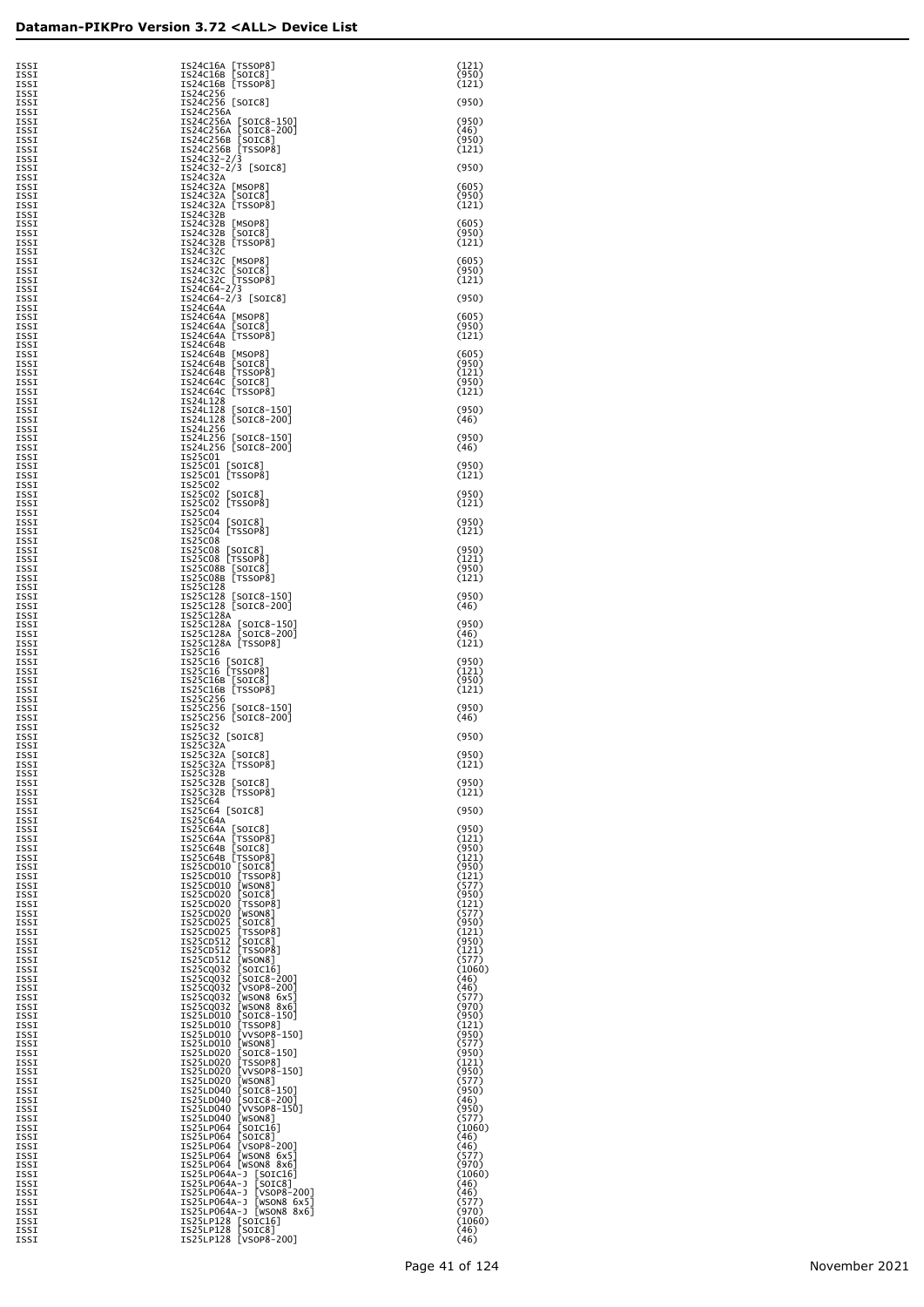| ISSI<br>ISSI                | IS24C16A [TSSOP8]<br>IS24C16B [SOIC8]                                                                                   | (121)<br>(950)          |
|-----------------------------|-------------------------------------------------------------------------------------------------------------------------|-------------------------|
| ISSI<br>ISSI<br>ISSI        | IS24C16B [TSSOP8]<br>IS24C256<br>IS24C256 [SOIC8]                                                                       | (121)<br>(950)          |
| ISSI<br>ISSI                | IS24C256A                                                                                                               | (950)                   |
| ISSI<br>ISSI                | 1524C256A [SOIC8-150]<br>1524C256A [SOIC8-200]<br>1524C256B [SOIC8]<br>1524C256B [TSSOP8]<br>1524C32-2/3<br>1524C32-2/3 | (46)<br>(950)           |
| ISSI<br>ISSI<br>ISSI        | IS24C32-2/3 [SOIC8]                                                                                                     | (121)<br>(950)          |
| ISSI<br>ISSI                | IS24C32A<br>IS24C32A [MSOP8]<br>IS24C32A [SOIC8]                                                                        | (605)                   |
| ISSI<br>ISSI<br>ISSI        | IS24C32A [TSSOP8]<br>IS24C32B                                                                                           | (950)<br>(121)          |
| ISSI<br>ISSI                | IS24C32B [MSOP8]<br>IS24C32B [SOIC8]                                                                                    | (605)<br>(950)          |
| ISSI<br><b>TSST</b><br>ISSI | IS24C32B [TSSOP8]<br>IS24C32C                                                                                           | (121)<br>(605)          |
| ISSI<br>ISSI                | IS24C32C [MSOP8]<br>IS24C32C [SOIC8]<br>IS24C32C [TSSOP8]                                                               | (950)<br>(121)          |
| ISSI<br>ISSI<br>ISSI        | IS24C64-2/3<br>IS24C64-2/3 [SOIC8]<br>IS24C64A                                                                          | (950)                   |
| ISSI<br>ISSI                | IS24C64A [MSOP8]<br>IS24C64A [SOIC8]                                                                                    | (605)<br>(950)          |
| ISSI<br>ISSI<br>ISSI        | IS24C64A [TSSOP8]<br>IS24C64B<br>IS24C64B [MSOP8]                                                                       | (121)<br>(605)          |
| ISSI<br>ISSI                | IS24C64B [SOIC8]<br>IS24C64B [TSSOP8]<br>IS24C64C [SOIC8]                                                               | (950)<br>(121)          |
| ISSI<br>ISSI<br>ISSI        | IS24C64C [TSSOP8]<br>IS24L128                                                                                           | (950)<br>(121)          |
| ISSI<br>ISSI                | IS24L128 [SOIC8-150]<br>IS24L128 [SOIC8-200]                                                                            | (950)<br>(46)           |
| ISSI<br>ISSI<br>ISSI        | IS24L256<br>IS24L256 [SOIC8-150]<br>IS24L256 [SOIC8-200]                                                                | (950)<br>(46)           |
| ISSI<br>ISSI                | IS25C01<br>IS25C01 [SOIC8]                                                                                              | (950)                   |
| ISSI<br>ISSI                | IS25C01 [TSSOP8]<br>IS25C02                                                                                             | (121)<br>(950)          |
| ISSI<br>ISSI<br>ISSI        | IS25C02 [SOIC8]<br>IS25C02 [TSSOP8]<br>IS25C04                                                                          | (121)                   |
| ISSI<br>ISSI                | IS25C04 [SOIC8]<br>IS25C04 [TSSOP8]                                                                                     | (950)<br>(121)          |
| ISSI<br>ISSI<br>ISSI        | IS25C08<br>IS25C08 [SOIC8]<br>IS25C08 [TSSOP8]                                                                          | (950)<br>(121)          |
| ISSI<br>ISSI                | IS25C08B [SOIC8]<br>IS25C08B [TSSOP8]                                                                                   | (950)<br>(121)          |
| ISSI<br>ISSI<br>ISSI        | IS25C128<br>IS25C128 [SOIC8-150]<br>IS25C128 [SOIC8-200]                                                                | (950)<br>(46)           |
| ISSI<br>ISSI                | IS25C128A<br>IS25C128A [SOIC8-150]<br>IS25C128A [SOIC8-200]                                                             | (950)                   |
| ISSI<br>ISSI<br>ISSI        | IS25C128A [TSSOP8]<br>IS25C16                                                                                           | (46)<br>(121)           |
| ISSI<br>ISSI                | IS25C16 [SOIC8]<br>IS25C16 [TSSOP8]                                                                                     | (950)<br>(121)          |
| ISSI<br>ISSI<br>ISSI        | IS25C16B [SOIC8]<br>IS25C16B [TSSOP8]<br>IS25C256                                                                       | (950)<br>(121)          |
| ISSI<br>ISSI                | IS25C256 [SOIC8-150]<br>IS25C256 [SOIC8-200]                                                                            | (950)<br>(46)           |
| ISSI<br><b>TSST</b><br>ISSI | IS25C32<br>IS25C32 [SOIC8]<br>IS25C32A                                                                                  | (950)                   |
| 1221<br>ISSI                | [SOIC8]<br>ISZ5C3ZA<br>IS25C32A [TSSOP8]                                                                                | (950)<br>(121)          |
| ISSI<br>ISSI<br>ISSI        | IS25C32B<br>IS25C32B [SOIC8]<br>IS25C32B [TSSOP8]                                                                       | (950)<br>(121)          |
| ISSI<br>ISSI                | IS25C64<br>IS25C64 [SOIC8]                                                                                              | (950)                   |
| ISSI<br>ISSI<br>ISSI        | IS25C64A<br>IS25C64A [SOIC8]                                                                                            | (950)<br>(121)          |
| ISSI<br>ISSI                | IS25C64A [TSSOP8]<br>IS25C64B [SOIC8]<br>IS25C64B [TSSOP8]                                                              | (950)<br>(121)          |
| ISSI<br>ISSI<br>ISSI        | IS25CD010 [SOIC8]<br>IS25CD010 [TSSOP8]<br>IS25CD010 [WSON8]                                                            | (950)<br>(121)<br>(577) |
| ISSI<br>ISSI                | IS25CD020<br>[SOIC8]<br>IS25CD020<br>[TSSOP8]                                                                           | (950)<br>(121)          |
| ISSI<br>ISSI<br>ISSI        | IS25CD020<br>[WSON8]<br>IS25CD025<br>[SOIC8]<br>[TSSOP8]<br>IS25CD025                                                   | (577)<br>(950)<br>(121) |
| ISSI<br>ISSI                | IS25CD512<br>[SOIC8]<br>[TSSOP8]<br>IS25CD512                                                                           | (950)<br>(121)          |
| ISSI<br>ISSI<br>ISSI        | IS25CD512<br>[WSON8]<br>[SOIC16]<br>[SOIC8-200]<br>[VSON8-200]<br>[VSON8-200]<br>IS25CQ032<br>IS25CQ032                 | (577)<br>(1060)<br>(46) |
| ISSI<br>ISSI                | IS25CQ032<br>IS25CQ032 [WSON8 6x5]<br>IS25CQ032 [WSON8 8x6]                                                             | (46)<br>(577)           |
| ISSI<br>ISSI<br>ISSI        | IS25LD010 [SOIC8-150]<br>IS25LD010 [TSSOP8]                                                                             | (970)<br>(950)<br>(121) |
| ISSI<br>ISSI                | IS25LD010 [VVSOP8-150]<br>IS25LD010 [WSON8]                                                                             | (950)<br>(577)          |
| ISSI<br>ISSI<br>ISSI        | IS25LD020 [SOIC8-150]<br>IS25LD020 [TSSOP8]<br>IS25LD020 [VVSOP8-150]                                                   | (950)<br>(121)<br>(950) |
| ISSI<br>ISSI                | IS25LD020 [WSON8]<br>IS25LD040 [SOIC8-150]<br>IS25LD040 [SOIC8-200]                                                     | (577)<br>(950)          |
| ISSI<br>ISSI<br>ISSI        | IS25LD040 [VVSOP8-150]                                                                                                  | (46)<br>(950)<br>(577)  |
| ISSI<br>ISSI                | 122511040 [WSON8]<br>122511064 [SOIC16]<br>122511064 [SOIC8]<br>122511064 [WSON8-200]<br>122511064 [WSON8 6X5]          | (1060)<br>(46)          |
| ISSI<br>ISSI                |                                                                                                                         | (46)<br>(577)<br>(970)  |
| ISSI<br>ISSI<br>ISSI        | IS25LP064 [WSON8 8x6]                                                                                                   | (1060)<br>(46)          |
| ISSI<br>ISSI                | IS25LP064A-J [SOICI6]<br>IS25LP064A-J [SOIC8]<br>IS25LP064A-J [VSOP8-200]<br>IS25LP064A-J [WSON8 6X5]                   | (46)<br>(577)           |
| ISSI<br>ISSI<br>ISSI        | IS25LP064A-J [WSON8 8x6]<br>IS25LP128 [SOIC16]<br>IS25LP128 [SOIC8]                                                     | (970)<br>(1060)<br>(46) |
| ISSI                        | IS25LP128 [VSOP8-200]                                                                                                   | (46)                    |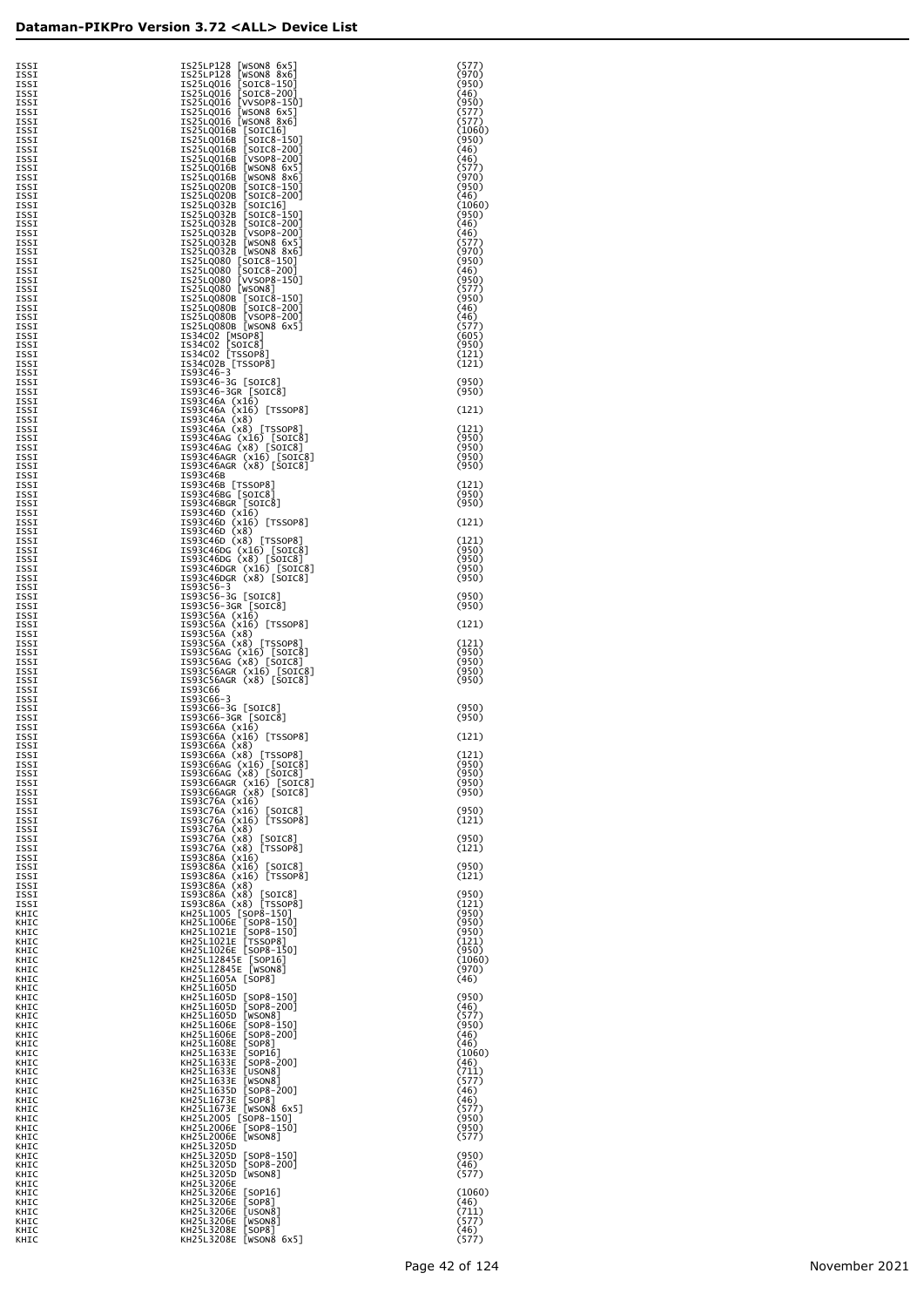| ISSI         | IS25LP128 [WSON8 6x5]                                                                                                                                    | (577)           |
|--------------|----------------------------------------------------------------------------------------------------------------------------------------------------------|-----------------|
| ISSI         | IS25LP128 [WSON8 8x6]                                                                                                                                    | (970)           |
| ISSI         |                                                                                                                                                          | (950)           |
| ISSI<br>ISSI |                                                                                                                                                          | (46)<br>(950)   |
| ISSI         | 12251-016 [SOTC8-150]<br>12251-0016 [SOTC8-200]<br>12251-0016 [VVSOP8-150]<br>12251-0016 [WSON8 8x5]<br>12251-0016 [WSON8 8x6]<br>12251-0016 [WSON8 8x6] | (577)           |
| ISSI<br>ISSI |                                                                                                                                                          | (577)           |
| ISSI         | IS25LQ016B [SOIC16]<br>IS25LQ016B [SOIC8-150]                                                                                                            | (1060)<br>(950) |
| ISSI         | IS25LQ016B [SOIC8-200]                                                                                                                                   | (46)            |
| ISSI<br>ISSI | IS25LQ016B [VSOP8-200]                                                                                                                                   | (46)<br>(577)   |
| ISSI         | IS25LQ016B [WSON8 6x5]<br>IS25LQ016B [WSON8 8x6]                                                                                                         | (970)           |
| ISSI         | IS25LQ020B [SOIC8-150]                                                                                                                                   | (950)           |
| ISSI         | IS25LQ020B [SOIC8-200]                                                                                                                                   | (46)            |
| ISSI<br>ISSI | IS25LQ032B [SOIC16]<br>IS25LQ032B [SOIC8-150]                                                                                                            | (1060)<br>(950) |
| ISSI         | IS25LQ032B [SOIC8-200]                                                                                                                                   | (46)            |
| ISSI         | IS25LQ032B [VSOP8-200]                                                                                                                                   | (46)            |
| ISSI<br>ISSI | IS25LQ032B [WSON8 6x5]<br>IS25LQ032B [WSON8 8x6]                                                                                                         | (577)<br>(970)  |
| ISSI         | IS25LQ080 [SOIC8-150]                                                                                                                                    | (950)           |
| ISSI         | IS25LQ080 [SOIC8-200]                                                                                                                                    | (46)            |
| ISSI<br>ISSI | IS25LQ080 [VVSOP8-150]<br>IS25LQ080 [WSON8]                                                                                                              | (950)<br>(577)  |
| ISSI         | IS25LQ080B [SOIC8-150]                                                                                                                                   | (950)           |
| ISSI         | IS25LQ080B [SOIC8-200]<br>IS25LQ080B [VSOP8-200]                                                                                                         | (46)<br>(46)    |
| ISSI<br>ISSI | IS25LQ080B [WSON8 6x5]                                                                                                                                   | (577)           |
| ISSI         | IS34CO2 [MSOP8]<br>IS34CO2 [SOIC8]                                                                                                                       | (605)           |
| ISSI         |                                                                                                                                                          | (950)           |
| ISSI<br>ISSI | IS34C02 [TSSOP8]<br>IS34C02B [TSSOP8]                                                                                                                    | (121)<br>(121)  |
| ISSI         | IS93C46-3                                                                                                                                                |                 |
| ISSI         | IS93C46-3G [SOIC8]<br>IS93C46-3GR [SOIC8]                                                                                                                | (950)<br>(950)  |
| ISSI<br>ISSI | IS93C46A (x16)                                                                                                                                           |                 |
| ISSI         | IS93C46A (x16) [TSSOP8]                                                                                                                                  | (121)           |
| ISSI<br>ISSI | IS93C46A (x8)<br>IS93C46A (x8) [TSSOP8]                                                                                                                  | (121)           |
| ISSI         | IS93C46AG (x16) [SOIC8]                                                                                                                                  | (950)           |
| ISSI         | IS93C46AG (x8) [SOIC8]                                                                                                                                   | (950)           |
| ISSI<br>ISSI | IS93C46AGR (x16) [SOIC8]<br>IS93C46AGR (x8) [SOIC8]                                                                                                      | (950)<br>(950)  |
| ISSI         | IS93C46B                                                                                                                                                 |                 |
| ISSI         | IS93C46B [TSSOP8]                                                                                                                                        | (121)<br>(950)  |
| ISSI<br>ISSI | IS93C46BG [SOIC8]<br>IS93C46BGR [SOIC8]                                                                                                                  | (950)           |
| ISSI         | IS93C46D (x16)                                                                                                                                           |                 |
| ISSI<br>ISSI | IS93C46D (x16) [TSSOP8]<br>IS93C46D (x8)                                                                                                                 | (121)           |
| ISSI         | IS93C46D (x8) [TSSOP8]                                                                                                                                   | (121)           |
| ISSI         | IS93C46DG (x16) [SOIC8]                                                                                                                                  | (950)           |
| ISSI<br>ISSI | IS93C46DG (x8) [SOIC8]<br>IS93C46DGR (x16) [SOIC8]                                                                                                       | (950)<br>(950)  |
| ISSI         | IS93C46DGR (x8) [SOIC8]                                                                                                                                  | (950)           |
| ISSI         | IS93C56-3                                                                                                                                                | (950)           |
| ISSI<br>ISSI | IS93C56-3G [SOIC8]<br>IS93C56-3GR [SOIC8]                                                                                                                | (950)           |
| ISSI         | IS93C56A (x16)                                                                                                                                           |                 |
| ISSI<br>ISSI | IS93C56A (x16) [TSSOP8]<br>IS93C56A (x8)                                                                                                                 | (121)           |
| ISSI         | IS93C56A (x8) [TSSOP8]                                                                                                                                   | (121)           |
| ISSI         | IS93C56AG (x16) [SOIC8]                                                                                                                                  | (950)           |
| ISSI<br>ISSI | IS93C56AG (x8) [SOIC8]<br>IS93C56AGR (x16) [SOIC8]                                                                                                       | (950)<br>(950)  |
| ISSI         | IS93C56AGR (x8) [SOIC8]                                                                                                                                  | (950)           |
| ISSI         | IS93C66                                                                                                                                                  |                 |
| ISSI<br>ISSI | IS93C66-3<br>IS93C66-3G [SOIC8]                                                                                                                          | (950)           |
| ISSI         | IS93C66-3GR [SOIC8]                                                                                                                                      | (950)           |
| ISSI<br>ISSI | IS93C66A (x16)<br>IS93C66A (x16) [TSSOP8]                                                                                                                | (121)           |
| ISSI         | IS93C66A (x8)                                                                                                                                            |                 |
| ISSI         | IS93C66A (x8) [TSSOP8]                                                                                                                                   | (121)           |
| ISSI<br>ISSI | IS93C66AG (x16) [SOIC8]<br>IS93C66AG (x8) [SOIC8]                                                                                                        | (950)<br>(950)  |
| ISSI         | IS93C66AGR (x16) [SOIC8]                                                                                                                                 | (950)           |
| ISSI         | IS93C66AGR (x8) [SOIC8]                                                                                                                                  | (950)           |
| ISSI<br>ISSI | IS93C76A (x16)<br>IS93C76A (x16) [SOIC8]                                                                                                                 | (950)           |
| ISSI         | IS93C76A (x16) [TSSOP8]                                                                                                                                  | (121)           |
| ISSI<br>ISSI | IS93C76A (x8)<br>IS93C76A (x8) [SOIC8]                                                                                                                   | (950)           |
| ISSI         | IS93C76A (x8) [TSSOP8]                                                                                                                                   | (121)           |
| ISSI         | IS93C86A (x16)                                                                                                                                           |                 |
| ISSI<br>ISSI | IS93C86A (x16) [SOIC8]<br>IS93C86A (x16) [TSSOP8]                                                                                                        | (950)<br>(121)  |
| ISSI         | IS93C86A (x8)                                                                                                                                            |                 |
| ISSI         | IS93C86A (x8) [SOIC8]                                                                                                                                    | (950)           |
| ISSI<br>KHIC | IS93C86A (x8) [TSSOP8]<br>KH25L1005 [SOP8-150]                                                                                                           | (121)<br>(950)  |
| KHIC         | KH25L1006E [SOP8-150]                                                                                                                                    | (950)           |
| KHIC         | KH25L1021E [SOP8-150]<br>KH25L1021E [TSSOP8]                                                                                                             | (950)           |
| KHIC<br>KHIC | KH25L1026E [SOP8-150]                                                                                                                                    | (121)<br>(950)  |
| KHIC         | KH25L12845E [SOP16]                                                                                                                                      | (1060)          |
| KHIC<br>KHIC | KH25L12845E [WSON8]<br>KH25L1605A [SOP8]                                                                                                                 | (970)<br>(46)   |
| KHIC         | KH25L1605D                                                                                                                                               |                 |
| KHIC         | KH25L1605D [SOP8-150]                                                                                                                                    | (950)           |
| KHIC<br>KHIC | KH25L1605D [SOP8-200]<br>KH25L1605D [WSON8]                                                                                                              | (46)<br>(577)   |
| KHIC         | KH25L1606E [SOP8-150]                                                                                                                                    | (950)           |
| KHIC         | KH25L1606E [SOP8-200]<br>KH25L1608E [SOP8]                                                                                                               | (46)<br>(46)    |
| KHIC<br>KHIC | KH25L1633E [SOP16]                                                                                                                                       | (1060)          |
| KHIC         | KH25L1633E [SOP8-200]                                                                                                                                    | (46)            |
| KHIC<br>KHIC | KH25L1633E [USON8]<br>KH25L1633E [WSON8]                                                                                                                 | (711)<br>(577)  |
| KHIC         | KH25L1635D [SOP8-200]                                                                                                                                    | (46)            |
| KHIC         | KH25L1673E [SOP8]                                                                                                                                        | (46)            |
| KHIC<br>KHIC | KH25L1673E [WSON8 6x5]<br>KH25L2005 [SOP8-150]                                                                                                           | (577)<br>(950)  |
| KHIC         | KH25L2006E [SOP8-150]                                                                                                                                    | (950)           |
| KHIC         | KH25L2006E [WSON8]<br>KH25L3205D                                                                                                                         | (577)           |
| KHIC<br>KHIC | KH25L3205D [SOP8-150]                                                                                                                                    | (950)           |
| KHIC         | KH25L3205D [SOP8-200]                                                                                                                                    | (46)            |
| KHIC<br>KHIC | KH25L3205D [WSON8]<br>KH25L3206E                                                                                                                         | (577)           |
| KHIC         | KH25L3206E [SOP16]                                                                                                                                       | (1060)          |
| KHIC         | KH25L3206E [SOP8]                                                                                                                                        | (46)            |
| KHIC<br>KHIC | KH25L3206E [USON8]<br>KH25L3206E [WSON8]                                                                                                                 | (711)<br>(577)  |
| KHIC         | KH25L3208E [SOP8]                                                                                                                                        | (46)            |

| [SOIC8-150]<br>IS25LQ016<br>IS25LQ016<br>[SOIC8-200]                                        | (950)<br>(46)            |
|---------------------------------------------------------------------------------------------|--------------------------|
| IS25LQ016<br>[VVSOP8-150]<br>IS25LQ016<br>[WSON8 6x5]                                       | (950)<br>(577)           |
| IS25LQ016<br>[WSON8 8x6]<br>IS25LQ016B<br>[SOIC16]<br>IS25LQ016B<br>[SOIC8-150]             | (577)<br>(1060)<br>(950) |
| IS25LQ016B<br>[SOIC8-200]<br>IS25LQ016B<br>[VSOP8-200]                                      | (46)<br>(46)             |
| IS25LQ016B<br>[WSON8 6x5]<br>IS25LQ016B<br>WSON <sub>8</sub><br>8x61                        | (577)<br>(970)           |
| IS25LQ020B<br>[SOIC8-150]<br>IS25LQ020B<br>[SOIC8-200]                                      | (950)<br>(46)            |
| IS25LQ032B<br>[SOIC16]<br>IS25LQ032B<br>[SOIC8-150]                                         | (1060)<br>(950)          |
| IS25LQ032B<br>[SOIC8-200]<br>IS25LQ032B<br>[VSOP8-200]                                      | (46)<br>(46)             |
| IS25LQ032B<br>[WSON8 6x5]<br>IS25LQ032B<br>[WSON8 8x6]                                      | (577)<br>(970)           |
| IS25LQ080<br>[SOIC8-150]<br>IS25LQ080<br>[SOIC8-200]                                        | (950)<br>(46)            |
| IS25LQ080<br>[VVSOP8-150]<br>IS25LQ080<br>[WSON8]                                           | (950)<br>(577)           |
| IS25LQ080B<br>$[SOIC8-150]$<br>IS25LQ080B<br>[SOIC8-200]                                    | (950)<br>(46)            |
| [VSOP8-200]<br>IS25LQ080B<br>IS25LQ080B<br>[WSON8 6x5]                                      | (46)<br>(577)            |
| IS34C02<br>[MSOP8]<br>IS34C02<br>[SOIC8]                                                    | (605)<br>(950)           |
| IS34C02<br>[TSSOP8]<br>IS34C02B [TSSOP8]                                                    | (121)<br>(121)           |
| IS93C46-3<br>IS93C46-3G<br>[SOIC8]                                                          | (950)                    |
| IS93C46-3GR [SOIC8]<br>IS93C46A (x16)                                                       | (950)                    |
| IS93C46A<br>(x16)<br>[TSSOP8]<br>IS93C46A<br>(x8)                                           | (121)                    |
| IS93C46A<br>[TSSOP8]<br>(x8)<br>[SOIC8]                                                     | (121)<br>(950)           |
| IS93C46AG (x16) [SOIC8<br>IS93C46AG (x8) [SOIC8]<br>IS93C46AGR (x16)<br>[SOIC8]             | (950)<br>(950)           |
| IS93C46AGR (x8) [SOIC8]<br>IS93C46B                                                         | (950)                    |
| IS93C46B [TSSOP8]<br>IS93C46BG [SOIC8]                                                      | (121)<br>(950)           |
| IS93C46BGR [SOIC8]<br>IS93C46D (x16)                                                        | (950)                    |
| IS93C46D<br>(x16)<br>[TSSOP8]<br>IS93C46D<br>(x8)                                           | (121)                    |
| [TSSOP8]<br>IS93C46D<br>(x8)<br>IS93C46DG (x16) [SOIC8<br>IS93C46DG (x8) [SOIC8]<br>[SOIC8] | (121)<br>(950)           |
| (x16)<br>[SOIC8]<br>IS93C46DGR                                                              | (950)<br>(950)           |
| IS93C46DGR<br>$(x8)$ [SOIC8]<br>IS93C56-3                                                   | (950)                    |
| IS93C56-3G [SOIC8]<br>IS93C56-3GR [SOIC8]                                                   | (950)<br>(950)           |
| IS93C56A (x16)<br>IS93C56A<br>(x16)<br>[TSSOP8]<br>IS93C56A                                 | (121)                    |
| (x8)<br>IS93C56A<br>(x8)<br>[TSSOP8]<br>IS93C56AG<br>[SOIC8]                                | (121)<br>(950)           |
| (x16)<br>$(x8)$ [SOIC8]<br>IS93C56AG<br>IS93C56AGR<br>(x16)<br>[SOIC8]                      | (950)<br>(950)           |
| IS93C56AGR<br>$(x8)$ [SOIC8]<br>IS93C66                                                     | (950)                    |
| IS93C66-3<br>IS93C66-3G [SOIC8]                                                             | (950)                    |
| IS93C66-3GR [SOIC8]<br>IS93C66A<br>(x16)                                                    | (950)                    |
| IS93C66A<br>(x16)<br>[TSSOP8]<br>IS93C66A<br>(x8)                                           | (121)                    |
| IS93C66A<br>[TSSOP8]<br>(x8)<br>IS93C66AG (x16) [SOIC8]                                     | (121)<br>(950)           |
| $(x8)$ [SOIC8]<br>IS93C66AG<br>IS93C66AGR (x16)<br>[SOIC8]                                  | (950)<br>(950)           |
| [SOIC8]<br>IS93C66AGR<br>(x8)<br>IS93C76A (x16)                                             | (950)                    |
| IS93C76A<br>(x16)<br>$[$ SOIC8]<br>IS93C76A<br>(x16)<br>[TSSOP8]                            | (950)<br>(121)           |
| IS93C76A<br>(x8)<br>IS93C76A<br>(x8)<br>[SOIC8]                                             | (950)                    |
| IS93C76A<br>(x8)<br>[TSSOP8]<br>IS93C86A<br>(x16)                                           | (121)                    |
| IS93C86A<br>(x16)<br>[SOIC8]<br>IS93C86A<br>(x16)<br>[TSSOP8]                               | (950)<br>(121)           |
| IS93C86A<br>(x8)<br>(x8)<br>IS93C86A<br>[SOIC8]<br>IS93C86A<br>(x8)<br>FTSSOP81             | (950)<br>(121)           |
| KH25L1005<br>$[SOP8-150]$<br>KH25L1006E<br>SOP8-150                                         | (950)<br>(950)           |
| KH25L1021E<br>[SOP8-150]<br>KH25L1021E<br>[TSSOP8]                                          | (950)<br>(121)           |
| KH25L1026E<br>$[SOP8-150]$<br>KH25L12845E<br>$\lceil$ SOP $16$ $\rceil$                     | (950)<br>(1060)          |
| KH25L12845E<br>[WSON8]<br>KH25L1605A<br>[SOP8]                                              | (970)<br>(46)            |
| KH25L1605D<br>KH25L1605D<br>[SOP8-150]                                                      | (950)                    |
| KH25L1605D<br>[SOP8-200]<br>KH25L1605D<br>[WSON8]                                           | (46)<br>(577)            |
| KH25L1606E<br>[SOP8-150]<br>KH25L1606E<br>$[$ SOP8-200]                                     | (950)<br>(46)            |
| KH25L1608E<br>$[$ SOP $8]$<br>KH25L1633E<br>[SOP16]                                         | (46)<br>(1060)           |
| KH25L1633E<br>[SOP8-200]<br>KH25L1633E<br>[USON8]                                           | (46)<br>(711)            |
| KH25L1633E<br>[WSON8]<br>KH25L1635D<br>[SOP8-200]                                           | (577)<br>(46)            |
| KH25L1673E<br>[SOP8]<br>KH25L1673E<br>[WSON8 6x5]                                           | (46)<br>(577)            |
| KH25L2005<br>$[SOP8-150]$<br>KH25L2006E<br>[SOP8-150]                                       | (950)<br>(950)           |
| KH25L2006E<br>[WSON8]<br>KH25L3205D<br>KH25L3205D                                           | (577)                    |
| [SOP8-150]<br>KH25L3205D<br>[SOP8-200]<br>KH25L3205D<br>[WSON8]                             | (950)<br>(46)<br>(577)   |
| KH25L3206E<br>KH25L3206E<br>[SOP16]                                                         | (1060)                   |
| KH25L3206E<br>[SOP8]<br>KH25L3206E<br>[USON8]                                               | (46)<br>(711)            |
| KH25L3206E<br>[WSON8]<br>KH25L3208E<br>[SOP8]                                               | (577)<br>(46)            |
| KH25L3208E<br>[WSON8 6x5]                                                                   | (577)                    |

Page 42 of 124 November 2021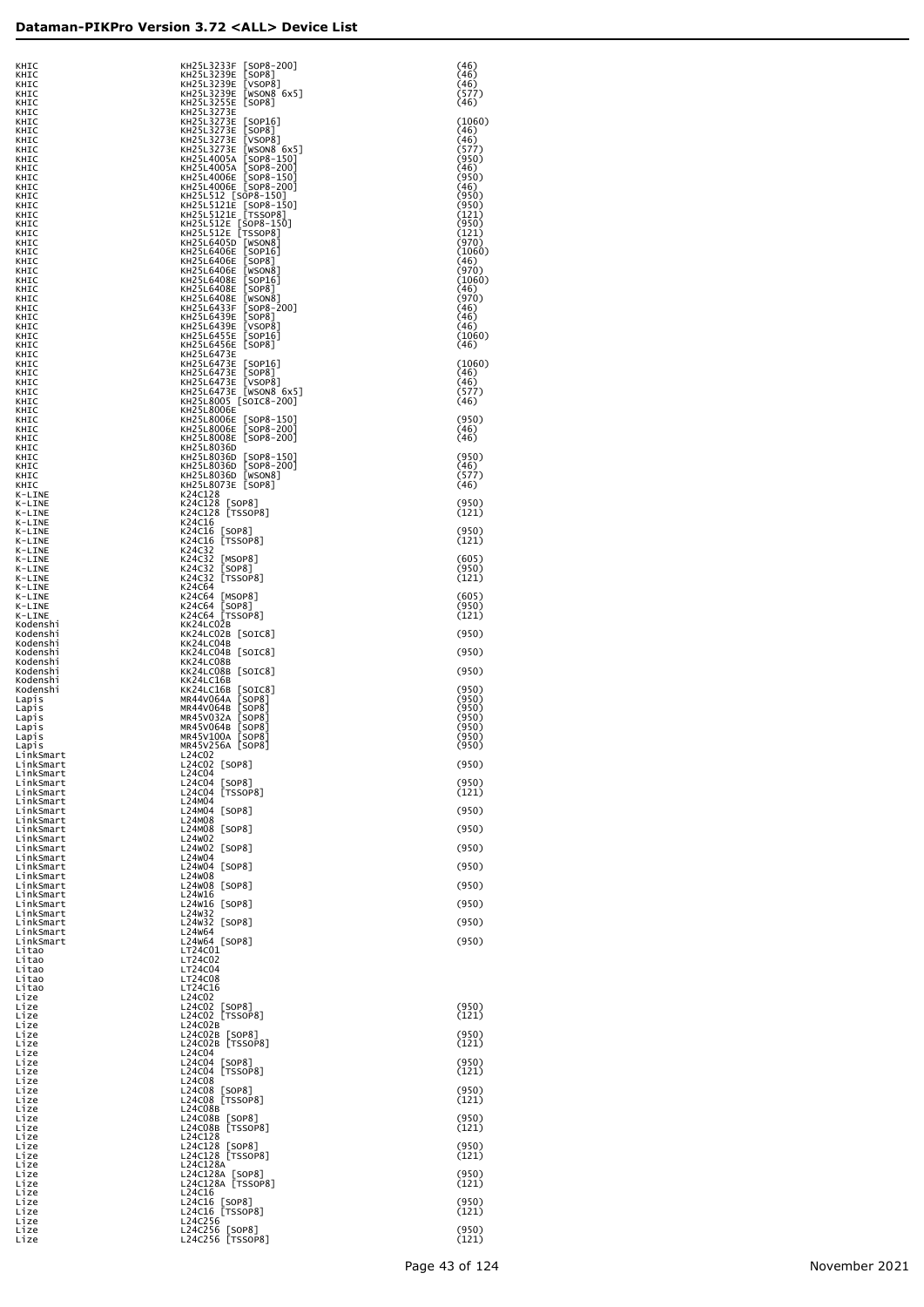| KHIC<br>KHIC<br>KHIC                | KH25L3233F [SOP8-200]<br>KH25L3239E [SOP8]<br>KH25L3239E [VSOP8]                            | (46)<br>(46)<br>(46)    |
|-------------------------------------|---------------------------------------------------------------------------------------------|-------------------------|
| KHIC<br>KHIC                        | KH25L3239E [WSON8 6x5]<br>KH25L3255E [SOP8]                                                 | (577)<br>(46)           |
| KHIC<br>KHIC                        | KH25L3273E<br>KH25L3273E [SOP16]                                                            | (1060)                  |
| KHIC<br>KHIC                        | KH25L3273E [SOP8]<br>KH25L3273E [VSOP8]                                                     | (46)<br>(46)            |
| KHIC<br>KHIC                        | KH25L3273E [WSON8 6x5]<br>KH25L4005A [SOP8-150]                                             | (577)<br>(950)          |
| KHIC<br>KHIC                        | KH25L4005A [SOP8-200]<br>KH25L4006E [SOP8-150]                                              | (46)<br>(950)           |
| KHIC<br>KHIC                        | KH25L4006E [SOP8-200]<br>KH25L512 [SOP8-150]                                                | (46)<br>(950)           |
| KHIC<br>KHIC                        | KH25L5121E [SOP8-150]<br>KH25L5121E [TSSOP8]                                                | (950)<br>(121)          |
| KHIC<br>KHIC                        | KH25L512E [SOP8-150]<br>KH25L512E [SOP8-150]                                                | (950)<br>(121)          |
| KHIC<br>KHIC                        | KH25L6405D [WSON8]<br>KH25L6406E [SOP16]                                                    | (970)<br>(1060)         |
| KHIC<br>KHIC                        | KH25L6406E [SOP8]<br>KH25L6406E [WSON8]                                                     | (46)<br>(970)           |
| KHIC<br>KHIC                        | KH25L6408E [SOP16]<br>KH25L6408E [SOP8]                                                     | (1060)<br>(46)          |
| KHIC<br>KHIC                        | KH25L6408E [WSON8]<br>KH25L6433F [SOP8-200]<br>KH25L6439E [SOP8]                            | (970)<br>(46)           |
| KHIC<br>KHIC                        | KH25L6439E [VSOP8]<br>KH25L6455E [SOP16]                                                    | (46)<br>(46)<br>(1060)  |
| KHIC<br>KHIC<br>KHIC                | KH25L6456E [SOP8]<br>KH25L6473E                                                             | (46)                    |
| KHIC<br>KHIC                        | KH25L6473E [SOP16]<br>KH25L6473E [SOP8]                                                     | (1060)<br>(46)          |
| KHIC<br>KHIC                        | KH25L6473E [VSOP8]<br>KH25L6473E [VSOP8]<br>KH25L6473E [WSON8 6x5]<br>KH25L8005 [SOIC8-200] | (46)<br>(577)           |
| KHIC<br>KHIC                        | KH25L8006E                                                                                  | (46)                    |
| KHIC<br>KHIC                        | KH25L8006E [SOP8-150]<br>KH25L8006E [SOP8-200]                                              | (950)<br>(46)           |
| KHIC<br>KHIC                        | KH25L8008E [SOP8-200]<br>KH25L8036D                                                         | (46)                    |
| KHIC<br>KHIC                        | KH25L8036D [SOP8-150]<br>KH25L8036D [SOP8-200]                                              | (950)<br>(46)           |
| KHIC<br>KHIC                        | KH25L8036D [WSON8]<br>KH25L8073E [SOP8]                                                     | (577)<br>(46)           |
| K-LINE<br>K-LINE                    | K24C128<br>K24C128 [SOP8]                                                                   | (950)                   |
| K-LINE<br>K-LINE                    | K24C128 [TSSOP8]<br>K24C16                                                                  | (121)                   |
| K-LINE<br>K-LINE                    | K24C16 [SOP8]<br>K24C16 [TSSOP8]<br>K24C32                                                  | (950)<br>(121)          |
| K-LINE<br>K-LINE<br>K-LINE          | K24C32 [MSOP8]<br>K24C32 [SOP8]                                                             | (605)<br>(950)          |
| K-LINE<br>K-LINE                    | K24C32 [TSSOP8]<br>K24C64                                                                   | (121)                   |
| K-LINE<br>K-LINE                    | K24C64 [MSOP8]<br>K24C64 [SOP8]                                                             | (605)<br>(950)          |
| K-LINE<br>Kodenshi                  | K24C64 [TSSOP8]<br>KK24LC02B                                                                | (121)                   |
| Kodenshi<br>Kodenshi                | KK24LC02B [SOIC8]<br>KK24LC04B                                                              | (950)                   |
| Kodenshi<br>Kodenshi                | KK24LC04B [SOIC8]<br>KK24LC08B                                                              | (950)                   |
| Kodenshi<br>Kodenshi                | KK24LC08B [SOIC8]<br>KK24LC16B                                                              | (950)                   |
| Kodenshi<br>Lapıs                   | KK24LC16B [SOIC8]<br>MR44V064A [SOP8]<br>MR44V064B [SOP8]                                   | (950)<br>(950)          |
| Lapıs<br>Lapıs                      | MR45V032A [SOP8]<br>MR45V064B [SOP8]                                                        | (950)<br>(950)<br>(950) |
| Lapıs<br>Lapıs<br>Lapis             | MR45V100A [SOP8]<br>MR45V256A [SOP8]                                                        | (950)<br>(950)          |
| LinkSmart<br>LinkSmart              | L24C02<br>L24C02 [SOP8]                                                                     | (950)                   |
| LinkSmart<br>LinkSmart              | L24C04<br>L24C04 [SOP8]                                                                     | (950)                   |
| LinkSmart<br>LinkSmart              | L24C04 [TSSOP8]<br>L24M04                                                                   | (121)                   |
| LinkSmart<br>LinkSmart              | L24M04 [SOP8]<br>L24M08                                                                     | (950)                   |
| LinkSmart<br>LinkSmart              | L24M08 [SOP8]<br>L24w02                                                                     | (950)                   |
| LinkSmart<br>LinkSmart              | L24w02 [SOP8]<br>L24w04<br>L24w04 [SOP8]                                                    | (950)                   |
| LinkSmart<br>LinkSmart<br>LinkSmart | L24w08<br>L24w08 [SOP8]                                                                     | (950)<br>(950)          |
| LinkSmart<br>LinkSmart              | L24w16<br>L24W16 [SOP8]                                                                     | (950)                   |
| LinkSmart<br>LinkSmart              | L24w32<br>L24w32 [SOP8]                                                                     | (950)                   |
| LinkSmart<br>LinkSmart              | L24w64<br>L24W64 [SOP8]                                                                     | (950)                   |
| Litao<br>Litao                      | LT24C01<br>LT24C02                                                                          |                         |
| Litao<br>Litao                      | LT24C04<br>LT24C08                                                                          |                         |
| Litao<br>Lize                       | LT24C16<br>L24C02                                                                           |                         |
| Lize<br>Lize                        | L24C02 [SOP8]<br>L24C02 [TSSOP8]                                                            | (950)<br>(121)          |
| Lize<br>Lize<br>Lize                | L24C02B<br>L24C02B [SOP8]<br>L24C02B [TSSOP8]                                               | (950)<br>(121)          |
| Lize<br>Lize                        | L24C04<br>L24C04 [SOP8]                                                                     | (950)                   |
| Lize<br>Lize                        | L24C04 [TSSOP8]<br>L24C08                                                                   | (121)                   |
| Lize<br>Lize                        | L24C08 [SOP8]<br>L24C08 [TSSOP8]                                                            | (950)<br>(121)          |
| Lize<br>Lize                        | L24C08B<br>L24C08B [SOP8]                                                                   | (950)                   |
| Lize<br>Lize                        | L24C08B [TSSOP8]<br>L24C128                                                                 | (121)                   |
| Lize<br>Lize                        | L24C128 [SOP8]<br>L24C128 [TSSOP8]                                                          | (950)<br>(121)          |
| Lize<br>Lize                        | L24C128A<br>L24C128A [SOP8]<br>L24C128A [TSSOP8]                                            | (950)                   |
| Lize<br>Lize<br>Lize                | L24C16<br>L24C16 [SOP8]                                                                     | (121)<br>(950)          |
| Lize<br>Lize                        | L24C16 [TSSOP8]<br>L24C256                                                                  | (121)                   |
| Lize<br>Lize                        | L24C256 [SOP8]<br>L24C256 [TSSOP8]                                                          | (950)<br>(121)          |
|                                     |                                                                                             |                         |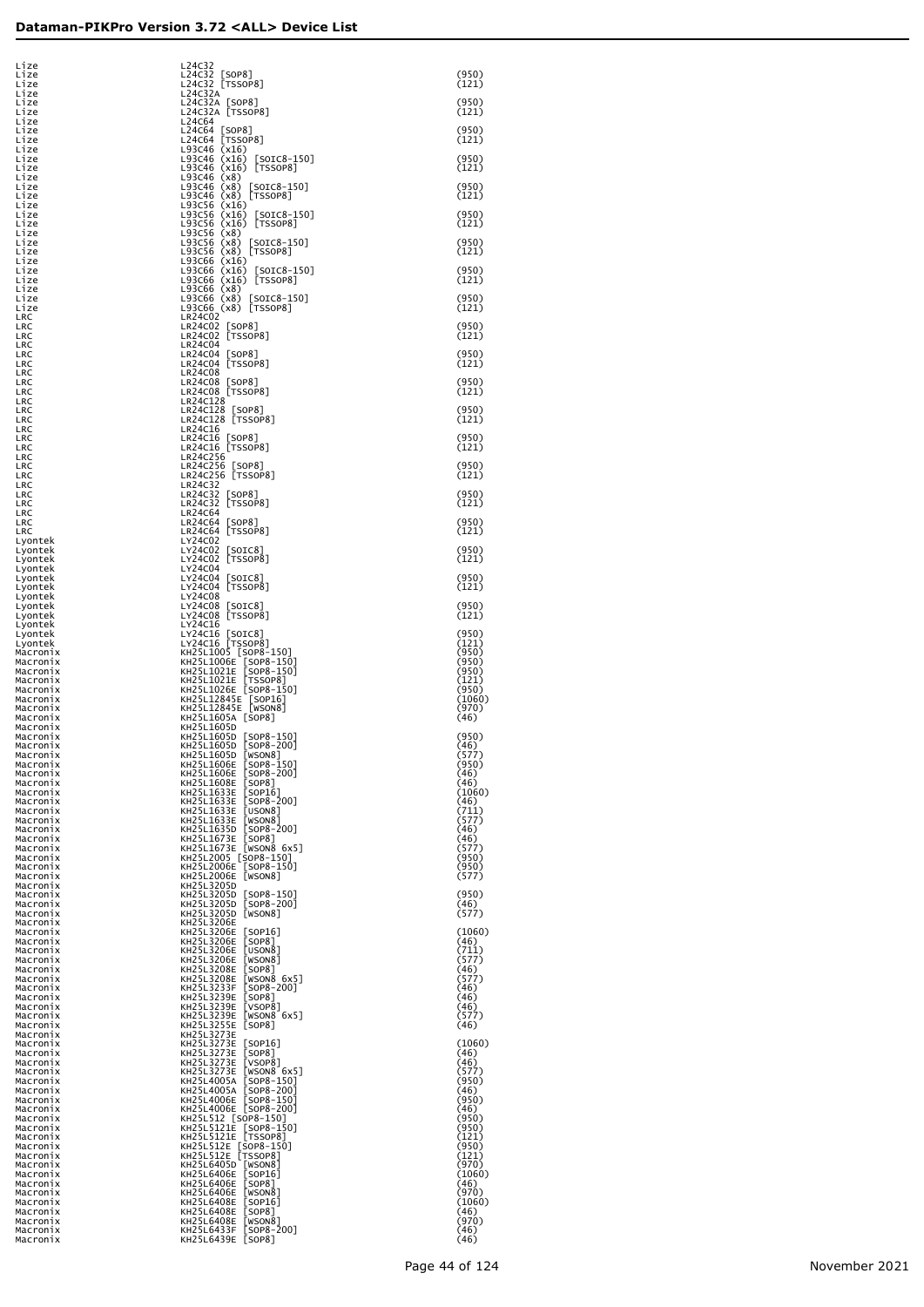| Lize                 | L24C32                                                    |                 |
|----------------------|-----------------------------------------------------------|-----------------|
| Lize                 | L24C32 [SOP8]                                             | (950)           |
| Lize<br>Lize         | L24C32 [TSSOP8]<br>L24C32A                                | (121)           |
| Lize<br>Lize         | L24C32A [SOP8]<br>L24C32A TSSOP8]                         | (950)<br>(121)  |
| Lize<br>Lize         | L24C64<br>L24C64 [SOP8]                                   | (950)           |
| Lize                 | L24C64 [TSSOP8]                                           | (121)           |
| Lize<br>Lize         | L93C46 (x16)<br>L93C46 (x16) [SOIC8-150]                  | (950)           |
| Lize<br>Lize         | L93C46 (x16) [TSSOP8]<br>L93C46 (x8)                      | (121)           |
| Lize<br>Lize         | L93C46 (x8) [SOIC8-150]<br>L93C46 (x8) [TSSOP8]           | (950)<br>(121)  |
| Lize<br>Lize         | L93C56 (x16)<br>L93C56 (x16) [SOIC8-150]                  | (950)           |
| Lize                 | L93C56 (x16) [TSSOP8]                                     | (121)           |
| Lize<br>Lize         | L93C56 (x8)<br>L93C56 (x8) [SOIC8-150]                    | (950)           |
| Lize<br>Lize         | L93C56 (x8) [TSSOP8]<br>$L93C66$ $(x16)$                  | (121)           |
| Lize<br>Lize         | $[SOIC8-150]$<br>L93C66 (x16)<br>L93C66 (x16) [TSSOP8]    | (950)<br>(121)  |
| Lize<br>Lize         | L93C66 (x8)<br>L93C66 (x8) [SOIC8-150]                    | (950)           |
| Lize<br>LRC          | L93C66 (x8) [TSSOP8]<br>LR24C02                           | (121)           |
| LRC                  | LR24C02 [SOP8]                                            | (950)           |
| LRC<br>LRC           | LR24C02 [TSSOP8]<br>LR24C04                               | (121)           |
| LRC<br>LRC           | LR24C04 [SOP8]<br>LR24C04 [TSSOP8]                        | (950)<br>(121)  |
| LRC<br>LRC           | LR24C08<br>LR24C08 [SOP8]                                 | (950)           |
| LRC<br>LRC           | LR24C08 [TSSOP8]<br>LR24C128                              | (121)           |
| LRC                  | LR24C128 [SOP8]                                           | (950)           |
| LRC<br>LRC           | LR24C128 [TSSOP8]<br>LR24C16                              | (121)           |
| LRC<br>LRC           | LR24C16 [SOP8]<br>LR24C16 [TSSOP8]                        | (950)<br>(121)  |
| LRC<br>LRC           | LR24C256<br>LR24C256 [SOP8]                               | (950)           |
| LRC<br>LRC           | LR24C256 [TSSOP8]<br>LR24C32                              | (121)           |
| LRC                  | LR24C32 [SOP8]<br>LR24C32 [TSSOP8]                        | (950)<br>(121)  |
| LRC<br>LRC           | LR24C64                                                   |                 |
| LRC<br>LRC           | LR24C64 [SOP8]<br>LR24C64 [TSSOP8]                        | (950)<br>(121)  |
| Lyontek<br>Lyontek   | LY24C02<br>LY24C02 [SOIC8]                                | (950)           |
| Lyontek<br>Lyontek   | LY24C02 [TSSOP8]<br>LY24C04                               | (121)           |
| Lyontek<br>Lyontek   | LY24C04 [SOIC8]<br>LY24C04 [TSSOP8]                       | (950)<br>(121)  |
| Lyontek<br>Lyontek   | LY24C08<br>LY24C08 [SOIC8]                                | (950)           |
| Lyontek              | LY24C08 [TSSOP8]                                          | (121)           |
| Lyontek<br>Lyontek   | LY24C16<br>LY24C16 [SOIC8]                                | (950)           |
| Lyontek<br>Macronix  | LY24C16 [TSSOP8]<br>KH25L1005 [SOP8-150]                  | (121)<br>(950)  |
| Macronix<br>Macronix | KH25L1006E [SOP8-150]<br>KH25L1021E SOP8-1501             | (950)<br>(950)  |
| Macronix<br>Macronix | KH25L1021E [TSSOP8]<br>KH25L1026E [SOP8-150]              | (121)<br>(950)  |
| Macronix             | KH25L12845E [SOP16]<br>KH25L12845E [WSON8]                | (1060)<br>(970) |
| Macronix<br>Macronix | KH25L1605A [SOP8]                                         | (46)            |
| Macronix<br>Macronix | KH25L1605D<br>KH25L1605D [SOP8-150]                       | (950)           |
| Macronix<br>Macronix | KH25L1605D [SOP8-200]<br>KH25L1605D [WSON8]               | (46)<br>(577)   |
| Macronix<br>Macronix | KH25L1606E<br>$[SOP8-150]$<br>KH25L1606E<br>[SOP8-200]    | (950)<br>(46)   |
| Macronix<br>Macronix | KH25L1608E<br>[SOP8]<br>KH25L1633E<br>[SOP16]             | (46)<br>(1060)  |
| Macronix<br>Macronix | KH25L1633E<br>$[$ SOP8-200]                               | (46)<br>(711)   |
| Macronix             | KH25L1633E<br>[USON8]<br>KH25L1633E<br>[WSON8]            | (577)           |
| Macronix<br>Macronix | KH25L1635D<br>$[$ SOP8-200]<br>KH25L1673E<br><b>SOP81</b> | (46)<br>(46)    |
| Macronix<br>Macronix | KH25L1673E [WSON8 6x5]<br>KH25L2005 [SOP8-150]            | (577)<br>(950)  |
| Macronix<br>Macronix | KH25L2006E [SOP8-150]<br>KH25L2006E [WSON8]               | (950)<br>(577)  |
| Macronix<br>Macronix | KH25L3205D<br>KH25L3205D<br>[SOP8-150]                    | (950)           |
| Macronix             | KH25L3205D<br><b>[SOP8-200]</b>                           | (46)            |
| Macronix<br>Macronix | KH25L3205D<br>[WSON8]<br>KH25L3206E                       | (577)           |
| Macronix<br>Macronix | KH25L3206E<br>[SOP16]<br>KH25L3206E<br>[SOP8]             | (1060)<br>(46)  |
| Macronix<br>Macronix | KH25L3206E<br>[USON8]<br>KH25L3206E<br>[WSON8]            | (711)<br>(577)  |
| Macronix<br>Macronix | KH25L3208E<br>[SOP8]<br>KH25L3208E<br>[WSON8 6x5]         | (46)<br>(577)   |
| Macronix<br>Macronix | KH25L3233F<br>[SOP8-200]<br>KH25L3239E<br>[SOP8]          | (46)<br>(46)    |
| Macronix             | KH25L3239E<br><b>[VSOP8]</b><br>KH25L3239E<br>[WSON8 6x5] | (46)<br>(577)   |
| Macronix<br>Macronix | KH25L3255E<br>[SOP8]                                      | (46)            |
| Macronix<br>Macronix | KH25L3273E<br>KH25L3273E<br>[SOP16]                       | (1060)          |
| Macronix<br>Macronix | KH25L3273E<br>[SOP8]<br>KH25L3273E<br><b>[VSOP8]</b>      | (46)<br>(46)    |
| Macronix<br>Macronix | KH25L3273E<br>[WSON8 6x5]<br>KH25L4005A<br>[SOP8-150]     | (577)<br>(950)  |
| Macronix<br>Macronix | KH25L4005A<br>[SOP8-200]<br>KH25L4006E<br>[SOP8-150]      | (46)<br>(950)   |
| Macronix             | KH25L4006E [SOP8-200]                                     | (46)<br>(950)   |
| Macronix<br>Macronix | KH25L512 [SOP8-150]<br>KH25L5121E<br>[SOP8-150]           | (950)           |
| Macronix<br>Macronix | KH25L5121E [TSSOP8]<br>KH25L512E [SOP8-150]               | (121)<br>(950)  |
| Macronix<br>Macronix | KH25L512E [TSSOP8]<br>KH25L6405D<br> WSON8                | (121)<br>(970)  |
| Macronix<br>Macronix | KH25L6406E<br>[SOP16]<br>KH25L6406E<br>[SOP8]             | (1060)<br>(46)  |
| Macronix<br>Macronix | KH25L6406E<br>[WSON8]<br>KH25L6408E<br>[SOP16]            | (970)<br>(1060) |
| Macronix             | KH25L6408E<br>[SOP8]                                      | (46)            |
| Macronix<br>Macronix | KH25L6408E<br> WSON8 <br>KH25L6433F<br>[SOP8-200]         | (970)<br>(46)   |
| Macronix             | KH25L6439E<br>[SOP8]                                      | (46)            |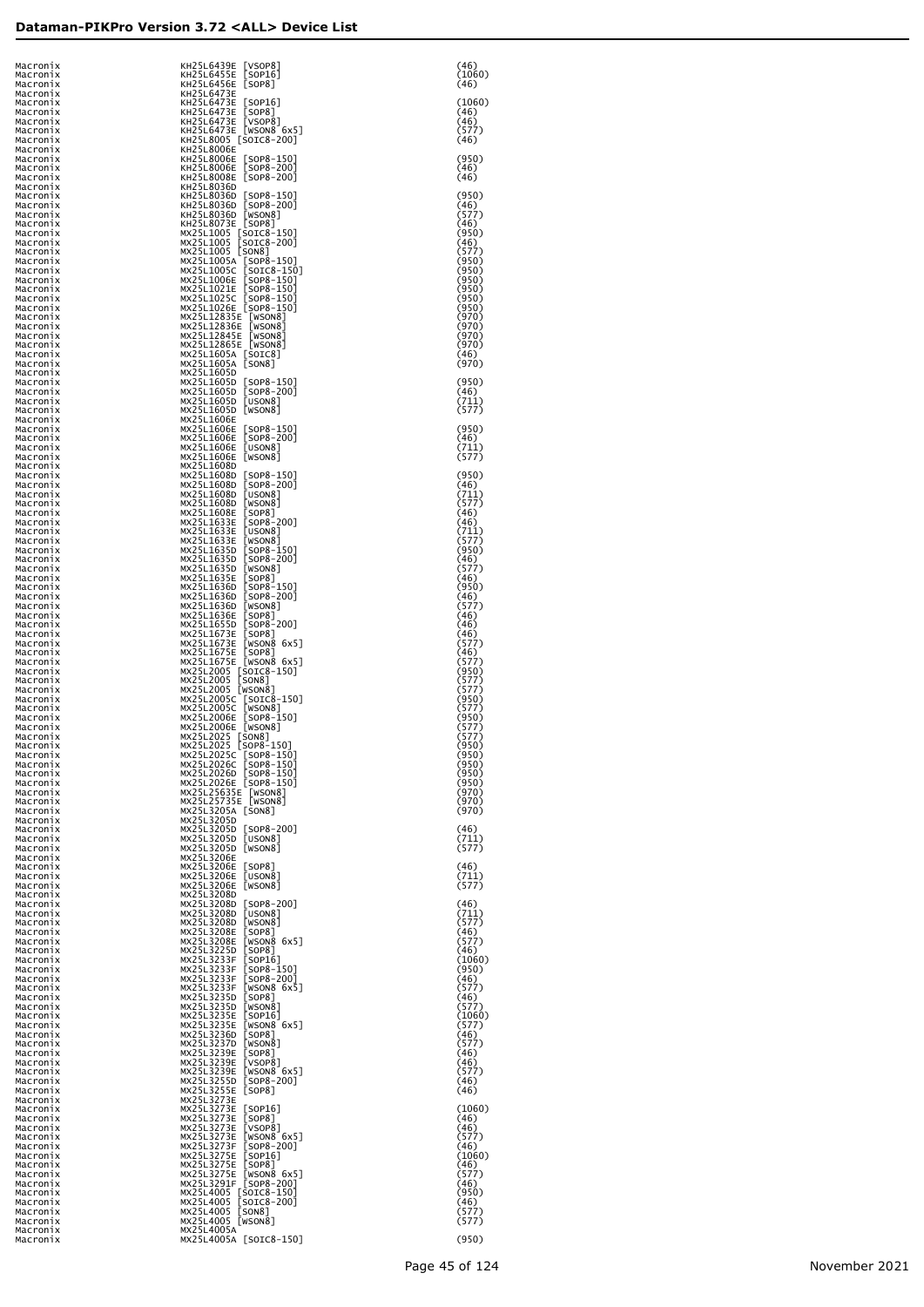| Macronix<br>Macronix | KH25L6439E [VSOP8]<br>KH25L6455E [SOP16]                                                                                                                             | (46)<br>(1060)            |
|----------------------|----------------------------------------------------------------------------------------------------------------------------------------------------------------------|---------------------------|
| Macronix<br>Macronix | KH25L6456E [SOP8]<br>KH25L6473E                                                                                                                                      | (46)                      |
| Macronix<br>Macronix | KH25L6473E [SOP16]<br>[SOP8]<br>KH25L6473E                                                                                                                           | (1060)<br>(46)            |
| Macronix<br>Macronix | KH25L6473E [VSOP8]<br>KH25L6473E [WSON8 6x5]<br>KH25L8005 [SOIC8-200]                                                                                                | (46)<br>(577)             |
| Macronix<br>Macronix | KH25L8006E                                                                                                                                                           | (46)                      |
| Macronix             | KH25L8006E [SOP8-150]<br>KH25L8006E [SOP8-200]                                                                                                                       | (950)<br>(46)             |
| Macronix<br>Macronix | KH25L8008E [SOP8-200]                                                                                                                                                | (46)                      |
| Macronix<br>Macronix | KH25L8036D<br>KH25L8036D [SOP8-150]<br>KH25L8036D [SOP8-200]                                                                                                         | (950)                     |
| Macronix<br>Macronix | KH25L8036D [WSON8]                                                                                                                                                   | (46)<br>(577)             |
| Macronix<br>Macronix | KH25L8073E [SOP8]<br>MX25L1005 [SOTC8-150]<br>MX25L1005 [SOTC8-200]                                                                                                  | (46)<br>(950)             |
| Macronix<br>Macronix | MX25L1005 [SON8]                                                                                                                                                     | (46)<br>(577)             |
| Macronix<br>Macronix | WX25L1005A [SOP8-150]<br>MX25L1005C [SOTC8-150]<br>MX25L1006E [SOP8-150]<br>MX25L1021E [SOP8-150]<br>MX25L1025C [SOP8-150]<br>MX25L1025C [SOP8-150]                  | (950)<br>(950)            |
| Macronix<br>Macronix |                                                                                                                                                                      | (950)<br>(950)            |
| Macronix<br>Macronix |                                                                                                                                                                      | (950)<br>(950)            |
| Macronix<br>Macronix | MX25L1026E [SOP8-150]<br>MX25L12835E [WSON8]<br>MX25L12836E [WSON8]<br>MX25L12845E [WSON8]<br>MX25L12865E [WSON8]<br>MX25L1605A [SOTC8]<br>MX25L1605A [SON8]         | (970)<br>(970)            |
| Macronix             |                                                                                                                                                                      | (970)                     |
| Macronix<br>Macronix |                                                                                                                                                                      | (970)<br>(46)             |
| Macronix<br>Macronix | MX25L1605A [SON8]<br>MX25L1605D                                                                                                                                      | (970)                     |
| Macronix<br>Macronix | MX25L1605D [SOP8-150]<br>MX25L1605D [SOP8-200]                                                                                                                       | (950)<br>(46)             |
| Macronix<br>Macronix | MX25L1605D [USON8]<br>MX25L1605D [WSON8]                                                                                                                             | (711)<br>(577)            |
| Macronix<br>Macronix | MX25L1606E<br>MX25L1606E [SOP8-150]                                                                                                                                  | (950)                     |
| Macronix<br>Macronix | $[SOP8-200]$<br>MX25L1606E<br>MX25L1606E<br>[USON8]                                                                                                                  | (46)<br>(711)             |
| Macronix             | MX25L1606E [WSON8]<br>MX25L1608D                                                                                                                                     | (577)                     |
| Macronix<br>Macronix | MX25L1608D [SOP8-150]<br>MX25L1608D [SOP8-200]                                                                                                                       | (950)                     |
| Macronix<br>Macronix | MX25L1608D [USON8]                                                                                                                                                   | (46)<br>(711)             |
| Macronix<br>Macronix | MX25L1608D<br>[WSON8]<br>MX25L1608E [SOP8]<br>MX25L1633E [SOP8-200]                                                                                                  | (577)<br>(46)             |
| Macronix<br>Macronix | MX25L1633E<br>[USON8]                                                                                                                                                | (46)<br>(711)             |
| Macronix<br>Macronix | MX25L1633E [WSON8]<br>MX25L1635D<br>$[SOP8-150]$                                                                                                                     | (577)<br>(950)            |
| Macronix<br>Macronix | MX25L1635D<br>$[SOP8-200]$<br>MX25L1635D<br>[WSON8]                                                                                                                  | (46)<br>(577)             |
| Macronix<br>Macronix | MX25L1635E [SOP8]<br>MX25L1636D [SOP8-150]                                                                                                                           | (46)<br>(950)             |
| Macronix<br>Macronix | MX25L1636D [SOP8-200]<br>MX25L1636D<br>[WSON8]                                                                                                                       | (46)<br>(577)             |
| Macronix<br>Macronix | MX25L1636E<br>$[$ SOP $8$ ]<br>MX25L1655D<br>$[SOP8-200]$                                                                                                            | (46)<br>(46)              |
| Macronix<br>Macronix | MX25L1673E<br>[SOP8]<br>MX25L1673E<br>[WSON8 6x5]                                                                                                                    | (46)<br>(577)             |
| Macronix<br>Macronix | MX25L1675E<br>[SOP8]                                                                                                                                                 | (46)<br>(577)             |
| Macronix<br>Macronix | MX25L1675E [WSON8 6x5]<br>MX25L2005 [SOIC8-150]<br>MX25L2005 [SON8]                                                                                                  | (950)<br>(577)            |
| Macronix<br>Macronix | MX23L2003 [WSON8]<br>MX25L2005 [WSON8]<br>MX25L2005C [SOIC8-150]                                                                                                     | (577)<br>(950)            |
| Macronix<br>Macronix | MX25L2005C<br>[WSON8]<br>MX25L2006E<br>$[SOP8-150]$                                                                                                                  | (577)<br>(950)            |
| Macronix<br>Macronix |                                                                                                                                                                      | (577)<br>(577)            |
| Macronix<br>Macronıx | MX25L2006E [WSON8]<br>MX25L2025 [SON8]<br>MX25L2025 [SOP8-150]<br>MX25L2025C [SOP8-150<br>MX25L2025C [SOP8-150                                                       | (950)                     |
| Macronix<br>Macronix | MX25L2025c [50P8-150]<br>MX25L2026c [50P8-150]<br>MX25L2026b [50P8-150]<br>MX25L2026e [50P8-150]<br>MX25L25635E [WSON8]<br>MX25L232335E [WSON8]<br>MX25L3205A [60N8] | 9 J U J<br>(950)<br>(950) |
| Macronix             |                                                                                                                                                                      | (950)                     |
| Macronix<br>Macronix |                                                                                                                                                                      | (970)<br>(970)            |
| Macronix<br>Macronix | MX25L3205A [SON8]<br>MX25L3205D                                                                                                                                      | (970)                     |
| Macronix<br>Macronix | MX25L3205D [SOP8-200]<br>MX25L3205D<br>[USON8]                                                                                                                       | (46)<br>(711)             |
| Macronix<br>Macronix | MX25L3205D [WSON8]<br>MX25L3206E                                                                                                                                     | (577)                     |
| Macronix<br>Macronix | MX25L3206E [SOP8]<br>MX25L3206E<br>[USON8]                                                                                                                           | (46)<br>(711)             |
| Macronix<br>Macronix | MX25L3206E [WSON8]<br>MX25L3208D                                                                                                                                     | (577)                     |
| Macronix<br>Macronix | MX25L3208D [SOP8-200]<br>MX25L3208D [USON8]                                                                                                                          | (46)<br>(711)             |
| Macronix<br>Macronix | MX25L3208D [WSON8]<br>MX25L3208E<br>$[$ SOP8]                                                                                                                        | (577)<br>(46)             |
| Macronix<br>Macronix | MX25L3208E<br>[WSON8 6x5]<br>MX25L3225D                                                                                                                              | (577)<br>(46)             |
| Macronix<br>Macronix | [SOP8]<br>[SOP16]<br>MX25L3233F<br>$[SOP8 - 150]$<br>MX25L3233F                                                                                                      | (1060)<br>(950)           |
| Macronix<br>Macronix | MX25L3233F<br>$[SOP8-200]$<br>[WSON8 6x5]<br>MX25L3233F                                                                                                              | (46)<br>(577)             |
| Macronix<br>Macronix | MX25L3235D<br>[SOP8]<br>MX25L3235D<br>[WSON8]                                                                                                                        | (46)<br>(577)             |
| Macronix<br>Macronix | MX25L3235E<br>[SOP16]<br>MX25L3235E<br>[WSON8 $6x5$ ]                                                                                                                | (1060)<br>(577)           |
| Macronix<br>Macronix | MX25L3236D<br>$[$ SOP $8$ ]<br>MX25L3237D<br>[WSON8]                                                                                                                 | (46)<br>(577)             |
| Macronix<br>Macronix | MX25L3239E<br>$[$ SOP $8$ ]<br>MX25L3239E<br>$[VSOP\bar{8}]$                                                                                                         | (46)<br>(46)              |
| Macronix             | MX25L3239E<br>[WSON8 6x5]<br>[SOP8-200]<br>MX25L3255D                                                                                                                | (577)<br>(46)             |
| Macronix<br>Macronix | MX25L3255E [SOP8]<br>MX25L3273E                                                                                                                                      | (46)                      |
| Macronix<br>Macronix | MX25L3273E [SOP16]<br>MX25L3273E                                                                                                                                     | (1060)                    |
| Macronix<br>Macronix | [SOP8]<br>[VSOP8]<br>MX25L3273E                                                                                                                                      | (46)<br>(46)              |
| Macronix<br>Macronix | MX25L3273E<br>[WSON8 6x5]<br>[SOP8-200]<br>MX25L3273F                                                                                                                | (577)<br>(46)             |
| Macronix<br>Macronix | MX25L3275E<br>$[$ SOP $16$ ]<br>MX25L3275E<br>$[$ SOP $8$ ]                                                                                                          | (1060)<br>(46)            |
| Macronix<br>Macronix | MX25L3275E                                                                                                                                                           | (577)<br>(46)             |
| Macronix<br>Macronix | MX25L3275E [WSON8 6x5]<br>MX25L3291F [SOP8-200]<br>MX25L4005 [SOTC8-150]<br>MX25L4005 [SOTC8-200]<br>MX25L4005 [SOTC8-200]                                           | (950)<br>(46)             |
| Macronix<br>Macronix | MX25L4005 [WSON8]                                                                                                                                                    | (577)<br>(577)            |
| Macronix<br>Macronix | MX25L4005A<br>MX25L4005A [SOIC8-150]                                                                                                                                 | (950)                     |
|                      |                                                                                                                                                                      |                           |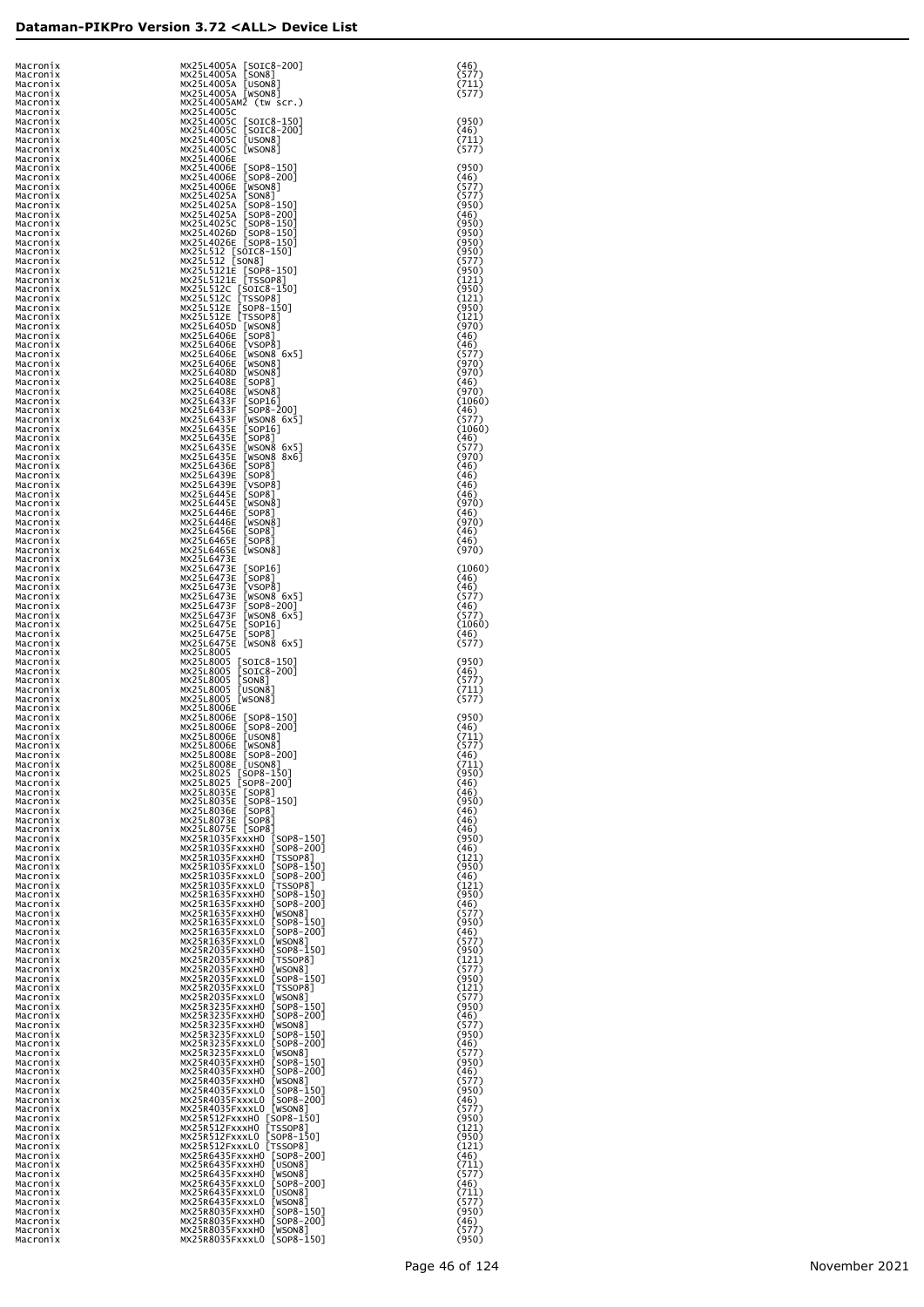| Macronix             | MX25L4005A [SOIC8-200]                                                                                                                                                                                                                                | (46)            |
|----------------------|-------------------------------------------------------------------------------------------------------------------------------------------------------------------------------------------------------------------------------------------------------|-----------------|
| Macronix<br>Macronix | [SON8]<br>MX25L4005A<br>MX25L4005A<br>[USON8]                                                                                                                                                                                                         | (577)<br>(711)  |
| Macronix<br>Macronix | MX25L4005A [WSON8]<br>MX25L4005AM2 (tw scr.)                                                                                                                                                                                                          | (577)           |
| Macronix<br>Macronix | MX25L4005C<br>MX25L4005C<br>$[SOIC8-150]$                                                                                                                                                                                                             | (950)           |
| Macronix<br>Macronix | $[SOIC8-200]$<br>MX25L4005C<br>[USON8]<br>MX25L4005C                                                                                                                                                                                                  | (46)<br>(711)   |
| Macronix<br>Macronix | MX25L4005C<br>[WSON8]<br>MX25L4006E                                                                                                                                                                                                                   | (577)           |
| Macronix<br>Macronix | MX25L4006E<br>$[SOP8-150]$<br>$[SOP8-200]$<br>MX25L4006E                                                                                                                                                                                              | (950)<br>(46)   |
| Macronix             | [WSON8]<br>MX25L4006E<br>MX25L4025A<br>[SON8]                                                                                                                                                                                                         | (577)<br>(577)  |
| Macronix<br>Macronix | $[SOP8-150]$<br>MX25L4025A                                                                                                                                                                                                                            | (950)           |
| Macronix<br>Macronix | $[SOP8-200]$<br>MX25L4025A<br>$[SOP8-150]$<br>MX25L4025C                                                                                                                                                                                              | (46)<br>(950)   |
| Macronix<br>Macronix | MX25L4026D [SOP8-150]<br>MX25L4026E [SOP8-150]                                                                                                                                                                                                        | (950)<br>(950)  |
| Macronix<br>Macronix | MX25L512 [SOIC8-150]<br>MX25L512 [SON8]                                                                                                                                                                                                               | (950)<br>(577)  |
| Macronix<br>Macronix | MX25L5121E [SOP8-150]<br>MX25L5121E [TSSOP8]<br>MX25L512LE [TSSOP8]<br>MX25L512C [SOP8-150]<br>MX25L512E [SOP8-150]<br>MX25L512E [TSSOP8]<br>MX25L512E [TSSOP8]<br>MX25L540SD [WSON8]                                                                 | (950)<br>(121)  |
| Macronix<br>Macronix |                                                                                                                                                                                                                                                       | (950)<br>(121)  |
| Macronix<br>Macronix |                                                                                                                                                                                                                                                       | (950)<br>(121)  |
| Macronix<br>Macronix | MX25L6405D [WSON8]<br>MX25L6406E [SOP8]                                                                                                                                                                                                               | (970)<br>(46)   |
| Macronix             | MX25L6406E<br>[VSOP8]                                                                                                                                                                                                                                 | (46)            |
| Macronix<br>Macronix | MX25L6406E<br>[WSON8 6x5]<br>MX25L6406E<br>[WSON8]                                                                                                                                                                                                    | (577)<br>(970)  |
| Macronix<br>Macronix | MX25L6408D<br>[WSON8]<br>MX25L6408E<br>$[$ SOP $8$ ]                                                                                                                                                                                                  | (970)<br>(46)   |
| Macronix<br>Macronix | MX25L6408E<br>[WSON8]<br>MX25L6433F<br>[SOP16]                                                                                                                                                                                                        | (970)<br>(1060) |
| Macronix<br>Macronix | MX25L6433F<br>$[SOP8-200]$<br>MX25L6433F<br>[WSON8 6x5]                                                                                                                                                                                               | (46)<br>(577)   |
| Macronix<br>Macronix | MX25L6435E<br>[SOP16]<br>MX25L6435E<br>[SOP8]                                                                                                                                                                                                         | (1060)<br>(46)  |
| Macronix<br>Macronix | MX25L6435E<br>[WSON8 6x5]<br>[WSON8 8x6]<br>MX25L6435E                                                                                                                                                                                                | (577)<br>(970)  |
| Macronix<br>Macronix | MX25L6436E<br>$[$ SOP $8$ ]<br>MX25L6439E<br>[SOP8]                                                                                                                                                                                                   | (46)<br>(46)    |
| Macronix             | MX25L6439E<br>[VSOP8]                                                                                                                                                                                                                                 | (46)            |
| Macronix<br>Macronix | MX25L6445E<br>[SOP8]<br>MX25L6445E<br>[WSON8]                                                                                                                                                                                                         | (46)<br>(970)   |
| Macronix<br>Macronix | MX25L6446E<br>[SOP8]<br>MX25L6446E<br>[WSON8]                                                                                                                                                                                                         | (46)<br>(970)   |
| Macronix<br>Macronix | MX25L6456E<br>[SOP8]<br>MX25L6465E<br>[SOP8]                                                                                                                                                                                                          | (46)<br>(46)    |
| Macronix<br>Macronix | MX25L6465E [WSON8]<br>MX25L6473E                                                                                                                                                                                                                      | (970)           |
| Macronix<br>Macronix | MX25L6473E<br>[SOP16]<br>MX25L6473E<br>$[$ SOP $8$ ]                                                                                                                                                                                                  | (1060)<br>(46)  |
| Macronix<br>Macronix | MX25L6473E<br>[VSOP8]<br>MX25L6473E<br>[WSON8 6x5]                                                                                                                                                                                                    | (46)<br>(577)   |
| Macronix<br>Macronix | MX25L6473F<br>[SOP8-200]<br>MX25L6473F<br>[WSON8 6x5]                                                                                                                                                                                                 | (46)<br>(577)   |
| Macronix<br>Macronix | MX25L6475E<br>[SOP16]<br>MX25L6475E<br>[SOP8]                                                                                                                                                                                                         | (1060)<br>(46)  |
| Macronix             | MX25L6475E [WSON8 6x5]<br>MX25L8005                                                                                                                                                                                                                   | (577)           |
| Macronix<br>Macronix | MX25L8005<br>[SOIC8-150]<br>[SOIC8-200]                                                                                                                                                                                                               | (950)           |
| Macronix<br>Macronix | MX25L8005<br> โีร0N8 J<br>MX25L8005                                                                                                                                                                                                                   | (46)<br>(577)   |
| Macronix<br>Macronix | [USON8]<br>MX25L8005<br>MX25L8005 [WSON8]                                                                                                                                                                                                             | (711)<br>(577)  |
| Macronix<br>Macronix | MX25L8006E<br>MX25L8006E [SOP8-150]<br>MX25L8006E [SOP8-200]                                                                                                                                                                                          | (950)           |
| Macronix<br>Macronix | MX25L8006E<br>[USON8]                                                                                                                                                                                                                                 | (46)<br>(711)   |
| Macronix<br>Macronix | MX25L8006E [WSON8]<br>MX25L8008E [SOP8-200]                                                                                                                                                                                                           | (577)<br>(46)   |
| Macronix<br>Macronix | MX25L8008E [USON8]<br>MX25L8025 [SOP8-150]<br>MX25L8025 [SOP8-200]                                                                                                                                                                                    | (711)<br>(950)  |
| Macronix<br>Macronix |                                                                                                                                                                                                                                                       | (46)<br>(46)    |
| Macronix<br>Macronix | MX25L8035E [SOP8]<br>MX25L8035E [SOP8-150]<br>MX25L8036E<br>$[$ SOP $8$ ]                                                                                                                                                                             | (950)<br>(46)   |
| Macronix<br>Macronix | MX25L8073E [SOP8]<br>MX25L8075E [SOP8]                                                                                                                                                                                                                | (46)<br>(46)    |
| Macronix<br>Macronix |                                                                                                                                                                                                                                                       | (950)<br>(46)   |
| Macronix             |                                                                                                                                                                                                                                                       | (121)<br>(950)  |
| Macronix<br>Macronix |                                                                                                                                                                                                                                                       | (46)            |
| Macronix<br>Macronix |                                                                                                                                                                                                                                                       | (121)<br>(950)  |
| Macronix<br>Macronix |                                                                                                                                                                                                                                                       | (46)<br>(577)   |
| Macronix<br>Macronix |                                                                                                                                                                                                                                                       | (950)<br>(46)   |
| Macronix<br>Macronix |                                                                                                                                                                                                                                                       | (577)<br>(950)  |
| Macronix<br>Macronix |                                                                                                                                                                                                                                                       | (121)<br>(577)  |
| Macronix<br>Macronix |                                                                                                                                                                                                                                                       | (950)<br>(121)  |
| Macronix<br>Macronix |                                                                                                                                                                                                                                                       | (577)<br>(950)  |
| Macronix             |                                                                                                                                                                                                                                                       | (46)            |
| Macronix<br>Macronix |                                                                                                                                                                                                                                                       | (577)<br>(950)  |
| Macronix<br>Macronix |                                                                                                                                                                                                                                                       | (46)<br>(577)   |
| Macronix<br>Macronix |                                                                                                                                                                                                                                                       | (950)<br>(46)   |
| Macronix<br>Macronix |                                                                                                                                                                                                                                                       | (577)<br>(950)  |
| Macronix<br>Macronix |                                                                                                                                                                                                                                                       | (46)<br>(577)   |
| Macronix<br>Macronix | MX2SR1033FXXXXID (SOP8-1501)<br>MX2SR1035FXXXHO (SOP8-1501)<br>MX2SR1035FXXXHO (SOP8-1501)<br>MX2SR1035FXXXHO (SOP8-1501)<br>MX2SR1035FXXXLO (SOP8-1501)<br>MX2SR1035FXXXLO (SOP8-2001)<br>MX2SR1035FXXXLO (TSOP8-1501)<br>MX2SR1035FXXXLO (TSOP8-2   | (950)<br>(121)  |
| Macronix<br>Macronix |                                                                                                                                                                                                                                                       | (950)<br>(121)  |
| Macronix             | MX25R6435FxxxHO [SOP8-200]<br>MX25R6435FxxxHO [USON8]                                                                                                                                                                                                 | (46)            |
| Macronix<br>Macronix |                                                                                                                                                                                                                                                       | (711)<br>(577)  |
| Macronix<br>Macronix | MX2SR6435FXXXHO [WSON8]<br>MX2SR6435FXXXHO [WSON8]<br>MX2SR6435FXXXLO [USON8]<br>MX2SR6435FXXXLO [USON8]<br>MX2SR8035FXXXHO [USON8]<br>MX2SR8035FXXXHO [SOP8-150]<br>MX2SR8035FXXXHO [SOP8-150]<br>MX2SR8035FXXXHO [WSON8]<br>MX2SR8035FXXXHO [WSON8] | (46)<br>(711)   |
| Macronix<br>Macronix |                                                                                                                                                                                                                                                       | (577)<br>(950)  |
| Macronix<br>Macronix |                                                                                                                                                                                                                                                       | (46)<br>(577)   |
| Macronix             | MX25R8035FxxxL0 [SOP8-150]                                                                                                                                                                                                                            | (950)           |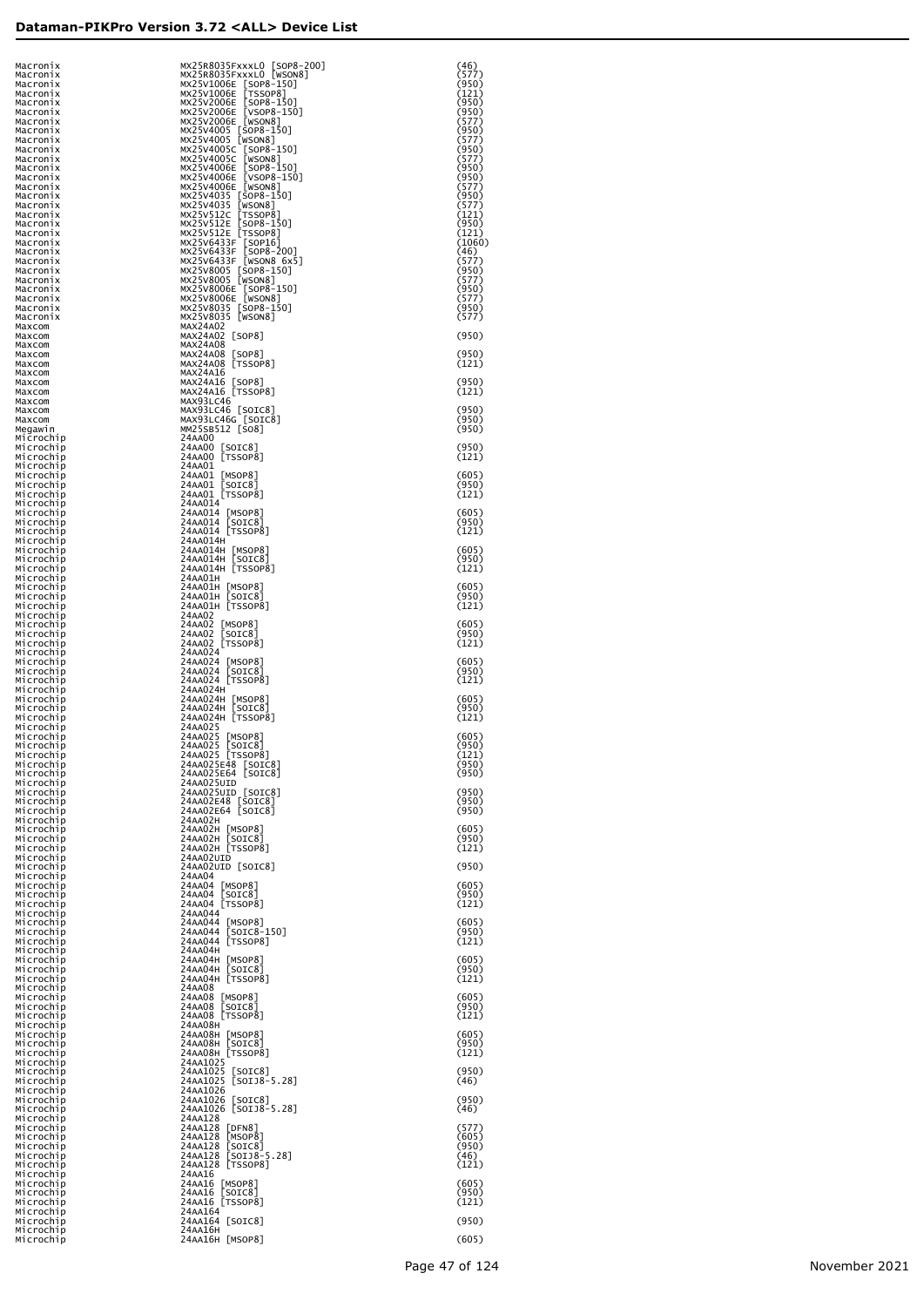| Macronix<br>Macronix   | MX25R8035FxxxL0 [SOP8-200]<br>MX25R8035FxxxL0 [WSON8]                                                                                                                                                                                              | (46)<br>(577)   |
|------------------------|----------------------------------------------------------------------------------------------------------------------------------------------------------------------------------------------------------------------------------------------------|-----------------|
| Macronix               |                                                                                                                                                                                                                                                    | (950)           |
| Macronix<br>Macronix   | MX23R8035FXXXLD<br>MX22SR8035FXXXLD<br>MX22SR8035FXXXLD<br>MX22SV2006E [SOP8-150]<br>MX22SV2006E [SOP8-150]<br>MX22SV2006E [VSOP8-150]<br>MX22SV2006E [VSOR8-150]<br>MX22SV2006E [WSON8]<br>MX22SV4005 [SOP8-150]<br>MX22SV4005 [SOP8-150]<br>MX22 | (121)<br>(950)  |
| Macronix<br>Macronix   |                                                                                                                                                                                                                                                    | (950)<br>(577)  |
| Macronix<br>Macronix   |                                                                                                                                                                                                                                                    | (950)<br>(577)  |
| Macronix<br>Macronix   |                                                                                                                                                                                                                                                    | (950)<br>(577)  |
| Macronix               |                                                                                                                                                                                                                                                    | (950)           |
| Macronix<br>Macronix   |                                                                                                                                                                                                                                                    | (950)<br>(577)  |
| Macronix<br>Macronix   |                                                                                                                                                                                                                                                    | (950)<br>(577)  |
| Macronix<br>Macronix   |                                                                                                                                                                                                                                                    | (121)<br>(950)  |
| Macronix<br>Macronix   |                                                                                                                                                                                                                                                    | (121)<br>(1060) |
| Macronix<br>Macronix   |                                                                                                                                                                                                                                                    | (46)<br>(577)   |
| Macronix               |                                                                                                                                                                                                                                                    | (950)           |
| Macronix<br>Macronix   |                                                                                                                                                                                                                                                    | (577)<br>(950)  |
| Macronix<br>Macronix   | MX25V8006E [SOP8-150]<br>MX25V8006E [WSON8]<br>MX25V8035 [SOP8-150]                                                                                                                                                                                | (577)<br>(950)  |
| Macronix<br>Maxcom     | MX25V8035 [WSON8]<br>MAX24A02                                                                                                                                                                                                                      | (577)           |
| Maxcom<br>Maxcom       | MAX24A02 [SOP8]<br>MAX24A08                                                                                                                                                                                                                        | (950)           |
| Maxcom                 | MAX24A08 [SOP8]                                                                                                                                                                                                                                    | (950)           |
| Maxcom<br>Maxcom       | MAX24A08 [TSSOP8]<br>MAX24A16                                                                                                                                                                                                                      | (121)           |
| Maxcom<br>Maxcom       | MAX24A16 [SOP8]<br>MAX24A16 [TSSOP8]                                                                                                                                                                                                               | (950)<br>(121)  |
| Maxcom<br>Maxcom       | MAX93LC46                                                                                                                                                                                                                                          | (950)           |
| Maxcom<br>Megawin      | MAX93LC46 [SOIC8]<br>MAX93LC46G [SOIC8]<br>MM25SB512 [SO8]                                                                                                                                                                                         | (950)<br>(950)  |
| Microchip<br>Microchip | 24AA00<br>24AA00 [SOIC8]                                                                                                                                                                                                                           | (950)           |
| Microchip<br>Microchip | 24AA00 [TSSOP8]<br>24AA01                                                                                                                                                                                                                          | (121)           |
| Microchip              |                                                                                                                                                                                                                                                    | (605)           |
| Microchip<br>Microchip | 24AA01 [MSOP8]<br>24AA01 [SOIC8]<br>24AA01 [TSSOP8]                                                                                                                                                                                                | (950)<br>(121)  |
| Microchip<br>Microchip | 24AA014                                                                                                                                                                                                                                            | (605)           |
| Microchip<br>Microchip | 24AA014 [MSOP8]<br>24AA014 [SOIC8]<br>24AA014 [TSSOP8]                                                                                                                                                                                             | (950)<br>(121)  |
| Microchip<br>Microchip | 24AA014H                                                                                                                                                                                                                                           | (605)           |
| Microchip              | 24AA014H [MSOP8]<br>24AA014H [SOIC8]<br>24AA014H [TSSOP8]                                                                                                                                                                                          | (950)           |
| Microchip<br>Microchip | 24AA01H                                                                                                                                                                                                                                            | (121)           |
| Microchip<br>Microchip | 24AA01H [MSOP8]<br>24AA01H [SOIC8]                                                                                                                                                                                                                 | (605)<br>(950)  |
| Microchip<br>Microchip | 24AA01H [TSSOP8]<br>24AA02                                                                                                                                                                                                                         | (121)           |
| Microchip<br>Microchip | 24AA02 [MSOP8]<br>24AA02 [SOIC8]                                                                                                                                                                                                                   | (605)<br>(950)  |
| Microchip<br>Microchip | 24AA02 [TSSOP8]<br>24AA024                                                                                                                                                                                                                         | (121)           |
| Microchip<br>Microchip | 24AA024 [MSOP8]<br>24AA024 [SOIC8]<br>24AA024 [TSSOP8]                                                                                                                                                                                             | (605)<br>(950)  |
| Microchip              | 24AA024H                                                                                                                                                                                                                                           | (121)           |
| Microchip<br>Microchip | 24AA024H [MSOP8]<br>24AA024H [SOIC8]                                                                                                                                                                                                               | (605)           |
| Microchip<br>Microchip | 24AA024H [TSSOP8]                                                                                                                                                                                                                                  | (950)<br>(121)  |
| Microchip<br>Microchip | 24AA025                                                                                                                                                                                                                                            | (605)           |
| Microchip<br>MICrocnip | 24AA025 [MSOP8]<br>24AA025 [SOIC8]<br>24AA025 [TSSOP8]                                                                                                                                                                                             | (950)<br>(121)  |
| Microchip<br>Microchip | 24AA025E48 [SOIC8]<br>24AA025E64 [SOIC8]                                                                                                                                                                                                           | (950)<br>(950)  |
| Microchip<br>Microchip | 24AA025UID                                                                                                                                                                                                                                         | (950)           |
| Microchip<br>Microchip | 24AA025UID [SOIC8]<br>24AA02E48 [SOIC8]<br>24AA02E64 [SOIC8]                                                                                                                                                                                       | (950)<br>(950)  |
| Microchip              | 24AA02H                                                                                                                                                                                                                                            |                 |
| Microchip<br>Microchip | 24AA02H [MSOP8]<br>24AA02H [SOIC8]<br>24AA02H [TSSOP8]                                                                                                                                                                                             | (605)<br>(950)  |
| Microchip<br>Microchip | 24AA02UID                                                                                                                                                                                                                                          | (121)           |
| Microchip<br>Microchip | 24AA02UID [SOIC8]<br>24AA04                                                                                                                                                                                                                        | (950)           |
| Microchip<br>Microchip | 24AA04 [MSOP8]<br>24AA04 [SOIC8]                                                                                                                                                                                                                   | (605)<br>(950)  |
| Microchip<br>Microchip | 24AA04 [TSSOP8]<br>24AA044                                                                                                                                                                                                                         | (121)           |
| Microchip<br>Microchip | 24AA044 [MSOP8]<br>24AA044 [SOIC8-150]<br>24AA044 [TSSOP8]                                                                                                                                                                                         | (605)<br>(950)  |
| Microchip<br>Microchip | 24AA04H                                                                                                                                                                                                                                            | (121)           |
| Microchip              |                                                                                                                                                                                                                                                    | (605)           |
| Microchip<br>Microchip | 24ААО4Н [MSOP8]<br>24ААО4Н [SOIC8]<br>24ААО4Н [TSSOP8]                                                                                                                                                                                             | (950)<br>(121)  |
| Microchip<br>Microchip | 24AA08<br>24AA08 [MSOP8]                                                                                                                                                                                                                           | (605)           |
| Microchip<br>Microchip | 24AA08 [SOIC8]<br>24AA08 [TSSOP8]                                                                                                                                                                                                                  | (950)<br>(121)  |
| Microchip<br>Microchip | 24AA08H                                                                                                                                                                                                                                            | (605)           |
| Microchip<br>Microchip | 24AA08H [MSOP8]<br>24AA08H [SOIC8]<br>24AA08H [TSSOP8]                                                                                                                                                                                             | (950)<br>(121)  |
| Microchip              | 24AA1025                                                                                                                                                                                                                                           |                 |
| Microchip<br>Microchip | 24AA1025 [SOIC8]<br>24AA1025 [SOIJ8-5.28]                                                                                                                                                                                                          | (950)<br>(46)   |
| Microchip<br>Microchip | 24AA1026<br>24AA1026 [SOIC8]<br>24AA1026 [SOIJ8-5.28]                                                                                                                                                                                              | (950)           |
| Microchip<br>Microchip | 24AA128                                                                                                                                                                                                                                            | (46)            |
| Microchip<br>Microchip | 24AA128 [DFN8]<br>24AA128 [MSOP8]<br>24AA128 [SOIC8]<br>24AA128 [SOIJ8-5.28]                                                                                                                                                                       | (577)<br>(605)  |
| Microchip<br>Microchip |                                                                                                                                                                                                                                                    | (950)<br>(46)   |
| Microchip<br>Microchip | 24AA128 [TSSOP8]<br>24AA16                                                                                                                                                                                                                         | (121)           |
| Microchip              | 24AA16 [MSOP8]                                                                                                                                                                                                                                     | (605)           |
| Microchip<br>Microchip | 24AA16 [SOIC8]<br>24AA16 [TSSOP8]                                                                                                                                                                                                                  | (950)<br>(121)  |
| Microchip<br>Microchip | 24AA164<br>24AA164 [SOIC8]                                                                                                                                                                                                                         | (950)           |
| Microchip<br>Microchip | 24AA16H<br>24AA16H [MSOP8]                                                                                                                                                                                                                         | (605)           |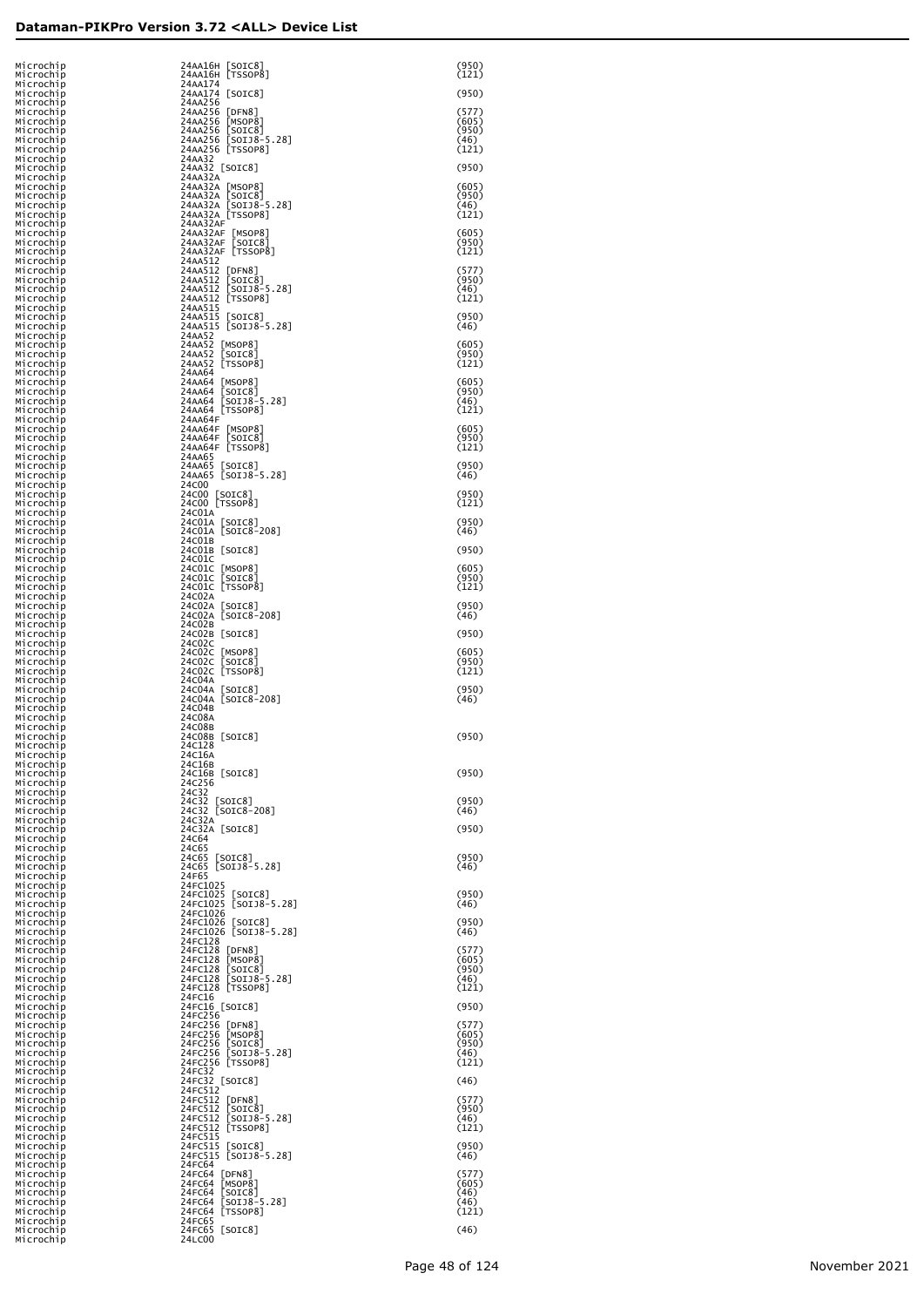| Microchip<br>Microchip              | 24AA16H [SOIC8]<br>24AA16H [TSSOP8]                                            | (950)<br>(121)          |
|-------------------------------------|--------------------------------------------------------------------------------|-------------------------|
| Microchip<br>Microchip              | 24AA174<br>24AA174 [SOIC8]                                                     | (950)                   |
| Microchip<br>Microchip<br>Microchip | 24AA256<br>24AA256 [DFN8]<br>24AA256<br>[MSOP8]                                | (577)<br>(605)          |
| Microchip<br>Microchip              | [SOIC8]<br>[SOIJ8-5.28]<br>24AA256<br>24AA256                                  | (950)<br>(46)           |
| Microchip<br>Microchip              | 24AA256 [TSSOP8]<br>24AA32                                                     | (121)                   |
| Microchip<br>Microchip              | 24AA32 [SOIC8]<br>24AA32A<br>24AA32A [MSOP8]                                   | (950)<br>(605)          |
| Microchip<br>Microchip<br>Microchip | 24AA32A [SOIC8]<br>24AA32A [SOIJ8-5.28]                                        | (950)<br>(46)           |
| Microchip<br>Microchip              | 24AA32A [TSSOP8]<br>24AA32AF                                                   | (121)                   |
| Microchip<br>Microchip<br>Microchip | 24AA32AF<br>[MSOP8]<br>24AA32AF<br>[SOIC8]<br>24AA32AF [TSSOP8]                | (605)<br>(950)<br>(121) |
| Microchip<br>Microchip              | 24AA512<br>24AA512 [DFN8]                                                      | (577)                   |
| Microchip<br>Microchip              | 24AA512 [SOIC8]<br>24AA512 [SOIC8]                                             | (950)<br>(46)           |
| Microchip<br>Microchip<br>Microchip | 24AA512 [TSSOP8]<br>24AA515<br>24AA515                                         | (121)<br>(950)          |
| Microchip<br>Microchip              | 24AA515 [SOIC8]<br>24AA515 [SOIJ8-5.28]<br>24AA52                              | (46)                    |
| Microchip<br>Microchip              | 24AA52 [MSOP8]<br>24AA52<br>[SOIC8]                                            | (605)<br>(950)          |
| Microchip<br>Microchip<br>Microchip | 24AA52 [TSSOP8]<br>24AA64<br>24AA64 [MSOP8]                                    | (121)<br>(605)          |
| Microchip<br>Microchip              | 24AA64<br>[SOIC8]<br>[SOIJ8-5.28]<br>24AA64                                    | (950)<br>(46)           |
| Microchip<br>Microchip              | 24AA64 [TSSOP8]<br>24AA64F                                                     | (121)                   |
| Microchip<br>Microchip<br>Microchip | 24AA64F [MSOP8]<br>24AA64F [SOIC8]<br>24AA64F [TSSOP8]                         | (605)<br>(950)<br>(121) |
| Microchip<br>Microchip              | 24AA65<br>24AA65<br>[SOIC8]                                                    | (950)                   |
| Microchip<br>Microchip              | 24AA65 [SOIJ8-5.28]<br>24C00                                                   | (46)                    |
| Microchip<br>Microchip<br>Microchip | 24C00 [SOIC8]<br>24C00 [TSSOP8]<br>24C01A                                      | (950)<br>(121)          |
| Microchip<br>Microchip              | 24C01A [SOIC8]<br>24C01A [SOIC8-208]                                           | (950)<br>(46)           |
| Microchip<br>Microchip<br>Microchip | 24C01B<br>24C01B [SOIC8]<br>24C01C                                             | (950)                   |
| Microchip<br>Microchip              | 24CO1C [MSOP8]                                                                 | (605)<br>(950)          |
| Microchip<br>Microchip              | 24CO1C [SOIC8]<br>24CO1C [TSSOP8]<br>24C02A                                    | (121)                   |
| Microchip<br>Microchip<br>Microchip | 24C02A [SOIC8]<br>24C02A [SOIC8-208]<br>24C02B                                 | (950)<br>(46)           |
| Microchip<br>Microchip              | 24C02B [SOIC8]<br>24C02C                                                       | (950)                   |
| Microchip<br>Microchip<br>Microchip | 24C02C [MSOP8]<br>24C02C [SOIC8]<br>24C02C [TSSOP8]                            | (605)<br>(950)<br>(121) |
| Microchip<br>Microchip              | 24C04A<br>24C04A [SOIC8]                                                       | (950)                   |
| Microchip<br>Microchip<br>Microchip | 24C04A [SOIC8-208]<br>24C04B<br>24C08A                                         | (46)                    |
| Microchip<br>Microchip              | 24C08B<br>24C08B [SOIC8]                                                       | (950)                   |
| Microchip<br>Microchip              | 24C128<br>24C16A                                                               |                         |
| Microchip<br>Microchip<br>Microchip | 24C16B<br>24C16B [SOIC8]<br>24C256                                             | (950)                   |
| Microchip<br>Microchip              | 24C32<br>24c32 [SOIC8]                                                         | (950)                   |
| Microchip<br>Microchip<br>Microchip | 24C32 [SOIC8-208]<br>24C32A<br>24C32A [SOIC8]                                  | (46)<br>(950)           |
| Microchip<br>Microchip              | 24C64<br>24C65                                                                 |                         |
| Microchip<br>Microchip<br>Microchip | 24C65 [SOIC8]<br>$[50138 - 5.28]$<br>24C65<br>24F65                            | (950)<br>(46)           |
| Microchip<br>Microchip              | 24FC1025<br>24FC1025<br>[SOIC8]                                                | (950)                   |
| Microchip<br>Microchip<br>Microchip | 24FC1025<br>$[SOI38-5.28]$<br>24FC1026                                         | (46)                    |
| Microchip<br>Microchip              | 24FC1026 [SOIC8]<br>24FC1026 [SOIJ8-5.28]<br>24FC128                           | (950)<br>(46)           |
| Microchip<br>Microchip              | 24FC128 [DFN8]                                                                 | (577)<br>(605)          |
| Microchip<br>Microchip<br>Microchip | 24FC128 [MSOP8]<br>24FC128 [SOIC8]<br>24FC128 [SOIJ8-5.28]<br>24FC128 [TSSOP8] | (950)<br>(46)<br>(121)  |
| Microchip<br>Microchip              | 24FC16<br>24FC16 [SOIC8]                                                       | (950)                   |
| Microchip<br>Microchip<br>Microchip | 24FC256<br>24FC256<br>[DFN8]<br>24FC256<br>[MSOP8]                             | (577)<br>(605)          |
| Microchip<br>Microchip              | 24FC256<br>[SOIC8]<br>[SOIJ8-5.28]<br>24FC256                                  | (950)<br>(46)           |
| Microchip<br>Microchip<br>Microchip | 24FC256 [TSSOP8]<br>24FC32                                                     | (121)<br>(46)           |
| Microchip<br>Microchip              | 24FC32 [SOIC8]<br>24FC512<br>24FC512<br>[DFN8]                                 | (577)                   |
| Microchip<br>Microchip              | 24FC512<br>[SOIC8]<br>[SOIJ8-5.28]<br>24FC512                                  | (950)<br>(46)           |
| Microchip<br>Microchip<br>Microchip | [TSSOP8]<br>24FC512<br>24FC515                                                 | (121)<br>(950)          |
| Microchip<br>Microchip              | 24FC515 [SOIC8]<br>24FC515 [SOIJ8-5.28]<br>24FC64                              | (46)                    |
| Microchip<br>Microchip<br>Microchip | 24FC64<br>[DFN8]<br>24FC64<br>[MSOP8]<br>24FC64<br>[SOIC8]                     | (577)<br>(605)<br>(46)  |
| Microchip<br>Microchip              | SOIJ8-5.28]<br>24FC64<br>24FC64<br>[TSSOP8]                                    | (46)<br>(121)           |
| Microchip<br>Microchip<br>Microchip | 24FC65<br>24FC65<br>[SOIC8]<br>24LC00                                          | (46)                    |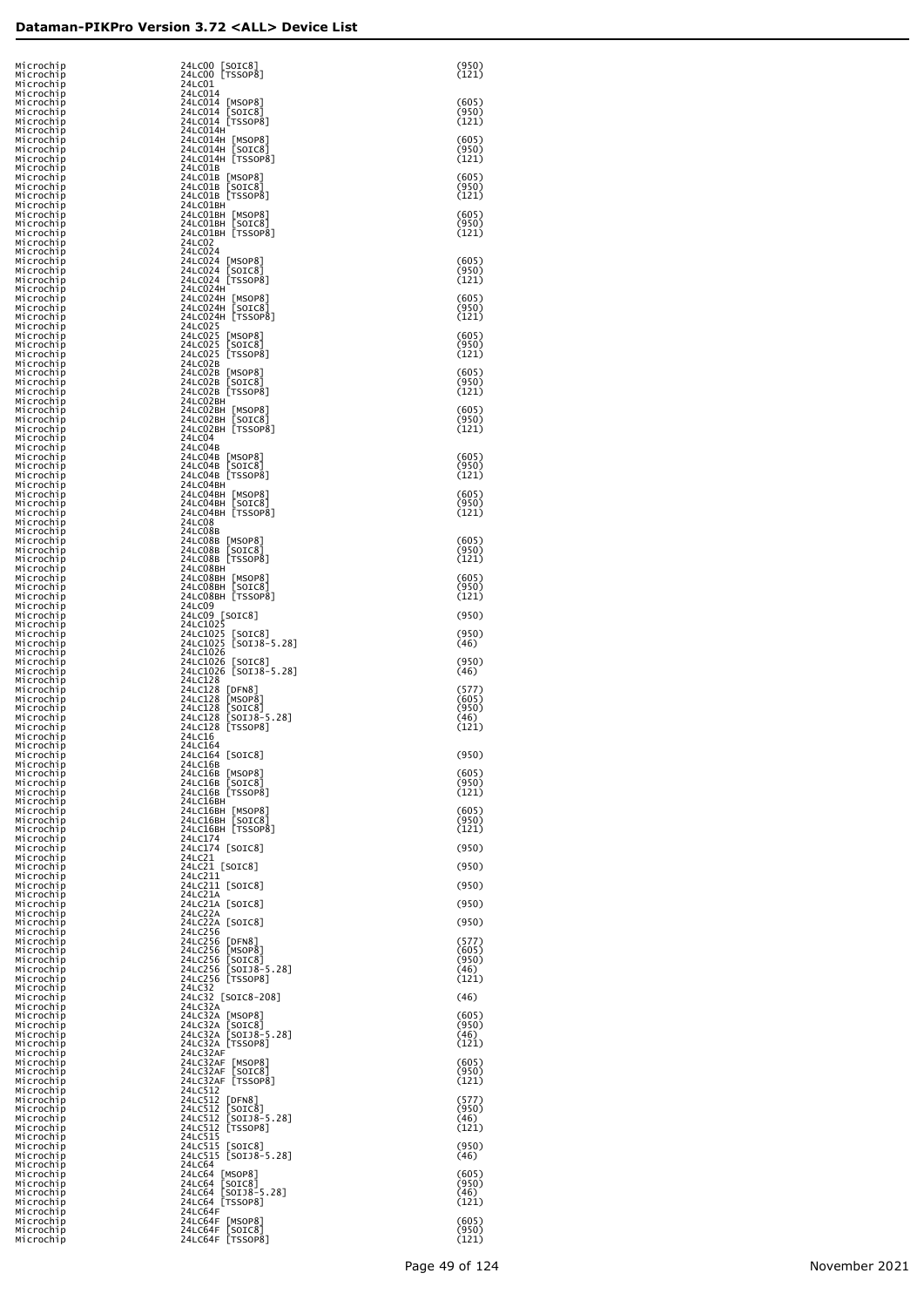| 24LC00 [SOIC8]<br>Microchip<br>Microchip<br>24LC00 [TSSOP8]                                                           | (950)<br>(121)          |
|-----------------------------------------------------------------------------------------------------------------------|-------------------------|
| 24LC01<br>Microchip<br>24LC014<br>Microchip<br>24LC014 [MSOP8]<br>Microchip                                           | (605)                   |
| 24LC014 [SOIC8]<br>Microchip<br>24LC014 [TSSOP8]<br>Microchip                                                         | (950)<br>(121)          |
| Microchip<br>24LC014H<br>24LC014H [MSOP8]<br>Microchip                                                                | (605)                   |
| 24LC014H [SOIC8]<br>Microchip<br>24LC014H [TSSOP8]<br>Microchip<br>Microchip<br>24LC01B                               | (950)<br>(121)          |
| 24LC01B [MSOP8]<br>Microchip<br>24LC01B [SOIC8]<br>Microchip                                                          | (605)<br>(950)          |
| Microchip<br>24LC01B [TSSOP8]<br>Microchip<br>24LC01BH                                                                | (121)<br>(605)          |
| Microchip<br>24LC01BH [MSOP8]<br>Microchip<br>24LC01BH [SOIC8]<br>24LC01BH [TSSOP8]<br>Microchip                      | (950)<br>(121)          |
| 24LC02<br>Microchip<br>24LC024<br>Microchip                                                                           |                         |
| 24LC024 [MSOP8]<br>Microchip<br>24LC024 [SOIC8]<br>Microchip<br>24LC024 [TSSOP8]<br>Microchip                         | (605)<br>(950)<br>(121) |
| 24LC024H<br>Microchip<br>24LC024H [MSOP8]<br>Microchip                                                                | (605)                   |
| 24LC024H [SOIC8]<br>Microchip<br>24LC024H [TSSOP8]<br>Microchip                                                       | (950)<br>(121)          |
| 24LC025<br>Microchip<br>24LC025<br>Microchip<br>$\lfloor$ MSOP $8$ ]<br>24LC025<br>Microchip<br>$\lfloor$ SOIC $8$ ]  | (605)<br>(950)          |
| 24LC025 [TSSOP8]<br>Microchip<br>24LC02B<br>Microchip                                                                 | (121)                   |
| 24LC02B [MSOP8]<br>Microchip<br>24LC02B [SOIC8]<br>Microchip<br>24LC02B [TSSOP8]<br>Microchip                         | (605)<br>(950)<br>(121) |
| 24LC02BH<br>Microchip<br>24LC02BH [MSOP8]<br>Microchip                                                                | (605)                   |
| 24LC02BH [SOIC8]<br>Microchip<br>24LC02BH [TSSOP8]<br>Microchip                                                       | (950)<br>(121)          |
| 24LC04<br>Microchip<br>24LC04B<br>Microchip<br>24LC04B [MSOP8]<br>Microchip                                           | (605)                   |
| 24LC04B [SOIC8]<br>Microchip<br>24LC04B [TSSOP8]<br>Microchip                                                         | (950)<br>(121)          |
| 24LC04BH<br>Microchip<br>24LC04BH [MSOP8]<br>Microchip                                                                | (605)                   |
| 24LC04BH [SOIC8]<br>Microchip<br>24LC04BH [TSSOP8]<br>Microchip<br>24LC08<br>Microchip                                | (950)<br>(121)          |
| 24LC08B<br>Microchip<br>24LC08B [MSOP8]<br>Microchip                                                                  | (605)                   |
| 24LC08B [SOIC8]<br>Microchip<br>24LC08B [TSSOP8]<br>Microchip<br>24LC08BH<br>Microchip                                | (950)<br>(121)          |
| 24LC08BH [MSOP8]<br>Microchip<br>24LC08BH [SOIC8]<br>Microchip                                                        | (605)<br>(950)          |
| 24LC08BH [TSSOP8]<br>Microchip<br>24LC09<br>Microchip                                                                 | (121)                   |
| 24LC09 [SOIC8]<br>Microchip<br>24LC1025<br>Microchip<br>24LC1025 [SOIC8]<br>Microchip                                 | (950)<br>(950)          |
| 24LC1025 [SOIJ8-5.28]<br>Microchip<br>24LC1026<br>Microchip                                                           | (46)                    |
| 24LC1026 [SOIC8]<br>Microchip<br>24LC1026 [SOIJ8-5.28]<br>Microchip<br>24LC128<br>Microchip                           | (950)<br>(46)           |
| 24LC128 [DFN8]<br>Microchip<br>24LC128<br>Microchip<br> MSOP8                                                         | (577)<br>(605)          |
| 24LC128<br>Microchip<br>[SOIC8]<br>24LC128 [SOIJ8-5.28]<br>Microchip                                                  | (950)<br>(46)<br>(121)  |
| 24LC128 [TSSOP8]<br>Microchip<br>Microchip<br>24LC16<br>24LC164<br>Microchip                                          |                         |
| 24LC164 [SOIC8]<br>Microchip<br>Microchip<br>24LC16B                                                                  | (950)                   |
| Microchip<br>24LC16B [MSOP8]<br>Microchip<br>24LC16B [SOIC8]<br>Microchip<br>24LC16B [TSSOP8]                         | (605)<br>(950)<br>(121) |
| Microchip<br>24LC16BH<br>Microchip<br>24LC16BH [MSOP8]                                                                | (605)                   |
| 24LC16BH [SOIC8]<br>Microchip<br>24LC16BH [TSSOP8]<br>Microchip<br>24LC174                                            | (950)<br>(121)          |
| Microchip<br>24LC174 [SOIC8]<br>Microchip<br>24LC21<br>Microchip                                                      | (950)                   |
| 24LC21 [SOIC8]<br>Microchip<br>24LC211<br>Microchip                                                                   | (950)                   |
| 24LC211 [SOIC8]<br>Microchip<br>Microchip<br>24LC21A<br>24LC21A [SOIC8]<br>Microchip                                  | (950)<br>(950)          |
| 24LC22A<br>Microchip<br>24LC22A [SOIC8]<br>Microchip                                                                  | (950)                   |
| 24LC256<br>Microchip<br>24LC256<br>Microchip<br> DFN8 <br>24LC256<br>[MSOP8]<br>Microchip                             | (577)<br>(605)          |
| 24LC256<br>Microchip<br>$\lfloor$ SOIC $8$<br>24LC256<br>$[SOI38-5.28]$<br>Microchip                                  | (950)<br>(46)           |
| 24LC256 [TSSOP8]<br>Microchip<br>24LC32<br>Microchip                                                                  | (121)                   |
| 24LC32 [SOIC8-208]<br>Microchip<br>24LC32A<br>Microchip<br>24LC32A<br>Microchip<br> MSOP8                             | (46)<br>(605)           |
| 24LC32A<br>Microchip<br>$\lfloor$ SOIC $8$<br>24LC32A<br>$[SOI38-5.28]$<br>Microchip                                  | (950)<br>(46)           |
| 24LC32A [TSSOP8]<br>Microchip<br>24LC32AF<br>Microchip<br>24LC32AF [MSOP8]<br>Microchip                               | (121)<br>(605)          |
| 24LC32AF<br>[SOIC8]<br>Microchip<br>24LC32AF [TSSOP8]<br>Microchip                                                    | (950)<br>(121)          |
| 24LC512<br>Microchip<br>24LC512<br>Microchip<br>DFN8                                                                  | (577)                   |
| 24LC512<br>Microchip<br>$\lfloor$ SOIC $8$<br>24LC512<br>$[SOI38-5.28]$<br>Microchip<br>24LC512 [TSSOP8]<br>Microchip | (950)<br>(46)<br>(121)  |
| 24LC515<br>Microchip<br>24LC515<br>Microchip<br>$\lfloor$ SOIC $8$ ]                                                  | (950)                   |
| 24LC515 [SOIJ8-5.28]<br>Microchip<br>24LC64<br>Microchip<br>24LC64 [MSOP8]<br>Microchip                               | (46)<br>(605)           |
|                                                                                                                       |                         |
| 24LC64<br>$\lfloor$ SOIC $8$ ]<br>$[50138 - 5.28]$<br>24LC64                                                          | (950)<br>(46)           |
| Microchip<br>Microchip<br>24LC64 [TSSOP8]<br>Microchip<br>24LC64F<br>Microchip<br>24LC64F [MSOP8]<br>Microchip        | (121)<br>(605)          |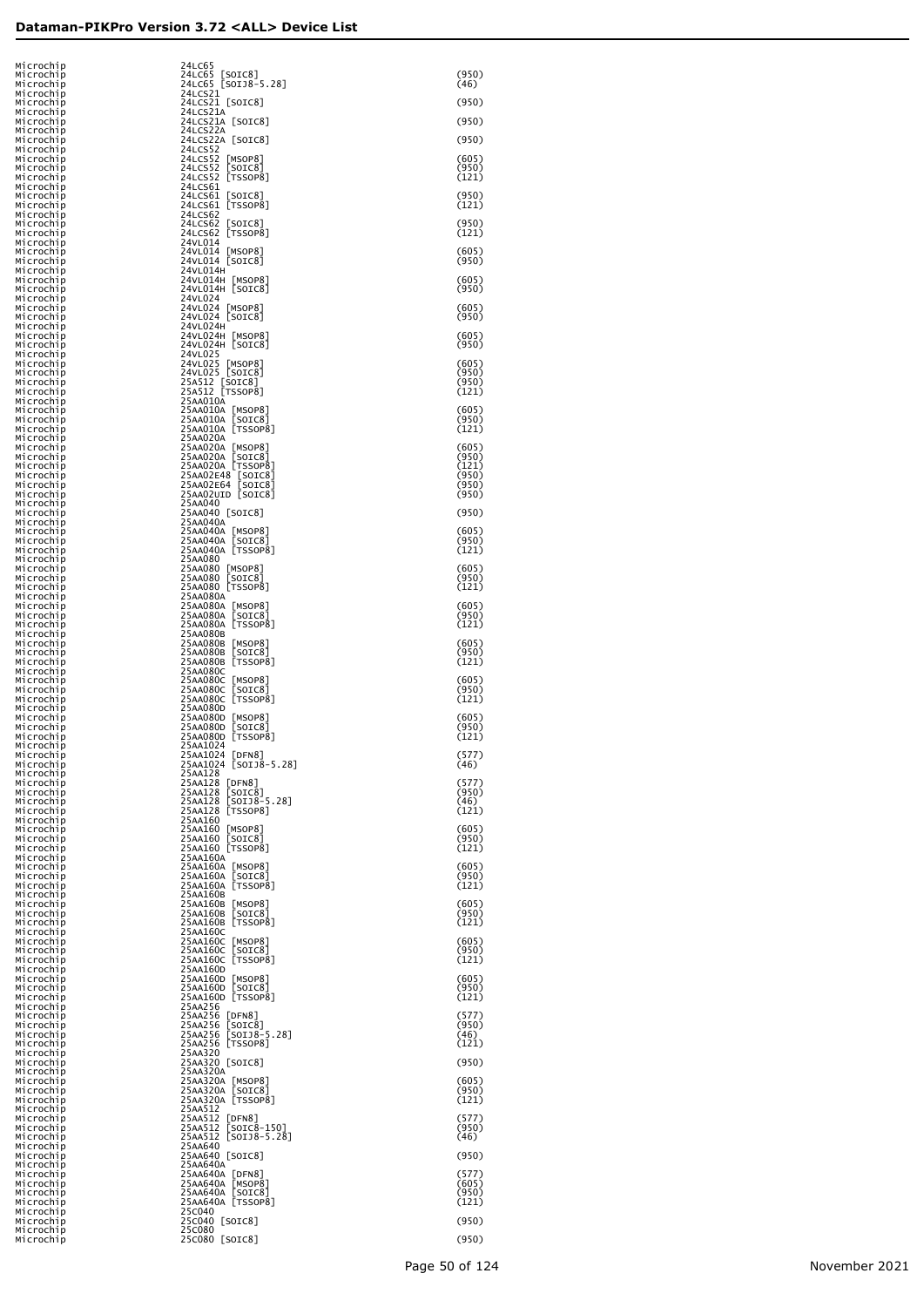| Microchip                           | 24LC65                                                                 |                         |
|-------------------------------------|------------------------------------------------------------------------|-------------------------|
| Microchip<br>Microchıp              | 24LC65 [SOIC8]<br>24LC65 [SOIJ8-5.28]                                  | (950)<br>(46)           |
| Microchip<br>Microchip              | 24LCS21<br>24LCS21 [SOIC8]                                             | (950)                   |
| Microchip<br>Microchip<br>Microchip | 24LCS21A<br>24LCS21A [SOIC8]<br>24LCS22A                               | (950)                   |
| Microchip<br>Microchip              | 24LCS22A [SOIC8]<br>24LCS52                                            | (950)                   |
| Microchip<br>Microchip              | 24LCS52 [MSOP8]<br>24LCS52 [SOIC8]                                     | (605)<br>(950)          |
| Microchip<br>Microchip<br>Microchip | 24LCS52 [TSSOP8]<br>24LCS61<br>24LCS61 [SOIC8]                         | (121)<br>(950)          |
| Microchip<br>Microchip              | 24LCS61 [TSSOP8]<br>24LCS62                                            | (121)                   |
| Microchip<br>Microchıp<br>Microchıp | 24LCS62 [SOIC8]<br>24LCS62 [TSSOP8]<br>24VL014                         | (950)<br>(121)          |
| Microchip<br>Microchip              | 24VL014 [MSOP8]<br>24VL014 [SOIC8]                                     | (605)<br>(950)          |
| Microchip<br>Microchip<br>Microchip | 24VL014H<br>24VL014H [MSOP8]<br>24VL014H [SOIC8]                       | (605)<br>(950)          |
| Microchip<br>Microchip              | 24VL024<br>24VL024 [MSOP8]                                             | (605)                   |
| Microchip<br>Microchip<br>Microchip | 24VL024 [SOIC8]<br>24VL024H                                            | (950)<br>(605)          |
| Microchip<br>Microchip              | 24VL024H [MSOP8]<br>24VL024H [SOIC8]<br>24VL025                        | (950)                   |
| Microchip<br>Microchip<br>Microchip | 24VL025 [MSOP8]<br>24VL025 [SOIC8]                                     | (605)<br>(950)<br>(950) |
| Microchip<br>Microchip              | 25A512 [SOIC8]<br>25AA010A                                             | (121)                   |
| Microchip<br>Microchip<br>Microchip | 25AA010A [MSOP8]<br>25AA010A [SOIC8]<br>25AA010A [TSSOP8]              | (605)<br>(950)<br>(121) |
| Microchip<br>Microchip              | 25AA020A<br>25AA020A [MSOP8]<br>25AA020A [SOIC8]                       | (605)                   |
| Microchip<br>Microchip<br>Microchip | 25AA020A [355OP8]<br>25AA02E48 [SOIC8]<br>25AA02E64 [SOIC8]            | (950)<br>(121)<br>(950) |
| Microchip<br>Microchip              | 25AA02UID [SOIC8]                                                      | (950)<br>(950)          |
| Microchip<br>Microchip              | 25AA040<br>25AA040 [SOIC8]                                             | (950)                   |
| Microchip<br>Microchip<br>Microchip | 25AA040A<br>25AA040A [MSOP8]<br>[SOIC8]<br>25AA040A                    | (605)<br>(950)          |
| Microchip<br>Microchip              | 25AA040A [TSSOP8]<br>25AA080                                           | (121)                   |
| Microchip<br>Microchip<br>Microchip | 25AA080 [MSOP8]<br>25AA080<br>[SOIC8]<br>25AA080 [TSSOP8]              | (605)<br>(950)<br>(121) |
| Microchip<br>Microchip              | 25AA080A<br>25AA080A [MSOP8]<br>25AA080A [SOIC8]                       | (605)                   |
| Microchip<br>Microchip<br>Microchip | 25AA080A [TSSOP8]<br>25AA080B                                          | (950)<br>(121)          |
| Microchip<br>Microchip<br>Microchip | 25AA080B<br>[MSOP8]<br>[201C8]<br>25AA080B<br>[TSSOP8]<br>25AA080B     | (605)<br>(950)          |
| Microchip<br>Microchip              | 25AA080C<br>25AA080C<br>[MSOP8]                                        | (121)<br>(605)          |
| Microchip<br>Microchip<br>Microchip | [201C8]<br>25AA080C<br>[TSSOP8]<br>25AA080C<br>25AA080D                | (950)<br>(121)          |
| Microchip<br>Microchip              | 25AA080D [MSOP8]<br>[201C8]<br>25AA080D                                | (605)<br>(950)          |
| Microchip<br>Microchip<br>Microchip | [TSSOP8]<br>25AA080D<br>25AA1024<br>25AA1024 [DFN8]                    | (121)<br>(577)          |
| Microchip<br>Microchip              | 25AA1024 [SOIJ8-5.28]<br>25AA128                                       | (46)                    |
| Microchip<br>Microchip<br>Microchip | 25AA128<br>[DFN8]<br>25AA128<br>[SOIC8]<br>$[50138 - 5.28]$<br>25AA128 | (577)<br>(950)<br>(46)  |
| Microchip<br>Microchip              | 25AA128 [TSSOP8]<br>25AA160                                            | (121)                   |
| Microchip<br>Microchip<br>Microchip | 25AA160 [MSOP8]<br>25AA160<br>[SOIC8]<br>25AA160 [TSSOP8]              | (605)<br>(950)<br>(121) |
| Microchip<br>Microchip              | 25AA160A<br>25AA160A [MSOP8]                                           | (605)                   |
| Microchip<br>Microchip<br>Microchip | [SOIC8]<br>25AA160A<br>[TSSOP8]<br>25AA160A<br>25AA160B                | (950)<br>(121)          |
| Microchip<br>Microchip              | 25AA160B<br>[MSOP8]<br>[201C8]<br>25AA160B                             | (605)<br>(950)          |
| Microchip<br>Microchip<br>Microchip | [TSSOP8]<br>25AA160B<br>25AA160C<br>25AA160C<br>[MSOP8]                | (121)<br>(605)          |
| Microchip<br>Microchip              | [201C8]<br>25AA160C<br>[TSSOP8]<br>25AA160C                            | (950)<br>(121)          |
| Microchip<br>Microchip<br>Microchip | 25AA160D<br>25AA160D<br>[MSOP8]<br>[SOIC8]<br>25AA160D                 | (605)<br>(950)          |
| Microchip<br>Microchip              | 25AA160D [TSSOP8]<br>25AA256                                           | (121)                   |
| Microchip<br>Microchip<br>Microchip | 25AA256<br>[DFN8]<br>25AA256<br>[SOIC8]<br>[SOIJ8-5.28]<br>25AA256     | (577)<br>(950)<br>(46)  |
| Microchip<br>Microchip              | 25AA256 [TSSOP8]<br>25AA320                                            | (121)                   |
| Microchip<br>Microchip<br>Microchip | 25AA320 [SOIC8]<br>25AA320A<br>25AA320A [MSOP8]                        | (950)<br>(605)          |
| Microchip<br>Microchip              | [SOIC8]<br>25AA320A<br>25AA320A [TSSOP8]                               | (950)<br>(121)          |
| Microchip<br>Microchip<br>Microchip | 25AA512<br>25AA512<br>DFN8<br>25AA512<br>$[SOIC8-150]$                 | (577)<br>(950)          |
| Microchip<br>Microchip              | $[SOI38-5.28]$<br>25AA512<br>25AA640<br>25AA640 [SOIC8]                | (46)                    |
| Microchip<br>Microchip<br>Microchip | 25AA640A<br>25AA640A<br>[DFN8]                                         | (950)<br>(577)          |
| Microchip<br>Microchip              | [MSOP8]<br>25AA640A<br>[201C8]<br>25AA640A<br>25AA640A [TSSOP8]        | (605)<br>(950)          |
| Microchip<br>Microchip<br>Microchip | 25C040<br>25C040 [SOIC8]                                               | (121)<br>(950)          |
| Microchip<br>Microchip              | 25C080<br>25C080 [SOIC8]                                               | (950)                   |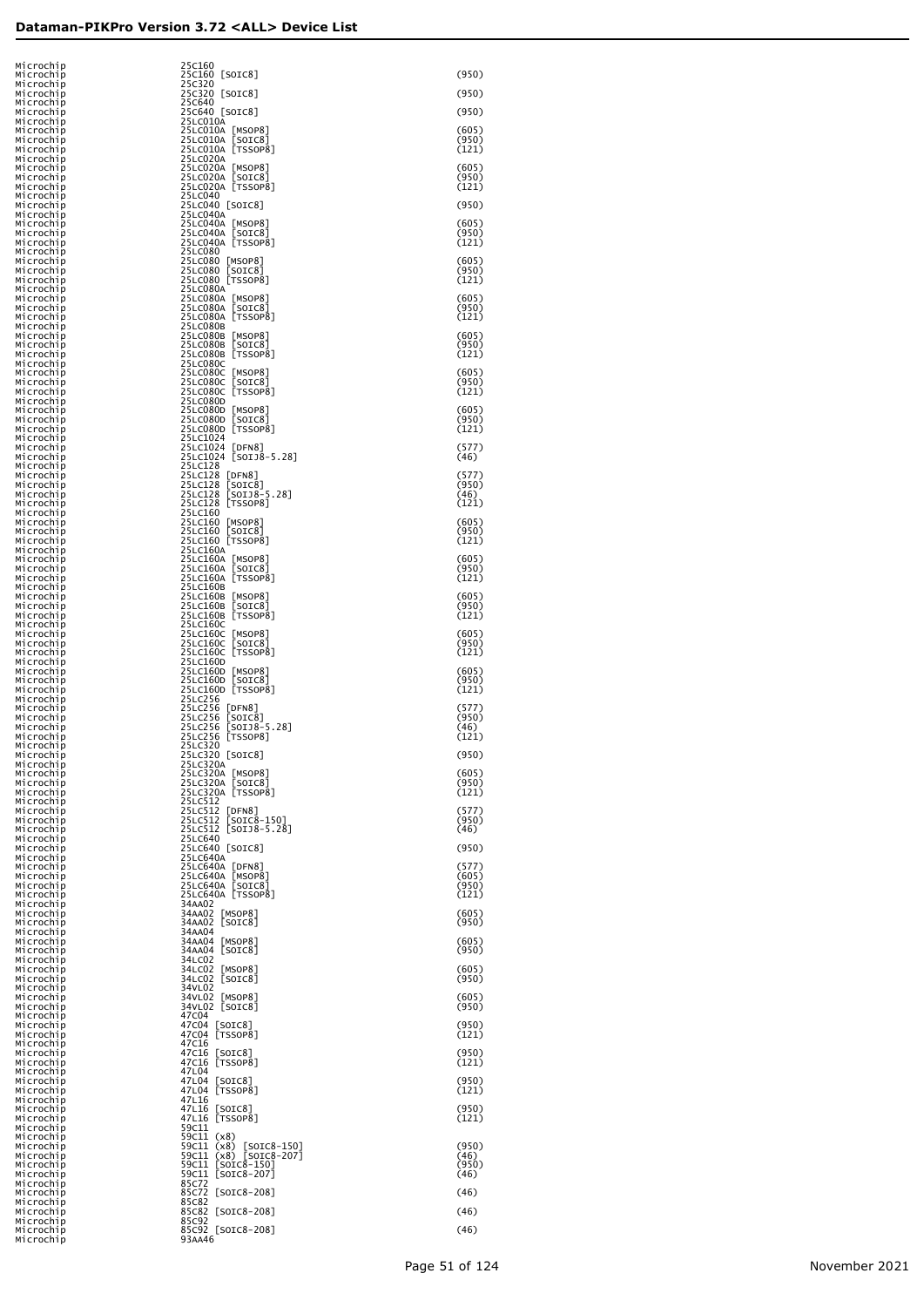| Microchip                           | 25C160                                                                |                         |
|-------------------------------------|-----------------------------------------------------------------------|-------------------------|
| Microchip<br>Microchip              | 25C160 [SOIC8]<br>25C320                                              | (950)                   |
| Microchip<br>Microchip              | 25C320 [SOIC8]<br>25C640                                              | (950)                   |
| Microchip<br>Microchip              | 25C640 [SOIC8]<br>25LC010A                                            | (950)                   |
| Microchip<br>Microchip              | 25LC010A<br>[MSOP8]<br>[SOIC8]<br>25LC010A                            | (605)<br>(950)          |
| Microchip<br>Microchip              | 25LC010A<br>TSSOP81<br>25LC020A                                       | (121)                   |
| Microchip<br>Microchip              | 25LC020A [MSOP8]<br>25LC020A [SOIC8]<br>25LC020A                      | (605)<br>(950)          |
| Microchip<br>Microchip              | 25LC020A [TSSOP8]<br>25LC040                                          | (121)                   |
| Microchip<br>Microchip              | 25LC040 [SOIC8]<br>25LC040A                                           | (950)                   |
| Microchip<br>Microchip              | 25LC040A [MSOP8]<br>[SOIC8]<br>25LC040A                               | (605)<br>(950)          |
| Microchip<br>Microchip              | 25LC040A TSSOP81<br>25LC080                                           | (121)                   |
| Microchip<br>Microchip              | 25LC080 [MSOP8]<br>25LC080 [SOIC8]<br>25LC080 [TSSOP8]                | (605)<br>(950)          |
| Microchip<br>Microchip              | 25LC080A                                                              | (121)                   |
| Microchip<br>Microchip              | 25LC080A [MSOP8]<br>25LC080A [SOIC8]<br>25LC080A [TSSOP8]             | (605)<br>(950)          |
| Microchip<br>Microchip              | 25LC080B                                                              | (121)                   |
| Microchip<br>Microchip              | 25LC080B [MSOP8]<br>25LC080B [SOIC8]<br>25LC080B [TSSOP8]             | (605)<br>(950)          |
| Microchip<br>Microchip              | 25LC080C                                                              | (121)                   |
| Microchip<br>Microchip<br>Microchip | 25LC080C [MSOP8]<br>25LC080C [SOIC8]<br>25LC080C [TSSOP8]             | (605)<br>(950)<br>(121) |
| Microchip<br>Microchip              | 25LC080D                                                              | (605)                   |
| Microchip<br>Microchip              | 25LC080D [MSOP8]<br>25LC080D [SOIC8]<br>25LC080D TSSOP81              | (950)<br>(121)          |
| Microchip<br>Microchip              | 25LC1024                                                              | (577)                   |
| Microchip<br>Microchip              | 25LC1024 [DFN8]<br>25LC1024 [SOIJ8-5.28]<br>25LC128                   | (46)                    |
| Microchip<br>Microchip              | 25LC128<br>[DFN8]                                                     | (577)<br>(950)          |
| Microchip<br>Microchip              | 25LC128 [SOTC8]<br>25LC128 [SOTJ8-5.28]<br>25LC128 [TSSOP8]           | (46)<br>(121)           |
| Microchip<br>Microchip              | 25LC160                                                               | (605)                   |
| Microchip<br>Microchip              | 25LC160 [MSOP8]<br>25LC160 [SOIC8]<br>25LC160 [TSSOP8]                | (950)<br>(121)          |
| Microchip<br>Microchip              | 25LC160A                                                              | (605)                   |
| Microchip<br>Microchip<br>Microchip | 25LC160A [MSOP8]<br>25LC160A [SOIC8]<br>25LC160A [TSSOP8]<br>25LC160B | (950)<br>(121)          |
| Microchip<br>Microchip              | 2SLC160B [MSOP8]<br>2SLC160B [SOIC8]<br>2SLC160B [TSSOP8]             | (605)<br>(950)          |
| Microchip<br>Microchip              | 25LC160C                                                              | (121)                   |
| Microchip<br>Microchip              | 2SLC160C [MSOP8]<br>2SLC160C [SOIC8]<br>2SLC160C [TSSOP8]             | (605)<br>(950)          |
| Microchip<br>Microchip              | 25LC160D                                                              | (121)                   |
| Microchip<br>Microchip              | 2SLC16OD [MSOP8]<br>2SLC16OD [SOIC8]<br>2SLC16OD [TSSOP8]             | (605)<br>(950)          |
| Microchip<br>Microchip              | 25LC256                                                               | (121)                   |
| Microchip<br>Microchip              | 25LC256<br>[DFN8]                                                     | (577)<br>(950)          |
| Microchip<br>Microchip              | 25LC256 [SOIC8]<br>25LC256 [SOIJ8-5.28]<br>25LC256 [TSSOP8]           | (46)<br>(121)           |
| Microchip<br>Microchip              | 25LC320<br>25LC320 [SOIC8]                                            | (950)                   |
| Microchip<br>Microchip<br>Microchip | 25LC320A<br>25LC320A [MSOP8]<br>25LC320A [SOIC8]<br>25LC320A [TSSOP8] | (605)<br>(950)          |
| Microchip<br>Microchip              | 25LC512                                                               | (121)                   |
| Microchip<br>Microchip              | 25LC512<br>[DFN8]                                                     | (577)<br>(950)          |
| Microchip<br>Microchip              | 25LC512 [SOIC8-150]<br>25LC512 [SOIJ8-5.28]<br>25LC640                | (46)                    |
| Microchip<br>Microchip              | 25LC640 [SOIC8]<br>25LC640A                                           | (950)                   |
| Microchip<br>Microchip              | 25LC640A [DFN8]                                                       | (577)<br>(605)          |
| Microchip<br>Microchip              | 25LC640A [MSOP8]<br>25LC640A [SOIC8]<br>25LC640A [TSSOP8]             | (950)<br>(121)          |
| Microchip<br>Microchip              | 34AA02<br>34AA02 [MSOP8]                                              | (605)                   |
| Microchip<br>Microchip<br>Microchip | 34AA02 [SOIC8]<br>34AA04                                              | (950)<br>(605)          |
| Microchip<br>Microchip              | 34AA04 [MSOP8]<br>34AA04 [SOIC8]<br>34LC02                            | (950)                   |
| Microchip<br>Microchip              | 34LC02 [MSOP8]<br>34LC02 [SOIC8]                                      | (605)<br>(950)          |
| Microchip<br>Microchip              | 34VL02                                                                | (605)                   |
| Microchip<br>Microchip              | 34VL02 [MSOP8]<br>34VL02 [SOIC8]<br>47C04                             | (950)                   |
| Microchip<br>Microchip              | 47C04<br>[SOIC8]<br>47C04 [TSSOP8]                                    | (950)<br>(121)          |
| Microchip<br>Microchip              | 47C16<br>47C16 [SOIC8]<br>47C16 [TSSOP8]                              | (950)                   |
| Microchip<br>Microchip              | 47L04                                                                 | (121)                   |
| Microchip<br>Microchip              | 47L04 [SOIC8]<br>47L04 [TSSOP8]                                       | (950)<br>(121)          |
| Microchip<br>Microchip<br>Microchip | 47L16<br>47L16 [SOIC8]<br>47L16 [TSSOP8]                              | (950)<br>(121)          |
| Microchip<br>Microchip              | 59C11<br>59C11 (x8)                                                   |                         |
| Microchip<br>Microchip              | 59C11 (x8) [SOIC8-150]<br>59C11 (x8) [SOIC8-207]                      | (950)<br>(46)           |
| Microchip<br>Microchip              | 59c11 [SOIC8-150]<br>59c11 [SOIC8-207]                                | (950)<br>(46)           |
| Microchip<br>Microchip              | 85C72<br>85C72 [SOIC8-208]                                            | (46)                    |
| Microchip<br>Microchip              | 85C82<br>85C82 [SOIC8-208]                                            | (46)                    |
| Microchip<br>Microchip              | 85C92<br>85C92 [SOIC8-208]                                            | (46)                    |
| Microchip                           | 93AA46                                                                |                         |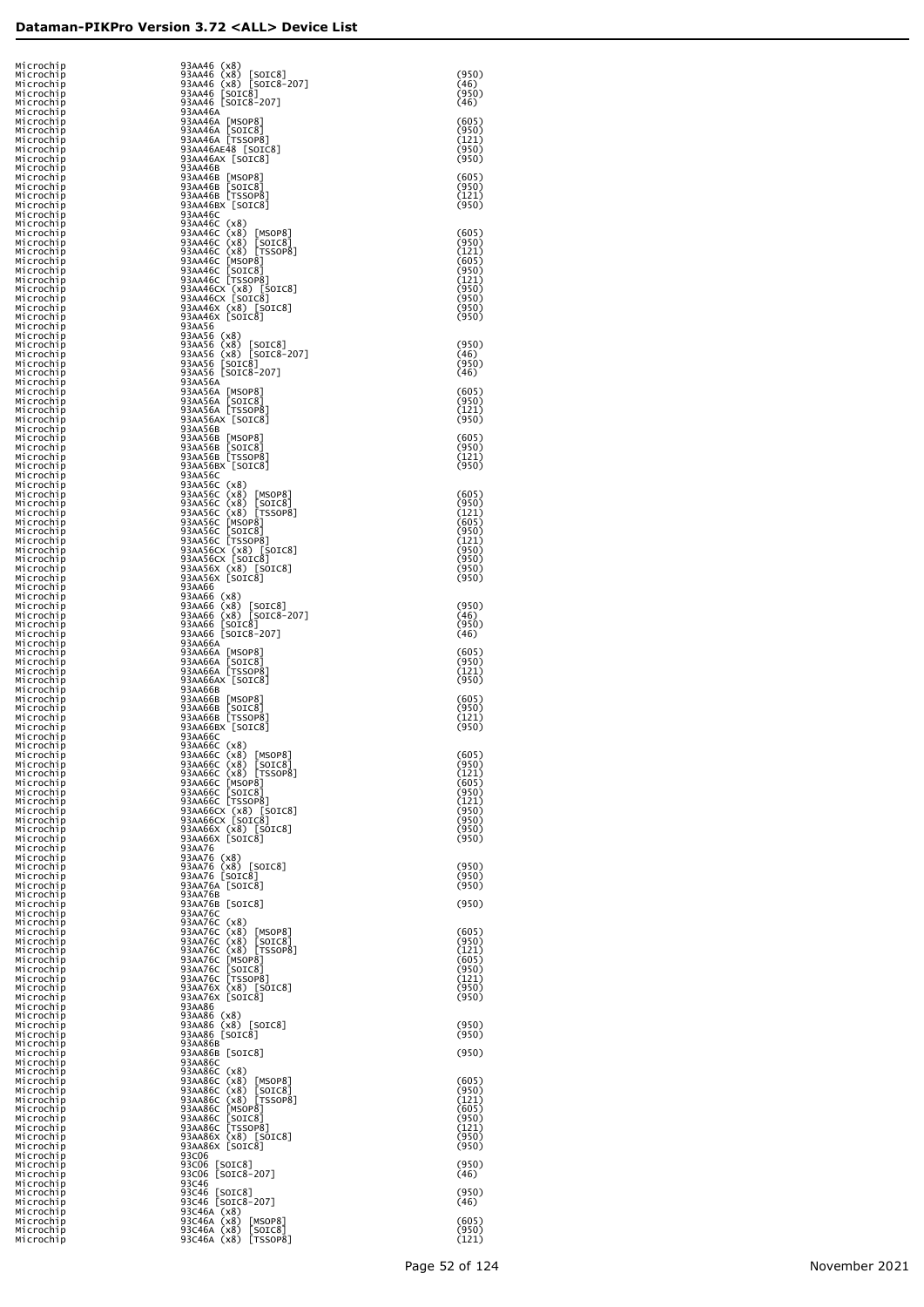| Mıcrochıp              | 93AA46 (x8)                                                                                                                                                                                                                                                        |                |
|------------------------|--------------------------------------------------------------------------------------------------------------------------------------------------------------------------------------------------------------------------------------------------------------------|----------------|
| Microchip<br>Microchip | 93AA46 (x8) [SOIC8]<br>93AA46 (x8) [SOIC8-207]                                                                                                                                                                                                                     | (950)<br>(46)  |
| Microchip              | 93AA46 [SOIC8]                                                                                                                                                                                                                                                     | (950)          |
| Microchip<br>Microchip | 93AA46 [SOIC8-207]<br>93AA46A                                                                                                                                                                                                                                      | (46)           |
| Microchip<br>Microchip | 93AA46A [MSOP8]<br>93AA46A [SOIC8]                                                                                                                                                                                                                                 | (605)<br>(950) |
| Microchip<br>Microchip | 93AA46A [TSSOP8]<br>93AA46AE48 [SOIC8]                                                                                                                                                                                                                             | (121)<br>(950) |
| Microchip<br>Microchip | 93AA46AX [SOIC8]<br>93AA46B                                                                                                                                                                                                                                        | (950)          |
| Microchip<br>Microchip | 93AA46B [MSOP8]<br>93AA46B [SOIC8]                                                                                                                                                                                                                                 | (605)<br>(950) |
| Microchip              | 93AA46B [TSSOP8]                                                                                                                                                                                                                                                   | (121)          |
| Microchip<br>Microchip | 93AA46BX [SOIC8]<br>93AA46C                                                                                                                                                                                                                                        | (950)          |
| Microchip<br>Microchip | 93AA46C (x8)<br>93AA46C (x8) [MSOP8]                                                                                                                                                                                                                               | (605)          |
| Microchıp<br>Microchip | 93AA46C (x8) [SOIC8]                                                                                                                                                                                                                                               | (950)<br>(121) |
| Microchip<br>Microchip |                                                                                                                                                                                                                                                                    | (605)<br>(950) |
| Microchip              | 93AA46C (x8) [SUCO]<br>93AA46C (x8) [TSS0P8]<br>93AA46C [MSOP8]<br>93AA46C [SOC8]<br>93AA46C [TSS0P8]<br>93AA46C (x8) [SOC8]<br>93AA46X (x8) [SOC8]<br>93AA46X [SOC8]<br>93AA46X [SOC8]<br>93AA46K [SOC8]                                                          | (121)<br>(950) |
| Microchip<br>Microchip |                                                                                                                                                                                                                                                                    | (950)          |
| Microchip<br>Microchip |                                                                                                                                                                                                                                                                    | (950)<br>(950) |
| Microchip<br>Microchip | 93AA56<br>93AA56 (x8)                                                                                                                                                                                                                                              |                |
| Microchip<br>Microchip | 93AA56 (x8) [SOIC8]<br>93AA56 (x8) [SOIC8-207]<br>93AA56 [SOIC8]<br>93AA56 [SOIC8]                                                                                                                                                                                 | (950)<br>(46)  |
| Microchip<br>Microchip |                                                                                                                                                                                                                                                                    | (950)<br>(46)  |
| Microchip<br>Microchip | 93AA56A                                                                                                                                                                                                                                                            | (605)          |
| Microchip              | 93AA56A [MSOP8]<br>93AA56A [SOIC8]<br>93AA56A [TSSOP8]                                                                                                                                                                                                             | (950)          |
| Microchip<br>Microchip | 93AA56AX [SOIC8]                                                                                                                                                                                                                                                   | (121)<br>(950) |
| Microchip<br>Microchip | 93AA56B<br>93AA56B [MSOP8]                                                                                                                                                                                                                                         | (605)          |
| Microchip<br>Microchip | 93AA56B [SOIC8]<br>93AA56B [TSSOP8]                                                                                                                                                                                                                                | (950)<br>〔121〕 |
| Microchip<br>Microchip | 93AA56BX [SOIC8]<br>93AA56C                                                                                                                                                                                                                                        | (950)          |
| Microchip<br>Microchip | 93AA56C (x8)<br>93AA56C (x8)<br>93AA56C (x8) [MSOP8]<br>93AA56C (x8) [SOTC8]<br>93AA56C (x8) [TSSOP8]<br>93AA56C [MSOP8]<br>93AA56C [TSSOP8]<br>93AA56C [TSSOP8]<br>93AA56C (x8) [SOTC8]<br>93AA56X [SOTC8]<br>93AA56X [SOTC8]<br>93AA56X [SOTC8]<br>93AA56X [SOTC | (605)          |
| Microchip              |                                                                                                                                                                                                                                                                    | (950)          |
| Microchip<br>Microchip |                                                                                                                                                                                                                                                                    | (121)<br>(605) |
| Microchip<br>Microchip |                                                                                                                                                                                                                                                                    | (950)<br>(121) |
| Microchip<br>Microchip |                                                                                                                                                                                                                                                                    | (950)<br>(950) |
| Microchip<br>Microchip |                                                                                                                                                                                                                                                                    | (950)<br>(950) |
| Microchip<br>Microchip | 93AA66<br>93AA66 (x8)                                                                                                                                                                                                                                              |                |
| Microchip<br>Microchip | 93AA66 (x8) [SOIC8]<br>93AA66 (x8) [SOIC8-207]<br>93AA66 [SOIC8]<br>93AA66 [SOIC8-207]                                                                                                                                                                             | (950)<br>(46)  |
| Microchip<br>Microchip |                                                                                                                                                                                                                                                                    | (950)<br>(46)  |
| Microchip              | 93AA66A                                                                                                                                                                                                                                                            |                |
| Microchip<br>Microchip | 93AA66A [MSOP8]<br>93AA66A [SOIC8]<br>93AA66A [TSSOP8]                                                                                                                                                                                                             | (605)<br>(950) |
| Microchip<br>Microchip | 93AA66AX [SOIC8]                                                                                                                                                                                                                                                   | 〔121〕<br>(950) |
| Microchip<br>Microchip | 93AA66B<br>93AA66B [MSOP8]                                                                                                                                                                                                                                         | (605)          |
| Microchip<br>Microchip | 93AA66B [SOIC8]<br>93AA66B [TSSOP8]                                                                                                                                                                                                                                | (950)<br>〔121〕 |
| Microchip<br>Microchip | 93AA66BX [SOIC8]<br>93AA66C                                                                                                                                                                                                                                        | (950)          |
| Microchip<br>Microchip | 93AA66C (x8)<br>93AA66C (x8) [MSOP8]<br>93AA66C (x8) [SOIC8]                                                                                                                                                                                                       | (605)          |
| Microchip<br>Microchip |                                                                                                                                                                                                                                                                    | (950)<br>(121) |
| Microchip              | 93AA66C (x8) [SUCOS]<br>93AA66C (x8) [TSSOP8]<br>93AA66C [MSOP8]<br>93AA66C [SOCP8]<br>93AA66C [TSSOP8]<br>93AA66C (x8) [SOTC8]<br>93AA66X (x8) [SOTC8]<br>93AA66X [SOTC8]<br>93AA66X [SOTC8]                                                                      | (605)          |
| Microchip<br>Microchip |                                                                                                                                                                                                                                                                    | (950)<br>(121) |
| Microchip<br>Microchip |                                                                                                                                                                                                                                                                    | (950)<br>(950) |
| Microchip<br>Microchip |                                                                                                                                                                                                                                                                    | (950)<br>(950) |
| Microchip<br>Microchip | 93AA76<br>93AA76 (x8)                                                                                                                                                                                                                                              |                |
| Microchip<br>Microchip | 93AA76 (x8) [SOIC8]<br>93AA76 [SOIC8]                                                                                                                                                                                                                              | (950)<br>(950) |
| Microchip<br>Microchip | 93AA76A [SOIC8]<br>93AA76B                                                                                                                                                                                                                                         | (950)          |
| Microchip              | 93AA76B [SOIC8]<br>93AA76C                                                                                                                                                                                                                                         | (950)          |
| Microchip<br>Microchip |                                                                                                                                                                                                                                                                    |                |
| Microchip<br>Microchip | 93AA76C (x8)<br>93AA76C (x8) [MSOP8]<br>93AA76C (x8) [SOIC8]<br>93AA76C (x8) [TSSOP8]                                                                                                                                                                              | (605)<br>(950) |
| Microchip<br>Microchip | 93AA76C<br>[MSOP8]                                                                                                                                                                                                                                                 | (121)<br>(605) |
| Microchip<br>Microchip | [SOIC8]<br>93AA76C                                                                                                                                                                                                                                                 | (950)<br>(121) |
| Microchip<br>Microchip | 93AA76C [TSSOP8]<br>93AA76C [TSSOP8]<br>93AA76X (x8) [SOIC8]<br>93AA76X [SOIC8]                                                                                                                                                                                    | (950)<br>(950) |
| Microchip<br>Microchip | 93AA86<br>93AA86 (x8)                                                                                                                                                                                                                                              |                |
| Microchip<br>Microchip | 93AA86 (x8) [SOIC8]<br>93AA86 [SOIC8]                                                                                                                                                                                                                              | (950)<br>(950) |
| Microchip<br>Microchip | 93AA86B<br>93AA86B [SOIC8]                                                                                                                                                                                                                                         | (950)          |
| Microchip              | 93AA86C                                                                                                                                                                                                                                                            |                |
| Microchip<br>Microchip | 93AA86C (x8)<br>93AA86C (x8) [MSOP8]<br>93AA86C (x8) [SOIC8]<br>93AA86C (x8) [TSSOP8]<br>93AA86C [MSOP8]                                                                                                                                                           | (605)          |
| Microchip<br>Microchip |                                                                                                                                                                                                                                                                    | (950)<br>(121) |
| Microchip<br>Microchip | [SOIC8]<br>93AA86C                                                                                                                                                                                                                                                 | (605)<br>(950) |
| Microchip<br>Microchip | 93AA86C [TSSOP8]<br>93AA86C [TSSOP8]<br>93AA86X (x8) [SOIC8]<br>93AA86X [SOIC8]                                                                                                                                                                                    | (121)<br>(950) |
| Microchip<br>Microchip | 93C06                                                                                                                                                                                                                                                              | (950)          |
| Microchip              | 93C06<br>93C06 [SOIC8]<br>93C06 [SOIC8-207]                                                                                                                                                                                                                        | (950)<br>(46)  |
| Microchip<br>Microchip | 93C46                                                                                                                                                                                                                                                              |                |
| Microchip<br>Microchip | 93c46 [SOIC8]<br>93c46 [SOIC8-207]                                                                                                                                                                                                                                 | (950)<br>(46)  |
| Microchip<br>Microchip | 93C46A (x8)<br>93C46A (x8)<br>[MSOP8]                                                                                                                                                                                                                              | (605)          |
| Microchip<br>Microchip | [SOIC8]<br>93C46A (x8)<br>93C46A (x8) [TSSOP8]                                                                                                                                                                                                                     | (950)<br>(121) |
|                        |                                                                                                                                                                                                                                                                    |                |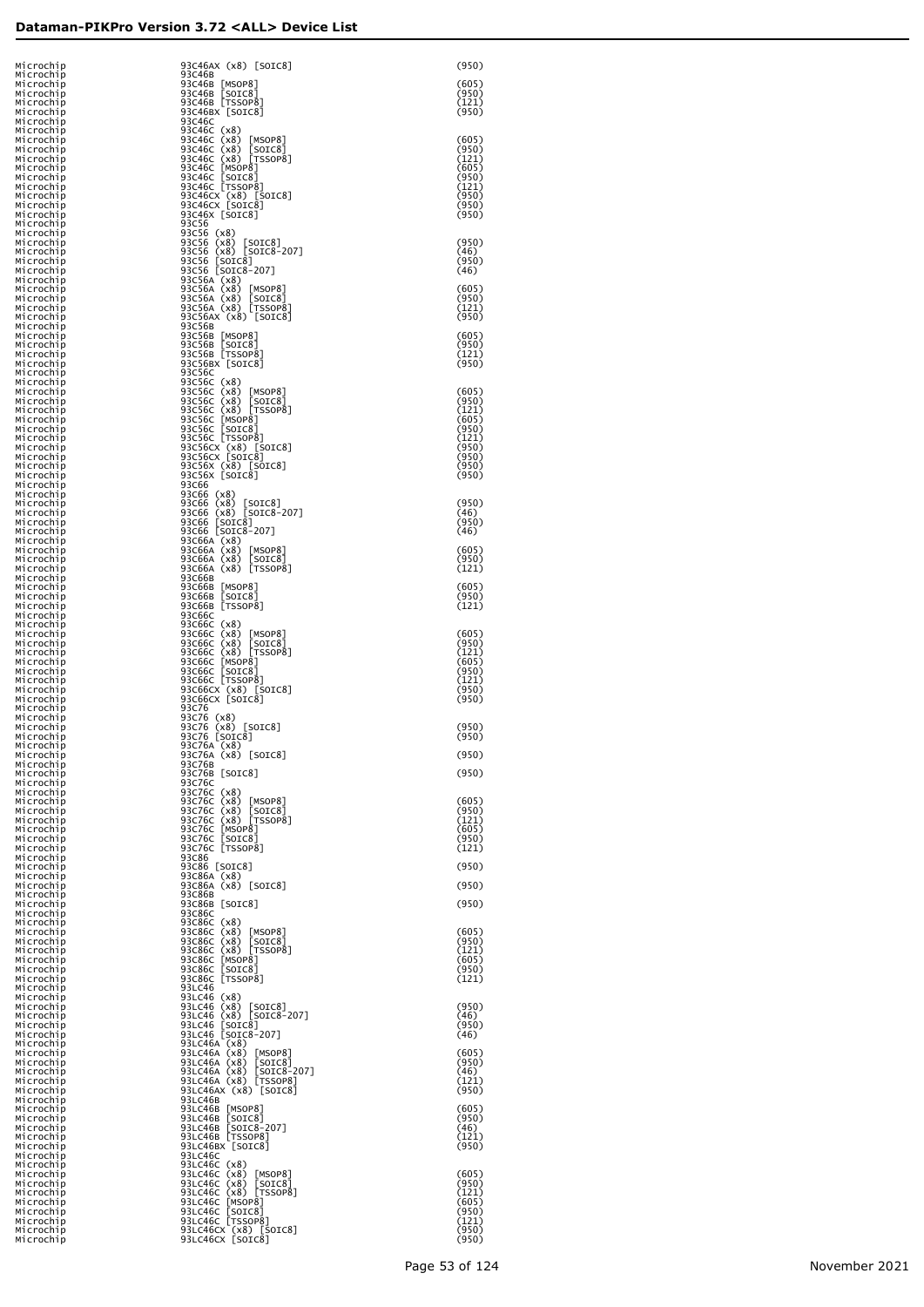| Microchip                 | 93C46AX (x8) [SOIC8]                                                                                                                                                                                                                               | (950)              |
|---------------------------|----------------------------------------------------------------------------------------------------------------------------------------------------------------------------------------------------------------------------------------------------|--------------------|
| Microchip                 | 93C46B                                                                                                                                                                                                                                             |                    |
| Microchip<br>Microchip    | 93C46B [MSOP8]<br>93C46B [SOIC8]<br>93C46B [TSSOP8]<br>93C46Bx [SOIC8]                                                                                                                                                                             | $(605)$<br>$(950)$ |
| Microchip                 |                                                                                                                                                                                                                                                    | (121)              |
| Microchip<br>Microchip    | 93C46C                                                                                                                                                                                                                                             | (950)              |
| Microchip                 | 93C46C (x8)<br>93C46C (x8)<br>93C46C (x8) [MSOP8]<br>93C46C (x8) [SOTC8]<br>93C46C (x8) [TSSOP8]<br>93C46C [MSOP8]<br>93C46C [TSSOP8]<br>93C46C [TSSOP8]<br>93C46C [SOTC8]<br>93C46C [SOTC8]<br>93C46C [SOTC8]<br>93C46C [SOTC8]<br>93C46C [SOTC8] | (605)              |
| Microchip<br>Microchip    |                                                                                                                                                                                                                                                    | (950)              |
| Microchip                 |                                                                                                                                                                                                                                                    | (121)<br>(605)     |
| Microchip<br>Microchip    |                                                                                                                                                                                                                                                    | (950)              |
| Microchip                 |                                                                                                                                                                                                                                                    | (121)<br>(950)     |
| Microchip<br>Microchip    |                                                                                                                                                                                                                                                    | (950)              |
| Microchip                 | 93C56                                                                                                                                                                                                                                              | (950)              |
| Microchip<br>Microchip    | 93C56 (x8)                                                                                                                                                                                                                                         |                    |
| Microchip<br>Microchip    | 93C56 (x8) [SOIC8]<br>93C56 (x8) [SOIC8-207]<br>93C56 [SOIC8]                                                                                                                                                                                      | (950)<br>(46)      |
| Microchip                 |                                                                                                                                                                                                                                                    | (950)              |
| Microchip                 | 93C56 [SOIC8-207]                                                                                                                                                                                                                                  | (46)               |
| Microchip<br>Microchip    | 93C56A (x8)                                                                                                                                                                                                                                        | (605)              |
| Microchip<br>Microchip    | 93C56A (x8) [MSOP8]<br>93C56A (x8) [SOIC8]<br>93C56A (x8) [TSSOP8]<br>93C56Ax (x8) [SOIC8]                                                                                                                                                         | (950)<br>(121)     |
| Microchip                 |                                                                                                                                                                                                                                                    | (950)              |
| Microchip<br>Microchip    | 93C56B                                                                                                                                                                                                                                             | (605)              |
| Microchip                 | 93C56B [MSOP8]<br>93C56B [SOIC8]<br>93C56B [TSSOP8]                                                                                                                                                                                                | (950)              |
| Microchip<br>Microchip    | 93C56BX [SOIC8]                                                                                                                                                                                                                                    | (121)<br>(950)     |
| Microchip                 | 93C56C                                                                                                                                                                                                                                             |                    |
| Microchip<br>Microchip    | 93C56C (x8)<br>93C56C (x8) [MSOP8]<br>93C56C (x8) [MSOP8]<br>93C56C (x8) [TSSOP8]<br>93C56C [MSOP8]<br>93C56C [TSSOP8]<br>93C56C [TSSOP8]<br>93C56C [TSSOP8]<br>93C56C [TSSOP8]                                                                    | (605)              |
| Microchip                 |                                                                                                                                                                                                                                                    | (950)              |
| Microchip<br>Microchip    |                                                                                                                                                                                                                                                    | (121)<br>(605)     |
| Microchip                 |                                                                                                                                                                                                                                                    | (950)              |
| Microchip<br>Microchip    |                                                                                                                                                                                                                                                    | (121)<br>(950)     |
| Microchip                 | 93C56CX (x8) [SOIC8]<br>93C56CX [SOIC8]<br>93C56X (x8) [SOIC8]                                                                                                                                                                                     | (950)              |
| Microchip<br>Microchip    | 93C56X [SOIC8]                                                                                                                                                                                                                                     | (950)<br>(950)     |
| Microchip                 | 93C66                                                                                                                                                                                                                                              |                    |
| Microchip<br>Microchip    | 93C66 (x8)                                                                                                                                                                                                                                         | (950)              |
| Microchip                 | 93C66 (x8) [SOIC8]<br>93C66 (x8) [SOIC8-207]<br>93C66 [SOIC8]                                                                                                                                                                                      | (46)               |
| Microchip<br>Microchip    | 93C66 [SOIC8-207]                                                                                                                                                                                                                                  | (950)<br>(46)      |
| Microchip                 | 93C66A (x8)                                                                                                                                                                                                                                        |                    |
| Microchip<br>Microchip    | 93C66A (x8) [MSOP8]<br>93C66A (x8) [SOIC8]                                                                                                                                                                                                         | (605)<br>(950)     |
| Microchip                 | 93C66A (x8) [TSSOP8]                                                                                                                                                                                                                               | (121)              |
| Microchip<br>Microchip    | 93C66B                                                                                                                                                                                                                                             | (605)              |
| Microchip                 | 93C66B [MSOP8]<br>93C66B [SOIC8]                                                                                                                                                                                                                   | (950)              |
| Microchip<br>Microchip    | 93C66B [TSSOP8]<br>93C66C                                                                                                                                                                                                                          | (121)              |
| Microchip                 |                                                                                                                                                                                                                                                    |                    |
| Microchip<br>Microchip    |                                                                                                                                                                                                                                                    | (605)<br>(950)     |
| Microchip                 |                                                                                                                                                                                                                                                    | (121)              |
| Microchip<br>Microchip    | 930060 (x8)<br>930660 (x8) [MSOP8]<br>930660 (x8) [SOIC8]<br>930660 (x8) [TSSOP8]<br>930660 [MSOP8]<br>930660 [SOIC8]<br>930660 [TSSOP8]<br>930660 [TSSOP8]<br>930660 [TSSOP8]                                                                     | (605)<br>(950)     |
| Microchip                 |                                                                                                                                                                                                                                                    | (121)              |
| Microchip<br>Microchip    | 93C66CX (x8) [SOIC8]<br>93C66CX [SOIC8]                                                                                                                                                                                                            | (950)<br>(950)     |
| Microchip                 | 93C76                                                                                                                                                                                                                                              |                    |
| Microchip<br>Microchip    | 93C76 (x8)<br>93C76 (x8) [SOIC8]<br>93C76 [SOIC8]                                                                                                                                                                                                  | (950)              |
| Microchip                 |                                                                                                                                                                                                                                                    | (950)              |
| Microchip<br>M1 Croch 1 p | 93C76A (x8)<br>93C76A (x8) [SOIC8]                                                                                                                                                                                                                 | (950)              |
| Microchip                 | 93C76B                                                                                                                                                                                                                                             |                    |
| Microchip<br>Microchip    | 93C76B [SOIC8]<br>93C76C                                                                                                                                                                                                                           | (950)              |
| Microchip                 | 93C76C (x8)                                                                                                                                                                                                                                        |                    |
| Microchip<br>Microchip    | 93C76C (x8) [MSOP8]<br>93C76C (x8) [SOIC8]<br>93C76C (x8) [TSSOP8]<br>93C76C [MSOP8]<br>93C76C [SOIC8]                                                                                                                                             | (605)<br>(950)     |
| Microchip                 |                                                                                                                                                                                                                                                    | (121)              |
| Microchip<br>Microchip    |                                                                                                                                                                                                                                                    | (605)<br>(950)     |
| Microchip                 | 93C76C TSSOP81                                                                                                                                                                                                                                     | (121)              |
| Microchip<br>Microchip    | 93C86<br>93C86 [SOIC8]                                                                                                                                                                                                                             | (950)              |
| Microchip                 | 93C86A (x8)                                                                                                                                                                                                                                        |                    |
| Microchip<br>Microchip    | 93C86A (x8) [SOIC8]<br>93C86B                                                                                                                                                                                                                      | (950)              |
| Microchip                 | 93C86B [SOIC8]                                                                                                                                                                                                                                     | (950)              |
| Microchip<br>Microchip    | 93C86C                                                                                                                                                                                                                                             |                    |
| Microchip                 |                                                                                                                                                                                                                                                    | (605)              |
| Microchip<br>Microchip    | 93C86C (x8)<br>93C86C (x8) [MSOP8]<br>93C86C (x8) [SOTC8]<br>93C86C (x8) [SSOP8]<br>93C86C [MSOP8]<br>93C86C [SOTC8]<br>93C86C [SCOTC8]                                                                                                            | (950)<br>(121)     |
| Microchip                 |                                                                                                                                                                                                                                                    | (605)              |
| Microchip<br>Microchip    | 93C86C [TSSOP8]                                                                                                                                                                                                                                    | (950)<br>(121)     |
| Microchip                 | 93LC46                                                                                                                                                                                                                                             |                    |
| Microchip<br>Microchip    | 93LC46 (x8)<br>93LC46 (x8) [SOIC8]<br>93LC46 (x8) [SOIC8-207]<br>93LC46 [SOIC8]                                                                                                                                                                    | (950)              |
| Microchip                 |                                                                                                                                                                                                                                                    | (46)               |
| Microchip<br>Microchip    | 93LC46 [SOIC8-207]                                                                                                                                                                                                                                 | (950)<br>(46)      |
| Microchip                 | 93LC46A (x8)                                                                                                                                                                                                                                       |                    |
| Microchip<br>Microchip    | 93LC46A (x8) [MSOP8]                                                                                                                                                                                                                               | (605)<br>(950)     |
| Microchip                 | 93LC46A (x8) [SOIC8]<br>93LC46A (x8) [SOIC8-207]                                                                                                                                                                                                   | (46)               |
| Microchip<br>Microchip    | 93LC46A (x8) [TSSOP8]<br>93LC46AX (x8) [SOIC8]                                                                                                                                                                                                     | (121)<br>(950)     |
| Microchip                 | 93LC46B                                                                                                                                                                                                                                            |                    |
| Microchip<br>Microchip    | 93LC46B [MSOP8]<br>93LC46B [SOIC8]<br>93LC46B [SOIC8-207]                                                                                                                                                                                          | (605)<br>(950)     |
| Microchip                 |                                                                                                                                                                                                                                                    | (46)               |
| Microchip<br>Microchip    | 93LC46B [TSSOP8]<br>93LC46BX [SOIC8]                                                                                                                                                                                                               | (121)<br>(950)     |
| Microchip                 | 93LC46C                                                                                                                                                                                                                                            |                    |
| Microchip<br>Microchip    |                                                                                                                                                                                                                                                    | (605)              |
| Microchip                 |                                                                                                                                                                                                                                                    | (950)              |
| Microchip<br>Microchip    | 93LC46C (x8)<br>93LC46C (x8) [MSOP8]<br>93LC46C (x8) [SOIC8]<br>93LC46C (x8) [TSSOP8]<br>93LC46C [MSOP8]<br>93LC46C [SOIC8]<br>83LC46C [SOIC8]<br>93LC46C [SOIC8]                                                                                  | (121)<br>(605)     |
| Microchip                 |                                                                                                                                                                                                                                                    | (950)              |
| Microchip<br>Microchip    | 93LC46CX (x8) [SOIC8]                                                                                                                                                                                                                              | (121)<br>(950)     |
| Microchip                 | 93LC46CX [SOIC8]                                                                                                                                                                                                                                   | (950)              |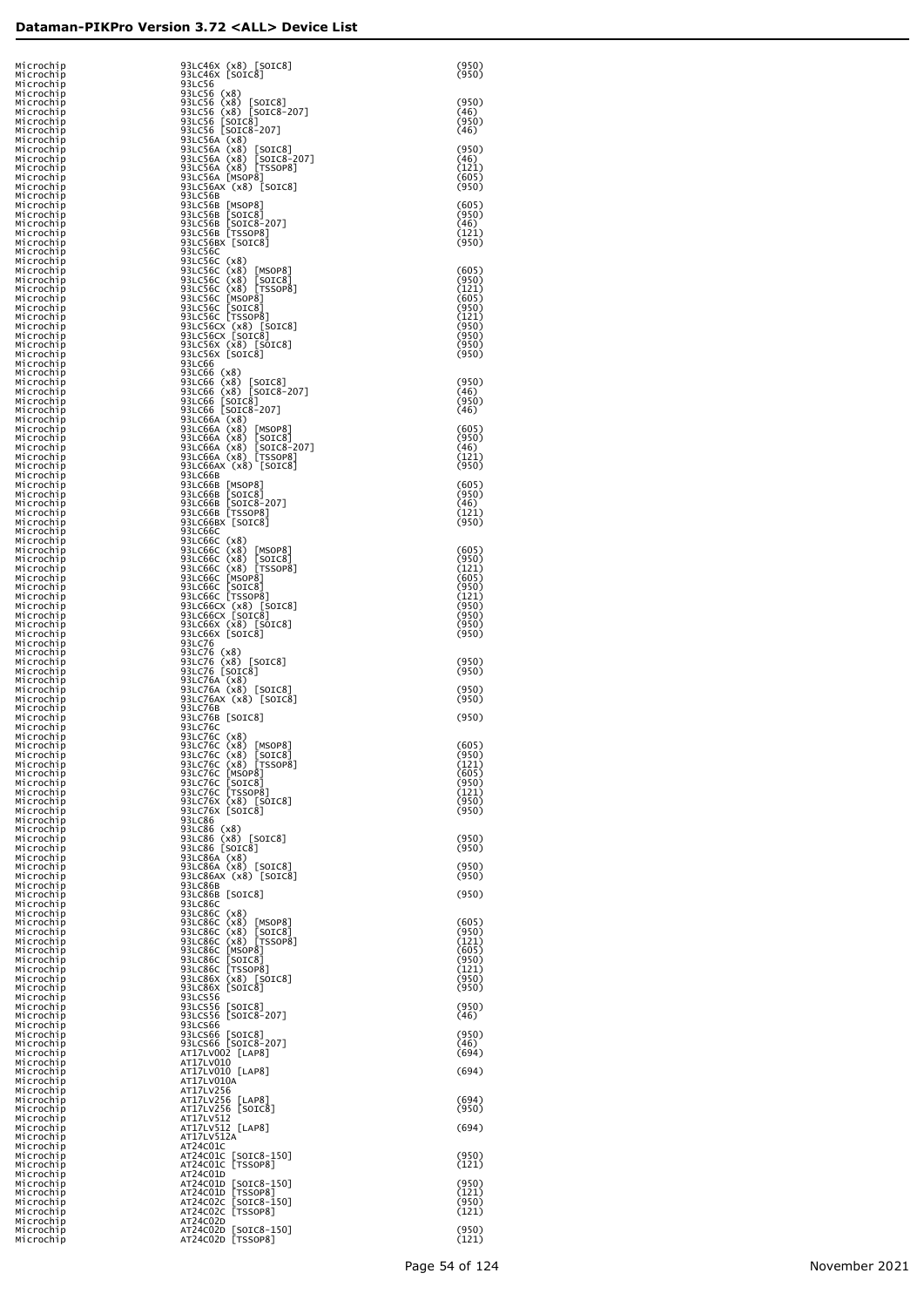| Microchip<br>Microchip              | 93LC46X (x8) [SOIC8]<br>93LC46X [SOIC8]                                              | (950)<br>(950)          |
|-------------------------------------|--------------------------------------------------------------------------------------|-------------------------|
| Microchip<br>Microchip              | 93LC56<br>93LC56 (x8)                                                                |                         |
| Microchip<br>Microchip<br>Microchip | 93LC56 (x8)<br>[SOIC8]<br>93LC56 (x8) [SOIC8-207]<br>93LC56 [SOIC8]                  | (950)<br>(46)<br>(950)  |
| Microchip<br>Microchip              | 93LC56 [SOIC8-207]<br>93LC56A (x8)                                                   | (46)                    |
| Microchip<br>Microchip              | 93LC56A (x8)<br>[SOIC8]<br>93LC56A (x8) [SOIC8-207]                                  | (950)<br>(46)           |
| Microchip<br>Microchip              | 93LC56A (x8) [TSSOP8]<br>93LC56A [MSOP8]                                             | (121)<br>(605)          |
| Microchip<br>Microchip<br>Microchip | 93LC56AX (x8) [SOIC8]<br>93LC56B<br>93LC56B [MSOP8]                                  | (950)<br>(605)          |
| Microchip<br>Microchip              | 93LC56B [SOIC8]<br>93LC56B [SOIC8-207]                                               | (950)<br>(46)           |
| Microchip<br>Microchip              | 93LC56B [TSSOP8]<br>93LC56BX [SOIC8]                                                 | (121)<br>(950)          |
| Microchip<br>Microchip              | 93LC56C<br>93LC56C (x8)<br>93LC56C (x8)                                              | (605)                   |
| Microchip<br>Microchip<br>Microchip | [MSOP8]<br>93LC56C (x8)<br>[SOIC8]<br>93LC56C (x8) [TSSOP8]                          | (950)<br>(121)          |
| Microchip<br>Microchip              | 93LC56C [MSOP8]<br>93LC56C [SOIC8]                                                   | (605)<br>(950)          |
| Microchip<br>Microchip              | 93LC56C [TSSOP8]                                                                     | (121)<br>(950)          |
| Microchip<br>Microchip<br>Microchip | 93LC56CX (x8) [SOIC8]<br>93LC56CX [SOIC8]<br>93LC56X (x8) [SOIC8]<br>93LC56X [SOIC8] | (950)<br>(950)<br>(950) |
| Microchip<br>Microchip              | 93LC66<br>93LC66 (x8)                                                                |                         |
| Microchip<br>Microchip              | 93LC66 (x8) [SOIC8]<br>93LC66 (x8) [SOIC8-207]                                       | (950)<br>(46)           |
| Microchip<br>Microchip              | 93LC66 [SOIC8]<br>93LC66 [SOIC8-207]                                                 | (950)<br>(46)           |
| Microchip<br>Microchip<br>Microchip | 93LC66A (x8)<br>93LC66A (x8)<br>[MSOP8]<br>93LC66A (x8)<br>[SOIC8]                   | (605)<br>(950)          |
| Microchip<br>Microchip              | 93LC66A (x8) [SOIC8-207]<br>93LC66A (x8) [TSSOP8]<br>93LC66AX (x8) [SOIC8]           | (46)<br>(121)           |
| Microchip<br>Microchip              | 93LC66B                                                                              | (950)                   |
| Microchip<br>Microchip              | 93LC66B [MSOP8]<br>93LC66B [SOIC8]                                                   | (605)<br>(950)          |
| Microchip<br>Microchip<br>Microchip | 93LC66B [SOIC8-207]<br>93LC66B [TSSOP8]<br>93LC66BX [SOIC8]                          | (46)<br>(121)<br>(950)  |
| Microchip<br>Microchip              | 93LC66C<br>93LC66C (x8)                                                              |                         |
| Microchip<br>Microchip              | 93LC66C (x8)<br>93LC66C (x8)<br>[MSOP8]<br>[SOIC8]                                   | (605)<br>(950)          |
| Microchip<br>Microchip<br>Microchip | 93LC66C (x8) [TSSOP8]<br>93LC66C [MSOP8]<br>93LC66C [SOIC8]                          | (121)<br>(605)<br>(950) |
| Microchip<br>Microchip              | 93LC66C [TSSOP8]<br>93LC66CX (x8) [SOIC8]                                            | (121)<br>(950)          |
| Microchip<br>Microchip              | 93LC66CX [SOIC8]<br>93LC66X (x8) [SOIC8]                                             | (950)<br>(950)          |
| Microchip<br>Microchip              | 93LC66X [SOIC8]<br>93LC76                                                            | (950)                   |
| Microchip<br>Microchip<br>Microchip | 93LC76 (x8)<br>93LC76 (x8) [SOIC8]<br>93LC76 [SOIC8]                                 | (950)<br>(950)          |
| Microchip<br>Microchip              | 93LC76A (x8)<br>93LC76A (x8) [SOIC8]                                                 | (950)                   |
| Microchip<br>Microchip              | 93LC76AX (x8) [SOIC8]<br>93LC76B                                                     | (950)                   |
| Microchip<br>Microchip<br>Microchip | 93LC76B [SOIC8]<br>93LC76C<br>93LC76C (x8)                                           | (950)                   |
| Microchip<br>Microchip              | 93LC76C (x8)<br>[MSOP8]<br>501C8<br>93LC76C (x8)                                     | (605)<br>(950)          |
| Microchip<br>Microchip              | 93LC76C (x8) [TSSOP8]<br>93LC76C [MSOP8]                                             | (121)<br>(605)          |
| Microchip<br>Microchip              | 93LC76C [SOIC8]<br>93LC76C [TSSOP8]<br>93LC76X (x8) [SOIC8]                          | (950)<br>(121)          |
| Microchip<br>Microchip<br>Microchip | 93LC76X [SOIC8]<br>93LC86                                                            | (950)<br>(950)          |
| Microchip<br>Microchip              | 93LC86 (x8)<br>93LC86 (x8) [SOIC8]                                                   | (950)                   |
| Microchip<br>Microchip              | 93LC86 [SOIC8]<br>93LC86A (x8)                                                       | (950)                   |
| Microchip<br>Microchip<br>Microchip | 93LC86A (x8) [SOIC8]<br>93LC86AX (x8) [SOIC8]<br>93LC86B                             | (950)<br>(950)          |
| Microchip<br>Microchip              | 93LC86B [SOIC8]<br>93LC86C                                                           | (950)                   |
| Microchip<br>Microchip              | 93LC86C (x8)<br>$93LC86C$ $(x8)$<br>[MSOP8]                                          | (605)                   |
| Microchip<br>Microchip              | 93LC86C (x8)<br>[SOIC8]<br>93LC86C (x8) [TSSOP8]                                     | (950)<br>(121)          |
| Microchip<br>Microchip<br>Microchip | 93LC86C [MSOP8]<br>93LC86C [SOIC8]<br>93LC86C [TSSOP8]                               | (605)<br>(950)<br>(121) |
| Microchip<br>Microchip              | 93LC86X (x8) [SOIC8]<br>93LC86X [SOIC8]                                              | (950)<br>(950)          |
| Microchip<br>Microchip              | 93LCS56<br>93LCS56 [SOIC8]                                                           | (950)                   |
| Microchip<br>Microchip<br>Microchip | 93LCS56 [SOIC8-207]<br>93LCS66<br>93LCS66 [SOIC8]                                    | (46)<br>(950)           |
| Microchip<br>Microchip              | 93LCS66 [SOIC8-207]<br>AT17LV002 [LAP8]                                              | (46)<br>(694)           |
| Microchip<br>Microchip              | AT17LV010<br>AT17LV010 [LAP8]                                                        | (694)                   |
| Microchip<br>Microchip              | AT17LV010A<br>AT17LV256<br>AT17LV256 [LAP8]                                          | (694)                   |
| Microchip<br>Microchip<br>Microchip | AT17LV256 [SOIC8]<br>AT17LV512                                                       | (950)                   |
| Microchip<br>Microchip              | AT17LV512 [LAP8]<br>AT17LV512A                                                       | (694)                   |
| Microchip<br>Microchip              | AT24C01C<br>AT24C01C [SOIC8-150]                                                     | (950)                   |
| Microchip<br>Microchip<br>Microchip | AT24C01C [TSSOP8]<br>AT24C01D<br>AT24C01D [SOIC8-150]                                | (121)<br>(950)          |
| Microchip<br>Microchip              | [TSSOP8]<br>AT24C01D<br>$[SOIC8-150]$<br>AT24C02C                                    | (121)<br>(950)          |
| Microchip<br>Microchip              | AT24C02C [TSSOP8]<br>AT24C02D                                                        | (121)                   |
| Microchip<br>Microchip              | AT24C02D<br>$[SOIC8-150]$<br>AT24C02D [TSSOP8]                                       | (950)<br>(121)          |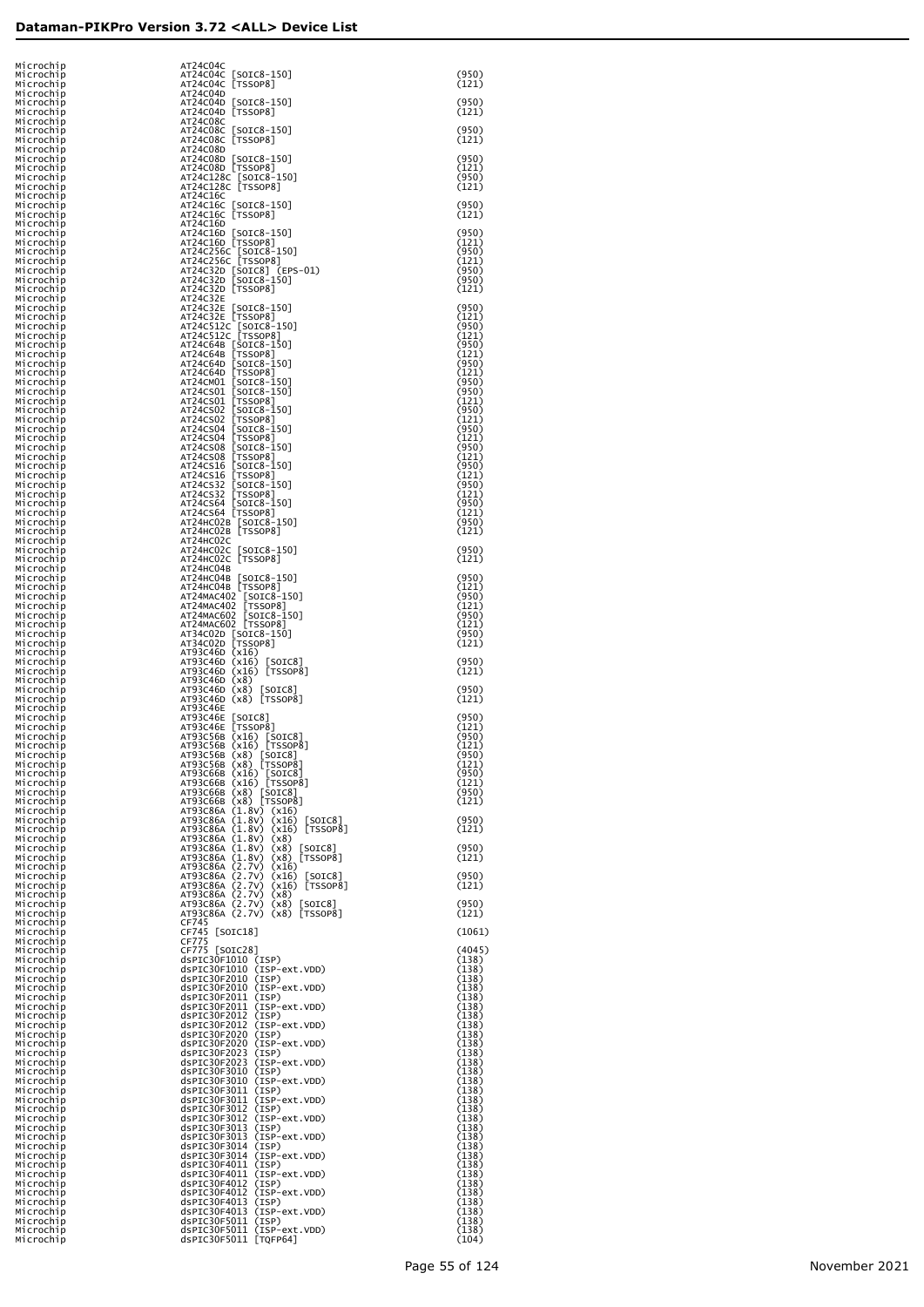| Mıcrochıp                           | AT24C04C                                                                                                                                                                                                                                             |                         |
|-------------------------------------|------------------------------------------------------------------------------------------------------------------------------------------------------------------------------------------------------------------------------------------------------|-------------------------|
| Microchip<br>Microchip              | AT24C04C [SOIC8-150]<br>AT24C04C [TSSOP8]                                                                                                                                                                                                            | (950)<br>(121)          |
| Microchip<br>Microchip              | AT24C04D<br>AT24C04D [SOIC8-150]                                                                                                                                                                                                                     | (950)                   |
| Microchip<br>Microchip              | AT24C04D [TSSOP8]<br>AT24C08C                                                                                                                                                                                                                        | (121)                   |
| Microchip<br>Microchip              | AT24C08C [SOIC8-150]<br>AT24C08C [TSSOP8]                                                                                                                                                                                                            | (950)<br>(121)          |
| Microchip<br>Microchip              | AT24C08D<br>AT24C08D [SOIC8-150]                                                                                                                                                                                                                     | (950)                   |
| Microchip<br>Microchip              | AT24C08D [TSSOP8]<br>AT24C128C [SOIC8-150]<br>AT24C128C [TSSOP8]                                                                                                                                                                                     | (121)<br>(950)          |
| Microchip<br>Microchip              | AT24C16C                                                                                                                                                                                                                                             | (121)                   |
| Microchip<br>Microchip<br>Microchip | AT24C16C [SOIC8-150]<br>AT24C16C [TSSOP8]                                                                                                                                                                                                            | (950)<br>(121)          |
| Microchip<br>Microchıp              | AT24C16D<br>AT24C16D [SOIC8-150]<br>AT24C16D [TSSOP8]                                                                                                                                                                                                | (950)<br>(121)          |
| Microchip<br>Microchip              |                                                                                                                                                                                                                                                      | (950)<br>(121)          |
| Microchip<br>Microchip              | AT24C256C [SOTC8-150]<br>AT24C256C [TSSOP8]<br>AT24C32D [SOTC8] (EPS-01)<br>AT24C32D [SOTC8-150]                                                                                                                                                     | (950)<br>(950)          |
| Microchip<br>Microchip              | AT24C32D [TSSOP8]<br>AT24C32E                                                                                                                                                                                                                        | (121)                   |
| Microchip<br>Microchip              | AT24C32E<br>AT24C32E [SOTC3-150]<br>AT24C32E [SOTC3-150]<br>AT24C32E [TSSOP8]<br>AT24C32E [TSSOP8]<br>AT24C512C [TSSOP8]<br>AT24C64B [SOTC8-150]<br>AT24C640 [SOTC8-150]<br>AT24C640 [SOTC8-150]<br>AT24C640 [SOTC8-150]<br>AT24C501 [TSSOP8]<br>AT2 | (950)<br>(121)          |
| Microchip<br>Microchip              |                                                                                                                                                                                                                                                      | (950)<br>(121)          |
| Microchip<br>Microchip              |                                                                                                                                                                                                                                                      | (950)<br>(121)          |
| Microchip<br>Microchip              |                                                                                                                                                                                                                                                      | (950)<br>(121)          |
| Microchip<br>Microchip              |                                                                                                                                                                                                                                                      | (950)<br>(950)          |
| Microchip<br>Microchip<br>Microchip |                                                                                                                                                                                                                                                      | (121)<br>(950)<br>(121) |
| Microchip<br>Microchip              |                                                                                                                                                                                                                                                      | (950)<br>(121)          |
| Microchip<br>Microchip              |                                                                                                                                                                                                                                                      | (950)<br>(121)          |
| Microchip<br>Microchip              |                                                                                                                                                                                                                                                      | (950)<br>(121)          |
| Microchip<br>Microchip              |                                                                                                                                                                                                                                                      | (950)<br>(121)          |
| Microchip<br>Microchip              | AT24CS32 [SOIC8-150]<br>AT24CS32 [SOIC8-150]<br>AT24CS64 [SOIC8-150]<br>AT24CS64 [TSSOP8]                                                                                                                                                            | (950)<br>(121)          |
| Microchip<br>Microchip              | АТ24НС02В [SOIC8-150]<br>АТ24НС02В [TSSOP8]                                                                                                                                                                                                          | (950)<br>(121)          |
| Microchip<br>Microchip              | AT24HC02C<br>AT24HC02C [SOIC8-1<br>AT24HC02C [TSSOP8]<br>$[SOIC8-150]$                                                                                                                                                                               | (950)                   |
| Microchip<br>Microchip<br>Microchip | AT24HC04B<br>AT24HC04B [SOIC8-150]                                                                                                                                                                                                                   | (121)<br>(950)          |
| Microchip<br>Microchip              | AT24HCO4B [TSSOP8]<br>AT24MAC402 [SOIC8-150]<br>AT24MAC402 [TSSOP8]                                                                                                                                                                                  | (121)<br>(950)          |
| Microchip<br>Microchip              | AT24MAC602 [SOIC8-150]<br>AT24MAC602 [TSSOP8]                                                                                                                                                                                                        | (121)<br>(950)          |
| Microchip<br>Microchip              | AT34C02D [SOIC8-150]<br>AT34C02D [TSSOP8]                                                                                                                                                                                                            | (121)<br>(950)          |
| Microchip<br>Microchip              | AT93C46D (x16)                                                                                                                                                                                                                                       | (121)<br>(950)          |
| Microchip<br>Microchip<br>Microchip | AT93C46D (x16) [SOIC8]<br>AT93C46D (x16) [TSSOP8]<br>AT93C46D (x8)                                                                                                                                                                                   | (121)                   |
| Microchip<br>Microchip              | AT93C46D (x8) [SOIC8]<br>AT93C46D (x8) [TSSOP8]                                                                                                                                                                                                      | (950)<br>(121)          |
| Microchip<br>Microchip              | AT93C46E<br>AT93C46E [SOIC8]                                                                                                                                                                                                                         | (950)                   |
| Microchip<br>Microchip              | [TSSOP8]<br>AT93C46E<br>AT93C56B (x16) [SOIC8]<br>AT93C56B (x16) [TSSOP8]                                                                                                                                                                            | (121)<br>(950)          |
| Microchip<br>Microchip              | AT93C56B (x8) [SOIC8]<br>AT93C56B (x8) [TSSOP8]                                                                                                                                                                                                      | (121)<br>(950)<br>(121) |
| Microchip<br>Microchip<br>Microchip | (x16) [SOIC8]<br>(x16) [TSSOP8]<br>AT93C66B<br>AT93C66B                                                                                                                                                                                              | (950)<br>(121)          |
| Microchip<br>Microchip              | $(x8)$ [SOIC8]<br>$(x8)$ [TSSOP8]<br>AT93C66B<br>AT93C66B                                                                                                                                                                                            | (950)<br>(121)          |
| Microchip<br>Microchip              | AT93C86A (1.8V) (x16)<br>AT93C86A (1.8V)<br>$(x16)$ [SOIC8]                                                                                                                                                                                          | (950)                   |
| Microchip<br>Microchip              | AT93C86A (1.8V) (x16) [TSSOP8]<br>AT93C86A (1.8V)<br>(x8)                                                                                                                                                                                            | (121)                   |
| Microchip<br>Microchip<br>Microchip | AT93C86A (1.8V)<br>(x8)<br>$\lfloor$ SOIC $8$ ]<br>$(x8)$ [TSSOP8]<br>AT93C86A (1.8V)<br>AT93C86A (2.7V)<br>(x16)                                                                                                                                    | (950)<br>(121)          |
| Microchip<br>Microchip              | AT93C86A (2.7V)<br>$(x16)$ [SOIC8]<br>$(x16)$ [TSSOP8]<br>AT93C86A (2.7V)                                                                                                                                                                            | (950)<br>(121)          |
| Microchip<br>Microchip              | AT93C86A (2.7V) (x8)<br>AT93C86A (2.7V) (x8)<br>[SOIC8]                                                                                                                                                                                              | (950)                   |
| Microchip<br>Microchip              | AT93C86A (2.7V) (x8) [TSSOP8]<br>CF745                                                                                                                                                                                                               | (121)                   |
| Microchip<br>Microchip              | CF745 [SOIC18]<br>CF775                                                                                                                                                                                                                              | (1061)                  |
| Microchip<br>Microchip              | CF775 [SOIC28]<br>$dsPLC30F1010$ (ISP)                                                                                                                                                                                                               | (4045)<br>(138)         |
| Microchip<br>Microchip<br>Microchip | dsPIC30F1010 (ISP-ext.VDD)<br>dsPIC30F2010 (ISP)<br>dsPIC30F2010 (ISP-ext.VDD)                                                                                                                                                                       | (138)<br>(138)<br>(138) |
| Microchip<br>Microchip              | dsPIC30F2011 (ISP)<br>dsPIC30F2011 (ISP-ext.VDD)                                                                                                                                                                                                     | (138)<br>(138)          |
| Microchip<br>Microchip              | dsPIC30F2012<br>(TSP)<br>dsPIC30F2012<br>(ISP-ext.VDD)                                                                                                                                                                                               | (138)<br>(138)          |
| Microchip<br>Microchip              | dsPIC30F2020<br>(TSP)<br>dsPIC30F2020<br>(ISP-ext.VDD)                                                                                                                                                                                               | (138)<br>(138)          |
| Microchip<br>Microchip              | dsPIC30F2023<br>(ISP)<br>dsPIC30F2023<br>(ISP-ext.VDD)                                                                                                                                                                                               | (138)<br>(138)          |
| Microchip<br>Microchip              | dsPIC30F3010<br>(ISP)<br>dsPIC30F3010<br>(ISP-ext.VDD)                                                                                                                                                                                               | (138)<br>(138)          |
| Microchip<br>Microchip<br>Microchip | dsPIC30F3011 (ISP)<br>dsPIC30F3011<br>(ISP-ext.VDD)<br>dsPIC30F3012<br>(ISP)                                                                                                                                                                         | (138)<br>(138)<br>(138) |
| Microchip<br>Microchip              | dsPIC30F3012<br>(ISP-ext.VDD)<br>dsPIC30F3013<br>(ISP)                                                                                                                                                                                               | (138)<br>(138)          |
| Microchip<br>Microchip              | dsPIC30F3013<br>(ISP-ext.VDD)<br>dsPIC30F3014<br>(ISP)                                                                                                                                                                                               | (138)<br>(138)          |
| Microchip<br>Microchip              | dsPIC30F3014<br>(ISP-ext.VDD)<br>dsPIC30F4011 (ISP)                                                                                                                                                                                                  | (138)<br>(138)          |
| Microchip<br>Microchip              | dsPIC30F4011 (ISP-ext.VDD)<br>dsPIC30F4012<br>(ISP)                                                                                                                                                                                                  | (138)<br>(138)          |
| Microchip<br>Microchip<br>Microchip | dsPIC30F4012<br>(ISP-ext.VDD)<br>dsPIC30F4013<br>(ISP)<br>dsPIC30F4013<br>(ISP-ext.VDD)                                                                                                                                                              | (138)<br>(138)<br>(138) |
| Microchip<br>Microchip              | dsPIC30F5011 (ISP)<br>dsPIC30F5011 (ISP-ext.VDD)                                                                                                                                                                                                     | (138)<br>(138)          |
| Microchip                           | dsPIC30F5011 [TQFP64]                                                                                                                                                                                                                                | (104)                   |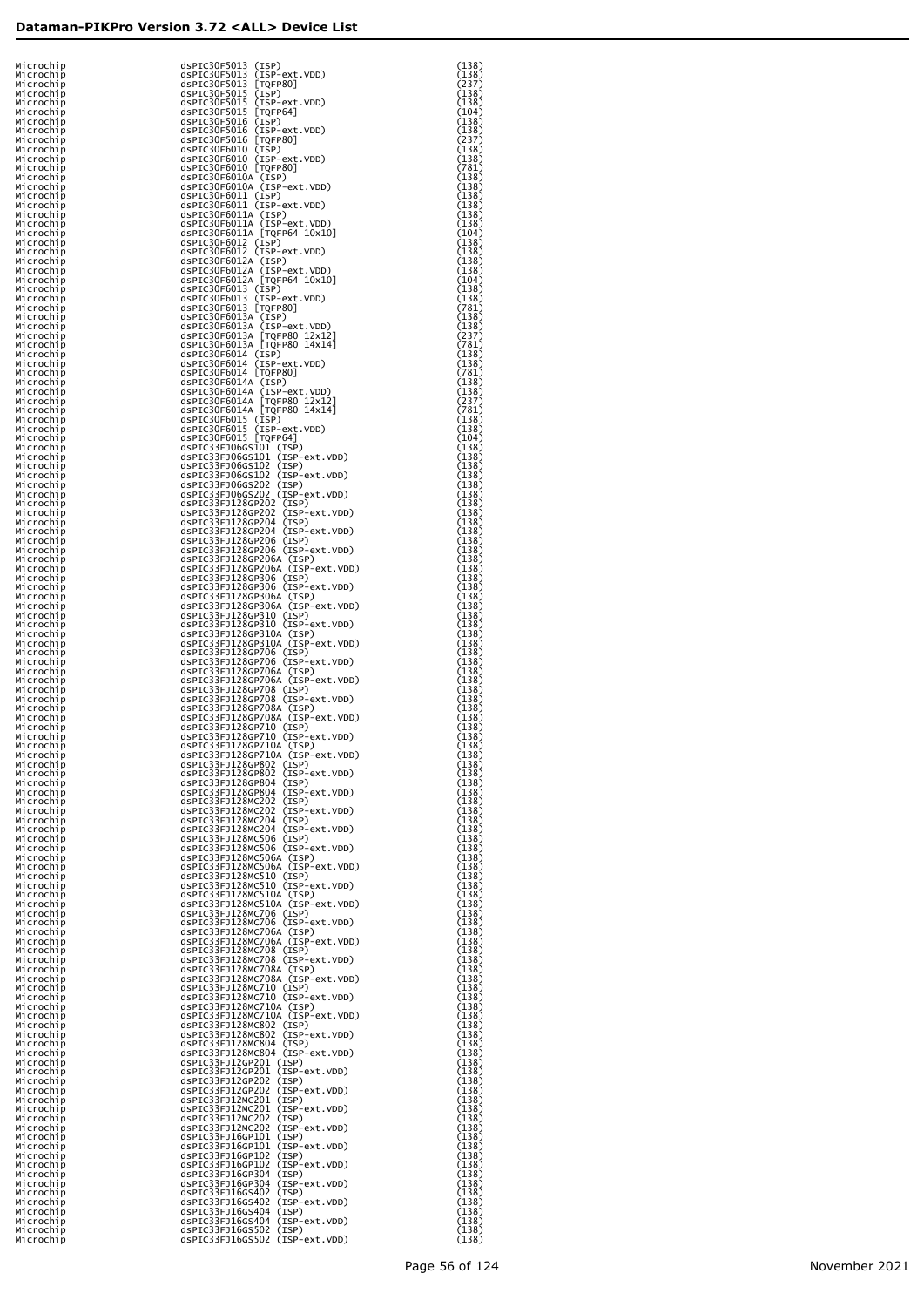| Microchip                 | dsPIC30F5013 (ISP)                                                                                                                                                        | (138)          |
|---------------------------|---------------------------------------------------------------------------------------------------------------------------------------------------------------------------|----------------|
| Microchip<br>Microchip    |                                                                                                                                                                           | (138)<br>(237) |
| Microchip                 |                                                                                                                                                                           | (138)          |
| Microchip<br>Microchip    | dsPrC30F5013 (ISP-ext.VDD)<br>dsPIC30F5013 [TQFP80]<br>dsPIC30F5013 [TQFP80]<br>dsPIC30F5015 (ISP)<br>dsPIC30F5015 [TQFP64]<br>dsPIC30F5015 [TQFP64]                      | (138)<br>(104) |
| Microchip                 | dsPrC30F5016 (ISP)<br>dsPIC30F5016 (ISP)<br>dsPIC30F5016 (ISP-ext.VDD)<br>dsPIC30F6010 (ISP)<br>dsPIC30F6010 (ISP-ext.VDD)<br>dsPIC30F6010 (ISP-ext.VDD)                  | (138)          |
| Microchip<br>Microchip    |                                                                                                                                                                           | (138)<br>(237) |
| Microchip                 |                                                                                                                                                                           | (138)          |
| Microchip                 |                                                                                                                                                                           | (138)          |
| Microchip<br>Microchip    | dsPIC30F6010 [TQFP80]                                                                                                                                                     | (781)<br>(138) |
| Microchip                 | dsPIC30F6010A (ISP)<br>dsPIC30F6010A (ISP-ext.VDD)                                                                                                                        | (138)          |
| Microchip<br>Microchip    |                                                                                                                                                                           | (138)<br>(138) |
| Microchip                 | dsPIC30F6011 (ISP)<br>dsPIC30F6011 (ISP)<br>dsPIC30F6011 (ISP-ext.VDD)<br>dsPIC30F6011A (ISP)<br>dsPIC30F6011A (IQPP64 10x10)<br>dsPIC30F6012 (ISP)<br>dsPIC30F6012 (ISP) | (138)          |
| Microchip                 |                                                                                                                                                                           | (138)          |
| Microchip<br>Microchip    |                                                                                                                                                                           | (104)<br>(138) |
| Microchip                 | dsPIC30F6012 (ISP-ext.VDD)                                                                                                                                                | (138)          |
| Microchip<br>Microchip    | dsPIC30F6012A (ISP)<br>dsPIC30F6012A (ISP-ext.VDD)                                                                                                                        | (138)<br>(138) |
| Microchip                 | dsPIC30F6012A [TQFP64 10x10]                                                                                                                                              | (104)          |
| Microchip<br>Microchip    | dsPIC30F6013 (ISP)<br>dsPIC30F6013 (ISP-ext.VDD)                                                                                                                          | (138)<br>(138) |
| Microchip                 | dsPIC30F6013 [TQFP80]                                                                                                                                                     | (781)          |
| Microchip                 | dsPIC30F6013A (ISP)                                                                                                                                                       | (138)          |
| Microchip<br>Microchip    | dsPIC30F6013A (ISP-ext.VDD)                                                                                                                                               | (138)<br>(237) |
| Microchip                 | dsPIC30F6013A [TQFP80 12x12]<br>dsPIC30F6013A [TQFP80 14x14]                                                                                                              | (781)          |
| Microchip<br>Microchip    | dsPIC30F6014 (ISP)<br>dsPIC30F6014 (ISP-ext.VDD)                                                                                                                          | (138)<br>(138) |
| Microchip                 | dsPIC30F6014 [TQFP80]                                                                                                                                                     | (781)          |
| Microchip<br>Microchip    | dsPIC30F6014A (ISP)<br>dsPIC30F6014A (ISP-ext.VDD)                                                                                                                        | (138)<br>(138) |
| Microchip                 | dsPIC30F6014A [TQFP80 12x12]<br>dsPIC30F6014A [TQFP80 14x14]                                                                                                              | (237)          |
| Microchip                 |                                                                                                                                                                           | (781)<br>(138) |
| Microchip<br>Microchip    | dsPIC30F6015 (ISP)<br>dsPIC30F6015 (ISP-ext.VDD)<br>dsPIC30F6015 [TQFP64]                                                                                                 | (138)          |
| Microchip                 |                                                                                                                                                                           | (104)          |
| Microchip<br>Microchip    | dsPIC33FJ06GS101 (ISP)<br>dsPIC33FJ06GS101 (ISP-ext.VDD)                                                                                                                  | (138)<br>(138) |
| Microchip                 | dsPIC33FJ06GS102 (ISP)                                                                                                                                                    | (138)          |
| Microchip<br>Microchip    | dsPIC33FJ06GS102 (ISP-ext.VDD)<br>dsPIC33FJ06GS202 (ISP)                                                                                                                  | (138)<br>(138) |
| Microchip                 | dsPIC33FJ06GS202 (ISP-ext.VDD)                                                                                                                                            | (138)          |
| Microchip<br>Microchip    | dsPIC33FJ128GP202 (ISP)<br>dsPIC33FJ128GP202 (ISP-ext.VDD)                                                                                                                | (138)<br>(138) |
| Microchip                 | dsPIC33FJ128GP204 (ISP)<br>dsPIC33FJ128GP204 (ISP-ext.VDD)                                                                                                                | (138)          |
| Microchip                 |                                                                                                                                                                           | (138)          |
| Microchip<br>Microchip    | dsPIC33FJ128GP206 (ISP)<br>dsPIC33FJ128GP206 (ISP-ext.VDD)                                                                                                                | (138)<br>(138) |
| Microchip                 | dsPIC33FJ128GP206A (ISP)                                                                                                                                                  | (138)          |
| Microchip<br>Microchip    | dsPIC33FJ128GP206A (ISP-ext.VDD)<br>dsPIC33FJ128GP306 (ISP)                                                                                                               | (138)<br>(138) |
| Microchip                 | dsPIC33FJ128GP306 (ISP-ext.VDD)                                                                                                                                           | (138)          |
| Microchip<br>Microchip    | dsPIC33FJ128GP306A (ISP)<br>dsPIC33FJ128GP306A (ISP-ext.VDD)                                                                                                              | (138)<br>(138) |
| Microchip                 | dsPIC33FJ128GP310 (ISP)                                                                                                                                                   | (138)          |
| Microchip<br>Microchip    | dsPIC33FJ128GP310 (ISP-ext.VDD)<br>dsPIC33FJ128GP310A (ISP)                                                                                                               | (138)<br>(138) |
| Microchip                 | dsPIC33FJ128GP310A (ISP-ext.VDD)                                                                                                                                          | (138)          |
| Microchip                 | dsPIC33FJ128GP706 (ISP)<br>dsPIC33FJ128GP706 (ISP-ext.VDD)                                                                                                                | (138)<br>(138) |
| Microchip<br>Microchip    | dsPIC33FJ128GP706A (ISP)                                                                                                                                                  | (138)          |
| Microchip                 | dsPIC33FJ128GP706A (ISP-ext.VDD)                                                                                                                                          | (138)          |
| Microchip<br>Microchip    | dsPIC33FJ128GP708 (ISP)<br>dsPIC33FJ128GP708 (ISP-ext.VDD)                                                                                                                | (138)<br>(138) |
| Microchip                 | dsPIC33FJ128GP708A (ISP)                                                                                                                                                  | (138)          |
| Microchip<br>Microchip    | dsPIC33FJ128GP708A (ISP-ext.VDD)<br>dsPIC33FJ128GP710 (ISP)                                                                                                               | (138)<br>(138) |
| Microchip                 | dsPIC33FJ128GP710 (ISP-ext.VDD)                                                                                                                                           | (138)          |
| Microchip<br>M1 Croch 1 p | dsPIC33FJ128GP710A (ISP)<br>dsPIC33FJ128GP710A (ISP-ext.VDD)                                                                                                              | (138)          |
| Microchip                 | dsPIC33FJ128GP802 (ISP)                                                                                                                                                   | (138)<br>(138) |
| Microchip                 |                                                                                                                                                                           | (138)          |
| Microchip<br>Microchip    | dsPIC33FJ128GP802 (ISP-ext.VDD)<br>dsPIC33FJ128GP804 (ISP)<br>dsPIC33FJ128GP804 (ISP)<br>dsPIC33FJ128GP804 (ISP-ext.VDD)                                                  | (138)<br>(138) |
| Microchip                 | dsPIC33FJ128MC202 (ISP)                                                                                                                                                   | (138)          |
| Microchip<br>Microchip    | dsPIC33FJ128MC202 (ISP-ext.VDD)<br>dsPIC33FJ128MC204 (ISP)<br>dsPIC33FJ128MC204 (ISP)<br>dsPIC33FJ128MC204 (ISP-ext.VDD)                                                  | (138)<br>(138) |
| Microchip                 |                                                                                                                                                                           | (138)          |
| Microchip<br>Microchip    | dsPIC33FJ128MC506 (ISP)<br>dsPIC33FJ128MC506 (ISP-ext.VDD)                                                                                                                | (138)<br>(138) |
| Microchip                 | dsPIC33FJ128MC506A (ISP)                                                                                                                                                  | (138)          |
| Microchip<br>Microchip    | dsPIC33FJ128MC506A (ISP-ext.VDD)<br>dsPIC33FJ128MC510 (ISP)                                                                                                               | (138)<br>(138) |
| Microchip                 | dsPIC33FJ128MC510 (ISP-ext.VDD)                                                                                                                                           | (138)          |
| Microchip<br>Microchip    | dsPIC33FJ128MC510A (ISP)<br>dsPIC33FJ128MC510A (ISP-ext.VDD)                                                                                                              | (138)<br>(138) |
| Microchip                 | dsPIC33FJ128MC706 (ISP)                                                                                                                                                   | (138)          |
| Microchip<br>Microchip    | dsPIC33FJ128MC706 (ISP-ext.VDD)<br>dsPIC33FJ128MC706A (ISP)                                                                                                               | (138)<br>(138) |
| Microchip                 | dsPIC33FJ128MC706A (ISP-ext.VDD)                                                                                                                                          | (138)          |
| Microchip<br>Microchip    | dsPIC33FJ128MC708 (ISP)<br>dsPIC33FJ128MC708 (ISP-ext.VDD)                                                                                                                | (138)<br>(138) |
| Microchip                 | dsPIC33FJ128MC708A (ISP)                                                                                                                                                  | (138)          |
| Microchip                 | dsPIC33FJ128MC708A (ISP-ext.VDD)                                                                                                                                          | (138)          |
| Microchip<br>Microchip    | dsPIC33FJ128MC710 (ISP)<br>dsPIC33FJ128MC710 (ISP-ext.VDD)                                                                                                                | (138)<br>(138) |
| Microchip                 | dsPIC33FJ128MC710A (ISP)                                                                                                                                                  | (138)          |
| Microchip<br>Microchip    | dsPIC33FJ128MC710A (ISP-ext.VDD)<br>dsPIC33FJ128MC802 (ISP)                                                                                                               | (138)<br>(138) |
| Microchip                 | dsPIC33FJ128MC802 (ISP-ext.VDD)<br>dsPIC33FJ128MC804 (ISP)<br>dsPIC33FJ128MC804 (ISP)<br>dsPIC33FJ128MC804 (ISP-ext.VDD)                                                  | (138)          |
| Microchip<br>Microchip    |                                                                                                                                                                           | (138)<br>(138) |
| Microchip                 | dsPIC33FJ12GP201 (ISP)                                                                                                                                                    | (138)          |
| Microchip<br>Microchip    | dsPIC33FJ12GP201 (ISP-ext.VDD)<br>dsPIC33FJ12GP202 (ISP)                                                                                                                  | (138)<br>(138) |
| Microchip                 | dsPIC33FJ12GP202 (ISP-ext.VDD)                                                                                                                                            | (138)          |
| Microchip<br>Microchip    | dsPIC33FJ12MC201 (ISP)<br>dsPIC33FJ12MC201 (ISP-ext.VDD)                                                                                                                  | (138)<br>(138) |
| Microchip                 | dsPIC33FJ12MC202 (ISP)                                                                                                                                                    | (138)          |
| Microchip<br>Microchip    | dsPIC33FJ12MC202 (ISP-ext.VDD)<br>dsPIC33FJ16GP101 (ISP)                                                                                                                  | (138)<br>(138) |
| Microchip                 | dsPIC33FJ16GP101 (ISP-ext.VDD)                                                                                                                                            | (138)          |
| Microchip                 | dsPIC33FJ16GP102 (ISP)<br>dsPIC33FJ16GP102 (ISP-ext.VDD)                                                                                                                  | (138)          |
| Microchip<br>Microchip    | dsPIC33FJ16GP304 (ISP)                                                                                                                                                    | (138)<br>(138) |
| Microchip                 | dsPIC33FJ16GP304 (ISP-ext.VDD)                                                                                                                                            | (138)          |
| Microchip<br>Microchip    | dsPIC33FJ16GS402 (ISP)<br>dsPIC33FJ16GS402 (ISP-ext.VDD)                                                                                                                  | (138)<br>(138) |
| Microchip                 | dsPIC33FJ16GS404 (ISP)                                                                                                                                                    | (138)          |
| Microchip<br>Microchip    | dsPIC33FJ16GS404 (ISP-ext.VDD)<br>dsPIC33FJ16GS502 (ISP)                                                                                                                  | (138)<br>(138) |
| Microchip                 | dsPIC33FJ16GS502 (ISP-ext.VDD)                                                                                                                                            | (138)          |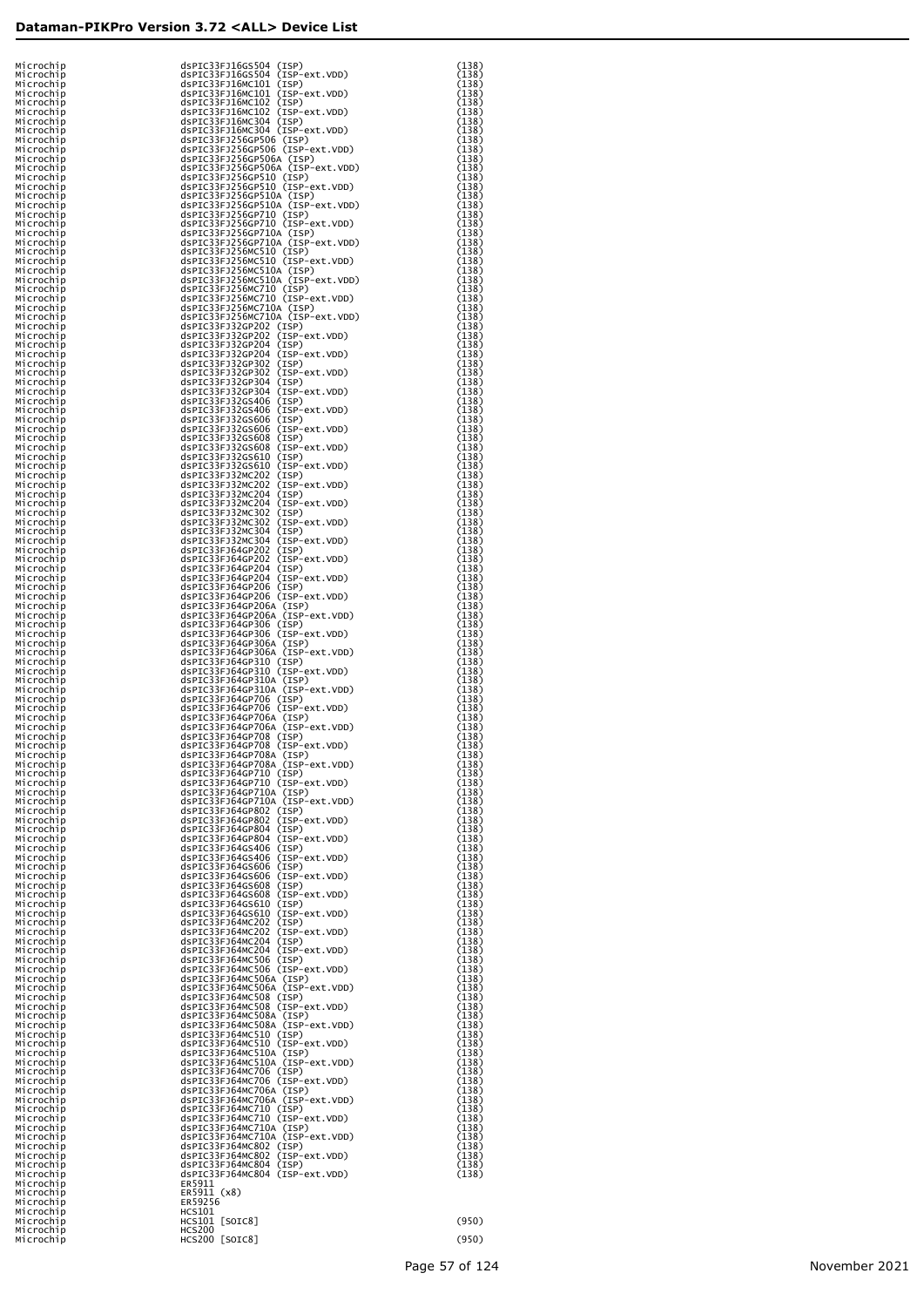| Microchip              | dsPIC33FJ16GS504 (ISP)                                                                    | (138)          |
|------------------------|-------------------------------------------------------------------------------------------|----------------|
| Microchip              | dsPIC33FJ16GS504 (ISP-ext.VDD)                                                            | (138)          |
| Microchip              | dsPIC33FJ16MC101 (ISP)                                                                    | (138)          |
| Microchip              | dsPIC33FJ16MC101 (ISP-ext.VDD)                                                            | (138)          |
| Microchip              | dsPIC33FJ16MC102 (ISP)                                                                    | (138)          |
| Microchip              | dsPIC33FJ16MC102 (ISP-ext.VDD)                                                            | (138)          |
| Microchip              | dsPIC33FJ16MC304 (ISP)                                                                    | (138)          |
| Microchip              | dsPIC33FJ16MC304 (ISP-ext.VDD)<br>dsPIC33FJ16MC304 (ISP)<br>spic33FJ166P506 (ISP) ext.VDD | (138)          |
| Microchip              |                                                                                           | (138)<br>(138) |
| Microchip<br>Microchip | dsPIC33FJ256GP506 (ISP-ext.VDD)<br>dsPIC33FJ256GP506A (ISP)                               | (138)          |
| Microchip              | dsPIC33FJ256GP506A (ISP-ext.VDD)                                                          | (138)          |
|                        |                                                                                           | (138)          |
| Microchip              | dsPIC33FJ256GP510 (ISP)                                                                   | (138)          |
| Microchip              | dsPIC33FJ256GP510 (ISP-ext.VDD)<br>dsPIC33FJ256GP510A (ISP)                               | (138)          |
| Microchip              |                                                                                           | (138)          |
| Microchip              | dsPIC33FJ256GP510A (ISP-ext.VDD)                                                          |                |
| Microchip              | dsPIC33FJ256GP710 (ISP)                                                                   | (138)          |
| Microchip              | dsPIC33FJ256GP710 (ISP-ext.VDD)<br>dsPIC33FJ256GP710A (ISP)                               | (138)<br>(138) |
| Microchip              | dsPIC33FJ256GP710A (ISP-ext.VDD)                                                          | (138)          |
| Microchip              |                                                                                           |                |
| Microchip              | dsPIC33FJ256MC510 (ISP)                                                                   | (138)          |
| Microchip              | dsPIC33FJ256MC510 (ISP-ext.VDD)                                                           | (138)          |
| Microchip              | dsPIC33FJ256MC510A (ISP)                                                                  | (138)          |
| Microchip              | dsPIC33FJ256MC510A (ISP-ext.VDD)                                                          | (138)          |
| Microchip              | dsPIC33FJ256MC710 (ISP)                                                                   | (138)          |
| Microchip              | dsPIC33FJ256MC710 (ISP-ext.VDD)                                                           | (138)          |
| Microchip              | dsPIC33FJ256MC710A (ISP)                                                                  | (138)          |
| Microchip              | dsPIC33FJ256MC710A (ISP-ext.VDD)                                                          | (138)          |
| Microchip              | dsPIC33FJ32GP202 (ISP)                                                                    | (138)          |
| Microchip              | dsPIC33FJ32GP202 (ISP-ext.VDD)                                                            | (138)          |
| Microchip              | dsPIC33FJ32GP204 (ISP)                                                                    | (138)          |
| Microchip              | dsPIC33FJ32GP204 (ISP-ext.VDD)                                                            | (138)          |
| Microchip              | dsPIC33FJ32GP302 (ISP)                                                                    | (138)          |
| Microchip              | dsPIC33FJ32GP302 (ISP-ext.VDD)<br>dsPIC33FJ32GP304 (ISP)                                  | (138)          |
| Microchip              |                                                                                           | (138)          |
| Microchip              | dsPIC33FJ32GP304 (ISP-ext.VDD)<br>dsPIC33FJ32GS406 (ISP)                                  | (138)          |
| Microchip              |                                                                                           | (138)          |
| Microchip              | dsPIC33FJ32GS406 (ISP-ext.VDD)<br>dsPIC33FJ32GS606 (ISP)                                  | (138)          |
| Microchip              | dsPIC33FJ32GS606 (ISP-ext.VDD)                                                            | (138)<br>(138) |
| Microchip              | dsPIC33FJ32GS608 (ISP)                                                                    | (138)          |
| Microchip              | dsPIC33FJ32GS608 (ISP-ext.VDD)                                                            | (138)          |
| Microchip              | dsPIC33FJ32GS610 (ISP)                                                                    | (138)          |
| Microchip<br>Microchip | dsPIC33FJ32GS610 (ISP-ext.VDD)                                                            | (138)          |
|                        | dsPIC33FJ32MC202 (ISP)                                                                    | (138)          |
| Microchip<br>Microchip | dsPIC33FJ32MC202 (ISP-ext.VDD)                                                            | (138)          |
| Microchip              | dsPIC33FJ32MC204 (ISP)                                                                    | (138)          |
| Microchip              | dsPIC33FJ32MC204 (ISP-ext.VDD)                                                            | (138)          |
| Microchip              | dsPIC33FJ32MC302 (ISP)                                                                    | (138)          |
| Microchip              | dsPIC33FJ32MC302 (ISP-ext.VDD)                                                            | (138)          |
| Microchip              | dsPIC33FJ32MC304 (ISP)                                                                    | (138)          |
| Microchip              | dsPIC33FJ32MC304 (ISP-ext.VDD)                                                            | (138)          |
| Microchip              | dsPIC33FJ64GP202 (ISP)                                                                    | (138)          |
| Microchip              | dsPIC33FJ64GP202 (ISP-ext.VDD)                                                            | (138)          |
| Microchip              | dsPIC33FJ64GP204 (ISP)                                                                    | (138)          |
| Microchip              | dsPIC33FJ64GP204 (ISP-ext.VDD)                                                            | (138)          |
| Microchip              | dsPIC33FJ64GP206 (ISP)                                                                    | (138)          |
| Microchip              | dsPIC33FJ64GP206 (ISP-ext.VDD)                                                            | (138)          |
| Microchip              | dsPIC33FJ64GP206A (ISP)                                                                   | (138)          |
| Microchip              | dsPIC33FJ64GP206A (ISP-ext.VDD)                                                           | (138)          |
| Microchip              | dsPIC33FJ64GP306 (ISP)                                                                    | (138)          |
| Microchip              | dsPIC33FJ64GP306 (ISP-ext.VDD)                                                            | (138)          |
| Microchip              | dsPIC33FJ64GP306A (ISP)                                                                   | (138)          |
| Microchip              | dsPIC33FJ64GP306A (ISP-ext.VDD)                                                           | (138)          |
| Microchip              | dsPIC33FJ64GP310 (ISP)                                                                    | (138)          |
| Microchip              | dsPIC33FJ64GP310 (ISP-ext.VDD)                                                            | (138)          |
| Microchip              | dsPIC33FJ64GP310A (ISP)                                                                   | (138)          |
| Microchip              | dsPIC33FJ64GP310A (ISP-ext.VDD)                                                           | (138)          |
| Microchip              | dsPIC33FJ64GP706 (ISP)                                                                    | (138)          |
| Microchip              | dsPIC33FJ64GP706 (ISP-ext.VDD)                                                            | (138)          |
| Microchip              | dsPIC33FJ64GP706A (ISP)                                                                   | (138)          |
| Microchip              | dsPIC33FJ64GP706A (ISP-ext.VDD)                                                           | (138)          |
| Microchip              | dsPIC33FJ64GP708 (ISP)                                                                    | (138)          |
| Microchip              | dsPIC33FJ64GP708 (ISP-ext.VDD)                                                            | (138)          |
| M1 Croch 1 p           | dsPIC33FJ64GP/08A (ISP)                                                                   | (138)          |
| Microchip              | dsPIC33FJ64GP708A (ISP-ext.VDD)                                                           | (138)          |
| Microchip              | dsPIC33FJ64GP710 (ISP)                                                                    | (138)          |
| Microchip              | dsPIC33FJ64GP710 (ISP-ext.VDD)                                                            | (138)          |
| Microchip              | dsPIC33FJ64GP710A (ISP)                                                                   | (138)          |
| Microchip              | dsPIC33FJ64GP710A (ISP-ext.VDD)                                                           | (138)          |
| Microchip              | dsPIC33FJ64GP802 (ISP)                                                                    | (138)          |
| Microchip              | dsPIC33FJ64GP802 (ISP-ext.VDD)                                                            | (138)          |
| Microchip              | dsPIC33FJ64GP804 (ISP)                                                                    | (138)          |
| Microchip              | dsPIC33FJ64GP804 (ISP-ext.VDD)                                                            | (138)          |
| Microchip              | dsPIC33FJ64GS406 (ISP)                                                                    | (138)          |
| Microchip              | dsPIC33FJ64GS406 (ISP-ext.VDD)                                                            | (138)          |
| Microchip              | dsPIC33FJ64GS606 (ISP)                                                                    | (138)          |
| Microchip              | dsPIC33FJ64GS606 (ISP-ext.VDD)                                                            | (138)          |
| Microchip              | dsPIC33FJ64GS608 (ISP)                                                                    | (138)          |
| Microchip              | dsPIC33FJ64GS608 (ISP-ext.VDD)                                                            | (138)          |
| Microchip              | dsPIC33FJ64GS610 (ISP)<br>dsPIC33FJ64GS610 (ISP-ext.VDD)                                  | (138)          |
| Microchip              | dsPIC33FJ64MC202 (ISP)                                                                    | (138)          |
| Microchip<br>Microchip | dsPIC33FJ64MC202 (ISP-ext.VDD)                                                            | (138)<br>(138) |
| Microchip              | dsPIC33FJ64MC204 (ISP)                                                                    | (138)          |
|                        | dsPIC33FJ64MC204 (ISP-ext.VDD)                                                            |                |
| Microchip<br>Microchip | dsPIC33FJ64MC506 (ISP)                                                                    | (138)<br>(138) |
| Microchip              | dsPIC33FJ64MC506 (ISP-ext.VDD)                                                            | (138)          |
| Microchip              | dsPIC33FJ64MC506A (ISP)                                                                   | (138)          |
| Microchip              | dsPIC33FJ64MC506A (ISP-ext.VDD)                                                           | (138)          |
| Microchip              | dsPIC33FJ64MC508 (ISP)                                                                    | (138)          |
| Microchip              | dsPIC33FJ64MC508 (ISP-ext.VDD)                                                            | (138)          |
| Microchip              | dsPIC33FJ64MC508A (ISP)                                                                   | (138)          |
| Microchip              | dsPIC33FJ64MC508A (ISP-ext.VDD)                                                           | (138)          |
| Microchip              | dsPIC33FJ64MC510 (ISP)                                                                    | (138)          |
| Microchip              | dsPIC33FJ64MC510 (ISP-ext.VDD)                                                            | (138)          |
| Microchip              | dsPIC33FJ64MC510A (ISP)                                                                   | (138)          |
| Microchip              | dsPIC33FJ64MC510A (ISP-ext.VDD)                                                           | (138)          |
| Microchip              | dsPIC33FJ64MC706 (ISP)                                                                    | (138)          |
| Microchip              | dsPIC33FJ64MC706 (ISP-ext.VDD)                                                            | (138)          |
| Microchip              | dsPIC33FJ64MC706A (ISP)                                                                   | (138)          |
| Microchip              | dsPIC33FJ64MC706A (ISP-ext.VDD)                                                           | (138)          |
| Microchip              | dsPIC33FJ64MC710 (ISP)                                                                    | (138)          |
| Microchip              | dsPIC33FJ64MC710 (ISP-ext.VDD)                                                            | (138)          |
| Microchip              | dsPIC33FJ64MC710A (ISP)                                                                   | (138)          |
| Microchip              | dsPIC33FJ64MC710A (ISP-ext.VDD)                                                           | (138)          |
| Microchip              | dsPIC33FJ64MC802 (ISP)                                                                    | (138)          |
| Microchip              |                                                                                           | (138)          |
| Microchip              | dsPIC33FJ64MC802 (ISP-ext.VDD)<br>dsPIC33FJ64MC804 (ISP)                                  | (138)          |
| Microchip              | dsPIC33FJ64MC804 (ISP-ext.VDD)                                                            | (138)          |
| Microchip              | ER5911                                                                                    |                |
| Microchip              | ER5911 (x8)                                                                               |                |
| Microchip              | ER59256                                                                                   |                |
| Microchip              | HCS101                                                                                    |                |
| Microchip              | HCS101 [SOIC8]                                                                            | (950)          |
| Microchip              | <b>HCS200</b>                                                                             |                |
| Microchip              | HCS200 [SOIC8]                                                                            | (950)          |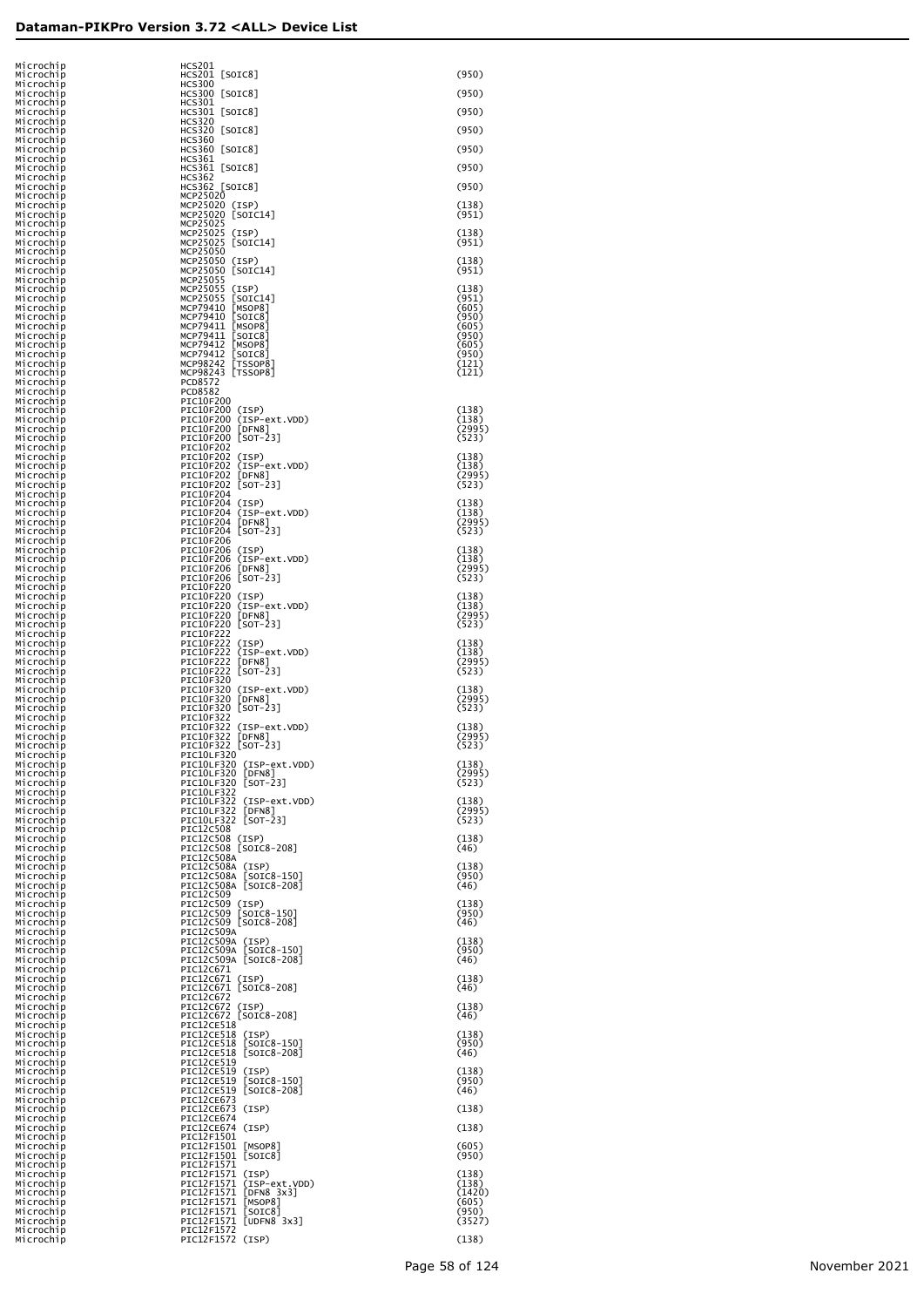| Microchip                           | HCS201                                                             |                 |
|-------------------------------------|--------------------------------------------------------------------|-----------------|
| Microchip<br>Microchip              | HCS201 [SOIC8]<br><b>HCS300</b>                                    | (950)           |
| Microchip<br>Microchip              | HCS300 [SOIC8]<br><b>HCS301</b>                                    | (950)           |
| Microchip<br>Microchip              | HCS301 [SOIC8]<br><b>HCS320</b>                                    | (950)           |
| Microchip<br>Microchip              | HCS320 [SOIC8]<br><b>HCS360</b>                                    | (950)           |
| Microchip<br>Microchip              | HCS360 [SOIC8]<br><b>HCS361</b>                                    | (950)           |
| Microchip<br>Microchip              | HCS361 [SOIC8]<br><b>HCS362</b>                                    | (950)           |
| Microchip<br>Microchip              | HCS362 [SOIC8]<br>MCP25020                                         | (950)           |
| Microchip<br>Microchip              | MCP25020 (ISP)<br>MCP25020 [SOIC14]                                | (138)<br>(951)  |
| Microchip<br>Microchip              | MCP25025<br>MCP25025<br>(ISP)                                      | (138)           |
| Microchip<br>Microchip              | MCP25025 [SOIC14]<br>MCP25050                                      | (951)           |
| Microchip<br>Microchip              | MCP25050 (ISP)<br>MCP25050<br>[SOIC14]                             | (138)<br>(951)  |
| Microchip                           | MCP25055<br>MCP25055                                               |                 |
| Microchip<br>Microchip              | (ISP)<br>MCP25055<br>[SOIC14]<br>MCP79410                          | (138)<br>(951)  |
| Microchip<br>Microchip              | [MSOP8]<br>[SOIC8]<br>MCP79410                                     | (605)<br>(950)  |
| Microchip<br>Microchip              | [MSOP8]<br>MCP79411<br>MCP79411<br>[SOIC8]                         | (605)<br>(950)  |
| Microchip<br>Microchip              | [MSOP8]<br>MCP79412<br>MCP79412<br>[SOIC8]                         | (605)<br>(950)  |
| Microchip<br>Microchip              | [TSSOP8]<br>MCP98242<br>MCP98243 [TSSOP8]                          | (121)<br>(121)  |
| Microchip<br>Microchip              | <b>PCD8572</b><br><b>PCD8582</b>                                   |                 |
| Microchip<br>Microchip              | PIC10F200<br>PIC10F200 (ISP)                                       | (138)           |
| Microchip<br>Microchip              | PIC10F200<br>(ISP-ext.VDD)<br>[DFN8]<br>PIC10F200                  | (138)<br>(2995) |
| Microchip<br>Microchip              | PIC10F200 [SOT-23]<br>PIC10F202                                    | (523)           |
| Microchip<br>Microchip              | PIC10F202 (ISP)<br>PIC10F202<br>(ISP-ext.VDD)                      | (138)<br>(138)  |
| Microchip<br>Microchip              | [DFN8]<br>PIC10F202<br>$[50T - 23]$<br>PIC10F202                   | (2995)<br>(523) |
| Microchip<br>Microchip              | PIC10F204<br>PIC10F204 (ISP)                                       | (138)           |
| Microchip<br>Microchip              | PIC10F204 (ISP-ext.VDD)<br>PIC10F204 [DFN8]                        | (138)<br>(2995) |
| Microchip<br>Microchip              | PIC10F204 [SOT-23]<br>PIC10F206                                    | (523)           |
| Microchip<br>Microchip              | PIC10F206 (ISP)<br>PIC10F206 (ISP-ext.VDD)                         | (138)<br>(138)  |
| Microchip<br>Microchip              | [DFN8]<br>PIC10F206<br>PIC10F206 [SOT-23]                          | (2995)<br>(523) |
| Microchip<br>Microchip              | PIC10F220<br>PIC10F220 (ISP)                                       | (138)           |
| Microchip<br>Microchip              | PIC10F220 (ISP-ext.VDD)<br>[DFN8]<br>PIC10F220                     | (138)<br>(2995) |
| Microchip<br>Microchip              | $[SOT-23]$<br>PIC10F220<br>PIC10F222                               | (523)           |
| Microchip<br>Microchip              | PIC10F222<br>(ISP)<br>PIC10F222<br>(ISP-ext.VDD)                   | (138)<br>(138)  |
| Microchip<br>Microchip              | [DFN8]<br>PIC10F222<br>$[SOT-23]$<br>PIC10F222<br>PIC10F320        | (2995)<br>(523) |
| Microchip<br>Microchip              | PIC10F320 (ISP-ext.VDD)                                            | (138)<br>(2995) |
| Microchip<br>Microchip              | [DFN8]<br>PIC10F320<br>$[SOT-23]$<br>PIC10F320                     | (523)           |
| Microchip<br>Microchip              | PIC10F322<br>PIC10F322<br>(ISP-ext.VDD)<br>PIC10F322<br>[DFN8]     | (138)           |
| Microchip<br>Microchip              | PIC10F322 [SOT-23]<br>PIC10LF320                                   | (2995)<br>(523) |
| Microchip<br>Microchip              | PIC10LF320 (ISP-ext.VDD)<br>[DFN8]<br>PIC10LF320                   | (138)<br>(2995) |
| Microchip<br>Microchip<br>Microchip | $[50T-23]$<br>PIC10LF320<br><b>PIC10LF322</b>                      | (523)           |
| Microchip<br>Microchip              | PIC10LF322 (ISP-ext.VDD)<br>PIC10LF322 [DFN8]                      | (138)<br>(2995) |
| Microchip<br>Microchip              | PIC10LF322 [SOT-23]<br>PIC12C508                                   | (523)           |
| Microchip<br>Microchip              | PIC12C508 (ISP)<br>PIC12C508 [SOIC8-208]                           | (138)<br>(46)   |
| Microchip<br>Microchip              | PIC12C508A                                                         | (138)           |
| Microchip<br>Microchip              | PIC12C508A (ISP)<br>PIC12C508A [SOIC8-150]<br>PIC12C508A SOIC8-208 | (950)<br>(46)   |
| Microchip<br>Microchip              | PIC12C509<br>PIC12C509 (ISP)                                       | (138)           |
| Microchip<br>Microchip              | PIC12C509<br>$[SOIC8-150]$<br>PIC12C509 [SOIC8-208]                | (950)<br>(46)   |
| Microchip<br>Microchip              | PIC12C509A                                                         | (138)           |
| Microchip<br>Microchip              | PIC12C509A (ISP)<br>PIC12C509A [SOIC8-150]<br>PIC12C509A SOIC8-208 | (950)<br>(46)   |
| Microchip<br>Microchip              | PIC12C671                                                          | (138)           |
| Microchip<br>Microchip              | PIC12C671 (ISP)<br>PIC12C671 [SOIC8-208]<br>PIC12C672              | (46)            |
| Microchip<br>Microchip              | PIC12C672<br>(ISP)<br>PIC12C672 [SOIC8-208]                        | (138)<br>(46)   |
| Microchip<br>Microchip              | PIC12CE518<br>PIC12CE518<br>(ISP)                                  | (138)           |
| Microchip<br>Microchip              | PIC12CE518<br>$[SOIC8-150]$<br>PIC12CE518<br>$[SOIC8-208]$         | (950)<br>(46)   |
| Microchip<br>Microchip              | PIC12CE519<br>PIC12CE519<br>(ISP)                                  | (138)           |
| Microchip<br>Microchip              | PIC12CE519<br>$[SOIC8-150]$<br>PIC12CE519<br>$[SOIC8-208]$         | (950)<br>(46)   |
| Microchip<br>Microchip              | PIC12CE673<br>PIC12CE673 (ISP)                                     | (138)           |
| Microchip<br>Microchip              | PIC12CE674<br>PIC12CE674 (ISP)                                     | (138)           |
| Microchip<br>Microchip              | PIC12F1501<br>PIC12F1501<br>$\lfloor$ MSOP8]                       | (605)           |
| Microchip<br>Microchip              | PIC12F1501<br>[SOIC8]<br>PIC12F1571                                | (950)           |
| Microchip<br>Microchip              | PIC12F1571 (ISP)<br>PIC12F1571<br>(ISP-ext.VDD)                    | (138)<br>(138)  |
| Microchip<br>Microchip              | PIC12F1571<br>[DFN8 3x3]<br>PIC12F1571<br>[MSOP8]                  | (1420)<br>(605) |
| Microchip<br>Microchip              | [SOIC8]<br>PIC12F1571<br>PIC12F1571<br>[UDFN8 3x3]                 | (950)<br>(3527) |
| Microchip<br>Microchip              | PIC12F1572<br>PIC12F1572 (ISP)                                     | (138)           |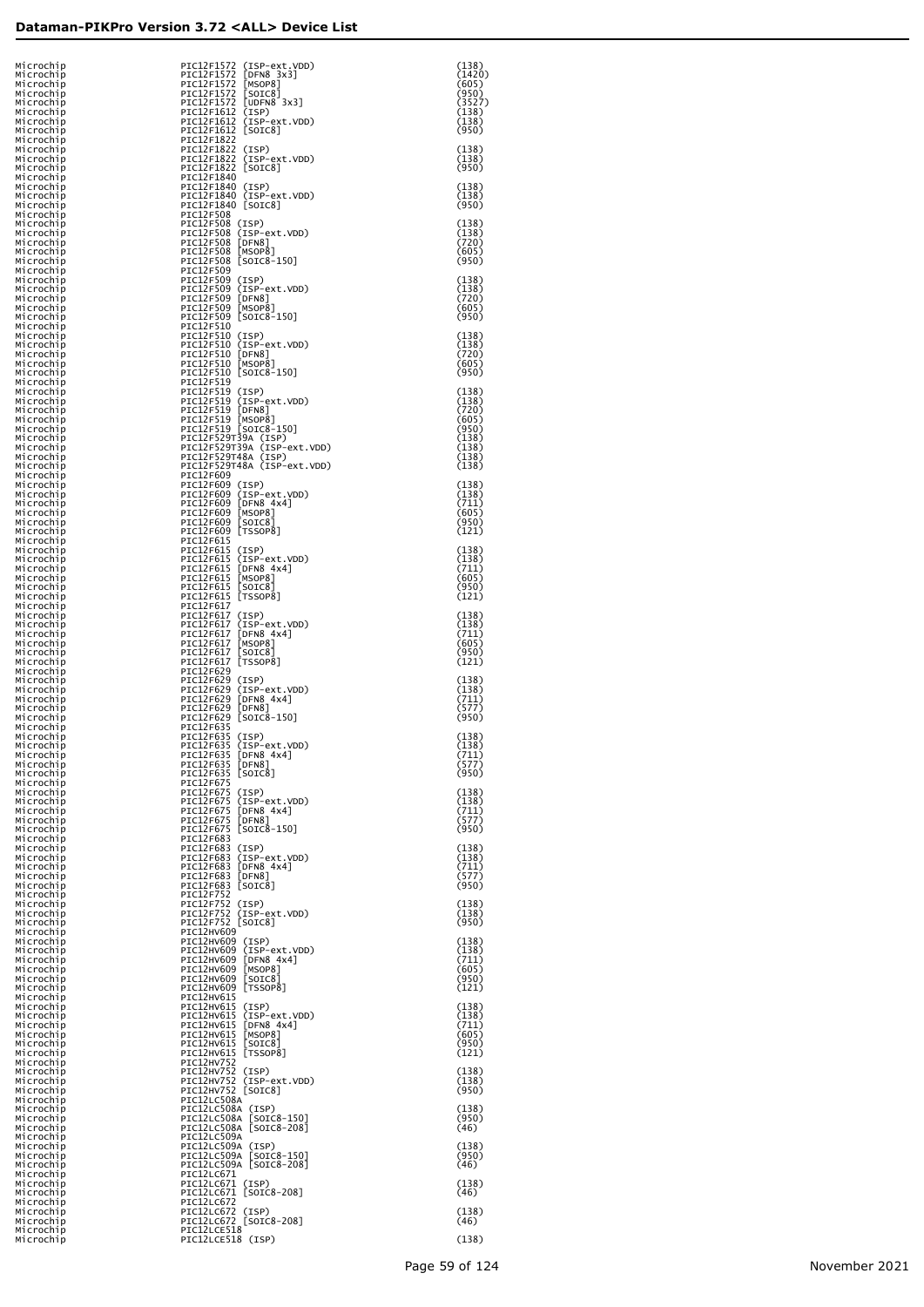| Microchip<br>Microchip<br>Microchip | PIC12F1572 (ISP-ext.VDD)<br>[ $DFN8$ $3x3$ ]<br>PIC12F1572<br>PIC12F1572<br>[MSOP8]    | (138)<br>(1420)<br>(605) |
|-------------------------------------|----------------------------------------------------------------------------------------|--------------------------|
| Microchip<br>Microchip              | PIC12F1572<br>[SOIC8]<br>PIC12F1572<br>[UDFN8 3x3]                                     | (950)<br>(3527)          |
| Microchip<br>Microchip<br>Microchip | PIC12F1612<br>(ISP)<br>PIC12F1612<br>(ISP-ext.VDD)<br>PIC12F1612 [SOIC8]               | (138)<br>(138)<br>(950)  |
| Microchip<br>Microchip              | PIC12F1822<br>PIC12F1822<br>(ISP)                                                      | (138)                    |
| Microchip<br>Microchip<br>Microchip | PIC12F1822 (ISP-ext.VDD)<br>PIC12F1822 [SOIC8]<br>PIC12F1840                           | (138)<br>(950)           |
| Microchip<br>Microchip              | PIC12F1840 (ISP)<br>PIC12F1840 (ISP-ext.VDD)                                           | (138)<br>(138)           |
| Microchip<br>Microchip<br>Microchip | PIC12F1840 [SOIC8]<br>PIC12F508<br>PIC12F508 (ISP)                                     | (950)<br>(138)           |
| Microchip<br>Microchip              | PIC12F508 (ISP-ext.VDD)<br>PIC12F508 [DFN8]                                            | (138)<br>(720)           |
| Microchip<br>Microchip<br>Microchip | PIC12F508<br>[MSOP8]<br>PIC12F508<br>[SOIC8-150]<br>PIC12F509                          | (605)<br>(950)           |
| Microchip<br>Microchip<br>Microchip | PIC12F509 (ISP)<br>PIC12F509 (ISP-ext.VDD)<br>PIC12F509                                | (138)<br>(138)           |
| Microchip<br>Microchip              | $[$ DFN8 $]$<br>PIC12F509<br>[MSOP8]<br>PIC12F509 [SOIC8-150]                          | (720)<br>(605)<br>(950)  |
| Microchip<br>Microchip<br>Microchip | PIC12F510<br>PIC12F510 (ISP)<br>PIC12F510 (ISP-ext.VDD)                                | (138)<br>(138)           |
| Microchip<br>Microchip              | PIC12F510 [DFN8]<br>PIC12F510<br>[MSOP8]                                               | (720)<br>(605)           |
| Microchip<br>Microchip<br>Microchip | PIC12F510 [SOIC8-150]<br>PIC12F519<br>PIC12F519 (ISP)                                  | (950)<br>(138)           |
| Microchip<br>Microchip              | PIC12F519 (ISP-ext.VDD)<br>PIC12F519 [DFN8]                                            | (138)<br>(720)           |
| Microchip<br>Microchip<br>Microchip | PIC12F519 [MSOP8]<br>PIC12F519 [SOIC8-150]<br>PIC12F529T39A (ISP)                      | (605)<br>(950)<br>(138)  |
| Microchip<br>Microchip              | PIC12F529T39A (ISP-ext.VDD)<br>PIC12F529T48A (ISP)                                     | (138)<br>(138)           |
| Microchip<br>Microchip<br>Microchip | PIC12F529T48A (ISP-ext.VDD)<br>PIC12F609<br>PIC12F609 (ISP)                            | (138)<br>(138)           |
| Microchip<br>Microchip              | PIC12F609<br>(ISP-ext.VDD)<br>PIC12F609                                                | (138)<br>(711)           |
| Microchip<br>Microchip<br>Microchip | [DFN8 4x4]<br>[MSOP8]<br>[SOIC8]<br>PIC12F609<br>PIC12F609<br>PIC12F609 [TSSOP8]       | (605)<br>(950)<br>(121)  |
| Microchip<br>Microchip              | PIC12F615<br>PIC12F615 (ISP)                                                           | (138)                    |
| Microchip<br>Microchip<br>Microchip | PIC12F615<br>(ISP-ext.VDD)<br>PIC12F615<br>[DFN8 4x4]<br>PIC12F615<br>$[$ MSOP $8$ ]   | (138)<br>(711)<br>(605)  |
| Microchip<br>Microchip              | PIC12F615<br>[SOIC8]<br>PIC12F615 [TSSOP8]                                             | (950)<br>(121)           |
| Microchip<br>Microchip<br>Microchip | PIC12F617<br>PIC12F617 (ISP)<br>PIC12F617 (ISP-ext.VDD)                                | (138)<br>(138)           |
| Microchip<br>Microchip              | PIC12F617<br>[DFN8 4x4]<br>[MSOP8]<br>PIC12F617                                        | (711)<br>(605)           |
| Microchip<br>Microchip<br>Microchip | PIC12F617<br>SOIC8<br>PIC12F617<br>[TSSOP8]<br>PIC12F629                               | (950)<br>(121)           |
| Microchip<br>Microchip              | PIC12F629 (ISP)<br>PIC12F629<br>(ISP-ext.VDD)                                          | (138)<br>(138)           |
| Microchip<br>Microchip<br>Microchip | PIC12F629<br>[DFN8 4x4]<br>PIC12F629<br>[DFN8]<br>PIC12F629<br>[SOIC8-150]             | (711)<br>(577)<br>(950)  |
| Microchip<br>Microchip              | PIC12F635<br>PIC12F635 (ISP)                                                           | (138)                    |
| Microchip<br>Mıcrochıp<br>Microchip | PIC12F635<br>(ISP-ext.VDD)<br>PIC12F635<br>[DFN8 4x4]<br>[DFN8]<br>PIC12F635           | (138)<br>ر 11 /<br>(577) |
| Microchip<br>Microchip<br>Microchip | PIC12F635 [SOIC8]<br>PIC12F675<br>PIC12F675 (ISP)                                      | (950)                    |
| Microchip<br>Microchip              | PIC12F675 (ISP-ext.VDD)<br>PIC12F675<br>$[DFN8 - 4x4]$                                 | (138)<br>(138)<br>(711)  |
| Microchip<br>Microchip<br>Microchip | PIC12F675<br>[DFN8]<br>PIC12F675<br>$[SOIC8-150]$<br>PIC12F683                         | (577)<br>(950)           |
| Microchip<br>Microchip              | PIC12F683 (ISP)<br>PIC12F683 (ISP-ext.VDD)                                             | (138)<br>(138)           |
| Microchip<br>Microchip<br>Microchip | PIC12F683 [DFN8 4x4]<br>PIC12F683 [DFN8]<br>PIC12F683 [SOIC8]                          | (711)<br>(577)<br>(950)  |
| Microchip<br>Microchip              | PIC12F752<br>PIC12F752 (ISP)                                                           | (138)                    |
| Microchip<br>Microchip<br>Microchip | PIC12F752 (ISP-ext.VDD)<br>PIC12F752 [SOIC8]<br>PIC12HV609                             | (138)<br>(950)           |
| Microchip<br>Microchip              | PIC12HV609 (ISP)<br>PIC12HV609 (ISP-ext.VDD)                                           | (138)<br>(138)           |
| Microchip<br>Microchip<br>Microchip | PIC12HV609 [DFN8 4x4]<br>PIC12HV609<br>[MSOP8]<br>PIC12HV609<br>[SOIC8]                | (711)<br>(605)<br>(950)  |
| Microchip<br>Microchip              | PIC12HV609 [TSSOP8]<br>PIC12HV615                                                      | (121)                    |
| Microchip<br>Microchip<br>Microchip | PIC12HV615 (ISP)<br>PIC12HV615 (ISP-ext.VDD)<br>PIC12HV615 [DFN8_4x4]                  | (138)<br>(138)<br>(711)  |
| Microchip<br>Microchip              | PIC12HV615 [MSOP8]<br>PIC12HV615<br>[SOIC8]                                            | (605)<br>(950)           |
| Microchip<br>Microchip<br>Microchip | PIC12HV615 [TSSOP8]<br>PIC12HV752<br>PIC12HV752 (ISP)                                  | (121)<br>(138)           |
| Microchip<br>Microchip<br>Microchip | PIC12HV752 (ISP-ext.VDD)<br>PIC12HV752 [SOIC8]                                         | (138)<br>(950)           |
| Microchip<br>Microchip              | PIC12LC508A<br>PIC12LC508A (ISP)<br>PIC12LC508A [SOIC8-150]<br>PIC12LC508A [SOIC8-208] | (138)<br>(950)           |
| Microchip<br>Microchip<br>Microchip | PIC12LC509A                                                                            | (46)<br>(138)            |
| Microchip<br>Microchip              | PIC12LC509A (ISP)<br>PIC12LC509A [SOIC8-150]<br>PIC12LC509A [SOIC8-208]                | (950)<br>(46)            |
| Microchip<br>Microchip<br>Microchip | PIC12LC671<br>PIC12LC671 (ISP)<br>PIC12LC671 [SOIC8-208]                               | (138)<br>(46)            |
| Microchip<br>Microchip              | PIC12LC672<br>PIC12LC672 (ISP)                                                         | (138)                    |
| Microchip<br>Microchip<br>Microchip | PIC12LC672 [SOIC8-208]<br>PIC12LCE518<br>PIC12LCE518 (ISP)                             | (46)<br>(138)            |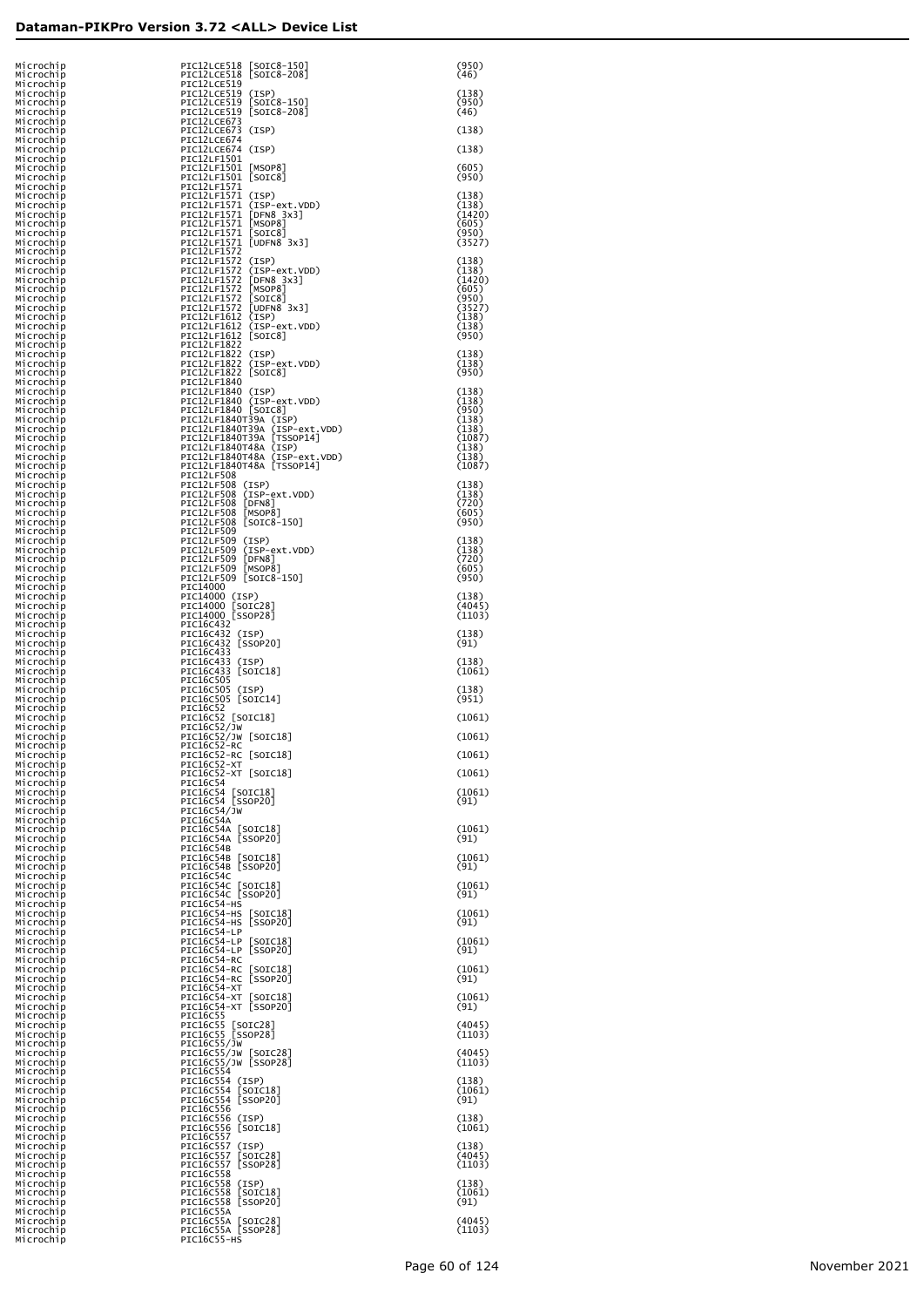| Microchip<br>Microchip              | PIC12LCE518 [SOIC8-150]<br>PIC12LCE518<br>$[SOIC8-208]$                                         | (950)<br>(46)            |
|-------------------------------------|-------------------------------------------------------------------------------------------------|--------------------------|
| Microchip<br>Microchip<br>Microchip | PIC12LCE519<br>PIC12LCE519<br>(ISP)<br>[SOIC8-150]<br>PIC12LCE519                               | (138)<br>(950)           |
| Microchip<br>Microchip              | $[SOIC8-208]$<br>PIC12LCE519<br>PIC12LCE673                                                     | (46)                     |
| Microchip<br>Microchip              | PIC12LCE673<br>(ISP)<br>PIC12LCE674                                                             | (138)                    |
| Microchip<br>Microchip<br>Microchip | PIC12LCE674 (ISP)<br>PIC12LF1501<br>PIC12LF1501<br>[MSOP8]                                      | (138)<br>(605)           |
| Microchip<br>Microchip              | PIC12LF1501 [SOIC8]<br>PIC12LF1571                                                              | (950)                    |
| Microchip<br>Microchip              | PIC12LF1571 (ISP)<br>PIC12LF1571 (ISP-ext.VDD)<br>PIC12LF1571 [DFN8 3x3]<br>PIC12LF1571 [MSOP8] | (138)<br>(138)           |
| Microchip<br>Microchip<br>Microchip | [SOIC8]<br>PIC12LF1571                                                                          | (1420)<br>(605)<br>(950) |
| Microchip<br>Microchip              | PIC12LF1571 [UDFN8 3x3]<br>PIC12LF1572                                                          | (3527)                   |
| Microchip<br>Microchip<br>Microchip | PIC12LF1572 (ISP)<br>PIC12LF1572 (ISP-ext.VDD)                                                  | (138)<br>(138)<br>(1420) |
| Microchip<br>Microchip              | PICI2LF1572 [DFN8 3x3]<br>PICI2LF1572 [MSOP8]<br>PICI2LF1572 [MSOP8]<br>PICI2LF1572 [UDFN8 3x3] | (605)<br>(950)           |
| Microchip<br>Microchip<br>Microchip | PIC12LF1612 (ISP)                                                                               | (3527)<br>(138)<br>(138) |
| Microchip<br>Microchip              | PIC12LF1612 (ISP-ext.VDD)<br>PIC12LF1612 [SOIC8]<br>PIC12LF1822                                 | (950)                    |
| Microchip<br>Microchip              | PIC12LF1822 (ISP)<br>PIC12LF1822 (ISP-ext.VDD)<br>PIC12LF1822 [SOIC8]                           | (138)<br>(138)           |
| Microchip<br>Microchip<br>Microchip | PIC12LF1840<br>PIC12LF1840 (ISP)                                                                | (950)<br>(138)           |
| Microchip<br>Microchip              | PIC12LF1840 (ISP-ext.VDD)<br>PIC12LF1840 [SOIC8]                                                | (138)<br>(950)           |
| Microchip<br>Microchip<br>Microchip | PIC12LF1840T39A (ISP)<br>PIC12LF1840T39A (ISP-ext.VDD)<br>PIC12LF1840T39A [TSSOP14]             | (138)<br>(138)<br>(1087) |
| Microchip<br>Microchip              | PIC12LF1840T48A (ISP)<br>PIC12LF1840T48A (ISP-ext.VDD)                                          | (138)<br>(138)           |
| Microchip<br>Microchip              | PIC12LF1840T48A [TSSOP14]<br>PIC12LF508                                                         | (1087)                   |
| Microchip<br>Microchip<br>Microchip | PIC12LF508 (ISP)                                                                                | (138)<br>(138)<br>(720)  |
| Microchip<br>Microchip              | PICI2LF508 (ISP-ext.VDD)<br>PICI2LF508 [DFN8]<br>PICI2LF508 [MSOP8]<br>PICI2LF508 [SOIC8-150]   | (605)<br>(950)           |
| Microchip<br>Microchip<br>Microchip | PIC12LF509<br>PIC12LF509 (ISP)                                                                  | (138)<br>(138)           |
| Microchip<br>Microchip              | PIC12LF509 (ISP-ext.VDD)<br>PIC12LF509 [DFN8]<br>PIC12LF509 [MSOP8]                             | (720)<br>(605)           |
| Microchip<br>Microchip<br>Microchip | PIC12LF509 [SOIC8-150]<br>PIC14000<br>PIC14000 (ISP)                                            | (950)<br>(138)           |
| Microchip<br>Microchip              | PIC14000 [SOIC28]<br>PIC14000 [SSOP28]                                                          | (4045)<br>(1103)         |
| Microchip<br>Microchip<br>Microchip | PIC16C432<br>PIC16C432 (ISP)<br>PIC16C432 [SSOP20]                                              | (138)<br>(91)            |
| Microchip<br>Microchip              | PIC16C433<br>PIC16C433 (ISP)                                                                    | (138)                    |
| Microchip<br>Microchip<br>Microchip | PIC16C433 [SOIC18]<br>PIC16C505<br>(ISP)                                                        | (1061)<br>(138)          |
| Microchip<br>Microchip              | PIC16C505<br>PIC16C505 [SOIC14]<br>PIC16C52                                                     | (951)                    |
| Microchip<br>Microchip              | PIC16C52 [SOIC18]<br>PIC16C52/JW<br>PIC16C52/JW [SOIC18]                                        | (1061)                   |
| Microchip<br>Microchip<br>Mıcrochıp | PIC16C52-RC<br>[SOIC18]<br>PIC16C52-RC                                                          | (1061)<br>(1061)         |
| Microchip<br>Microchip              | PIC16C52-XT<br>PIC16C52-XT [SOIC18]                                                             | (1061)                   |
| Microchip<br>Microchip<br>Microchip | PIC16C54<br>PIC16C54 [SOIC18]<br>PIC16C54 [SSOP20]                                              | (1061)<br>(91)           |
| Microchip<br>Microchip              | PIC16C54/JW<br>PIC16C54A                                                                        |                          |
| Microchip<br>Microchip<br>Microchip | PIC16C54A [SOIC18]<br>PIC16C54A [SSOP20]<br>PIC16C54B                                           | (1061)<br>(91)           |
| Microchip<br>Microchip              | PIC16C54B [SOIC18]<br>PIC16C54B [SSOP20]                                                        | (1061)<br>(91)           |
| Microchip<br>Microchip<br>Microchip | PIC16C54C<br>PIC16C54C [SOIC18]<br>PIC16C54C [SSOP20]                                           | (1061)<br>(91)           |
| Microchip<br>Microchip              | PIC16C54-HS<br>PIC16C54-HS<br>[SOIC18]                                                          | (1061)                   |
| Microchip<br>Microchip<br>Microchip | PIC16C54-HS<br>[SSOP20]<br>PIC16C54-LP<br>PIC16C54-LP<br>[SOIC18]                               | (91)<br>(1061)           |
| Microchip<br>Microchip              | PIC16C54-LP [SSOP20]<br>PIC16C54-RC                                                             | (91)                     |
| Microchip<br>Microchip              | PIC16C54-RC<br>$[SOIC18]$<br>PIC16C54-RC [SSOP20]                                               | (1061)<br>(91)           |
| Microchip<br>Microchip<br>Microchip | PIC16C54-XT<br>PIC16C54-XT [SOIC18]<br>PIC16C54-XT [SSOP20]                                     | (1061)<br>(91)           |
| Microchip<br>Microchip              |                                                                                                 | (4045)                   |
| Microchip<br>Microchip<br>Microchip | 16C55 [SOIC28]<br>PIC16C55 [SSOP28]<br>PIC16C55/JW<br>PIC16C55/7"                               | (1103)<br>(4045)         |
| Microchip<br>Microchip              | PIC16C55/JW [SOIC28]<br>PIC16C55/JW [SSOP28]<br>PIC16C554                                       | (1103)                   |
| Microchip<br>Microchip<br>Microchip | PIC16C554<br>(ISP)<br>PIC16C554<br>[SOIC18]<br>PIC16C554<br>[SSOP20]                            | (138)<br>(1061)<br>(91)  |
| Microchip<br>Microchip              | PIC16C556<br>PIC16C556 (ISP)                                                                    | (138)                    |
| Microchip<br>Microchip<br>Microchip | PIC16C556 [SOIC18]<br>PIC16C557<br>PIC16C557<br>(ISP)                                           | (1061)<br>(138)          |
| Microchip<br>Microchip              | PIC16C557<br>[SOIC28]<br>PIC16C557<br>[SSOP28]                                                  | (4045)<br>(1103)         |
| Microchip<br>Microchip<br>Microchip | PIC16C558<br>PIC16C558 (ISP)<br>PIC16C558<br>[SOIC18]                                           | (138)<br>(1061)          |
| Microchip<br>Microchip              | PIC16C558<br>[SSOP20]<br>PIC16C55A                                                              | (91)                     |
| Microchip<br>Microchip<br>Microchip | PIC16C55A [SOIC28]<br>PIC16C55A [SSOP28]<br>PIC16C55-HS                                         | (4045)<br>(1103)         |
|                                     |                                                                                                 |                          |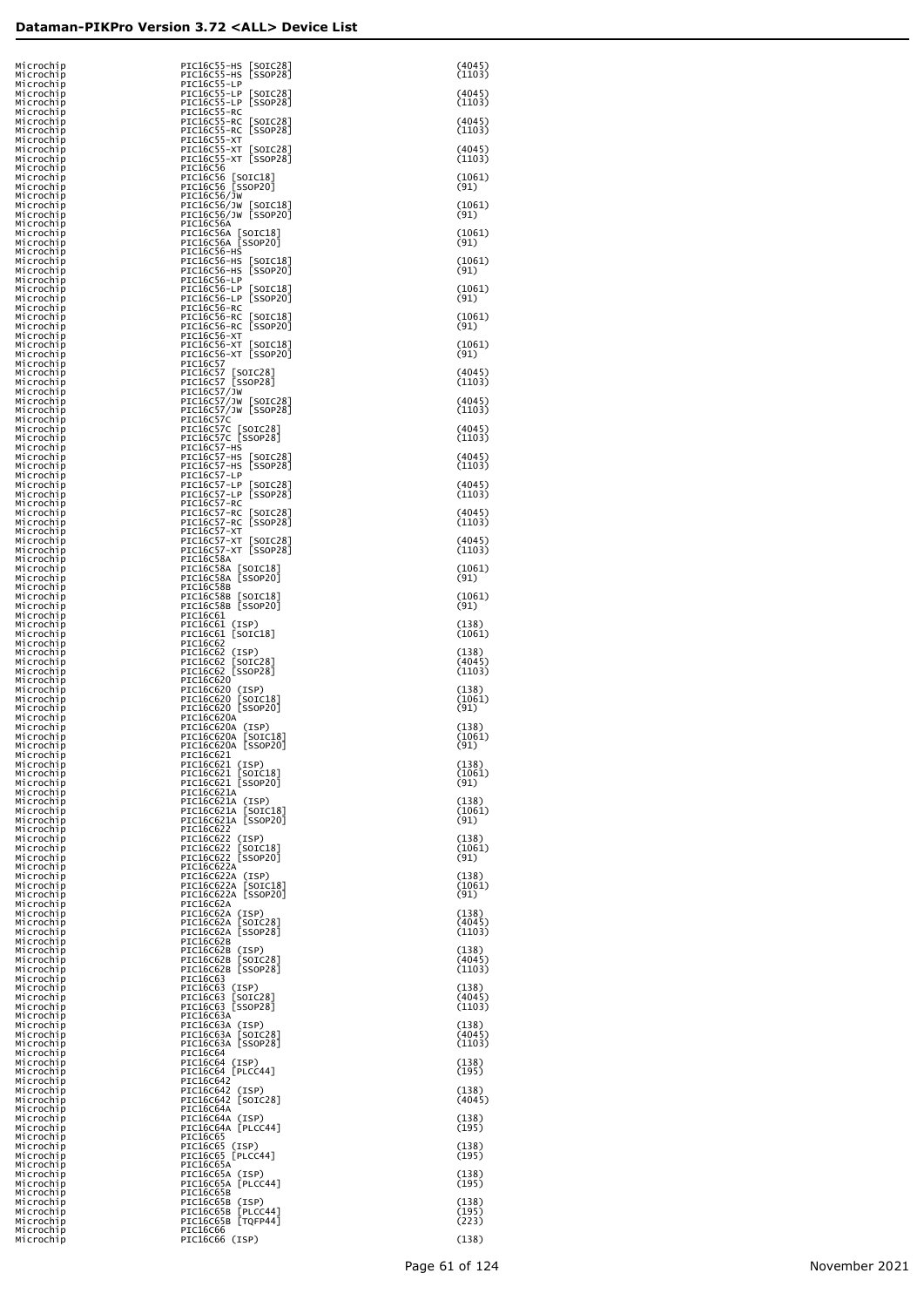| Microchip<br>Microchip                           | PIC16C55-HS [SOIC28]<br>PIC16C55-HS [SSOP28]                              | (4045)<br>(1103)          |
|--------------------------------------------------|---------------------------------------------------------------------------|---------------------------|
| Microchip<br>Microchip<br>Microchip              | PIC16C55-LP<br>PIC16C55-LP [SOIC28]<br>PIC16C55-LP [SSOP28]               | (4045)<br>(1103)          |
| Microchip<br>Microchip<br>Microchip              | PIC16C55-RC<br>PIC16C55-RC [SOIC28]<br>PIC16C55-RC [SSOP28]               | (4045)<br>(1103)          |
| Microchip<br>Microchip<br>Microchip              | PIC16C55-XT<br>PIC16C55-XT [SOIC28]<br>PIC16C55-XT [SSOP28]               | (4045)<br>(1103)          |
| Microchip<br>Microchip<br>Microchip              | PIC16C56<br>PIC16C56 [SOIC18]<br>PIC16C56 [SSOP20]                        | (1061)<br>(91)            |
| Microchip<br>Microchip<br>Microchip              | PIC16C56/JW<br>PIC16C56/JW [SOIC18]<br>PIC16C56/JW [SSOP20]               | (1061)<br>(91)            |
| Microchip<br>Microchip<br>Microchip              | PIC16C56A<br>PIC16C56A [SOIC18]<br>PIC16C56A [SSOP20]                     | (1061)<br>(91)            |
| Microchip<br>Microchip<br>Microchip              | PIC16C56-HS<br>PIC16C56-HS [SOIC18]<br>PIC16C56-HS [SSOP20]               | (1061)<br>(91)            |
| Microchip<br>Microchip<br>Microchip              | PIC16C56-LP<br>PIC16C56-LP [SOIC18]<br>PIC16C56-LP [SSOP20]               | (1061)<br>(91)            |
| Microchip<br>Microchip<br>Microchip              | PIC16C56-RC<br>PIC16C56-RC<br>$\lfloor$ SOIC $18$<br>PIC16C56-RC [SSOP20] | (1061)<br>(91)            |
| Microchip<br>Microchip<br>Microchip              | PIC16C56-XT<br>PIC16C56-XT [SOIC18]<br>PIC16C56-XT [SSOP20]               | (1061)<br>(91)            |
| Microchip<br>Microchip<br>Microchip              | PIC16C57<br>PIC16C57 [SOIC28]<br>PIC16C57 [SSOP28]<br>PIC16C57/JW         | (4045)<br>(1103)          |
| Microchip<br>Microchip<br>Microchip              | PIC16C57/JW [SOIC28]<br>PIC16C57/JW [SSOP28]                              | (4045)<br>(1103)          |
| Microchip<br>Microchip<br>Microchip              | PIC16C57C<br>PIC16C57C [SOIC28]<br>PIC16C57C [SSOP28]                     | (4045)<br>(1103)          |
| Microchip<br>Microchip<br>Microchip              | PIC16C57-HS<br>PIC16C57-HS [SOIC28]<br>PIC16C57-HS [SSOP28]               | (4045)<br>(1103)          |
| Microchip<br>Microchip<br>Microchip              | PIC16C57-LP<br>PIC16C57-LP [SOIC28]<br>PIC16C57-LP [SSOP28]               | (4045)<br>(1103)          |
| Microchip<br>Microchip<br>Microchip              | PIC16C57-RC<br>PIC16C57-RC<br>[SOIC28]<br>PIC16C57-RC [SSOP28]            | (4045)<br>(1103)          |
| Microchip<br>Microchip<br>Microchip              | PIC16C57-XT<br>PIC16C57-XT [SOIC28]<br>PIC16C57-XT [SSOP28]               | (4045)<br>(1103)          |
| Microchip<br>Microchip<br>Microchip              | PIC16C58A<br>PIC16C58A [SOIC18]<br>PIC16C58A [SSOP20]<br>PIC16C58B        | (1061)<br>(91)            |
| Microchip<br>Microchip<br>Microchip              | PIC16C58B [SOIC18]<br>PIC16C58B [SSOP20]                                  | (1061)<br>(91)            |
| Microchip<br>Microchip<br>Microchip<br>Microchip | PIC16C61<br>PIC16C61 (ISP)<br>PIC16C61 [SOIC18]<br>PIC16C62               | (138)<br>(1061)           |
| Microchip<br>Microchip<br>Microchip              | PIC16C62 (ISP)<br>PIC16C62<br>[SOIC28]<br>PIC16C62 [SSOP28]               | (138)<br>(4045)<br>(1103) |
| Microchip<br>Microchip<br>Microchip              | PIC16C620<br>PIC16C620 (ISP)<br>PIC16C620 [SOIC18]                        | (138)<br>(1061)           |
| Microchip<br>Microchip<br>Microchip              | PIC16C620 [SSOP20]<br>PIC16C620A<br>PIC16C620A (ISP)                      | (91)<br>(138)             |
| Microchip<br>Microchip<br>Microchip              | PIC16C620A [SOIC18]<br>PIC16C620A [SSOP20]<br>PIC16C621                   | (1061)<br>(91)            |
| Microchip<br>Microchip<br>Microchip              | PIC16C621 (ISP)<br>PIC16C621 [SOIC18]<br>PIC16C621 [SSOP20]               | (138)<br>(1061)<br>(91)   |
| Microchip<br>Microchip<br>Microchip              | PIC16C621A<br>PIC16C621A (ISP)<br>PIC16C621A [SOIC18]                     | (138)<br>(1061)           |
| Microchip<br>Microchip<br>Microchip              | PIC16C621A [SSOP20]<br>PIC16C622<br>PIC16C622 (ISP)                       | (91)<br>(138)             |
| Microchip<br>Microchip<br>Microchip              | PIC16C622<br>[SOIC18]<br>PIC16C622 [SSOP20]<br>PIC16C622A                 | (1061)<br>(91)            |
| Microchip<br>Microchip<br>Microchip              | PIC16C622A (ISP)<br>PIC16C622A [SOIC18]<br>PIC16C622A [SSOP20]            | (138)<br>(1061)<br>(91)   |
| Microchip<br>Microchip<br>Microchip              | PIC16C62A<br>PIC16C62A (ISP)<br>PIC16C62A [SOIC28]                        | (138)<br>(4045)           |
| Microchip<br>Microchip<br>Microchip              | PIC16C62A [SSOP28]<br>PIC16C62B<br>PIC16C62B (ISP)                        | (1103)<br>(138)           |
| Microchip<br>Microchip<br>Microchip              | [SOIC28]<br>PIC16C62B<br>PIC16C62B [SSOP28]<br>PIC16C63                   | (4045)<br>(1103)          |
| Microchip<br>Microchip<br>Microchip              | PIC16C63 (ISP)<br>[SOIC28]<br>PIC16C63<br>PIC16C63 [SSOP28]               | (138)<br>(4045)<br>(1103) |
| Microchip<br>Microchip<br>Microchip              | PIC16C63A<br>PIC16C63A (ISP)<br>PIC16C63A [SOIC28]<br>PIC16C63A [SSOP28]  | (138)<br>(4045)           |
| Microchip<br>Microchip<br>Microchip              | PIC16C64<br>PIC16C64 (ISP)<br>PIC16C64 [PLCC44]                           | (1103)<br>(138)<br>(195)  |
| Microchip<br>Microchip<br>Microchip<br>Microchip | PIC16C642<br>PIC16C642 (ISP)<br>PIC16C642 [SOIC28]                        | (138)<br>(4045)           |
| Microchip<br>Microchip<br>Microchip              | PIC16C64A<br>PIC16C64A (ISP)<br>PIC16C64A [PLCC44]                        | (138)<br>(195)            |
| Microchip<br>Microchip<br>Microchip              | PIC16C65<br>PIC16C65 (ISP)<br>PIC16C65 [PLCC44]                           | (138)<br>(195)            |
| Microchip<br>Microchip<br>Microchip              | PIC16C65A<br>PIC16C65A (ISP)<br>PIC16C65A [PLCC44]                        | (138)<br>(195)            |
| Microchip<br>Microchip<br>Microchip              | PIC16C65B<br>PIC16C65B (ISP)<br>PIC16C65B [PLCC44]                        | (138)<br>(195)            |
| Microchip<br>Microchip<br>Microchip              | PIC16C65B [TQFP44]<br>PIC16C66<br>PIC16C66 (ISP)                          | (223)<br>(138)            |
|                                                  |                                                                           |                           |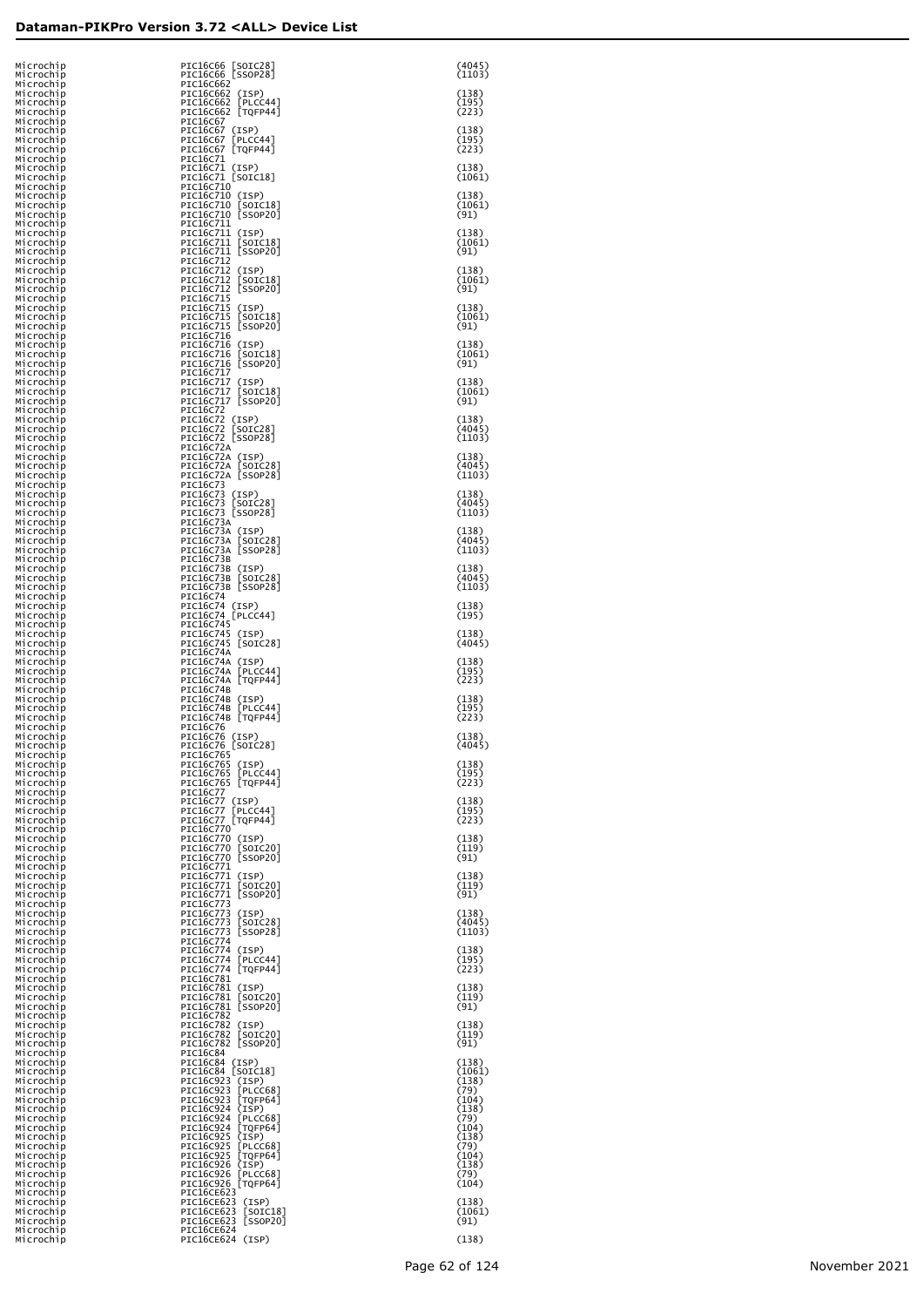| Microchip<br>Microchip                           | PIC16C66 [SOIC28]<br>PIC16C66 [SSOP28]                                            | (4045)<br>(1103)          |
|--------------------------------------------------|-----------------------------------------------------------------------------------|---------------------------|
| Microchip<br>Microchip<br>Microchip              | PIC16C662<br>PIC16C662 (ISP)<br>PIC16C662 [PLCC44]                                | (138)<br>(195)            |
| Microchip<br>Microchip<br>Microchip              | PIC16C662 [TQFP44]<br>PIC16C67<br>PIC16C67 (ISP)                                  | (223)<br>(138)            |
| Microchip<br>Microchip<br>Microchip              | PIC16C67 [PLCC44]<br>PIC16C67 [TQFP44]<br>PIC16C71                                | (195)<br>(223)            |
| Microchip<br>Microchip<br>Microchip              | PIC16C71 (ISP)<br>PIC16C71 [SOIC18]<br>PIC16C710                                  | (138)<br>(1061)           |
| Microchip<br>Microchip<br>Microchip              | PIC16C710 (ISP)<br>PIC16C710 [SOIC18]<br>PIC16C710 [SSOP20]                       | (138)<br>(1061)<br>(91)   |
| Microchip<br>Microchip<br>Microchıp              | PIC16C711<br>PIC16C711 (ISP)<br>PIC16C711 [SOIC18]                                | (138)<br>(1061)           |
| Microchip<br>Microchip<br>Microchip              | PIC16C711 [SSOP20]<br>PIC16C712<br>PIC16C712 (ISP)                                | (91)<br>(138)             |
| Microchip<br>Microchip<br>Microchip              | PIC16C712<br>[SOIC18]<br>[SSOP20]<br>PIC16C712<br>PIC16C715                       | (1061)<br>(91)            |
| Microchip<br>Microchip<br>Microchip              | PIC16C715 (ISP)<br>PIC16C715<br>[SOIC18]<br>PIC16C715 [SSOP20]                    | (138)<br>(1061)<br>(91)   |
| Microchip<br>Microchip<br>Microchip              | PIC16C716<br>PIC16C716 (ISP)<br>[SOIC18]<br>PIC16C716                             | (138)<br>(1061)           |
| Microchip<br>Microchip<br>Microchip              | PIC16C716 [SSOP20]<br>PIC16C717<br>PIC16C717 (ISP)                                | (91)<br>(138)             |
| Microchip<br>Microchip<br>Microchip              | PIC16C717<br>[SOIC18]<br>PIC16C717 SSOP201<br>PIC16C72                            | (1061)<br>(91)            |
| Microchip<br>Microchip<br>Microchip              | PIC16C72 (ISP)<br>PIC16C72 [SOIC28]<br>PIC16C72 [SSOP28]                          | (138)<br>(4045)<br>(1103) |
| Microchip<br>Microchip<br>Microchip              | PIC16C72A<br>PIC16C72A (ISP)<br>PIC16C72A [SOIC28]<br>PIC16C72A [SSOP28]          | (138)<br>(4045)           |
| Microchip<br>Microchip<br>Microchip              | PIC16C73<br>PIC16C73 (ISP)<br>PIC16C73 [SOIC28]                                   | (1103)<br>(138)<br>(4045) |
| Microchip<br>Microchip<br>Microchip              | PIC16C73 [SSOP28]<br>PIC16C73A                                                    | (1103)                    |
| Microchip<br>Microchip<br>Microchip              | PIC16C73A (ISP)<br>PIC16C73A [SOIC28]<br>PIC16C73A [SSOP28]                       | (138)<br>(4045)<br>(1103) |
| Microchip<br>Microchip<br>Microchip              | PIC16C73B<br>PIC16C73B (ISP)<br>PIC16C73B [SOIC28]<br>PIC16C73B [SSOP28]          | (138)<br>(4045)<br>(1103) |
| Microchip<br>Microchip<br>Microchip<br>Microchip | PIC16C74<br>PIC16C74 (ISP)<br>PIC16C74 [PLCC44]                                   | (138)<br>(195)            |
| Microchip<br>Microchip<br>Microchip              | PIC16C745<br>PIC16C745 (ISP)<br>PIC16C745 [SOIC28]                                | (138)<br>(4045)           |
| Microchip<br>Microchip<br>Microchip              | PIC16C74A<br>PIC16C74A (ISP)<br>PIC16C74A [PLCC44]                                | (138)<br>(195)            |
| Microchip<br>Microchip<br>Microchip              | PIC16C74A [TQFP44]<br>PIC16C74B<br>PIC16C74B (ISP)                                | (223)<br>(138)            |
| Microchip<br>Microchip<br>Microchip              | PIC16C74B [PLCC44]<br>PIC16C74B [TQFP44]<br>PIC16C76                              | (195)<br>(223)            |
| Microchip<br>Microchip<br>Microchip              | PIC16C76 (ISP)<br>PIC16C76 [SOIC28]<br>PIC16C765                                  | (138)<br>(4045)           |
| Microchip<br>Microchip<br>Microchip              | PIC16C765 (ISP)<br>PIC16C765<br>[PLCC44]<br>PIC16C765 [TQFP44]                    | (138)<br>(195)<br>(223)   |
| Microchip<br>Microchip<br>Microchip              | PIC16C77<br>PIC16C77 (ISP)<br>[PLCC44]<br>PIC16C77                                | (138)<br>(195)            |
| Microchip<br>Microchip<br>Microchip              | PIC16C77 [TQFP44]<br>PIC16C770<br>PIC16C770 (ISP)                                 | (223)<br>(138)            |
| Microchip<br>Microchip<br>Microchip              | PIC16C770<br>[SOIC20]<br>PIC16C770 [SSOP20]<br>PIC16C771                          | (119)<br>(91)             |
| Microchip<br>Microchip<br>Microchip              | PIC16C771 (ISP)<br>[SOIC20]<br>PIC16C771<br>[SSOP20]<br>PIC16C771                 | (138)<br>(119)<br>(91)    |
| Microchip<br>Microchip<br>Microchip              | PIC16C773<br>PIC16C773<br>(ISP)<br>PIC16C773<br>[SOIC28]                          | (138)<br>(4045)           |
| Microchip<br>Microchip<br>Microchip              | [SSOP28]<br>PIC16C773<br>PIC16C774<br>PIC16C774 (ISP)                             | (1103)<br>(138)           |
| Microchip<br>Microchip<br>Microchip              | PIC16C774<br>[PLCC44]<br>[TQFP44]<br>PIC16C774<br>PIC16C781                       | (195)<br>(223)            |
| Microchip<br>Microchip<br>Microchip              | PIC16C781 (ISP)<br>[SOIC20]<br>PIC16C781<br>[SSOP20]<br>PIC16C781                 | (138)<br>(119)<br>(91)    |
| Microchip<br>Microchip<br>Microchip              | PIC16C782<br>PIC16C782<br>(ISP)<br>[SOIC20]<br>PIC16C782                          | (138)<br>(119)            |
| Microchip<br>Microchip<br>Microchip              | PIC16C782 [SSOP20]<br>PIC16C84<br>PIC16C84 (ISP)                                  | (91)<br>(138)             |
| Microchip<br>Microchip<br>Microchip              | PIC16C84 [SOIC18]<br>PIC16C923<br>(ISP)<br>PIC16C923<br>$[$ PLCC68]               | (1061)<br>(138)<br>(79)   |
| Microchip<br>Microchip<br>Microchip              | PIC16C923<br>[TQFP64]<br>PIC16C924<br>(ISP)<br>PIC16C924<br>[PLCC68]              | (104)<br>(138)<br>(79)    |
| Microchip<br>Microchip<br>Microchip              | $[$ TQFP64]<br>PIC16C924<br>PIC16C925<br>(ISP)<br>PIC16C925<br>[PLCC68]           | (104)<br>(138)<br>(79)    |
| Microchip<br>Microchip<br>Microchip              | PIC16C925<br>[TQFP64]<br>PIC16C926<br>(ISP)<br>[PLCC68]<br>PIC16C926              | (104)<br>(138)<br>(79)    |
| Microchip<br>Microchip<br>Microchip<br>Microchip | PIC16C926<br>[TQFP64]<br>PIC16CE623<br>PIC16CE623 (ISP)<br>PIC16CE623<br>[SOIC18] | (104)<br>(138)<br>(1061)  |
| Microchip<br>Microchip<br>Microchip              | PIC16CE623<br>[SSOP20]<br>PIC16CE624<br>PIC16CE624 (ISP)                          | (91)<br>(138)             |
|                                                  |                                                                                   |                           |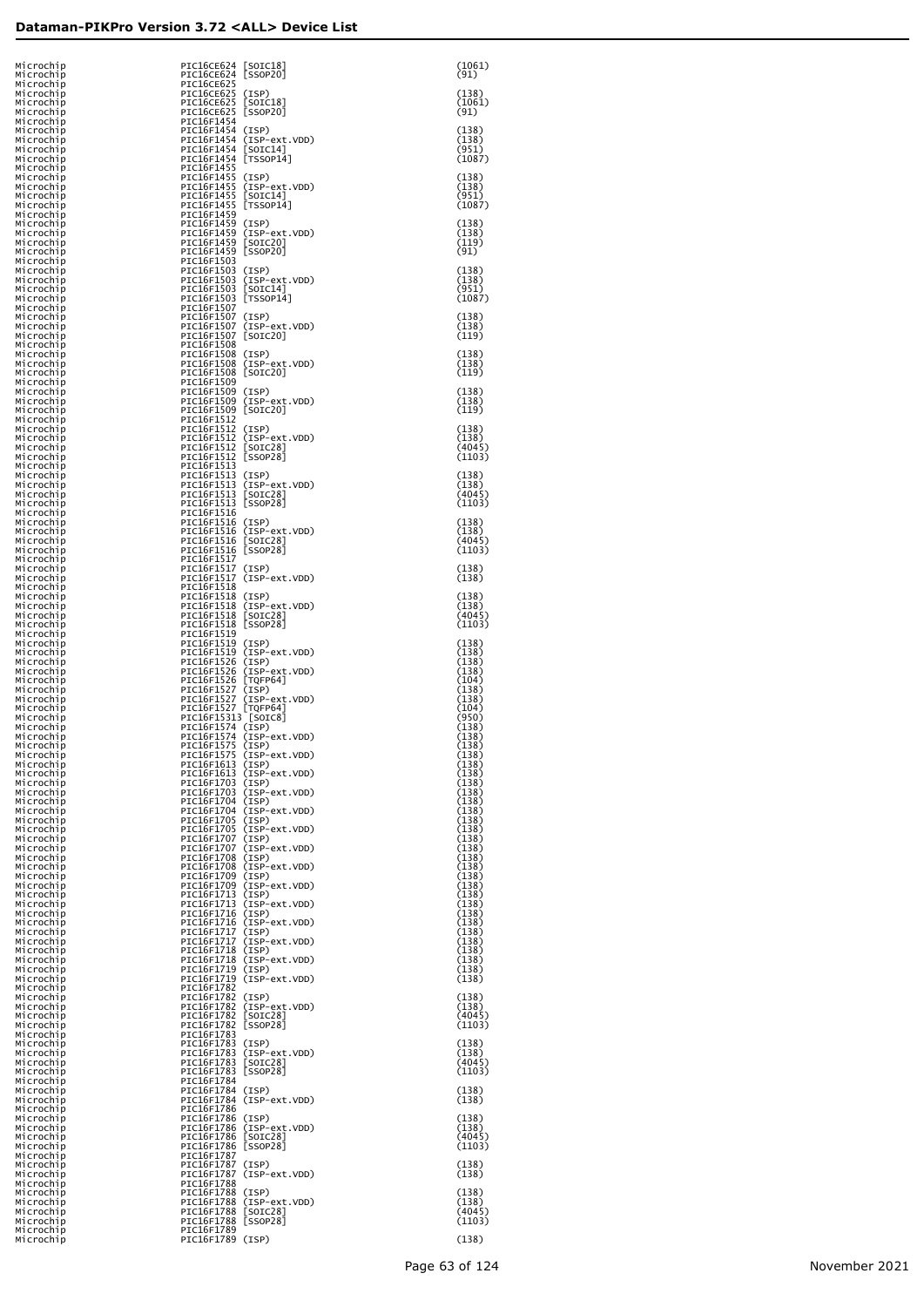| Microchip<br>Microchip              | PIC16CE624 [SOIC18]<br>PIC16CE624 [SSOP20]                   |                                                      | (1061)<br>(91)            |
|-------------------------------------|--------------------------------------------------------------|------------------------------------------------------|---------------------------|
| Microchip<br>Microchip<br>Microchip | <b>PIC16CE625</b><br>PIC16CE625 (ISP)<br>PIC16CE625 [SOIC18] |                                                      | (138)<br>(1061)           |
| Microchip<br>Microchip              | PIC16CE625 [SSOP20]<br>PIC16F1454                            |                                                      | (91)                      |
| Microchip<br>Microchip              | PIC16F1454 (ISP)                                             | PIC16F1454 (ISP-ext.VDD)                             | (138)<br>(138)            |
| Microchip<br>Microchip              | PIC16F1454 [SOIC14]<br>PIC16F1454 [TSSOP14]                  |                                                      | (951)<br>(1087)           |
| Microchip<br>Microchip              | PIC16F1455<br>PIC16F1455 (ISP)                               |                                                      | (138)                     |
| Microchip<br>Microchip              | PIC16F1455 [SOIC14]                                          | PIC16F1455 (ISP-ext.VDD)                             | (138)<br>(951)            |
| Microchip<br>Microchip              | PIC16F1455 [TSSOP14]<br>PIC16F1459                           |                                                      | (1087)                    |
| Microchip<br>Microchip              | PIC16F1459 (ISP)                                             | PIC16F1459 (ISP-ext.VDD)                             | (138)<br>(138)            |
| Microchip<br>Microchip              | PIC16F1459 [SOIC20]<br>PIC16F1459 [SSOP20]                   |                                                      | (119)<br>(91)             |
| Microchip<br>Microchip              | PIC16F1503<br>PIC16F1503 (ISP)                               | PIC16F1503 (ISP-ext.VDD)                             | (138)<br>(138)            |
| Microchip<br>Microchip<br>Microchip | PIC16F1503 [SOIC14]<br>PIC16F1503 [TSSOP14]                  |                                                      | (951)<br>(1087)           |
| Microchip<br>Microchip              | PIC16F1507<br>PIC16F1507 (ISP)                               |                                                      | (138)                     |
| Microchip<br>Microchip              | PIC16F1507 [SOIC20]                                          | PIC16F1507 (ISP-ext.VDD)                             | (138)<br>(119)            |
| Microchip<br>Microchip              | PIC16F1508<br>PIC16F1508 (ISP)                               |                                                      | (138)                     |
| Microchip<br>Microchip              | PIC16F1508 [SOIC20]                                          | PIC16F1508 (ISP-ext.VDD)                             | (138)<br>(119)            |
| Microchip<br>Microchip              | PIC16F1509<br>PIC16F1509 (ISP)                               |                                                      | (138)                     |
| Microchip<br>Microchip              | PIC16F1509 [SOIC20]                                          | PIC16F1509 (ISP-ext.VDD)                             | (138)<br>(119)            |
| Microchip<br>Microchip              | PIC16F1512<br>PIC16F1512 (ISP)                               | PIC16F1512 (ISP-ext.VDD)                             | (138)                     |
| Microchip<br>Microchip<br>Microchip | PIC16F1512 [SOIC28]<br>PIC16F1512 [SSOP28]                   |                                                      | (138)<br>(4045)<br>(1103) |
| Microchip<br>Microchip              | PIC16F1513<br>PIC16F1513 (ISP)                               |                                                      | (138)                     |
| Microchip<br>Microchip              | PIC16F1513 [SOIC28]                                          | PIC16F1513 (ISP-ext.VDD)                             | (138)<br>(4045)           |
| Microchip<br>Microchip              | PIC16F1513 [SSOP28]<br>PIC16F1516                            |                                                      | (1103)                    |
| Microchip<br>Microchip              | PIC16F1516 (ISP)                                             | PIC16F1516 (ISP-ext.VDD)                             | (138)<br>(138)            |
| Microchip<br>Microchip              | PIC16F1516 [SOIC28]<br>PIC16F1516 [SSOP28]                   |                                                      | (4045)<br>(1103)          |
| Microchip<br>Microchip              | PIC16F1517<br>PIC16F1517 (ISP)                               |                                                      | (138)                     |
| Microchip<br>Microchip              | PIC16F1518<br>PIC16F1518 (ISP)                               | PIC16F1517 (ISP-ext.VDD)                             | (138)<br>(138)            |
| Microchip<br>Microchip<br>Microchip | PIC16F1518                                                   | PIC16F1518 (ISP-ext.VDD)<br>[SOIC28]                 | (138)<br>(4045)           |
| Microchip<br>Microchip              | PIC16F1518 [SSOP28]<br>PIC16F1519                            |                                                      | (1103)                    |
| Microchip<br>Microchip              | PIC16F1519 (ISP)                                             | PIC16F1519 (ISP-ext.VDD)                             | (138)<br>(138)            |
| Microchip<br>Microchip              | PIC16F1526 (ISP)                                             | PIC16F1526 (ISP-ext.VDD)                             | (138)<br>(138)            |
| Microchip<br>Microchip              | PIC16F1526 [TQFP64]<br>PIC16F1527                            | (ISP)                                                | (104)<br>(138)            |
| Microchip<br>Microchip<br>Microchip | PIC16F1527<br>PIC16F1527 [TQFP64]<br>PIC16F15313 [SOIC8]     | (ISP-ext.VDD)                                        | (138)<br>(104)<br>(950)   |
| Microchip<br>Microchip              | PIC16F1574 (ISP)                                             | PIC16F1574 (ISP-ext.VDD)                             | (138)<br>(138)            |
| Microchip<br>Microchip              | PIC16F1575 (ISP)                                             | PIC16F1575 (ISP-ext.VDD)                             | (138)<br>(138)            |
| Microchip<br>Microchip              | PIC16F1613 (ISP)                                             | PIC16F1613 (ISP-ext.VDD)                             | (138)<br>(138)            |
| Microchip<br>Microchip              | PIC16F1703 (ISP)                                             | PIC16F1703 (ISP-ext.VDD)                             | (138)<br>(138)            |
| Microchip<br>Microchip              | PIC16F1704 (ISP)                                             | PIC16F1704 (ISP-ext.VDD)                             | (138)<br>(138)            |
| Microchip<br>Microchip              | PIC16F1705 (ISP)<br>PIC16F1707 (ISP)                         | PIC16F1705 (ISP-ext.VDD)                             | (138)<br>(138)<br>(138)   |
| Microchip<br>Microchip<br>Microchip | PIC16F1708 (ISP)                                             | PIC16F1707 (ISP-ext.VDD)                             | (138)<br>(138)            |
| Microchip<br>Microchip              | PIC16F1709 (ISP)                                             | PIC16F1708 (ISP-ext.VDD)                             | (138)<br>(138)            |
| Microchip<br>Microchip              | PIC16F1713 (ISP)                                             | PIC16F1709 (ISP-ext.VDD)                             | (138)<br>(138)            |
| Microchip<br>Microchip              | PIC16F1716 (ISP)                                             | PIC16F1713 (ISP-ext.VDD)                             | (138)<br>(138)            |
| Microchip<br>Microchip              | PIC16F1717                                                   | PIC16F1716 (ISP-ext.VDD)<br>(ISP)                    | (138)<br>(138)            |
| Microchip<br>Microchip              | PIC16F1718 (ISP)                                             | PIC16F1717 (ISP-ext.VDD)                             | (138)<br>(138)            |
| Microchip<br>Microchip              | PIC16F1719 (ISP)                                             | PIC16F1718 (ISP-ext.VDD)<br>PIC16F1719 (ISP-ext.VDD) | (138)<br>(138)<br>(138)   |
| Microchip<br>Microchip<br>Microchip | PIC16F1782<br>PIC16F1782 (ISP)                               |                                                      | (138)                     |
| Microchip<br>Microchip              | PIC16F1782                                                   | PIC16F1782 (ISP-ext.VDD)<br>[SOIC28]                 | (138)<br>(4045)           |
| Microchip<br>Microchip              | PIC16F1782<br>PIC16F1783                                     | [SSOP28]                                             | (1103)                    |
| Microchip<br>Microchip              | PIC16F1783 (ISP)<br>PIC16F1783                               | (ISP-ext.VDD)                                        | (138)<br>(138)            |
| Microchip<br>Microchip              | PIC16F1783<br>PIC16F1783 [SSOP28]                            | [SOIC28]                                             | (4045)<br>(1103)          |
| Microchip<br>Microchip<br>Microchip | PIC16F1784<br>PIC16F1784 (ISP)                               | PIC16F1784 (ISP-ext.VDD)                             | (138)<br>(138)            |
| Microchip<br>Microchip              | PIC16F1786<br>PIC16F1786 (ISP)                               |                                                      | (138)                     |
| Microchip<br>Microchip              | PIC16F1786                                                   | PIC16F1786 (ISP-ext.VDD)<br>[SOIC28]                 | (138)<br>(4045)           |
| Microchip<br>Microchip              | PIC16F1786 [SSOP28]<br>PIC16F1787                            |                                                      | (1103)                    |
| Microchip<br>Microchip<br>Microchip | PIC16F1787<br>PIC16F1787<br>PIC16F1788                       | (ISP)<br>(ISP-ext.VDD)                               | (138)<br>(138)            |
| Microchip<br>Microchip              | PIC16F1788 (ISP)<br>PIC16F1788                               | (ISP-ext.VDD)                                        | (138)<br>(138)            |
| Microchip<br>Microchip              | PIC16F1788<br>PIC16F1788                                     | [SOIC28]<br>[SSOP28]                                 | (4045)<br>(1103)          |
| Microchip<br>Microchip              | PIC16F1789<br>PIC16F1789 (ISP)                               |                                                      | (138)                     |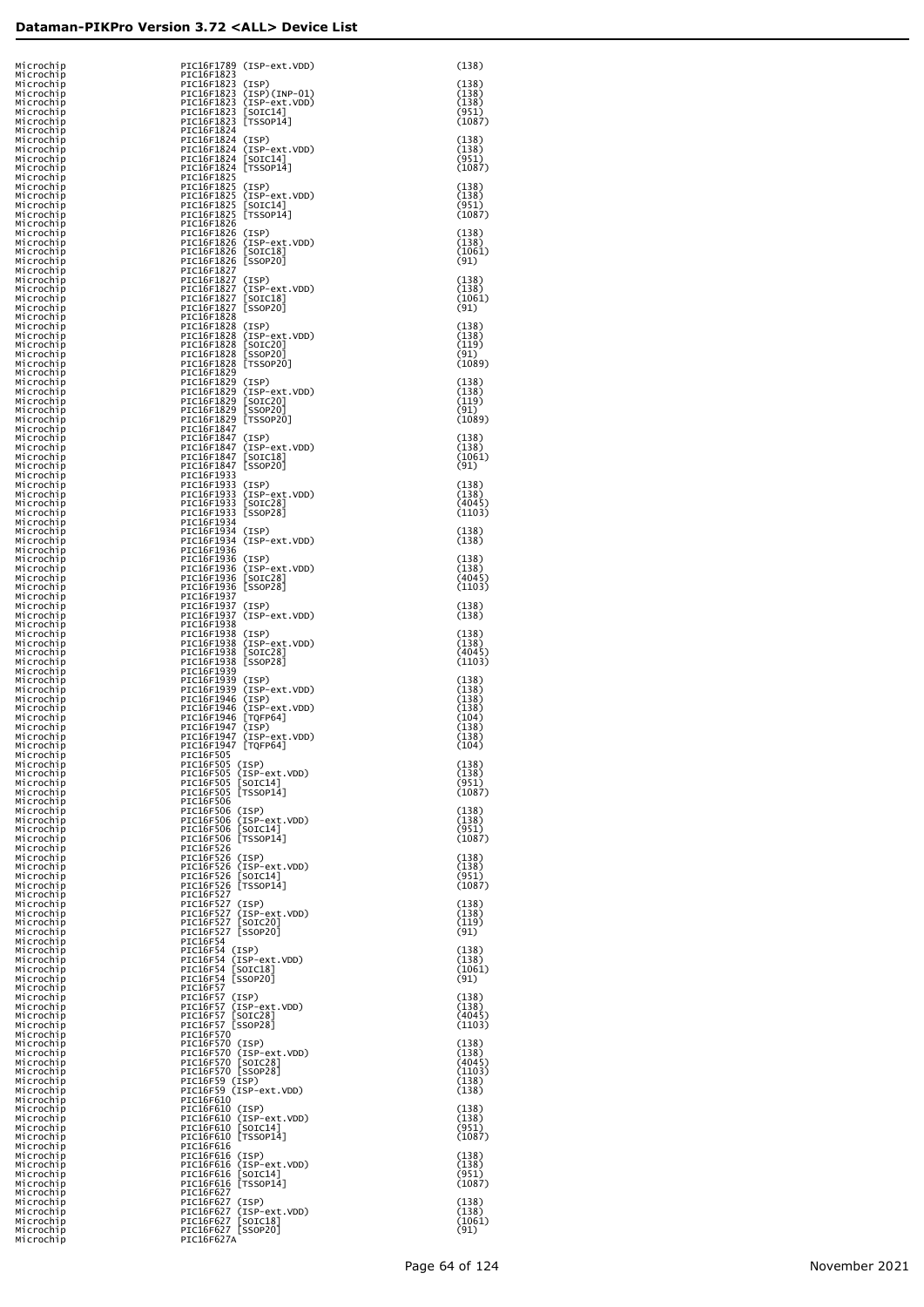| Microchip<br>Microchip |  | PIC16F1823                                  | PIC16F1789 (ISP-ext.VDD)                             | (138)            |
|------------------------|--|---------------------------------------------|------------------------------------------------------|------------------|
| Microchip              |  | PIC16F1823 (ISP)                            |                                                      | (138)            |
| Microchip<br>Microchip |  |                                             | PIC16F1823 (ISP)(INP-01)<br>PIC16F1823 (ISP-ext.VDD) | (138)<br>(138)   |
| Microchip              |  | PIC16F1823 [SOIC14]                         |                                                      | (951)            |
| Microchip<br>Microchip |  | PIC16F1823 [TSSOP14]<br>PIC16F1824          |                                                      | (1087)           |
| Microchip              |  | PIC16F1824 (ISP)                            |                                                      | (138)            |
| Microchip<br>Microchip |  | PIC16F1824 [SOIC14]                         | PIC16F1824 (ISP-ext.VDD)                             | (138)<br>(951)   |
| Microchip              |  | PIC16F1824 [TSSOP14]                        |                                                      | (1087)           |
| Microchip              |  | PIC16F1825                                  |                                                      |                  |
| Microchip<br>Microchip |  | PIC16F1825 (ISP)                            | PIC16F1825 (ISP-ext.VDD)                             | (138)<br>(138)   |
| Microchip              |  | PIC16F1825                                  | $[SOIC14]$                                           | (951)            |
| Microchip<br>Microchip |  | PIC16F1825<br>PIC16F1826                    | [TSSOP14]                                            | (1087)           |
| Microchip              |  | PIC16F1826 (ISP)                            |                                                      | (138)            |
| Microchip<br>Microchip |  | PIC16F1826 [SOIC18]                         | PIC16F1826 (ISP-ext.VDD)                             | (138)<br>(1061)  |
| Microchip              |  | PIC16F1826 [SSOP20]                         |                                                      | (91)             |
| Microchip<br>Microchip |  | PIC16F1827<br>PIC16F1827 (ISP)              |                                                      | (138)            |
| Microchip              |  |                                             | PIC16F1827 (ISP-ext.VDD)                             | (138)            |
| Microchip<br>Microchip |  | PIC16F1827 [SOIC18]<br>PIC16F1827 [SSOP20]  |                                                      | (1061)<br>(91)   |
| Microchip              |  | PIC16F1828                                  |                                                      |                  |
| Microchip<br>Microchip |  | PIC16F1828 (ISP)                            | PIC16F1828 (ISP-ext.VDD)                             | (138)<br>(138)   |
| Microchip              |  | PIC16F1828 [SOIC20]                         |                                                      | (119)            |
| Microchip<br>Microchip |  | PIC16F1828 [SSOP20]<br>PIC16F1828 [TSSOP20] |                                                      | (91)<br>(1089)   |
| Microchip              |  | PIC16F1829                                  |                                                      |                  |
| Microchip<br>Microchip |  | PIC16F1829 (ISP)                            | PIC16F1829 (ISP-ext.VDD)                             | (138)<br>(138)   |
| Microchip              |  | PIC16F1829 [SOIC20]                         |                                                      | (119)            |
| Microchip<br>Microchip |  | PIC16F1829 [SSOP20]<br>PIC16F1829 [TSSOP20] |                                                      | (91)<br>(1089)   |
| Microchip              |  | PIC16F1847                                  |                                                      |                  |
| Microchip<br>Microchip |  | PIC16F1847 (ISP)                            | PIC16F1847 (ISP-ext.VDD)                             | (138)<br>(138)   |
| Microchip              |  | PIC16F1847 [SOIC18]                         |                                                      | (1061)           |
| Microchip<br>Microchip |  | PIC16F1847 [SSOP20]<br>PIC16F1933           |                                                      | (91)             |
| Microchip              |  | PIC16F1933 (ISP)                            |                                                      | (138)            |
| Microchip<br>Microchip |  | PIC16F1933 [SOIC28]                         | PIC16F1933 (ISP-ext.VDD)                             | (138)<br>(4045)  |
| Microchip              |  | PIC16F1933 [SSOP28]                         |                                                      | (1103)           |
| Microchip<br>Microchip |  | PIC16F1934<br>PIC16F1934 (ISP)              |                                                      | (138)            |
| Microchip              |  |                                             | PIC16F1934 (ISP-ext.VDD)                             | (138)            |
| Microchip<br>Microchip |  | PIC16F1936<br>PIC16F1936 (ISP)              |                                                      | (138)            |
| Microchip              |  |                                             | PIC16F1936 (ISP-ext.VDD)                             | (138)            |
| Microchip<br>Microchip |  | PIC16F1936 [SOIC28]<br>PIC16F1936 [SSOP28]  |                                                      | (4045)<br>(1103) |
| Microchip              |  | PIC16F1937                                  |                                                      |                  |
| Microchip<br>Microchip |  | PIC16F1937 (ISP)                            | PIC16F1937 (ISP-ext.VDD)                             | (138)<br>(138)   |
| Microchip              |  | PIC16F1938<br>PIC16F1938 (ISP)              |                                                      | (138)            |
| Microchip<br>Microchip |  |                                             | PIC16F1938 (ISP-ext.VDD)                             | (138)            |
| Microchip<br>Microchip |  | PIC16F1938 [SOIC28]<br>PIC16F1938 [SSOP28]  |                                                      | (4045)<br>(1103) |
| Microchip              |  | PIC16F1939                                  |                                                      |                  |
| Microchip<br>Microchip |  | PIC16F1939 (ISP)                            | PIC16F1939 (ISP-ext.VDD)                             | (138)<br>(138)   |
| Microchip              |  | PIC16F1946 (ISP)                            |                                                      | (138)            |
| Microchip<br>Microchip |  | PIC16F1946 [TQFP64]                         | PIC16F1946 (ISP-ext.VDD)                             | (138)<br>(104)   |
| Microchip              |  | PIC16F1947 (ISP)                            |                                                      | (138)            |
| Microchip<br>Microchip |  | PIC16F1947 [TQFP64]                         | PIC16F1947 (ISP-ext.VDD)                             | (138)<br>(104)   |
| Microchip              |  | PIC16F505                                   |                                                      |                  |
| Microchip<br>Microchip |  | PIC16F505 (ISP)                             | PIC16F505 (ISP-ext.VDD)                              | (138)<br>(138)   |
| Microchip              |  | PIC16F505 [SOIC14]                          |                                                      | (951)            |
| Microchip<br>Microchip |  | PIC16F505 [TSS0P14]<br>PIC16F506            |                                                      | (1087)           |
| Microchip              |  | PIC16F506 (ISP)                             |                                                      | (138)            |
| Microchip<br>Microchip |  | PIC16F506 [SOIC14]                          | PIC16F506 (ISP-ext.VDD)                              | (138)<br>(951)   |
| Microchip              |  | PIC16F506 [TSS0P14]                         |                                                      | (1087)           |
| Microchip<br>Microchip |  | PIC16F526<br>PIC16F526 (ISP)                |                                                      | (138)            |
| Microchip              |  |                                             | PIC16F526 (ISP-ext.VDD)                              | (138)            |
| Microchip<br>Microchip |  | PIC16F526 [SOIC14]<br>PIC16F526 [TSSOP14]   |                                                      | (951)<br>(1087)  |
| Microchip              |  | PIC16F527<br>PIC16F527 (ISP)                |                                                      | (138)            |
| Microchip<br>Microchip |  |                                             | PIC16F527 (ISP-ext.VDD)                              | (138)            |
| Microchip<br>Microchip |  | PIC16F527 [SOIC20]<br>PIC16F527 [SSOP20]    |                                                      | (119)<br>(91)    |
| Microchip              |  | PIC16F54                                    |                                                      |                  |
| Microchip<br>Microchip |  | PIC16F54 (ISP)<br>PIC16F54 (ISP-ext.VDD)    |                                                      | (138)<br>(138)   |
| Microchip              |  | PIC16F54 [SOIC18]                           |                                                      | (1061)           |
| Microchip<br>Microchip |  | PIC16F54 [SSOP20]<br><b>PIC16F57</b>        |                                                      | (91)             |
| Microchip              |  | PIC16F57 (ISP)                              |                                                      | (138)            |
| Microchip<br>Microchip |  | PIC16F57 (ISP-ext.VDD)<br>PIC16F57 [SOIC28] |                                                      | (138)<br>(4045)  |
| Microchip              |  | PIC16F57 [SSOP28]                           |                                                      | (1103)           |
| Microchip<br>Microchip |  | PIC16F570<br>PIC16F570 (ISP)                |                                                      | (138)            |
| Microchip              |  |                                             | PIC16F570 (ISP-ext.VDD)                              | (138)            |
| Microchip<br>Microchip |  | PIC16F570 [SOIC28]<br>PIC16F570 [SSOP28]    |                                                      | (4045)<br>(1103) |
| Microchip              |  | PIC16F59 (ISP)                              |                                                      | (138)            |
| Microchip<br>Microchip |  | PIC16F59 (ISP-ext.VDD)<br>PIC16F610         |                                                      | (138)            |
| Microchip              |  | PIC16F610 (ISP)                             |                                                      | (138)            |
| Microchip<br>Microchip |  | PIC16F610 [SOIC14]                          | PIC16F610 (ISP-ext.VDD)                              | (138)<br>(951)   |
| Microchip              |  | PIC16F610 [TSS0P14]<br>PIC16F616            |                                                      | (1087)           |
| Microchip<br>Microchip |  | PIC16F616 (ISP)                             |                                                      | (138)            |
| Microchip<br>Microchip |  | PIC16F616 [SOIC14]                          | PIC16F616 (ISP-ext.VDD)                              | (138)<br>(951)   |
| Microchip              |  | PIC16F616 [TSS0P14]                         |                                                      | (1087)           |
| Microchip<br>Microchip |  | PIC16F627<br>PIC16F627 (ISP)                |                                                      | (138)            |
| Microchip              |  |                                             | PIC16F627 (ISP-ext.VDD)                              | (138)            |
| Microchip<br>Microchip |  | PIC16F627 [SOIC18]<br>PIC16F627 [SSOP20]    |                                                      | (1061)<br>(91)   |
| Microchip              |  | PIC16F627A                                  |                                                      |                  |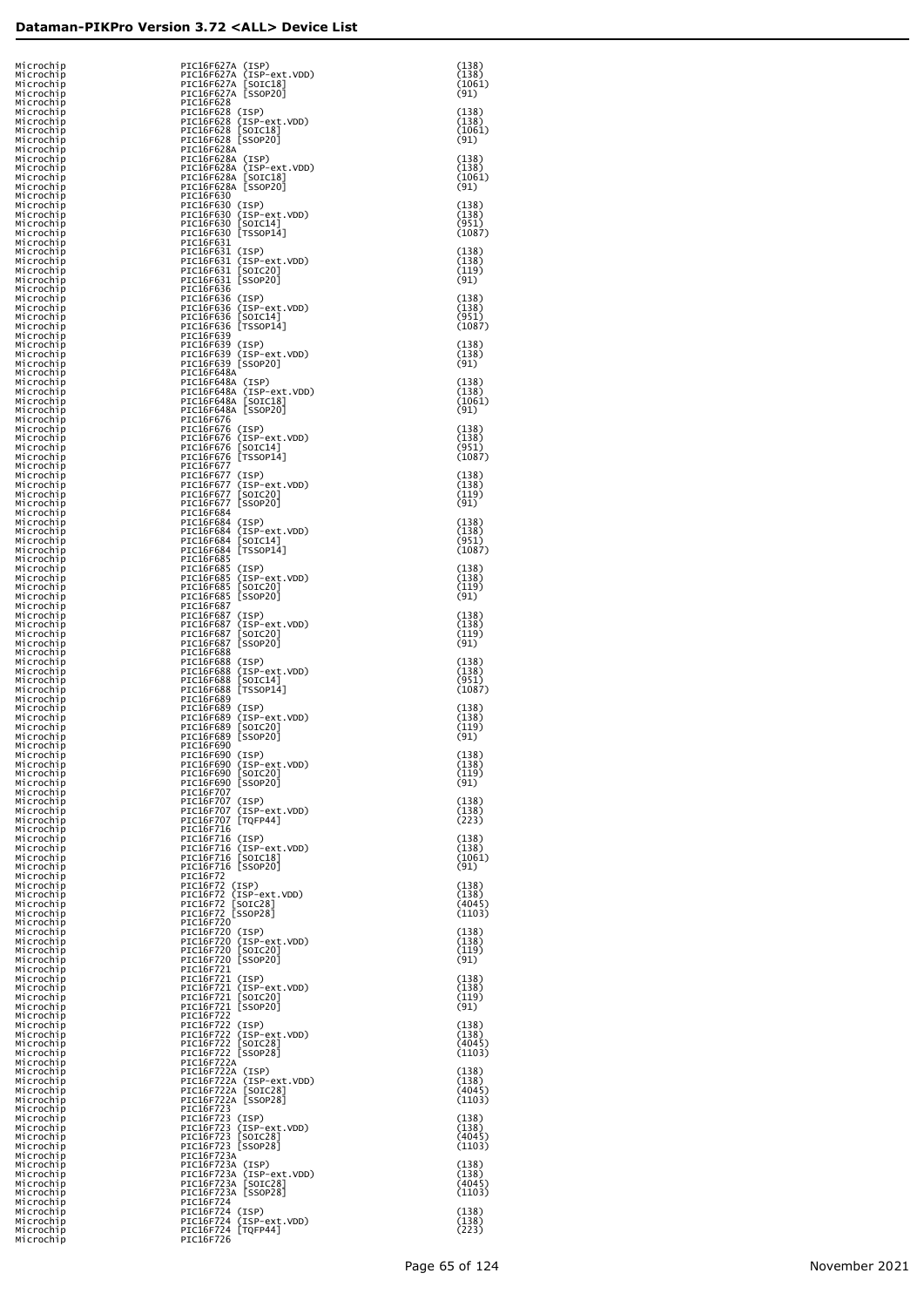| Microchip<br>Microchip<br>Microchip              | PIC16F627A (ISP)<br>PIC16F627A (ISP-ext.VDD)<br>PIC16F627A [SOIC18]                    | (138)<br>(138)<br>(1061)           |
|--------------------------------------------------|----------------------------------------------------------------------------------------|------------------------------------|
| Microchip<br>Microchip<br>Microchip              | PIC16F627A [SSOP20]<br>PIC16F628<br>PIC16F628 (ISP)                                    | (91)<br>(138)                      |
| Microchip<br>Microchip<br>Microchip              | PIC16F628 (ISP-ext.VDD)<br>PIC16F628 [SOIC18]<br>PIC16F628 [SSOP20]                    | (138)<br>(1061)<br>(91)            |
| Microchip<br>Microchip<br>Microchip              | PIC16F628A<br>PIC16F628A (ISP)<br>PIC16F628A (ISP-ext.VDD)                             | (138)<br>(138)                     |
| Microchip<br>Microchip<br>Microchip              | PIC16F628A [SOIC18]<br>PIC16F628A [SSOP20]<br>PIC16F630                                | (1061)<br>(91)                     |
| Microchip<br>Microchip<br>Microchip              | PIC16F630 (ISP)<br>PIC16F630 (ISP-ext.VDD)<br>PIC16F630 [SOIC14]                       | (138)<br>(138)<br>(951)            |
| Microchip<br>Microchip<br>Microchip              | PIC16F630 [TSSOP14]<br>PIC16F631<br>PIC16F631 (ISP)                                    | (1087)<br>(138)                    |
| Microchip<br>Microchip<br>Microchip              | PIC16F631 (ISP-ext.VDD)<br>PIC16F631 [SOIC20]<br>PIC16F631 [SSOP20]                    | (138)<br>(119)<br>(91)             |
| Microchip<br>Microchip<br>Microchip              | PIC16F636<br>PIC16F636 (ISP)<br>PIC16F636 (ISP-ext.VDD)                                | (138)<br>(138)                     |
| Microchip<br>Microchip<br>Microchip<br>Microchip | PIC16F636 [SOIC14]<br>PIC16F636 [TSSOP14]<br>PIC16F639<br>PIC16F639 (ISP)              | (951)<br>(1087)<br>(138)           |
| Microchip<br>Microchip<br>Microchip              | PIC16F639 (ISP-ext.VDD)<br>PIC16F639 [SSOP20]<br>PIC16F648A                            | (138)<br>(91)                      |
| Microchip<br>Microchip<br>Microchip              | PIC16F648A (ISP)<br>PIC16F648A (ISP-ext.VDD)<br>PIC16F648A [SOIC18]                    | (138)<br>(138)<br>(1061)           |
| Microchip<br>Microchip<br>Microchip              | PIC16F648A [SSOP20]<br>PIC16F676<br>PIC16F676 (ISP)                                    | (91)<br>(138)                      |
| Microchip<br>Microchip<br>Microchip              | PIC16F676 (ISP-ext.VDD)<br>PIC16F676 [SOIC14]<br>PIC16F676 [TSSOP14]                   | (138)<br>(951)<br>(1087)           |
| Microchip<br>Microchip<br>Microchip              | PIC16F677<br>PIC16F677 (ISP)<br>PIC16F677 (ISP-ext.VDD)                                | (138)<br>(138)                     |
| Microchip<br>Microchip<br>Microchip<br>Microchip | PIC16F677 [SOIC20]<br>PIC16F677 [SSOP20]<br>PIC16F684<br>PIC16F684 (ISP)               | (119)<br>(91)<br>(138)             |
| Microchip<br>Microchip<br>Microchip              | PIC16F684 (ISP-ext.VDD)<br>PIC16F684 [SOIC14]<br>PIC16F684 [TSS0P14]                   | (138)<br>(951)<br>(1087)           |
| Microchip<br>Microchip<br>Microchip              | PIC16F685<br>PIC16F685 (ISP)<br>PIC16F685 (ISP-ext.VDD)                                | (138)<br>(138)                     |
| Microchip<br>Microchip<br>Microchip              | PIC16F685 [SOIC20]<br>PIC16F685 [SSOP20]<br>PIC16F687                                  | (119)<br>(91)                      |
| Microchip<br>Microchip<br>Microchip              | PIC16F687 (ISP)<br>PIC16F687 (ISP-ext.VDD)<br>PIC16F687 [SOIC20]                       | (138)<br>(138)<br>(119)            |
| Microchip<br>Microchip<br>Microchip              | PIC16F687 [SSOP20]<br>PIC16F688<br>PIC16F688 (ISP)                                     | (91)<br>(138)                      |
| Microchip<br>Microchip<br>Microchip              | PIC16F688 (ISP-ext.VDD)<br>PIC16F688 [SOIC14]<br>PIC16F688 [TSS0P14]<br>PIC16F689      | (138)<br>(951)<br>(1087)           |
| Microchip<br>Microchip<br>Microchip<br>Microchip | PIC16F689 (ISP)<br>PIC16F689 (ISP-ext.VDD)<br>PIC16F689 [SOIC20]                       | (138)<br>(138)<br>(119)            |
| Microchip<br>Microchip<br>Microchip              | PIC16F689 [SSOP20]<br>PIC16F690<br>PIC16F690 (ISP)                                     | (91)<br>(138)                      |
| Microchip<br>Microchip<br>Microchip              | PIC16F690 (ISP-ext.VDD)<br>PIC16F690 [SOIC20]<br>PIC16F690 [SSOP20]                    | (138)<br>(119)<br>(91)             |
| Microchip<br>Microchip<br>Microchip              | PIC16F707<br>PIC16F707 (ISP)<br>PIC16F707 (ISP-ext.VDD)                                | (138)<br>(138)                     |
| Microchip<br>Microchip<br>Microchip              | PIC16F707 [TQFP44]<br>PIC16F716<br>PIC16F716 (ISP)                                     | (223)<br>(138)                     |
| Microchip<br>Microchip<br>Microchip<br>Microchip | PIC16F716 (ISP-ext.VDD)<br>PIC16F716 [SOIC18]<br>PIC16F716 [SSOP20]<br>PIC16F72        | (138)<br>(1061)<br>(91)            |
| Microchip<br>Microchip<br>Microchip              | PIC16F72 (ISP)<br>PIC16F72 (ISP-ext.VDD)<br>PIC16F72 [SOIC28]                          | (138)<br>(138)<br>(4045)           |
| Microchip<br>Microchip<br>Microchip              | PIC16F72 [SSOP28]<br>PIC16F720<br>PIC16F720 (ISP)                                      | (1103)<br>(138)                    |
| Microchip<br>Microchip<br>Microchip              | PIC16F720 (ISP-ext.VDD)<br>PIC16F720 [SOIC20]<br>PIC16F720 [SSOP20]                    | (138)<br>(119)<br>(91)             |
| Microchip<br>Microchip<br>Microchip              | PIC16F721<br>PIC16F721 (ISP)<br>PIC16F721 (ISP-ext.VDD)                                | (138)<br>(138)                     |
| Microchip<br>Microchip<br>Microchip              | PIC16F721 [SOIC20]<br>PIC16F721 [SSOP20]<br>PIC16F722                                  | (119)<br>(91)                      |
| Microchip<br>Microchip<br>Microchip              | PIC16F722 (ISP)<br>PIC16F722 (ISP-ext.VDD)<br>PIC16F722 [SOIC28]<br>PIC16F722 [SSOP28] | (138)<br>(138)<br>(4045)<br>(1103) |
| Microchip<br>Microchip<br>Microchip<br>Microchip | PIC16F722A<br>PIC16F722A (ISP)<br>PIC16F722A (ISP-ext.VDD)                             | (138)<br>(138)                     |
| Microchip<br>Microchip<br>Microchip              | PIC16F722A [SOIC28]<br>PIC16F722A [SSOP28]<br>PIC16F723                                | (4045)<br>(1103)                   |
| Microchip<br>Microchip<br>Microchip              | PIC16F723 (ISP)<br>PIC16F723 (ISP-ext.VDD)<br>PIC16F723 [SOIC28]                       | (138)<br>(138)<br>(4045)           |
| Microchip<br>Microchip<br>Microchip              | PIC16F723 [SSOP28]<br>PIC16F723A<br>PIC16F723A (ISP)                                   | (1103)<br>(138)                    |
| Microchip<br>Microchip<br>Microchip              | PIC16F723A (ISP-ext.VDD)<br>PIC16F723A [SOIC28]<br>PIC16F723A [SSOP28]                 | (138)<br>(4045)<br>(1103)          |
| Microchip<br>Microchip<br>Microchip<br>Microchip | PIC16F724<br>PIC16F724 (ISP)<br>PIC16F724 (ISP-ext.VDD)<br>PIC16F724 [TQFP44]          | (138)<br>(138)<br>(223)            |
| Microchip                                        | PIC16F726                                                                              |                                    |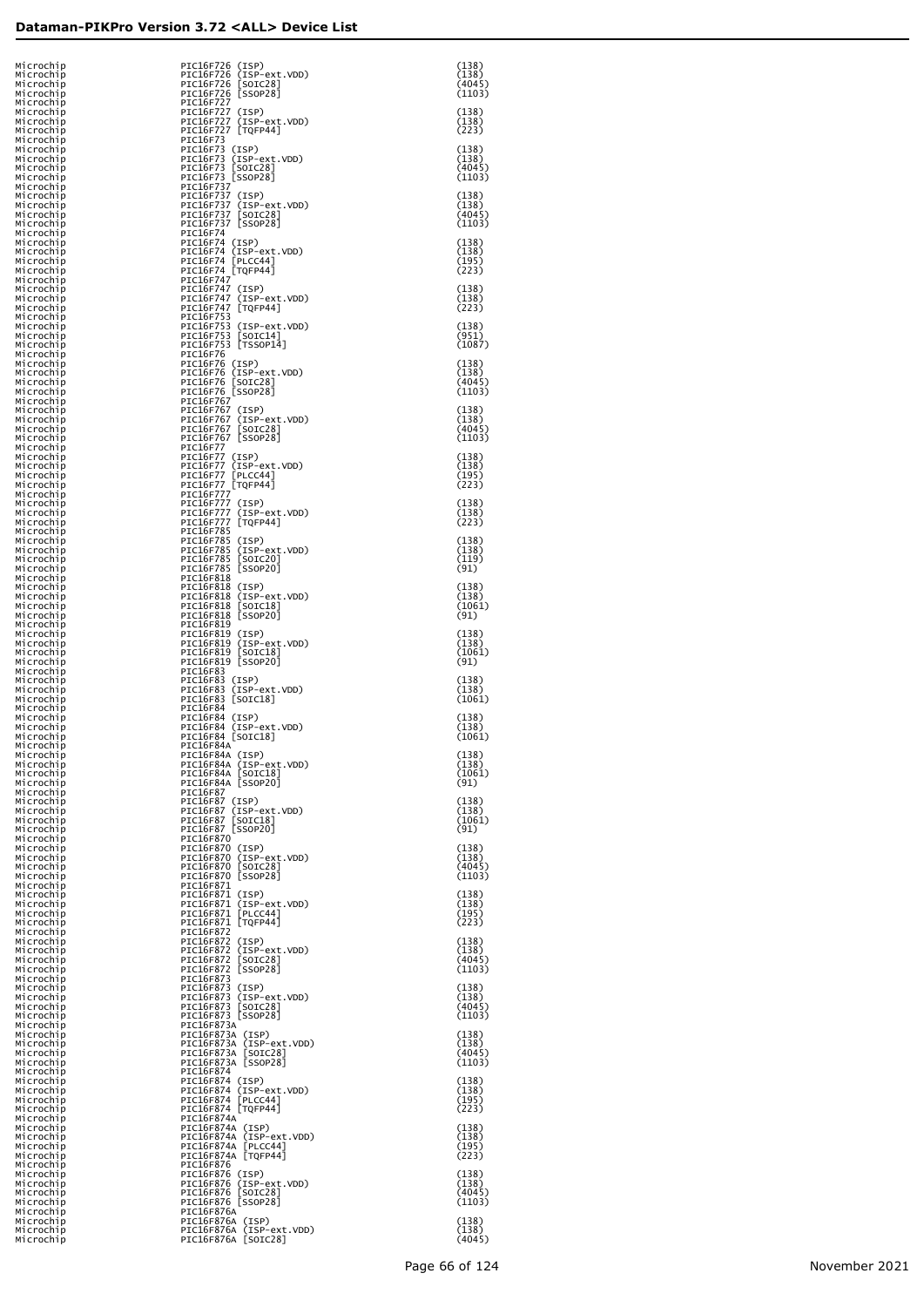| Microchip<br>Microchip<br>Microchip              | PIC16F726 (ISP)<br>PIC16F726 (ISP-ext.VDD)<br>PIC16F726 [SOIC28]                           | (138)<br>(138)<br>(4045)           |
|--------------------------------------------------|--------------------------------------------------------------------------------------------|------------------------------------|
| Microchip<br>Microchip<br>Microchip              | PIC16F726 [SSOP28]<br>PIC16F727<br>PIC16F727 (ISP)                                         | (1103)<br>(138)                    |
| Microchip<br>Microchip<br>Microchip<br>Microchip | PIC16F727 (ISP-ext.VDD)<br>PIC16F727 [TQFP44]<br>PIC16F73<br>PIC16F73 (ISP)                | (138)<br>(223)<br>(138)            |
| Microchip<br>Microchip<br>Microchip              | PIC16F73 (ISP-ext.VDD)<br>PIC16F73 [SOIC28]<br>PIC16F73 [SSOP28]                           | (138)<br>(4045)<br>(1103)          |
| Microchip<br>Microchip<br>Microchip              | PIC16F737<br>PIC16F737 (ISP)<br>PIC16F737 (ISP-ext.VDD)                                    | (138)<br>(138)                     |
| Microchip<br>Microchip<br>Microchip              | PIC16F737 [SOIC28]<br>PIC16F737 [SSOP28]<br>PIC16F74                                       | (4045)<br>(1103)                   |
| Microchip<br>Microchip<br>Microchip<br>Microchip | PIC16F74 (ISP)<br>PIC16F74 (ISP-ext.VDD)<br>PIC16F74 [PLCC44]                              | (138)<br>(138)<br>(195)            |
| Microchip<br>Microchip<br>Microchip              | PIC16F74 [TQFP44]<br>PIC16F747<br>PIC16F747 (ISP)<br>PIC16F747 (ISP-ext.VDD)               | (223)<br>(138)<br>(138)            |
| Microchip<br>Microchip<br>Microchip              | PIC16F747 [TQFP44]<br>PIC16F753<br>PIC16F753 (ISP-ext.VDD)                                 | (223)<br>(138)                     |
| Microchip<br>Microchip<br>Microchip              | PIC16F753 [SOIC14]<br>PIC16F753 [TSSOP14]<br>PIC16F76                                      | (951)<br>(1087)                    |
| Microchip<br>Microchip<br>Microchip<br>Microchip | PIC16F76 (ISP)<br>PIC16F76 (ISP-ext.VDD)<br>PIC16F76 [SOIC28]<br>PIC16F76 [SSOP28]         | (138)<br>(138)<br>(4045)<br>(1103) |
| Microchip<br>Microchip<br>Microchip              | PIC16F767<br>PIC16F767 (ISP)<br>PIC16F767 (ISP-ext.VDD)                                    | (138)<br>(138)                     |
| Microchip<br>Microchip<br>Microchip              | PIC16F767 [SOIC28]<br>PIC16F767 [SSOP28]<br><b>PIC16F77</b>                                | (4045)<br>(1103)                   |
| Microchip<br>Microchip<br>Microchip              | PIC16F77 (ISP)<br>PIC16F77 (ISP-ext.VDD)<br>PIC16F77  PLCC44]                              | (138)<br>(138)<br>(195)            |
| Microchip<br>Microchip<br>Microchip<br>Microchip | PIC16F77 [TQFP44]<br>PIC16F777<br>PIC16F777 (ISP)<br>PIC16F777 (ISP-ext.VDD)               | (223)<br>(138)<br>(138)            |
| Microchip<br>Microchip<br>Microchip              | PIC16F777 [TQFP44]<br>PIC16F785<br>PIC16F785 (ISP)                                         | (223)<br>(138)                     |
| Microchip<br>Microchip<br>Microchip              | PIC16F785 (ISP-ext.VDD)<br>PIC16F785 [SOIC20]<br>PIC16F785 [SSOP20]                        | (138)<br>(119)<br>(91)             |
| Microchip<br>Microchip<br>Microchip              | PIC16F818<br>PIC16F818 (ISP)<br>PIC16F818 (ISP-ext.VDD)                                    | (138)<br>(138)                     |
| Microchip<br>Microchip<br>Microchip<br>Microchip | PIC16F818 [SOIC18]<br>PIC16F818 [SSOP20]<br>PIC16F819<br>PIC16F819 (ISP)                   | (1061)<br>(91)<br>(138)            |
| Microchip<br>Microchip<br>Microchip              | PIC16F819 (ISP-ext.VDD)<br>PIC16F819 [SOIC18]<br>PIC16F819 [SSOP20]                        | (138)<br>(1061)<br>(91)            |
| Microchip<br>Microchip<br>Microchip              | PIC16F83<br>PIC16F83 (ISP)<br>PIC16F83 (ISP-ext.VDD)                                       | (138)<br>(138)                     |
| Microchip<br>Microchip<br>Microchip<br>Microchip | PIC16F83 [SOIC18]<br>PIC16F84<br>PIC16F84 (ISP)<br>PIC16F84 (ISP-ext.VDD)                  | (1061)<br>(138)<br>(138)           |
| Microchip<br>Microchip<br>Microchip              | PIC16F84 [SOIC18]<br>PIC16F84A<br>PIC16F84A (ISP)                                          | (1061)<br>(138)                    |
| Microchip<br>Microchip<br>Microchip              | PIC16F84A (ISP-ext.VDD)<br>PIC16F84A [SOIC18]<br>PIC16F84A [SSOP20]                        | (138)<br>(1061)<br>(91)            |
| Microchip<br>Microchip<br>Microchip              | PIC16F87<br>PIC16F87 (ISP)<br>PIC16F87 (ISP-ext.VDD)                                       | (138)<br>(138)                     |
| Microchip<br>Microchip<br>Microchip<br>Microchip | PIC16F87 [SOIC18]<br>PIC16F87 [SSOP20]<br>PIC16F870<br>PIC16F870 (ISP)                     | (1061)<br>(91)<br>(138)            |
| Microchip<br>Microchip<br>Microchip              | PIC16F870 (ISP-ext.VDD)<br>PIC16F870 [SOIC28]<br>PIC16F870 [SSOP28]                        | (138)<br>(4045)<br>(1103)          |
| Microchip<br>Microchip<br>Microchip              | PIC16F871<br>PIC16F871 (ISP)<br>PIC16F871 (ISP-ext.VDD)                                    | (138)<br>(138)                     |
| Microchip<br>Microchip<br>Microchip              | PIC16F871 [PLCC44]<br>PIC16F871 [TQFP44]<br>PIC16F872                                      | (195)<br>(223)<br>(138)            |
| Microchip<br>Microchip<br>Microchip<br>Microchip | PIC16F872 (ISP)<br>PIC16F872 (ISP-ext.VDD)<br>PIC16F872 [SOIC28]<br>PIC16F872 [SSOP28]     | (138)<br>(4045)<br>(1103)          |
| Microchip<br>Microchip<br>Microchip              | PIC16F873<br>PIC16F873 (ISP)<br>PIC16F873 (ISP-ext.VDD)<br>PIC16F873 [SOIC28]              | (138)<br>(138)                     |
| Microchip<br>Microchip<br>Microchip              | PIC16F873 [SSOP28]<br>PIC16F873A                                                           | (4045)<br>(1103)                   |
| Microchip<br>Microchip<br>Microchip<br>Microchip | PIC16F873A (ISP)<br>PIC16F873A (ISP-ext.VDD)<br>PIC16F873A [SOIC28]<br>PIC16F873A [SSOP28] | (138)<br>(138)<br>(4045)<br>(1103) |
| Microchip<br>Microchip<br>Microchip              | PIC16F874<br>PIC16F874 (ISP)<br>PIC16F874 (ISP-ext.VDD)                                    | (138)<br>(138)                     |
| Microchip<br>Microchip<br>Microchip              | PIC16F874 [PLCC44]<br>PIC16F874 [TQFP44]<br>PIC16F874A                                     | (195)<br>(223)                     |
| Microchip<br>Microchip<br>Microchip              | PIC16F874A (ISP)<br>PIC16F874A (ISP-ext.VDD)<br>PIC16F874A [PLCC44]                        | (138)<br>(138)<br>(195)            |
| Microchip<br>Microchip<br>Microchip<br>Microchip | PIC16F874A [TQFP44]<br>PIC16F876<br>PIC16F876 (ISP)<br>PIC16F876 (ISP-ext.VDD)             | (223)<br>(138)<br>(138)            |
| Microchip<br>Microchip<br>Microchip              | PIC16F876 [SOIC28]<br>PIC16F876 [SSOP28]<br>PIC16F876A                                     | (4045)<br>(1103)                   |
| Microchip<br>Microchip<br>Microchip              | PIC16F876A (ISP)<br>PIC16F876A (ISP-ext.VDD)<br>PIC16F876A [SOIC28]                        | (138)<br>(138)<br>(4045)           |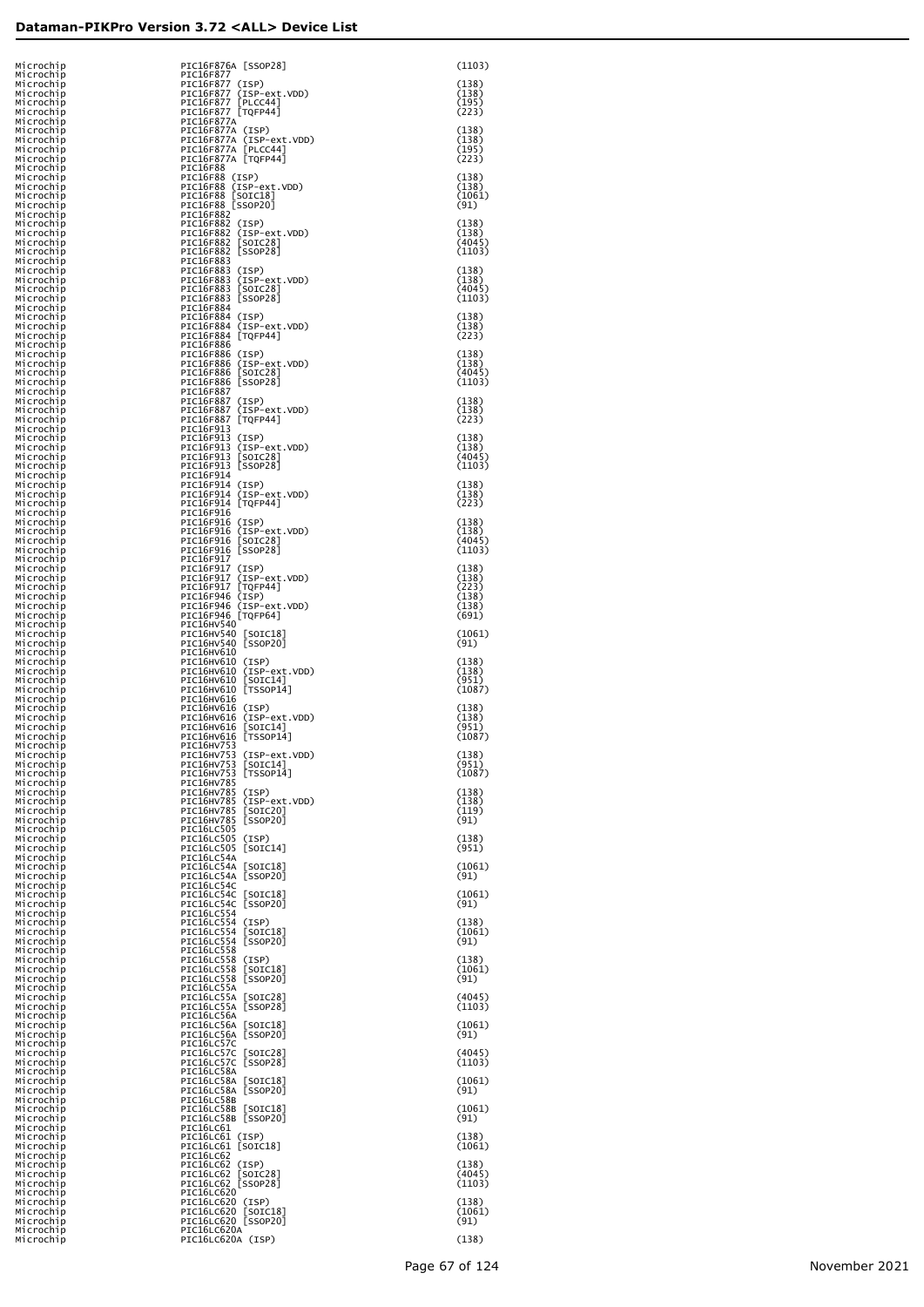| Microchip              | PIC16F876A [SSOP28]                                                 | (1103)           |
|------------------------|---------------------------------------------------------------------|------------------|
| Microchip<br>Microchip | PIC16F877<br>PIC16F877 (ISP)                                        | (138)            |
| Microchip              |                                                                     | (138)            |
| Microchip<br>Microchip | PIC16F877 (ISP-ext.VDD)<br>PIC16F877 [PLCC44]<br>PIC16F877 [TQFP44] | (195)<br>(223)   |
| Microchip              | PIC16F877A                                                          |                  |
| Microchip<br>Microchip | PIC16F877A (ISP)<br>PIC16F877A (ISP-ext.VDD)                        | (138)<br>(138)   |
| Microchip<br>Microchip | PIC16F877A [PLCC44]<br>PIC16F877A [TQFP44]                          | (195)<br>(223)   |
| Microchip              | PIC16F88                                                            |                  |
| Microchip<br>Microchip | PIC16F88 (ISP)<br>PIC16F88 (ISP-ext.VDD)<br>PIC16F88 [SOIC18]       | (138)<br>(138)   |
| Microchip<br>Microchip | PIC16F88 [SSOP20]                                                   | (1061)<br>(91)   |
| Microchip              | PIC16F882                                                           |                  |
| Microchip<br>Microchip | PIC16F882 (ISP)<br>PIC16F882 (ISP-ext.VDD)                          | (138)<br>(138)   |
| Microchip<br>Microchip | PIC16F882 [SOIC28]<br>PIC16F882 [SSOP28]                            | (4045)<br>(1103) |
| Microchip              | PIC16F883                                                           |                  |
| Microchip<br>Microchip | PIC16F883 (ISP)<br>PIC16F883 (ISP-ext.VDD)                          | (138)<br>(138)   |
| Microchip<br>Microchip | PIC16F883 [SOIC28]<br>PIC16F883 [SSOP28]                            | (4045)<br>(1103) |
| Microchip              | PIC16F884                                                           |                  |
| Microchip<br>Microchip | PIC16F884 (ISP)<br>PIC16F884 (ISP-ext.VDD)                          | (138)<br>(138)   |
| Microchip<br>Microchip | PIC16F884 [TQFP44]<br>PIC16F886                                     | (223)            |
| Microchip<br>Microchip | PIC16F886 (ISP)<br>PIC16F886 (ISP-ext.VDD)                          | (138)<br>(138)   |
| Microchip              | PIC16F886 [SOIC28]                                                  | (4045)           |
| Microchip<br>Microchip | PIC16F886 [SSOP28]<br>PIC16F887                                     | (1103)           |
| Microchip<br>Microchip | PIC16F887 (ISP)<br>PIC16F887 (ISP-ext.VDD)                          | (138)<br>(138)   |
| Microchip              | PIC16F887 [TQFP44]                                                  | (223)            |
| Microchip<br>Microchip | PIC16F913<br>PIC16F913 (ISP)                                        | (138)            |
| Microchip<br>Microchip | PIC16F913 (ISP-ext.VDD)<br>PIC16F913 [SOIC28]                       | (138)<br>(4045)  |
| Microchip              | PIC16F913 [SSOP28]                                                  | (1103)           |
| Microchip<br>Microchip | PIC16F914<br>PIC16F914 (ISP)                                        | (138)            |
| Microchip<br>Microchip | PIC16F914 (ISP-ext.VDD)<br>PIC16F914 [TQFP44]                       | (138)<br>(223)   |
| Microchip              | PIC16F916                                                           |                  |
| Microchip<br>Microchip | PIC16F916 (ISP)<br>PIC16F916 (ISP-ext.VDD)                          | (138)<br>(138)   |
| Microchip<br>Microchip | PIC16F916 [SOIC28]<br>PIC16F916 [SSOP28]                            | (4045)<br>(1103) |
| Microchip              | PIC16F917                                                           |                  |
| Microchip<br>Microchip | PIC16F917 (ISP)<br>PIC16F917 (ISP-ext.VDD)                          | (138)<br>(138)   |
| Microchip<br>Microchip | PIC16F917 [TQFP44]<br>PIC16F946 (ISP)                               | (223)<br>(138)   |
| Microchip<br>Microchip | PIC16F946 (ISP-ext.VDD)<br>PIC16F946 [TQFP64]                       | (138)<br>(691)   |
| Microchip              | PIC16HV540                                                          |                  |
| Microchip<br>Microchip | PIC16HV540 [SOIC18]<br>PIC16HV540 [SSOP20]                          | (1061)<br>(91)   |
| Microchip<br>Microchip | PIC16HV610<br>PIC16HV610 (ISP)                                      | (138)            |
| Microchip              | PIC16HV610 (ISP-ext.VDD)                                            | (138)            |
| Microchip<br>Microchip | PIC16HV610 [SOIC14]<br>PIC16HV610 [TSSOP14]                         | (951)<br>(1087)  |
| Microchip<br>Microchip | PIC16HV616<br>PIC16HV616 (ISP)                                      | (138)            |
| Microchip              | PIC16HV616 (ISP-ext.VDD)                                            | (138)            |
| Microchip<br>Microchip | PIC16HV616 [SOIC14]<br>PIC16HV616 [TSSOP14]                         | (951)<br>(1087)  |
| Microchip<br>Mıcrochıp | PIC16HV753<br>PIC16HV/53 (ISP-ext.VDD)                              | (138)            |
| Microchip<br>Microchip | PIC16HV753 [SOIC14]<br>PIC16HV753 [TSSOP14]                         | (951)<br>(1087)  |
| Microchip              | PIC16HV785                                                          |                  |
| Microchip<br>Microchip | PIC16HV785 (ISP)<br>PIC16HV785 (ISP-ext.VDD)                        | (138)<br>(138)   |
| Microchip<br>Microchip | PIC16HV785 [SOIC20]<br>PIC16HV785 [SSOP20]                          | (119)<br>(91)    |
| Microchip<br>Microchip | PIC16LC505<br>PIC16LC505 (ISP)                                      | (138)            |
| Microchip              | PIC16LC505 [SOIC14]                                                 | (951)            |
| Microchip<br>Microchip | PIC16LC54A<br>PIC16LC54A [SOIC18]                                   | (1061)           |
| Microchip<br>Microchip | PIC16LC54A [SSOP20]<br>PIC16LC54C                                   | (91)             |
| Microchip              | PIC16LC54C [SOIC18]                                                 | (1061)           |
| Microchip<br>Microchip | PIC16LC54C [SSOP20]<br>PIC16LC554                                   | (91)             |
| Microchip<br>Microchip | PIC16LC554 (ISP)<br>PIC16LC554 [SOIC18]                             | (138)<br>(1061)  |
| Microchip<br>Microchip | PIC16LC554 [SSOP20]<br>PIC16LC558                                   | (91)             |
| Microchip              | PIC16LC558 (ISP)                                                    | (138)            |
| Microchip<br>Microchip | PIC16LC558 [SOIC18]<br>PIC16LC558 [SSOP20]                          | (1061)<br>(91)   |
| Microchip<br>Microchip | PIC16LC55A<br>PIC16LC55A [SOIC28]                                   | (4045)           |
| Microchip              | PIC16LC55A [SSOP28]                                                 | (1103)           |
| Microchip<br>Microchip | PIC16LC56A<br>PIC16LC56A [SOIC18]                                   | (1061)           |
| Microchip<br>Microchip | PIC16LC56A [SSOP20]<br>PIC16LC57C                                   | (91)             |
| Microchip<br>Microchip | PIC16LC57C [SOIC28]<br>PIC16LC57C [SSOP28]                          | (4045)<br>(1103) |
| Microchip              | PIC16LC58A                                                          |                  |
| Microchip<br>Microchip | PIC16LC58A [SOIC18]<br>PIC16LC58A [SSOP20]                          | (1061)<br>(91)   |
| Microchip<br>Microchip | PIC16LC58B<br>PIC16LC58B [SOIC18]                                   | (1061)           |
| Microchip              | PIC16LC58B [SSOP20]                                                 | (91)             |
| Microchip<br>Microchip | PIC16LC61<br>PIC16LC61 (ISP)                                        | (138)            |
| Microchip<br>Microchip | PIC16LC61 [SOIC18]<br>PIC16LC62                                     | (1061)           |
| Microchip<br>Microchip | PIC16LC62 (ISP)<br>PIC16LC62 [SOIC28]                               | (138)<br>(4045)  |
| Microchip              | PIC16LC62 [SSOP28]                                                  | (1103)           |
| Microchip<br>Microchip | PIC16LC620<br>PIC16LC620 (ISP)                                      | (138)            |
| Microchip<br>Microchip | PIC16LC620 [SOIC18]<br>PIC16LC620 [SSOP20]                          | (1061)<br>(91)   |
| Microchip<br>Microchip | PIC16LC620A<br>PIC16LC620A (ISP)                                    | (138)            |
|                        |                                                                     |                  |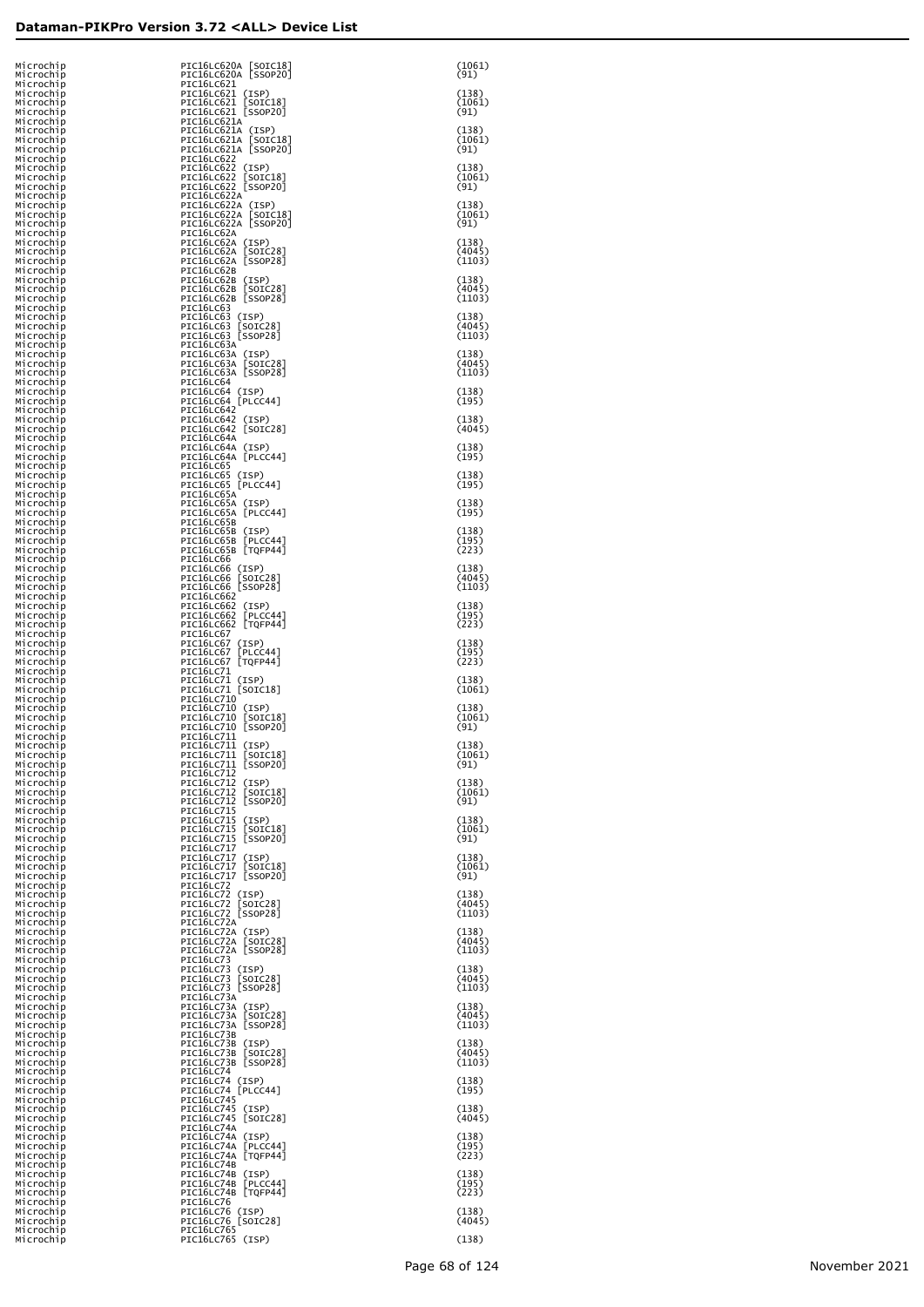| Microchip<br>Microchip                           | PIC16LC620A [SOIC18]<br>PIC16LC620A [SSOP20]                                     | (1061)<br>(91)            |
|--------------------------------------------------|----------------------------------------------------------------------------------|---------------------------|
| Microchip<br>Microchip<br>Microchip              | PIC16LC621<br>PIC16LC621 (ISP)                                                   | (138)<br>(1061)           |
| Microchip<br>Microchip<br>Microchip              | PIC16LC621 [SOIC18]<br>PIC16LC621 [SSOP20]<br>PIC16LC621A<br>PIC16LC621A (ISP)   | (91)<br>(138)             |
| Microchip<br>Microchip<br>Microchip              | PIC16LC621A [SOIC18]<br>PIC16LC621A [SSOP20]<br>PIC16LC622                       | (1061)<br>(91)            |
| Microchip<br>Microchip<br>Microchip              | PIC16LC622 (ISP)<br>PIC16LC622 [SOIC18]<br>PIC16LC622 [SSOP20]                   | (138)<br>(1061)<br>(91)   |
| Microchip<br>Microchip<br>Microchip<br>Microchip | PIC16LC622A<br>PIC16LC622A (ISP)<br>PIC16LC622A [SOIC18]<br>PIC16LC622A [SSOP20] | (138)<br>(1061)<br>(91)   |
| Microchip<br>Microchip<br>Microchip<br>Microchip | PIC16LC62A<br>PIC16LC62A (ISP)<br>PIC16LC62A [SOIC28]<br>PIC16LC62A [SSOP28]     | (138)<br>(4045)<br>(1103) |
| Microchip<br>Microchip<br>Microchip              | PIC16LC62B<br>PIC16LC62B (ISP)<br>PIC16LC62B [SOIC28]                            | (138)<br>(4045)           |
| Microchip<br>Microchip<br>Microchip              | PIC16LC62B [SSOP28]<br>PIC16LC63<br>PIC16LC63 (ISP)                              | (1103)<br>(138)<br>(4045) |
| Microchip<br>Microchip<br>Microchip<br>Microchip | PIC16LC63 [SOIC28]<br>PIC16LC63 [SSOP28]<br>PIC16LC63A<br>PIC16LC63A (ISP)       | (1103)<br>(138)           |
| Microchip<br>Microchip<br>Microchip              | PIC16LC63A [SOIC28]<br>PIC16LC63A [SSOP28]<br>PIC16LC64                          | (4045)<br>(1103)          |
| Microchip<br>Microchip<br>Microchip              | PIC16LC64 (ISP)<br>PIC16LC64 [PLCC44]<br>PIC16LC642                              | (138)<br>(195)            |
| Microchip<br>Microchip<br>Microchip              | PIC16LC642 (ISP)<br>PIC16LC642 [SOIC28]<br>PIC16LC64A                            | (138)<br>(4045)           |
| Microchip<br>Microchip<br>Microchip              | PIC16LC64A (ISP)<br>PIC16LC64A [PLCC44]<br>PIC16LC65                             | (138)<br>(195)            |
| Microchip<br>Microchip<br>Microchip              | PIC16LC65 (ISP)<br>PIC16LC65 [PLCC44]<br>PIC16LC65A                              | (138)<br>(195)            |
| Microchip<br>Microchip<br>Microchip              | PIC16LC65A (ISP)<br>PIC16LC65A [PLCC44]<br>PIC16LC65B                            | (138)<br>(195)            |
| Microchip<br>Microchip<br>Microchip              | PIC16LC65B (ISP)<br>PIC16LC65B [PLCC44]<br>PIC16LC65B [TQFP44]                   | (138)<br>(195)<br>(223)   |
| Microchip<br>Microchip<br>Microchip              | PIC16LC66<br>PIC16LC66 (ISP)<br>PIC16LC66 [SOIC28]                               | (138)<br>(4045)           |
| Microchip<br>Microchip<br>Microchip              | PIC16LC66 [SSOP28]<br><b>PIC16LC662</b><br>PIC16LC662 (ISP)                      | (1103)<br>(138)           |
| Microchip<br>Microchip<br>Microchip              | PIC16LC662 [PLCC44]<br>PIC16LC662 [TQFP44]<br>PIC16LC67                          | (195)<br>(223)            |
| Microchip<br>Microchip<br>Microchip              | PIC16LC67 (ISP)<br>PIC16LC67 [PLCC44]<br>PIC16LC67 [TQFP44]                      | (138)<br>(195)<br>(223)   |
| Microchip<br>Microchip<br>Microchip              | PIC16LC71<br>PIC16LC71 (ISP)<br>PIC16LC71 [SOIC18]                               | (138)<br>(1061)           |
| Microchip<br>Microchip<br>Microchip              | PIC16LC710<br>PIC16LC710 (ISP)<br>PIC16LC710 [SOIC18]                            | (138)<br>(1061)           |
| Microchip<br>Microchip<br>Microchip              | PIC16LC710 [SSOP20]<br>PIC16LC711<br>PIC16LC711 (ISP)                            | (91)<br>(138)             |
| Microchip<br>Microchip<br>Microchip              | PIC16LC711 [SOIC18]<br>PIC16LC711 [SSOP20]<br>PIC16LC712                         | (1061)<br>(91)            |
| Microchip<br>Microchip<br>Microchip              | PIC16LC712 (ISP)<br>PIC16LC712 [SOIC18]<br>PIC16LC712 [SSOP20]                   | (138)<br>(1061)<br>(91)   |
| Microchip<br>Microchip<br>Microchip              | PIC16LC715<br>PIC16LC715 (ISP)<br>PIC16LC715 [SOIC18]                            | (138)<br>(1061)           |
| Microchip<br>Microchip<br>Microchip              | PIC16LC715 [SSOP20]<br><b>PIC16LC717</b><br>PIC16LC717 (ISP)                     | (91)<br>(138)             |
| Microchip<br>Microchip<br>Microchip              | PIC16LC717 [SOIC18]<br>PIC16LC717 [SSOP20]<br>PIC16LC72                          | (1061)<br>(91)<br>(138)   |
| Microchip<br>Microchip<br>Microchip              | PIC16LC72 (ISP)<br>PIC16LC72 [SOIC28]<br>PIC16LC72 [SSOP28]<br>PIC16LC72A        | (4045)<br>(1103)          |
| Microchip<br>Microchip<br>Microchip<br>Microchip | PIC16LC72A (ISP)<br>PIC16LC72A [SOIC28]<br>PIC16LC72A [SSOP28]                   | (138)<br>(4045)<br>(1103) |
| Microchip<br>Microchip<br>Microchip              | PIC16LC73<br>PIC16LC73 (ISP)<br>PIC16LC73 [SOIC28]                               | (138)<br>(4045)           |
| Microchip<br>Microchip<br>Microchip              | PIC16LC73 [SSOP28]<br>PIC16LC73A<br>PIC16LC73A (ISP)                             | (1103)<br>(138)           |
| Microchip<br>Microchip<br>Microchip              | PIC16LC73A [SOIC28]<br>PIC16LC73A [SSOP28]<br>PIC16LC73B                         | (4045)<br>(1103)          |
| Microchip<br>Microchip<br>Microchip              | PIC16LC73B (ISP)<br>PIC16LC73B [SOIC28]<br>PIC16LC73B [SSOP28]                   | (138)<br>(4045)<br>(1103) |
| Microchip<br>Microchip<br>Microchip              | PIC16LC74<br>PIC16LC74 (ISP)<br>PIC16LC74 [PLCC44]                               | (138)<br>(195)            |
| Microchip<br>Microchip<br>Microchip              | PIC16LC745<br>PIC16LC745 (ISP)<br>PIC16LC745 [SOIC28]                            | (138)<br>(4045)           |
| Microchip<br>Microchip<br>Microchip              | PIC16LC74A<br>PIC16LC74A (ISP)<br>PIC16LC74A [PLCC44]                            | (138)<br>(195)            |
| Microchip<br>Microchip<br>Microchip              | PIC16LC74A [TQFP44]<br>PIC16LC74B<br>PIC16LC74B (ISP)                            | (223)<br>(138)            |
| Microchip<br>Microchip<br>Microchip              | PIC16LC74B [PLCC44]<br>PIC16LC74B [TQFP44]<br>PIC16LC76                          | (195)<br>(223)            |
| Microchip<br>Microchip<br>Microchip              | PIC16LC76 (ISP)<br>PIC16LC76 [SOIC28]<br><b>PIC16LC765</b>                       | (138)<br>(4045)           |
| Microchip                                        | PIC16LC765 (ISP)                                                                 | (138)                     |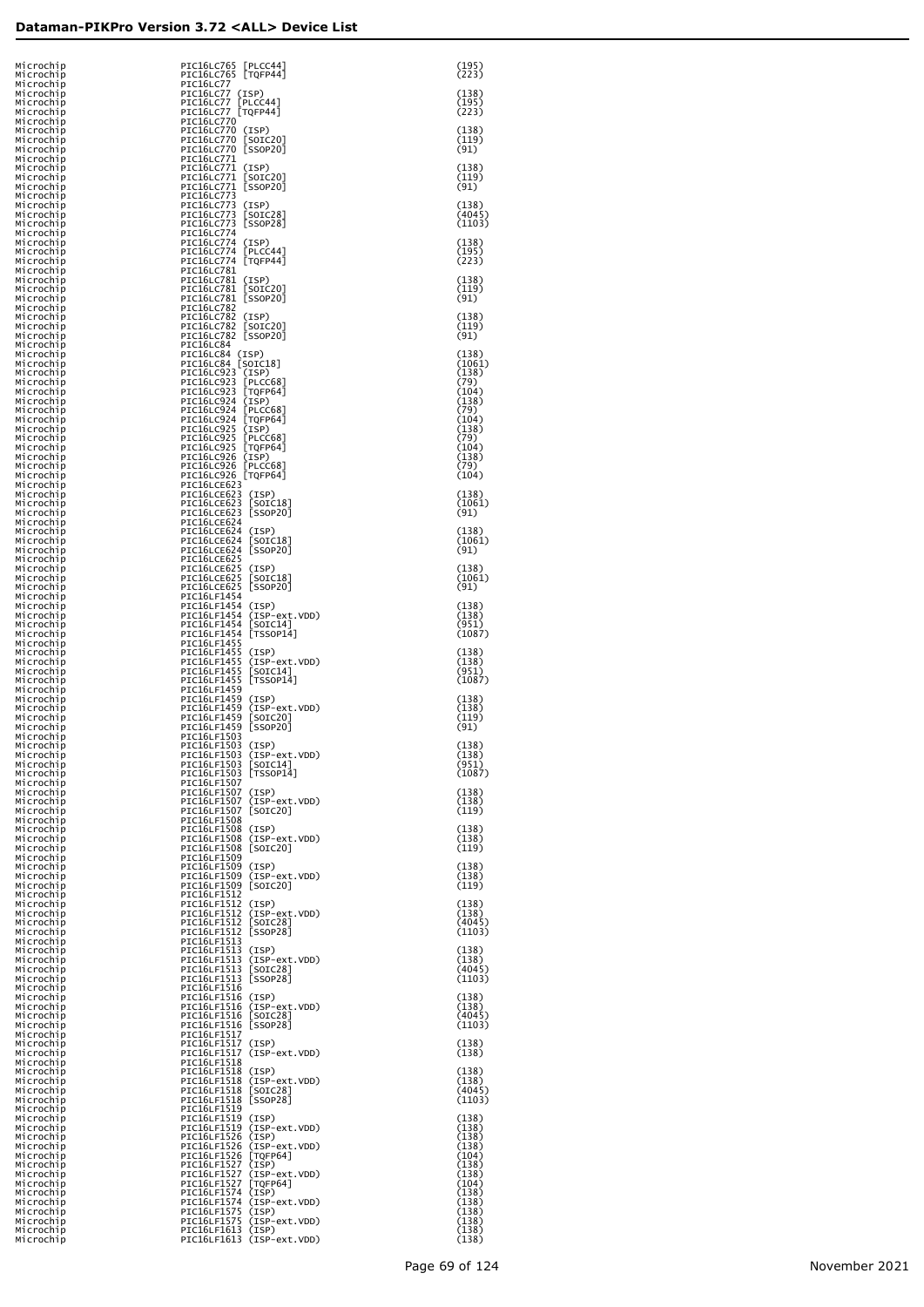| Microchip<br>Microchip              | PIC16LC765 [PLCC44]<br>PIC16LC765 [TQFP44]                                | (195)<br>(223)            |
|-------------------------------------|---------------------------------------------------------------------------|---------------------------|
| Microchip<br>Microchip<br>Microchip | PIC16LC77<br>PIC16LC77 (ISP)<br>PIC16LC77<br>[PLCC44]                     | (138)<br>(195)            |
| Microchip<br>Microchip              | PIC16LC77 [TQFP44]<br><b>PIC16LC770</b>                                   | (223)                     |
| Microchip<br>Microchip<br>Microchip | PIC16LC770 (ISP)<br>PIC16LC770 [SOIC20]<br>PIC16LC770 [SSOP20]            | (138)<br>(119)<br>(91)    |
| Microchip<br>Microchip<br>Microchip | PIC16LC771<br>PIC16LC771 (ISP)<br>PIC16LC771 [SOIC20]                     | (138)<br>(119)            |
| Microchip<br>Microchip              | PIC16LC771 [SSOP20]<br>PIC16LC773                                         | (91)                      |
| Microchip<br>Microchip<br>Microchip | PIC16LC773 (ISP)<br>PIC16LC773<br>[SOIC28]<br>PIC16LC773 [SSOP28]         | (138)<br>(4045)<br>(1103) |
| Microchip<br>Microchip<br>Microchip | <b>PIC16LC774</b><br>PIC16LC774 (ISP)<br>PIC16LC774 [PLCC44]              | (138)<br>(195)            |
| Microchip<br>Microchip              | PIC16LC774 [TQFP44]<br>PIC16LC781                                         | (223)                     |
| Microchip<br>Microchip<br>Microchip | PIC16LC781 (ISP)<br>PIC16LC781 [SOIC20]<br>PIC16LC781 [SSOP20]            | (138)<br>(119)<br>(91)    |
| Microchip<br>Microchip<br>Microchip | PIC16LC782<br>PIC16LC782 (ISP)<br>PIC16LC782 [SOIC20]                     | (138)<br>(119)            |
| Microchip<br>Microchip              | PIC16LC782 [SSOP20]<br>PIC16LC84                                          | (91)                      |
| Microchip<br>Microchip<br>Microchip | PIC16LC84 (ISP)<br>PIC16LC84 [SOIC18]<br>PIC16LC923 (ISP)                 | (138)<br>(1061)<br>(138)  |
| Microchip<br>Microchip<br>Microchip | PIC16LC923 [PLCC68]<br>PIC16LC923 [TQFP64]<br>PIC16LC924 (ISP)            | (79)<br>(104)<br>(138)    |
| Microchip<br>Microchip              | PIC16LC924 [PLCC68]<br>PIC16LC924 [TQFP64]                                | (79)<br>(104)             |
| Microchip<br>Microchip<br>Microchip | PIC16LC925 (ISP)<br>PIC16LC925 [PLCC68]<br>PIC16LC925 [TQFP64]            | (138)<br>(79)<br>(104)    |
| Microchip<br>Microchip<br>Microchip | PIC16LC926 (ISP)<br>PIC16LC926 [PLCC68]<br>PIC16LC926 [TQFP64]            | (138)<br>(79)<br>(104)    |
| Microchip<br>Microchip<br>Microchip | PIC16LCE623<br>PIC16LCE623 (ISP)<br>PIC16LCE623 [SOIC18]                  | (138)<br>(1061)           |
| Microchip<br>Microchip              | PIC16LCE623 [SSOP20]<br>PIC16LCE624                                       | (91)                      |
| Microchip<br>Microchip<br>Microchip | PIC16LCE624 (ISP)<br>PIC16LCE624 [SOIC18]<br>PIC16LCE624 [SSOP20]         | (138)<br>(1061)<br>(91)   |
| Microchip<br>Microchip<br>Microchip | PIC16LCE625<br>PIC16LCE625 (ISP)<br>PIC16LCE625 [SOIC18]                  | (138)<br>(1061)           |
| Microchip<br>Microchip              | PIC16LCE625 [SSOP20]<br>PIC16LF1454                                       | (91)                      |
| Microchip<br>Microchip<br>Microchip | PIC16LF1454 (ISP)<br>PIC16LF1454 (ISP-ext.VDD)<br>PIC16LF1454 [SOIC14]    | (138)<br>(138)<br>(951)   |
| Microchip<br>Microchip<br>Microchip | PIC16LF1454 [TSSOP14]<br>PIC16LF1455<br>PIC16LF1455 (ISP)                 | (1087)<br>(138)           |
| Microchip<br>Microchip              | PIC16LF1455 (ISP-ext.VDD)<br>PIC16LF1455 [SOIC14]                         | (138)<br>(951)            |
| Microchip<br>Microchip<br>Microchip | PIC16LF1455 [TSSOP14]<br>PIC16LF1459<br>PIC16LF1459 (ISP)                 | (1087)<br>(138)           |
| Microchip<br>Microchip<br>Microchip | PIC16LF1459 (ISP-ext.VDD)<br>PIC16LF1459 [SOIC20]<br>PIC16LF1459 [SSOP20] | (138)<br>(119)<br>(91)    |
| Microchip<br>Microchip              | PIC16LF1503<br>PIC16LF1503 (ISP)<br>PIC16LF1503 (ISP-ext.VDD)             | (138)<br>(138)            |
| Microchip<br>Microchip<br>Microchip | PIC16LF1503 [SOIC14]<br>PIC16LF1503 [TSSOP14]                             | (951)<br>(1087)           |
| Microchip<br>Microchip<br>Microchip | PIC16LF1507<br>PIC16LF1507 (ISP)<br>PIC16LF1507 (ISP-ext.VDD)             | (138)<br>(138)            |
| Microchip<br>Microchip<br>Microchip | PIC16LF1507 [SOIC20]<br>PIC16LF1508<br>PIC16LF1508 (ISP)                  | (119)<br>(138)            |
| Microchip<br>Microchip              | PIC16LF1508 (ISP-ext.VDD)<br>PIC16LF1508 [SOIC20]                         | (138)<br>(119)            |
| Microchip<br>Microchip<br>Microchip | PIC16LF1509<br>PIC16LF1509 (ISP)<br>PIC16LF1509 (ISP-ext.VDD)             | (138)<br>(138)            |
| Microchip<br>Microchip<br>Microchip | PIC16LF1509 [SOIC20]<br>PIC16LF1512<br>PIC16LF1512 (ISP)                  | (119)<br>(138)            |
| Microchip<br>Microchip<br>Microchip | PIC16LF1512 (ISP-ext.VDD)<br>PIC16LF1512 [SOIC28]<br>PIC16LF1512 [SSOP28] | (138)<br>(4045)<br>(1103) |
| Microchip<br>Microchip              | PIC16LF1513<br>PIC16LF1513 (ISP)                                          | (138)                     |
| Microchip<br>Microchip<br>Microchip | PIC16LF1513 (ISP-ext.VDD)<br>PIC16LF1513 [SOIC28]<br>PIC16LF1513 [SSOP28] | (138)<br>(4045)<br>(1103) |
| Microchip<br>Microchip<br>Microchip | PIC16LF1516<br>PIC16LF1516 (ISP)<br>PIC16LF1516 (ISP-ext.VDD)             | (138)<br>(138)            |
| Microchip<br>Microchip              | PIC16LF1516 [SOIC28]<br>PIC16LF1516 [SSOP28]<br>PIC16LF1517               | (4045)<br>(1103)          |
| Microchip<br>Microchip<br>Microchip | PIC16LF1517 (ISP)<br>PIC16LF1517 (ISP-ext.VDD)                            | (138)<br>(138)            |
| Microchip<br>Microchip<br>Microchip | PIC16LF1518<br>PIC16LF1518 (ISP)<br>PIC16LF1518 (ISP-ext.VDD)             | (138)<br>(138)            |
| Microchip<br>Microchip<br>Microchip | PIC16LF1518 [SOIC28]<br>PIC16LF1518 [SSOP28]<br>PIC16LF1519               | (4045)<br>(1103)          |
| Microchip<br>Microchip              | PIC16LF1519 (ISP)<br>PIC16LF1519 (ISP-ext.VDD)<br>PIC16LF1526 (ISP)       | (138)<br>(138)<br>(138)   |
| Microchip<br>Microchip<br>Microchip | PIC16LF1526 (ISP-ext.VDD)<br>PIC16LF1526 [TQFP64]                         | (138)<br>(104)            |
| Microchip<br>Microchip<br>Microchip | PIC16LF1527 (ISP)<br>PIC16LF1527 (ISP-ext.VDD)<br>PIC16LF1527 [TQFP64]    | (138)<br>(138)<br>(104)   |
| Microchip<br>Microchip<br>Microchip | PIC16LF1574 (ISP)<br>PIC16LF1574 (ISP-ext.VDD)<br>PIC16LF1575 (ISP)       | (138)<br>(138)<br>(138)   |
| Microchip<br>Microchip              | PIC16LF1575 (ISP-ext.VDD)<br>PIC16LF1613 (ISP)                            | (138)<br>(138)            |
| Microchip                           | PIC16LF1613 (ISP-ext.VDD)                                                 | (138)                     |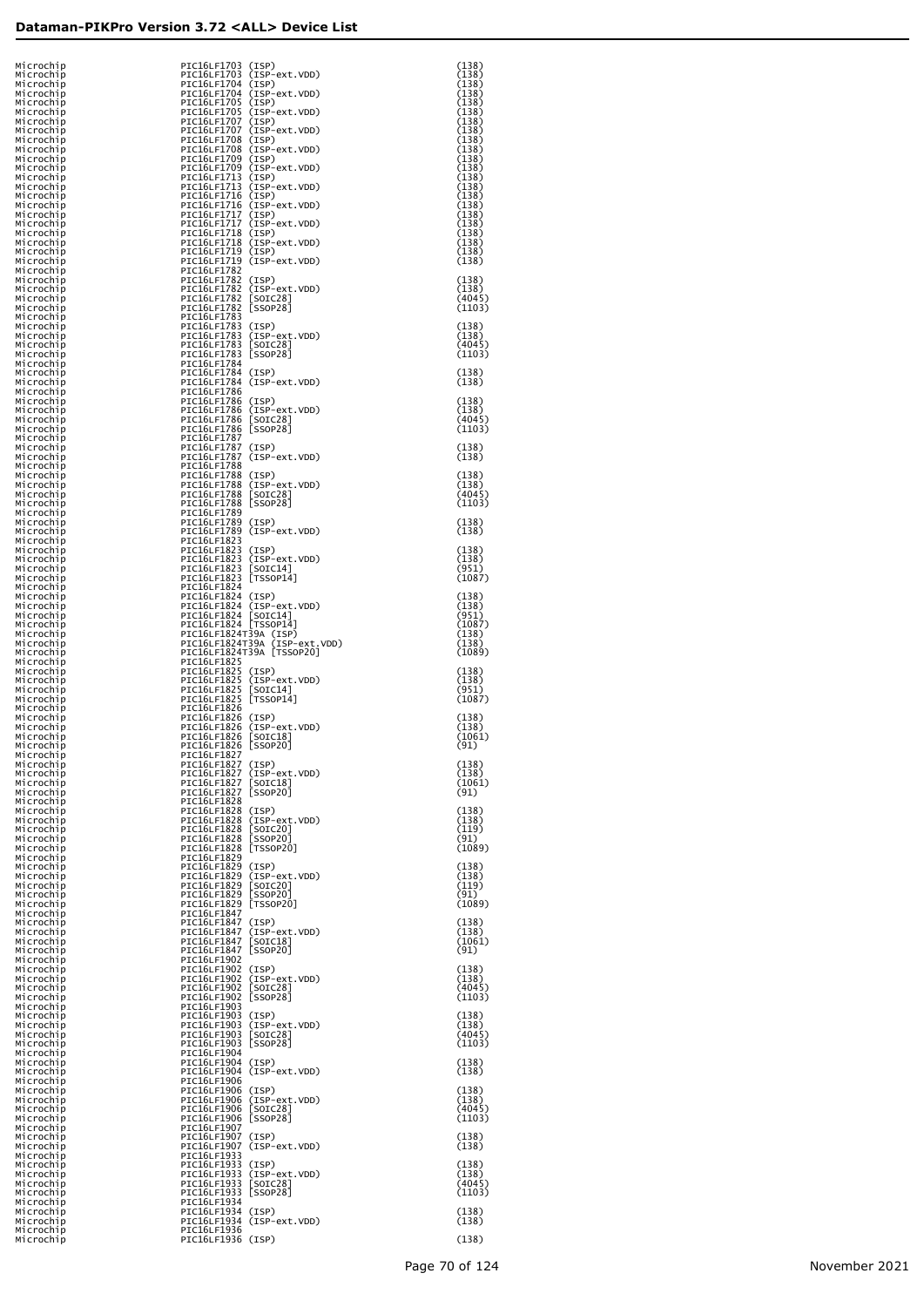| Microchip<br>Microchip<br>Microchip | PIC16LF1703 (ISP)<br>PIC16LF1703 (ISP-ext.VDD)<br>PIC16LF1704 (ISP)            | (138)<br>(138)<br>(138)   |
|-------------------------------------|--------------------------------------------------------------------------------|---------------------------|
| Microchip<br>Microchip              | PIC16LF1704 (ISP-ext.VDD)<br>PIC16LF1705 (ISP)                                 | (138)<br>(138)            |
| Microchip<br>Microchip              | PIC16LF1705 (ISP-ext.VDD)<br>PIC16LF1707 (ISP)                                 | (138)<br>(138)            |
| Microchip<br>Microchip<br>Microchip | PIC16LF1707 (ISP-ext.VDD)<br>PIC16LF1708 (ISP)<br>PIC16LF1708 (ISP-ext.VDD)    | (138)<br>(138)<br>(138)   |
| Microchip<br>Microchip              | PIC16LF1709 (ISP)<br>PIC16LF1709 (ISP-ext.VDD)                                 | (138)<br>(138)            |
| Microchip<br>Microchip              | PIC16LF1713 (ISP)<br>PIC16LF1713 (ISP-ext.VDD)                                 | (138)<br>(138)            |
| Microchip<br>Microchip<br>Microchip | PIC16LF1716 (ISP)<br>PIC16LF1716 (ISP-ext.VDD)<br>PIC16LF1717 (ISP)            | (138)<br>(138)<br>(138)   |
| Microchip<br>Microchip              | PIC16LF1717 (ISP-ext.VDD)<br>PIC16LF1718 (ISP)                                 | (138)<br>(138)            |
| Microchip<br>Microchip              | PIC16LF1718 (ISP-ext.VDD)<br>PIC16LF1719 (ISP)                                 | (138)<br>(138)            |
| Microchip<br>Microchip<br>Microchip | PIC16LF1719 (ISP-ext.VDD)<br>PIC16LF1782<br>PIC16LF1782 (ISP)                  | (138)<br>(138)            |
| Microchip<br>Microchip              | PIC16LF1782 (ISP-ext.VDD)<br>PIC16LF1782 [SOIC28]                              | (138)<br>(4045)           |
| Microchip<br>Microchip              | PIC16LF1782 [SSOP28]<br>PIC16LF1783                                            | (1103)                    |
| Microchip<br>Microchip<br>Microchip | PIC16LF1783 (ISP)<br>PIC16LF1783 (ISP-ext.VDD)<br>PIC16LF1783 [SOIC28]         | (138)<br>(138)<br>(4045)  |
| Microchip<br>Microchip              | PIC16LF1783 [SSOP28]<br>PIC16LF1784                                            | (1103)                    |
| Microchip<br>Microchip              | PIC16LF1784 (ISP)<br>PIC16LF1784 (ISP-ext.VDD)                                 | (138)<br>(138)            |
| Microchip<br>Microchip              | PIC16LF1786<br>PIC16LF1786 (ISP)                                               | (138)                     |
| Microchip<br>Microchip<br>Microchip | PIC16LF1786 (ISP-ext.VDD)<br>PIC16LF1786 [SOIC28]<br>PIC16LF1786 [SSOP28]      | (138)<br>(4045)<br>(1103) |
| Microchip<br>Microchip              | PIC16LF1787<br>PIC16LF1787 (ISP)                                               | (138)                     |
| Microchip<br>Microchip              | PIC16LF1787 (ISP-ext.VDD)<br>PIC16LF1788                                       | (138)                     |
| Microchip<br>Microchip<br>Microchip | PIC16LF1788 (ISP)<br>PIC16LF1788 (ISP-ext.VDD)<br>PIC16LF1788<br>$[SOIC28]$    | (138)<br>(138)<br>(4045)  |
| Microchip<br>Microchip              | PIC16LF1788 [SSOP28]<br>PIC16LF1789                                            | (1103)                    |
| Microchip<br>Microchip              | PIC16LF1789 (ISP)<br>PIC16LF1789 (ISP-ext.VDD)                                 | (138)<br>(138)            |
| Microchip<br>Microchip<br>Microchip | PIC16LF1823<br>PIC16LF1823 (ISP)<br>PIC16LF1823 (ISP-ext.VDD)                  | (138)<br>(138)            |
| Microchip<br>Microchip              | PIC16LF1823 [SOIC14]<br>PIC16LF1823 [TSSOP14]                                  | (951)<br>(1087)           |
| Microchip<br>Microchip              | PIC16LF1824<br>PIC16LF1824 (ISP)                                               | (138)                     |
| Microchip<br>Microchip<br>Microchip | PIC16LF1824 (ISP-ext.VDD)<br>PIC16LF1824 [SOIC14]<br>PIC16LF1824 [TSSOP14]     | (138)<br>(951)<br>(1087)  |
| Microchip<br>Microchip              | PIC16LF1824T39A (ISP)<br>PIC16LF1824T39A (ISP-ext.VDD)                         | (138)<br>(138)            |
| Microchip<br>Microchip              | PIC16LF1824T39A [TSSOP20]<br>PIC16LF1825                                       | (1089)                    |
| Microchip<br>Microchip<br>Microchip | PIC16LF1825 (ISP)<br>PIC16LF1825<br>(ISP-ext.VDD)<br>PIC16LF1825<br>$[SOIC14]$ | (138)<br>(138)<br>(951)   |
| Microchip<br>Microchip              | PIC16LF1825 [TSSOP14]<br>PIC16LF1826                                           | (1087)                    |
| Microchip<br>Microchip              | PIC16LF1826 (ISP)<br>PIC16LF1826 (ISP-ext.VDD)                                 | (138)<br>(138)            |
| Microchip<br>Microchip<br>Microchip | PIC16LF1826 [SOIC18]<br>PIC16LF1826 [SSOP20]<br>PIC16LF1827                    | (1061)<br>(91)            |
| Microchip<br>Microchip              | PIC16LF1827 (ISP)<br>PIC16LF1827 (ISP-ext.VDD)                                 | (138)<br>(138)            |
| Microchip<br>Microchip              | PIC16LF1827 [SOIC18]<br>PIC16LF1827 [SSOP20]                                   | (1061)<br>(91)            |
| Microchip<br>Microchip<br>Microchip | PIC16LF1828<br>PIC16LF1828 (ISP)<br>PIC16LF1828 (ISP-ext.VDD)                  | (138)<br>(138)            |
| Microchip<br>Microchip              | PIC16LF1828<br>$[SOIC20]$<br>PIC16LF1828<br>[SSOP20]                           | (119)<br>(91)             |
| Microchip<br>Microchip              | PIC16LF1828 [TSSOP20]<br>PIC16LF1829<br>PIC16LF1829 (ISP)                      | (1089)<br>(138)           |
| Microchip<br>Microchip<br>Microchip | PIC16LF1829 (ISP-ext.VDD)<br>PIC16LF1829<br>$[SOIC20]$                         | (138)<br>(119)            |
| Microchip<br>Microchip              | PIC16LF1829<br><b>SSOP20</b><br>PIC16LF1829 [TSSOP20]                          | (91)<br>(1089)            |
| Microchip<br>Microchip<br>Microchip | PIC16LF1847<br>PIC16LF1847 (ISP)<br>PIC16LF1847<br>(ISP-ext.VDD)               | (138)<br>(138)            |
| Microchip<br>Microchip              | PIC16LF1847<br>[SOIC18]<br>PIC16LF1847 [SSOP20]                                | (1061)<br>(91)            |
| Microchip<br>Microchip              | PIC16LF1902<br>PIC16LF1902 (ISP)                                               | (138)                     |
| Microchip<br>Microchip<br>Microchip | PIC16LF1902 (ISP-ext.VDD)<br>PIC16LF1902 [SOIC28]                              | (138)<br>(4045)<br>(1103) |
| Microchip<br>Microchip              | PIC16LF1902 [SSOP28]<br>PIC16LF1903<br>PIC16LF1903 (ISP)                       | (138)                     |
| Microchip<br>Microchip              | PIC16LF1903 (ISP-ext.VDD)<br>PIC16LF1903 [SOIC28]                              | (138)<br>(4045)           |
| Microchip<br>Microchip<br>Microchip | PIC16LF1903 [SSOP28]<br>PIC16LF1904<br>PIC16LF1904 (ISP)                       | (1103)<br>(138)           |
| Microchip<br>Microchip              | PIC16LF1904 (ISP-ext.VDD)<br>PIC16LF1906                                       | (138)                     |
| Microchip<br>Microchip              | PIC16LF1906 (ISP)<br>PIC16LF1906 (ISP-ext.VDD)                                 | (138)<br>(138)            |
| Microchip<br>Microchip<br>Microchip | PIC16LF1906 [SOIC28]<br>PIC16LF1906 [SSOP28]<br>PIC16LF1907                    | (4045)<br>(1103)          |
| Microchip<br>Microchip              | PIC16LF1907 (ISP)<br>PIC16LF1907 (ISP-ext.VDD)                                 | (138)<br>(138)            |
| Microchip<br>Microchip              | PIC16LF1933<br>PIC16LF1933 (ISP)                                               | (138)                     |
| Microchip<br>Microchip<br>Microchip | PIC16LF1933 (ISP-ext.VDD)<br>PIC16LF1933<br>$[SOIC28]$<br>PIC16LF1933 [SSOP28] | (138)<br>(4045)<br>(1103) |
| Microchip<br>Microchip              | PIC16LF1934<br>PIC16LF1934 (ISP)                                               | (138)                     |
| Microchip<br>Microchip              | PIC16LF1934 (ISP-ext.VDD)<br>PIC16LF1936                                       | (138)                     |
| Microchip                           | PIC16LF1936 (ISP)                                                              | (138)                     |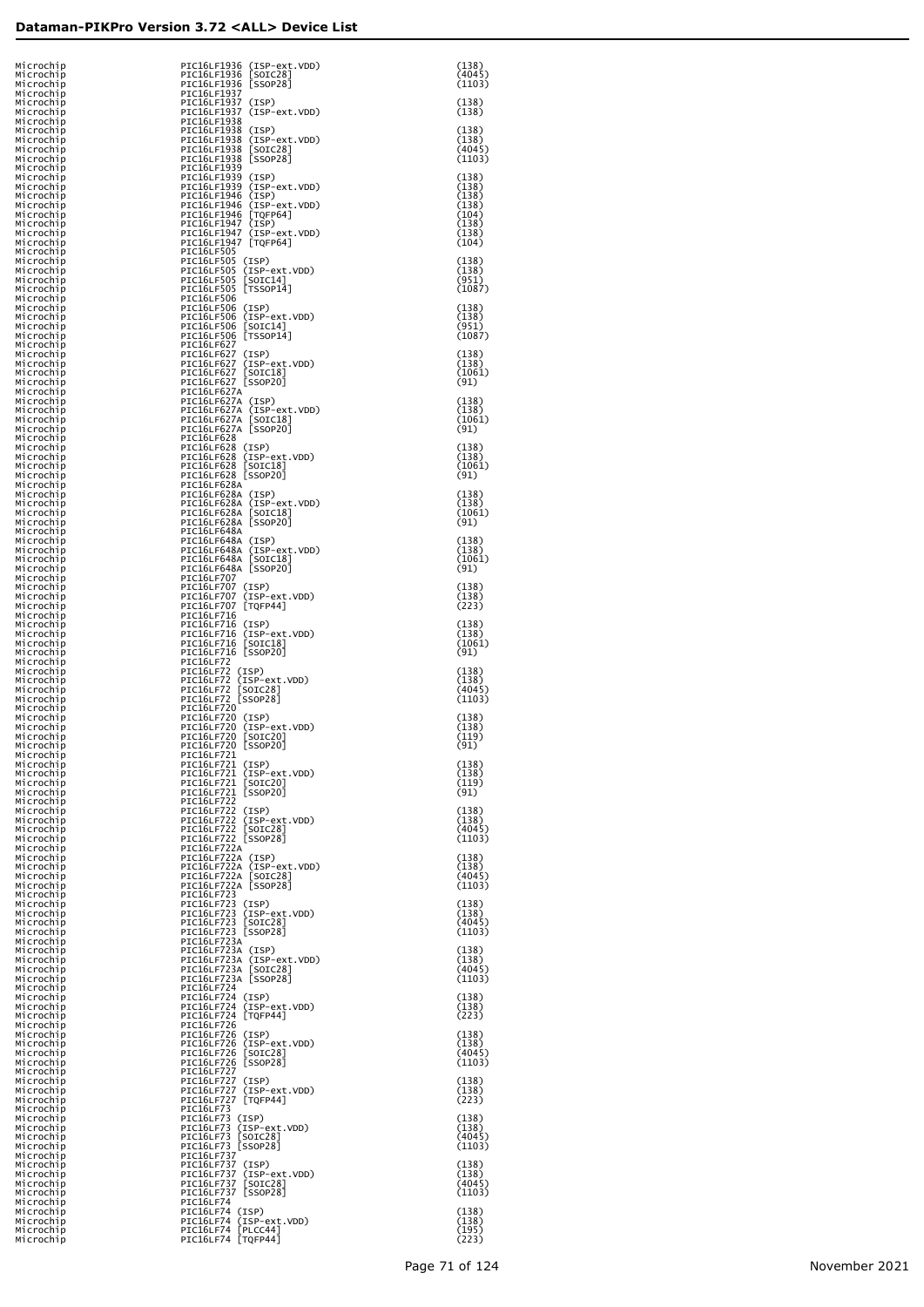| Microchip<br>Microchip              | PIC16LF1936 (ISP-ext.VDD)<br>PIC16LF1936 [SOIC28]                           | (138)<br>(4045)           |
|-------------------------------------|-----------------------------------------------------------------------------|---------------------------|
| Microchip<br>Microchip<br>Microchip | PIC16LF1936 [SSOP28]<br>PIC16LF1937<br>PIC16LF1937 (ISP)                    | (1103)<br>(138)           |
| Microchip<br>Microchip<br>Microchip | PIC16LF1937 (ISP-ext.VDD)<br>PIC16LF1938<br>PIC16LF1938 (ISP)               | (138)<br>(138)            |
| Microchip<br>Microchip<br>Microchip | PIC16LF1938 (ISP-ext.VDD)<br>PIC16LF1938 [SOIC28]                           | (138)<br>(4045)           |
| Microchip<br>Microchip              | PIC16LF1938 [SSOP28]<br>PIC16LF1939<br>PIC16LF1939 (ISP)                    | (1103)<br>(138)           |
| Microchip<br>Microchip<br>Microchip | PIC16LF1939 (ISP-ext.VDD)<br>PIC16LF1946 (ISP)<br>PIC16LF1946 (ISP-ext.VDD) | (138)<br>(138)<br>(138)   |
| Microchip<br>Microchip<br>Microchip | PIC16LF1946 [TQFP64]<br>PIC16LF1947 (ISP)<br>PIC16LF1947 (ISP-ext.VDD)      | (104)<br>(138)<br>(138)   |
| Microchip<br>Microchip<br>Microchip | PIC16LF1947 [TQFP64]<br>PIC16LF505<br>PIC16LF505 (ISP)                      | (104)<br>(138)            |
| Microchip<br>Microchip              | PIC16LF505 (ISP-ext.VDD)<br>PIC16LF505 [SOIC14]                             | (138)<br>(951)            |
| Microchip<br>Microchip<br>Microchip | PIC16LF505 [TSSOP14]<br>PIC16LF506<br>PIC16LF506 (ISP)                      | (1087)<br>(138)           |
| Microchip<br>Microchip<br>Microchip | PIC16LF506 (ISP-ext.VDD)<br>PIC16LF506 [SOIC14]<br>PIC16LF506 [TSSOP14]     | (138)<br>(951)<br>(1087)  |
| Microchip<br>Microchip<br>Microchip | PIC16LF627<br>PIC16LF627 (ISP)<br>PIC16LF627 (ISP-ext.VDD)                  | (138)<br>(138)            |
| Microchip<br>Microchip<br>Microchip | PIC16LF627 [SOIC18]<br>PIC16LF627 [SSOP20]<br>PIC16LF627A                   | (1061)<br>(91)            |
| Microchip<br>Microchip              | PIC16LF627A (ISP)<br>PIC16LF627A (ISP-ext.VDD)                              | (138)<br>(138)            |
| Microchip<br>Microchip<br>Microchip | PIC16LF627A [SOIC18]<br>PIC16LF627A [SSOP20]<br>PIC16LF628                  | (1061)<br>(91)            |
| Microchip<br>Microchip<br>Microchip | PIC16LF628 (ISP)<br>PIC16LF628 (ISP-ext.VDD)<br>PIC16LF628 [SOIC18]         | (138)<br>(138)<br>(1061)  |
| Microchip<br>Microchip<br>Microchip | PIC16LF628 [SSOP20]<br>PIC16LF628A<br>PIC16LF628A (ISP)                     | (91)<br>(138)             |
| Microchip<br>Microchip<br>Microchip | PIC16LF628A (ISP-ext.VDD)<br>PIC16LF628A [SOIC18]<br>PIC16LF628A [SSOP20]   | (138)<br>(1061)<br>(91)   |
| Microchip<br>Microchip<br>Microchip | PIC16LF648A<br>PIC16LF648A (ISP)<br>PIC16LF648A (ISP-ext.VDD)               | (138)<br>(138)            |
| Microchip<br>Microchip              | PIC16LF648A [SOIC18]<br>PIC16LF648A [SSOP20]                                | (1061)<br>(91)            |
| Microchip<br>Microchip<br>Microchip | PIC16LF707<br>PIC16LF707 (ISP)<br>PIC16LF707 (ISP-ext.VDD)                  | (138)<br>(138)            |
| Microchip<br>Microchip<br>Microchip | PIC16LF707 [TQFP44]<br>PIC16LF716<br>PIC16LF716 (ISP)                       | (223)<br>(138)            |
| Microchip<br>Microchip<br>Microchip | PIC16LF716 (ISP-ext.VDD)<br>PIC16LF716 [SOIC18]<br>PIC16LF716 [SSOP20]      | (138)<br>(1061)<br>(91)   |
| Microchip<br>Microchip<br>Microchip | PIC16LF72<br>PIC16LF72 (ISP)<br>PIC16LF72 (ISP-ext.VDD)                     | (138)<br>(138)            |
| Microchip<br>Microchip<br>Microchip | PIC16LF72 [SOIC28]<br>PIC16LF72 [SSOP28]<br>PIC16LF720                      | (4045)<br>(1103)          |
| Microchip<br>Microchip<br>Microchip | PIC16LF720 (ISP)<br>PIC16LF720 (ISP-ext.VDD)                                | (138)<br>(138)            |
| Microchip<br>Microchip              | PIC16LF720 [SOIC20]<br>PIC16LF720 [SSOP20]<br>PIC16LF721                    | (119)<br>(91)             |
| Microchip<br>Microchip<br>Microchip | PIC16LF721 (ISP)<br>PIC16LF721 (ISP-ext.VDD)<br>PIC16LF721 [SOIC20]         | (138)<br>(138)<br>(119)   |
| Microchip<br>Microchip<br>Microchip | PIC16LF721 [SSOP20]<br><b>PIC16LF722</b><br>PIC16LF722 (ISP)                | (91)<br>(138)             |
| Microchip<br>Microchip<br>Microchip | PIC16LF722 (ISP-ext.VDD)<br>PIC16LF722 [SOIC28]<br>PIC16LF722 [SSOP28]      | (138)<br>(4045)<br>(1103) |
| Microchip<br>Microchip<br>Microchip | PIC16LF722A<br>PIC16LF722A (ISP)<br>PIC16LF722A (ISP-ext.VDD)               | (138)<br>(138)            |
| Microchip<br>Microchip              | PIC16LF722A [SOIC28]<br>PIC16LF722A [SSOP28]<br>PIC16LF723                  | (4045)<br>(1103)          |
| Microchip<br>Microchip<br>Microchip | PIC16LF723 (ISP)<br>PIC16LF723 (ISP-ext.VDD)                                | (138)<br>(138)            |
| Microchip<br>Microchip<br>Microchip | PIC16LF723 [SOIC28]<br>PIC16LF723 [SSOP28]<br>PIC16LF723A                   | (4045)<br>(1103)          |
| Microchip<br>Microchip<br>Microchip | PIC16LF723A (ISP)<br>PIC16LF723A (ISP-ext.VDD)<br>PIC16LF723A [SOIC28]      | (138)<br>(138)<br>(4045)  |
| Microchip<br>Microchip<br>Microchip | PIC16LF723A [SSOP28]<br>PIC16LF724<br>PIC16LF724 (ISP)                      | (1103)<br>(138)           |
| Microchip<br>Microchip<br>Microchip | PIC16LF724 (ISP-ext.VDD)<br>PIC16LF724 [TQFP44]<br>PIC16LF726               | (138)<br>(223)            |
| Microchip<br>Microchip<br>Microchip | PIC16LF726 (ISP)<br>PIC16LF726 (ISP-ext.VDD)<br>PIC16LF726 [SOIC28]         | (138)<br>(138)<br>(4045)  |
| Microchip<br>Microchip              | PIC16LF726 [SSOP28]<br><b>PIC16LF727</b><br>PIC16LF727 (ISP)                | (1103)<br>(138)           |
| Microchip<br>Microchip<br>Microchip | PIC16LF727 (ISP-ext.VDD)<br>PIC16LF727 [TQFP44]                             | (138)<br>(223)            |
| Microchip<br>Microchip<br>Microchip | PIC16LF73<br>PIC16LF73 (ISP)<br>PIC16LF73 (ISP-ext.VDD)                     | (138)<br>(138)            |
| Microchip<br>Microchip<br>Microchip | PIC16LF73 [SOIC28]<br>PIC16LF73 [SSOP28]<br>PIC16LF737                      | (4045)<br>(1103)          |
| Microchip<br>Microchip<br>Microchip | PIC16LF737 (ISP)<br>PIC16LF737 (ISP-ext.VDD)<br>PIC16LF737 [SOIC28]         | (138)<br>(138)<br>(4045)  |
| Microchip<br>Microchip<br>Microchip | PIC16LF737 [SSOP28]<br>PIC16LF74<br>PIC16LF74 (ISP)                         | (1103)<br>(138)           |
| Microchip<br>Microchip<br>Microchip | PIC16LF74 (ISP-ext.VDD)<br>PIC16LF74 [PLCC44]<br>PIC16LF74 [TQFP44]         | (138)<br>(195)<br>(223)   |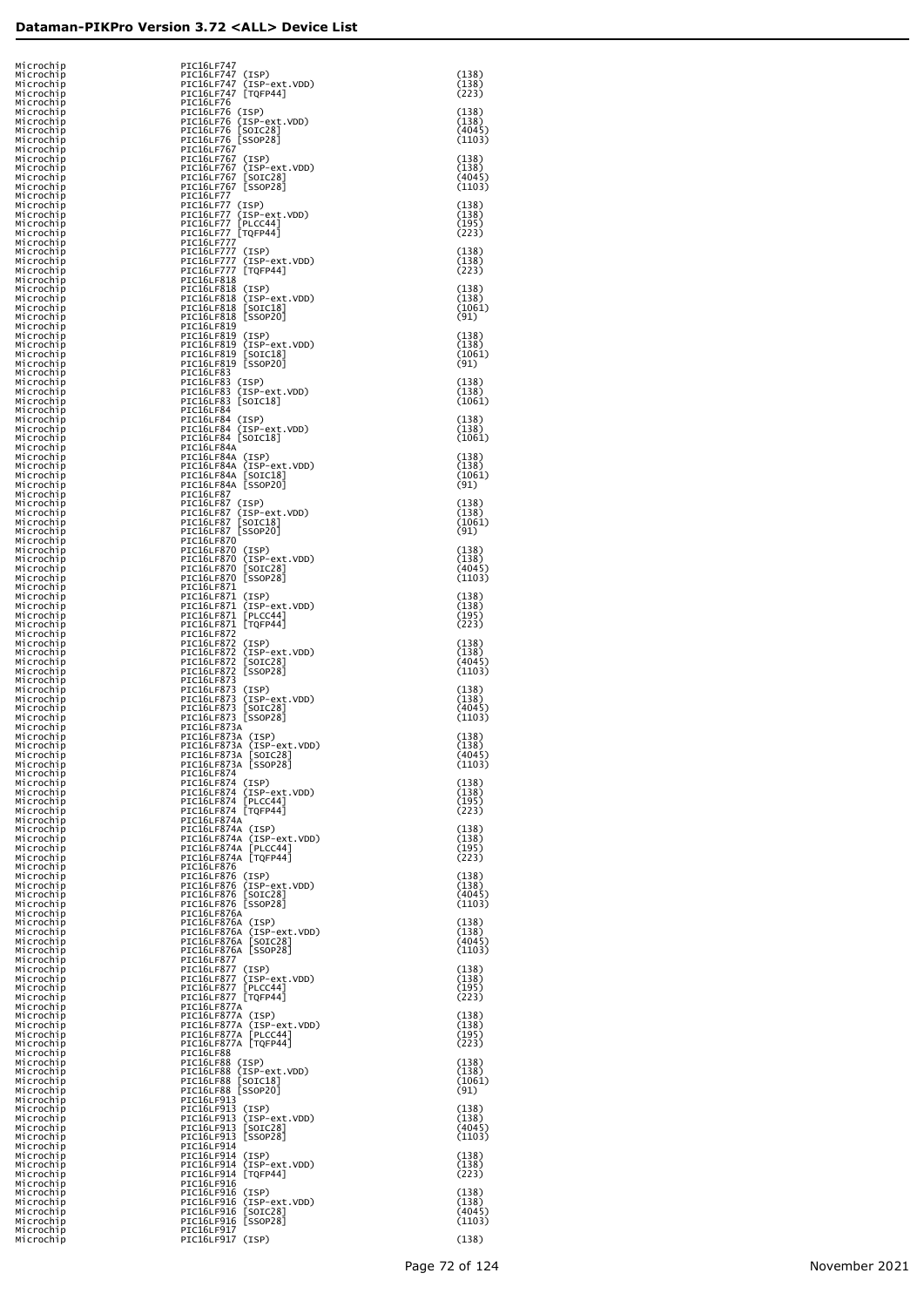| Microchip<br>Microchip<br>Microchip | PIC16LF747<br>PIC16LF747 (ISP)<br>PIC16LF747 (ISP-ext.VDD)                | (138)<br>(138)            |
|-------------------------------------|---------------------------------------------------------------------------|---------------------------|
| Microchip<br>Microchip              | PIC16LF747 [TQFP44]<br>PIC16LF76                                          | (223)                     |
| Microchip<br>Microchip<br>Microchip | PIC16LF76 (ISP)<br>PIC16LF76 (ISP-ext.VDD)<br>PIC16LF76 [SOIC28]          | (138)<br>(138)<br>(4045)  |
| Microchip<br>Microchip              | PIC16LF76 [SSOP28]<br>PIC16LF767                                          | (1103)                    |
| Microchip<br>Microchip<br>Microchip | PIC16LF767 (ISP)<br>PIC16LF767 (ISP-ext.VDD)<br>PIC16LF767 [SOIC28]       | (138)<br>(138)<br>(4045)  |
| Microchip<br>Microchip              | PIC16LF767 [SSOP28]<br>PIC16LF77                                          | (1103)                    |
| Microchip<br>Microchip<br>Microchip | PIC16LF77 (ISP)<br>PIC16LF77 (ISP-ext.VDD)<br>PIC16LF77 [PLCC44]          | (138)<br>(138)<br>(195)   |
| Microchip<br>Microchip<br>Microchip | PIC16LF77_[TQFP44]<br>PIC16LF777<br>PIC16LF777 (ISP)                      | (223)                     |
| Microchip<br>Microchip              | PIC16LF777 (ISP-ext.VDD)<br>PIC16LF777 [TQFP44]                           | (138)<br>(138)<br>(223)   |
| Microchip<br>Microchip<br>Microchip | PIC16LF818<br>PIC16LF818 (ISP)<br>PIC16LF818 (ISP-ext.VDD)                | (138)<br>(138)            |
| Microchip<br>Microchip              | PIC16LF818 [SOIC18]<br>PIC16LF818 [SSOP20]                                | (1061)<br>(91)            |
| Microchip<br>Microchip<br>Microchip | PIC16LF819<br>PIC16LF819 (ISP)<br>PIC16LF819 (ISP-ext.VDD)                | (138)<br>(138)            |
| Microchip<br>Microchip<br>Microchip | PIC16LF819 [SOIC18]<br>PIC16LF819 [SSOP20]<br>PIC16LF83                   | (1061)<br>(91)            |
| Microchip<br>Microchip<br>Microchip | PIC16LF83 (ISP)<br>PIC16LF83 (ISP-ext.VDD)                                | (138)<br>(138)            |
| Microchip<br>Microchip              | PIC16LF83 [SOIC18]<br>PIC16LF84<br>PIC16LF84 (ISP)                        | (1061)<br>(138)           |
| Microchip<br>Microchip<br>Microchip | PIC16LF84 (ISP-ext.VDD)<br>PIC16LF84 [SOIC18]<br>PIC16LF84A               | (138)<br>(1061)           |
| Microchip<br>Microchip<br>Microchip | PIC16LF84A (ISP)<br>PIC16LF84A (ISP-ext.VDD)<br>PIC16LF84A [SOIC18]       | (138)<br>(138)            |
| Microchip<br>Microchip              | PIC16LF84A [SSOP20]<br>PIC16LF87                                          | (1061)<br>(91)            |
| Microchip<br>Microchip<br>Microchip | PIC16LF87 (ISP)<br>PIC16LF87 (ISP-ext.VDD)<br>PIC16LF87 [SOIC18]          | (138)<br>(138)<br>(1061)  |
| Microchip<br>Microchip<br>Microchip | PIC16LF87 [SSOP20]<br>PIC16LF870<br>PIC16LF870 (ISP)                      | (91)<br>(138)             |
| Microchip<br>Microchip              | PIC16LF870 (ISP-ext.VDD)<br>PIC16LF870 [SOIC28]                           | (138)<br>(4045)           |
| Microchip<br>Microchip<br>Microchip | PIC16LF870 [SSOP28]<br>PIC16LF871<br>PIC16LF871 (ISP)                     | (1103)<br>(138)           |
| Microchip<br>Microchip<br>Microchip | PIC16LF871 (ISP-ext.VDD)<br>PIC16LF871 [PLCC44]<br>PIC16LF871 [TQFP44]    | (138)<br>(195)<br>(223)   |
| Microchip<br>Microchip              | PIC16LF872<br>PIC16LF872 (ISP)                                            | (138)                     |
| Microchip<br>Microchip<br>Microchip | PIC16LF872 (ISP-ext.VDD)<br>PIC16LF872 [SOIC28]<br>PIC16LF872 [SSOP28]    | (138)<br>(4045)<br>(1103) |
| Microchip<br>Microchip<br>Microchip | PIC16LF873<br>PIC16LF873 (ISP)<br>PIC16LF873 (ISP-ext.VDD)                | (138)<br>(138)            |
| Microchip<br>Microchip              | PIC16LF873 [SOIC28]<br>PIC16LF873 [SSOP28]                                | (4045)<br>(1103)          |
| Microchip<br>Microchip<br>Microchip | PIC16LF873A<br>PIC16LF873A (ISP)<br>PIC16LF873A (ISP-ext.VDD)             | (138)<br>(138)            |
| Microchin<br>Microchip<br>Microchip | PIC16LF873A [SOIC28]<br>PIC16LF873A [SSOP28]<br>PIC16LF874                | (4045)<br>(1103)          |
| Microchip<br>Microchip              | PIC16LF874 (ISP)<br>PIC16LF874 (ISP-ext.VDD)                              | (138)<br>(138)            |
| Microchip<br>Microchip<br>Microchip | PIC16LF874 [PLCC44]<br>PIC16LF874 [TQFP44]<br>PIC16LF874A                 | (195)<br>(223)            |
| Microchip<br>Microchip<br>Microchip | PIC16LF874A (ISP)<br>PIC16LF874A (ISP-ext.VDD)<br>PIC16LF874A [PLCC44]    | (138)<br>(138)<br>(195)   |
| Microchip<br>Microchip              | PIC16LF874A [TQFP44]<br>PIC16LF876                                        | (223)                     |
| Microchip<br>Microchip<br>Microchip | PIC16LF876 (ISP)<br>PIC16LF876 (ISP-ext.VDD)<br>PIC16LF876 [SOIC28]       | (138)<br>(138)<br>(4045)  |
| Microchip<br>Microchip<br>Microchip | PIC16LF876 [SSOP28]<br>PIC16LF876A<br>PIC16LF876A (ISP)                   | (1103)<br>(138)           |
| Microchip<br>Microchip<br>Microchip | PIC16LF876A (ISP-ext.VDD)<br>PIC16LF876A [SOIC28]<br>PIC16LF876A [SSOP28] | (138)<br>(4045)<br>(1103) |
| Microchip<br>Microchip              | PIC16LF877<br>PIC16LF877 (ISP)                                            | (138)                     |
| Microchip<br>Microchip<br>Microchip | PIC16LF877 (ISP-ext.VDD)<br>PIC16LF877 [PLCC44]<br>PIC16LF877 [TQFP44]    | (138)<br>(195)<br>(223)   |
| Microchip<br>Microchip<br>Microchip | PIC16LF877A<br>PIC16LF877A (ISP)<br>PIC16LF877A (ISP-ext.VDD)             | (138)<br>(138)            |
| Microchip<br>Microchip              | PIC16LF877A [PLCC44]<br>PIC16LF877A [TQFP44]                              | (195)<br>(223)            |
| Microchip<br>Microchip<br>Microchip | PIC16LF88<br>PIC16LF88 (ISP)<br>PIC16LF88 (ISP-ext.VDD)                   | (138)<br>(138)            |
| Microchip<br>Microchip<br>Microchip | PIC16LF88 [SOIC18]<br>PIC16LF88 [SSOP20]<br>PIC16LF913                    | (1061)<br>(91)            |
| Microchip<br>Microchip              | PIC16LF913 (ISP)<br>PIC16LF913 (ISP-ext.VDD)                              | (138)<br>(138)            |
| Microchip<br>Microchip<br>Microchip | PIC16LF913 [SOIC28]<br>PIC16LF913 [SSOP28]<br>PIC16LF914                  | (4045)<br>(1103)          |
| Microchip<br>Microchip<br>Microchip | PIC16LF914 (ISP)<br>PIC16LF914 (ISP-ext.VDD)<br>PIC16LF914 [TQFP44]       | (138)<br>(138)<br>(223)   |
| Microchip<br>Microchip<br>Microchip | PIC16LF916<br>PIC16LF916 (ISP)<br>PIC16LF916 (ISP-ext.VDD)                | (138)<br>(138)            |
| Microchip<br>Microchip              | PIC16LF916 [SOIC28]<br>PIC16LF916 [SSOP28]                                | (4045)<br>(1103)          |
| Microchip<br>Microchip              | PIC16LF917<br>PIC16LF917 (ISP)                                            | (138)                     |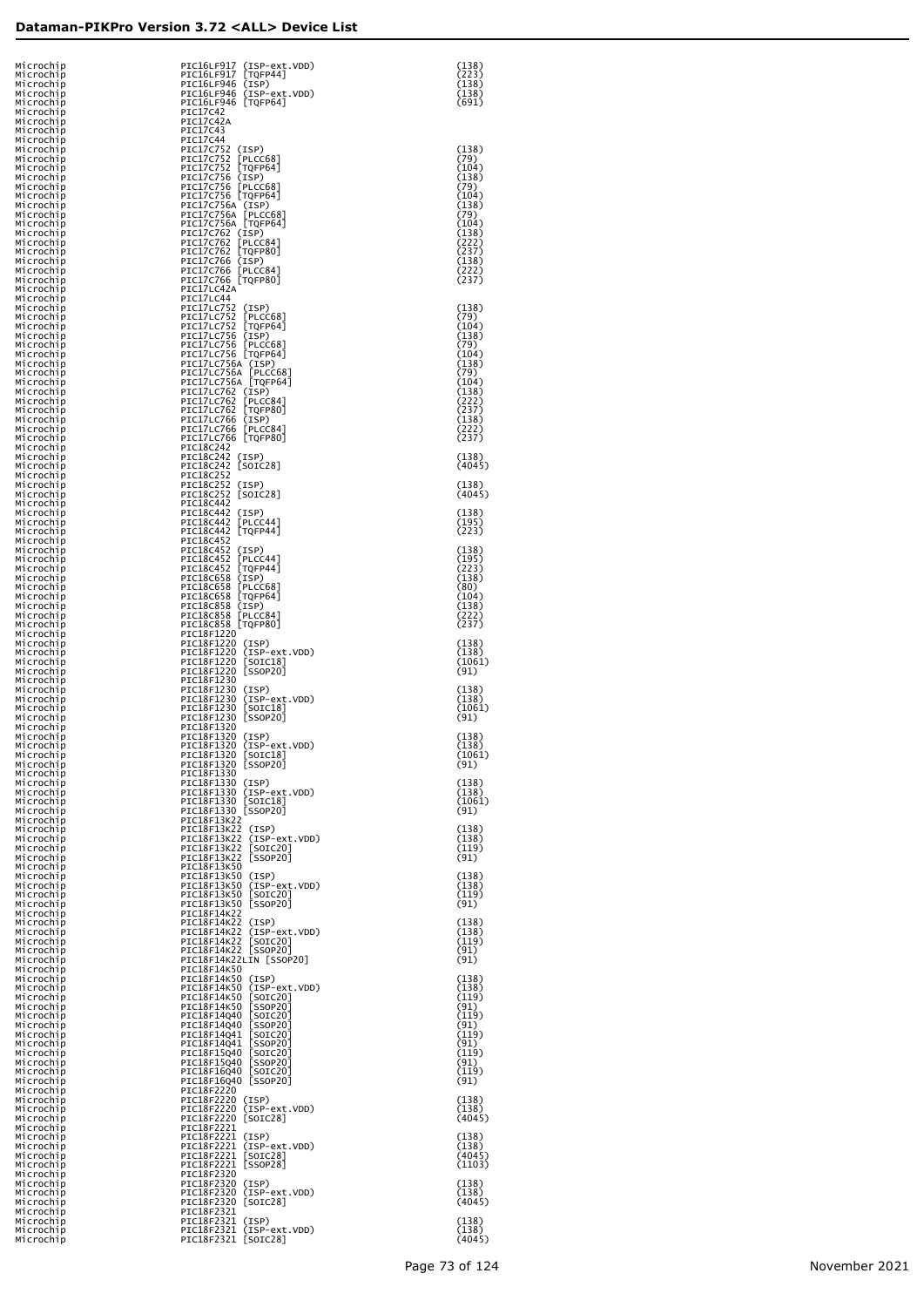| Microchip<br>Microchip | PIC16LF917 (ISP-ext.VDD)<br>PIC16LF917 [TQFP44]                     | (138)<br>(223)  |
|------------------------|---------------------------------------------------------------------|-----------------|
| Microchip              | PIC16LF946 (ISP)                                                    | (138)           |
| Microchip              | PIC16LF946 (ISP-ext.VDD)                                            | (138)           |
| Microchip              | PIC16LF946 [TQFP64]                                                 | (691)           |
| Microchip<br>Microchip | PIC17C42<br>PIC17C42A                                               |                 |
| Microchip              | PIC17C43                                                            |                 |
| Microchip              | <b>PIC17C44</b>                                                     |                 |
| Microchip<br>Microchip | PIC17C752 (ISP)<br>PIC17C752 [PLCC68]                               | (138)<br>(79)   |
| Microchip              | PIC17C752 [TQFP64]                                                  | (104)           |
| Microchip              | PIC17C756 (ISP)                                                     | (138)           |
| Microchip              | PIC17C756 [PLCC68]                                                  | (79)            |
| Microchip<br>Microchip | PIC17C756 [TQFP64]<br>PIC17C756A (ISP)                              | (104)<br>(138)  |
| Microchip              | PIC17C756A [PLCC68]                                                 | (79)            |
| Microchip              | PIC17C756A [TQFP64]                                                 | (104)           |
| Microchip<br>Microchip | PIC17C762 (ISP)<br>PIC17C762 [PLCC84]                               | (138)<br>(222)  |
| Microchip              | PIC17C762 [TQFP80]                                                  | (237)           |
| Microchip              | PIC17C766 (ISP)                                                     | (138)           |
| Microchip              | PIC17C766 [PLCC84]                                                  | (222)           |
| Microchip<br>Microchip | PIC17C766 [TQFP80]<br>PIC17LC42A                                    | (237)           |
| Microchip              | PIC17LC44                                                           |                 |
| Microchip              | PIC17LC752 (ISP)                                                    | (138)           |
| Microchip<br>Microchip | PIC17LC752 [PLCC68]<br>PIC17LC752 [TQFP64]                          | (79)<br>(104)   |
| Microchip              | PIC17LC756 (ISP)                                                    | (138)           |
| Microchip              | PIC17LC756 [PLCC68]                                                 | (79)            |
| Microchip<br>Microchip | PIC17LC756 [TQFP64]<br>PIC17LC756A (ISP)                            | (104)<br>(138)  |
| Microchip              | PIC17LC756A [PLCC68]                                                | (79)            |
| Microchip              | PIC17LC756A [TQFP64]                                                | (104)           |
| Microchip<br>Microchip | PIC17LC762 (ISP)<br>PIC17LC762 [PLCC84]                             | (138)<br>(222)  |
| Microchip              | PIC17LC762 [TQFP80]                                                 | (237)           |
| Microchip              | PIC17LC766 (ISP)                                                    | (138)           |
| Microchip              | PIC17LC766 [PLCC84]                                                 | (222)           |
| Microchip<br>Microchip | PIC17LC766 [TQFP80]<br>PIC18C242                                    | (237)           |
| Microchip              | PIC18C242 (ISP)                                                     | (138)           |
| Microchip              | PIC18C242 [SOIC28]                                                  | (4045)          |
| Microchip<br>Microchip | PIC18C252<br>PIC18C252 (ISP)                                        | (138)           |
| Microchip              | PIC18C252 [SOIC28]                                                  | (4045)          |
| Microchip              | PIC18C442                                                           |                 |
| Microchip              | PIC18C442 (ISP)                                                     | (138)           |
| Microchip<br>Microchip | PIC18C442 [PLCC44]<br>PIC18C442 [TQFP44]                            | (195)<br>(223)  |
| Microchip              | PIC18C452                                                           |                 |
| Microchip              | PIC18C452 (ISP)                                                     | (138)           |
| Microchip<br>Microchip | PIC18C452 [PLCC44]<br>PIC18C452 [TQFP44]                            | (195)<br>(223)  |
| Microchip              | PIC18C658 (ISP)                                                     | (138)           |
| Microchip              | PIC18C658 [PLCC68]                                                  | (80)            |
| Microchip<br>Microchip | PIC18C658 [TQFP64]<br>PIC18C858 (ISP)                               | (104)<br>(138)  |
| Microchip              | PIC18C858<br>[LPLCC84]                                              | (222)           |
| Microchip              | PIC18C858 [TQFP80]                                                  | (237)           |
| Microchip              | PIC18F1220<br>PIC18F1220 (ISP)                                      |                 |
| Microchip<br>Microchip | PIC18F1220 (ISP-ext.VDD)                                            | (138)<br>(138)  |
| Microchip              | PIC18F1220 [SOIC18]                                                 | (1061)          |
| Microchip              | PIC18F1220 [SSOP20]<br>PIC18F1230                                   | (91)            |
| Microchip<br>Microchip | PIC18F1230 (ISP)                                                    | (138)           |
| Microchip              | PIC18F1230 (ISP-ext.VDD)                                            | (138)           |
| Microchip              | PIC18F1230 [SOIC18]                                                 | (1061)          |
| Microchip<br>Microchip | PIC18F1230 [SSOP20]<br>PIC18F1320                                   | (91)            |
| Microchip              | PIC18F1320 (ISP)                                                    | (138)           |
| Microchip              | PIC18F1320 (ISP-ext.VDD)                                            | (138)           |
| Microchip<br>Microchip | PIC18F1320<br>[SOIC18]<br>PIC18F1320 [SSOP20]                       | 1061)<br>(91)   |
| Microchip              | PIC18F1330                                                          |                 |
| Microchip              | PIC18F1330 (ISP)                                                    | (138)           |
| Microchip              | PIC18F1330 (ISP-ext.VDD)<br>PIC18F1330 [SOIC18]                     | (138)<br>(1061) |
| Microchip<br>Microchip | PIC18F1330 [SSOP20]                                                 | (91)            |
| Microchip              | PIC18F13K22                                                         |                 |
| Microchip              | PIC18F13K22 (ISP)<br>PIC18F13K22 (ISP-ext.VDD)                      | (138)           |
| Microchip<br>Microchip | PIC18F13K22 [SOIC20]                                                | (138)<br>(119)  |
| Microchip              | PIC18F13K22 [SSOP20]                                                | (91)            |
| Microchip              | PIC18F13K50<br>PIC18F13K50 (ISP)                                    |                 |
| Microchip<br>Microchip | PIC18F13K50 (ISP-ext.VDD)                                           | (138)<br>(138)  |
| Microchip              | PIC18F13K50 [SOIC20]                                                | (119)           |
| Microchip              | PIC18F13K50 [SSOP20]                                                | (91)            |
| Microchip<br>Microchip | PIC18F14K22<br>PIC18F14K22 (ISP)                                    | (138)           |
| Microchip              | PIC18F14K22 (ISP-ext.VDD)                                           | (138)           |
| Microchip              | PIC18F14K22 [SOIC20]                                                | (119)           |
| Microchip<br>Microchip | PIC18F14K22 [SSOP20]<br>PIC18F14K22LIN [SSOP20]                     | (91)<br>(91)    |
| Microchip              | PIC18F14K50                                                         |                 |
| Microchip              | PIC18F14K50 (ISP)                                                   | (138)           |
| Microchip<br>Microchip | PIC18F14K50 (ISP-ext.VDD)<br>PIC18F14K50 [SOIC20]                   | (138)<br>(119)  |
| Microchip              | PIC18F14K50<br>[SSOP20]                                             | (91)            |
| Microchip              | PIC18F14Q40<br>$\lfloor$ SOIC20                                     | (119)           |
| Microchip<br>Microchip | PIC18F14Q40<br>$\lfloor$ SSOP20<br>PIC18F14Q41<br>$\lfloor$ SOIC20] | (91)<br>(119)   |
| Microchip              | PIC18F14Q41<br>[SSOP20]                                             | (91)            |
| Microchip              | PIC18F15Q40<br>$\lfloor$ SOIC20]                                    | (119)           |
| Microchip<br>Microchip | PIC18F15Q40<br>[SSOP20]<br>PIC18F16Q40<br>$\lfloor$ SOIC20          | (91)<br>(119)   |
| Microchip              | PIC18F16Q40 [SSOP20]                                                | (91)            |
| Microchip              | PIC18F2220                                                          |                 |
| Microchip              | PIC18F2220 (ISP)<br>PIC18F2220 (ISP-ext.VDD)                        | (138)<br>(138)  |
| Microchip<br>Microchip | PIC18F2220 [SOIC28]                                                 | (4045)          |
| Microchip              | PIC18F2221                                                          |                 |
| Microchip              | PIC18F2221 (ISP)<br>PIC18F2221 (ISP-ext.VDD)                        | (138)<br>(138)  |
| Microchip<br>Microchip | PIC18F2221 [SOIC28]                                                 | (4045)          |
| Microchip              | PIC18F2221 [SSOP28]                                                 | (1103)          |
| Microchip              | PIC18F2320                                                          |                 |
| Microchip<br>Microchip | PIC18F2320 (ISP)<br>PIC18F2320 (ISP-ext.VDD)                        | (138)<br>(138)  |
| Microchip              | PIC18F2320 [SOIC28]                                                 | (4045)          |
| Microchip              | PIC18F2321                                                          |                 |
| Microchip<br>Microchip | PIC18F2321 (ISP)<br>PIC18F2321 (ISP-ext.VDD)                        | (138)<br>(138)  |
| Microchip              | PIC18F2321 [SOIC28]                                                 | (4045)          |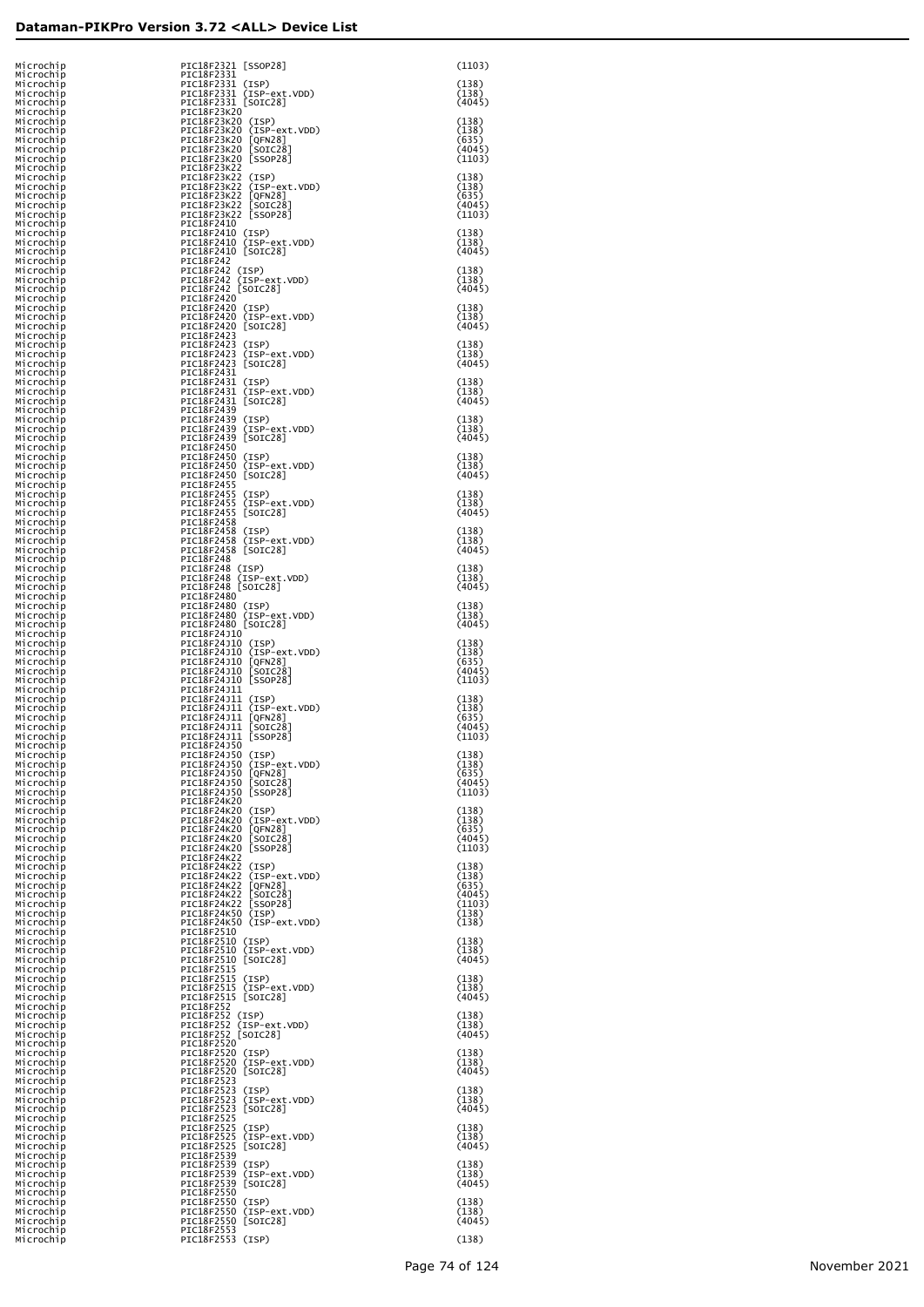| Microchip              | PIC18F2321 [SSOP28]                                                | (1103)           |
|------------------------|--------------------------------------------------------------------|------------------|
| Microchip<br>Microchip | PIC18F2331<br>PIC18F2331 (ISP)                                     | (138)            |
| Microchip<br>Microchip | PIC18F2331 (ISP-ext.VDD)<br>PIC18F2331 [SOIC28]                    | (138)<br>(4045)  |
| Microchip<br>Microchip | PIC18F23K20<br>PIC18F23K20 (ISP)                                   | (138)            |
| Microchip<br>Microchip | PIC18F23K20 (ISP-ext.VDD)<br>PIC18F23K20 [QFN28]                   | (138)<br>(635)   |
| Microchip              | PIC18F23K20 [SOIC28]                                               | (4045)           |
| Microchip<br>Microchip | PIC18F23K20 [SSOP28]<br>PIC18F23K22                                | (1103)           |
| Microchip<br>Microchip | PIC18F23K22 (ISP)<br>PIC18F23K22 (ISP-ext.VDD)                     | (138)<br>(138)   |
| Microchip<br>Microchip | PIC18F23K22 [QFN28]<br>PIC18F23K22 [SOIC28]                        | (635)<br>(4045)  |
| Microchip<br>Microchip | PIC18F23K22 [SSOP28]<br>PIC18F2410                                 | (1103)           |
| Microchip<br>Microchip | PIC18F2410 (ISP)<br>PIC18F2410 (ISP-ext.VDD)                       | (138)<br>(138)   |
| Microchip<br>Microchip | PIC18F2410 [SOIC28]<br>PIC18F242                                   | (4045)           |
| Microchip<br>Microchip | PIC18F242 (ISP)<br>PIC18F242 (ISP-ext.VDD)                         | (138)<br>(138)   |
| Microchip              | PIC18F242 [SOIC28]<br>PIC18F2420                                   | (4045)           |
| Microchip<br>Microchip | PIC18F2420 (ISP)                                                   | (138)            |
| Microchip<br>Microchip | PIC18F2420 (ISP-ext.VDD)<br>PIC18F2420 [SOIC28]                    | (138)<br>(4045)  |
| Microchip<br>Microchip | PIC18F2423<br>PIC18F2423<br>(ISP)                                  | (138)            |
| Microchip<br>Microchip | PIC18F2423<br>(ISP-ext.VDD)<br>PIC18F2423<br>[SOIC28]              | (138)<br>(4045)  |
| Microchip<br>Microchip | PIC18F2431<br>PIC18F2431 (ISP)                                     | (138)            |
| Microchip<br>Microchip | PIC18F2431 (ISP-ext.VDD)<br>PIC18F2431 [SOIC28]                    | (138)<br>(4045)  |
| Microchip<br>Microchip | PIC18F2439<br>PIC18F2439<br>(ISP)                                  | (138)            |
| Microchip<br>Microchip | PIC18F2439 (ISP-ext.VDD)<br>PIC18F2439<br>[SOIC28]                 | (138)<br>(4045)  |
| Microchip<br>Microchip | PIC18F2450<br>PIC18F2450 (ISP)                                     | (138)            |
| Microchip<br>Microchip | PIC18F2450 (ISP-ext.VDD)<br>PIC18F2450 [SOIC28]                    | (138)<br>(4045)  |
| Microchip<br>Microchip | PIC18F2455<br>PIC18F2455<br>(ISP)                                  | (138)            |
| Microchip              | PIC18F2455<br>(ISP-ext.VDD)<br>PIC18F2455<br>[SOIC28]              | (138)<br>(4045)  |
| Microchip<br>Microchip | PIC18F2458                                                         |                  |
| Microchip<br>Microchip | PIC18F2458 (ISP)<br>PIC18F2458 (ISP-ext.VDD)                       | (138)<br>(138)   |
| Microchip<br>Microchip | PIC18F2458 [SOIC28]<br>PIC18F248                                   | (4045)           |
| Microchip<br>Microchip | PIC18F248 (ISP)<br>PIC18F248 (ISP-ext.VDD)                         | (138)<br>(138)   |
| Microchip<br>Microchip | PIC18F248 [SOIC28]<br>PIC18F2480                                   | (4045)           |
| Microchip<br>Microchip | PIC18F2480 (ISP)<br>PIC18F2480 (ISP-ext.VDD)                       | (138)<br>(138)   |
| Microchip<br>Microchip | PIC18F2480 [SOIC28]<br>PIC18F24J10                                 | (4045)           |
| Microchip<br>Microchip | PIC18F24J10 (ISP)<br>PIC18F24J10 (ISP-ext.VDD)                     | (138)<br>(138)   |
| Microchip<br>Microchip | PIC18F24J10 [QFN28]<br>PIC18F24J10 [SOIC28]                        | (635)<br>(4045)  |
| Microchip<br>Microchip | PIC18F24J10 [SSOP28]<br>PIC18F24J11                                | (1103)           |
| Microchip<br>Microchip | PIC18F24J11 (ISP)<br>PIC18F24J11 (ISP-ext.VDD)                     | (138)<br>(138)   |
| Microchip<br>Microchip | PIC18F24J11<br>[QFN28]<br>[SOIC28]<br>PIC18F24J11                  | (635)<br>(4045)  |
| Microchip              | PIC18F24J11 [SSOP28]<br>PIC18F24J50                                | (1103)           |
| Microchip<br>Microchip | PIC18F24J50<br>(ISP)                                               | (138)            |
| Microchip<br>Microchip | PIC18F24J50<br>(ISP-ext.VDD)<br>PIC18F24J50<br>[QFN28]<br>[SOIC28] | (138)<br>(635)   |
| Microchip<br>Microchip | PIC18F24J50<br>PIC18F24J50 [SSOP28]                                | (4045)<br>(1103) |
| Microchip<br>Microchip | PIC18F24K20<br>PIC18F24K20 (ISP)                                   | (138)            |
| Microchip<br>Microchip | PIC18F24K20 (ISP-ext.VDD)<br>PIC18F24K20<br>[QFN28]<br>[SOIC28]    | (138)<br>(635)   |
| Microchip<br>Microchip | PIC18F24K20<br>PIC18F24K20 [SSOP28]                                | (4045)<br>(1103) |
| Microchip<br>Microchip | PIC18F24K22<br>PIC18F24K22 (ISP)                                   | (138)            |
| Microchip<br>Microchip | PIC18F24K22 (ISP-ext.VDD)<br>PIC18F24K22<br>[QFN28]                | (138)<br>(635)   |
| Microchip<br>Microchip | [SOIC28]<br>PIC18F24K22<br>[SSOP28]<br>PIC18F24K22                 | (4045)<br>(1103) |
| Microchip<br>Microchip | PIC18F24K50 (ISP)<br>PIC18F24K50 (ISP-ext.VDD)                     | (138)<br>(138)   |
| Microchip<br>Microchip | PIC18F2510<br>PIC18F2510 (ISP)                                     | (138)            |
| Microchip<br>Microchip | PIC18F2510 (ISP-ext.VDD)<br>PIC18F2510 [SOIC28]                    | (138)<br>(4045)  |
| Microchip<br>Microchip | PIC18F2515<br>PIC18F2515 (ISP)                                     | (138)            |
| Microchip<br>Microchip | PIC18F2515 (ISP-ext.VDD)<br>PIC18F2515 [SOIC28]                    | (138)<br>(4045)  |
| Microchip<br>Microchip | PIC18F252<br>PIC18F252 (ISP)                                       | (138)            |
| Microchip<br>Microchip | PIC18F252 (ISP-ext.VDD)<br>PIC18F252 [SOIC28]                      | (138)<br>(4045)  |
| Microchip              | PIC18F2520<br>PIC18F2520 (ISP)                                     | (138)            |
| Microchip<br>Microchip | PIC18F2520 (ISP-ext.VDD)<br>PIC18F2520 [SOIC28]                    | (138)            |
| Microchip<br>Microchip | PIC18F2523                                                         | (4045)           |
| Microchip<br>Microchip | PIC18F2523 (ISP)<br>PIC18F2523<br>(ISP-ext.VDD)                    | (138)<br>(138)   |
| Microchip<br>Microchip | PIC18F2523<br>[SOIC28]<br>PIC18F2525                               | (4045)           |
| Microchip<br>Microchip | PIC18F2525<br>(ISP)<br>PIC18F2525<br>(ISP-ext.VDD)                 | (138)<br>(138)   |
| Microchip<br>Microchip | PIC18F2525<br>[SOIC28]<br>PIC18F2539                               | (4045)           |
| Microchip<br>Microchip | PIC18F2539 (ISP)<br>PIC18F2539<br>(ISP-ext.VDD)                    | (138)<br>(138)   |
| Microchip<br>Microchip | PIC18F2539<br>[SOIC28]<br>PIC18F2550                               | (4045)           |
| Microchip<br>Microchip | PIC18F2550 (ISP)<br>PIC18F2550 (ISP-ext.VDD)                       | (138)<br>(138)   |
| Microchip<br>Microchip | PIC18F2550 [SOIC28]<br>PIC18F2553                                  | (4045)           |
| Microchip              | PIC18F2553 (ISP)                                                   | (138)            |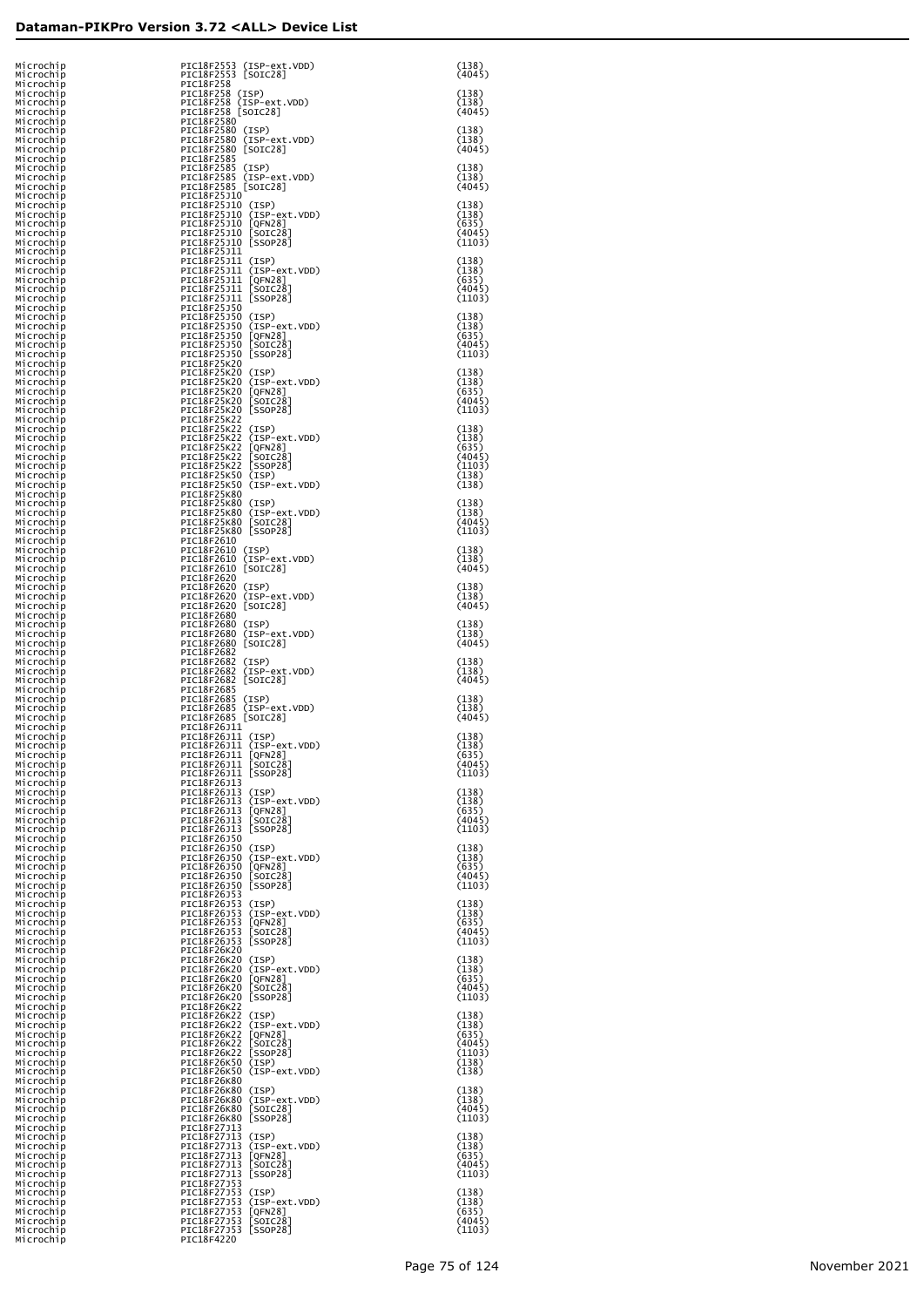| Microchip<br>Microchip              | PIC18F2553 (ISP-ext.VDD)<br>PIC18F2553 [SOIC28]                                | (138)<br>(4045)           |
|-------------------------------------|--------------------------------------------------------------------------------|---------------------------|
| Microchip<br>Microchip<br>Microchip | PIC18F258<br>PIC18F258 (ISP)<br>PIC18F258 (ISP-ext.VDD)                        | (138)<br>(138)            |
| Microchip<br>Microchip              | PIC18F258 [SOIC28]<br>PIC18F2580                                               | (4045)                    |
| Microchip<br>Microchip<br>Microchip | PIC18F2580 (ISP)<br>PIC18F2580 (ISP-ext.VDD)<br>PIC18F2580 [SOIC28]            | (138)<br>(138)<br>(4045)  |
| Microchip<br>Microchip              | PIC18F2585<br>PIC18F2585<br>(ISP)                                              | (138)                     |
| Microchip<br>Microchip<br>Microchip | PIC18F2585 (ISP-ext.VDD)<br>PIC18F2585 [SOIC28]<br>PIC18F25J10                 | (138)<br>(4045)           |
| Microchip<br>Microchip              | PIC18F25J10 (ISP)<br>PIC18F25J10 (ISP-ext.VDD)                                 | (138)<br>(138)            |
| Microchip<br>Microchip<br>Microchip | PIC18F25J10 [QFN28]<br>PIC18F25J10 [SOIC28]<br>PIC18F25J10 [SSOP28]            | (635)<br>(4045)<br>(1103) |
| Microchip<br>Microchip              | PIC18F25J11<br>PIC18F25J11 (ISP)<br>PIC18F25J11 (ISP-ext.VDD)                  | (138)                     |
| Microchip<br>Microchip<br>Microchip | PIC18F25J11 [QFN28]<br>PIC18F25J11 [SOIC28]                                    | (138)<br>(635)<br>(4045)  |
| Microchip<br>Microchip<br>Microchip | PIC18F25J11 [SSOP28]<br>PIC18F25J50<br>PIC18F25J50 (ISP)                       | (1103)<br>(138)           |
| Microchip<br>Microchip              | PIC18F25J50 (ISP-ext.VDD)<br>PIC18F25J50 [QFN28]                               | (138)<br>(635)            |
| Microchip<br>Microchip<br>Microchip | PIC18F25J50 [SOIC28]<br>PIC18F25J50 [SSOP28]<br>PIC18F25K20                    | (4045)<br>(1103)          |
| Microchip<br>Microchip              | PIC18F25K20 (ISP)<br>PIC18F25K20 (ISP-ext.VDD)                                 | (138)<br>(138)            |
| Microchip<br>Microchip<br>Microchip | PIC18F25K20 [QFN28]<br>PIC18F25K20 [SOIC28]<br>PIC18F25K20 [SSOP28]            | (635)<br>(4045)<br>(1103) |
| Microchip<br>Microchip              | PIC18F25K22<br>PIC18F25K22 (ISP)                                               | (138)                     |
| Microchip<br>Microchip<br>Microchip | PIC18F25K22 (ISP-ext.VDD)<br>PIC18F25K22 [QFN28]<br>PIC18F25K22 [SOIC28]       | (138)<br>(635)<br>(4045)  |
| Microchip<br>Microchip              | PIC18F25K22 [SSOP28]<br>PIC18F25K50 (ISP)                                      | (1103)<br>(138)           |
| Microchip<br>Microchip<br>Microchip | PIC18F25K50 (ISP-ext.VDD)<br>PIC18F25K80<br>PIC18F25K80 (ISP)                  | (138)<br>(138)            |
| Microchip<br>Microchip              | PIC18F25K80 (ISP-ext.VDD)<br>PIC18F25K80 [SOIC28]                              | (138)<br>(4045)           |
| Microchip<br>Microchip<br>Microchip | PIC18F25K80 [SSOP28]<br>PIC18F2610<br>PIC18F2610 (ISP)                         | (1103)<br>(138)           |
| Microchip<br>Microchip              | PIC18F2610 (ISP-ext.VDD)<br>PIC18F2610 [SOIC28]                                | (138)<br>(4045)           |
| Microchip<br>Microchip<br>Microchip | PIC18F2620<br>PIC18F2620 (ISP)<br>PIC18F2620 (ISP-ext.VDD)                     | (138)<br>(138)            |
| Microchip<br>Microchip              | PIC18F2620 [SOIC28]<br>PIC18F2680                                              | (4045)                    |
| Microchip<br>Microchip<br>Microchip | PIC18F2680 (ISP)<br>PIC18F2680 (ISP-ext.VDD)<br>PIC18F2680 [SOIC28]            | (138)<br>(138)<br>(4045)  |
| Microchip<br>Microchip              | PIC18F2682<br>PIC18F2682<br>(ISP)                                              | (138)                     |
| Microchip<br>Microchip<br>Microchip | PIC18F2682<br>(ISP-ext.VDD)<br>PIC18F2682<br>[SOIC28]<br>PIC18F2685            | (138)<br>(4045)           |
| Microchip<br>Microchip<br>Microchip | PIC18F2685 (ISP)<br>PIC18F2685 (ISP-ext.VDD)                                   | (138)<br>(138)            |
| Microchip<br>Microchip              | PIC18F2685 [SOIC28]<br>PIC18F26J11<br>PIC18F26J11 (ISP)                        | (4045)<br>(138)           |
| Microchip<br>Microchip<br>Microchip | PIC18F26J11 (ISP-ext.VDD)<br>PIC18F26J11 [OFN28]<br>PIC18F26J11 [SOIC28]       | (138)<br>(635)<br>(4045)  |
| Microchip<br>Microchip              | PIC18F26J11 [SSOP28]<br>PIC18F26J13                                            | (1103)                    |
| Microchip<br>Microchip<br>Microchip | PIC18F26J13 (ISP)<br>PIC18F26J13 (ISP-ext.VDD)<br>PIC18F26J13 [QFN28]          | (138)<br>(138)<br>(635)   |
| Microchip<br>Microchip              | PIC18F26J13<br>[SOIC28]<br>PIC18F26J13 [SSOP28]                                | (4045)<br>(1103)          |
| Microchip<br>Microchip<br>Microchip | PIC18F26J50<br>PIC18F26J50 (ISP)<br>PIC18F26J50 (ISP-ext.VDD)                  | (138)<br>(138)            |
| Microchip<br>Microchip              | PIC18F26J50 [QFN28]<br>PIC18F26J50<br>$[SOIC28]$                               | (635)<br>(4045)           |
| Microchip<br>Microchip<br>Microchip | PIC18F26J50 [SSOP28]<br>PIC18F26J53<br>PIC18F26J53 (ISP)                       | (1103)<br>(138)           |
| Microchip<br>Microchip              | PIC18F26J53 (ISP-ext.VDD)<br>PIC18F26J53<br>[QFN28]                            | (138)<br>(635)<br>(4045)  |
| Microchip<br>Microchip<br>Microchip | PIC18F26J53<br>[SOIC28]<br>PIC18F26J53 [SSOP28]<br>PIC18F26K20                 | (1103)                    |
| Microchip<br>Microchip<br>Microchip | PIC18F26K20 (ISP)<br>PIC18F26K20 (ISP-ext.VDD)                                 | (138)<br>(138)<br>(635)   |
| Microchip<br>Microchip              | PIC18F26K20 [QFN28]<br>PIC18F26K20 [SOIC28]<br>PIC18F26K20 [SSOP28]            | (4045)<br>(1103)          |
| Microchip<br>Microchip<br>Microchip | PIC18F26K22<br>PIC18F26K22 (ISP)<br>PIC18F26K22 (ISP-ext.VDD)                  | (138)<br>(138)            |
| Microchip<br>Microchip              | PIC18F26K22<br>[QFN28]<br>PIC18F26K22<br>[SOIC28]                              | (635)<br>(4045)           |
| Microchip<br>Microchip<br>Microchip | PIC18F26K22 [SSOP28]<br>PIC18F26K50 (ISP)<br>PIC18F26K50 (ISP-ext.VDD)         | (1103)<br>(138)<br>(138)  |
| Microchip<br>Microchip              | PIC18F26K80<br>PIC18F26K80 (ISP)                                               | (138)                     |
| Microchip<br>Microchip<br>Microchip | PIC18F26K80 (ISP-ext.VDD)<br>PIC18F26K80 [SOIC28]<br>PIC18F26K80 [SSOP28]      | (138)<br>(4045)<br>(1103) |
| Microchip<br>Microchip              | PIC18F27J13<br>PIC18F27J13 (ISP)                                               | (138)                     |
| Microchip<br>Microchip<br>Microchip | PIC18F27J13 (ISP-ext.VDD)<br>PIC18F27J13<br>[QFN28]<br>PIC18F27J13<br>[SOIC28] | (138)<br>(635)<br>(4045)  |
| Microchip<br>Microchip              | PIC18F27J13 [SSOP28]<br>PIC18F27J53                                            | (1103)                    |
| Microchip<br>Microchip<br>Microchip | PIC18F27J53 (ISP)<br>PIC18F27J53<br>(ISP-ext.VDD)<br>PIC18F27J53<br>[QFN28]    | (138)<br>(138)<br>(635)   |
| Microchip<br>Microchip<br>Microchip | PIC18F27J53<br>[SOIC28]<br>PIC18F27J53 [SSOP28]<br>PIC18F4220                  | (4045)<br>(1103)          |
|                                     |                                                                                |                           |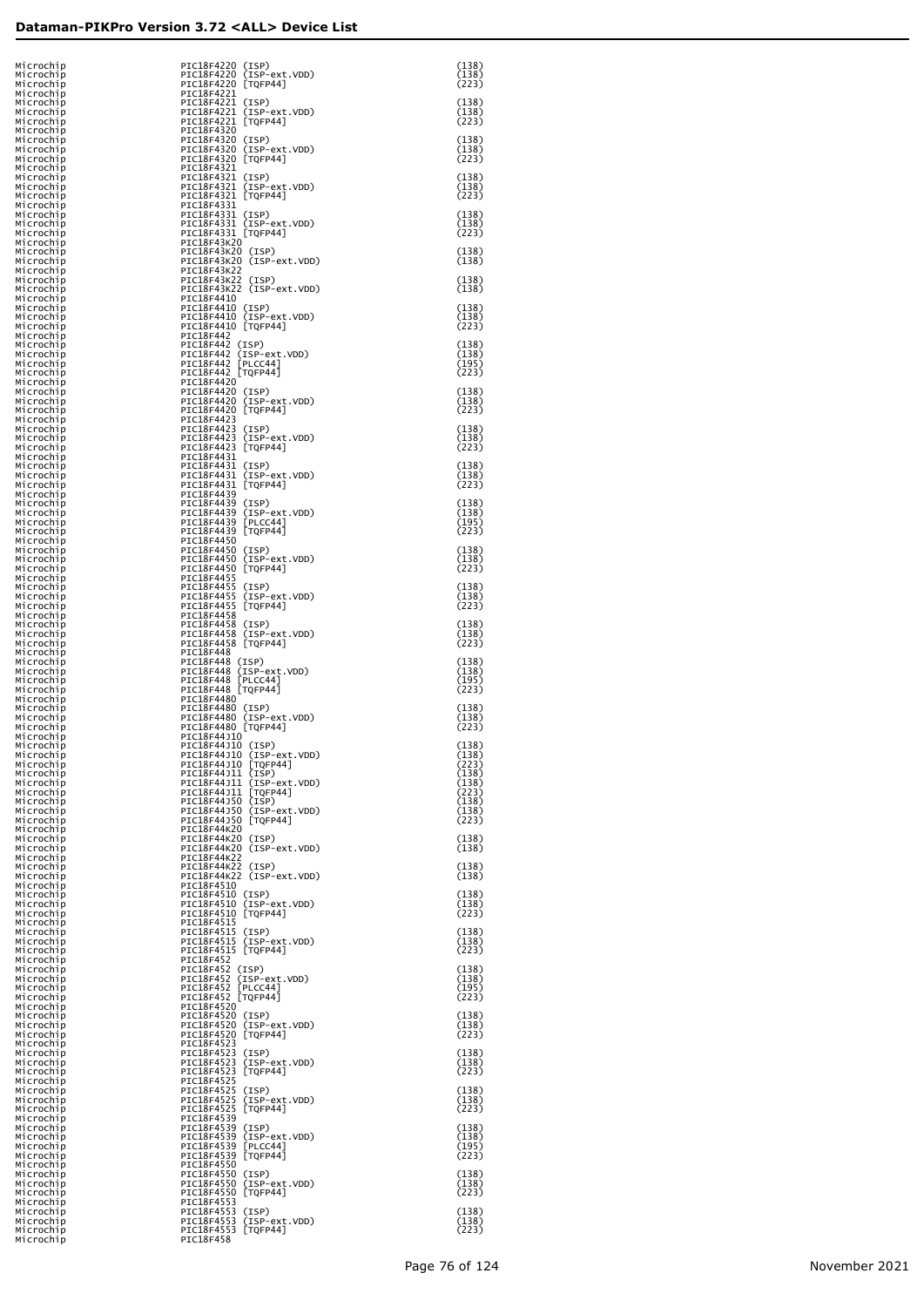| Microchip<br>Microchip              | PIC18F4220 (ISP)<br>PIC18F4220 (ISP-ext.VDD)                           | (138)<br>(138)          |
|-------------------------------------|------------------------------------------------------------------------|-------------------------|
| Microchip<br>Microchip<br>Microchip | PIC18F4220 [TQFP44]<br>PIC18F4221<br>PIC18F4221 (ISP)                  | (223)<br>(138)          |
| Microchip<br>Microchip              | PIC18F4221 (ISP-ext.VDD)<br>PIC18F4221 [TQFP44]                        | (138)<br>(223)          |
| Microchip<br>Microchip<br>Microchip | PIC18F4320<br>PIC18F4320 (ISP)<br>PIC18F4320 (ISP-ext.VDD)             | (138)<br>(138)          |
| Microchip<br>Microchip              | PIC18F4320 [TQFP44]<br>PIC18F4321                                      | (223)                   |
| Microchip<br>Microchip<br>Microchip | PIC18F4321 (ISP)<br>PIC18F4321 (ISP-ext.VDD)<br>PIC18F4321 [TQFP44]    | (138)<br>(138)<br>(223) |
| Microchip<br>Microchip<br>Microchip | PIC18F4331<br>PIC18F4331 (ISP)<br>PIC18F4331 (ISP-ext.VDD)             | (138)<br>(138)          |
| Microchip<br>Microchip              | PIC18F4331 [TQFP44]<br>PIC18F43K20                                     | (223)                   |
| Microchip<br>Microchip<br>Microchip | PIC18F43K20 (ISP)<br>PIC18F43K20 (ISP-ext.VDD)<br>PIC18F43K22          | (138)<br>(138)          |
| Microchip<br>Microchip<br>Microchip | PIC18F43K22 (ISP)<br>PIC18F43K22 (ISP-ext.VDD)<br>PIC18F4410           | (138)<br>(138)          |
| Microchip<br>Microchip              | PIC18F4410 (ISP)<br>PIC18F4410 (ISP-ext.VDD)                           | (138)<br>(138)          |
| Microchip<br>Microchip<br>Microchip | PIC18F4410 [TQFP44]<br>PIC18F442<br>PIC18F442 (ISP)                    | (223)<br>(138)          |
| Microchip<br>Microchip<br>Microchip | PIC18F442 (ISP-ext.VDD)<br>PIC18F442 [PLCC44]<br>PIC18F442 [TQFP44]    | (138)<br>(195)<br>(223) |
| Microchip<br>Microchip              | PIC18F4420<br>PIC18F4420 (ISP)                                         | (138)                   |
| Microchip<br>Microchip<br>Microchip | PIC18F4420 (ISP-ext.VDD)<br>PIC18F4420 [TQFP44]<br>PIC18F4423          | (138)<br>(223)          |
| Microchip<br>Microchip<br>Microchip | PIC18F4423 (ISP)<br>PIC18F4423 (ISP-ext.VDD)<br>PIC18F4423 [TQFP44]    | (138)<br>(138)<br>(223) |
| Microchip<br>Microchip              | PIC18F4431<br>PIC18F4431 (ISP)<br>PIC18F4431 (ISP-ext.VDD)             | (138)                   |
| Microchip<br>Microchip<br>Microchip | PIC18F4431 [TQFP44]<br>PIC18F4439                                      | (138)<br>(223)          |
| Microchip<br>Microchip<br>Microchip | PIC18F4439 (ISP)<br>PIC18F4439 (ISP-ext.VDD)<br>PIC18F4439 [PLCC44]    | (138)<br>(138)<br>(195) |
| Microchip<br>Microchip<br>Microchip | PIC18F4439 [TQFP44]<br>PIC18F4450<br>PIC18F4450 (ISP)                  | (223)<br>(138)          |
| Microchip<br>Microchip              | PIC18F4450 (ISP-ext.VDD)<br>PIC18F4450 [TQFP44]                        | (138)<br>(223)          |
| Microchip<br>Microchip<br>Microchip | PIC18F4455<br>PIC18F4455 (ISP)<br>PIC18F4455 (ISP-ext.VDD)             | (138)<br>(138)          |
| Microchip<br>Microchip<br>Microchip | PIC18F4455 [TQFP44]<br>PIC18F4458<br>PIC18F4458 (ISP)                  | (223)<br>(138)          |
| Microchip<br>Microchip              | PIC18F4458 (ISP-ext.VDD)<br>PIC18F4458 [TQFP44]                        | (138)<br>(223)          |
| Microchip<br>Microchip<br>Microchip | PIC18F448<br>PIC18F448 (ISP)<br>PIC18F448 (ISP-ext.VDD)                | (138)<br>(138)          |
| Microchip<br>Microchip<br>Microchip | PIC18F448 [PLCC44]<br>PIC18F448 [TQFP44]<br>PIC18F4480                 | (195)<br>(223)          |
| Microchip<br>Microchip              | PIC18F4480 (ISP)<br>PIC18F4480 (ISP-ext.VDD)                           | (138)<br>(138)<br>(223) |
| Microchip<br>Microchip<br>Microchip | PIC18F4480 [TQFP44]<br>PIC18F44J10<br>PIC18F44J10 (ISP)                | (138)                   |
| Microchip<br>Microchip<br>Microchip | PIC18F44J10 (ISP-ext.VDD)<br>PIC18F44J10 [TQFP44]<br>PIC18F44J11 (ISP) | (138)<br>(223)<br>(138) |
| Microchip<br>Microchip<br>Microchip | PIC18F44J11 (ISP-ext.VDD)<br>PIC18F44J11 [TQFP44]<br>PIC18F44J50 (ISP) | (138)<br>(223)<br>(138) |
| Microchip<br>Microchip              | PIC18F44J50 (ISP-ext.VDD)<br>PIC18F44J50 [TQFP44]                      | (138)<br>(223)          |
| Microchip<br>Microchip<br>Microchip | PIC18F44K20<br>PIC18F44K20 (ISP)<br>PIC18F44K20 (ISP-ext.VDD)          | (138)<br>(138)          |
| Microchip<br>Microchip<br>Microchip | PIC18F44K22<br>PIC18F44K22 (ISP)<br>PIC18F44K22 (ISP-ext.VDD)          | (138)<br>(138)          |
| Microchip<br>Microchip              | PIC18F4510<br>PIC18F4510 (ISP)                                         | (138)                   |
| Microchip<br>Microchip<br>Microchip | PIC18F4510 (ISP-ext.VDD)<br>PIC18F4510 [TQFP44]<br>PIC18F4515          | (138)<br>(223)          |
| Microchip<br>Microchip<br>Microchip | PIC18F4515 (ISP)<br>PIC18F4515 (ISP-ext.VDD)<br>PIC18F4515 [TQFP44]    | (138)<br>(138)<br>(223) |
| Microchip<br>Microchip              | PIC18F452<br>PIC18F452 (ISP)<br>PIC18F452 (ISP-ext.VDD)                | (138)<br>(138)          |
| Microchip<br>Microchip<br>Microchip | PIC18F452 [PLCC44]<br>PIC18F452 [TQFP44]                               | (195)<br>(223)          |
| Microchip<br>Microchip<br>Microchip | PIC18F4520<br>PIC18F4520 (ISP)<br>PIC18F4520 (ISP-ext.VDD)             | (138)<br>(138)          |
| Microchip<br>Microchip<br>Microchip | PIC18F4520 [TQFP44]<br>PIC18F4523<br>PIC18F4523 (ISP)                  | (223)<br>(138)          |
| Microchip<br>Microchip              | PIC18F4523 (ISP-ext.VDD)<br>PIC18F4523 [TQFP44]                        | (138)<br>(223)          |
| Microchip<br>Microchip<br>Microchip | PIC18F4525<br>PIC18F4525 (ISP)<br>PIC18F4525 (ISP-ext.VDD)             | (138)<br>(138)          |
| Microchip<br>Microchip<br>Microchip | PIC18F4525 [TQFP44]<br>PIC18F4539<br>PIC18F4539 (ISP)                  | (223)<br>(138)          |
| Microchip<br>Microchip<br>Microchip | PIC18F4539 (ISP-ext.VDD)<br>PIC18F4539 [PLCC44]<br>PIC18F4539 [TQFP44] | (138)<br>(195)<br>(223) |
| Microchip<br>Microchip              | PIC18F4550<br>PIC18F4550 (ISP)                                         | (138)                   |
| Microchip<br>Microchip<br>Microchip | PIC18F4550 (ISP-ext.VDD)<br>PIC18F4550 [TQFP44]<br>PIC18F4553          | (138)<br>(223)          |
| Microchip<br>Microchip<br>Microchip | PIC18F4553 (ISP)<br>PIC18F4553 (ISP-ext.VDD)<br>PIC18F4553 [TQFP44]    | (138)<br>(138)<br>(223) |
| Microchip                           | PIC18F458                                                              |                         |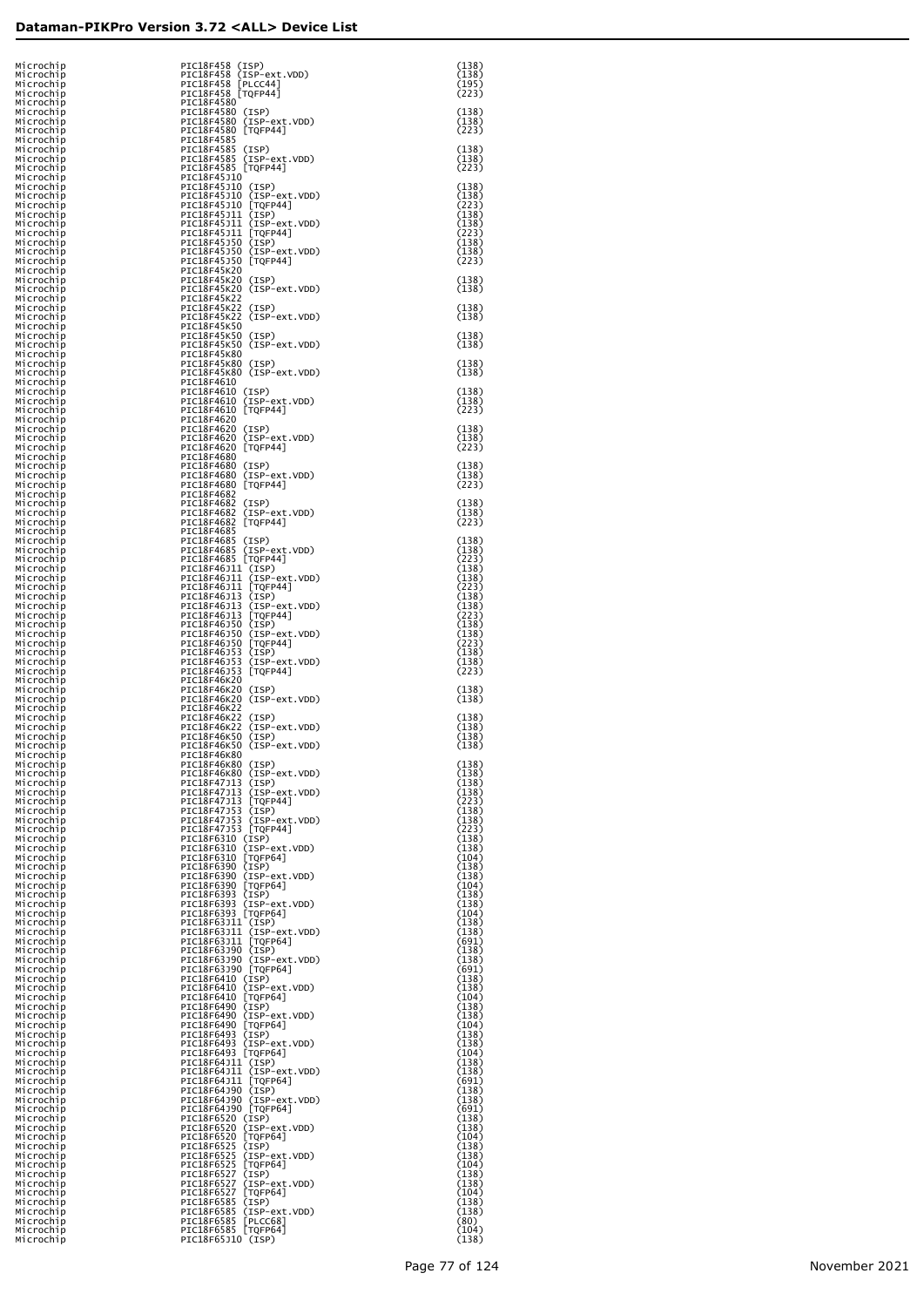| Microchip<br>Microchip              | PIC18F458 (ISP)<br>PIC18F458 (ISP-ext.VDD)                                                                       | (138)<br>(138)          |
|-------------------------------------|------------------------------------------------------------------------------------------------------------------|-------------------------|
| Microchip<br>Microchip<br>Microchip | PIC18F458 [PLCC44]<br>PIC18F458 [TQFP44]<br>PIC18F4580                                                           | (195)<br>(223)          |
| Microchip<br>Microchip<br>Microchip | PIC18F4580 (ISP)<br>PIC18F4580 (ISP-ext.VDD)<br>PIC18F4580 [TQFP44]                                              | (138)<br>(138)<br>(223) |
| Microchip<br>Microchip<br>Microchip | PIC18F4585<br>PIC18F4585 (ISP)<br>PIC18F4585 (ISP-ext.VDD)                                                       | (138)<br>(138)          |
| Microchip<br>Microchip<br>Microchip | PIC18F4585 [TQFP44]<br>PIC18F45J10<br>PIC18F45J10 (ISP)                                                          | (223)<br>(138)          |
| Microchip<br>Microchip              | PIC18F45J10 (ISP-ext.VDD)<br>PIC18F45J10 [TQFP44]                                                                | (138)<br>(223)          |
| Microchip<br>Microchip<br>Microchip | PIC18F45J11 (ISP)<br>PIC18F45J11 (ISP-ext.VDD)<br>PIC18F45J11 [TQFP44]<br>PIC18F45J50 (ISP)                      | (138)<br>(138)<br>(223) |
| Microchip<br>Microchip<br>Microchip | PIC18F45J50 (ISP-ext.VDD)<br>PIC18F45J50 [TQFP44]                                                                | (138)<br>(138)<br>(223) |
| Microchip<br>Microchip<br>Microchip | PIC18F45K20<br>PIC18F45K20 (ISP)<br>PIC18F45K20 (ISP-ext.VDD)                                                    | (138)<br>(138)          |
| Microchip<br>Microchip              | PIC18F45K22<br>PIC18F45K22 (ISP)                                                                                 | (138)                   |
| Microchip<br>Microchip<br>Microchip | PIC18F45K22 (ISP-ext.VDD)<br>PIC18F45K50<br>PIC18F45K50 (ISP)                                                    | (138)<br>(138)          |
| Microchip<br>Microchip<br>Microchip | PIC18F45K50 (ISP-ext.VDD)<br>PIC18F45K80<br>PIC18F45K80 (ISP)                                                    | (138)<br>(138)          |
| Microchip<br>Microchip<br>Microchip | PIC18F45K80 (ISP-ext.VDD)<br>PIC18F4610<br>PIC18F4610 (ISP)                                                      | (138)<br>(138)          |
| Microchip<br>Microchip<br>Microchip | PIC18F4610 (ISP-ext.VDD)<br>PIC18F4610 [TQFP44]<br>PIC18F4620                                                    | (138)<br>(223)          |
| Microchip<br>Microchip              | PIC18F4620 (ISP)<br>PIC18F4620 (ISP-ext.VDD)                                                                     | (138)<br>(138)          |
| Microchip<br>Microchip<br>Microchip | PIC18F4620 [TQFP44]<br>PIC18F4680<br>PIC18F4680 (ISP)                                                            | (223)<br>(138)          |
| Microchip<br>Microchip<br>Microchip | PIC18F4680 (ISP-ext.VDD)<br>PIC18F4680 [TQFP44]<br>PIC18F4682                                                    | (138)<br>(223)          |
| Microchip<br>Microchip<br>Microchip | PIC18F4682 (ISP)<br>PIC18F4682 (ISP-ext.VDD)<br>PIC18F4682 [TQFP44]                                              | (138)<br>(138)<br>(223) |
| Microchip<br>Microchip              | PIC18F4685<br>PIC18F4685 (ISP)<br>PIC18F4685 (ISP-ext.VDD)                                                       | (138)<br>(138)          |
| Microchip<br>Microchip<br>Microchip | PIC18F4685 [TQFP44]                                                                                              | (223)<br>(138)          |
| Microchip<br>Microchip<br>Microchip | PIC18F46J11 (ISP)<br>PIC18F46J11 (ISP-ext.VDD)<br>PIC18F46J11 [TQFP44]<br>PIC18F46J13 (ISP)                      | (138)<br>(223)<br>(138) |
| Microchip<br>Microchip<br>Microchip | PIC18F46J13 (ISP-ext.VDD)<br>PIC18F46J13 [TQFP44]<br>PIC18F46J50 (ISP)                                           | (138)<br>(223)<br>(138) |
| Microchip<br>Microchip<br>Microchip | PIC18F46J50 (ISP-ext.VDD)<br>PIC18F46J50 [TQFP44]<br>PIC18F46J53 (ISP)                                           | (138)<br>(223)<br>(138) |
| Microchip<br>Microchip              | PIC18F46J53<br>(ISP-ext.VDD)<br>PIC18F46J53 [TQFP44]                                                             | (138)<br>(223)          |
| Microchip<br>Microchip<br>Microchip | PIC18F46K20<br>PIC18F46K20 (ISP)<br>PIC18F46K20 (ISP-ext.VDD)                                                    | (138)<br>(138)          |
| Microchip<br>Microchip<br>Microchip | PIC18F46K22<br>PIC18F46K22 (ISP)<br>PIC18F46K22 (ISP-ext.VDD)<br>PIC18F46K50 (ISP)                               | (138)<br>(138)          |
| Microchip<br>Microchip<br>Microchip | PIC18F46K50 (ISP-ext.VDD)<br>PIC18F46K80                                                                         | (138)<br>(138)          |
| Microchip<br>Microchip<br>Microchip | PIC18F46K80 (ISP)<br>PIC18F46K80 (ISP-ext.VDD)<br>PIC18F47J13 (ISP)                                              | (138)<br>(138)<br>(138) |
| Microchip<br>Microchip              | PIC18F47J13 (ISP-ext.VDD)<br>PIC18F47J13 [TQFP44]<br>PIC18F47J53 (ISP)                                           | (138)<br>(223)          |
| Microchip<br>Microchip<br>Microchip | PIC18F47353 (ISP-ext.VDD)<br>PIC18F47353 [TQFP44]<br>PIC18F6310 (ISP)                                            | (138)<br>(138)<br>(223) |
| Microchip<br>Microchip<br>Microchip | PIC18F6310 (ISP-ext.VDD)<br>PIC18F6310 [TQFP64]                                                                  | (138)<br>(138)<br>(104) |
| Microchip<br>Microchip<br>Microchip | PIC18F6390 (ISP)<br>PIC18F6390 (ISP-ext.VDD)<br>PIC18F6390 [TQFP64]                                              | (138)<br>(138)<br>(104) |
| Microchip<br>Microchip<br>Microchip | PIC18F6393 (ISP)<br>PIC18F6393 (ISP-ext.VDD)<br>PIC18F6393 [TQFP64]                                              | (138)<br>(138)<br>(104) |
| Microchip<br>Microchip              | PIC18F63J11 (ISP)<br>PIC18F63J11 (ISP-ext.VDD)<br>PIC18F63J11 [TQFP64]<br>PIC18F63J90 (ISP)<br>PIC18F63J90 (ISP) | (138)<br>(138)          |
| Microchip<br>Microchip<br>Microchip |                                                                                                                  | (691)<br>(138)<br>(138) |
| Microchip<br>Microchip<br>Microchip | PIC18F63J90 (ISP-ext.VDD)<br>PIC18F63J90 [TQFP64]<br>PIC18F6410 (ISP)<br>PIC18F6410 (ISP-ext.VDD)                | (691)<br>(138)<br>(138) |
| Microchip<br>Microchip<br>Microchip | PIC18F6410 [TQFP64]<br>PIC18F6490 (ISP)<br>PIC18F6490 (ISP-ext.VDD)                                              | (104)<br>(138)<br>(138) |
| Microchip<br>Microchip<br>Microchip | PIC18F6490 [TQFP64]<br>PIC18F6493 (ISP)<br>PIC18F6493 (ISP-ext.VDD)                                              | (104)<br>(138)<br>(138) |
| Microchip<br>Microchip              | PIC18F6493 [TQFP64]                                                                                              | (104)<br>(138)          |
| Microchip<br>Microchip<br>Microchip | PIC18F64J11 (ISP)<br>PIC18F64J11 (ISP-ext.VDD)<br>PIC18F64J11 [TQFP64]<br>PIC18F64J90 (ISP)<br>CIAP64J90 (ISP)   | (138)<br>(691)<br>(138) |
| Microchip<br>Microchip<br>Microchip | PIC18F64J90 (ISP-ext.VDD)<br>PIC18F64J90 [TQFP64]<br>PIC18F6520 (ISP)                                            | (138)<br>(691)<br>(138) |
| Microchip<br>Microchip<br>Microchip | PIC18F6520 (ISP-ext.VDD)<br>PIC18F6520 [TQFP64]<br>PIC18F6525 (ISP)                                              | (138)<br>(104)<br>(138) |
| Microchip<br>Microchip<br>Microchip | PIC18F6525 (ISP-ext.VDD)<br>PIC18F6525 [TOFP64]<br>PIC18F6527<br>(ISP)                                           | (138)<br>(104)<br>(138) |
| Microchip<br>Microchip              | PIC18F6527<br>(ISP-ext.VDD)<br>PIC18F6527<br>[TQFP64]                                                            | (138)<br>(104)          |
| Microchip<br>Microchip<br>Microchip | PIC18F6585 (ISP)<br>PIC18F6585<br>(ISP-ext.VDD)<br>PIC18F6585<br>[PLCC68]                                        | (138)<br>(138)<br>(80)  |
| Microchip<br>Microchip              | PIC18F6585 [TOFP64]<br>PIC18F65J10 (ISP)                                                                         | (104)<br>(138)          |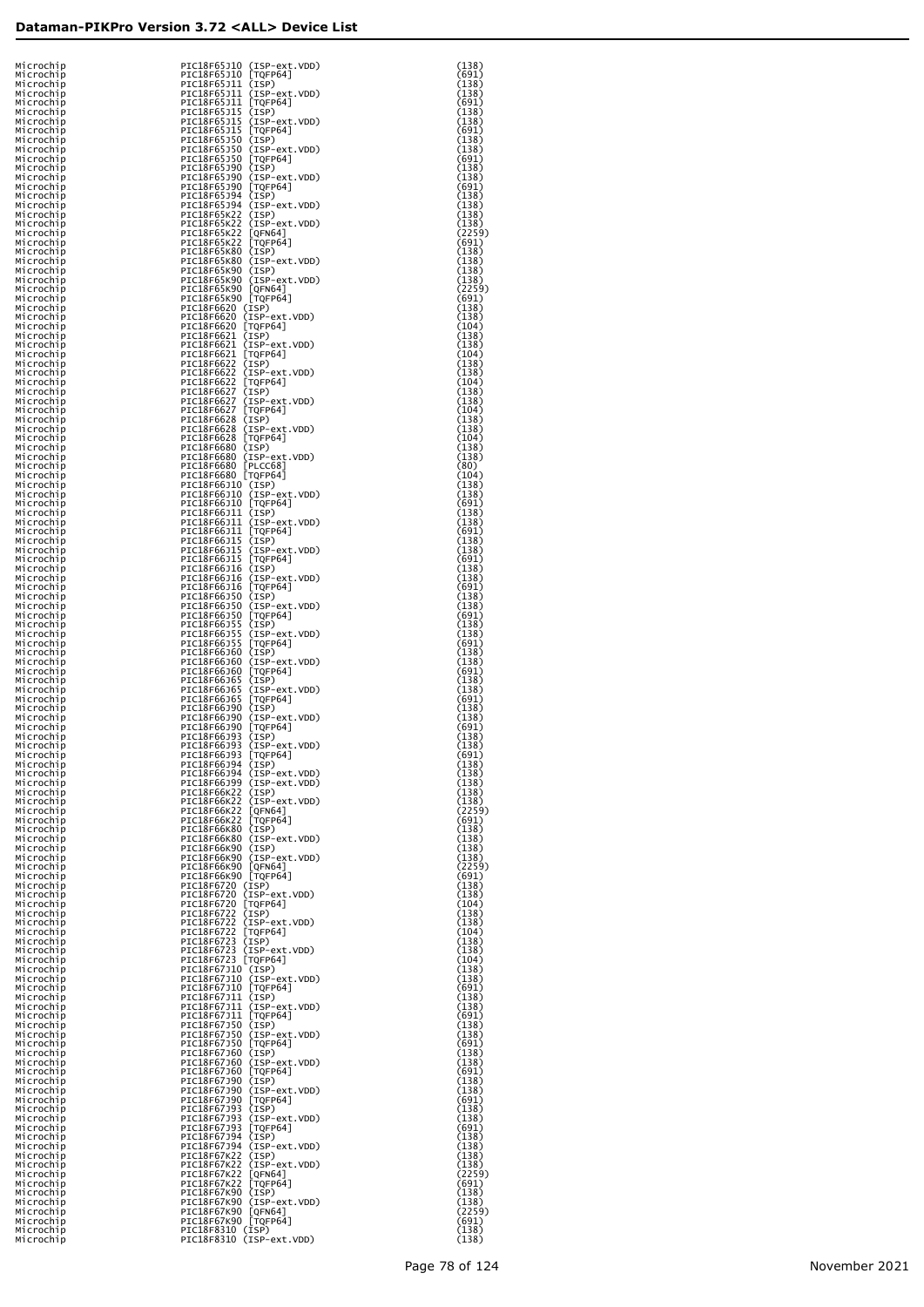| Microchip<br>Microchip | PIC18F65J10 (ISP-ext.VDD)<br>PIC18F65J10 [TQFP64]          | (138)<br>(691)  |
|------------------------|------------------------------------------------------------|-----------------|
| Microchip              | PIC18F65J11 (ISP)                                          | (138)           |
| Microchip<br>Microchip | PIC18F65J11 (ISP-ext.VDD)<br>PIC18F65J11 [TQFP64]          | (138)<br>(691)  |
| Microchip              | PIC18F65J15 (ISP)                                          | (138)           |
| Microchip<br>Microchip | PIC18F65J15<br>(ISP-ext.VDD)<br>PIC18F65J15 [TOFP64]       | (138)<br>(691)  |
| Microchip              | PIC18F65J50 (ISP)                                          | (138)           |
| Microchip<br>Microchip | PIC18F65J50 (ISP-ext.VDD)<br>PIC18F65J50 [TQFP64]          | (138)<br>(691)  |
| Microchip              | PIC18F65J90 (ISP)                                          | (138)           |
| Microchip<br>Microchip | PIC18F65J90 (ISP-ext.VDD)<br>PIC18F65J90 [TQFP64]          | (138)<br>(691)  |
| Microchip              | PIC18F65J94 (ISP)                                          | (138)           |
| Microchip<br>Microchip | PIC18F65J94 (ISP-ext.VDD)<br>PIC18F65K22 (ISP)             | (138)<br>(138)  |
| Microchip              | PIC18F65K22 (ISP-ext.VDD)                                  | (138)           |
| Microchip<br>Microchip | PIC18F65K22 [QFN64]<br>PIC18F65K22 [TQFP64]                | (2259)<br>(691) |
| Microchip              | PIC18F65K80 (ISP)                                          | (138)           |
| Microchip<br>Microchip | PIC18F65K80 (ISP-ext.VDD)<br>PIC18F65K90 (ISP)             | (138)<br>(138)  |
| Microchip              | PIC18F65K90 (ISP-ext.VDD)                                  | (138)           |
| Microchip<br>Microchip | PIC18F65K90 [QFN64]<br>PIC18F65K90 [TQFP64]                | (2259)<br>(691) |
| Microchip              | PIC18F6620 (ISP)                                           | (138)           |
| Microchip<br>Microchip | PIC18F6620 (ISP-ext.VDD)<br>PIC18F6620 [TQFP64]            | (138)<br>(104)  |
| Microchip              | PIC18F6621 (ISP)                                           | (138)           |
| Microchip<br>Microchip | PIC18F6621 (ISP-ext.VDD)<br>PIC18F6621 [TQFP64]            | (138)<br>(104)  |
| Microchip              | PIC18F6622 (ISP)                                           | (138)           |
| Microchip<br>Microchip | PIC18F6622 (ISP-ext.VDD)                                   | (138)<br>(104)  |
| Microchip              | PIC18F6622 [TQFP64]<br>PIC18F6627 (ISP)                    | (138)           |
| Microchip<br>Microchip | PIC18F6627 (ISP-ext.VDD)<br>PIC18F6627 [TQFP64]            | (138)<br>(104)  |
| Microchip              | PIC18F6628 (ISP)                                           | (138)           |
| Microchip<br>Microchip | PIC18F6628 (ISP-ext.VDD)<br>PIC18F6628 [TQFP64]            | (138)           |
| Microchip              | PIC18F6680 (ISP)                                           | (104)<br>(138)  |
| Microchip<br>Microchip | PIC18F6680 (ISP-ext.VDD)<br>PIC18F6680 [PLCC68]            | (138)           |
| Microchip              | PIC18F6680 [TOFP64]                                        | (80)<br>(104)   |
| Microchip              | PIC18F66J10 (ISP)                                          | (138)           |
| Microchip<br>Microchip | PIC18F66J10 (ISP-ext.VDD)<br>PIC18F66J10 [TQFP64]          | (138)<br>(691)  |
| Microchip              | PIC18F66J11 (ISP)                                          | (138)           |
| Microchip<br>Microchip | PIC18F66J11 (ISP-ext.VDD)<br>PIC18F66J11 [TQFP64]          | (138)<br>(691)  |
| Microchip              | PIC18F66J15 (ISP)                                          | (138)           |
| Microchip<br>Microchip | PIC18F66J15 (ISP-ext.VDD)<br>PIC18F66J15 [TQFP64]          | (138)<br>(691)  |
| Microchip              | PIC18F66J16 (ISP)                                          | (138)<br>(138)  |
| Microchip<br>Microchip | PIC18F66J16 (ISP-ext.VDD)<br>PIC18F66J16 [TQFP64]          | (691)           |
| Microchip<br>Microchip | PIC18F66J50 (ISP)                                          | (138)<br>(138)  |
| Microchip              | PIC18F66J50 (ISP-ext.VDD)<br>PIC18F66J50 [TQFP64]          | (691)           |
| Microchip<br>Microchip | PIC18F66J55<br>(ISP)<br>PIC18F66J55<br>(ISP-ext.VDD)       | (138)<br>(138)  |
| Microchip              | PIC18F66J55<br>[TQFP64]                                    | (691)           |
| Microchip<br>Microchip | PIC18F66J60 (ISP)<br>PIC18F66J60 (ISP-ext.VDD)             | (138)<br>(138)  |
| Microchip              | PIC18F66J60 [TQFP64]                                       | (691)           |
| Microchip<br>Microchip | PIC18F66J65<br>(ISP)<br>PIC18F66J65<br>(ISP-ext.VDD)       | (138)<br>(138)  |
| Microchip              | PIC18F66J65<br>[TQFP64]                                    | (691)           |
| Microchip<br>Microchip | PIC18F66J90 (ISP)<br>PIC18F66J90 (ISP-ext.VDD)             | (138)<br>(138)  |
| Microchip              | PIC18F66J90 [TQFP64]                                       | (691)           |
| Microchip<br>Microchip | PIC18F66J93 (ISP)<br>PIC18F66J93<br>(ISP-ext.VDD)          | (138)<br>(138)  |
| MICrocnip              | PICI8F66J93 [TQFP64]                                       | (691)           |
| Microchip<br>Microchip | PIC18F66J94 (ISP)<br>PIC18F66J94 (ISP-ext.VDD)             | (138)<br>(138)  |
| Microchip              | PIC18F66J99 (ISP-ext.VDD)                                  | (138)           |
| Microchip<br>Microchip | PIC18F66K22 (ISP)<br>PIC18F66K22 (ISP-ext.VDD)             | (138)<br>(138)  |
| Microchip              | PIC18F66K22 [QFN64]<br>PIC18F66K22 [TQFP64]                | (2259)          |
| Microchip<br>Microchip | PIC18F66K80 (ISP)                                          | (691)<br>(138)  |
| Microchip              | PIC18F66K80 (ISP-ext.VDD)                                  | (138)           |
| Microchip<br>Microchip | PIC18F66K90 (ISP)<br>PIC18F66K90 (ISP-ext.VDD)             | (138)<br>(138)  |
| Microchip              | PIC18F66K90 [QFN64]<br>PIC18F66K90 [TQFP64]                | (2259)          |
| Microchip<br>Microchip | PIC18F6720 (ISP)                                           | (691)<br>(138)  |
| Microchip              | PIC18F6720 (ISP-ext.VDD)                                   | (138)           |
| Microchip<br>Microchip | PIC18F6720 [TQFP64]<br>PIC18F6722 (ISP)                    | (104)<br>(138)  |
| Microchip              | PIC18F6722 (ISP-ext.VDD)                                   | (138)           |
| Microchip<br>Microchip | PIC18F6722 [TQFP64]<br>PIC18F6723 (ISP)                    | (104)<br>(138)  |
| Microchip              | PIC18F6723 (ISP-ext.VDD)                                   | (138)           |
| Microchip<br>Microchip | PIC18F6723 [TQFP64]<br>PIC18F67J10 (ISP)                   | (104)<br>(138)  |
| Microchip              | PIC18F67J10 (ISP-ext.VDD)                                  | (138)           |
| Microchip<br>Microchip | PIC18F67J10 [TQFP64]<br>PIC18F67J11 (ISP)                  | (691)<br>(138)  |
| Microchip              | PIC18F67J11 (ISP-ext.VDD)                                  | (138)           |
| Microchip<br>Microchip | PIC18F67J11 [TQFP64]<br>PIC18F67J50 (ISP)                  | (691)<br>(138)  |
| Microchip              | PIC18F67J50 (ISP-ext.VDD)                                  | (138)           |
| Microchip<br>Microchip | PIC18F67J50 [TQFP64]<br>PIC18F67J60 (ISP)                  | (691)<br>(138)  |
| Microchip              | PIC18F67J60 (ISP-ext.VDD)                                  | (138)           |
| Microchip<br>Microchip | PIC18F67J60 [TQFP64]<br>PIC18F67J90 (ISP)                  | (691)<br>(138)  |
| Microchip              | PIC18F67J90 (ISP-ext.VDD)                                  | (138)           |
| Microchip<br>Microchip | PIC18F67J90 [TQFP64]<br>PIC18F67J93 (ISP)                  | (691)<br>(138)  |
| Microchip              | PIC18F67J93<br>(ISP-ext.VDD)                               | (138)           |
| Microchip<br>Microchip | PIC18F67J93 [TQFP64]<br>PIC18F67J94 (ISP)                  | (691)<br>(138)  |
| Microchip              | PIC18F67J94 (ISP-ext.VDD)                                  | (138)           |
| Microchip<br>Microchip | PIC18F67K22 (ISP)<br>PIC18F67K22 (ISP-ext.VDD)             | (138)<br>(138)  |
| Microchip              | PIC18F67K22 [QFN64]<br>PIC18F67K22 [TQFP64]                | (2259)          |
| Microchip<br>Microchip | PIC18F67K90 (ISP)                                          | (691)<br>(138)  |
| Microchip              | PIC18F67K90 (ISP-ext.VDD)                                  | (138)           |
| Microchip<br>Microchip | PIC18F67K90<br>PIC18F67K90 [QFN64]<br>PIC18F67K90 [TQFP64] | (2259)<br>(691) |
| Microchip              | PIC18F8310 (ISP)                                           | (138)           |
| Microchip              | PIC18F8310 (ISP-ext.VDD)                                   | (138)           |

| 818818818888851888851884884888488488318818818818818818818818818883888         |  |
|-------------------------------------------------------------------------------|--|
|                                                                               |  |
|                                                                               |  |
|                                                                               |  |
|                                                                               |  |
|                                                                               |  |
|                                                                               |  |
|                                                                               |  |
|                                                                               |  |
|                                                                               |  |
|                                                                               |  |
|                                                                               |  |
|                                                                               |  |
|                                                                               |  |
|                                                                               |  |
|                                                                               |  |
|                                                                               |  |
|                                                                               |  |
|                                                                               |  |
|                                                                               |  |
|                                                                               |  |
|                                                                               |  |
|                                                                               |  |
|                                                                               |  |
| ころいいいいいいいいいいいいいいいいいいいいいいいいいいい<br>18888518848848848818818818818818838851885188 |  |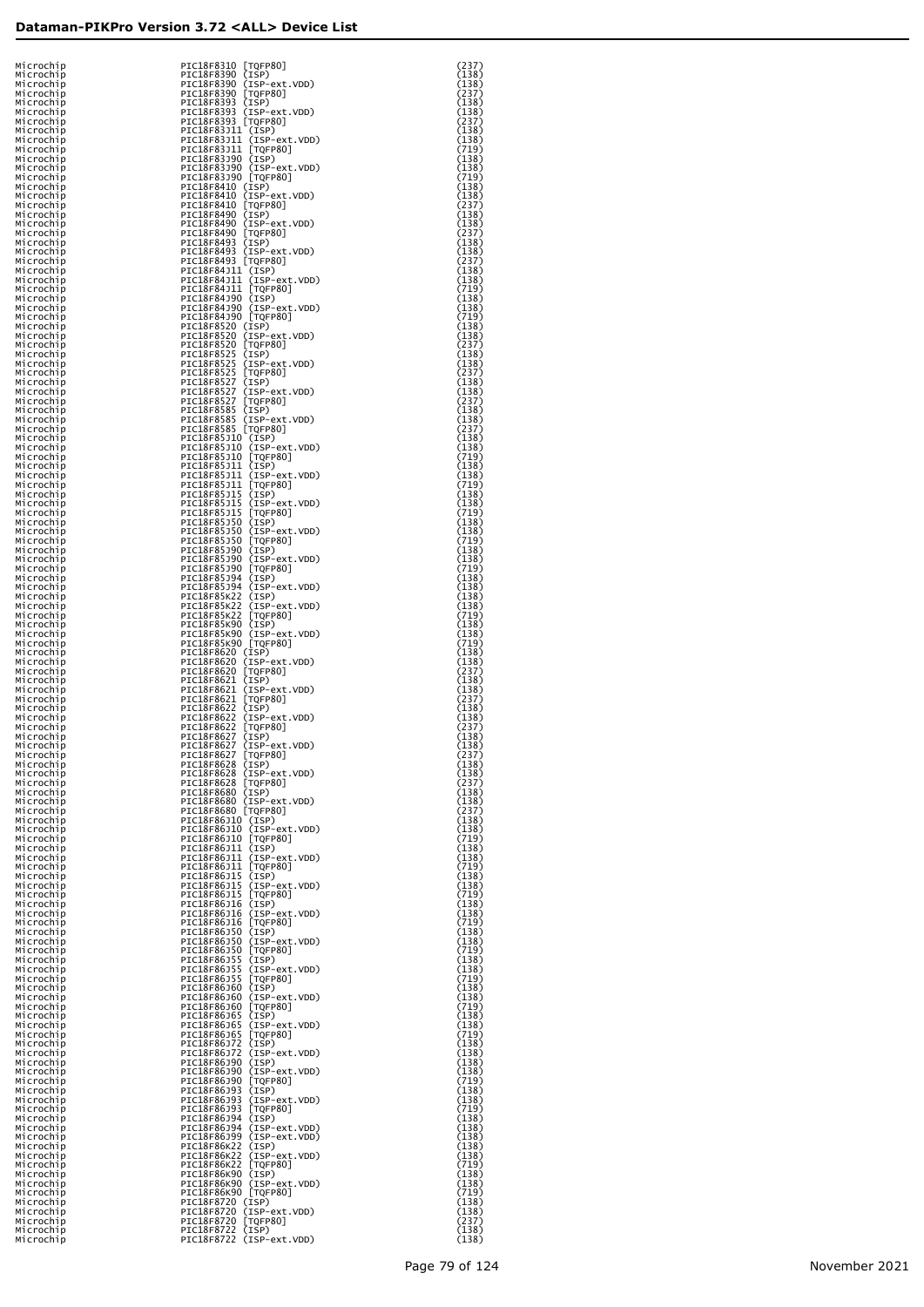| Microchip              | PIC18F8310 [TQFP80]                               | (237)          |
|------------------------|---------------------------------------------------|----------------|
| Microchip              | PIC18F8390 (ISP)                                  | (138)          |
| Microchip              | PIC18F8390 (ISP-ext.VDD)                          | (138)          |
| Microchip              | PIC18F8390 [TQFP80]<br>PIC18F8393 (ISP)           | (237)<br>(138) |
| Microchip              | PIC18F8393 (ISP-ext.VDD)                          | (138)          |
| Microchip<br>Microchip |                                                   | (237)          |
| Microchip              | PIC18F8393 [TQFP80]<br>PIC18F83J11 (ISP)          | (138)          |
| Microchip              | PIC18F83J11 (ISP-ext.VDD)                         | (138)          |
| Microchip              | PIC18F83J11 [TQFP80]                              | (719)          |
| Microchip              | PIC18F83J90 (ISP)                                 | (138)          |
| Microchip              | PIC18F83J90 (ISP-ext.VDD)                         | (138)          |
| Microchip              | PIC18F83J90 [TQFP80]                              | (719)          |
| Microchip              | PIC18F8410 (ISP)                                  | (138)          |
| Microchip              | PIC18F8410 (ISP-ext.VDD)                          | (138)          |
| Microchip              | PIC18F8410 [TQFP80]                               | (237)          |
| Microchip              | PIC18F8490 (ISP)                                  | (138)          |
| Microchip              | PIC18F8490 (ISP-ext.VDD)                          | (138)          |
| Microchip              | PIC18F8490 [TQFP80]                               | (237)          |
| Microchip              | PIC18F8493 (ISP)                                  | (138)          |
| Microchip              | PIC18F8493 (ISP-ext.VDD)                          | (138)          |
| Microchip              | PIC18F8493 [TQFP80]                               | (237)          |
| Microchip              | PIC18F84J11 (ISP)                                 | (138)          |
| Microchip              | PIC18F84J11 (ISP-ext.VDD)                         | (138)          |
| Microchip              | PIC18F84J11 [TQFP80]                              | (719)          |
| Microchip              | PIC18F84J90 (ISP)                                 | (138)          |
| Microchip              | PIC18F84J90 (ISP-ext.VDD)                         | (138)          |
| Microchip              | PIC18F84J90 [TQFP80]                              | (719)          |
| Microchip              | PIC18F8520 (ISP)                                  | (138)          |
| Microchip              | PIC18F8520 (ISP-ext.VDD)                          | (138)          |
| Microchip              | PIC18F8520 [TQFP80]                               | (237)          |
| Microchip              | PIC18F8525 (ISP)<br>PIC18F8525 (ISP-ext.VDD)      | (138)          |
| Microchip              | PIC18F8525 [TQFP80]                               | (138)          |
| Microchip              |                                                   | (237)          |
| Microchip<br>Microchip | PIC18F8527 (ISP)<br>PIC18F8527 (ISP-ext.VDD)      | (138)<br>(138) |
| Microchip              | PIC18F8527 [TQFP80]                               | (237)          |
| Microchip              | PIC18F8585 (ISP)                                  | (138)          |
| Microchip              | PIC18F8585 (ISP-ext.VDD)                          | (138)          |
| Microchip              | PIC18F8585 [TQFP80]                               | (237)          |
| Microchip              | PIC18F85J10 (ISP)                                 | (138)          |
| Microchip              | PIC18F85J10 (ISP-ext.VDD)                         | (138)          |
| Microchip              | PIC18F85J10 [TQFP80]                              | (719)          |
| Microchip              | PIC18F85J11 (ISP)                                 | (138)          |
| Microchip              | PIC18F85J11 (ISP-ext.VDD)                         | (138)          |
| Microchip              | PIC18F85J11 [TQFP80]                              | (719)          |
| Microchip              | PIC18F85J15 (ISP)                                 | (138)          |
| Microchip              | PIC18F85J15 (ISP-ext.VDD)                         | (138)          |
| Microchip              | PIC18F85J15 [TQFP80]                              | (719)          |
| Microchip              | PIC18F85J50 (ISP)                                 | (138)          |
| Microchip              | PIC18F85J50 (ISP-ext.VDD)                         | (138)          |
| Microchip              | PIC18F85J50 [TQFP80]<br>PIC18F85J90 (ISP)         | (719)<br>(138) |
| Microchip<br>Microchip | PIC18F85J90 (ISP-ext.VDD)                         | (138)          |
| Microchip              | PIC18F85J90 [TQFP80]                              | (719)          |
| Microchip              | PIC18F85J94 (ISP)                                 | (138)          |
| Microchip              | PIC18F85J94 (ISP-ext.VDD)                         | (138)          |
| Microchip              | PIC18F85K22 (ISP)                                 | (138)          |
| Microchip              | PIC18F85K22 (ISP-ext.VDD)                         | (138)          |
| Microchip              | PIC18F85K22 [TQFP80]                              | (719)          |
| Microchip              | PIC18F85K90 (ISP)                                 | (138)          |
| Microchip              | PIC18F85K90 (ISP-ext.VDD)                         | (138)          |
| Microchip              | PIC18F85K90 [TQFP80]                              | (719)          |
| Microchip              | PIC18F8620 (ISP)                                  | (138)          |
| Microchip              | PIC18F8620 (ISP-ext.VDD)                          | (138)          |
| Microchip              | PIC18F8620 [TQFP80]                               | (237)          |
| Microchip              | PIC18F8621 (ISP)                                  | (138)          |
| Microchip              | PIC18F8621 (ISP-ext.VDD)                          | (138)          |
| Microchip              | PIC18F8621 [TQFP80]<br>PIC18F8622 (ISP)           | (237)<br>(138) |
| Microchip              | PIC18F8622 (ISP-ext.VDD)                          | (138)          |
| Microchip<br>Microchip | PIC18F8622 [TQFP80]                               | (237)          |
| Microchip              | PIC18F8627 (ISP)                                  | (138)          |
| Microchip              | PIC18F8627 (ISP-ext.VDD)                          | (138)          |
| Mıcrochıp              | PIC18F8627 [TQFP80]                               | (237)          |
| Microchip              | PIC18F8628 (ISP)                                  | (138)          |
| Microchip              | PIC18F8628 (ISP-ext.VDD)                          | (138)          |
| Microchip              | PIC18F8628 [TQFP80]                               | (237)          |
| Microchip              | PIC18F8680 (ISP)                                  | (138)          |
| Microchip              | PIC18F8680 (ISP-ext.VDD)                          | (138)          |
| Microchip              | PIC18F8680 [TQFP80]                               | (237)          |
| Microchip              | PIC18F86J10 (ISP)                                 | (138)          |
| Microchip              | PIC18F86J10 (ISP-ext.VDD)                         | (138)          |
| Microchip              | PIC18F86J10 [TQFP80]                              | (719)          |
| Microchip              | PIC18F86J11 (ISP)                                 | (138)          |
| Microchip              | PIC18F86J11 (ISP-ext.VDD)<br>PIC18F86J11 [TQFP80] | (138)<br>(719) |
| Microchip<br>Microchip | PIC18F86J15 (ISP)                                 | (138)          |
| Microchip              | PIC18F86J15 (ISP-ext.VDD)                         | (138)          |
| Microchip              | PIC18F86J15 [TQFP80]                              | (719)          |
| Microchip              | PIC18F86J16 (ISP)                                 | (138)          |
| Microchip              | PIC18F86J16 (ISP-ext.VDD)                         | (138)          |
| Microchip              | PIC18F86J16 [TQFP80]                              | (719)          |
| Microchip              | PIC18F86J50 (ISP)                                 | (138)          |
| Microchip              | PIC18F86J50 (ISP-ext.VDD)                         | (138)          |
| Microchip              | PIC18F86J50 [TQFP80]                              | (719)          |
| Microchip              | PIC18F86J55 (ISP)                                 | (138)          |
| Microchip              | PIC18F86J55 (ISP-ext.VDD)                         | (138)          |
| Microchip              | PIC18F86J55 [TQFP80]                              | (719)          |
| Microchip              | PIC18F86J60 (ISP)                                 | (138)          |
| Microchip              | PIC18F86J60 (ISP-ext.VDD)                         | (138)          |
| Microchip              | PIC18F86J60 [TQFP80]<br>PIC18F86J65 (ISP)         | (719)<br>(138) |
| Microchip<br>Microchip | PIC18F86J65 (ISP-ext.VDD)                         | (138)          |
| Microchip              | PIC18F86J65 [TQFP80]                              | (719)          |
| Microchip              | PIC18F86J72 (ISP)                                 | (138)          |
| Microchip              | PIC18F86J72 (ISP-ext.VDD)                         | (138)          |
| Microchip              | PIC18F86J90 (ISP)                                 | (138)          |
| Microchip              | PIC18F86J90 (ISP-ext.VDD)                         | (138)          |
| Microchip              | PIC18F86J90 [TQFP80]                              | (719)          |
| Microchip              | PIC18F86J93 (ISP)                                 | (138)          |
| Microchip              | PIC18F86J93 (ISP-ext.VDD)                         | (138)          |
| Microchip              | PIC18F86J93 [TQFP80]                              | (719)          |
| Microchip              | PIC18F86J94 (ISP)                                 | (138)          |
| Microchip              | PIC18F86J94 (ISP-ext.VDD)                         | (138)          |
| Microchip              | PIC18F86J99 (ISP-ext.VDD)                         | (138)          |
| Microchip              | PIC18F86K22 (ISP)                                 | (138)          |
| Microchip              | PIC18F86K22 (ISP-ext.VDD)<br>PIC18F86K22 [TQFP80] | (138)          |
| Microchip              | PIC18F86K90 (ISP)                                 | (719)          |
| Microchip<br>Microchip | PIC18F86K90 (ISP-ext.VDD)                         | (138)<br>(138) |
| Microchip              | PIC18F86K90 [TQFP80]                              | (719)          |
| Microchip              | PIC18F8720 (ISP)                                  | (138)          |
| Microchip              | PIC18F8720 (ISP-ext.VDD)                          | (138)          |
| Microchip              | PIC18F8720 [TQFP80]                               | (237)          |
| Microchip              | PIC18F8722 (ISP)                                  | (138)          |
| Microchip              | PIC18F8722 (ISP-ext.VDD)                          | (138)          |

| というというというというというというということであるということであるということですかです。このにはこのことになるのは、このことになっていいかですが、このことになっていいかです。このことにはこのことになっていいかのは、このことにはこのことになっていいいかが、このことによっていいかが、このことによっていいかが、このことによっていいかが、このことにいいかが、このことにいいかが、このことにいいかが、このことにはこのことになっていいかが、このことになっ | ニュ2117117117117117117117111711111171121 | 88988988988988988988898888888888888898878 |  |
|---------------------------------------------------------------------------------------------------------------------------------------------------------------------------------------------------------------------------------|-----------------------------------------|-------------------------------------------|--|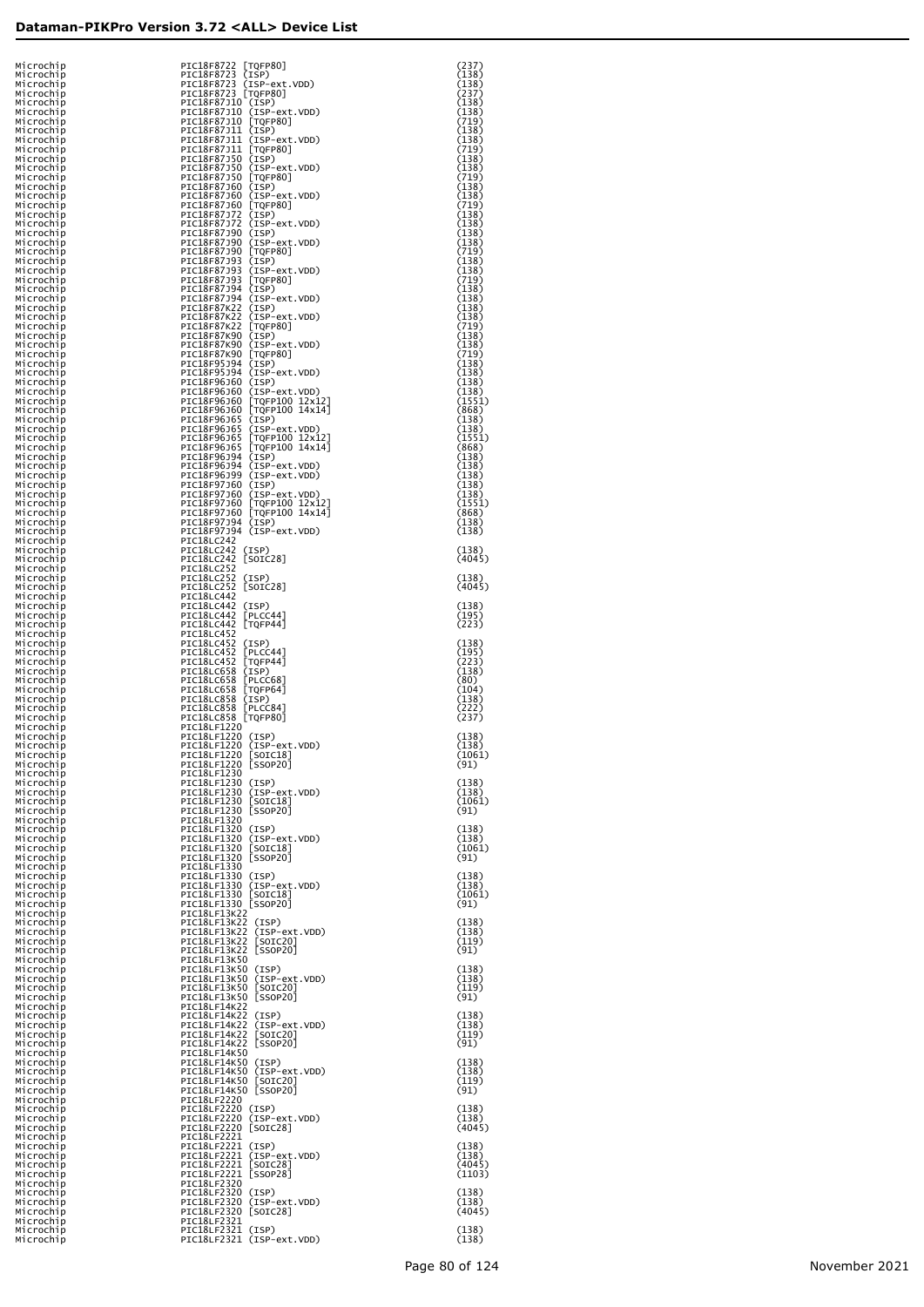| Microchip              | PIC18F8722 [TQFP80]                                      | (237)          |
|------------------------|----------------------------------------------------------|----------------|
| Microchip              | PIC18F8723 (ISP)                                         | (138)          |
| Microchip              | PIC18F8723 (ISP-ext.VDD)                                 | (138)          |
| Microchip              | PIC18F8723 [TQFP80]                                      | (237)          |
| Microchip              | PIC18F87J10 (ISP)                                        | (138)          |
| Microchip              | PIC18F87J10 (ISP-ext.VDD)                                | (138)          |
| Microchip              | PIC18F87J10 [TQFP80]                                     | (719)          |
| Microchip              | PIC18F87J11 (ISP)                                        | (138)          |
| Microchip              | PIC18F87J11 (ISP-ext.VDD)                                | (138)          |
| Microchip              | PIC18F87J11 [TQFP80]                                     | (719)          |
| Microchip              | PIC18F87J50 (ISP)                                        | (138)          |
| Microchip              | PIC18F87J50 (ISP-ext.VDD)                                | (138)          |
| Microchip              | PIC18F87J50 [TQFP80]                                     | (719)          |
| Microchip              | PIC18F87J60 (ISP)                                        | (138)          |
| Microchip              | PIC18F87J60 (ISP-ext.VDD)                                | (138)          |
| Microchip              | PIC18F87J60 [TQFP80]                                     | (719)          |
| Microchip              | PIC18F87J72 (ISP)                                        | (138)          |
| Microchip              | PIC18F87J72 (ISP-ext.VDD)                                | (138)          |
| Microchip              | PIC18F87J90 (ISP)                                        | (138)          |
| Microchip              | PIC18F87J90 (ISP-ext.VDD)                                | (138)          |
| Microchip              | PIC18F87J90 [TQFP80]                                     | (719)          |
| Microchip              | PIC18F87J93 (ISP)                                        | (138)          |
| Microchip              | PIC18F87J93 (ISP-ext.VDD)                                | (138)          |
| Microchip              | PIC18F87J93 [TQFP80]                                     | (719)          |
| Microchip              | PIC18F87J94 (ISP)                                        | (138)          |
| Microchip              | PIC18F87J94 (ISP-ext.VDD)                                | (138)          |
| Microchip              | PIC18F87K22 (ISP)                                        | (138)          |
| Microchip              | PIC18F87K22 (ISP-ext.VDD)                                | (138)          |
| Microchip              | PIC18F87K22 [TQFP80]                                     | (719)          |
| Microchip              | PIC18F87K90 (ISP)                                        | (138)          |
| Microchip              | PIC18F87K90 (ISP-ext.VDD)                                | (138)          |
| Microchip              | PIC18F87K90 [TQFP80]                                     | (719)          |
| Microchip              | PIC18F95J94 (ISP)                                        | (138)          |
| Microchip              | PIC18F95J94 (ISP-ext.VDD)                                | (138)          |
| Microchip              | PIC18F96J60 (ISP)                                        | (138)          |
| Microchip              | PIC18F96J60 (ISP-ext.VDD)                                | (138)          |
| Microchip              | PIC18F96J60 [TQFP100 12x12]                              | (1551)         |
| Microchip              | PIC18F96J60 [TQFP100 14x14]                              | (868)          |
| Microchip              | PIC18F96J65 (ISP)                                        | (138)          |
| Microchip              | PIC18F96J65 (ISP-ext.VDD)                                | (138)          |
| Microchip              | PIC18F96J65 [TQFP100 12x12]                              | (1551)         |
| Microchip              | PIC18F96J65 [TQFP100 14x14]                              | (868)          |
| Microchip              | PIC18F96J94 (ISP)                                        | (138)          |
| Microchip              | PIC18F96J94 (ISP-ext.VDD)                                | (138)          |
| Microchip              | PIC18F96J99 (ISP-ext.VDD)                                | (138)          |
| Microchip              | PIC18F97J60 (ISP)                                        | (138)          |
| Microchip              | PIC18F97J60 (ISP-ext.VDD)                                | (138)          |
| Microchip              | PIC18F97J60 [TQFP100 12x12]                              | (1551)         |
| Microchip              | PIC18F97J60 [TQFP100 14x14]                              | (868)          |
| Microchip              | PIC18F97J94 (ISP)                                        | (138)          |
| Microchip              | PIC18F97J94 (ISP-ext.VDD)                                | (138)          |
| Microchip<br>Microchip | PIC18LC242<br>PIC18LC242 (ISP)                           | (138)          |
| Microchip<br>Microchip | PIC18LC242 [SOIC28]<br><b>PIC18LC252</b>                 | (4045)         |
| Microchip              | PIC18LC252 (ISP)                                         | (138)          |
| Microchip<br>Microchip | PIC18LC252 [SOIC28]<br>PIC18LC442                        | (4045)         |
| Microchip              | PIC18LC442 (ISP)                                         | (138)          |
| Microchip              | PIC18LC442 [PLCC44]                                      | (195)          |
| Microchip<br>Microchip | PIC18LC442 [TQFP44]<br>PIC18LC452                        | (223)          |
| Microchip              | PIC18LC452 (ISP)                                         | (138)          |
| Microchip              | PIC18LC452 [PLCC44]                                      | (195)          |
| Microchip              | PIC18LC452 [TQFP44]                                      | (223)          |
| Microchip              | PIC18LC658 (ISP)                                         | (138)          |
| Microchip              | PIC18LC658 [PLCC68]                                      | (80)           |
| Microchip              | PIC18LC658 [TQFP64]                                      | (104)          |
| Microchip              | PIC18LC858 (ISP)                                         | (138)          |
| Microchip              | PIC18LC858 [PLCC84]                                      | (222)          |
| Microchip              | PIC18LC858 [TQFP80]                                      | (237)          |
| Microchip              | PIC18LF1220                                              |                |
| Microchip              | PIC18LF1220 (ISP)                                        | (138)          |
| Microchip              | PIC18LF1220 (ISP-ext.VDD)                                | (138)          |
| Microchip<br>Microchip | PIC18LF1220<br>  SOIC18  <br>PIC18LF1220 [SSOP20]        | 1061)<br>(91)  |
| Microchip<br>Microchip | PIC18LF1230<br>PIC18LF1230 (ISP)                         | (138)          |
| Microchip              | PIC18LF1230 (ISP-ext.VDD)                                | (138)          |
| Microchip              | PIC18LF1230 [SOIC18]                                     | (1061)         |
| Microchip              | PIC18LF1230 [SSOP20]                                     | (91)           |
| Microchip<br>Microchip | PIC18LF1320<br>PIC18LF1320 (ISP)                         | (138)          |
| Microchip              | PIC18LF1320 (ISP-ext.VDD)                                | (138)          |
| Microchip              | PIC18LF1320 [SOIC18]                                     | (1061)         |
| Microchip              | PIC18LF1320 [SSOP20]                                     | (91)           |
| Microchip<br>Microchip | PIC18LF1330<br>PIC18LF1330 (ISP)                         | (138)          |
| Microchip              | PIC18LF1330 (ISP-ext.VDD)                                | (138)          |
| Microchip              | PIC18LF1330 [SOIC18]                                     | (1061)         |
| Microchip<br>Microchip | PIC18LF1330 [SSOP20]<br>PIC18LF13K22                     | (91)           |
| Microchip              | PIC18LF13K22 (ISP)                                       | (138)          |
| Microchip<br>Microchip | PIC18LF13K22 (ISP-ext.VDD)<br>PIC18LF13K22<br>$[SOIC20]$ | (138)<br>(119) |
| Microchip<br>Microchip | PIC18LF13K22 [SSOP20]<br>PIC18LF13K50                    | (91)           |
| Microchip              | PIC18LF13K50 (ISP)                                       | (138)          |
| Microchip              | PIC18LF13K50 (ISP-ext.VDD)                               | (138)          |
| Microchip              | PIC18LF13K50 [SOIC20]                                    | (119)          |
| Microchip<br>Microchip | PIC18LF13K50 [SSOP20]<br>PIC18LF14K22                    | (91)           |
| Microchip              | PIC18LF14K22 (ISP)                                       | (138)          |
| Microchip              | PIC18LF14K22 (ISP-ext.VDD)                               | (138)          |
| Microchip              | PIC18LF14K22<br>$[SOIC20]$<br>PIC18LF14K22 [SSOP20]      | (119)          |
| Microchip<br>Microchip | PIC18LF14K50                                             | (91)           |
| Microchip              | PIC18LF14K50 (ISP)                                       | (138)          |
| Microchip              | PIC18LF14K50 (ISP-ext.VDD)                               | (138)          |
| Microchip              | PIC18LF14K50 [SOIC20]                                    | (119)          |
| Microchip              | PIC18LF14K50 [SSOP20]                                    | (91)           |
| Microchip<br>Microchip | PIC18LF2220<br>PIC18LF2220 (ISP)                         | (138)          |
| Microchip              | PIC18LF2220 (ISP-ext.VDD)                                | (138)          |
| Microchip<br>Microchip | PIC18LF2220 [SOIC28]<br>PIC18LF2221                      | (4045)         |
| Microchip              | PIC18LF2221 (ISP)                                        | (138)          |
| Microchip              | PIC18LF2221 (ISP-ext.VDD)                                | (138)          |
| Microchip              | PIC18LF2221 [SOIC28]                                     | (4045)         |
| Microchip              | PIC18LF2221 [SSOP28]                                     | (1103)         |
| Microchip              | PIC18LF2320<br>PIC18LF2320 (ISP)                         |                |
| Microchip<br>Microchip | PIC18LF2320 (ISP-ext.VDD)                                | (138)<br>(138) |
| Microchip<br>Microchip | PIC18LF2320 [SOIC28]<br>PIC18LF2321                      | (4045)         |
| Microchip              | PIC18LF2321 (ISP)                                        | (138)          |
| Microchip              | PIC18LF2321 (ISP-ext.VDD)                                | (138)          |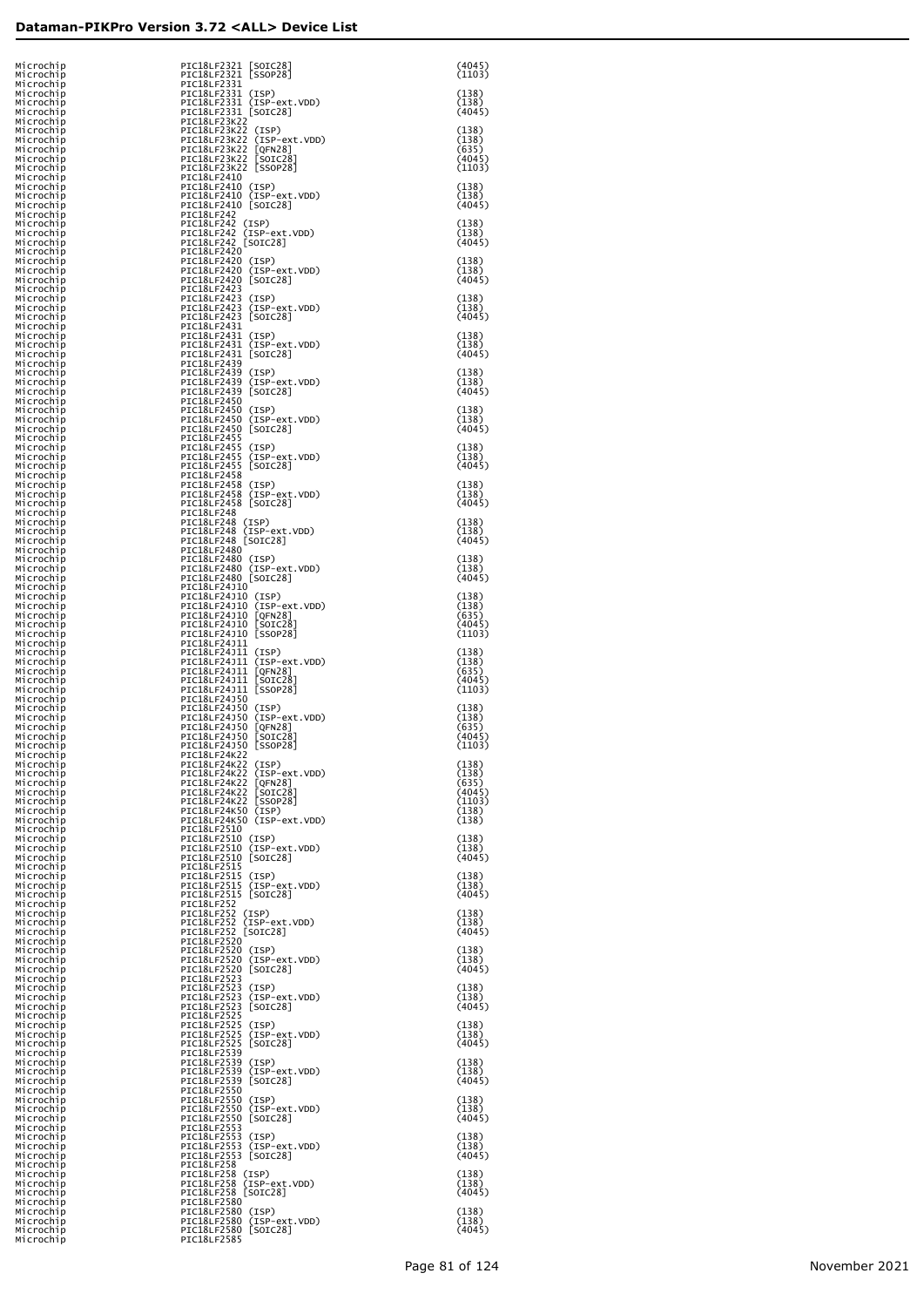| Microchip<br>Microchip    | PIC18LF2321 [SOIC28]<br>PIC18LF2321 [SSOP28]                                                                                                                             | (4045)<br>(1103) |
|---------------------------|--------------------------------------------------------------------------------------------------------------------------------------------------------------------------|------------------|
| Microchip<br>Microchip    | PIC18LF2331<br>PIC18LF2331 (ISP)                                                                                                                                         | (138)            |
| Microchip<br>Microchip    | PIC18LF2331 (ISP-ext.VDD)<br>PIC18LF2331 [SOIC28]                                                                                                                        | (138)<br>(4045)  |
| Microchip                 | PIC18LF23K22                                                                                                                                                             |                  |
| Microchip<br>Microchip    | PICI8LF23K22 (ISP)<br>PICI8LF23K22 (ISP-ext.VDD)<br>PICI8LF23K22 (ISP-ext.VDD)<br>PICI8LF23K22 [GFN28]<br>PICI8LF23K22 [SSOC28]<br>PICI8LF23K22 [SSOP28]                 | (138)<br>(138)   |
| Microchip<br>Microchip    |                                                                                                                                                                          | (635)<br>(4045)  |
| Microchip<br>Microchip    | PIC18LF2410                                                                                                                                                              | (1103)           |
| Microchip<br>Microchip    | PIC18LF2410 (ISP)                                                                                                                                                        | (138)<br>(138)   |
| Microchip                 | PIC18LF2410 (ISP-ext.VDD)<br>PIC18LF2410 [SOIC28]                                                                                                                        | (4045)           |
| Microchip<br>Microchip    | PIC18LF242<br>PIC18LF242 (ISP)                                                                                                                                           | (138)            |
| Microchip<br>Microchip    | PIC18LF242 (ISP-ext.VDD)<br>PIC18LF242 [SOIC28]                                                                                                                          | (138)<br>(4045)  |
| Microchip<br>Microchip    | PIC18LF2420<br>PIC18LF2420 (ISP)                                                                                                                                         | (138)            |
| Microchip<br>Microchip    | PIC18LF2420 (ISP-ext.VDD)<br>PIC18LF2420 [SOIC28]                                                                                                                        | (138)<br>(4045)  |
| Microchip                 | PIC18LF2423                                                                                                                                                              |                  |
| Microchip<br>Microchip    | PIC18LF2423 (ISP)<br>PIC18LF2423 (ISP-ext.VDD)                                                                                                                           | (138)<br>(138)   |
| Microchip<br>Microchip    | PIC18LF2423 [SOIC28]<br>PIC18LF2431                                                                                                                                      | (4045)           |
| Microchip<br>Microchip    | PIC18LF2431 (ISP)<br>PIC18LF2431 (ISP-ext.VDD)                                                                                                                           | (138)<br>(138)   |
| Microchip<br>Microchip    | PIC18LF2431 [SOIC28]<br>PIC18LF2439                                                                                                                                      | (4045)           |
| Microchip<br>Microchip    | PIC18LF2439 (ISP)<br>PIC18LF2439 (ISP-ext.VDD)                                                                                                                           | (138)<br>(138)   |
| Microchip<br>Microchip    | PIC18LF2439 [SOIC28]<br>PIC18LF2450                                                                                                                                      | (4045)           |
| Microchip<br>Microchip    | PIC18LF2450 (ISP)<br>PIC18LF2450 (ISP-ext.VDD)                                                                                                                           | (138)<br>(138)   |
| Microchip                 | PIC18LF2450 [SOIC28]                                                                                                                                                     | (4045)           |
| Microchip<br>Microchip    | PIC18LF2455<br>PIC18LF2455 (ISP)<br>PIC18LF2455 (ISP-ext.VDD)                                                                                                            | (138)            |
| Microchip<br>Microchip    | PIC18LF2455 [SOIC28]                                                                                                                                                     | (138)<br>(4045)  |
| Microchip<br>Microchip    | PIC18LF2458                                                                                                                                                              | (138)            |
| Microchip<br>Microchip    | PIC18LF2458 (ISP)<br>PIC18LF2458 (ISP-ext.VDD)<br>PIC18LF2458 [SOIC28]                                                                                                   | (138)<br>(4045)  |
| Microchip<br>Microchip    | PIC18LF248<br>PIC18LF248 (ISP)                                                                                                                                           | (138)            |
| Microchip<br>Microchip    | PIC18LF248 (ISP-ext.VDD)<br>PIC18LF248 [SOIC28]                                                                                                                          | (138)<br>(4045)  |
| Microchip<br>Microchip    | PIC18LF2480<br>PIC18LF2480 (ISP)                                                                                                                                         | (138)            |
| Microchip                 | PIC18LF2480 (ISP-ext.VDD)                                                                                                                                                | (138)<br>(4045)  |
| Microchip<br>Microchip    | PIC18LF2480 [SOIC28]<br>PIC18LF24J10                                                                                                                                     |                  |
| Microchip<br>Microchip    | PIC18LF24J10 (ISP)                                                                                                                                                       | (138)<br>(138)   |
| Microchip<br>Microchip    | PIC18LF24J10 (ISP-ext.VDD)<br>PIC18LF24J10 [QFN28]<br>PIC18LF24J10 [SOIC28]                                                                                              | (635)<br>(4045)  |
| Microchip<br>Microchip    | PIC18LF24J10 [SSOP28]<br>PIC18LF24J11                                                                                                                                    | (1103)           |
| Microchip<br>Microchip    |                                                                                                                                                                          | (138)<br>(138)   |
| Microchip<br>Microchip    | PIC18LF24311 (ISP)<br>PIC18LF24311 (ISP-ext.VDD)<br>PIC18LF24311 [QFN28]<br>PIC18LF24311 [SOIC28]<br>PIC18LF24311 [SOIC28]                                               | (635)<br>(4045)  |
| Microchip<br>Microchip    | PIC18LF24J11 [SSOP28]<br>PIC18LF24J50                                                                                                                                    | (1103)           |
| Microchip<br>Microchip    | PIC18LF24J50 (ISP)                                                                                                                                                       | (138)<br>(138)   |
| Microchip<br>Microchip    | PIC18LF24J50 (ISP-ext.VDD)<br>PIC18LF24J50 [QFN28]<br>PIC18LF24J50 [SOIC28]                                                                                              | (635)<br>(4045)  |
| Microchip<br>M1 Croch 1 p | PIC18LF24J50 [SSOP28]<br>PICI8LFZ4KZZ                                                                                                                                    | (1103)           |
| Microchip<br>Microchip    | PIC18LF24K22 (ISP)                                                                                                                                                       | (138)<br>(138)   |
| Microchip<br>Microchip    |                                                                                                                                                                          | (635)<br>(4045)  |
| Microchip                 | PICISLF24K22 (ISP-ext.VDD)<br>PICISLF24K22 (DFN28]<br>PICISLF24K22 [QFN28]<br>PICISLF24K22 [SOIC28]<br>PICISLF24K22 [SSOP28]<br>PICISLF24K50 (ISP)<br>PICISLF24K50 (ISP) | (1103)           |
| Microchip<br>Microchip    | PIC18LF24K50 (ISP-ext.VDD)                                                                                                                                               | (138)<br>(138)   |
| Microchip<br>Microchip    | PIC18LF2510<br>PIC18LF2510 (ISP)                                                                                                                                         | (138)            |
| Microchip<br>Microchip    | PIC18LF2510 (ISP-ext.VDD)<br>PIC18LF2510 [SOIC28]                                                                                                                        | (138)<br>(4045)  |
| Microchip<br>Microchip    | PIC18LF2515<br>PIC18LF2515 (ISP)<br>PIC18LF2515 (ISP-ext.VDD)                                                                                                            | (138)            |
| Microchip<br>Microchip    | PIC18LF2515 [SOIC28]                                                                                                                                                     | (138)<br>(4045)  |
| Microchip<br>Microchip    | PIC18LF252<br>PIC18LF252 (ISP)                                                                                                                                           | (138)            |
| Microchip<br>Microchip    | PIC18LF252 (ISP-ext.VDD)<br>PIC18LF252 [SOIC28]                                                                                                                          | (138)<br>(4045)  |
| Microchip<br>Microchip    | PIC18LF2520<br>PIC18LF2520 (ISP)                                                                                                                                         | (138)            |
| Microchip<br>Microchip    | PIC18LF2520 (ISP-ext.VDD)<br>PIC18LF2520 [SOIC28]                                                                                                                        | (138)<br>(4045)  |
| Microchip<br>Microchip    | PIC18LF2523                                                                                                                                                              | (138)            |
| Microchip<br>Microchip    | PIC18LF2523 (ISP)<br>PIC18LF2523 (ISP-ext.VDD)<br>PIC18LF2523 [SOIC28]                                                                                                   | (138)<br>(4045)  |
| Microchip                 | PIC18LF2525                                                                                                                                                              |                  |
| Microchip<br>Microchip    | PIC18LF2525 (ISP)<br>PIC18LF2525 (ISP-ext.VDD)<br>PIC18LF2525 [SOIC28]                                                                                                   | (138)<br>(138)   |
| Microchip<br>Microchip    | PIC18LF2539                                                                                                                                                              | (4045)           |
| Microchip<br>Microchip    | PIC18LF2539 (ISP)<br>PIC18LF2539 (ISP-ext.VDD)                                                                                                                           | (138)<br>(138)   |
| Microchip<br>Microchip    | PIC18LF2539 [SOIC28]<br>PIC18LF2550                                                                                                                                      | (4045)           |
| Microchip<br>Microchip    | PIC18LF2550 (ISP)<br>PIC18LF2550 (ISP-ext.VDD)                                                                                                                           | (138)<br>(138)   |
| Microchip<br>Microchip    | PIC18LF2550 [SOIC28]<br>PIC18LF2553                                                                                                                                      | (4045)           |
| Microchip<br>Microchip    | PIC18LF2553 (ISP)<br>PIC18LF2553 (ISP-ext.VDD)                                                                                                                           | (138)<br>(138)   |
| Microchip<br>Microchip    | PIC18LF2553 [SOIC28]<br>PIC18LF258                                                                                                                                       | (4045)           |
| Microchip<br>Microchip    | PIC18LF258 (ISP)<br>PIC18LF258 (ISP-ext.VDD)                                                                                                                             | (138)<br>(138)   |
| Microchip<br>Microchip    | PIC18LF258 [SOIC28]<br>PIC18LF2580                                                                                                                                       | (4045)           |
| Microchip<br>Microchip    | PIC18LF2580 (ISP)<br>PIC18LF2580 (ISP-ext.VDD)                                                                                                                           | (138)<br>(138)   |
| Microchip<br>Microchin    | PIC18LF2580 [SOIC28]<br>PIC18LF2585                                                                                                                                      | (4045)           |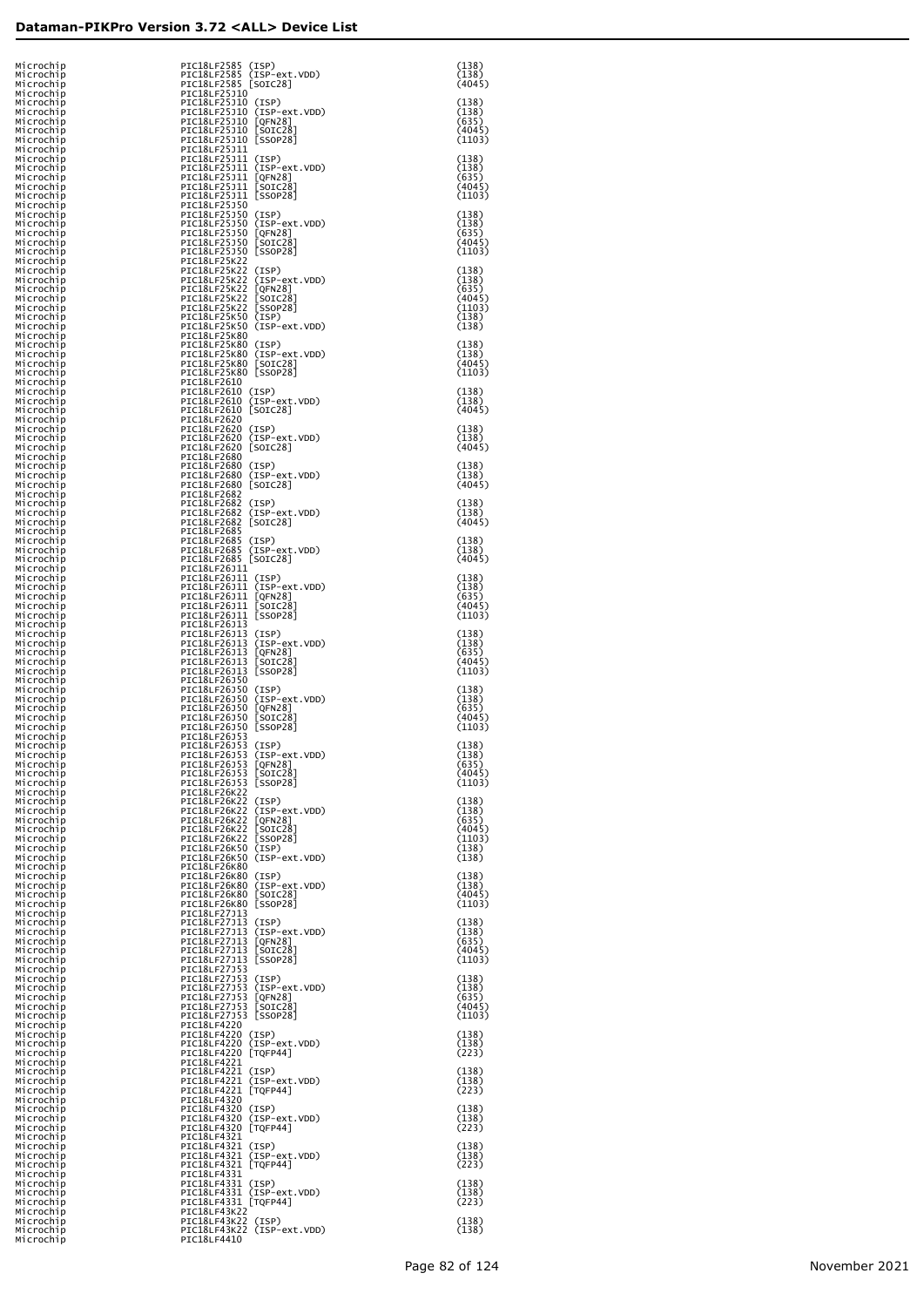| Microchip<br>Microchip              | PIC18LF2585 (ISP)<br>PIC18LF2585 (ISP-ext.VDD)                            | (138)<br>(138)            |
|-------------------------------------|---------------------------------------------------------------------------|---------------------------|
| Microchip<br>Microchip              | PIC18LF2585 [SOIC28]<br>PIC18LF25J10                                      | (4045)                    |
| Microchip<br>Microchip<br>Microchip | PIC18LF25J10 (ISP)<br>PIC18LF25J10 (ISP-ext.VDD)<br>PIC18LF25J10 [QFN28]  | (138)<br>(138)<br>(635)   |
| Microchip<br>Microchip              | PIC18LF25J10 [SOIC28]<br>PIC18LF25J10 [SSOP28]                            | (4045)<br>(1103)          |
| Microchip<br>Microchip<br>Microchip | PIC18LF25J11<br>PIC18LF25J11 (ISP)<br>PIC18LF25J11 (ISP-ext.VDD)          | (138)<br>(138)            |
| Microchip<br>Microchip              | PIC18LF25J11 [QFN28]<br>PIC18LF25J11 [SOIC28]                             | (635)<br>(4045)           |
| Microchip<br>Microchip              | PIC18LF25J11 [SSOP28]<br>PIC18LF25J50                                     | (1103)                    |
| Microchip<br>Microchip<br>Microchip | PIC18LF25J50 (ISP)<br>PIC18LF25J50 (ISP-ext.VDD)<br>PIC18LF25J50 [QFN28]  | (138)<br>(138)<br>(635)   |
| Microchip<br>Microchip              | PIC18LF25J50 [SOIC28]<br>PIC18LF25J50 [SSOP28]                            | (4045)<br>(1103)          |
| Microchip<br>Microchip<br>Microchip | PIC18LF25K22<br>PIC18LF25K22 (ISP)<br>PIC18LF25K22 (ISP-ext.VDD)          | (138)<br>(138)            |
| Microchip<br>Microchip              | PIC18LF25K22 [QFN28]<br>PIC18LF25K22 [SOIC28]                             | (635)<br>(4045)           |
| Microchip<br>Microchip              | PIC18LF25K22 [SSOP28]<br>PIC18LF25K50 (ISP)<br>PIC18LF25K50 (ISP-ext.VDD) | (1103)<br>(138)           |
| Microchip<br>Microchip<br>Microchip | PIC18LF25K80<br>PIC18LF25K80 (ISP)                                        | (138)<br>(138)            |
| Microchip<br>Microchip              | PIC18LF25K80 (ISP-ext.VDD)<br>PIC18LF25K80 [SOIC28]                       | (138)<br>(4045)           |
| Microchip<br>Microchip<br>Microchip | PIC18LF25K80 [SSOP28]<br>PIC18LF2610<br>PIC18LF2610 (ISP)                 | (1103)<br>(138)           |
| Microchip<br>Microchip              | PIC18LF2610 (ISP-ext.VDD)<br>PIC18LF2610 [SOIC28]                         | (138)<br>(4045)           |
| Microchip<br>Microchip<br>Microchip | PIC18LF2620<br>PIC18LF2620 (ISP)<br>PIC18LF2620 (ISP-ext.VDD)             | (138)<br>(138)            |
| Microchip<br>Microchip              | PIC18LF2620 [SOIC28]<br>PIC18LF2680                                       | (4045)                    |
| Microchip<br>Microchip<br>Microchip | PIC18LF2680 (ISP)<br>PIC18LF2680 (ISP-ext.VDD)<br>PIC18LF2680 [SOIC28]    | (138)<br>(138)<br>(4045)  |
| Microchip<br>Microchip              | PIC18LF2682<br>PIC18LF2682 (ISP)                                          | (138)                     |
| Microchip<br>Microchip              | PIC18LF2682 (ISP-ext.VDD)<br>PIC18LF2682 [SOIC28]                         | (138)<br>(4045)           |
| Microchip<br>Microchip<br>Microchip | PIC18LF2685<br>PIC18LF2685 (ISP)<br>PIC18LF2685 (ISP-ext.VDD)             | (138)<br>(138)            |
| Microchip<br>Microchip              | PIC18LF2685 [SOIC28]<br>PIC18LF26J11                                      | (4045)                    |
| Microchip<br>Microchip<br>Microchip | PIC18LF26J11 (ISP)<br>PIC18LF26J11 (ISP-ext.VDD)<br>PIC18LF26J11 [QFN28]  | (138)<br>(138)<br>(635)   |
| Microchip<br>Microchip              | PIC18LF26J11 [SOIC28]<br>PIC18LF26J11 [SSOP28]                            | (4045)<br>(1103)          |
| Microchip<br>Microchip<br>Microchip | PIC18LF26J13<br>PIC18LF26J13 (ISP)<br>PIC18LF26J13 (ISP-ext.VDD)          | (138)<br>(138)            |
| Microchip<br>Microchip              | PIC18LF26J13 [QFN28]<br>PIC18LF26J13 [SOIC28]                             | (635)<br>(4045)           |
| Microchip<br>Microchip<br>Microchip | PIC18LF26J13 [SSOP28]<br>PIC18LF26J50<br>PIC18LF26J50 (ISP)               | (1103)<br>(138)           |
| Microchip<br>Microchip              | PIC18LF26J50 (ISP-ext.VDD)<br>PIC18LF26J50 [QFN28]                        | (138)<br>(635)            |
| Microchip<br>Microchip<br>Microchip | PIC18LF26J50 [SOIC28]<br>PIC18LF26J50 [SSOP28]<br>PIC18LF26J53            | (4045)<br>(1103)          |
| Microchip<br>Microchip              | PIC18LF26J53 (ISP)<br>PIC18LF26J53 (ISP-ext.VDD)                          | (138)<br>(138)            |
| Microchip<br>Microchip<br>Microchip | PIC18LF26J53 [QFN28]<br>PIC18LF26J53 [SOIC28]<br>PIC18LF26J53 [SSOP28]    | (635)<br>(4045)<br>(1103) |
| Microchip<br>Microchip              | PIC18LF26K22<br>PIC18LF26K22 (ISP)                                        | (138)                     |
| Microchip<br>Microchip<br>Microchip | PIC18LF26K22 (ISP-ext.VDD)<br>PIC18LF26K22 [QFN28]                        | (138)<br>(635)<br>(4045)  |
| Microchip<br>Microchip              | PIC18LF26K22 [SOIC28]<br>PIC18LF26K22 [SOIC28]<br>PIC18LF26K50 (ISP)      | (1103)<br>(138)           |
| Microchip<br>Microchip              | PIC18LF26K50 (ISP-ext.VDD)<br>PIC18LF26K80<br>PIC18LF26K80 (ISP)          | (138)<br>(138)            |
| Microchip<br>Microchip<br>Microchip | PIC18LF26K80 (ISP-ext.VDD)<br>PIC18LF26K80 [SOIC28]                       | (138)<br>(4045)           |
| Microchip<br>Microchip              | PIC18LF26K80 [SSOP28]<br>PIC18LF27J13                                     | (1103)                    |
| Microchip<br>Microchip<br>Microchip | PIC18LF27J13 (ISP)<br>PIC18LF27J13 (ISP-ext.VDD)<br>PIC18LF27J13 [QFN28]  | (138)<br>(138)<br>(635)   |
| Microchip<br>Microchip              | PIC18LF27J13 [SOIC28]<br>PIC18LF27J13 [SSOP28]                            | (4045)<br>(1103)          |
| Microchip<br>Microchip<br>Microchip | PIC18LF27J53<br>PIC18LF27J53 (ISP)<br>PIC18LF27J53 (ISP-ext.VDD)          | (138)<br>(138)            |
| Microchip<br>Microchip              | PIC18LF27J53 [QFN28]<br>PIC18LF27J53 [SOIC28]                             | (635)<br>(4045)           |
| Microchip<br>Microchip<br>Microchip | PIC18LF27J53 [SSOP28]<br>PIC18LF4220<br>PIC18LF4220 (ISP)                 | (1103)<br>(138)           |
| Microchip<br>Microchip              | PIC18LF4220 (ISP-ext.VDD)<br>PIC18LF4220 [TQFP44]                         | (138)<br>(223)            |
| Microchip<br>Microchip<br>Microchip | PIC18LF4221<br>PIC18LF4221 (ISP)<br>PIC18LF4221 (ISP-ext.VDD)             | (138)<br>(138)            |
| Microchip<br>Microchip              | PIC18LF4221 [TQFP44]<br>PIC18LF4320                                       | (223)                     |
| Microchip<br>Microchip<br>Microchip | PIC18LF4320 (ISP)<br>PIC18LF4320 (ISP-ext.VDD)<br>PIC18LF4320 [TQFP44]    | (138)<br>(138)<br>(223)   |
| Microchip<br>Microchip              | PIC18LF4321<br>PIC18LF4321 (ISP)                                          | (138)                     |
| Microchip<br>Microchip<br>Microchip | PIC18LF4321 (ISP-ext.VDD)<br>PIC18LF4321 [TQFP44]<br>PIC18LF4331          | (138)<br>(223)            |
| Microchip<br>Microchip              | PIC18LF4331 (ISP)<br>PIC18LF4331 (ISP-ext.VDD)                            | (138)<br>(138)            |
| Microchip<br>Microchip<br>Microchip | PIC18LF4331 [TQFP44]<br>PIC18LF43K22                                      | (223)<br>(138)            |
| Microchip<br>Microchip              | PIC18LF43K22 (ISP)<br>PIC18LF43K22 (ISP-ext.VDD)<br>PIC18LF4410           | (138)                     |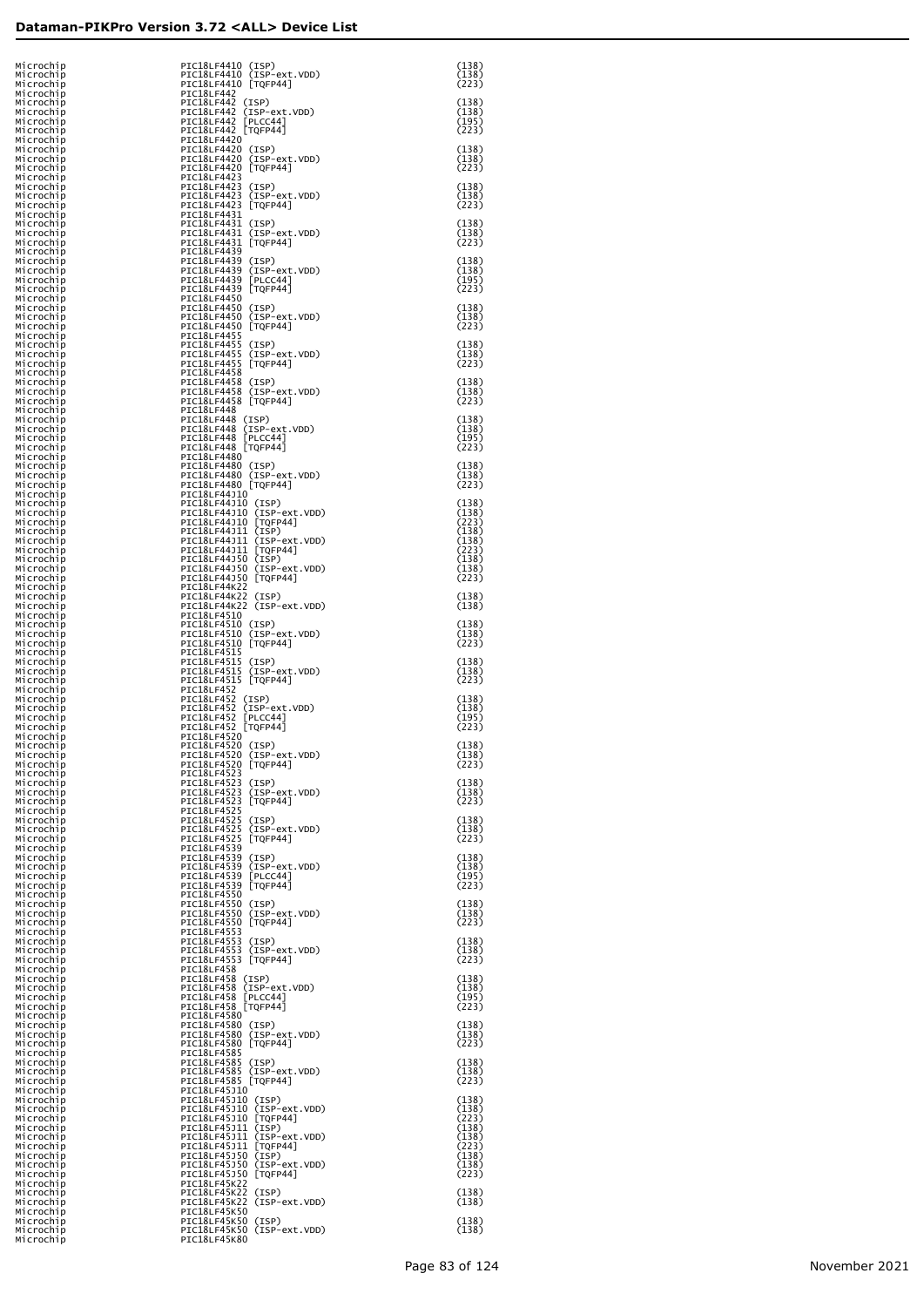| Microchip<br>Microchip              | PIC18LF4410 (ISP)<br>PIC18LF4410 (ISP-ext.VDD)                            | (138)<br>(138)          |
|-------------------------------------|---------------------------------------------------------------------------|-------------------------|
| Microchip<br>Microchip<br>Microchip | PIC18LF4410 [TQFP44]<br>PIC18LF442<br>PIC18LF442 (ISP)                    | (223)<br>(138)          |
| Microchip<br>Microchip              | PIC18LF442 (ISP-ext.VDD)<br>PIC18LF442 [PLCC44]                           | (138)<br>(195)          |
| Microchip<br>Microchip              | PIC18LF442 [TQFP44]<br>PIC18LF4420                                        | (223)                   |
| Microchip<br>Microchip<br>Microchip | PIC18LF4420 (ISP)<br>PIC18LF4420 (ISP-ext.VDD)<br>PIC18LF4420 [TQFP44]    | (138)<br>(138)<br>(223) |
| Microchip<br>Microchip              | PIC18LF4423<br>PIC18LF4423 (ISP)                                          | (138)                   |
| Microchip<br>Microchip<br>Microchip | PIC18LF4423 (ISP-ext.VDD)<br>PIC18LF4423 [TQFP44]<br>PIC18LF4431          | (138)<br>(223)          |
| Microchip<br>Microchip              | PIC18LF4431 (ISP)<br>PIC18LF4431 (ISP-ext.VDD)<br>PIC18LF4431 [TQFP44]    | (138)<br>(138)<br>(223) |
| Microchip<br>Microchip<br>Microchip | PIC18LF4439<br>PIC18LF4439 (ISP)                                          | (138)                   |
| Microchip<br>Microchip<br>Microchip | PIC18LF4439 (ISP-ext.VDD)<br>PIC18LF4439 [PLCC44]<br>PIC18LF4439 [TQFP44] | (138)<br>(195)<br>(223) |
| Microchip<br>Microchip              | PIC18LF4450<br>PIC18LF4450 (ISP)                                          | (138)                   |
| Microchip<br>Microchip<br>Microchip | PIC18LF4450 (ISP-ext.VDD)<br>PIC18LF4450 [TQFP44]<br>PIC18LF4455          | (138)<br>(223)          |
| Microchip<br>Microchip              | PIC18LF4455 (ISP)<br>PIC18LF4455 (ISP-ext.VDD)                            | (138)<br>(138)          |
| Microchip<br>Microchip<br>Microchip | PIC18LF4455 [TQFP44]<br>PIC18LF4458<br>PIC18LF4458 (ISP)                  | (223)<br>(138)          |
| Microchip<br>Microchip              | PIC18LF4458 (ISP-ext.VDD)<br>PIC18LF4458 [TQFP44]                         | (138)<br>(223)          |
| Microchip<br>Microchip<br>Microchip | PIC18LF448<br>PIC18LF448 (ISP)<br>PIC18LF448 (ISP-ext.VDD)                | (138)<br>(138)          |
| Microchip<br>Microchip<br>Microchip | PIC18LF448 [PLCC44]<br>PIC18LF448 [TQFP44]<br>PIC18LF4480                 | (195)<br>(223)          |
| Microchip<br>Microchip              | PIC18LF4480 (ISP)<br>PIC18LF4480 (ISP-ext.VDD)                            | (138)<br>(138)          |
| Microchip<br>Microchip<br>Microchip | PIC18LF4480 [TQFP44]<br>PIC18LF44J10<br>PIC18LF44J10 (ISP)                | (223)<br>(138)          |
| Microchip<br>Microchip              | PIC18LF44J10 (ISP-ext.VDD)<br>PIC18LF44J10 [TQFP44]                       | (138)<br>(223)          |
| Microchip<br>Microchip<br>Microchip | PIC18LF44J11 (ISP)<br>PIC18LF44J11 (ISP-ext.VDD)<br>PIC18LF44J11 [TQFP44] | (138)<br>(138)<br>(223) |
| Microchip<br>Microchip              | PIC18LF44J50 (ISP)<br>PIC18LF44J50 (ISP-ext.VDD)                          | (138)<br>(138)          |
| Microchip<br>Microchip<br>Microchip | PIC18LF44J50 [TQFP44]<br>PIC18LF44K22<br>PIC18LF44K22 (ISP)               | (223)<br>(138)          |
| Microchip<br>Microchip              | PIC18LF44K22 (ISP-ext.VDD)<br>PIC18LF4510                                 | (138)<br>(138)          |
| Microchip<br>Microchip<br>Microchip | PIC18LF4510 (ISP)<br>PIC18LF4510 (ISP-ext.VDD)<br>PIC18LF4510 [TQFP44]    | (138)<br>(223)          |
| Microchip<br>Microchip<br>Microchip | PIC18LF4515<br>PIC18LF4515 (ISP)<br>PIC18LF4515 (ISP-ext.VDD)             | (138)<br>(138)          |
| Microchip<br>Microchip              | PIC18LF4515 [TQFP44]<br>PIC18LF452                                        | (223)                   |
| Microchip<br>Microchip<br>Microchip | PIC18LF452 (ISP)<br>PIC18LF452 (ISP-ext.VDD)<br>PIC18LF452 [PLCC44]       | (138)<br>(138)<br>(195) |
| Microchip<br>Microchip              | PIC18LF452 [TQFP44]<br>PIC18LF4520<br>PIC18LF4520 (ISP)                   | (223)<br>(138)          |
| Microchip<br>Microchip<br>Microchip | PIC18LF4520 (ISP-ext.VDD)<br>PIC18LF4520 [TQFP44]                         | (138)<br>(223)          |
| Microchip<br>Microchip<br>Microchip | PIC18LF4523<br>PIC18LF4523 (ISP)<br>PIC18LF4523 (ISP-ext.VDD)             | (138)<br>(138)          |
| Microchip<br>Microchip              | PIC18LF4523 [TQFP44]<br>PIC18LF4525                                       | (223)                   |
| Microchip<br>Microchip<br>Microchip | PIC18LF4525 (ISP)<br>PIC18LF4525 (ISP-ext.VDD)<br>PIC18LF4525 [TQFP44]    | (138)<br>(138)<br>(223) |
| Microchip<br>Microchip              | PIC18LF4539<br>PIC18LF4539 (ISP)                                          | (138)                   |
| Microchip<br>Microchip<br>Microchip | PIC18LF4539 (ISP-ext.VDD)<br>PIC18LF4539 [PLCC44]<br>PIC18LF4539 [TQFP44] | (138)<br>(195)<br>(223) |
| Microchip<br>Microchip<br>Microchip | PIC18LF4550<br>PIC18LF4550 (ISP)<br>PIC18LF4550 (ISP-ext.VDD)             | (138)<br>(138)          |
| Microchip<br>Microchip              | PIC18LF4550 [TQFP44]<br>PIC18LF4553                                       | (223)                   |
| Microchip<br>Microchip<br>Microchip | PIC18LF4553 (ISP)<br>PIC18LF4553 (ISP-ext.VDD)<br>PIC18LF4553 [TQFP44]    | (138)<br>(138)<br>(223) |
| Microchip<br>Microchip              | PIC18LF458<br>PIC18LF458 (ISP)                                            | (138)                   |
| Microchip<br>Microchip<br>Microchip | PIC18LF458 (ISP-ext.VDD)<br>PIC18LF458 [PLCC44]<br>PIC18LF458 [TQFP44]    | (138)<br>(195)<br>(223) |
| Microchip<br>Microchip              | PIC18LF4580<br>PIC18LF4580 (ISP)                                          | (138)                   |
| Microchip<br>Microchip<br>Microchip | PIC18LF4580 (ISP-ext.VDD)<br>PIC18LF4580 [TQFP44]<br>PIC18LF4585          | (138)<br>(223)          |
| Microchip<br>Microchip<br>Microchip | PIC18LF4585 (ISP)<br>PIC18LF4585 (ISP-ext.VDD)<br>PIC18LF4585 [TQFP44]    | (138)<br>(138)<br>(223) |
| Microchip<br>Microchip              | PIC18LF45J10<br>PIC18LF45J10 (ISP)                                        | (138)                   |
| Microchip<br>Microchip<br>Microchip | PIC18LF45J10 (ISP-ext.VDD)<br>PIC18LF45J10 [TQFP44]<br>PIC18LF45J11 (ISP) | (138)<br>(223)<br>(138) |
| Microchip<br>Microchip              | PIC18LF45J11 (ISP-ext.VDD)<br>PIC18LF45J11 [TQFP44]<br>PIC18LF45J50 (ISP) | (138)<br>(223)<br>(138) |
| Microchip<br>Microchip<br>Microchip | PIC18LF45J50 (ISP-ext.VDD)<br>PIC18LF45J50 [TQFP44]                       | (138)<br>(223)          |
| Microchip<br>Microchip<br>Microchip | PIC18LF45K22<br>PIC18LF45K22 (ISP)<br>PIC18LF45K22 (ISP-ext.VDD)          | (138)<br>(138)          |
| Microchip<br>Microchip              | PIC18LF45K50<br>PIC18LF45K50 (ISP)                                        | (138)                   |
| Microchip<br>Microchip              | PIC18LF45K50 (ISP-ext.VDD)<br>PIC18LF45K80                                | (138)                   |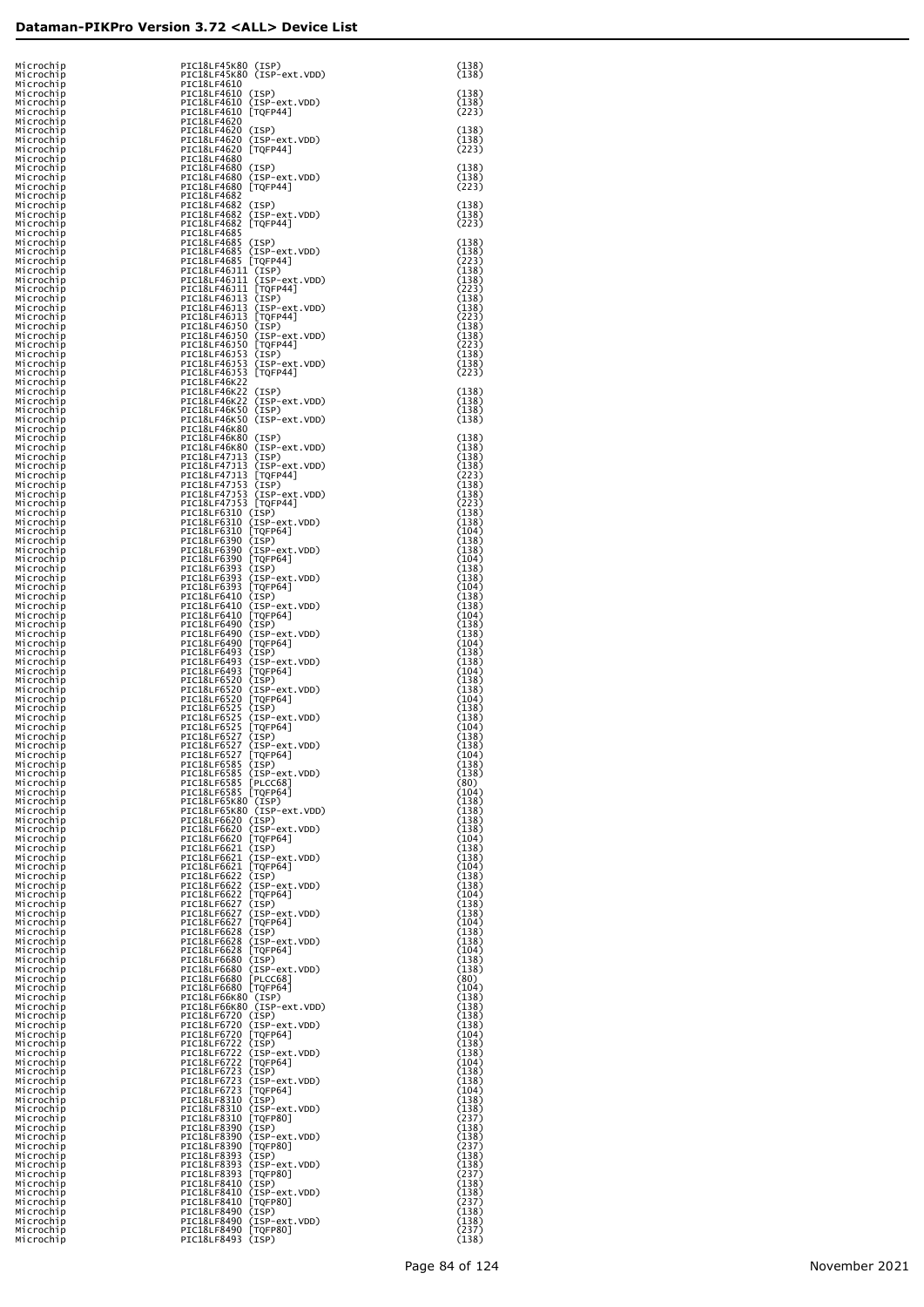| Microchip<br>Microchip              | PIC18LF45K80 (ISP)<br>PIC18LF45K80 (ISP-ext.VDD)                                                                                                                                                           | (138)<br>(138)          |
|-------------------------------------|------------------------------------------------------------------------------------------------------------------------------------------------------------------------------------------------------------|-------------------------|
| Microchip<br>Microchip<br>Microchip | PIC18LF4610<br>PIC18LF4610 (ISP)<br>PIC18LF4610 (ISP-ext.VDD)                                                                                                                                              | (138)<br>(138)          |
| Microchip<br>Microchip              | PIC18LF4610 [TQFP44]<br>PIC18LF4620<br>PIC18LF4620 (ISP)                                                                                                                                                   | (223)<br>(138)          |
| Microchip<br>Microchip<br>Microchip | PIC18LF4620 (ISP-ext.VDD)<br>PIC18LF4620 [TQFP44]                                                                                                                                                          | (138)<br>(223)          |
| Microchip<br>Microchip<br>Microchip | PIC18LF4680<br>PIC18LF4680 (ISP)<br>PIC18LF4680 (ISP-ext.VDD)                                                                                                                                              | (138)<br>(138)          |
| Microchip<br>Microchip              | PIC18LF4680 [TQFP44]<br>PIC18LF4682                                                                                                                                                                        | (223)                   |
| Microchip<br>Microchip<br>Microchip | PIC18LF4682 (ISP)<br>PIC18LF4682 (ISP-ext.VDD)<br>PIC18LF4682 [TQFP44]                                                                                                                                     | (138)<br>(138)<br>(223) |
| Microchip<br>Microchip              | PIC18LF4685<br>PIC18LF4685 (ISP)                                                                                                                                                                           | (138)                   |
| Microchip<br>Microchip<br>Microchip | PIC18LF4685 (ISP-ext.VDD)<br>PIC18LF4685 [TQFP44]<br>PIC18LF46J11 (ISP)                                                                                                                                    | (138)<br>(223)<br>(138) |
| Microchip<br>Microchip<br>Microchip | PIC18LF46J11 (ISP-ext.VDD)<br>PIC18LF46J11 [TQFP44]<br>PIC18LF46J13 (ISP)                                                                                                                                  | (138)<br>(223)<br>(138) |
| Microchip<br>Microchip              | PIC18LF46J13 (ISP-ext.VDD)<br>PIC18LF46J13 [TQFP44]                                                                                                                                                        | (138)<br>(223)          |
| Microchip<br>Microchip<br>Microchip | PIC18LF46J50 (ISP)<br>PIC18LF46J50 (ISP-ext.VDD)<br>PIC18LF46J50 [TQFP44]                                                                                                                                  | (138)<br>(138)<br>(223) |
| Microchip<br>Microchip              | PIC18LF46J53 (ISP)<br>PIC18LF46J53<br>(ISP-ext.VDD)                                                                                                                                                        | (138)<br>(138)          |
| Microchip<br>Microchip<br>Microchip | PIC18LF46J53 [TQFP44]<br><b>PIC18LF46K22</b>                                                                                                                                                               | (223)<br>(138)          |
| Microchip<br>Microchip<br>Microchip | PIC18LF46K22 (ISP)<br>PIC18LF46K22 (ISP-ext.VDD)<br>PIC18LF46K50 (ISP)<br>PIC18LF46K50 (ISP-ext.VDD)                                                                                                       | (138)<br>(138)<br>(138) |
| Microchip<br>Microchip              | PIC18LF46K80<br>PIC18LF46K80 (ISP)                                                                                                                                                                         | (138)                   |
| Microchip<br>Microchip<br>Microchip | PIC18LF46K80 (ISP-ext.VDD)<br>PIC18LF47J13 (ISP)<br>PIC18LF47J13 (ISP-ext.VDD)                                                                                                                             | (138)<br>(138)<br>(138) |
| Microchip<br>Microchip              | PIC18LF47J13 [TQFP44]<br>PIC18LF47J53 (ISP)                                                                                                                                                                | (223)<br>(138)          |
| Microchip<br>Microchip<br>Microchip | PIC18LF47J53<br>(ISP-ext.VDD)<br>PIC18LF47J53 [TQFP44]<br>PIC18LF6310 (ISP)                                                                                                                                | (138)<br>(223)<br>(138) |
| Microchip<br>Microchip              | PIC18LF6310 (ISP-ext.VDD)<br>PIC18LF6310 [TQFP64]                                                                                                                                                          | (138)<br>(104)          |
| Microchip<br>Microchip<br>Microchip | PIC18LF6390 (ISP)<br>PIC18LF6390 (ISP-ext.VDD)<br>PIC18LF6390 [TQFP64]                                                                                                                                     | (138)<br>(138)<br>(104) |
| Microchip<br>Microchip<br>Microchip | PIC18LF6393 (ISP)<br>PIC18LF6393 (ISP-ext.VDD)<br>PIC18LF6393 [TQFP64]                                                                                                                                     | (138)<br>(138)<br>(104) |
| Microchip<br>Microchip              | PIC18LF6410 (ISP)<br>PIC18LF6410 (ISP-ext.VDD)                                                                                                                                                             | (138)<br>(138)          |
| Microchip<br>Microchip<br>Microchip | PIC18LF6410 [TQFP64]<br>PIC18LF6490 (ISP)                                                                                                                                                                  | (104)<br>(138)<br>(138) |
| Microchip<br>Microchip<br>Microchip | PIC18LF6490 (ISP-ext.VDD)<br>PIC18LF6490 [TQFP64]<br>PIC18LF6493 (ISP)<br>PIC18LF6493<br>(ISP-ext.VDD)                                                                                                     | (104)<br>(138)<br>(138) |
| Microchip<br>Microchip              | PIC18LF6493 [TQFP64]<br>PIC18LF6520 (ISP)                                                                                                                                                                  | (104)<br>(138)          |
| Microchip<br>Microchip<br>Microchip | PIC18LF6520<br>(ISP-ext.VDD)<br>PIC18LF6520 [TQFP64]<br>PIC18LF6525 (ISP)                                                                                                                                  | (138)<br>(104)<br>(138) |
| Microchip<br>Microchip              | PIC18LF6525<br>(ISP-ext.VDD)<br>PIC18LF6525 [TQFP64]<br>PIC18LF6527 (ISP)                                                                                                                                  | (138)<br>(104)<br>(138) |
| Microchip<br>Microchip<br>Microchip | PIC18LF6527<br>(ISP-ext.VDD)<br>PIC18LF6527<br>[TQFP64]                                                                                                                                                    | (138)<br>104)           |
| Microchip<br>Microchip<br>Microchip | PIC18LF6585 (ISP)<br>PIC18LF6585 (ISP-ext.VDD)                                                                                                                                                             | (138)<br>(138)<br>(80)  |
| Microchip<br>Microchip              | PIC18LF6585 [PLCC68]<br>PIC18LF6585 [TQFP64]<br>PIC18LF65K80 (ISP)                                                                                                                                         | (104)<br>(138)          |
| Microchip<br>Microchip<br>Microchip | PIC18LF65K80 (ISP-ext.VDD)<br>PIC18LF6620 (ISP)                                                                                                                                                            | (138)<br>(138)<br>(138) |
| Microchip<br>Microchip<br>Microchip | PICI&LF6620 (ISP-ext.VDD)<br>PICI&LF6620 [TQFP64]<br>PICI&LF6621 (ISP)<br>PICI&LF6621 (ISP)<br>PICI&LF6621 [TQFP64]<br>PICI&LF6621 [TQFP64]<br>PICI&LF6622 (ISP)<br>PICI&LF6622 (ISP)<br>PICI&LF6622 (ISP) | (104)<br>(138)<br>(138) |
| Microchip<br>Microchip              |                                                                                                                                                                                                            | (104)<br>(138)          |
| Microchip<br>Microchip<br>Microchip | PICISLF6622 (ISP-ext.VDD)<br>PICISLF6622 [TQFP64]<br>PICISLF6627 (ISP)<br>PICISLF6627 (ISP-ext.VDD)<br>PICISLF6627 [TQFP64]<br>RICISLF6628 [TQFP64]                                                        | (138)<br>(104)<br>(138) |
| Microchip<br>Microchip<br>Microchip | PIC18LF6628 (ISP)                                                                                                                                                                                          | (138)<br>(104)<br>(138) |
| Microchip<br>Microchip              | PIC18LF6628 (ISP-ext.VDD)<br>PIC18LF6628 [TQFP64]<br>PIC18LF6680 (ISP)                                                                                                                                     | (138)<br>(104)          |
| Microchip<br>Microchip<br>Microchip | PIC18LF6680 (ISP-ext.VDD)                                                                                                                                                                                  | (138)<br>(138)<br>(80)  |
| Microchip<br>Microchip              | PIC18LF6680 [PLCC68]<br>PIC18LF6680 [TQFP64]<br>PIC18LF66K80 (ISP)                                                                                                                                         | (104)<br>(138)          |
| Microchip<br>Microchip<br>Microchip | PIC18LF66K80 (ISP-ext.VDD)<br>PIC18LF6720 (ISP)                                                                                                                                                            | (138)<br>(138)<br>(138) |
| Microchip<br>Microchip<br>Microchip | PIC18LF6720 (ISP-ext.VDD)<br>PIC18LF6720 [TQFP64]<br>PIC18LF6722 (ISP)                                                                                                                                     | (104)<br>(138)<br>(138) |
| Microchip<br>Microchip              | PIC18LF6722 (ISP-ext.VDD)<br>PIC18LF6722 [TQFP64]<br>PIC18LF6723 (ISP)                                                                                                                                     | (104)<br>(138)          |
| Microchip<br>Microchip<br>Microchip | PIC18LF6723<br>(ISP-ext.VDD)<br>PIC18LF6723 [TQFP64]<br>PIC18LF8310 (ISP)                                                                                                                                  | (138)<br>(104)<br>(138) |
| Microchip<br>Microchip<br>Microchip | PIC18LF8310 (ISP-ext.VDD)<br>PIC18LF8310 [TOFP80]<br>PIC18LF8390 (ISP)                                                                                                                                     | (138)<br>(237)<br>(138) |
| Microchip<br>Microchip              | PIC18LF8390 (ISP-ext.VDD)<br>PIC18LF8390 [TQFP80]                                                                                                                                                          | (138)<br>(237)          |
| Microchip<br>Microchip<br>Microchip | PIC18LF8393 (ISP)<br>PIC18LF8393 (ISP-ext.VDD)<br>PIC18LF8393 [TQFP80]                                                                                                                                     | (138)<br>(138)<br>(237) |
| Microchip<br>Microchip              | PIC18LF8410 (ISP)<br>PIC18LF8410 (ISP-ext.VDD)                                                                                                                                                             | (138)<br>(138)          |
| Microchip<br>Microchip<br>Microchip | PIC18LF8410 [TQFP80]<br>PIC18LF8490 (ISP)                                                                                                                                                                  | (237)<br>(138)<br>(138) |
| Microchip<br>Microchip              | PIC18LF8490 (ISP-ext.VDD)<br>PIC18LF8490 [TQFP80]<br>PIC18LF8493 (ISP)                                                                                                                                     | (237)<br>(138)          |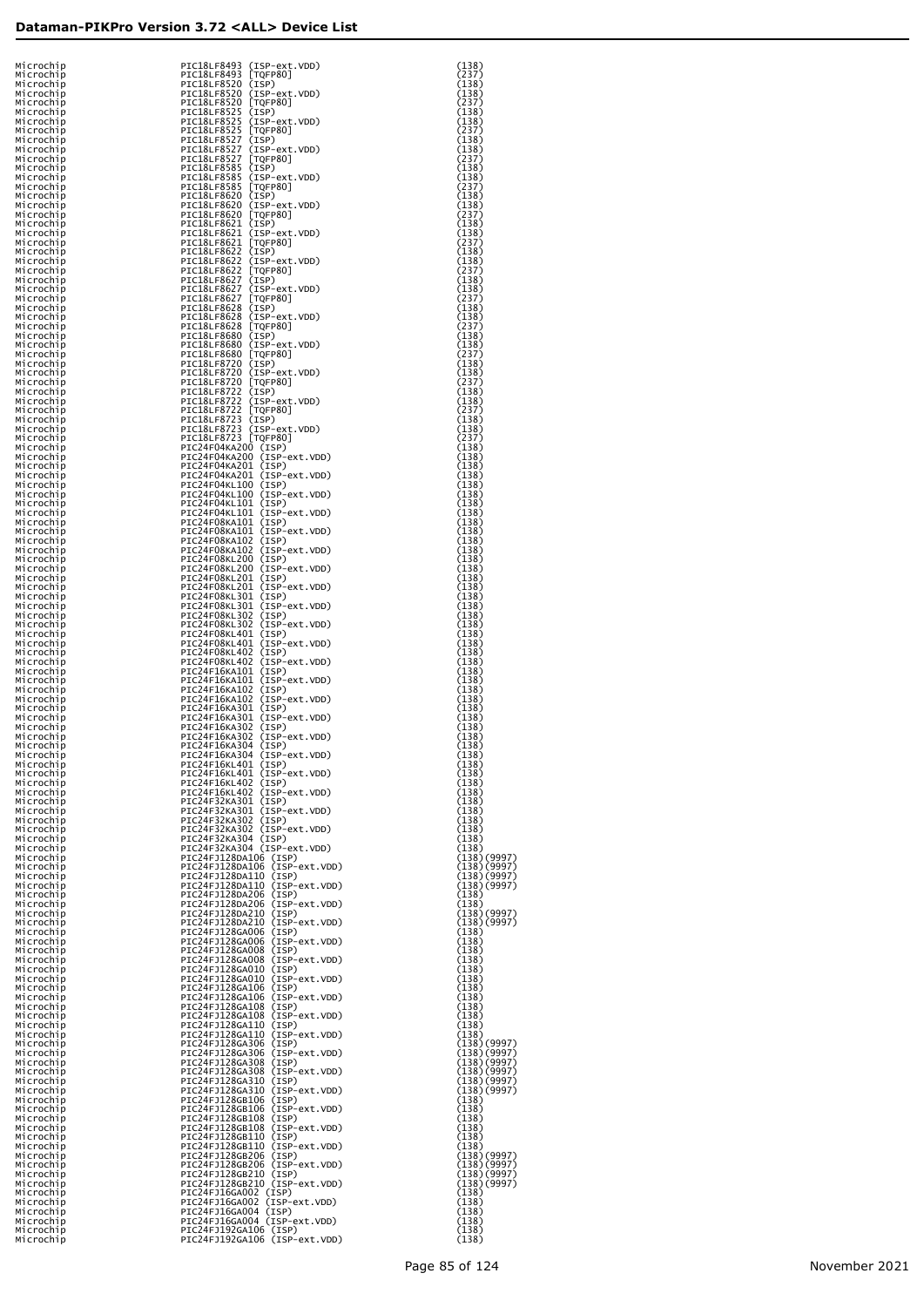| Microchip              | PIC18LF8493 (ISP-ext.VDD)                                                                                                                                                                       | (138)<br>(237)             |
|------------------------|-------------------------------------------------------------------------------------------------------------------------------------------------------------------------------------------------|----------------------------|
| Microchip<br>Microchip | PIC18LF8493 [TQFP80]<br>PIC18LF8520 (ISP)                                                                                                                                                       | (138)                      |
| Microchip              | PIC18LF8520 (ISP-ext.VDD)                                                                                                                                                                       | (138)                      |
| Microchip<br>Microchip |                                                                                                                                                                                                 | (237)<br>(138)             |
| Microchip              | PICI8LF8520 [TQFP80]<br>PICI8LF8525 (ISP)<br>PICI8LF8525 (ISP)<br>PICI8LF8525 [TQFP80]<br>PICI8LF8525 [TQFP80]<br>PICI8LF8525 [TQFP80]                                                          | (138)                      |
| Microchip<br>Microchip |                                                                                                                                                                                                 | (237)<br>(138)             |
| Microchip              | PICI8LF8527 (ISP)<br>PICI8LF8527 (ISP)<br>PICI8LF8527 (ISP-ext.VDD)<br>PICI8LF8527 [TOFP80]<br>PICI8LF8585 (ISP-ext.VDD)<br>PICI8LF8585 [TOFP80]<br>PICI8LF8585 [TOFP80]<br>PICI8LE8620 [TOF80] | (138)                      |
| Microchip<br>Microchip |                                                                                                                                                                                                 | (237)<br>(138)             |
| Microchip              |                                                                                                                                                                                                 | (138)                      |
| Microchip              |                                                                                                                                                                                                 | (237)<br>(138)             |
| Microchip<br>Microchip | PIC18LF8620 (ISP)                                                                                                                                                                               | (138)                      |
| Microchip              | PIC18LF8620 (ISP-ext.VDD)<br>PIC18LF8620 [TQFP80]                                                                                                                                               | (237)                      |
| Microchip<br>Microchip | PIC18LF8621 (ISP)                                                                                                                                                                               | (138)<br>(138)             |
| Microchip              | PIC18LF8621 (ISP-ext.VDD)<br>PIC18LF8621 [TQFP80]                                                                                                                                               | (237)                      |
| Microchip<br>Microchip | PIC18LF8622 (ISP)<br>PIC18LF8622 (ISP-ext.VDD)                                                                                                                                                  | (138)<br>(138)             |
| Microchip              |                                                                                                                                                                                                 | (237)                      |
| Microchip<br>Microchip | PIC18LF8622 [TOFP80]<br>PIC18LF8627 (ISP)<br>PIC18LF8627 (ISP)<br>PIC18LF8627 [TOFP80]<br>PIC18LF8627 [TOFP80]                                                                                  | (138)<br>(138)             |
| Microchip              |                                                                                                                                                                                                 | (237)                      |
| Microchip<br>Microchip | PIC18LF8628 (ISP)<br>PIC18LF8628 (ISP-ext.VDD)                                                                                                                                                  | (138)<br>(138)             |
| Microchip              | PIC18LF8628 [TQFP80]                                                                                                                                                                            | (237)                      |
| Microchip              | PIC18LF8680 (ISP)                                                                                                                                                                               | (138)<br>(138)             |
| Microchip<br>Microchip | PIC18LF8680 (ISP-ext.VDD)<br>PIC18LF8680 [TQFP80]                                                                                                                                               | (237)                      |
| Microchip              | PIC18LF8720 (ISP)                                                                                                                                                                               | (138)                      |
| Microchip<br>Microchip | PIC18LF8720 (ISP-ext.VDD)<br>PIC18LF8720 [TQFP80]                                                                                                                                               | (138)<br>(237)             |
| Microchip              | PIC18LF8722 (ISP)                                                                                                                                                                               | (138)                      |
| Microchip<br>Microchip | PIC18LF8722 (ISP-ext.VDD)<br>PIC18LF8722 [TQFP80]                                                                                                                                               | (138)<br>(237)             |
| Microchip              | PIC18LF8723 (ISP)                                                                                                                                                                               | (138)                      |
| Microchip<br>Microchip | PIC18LF8723 (ISP-ext.VDD)<br>PIC18LF8723 [TQFP80]                                                                                                                                               | (138)<br>(237)             |
| Microchip              | PIC24F04KA200 (ISP)                                                                                                                                                                             | (138)                      |
| Microchip<br>Microchip | PIC24F04KA200 (ISP-ext.VDD)<br>PIC24F04KA201 (ISP)                                                                                                                                              | (138)<br>(138)             |
| Microchip              | PIC24F04KA201 (ISP-ext.VDD)                                                                                                                                                                     | (138)                      |
| Microchip<br>Microchip | PIC24F04KL100 (ISP)<br>PIC24F04KL100 (ISP-ext.VDD)                                                                                                                                              | (138)<br>(138)             |
| Microchip              | PIC24F04KL101 (ISP)                                                                                                                                                                             | (138)                      |
| Microchip<br>Microchip | PIC24F04KL101 (ISP-ext.VDD)<br>PIC24F08KA101 (ISP)                                                                                                                                              | (138)<br>(138)             |
| Microchip              | PIC24F08KA101 (ISP-ext.VDD)                                                                                                                                                                     | (138)                      |
| Microchip<br>Microchip | PIC24F08KA102 (ISP)<br>PIC24F08KA102 (ISP-ext.VDD)                                                                                                                                              | (138)<br>(138)             |
| Microchip              | PIC24F08KL200 (ISP)                                                                                                                                                                             | (138)                      |
| Microchip<br>Microchip | PIC24F08KL200 (ISP-ext.VDD)<br>PIC24F08KL201 (ISP)                                                                                                                                              | (138)<br>(138)             |
| Microchip              | PIC24F08KL201 (ISP-ext.VDD)                                                                                                                                                                     | (138)                      |
| Microchip<br>Microchip | PIC24F08KL301 (ISP)<br>PIC24F08KL301 (ISP-ext.VDD)                                                                                                                                              | (138)<br>(138)             |
| Microchip              | PIC24F08KL302 (ISP)                                                                                                                                                                             | (138)                      |
| Microchip<br>Microchip | PIC24F08KL302 (ISP-ext.VDD)<br>PIC24F08KL401 (ISP)                                                                                                                                              | (138)<br>(138)             |
| Microchip              | PIC24F08KL401 (ISP-ext.VDD)                                                                                                                                                                     | (138)                      |
| Microchip<br>Microchip | PIC24F08KL402 (ISP)<br>PIC24F08KL402 (ISP-ext.VDD)                                                                                                                                              | (138)<br>(138)             |
| Microchip              | PIC24F16KA101 (ISP)<br>PIC24F16KA101 (ISP-ext.VDD)                                                                                                                                              | (138)<br>(138)             |
| Microchip<br>Microchip | PIC24F16KA102 (ISP)                                                                                                                                                                             | (138)                      |
| Microchip              | PIC24F16KA102 (ISP-ext.VDD)                                                                                                                                                                     | (138)                      |
| Microchip<br>Microchip | PIC24F16KA301 (ISP)<br>PIC24F16KA301 (ISP-ext.VDD)                                                                                                                                              | (138)<br>(138)             |
| Microchip              | PIC24F16KA302 (ISP)<br>PIC24F16KA302 (ISP-ext.VDD)                                                                                                                                              | (138)<br>(138)             |
| Microchip<br>Microchip | PIC24F16KA304 (ISP)                                                                                                                                                                             | (138)                      |
| Microchip<br>Microchip | PIC24F16KA304 (ISP-ext.VDD)<br>PIC24F16KL401 (ISP)                                                                                                                                              | (138)                      |
| Microchip              | PIC24F16KL401 (ISP-ext.VDD)                                                                                                                                                                     | (138)<br>(138)             |
| Microchip<br>Microchip | PIC24F16KL402 (ISP)<br>PIC24F16KL402 (ISP-ext.VDD)                                                                                                                                              | (138)<br>(138)             |
| Microchip              | PIC24F32KA301 (ISP)                                                                                                                                                                             | (138)                      |
| Microchip<br>Microchip | PIC24F32KA301 (ISP-ext.VDD)                                                                                                                                                                     | (138)<br>(138)             |
| Microchip              | PIC24F32KA302 (ISP)<br>PIC24F32KA302 (ISP)<br>PIC24F32KA304 (ISP)<br>PIC24F32KA304 (ISP)<br>PIC24F32KA304 (ISP-ext.VDD)                                                                         | (138)                      |
| Microchip<br>Microchip |                                                                                                                                                                                                 | (138)<br>(138)             |
| Microchip              | PIC24FJ128DA106 (ISP)<br>PIC24FJ128DA106 (ISP-ext.VDD)                                                                                                                                          | (138)(9997)                |
| Microchip<br>Microchip | PIC24FJ128DA110 (ISP)                                                                                                                                                                           | (138)(9997)<br>(138)(9997) |
| Microchip              | PIC24FJ128DA110 (ISP-ext.VDD)                                                                                                                                                                   | (138)(9997)                |
| Microchip<br>Microchip | PIC24FJ128DA206 (ISP)<br>PIC24FJ128DA206 (ISP-ext.VDD)                                                                                                                                          | (138)<br>(138)             |
| Microchip              | PIC24FJ128DA210 (ISP)                                                                                                                                                                           | (138)(9997)                |
| Microchip<br>Microchip |                                                                                                                                                                                                 | (138)(9997)                |
| Microchip              | PIC24FJ128DA210 (ISP-ext.VDD)<br>PIC24FJ128GA006 (ISP)<br>PIC24FJ128GA006 (ISP)<br>PIC24FJ128GA006 (ISP)<br>PIC24FJ128GA008 (ISP)<br>PIC24FJ128GA008 (ISP)<br>PIC24FJ128GA008 (ISP)             | (138)<br>(138)             |
| Microchip              |                                                                                                                                                                                                 | (138)<br>(138)             |
| Microchip<br>Microchip | PIC24FJ128GA010 (ISP)                                                                                                                                                                           | (138)                      |
| Microchip              | PIC24FJ128GA010 (ISP-ext.VDD)                                                                                                                                                                   | (138)                      |
| Microchip<br>Microchip | PIC24FJ128GA106 (ISP)<br>PIC24FJ128GA106 (ISP-ext.VDD)                                                                                                                                          | (138)<br>(138)             |
| Microchip<br>Microchip | PIC24FJ128GA108 (ISP)<br>PIC24FJ128GA108 (ISP-ext.VDD)                                                                                                                                          | (138)<br>(138)             |
| Microchip              | PIC24FJ128GA110 (ISP)                                                                                                                                                                           | (138)                      |
| Microchip              | PIC24FJ128GA110 (ISP-ext.VDD)                                                                                                                                                                   | (138)                      |
| Microchip<br>Microchip | PIC24FJ128GA306 (ISP)<br>PIC24FJ128GA306 (ISP-ext.VDD)                                                                                                                                          | (138)(9997)<br>(138)(9997) |
| Microchip              | PIC24FJ128GA308 (ISP)<br>PIC24FJ128GA308 (ISP-ext.VDD)                                                                                                                                          | (138)(9997)                |
| Microchip<br>Microchip | PIC24FJ128GA310 (ISP)                                                                                                                                                                           | (138)(9997)<br>(138)(9997) |
| Microchip              | PIC24FJ128GA310 (ISP-ext.VDD)                                                                                                                                                                   | (138)(9997)<br>(138)       |
| Microchip<br>Microchip | PIC24FJ128GB106 (ISP)<br>PIC24FJ128GB106 (ISP-ext.VDD)                                                                                                                                          | (138)                      |
| Microchip              | PIC24FJ128GB108 (ISP)<br>PIC24FJ128GB108 (ISP-ext.VDD)                                                                                                                                          | (138)                      |
| Microchip<br>Microchip | PIC24FJ128GB110 (ISP)                                                                                                                                                                           | (138)<br>(138)             |
| Microchip              | PIC24FJ128GB110 (ISP-ext.VDD)                                                                                                                                                                   | (138)                      |
| Microchip<br>Microchip | PIC24FJ128GB206 (ISP)<br>PIC24FJ128GB206 (ISP-ext.VDD)                                                                                                                                          | (138)(9997)<br>(138)(9997) |
| Microchip              | PIC24FJ128GB210 (ISP)                                                                                                                                                                           | (138)(9997)                |
| Microchip<br>Microchip | PIC24FJ128GB210 (ISP-ext.VDD)                                                                                                                                                                   | (138)(9997)<br>(138)       |
| Microchip              | PIC24FJ16GA002 (ISP)<br>PIC24FJ16GA002 (ISP-ext.VDD)<br>PIC24FJ16GA004 (ISP)                                                                                                                    | (138)                      |
| Microchip<br>Microchip |                                                                                                                                                                                                 | (138)<br>(138)             |
| Microchip              | PIC24FJ16GA004 (ISP-ext.VDD)<br>PIC24FJ192GA106 (ISP)                                                                                                                                           | (138)                      |
| Microchip              | PIC24FJ192GA106 (ISP-ext.VDD)                                                                                                                                                                   | (138)                      |

|                                                     | (9997)<br>(9997)<br>(9997)<br>(9997) |
|-----------------------------------------------------|--------------------------------------|
|                                                     |                                      |
|                                                     | $\left($<br>7)<br>7)                 |
|                                                     |                                      |
|                                                     |                                      |
|                                                     |                                      |
|                                                     |                                      |
|                                                     |                                      |
|                                                     | )))))                                |
|                                                     | くくくくく<br>99999<br>777777             |
| うりつうりつうりょうかんだいがく くちかい こうしょう こうしょう こうしょう こうしょう こうしょう |                                      |
|                                                     |                                      |
|                                                     |                                      |
|                                                     | (9997)<br>(9997)<br>(9997)<br>(9997) |
|                                                     |                                      |
|                                                     |                                      |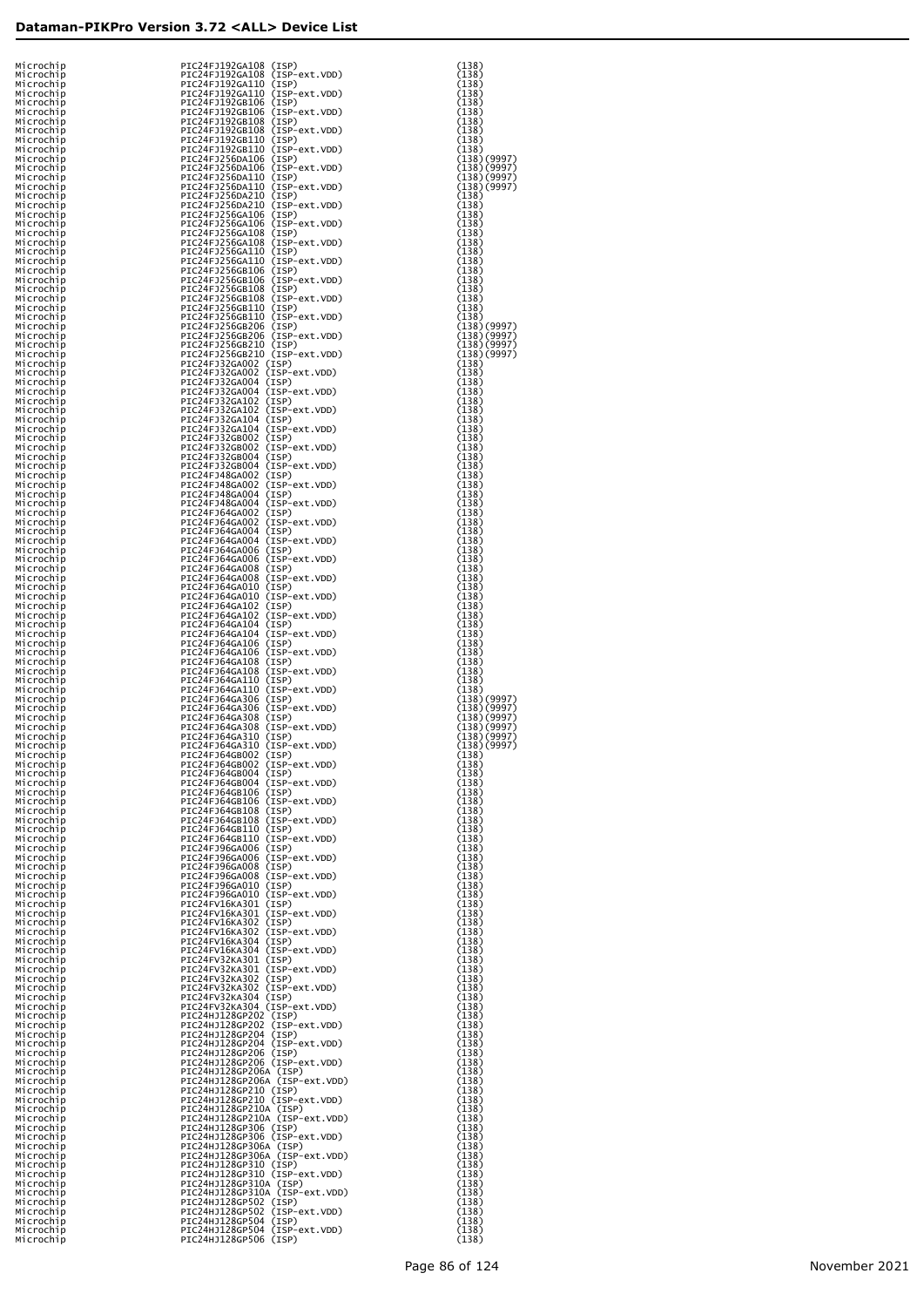| Microchip<br>Microchip | PIC24FJ192GA108 (ISP)<br>PIC24FJ192GA108 (ISP-ext.VDD)  | (138)<br>(138)             |
|------------------------|---------------------------------------------------------|----------------------------|
| Microchip<br>Microchip | PIC24FJ192GA110 (ISP)<br>PIC24FJ192GA110 (ISP-ext.VDD)  | (138)<br>(138)             |
| Microchip<br>Microchip | PIC24FJ192GB106 (ISP)<br>PIC24FJ192GB106 (ISP-ext.VDD)  | (138)<br>(138)             |
| Microchip              | PIC24FJ192GB108 (ISP)<br>PIC24FJ192GB108 (ISP-ext.VDD)  | (138)                      |
| Microchip<br>Microchip | PIC24FJ192GB110 (ISP)                                   | (138)<br>(138)             |
| Microchip              | PIC24FJ192GB110 (ISP-ext.VDD)                           | (138)                      |
| Microchip<br>Microchip | PIC24FJ256DA106 (ISP)<br>PIC24FJ256DA106 (ISP-ext.VDD)  | (138)(9997)<br>(138)(9997) |
| Microchip<br>Microchip | PIC24FJ256DA110 (ISP)<br>PIC24FJ256DA110 (ISP-ext.VDD)  | (138)(9997)<br>(138)(9997) |
| Microchip              | PIC24FJ256DA210 (ISP)                                   | (138)                      |
| Microchip<br>Microchip | PIC24FJ256DA210 (ISP-ext.VDD)                           | (138)<br>(138)             |
| Microchip              | PIC24FJ256GA106 (ISP)<br>PIC24FJ256GA106 (ISP-ext.VDD)  | (138)                      |
| Microchip<br>Microchip | PIC24FJ256GA108 (ISP)<br>PIC24FJ256GA108 (ISP-ext.VDD)  | (138)<br>(138)             |
| Microchip              | PIC24FJ256GA110 (ISP)                                   | (138)                      |
| Microchip<br>Microchip | PIC24FJ256GA110 (ISP-ext.VDD)<br>PIC24FJ256GB106 (ISP)  | (138)<br>(138)             |
| Microchip<br>Microchip | PIC24FJ256GB106 (ISP-ext.VDD)<br>PIC24FJ256GB108 (ISP)  | (138)<br>(138)             |
| Microchip              | PIC24FJ256GB108 (ISP-ext.VDD)                           | (138)                      |
| Microchip<br>Microchip | PIC24FJ256GB110 (ISP)<br>PIC24FJ256GB110 (ISP-ext.VDD)  | (138)<br>(138)             |
| Microchip              | PIC24FJ256GB206 (ISP)                                   | (138)(9997)                |
| Microchip<br>Microchip | PIC24FJ256GB206 (ISP-ext.VDD)<br>PIC24FJ256GB210 (ISP)  | (138)(9997)<br>(138)(9997) |
| Microchip              | PIC24FJ256GB210 (ISP-ext.VDD)                           | (138)(9997)                |
| Microchip<br>Microchip | PIC24FJ32GA002 (ISP)<br>PIC24FJ32GA002 (ISP-ext.VDD)    | (138)<br>(138)             |
| Microchip<br>Microchip | PIC24FJ32GA004 (ISP)<br>PIC24FJ32GA004 (ISP-ext.VDD)    | (138)<br>(138)             |
| Microchip              | PIC24FJ32GA102 (ISP)                                    | (138)                      |
| Microchip<br>Microchip | PIC24FJ32GA102 (ISP-ext.VDD)<br>PIC24FJ32GA104 (ISP)    | (138)<br>(138)             |
| Microchip              | PIC24FJ32GA104 (ISP-ext.VDD)                            | (138)                      |
| Microchip<br>Microchip | PIC24FJ32GB002 (ISP)<br>PIC24FJ32GB002 (ISP-ext.VDD)    | (138)<br>(138)             |
| Microchip<br>Microchip | PIC24FJ32GB004 (ISP)<br>PIC24FJ32GB004 (ISP-ext.VDD)    | (138)<br>(138)             |
| Microchip              | PIC24FJ48GA002 (ISP)                                    | (138)                      |
| Microchip<br>Microchip | PIC24FJ48GA002 (ISP-ext.VDD)<br>PIC24FJ48GA004 (ISP)    | (138)<br>(138)             |
| Microchip              | PIC24FJ48GA004 (ISP-ext.VDD)                            | (138)                      |
| Microchip<br>Microchip | PIC24FJ64GA002 (ISP)<br>PIC24FJ64GA002 (ISP-ext.VDD)    | (138)<br>(138)             |
| Microchip<br>Microchip | PIC24FJ64GA004 (ISP)<br>PIC24FJ64GA004 (ISP-ext.VDD)    | (138)<br>(138)             |
| Microchip              | PIC24FJ64GA006 (ISP)                                    | (138)                      |
| Microchip<br>Microchip | PIC24FJ64GA006 (ISP-ext.VDD)<br>PIC24FJ64GA008 (ISP)    | (138)<br>(138)             |
| Microchip              | PIC24FJ64GA008 (ISP-ext.VDD)                            | (138)                      |
| Microchip<br>Microchip | PIC24FJ64GA010 (ISP)<br>PIC24FJ64GA010 (ISP-ext.VDD)    | (138)<br>(138)             |
| Microchip              | PIC24FJ64GA102 (ISP)<br>PIC24FJ64GA102 (ISP-ext.VDD)    | (138)                      |
| Microchip<br>Microchip | PIC24FJ64GA104 (ISP)                                    | (138)<br>(138)             |
| Microchip<br>Microchip | PIC24FJ64GA104 (ISP-ext.VDD)<br>PIC24FJ64GA106 (ISP)    | (138)<br>(138)             |
| Microchip              | PIC24FJ64GA106 (ISP-ext.VDD)                            | (138)                      |
| Microchip<br>Microchip | PIC24FJ64GA108 (ISP)<br>PIC24FJ64GA108 (ISP-ext.VDD)    | (138)<br>(138)             |
| Microchip              | PIC24FJ64GA110 (ISP)                                    | (138)                      |
| Microchip<br>Microchip | PIC24FJ64GA110 (ISP-ext.VDD)<br>PIC24FJ64GA306 (ISP)    | (138)<br>(138)(9997)       |
| Microchip<br>Microchip | PIC24FJ64GA306 (ISP-ext.VDD)<br>PIC24FJ64GA308 (ISP)    | (138)(9997)<br>(138)(9997) |
| Microchip              | PIC24FJ64GA308 (ISP-ext.VDD)                            | (138)(9997)                |
| Microchip<br>Microchip | PIC24FJ64GA310 (ISP)<br>PIC24FJ64GA310 (ISP-ext.VDD)    | (138)(9997)<br>(138)(9997) |
| Microchip<br>Microchip | PIC24FJ64GB002 (ISP)<br>PIC24FJ64GB002 (ISP-ext.VDD)    | (138)<br>(138)             |
| Microchip              | PIC24FJ64GB004 (ISP)                                    | (138)                      |
| Microchip<br>Microchip | PIC24FJ64GB004 (ISP-ext.VDD)<br>PIC24FJ64GB106 (ISP)    | (138)<br>(138)             |
| Microchip              | PIC24FJ64GB106 (ISP-ext.VDD)                            | (138)                      |
| Microchip<br>Microchip | PIC24FJ64GB108 (ISP)<br>PIC24FJ64GB108 (ISP-ext.VDD)    | (138)<br>(138)             |
| Microchip<br>Microchip | PIC24FJ64GB110 (ISP)<br>PIC24FJ64GB110 (ISP-ext.VDD)    | (138)<br>(138)             |
| Microchip              | PIC24FJ96GA006 (ISP)                                    | (138)                      |
| Microchip<br>Microchip | PIC24FJ96GA006 (ISP-ext.VDD)<br>PIC24FJ96GA008 (ISP)    | (138)<br>(138)             |
| Microchip              | PIC24FJ96GA008 (ISP-ext.VDD)                            | (138)                      |
| Microchip<br>Microchip | PIC24FJ96GA010 (ISP)<br>PIC24FJ96GA010 (ISP-ext.VDD)    | (138)<br>(138)             |
| Microchip<br>Microchip | PIC24FV16KA301 (ISP)<br>PIC24FV16KA301 (ISP-ext.VDD)    | (138)<br>(138)             |
| Microchip              | PIC24FV16KA302 (ISP)                                    | (138)                      |
| Microchip<br>Microchip | PIC24FV16KA302 (ISP-ext.VDD)<br>PIC24FV16KA304 (ISP)    | (138)<br>(138)             |
| Microchip<br>Microchip | PIC24FV16KA304 (ISP-ext.VDD)<br>PIC24FV32KA301 (ISP)    | (138)                      |
| Microchip              | PIC24FV32KA301 (ISP-ext.VDD)                            | (138)<br>(138)             |
| Microchip<br>Microchip | PIC24FV32KA302 (ISP)<br>PIC24FV32KA302 (ISP-ext.VDD)    | (138)<br>(138)             |
| Microchip              | PIC24FV32KA304 (ISP)                                    | (138)                      |
| Microchip<br>Microchip | PIC24FV32KA304 (ISP-ext.VDD)<br>PIC24HJ128GP202 (ISP)   | (138)<br>(138)             |
| Microchip<br>Microchip | PIC24HJ128GP202 (ISP-ext.VDD)<br>PIC24HJ128GP204 (ISP)  | (138)                      |
| Microchip              | PIC24HJ128GP204 (ISP-ext.VDD)                           | (138)<br>(138)             |
| Microchip<br>Microchip | PIC24HJ128GP206 (ISP)<br>PIC24HJ128GP206 (ISP-ext.VDD)  | (138)<br>(138)             |
| Microchip              | PIC24HJ128GP206A (ISP)                                  | (138)                      |
| Microchip<br>Microchip | PIC24HJ128GP206A (ISP-ext.VDD)<br>PIC24HJ128GP210 (ISP) | (138)<br>(138)             |
| Microchip<br>Microchip | PIC24HJ128GP210 (ISP-ext.VDD)<br>PIC24HJ128GP210A (ISP) | (138)<br>(138)             |
| Microchip              | PIC24HJ128GP210A (ISP-ext.VDD)                          | (138)                      |
| Microchip<br>Microchip | PIC24HJ128GP306 (ISP)<br>PIC24HJ128GP306 (ISP-ext.VDD)  | (138)<br>(138)             |
| Microchip              | PIC24HJ128GP306A (ISP)                                  | (138)                      |
| Microchip<br>Microchip | PIC24HJ128GP306A (ISP-ext.VDD)<br>PIC24HJ128GP310 (ISP) | (138)<br>(138)             |
| Microchip<br>Microchip | PIC24HJ128GP310 (ISP-ext.VDD)<br>PIC24HJ128GP310A (ISP) | (138)<br>(138)             |
| Microchip              | PIC24HJ128GP310A (ISP-ext.VDD)                          | (138)                      |
| Microchip<br>Microchip | PIC24HJ128GP502 (ISP)<br>PIC24HJ128GP502 (ISP-ext.VDD)  | (138)<br>(138)             |
| Microchip              | PIC24HJ128GP504 (ISP)                                   | (138)                      |
| Microchip<br>Microchip | PIC24HJ128GP504 (ISP-ext.VDD)<br>PIC24HJ128GP506 (ISP)  | (138)<br>(138)             |

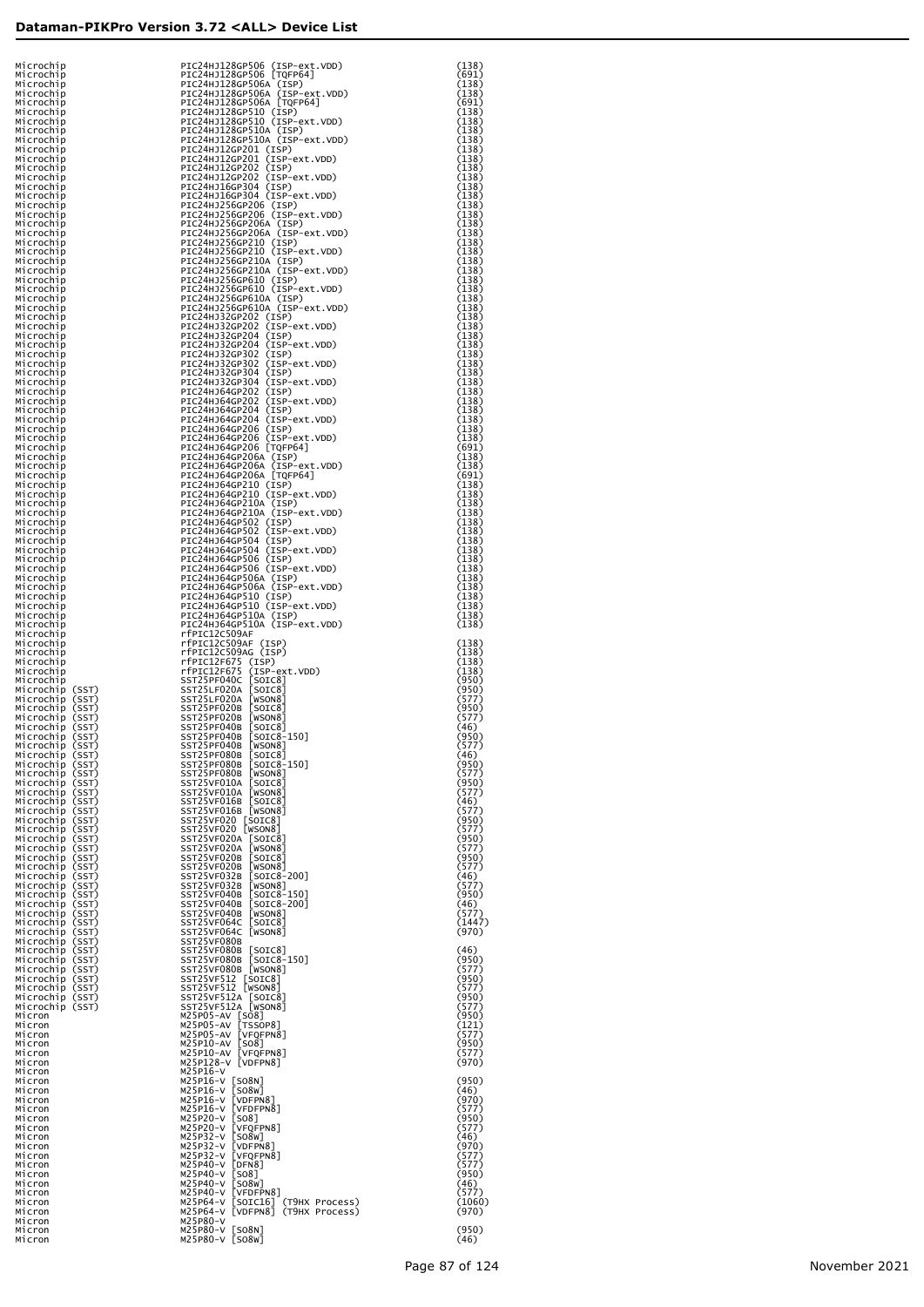| Microchip                          | PIC24HJ128GP506 (ISP-ext.VDD)                                                    | (138)           |
|------------------------------------|----------------------------------------------------------------------------------|-----------------|
| Microchip<br>Microchip             | PIC24HJ128GP506 [TQFP64]<br>PIC24HJ128GP506A (ISP)                               | (691)<br>(138)  |
| Microchip                          | PIC24HJ128GP506A (ISP-ext.VDD)<br>PIC24HJ128GP506A [TQFP64]                      | (138)           |
| Microchip<br>Microchip             | PIC24HJ128GP510 (ISP)                                                            | (691)<br>(138)  |
| Microchip<br>Microchip             | PIC24HJ128GP510 (ISP-ext.VDD)<br>PIC24HJ128GP510A (ISP)                          | (138)<br>(138)  |
| Microchip<br>Microchip             | PIC24HJ128GP510A (ISP-ext.VDD)<br>PIC24HJ12GP201 (ISP)                           | (138)           |
| Microchip                          | PIC24HJ12GP201 (ISP-ext.VDD)                                                     | (138)<br>(138)  |
| Microchip<br>Microchip             | PIC24HJ12GP202 (ISP)<br>PIC24HJ12GP202 (ISP-ext.VDD)                             | (138)<br>(138)  |
| Microchip                          | PIC24HJ16GP304 (ISP)                                                             | (138)           |
| Microchip<br>Microchip             | PIC24HJ16GP304 (ISP-ext.VDD)<br>PIC24HJ256GP206 (ISP)                            | (138)<br>(138)  |
| Microchip<br>Microchip             | PIC24HJ256GP206 (ISP-ext.VDD)<br>PIC24HJ256GP206A (ISP)                          | (138)<br>(138)  |
| Microchip                          | PIC24HJ256GP206A (ISP-ext.VDD)                                                   | (138)           |
| Microchip<br>Microchip             | PIC24HJ256GP210 (ISP)<br>PIC24HJ256GP210 (ISP-ext.VDD)                           | (138)<br>(138)  |
| Microchip                          | PIC24HJ256GP210A (ISP)                                                           | (138)           |
| Microchip<br>Microchip             | PIC24HJ256GP210A (ISP-ext.VDD)<br>PIC24HJ256GP610 (ISP)                          | (138)<br>(138)  |
| Microchip<br>Microchip             | PIC24HJ256GP610 (ISP-ext.VDD)<br>PIC24HJ256GP610A (ISP)                          | (138)<br>(138)  |
| Microchip                          | PIC24HJ256GP610A (ISP-ext.VDD)                                                   | (138)           |
| Microchip<br>Microchip             | PIC24HJ32GP202 (ISP)<br>PIC24HJ32GP202 (ISP-ext.VDD)                             | (138)<br>(138)  |
| Microchip<br>Microchip             | PIC24HJ32GP204 (ISP)<br>PIC24HJ32GP204 (ISP-ext.VDD)                             | (138)<br>(138)  |
| Microchip                          | PIC24HJ32GP302 (ISP)                                                             | (138)           |
| Microchip<br>Microchip             | PIC24HJ32GP302 (ISP-ext.VDD)<br>PIC24HJ32GP304 (ISP)                             | (138)<br>(138)  |
| Microchip                          | PIC24HJ32GP304 (ISP-ext.VDD)                                                     | (138)           |
| Microchip<br>Microchip             | PIC24HJ64GP202 (ISP)<br>PIC24HJ64GP202 (ISP-ext.VDD)                             | (138)<br>(138)  |
| Microchip<br>Microchip             | PIC24HJ64GP204 (ISP)<br>PIC24HJ64GP204 (ISP-ext.VDD)                             | (138)<br>(138)  |
| Microchip                          | PIC24HJ64GP206 (ISP)                                                             | (138)           |
| Microchip<br>Microchip             | PIC24HJ64GP206 (ISP-ext.VDD)<br>PIC24HJ64GP206 [TQFP64]                          | (138)<br>(691)  |
| Microchip                          | PIC24HJ64GP206A (ISP)                                                            | (138)           |
| Microchip<br>Microchip             | PIC24HJ64GP206A (ISP-ext.VDD)                                                    | (138)<br>(691)  |
| Microchip<br>Microchip             | PIC24HJ64GP206A [TQFP64]<br>PIC24HJ64GP210 (ISP)<br>PIC24HJ64GP210 (ISP-ext.VDD) | (138)<br>(138)  |
| Microchip                          | PIC24HJ64GP210A (ISP)                                                            | (138)           |
| Microchip<br>Microchip             | PIC24HJ64GP210A (ISP-ext.VDD)<br>PIC24HJ64GP502 (ISP)                            | (138)<br>(138)  |
| Microchip                          | PIC24HJ64GP502 (ISP-ext.VDD)                                                     | (138)           |
| Microchip<br>Microchip             | PIC24HJ64GP504 (ISP)<br>PIC24HJ64GP504 (ISP-ext.VDD)                             | (138)<br>(138)  |
| Microchip                          | PIC24HJ64GP506 (ISP)                                                             | (138)           |
| Microchip<br>Microchip             | PIC24HJ64GP506 (ISP-ext.VDD)<br>PIC24HJ64GP506A (ISP)                            | (138)<br>(138)  |
| Microchip<br>Microchip             | PIC24HJ64GP506A (ISP-ext.VDD)<br>PIC24HJ64GP510 (ISP)                            | (138)<br>(138)  |
| Microchip                          | PIC24HJ64GP510 (ISP-ext.VDD)                                                     | (138)           |
| Microchip<br>Microchip             | PIC24HJ64GP510A (ISP)<br>PIC24HJ64GP510A (ISP-ext.VDD)                           | (138)<br>(138)  |
| Microchip                          | rfPIC12C509AF                                                                    |                 |
| Microchip<br>Microchip             | rfPIC12C509AF (ISP)<br>rfPIC12C509AG (ISP)                                       | (138)<br>(138)  |
| Microchip<br>Microchip             | rfPIC12F675 (ISP)<br>rfPIC12F675 (ISP-ext.VDD)                                   | (138)<br>(138)  |
| Microchip                          | SST25PF040C [SOIC8]                                                              | (950)           |
| Microchip (SST)<br>Microchip (SST) | SST25LF020A [SOIC8]<br>SST25LF020A [WSON8]                                       | (950)<br>(577)  |
| Microchip (SST)                    | SST25PF020B [SOIC8]                                                              | (950)           |
| Microchip (SST)<br>Microchip (SST) | SST25PF020B [WSON8]<br>SST25PF040B [SOIC8]                                       | (577)<br>(46)   |
| Microchip (SST)<br>Microchin (SST) | SST25PF040B [SOIC8-150]<br>SST25PF040B [WSON8]                                   | (950)<br>(577)  |
| Microchip (SST)                    | SST25PF080B<br>[SOIC8]                                                           | (46)            |
| Microchip (SST)<br>Microchip (SST) | SST25PF080B<br>$[SOIC8-150]$<br>SST25PF080B [WSON8]                              | (950)<br>(577)  |
| Microchip (SST)                    | SST25VF010A [SOIC8]                                                              | (950)<br>(577)  |
| Microchip (SST)<br>Microchip (SST) | SST25VF010A [WSON8]<br>SST25VF016B [SOIC8]                                       | (46)            |
| Microchip (SST)<br>Microchip (SST) | SST25VF016B [WSON8]<br>SST25VF020 [SOIC8]                                        | (577)<br>(950)  |
| Microchip (SST)                    | SST25VF020 [WSON8]                                                               | (577)           |
| Microchip (SST)<br>Microchip (SST) | SST25VF020A [SOIC8]<br>SST25VF020A [WSON8]                                       | (950)<br>(577)  |
| Microchip (SST)                    | SST25VF020B [SOIC8]<br>SST25VF020B [WSON8]                                       | (950)           |
| Microchip (SST)<br>Microchip (SST) | SST25VF032B [SOIC8-200]                                                          | (577)<br>(46)   |
| Microchip (SST)<br>Microchip (SST) | SST25VF032B [WSON8]<br>SST25VF040B [SOIC8-150]                                   | (577)<br>(950)  |
| Microchip (SST)                    | SST25VF040B [SOIC8-200]                                                          | (46)            |
| Microchip (SST)<br>Microchip (SST) | SST25VF040B [WSON8]<br>SST25VF064C [SOIC8]                                       | (577)<br>(1447) |
| Microchip (SST)<br>Microchip (SST) | SST25VF064C [WSON8]<br>SST25VF080B                                               | (970)           |
| Microchip (SST)                    | SST25VF080B [SOIC8]                                                              | (46)            |
| Microchip (SST)<br>Microchip (SST) | SST25VF080B [SOIC8-150]<br>SST25VF080B [WSON8]                                   | (950)<br>(577)  |
| Microchip (SST)                    | SST25VF512 [SOIC8]                                                               | (950)           |
| Microchip (SST)<br>Microchip (SST) | SST25VF512 [WSON8]<br>SST25VF512A [SOIC8]                                        | (577)<br>(950)  |
| Microchip (SST)<br>Micron          | SST25VF512A [WSON8]<br>M25P05-AV [SO8]                                           | (577)<br>(950)  |
| Micron                             | M25P05-AV [TSSOP8]                                                               | (121)           |
| Micron<br>Micron                   | M25P05-AV [VFQFPN8]<br>M25P10-AV [SO8]                                           | (577)<br>(950)  |
| Micron                             | M25P10-AV [VFQFPN8]<br>M25P128-V [VDFPN8]                                        | (577)           |
| Micron<br>Micron                   | M25P16-V                                                                         | (970)           |
| Micron<br>Micron                   | M25P16-V [SO8N]<br>M25P16-V [SO8W]                                               | (950)<br>(46)   |
| Micron                             | M25P16-V [VDFPN8]                                                                | (970)           |
| Micron<br>Micron                   | M25P16-V [VFDFPN8]<br>M25P20-V [SO8]                                             | (577)<br>(950)  |
| Micron                             | M25P20-V [VFQFPN8]                                                               | (577)           |
| Micron<br>Micron                   | M25P32-V [SO8W]<br>M25P32-V [VDFPN8]                                             | (46)<br>(970)   |
| Micron<br>Micron                   | M25P32-V [VFQFPN8]<br>M25P40-V [DFN8]                                            | (577)<br>(577)  |
| Micron                             | M25P40-V [SO8]                                                                   | (950)           |
| Micron<br>Micron                   | M25P40-V [SO8W]<br>M25P40-V [VFDFPN8]                                            | (46)<br>(577)   |
| Micron                             | M25P64-V [SOIC16] (T9HX Process)                                                 | (1060)          |
| Micron<br>Micron                   | M25P64-V [VDFPN8] (T9HX Process)<br>M25P80-V                                     | (970)           |
| Micron<br>Micron                   | M25P80-V [SO8N]<br>M25P80-V [SO8W]                                               | (950)<br>(46)   |
|                                    |                                                                                  |                 |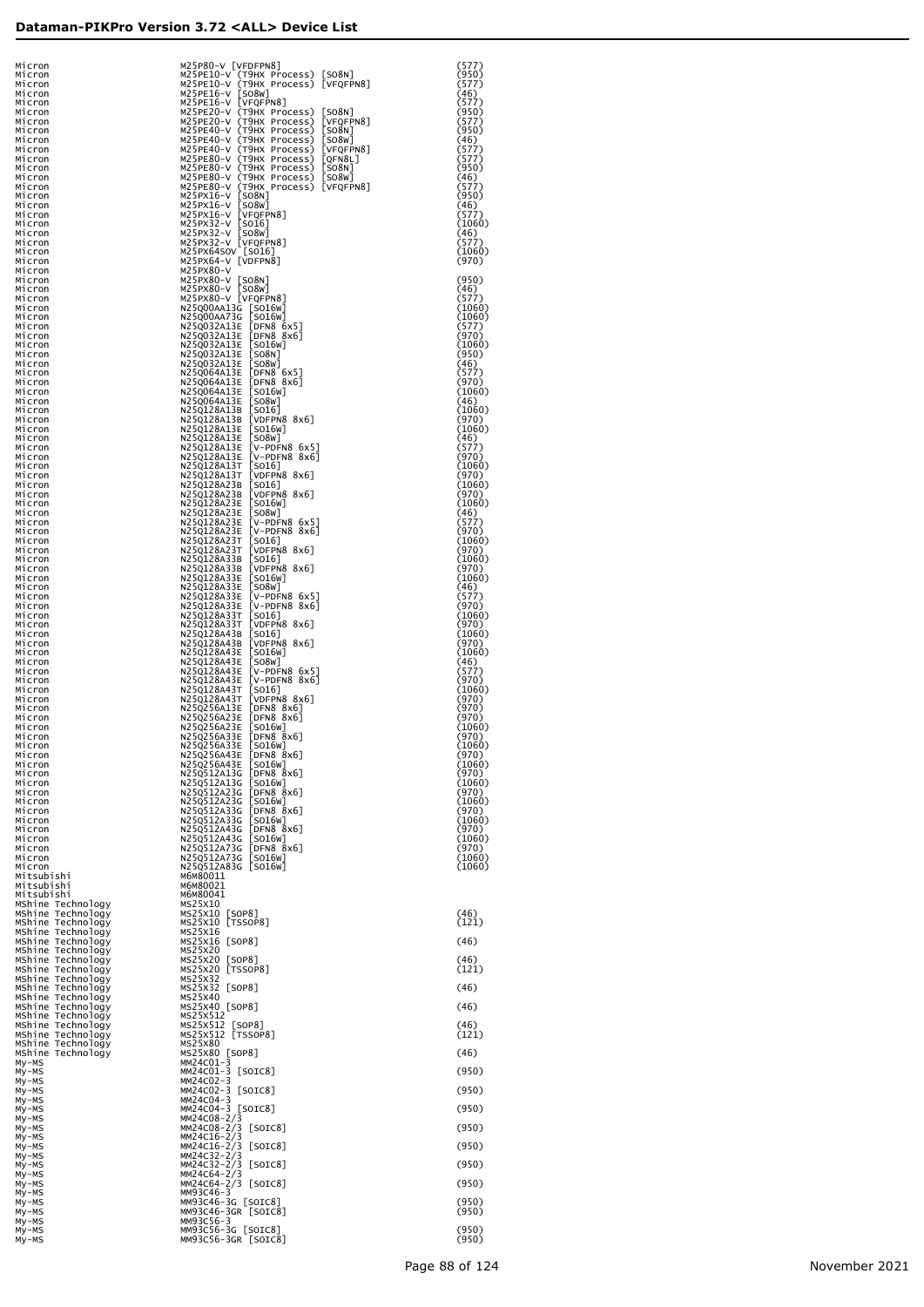| Micron<br>Micron<br>Micron<br>Micron                        | M25P80-V [VFDFPN8]<br>M25PE10-V (T9HX Process) [SO8N]<br>M25PE10-V (T9HX Process) [VFQFPN8]<br>M25PE16-V [SO8W]<br>M25PE16-V [VFQFPN8]                                                                                                                                                                     | (577)<br>(950)<br>(577)<br>(46) |
|-------------------------------------------------------------|------------------------------------------------------------------------------------------------------------------------------------------------------------------------------------------------------------------------------------------------------------------------------------------------------------|---------------------------------|
| Micron<br>Micron<br>Micron                                  | M25PE20-V (T9HX Process)<br>$\lfloor$ SO8N $\rfloor$<br>M25PE20-V (T9HX Process)<br>[VFQFPN8]                                                                                                                                                                                                              | (577)<br>(950)<br>(577)         |
| Micron<br>Micron                                            | [SO&N]<br>M25PE40-V (T9HX Process)<br>[SO8W]<br>M25PE40-V (T9HX Process)                                                                                                                                                                                                                                   | (950)<br>(46)                   |
| Micron<br>Micron                                            | M25PE40-V (T9HX Process) [VFQFPN8]<br>M25PE80-V (T9HX Process) [QFN8L]<br>M25PE80-V (T9HX Process) [QFN8L]<br>M25PE80-V (T9HX Process) [SO8N]<br>M25PE80-V (T9HX Process) [SO8W]                                                                                                                           | (577)<br>(577)                  |
| Micron<br>Micron                                            |                                                                                                                                                                                                                                                                                                            | (950)<br>(46)                   |
| Micron<br>Micron<br>Micron                                  | M25PE80-V (T9HX Process) [VFQFPN8]<br>M25PE80-V (T9HX Process) [VFQFPN8]<br>M25PX16-V [SO8W]                                                                                                                                                                                                               | (577)<br>(950)<br>(46)          |
| Micron<br>Micron                                            | [VFQFPN8]<br>M25PX16-V                                                                                                                                                                                                                                                                                     | (577)<br>(1060)                 |
| Micron<br>Micron                                            | M25PX32-V [SO16]<br>M25PX32-V [SO8W]<br>M25PX32-V [VFQFPN8]                                                                                                                                                                                                                                                | (46)<br>(577)                   |
| Micron<br>Micron                                            | M25PX64SOV [SO16]<br>M25PX64-V [VDFPN8]<br>"JFPN8"<br>M25PX80-V [SO8N]<br>M25PX80-V [SO8N]<br>M25PX80-V [SO8N]<br>M25Q00AA13G [SO1GW]<br>N25Q00AA13G [SO1GW]<br>N25Q00AA13G [SO1GW]<br>N25Q032A13E [DFN8 8x6]<br>N25Q032A13E [DFN8 8x6]<br>N25Q032A13E [SO8N]<br>N25Q032A13E [DFN8 8x6]<br>N25Q032A13E [DF | (1060)<br>(970)                 |
| Micron<br>Micron<br>Micron                                  |                                                                                                                                                                                                                                                                                                            | (950)<br>(46)                   |
| Micron<br>Micron                                            |                                                                                                                                                                                                                                                                                                            | (577)<br>(1060)                 |
| Micron<br>Micron                                            |                                                                                                                                                                                                                                                                                                            | (1060)<br>(577)                 |
| Micron<br>Micron                                            |                                                                                                                                                                                                                                                                                                            | (970)<br>(1060)<br>(950)        |
| Micron<br>Micron<br>Micron                                  |                                                                                                                                                                                                                                                                                                            | (46)<br>(577)                   |
| Micron<br>Micron                                            |                                                                                                                                                                                                                                                                                                            | (970)<br>(1060)                 |
| Micron<br>Micron                                            |                                                                                                                                                                                                                                                                                                            | (46)<br>(1060)                  |
| Micron<br>Micron                                            |                                                                                                                                                                                                                                                                                                            | (970)<br>(1060)                 |
| Micron<br>Micron<br>Micron                                  |                                                                                                                                                                                                                                                                                                            | (46)<br>(577)<br>(970)          |
| Micron<br>Micron                                            |                                                                                                                                                                                                                                                                                                            | (1060)<br>(970)                 |
| Micron<br>Micron                                            |                                                                                                                                                                                                                                                                                                            | (1060)<br>(970)                 |
| Micron<br>Micron                                            |                                                                                                                                                                                                                                                                                                            | (1060)<br>(46)                  |
| Micron<br>Micron<br>Micron                                  |                                                                                                                                                                                                                                                                                                            | (577)<br>(970)<br>(1060)        |
| Micron<br>Micron                                            |                                                                                                                                                                                                                                                                                                            | (970)<br>(1060)                 |
| Micron<br>Micron                                            |                                                                                                                                                                                                                                                                                                            | (970)<br>(1060)                 |
| Micron<br>Micron                                            |                                                                                                                                                                                                                                                                                                            | (46)<br>(577)                   |
| Micron<br>Micron<br>Micron                                  | N25Q128A33T<br>N25Q128A33T                                                                                                                                                                                                                                                                                 | (970)<br>(1060)<br>(970)        |
| Micron<br>Micron                                            | N25Q128A43B<br>N25Q128A43B                                                                                                                                                                                                                                                                                 | (1060)<br>(970)                 |
| Micron<br>Micron                                            | NOWN<br> V-PDFN8 8x6]<br> V-PDFN8 8x6]<br> SO16]<br> SO16]<br> VDFPN8 8x6]<br> SO8W]<br> SO8W]<br> SO8W]<br>N25Q128A43E<br>N25Q128A43E                                                                                                                                                                     | (1060)<br>(46)                  |
| Micron<br>Micron                                            | 2088 <br>  2088 <br>  2006 <br>  2006 <br>  2006 <br>  2006 <br>  2006 <br>  2006 <br>  2006 <br>  2006 <br>  2006 <br>  2006 <br>  2006 <br>  2006 <br>  2006 <br>  2006 <br>  2006 <br>  2006 <br>N25Q128A43E<br>N25Q128A43E<br>N25Q128A43T                                                              | (577)<br>(970)<br>(1060)        |
| Micron<br>Micron<br>Micron                                  | N25Q128A43T<br>N25Q256A13E                                                                                                                                                                                                                                                                                 | (970)<br>(970)                  |
| Micron<br>Micron                                            | N25Q256A23E<br>N25Q256A23E                                                                                                                                                                                                                                                                                 | (970)<br>(1060)                 |
| Micron<br>Micron                                            | N25Q256A33E<br>N25Q256A33E                                                                                                                                                                                                                                                                                 | (970)<br>(1060)                 |
| Micron<br>Micron<br>Micron                                  | [DFN8 8x6]<br>N25Q256A43E                                                                                                                                                                                                                                                                                  | (970)<br>(1060)<br>(970)        |
| Micron<br>Micron                                            |                                                                                                                                                                                                                                                                                                            | (1060)<br>(970)                 |
| Micron<br>Micron                                            | N250256443E [DFN8 8x6]<br>N250256443E [SOL6W]<br>N250312413G [DFN8 8x6]<br>N250512413G [DFN8 8x6]<br>N250512423G [DFN8 8x6]<br>N250512423G [DFN8 8x6]<br>N250512433G [DFN8 8x6]<br>N250512443G [DFN8 8x6]<br>N250512443G [DFN8 8x6]<br>N250512443G [DFN8                                                   | (1060)<br>(970)                 |
| Micron<br>Micron                                            |                                                                                                                                                                                                                                                                                                            | (1060)<br>(970)                 |
| Micron<br>Micron<br>Micron                                  |                                                                                                                                                                                                                                                                                                            | (1060)<br>(970)<br>(1060)       |
| Micron<br>Mitsubishi                                        | M6M80011                                                                                                                                                                                                                                                                                                   | (1060)                          |
| Mitsubishi<br>Mitsubishi                                    | M6M80021<br>M6M80041                                                                                                                                                                                                                                                                                       |                                 |
| MShine Technology<br>MShine Technology                      | MS25X10<br>MS25X10 [SOP8]<br>MS25X10 [TSSOP8]                                                                                                                                                                                                                                                              | (46)                            |
| MShine Technology<br>MShine Technology<br>MShine Technology | MS25X16<br>MS25X16 [SOP8]                                                                                                                                                                                                                                                                                  | (121)<br>(46)                   |
| MShine Technology<br>MShine Technology                      | MS25X20                                                                                                                                                                                                                                                                                                    | (46)                            |
| MShine Technology<br>MShine Technology                      | MS25X20 [SOP8]<br>MS25X20 [TSSOP8]<br>MS25X32                                                                                                                                                                                                                                                              | (121)                           |
| MShine Technology<br>MShine Technology                      | MS25X32 [SOP8]<br>MS25X40                                                                                                                                                                                                                                                                                  | (46)                            |
| MShine Technology<br>MShine Technology<br>MShine Technology | MS25X40 [SOP8]<br>MS25X512                                                                                                                                                                                                                                                                                 | (46)<br>(46)                    |
| MShine Technology<br>MShine Technology                      | MS25X512 [SOP8]<br>MS25X512 [TSSOP8]<br>MS25X80                                                                                                                                                                                                                                                            | (121)                           |
| MShine Technology<br>My-MS                                  | MS25X80 [SOP8]<br>MM24C01-3                                                                                                                                                                                                                                                                                | (46)                            |
| My-MS<br>My-MS                                              | MM24C01-3 [SOIC8]<br>MM24C02-3                                                                                                                                                                                                                                                                             | (950)                           |
| My-MS<br>My-MS<br>My-MS                                     | MM24C02-3 [SOIC8]<br>MM24C04-3<br>MM24C04-3 [SOIC8]                                                                                                                                                                                                                                                        | (950)<br>(950)                  |
| My-MS<br>My-MS                                              | MM24C08-2/3<br>MM24C08-2/3 [SOIC8]                                                                                                                                                                                                                                                                         | (950)                           |
| My-MS<br>My-MS                                              | MM24C16-2/3<br>MM24C16-2/3 [SOIC8]                                                                                                                                                                                                                                                                         | (950)                           |
| My-MS<br>My-MS                                              | MM24C32-2/3<br>MM24C32-2/3 [SOIC8]                                                                                                                                                                                                                                                                         | (950)                           |
| My-MS<br>My-MS<br>My-MS                                     | MM24C64-2/3<br>MM24C64-2/3 [SOIC8]<br>MM93C46-3                                                                                                                                                                                                                                                            | (950)                           |
| My-MS<br>My-MS                                              | MM93C46-3G [SOIC8]<br>MM93C46-3GR [SOIC8]                                                                                                                                                                                                                                                                  | (950)<br>(950)                  |
| My-MS<br>My-MS                                              | мм93с56-3<br>MM93C56-3G [SOIC8]                                                                                                                                                                                                                                                                            | (950)                           |
| My-MS                                                       | MM93C56-3GR [SOIC8]                                                                                                                                                                                                                                                                                        | (950)                           |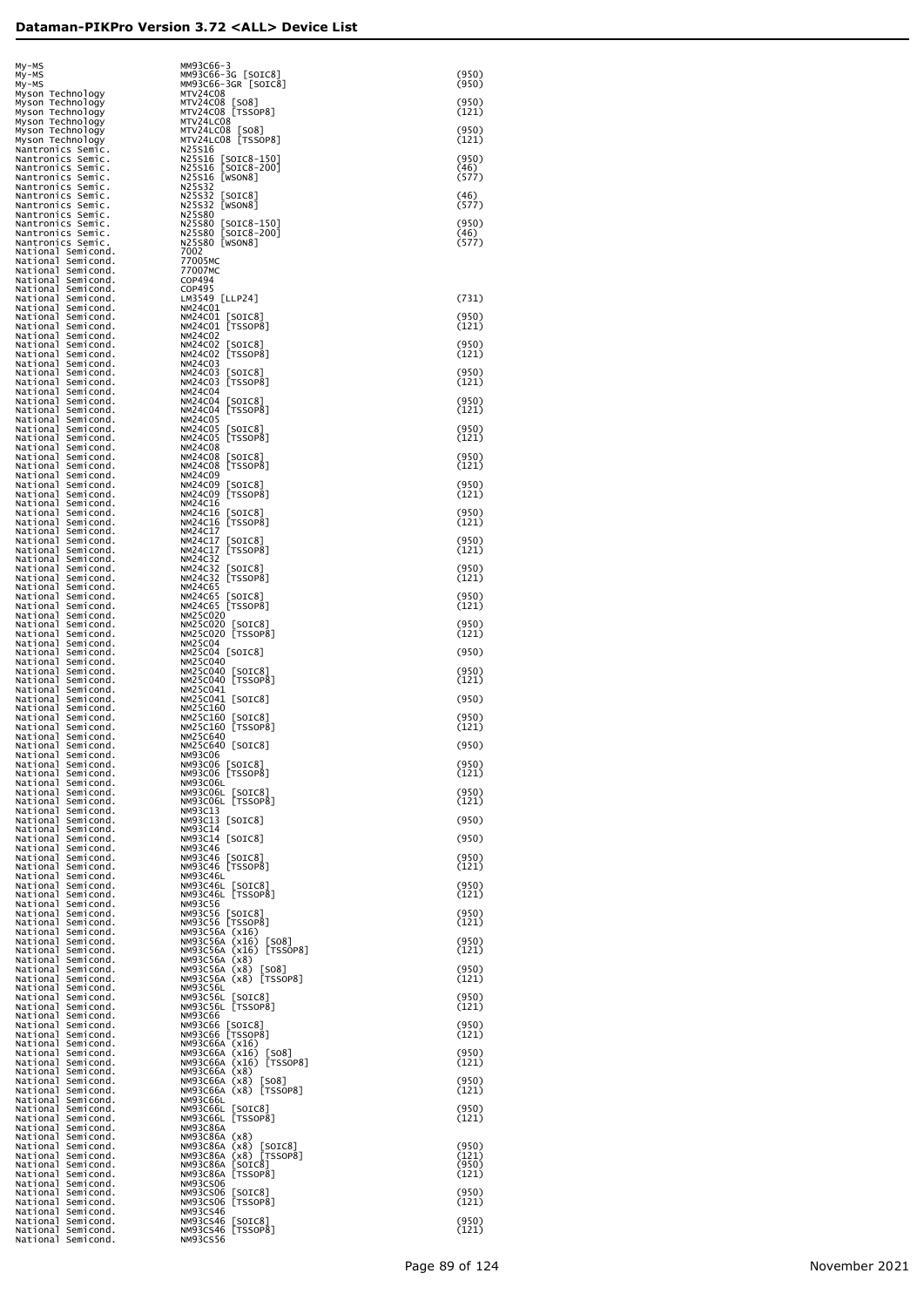| My-MS<br>My-MS                                                 | MM93C66-3<br>MM93C66-3G [SOIC8]                                  | (950)          |
|----------------------------------------------------------------|------------------------------------------------------------------|----------------|
| My-MS<br>Myson Technology                                      | MM93C66-3GR [SOIC8]<br>MTV24C08                                  | (950)          |
| Myson Technology<br>Myson Technology                           | MTV24C08 [SO8]<br>MTV24C08 [TSSOP8]                              | (950)<br>(121) |
| Myson Technology<br>Myson Technology                           | MTV24LC08<br>MTV24LC08 [SO8]                                     | (950)          |
| Myson Technology<br>Nantronics Semic.                          | MTV24LC08 [TSSOP8]<br>N25S16                                     | (121)          |
| Nantronics Semic.<br>Nantronics Semic.                         | N25S16 [SOIC8-150]<br>N25S16 [SOIC8-200]                         | (950)<br>(46)  |
| Nantronics Semic.<br>Nantronics Semic.                         | N25S16 [WSON8]<br>N25S32                                         | (577)          |
| Nantronics Semic.<br>Nantronics Semic.                         | N25S32 [SOIC8]<br>N25S32 [WSON8]                                 | (46)<br>(577)  |
| Nantronics Semic.<br>Nantronics Semic.                         | N25S80<br>N25S80 [SOIC8-150]                                     | (950)          |
| Nantronics Semic.<br>Nantronics Semic.                         | N25S80 [SOIC8-200]<br>N25S80 [WSON8]                             | (46)<br>(577)  |
| National Semicond.<br>National Semicond.<br>National Semicond. | 7002<br>77005MC<br>77007MC                                       |                |
| National Semicond.<br>National Semicond.                       | COP494<br>COP495                                                 |                |
| National Semicond.<br>National Semicond.                       | LM3549 [LLP24]<br>NM24C01                                        | (731)          |
| National Semicond.<br>National Semicond.                       | NM24C01 [SOIC8]<br>NM24C01 [TSSOP8]                              | (950)<br>(121) |
| National Semicond.<br>National Semicond.                       | <b>NM24C02</b><br>NM24C02 [SOIC8]                                | (950)          |
| National Semicond.<br>National Semicond.                       | NM24C02 [TSSOP8]<br>NM24C03                                      | (121)          |
| National Semicond.<br>National Semicond.                       | NM24C03 [SOIC8]<br>NM24C03 [TSSOP8]                              | (950)<br>(121) |
| National Semicond.<br>National Semicond.                       | <b>NM24C04</b><br>NM24C04 [SOIC8]                                | (950)          |
| National Semicond.<br>National Semicond.                       | NM24C04 [TSSOP8]<br><b>NM24C05</b>                               | (121)          |
| National Semicond.<br>National Semicond.                       | NM24C05 [SOIC8]<br>NM24C05 [TSSOP8]                              | (950)<br>(121) |
| National Semicond.<br>National Semicond.                       | <b>NM24C08</b><br>NM24C08 [SOIC8]                                | (950)          |
| National Semicond.<br>National Semicond.<br>National Semicond. | NM24C08 [TSSOP8]<br>NM24C09<br>NM24C09 [SOIC8]                   | (121)<br>(950) |
| National Semicond.<br>National Semicond.                       | NM24C09 [TSSOP8]<br>NM24C16                                      | (121)          |
| National Semicond.<br>National Semicond.                       | NM24C16 [SOIC8]<br>NM24C16 [TSSOP8]                              | (950)<br>(121) |
| National Semicond.<br>National Semicond.                       | NM24C17<br>NM24C17 [SOIC8]                                       | (950)          |
| National Semicond.<br>National Semicond.                       | NM24C17 [TSSOP8]<br>NM24C32                                      | (121)          |
| National Semicond.<br>National Semicond.                       | NM24C32 [SOIC8]<br>NM24C32 [TSSOP8]                              | (950)<br>(121) |
| National Semicond.<br>National Semicond.                       | NM24C65<br>NM24C65 [SOIC8]                                       | (950)          |
| National Semicond.<br>National Semicond.                       | NM24C65 [TSSOP8]<br>NM25C020                                     | (121)          |
| National Semicond.<br>National Semicond.                       | NM25C020 [SOIC8]<br>NM25C020 [TSSOP8]                            | (950)<br>(121) |
| National Semicond.<br>National Semicond.<br>National Semicond. | <b>NM25C04</b><br>NM25C04 [SOIC8]<br><b>NM25C040</b>             | (950)          |
| National Semicond.<br>National Semicond.                       | NM25C040 [SOIC8]<br>NM25C040 [TSSOP8]                            | (950)<br>(121) |
| National Semicond.<br>National Semicond.                       | NM25C041<br>NM25C041 [SOIC8]                                     | (950)          |
| National Semicond.<br>National Semicond.                       | NM25C160                                                         | (950)          |
| National Semicond.<br>National Semicond.                       | NM25C160 [SOIC8]<br>NM25C160 [TSSOP8]<br><b>NM25C640</b>         | (121)          |
| National Semicond.<br>National Semicond.                       | NM25C640 [SOIC8]<br>NM93C06                                      | (950)          |
| National Semicond.<br>National Semicond.                       | NM93C06 [SOIC8]<br>NM93C06 [TSSOP8]                              | (950)<br>(121) |
| National Semicond.<br>National Semicond.                       | NM93C06L<br>NM93CO6L [SOIC8]<br>NM93CO6L [TSSOP8]                | (950)          |
| National Semicond.<br>National Semicond.<br>National Semicond. | NM93C13                                                          | (121)          |
| National Semicond.<br>National Semicond.                       | NM93C13 [SOIC8]<br>NM93C14<br>NM93C14 [SOIC8]                    | (950)<br>(950) |
| National Semicond.<br>National Semicond.                       | NM93C46<br>NM93C46 [SOIC8]                                       | (950)          |
| National Semicond.<br>National Semicond.                       | NM93C46 [TSSOP8]<br>NM93C46L                                     | (121)          |
| National Semicond.<br>National Semicond.                       | NM93C46L [SOIC8]<br>NM93C46L [TSSOP8]                            | (950)<br>(121) |
| National Semicond.<br>National Semicond.                       | NM93C56<br>NM93C56 [SOIC8]                                       | (950)          |
| National Semicond.<br>National Semicond.                       | NM93C56 [TSSOP8]<br>NM93C56A (x16)                               | (121)          |
| National Semicond.<br>National Semicond.                       | NM93C56A (x16)<br>[SO8]<br>NM93C56A (x16) [TSSOP8]               | (950)<br>(121) |
| National Semicond.<br>National Semicond.                       | NM93C56A (x8)<br>NM93C56A (x8)<br>[508]                          | (950)          |
| National Semicond.<br>National Semicond.<br>National Semicond. | NM93C56A (x8) [TSSOP8]<br><b>NM93C56L</b>                        | (121)<br>(950) |
| National Semicond.<br>National Semicond.                       | NM93C56L [SOIC8]<br>NM93C56L [TSSOP8]<br><b>NM93C66</b>          | (121)          |
| National Semicond.<br>National Semicond.                       | NM93C66 [SOIC8]<br>NM93C66 [TSSOP8]                              | (950)<br>(121) |
| National Semicond.<br>National Semicond.                       | NM93C66A (x16)<br>NM93C66A (x16)<br>[SO8]                        | (950)          |
| National Semicond.<br>National Semicond.                       | NM93C66A (x16) [TSSOP8]<br>NM93C66A (x8)                         | (121)          |
| National Semicond.<br>National Semicond.                       | [508]<br>NM93C66A (x8)<br>NM93C66A (x8) [TSSOP8]                 | (950)<br>(121) |
| National Semicond.<br>National Semicond.                       | NM93C66L<br>NM93C66L [SOIC8]                                     | (950)          |
| National Semicond.<br>National Semicond.                       | NM93C66L [TSSOP8]<br><b>NM93C86A</b>                             | (121)          |
| National Semicond.<br>National Semicond.<br>National Semicond. | NM93C86A (x8)<br>NM93C86A (x8) [SOIC8]<br>NM93C86A (x8) [TSSOP8] | (950)<br>(121) |
| National Semicond.<br>National Semicond.                       | NM93C86A [SOIC8]<br>NM93C86A [TSSOP8]                            | (950)<br>(121) |
| National Semicond.<br>National Semicond.                       | NM93CS06                                                         | (950)          |
| National Semicond.<br>National Semicond.                       | NM93CS06 [SOIC8]<br>NM93CS06 [TSSOP8]<br>NM93CS46                | (121)          |
| National Semicond.<br>National Semicond.                       | NM93CS46 [SOIC8]<br>NM93CS46 [TSSOP8]                            | (950)<br>(121) |
| National Semicond.                                             | NM93CS56                                                         |                |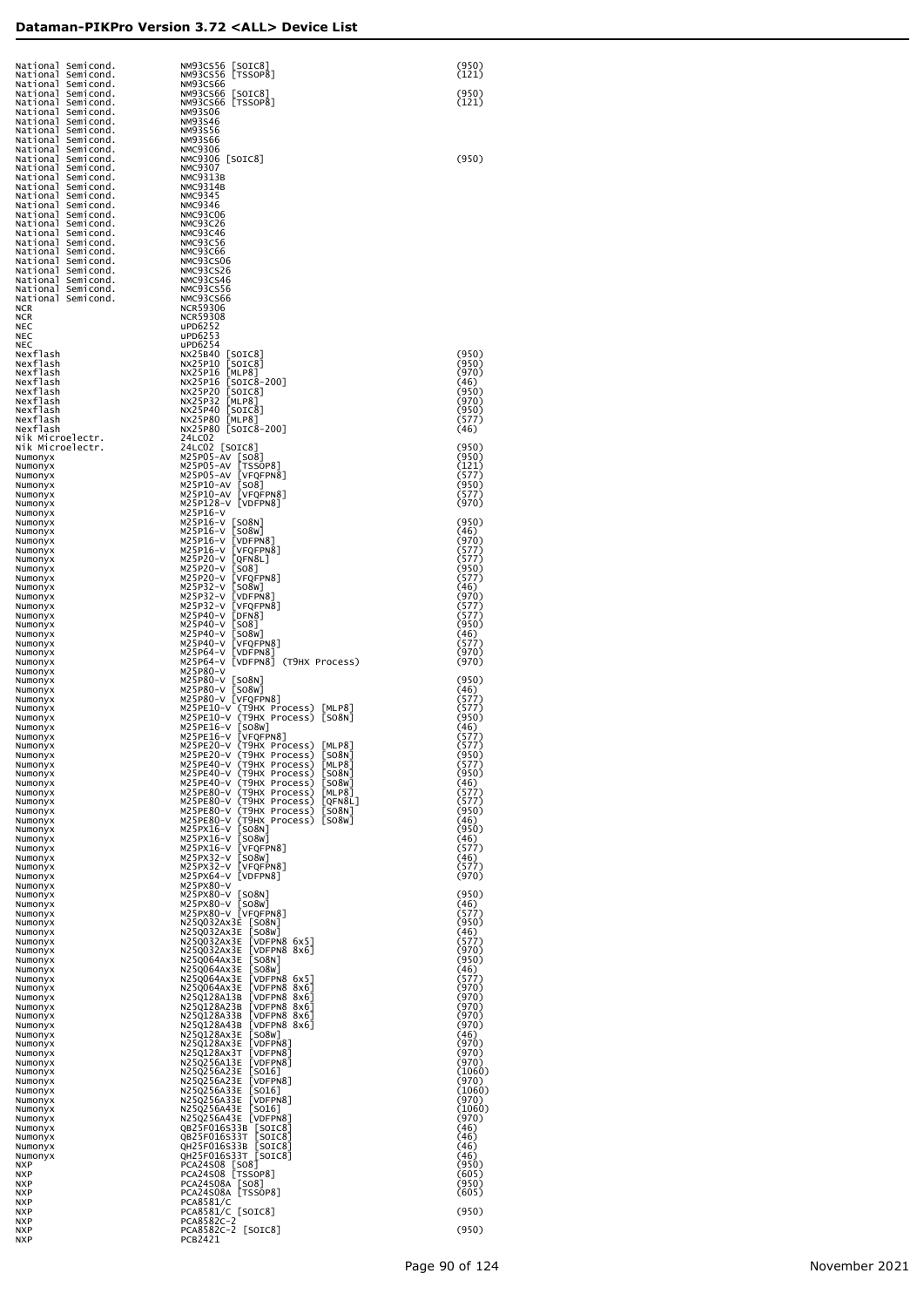| National Semicond.                       |                                                                                                                                                                                                                                                                                         | (950)           |
|------------------------------------------|-----------------------------------------------------------------------------------------------------------------------------------------------------------------------------------------------------------------------------------------------------------------------------------------|-----------------|
| National Semicond.<br>National Semicond. | NM93CS56 [TSSOP8]                                                                                                                                                                                                                                                                       | (121)           |
| National Semicond.                       |                                                                                                                                                                                                                                                                                         | (950)           |
| National Semicond.<br>National Semicond. | NM93CS56 [SOTC8]<br>NM93CS56 [TSSOP8<br>NM93CS56 [TSSOP8<br>NM93CS66 [SOTC8]<br>NM93CS66 [TSSOP8<br>NM93S46<br>NM93S56<br>NM93356<br>NM93356<br>NM93356<br>NM93356<br>NM9306 [SOTC8]<br>NMC93213<br>NMC93113<br>NMC9314<br>NMC93CS6<br>NMC93CC6<br>NMC93CC6<br>NMC<br>NM93CS66 [TSSOP8] | (121)           |
| National Semicond.                       |                                                                                                                                                                                                                                                                                         |                 |
| National Semicond.<br>National Semicond. |                                                                                                                                                                                                                                                                                         |                 |
| National Semicond.                       |                                                                                                                                                                                                                                                                                         |                 |
| National Semicond.<br>National Semicond. |                                                                                                                                                                                                                                                                                         | (950)           |
| National Semicond.                       |                                                                                                                                                                                                                                                                                         |                 |
| National Semicond.<br>National Semicond. |                                                                                                                                                                                                                                                                                         |                 |
| National Semicond.                       |                                                                                                                                                                                                                                                                                         |                 |
| National Semicond.                       |                                                                                                                                                                                                                                                                                         |                 |
| National Semicond.<br>National Semicond. |                                                                                                                                                                                                                                                                                         |                 |
| National Semicond.                       |                                                                                                                                                                                                                                                                                         |                 |
| National Semicond.<br>National Semicond. |                                                                                                                                                                                                                                                                                         |                 |
| National Semicond.                       |                                                                                                                                                                                                                                                                                         |                 |
| National Semicond.<br>National Semicond. |                                                                                                                                                                                                                                                                                         |                 |
| National Semicond.                       |                                                                                                                                                                                                                                                                                         |                 |
| <b>NCR</b><br><b>NCR</b>                 |                                                                                                                                                                                                                                                                                         |                 |
| <b>NEC</b>                               | uPD6252                                                                                                                                                                                                                                                                                 |                 |
| <b>NEC</b><br>NEC                        | uPD6253<br>uPD6254                                                                                                                                                                                                                                                                      |                 |
| Nexflash                                 | NX25B40 [SOIC8]                                                                                                                                                                                                                                                                         | (950)           |
| Nexflash<br>Nexflash                     | NX25P10<br>[SOIC8]<br>NX25P16 [MLP8]                                                                                                                                                                                                                                                    | (950)<br>(970)  |
| Nexflash                                 | NX25P16 [SOIC8-200]<br>NX25P20 [SOIC8]                                                                                                                                                                                                                                                  | (46)            |
| Nexflash<br>Nexflash                     | NX25P32 [MLP8]                                                                                                                                                                                                                                                                          | (950)<br>(970)  |
| Nexflash                                 | NX25P40 [SOIC8]                                                                                                                                                                                                                                                                         | (950)           |
| Nexflash<br>Nexflash                     | NX25P80 [MLP8]<br>NX25P80 [SOIC8-200]                                                                                                                                                                                                                                                   | (577)<br>(46)   |
| Nik Microelectr.                         | 24LC02                                                                                                                                                                                                                                                                                  |                 |
| Nik Microelectr.<br>Numonyx              |                                                                                                                                                                                                                                                                                         | (950)<br>(950)  |
| Numonyx                                  | M25P05-AV [TSSOP8]                                                                                                                                                                                                                                                                      | (121)           |
| Numonyx<br>Numonyx                       | M25P05-AV [VFQFPN8]<br>M25P10-AV [SO8]                                                                                                                                                                                                                                                  | (577)<br>(950)  |
| Numonyx                                  | M25P10-AV [VFQFPN8]                                                                                                                                                                                                                                                                     | (577)           |
| Numonyx<br>Numonyx                       | M25P128-V [VDFPN8]<br>M25P16-V                                                                                                                                                                                                                                                          | (970)           |
| Numonyx                                  | M25P16-V [SO8N]                                                                                                                                                                                                                                                                         | (950)           |
| Numonyx<br>Numonyx                       | M25P16-V [SO8W]<br>M25P16-V [VDFPN8]                                                                                                                                                                                                                                                    | (46)<br>(970)   |
| Numonyx                                  | M25P16-V [VFQFPN8]                                                                                                                                                                                                                                                                      | (577)           |
| Numonyx<br>Numonyx                       | M25P20-V [QFN8L]<br>M25P20-V [SO8]                                                                                                                                                                                                                                                      | (577)<br>(950)  |
| Numonyx                                  | M25P20-V [VFQFPN8]<br>M25P32-V [SO8W]                                                                                                                                                                                                                                                   | (577)           |
| Numonyx<br>Numonyx                       | M25P32-V [VDFPN8]                                                                                                                                                                                                                                                                       | (46)<br>(970)   |
| Numonyx                                  | M25P32-V [VFQFPN8]<br>M25P40-V [DFN8]                                                                                                                                                                                                                                                   | (577)<br>(577)  |
| Numonyx<br>Numonyx                       | M25P40-V [SO8]                                                                                                                                                                                                                                                                          | (950)           |
| Numonyx                                  | M25P40-V [SO8W]<br>M25P40-V [VFQFPN8]                                                                                                                                                                                                                                                   | (46)<br>(577)   |
| Numonyx<br>Numonyx                       | M25P64-V [VDFPN8]                                                                                                                                                                                                                                                                       | (970)           |
| Numonyx                                  | M25P64-V [VDFPN8] (T9HX Process)<br>M25P80-V                                                                                                                                                                                                                                            | (970)           |
| Numonyx<br>Numonyx                       | M25P80-V [SO8N]                                                                                                                                                                                                                                                                         | (950)           |
| Numonyx                                  | M25P80-V [SO8W]<br>M25P80-V [VFQFPN8]                                                                                                                                                                                                                                                   | (46)<br>(577)   |
| Numonyx<br>Numonyx                       | M25PE10-V (T9HX Process) [MLP8]                                                                                                                                                                                                                                                         | (577)           |
| Numonyx                                  | M25PE10-V (T9HX Process) [SO8N]<br>M25PE16-V [SO8W]                                                                                                                                                                                                                                     | (950)<br>(46)   |
| Numonyx<br>Numonyx                       | M25PE16-V [VFQFPN8]                                                                                                                                                                                                                                                                     | (577)           |
| Numonyx<br>Numonyx                       | M25PE20-V (T9HX Process) [MLP8]<br>M25PE20-V (T9HX Process)<br>$\lceil$ SO $8$ N $\rfloor$                                                                                                                                                                                              | (577)<br>(950)  |
| Numonyx                                  | M25PE40-V (T9HX Process)<br>LMLP8                                                                                                                                                                                                                                                       | (577)           |
| Numonyx<br>Numonyx                       | M25PE40-V (T9HX Process)<br>[SO8N]<br>M25PE40-V (T9HX Process)<br>[508W]                                                                                                                                                                                                                | (950)<br>(46)   |
| Numonyx                                  | M25PE80-V (T9HX Process)<br>[MLP8]                                                                                                                                                                                                                                                      | (577)           |
| Numonyx<br>Numonyx                       | M25PE80-V (T9HX Process)<br>[QFN8L]<br>M25PE80-V (T9HX Process) [SO8N]                                                                                                                                                                                                                  | (577)<br>(950)  |
| Numonyx                                  | M25PE80-V (T9HX Process) [SO8W]                                                                                                                                                                                                                                                         | (46)            |
| Numonyx<br>Numonyx                       | M25PX16-V [SO8N]<br>[SO8W]<br>M25PX16-V                                                                                                                                                                                                                                                 | (950)<br>(46)   |
| Numonyx                                  | [VFQFPN8]<br>M25PX16-V                                                                                                                                                                                                                                                                  | (577)           |
| Numonyx<br>Numonyx                       | M25PX32-V [SO8W]<br>M25PX32-V [VFQFPN8]                                                                                                                                                                                                                                                 | (46)<br>(577)   |
| Numonyx                                  | M25PX64-V [VDFPN8]                                                                                                                                                                                                                                                                      | (970)           |
| Numonyx<br>Numonyx                       | M25PX80-V<br>M25PX80-V [SO8N]                                                                                                                                                                                                                                                           | (950)           |
| Numonyx                                  | M25PX80-V [SO8W]                                                                                                                                                                                                                                                                        | (46)            |
| Numonyx<br>Numonyx                       | M25PX80-V [VFQFPN8]<br>N25Q032Ax3E [SO8N]                                                                                                                                                                                                                                               | (577)<br>(950)  |
| Numonyx                                  | [508W]<br>N25Q032Ax3E                                                                                                                                                                                                                                                                   | (46)            |
| Numonyx<br>Numonyx                       | N25Q032Ax3E<br>[VDFPN8 6x5]<br>[VDFPN8 8x6]<br>N25Q032Ax3E                                                                                                                                                                                                                              | (577)<br>(970)  |
| Numonyx                                  | [SO8N]<br>N25Q064Ax3E                                                                                                                                                                                                                                                                   | (950)           |
| Numonyx<br>Numonyx                       | [508W]<br>N25Q064Ax3E<br>N25Q064Ax3E [VDFPN8 6x5]                                                                                                                                                                                                                                       | (46)<br>(577)   |
| Numonyx                                  | N25Q064Ax3E [VDFPN8 8x6]                                                                                                                                                                                                                                                                | (970)           |
| Numonyx<br>Numonyx                       | N25Q128A13B [VDFPN8 8x6]<br>N25Q128A23B [VDFPN8 8x6]                                                                                                                                                                                                                                    | (970)<br>(970)  |
| Numonyx                                  | N25Q128A33B [VDFPN8 8x6]                                                                                                                                                                                                                                                                | (970)           |
| Numonyx<br>Numonyx                       | N25Q128A43B [VDFPN8 8x6]<br>N25Q128Ax3E [SO8W]                                                                                                                                                                                                                                          | (970)<br>(46)   |
| Numonyx                                  | N25Q128Ax3E [VDFPN8]                                                                                                                                                                                                                                                                    | (970)           |
| Numonyx<br>Numonyx                       | [VDFPN8]<br>N25Q128Ax3T<br>N25Q256A13E [VDFPN8]                                                                                                                                                                                                                                         | (970)<br>(970)  |
| Numonyx                                  | N25Q256A23E<br>[SO16]                                                                                                                                                                                                                                                                   | (1060)          |
| Numonyx<br>Numonyx                       | N25Q256A23E<br>[VDFPN8]<br>N25Q256A33E<br>[SO16]                                                                                                                                                                                                                                        | (970)<br>(1060) |
| Numonyx                                  | N25Q256A33E<br>[VDFPN8]                                                                                                                                                                                                                                                                 | (970)           |
| Numonyx<br>Numonyx                       | [SO16]<br>N25Q256A43E<br>N25Q256A43E [VDFPN8]                                                                                                                                                                                                                                           | (1060)<br>(970) |
| Numonyx                                  | QB25F016S33B<br>[SOIC8]                                                                                                                                                                                                                                                                 | (46)            |
| Numonyx<br>Numonyx                       | [SOIC8]<br>QB25F016S33T<br>QH25F016S33B<br>[SOIC8]                                                                                                                                                                                                                                      | (46)<br>(46)    |
| Numonyx                                  | QH25F016S33T [SOIC8]                                                                                                                                                                                                                                                                    | (46)            |
| <b>NXP</b><br><b>NXP</b>                 | PCA24S08 [SO8]<br>PCA24S08 [TSSOP8]                                                                                                                                                                                                                                                     | (950)<br>(605)  |
| <b>NXP</b><br><b>NXP</b>                 | PCA24S08A [SO8]<br>PCA24S08A [TSSOP8]                                                                                                                                                                                                                                                   | (950)<br>(605)  |
| <b>NXP</b>                               | PCA8581/C                                                                                                                                                                                                                                                                               |                 |
| <b>NXP</b><br><b>NXP</b>                 | PCA8581/C [SOIC8]<br>PCA8582C-2                                                                                                                                                                                                                                                         | (950)           |
| <b>NXP</b>                               | PCA8582C-2 [SOIC8]                                                                                                                                                                                                                                                                      | (950)           |
| <b>NXP</b>                               | <b>PCB2421</b>                                                                                                                                                                                                                                                                          |                 |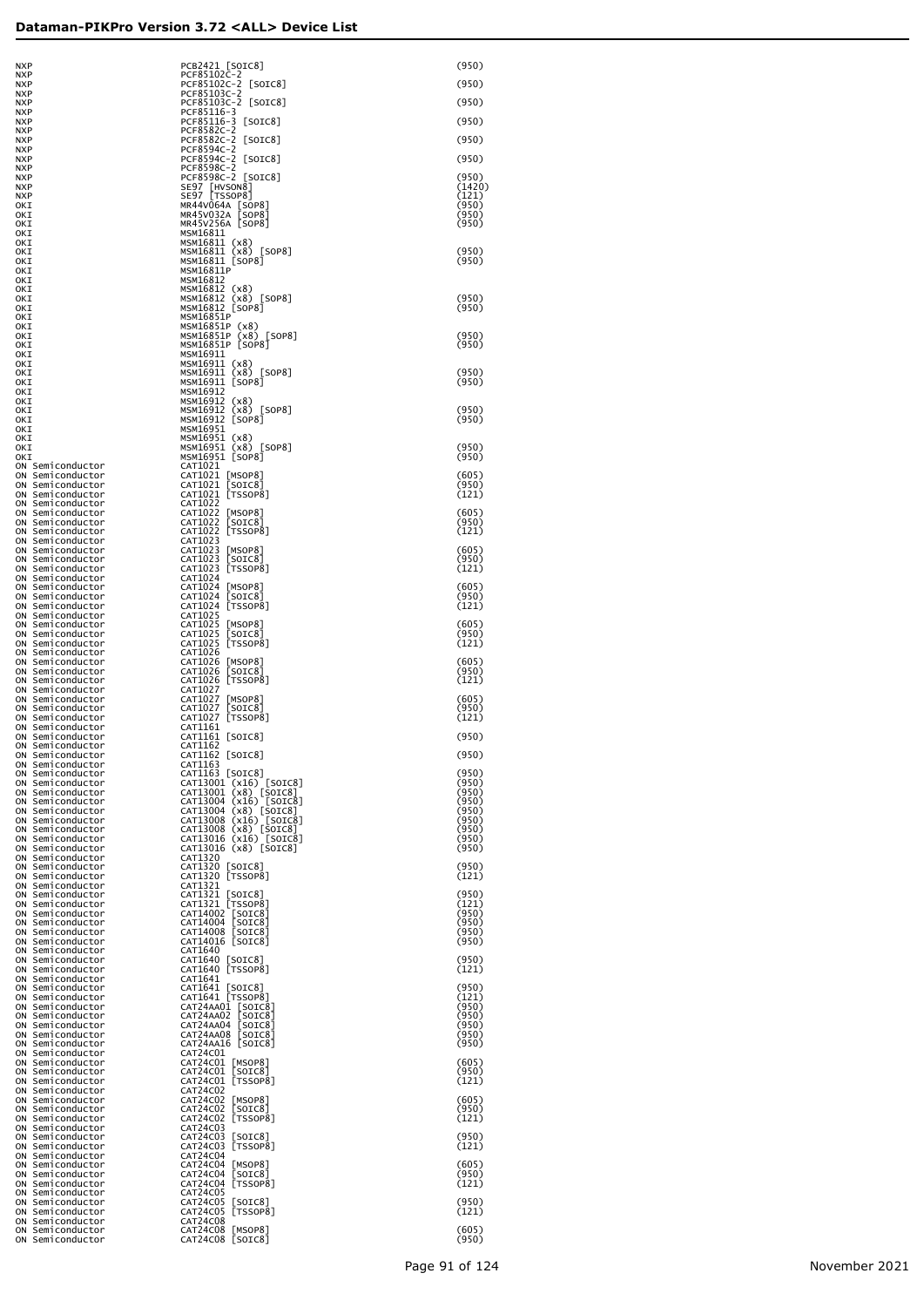| NXP                                        | ۲ı<br>.FOJIUZL<br>-2                                      |
|--------------------------------------------|-----------------------------------------------------------|
| <b>NXP</b><br><b>NXP</b>                   | PCF85102C-2<br>PCF85103C-2                                |
| <b>NXP</b>                                 | PCF85103C-2                                               |
| <b>NXP</b>                                 | PCF85116-3                                                |
| <b>NXP</b>                                 | PCF85116-3<br>C                                           |
| <b>NXP</b>                                 | PCF8582C-2                                                |
| <b>NXP</b>                                 | PCF8582C-2<br>PCF8594C-2<br>PCF8594C-2<br>PCF8598C-2<br>C |
| <b>NXP</b>                                 |                                                           |
| <b>NXP</b>                                 | C                                                         |
| <b>NXP</b>                                 |                                                           |
| <b>NXP</b>                                 | PCF8598C-2<br>Г                                           |
| <b>NXP</b>                                 | SE97<br>[HVSON8                                           |
| <b>NXP</b>                                 | <b>SE97</b><br>[TSSOP8                                    |
| OKI<br>окт                                 | MR44V064A<br>[S<br>[S<br>MR45V032A                        |
| OKI                                        | MR45V256A<br>[s                                           |
| OKI                                        | MSM16811                                                  |
| OKI                                        | (x8<br>MSM16811                                           |
| окт                                        | (x8)<br>MSM16811                                          |
| окт                                        | MSM16811<br>[SO                                           |
| окт                                        | MSM16811P                                                 |
| окт                                        | MSM16812                                                  |
| окт                                        | MSM16812<br>(x8                                           |
| окт                                        | (x8<br>MSM16812                                           |
| окт                                        | MSM16812<br>۲s٥                                           |
| окт                                        | MSM16851P                                                 |
| окт                                        | MSM16851P<br>(x)                                          |
| окт                                        | MSM16851P                                                 |
| окт                                        | [s<br>MSM16851P                                           |
| окт                                        | MSM16911                                                  |
| окт                                        | (x8<br>MSM16911                                           |
| окт                                        | (x8<br>MSM16911<br>MSM16911                               |
| окт                                        | [so<br>MSM16912                                           |
| окт<br>окт                                 | (x8<br>MSM16912                                           |
| окт                                        | (x8<br>MSM16912                                           |
| окт                                        | [so<br>MSM16912                                           |
| окт                                        | MSM16951                                                  |
| окт                                        | MSM16951<br>(x8                                           |
| OKI                                        | MSM16951<br>(x8                                           |
| окт                                        | MSM16951<br>[so                                           |
| Semiconductor<br>ΟN                        | CAT1021                                                   |
| ΟN<br>Semiconductor                        | CAT1021<br>[MSO                                           |
| ΟN<br>Semiconductor                        | CAT1021<br>SOI                                            |
| ON<br>Semiconductor                        | CAT1021<br>[TSS                                           |
| ΟN<br>Semiconductor                        | CAT1022                                                   |
| ΟN<br>Semiconductor                        | CAT1022<br>[MSO                                           |
| ΟN<br>Semiconductor                        | CAT1022<br>SOI]                                           |
| ΟN<br>Semiconductor                        | CAT1022<br>[TSS                                           |
| ΟN<br>Semiconductor<br>ΟN<br>Semiconductor | CAT1023<br>CAT1023<br>[MSO                                |
| ΟN<br>Semiconductor                        | CAT1023<br>SOI]                                           |
| ΟN<br>Semiconductor                        | CAT1023<br>[TSS                                           |
| ΟN<br>Semiconductor                        | CAT1024                                                   |
| ΟN<br>Semiconductor                        | CAT1024<br>[MSO                                           |
| ΟN<br>Semiconductor                        | CAT1024<br>SOI]                                           |
| ΟN<br>Semiconductor                        | CAT1024<br>[TSS                                           |
| ΟN<br>Semiconductor                        | CAT1025                                                   |
| ΟN<br>Semiconductor                        | CAT1025<br>[MSO                                           |
| ΟN<br>Semiconductor                        | CAT1025<br>SOI                                            |
| ΟN<br>Semiconductor                        | CAT1025<br>[TSS                                           |
| ΟN<br>Semiconductor<br>ΟN<br>Semiconductor | CAT1026<br>CAT1026<br>[MSO                                |
| ΟN<br>Semiconductor                        | CAT1026<br>SOI]                                           |
| ΟN<br>Semiconductor                        | CAT1026<br>[TSS                                           |
| ΟN<br>Semiconductor                        | CAT1027                                                   |
| ON<br>Semiconductor                        | CAT1027<br>[MSO                                           |
| ON<br>Semiconductor                        | CAT1027<br>SOI]                                           |
| ON<br>Semiconductor                        | CAT1027<br>[TSS                                           |
| ON<br>Semiconductor                        | CAT1161                                                   |
| OΝ<br>Semiconductor                        | CAT1161<br>[SOI                                           |
| ΟN<br>Semiconductor                        | CAT1162                                                   |
| ΟN<br>Semiconductor                        | [SOI<br>CAT1162                                           |
| ON<br>Semiconductor                        | CAT1163                                                   |
| OΝ<br>Semiconductor                        | CAT1163<br>  SOI                                          |
| OΝ<br>Semiconductor                        | (x1<br>CAT13001                                           |
| ΟN<br>Semiconductor                        | (x8<br>CAT13001                                           |
| ΟN<br>Semiconductor                        | CAT13004<br>(x1                                           |
| OΝ<br>Semiconductor                        | CAT13004<br>(x8<br>CAT13008<br>(x1                        |
| OΝ<br>Semiconductor<br>OΝ<br>Semiconductor | CAT13008<br>(x8                                           |
| OΝ<br>Semiconductor                        | CAT13016<br>(x1                                           |
| OΝ<br>Semiconductor                        | CAT13016<br>(x8                                           |
| OΝ<br>Semiconductor                        | CAT1320                                                   |
| OΝ<br>Semiconductor                        | CAT1320<br>[SOI                                           |
| OΝ<br>Semiconductor                        | CAT1320<br> TSS                                           |
| OΝ<br>Semiconductor                        | CAT1321                                                   |
| OΝ<br>Semiconductor                        | CAT1321<br>[SOI                                           |
| OΝ<br>Semiconductor                        | CAT1321<br>[TSS                                           |
| OΝ<br>Semiconductor                        | CAT14002<br>۲s٥                                           |
| OΝ<br>Semiconductor                        | CAT14004<br>[SO                                           |
| OΝ<br>Semiconductor                        | CAT14008<br>so                                            |
| OΝ<br>Semiconductor<br>OΝ<br>Semiconductor | CAT14016<br>LS0<br>CAT1640                                |
| OΝ<br>Semiconductor                        | CAT1640<br>[SOI                                           |
| OΝ<br>Semiconductor                        | CAT1640<br>[⊤SS                                           |
| OΝ<br>Semiconductor                        | CAT1641                                                   |
| OΝ<br>Semiconductor                        | CAT1641<br>[SOI                                           |
| OΝ<br>Semiconductor                        | CAT1641<br>[⊤SS                                           |
| OΝ<br>Semiconductor                        | CAT24AA01<br>[s                                           |
| OΝ<br>Semiconductor                        | Ļs<br>CAT24AA02                                           |
| OΝ<br>Semiconductor                        | Ļs<br>CAT24AA04                                           |
| OΝ<br>Semiconductor                        | CAT24AA08<br>[s<br>CAT24AA16                              |
| OΝ<br>Semiconductor<br>OΝ<br>Semiconductor | [s<br>CAT24C01                                            |
| OΝ<br>Semiconductor                        | CAT24C01<br>[MS                                           |
| OΝ<br>Semiconductor                        | CAT24C01<br>so                                            |
| OΝ<br>Semiconductor                        | CAT24C01<br>[TS                                           |
| OΝ<br>Semiconductor                        | CAT24C02                                                  |
| OΝ<br>Semiconductor                        | CAT24C02<br>[MS                                           |
| OΝ<br>Semiconductor                        | CAT24C02<br>so                                            |
| OΝ<br>Semiconductor                        | CAT24C02<br>[TS                                           |
| OΝ<br>Semiconductor                        | CAT24C03                                                  |
| OΝ<br>Semiconductor                        | CAT24C03<br>LS0                                           |
| ΟN<br>Semiconductor                        | CAT24C03<br>[TS                                           |
| OΝ<br>Semiconductor                        | CAT24C04                                                  |
| OΝ<br>Semiconductor<br>OΝ<br>Semiconductor | CAT24C04<br>Гмs<br>CAT24C04<br>so                         |
| OΝ<br>Semiconductor                        | CAT24C04<br>[TS                                           |
| OΝ<br>Semiconductor                        | CAT24C05                                                  |
| OΝ<br>Semiconductor                        | CAT24C05<br>[SO                                           |
|                                            |                                                           |

| <b>NXP</b>               |                                   | PCB2421 [SOIC8]<br>PCF85102C-2                                                                        | (950)           |
|--------------------------|-----------------------------------|-------------------------------------------------------------------------------------------------------|-----------------|
| <b>NXP</b><br><b>NXP</b> |                                   | PCF85102C-2<br>$\lfloor$ SOIC $8$ ]                                                                   | (950)           |
| <b>NXP</b><br><b>NXP</b> |                                   | PCF85103C-2<br>PCF85103C-2 [SOIC8]                                                                    | (950)           |
| <b>NXP</b>               |                                   | PCF85116-3                                                                                            | (950)           |
| <b>NXP</b><br><b>NXP</b> |                                   | PCF85116-3<br>$\lfloor$ SOIC8]<br>PCF8582C-2                                                          |                 |
| <b>NXP</b><br><b>NXP</b> |                                   | PCF8582C-2<br>$\lfloor$ SOIC8]<br>PCF8594C-2                                                          | (950)           |
| <b>NXP</b>               |                                   | PCF8594C-2 [SOIC8]<br>PCF8598C-2                                                                      | (950)           |
| <b>NXP</b><br><b>NXP</b> |                                   | PCF8598C-2 [SOIC8]                                                                                    | (950)           |
| <b>NXP</b><br><b>NXP</b> |                                   | SE97 [HVSON8]<br>SE97   TSSOP8                                                                        | (1420)<br>(121) |
| OKI<br>OKI               |                                   | MR44V064A [SOP8]<br>MR45V032A [SOP8]                                                                  | (950)<br>(950)  |
| OKI                      |                                   | MR45V256A [SOP8]                                                                                      | (950)           |
| OKI<br>OKI               |                                   | MSM16811<br>MSM16811 (x8)                                                                             |                 |
| OKI<br>OKI               |                                   | MSM16811 (x8) [SOP8]<br>MSM16811 [SOP8]                                                               | (950)<br>(950)  |
| OKI                      |                                   | MSM16811P                                                                                             |                 |
| OKI<br>OKI               |                                   | MSM16812<br>MSM16812<br>(x8)                                                                          |                 |
| OKI<br>OKI               |                                   | MSM16812 (x8) [SOP8]<br>MSM16812 [SOP8]                                                               | (950)<br>(950)  |
| OKI<br>OKI               |                                   | MSM16851P<br>MSM16851P<br>(x8)                                                                        |                 |
| OKI                      |                                   | MSM16851P (x8) [SOP8]                                                                                 | (950)           |
| OKI<br>OKI               |                                   | MSM16851P [SOP8]<br>MSM16911                                                                          | (950)           |
| OKI<br>OKI               |                                   | MSM16911 (x8)<br>MSM16911 (x8) [SOP8]                                                                 | (950)           |
| OKI<br>OKI               |                                   | MSM16911 [SOP8]<br>MSM16912                                                                           | (950)           |
| OKI                      |                                   | MSM16912<br>(x8)                                                                                      |                 |
| OKI<br>OKI               |                                   | MSM16912 (x8) [SOP8]<br>MSM16912<br>$[$ SOP $8$ $]$                                                   | (950)<br>(950)  |
| OKI<br>OKI               |                                   | MSM16951<br>MSM16951 (x8)                                                                             |                 |
| OKI<br><b>OKT</b>        |                                   | MSM16951 (x8) [SOP8]                                                                                  | (950)           |
| ON                       | Semiconductor                     | MSM16951 [SOP8]<br>CAT1021                                                                            | (950)           |
| ON<br>ON                 | Semiconductor<br>Semiconductor    | CAT1021 [MSOP8]<br>CAT1021 [SOIC8]<br>CAT1021 [TSSOP8]                                                | (605)<br>(950)  |
| ON<br>ON                 | Semiconductor<br>Semiconductor    | CAT1022                                                                                               | (121)           |
| ON                       | Semiconductor                     | CAT1022                                                                                               | (605)           |
| ON<br>ON                 | Semiconductor<br>Semiconductor    | [MSOP8]<br>[SOIC8]<br>[TSSOP8]<br>CAT1022<br>CAT1022                                                  | (950)<br>(121)  |
| ON<br>ON                 | Semiconductor<br>Semiconductor    | CAT1023<br>CAT1023                                                                                    | (605)           |
| ON<br>ON                 | Semiconductor<br>Semiconductor    | [MSOP8]<br>[SOIC8]<br>[TSSOP8]<br>CAT1023<br>CAT1023                                                  | (950)<br>(121)  |
| ON                       | Semiconductor                     | CAT1024                                                                                               |                 |
| ON<br>ON                 | Semiconductor<br>Semiconductor    | CAT1024<br>[MSOP8]<br>[SOIC8]<br>CAT1024                                                              | (605)<br>(950)  |
| ON<br>ON                 | Semiconductor<br>Semiconductor    | [TSSOP8]<br>CAT1024<br>CAT1025                                                                        | (121)           |
| ON<br>ON                 | Semiconductor<br>Semiconductor    | CAT1025<br>[MSOP8]<br>[SOIC8]<br>[TSSOP8]<br>CAT1025                                                  | (605)<br>(950)  |
| ON                       | Semiconductor                     | CAT1025                                                                                               | (121)           |
| ON<br>ON                 | Semiconductor<br>Semiconductor    | CAT1026<br>CAT1026                                                                                    | (605)           |
| ON<br>ON                 | Semiconductor<br>Semiconductor    | [MSOP8]<br>[SOIC8]<br>[TSSOP8]<br>CAT1026<br>CAT1026                                                  | (950)<br>(121)  |
| ON<br>ON                 | Semiconductor<br>Semiconductor    | CAT1027<br>CAT1027<br>[MSOP8]                                                                         | (605)           |
| ON                       | Semiconductor                     | CAT1027<br>[SOIC8]<br>[TSSOP8]                                                                        | (950)           |
| ON<br>ON                 | Semiconductor<br>Semiconductor    | CAT1027<br>CAT1161                                                                                    | (121)           |
| ON<br>ON                 | Semiconductor<br>Semiconductor    | CAT1161 [SOIC8]<br>CAT1162                                                                            | (950)           |
| ON<br>ON                 | Semiconductor<br>Semiconductor    | CAT1162 [SOIC8]<br>CAT1163                                                                            | (950)           |
| ON                       | Semiconductor                     | CAT1163 [SOIC8]                                                                                       | (950)           |
| ON<br>ON                 | Semiconductor<br>Semiconductor    | CAT13001 (x16) [SOIC8]<br>CAT13001 (x8) [SOIC8]                                                       | (950)<br>(950)  |
| ON<br>ON                 | Semiconductor<br>Semiconductor    | CAT13004 (x16) [SOIC8]<br>$(x8)$ [SOIC8]<br>CAT13004                                                  | (950)<br>(950)  |
| ON<br>ON                 | Semiconductor<br>Semiconductor    | CAT13008<br>(x16) [SOIC8]<br>CAT13008 (x8) [SOIC8]                                                    | (950)<br>(950)  |
| ON                       | Semiconductor                     | CAT13016 (x16) [SOIC8]                                                                                | (950)           |
| ON<br>ON                 | Semiconductor<br>Semiconductor    | CAT13016 (x8) [SOIC8]<br>CAT1320                                                                      | (950)           |
| ON<br>ON                 | Semiconductor<br>Semiconductor    | CAT1320 [SOIC8]<br>CAT1320 [TSSOP8]                                                                   | (950)<br>(121)  |
| ON<br>ON                 | Semiconductor<br>Semiconductor    | CAT1321                                                                                               | (950)           |
| ON                       | Semiconductor                     | CAT1321 [SOIC8]<br>CAT1321 [TSSOP8]                                                                   | (121)           |
| ON<br>ON                 | Semiconductor<br>Semiconductor    |                                                                                                       | (950)<br>(950)  |
| ON<br>ON                 | Semiconductor<br>Semiconductor    | CAT14002 [SOIC8]<br>CAT14004 [SOIC8]<br>CAT14008 [SOIC8]<br>CAT14016 [SOIC8]                          | (950)<br>(950)  |
| ON                       | Semiconductor                     | CAT1640                                                                                               | (950)           |
| ON<br>ON                 | Semiconductor<br>Semiconductor    | CAT1640 [SOIC8]<br>CAT1640 [TSSOP8]                                                                   | (121)           |
| ON<br>ON                 | Semiconductor<br>Semiconductor    | CAT1641                                                                                               | (950)           |
| ON<br>ON                 | Semiconductor<br>Semiconductor    | CAT1641 [SOIC8]<br>CAT1641 [TSSOP8]                                                                   | (121)<br>(950)  |
| ON<br>ON                 | Semiconductor<br>Semiconductor    |                                                                                                       | (950)<br>(950)  |
| ON                       | Semiconductor                     | CAT24AA01 [SOIC8]<br>CAT24AA02 [SOIC8]<br>CAT24AA04 [SOIC8]<br>CAT24AA08 [SOIC8]<br>CAT24AA16 [SOIC8] | (950)           |
| ON<br>ON                 | Semiconductor<br>Semiconductor    | CAT24C01                                                                                              | (950)           |
| ON<br>ON                 | Semiconductor<br>Semiconductor    | CAT24CO1 [MSOP8]                                                                                      | (605)<br>(950)  |
| ON<br>ON                 | Semiconductor<br>Semiconductor    | CAT24C01 [SOIC8]<br>CAT24C01 [TSSOP8]<br>CAT24C02                                                     | (121)           |
| ON                       | Semiconductor                     | CAT24C02<br>[MSOP8]                                                                                   | (605)           |
| ON<br>ON                 | Semiconductor<br>Semiconductor    | CAT24C02<br>[SOIC8]<br>[TSSOP8]<br>CAT24C02                                                           | (950)<br>(121)  |
| ON<br>ON                 | Semiconductor<br>Semiconductor    | CAT24C03<br>CAT24C03<br>[SOIC8]                                                                       | (950)           |
| ON<br>ON                 | Semiconductor<br>Semiconductor    | [TSSOP8]<br>CAT24C03<br>CAT24C04                                                                      | (121)           |
| ON                       | Semiconductor                     | CAT24C04<br>[MSOP8]                                                                                   | (605)           |
| ON<br>ON                 | Semiconductor<br>Semiconductor    | CAT24C04<br>[SOIC8]<br>[TSSOP8]<br>CAT24C04                                                           | (950)<br>(121)  |
| ON<br>ON                 | Semiconductor<br>Semiconductor    | CAT24C05<br>CAT24C05<br>[SOIC8]                                                                       | (950)           |
| ON<br>ON                 | Semiconductor<br>Semiconductor    | [TSSOP8]<br>CAT24C05<br>CAT24C08                                                                      | (121)           |
| ON                       | Semiconductor<br>ON Semiconductor | CAT24C08 [MSOP8]<br>CAT24C08 [SOIC8]                                                                  | (605)<br>(950)  |
|                          |                                   |                                                                                                       |                 |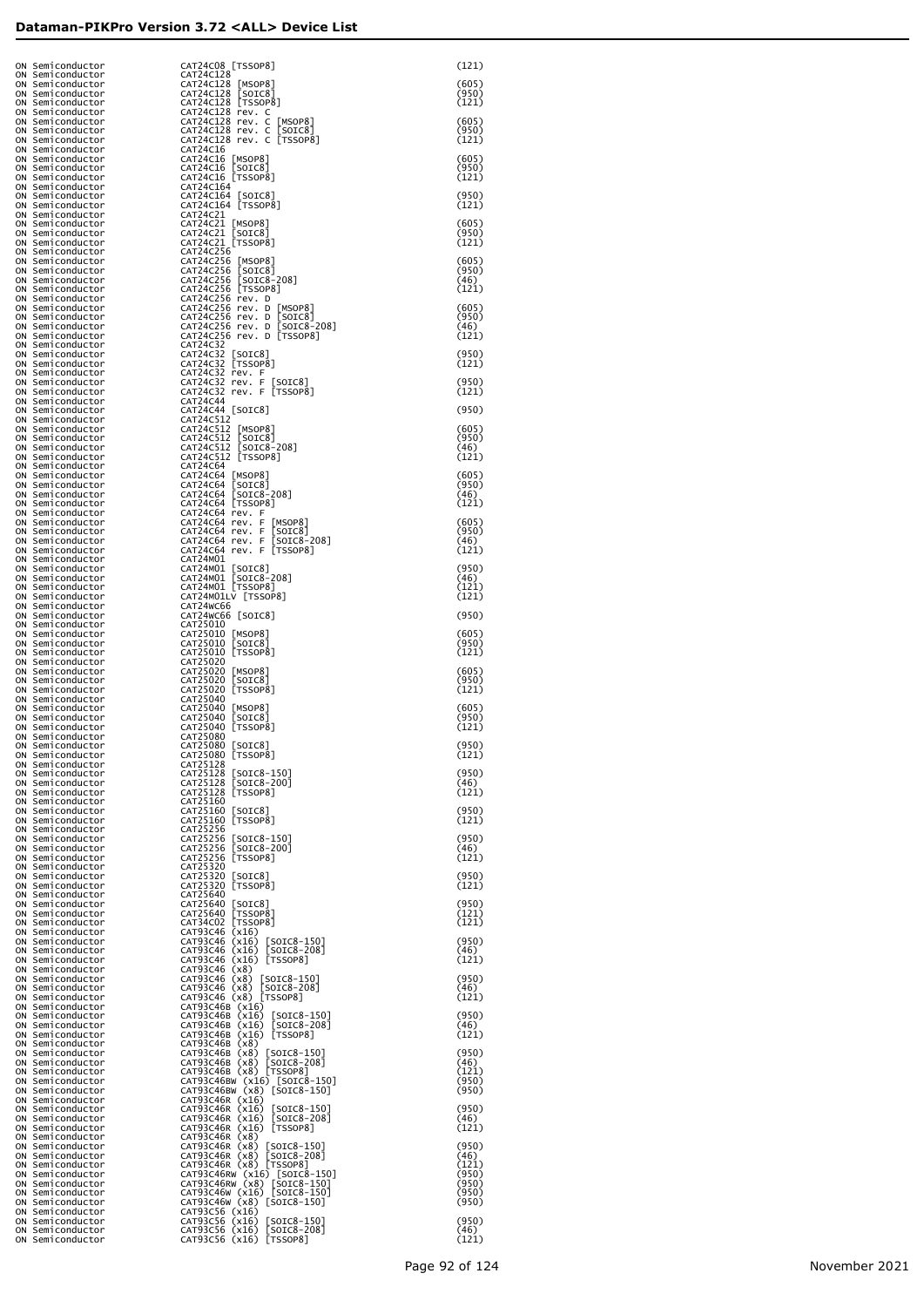| ON Semiconductor                     | CAT24C08 [TSSOP8]                                                                          | (121)          |
|--------------------------------------|--------------------------------------------------------------------------------------------|----------------|
| ON Semiconductor<br>ON Semiconductor | CAT24C128<br>CAT24C128<br>[MSOP8]                                                          | (605)          |
| ON Semiconductor<br>ON Semiconductor | CAT24C128<br>[SOIC8]<br>CAT24C128 [TSSOP8]                                                 | (950)<br>(121) |
| ON Semiconductor                     | CAT24C128 rev. C                                                                           |                |
| ON Semiconductor<br>ON Semiconductor | CAT24C128 rev. C [MSOP8]<br>CAT24C128 rev. C<br>$\lfloor$ SOIC $8$ ]                       | (605)<br>(950) |
| ON Semiconductor<br>ON Semiconductor | CAT24C128 rev. C [TSSOP8]<br>CAT24C16                                                      | (121)          |
| ON Semiconductor<br>ON Semiconductor | CAT24C16 [MSOP8]<br>CAT24C16 [SOIC8]                                                       | (605)<br>(950) |
| ON Semiconductor<br>ON Semiconductor | CAT24C16 [TSSOP8]<br>CAT24C164                                                             | (121)          |
| ON Semiconductor<br>ON Semiconductor | CAT24C164 [SOIC8]<br>CAT24C164 [TSSOP8]                                                    | (950)<br>(121) |
| ON Semiconductor                     | CAT24C21                                                                                   |                |
| ON Semiconductor<br>ON Semiconductor | CAT24C21 [MSOP8]<br>CAT24C21 [SOIC8]                                                       | (605)<br>(950) |
| ON Semiconductor<br>ON Semiconductor | CAT24C21 [TSSOP8]<br>CAT24C256                                                             | (121)          |
| ON Semiconductor<br>ON Semiconductor | CAT24C256 [MSOP8]<br>CAT24C256 [SOIC8]                                                     | (605)<br>(950) |
| ON Semiconductor<br>ON Semiconductor | CAT24C256 [SOIC8-208]<br>CAT24C256 [TSSOP8]                                                | (46)<br>(121)  |
| ON Semiconductor<br>ON Semiconductor | CAT24C256 rev. D<br>CAT24C256 rev. D [MSOP8]                                               | (605)          |
| ON Semiconductor<br>ON Semiconductor | CAT24C256 rev. D [SOIC8]<br>CAT24C256 rev. D [SOIC8-208]                                   | (950)<br>(46)  |
| ON Semiconductor<br>ON Semiconductor | CAT24C256 rev. D [TSSOP8]<br>CAT24C32                                                      | (121)          |
| ON Semiconductor                     | CAT24C32 [SOIC8]                                                                           | (950)          |
| ON Semiconductor<br>ON Semiconductor | CAT24C32 [TSSOP8]<br>CAT24C32 rev. F                                                       | (121)          |
| ON Semiconductor<br>ON Semiconductor | CAT24C32 rev. F [SOIC8]<br>CAT24C32 rev. F [TSSOP8]                                        | (950)<br>(121) |
| ON Semiconductor<br>ON Semiconductor | CAT24C44<br>CAT24C44 [SOIC8]                                                               | (950)          |
| ON Semiconductor<br>ON Semiconductor | CAT24C512<br>CAT24C512 [MSOP8]                                                             | (605)          |
| ON Semiconductor<br>ON Semiconductor | CAT24C512 [SOIC8]<br>CAT24C512 [SOIC8-208]                                                 | (950)<br>(46)  |
| ON Semiconductor<br>ON Semiconductor | CAT24C512 [TSSOP8]<br>CAT24C64                                                             | (121)          |
| ON Semiconductor<br>ON Semiconductor | CAT24C64 [MSOP8]                                                                           | (605)<br>(950) |
| ON Semiconductor                     | CAT24C64 [SOIC8]<br>CAT24C64 [SOIC8-208]                                                   | (46)           |
| ON Semiconductor<br>ON Semiconductor | CAT24C64 [TSSOP8]<br>CAT24C64 rev. F                                                       | (121)          |
| ON Semiconductor<br>ON Semiconductor | CAT24C64 rev. F [MSOP8]<br>CAT24C64 rev. F [SOIC8]                                         | (605)<br>(950) |
| ON Semiconductor<br>ON Semiconductor | CAT24C64 rev. F [SOIC8-208]<br>CAT24C64 rev. F [TSSOP8]                                    | (46)<br>(121)  |
| ON Semiconductor<br>ON Semiconductor | CAT24M01<br>CAT24M01 [SOIC8]                                                               | (950)          |
| ON Semiconductor<br>ON Semiconductor | CAT24M01 [SOIC8-208]<br>CAT24M01 [TSSOP8]                                                  | (46)<br>(121)  |
| ON Semiconductor<br>ON Semiconductor | CAT24M01LV [TSSOP8]<br>CAT24WC66                                                           | (121)          |
| ON Semiconductor<br>ON Semiconductor | CAT24WC66 [SOIC8]<br>CAT25010                                                              | (950)          |
| ON Semiconductor<br>ON Semiconductor | CAT25010 [MSOP8]<br>CAT25010 [SOIC8]                                                       | (605)<br>(950) |
| ON Semiconductor<br>ON Semiconductor | CAT25010 [TSSOP8]<br>CAT25020                                                              | (121)          |
| ON Semiconductor<br>ON Semiconductor | CAT25020 [MSOP8]<br>CAT25020 [SOIC8]                                                       | (605)<br>(950) |
| ON Semiconductor<br>ON Semiconductor | CAT25020 [TSSOP8]<br>CAT25040                                                              | (121)          |
| ON Semiconductor<br>ON Semiconductor | CAT25040 [MSOP8]<br>CAT25040 [SOIC8]                                                       | (605)<br>(950) |
| ON Semiconductor<br>ON Semiconductor | CAT25040 [TSSOP8]<br>CAT25080                                                              | (121)          |
| ON Semiconductor<br>ON Semiconductor | CAT25080 [SOIC8]<br>CATZ5080 [TSSOP8]                                                      | (950)<br>(171) |
| ON Semiconductor<br>ON Semiconductor | CAT25128<br>CAT25128 [SOIC8-150]                                                           | (950)          |
| ON Semiconductor<br>ON Semiconductor | CAT25128 [SOIC8-200]                                                                       | (46)<br>(121)  |
| ON Semiconductor                     | CAT25128 [TSSOP8]<br>CAT25160                                                              | (950)          |
| ON Semiconductor<br>ON Semiconductor | CAT25160 [SOIC8]<br>CAT25160 [TSSOP8]                                                      | (121)          |
| ON Semiconductor<br>ON Semiconductor | CAT25256<br>CAT25256 [SOIC8-150]                                                           | (950)          |
| ON Semiconductor<br>ON Semiconductor | CAT25256 [SOIC8-200]<br>CAT25256 [TSSOP8]                                                  | (46)<br>(121)  |
| ON Semiconductor<br>ON Semiconductor | CAT25320<br>CAT25320 [SOIC8]                                                               | (950)          |
| ON Semiconductor<br>ON Semiconductor | CAT25320 [TSSOP8]<br>CAT25640                                                              | (121)          |
| ON Semiconductor<br>ON Semiconductor | CAT25640 [SOIC8]<br>CAT25640 [TSSOP8]                                                      | (950)<br>(121) |
| ON Semiconductor<br>ON Semiconductor | CAT34C02 [TSSOP8]<br>CAT93C46 (x16)                                                        | (121)          |
| ON Semiconductor<br>ON Semiconductor | CAT93C46 (x16) [SOIC8-150]<br>CAT93C46 (x16) [SOIC8-208]                                   | (950)<br>(46)  |
| ON Semiconductor<br>ON Semiconductor | CAT93C46 (x16) [TSSOP8]<br>CAT93C46 (x8)                                                   | (121)          |
| ON Semiconductor<br>ON Semiconductor | CAT93C46 (x8) [SOIC8-150]<br>CAT93C46 (x8) [SOIC8-208]                                     | (950)<br>(46)  |
| ON Semiconductor<br>ON Semiconductor | CAT93C46 (x8) [TSSOP8]<br>CAT93C46B (x16)                                                  | (121)          |
| ON Semiconductor<br>ON Semiconductor | CAT93C46B (x16) [SOIC8-150]<br>CAT93C46B (x16) [SOIC8-208]                                 | (950)<br>(46)  |
| ON Semiconductor<br>ON Semiconductor | CAT93C46B (x16) [TSSOP8]<br>CAT93C46B (x8)                                                 | (121)          |
| ON Semiconductor<br>ON Semiconductor | CAT93C46B (x8) [SOIC8-150]<br>CAT93C46B (x8) [SOIC8-208]                                   | (950)<br>(46)  |
| ON Semiconductor<br>ON Semiconductor | CAT93C46B (x8) [TSSOP8]<br>CAT93C46BW (x16) [SOIC8-150]                                    | (121)<br>(950) |
| ON Semiconductor<br>ON Semiconductor | CAT93C46BW (x8) [SOIC8-150]<br>CAT93C46R (x16)                                             | (950)          |
| ON Semiconductor<br>ON Semiconductor | CAT93C46R (x16) [SOIC8-150]<br>CAT93C46R (x16) [SOIC8-208]                                 | (950)<br>(46)  |
| ON Semiconductor<br>ON Semiconductor | CAT93C46R (x16) [TSSOP8]<br>CAT93C46R (x8)                                                 | (121)          |
| ON Semiconductor<br>ON Semiconductor | CAT93C46R (x8) [SOIC8-150]<br>CAT93C46R (x8) [SOIC8-208]                                   | (950)<br>(46)  |
| ON Semiconductor                     | CAT93C46R (x8) [TSSOP8]                                                                    | (121)          |
| ON Semiconductor<br>ON Semiconductor | CAT93C46RW (x16) [SOIC8-150]<br>CAT93C46RW (x8) [SOIC8-150]<br>CAT93C46W (x16) [SOIC8-150] | (950)<br>(950) |
| ON Semiconductor<br>ON Semiconductor | CAT93C46W (x8) [SOIC8-150]                                                                 | (950)<br>(950) |
| ON Semiconductor<br>ON Semiconductor | CAT93C56 (x16)<br>CAT93C56 (x16) [SOIC8-150]                                               | (950)          |
| ON Semiconductor<br>ON Semiconductor | CAT93C56 (x16)<br>$[SOIC8-208]$<br>CAT93C56 (x16) [TSSOP8]                                 | (46)<br>(121)  |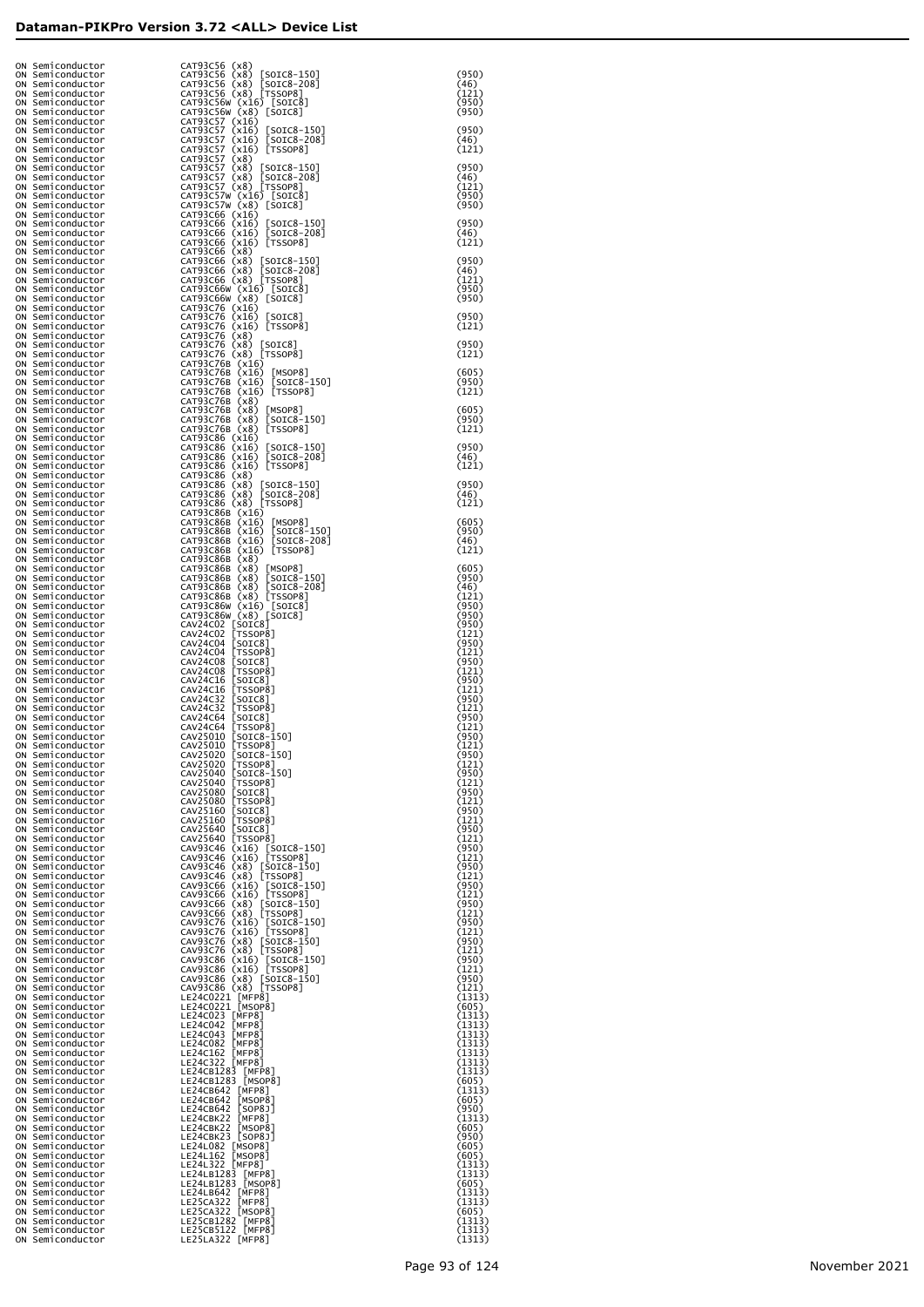| ON Semiconductor<br>ON Semiconductor | CAT93C56 (x8)                                                                                                                                                                                                                                                      |                  |
|--------------------------------------|--------------------------------------------------------------------------------------------------------------------------------------------------------------------------------------------------------------------------------------------------------------------|------------------|
| ON Semiconductor                     | CAT93C56 (x8) [SOIC8-150]<br>CAT93C56 (x8) [SOIC8-208]<br>CAT93C56 (x8) [T5SOP8]                                                                                                                                                                                   | (950)<br>(46)    |
| ON Semiconductor<br>ON Semiconductor |                                                                                                                                                                                                                                                                    | (121)<br>(950)   |
| ON Semiconductor                     | CAT93C56W (x16) [SOIC8]<br>CAT93C56W (x8) [SOIC8]                                                                                                                                                                                                                  | (950)            |
| ON Semiconductor<br>ON Semiconductor | CAT93C57 (x16)<br>CAT93C57 (x16) [SOIC8-150]<br>CAT93C57 (x16) [SOIC8-208]<br>CAT93C57 (x16) [TSSOP8]                                                                                                                                                              | (950)            |
| ON Semiconductor                     |                                                                                                                                                                                                                                                                    | (46)             |
| ON Semiconductor<br>ON Semiconductor | CAT93C57 (x8)                                                                                                                                                                                                                                                      | (121)            |
| ON Semiconductor<br>ON Semiconductor | CAT93C57 (x8) [SOIC8-150]<br>CAT93C57 (x8) [SOIC8-208]<br>CAT93C57 (x8) [TSSOP8]                                                                                                                                                                                   | (950)<br>(46)    |
| ON Semiconductor                     |                                                                                                                                                                                                                                                                    | (121)            |
| ON Semiconductor<br>ON Semiconductor | CAT93C57W (x16) [SOIC8]<br>CAT93C57W (x8) [SOIC8]                                                                                                                                                                                                                  | (950)<br>(950)   |
| ON Semiconductor                     | CAT93C66 (x16)                                                                                                                                                                                                                                                     |                  |
| ON Semiconductor<br>ON Semiconductor | CAT93C66 (X16) [SOIC8-150]<br>CAT93C66 (X16) [SOIC8-208]<br>CAT93C66 (X16) [TSSOP8]                                                                                                                                                                                | (950)<br>(46)    |
| ON Semiconductor                     |                                                                                                                                                                                                                                                                    | (121)            |
| ON Semiconductor<br>ON Semiconductor | CAT93C66 (x8)                                                                                                                                                                                                                                                      | (950)            |
| ON Semiconductor                     | CAT93C66 (x8) [SOIC8-150]<br>CAT93C66 (x8) [SOIC8-208]<br>CAT93C66 (x8) [T5SOP8]                                                                                                                                                                                   | (46)             |
| ON Semiconductor<br>ON Semiconductor | CAT93C66W (x16) [SOIC8]<br>CAT93C66W (x8) [SOIC8]                                                                                                                                                                                                                  | (121)<br>(950)   |
| ON Semiconductor<br>ON Semiconductor |                                                                                                                                                                                                                                                                    | (950)            |
| ON Semiconductor                     | CAT93C76 (x16)<br>CAT93C76 (x16) [SOIC8]<br>CAT93C76 (x16) [TSSOP8]                                                                                                                                                                                                | (950)            |
| ON Semiconductor<br>ON Semiconductor | CAT93C76 (x8)                                                                                                                                                                                                                                                      | (121)            |
| ON Semiconductor                     | CAT93C76 (x8) [SOIC8]<br>CAT93C76 (x8) [TSSOP8]                                                                                                                                                                                                                    | (950)            |
| ON Semiconductor<br>ON Semiconductor | CAT93C76B (x16)                                                                                                                                                                                                                                                    | (121)            |
| ON Semiconductor<br>ON Semiconductor | CAT93C76B (X16) [MSOP8]<br>CAT93C76B (x16) [SOIC8-150]<br>CAT93C76B (x16) [TSSOP8]                                                                                                                                                                                 | (605)<br>(950)   |
| ON Semiconductor                     |                                                                                                                                                                                                                                                                    | (121)            |
| ON Semiconductor<br>ON Semiconductor | CAT93C76B (x8)                                                                                                                                                                                                                                                     | (605)            |
| ON Semiconductor                     | CAT93C76B (X8) [MSOP8]<br>CAT93C76B (X8) [SOIC8-150]<br>CAT93C76B (X8) [TSSOP8]                                                                                                                                                                                    | (950)            |
| ON Semiconductor<br>ON Semiconductor |                                                                                                                                                                                                                                                                    | (121)            |
| ON Semiconductor<br>ON Semiconductor |                                                                                                                                                                                                                                                                    | (950)<br>(46)    |
| ON Semiconductor                     | CAT93C86 (x16)<br>CAT93C86 (x16) [SOIC8-150]<br>CAT93C86 (x16) [SOIC8-208]<br>CAT93C86 (x16) [TSSOP8]                                                                                                                                                              | (121)            |
| ON Semiconductor<br>ON Semiconductor | CAT93C86 (x8)                                                                                                                                                                                                                                                      | (950)            |
| ON Semiconductor                     | CAT93C86 (X8) [SOIC8-150]<br>CAT93C86 (X8) [SOIC8-208]<br>CAT93C86 (X8) [TSSOP8]                                                                                                                                                                                   | (46)             |
| ON Semiconductor<br>ON Semiconductor | CAT93C86B (x16)                                                                                                                                                                                                                                                    | (121)            |
| ON Semiconductor<br>ON Semiconductor | CAT93C86B (x16) [MSOP8]<br>CAT93C86B (x16) [SOIC8-150]<br>CAT93C86B (x16) [SOIC8-208]<br>CAT93C86B (x16) [TSSOP8]                                                                                                                                                  | (605)<br>(950)   |
| ON Semiconductor                     |                                                                                                                                                                                                                                                                    | (46)             |
| ON Semiconductor<br>ON Semiconductor | CAT93C86B (x8)                                                                                                                                                                                                                                                     | (121)            |
| ON Semiconductor                     |                                                                                                                                                                                                                                                                    | (605)            |
| ON Semiconductor<br>ON Semiconductor | CAT93C86B (X8) [MSOP8]<br>CAT93C86B (X8) [SOIC8-150]<br>CAT93C86B (X8) [SOIC8-208]<br>CAT93C86B (X8) [TSSOP8]                                                                                                                                                      | (950)<br>(46)    |
| ON Semiconductor<br>ON Semiconductor |                                                                                                                                                                                                                                                                    | (121)<br>(950)   |
| ON Semiconductor                     |                                                                                                                                                                                                                                                                    | (950)            |
| ON Semiconductor<br>ON Semiconductor |                                                                                                                                                                                                                                                                    | (950)<br>(121)   |
| ON Semiconductor                     |                                                                                                                                                                                                                                                                    | (950)            |
| ON Semiconductor<br>ON Semiconductor |                                                                                                                                                                                                                                                                    | (121)<br>(950)   |
| ON Semiconductor<br>ON Semiconductor |                                                                                                                                                                                                                                                                    | (121)<br>(950)   |
| ON Semiconductor                     |                                                                                                                                                                                                                                                                    | (121)            |
| ON Semiconductor<br>ON Semiconductor |                                                                                                                                                                                                                                                                    | (950)<br>(121)   |
| ON Semiconductor                     |                                                                                                                                                                                                                                                                    | (950)<br>(121)   |
| ON Semiconductor<br>ON Semiconductor |                                                                                                                                                                                                                                                                    | (950)            |
| ON Semiconductor<br>ON Semiconductor |                                                                                                                                                                                                                                                                    | (121)<br>(950)   |
| ON Semiconductor                     |                                                                                                                                                                                                                                                                    | (121)            |
| ON Semiconductor<br>ON Semiconductor |                                                                                                                                                                                                                                                                    | (950)<br>(121)   |
| ON Semiconductor<br>ON Semiconductor |                                                                                                                                                                                                                                                                    | (950)<br>(121)   |
| ON Semiconductor                     |                                                                                                                                                                                                                                                                    | (950)            |
| ON Semiconductor<br>ON Semiconductor |                                                                                                                                                                                                                                                                    | (121)<br>(950)   |
| ON Semiconductor                     |                                                                                                                                                                                                                                                                    | (121)<br>(950)   |
| ON Semiconductor<br>ON Semiconductor |                                                                                                                                                                                                                                                                    | (121)            |
| ON Semiconductor<br>ON Semiconductor |                                                                                                                                                                                                                                                                    | (950)<br>(121)   |
| ON Semiconductor                     |                                                                                                                                                                                                                                                                    | (950)            |
| ON Semiconductor<br>ON Semiconductor |                                                                                                                                                                                                                                                                    | (121)<br>(950)   |
| ON Semiconductor<br>ON Semiconductor |                                                                                                                                                                                                                                                                    | (121)<br>(950)   |
| ON Semiconductor                     |                                                                                                                                                                                                                                                                    | (121)            |
| ON Semiconductor<br>ON Semiconductor |                                                                                                                                                                                                                                                                    | (950)<br>(121)   |
| ON Semiconductor                     |                                                                                                                                                                                                                                                                    | (950)<br>(121)   |
| ON Semiconductor<br>ON Semiconductor |                                                                                                                                                                                                                                                                    | (950)            |
| ON Semiconductor<br>ON Semiconductor | CAT93C86W (X8) [SODC8]<br>CAT93C86W (X8) [SOTC8]<br>CAV24C02 [SOTC8]<br>CAV24C02 [SOTC8]<br>CAV24C02 [SOTC8]<br>CAV24C02 [SOTC8]<br>CAV24C04 [SOTC8]<br>CAV24C08 [SSOP8]<br>CAV24C8 [SSOP8]<br>CAV24C8 [SSOP8]<br>CAV24C8 [SSOP8]<br>CAV24C8 [SSOP8]<br>CAV24C8 [S | (121)<br>(1313)  |
| ON Semiconductor                     |                                                                                                                                                                                                                                                                    | (605)            |
| ON Semiconductor<br>ON Semiconductor |                                                                                                                                                                                                                                                                    | (1313)<br>(1313) |
| ON Semiconductor                     |                                                                                                                                                                                                                                                                    | (1313)<br>(1313) |
| ON Semiconductor<br>ON Semiconductor |                                                                                                                                                                                                                                                                    | (1313)           |
| ON Semiconductor<br>ON Semiconductor |                                                                                                                                                                                                                                                                    | (1313)<br>(1313) |
| ON Semiconductor                     |                                                                                                                                                                                                                                                                    | (605)            |
| ON Semiconductor<br>ON Semiconductor | LE24CB642 [MFP8]<br>LE24CB642 [MSOP8]                                                                                                                                                                                                                              | (1313)<br>(605)  |
| ON Semiconductor                     | LE24CB642 [SOP8]<br>LE24CB642 [SOP8]]<br>LE24CBK22 [MFP8]<br>LE24CBK22 [MSOP8]<br>LE24CBK23 [SOP8]<br>LE24L162 [MSOP8]<br>LE24LB1283 [MFP8]<br>LE24LB1283 [MFP8]<br>LE24LB1283 [MFP8]<br>LE24LB1283 [MFP8]<br>LE24LB1283 [MFP8]                                    | (950)            |
| ON Semiconductor<br>ON Semiconductor |                                                                                                                                                                                                                                                                    | (1313)<br>(605)  |
| ON Semiconductor<br>ON Semiconductor |                                                                                                                                                                                                                                                                    | (950)<br>(605)   |
| ON Semiconductor                     |                                                                                                                                                                                                                                                                    | (605)            |
| ON Semiconductor<br>ON Semiconductor |                                                                                                                                                                                                                                                                    | (1313)<br>(1313) |
| ON Semiconductor<br>ON Semiconductor |                                                                                                                                                                                                                                                                    | (605)<br>(1313)  |
| ON Semiconductor                     | LE24LB642 [MFP8]<br>LE24LB642 [MFP8]<br>LE25CA322 [MSOP8]<br>LE25CB1282 [MFP8]<br>LE25CB1122 [MFP8]                                                                                                                                                                | (1313)           |
| ON Semiconductor<br>ON Semiconductor |                                                                                                                                                                                                                                                                    | (605)<br>(1313)  |
| ON Semiconductor<br>ON Semiconductor |                                                                                                                                                                                                                                                                    | (1313)<br>(1313) |
|                                      | LE25LA322 [MFP8]                                                                                                                                                                                                                                                   |                  |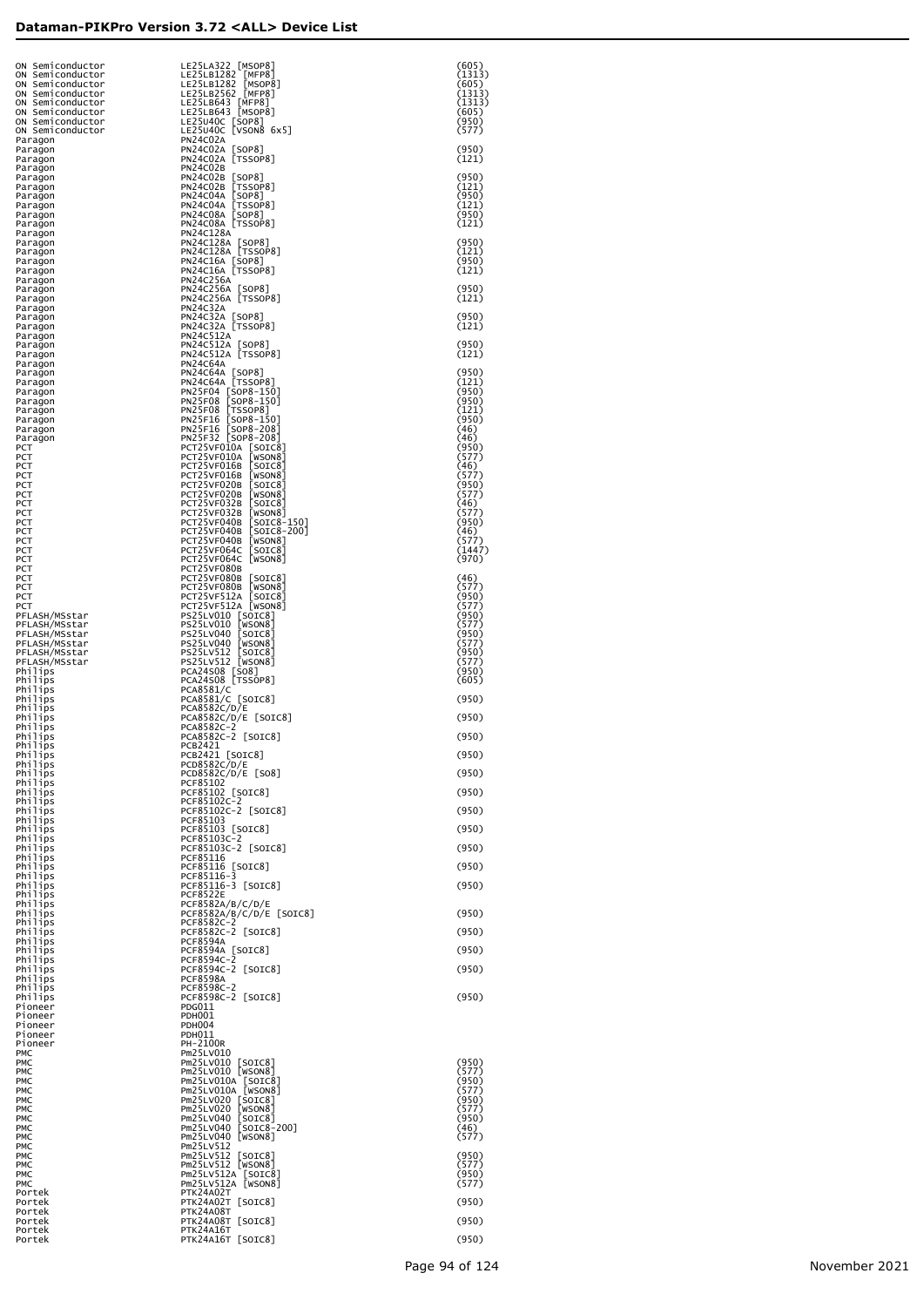| ON Semiconductor<br>ON Semiconductor<br>ON Semiconductor<br>ON Semiconductor | LE25LA322 [MSOP8<br>LE25LB1282 [MFP8]<br>LE25LB1282 [MSOP8]<br>LE25LB2562 [MFP8]<br>LE25LB643 [MFP8]<br>LE25LB643 [MSOP8]                                                                                                                                    | (605)<br>(1313)<br>(605)<br>(1313) |
|------------------------------------------------------------------------------|--------------------------------------------------------------------------------------------------------------------------------------------------------------------------------------------------------------------------------------------------------------|------------------------------------|
| ON Semiconductor<br>ON Semiconductor<br>ON Semiconductor                     | LE25U40C [SOP8]<br>LE25U40C [SOP8]<br>LE25U40C [VSON8 6x5]                                                                                                                                                                                                   | (1313)<br>(605)<br>(950)           |
| ON Semiconductor<br>Paragon<br>Paragon                                       | <b>PN24C02A</b><br>PN24C02A [SOP8]                                                                                                                                                                                                                           | (577)<br>(950)                     |
| Paragon<br>Paragon                                                           | PN24C02A [TSSOP8]<br>PN24C02B<br>PN24C02B [SOP8]                                                                                                                                                                                                             | (121)<br>(950)                     |
| Paragon<br>Paragon<br>Paragon                                                | PN24C02B [TSSOP8]<br>PN24C04A [SOP8]<br>PN24C04A [TSSOP8]                                                                                                                                                                                                    | (121)<br>(950)                     |
| Paragon<br>Paragon                                                           | PN24C08A [SOP8]<br>PN24C08A [TSSOP8]                                                                                                                                                                                                                         | (121)<br>(950)<br>(121)            |
| Paragon<br>Paragon<br>Paragon                                                | <b>PN24C128A</b><br>PN24C128A [SOP8]                                                                                                                                                                                                                         | (950)                              |
| Paragon<br>Paragon<br>Paragon                                                | PN24C128A [TSSOP8]<br>PN24C16A [SOP8]<br>PN24C16A [TSSOP8]                                                                                                                                                                                                   | (121)<br>(950)<br>(121)            |
| Paragon<br>Paragon                                                           | PN24C256A<br>PN24C256A [SOP8]<br>PN24C256A [TSSOP8]                                                                                                                                                                                                          | (950)                              |
| Paragon<br>Paragon<br>Paragon                                                | <b>PN24C32A</b>                                                                                                                                                                                                                                              | (121)<br>(950)                     |
| Paragon<br>Paragon                                                           | PN24C32A [SOP8]<br>PN24C32A [TSSOP8]<br>PN24C512A                                                                                                                                                                                                            | (121)                              |
| Paragon<br>Paragon<br>Paragon                                                | PN24C512A [SOP8]<br>PN24C512A [TSSOP8]<br><b>PN24C64A</b>                                                                                                                                                                                                    | (950)<br>(121)                     |
| Paragon<br>Paragon                                                           | PN24C64A [SOP8]<br>PN24C64A [TSSOP8]<br>PN25F04 [SOP8-150]<br>PN25F08 [SOP8-150]                                                                                                                                                                             | (950)<br>(121)                     |
| Paragon<br>Paragon<br>Paragon                                                | PN25F08 [TSSOP8]                                                                                                                                                                                                                                             | (950)<br>(950)<br>(121)            |
| Paragon<br>Paragon                                                           | PN25F06 [SOP8-150]<br>PN25F16 [SOP8-208]<br>PN25F32 [SOP8-208]                                                                                                                                                                                               | (950)<br>(46)                      |
| Paragon<br>РСТ<br>РСТ                                                        |                                                                                                                                                                                                                                                              | (46)<br>(950)<br>(577)             |
| РСТ<br>РСТ                                                                   |                                                                                                                                                                                                                                                              | (46)<br>(577)                      |
| РСТ<br>РСТ<br>РСТ                                                            |                                                                                                                                                                                                                                                              | (950)<br>(577)<br>(46)             |
| РСТ<br>РСТ                                                                   |                                                                                                                                                                                                                                                              | (577)<br>(950)<br>(46)             |
| РСТ<br>РСТ<br>РСТ                                                            | PN25F32 [SOP8-208]<br>PCT25vF010A [SOTC8]<br>PCT25vF010A [SOTC8]<br>PCT25vF010A [WSON8]<br>PCT25VF016B [SOTC8]<br>PCT25VF020B [SOTC8]<br>PCT25VF032B [SOTC8]<br>PCT25VF032B [WSOTC8]<br>PCT25VF040B [SOTC8-150]<br>PCT25VF040B [SOTC8-150]<br>PCT25VF040B [S | (577)<br>(1447)                    |
| РСТ<br>РСТ<br>РСТ                                                            | PCT25VF080B                                                                                                                                                                                                                                                  | (970)<br>(46)                      |
| РСТ<br>РСТ                                                                   | PCT25VF080B [SOIC8]<br>PCT25VF080B [WSON8]<br>PCT25VF512A [SOIC8]<br>PCT25VF512A [WSON8]                                                                                                                                                                     | (577)<br>(950)                     |
| РСТ<br>PFLASH/MSstar<br>PFLASH/MSstar                                        | PS25LV010 [SOIC8]<br>PS25LV010 [WSON8]                                                                                                                                                                                                                       | (577)<br>(950)<br>(577)            |
| PFLASH/MSstar<br>PFLASH/MSstar                                               |                                                                                                                                                                                                                                                              | (950)<br>(577)                     |
| PFLASH/MSstar<br>PFLASH/MSstar<br>Philips                                    | PS25LV040 [SOTC8]<br>PS25LV040 [NSON8]<br>PS25LV040 [NSON8]<br>PS25LV512 [SOTC8]<br>PCA24508 [SO8]<br>PCA24508 [TSSOP8]<br>PCA24508 [TSSOP8]                                                                                                                 | (950)<br>(577)<br>(950)            |
| Philips<br>Philips                                                           | PCA8581/C                                                                                                                                                                                                                                                    | (605)                              |
| Philips<br>Philips<br>Philips                                                | PCA8581/C [SOIC8]<br>PCA8582C/D/E<br>PCA8582C/D/E [SOIC8]                                                                                                                                                                                                    | (950)<br>(950)                     |
| Philips<br>Philips                                                           | PCA8582C-2<br>PCA8582C-2 [SOIC8]                                                                                                                                                                                                                             | (950)                              |
| Philips<br>Philips<br>Philips                                                | <b>PCB2421</b><br>PCB2421 [SOIC8]<br>PCD8582C/D/E                                                                                                                                                                                                            | (950)                              |
| Philips<br>Philips                                                           | PCD8582C/D/E [SO8]<br>PCF85102                                                                                                                                                                                                                               | (950)                              |
| Philips<br>Philips<br>Philips                                                | PCF85102 [SOIC8]<br>PCF85102C-2<br>PCF85102C-2 [SOIC8]                                                                                                                                                                                                       | (950)<br>(950)                     |
| Philips<br>Philips<br>Philips                                                | PCF85103<br>PCF85103 [SOIC8]<br>PCF85103C-2                                                                                                                                                                                                                  | (950)                              |
| Philips<br>Philips                                                           | PCF85103C-2 [SOIC8]<br>PCF85116                                                                                                                                                                                                                              | (950)                              |
| Philips<br>Philips<br>Philips                                                | PCF85116 [SOIC8]<br>PCF85116-3<br>PCF85116-3 [SOIC8]                                                                                                                                                                                                         | (950)<br>(950)                     |
| Philips<br>Philips                                                           | <b>PCF8522E</b><br>PCF8582A/B/C/D/E                                                                                                                                                                                                                          |                                    |
| Philips<br>Philips<br>Philips                                                | PCF8582A/B/C/D/E [SOIC8]<br>PCF8582C-2<br>PCF8582C-2 [SOIC8]                                                                                                                                                                                                 | (950)<br>(950)                     |
| Philips<br>Philips                                                           | <b>PCF8594A</b><br>PCF8594A [SOIC8]<br>PCF8594C-2                                                                                                                                                                                                            | (950)                              |
| Philips<br>Philips<br>Philips                                                | PCF8594C-2 [SOIC8]<br><b>PCF8598A</b>                                                                                                                                                                                                                        | (950)                              |
| Philips<br>Philips                                                           | PCF8598C-2<br>PCF8598C-2 [SOIC8]<br>PDG011                                                                                                                                                                                                                   | (950)                              |
| Pioneer<br>Pioneer<br>Pioneer                                                | <b>PDH001</b><br><b>PDH004</b>                                                                                                                                                                                                                               |                                    |
| Pioneer<br>Pioneer<br>PMC                                                    | PDH011<br>PH-2100R<br>Pm25LV010                                                                                                                                                                                                                              |                                    |
| PMC<br>PMC                                                                   | Pm25LV010 [SOIC8]<br>Pm25LV010 [WSON8]                                                                                                                                                                                                                       | (950)<br>(577)                     |
| PMC<br>PMC<br>PMC                                                            | Pm25LV010A [SOIC8]<br>Pm25LV010A [WSON8]                                                                                                                                                                                                                     | (950)<br>(577)<br>(950)            |
| PMC<br>PMC                                                                   | Pm/>Lvvivideon<br>Pm25LV020 [SOIC8]<br>Pm25LV020 [WSON8]<br>[SOIC8]<br>Pm25LV040                                                                                                                                                                             | (577)<br>(950)                     |
| PMC<br>PMC<br>PMC                                                            | [SOIC8-200]<br>Pm25LV040<br>[WSON8]<br>Pm25LV040<br>Pm25LV512                                                                                                                                                                                                | (46)<br>(577)                      |
| PMC<br>PMC                                                                   | Pm25LV512<br>[SOIC8]<br>Pm25LV512 [WSON8]                                                                                                                                                                                                                    | (950)<br>(577)                     |
| PMC<br>PMC<br>Portek                                                         | Pm25LV512A [SOIC8]<br>Pm25LV512A [WSON8]<br>PTK24A02T                                                                                                                                                                                                        | (950)<br>(577)                     |
| Portek<br>Portek<br>Portek                                                   | PTK24A02T [SOIC8]<br>PTK24A08T<br>PTK24A08T [SOIC8]                                                                                                                                                                                                          | (950)<br>(950)                     |
| Portek<br>Portek                                                             | PTK24A16T<br>PTK24A16T [SOIC8]                                                                                                                                                                                                                               | (950)                              |
|                                                                              |                                                                                                                                                                                                                                                              |                                    |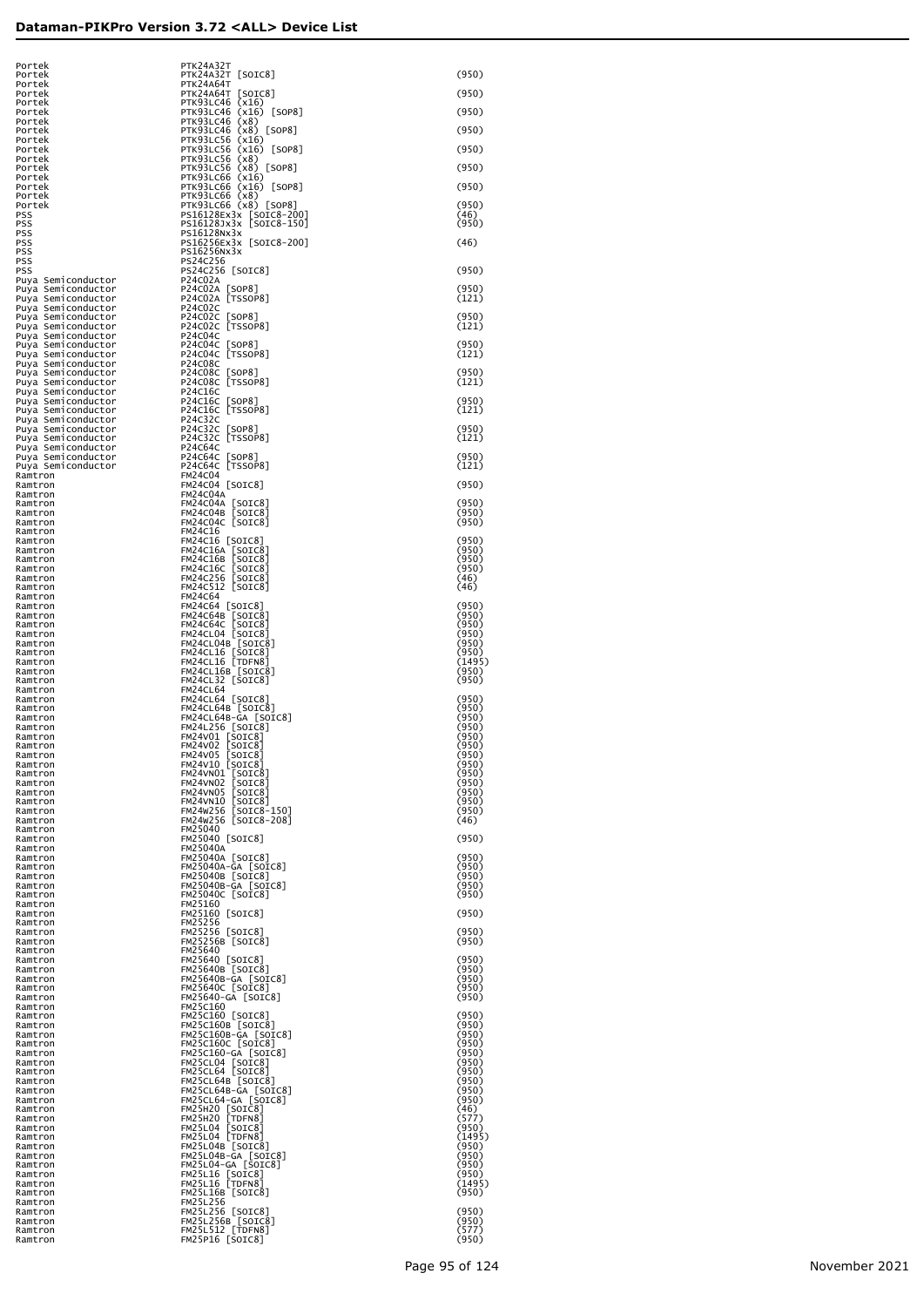| Portek<br>Portek                                         |  |
|----------------------------------------------------------|--|
| Portek                                                   |  |
| Portek<br>Portek                                         |  |
| Portek<br>Portek                                         |  |
| Portek<br>Portek                                         |  |
| Portek                                                   |  |
| Portek<br>Portek                                         |  |
| Portek<br>Portek                                         |  |
| Portek                                                   |  |
| PSS<br>PSS                                               |  |
| PSS                                                      |  |
| PSS<br>PSS                                               |  |
| PSS<br>PSS                                               |  |
| Puya<br>Semiconductor                                    |  |
| Semiconductor<br>Puya<br>Semiconductor<br>Puya           |  |
| Semiconduct<br>Puya<br>:or<br>Semiconduct                |  |
| Puya<br>:or<br>Semiconduct<br>Puya<br>:or                |  |
| Semiconduct<br>Puya<br>:or<br>Semiconduct<br>Puya<br>:or |  |
| Semiconductor<br>Puya<br>Semiconduct                     |  |
| Puya<br>:or<br>Semiconduct<br>Puya<br>:or                |  |
| Semiconduct<br>Puya<br>:or<br>Semiconduct<br>Puya<br>:or |  |
| Semiconduct<br>Puya<br>:or                               |  |
| Semiconduct<br>Puya<br>:or<br>Semiconduct<br>Puya<br>:or |  |
| Semiconduct<br>Puya<br>:or<br>Semiconduct<br>Puya<br>:or |  |
| sem:conduct<br>Semiconduct<br>Semiconduct<br>Puya<br>:or |  |
| Puya<br>:or<br>Semiconductor<br>Puya                     |  |
| Ramtron<br>Ramtron                                       |  |
| Ramtron                                                  |  |
| Ramtron<br>Ramtron                                       |  |
| Ramtron<br>Ramtron                                       |  |
| Ramtron                                                  |  |
| Ramtron<br>Ramtron                                       |  |
| Ramtron<br>Ramtron                                       |  |
| Ramtron                                                  |  |
| Ramtron<br>Ramtron                                       |  |
| Ramtron<br>Ramtron                                       |  |
| Ramtron                                                  |  |
| Ramtron<br>Ramtron                                       |  |
| Ramtron<br>Ramtron                                       |  |
| Ramtron                                                  |  |
| Ramtron<br>Ramtron                                       |  |
| Ramtron<br>Ramtron                                       |  |
| Ramtron                                                  |  |
| Ramtron<br>Ramtron                                       |  |
| Ramtron                                                  |  |
| ₹am<br>ı<br>Ramtron                                      |  |
| Ramtron<br>Ramtron                                       |  |
| Ramtron<br>Ramtron                                       |  |
| Ramtron                                                  |  |
| Ramtron<br>Ramtron                                       |  |
| Ramtron<br>Ramtron                                       |  |
| Ramtron                                                  |  |
| Ramtron<br>Ramtron                                       |  |
| Ramtron<br>Ramtron                                       |  |
| Ramtron                                                  |  |
| Ramtron<br>Ramtron                                       |  |
| Ramtron<br>Ramtron                                       |  |
| Ramtron                                                  |  |
| Ramtron<br>Ramtron                                       |  |
| Ramtron                                                  |  |
|                                                          |  |
| Ramtron<br>Ramtron                                       |  |
| Ramtron<br>Ramtron                                       |  |
| Ramtron                                                  |  |
| Ramtron<br>Ramtron                                       |  |
| Ramtron                                                  |  |
| Ramtron<br>Ramtron                                       |  |
| Ramtron<br>Ramtron                                       |  |
| Ramtron                                                  |  |
| Ramtron<br>Ramtron                                       |  |
| Ramtron<br>Ramtron                                       |  |
| Ramtron                                                  |  |
| Ramtron<br>Ramtron                                       |  |
| Ramtron<br>Ramtron                                       |  |
| Ramtron<br>Ramtron                                       |  |

| Portek                                   | PTK24A32T                                                                 |                 |
|------------------------------------------|---------------------------------------------------------------------------|-----------------|
| Portek                                   | PTK24A32T [SOIC8]                                                         | (950)           |
| Portek<br>Portek                         | <b>PTK24A64T</b><br>PTK24A64T [SOIC8]                                     | (950)           |
| Portek                                   | PTK93LC46 (x16)                                                           |                 |
| Portek<br>Portek                         | PTK93LC46 (x16) [SOP8]<br>PTK93LC46 (x8)                                  | (950)           |
| Portek                                   | PTK93LC46 (x8) [SOP8]                                                     | (950)           |
| Portek<br>Portek                         | PTK93LC56 (x16)<br>PTK93LC56 (x16) [SOP8]                                 | (950)           |
| Portek                                   | PTK93LC56<br>(x8)                                                         |                 |
| Portek                                   | PTK93LC56 (x8) [SOP8]                                                     | (950)           |
| Portek<br>Portek                         | PTK93LC66 (x16)<br>PTK93LC66 (x16) [SOP8]                                 | (950)           |
| Portek                                   | PTK93LC66 (x8)                                                            |                 |
| Portek<br>PSS                            | PTK93LC66 (x8) [SOP8]<br>PS16128Ex3x [SOIC8-200]                          | (950)<br>(46)   |
| PSS                                      | PS16128Jx3x [SOIC8-150]                                                   | (950)           |
| PSS<br>PSS                               | PS16128Nx3x<br>PS16256Ex3x [SOIC8-200]                                    | (46)            |
| PSS                                      | PS16256Nx3x                                                               |                 |
| PSS<br>PSS                               | PS24C256<br>PS24C256 [SOIC8]                                              | (950)           |
| Puya Semiconductor                       | P24C02A                                                                   |                 |
| Puya Semiconductor                       | P24C02A [SOP8]                                                            | (950)           |
| Puya Semiconductor<br>Puya Semiconductor | P24C02A [TSSOP8]<br>P24C02C                                               | (121)           |
| Puya Semiconductor                       | P24C02C<br>P24C02C [SOP8]<br>P24C02C [TSSOP8]                             | (950)           |
| Puya Semiconductor<br>Puya Semiconductor | P24C04C                                                                   | (121)           |
| Puya Semiconductor                       | P24C04C<br>$\lfloor$ SOP8                                                 | (950)           |
| Puya Semiconductor<br>Puya Semiconductor | P24C04C [TSSOP8]<br>P24C08C                                               | (121)           |
| Puya Semiconductor                       | P24C08C<br>P24C08C [SOP8]<br>P24C08C [TSSOP8]                             | (950)           |
| Puya Semiconductor<br>Puya Semiconductor | P24C16C                                                                   | (121)           |
| Puya Semiconductor                       | P24C16C<br>$\lfloor$ SOP8                                                 | (950)           |
| Puya Semiconductor<br>Puya Semiconductor | P24C16C [TSSOP8]<br>P24C32C                                               | (121)           |
| Puya Semiconductor                       | P24C32C<br>$\lfloor$ SOP8                                                 | (950)           |
| Puya Semiconductor                       | P24C32C [TSSOP8]                                                          | (121)           |
| Puya Semiconductor<br>Puya Semiconductor | P24C64C<br>P24C64C<br>$\lfloor$ SOP8                                      | (950)           |
| Puya Semiconductor                       | P24C64C [TSSOP8]                                                          | (121)           |
| Ramtron<br>Ramtron                       | <b>FM24C04</b><br>FM24C04 [SOIC8]                                         | (950)           |
| Ramtron                                  | FM24C04A                                                                  |                 |
| Ramtron<br>Ramtron                       | FM24C04A<br>[SOIC8]<br>FM24C04B [SOIC8]                                   | (950)<br>(950)  |
| Ramtron                                  | FM24C04C [SOIC8]                                                          | (950)           |
| Ramtron                                  | <b>FM24C16</b>                                                            | (950)           |
| Ramtron<br>Ramtron                       | FM24C16 [SOIC8]<br>FM24C16A [SOIC8]<br>FM24C16B [SOIC8]                   | (950)           |
| Ramtron                                  |                                                                           | (950)           |
| Ramtron<br>Ramtron                       | [SOIC8]<br><b>FM24C16C</b><br>[SOIC8]<br>FM24C256                         | (950)<br>(46)   |
| Ramtron                                  | FM24C512 [SOIC8]                                                          | (46)            |
| Ramtron<br>Ramtron                       | <b>FM24C64</b><br>FM24C64 [SOIC8]                                         | (950)           |
| Ramtron                                  | FM24C64B [SOIC8]<br>FM24C64C [SOIC8]                                      | (950)           |
| Ramtron<br>Ramtron                       | FM24CL04 [SOIC8]                                                          | (950)<br>(950)  |
| Ramtron                                  |                                                                           | (950)           |
| Ramtron<br>Ramtron                       | FM24CL04B [SOIC8]<br>FM24CL16 [SOIC8]<br>FM24CL16 [TDFN8]                 | (950)<br>(1495) |
| Ramtron                                  | FM24CL16B [SOIC8]<br>FM24CL32 [SOIC8]                                     | (950)           |
| Ramtron<br>Ramtron                       | FM24CL64                                                                  | (950)           |
| Ramtron                                  | FM24CL64 [SOIC8]                                                          | (950)           |
| Ramtron                                  | FM24CL64B [SOIC8]                                                         | (950)<br>(950)  |
| Ramtron<br>Ramtron                       | FM24CL64B-GA [SOIC8]                                                      | (950)           |
| Ramtron                                  | FM24L256 [SOIC8]<br>FM24V01 [SOIC8]<br>FM24V02 [SOIC8]<br>FM24V05 [SOIC8] | (950)<br>(950)  |
| Ramtron<br>Ramtron                       |                                                                           | (950)           |
| Ramtron                                  | FM24V10 [SOIC8]                                                           | (950)           |
| Ramtron<br>Ramtron                       | FM24VN01<br>[SOIC8]<br>[SOIC8]<br>FM24VN02                                | (950)<br>(950)  |
| Ramtron                                  | [SOIC8]<br>FM24VN05                                                       | (950)           |
| Ramtron<br>Ramtron                       | $[$ SOIC $8]$<br><b>FM24VN10</b><br>$[501C8 - 150]$<br>FM24W256           | (950)<br>(950)  |
| Ramtron                                  | FM24W256 [SOIC8-208]                                                      | (46)            |
| Ramtron<br>Ramtron                       | FM25040<br>FM25040 [SOIC8]                                                | (950)           |
| Ramtron                                  | FM25040A                                                                  |                 |
| Ramtron<br>Ramtron                       | FM25040A [SOIC8]<br>FM25040A-GA [SOIC8]                                   | (950)<br>(950)  |
| Ramtron                                  | FM25040B [SOIC8]                                                          | (950)           |
| Ramtron<br>Ramtron                       | FM25040B-GA [SOIC8]<br>FM25040C [SOIC8]                                   | (950)<br>(950)  |
| Ramtron                                  | FM25160                                                                   |                 |
| Ramtron<br>Ramtron                       | FM25160 [SOIC8]<br>FM25256                                                | (950)           |
| Ramtron                                  | FM25256 [SOIC8]                                                           | (950)           |
| Ramtron                                  | FM25256B [SOIC8]<br>FM25640                                               | (950)           |
| Ramtron<br>Ramtron                       | FM25640 [SOIC8]                                                           | (950)           |
| Ramtron                                  | FM25640B [SOIC8]                                                          | (950)           |
| Ramtron<br>Ramtron                       | FM25640B-GA [SOIC8]<br>FM25640C [SOIC8]                                   | (950)<br>(950)  |
| Ramtron                                  | FM25640-GA [SOIC8]                                                        | (950)           |
| Ramtron<br>Ramtron                       | FM25C160<br>FM25C160 [SOIC8]                                              | (950)           |
| Ramtron                                  | FM25C160B [SOIC8]                                                         | (950)           |
| Ramtron<br>Ramtron                       | FM25C160B-GA [SOIC8]<br>FM25C160C [SOIC8]<br>FM25C160-GA [SOIC8]          | (950)<br>(950)  |
| Ramtron                                  |                                                                           | (950)           |
| Ramtron<br>Ramtron                       | FM25CL04 [SOIC8]<br>FM25CL64 [SOIC8]                                      | (950)<br>(950)  |
| Ramtron                                  | FM25CL64B [SOIC8]                                                         | (950)           |
| Ramtron<br>Ramtron                       | FM25CL64B-GA [SOIC8]<br>FM25CL64-GA [SOIC8]                               | (950)<br>(950)  |
| Ramtron                                  | FM25H20 [SOIC8]<br>FM25H20 [TDFN8]                                        | (46)            |
| Ramtron                                  |                                                                           | (577)<br>(950)  |
| Ramtron<br>Ramtron                       | FM25L04 [SOIC8]                                                           | (1495)          |
| Ramtron                                  | FM25L04B [SOIC8]                                                          | (950)<br>(950)  |
| Ramtron<br>Ramtron                       | FM25L04B-GA [SOIC8]<br>FM25L04-GA [SOIC8]                                 | (950)           |
| Ramtron                                  | FM25L16 [SOIC8]<br>FM25L16 [TDFN8]                                        | (950)           |
| Ramtron<br>Ramtron                       | FM25L16B [SOIC8]                                                          | (1495)<br>(950) |
| Ramtron                                  | FM25L256                                                                  |                 |
| Ramtron<br>Ramtron                       | FM25L256 [SOIC8]                                                          | (950)<br>(950)  |
| Ramtron                                  | FM25L256B [SOIC8]<br>FM25L512 [TDFN8]<br>FM25P16 [SOIC8]                  | (577)           |
| Ramtron                                  |                                                                           | (950)           |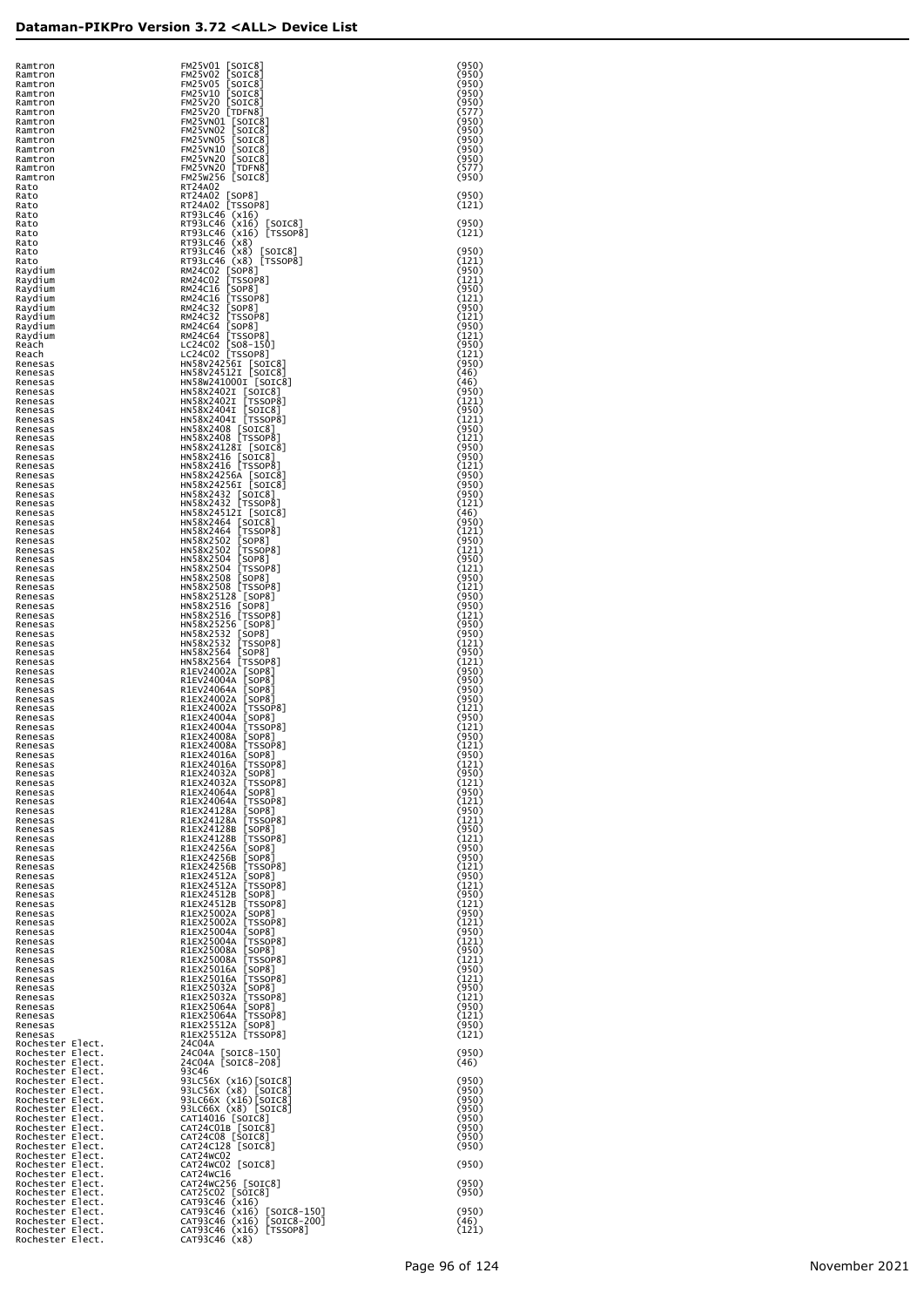| Ramtron<br>Ramtron<br>Ramtron                                                                                                                                                                                                                                         | FM25V01<br>[SOIC8]<br>FM25V02 [SOIC8]<br>FM25V02 [SOIC8]<br>FM25V10 [SOIC8]<br>FM25V20 [SOIC8]<br>FM25V20 [TDFN8]<br>FM25V201 [TDFN8]                                                                                                                              | (950)<br>(950)<br>(950) |
|-----------------------------------------------------------------------------------------------------------------------------------------------------------------------------------------------------------------------------------------------------------------------|--------------------------------------------------------------------------------------------------------------------------------------------------------------------------------------------------------------------------------------------------------------------|-------------------------|
| Ramtron<br>Ramtron                                                                                                                                                                                                                                                    |                                                                                                                                                                                                                                                                    | (950)<br>(950)          |
| Ramtron<br>Ramtron                                                                                                                                                                                                                                                    |                                                                                                                                                                                                                                                                    | (577)<br>(950)          |
| Ramtron<br>Ramtron                                                                                                                                                                                                                                                    |                                                                                                                                                                                                                                                                    | (950)<br>(950)          |
| Ramtron<br>Ramtron                                                                                                                                                                                                                                                    |                                                                                                                                                                                                                                                                    | (950)<br>(950)          |
| Ramtron<br>Ramtron                                                                                                                                                                                                                                                    | FM25VNO LIUFNo<br>FM25VNO1 [SOIC8]<br>FM25VNO2 [SOIC8]<br>FM25VNO5 [SOIC8]<br>FM25VN20 [SOIC8]<br>FM25VN20 [SOIC8]<br>FM25VN20 [TDFN8]<br>FM25VN20 [TDFN8]<br>FM25VN20 [TDFN8]<br>FM25V256 [SOIC8]<br>FM25V256 [SOIC8]                                             | (577)<br>(950)          |
| Rato<br>Rato                                                                                                                                                                                                                                                          | RT24A02                                                                                                                                                                                                                                                            | (950)                   |
| Rato<br>Rato<br>Rato                                                                                                                                                                                                                                                  | RT24A02 [SOP8]<br>RT24A02 [TSSOP8]<br>RT93LC46 (x16)<br>RT93LC46 (x16) [                                                                                                                                                                                           | (121)<br>(950)          |
| Rato<br>Rato                                                                                                                                                                                                                                                          | RT93LC46 (x16) [SOIC8]<br>RT93LC46 (x16) [TSSOP8]<br>RT93LC46 (x8)                                                                                                                                                                                                 | (121)                   |
| Rato<br>Rato                                                                                                                                                                                                                                                          |                                                                                                                                                                                                                                                                    | (950)<br>(121)          |
| Raydium<br>Raydium                                                                                                                                                                                                                                                    | RT93LC46 (x8)<br>RT93LC46 (x8) [SOIC8]<br>RT93LC46 (x8) [TSSOP8]<br>RM24C02 [SOP8]<br>RM24C02 [TSSOP8]<br>RM24C16 [SOP8]<br>RM24C16 [TSSOP8]<br>RM24C32 [TSSOP8]<br>RM24C64 [TSSOP8]<br>LC24C02 [TSSOP8]<br>LC24C02 [TSSOP8]<br>HNS8V24256I [SOIC8]<br>HNS8V24256I | (950)<br>(121)          |
| Raydium<br>Raydium                                                                                                                                                                                                                                                    |                                                                                                                                                                                                                                                                    | (950)<br>(121)          |
| Raydium<br>Raydium                                                                                                                                                                                                                                                    |                                                                                                                                                                                                                                                                    | (950)<br>(121)          |
| Raydium<br>Raydium                                                                                                                                                                                                                                                    |                                                                                                                                                                                                                                                                    | (950)<br>(121)          |
| Reach<br>Reach<br>Renesas                                                                                                                                                                                                                                             |                                                                                                                                                                                                                                                                    | (950)<br>(121)<br>(950) |
| Renesas<br>Renesas                                                                                                                                                                                                                                                    | HN58W241000I [SOIC8]                                                                                                                                                                                                                                               | (46)<br>(46)            |
| Renesas<br>Renesas                                                                                                                                                                                                                                                    |                                                                                                                                                                                                                                                                    | (950)<br>(121)          |
| Renesas<br>Renesas                                                                                                                                                                                                                                                    |                                                                                                                                                                                                                                                                    | (950)<br>(121)          |
| Renesas<br>Renesas                                                                                                                                                                                                                                                    | HN38X24021 [SOTC8]<br>HN58X24021 [TSSOP8]<br>HN58X24021 [TSSOP8]<br>HN58X24041 [TSSOP8]<br>HN58X2408 [TSSOP8]<br>HN58X2408 [TSSOP8]<br>HN58X2408 [TSSOP8]<br>HN58X2408 [TSSOP8]                                                                                    | (950)<br>(121)          |
| Renesas<br>Renesas                                                                                                                                                                                                                                                    | HN58X24128I [SOIC8]<br>HN58X2416 [SOIC8]<br>HN58X2416 [TSSOP8]                                                                                                                                                                                                     | (950)<br>(950)          |
| Renesas<br>Renesas                                                                                                                                                                                                                                                    | HN58X24256A [SOIC8]<br>HN58X24256I [SOIC8]                                                                                                                                                                                                                         | (121)<br>(950)          |
| Renesas<br>Renesas<br>Renesas                                                                                                                                                                                                                                         | HN58x2432 [SOIC8]<br>HN58x2432 [TSSOP8]                                                                                                                                                                                                                            | (950)<br>(950)          |
| Renesas<br>Renesas                                                                                                                                                                                                                                                    | HN58X24512I [SOIC8]                                                                                                                                                                                                                                                | (121)<br>(46)<br>(950)  |
| Renesas<br>Renesas                                                                                                                                                                                                                                                    |                                                                                                                                                                                                                                                                    | (121)<br>(950)          |
| Renesas<br>Renesas                                                                                                                                                                                                                                                    |                                                                                                                                                                                                                                                                    | (121)<br>(950)          |
| Renesas<br>Renesas                                                                                                                                                                                                                                                    | HNS8X245121 [SOTC8]<br>HNS8X2464 [SOTC8]<br>HNS8X2464 [TSSOP8]<br>HNS8X2502 [SOP8]<br>HNS8X2502 [TSSOP8]<br>HNS8X2504 [TSSOP8]<br>HNS8X2504 [TSSOP8]<br>HNS8X25108 [SOP8]<br>HNS8X25128 [SOP8]<br>HNS8X2516 [TSSOP8]<br>HNS8X2516 [TSSOP8]<br>HNS8X2516 [TSSOP8    | (121)<br>(950)          |
| Renesas<br>Renesas                                                                                                                                                                                                                                                    |                                                                                                                                                                                                                                                                    | (121)<br>(950)          |
| Renesas<br>Renesas                                                                                                                                                                                                                                                    |                                                                                                                                                                                                                                                                    | (950)<br>(121)          |
| Renesas<br>Renesas<br>Renesas                                                                                                                                                                                                                                         |                                                                                                                                                                                                                                                                    | (950)<br>(950)<br>(121) |
| Renesas<br>Renesas                                                                                                                                                                                                                                                    | HN58x2532 [SOP8]<br>HN58x2532 [TSSOP8]<br>HN58x2564 [SOP8]<br>HN58x2564 [TSSOP8]                                                                                                                                                                                   | (950)<br>(121)          |
| Renesas<br>Renesas                                                                                                                                                                                                                                                    | HNS8X2364<br>REV24004A [SOP8]<br>REV24004A [SOP8]<br>REV24004A [SOP8]<br>REX24002A [SOP8]<br>REX24002A [SOP8]<br>REX24004A [SOP8]<br>REX24004A [SOP8]<br>REX24008A [SOP8]<br>REX24008A [SOP8]<br>REX24008A [SOP8]<br>REX24008A [SOP8]                              | (950)<br>(950)          |
| Renesas<br>Renesas                                                                                                                                                                                                                                                    |                                                                                                                                                                                                                                                                    | (950)<br>(950)          |
| Renesas<br>Renesas                                                                                                                                                                                                                                                    |                                                                                                                                                                                                                                                                    | (121)<br>(950)          |
| Renesas<br>Renesas                                                                                                                                                                                                                                                    |                                                                                                                                                                                                                                                                    | (121)<br>(950)          |
| Renesas<br>Renesas                                                                                                                                                                                                                                                    | R1EX24016A [SOP8]                                                                                                                                                                                                                                                  | (121)<br>(950)          |
| Renesas<br>Renesas                                                                                                                                                                                                                                                    | R1EX24016A<br>$\lfloor$ TSSOP $8$ ]<br>R1EX24032A<br>[SOP8]<br>[TSSOP8]                                                                                                                                                                                            | (121)<br>(950)          |
| Renesas<br>Renesas<br>Renesas                                                                                                                                                                                                                                         | R1EX24032A<br>R1EX24064A<br>[SOP8]<br>[TSSOP8]<br>R1EX24064A                                                                                                                                                                                                       | (121)<br>(950)          |
| Renesas<br>Renesas                                                                                                                                                                                                                                                    | R1EX24128A<br>R1EX24128A                                                                                                                                                                                                                                           | (121)<br>(950)<br>(121) |
| Renesas<br>Renesas                                                                                                                                                                                                                                                    | [SOP8]<br>[TSSOP8]<br>[SOP8]<br>[TSSOP8]<br>[SOP8]<br>R1EX24128B<br>R1EX24128B                                                                                                                                                                                     | (950)<br>(121)          |
| Renesas<br>Renesas                                                                                                                                                                                                                                                    | R1EX24256A<br>[SOP8]<br>[SOP8]<br>[TSSOP8]<br>[CODO]<br>R1EX24256B                                                                                                                                                                                                 | (950)<br>(950)          |
| Renesas<br>Renesas                                                                                                                                                                                                                                                    | R1EX24256B<br>R1EX24512A                                                                                                                                                                                                                                           | (121)<br>(950)          |
| Renesas<br>Renesas                                                                                                                                                                                                                                                    | [SOP8]<br>[TSSOP8]<br>[SOP8]<br>[TSSOP8]<br>[SOP8]<br>R1EX24512A<br>R1EX24512B                                                                                                                                                                                     | (121)<br>(950)          |
| Renesas<br>Renesas                                                                                                                                                                                                                                                    | R1EX24512B<br>R1EX25002A<br>[SOP8]<br>[TSSOP8]<br>Esseed                                                                                                                                                                                                           | (121)<br>(950)          |
| Renesas<br>Renesas<br>Renesas                                                                                                                                                                                                                                         | R1EX25002A<br>R1EX25004A<br>[SOP8]<br>[TSSOP8]<br>R1EX25004A                                                                                                                                                                                                       | (121)<br>(950)<br>(121) |
| Renesas<br>Renesas                                                                                                                                                                                                                                                    | R1EX25008A<br>[SOP8]<br>[TSSOP8]<br>R1EX25008A                                                                                                                                                                                                                     | (950)<br>(121)          |
| Renesas<br>Renesas                                                                                                                                                                                                                                                    | R1EX25016A<br>[SOP8]<br>[TSSOP8]<br>Esseed<br>R1EX25016A                                                                                                                                                                                                           | (950)<br>(121)          |
| Renesas<br>Renesas                                                                                                                                                                                                                                                    | R1EX25032A<br>[SOP8]<br>[TSSOP8]<br>Esseed<br>R1EX25032A                                                                                                                                                                                                           | (950)<br>(121)          |
| Renesas<br>Renesas                                                                                                                                                                                                                                                    | RIEX25064A [SOP8]<br>RIEX25064A [TSSOP8]                                                                                                                                                                                                                           | (950)<br>(121)          |
| Renesas<br>Renesas                                                                                                                                                                                                                                                    | R1EX25512A [SOP8]<br>R1EX25512A [TSSOP8]                                                                                                                                                                                                                           | (950)<br>(121)          |
| Rochester Elect.                                                                                                                                                                                                                                                      | 24C04A<br>24C04A [SOIC8-150]<br>24C04A [SOIC8-208]                                                                                                                                                                                                                 | (950)                   |
| Rochester Elect.<br>Rochester Elect.<br>Rochester Elect.<br>Rochester Elect.<br>Rochester Elect.<br>Rochester Elect.<br>Rochester Elect.<br>Rochester Elect.<br>Rochester Elect.<br>Rochester Elect.<br>Rochester Elect.<br>Rochester Elect.<br>Rochester Elect.<br>R | 93C46<br>93LC56X (x16)[SOIC8]                                                                                                                                                                                                                                      | (46)<br>(950)           |
|                                                                                                                                                                                                                                                                       | 93LC56X (x8) [SOIC8]<br>93LC66X (x16) [SOIC8]<br>93LC66X (x8) [SOIC8]                                                                                                                                                                                              | (950)<br>(950)          |
|                                                                                                                                                                                                                                                                       | CAT14016 [SOIC8]                                                                                                                                                                                                                                                   | (950)<br>(950)          |
|                                                                                                                                                                                                                                                                       | CAT24CO1B [SOIC8]<br>CAT24CO8 [SOIC8]<br>CAT24C128 [SOIC8]                                                                                                                                                                                                         | (950)<br>(950)          |
|                                                                                                                                                                                                                                                                       | CAT24WC02                                                                                                                                                                                                                                                          | (950)                   |
|                                                                                                                                                                                                                                                                       | CAT24WC02 [SOIC8]<br>CAT24WC16                                                                                                                                                                                                                                     | (950)                   |
|                                                                                                                                                                                                                                                                       | CAT24WC256 [SOIC8]                                                                                                                                                                                                                                                 | (950)<br>(950)          |
|                                                                                                                                                                                                                                                                       | CAT25C02 [SOTC8]<br>CAT25C02 [SOTC8]<br>CAT93C46 (x16) [SOTC8-150]<br>CAT93C46 (x16) [SOTC8-200]<br>CAT93C46 (x16) [TSSOP8]<br>CAT93C46 (x80) [TSSOP8]                                                                                                             | (950)<br>(46)           |
| Rochester Elect.                                                                                                                                                                                                                                                      | CAT93C46 (x8)                                                                                                                                                                                                                                                      | (121)                   |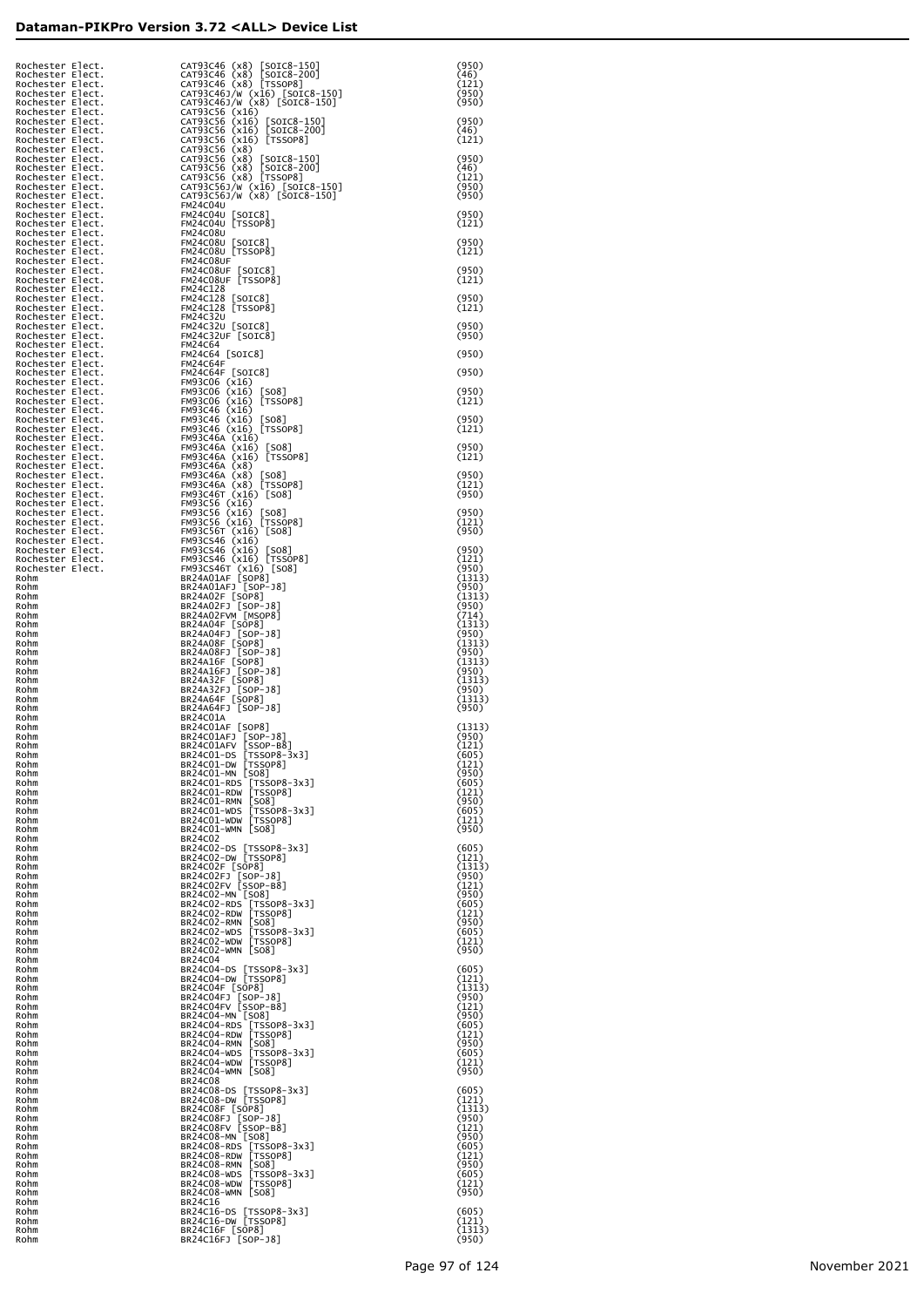| Rochester Elect. | CAT93C46 (x8) [SOIC8-150]<br>CAT93C46 (x8) [SOIC8-200]<br>CAT93C46 (x8) [TSSOP8]                                                                                                                                                                                                                                                                                                                                                       | (950)<br>(46)   |
|------------------|----------------------------------------------------------------------------------------------------------------------------------------------------------------------------------------------------------------------------------------------------------------------------------------------------------------------------------------------------------------------------------------------------------------------------------------|-----------------|
|                  |                                                                                                                                                                                                                                                                                                                                                                                                                                        | (121)           |
|                  | CAT93C46J/W (x16) [SOIC8-150]<br>CAT93C46J/W (x8) [SOIC8-150]                                                                                                                                                                                                                                                                                                                                                                          | (950)<br>(950)  |
|                  | CAT93C461/W (x8) [SOIC8-150]<br>CAT93C56 (x16)<br>CAT93C56 (x16) [SOIC8-150]<br>CAT93C56 (x16) [SOIC8-200]<br>CAT93C56 (x16) [TSSOP8]<br>CAT93C56 (x8) [SOIC8-150]<br>CAT93C56 (x8) [SOIC8-200]<br>CAT93C56 (x8) [TSSOP8]<br>CAT93C56 (x8) [TSSOP8]<br>CA                                                                                                                                                                              | (950)           |
|                  |                                                                                                                                                                                                                                                                                                                                                                                                                                        | (46)<br>(121)   |
|                  |                                                                                                                                                                                                                                                                                                                                                                                                                                        | (950)           |
|                  |                                                                                                                                                                                                                                                                                                                                                                                                                                        | (46)            |
|                  |                                                                                                                                                                                                                                                                                                                                                                                                                                        | (121)<br>(950)  |
|                  |                                                                                                                                                                                                                                                                                                                                                                                                                                        | (950)           |
|                  |                                                                                                                                                                                                                                                                                                                                                                                                                                        | (950)<br>(121)  |
|                  |                                                                                                                                                                                                                                                                                                                                                                                                                                        | (950)           |
|                  |                                                                                                                                                                                                                                                                                                                                                                                                                                        | (121)           |
|                  |                                                                                                                                                                                                                                                                                                                                                                                                                                        | (950)           |
|                  |                                                                                                                                                                                                                                                                                                                                                                                                                                        | (121)           |
|                  |                                                                                                                                                                                                                                                                                                                                                                                                                                        | (950)<br>(121)  |
|                  |                                                                                                                                                                                                                                                                                                                                                                                                                                        | (950)           |
|                  |                                                                                                                                                                                                                                                                                                                                                                                                                                        | (950)           |
|                  |                                                                                                                                                                                                                                                                                                                                                                                                                                        | (950)           |
|                  |                                                                                                                                                                                                                                                                                                                                                                                                                                        | (950)           |
|                  |                                                                                                                                                                                                                                                                                                                                                                                                                                        | (950)<br>(121)  |
|                  |                                                                                                                                                                                                                                                                                                                                                                                                                                        |                 |
|                  |                                                                                                                                                                                                                                                                                                                                                                                                                                        | (950)<br>(121)  |
|                  |                                                                                                                                                                                                                                                                                                                                                                                                                                        | (950)           |
|                  | FM93C46A (x16) [TSSOP8]                                                                                                                                                                                                                                                                                                                                                                                                                | (121)           |
|                  |                                                                                                                                                                                                                                                                                                                                                                                                                                        | (950)<br>(121)  |
|                  |                                                                                                                                                                                                                                                                                                                                                                                                                                        | (950)           |
|                  |                                                                                                                                                                                                                                                                                                                                                                                                                                        | (950)<br>(121)  |
|                  |                                                                                                                                                                                                                                                                                                                                                                                                                                        | (950)           |
|                  |                                                                                                                                                                                                                                                                                                                                                                                                                                        | (950)           |
|                  | Rochester Flect.<br>Rochester Flect. CAT93466 (x8) [SOTG-19<br>Rochester Flect. CAT93466 (x8) [TSORP3<br>Rochester Flect. CAT93466 (x8) [TSORP3<br>Rochester Flect. CAT93466 (x8) [TSORP3<br>Rochester Flect. CAT93466 (x16) [SOTG-20<br>R<br>FM93C56T (x16) [SSDP6]<br>FM93C56T (x16) [SO8]<br>FM93C546 (x16) [SO8]<br>FM93C546 (x16) [TSSOP8]<br>FM93C546 (x16) [TSSOP8]<br>BR24AQ1AF [SOP8]<br>BR24AQ1AF [SOP8]<br>BR24AQ1AF [SOP8] | (121)<br>(950)  |
| Rohm             |                                                                                                                                                                                                                                                                                                                                                                                                                                        | (1313)<br>(950) |
| Rohm<br>Rohm     | BR24A02F [SOP8]<br>BR24A02FJ [SOP-J8]<br>BR24A02FVM [MSOP8]                                                                                                                                                                                                                                                                                                                                                                            | (1313)<br>(950) |
| Rohm<br>Rohm     | BR24A04F [SOP8]<br>BR24A04FJ [SOP-J8]                                                                                                                                                                                                                                                                                                                                                                                                  | (714)<br>(1313) |
| Rohm<br>Rohm     |                                                                                                                                                                                                                                                                                                                                                                                                                                        | (950)<br>(1313) |
| Rohm<br>Rohm     | BR24A08F [50P8]<br>BR24A08FJ [50P-J8]<br>BR24A16F [50P8]<br>BR24A16FJ [50P-J8]                                                                                                                                                                                                                                                                                                                                                         | (950)<br>(1313) |
| Rohm<br>Rohm     |                                                                                                                                                                                                                                                                                                                                                                                                                                        | (950)<br>(1313) |
| Rohm<br>Rohm     | BR24A32F [SOP8]<br>BR24A32FJ [SOP-J8]<br>BR24A64F [SOP8]                                                                                                                                                                                                                                                                                                                                                                               | (950)<br>(1313) |
| Rohm<br>Rohm     | BR24A64FJ [SOP-J8]<br>BR24C01A                                                                                                                                                                                                                                                                                                                                                                                                         | (950)           |
| Rohm<br>Rohm     | BR24CO1AF [SOP8]<br>BR24CO1AFJ [SOP-J8]<br>BR24CO1AFV [SSOP-B8]                                                                                                                                                                                                                                                                                                                                                                        | (1313)<br>(950) |
| Rohm<br>RONM     | BR24C01-DS [TSSOP8-3x3]                                                                                                                                                                                                                                                                                                                                                                                                                | (121)<br>(605)  |
| Rohm<br>Rohm     | BR24C01-DW [TSSOP8]<br>BR24C01-MN [SO8]                                                                                                                                                                                                                                                                                                                                                                                                | (121)<br>(950)  |
| Rohm<br>Rohm     | BR24C01-RDS [TSSOP8-3x3]<br>BR24C01-RDW [TSSOP8]                                                                                                                                                                                                                                                                                                                                                                                       | (605)           |
| Rohm             | BR24C01-RMN [SO8]                                                                                                                                                                                                                                                                                                                                                                                                                      | (121)<br>(950)  |
| Rohm<br>Rohm     | BR24CO1-WDS [TSSOP8-3x3]<br>BR24CO1-WDW [TSSOP8]                                                                                                                                                                                                                                                                                                                                                                                       | (605)<br>(121)  |
| Rohm<br>Rohm     | BR24C01-WMN [SO8]<br>BR24C02                                                                                                                                                                                                                                                                                                                                                                                                           | (950)           |
| Rohm<br>Rohm     | BR24C02-DS [TSSOP8-3x3]<br>BR24C02-DW [TSSOP8]                                                                                                                                                                                                                                                                                                                                                                                         | (605)<br>(121)  |
| Rohm<br>Rohm     | BR24CO2F [SOP8]<br>BR24CO2FJ [SOP-J8]<br>BR24CO2FV [SSOP-B8]                                                                                                                                                                                                                                                                                                                                                                           | (1313)<br>(950) |
| Rohm<br>Rohm     | BR24C02-MN [SO8]                                                                                                                                                                                                                                                                                                                                                                                                                       | (121)<br>(950)  |
| Rohm<br>Rohm     | BR24C02-RDS [TSSOP8-3x3]<br>BR24C02-RDW [TSSOP8]                                                                                                                                                                                                                                                                                                                                                                                       | (605)<br>(121)  |
| Rohm<br>Rohm     | BR24C02-RMN [SO8]                                                                                                                                                                                                                                                                                                                                                                                                                      | (950)<br>(605)  |
| Rohm<br>Rohm     | BR24CO2-WDS [TSSOP8-3x3]<br>BR24CO2-WDW [TSSOP8]<br>BR24C02-WMN [SO8]                                                                                                                                                                                                                                                                                                                                                                  | (121)<br>(950)  |
| Rohm<br>Rohm     | BR24C04                                                                                                                                                                                                                                                                                                                                                                                                                                |                 |
| Rohm             | BR24C04-DS [TSSOP8-3x3]<br>BR24C04-DW [TSSOP8]                                                                                                                                                                                                                                                                                                                                                                                         | (605)<br>(121)  |
| Rohm<br>Rohm     | BR24C04F [SOP8]<br>BR24C04F [SOP-J8]<br>BR24C04FV [SSOP-B8]                                                                                                                                                                                                                                                                                                                                                                            | (1313)<br>(950) |
| Rohm<br>Rohm     | BR24C04-MN [SO8]                                                                                                                                                                                                                                                                                                                                                                                                                       | (121)<br>(950)  |
| Rohm<br>Rohm     | BR24C04-RDS [TSSOP8-3x3]<br>BR24C04-RDW [TSSOP8]                                                                                                                                                                                                                                                                                                                                                                                       | (605)<br>(121)  |
| Rohm<br>Rohm     | BR24C04-RMN [SO8]<br>BR24CO4-WDS [TSSOP8-3x3]<br>BR24CO4-WDW [TSSOP8]                                                                                                                                                                                                                                                                                                                                                                  | (950)<br>(605)  |
| Rohm<br>Rohm     | BR24C04-WMN [SO8]                                                                                                                                                                                                                                                                                                                                                                                                                      | (121)<br>(950)  |
| Rohm<br>Rohm     | BR24C08<br>BR24C08-DS [TSSOP8-3x3]                                                                                                                                                                                                                                                                                                                                                                                                     | (605)           |
| Rohm<br>Rohm     | BR24C08-DW [TSSOP8]                                                                                                                                                                                                                                                                                                                                                                                                                    | (121)<br>(1313) |
| Rohm<br>Rohm     | BR24C08F [SOP8]<br>BR24C08FJ [SOP-J8]<br>BR24C08FV [SSOP-B8]                                                                                                                                                                                                                                                                                                                                                                           | (950)<br>(121)  |
| Rohm<br>Rohm     | BR24C08-MN [SO8]                                                                                                                                                                                                                                                                                                                                                                                                                       | (950)<br>(605)  |
| Rohm<br>Rohm     | BR24C08-RDS [TSSOP8-3x3]<br>BR24C08-RDW [TSSOP8]<br>BR24C08-RMN [SO8]                                                                                                                                                                                                                                                                                                                                                                  | (121)<br>(950)  |
| Rohm             | BR24CO8-WDS [TSSOP8-3x3]<br>BR24CO8-WDW [TSSOP8]                                                                                                                                                                                                                                                                                                                                                                                       | (605)           |
| Rohm<br>Rohm     | BR24C08-WMN [SO8]                                                                                                                                                                                                                                                                                                                                                                                                                      | (121)<br>(950)  |
| Rohm<br>Rohm     | BR24C16<br>BR24C16-DS [TSSOP8-3x3]                                                                                                                                                                                                                                                                                                                                                                                                     | (605)           |
| Rohm<br>Rohm     | BR24C16-DW [TSSOP8]<br>BR24C16F [SOP8]                                                                                                                                                                                                                                                                                                                                                                                                 | (121)<br>(1313) |
| Rohm             | BR24C16FJ [SOP-J8]                                                                                                                                                                                                                                                                                                                                                                                                                     | (950)           |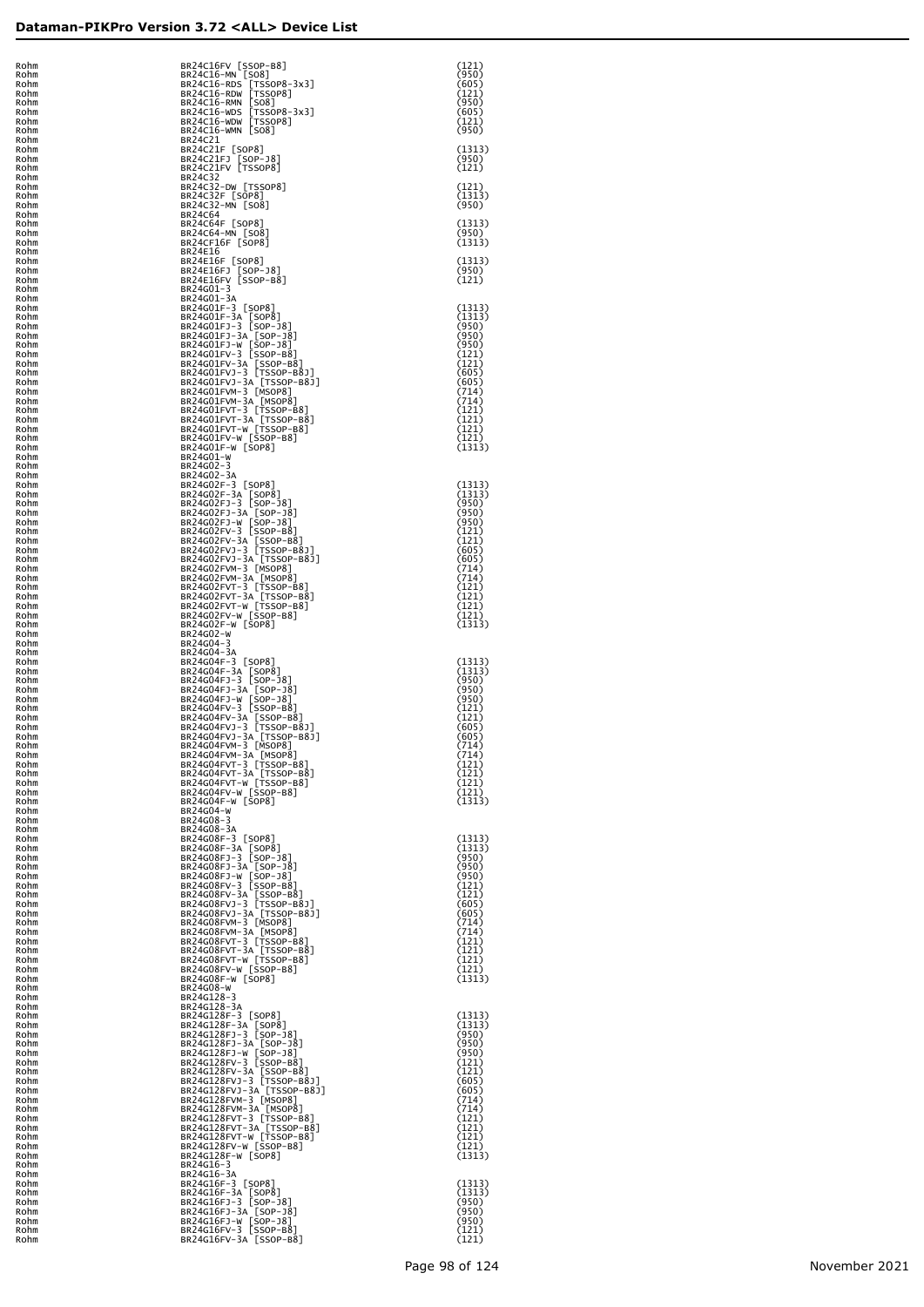| Rohm                                         |              |
|----------------------------------------------|--------------|
| Rohm<br>२ohn                                 |              |
|                                              | ≀ohm         |
| २ohm<br>Rohm                                 |              |
| Rohm<br>Rohm                                 |              |
| Rohm                                         |              |
| Rohm<br>Rohm                                 |              |
| Rohm                                         |              |
| Rohm<br>Rohm                                 |              |
| Rohm                                         |              |
| Rohm<br>Rohm                                 |              |
| Rohm<br>Rohm                                 |              |
| Rohm                                         |              |
| Rohm<br>Rohm                                 |              |
| Rohm                                         |              |
| Rohm<br>Rohm                                 |              |
| Rohm<br>Rohm                                 |              |
| Rohm                                         |              |
| Rohm<br>Rohm                                 |              |
| Rohm                                         |              |
| Rohm<br>Rohm                                 |              |
| Rohm                                         |              |
| Rohm<br>Rohm                                 |              |
| Rohm<br>Rohm                                 |              |
| Rohm                                         |              |
| Rohm<br>Rohm                                 |              |
| Rohm                                         |              |
| Rohm<br>Rohm                                 |              |
| Rohm<br>Rohm                                 |              |
| Rohm                                         |              |
| Rohm<br>Rohm                                 |              |
| Rohm                                         |              |
| Rohm<br>Rohm                                 |              |
| Rohm<br>Rohm                                 |              |
| Rohm                                         |              |
| Rohm<br>Rohm                                 |              |
| Rohm                                         |              |
| Rohm<br>Rohm                                 |              |
| Rohm                                         |              |
| Rohm<br>Rohm                                 |              |
| Rohm<br>Rohm                                 |              |
| Rohm                                         |              |
| Rohm                                         |              |
| Rohm<br>Rohm<br>Rohm<br>Rohm<br>Rohm<br>Rohm |              |
|                                              |              |
|                                              |              |
| F                                            | ≀ohm         |
| U<br>I<br>F                                  | ≀ohm         |
| F<br>F                                       | ≀ohm<br>≀ohm |
| Rohm                                         |              |
| Rohm<br>Rohm                                 |              |
| Rohm<br>Rohm                                 |              |
| Rohm                                         |              |
| Rohm<br>Rohm                                 |              |
| Rohm                                         |              |
| Rohm<br>Rohm                                 |              |
| Rohm<br>Rohm                                 |              |
| Rohm                                         |              |
| Rohm<br>Rohm                                 |              |
| Rohm                                         |              |
| Rohm<br>Rohm                                 |              |
| Rohm<br>Rohm                                 |              |
| Rohm                                         |              |
| Rohm<br>Rohm                                 |              |
| Rohm                                         |              |
| Rohm<br>Rohm                                 |              |
| Rohm<br>Rohm                                 |              |
| Rohm                                         |              |
| Rohm<br>Rohm                                 |              |
| Rohm                                         |              |
| Rohm<br>Rohm                                 |              |
| Rohm                                         |              |
|                                              |              |
| Rohm<br>Rohm                                 |              |
| Rohm                                         |              |
| Rohm<br>Rohm                                 |              |
| Rohm<br>Rohm                                 |              |
| Rohm<br>Rohm                                 |              |

| Rohm<br>Rohm         | BR24C16FV [SSOP-B8]<br>BR24C16-MN [SO8]                                                                                                                                                                                                                         | (121)<br>(950)          |
|----------------------|-----------------------------------------------------------------------------------------------------------------------------------------------------------------------------------------------------------------------------------------------------------------|-------------------------|
| Rohm<br>Rohm         | BR24C16-RDS [TSSOP8-3x3]<br>BR24C16-RDW [TSSOP8]                                                                                                                                                                                                                | (605)<br>(121)          |
| Rohm<br>Rohm         | BR24C16-RMN [SO8]<br>BR24C16-WDS [TSSOP8-3x3]<br>BR24C16-WDW [TSSOP8]                                                                                                                                                                                           | (950)<br>(605)          |
| Rohm<br>Rohm         | BR24C16-WMN [SO8]                                                                                                                                                                                                                                               | (121)<br>(950)          |
| Rohm<br>Rohm         | BR24C21                                                                                                                                                                                                                                                         | (1313)                  |
| Rohm<br>Rohm         | BR24C21F [SOP8]<br>BR24C21FJ [SOP-J8]<br>BR24C21FV [TSSOP8]                                                                                                                                                                                                     | (950)<br>(121)          |
| Rohm<br>Rohm         | BR24C32<br>BR24C32-DW [TSSOP8]                                                                                                                                                                                                                                  | (121)                   |
| Rohm<br>Rohm         | BR24C32F [SOP8]<br>BR24C32-MN [SO8]                                                                                                                                                                                                                             | (1313)<br>(950)         |
| Rohm<br>Rohm         | BR24C64<br>BR24C64F [SOP8]                                                                                                                                                                                                                                      | (1313)                  |
| Rohm<br>Rohm         | BR24C64-MN [SO8]<br>BR24CF16F [SOP8]                                                                                                                                                                                                                            | (950)<br>(1313)         |
| Rohm<br>Rohm         | BR24E16                                                                                                                                                                                                                                                         | (1313)                  |
| Rohm<br>Rohm         | BR24E16F [SOP8]<br>BR24E16FJ [SOP-J8]<br>BR24E16FV [SSOP-B8]                                                                                                                                                                                                    | (950)<br>(121)          |
| Rohm<br>Rohm         | BR24G01-3<br>BR24G01-3A                                                                                                                                                                                                                                         |                         |
| Rohm<br>Rohm         | BR24G01F-3 [SOP8]                                                                                                                                                                                                                                               | (1313)<br>(1313)        |
| Rohm<br>Rohm         | BR24G01F-3<br>A (SOPE)<br>BR24G01F-3A [SOPE]<br>BR24G01F-3A [SOP-38]<br>BR24G01F-3A [SOP-38]<br>BR24G01F-3-W [SOP-38]<br>BR24G01FV-3 [SSOP-88]<br>BR24G01FV-3 [TSSOP-B8]<br>BR24G01FV-3A [TSSOP-B83]<br>BR24G01FV-3A [TSSOP-B83]<br>BR24G01FV-4-3 [MSOP8]<br>BR | (950)<br>(950)          |
| Rohm<br>Rohm         |                                                                                                                                                                                                                                                                 | (950)<br>(121)          |
| Rohm<br>Rohm         |                                                                                                                                                                                                                                                                 | (121)<br>(605)          |
| Rohm<br>Rohm         |                                                                                                                                                                                                                                                                 | (605)<br>(714)          |
| Rohm<br>Rohm         |                                                                                                                                                                                                                                                                 | (714)<br>(121)<br>(121) |
| Rohm<br>Rohm<br>Rohm |                                                                                                                                                                                                                                                                 | (121)<br>(121)          |
| Rohm<br>Rohm         | BR24G01-W                                                                                                                                                                                                                                                       | (1313)                  |
| Rohm<br>Rohm         | BR24G02-3<br>BR24G02-3A                                                                                                                                                                                                                                         |                         |
| Rohm<br>Rohm         | BR24G02F-3 [SOP8]                                                                                                                                                                                                                                               | (1313)<br>(1313)        |
| Rohm<br>Rohm         | BR24G02F-3A [SOP8]<br>BR24G02FJ-3 [SOP-J8]                                                                                                                                                                                                                      | (950)<br>(950)          |
| Rohm<br>Rohm         |                                                                                                                                                                                                                                                                 | (950)<br>(121)          |
| Rohm<br>Rohm         |                                                                                                                                                                                                                                                                 | (121)<br>(605)          |
| Rohm<br>Rohm         |                                                                                                                                                                                                                                                                 | (605)<br>(714)          |
| Rohm<br>Rohm         |                                                                                                                                                                                                                                                                 | (714)<br>(121)          |
| Rohm<br>Rohm         | BR24G02FJ-3A [SOP-38]<br>BR24G02FJ-3A [SOP-38]<br>BR24G02FJ-3A [SOP-38]<br>BR24G02FV-3 [SSOP-B8]<br>BR24G02FV-3A [SSOP-B8]<br>BR24G02FVJ-3A [TSSOP-B8]<br>BR24G02FVJ-3A [TSSOP-B8]<br>BR24G02FVM-3A [MSOP8]<br>BR24G02FVM-3A [MSOP8]<br>BR24G02FVT-3A [TS       | (121)<br>(121)          |
| Rohm<br>Rohm         |                                                                                                                                                                                                                                                                 | (121)<br>(1313)         |
| Rohm<br>Rohm         | BR24G02-W<br>BR24G04-3                                                                                                                                                                                                                                          |                         |
| Rohm<br>Rohm         | BR24G04-3A<br>BR24G04F-3 [SOP8]                                                                                                                                                                                                                                 | (1313)                  |
| Rohm<br>Rohm         | BR24G04F-3A [SOP8]<br>BR24G04FJ-3 [SOP-J8]                                                                                                                                                                                                                      | (1313)<br>(950)         |
| Rohm<br>Rohm         | BR24G04FJ-31 [SOP-J0]<br>BR24G04FJ-3A [SOP-J0]<br>BR24G04FV-31 [SOP-B0]<br>BR24G04FV-3A [SSOP-B0]<br>BR24G04FV-3A [SSOP-B0]<br>BR24G04FVJ-3A [TSSOP-B8J]<br>BR24G04FVJ-3A [TSSOP-B8J]<br>BR24G04FVJ-3A [TSSOP-B8J]<br>PR24G04FVJ-3A [TSSOP-B8J]                 | (950)<br>(950)          |
| Rohm<br>Rohm         |                                                                                                                                                                                                                                                                 | (121)<br>(121)          |
| Rohm<br>Rohm         |                                                                                                                                                                                                                                                                 | (605)<br>(605)          |
| Rohm<br>Rohm         |                                                                                                                                                                                                                                                                 | (714)<br>(714)          |
| Rohm<br>Rohm         |                                                                                                                                                                                                                                                                 | (121)<br>(121)          |
| Rohm<br>Rohm         | BR24G04FV <sup>m-3</sup><br>BR24G04FVM-3A [MSOP8]<br>BR24G04FVT-3 [TSS0P-B8]<br>BR24G04FVT-3 [TSS0P-B8]<br>BR24G04FVT-W [TSS0P-B8]<br>BR24G04FV-W [SS0P-B8]<br>BR24G04F-W [SS0P-B8]                                                                             | (121)<br>(121)          |
| Rohm<br>Rohm         | BR24G04-W                                                                                                                                                                                                                                                       | (1313)                  |
| Rohm<br>Rohm         | BR24G08-3<br>BR24G08-3A                                                                                                                                                                                                                                         |                         |
| Rohm<br>Rohm         | BR24G08F-3 [SOP8]<br>BR24G08F-3A [SOP8]<br>BR24G08FJ-3 [SOP-J8]                                                                                                                                                                                                 | (1313)<br>(1313)        |
| Rohm<br>Rohm<br>Rohm | BR24G08FJ-3A [SOP-J8]<br>BR24G08FJ-W [SOP-J8]<br>BR24G08FV-3 [SSOP-B8]                                                                                                                                                                                          | (950)<br>(950)<br>(950) |
| Rohm<br>Rohm         |                                                                                                                                                                                                                                                                 | (121)<br>(121)          |
| Rohm<br>Rohm         | BR24G08FV-3A [SSOP-B8]<br>BR24G08FVJ-3 [TSSOP-B8]]<br>BR24G08FVJ-3 [TSSOP-B8J]<br>BR24G08FVJ-3A [TSSOP-B8J]<br>BR24G08FVM-3 [MSOP8]                                                                                                                             | (605)<br>(605)          |
| Rohm<br>Rohm         |                                                                                                                                                                                                                                                                 | (714)<br>(714)          |
| Rohm<br>Rohm         | BR24G08FVM-3A [MSOP8]<br>BR24G08FVM-3A [MSOP8]<br>BR24G08FVT-3 [TSSOP-B8]<br>BR24G08FVT-3A [TSSOP-B8]<br>BR24G08FVT-W [TSSOP-B8]<br>BR24G08FV-W [SSOP-B8]<br>BR24G08F-W [SOP8]                                                                                  | (121)<br>(121)          |
| Rohm<br>Rohm         |                                                                                                                                                                                                                                                                 | (121)<br>(121)          |
| Rohm<br>Rohm         | BR24G08-W                                                                                                                                                                                                                                                       | (1313)                  |
| Rohm<br>Rohm         | BR24G128-3<br>BR24G128-3A                                                                                                                                                                                                                                       |                         |
| Rohm<br>Rohm         | BR24G128F-3 [SOP8]                                                                                                                                                                                                                                              | (1313)<br>(1313)        |
| Rohm<br>Rohm         | BR24G128F-3A [SOP8]<br>BR24G128FJ-3 [SOP-J8]                                                                                                                                                                                                                    | (950)<br>(950)          |
| Rohm<br>Rohm         | BR24G128FJ-3A [SOP-J8]<br>BR24G128FJ-W [SOP-J8]<br>BR24G128FJ-W [SOP-J8]<br>BR24G128FV-3A [SSOP-B8]<br>BR24G128FV-3A [SSOP-B8]<br>BR24G128FVJ-3 [TSSOP-B8J]                                                                                                     | (950)<br>(121)          |
| Rohm<br>Rohm         |                                                                                                                                                                                                                                                                 | (121)<br>(605)          |
| Rohm<br>Rohm         | BR24G128FVJ-3A [TSSOP-B8J]<br>BR24G128FVM-3 [MSOP8]                                                                                                                                                                                                             | (605)<br>(714)          |
| Rohm<br>Rohm         | BR24G128FVM-3 [MSOP8]<br>BR24G128FVT-3 [TSSOP-B8]<br>BR24G128FVT-3 [TSSOP-B8]<br>BR24G128FVT-W [TSSOP-B8]<br>BR24G128FV-W [SSOP-B8]<br>BR24G128FV-W [SSOP-B8]                                                                                                   | (714)<br>(121)          |
| Rohm<br>Rohm         |                                                                                                                                                                                                                                                                 | (121)<br>(121)          |
| Rohm<br>Rohm         | BR24G128F-W [SOP8]                                                                                                                                                                                                                                              | (121)<br>(1313)         |
| Rohm<br>Rohm         | BR24G16-3<br>BR24G16-3A                                                                                                                                                                                                                                         |                         |
| Rohm<br>Rohm         | BR24G16F-3 [SOP8]<br>BR24G16F-3A [SOP8]<br>BR24G16FJ-3 [SOP-J8]                                                                                                                                                                                                 | (1313)<br>(1313)        |
| Rohm<br>Rohm         |                                                                                                                                                                                                                                                                 | (950)<br>(950)          |
| Rohm<br>Rohm         | BR24G16FJ-3A [SOP-J8]<br>BR24G16FJ-W [SOP-J8]<br>BR24G16FV-3 [SSOP-B8]                                                                                                                                                                                          | (950)<br>(121)          |
| Rohm                 | BR24G16FV-3A [SSOP-B8]                                                                                                                                                                                                                                          | (121)                   |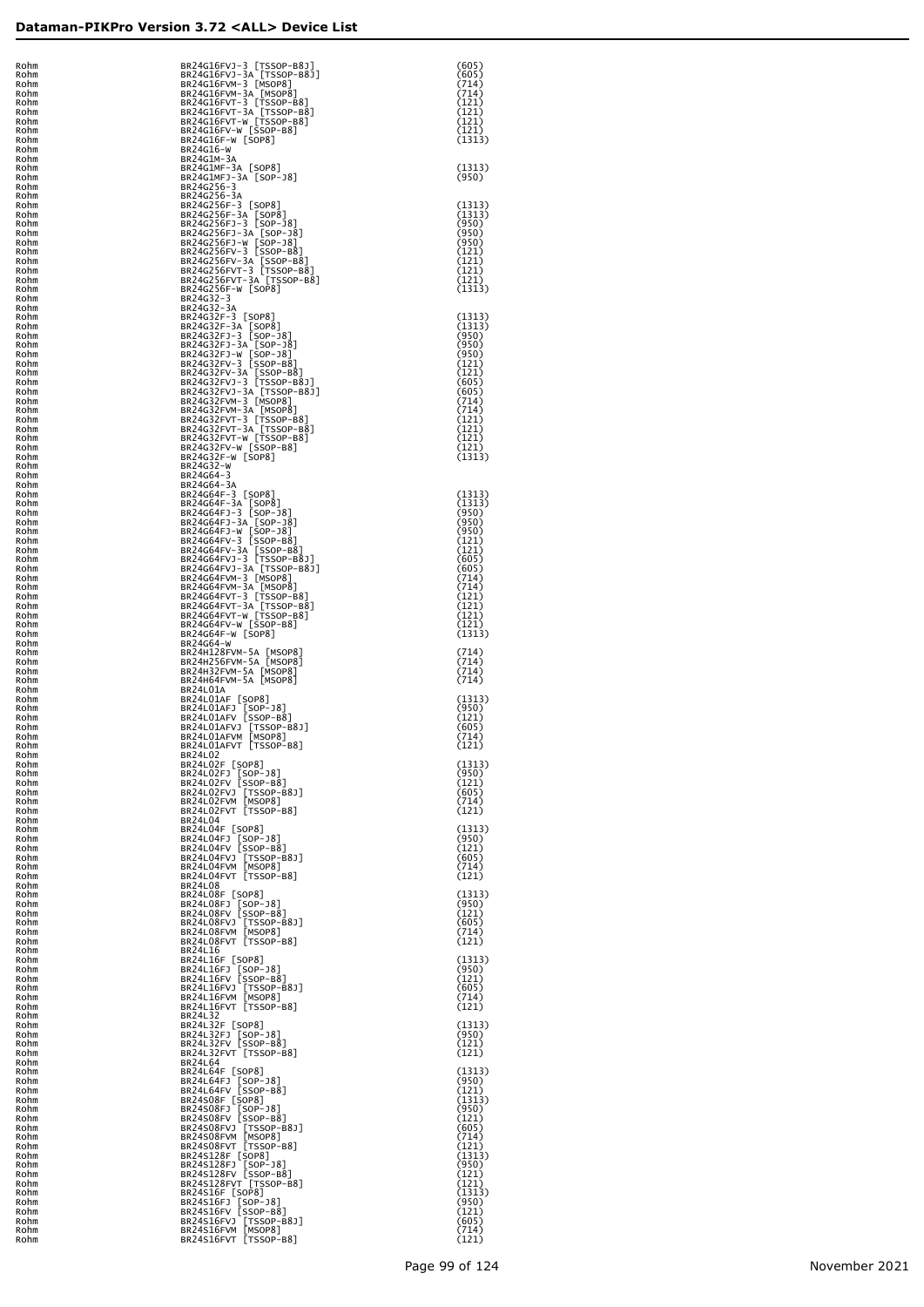|                                                                                                                                                                                                                                | phm     |
|--------------------------------------------------------------------------------------------------------------------------------------------------------------------------------------------------------------------------------|---------|
| F<br>à<br>R                                                                                                                                                                                                                    | bhm     |
| .<br>Ro                                                                                                                                                                                                                        | ohm     |
| R.                                                                                                                                                                                                                             | bhm     |
|                                                                                                                                                                                                                                | .<br>hm |
| ni<br>Ri                                                                                                                                                                                                                       | .<br>hm |
| $\dddot{R}$                                                                                                                                                                                                                    | .<br>hm |
| R.                                                                                                                                                                                                                             | .<br>hm |
| $\dddot{R}$                                                                                                                                                                                                                    | .<br>hm |
| $\dddot{R}$                                                                                                                                                                                                                    | bhm     |
| $\dddot{R}$                                                                                                                                                                                                                    | bhm     |
| $\dddot{R}$                                                                                                                                                                                                                    | bhm     |
| $\dddot{R}$                                                                                                                                                                                                                    | bhm     |
|                                                                                                                                                                                                                                |         |
|                                                                                                                                                                                                                                |         |
|                                                                                                                                                                                                                                |         |
|                                                                                                                                                                                                                                |         |
|                                                                                                                                                                                                                                |         |
|                                                                                                                                                                                                                                |         |
|                                                                                                                                                                                                                                |         |
|                                                                                                                                                                                                                                |         |
|                                                                                                                                                                                                                                |         |
|                                                                                                                                                                                                                                |         |
|                                                                                                                                                                                                                                |         |
|                                                                                                                                                                                                                                |         |
|                                                                                                                                                                                                                                |         |
|                                                                                                                                                                                                                                |         |
|                                                                                                                                                                                                                                |         |
|                                                                                                                                                                                                                                |         |
|                                                                                                                                                                                                                                |         |
|                                                                                                                                                                                                                                |         |
|                                                                                                                                                                                                                                |         |
|                                                                                                                                                                                                                                |         |
|                                                                                                                                                                                                                                |         |
|                                                                                                                                                                                                                                |         |
|                                                                                                                                                                                                                                |         |
|                                                                                                                                                                                                                                |         |
|                                                                                                                                                                                                                                |         |
|                                                                                                                                                                                                                                |         |
|                                                                                                                                                                                                                                |         |
|                                                                                                                                                                                                                                |         |
|                                                                                                                                                                                                                                |         |
|                                                                                                                                                                                                                                |         |
| ROM ROMAR ROMAM ROMAM ROMAM ROMAM ROMAM ROMAM ROMAM ROMAM ROMAM ROMAM ROMAM ROMAM ROMAM ROMAM ROMAM ROMAM ROMAM ROMAM ROMAM ROMAM ROMAM ROMAM ROMAM ROMAM ROMAM ROMAM ROMAM ROMAM ROMAM ROMAM ROMAM ROMAM ROMAM ROMAM ROMAM RO |         |
|                                                                                                                                                                                                                                |         |
|                                                                                                                                                                                                                                |         |
|                                                                                                                                                                                                                                |         |
|                                                                                                                                                                                                                                |         |
|                                                                                                                                                                                                                                |         |
|                                                                                                                                                                                                                                |         |
|                                                                                                                                                                                                                                |         |
|                                                                                                                                                                                                                                |         |
|                                                                                                                                                                                                                                |         |
|                                                                                                                                                                                                                                |         |
|                                                                                                                                                                                                                                |         |
|                                                                                                                                                                                                                                |         |
|                                                                                                                                                                                                                                |         |
|                                                                                                                                                                                                                                |         |
|                                                                                                                                                                                                                                |         |
|                                                                                                                                                                                                                                |         |
|                                                                                                                                                                                                                                |         |
|                                                                                                                                                                                                                                |         |
|                                                                                                                                                                                                                                |         |
|                                                                                                                                                                                                                                |         |
|                                                                                                                                                                                                                                |         |
|                                                                                                                                                                                                                                |         |
|                                                                                                                                                                                                                                |         |
|                                                                                                                                                                                                                                |         |
|                                                                                                                                                                                                                                |         |
|                                                                                                                                                                                                                                |         |
|                                                                                                                                                                                                                                |         |
|                                                                                                                                                                                                                                |         |
|                                                                                                                                                                                                                                |         |
|                                                                                                                                                                                                                                |         |
|                                                                                                                                                                                                                                |         |
|                                                                                                                                                                                                                                |         |
|                                                                                                                                                                                                                                |         |
|                                                                                                                                                                                                                                |         |
|                                                                                                                                                                                                                                |         |
|                                                                                                                                                                                                                                |         |
|                                                                                                                                                                                                                                |         |
|                                                                                                                                                                                                                                |         |
|                                                                                                                                                                                                                                |         |
|                                                                                                                                                                                                                                |         |
|                                                                                                                                                                                                                                |         |
|                                                                                                                                                                                                                                |         |
|                                                                                                                                                                                                                                |         |
|                                                                                                                                                                                                                                |         |
|                                                                                                                                                                                                                                |         |
|                                                                                                                                                                                                                                |         |
|                                                                                                                                                                                                                                |         |
|                                                                                                                                                                                                                                |         |
|                                                                                                                                                                                                                                |         |
|                                                                                                                                                                                                                                |         |
|                                                                                                                                                                                                                                |         |
|                                                                                                                                                                                                                                |         |
|                                                                                                                                                                                                                                |         |
|                                                                                                                                                                                                                                |         |
|                                                                                                                                                                                                                                |         |
|                                                                                                                                                                                                                                |         |
|                                                                                                                                                                                                                                |         |
|                                                                                                                                                                                                                                |         |
|                                                                                                                                                                                                                                |         |
|                                                                                                                                                                                                                                |         |
|                                                                                                                                                                                                                                |         |
|                                                                                                                                                                                                                                |         |
|                                                                                                                                                                                                                                |         |
|                                                                                                                                                                                                                                |         |
|                                                                                                                                                                                                                                |         |
|                                                                                                                                                                                                                                |         |
|                                                                                                                                                                                                                                |         |
| ROMAROMAM ROMAROMAM ROMANI ROMANI ROMANI ROMANI ROMANI ROMANI ROMANI ROMANI ROMANI ROMANI ROMANI ROMANI ROMANI ROMANI ROMANI ROMANI ROMANI ROMANI ROMANI ROMANI ROMANI ROMANI ROMANI ROMANI ROMANI ROMANI ROMANI ROMANI ROMANI |         |

| Rohm<br>Rohm         | BR24G16FVJ-3 [TSSOP-B8J]<br>BR24G16FVJ-3A [TSSOP-B8J]                           | (605)<br>(605)           |
|----------------------|---------------------------------------------------------------------------------|--------------------------|
| Rohm<br>Rohm         | BR24G16FVM-3 [MSOP8]<br>BR24G16FVM-3A [MSOP8]                                   | (714)<br>(714)           |
| Rohm<br>Rohm<br>Rohm | BR24G16FVT-3 [TSSOP-B8]<br>BR24G16FVT-3A [TSSOP-B8]<br>BR24G16FVT-W [TSSOP-B8]  | (121)<br>(121)<br>(121)  |
| Rohm<br>Rohm         | BR24G16FV-W [SSOP-B8]<br>BR24G16F-W [SOP8]                                      | (121)<br>(1313)          |
| Rohm<br>Rohm         | BR24G16-W<br>BR24G1M-3A                                                         |                          |
| Rohm<br>Rohm         | BR24G1MF-3A [SOP8]<br>BR24G1MFJ-3A [SOP-J8]                                     | (1313)<br>(950)          |
| Rohm<br>Rohm<br>Rohm | BR24G256-3<br>BR24G256-3A<br>BR24G256F-3 [SOP8]                                 | (1313)                   |
| Rohm<br>Rohm         | BR24G256F-3A [SOP8]<br>BR24G256FJ-3 [SOP-J8]                                    | (1313)<br>(950)          |
| Rohm<br>Rohm         | BR24G256FJ-3A [SOP-J8]<br>BR24G256FJ-W [SOP-J8]                                 | (950)<br>(950)           |
| Rohm<br>Rohm         | BR24G256FV-3 [SSOP-B8]<br>BR24G256FV-3A [SSOP-B8]<br>BR24G256FVT-3 [TSSOP-B8]   | (121)<br>(121)           |
| Rohm<br>Rohm<br>Rohm | BR24G256FVT-3A [TSSOP-B8]<br>BR24G256F-W [SOP8]                                 | (121)<br>(121)<br>(1313) |
| Rohm<br>Rohm         | BR24G32-3<br>BR24G32-3A                                                         |                          |
| Rohm<br>Rohm         | BR24G32F-3 [SOP8]<br>BR24G32F-3A [SOP8]                                         | (1313)<br>(1313)         |
| Rohm<br>Rohm         | BR24G32FJ-3 [SOP-J8]<br>BR24G32FJ-3A [SOP-J8]<br>BR24G32FJ-W [SOP-J8]           | (950)<br>(950)           |
| Rohm<br>Rohm         | BR24G32FV-3 [SSOP-B8]                                                           | (950)<br>(121)           |
| Rohm<br>Rohm         | BR24G32FV-3A [SSOP-B8]<br>BR24G32FVJ-3 [TSSOP-B8J]                              | (121)<br>(605)           |
| Rohm<br>Rohm<br>Rohm | BR24G32FVJ-3A [TSSOP-B8J]<br>BR24G32FVM-3 [MSOP8]                               | (605)<br>(714)<br>(714)  |
| Rohm<br>Rohm         | BR24G32FVM-3A [MSOP8]<br>BR24G32FVT-3 [TSSOP-B8]                                | (121)<br>(121)           |
| Rohm<br>Rohm         | BR24G32FVT-3A [TSSOP-B8]<br>BR24G32FVT-W [TSSOP-B8]<br>BR24G32FVT-W [TSSOP-B8]  | (121)<br>(121)           |
| Rohm<br>Rohm         | BR24G32F-W [SOP8]<br>BR24G32-W                                                  | (1313)                   |
| Rohm<br>Rohm         | BR24G64-3<br>BR24G64-3A                                                         |                          |
| Rohm<br>Rohm         | BR24G64F-3 [SOP8]<br>BR24G64F-3A [SOP8]                                         | (1313)<br>(1313)         |
| Rohm<br>Rohm         | BR24G64FJ-3 [SOP-J8]<br>BR24G64FJ-3A [SOP-J8]<br>BR24G64FJ-W [SOP-J8]           | (950)<br>(950)<br>(950)  |
| Rohm<br>Rohm<br>Rohm | BR24G64FV-3 [SSOP-B8]                                                           | (121)<br>(121)           |
| Rohm<br>Rohm         | BR24G64FV-3A [SSOP-B8]<br>BR24G64FVJ-3 [TSSOP-B8J]<br>BR24G64FVJ-3A [TSSOP-B8J] | (605)<br>(605)           |
| Rohm<br>Rohm         | BR24G64FVM-3 [MSOP8]                                                            | (714)<br>(714)           |
| Rohm<br>Rohm         | BR24G64FVM-3A [MSOP8]<br>BR24G64FVT-3 [TSSOP-B8]                                | (121)<br>(121)           |
| Rohm<br>Rohm         | BR24G64FVT-3A [TSSOP-B8]<br>BR24G64FVT-W [TSSOP-B8]<br>BR24G64FV-W [SSOP-B8]    | (121)<br>(121)           |
| Rohm<br>Rohm         | BR24G64F-W [SOP8]<br>BR24G64-W                                                  | (1313)                   |
| Rohm<br>Rohm<br>Rohm | BR24H128FVM-5A [MSOP8]<br>BR24H256FVM-5A [MSOP8]<br>BR24H32FVM-5A [MSOP8]       | (714)<br>(714)<br>(714)  |
| Rohm<br>Rohm         | BR24H64FVM-5A [MSOP8]<br>BR24L01A                                               | (714)                    |
| Rohm<br>Rohm         | BR24L01AF [SOP8]<br>BR24L01AFJ [SOP-J8]                                         | (1313)<br>(950)          |
| Rohm<br>Rohm         | BR24L01AFV [SSOP-B8]<br>BR24L01AFVJ [TSSOP-B8J]                                 | (121)<br>(605)           |
| Rohm<br>Rohm         | BR24L01AFVM [MSOP8]<br>BR24L01AFVT [TSSOP-B8]                                   | (714)<br>(121)           |
| Rohm<br>Rohm<br>Rohm | BR24L02<br>BR24L02F [SOP8]<br>BR24L02FJ [SOP-J8]                                | (1313)<br>(950)          |
| Rohm<br>Rohm         | BR24L02FV [SSOP-B8]                                                             | (121)<br>(605)           |
| Rohm<br>Rohm         | BR24L02FVJ [TSSOP-B8J]<br>BR24L02FVM [MSOP8]<br>BR24L02FVT [TSSOP-B8]           | (714)<br>(121)           |
| Rohm<br>Rohm         | <b>BR24L04</b><br>BR24L04F [SOP8]                                               | (1313)                   |
| Rohm<br>Rohm         | BR24L04FJ [SOP-J8]<br>BR24L04FV [SSOP-B8]                                       | (950)<br>(121)           |
| Rohm<br>Rohm         | BR24L04FVJ [TSSOP-B8J]<br>BR24L04FVM [MSOP8]                                    | (605)<br>(714)           |
| Rohm<br>Rohm<br>Rohm | BR24L04FVT [TSSOP-B8]<br><b>BR24L08</b><br>BR24L08F [SOP8]                      | (121)<br>(1313)          |
| Rohm<br>Rohm         | BR24L08FJ [SOP-J8]<br>BR24L08FV [SSOP-B8]                                       | (950)<br>(121)           |
| Rohm<br>Rohm         | BR24L08FVJ [TSSOP-B8J]<br>BR24L08FVM [MSOP8]                                    | (605)<br>(714)           |
| Rohm<br>Rohm         | BR24L08FVT [TSSOP-B8]<br>BR24L16                                                | (121)                    |
| Rohm<br>Rohm         | BR24L16F [SOP8]<br>BR24L16FJ [SOP-J8]                                           | (1313)<br>(950)          |
| Rohm<br>Rohm<br>Rohm | BR24L16FV [SSOP-B8]<br>BR24L16FVJ [TSSOP-B8J]<br>BR24L16FVM [MSOP8]             | (121)<br>(605)           |
| Rohm<br>Rohm         | BR24L16FVT [TSSOP-B8]<br>BR24L32                                                | (714)<br>(121)           |
| Rohm<br>Rohm         | BR24L32F [SOP8]                                                                 | (1313)<br>(950)          |
| Rohm<br>Rohm         | BR24L32FJ [SOP-J8]<br>BR24L32FV [SSOP-B8]<br>BR24L32FVT [TSSOP-B8]              | (121)<br>(121)           |
| Rohm<br>Rohm         | BR24L64<br>BR24L64F [SOP8]                                                      | (1313)                   |
| Rohm<br>Rohm         | BR24L64FJ [SOP-J8]<br>BR24L64FV [SSOP-B8]                                       | (950)<br>(121)           |
| Rohm<br>Rohm<br>Rohm | BR24508F [SOP8]<br>BR24508F [SOP-J8]<br>BR24508FV [SSOP-B8]                     | (1313)<br>(950)<br>(121) |
| Rohm<br>Rohm         | BR24S08FVJ [TSSOP-B8J]<br>BR24S08FVM [MSOP8]                                    | (605)<br>(714)           |
| Rohm<br>Rohm         | BR24S08FVT [TSSOP-B8]                                                           | (121)<br>(1313)          |
| Rohm<br>Rohm         | BR24S128F [SOP8]<br>BR24S128FJ [SOP-J8]<br>BR24S128FV [SSOP-B8]                 | (950)<br>(121)           |
| Rohm<br>Rohm         | BR24S128FVT [TSSOP-B8]<br>BR24S16F [SOP8]                                       | (121)<br>(1313)          |
| Rohm<br>Rohm<br>Rohm | BR24S16FJ [SOP-J8]<br>BR24S16FV [SSOP-B8]                                       | (950)<br>(121)           |
| Rohm<br>Rohm         | BR24S16FVJ [TSSOP-B8J]<br>BR24S16FVM [MSOP8]<br>BR24S16FVT [TSSOP-B8]           | (605)<br>(714)<br>(121)  |
|                      |                                                                                 |                          |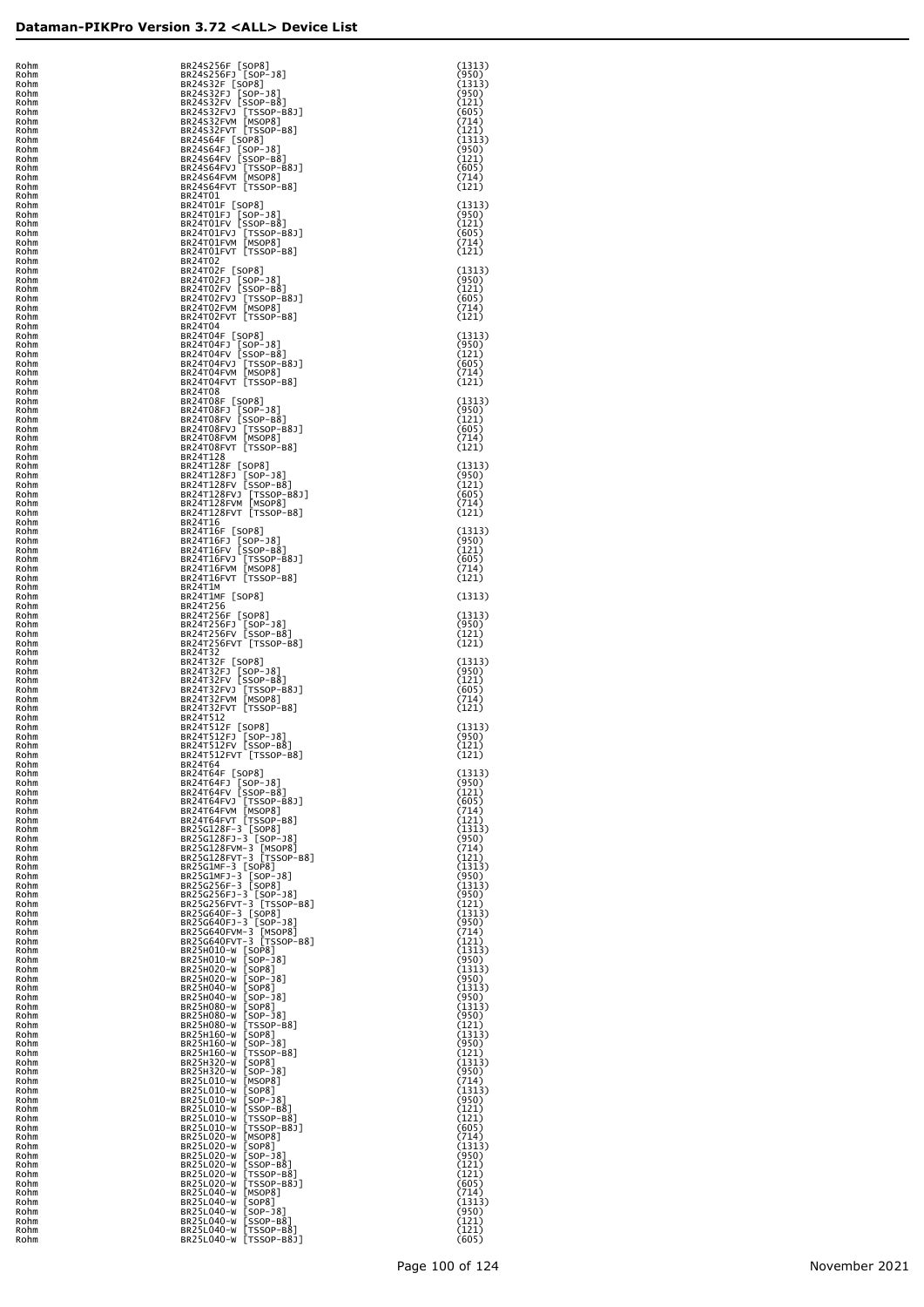| I<br>Ó                               | phm      |
|--------------------------------------|----------|
| ۱l<br>I                              | ٦m       |
| اد<br>اد                             | ١m<br>١m |
| اد                                   | ım       |
| اد<br>R<br>اد<br>R                   | ٦m<br>٦m |
| اد<br>R                              | ٦m       |
| اد<br>R<br>اد<br>R                   | ٦m<br>٦m |
| ١l<br>R                              | ٦m       |
| اد<br>R<br>ï<br>R <sub>t</sub><br>اد | ٦m<br>٦m |
| R <sub>t</sub><br>٦l                 | ٦m       |
| R <sub>t</sub><br>٦l<br>٦l<br>R<br>ł | ٦m<br>٦m |
| ٦l<br>R                              | ٦m       |
| R <sub>0</sub><br>Rohm               | bhm      |
| Rohm                                 |          |
| Rohm                                 |          |
| Rohm<br>Rohm                         |          |
| Rohm                                 |          |
| Rohm<br>Rohm                         |          |
| Rohm                                 |          |
| Rohm<br>Rohm                         |          |
| Rohm                                 |          |
| Rohm<br>Rohm                         |          |
| Rohm                                 |          |
| Rohm<br>Rohm                         |          |
| Rohm                                 |          |
| Rohm<br>Rohm                         |          |
| Rohm                                 |          |
| Rohm<br>Rohm                         |          |
| Rohm                                 |          |
| Rohm<br>Rohm                         |          |
| Rohm                                 |          |
| Rohm<br>Rohm                         |          |
| Rohm                                 |          |
| Rohm                                 |          |
| Rohm<br>Rohm                         |          |
| Rohm                                 |          |
| Rohm<br>Rohm                         |          |
| Rohm                                 |          |
| Rohm<br>Rohm                         |          |
| Rohm                                 |          |
| Rohm<br>Rohm                         |          |
| Rohm                                 |          |
| Rohm<br>Rohm                         |          |
| Rohm                                 |          |
| Rohm<br>Rohm                         |          |
| Rohm                                 |          |
| Rohm<br>Rohm                         |          |
| Rohm                                 |          |
| Rohm                                 |          |
| Rohm<br>Rohm                         |          |
| Rol                                  | ٦m       |
| Rohm                                 | ۱        |
| Rohm                                 |          |
| Rohm<br>Rohm                         |          |
| Rohm                                 |          |
| Rohm<br>Rohm                         |          |
| Rohm                                 |          |
| Rohm<br>Rohm                         |          |
| Rohm                                 |          |
| Rohm<br>Rohm                         |          |
| Rohm                                 |          |
| Rohm<br>Rohm                         |          |
| Rohm                                 |          |
| Rohm<br>Rohm                         |          |
| Rohm                                 |          |
| Rohm                                 |          |
| Rohm<br>Rohm                         |          |
| Rohm                                 |          |
| Rohm<br>Rohm                         |          |
| Rohm                                 |          |
| Rohm<br>Rohm                         |          |
| Rohm                                 |          |
| Rohm<br>Rohm                         |          |
| Rohm                                 |          |
| Rohm<br>Rohm                         |          |
| Rohm                                 |          |
| Rohm<br>Rohm                         |          |
| Rohm                                 |          |
| Rohm<br>Rohm                         |          |
| Rohm                                 |          |
| Rohm                                 |          |
| Rohm<br>Rohm                         |          |
| Rohm                                 |          |
| Rohm<br>Rohm                         |          |
|                                      | $D0$ hm  |

| Rohm         | BR24S256F [SOP8]                                                     | (1313)          |
|--------------|----------------------------------------------------------------------|-----------------|
| Rohm<br>Rohm | BR24S256FJ [SOP-J8]                                                  | (950)<br>(1313) |
| Rohm         | BR24S32F [SOP8]                                                      | (950)           |
| Rohm         | BR24S32FJ [SOP-J8]<br>BR24S32FV [SSOP-B8]                            | (121)           |
| Rohm<br>Rohm | BR24S32FVJ [TSSOP-B8J]<br>BR24S32FVM [MSOP8]                         | (605)<br>(714)  |
| Rohm         | BR24S32FVT [TSSOP-B8]                                                | (121)           |
| Rohm<br>Rohm | BR24S64F [SOP8]                                                      | (1313)<br>(950) |
| Rohm         | BR24S64FJ [SOP-J8]<br>BR24S64FV [SSOP-B8]                            | (121)           |
| Rohm<br>Rohm | BR24S64FVJ [TSSOP-B8J]<br>BR24S64FVM [MSOP8]                         | (605)<br>(714)  |
| Rohm         | BR24S64FVT [TSSOP-B8]                                                | (121)           |
| Rohm<br>Rohm | BR24T01<br>BR24T01F [SOP8]                                           | (1313)          |
| Rohm         | BR24T01FJ [SOP-J8]<br>BR24T01FV [SSOP-B8]                            | (950)           |
| Rohm<br>Rohm |                                                                      | (121)<br>(605)  |
| Rohm         | BR24T01FVJ [TSSOP-B8J]<br>BR24T01FVM [MSOP8]                         | (714)           |
| Rohm<br>Rohm | BR24T01FVT [TSSOP-B8]<br>BR24T02                                     | (121)           |
| Rohm         | BR24T02F [SOP8]                                                      | (1313)          |
| Rohm<br>Rohm | BR24T02FJ [SOP-J8]<br>BR24T02FV [SSOP-B8]                            | (950)<br>(121)  |
| Rohm         | BR24T02FVJ [TSSOP-B8J]<br>BR24T02FVM [MSOP8]                         | (605)           |
| Rohm<br>Rohm | BR24T02FVT [TSSOP-B8]                                                | (714)<br>(121)  |
| Rohm         | BR24T04                                                              |                 |
| Rohm<br>Rohm | BR24T04F [SOP8]                                                      | (1313)<br>(950) |
| Rohm         | BR24T04FJ [SOP-J8]<br>BR24T04FV [SSOP-B8]                            | (121)           |
| Rohm<br>Rohm | BR24T04FVJ [TSSOP-B8J]<br>BR24T04FVM [MSOP8]                         | (605)<br>(714)  |
| Rohm         | BR24T04FVT [TSSOP-B8]                                                | (121)           |
| Rohm<br>Rohm | BR24T08<br>BR24T08F [SOP8]                                           | (1313)          |
| Rohm         | BR24T08FJ [SOP-J8]<br>BR24T08FV [SSOP-B8]                            | (950)           |
| Rohm<br>Rohm |                                                                      | (121)<br>(605)  |
| Rohm         | BR24T08FVJ [TSSOP-B8J]<br>BR24T08FVM [MSOP8]                         | (714)           |
| Rohm<br>Rohm | BR24T08FVT [TSSOP-B8]<br>BR24T128                                    | (121)           |
| Rohm         | BR24T128F [SOP8]                                                     | (1313)          |
| Rohm<br>Rohm | BR24T128FJ [SOP-J8]<br>BR24T128FV [SSOP-B8]                          | (950)<br>(121)  |
| Rohm         | BR24T128FVJ [TSSOP-B8J]<br>BR24T128FVM [MSOP8]                       | (605)           |
| Rohm<br>Rohm | BR24T128FVT [TSSOP-B8]                                               | (714)<br>(121)  |
| Rohm         | BR24T16                                                              |                 |
| Rohm<br>Rohm | BR24T16F [SOP8]                                                      | (1313)<br>(950) |
| Rohm         | BR24T16FJ [SOP-J8]<br>BR24T16FV [SSOP-B8]                            | (121)           |
| Rohm<br>Rohm | BR24T16FVJ [TSSOP-B8J]<br>BR24T16FVM [MSOP8]                         | (605)<br>(714)  |
| Rohm         | BR24T16FVT [TSSOP-B8]                                                | (121)           |
| Rohm<br>Rohm | BR24T1M<br>BR24T1MF [SOP8]                                           | (1313)          |
| Rohm<br>Rohm | BR24T256<br>BR24T256F [SOP8]                                         | (1313)          |
| Rohm         | BR24T256FJ [SOP-J8]<br>BR24T256FV [SSOP-B8]                          | (950)           |
| Rohm<br>Rohm | BR24T256FVT [TSSOP-B8]                                               | (121)<br>(121)  |
| Rohm         | BR24T32                                                              |                 |
| Rohm<br>Rohm | BR24T32F [SOP8]                                                      | (1313)<br>(950) |
| Rohm         | BR24T32FJ [SOP-J8]<br>BR24T32FV [SSOP-B8]                            | (121)           |
| Rohm<br>Rohm | BR24T32FVJ [TSSOP-B8J]<br>BR24T32FVM [MSOP8]                         | (605)<br>(714)  |
| Rohm         | BR24T32FVT [TSSOP-B8]<br>BR24T512                                    | (121)           |
| Rohm<br>Rohm | BR24T512F [SOP8]                                                     | (1313)          |
| Rohm<br>Rohm | BR24T512FJ [SOP-J8]<br>BR24T512FV [SSOP-B8]                          | (950)<br>(121)  |
| Rohm         | BR24T512FVT [TSSOP-B8]                                               | (121)           |
| Rohm<br>Rohm | BR24T64<br>BR24T64F [SOP8]                                           | (1313)          |
| Rohm         | BR24T64FJ [SOP-J8]<br>BR24T64FV [SSOP-B8]                            | (950)           |
| Rohm<br>Rohm |                                                                      | (121)<br>(605)  |
| Rohm         | BR24T64FVJ [TSSOP-B8J]<br>BR24T64FVM [MSOP8]                         | (714)           |
| Rohm<br>Rohm | BR24T64FVT [TSSOP-B8]<br>BR25G128F-3 [SOP8]<br>BR25G128FJ-3 [SOP-J8] | (121)<br>(1313) |
| Rohm         |                                                                      | (950)           |
| Rohm<br>Rohm | BR25G128FVM-3 [MSOP8]<br>BR25G128FVT-3 [TSSOP-B8]                    | (714)<br>(121)  |
| Rohm<br>Rohm | BR25G1MF-3 [SOP8]<br>BR25G1MFJ-3 [SOP-J8]<br>BR25G256F-3 [SOP8]      | (1313)<br>(950) |
| Rohm         |                                                                      | (1313)          |
| Rohm<br>Rohm | BR25G256FJ-3 [SOP-J8]<br>BR25G256FVT-3 [TSSOP-B8]                    | (950)<br>(121)  |
| Rohm         | BR25G640F-3 [SOP8]<br>BR25G640FJ-3 [SOP-J8]                          | (1313)          |
| Rohm<br>Rohm |                                                                      | (950)<br>(714)  |
| Rohm         | BR25G640FVM-3 [MSOP8]<br>BR25G640FVT-3 [TSSOP-B8]                    | (121)           |
| Rohm<br>Rohm | BR25H010-W [SOP8]                                                    | (1313)<br>(950) |
| Rohm         | BR25H020-W [SOP8]                                                    | (1313)          |
| Rohm<br>Rohm | BR25H020-W [SOP-J8]<br>BR25H040-W [SOP8]                             | (950)<br>(1313) |
| Rohm<br>Rohm | BR25H040-W [SOP-J8]<br>BR25H080-W [SOP8]                             | (950)<br>(1313) |
| Rohm         | BR25H080-W [SOP-J8]                                                  | (950)           |
| Rohm<br>Rohm | BR25H080-W [TSSOP-B8]<br>BR25H160-W [SOP8]                           | (121)<br>(1313) |
| Rohm         | BR25H160-W [SOP-J8]                                                  | (950)           |
| Rohm<br>Rohm | BR25H160-W [TSSOP-B8]<br>BR25H320-W [SOP8]                           | (121)<br>(1313) |
| Rohm         | BR25H320-W [SOP-J8]                                                  | (950)           |
| Rohm<br>Rohm | BR25L010-W [MSOP8]<br>BR25L010-W [SOP8]                              | (714)<br>(1313) |
| Rohm<br>Rohm | BR25L010-W [SOP-J8]<br>BR25L010-W [SSOP-B8]                          | (950)<br>(121)  |
| Rohm         |                                                                      | (121)           |
| Rohm<br>Rohm | BR25L010-W [TSSOP-B8]<br>BR25L010-W [TSSOP-B8]<br>BR25L020-W [MSOP8] | (605)<br>(714)  |
| Rohm         | BR25L020-W [SOP8]                                                    | (1313)          |
| Rohm<br>Rohm | BR25L020-W [SOP-J8]<br>BR25L020-W [SSOP-B8]                          | (950)<br>(121)  |
| Rohm         |                                                                      | (121)           |
| Rohm<br>Rohm | BR25L020-W [TSSOP-B8]<br>BR25L020-W [TSSOP-B8]<br>BR25L040-W [MSOP8] | (605)<br>(714)  |
| Rohm<br>Rohm | BR25L040-W [SOP8]<br>BR25L040-W [SOP-J8]                             | (1313)<br>(950) |
| Rohm         | BR25L040-W [SSOP-B8]                                                 | (121)           |
| Rohm<br>Rohm | BR25L040-W [TSSOP-B8]<br>BR25L040-W [TSSOP-B8J]                      | (121)<br>(605)  |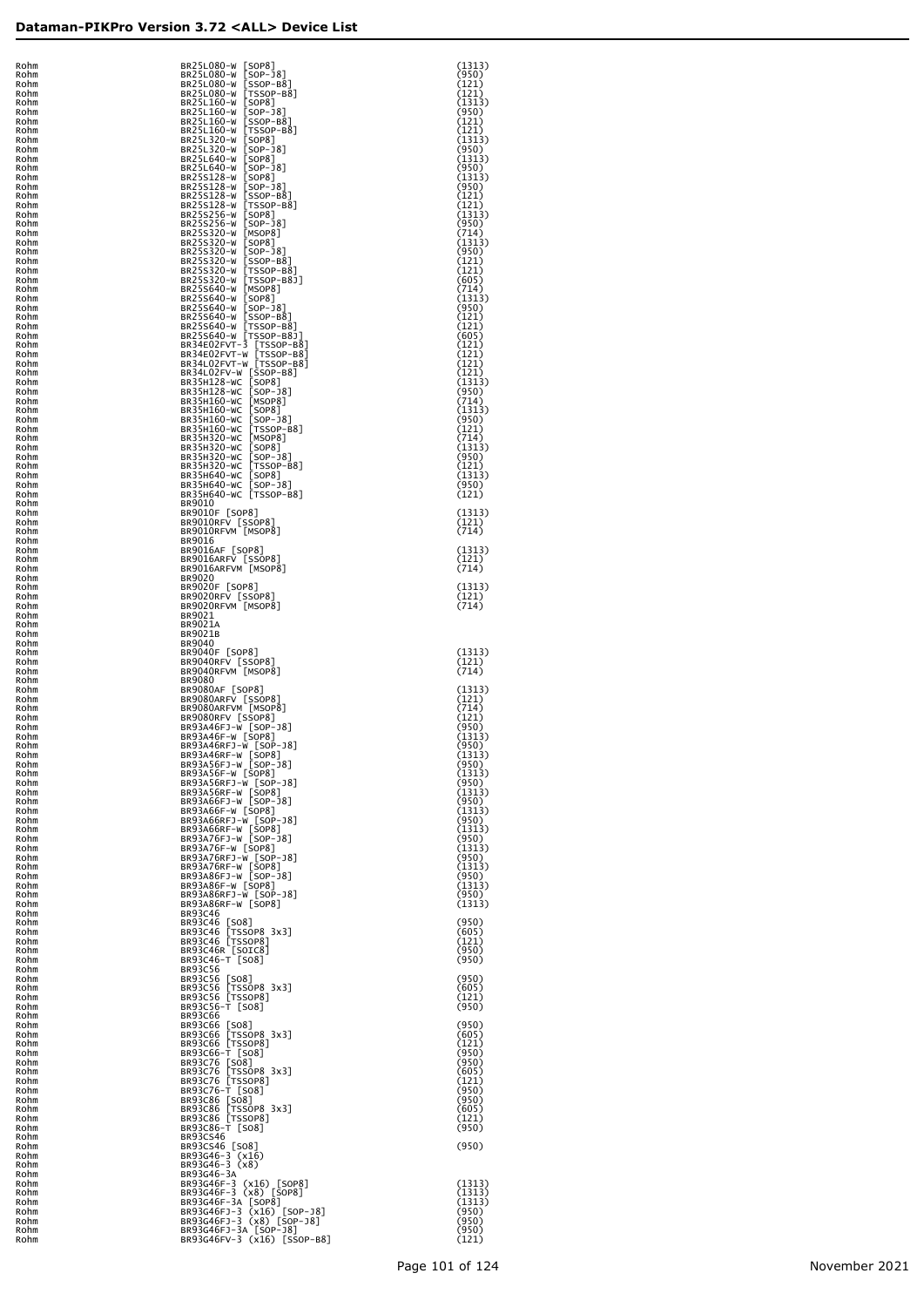| Rohm         | BR25L08                                  |
|--------------|------------------------------------------|
| Rohm<br>Rohm | <b>BR25L08</b><br><b>BR25L08</b>         |
| Rohm         | <b>BR25L16</b>                           |
| Rohm         | <b>BR25L16</b>                           |
| Rohm         | <b>BR25L16</b>                           |
| Rohm         | <b>BR25L16</b><br><b>BR25L32</b>         |
| Rohm<br>Rohm | <b>BR25L32</b>                           |
| Rohm         | <b>BR25L64</b>                           |
| Rohm         | <b>BR25L64</b>                           |
| Rohm         | BR25S12                                  |
| Rohm         | BR25512<br><b>BR25S12</b>                |
| Rohm<br>Rohm | <b>BR25S12</b>                           |
| Rohm         | BR25S25                                  |
| Rohm         | <b>BR25S25</b>                           |
| Rohm         | BR25532                                  |
| Rohm<br>Rohm | BR25532                                  |
| Rohm         |                                          |
| Rohm         |                                          |
| Rohm         | BR25532<br>BR25532<br>BR25532<br>BR25532 |
| Rohm         | <b>BR25S64</b>                           |
| Rohm<br>Rohm | <b>BR25S64</b><br><b>BR25S64</b>         |
| Rohm         | <b>BR25S64</b>                           |
| Rohm         | BR25564                                  |
| Rohm         | <b>BR25S64</b>                           |
| Rohm<br>Rohm | <b>BR34E02</b><br>BR34E02                |
| Rohm         | BR34L02                                  |
| Rohm         | BR34L02                                  |
| Rohm         | BR35H12                                  |
| Rohm<br>Rohm | <b>BR35H12</b><br><b>BR35H16</b>         |
| Rohm         | <b>BR35H16</b>                           |
| Rohm         | <b>BR35H16</b>                           |
| Rohm         | <b>BR35H16</b>                           |
| Rohm         | <b>BR35H32</b><br><b>BR35H32</b>         |
| Rohm<br>Rohm | <b>BR35H32</b>                           |
| Rohm         | <b>BR35H32</b>                           |
| Rohm         | <b>BR35H64</b>                           |
| Rohm         | <b>BR35H64</b>                           |
| Rohm<br>Rohm | BR35H64<br>BR9010                        |
| Rohm         | BR9010F                                  |
| Rohm         | <b>BR9010R</b>                           |
| Rohm         | <b>BR9010R</b>                           |
| Rohm         | BR9016<br><b>BR9016A</b>                 |
| Rohm<br>Rohm | <b>BR9016A</b>                           |
| Rohm         | <b>BR9016A</b>                           |
| Rohm         | BR9020                                   |
| Rohm         | <b>BR9020F</b>                           |
| Rohm<br>Rohm | <b>BR9020R</b><br><b>BR9020R</b>         |
| Rohm         | BR9021                                   |
| Rohm         | BR9021A                                  |
| Rohm         | <b>BR9021B</b>                           |
| Rohm         | BR9040                                   |
| Rohm<br>Rohm | <b>BR9040F</b><br><b>BR9040R</b>         |
| Rohm         | <b>BR9040R</b>                           |
| Rohm         | <b>BR9080</b>                            |
| Rohm         | <b>BR9080A</b>                           |
| Rohm<br>Rohm | <b>BR9080A</b><br><b>BR9080A</b>         |
| Rohm         | <b>BR9080R</b>                           |
| Rohm         | <b>BR93A46</b>                           |
| Rohm         | <b>BR93A46</b>                           |
| Rohm         | <b>BR93A46</b><br><b>BR93A46</b>         |
| Rohm<br>Rohm | <b>BR93A56</b>                           |
| Rohm         | <b>BR93A56</b>                           |
| Rohm         | <b>BR93A56</b>                           |
| Rohm         | <b>BR93A56</b>                           |
| Rohm<br>Rohm | <b>BR93A66</b><br><b>BR93A66</b>         |
| Rohm         | <b>BR93A66</b>                           |
| Rohm         | <b>BR93A66</b>                           |
| Rohm         | <b>BR93A76</b>                           |
| Rohm         | <b>BR93A76</b>                           |
| Rohm<br>Rohm | <b>BR93A76</b><br><b>BR93A76</b>         |
| Rohm         | <b>BR93A86</b>                           |
| Rohm         | <b>BR93A86</b>                           |
| Rohm         | <b>BR93A86</b>                           |
| Rohm<br>Rohm | <b>BR93A86</b><br><b>BR93C46</b>         |
| Rohm         | <b>BR93C46</b>                           |
| Rohm         | <b>BR93C46</b>                           |
| Rohm         | <b>BR93C46</b>                           |
| Rohm<br>Rohm | <b>BR93C46</b><br><b>BR93C46</b>         |
| Rohm         | <b>BR93C56</b>                           |
| Rohm         | <b>BR93C56</b>                           |
| Rohm         | <b>BR93C56</b>                           |
| Rohm         | <b>BR93C56</b><br><b>BR93C56</b>         |
| Rohm<br>Rohm | <b>BR93C66</b>                           |
| Rohm         | <b>BR93C66</b>                           |
| Rohm         | <b>BR93C66</b>                           |
| Rohm         | <b>BR93C66</b><br><b>BR93C66</b>         |
| Rohm<br>Rohm | <b>BR93C76</b>                           |
| Rohm         | BR93C76                                  |
| Rohm         | BR93C76                                  |
| Rohm         | <b>BR93C76</b>                           |
| Rohm         | <b>BR93C86</b><br><b>BR93C86</b>         |
| Rohm<br>Rohm | <b>BR93C86</b>                           |
| Rohm         | <b>BR93C86</b>                           |
| Rohm         | BR93CS4                                  |
| Rohm         | BR93CS4                                  |
| Rohm<br>Rohm | BR93G46<br>BR93G46                       |
| Rohm         | BR93G46                                  |
| Rohm         | BR93G46                                  |
| Rohm         | BR93G46                                  |
| Rohm         | BR93G46                                  |
| Rohm<br>Rohm | BR93G46<br>BR93G46                       |
| Rohm         | <b>BR93G46</b>                           |
|              |                                          |

| Rohm<br>Rohm         | BR25L080-W [SOP8]<br>BR25L080-W<br>$[SOP - J8]$                                                                                                          | (1313)<br>(950)          |
|----------------------|----------------------------------------------------------------------------------------------------------------------------------------------------------|--------------------------|
| Rohm<br>Rohm         | BR25L080-W<br>$[SSOP-B8]$<br>BR25L080-W                                                                                                                  | (121)<br>(121)           |
| Rohm<br>Rohm<br>Rohm | $[TSSOP-B8]$<br>$[SOP8]$<br>$[SOP-18]$<br>$[SSOP-B8]$<br>$[TSSOP-B8]$<br>BR25L160-W<br>BR25L160-W<br>BR25L160-W                                          | (1313)<br>(950)<br>(121) |
| Rohm<br>Rohm         | $[TSSOP-B8]$<br>BR25L160-W<br>BR25L320-W                                                                                                                 | (121)<br>(1313)          |
| Rohm                 | BR25L320-W                                                                                                                                               | (950)                    |
| Rohm                 | BR25L640-W                                                                                                                                               | (1313)                   |
| Rohm<br>Rohm         | [TSOPB<br> SOP8]<br> SOP-18]<br> SOP-18]<br> SOP-18]<br> SOP-18]<br> SOP-18]<br> TSSOP-B8]<br> SOP8]<br> SOP-18]<br> SOP-18]<br>BR25L640-W<br>BR25S128-W | (950)<br>(1313)          |
| Rohm                 | BR25S128-W                                                                                                                                               | (950)                    |
| Rohm                 | BR25S128-W                                                                                                                                               | (121)                    |
| Rohm                 | BR25S128-W                                                                                                                                               | (121)                    |
| Rohm                 | BR25S256-W                                                                                                                                               | (1313)                   |
| Rohm                 | BR25S256-W                                                                                                                                               | (950)                    |
| Rohm                 | BR25S320-W [MSOP8]                                                                                                                                       | (714)                    |
| Rohm                 | BR25S320-W [SOP8]                                                                                                                                        | (1313)                   |
| Rohm                 | BR25S320-W [SOP-J8]                                                                                                                                      | (950)                    |
| Rohm                 | BR25S320-W [SSOP-B8]                                                                                                                                     | (121)                    |
| Rohm                 | BR25S320-W [TSSOP-B8]                                                                                                                                    | (121)                    |
| Rohm                 | BR25S320-W [TSSOP-B8J]                                                                                                                                   | (605)                    |
| Rohm                 | BR25S640-W [MSOP8]                                                                                                                                       | (714)                    |
| Rohm                 | BR25S640-W [SOP8]                                                                                                                                        | (1313)                   |
| Rohm                 | BR25S640-W [SOP-J8]                                                                                                                                      | (950)                    |
| Rohm                 | BR25S640-W [SSOP-B8]                                                                                                                                     | (121)                    |
| Rohm                 | BR25S640-W [TSSOP-B8]                                                                                                                                    | (121)                    |
| Rohm                 | BR25S640-W [TSSOP-B8J]                                                                                                                                   | (605)                    |
| Rohm                 | BR34E02FVT-3 [TSSOP-B8]                                                                                                                                  | (121)                    |
| Rohm                 | BR34E02FVT-W [TSSOP-B8]                                                                                                                                  | (121)                    |
| Rohm                 | BR34L02FVT-W [TSSOP-B8]                                                                                                                                  | (121)                    |
| Rohm                 | BR34L02FV-W [SSOP-B8]                                                                                                                                    | (121)                    |
| Rohm                 | BR35H128-WC [SOP8]                                                                                                                                       | (1313)                   |
| Rohm                 | BR35H128-WC [SOP-J8]                                                                                                                                     | (950)                    |
| Rohm                 | BR35H160-WC [MSOP8]                                                                                                                                      | (714)                    |
| Rohm                 | BR35H160-WC [SOP8]                                                                                                                                       | (1313)                   |
| Rohm<br>Rohm         | BR35H160-WC [SOP-J8]<br>BR35H160-WC<br>$TSSOP-B8$                                                                                                        | (950)<br>(121)           |
| Rohm<br>Rohm<br>Rohm | BR35H320-WC [MSOP8]<br>BR35H320-WC [SOP8]<br>BR35H320-WC [SOP-J8]                                                                                        | (714)<br>(1313)          |
| Rohm<br>Rohm         | BR35H320-WC [TSSOP-B8]<br>BR35H640-WC [SOP8]                                                                                                             | (950)<br>(121)<br>(1313) |
| Rohm                 | BR35H640-WC [SOP-J8]                                                                                                                                     | (950)                    |
| Rohm                 | BR35H640-WC [TSSOP-B8]                                                                                                                                   | (121)                    |
| Rohm<br>Rohm         | BR9010<br>BR9010F [SOP8]                                                                                                                                 | (1313)                   |
| Rohm                 | BR9010RFV [SSOP8]                                                                                                                                        | (121)                    |
| Rohm                 | BR9010RFVM [MSOP8]                                                                                                                                       | (714)                    |
| Rohm<br>Rohm<br>Rohm | BR9016<br>BR9016AF [SOP8]<br>BR9016ARFV [SSOP8]                                                                                                          | (1313)<br>(121)          |
| Rohm<br>Rohm         | BR9016ARFVM [MSOP8]<br>BR9020                                                                                                                            | (714)                    |
| Rohm                 | BR9020F [SOP8]                                                                                                                                           | (1313)                   |
| Rohm                 | BR9020RFV [SSOP8]                                                                                                                                        | (121)                    |
| Rohm<br>Rohm         | BR9020RFVM [MSOP8]<br>BR9021                                                                                                                             | (714)                    |
| Rohm<br>Rohm         | BR9021A<br>BR9021B                                                                                                                                       |                          |
| Rohm<br>Rohm<br>Rohm | BR9040<br>BR9040F [SOP8]<br>BR9040RFV [SSOP8]                                                                                                            | (1313)<br>(121)          |
| Rohm<br>Rohm         | BR9040RFVM [MSOP8]<br>BR9080                                                                                                                             | (714)                    |
| Rohm                 | BR9080AF [SOP8]                                                                                                                                          | (1313)                   |
| Rohm                 | BR9080ARFV [SSOP8]                                                                                                                                       | (121)                    |
| Rohm                 | BR9080ARFVM [MSOP8]                                                                                                                                      | (714)                    |
| Rohm                 | BR9080RFV [SSOP8]                                                                                                                                        | (121)                    |
| Rohm                 | BR93A46FJ-W [SOP-J8]                                                                                                                                     | (950)                    |
| Rohm                 | BR93A46F-W [SOP8]                                                                                                                                        | (1313)                   |
| Rohm                 | BR93A46RFJ-W [SOP-J8]                                                                                                                                    | (950)                    |
| Rohm                 | BR93A46RF-W [SOP8]                                                                                                                                       | (1313)                   |
| Rohm                 | BR93A56FJ-W [SOP-J8]                                                                                                                                     | (950)                    |
| Rohm                 | BR93A56F-W [SOP8]                                                                                                                                        | (1313)                   |
| Rohm                 | BR93A56RFJ-W [SOP-J8]                                                                                                                                    | (950)                    |
| Rohm                 | BR93A56RF-W [SOP8]                                                                                                                                       | (1313)                   |
| Rohm                 | BR93A66FJ-W [SOP-J8]                                                                                                                                     | (950)                    |
| Rohm                 | BR93A66F-W [SOP8]                                                                                                                                        | (1313)                   |
| Rohm                 | BR93A66RFJ-W [SOP-J8]                                                                                                                                    | (950)                    |
| Rohm                 | BR93A66RF-W [SOP8]                                                                                                                                       | (1313)                   |
| Rohm                 | BR93A76FJ-W [SOP-J8]                                                                                                                                     | (950)                    |
| Rohm                 | BR93A76F-W [SOP8]                                                                                                                                        | (1313)                   |
| Rohm                 | BR93A76RFJ-W [SOP-J8]                                                                                                                                    | (950)                    |
| Rohm                 | BR93A76RF-W [SOP8]                                                                                                                                       | (1313)                   |
| Rohm                 | BR93A86FJ-W [SOP-J8]                                                                                                                                     | (950)                    |
| Rohm                 | BR93A86F-W [SOP8]                                                                                                                                        | (1313)                   |
| Rohm                 | BR93A86RFJ-W [SOP-J8]                                                                                                                                    | (950)                    |
| Rohm                 | BR93A86RF-W [SOP8]                                                                                                                                       | (1313)                   |
| Rohm<br>Rohm         | <b>BR93C46</b><br>BR93C46 [SO8]                                                                                                                          | (950)                    |
| Rohm                 | BR93C46 [TSSOP8 3x3]                                                                                                                                     | (605)                    |
| Rohm                 | BR93C46 [TSSOP8]                                                                                                                                         | (121)                    |
| Rohm                 | BR93C46R [SOIC8]                                                                                                                                         | (950)                    |
| Rohm<br>Rohm         | BR93C46-T [SO8]<br><b>BR93C56</b>                                                                                                                        | (950)                    |
| Rohm                 | BR93C56 [SO8]                                                                                                                                            | (950)                    |
| Rohm                 | BR93C56 [TSSOP8 3x3]                                                                                                                                     | (605)                    |
| Rohm                 | BR93C56 [TSSOP8]                                                                                                                                         | (121)                    |
| Rohm                 | BR93C56-T [SO8]                                                                                                                                          | (950)                    |
| Rohm<br>Rohm<br>Rohm | <b>BR93C66</b><br>BR93C66 [SO8]<br>BR93C66 [TSSOP8 3x3]                                                                                                  | (950)<br>(605)           |
| Rohm                 | BR93C66 [TSSOP8]                                                                                                                                         | (121)                    |
| Rohm                 | BR93C66-T [SO8]                                                                                                                                          | (950)                    |
| Rohm                 | BR93C76 [SO8]                                                                                                                                            | (950)                    |
| Rohm                 | BR93C76 [TSSOP8 3x3]                                                                                                                                     | (605)                    |
| Rohm                 | BR93C76 [TSSOP8]                                                                                                                                         | (121)                    |
| Rohm                 | BR93C76-T [SO8]                                                                                                                                          | (950)                    |
| Rohm<br>Rohm<br>Rohm | BR93C86 [SO8]<br>BR93C86 [TSSOP8 3x3]                                                                                                                    | (950)<br>(605)           |
| Rohm<br>Rohm         | BR93C86 [TSSOP8]<br>BR93C86-T [SO8]<br><b>BR93CS46</b>                                                                                                   | (121)<br>(950)           |
| Rohm<br>Rohm         | BR93CS46 [SO8]<br>BR93G46-3 (x16)                                                                                                                        | (950)                    |
| Rohm<br>Rohm         | BR93G46-3 (x8)<br>BR93G46-3A                                                                                                                             |                          |
| Rohm                 | BR93G46F-3 (x16) [SOP8]                                                                                                                                  | (1313)                   |
| Rohm                 | BR93G46F-3 (x8) [SOP8]                                                                                                                                   | (1313)                   |
| Rohm                 | BR93G46F-3A [SOP8]                                                                                                                                       | (1313)                   |
| Rohm                 | BR93G46FJ-3 (x16) [SOP-J8]                                                                                                                               | (950)                    |
| Rohm                 | BR93G46FJ-3 (x8) [SOP-J8]                                                                                                                                | (950)                    |
| Rohm                 | BR93G46FJ-3A [SOP-J8]                                                                                                                                    | (950)                    |
| Rohm                 | BR93G46FV-3 (x16) [SSOP-B8]                                                                                                                              | (121)                    |
|                      |                                                                                                                                                          |                          |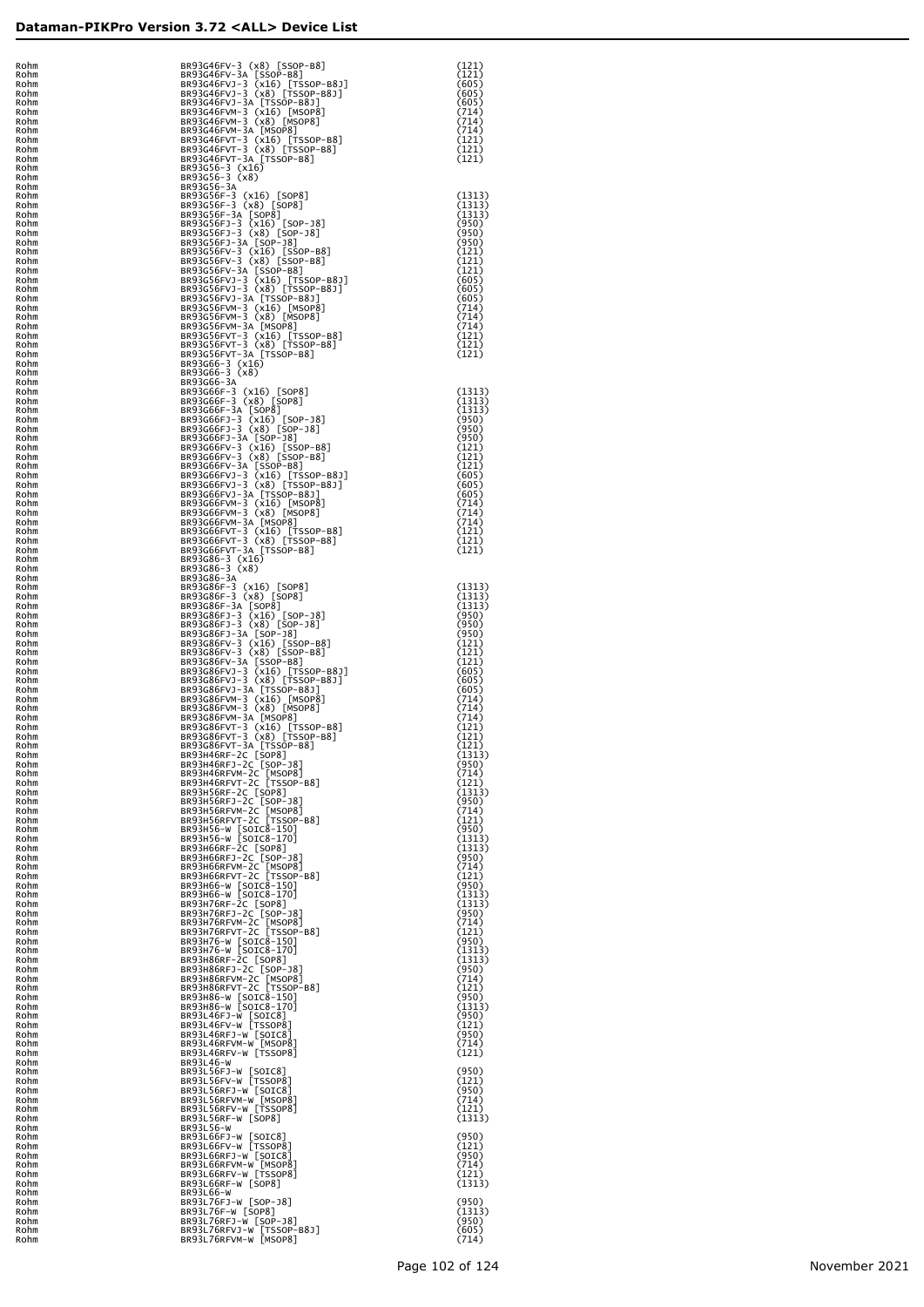| Ī<br>C                         | bhm                                    |
|--------------------------------|----------------------------------------|
| I                              | bhm<br>эh                              |
|                                | эh<br>۱h                               |
| ۱l                             | bhr                                    |
|                                | ٦r<br>bhr                              |
| I<br>F                         | bhm<br>Ì<br>bhm                        |
| F<br>F                         | bhm<br>bhm                             |
| R.                             | bhm                                    |
| R<br>R                         | bhm<br>bhm                             |
| R٥<br>R٥                       | bhm<br>phm                             |
| R٥                             | bhm                                    |
| b<br>R<br>b<br>R.              | ım<br>٦M                               |
| b<br>R<br>b<br>R               | ٦M<br>٦M                               |
| b<br>R.<br>b                   | ٦M                                     |
| R<br>b<br>R                    | ٦m<br>٦m                               |
| b<br>R<br>b<br>R               | ٦m<br>٦m                               |
| b<br>R<br>b<br>R               | ٦m                                     |
| b<br>R                         | ٦m<br>٦m                               |
| b<br>R١<br>b<br>R              | ٦m<br>٦m                               |
| b<br>R<br>b<br>R               | ٦m<br>٦m                               |
| b<br>R٥                        | ٦m                                     |
| b<br>R٥<br>b<br>R٥             | ٦m<br>٦m                               |
| b<br>R٥<br>b<br>R٥             | ٦m<br>٦m                               |
| b<br>R٥<br>b<br>R٥             | ٦m                                     |
| b<br>R٥                        | ٦m<br>٦m                               |
| b<br>R٥<br>b<br>R٥             | ٦m<br>٦m                               |
| b<br>R٥<br>b<br>R٥             | ٦m                                     |
| b<br>R٥                        | ٦m<br>٦m                               |
| b<br>R٥<br>b<br>R١             | ٦m<br>٦M                               |
| b<br>R<br>b<br>R               | ٦M<br>٦M                               |
| b<br>R                         | ٦M                                     |
| b<br>R<br>b<br>R               | ٦M<br>٦M                               |
| b<br>R١<br>b<br>R١             | ٦M<br>٦M                               |
| b<br>R١<br>b<br>R١             | ٦M                                     |
| b<br>R١                        | ٦M<br>٦m                               |
| b<br>R١<br>b<br>R١             | ٦m<br>٦m                               |
| b<br>R١<br>b<br>R١             | ٦m<br>٦m                               |
| b<br>R١                        | ٦m                                     |
| b<br>R١<br>b<br>R١             | ٦m<br>٦m                               |
| b<br>R١<br>b<br>ą,             | ٦m<br>٦m                               |
| ) l<br>ą,                      | ٦m                                     |
| ) l<br>R<br>) l<br>R           | ٦M<br>٦M                               |
| )İ<br>R<br>)İ<br>Rα            | ım<br>ım                               |
| .<br>Ro<br>b<br>١              | ٦m                                     |
| l                              | $\sum_{i=1}^{n}$                       |
| ) ł<br>l<br>١l<br>l            | hm<br>ım                               |
| ١l<br>l<br>) l<br>l            | ım<br>ım                               |
| ) l<br>J<br>I                  | ım                                     |
| )İ<br>J<br>I<br>)İ<br>Ù<br>j   | ım<br>٦M                               |
| )İ<br>Ù<br>j<br>)İ<br>Ù<br>I   | ٦M<br>٦M                               |
| )<br>Ù<br>I<br>)İ<br>Ŕ۹<br>j   | ٦M                                     |
| )İ<br>Ŕ۹<br>j                  | ٦M<br>٦M                               |
| )İ<br>Ŕ۹<br>j<br>)İ<br>Ŕ۹<br>I | ٦M<br>٦M                               |
| )İ<br>Ŕ۹<br>I<br>)İ<br>Ŕ۹<br>I | hM<br>hM                               |
| )<br>Ŕ۹<br>I                   | hM                                     |
| )<br>Ŕ۹<br>I<br>)<br>Ŕ۹<br>I   | hM<br>hM                               |
| )<br>Ŕ۹<br>I<br>)<br>Ŕ۹<br>I   | hM<br>hM                               |
| )<br>Ŕ۹<br>I<br>)<br>Ŕ۹<br>I   | hM                                     |
| )<br>Ŕ۹<br>I                   | hM<br>hM                               |
| )<br>Ŕ۹<br>I<br>)<br>Ŕ۹<br>I   | hM<br>hM                               |
| )<br>Ŕ۹<br>I<br>)<br>Ŕ۹<br>I   | hM                                     |
| )<br>Ŕ۹<br>I                   | hM<br>hM                               |
| )<br>Ŕ۹<br>I<br>)<br>Ŕ۹<br>I   | hM<br>hM                               |
| )<br>Ŕ۹<br>I<br>)<br>Ŕ۹<br>I   | hM<br>٦M                               |
| )İ<br>Ŕ۹<br>I<br>)İ<br>Ŕ۹      | ٦M                                     |
| I<br>)İ<br>Ŕ۹<br>I             | ٦M<br>٦M                               |
|                                |                                        |
| )<br>Ŕ۹<br>I<br>Ŕ۹<br>I        | ٦M                                     |
| )<br>)<br>Ŕ۹<br>I              | ٦M<br>٦M                               |
| )<br>Ŕ۹<br>I<br>Ŕ۹<br>I        | hM                                     |
| Šί<br>I<br>R                   | $\lim_{x\to 0}$<br>$\lim_{x\to 0}$     |
| R                              | $\lim_{x\to 0}$<br>$\lim_{x\to 0}$     |
| Šά<br>F<br>Šά<br>F<br>١l<br>Ŕί | ,.<br>hm<br>,<br>hm<br>'~"<br>າmີ<br>- |

| Rohm<br>Rohm | BR93G46FV-3 (x8) [SSOP-B8]                                                                                                                                                                                                                             | (121)            |
|--------------|--------------------------------------------------------------------------------------------------------------------------------------------------------------------------------------------------------------------------------------------------------|------------------|
| Rohm<br>Rohm | BR93G46FV-3 (x8) [SSOP-B8]<br>BR93G46FV-3A [SSOP-B8]<br>BR93G46FVJ-3 (x16) [TSSOP-B8]<br>BR93G46FVJ-3 (x16) [TSSOP-B8]<br>BR93G46FVJ-3 (x16) [TSSOP-B8]<br>BR93G46FVM-3 (x16) [MSOP8]<br>BR93G46FVM-3 (x8) [MSOP8]<br>BR93G46FVM-3 (x8) [TSSOP-B8]<br> | (121)<br>(605)   |
| Rohm<br>Rohm |                                                                                                                                                                                                                                                        | (605)<br>(605)   |
| Rohm         |                                                                                                                                                                                                                                                        | (714)<br>(714)   |
| Rohm<br>Rohm |                                                                                                                                                                                                                                                        | (714)<br>(121)   |
| Rohm<br>Rohm |                                                                                                                                                                                                                                                        | (121)<br>(121)   |
| Rohm<br>Rohm | BR93G56-3 (x16)<br>BR93G56-3 (x8)                                                                                                                                                                                                                      |                  |
| Rohm<br>Rohm | BR93G56-3A                                                                                                                                                                                                                                             | (1313)           |
| Rohm<br>Rohm | BR93G56F-3 (x16) [SOP8]<br>BR93G56F-3 (x8) [SOP8]<br>BR93G56F-3 (x8) [SOP8]<br>BR93G56F-3 (x16) [SOP-18]<br>BR93G56FJ-3 (x16) [SOP-18]<br>BR93G56FJ-3 (x16) [SOP-18]<br>BR93G56FJ-3 (x16) [SOP-18]<br>BR93C56FV-3 (x16) [SOP-08]                       | (1313)<br>(1313) |
| Rohm<br>Rohm |                                                                                                                                                                                                                                                        | (950)<br>(950)   |
| Rohm         |                                                                                                                                                                                                                                                        | (950)            |
| Rohm<br>Rohm | BR93G56FV-3 (x16) [SSOP-B8]<br>BR93G56FV-3 (x8) [SSOP-B8]<br>BR93G56FV-3A [SSOP-B8]                                                                                                                                                                    | (121)<br>(121)   |
| Rohm<br>Rohm | BR93G56FVJ-3 (x16) [TSSOP-B8J]<br>BR93G56FVJ-3 (x8) [TSSOP-B8J]                                                                                                                                                                                        | (121)<br>(605)   |
| Rohm<br>Rohm |                                                                                                                                                                                                                                                        | (605)<br>(605)   |
| Rohm<br>Rohm | BR93G56FVJ-3A [TSSOP-B8J]<br>BR93G56FVJ-3A [TSSOP-B8J]<br>BR93G56FVM-3 (x16) [MSOP8]<br>BR93G56FVM-3A [MSOP8]<br>BR93G56FVM-3A [MSOP8]                                                                                                                 | (714)<br>(714)   |
| Rohm<br>Rohm |                                                                                                                                                                                                                                                        | (714)<br>(121)   |
| Rohm<br>Rohm | BR93G56FVT-3 (x16) [TSSOP-B8]<br>BR93G56FVT-3 (x8) [TSSOP-B8]<br>BR93G56FVT-3A [TSSOP-B8]                                                                                                                                                              | (121)            |
| Rohm         | BR93G66-3 (x16)<br>BR93G66-3 (x8)                                                                                                                                                                                                                      | (121)            |
| Rohm<br>Rohm | BR93G66-3A                                                                                                                                                                                                                                             |                  |
| Rohm<br>Rohm | BR93G66F-3 (x16) [SOP8]<br>BR93G66F-3 (x8) [SOP8]<br>BR93G66F-3 (x8) [SOP8]<br>BR93G66F-3 (x16) [SOP-18]<br>BR93G66FJ-3 (x16) [SOP-18]<br>BR93G66FJ-3 (x3) [SOP-18]<br>BR93G66FJ-3 (x16) [SSOP-88<br>BR93G66FJ-3 (x16) [SSOP-88                        | (1313)<br>(1313) |
| Rohm<br>Rohm |                                                                                                                                                                                                                                                        | (1313)<br>(950)  |
| Rohm<br>Rohm |                                                                                                                                                                                                                                                        | (950)<br>(950)   |
| Rohm<br>Rohm | BR93G66FV-3 (x16) [SSOP-B8]<br>BR93G66FV-3 (x8) [SSOP-B8]<br>BR93G66FV-3A [SSOP-B8]                                                                                                                                                                    | (121)<br>(121)   |
| Rohm         |                                                                                                                                                                                                                                                        | (121)            |
| Rohm<br>Rohm | BR93G66FVJ-3 (X16) [TSSOP-B8J]<br>BR93G66FVJ-3 (X8) [TSSOP-B8J]<br>BR93G66FVJ-3 (X8) [TSSOP-B8J]<br>BR93G66FVJ-3 [TSSOP-B8J]<br>BR93G66FVM-3 (X16) [MSOP8]<br>BR93G66FVM-3 (X8) [MSOP8]<br>BR93G66FVM-3 (X8) [MSOP8]<br>BR93G66FVM-3 (X16) [TSSOP-P    | (605)<br>(605)   |
| Rohm<br>Rohm |                                                                                                                                                                                                                                                        | (605)<br>(714)   |
| Rohm<br>Rohm |                                                                                                                                                                                                                                                        | (714)<br>(714)   |
| Rohm<br>Rohm | BR93G66FVT-3 (x16) [TSSOP-B8]<br>BR93G66FVT-3 (x8) [TSSOP-B8]<br>BR93G66FVT-3A [TSSOP-B8]                                                                                                                                                              | (121)<br>(121)   |
| Rohm<br>Rohm | BR93G86-3 (x16)                                                                                                                                                                                                                                        | (121)            |
| Rohm         | BR93G86-3 (x8)                                                                                                                                                                                                                                         |                  |
| Rohm<br>Rohm | BR93G86-3A                                                                                                                                                                                                                                             | (1313)           |
| Rohm<br>Rohm | BR93G86F-3 (x16) [SOP8]<br>BR93G86F-3 (x8) [SOP8]<br>BR93G86F-3A [SOP8]                                                                                                                                                                                | (1313)<br>(1313) |
| Rohm<br>Rohm | BR93G86FJ-3 (x16) [SOP-J8]<br>BR93G86FJ-3 (x8) [SOP-J8]<br>BR93G86FJ-3A [SOP-J8]                                                                                                                                                                       | (950)<br>(950)   |
| Rohm<br>Rohm |                                                                                                                                                                                                                                                        | (950)<br>(121)   |
| Rohm<br>Rohm | BR93G86FV-3 (x16) [SSOP-B8]<br>BR93G86FV-3 (x8) [SSOP-B8]<br>BR93G86FV-3A [SSOP-B8]                                                                                                                                                                    | (121)<br>(121)   |
| Rohm         | BR93G86FVJ-3 (X16) [TSSOP-B8J]<br>BR93G86FVJ-3 (X8) [TSSOP-B8J]<br>BR93G86FVJ-3 (X8) [TSSOP-B8J]<br>BR93G86FVJ-3 (X16) [MSOP8]<br>BR93G86FVM-3 (X16) [MSOP8]<br>BR93G86FVM-3 (X8) [MSOP8]<br>BR93G86FVM-3 (X16) [TSSOP-B8]                             | (605)            |
| Rohm<br>Rohm |                                                                                                                                                                                                                                                        | (605)<br>(605)   |
| Rohm<br>Rohm |                                                                                                                                                                                                                                                        | (714)<br>(714)   |
| Rohm<br>Rohm |                                                                                                                                                                                                                                                        | (714)<br>(121)   |
| Rohm<br>Rohm | BR93G86FVT-3 (x16) [TSSOP-B8]<br>BR93G86FVT-3 (x8) [TSSOP-B8]<br>BR93G86FVT-3A [TSSOP-B8]                                                                                                                                                              | (121)<br>(121)   |
| ROMM<br>Rohm | BR93H46RF-2C [SOP8]<br>BR93H46RFJ-2C [SOP-J8]                                                                                                                                                                                                          | (1313)<br>(950)  |
| Rohm<br>Rohm | BR93H46RFVM-2C [MSOP8]<br>BR93H46RFVT-2C [TSSOP-B8]                                                                                                                                                                                                    | (714)<br>(121)   |
| Rohm         | BR93H56RF-2C [SOP8]<br>BR93H56RFJ-2C [SOP-J8]                                                                                                                                                                                                          | (1313)           |
| Rohm<br>Rohm | BR93H56RFVM-2C [MSOP8]<br>BR93H56RFVT-2C [TSSOP-B8]                                                                                                                                                                                                    | (950)<br>(714)   |
| Rohm<br>Rohm |                                                                                                                                                                                                                                                        | (121)<br>(950)   |
| Rohm<br>Rohm | BR93H56-W [SOIC8-150]<br>BR93H56-W [SOIC8-170]<br>BR93H66RF-2C [SOP8]<br>BR93H66RF-2C [SOP-18]<br>RR93H66RFJ-2C [SOP-18]                                                                                                                               | (1313)<br>(1313) |
| Rohm<br>Rohm | BR93H66RFVM-2C [MSOP8]                                                                                                                                                                                                                                 | (950)<br>(714)   |
| Rohm<br>Rohm | BR93H66RFVT-2C [TSSOP-B8]                                                                                                                                                                                                                              | (121)<br>(950)   |
| Rohm<br>Rohm |                                                                                                                                                                                                                                                        | (1313)<br>(1313) |
| Rohm         | BR93H66-W [SOIC8-150]<br>BR93H66-W [SOIC8-170]<br>BR93H76RF-2C [SOP8]<br>BR93H76RFJ-2C [SOP-18]<br>RR93H76RFJ-2C [SOP-18]                                                                                                                              | (950)            |
| Rohm<br>Rohm | BR93H76RFVM-2C [MSOP8]<br>BR93H76RFVT-2C [TSSOP-B8]                                                                                                                                                                                                    | (714)<br>(121)   |
| Rohm<br>Rohm |                                                                                                                                                                                                                                                        | (950)<br>(1313)  |
| Rohm<br>Rohm | BR93H76-W [SOIC8-150]<br>BR93H76-W [SOIC8-170]<br>BR93H86RF-2C [SOP8]<br>BR93H86RF-2C [SOP-18]<br>RR93H86RFJ-2C [SOP-18]                                                                                                                               | (1313)<br>(950)  |
| Rohm<br>Rohm | BR93H86RFVM-2C [MSOP8]<br>BR93H86RFVT-2C [TSSOP-B8]                                                                                                                                                                                                    | (714)<br>(121)   |
| Rohm<br>Rohm | BR93H86-W [SOIC8-150]<br>BR93H86-W [SOIC8-170]                                                                                                                                                                                                         | (950)<br>(1313)  |
| Rohm<br>Rohm | BR93L46FJ-W [SOIC8]<br>BR93L46FV-W [TSSOP8]                                                                                                                                                                                                            | (950)<br>(121)   |
| Rohm         | BR93L46RFJ-W [SOIC8]                                                                                                                                                                                                                                   | (950)            |
| Rohm<br>Rohm | BR93L46RFVM-W [MSOP8]<br>BR93L46RFV-W [TSSOP8]                                                                                                                                                                                                         | (714)<br>(121)   |
| Rohm<br>Rohm | BR93L46-W<br>BR93L56FJ-W [SOIC8]                                                                                                                                                                                                                       | (950)            |
| Rohm<br>Rohm | BR93L56FV-W [TSSOP8]<br>BR93L56RFJ-W [SOIC8]                                                                                                                                                                                                           | (121)<br>(950)   |
| Rohm<br>Rohm | BR93L56RFVM-W [MSOP8]<br>BR93L56RFV-W [TSSOP8]                                                                                                                                                                                                         | (714)<br>(121)   |
| Rohm<br>Rohm | BR93L56RF-W [SOP8]<br>BR93L56-W                                                                                                                                                                                                                        | (1313)           |
| Rohm<br>Rohm | BR93L66FJ-W [SOIC8]<br>BR93L66FV-W [TSSOP8]                                                                                                                                                                                                            | (950)            |
| Rohm         | BR93L66RFJ-W [SOIC8]                                                                                                                                                                                                                                   | (121)<br>(950)   |
| Rohm<br>Rohm | BR93L66RFVM-W [MSOP8]<br>BR93L66RFV-W [TSSOP8]                                                                                                                                                                                                         | (714)<br>(121)   |
| Rohm<br>Rohm | BR93L66RF-W [SOP8]<br>BR93L66-W                                                                                                                                                                                                                        | (1313)           |
| Rohm<br>Rohm | BR93L76FJ-W [SOP-J8]<br>BR93L76F-W [SOP8]                                                                                                                                                                                                              | (950)<br>(1313)  |
| Rohm<br>Rohm | BR93L76RFJ-W [SOP-J8]<br>BR93L76RFVJ-W [TSSOP-B8J]                                                                                                                                                                                                     | (950)<br>(605)   |
| Rohm         | BR93L76RFVM-W [MSOP8]                                                                                                                                                                                                                                  | (714)            |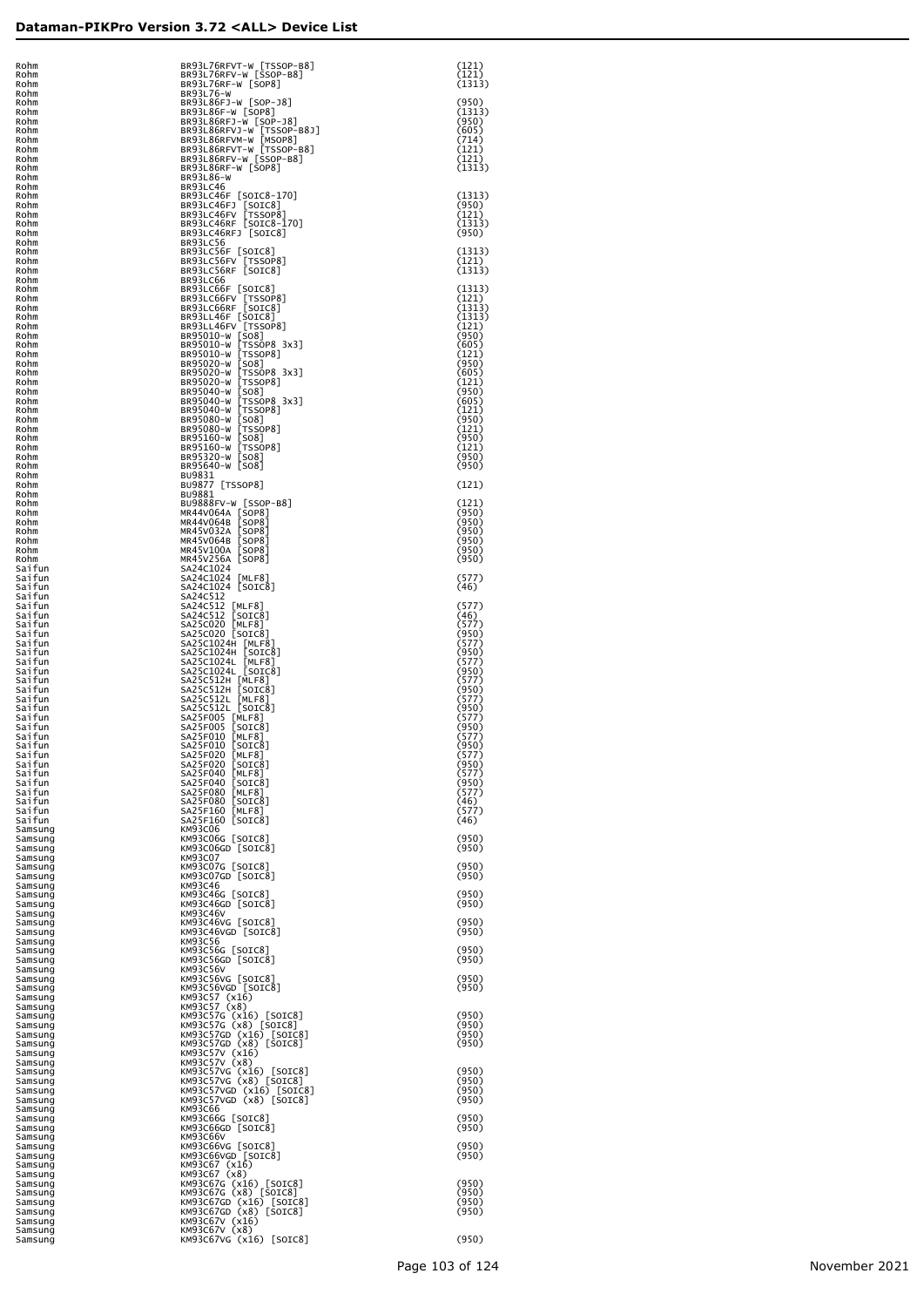| Rohm                          |  |
|-------------------------------|--|
| Rohm<br>Rohm                  |  |
| Rohm<br>Rohm                  |  |
| Rohm                          |  |
| Rohm<br>Rohm                  |  |
| Rohm<br>Rohm                  |  |
| Rohm<br>Rohm                  |  |
| Rohm                          |  |
| Rohm<br>Rohm                  |  |
| Rohm<br>Rohm                  |  |
| Rohm<br>Rohm                  |  |
| Rohm                          |  |
| Rohm<br>Rohm                  |  |
| Rohm<br>Rohm                  |  |
| Rohm<br>Rohm                  |  |
| Rohm                          |  |
| Rohm<br>Rohm                  |  |
| Rohm<br>Rohm                  |  |
| Rohm<br>Rohm                  |  |
| Rohm                          |  |
| Rohm<br>Rohm                  |  |
| Rohm<br>Rohm                  |  |
| Rohm<br>Rohm                  |  |
| Rohm                          |  |
| Rohm<br>Rohm                  |  |
| Rohm<br>Rohm                  |  |
| Rohm<br>Rohm                  |  |
| Rohm                          |  |
| Rohm<br>Rohm                  |  |
| Rohm<br>Rohm                  |  |
| Rohm                          |  |
| Saifun<br>fun<br>Sai          |  |
| Sai<br>fun<br>Sai<br>fun      |  |
| Sai<br>fun<br>Sai<br>fun      |  |
| Sai<br>fun                    |  |
| fun<br>Sai<br>fun<br>Sai      |  |
| fun<br>Sai                    |  |
|                               |  |
| fun<br>Sai<br>fun<br>Sai      |  |
| fun<br>Sai<br>fun<br>Sai      |  |
| fun<br>Sai                    |  |
| fun<br>Sai<br>fun<br>Sai      |  |
| fun<br>Sai<br>fun<br>Sai      |  |
| fun<br>Sai<br>fun<br>Sai      |  |
| a٦<br>T<br>un                 |  |
| fun<br>Sai<br>fun<br>Sai      |  |
| fun<br>Sai<br>Saifun          |  |
| fun<br>Sai<br>Saifun          |  |
| Samsung                       |  |
| Samsung<br>Samsung            |  |
| Samsung<br>Samsung            |  |
| Samsung                       |  |
| Samsung<br>Samsung            |  |
| Samsung<br>Samsung            |  |
| Samsung<br>Samsung            |  |
| Samsung                       |  |
| Samsung<br>Samsung            |  |
| Samsung<br>Samsung            |  |
| Samsung<br>Samsung            |  |
| Samsung                       |  |
| Samsung<br>Samsung            |  |
| Samsung<br>Samsung            |  |
| Samsung<br>Samsung            |  |
| Samsung                       |  |
| Samsung<br>Samsung            |  |
| Samsung<br>Samsung            |  |
| Samsung<br>Samsung            |  |
| Samsung                       |  |
| Samsung<br>Samsung            |  |
| Samsung<br>Samsung            |  |
| Samsung                       |  |
| Samsung<br>Samsung            |  |
| Samsung<br>Samsung<br>Samsung |  |

| Rohm<br>Rohm<br>Rohm | BR93L76RFVT-W [TSSOP-B8]<br>BR93L76RFV-W [SSOP-B8]<br>BR93L76RF-W [SOP8]                                                                                                                                                                                                             | (121)<br>(121)<br>(1313) |
|----------------------|--------------------------------------------------------------------------------------------------------------------------------------------------------------------------------------------------------------------------------------------------------------------------------------|--------------------------|
| Rohm<br>Rohm         | BR93L76-W<br>BR93L86FJ-W [SOP-J8]                                                                                                                                                                                                                                                    | (950)                    |
| Rohm<br>Rohm         | BR93L86F-W [SOP8]<br>BR93L86RFJ-W [SOP-J8]                                                                                                                                                                                                                                           | (1313)<br>(950)          |
| Rohm<br>Rohm         | BR93L86RFVJ-W [TSSOP-B8J]<br>BR93L86RFVM-W [MSOP8]                                                                                                                                                                                                                                   | (605)<br>(714)           |
| Rohm<br>Rohm         | BR93L86RFVT-W [TSSOP-B8]<br>BR93L86RFV-W [TSSOP-B8]                                                                                                                                                                                                                                  | (121)<br>(121)           |
| Rohm<br>Rohm         | BR93L86RF-W [SOP8]<br>BR93L86-W                                                                                                                                                                                                                                                      | (1313)                   |
| Rohm                 | BR93LC46                                                                                                                                                                                                                                                                             |                          |
| Rohm<br>Rohm         | BR93LC46F [SOIC8-170]<br>BR93LC46FJ [SOIC8]<br>BR93LC46FV [TSSOP8]                                                                                                                                                                                                                   | (1313)<br>(950)          |
| Rohm<br>Rohm         | BR93LC46RF [SOIC8-170]                                                                                                                                                                                                                                                               | (121)<br>(1313)          |
| Rohm<br>Rohm         | BR93LC46RFJ [SOIC8]<br>BR93LC56                                                                                                                                                                                                                                                      | (950)                    |
| Rohm<br>Rohm         | BR93LC56F [SOIC8]<br>BR93LC56FV [TSSOP8]<br>BR93LC56RF [SOIC8]                                                                                                                                                                                                                       | (1313)<br>(121)          |
| Rohm<br>Rohm         | BR93LC66                                                                                                                                                                                                                                                                             | (1313)                   |
| Rohm<br>Rohm         | BR93LC66F [SOIC8]<br>BR93LC66F [SOIC8]<br>BR93LC66F [SOIC8]<br>BR93LC66FV [TSSOP8]<br>BR93LC66FR [SOIC8]<br>BR93LL46FV [TSOIC8]<br>BR93LL46FV [TSSOP8]<br>BR95010-W [TSSOP8]<br>BR95020-W [TSSOP8]<br>BR95020-W [TSSOP8]<br>BR95020-W [TSSOP8]<br>BR95040-W [TSSOP8]<br>BR95040-W [T | (1313)<br>(121)          |
| Rohm<br>Rohm         |                                                                                                                                                                                                                                                                                      | (1313)<br>(1313)         |
| Rohm<br>Rohm         |                                                                                                                                                                                                                                                                                      | (121)<br>(950)           |
| Rohm<br>Rohm         |                                                                                                                                                                                                                                                                                      | (605)<br>(121)           |
| Rohm<br>Rohm         |                                                                                                                                                                                                                                                                                      | (950)<br>(605)           |
| Rohm<br>Rohm         |                                                                                                                                                                                                                                                                                      | (121)<br>(950)           |
| Rohm<br>Rohm         |                                                                                                                                                                                                                                                                                      | (605)<br>(121)           |
| Rohm<br>Rohm         |                                                                                                                                                                                                                                                                                      | (950)<br>(121)           |
| Rohm<br>Rohm         |                                                                                                                                                                                                                                                                                      | (950)<br>(121)           |
| Rohm                 | BR95640-W [SO8]                                                                                                                                                                                                                                                                      | (950)                    |
| Rohm<br>Rohm         | BU9831                                                                                                                                                                                                                                                                               | (950)                    |
| Rohm<br>Rohm         | BU9877 [TSSOP8]<br>BU9881                                                                                                                                                                                                                                                            | (121)                    |
| Rohm<br>Rohm         | BU9888FV-W [SSOP-B8]<br>MR44V064A [SOP8]<br>MR44V064A [SOP8]<br>MR45V032A [SOP8]<br>MR45V064B [SOP8]<br>MR45V1004 [SOP8]<br>MR45V1004 [SOP8]                                                                                                                                         | (121)<br>(950)           |
| Rohm<br>Rohm         |                                                                                                                                                                                                                                                                                      | (950)<br>(950)           |
| Rohm<br>Rohm         |                                                                                                                                                                                                                                                                                      | (950)<br>(950)           |
| Rohm<br>Saitun       | MR45V256A [SOP8]<br>SA24C1024                                                                                                                                                                                                                                                        | (950)                    |
| Saifun<br>Saifun     | SA24C1024 [MLF8]<br>SA24C1024 [SOIC8]                                                                                                                                                                                                                                                | (577)<br>(46)            |
| Saifun<br>Saifun     | SA24C512                                                                                                                                                                                                                                                                             | (577)                    |
| Saifun<br>Saifun     | SA24C512 [MLF8]<br>SA24C512 [SOIC8]<br>SA25C020 [MLF8]<br>SA25C020 [SOIC8]                                                                                                                                                                                                           | (46)<br>(577)            |
| Saifun<br>Saifun     | SA25C1024H [MLF8]<br>SA25C1024H [SOIC8]                                                                                                                                                                                                                                              | (950)<br>(577)           |
| Saifun<br>Saifun     |                                                                                                                                                                                                                                                                                      | (950)<br>(577)           |
| Saifun<br>Saifun     | SA25C1024L [MLF8]<br>SA25C1024L [SOIC8]<br>SA25C512H [MLF8]<br>SA25C512H [SOIC8]                                                                                                                                                                                                     | (950)<br>(577)           |
| Saifun<br>Saifun     |                                                                                                                                                                                                                                                                                      | (950)<br>(577)           |
| Saifun<br>Saifun     | SA2SC512L [MLF8]<br>SA2SC512L [MLF8]<br>SA2SC512L [SOIC8]<br>SA2SF005 [MLF8]<br>SA2SF005 [SOIC8]<br>SA2SF010 [MLF8]<br>SA2SF010 [SOIC8]                                                                                                                                              | (950)<br>(577)           |
| Saifun<br>Saifun     |                                                                                                                                                                                                                                                                                      | (950)<br>(577)           |
| Saifun<br>Saifun     | SA25F020 MLF81                                                                                                                                                                                                                                                                       | (950)<br>(577)           |
| Saifun<br>Saitun     | SA25F020<br>[SOIC8]<br>MEF8<br>SA25F040                                                                                                                                                                                                                                              | (950)<br>(577)           |
| Saifun               | [SOIC8]<br>SA25F040<br>MEF8<br>SA25F080                                                                                                                                                                                                                                              | (950)<br>(577)           |
| Saifun<br>Saifun     | [SOIC8]<br>SA25F080<br>SA25F160                                                                                                                                                                                                                                                      | (46)                     |
| Saifun<br>Saifun     | [MLF8]<br>SA25F160 [SOIC8]                                                                                                                                                                                                                                                           | (577)<br>(46)            |
| Samsung<br>Samsung   | <b>KM93C06</b><br>KM93C06G [SOIC8]                                                                                                                                                                                                                                                   | (950)                    |
| Samsung<br>Samsung   | KM93C06GD [SOIC8]<br><b>KM93C07</b>                                                                                                                                                                                                                                                  | (950)                    |
| Samsung<br>Samsung   | KM93C07G [SOIC8]<br>KM93C07GD [SOIC8]                                                                                                                                                                                                                                                | (950)<br>(950)           |
| Samsung<br>Samsung   | KM93C46<br>KM93C46G [SOIC8]                                                                                                                                                                                                                                                          | (950)                    |
| Samsung<br>Samsung   | KM93C46GD [SOIC8]<br><b>KM93C46V</b>                                                                                                                                                                                                                                                 | (950)                    |
| Samsung<br>Samsung   | KM93C46VG [SOIC8]<br>KM93C46VGD [SOIC8]                                                                                                                                                                                                                                              | (950)<br>(950)           |
| Samsung<br>Samsung   | KM93C56<br>KM93C56G [SOIC8]                                                                                                                                                                                                                                                          | (950)                    |
| Samsung<br>Samsung   | KM93C56GD [SOIC8]<br><b>KM93C56V</b>                                                                                                                                                                                                                                                 | (950)                    |
| Samsung<br>Samsung   | KM93C56VG [SOIC8]<br>KM93C56VGD [SOIC8]                                                                                                                                                                                                                                              | (950)<br>(950)           |
| Samsung<br>Samsung   | KM93C57 (x16)<br>KM93C57 (x8)                                                                                                                                                                                                                                                        |                          |
| Samsung<br>Samsung   | KM93C57G (x16) [SOIC8]<br>KM93C57G (x8) [SOIC8]                                                                                                                                                                                                                                      | (950)<br>(950)           |
| Samsung<br>Samsung   | KM93C57GD (x16) [SOIC8]<br>KM93C57GD (x8) [SOIC8]                                                                                                                                                                                                                                    | (950)<br>(950)           |
| Samsung<br>Samsung   | KM93C57V (x16)<br>KM93C57V (x8)                                                                                                                                                                                                                                                      |                          |
| Samsung<br>Samsung   | KM93C57VG (x16) [SOIC8]<br>KM93C57VG (x8) [SOIC8]                                                                                                                                                                                                                                    | (950)<br>(950)           |
| Samsung<br>Samsung   | KM93C57VGD (x16) [SOIC8]<br>KM93C57VGD (x8) [SOIC8]                                                                                                                                                                                                                                  | (950)<br>(950)           |
| Samsung<br>Samsung   | KM93C66<br>KM93C66G [SOIC8]                                                                                                                                                                                                                                                          | (950)                    |
| Samsung<br>Samsung   | KM93C66GD [SOIC8]<br>KM93C66V                                                                                                                                                                                                                                                        | (950)                    |
| Samsung<br>Samsung   | KM93C66VG [SOIC8]<br>KM93C66VGD [SOIC8]                                                                                                                                                                                                                                              | (950)<br>(950)           |
| Samsung<br>Samsung   | KM93C67 (x16)<br>KM93C67 (x8)                                                                                                                                                                                                                                                        |                          |
| Samsung<br>Samsung   | KM93C67G (x16) [SOIC8]<br>KM93C67G (x8) [SOIC8]                                                                                                                                                                                                                                      | (950)<br>(950)           |
| Samsung<br>Samsung   | KM93C67GD (x16) [SOIC8]<br>KM93C67GD (x8) [SOIC8]                                                                                                                                                                                                                                    | (950)<br>(950)           |
| Samsung              | KM93C67V (x16)<br>KM93C67V (x8)                                                                                                                                                                                                                                                      |                          |
| Samsung<br>Samsung   | KM93C67VG (x16) [SOIC8]                                                                                                                                                                                                                                                              | (950)                    |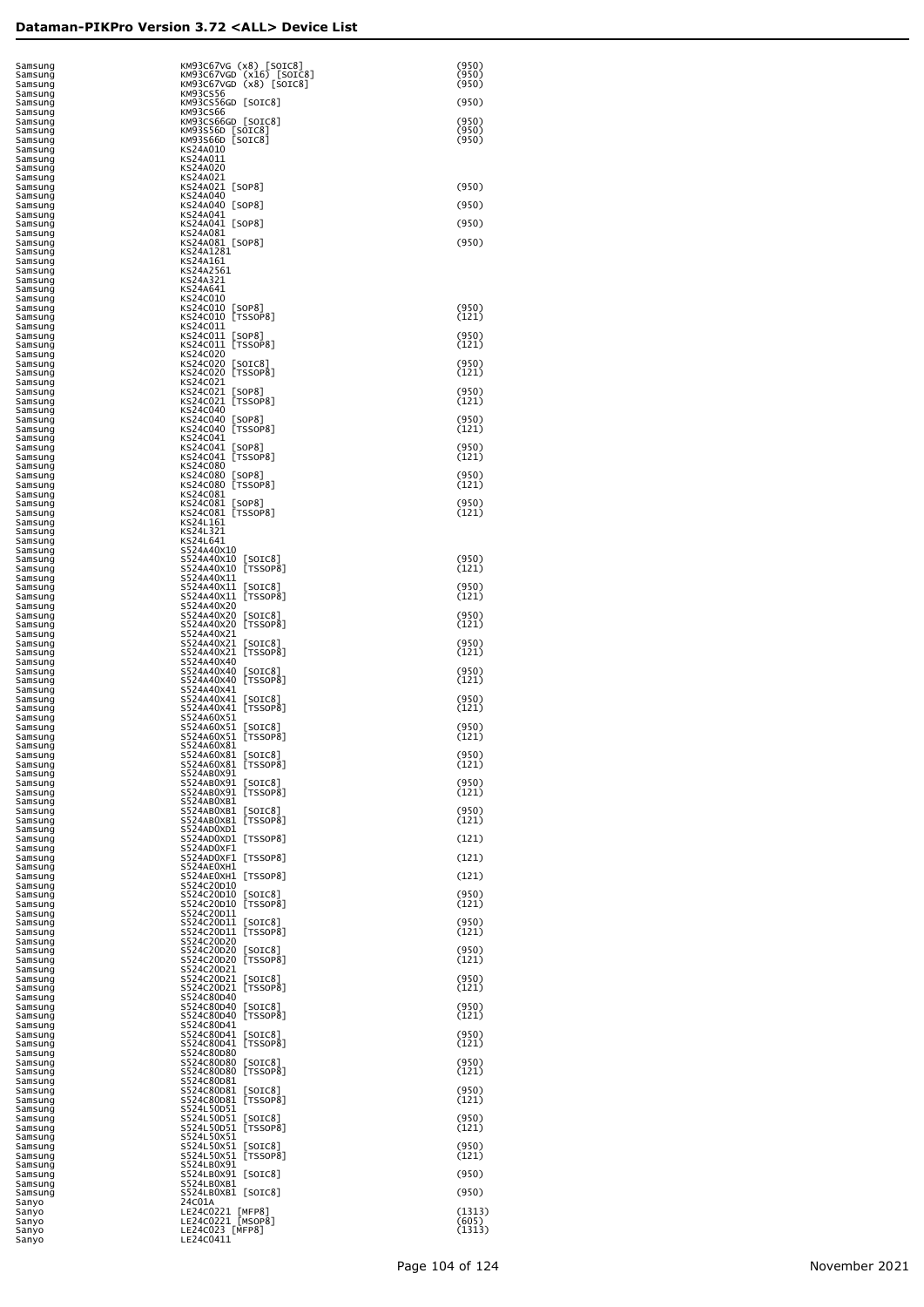| Samsung<br>Samsung            | KM93C67VG (x8) [SOIC8]<br>KM93C67VGD (x16) [SOIC8]                         | (950)<br>(950)  |
|-------------------------------|----------------------------------------------------------------------------|-----------------|
| Samsung<br>Samsung            | KM93C67VGD (x8) [SOIC8]<br>KM93CS56                                        | (950)           |
| Samsung<br>Samsung            | KM93CS56GD [SOIC8]<br>KM93CS66                                             | (950)           |
| Samsung<br>Samsung            | KM93CS66GD [SOIC8]<br>KM93S56D [SOIC8]                                     | (950)<br>(950)  |
| Samsung<br>Samsung            | KM93S66D [SOIC8]<br>KS24A010                                               | (950)           |
| Samsung<br>Samsung            | KS24A011<br>KS24A020                                                       |                 |
| Samsung<br>Samsung<br>Samsung | KS24A021<br>KS24A021 [SOP8]<br>KS24A040                                    | (950)           |
| Samsung<br>Samsung            | KS24A040 [SOP8]<br>KS24A041                                                | (950)           |
| Samsung<br>Samsung            | KS24A041 [SOP8]<br>KS24A081                                                | (950)           |
| Samsung<br>Samsung            | KS24A081 [SOP8]<br>KS24A1281                                               | (950)           |
| Samsung<br>Samsung            | KS24A161<br>KS24A2561                                                      |                 |
| Samsung<br>Samsung            | KS24A321<br>KS24A641                                                       |                 |
| Samsung<br>Samsung            | KS24C010<br>KS24C010<br>$\lfloor$ SOP8<br>[TSSOP8]<br>KS24C010             | (950)           |
| Samsung<br>Samsung<br>Samsung | KS24C011<br>KS24C011<br>$\lfloor$ SOP8                                     | (121)<br>(950)  |
| Samsung<br>Samsung            | [TSSOP8]<br>KS24C011<br>KS24C020                                           | (121)           |
| Samsung<br>Samsung            | KS24C020<br>[SOIC8]<br>KS24C020 [TSSOP8]                                   | (950)<br>(121)  |
| Samsung<br>Samsung            | KS24C021<br>KS24C021<br>$\lfloor$ SOP8                                     | (950)           |
| Samsung<br>Samsung            | KS24C021 [TSSOP8]<br>KS24C040<br>KS24C040<br>[SOP8]                        | (121)<br>(950)  |
| Samsung<br>Samsung<br>Samsung | KS24C040 [TSSOP8]<br>KS24C041                                              | (121)           |
| Samsung<br>Samsung            | KS24C041<br>$\lfloor$ SOP8<br>KS24C041 [TSSOP8]                            | (950)<br>(121)  |
| Samsung<br>Samsung            | KS24C080<br>KS24C080<br>[SOP8]                                             | (950)           |
| Samsung<br>Samsung            | KS24C080 [TSSOP8]<br>KS24C081                                              | (121)           |
| Samsung<br>Samsung            | KS24C081<br>$\lfloor$ SOP8<br>KS24C081 [TSSOP8]<br>KS24L161                | (950)<br>(121)  |
| Samsung<br>Samsung<br>Samsung | KS24L321<br>KS24L641                                                       |                 |
| Samsung<br>Samsung            | S524A40X10<br>S524A40X10<br>[SOIC8]                                        | (950)           |
| Samsung<br>Samsung            | [TSSOP8]<br>S524A40X10<br>S524A40X11                                       | (121)           |
| Samsung<br>Samsung            | S524A40X11<br>$\lfloor$ SOIC $8$ ]<br>[TSSOP8]<br>S524A40X11<br>S524A40X20 | (950)<br>(121)  |
| Samsung<br>Samsung<br>Samsung | S524A40X20<br>$\lfloor$ SOIC $8$ ]<br>[TSSOP8]<br>S524A40X20               | (950)<br>(121)  |
| Samsung<br>Samsung            | S524A40X21<br>S524A40X21<br>$\lfloor$ SOIC $8$                             | (950)           |
| Samsung<br>Samsung            | [TSSOP8]<br>S524A40X21<br>S524A40X40                                       | (121)           |
| Samsung<br>Samsung<br>Samsung | S524A40X40<br>$\lfloor$ SOIC $8$ ]<br>[TSSOP8]<br>S524A40X40<br>S524A40X41 | (950)<br>(121)  |
| Samsung<br>Samsung            | S524A40X41<br>[SOIC8]<br>[TSSOP8]<br>S524A40X41                            | (950)<br>(121)  |
| Samsung<br>Samsung            | S524A60X51<br>S524A60X51<br>$\lfloor$ SOIC $8$                             | (950)           |
| Samsung<br>Samsung            | [TSSOP8]<br>S524A60X51<br>S524A60X81                                       | (121)           |
| Samsung<br>Samsung            | S524A60X81<br>$\lfloor$ SOIC8]<br>[TSSOP8]<br>S524A60X81<br>S524AB0X91     | (950)<br>(121)  |
| Samsung<br>Samsung<br>Samsung | S524AB0X91 [SOIC8]<br>S524AB0X91 [TSSOP8]                                  | (950)<br>(121)  |
| Samsung<br>Samsung            | S524AB0XB1<br>S524AB0XB1 [SOIC8]                                           | (950)           |
| Samsung<br>Samsung            | S524AB0XB1 [TSSOP8]<br>S524AD0XD1                                          | (121)           |
| Samsung<br>Samsung            | S524AD0XD1 [TSSOP8]<br>S524AD0XF1                                          | (121)           |
| Samsung<br>Samsung<br>Samsung | S524AD0XF1 [TSSOP8]<br>S524AE0XH1<br>S524AE0XH1 [TSSOP8]                   | (121)<br>(121)  |
| Samsung<br>Samsung            | S524C20D10<br>S524C20D10<br>$\lfloor$ SOIC $8$ ]                           | (950)           |
| Samsung<br>Samsung            | [TSSOP8]<br>S524C20D10<br>S524C20D11                                       | (121)           |
| Samsung<br>Samsung            | S524C20D11<br>[SOIC8]<br>[TSSOP8]<br>S524C20D11                            | (950)<br>(121)  |
| Samsung<br>Samsung            | S524C20D20<br>S524C2OD2O [SOIC8]<br>S524C2OD2O [TSSOP8]                    | (950)<br>(121)  |
| Samsung<br>Samsung<br>Samsung | S524C20D21<br>S524C20D21<br>$\lfloor$ SOIC $8$ ]                           | (950)           |
| Samsung<br>Samsung            | S524C20D21 [TSSOP8]<br>S524C80D40                                          | (121)           |
| Samsung<br>Samsung            | S524C80D40 [SOIC8]<br>S524C80D40 [TSSOP8]                                  | (950)<br>(121)  |
| Samsung<br>Samsung            | S524C80D41<br>S524C80D41 [SOIC8]<br>S524C80D41 [TSSOP8]                    | (950)           |
| Samsung<br>Samsung<br>Samsung | S524C80D80                                                                 | (121)<br>(950)  |
| Samsung<br>Samsung            | S524C80D80 [SOIC8]<br>S524C80D80 [TSSOP8]<br>S524C80D81                    | (121)           |
| Samsung<br>Samsung            | S524C80D81<br>$\lfloor$ SOIC $8$ ]<br>S524C80D81 [TSSOP8]                  | (950)<br>(121)  |
| Samsung<br>Samsung            | S524L50D51<br>S524L50D51 [SOIC8]<br>S524L50D51 [TSSOP8]                    | (950)           |
| Samsung<br>Samsung<br>Samsung | S524L50X51<br>S524L50X51<br>$\lfloor$ SOIC $8$ ]                           | (121)<br>(950)  |
| Samsung<br>Samsung            | S524L50X51 [TSSOP8]<br>S524LB0X91                                          | (121)           |
| Samsung<br>Samsung            | S524LB0X91 [SOIC8]<br>S524LB0XB1                                           | (950)           |
| Samsung<br>Sanyo              | S524LB0XB1 [SOIC8]<br>24C01A                                               | (950)           |
| Sanyo<br>Sanyo                | LE24C0221 [MFP8]<br>LE24C0221 [MSOP8]                                      | (1313)<br>(605) |
| Sanyo<br>Sanyo                | LE24C023 [MFP8]<br>LE24C0411                                               | (1313)          |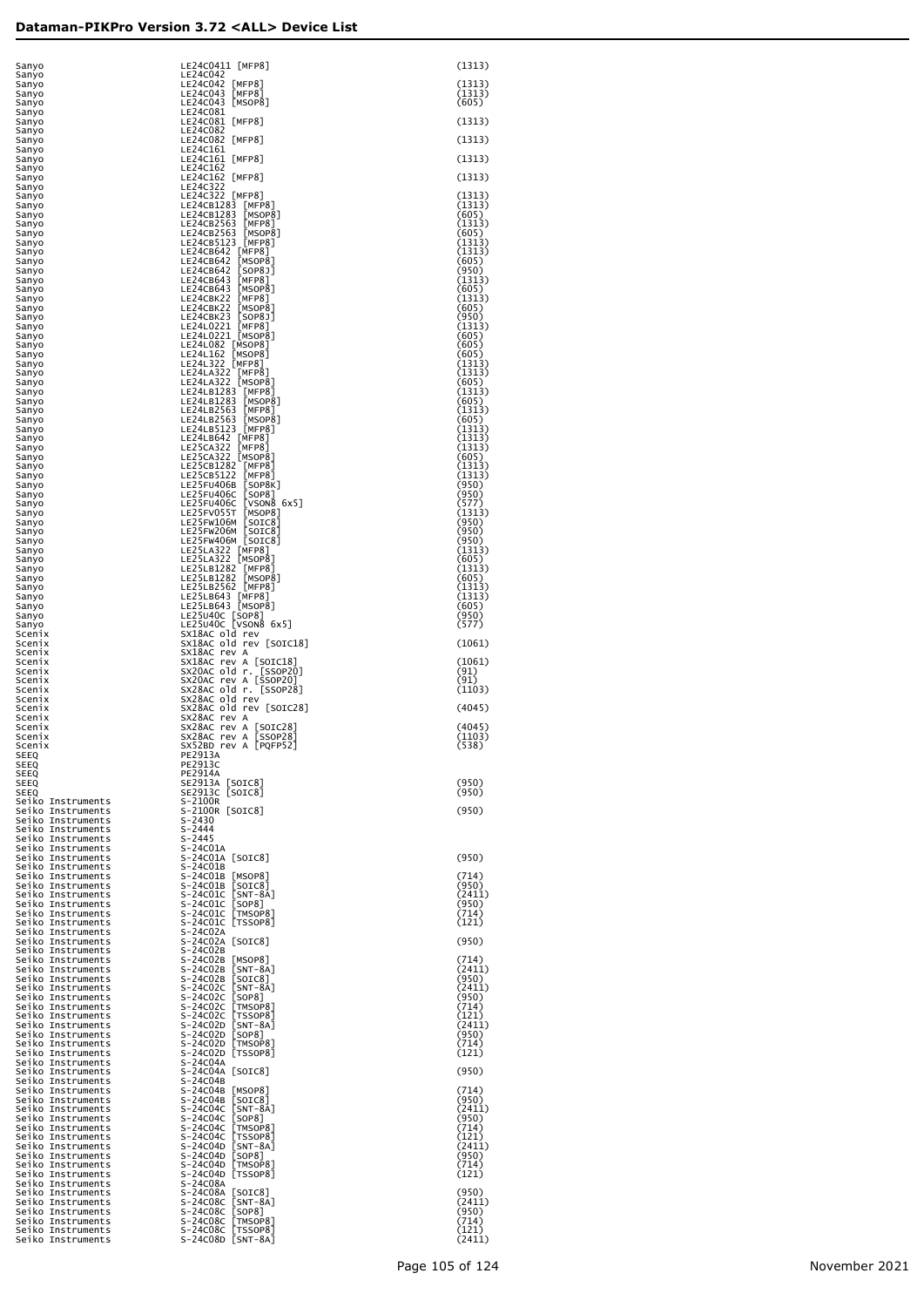| Sanyo                                  | LE24C0411 [MFP8]                                                                                                                                                                                                                                                   | (1313)           |
|----------------------------------------|--------------------------------------------------------------------------------------------------------------------------------------------------------------------------------------------------------------------------------------------------------------------|------------------|
| Sanyo<br>Sanyo                         | LE24C042<br>LE24C042 [MFP8]                                                                                                                                                                                                                                        | (1313)           |
| Sanyo                                  | LE24C043 [MFP8]                                                                                                                                                                                                                                                    | (1313)           |
| Sanyo<br>Sanyo                         | LE24C043 [MSOP8]<br>LE24C081                                                                                                                                                                                                                                       | (605)            |
| Sanyo                                  | LE24C081 [MFP8]                                                                                                                                                                                                                                                    | (1313)           |
| Sanyo<br>Sanyo                         | LE24C082<br>LE24C082 [MFP8]                                                                                                                                                                                                                                        | (1313)           |
| Sanyo                                  | LE24C161                                                                                                                                                                                                                                                           |                  |
| Sanyo                                  | LE24C161 [MFP8]<br>LE24C162                                                                                                                                                                                                                                        | (1313)           |
| Sanyo<br>Sanyo                         | LE24C162 [MFP8]                                                                                                                                                                                                                                                    | (1313)           |
| Sanyo                                  | LE24C322                                                                                                                                                                                                                                                           |                  |
| Sanyo<br>Sanyo                         | LE24C322 [MFP8]<br>LE24CB1283 [MFP8]                                                                                                                                                                                                                               | (1313)<br>(1313) |
| Sanyo                                  | LE24CB1283 [MSOP8]                                                                                                                                                                                                                                                 | (605)            |
| Sanyo<br>Sanyo                         | LE24CB2563 [MFP8]<br>LE24CB2563 [MSOP8]                                                                                                                                                                                                                            | (1313)<br>(605)  |
| Sanyo                                  | LE24CB5123 [MFP8]                                                                                                                                                                                                                                                  | (1313)           |
| Sanyo                                  | LE24CB642 [MFP8]                                                                                                                                                                                                                                                   | (1313)           |
| Sanyo<br>Sanyo                         | LE24CB642 [MSOP8]<br>LE24CB642 [SOP8J]                                                                                                                                                                                                                             | (605)<br>(950)   |
| Sanyo                                  | LE24CB643 [MFP8]                                                                                                                                                                                                                                                   | (1313)           |
| Sanyo<br>Sanyo                         | LE24CB643 [MSOP8]<br>LE24CBK22 [MFP8]                                                                                                                                                                                                                              | (605)<br>(1313)  |
| Sanyo                                  | LE24CBK22 [MSOP8]                                                                                                                                                                                                                                                  | (605)            |
| Sanyo                                  | LE24CBK23 [SOP8J]<br>LE24L0221 [MFP8]                                                                                                                                                                                                                              | (950)            |
| Sanyo<br>Sanyo                         | LE24L0221 [MSOP8]                                                                                                                                                                                                                                                  | (1313)<br>(605)  |
| Sanyo                                  | LE24L082 [MSOP8]                                                                                                                                                                                                                                                   | (605)            |
| Sanyo<br>Sanyo                         | LE24L162 [MSOP8]<br>LE24L322 [MFP8]                                                                                                                                                                                                                                | (605)<br>(1313)  |
| Sanyo                                  | LE24LA322 [MFP8]<br>LE24LA322 [MSOP8]                                                                                                                                                                                                                              | (1313)           |
| Sanyo                                  | LE24LB1283 [MFP8]                                                                                                                                                                                                                                                  | (605)<br>(1313)  |
| Sanyo<br>Sanyo                         | LE24LB1283 [MSOP8]                                                                                                                                                                                                                                                 | (605)            |
| Sanyo                                  | LE24LB2563 [MFP8]                                                                                                                                                                                                                                                  | (1313)           |
| Sanyo<br>Sanyo                         | LE24LB2563 [MSOP8]<br>LE24LB5123 [MFP8]                                                                                                                                                                                                                            | (605)<br>(1313)  |
| Sanyo                                  | LE24LB642 [MFP8]                                                                                                                                                                                                                                                   | (1313)           |
| Sanyo<br>Sanyo                         | LE25CA322 [MFP8]                                                                                                                                                                                                                                                   | (1313)<br>(605)  |
| Sanyo                                  | LE25CA322 [MSOP8]<br>LE25CB1282 [MFP8]                                                                                                                                                                                                                             | (1313)           |
| Sanyo                                  | LE25CB5122 [MFP8]<br>LE25FU406B [SOP8K]                                                                                                                                                                                                                            | (1313)<br>(950)  |
| Sanyo<br>Sanyo                         | LE25FU406C [SOP8]                                                                                                                                                                                                                                                  | (950)            |
| Sanyo                                  | LE25FU406C [VSON8 6x5]                                                                                                                                                                                                                                             | (577)            |
| Sanyo<br>Sanyo                         | LE25FV055T [MSOP8]<br>LE25FW106M [SOIC8]                                                                                                                                                                                                                           | (1313)<br>(950)  |
| Sanyo                                  | LE25FW206M [SOIC8]                                                                                                                                                                                                                                                 | (950)            |
| Sanyo<br>Sanyo                         | LE25FW406M [SOIC8]                                                                                                                                                                                                                                                 | (950)<br>(1313)  |
| Sanyo                                  | LE25LA322 [MFP8]<br>LE25LA322 [MSOP8]<br>LE25LB1282 [MFP8]                                                                                                                                                                                                         | (605)            |
| Sanyo<br>Sanyo                         | LE25LB1282 [MSOP8]                                                                                                                                                                                                                                                 | (1313)<br>(605)  |
| Sanyo                                  | LE25LB2562 [MFP8]<br>LE25LB643 [MFP8]                                                                                                                                                                                                                              | (1313)           |
| Sanyo                                  |                                                                                                                                                                                                                                                                    | (1313)           |
| Sanyo<br>Sanyo                         | LE25LB643 [MSOP8]                                                                                                                                                                                                                                                  | (605)<br>(950)   |
| Sanyọ                                  | LE25U40C [SOP8]<br>LE25U40C [VSON8 6x5]                                                                                                                                                                                                                            | (577)            |
| Scenix<br>Scenix                       | SX18AC old rev<br>SX18AC old rev [SOIC18]                                                                                                                                                                                                                          | (1061)           |
| Scenix                                 | SX18AC rev A                                                                                                                                                                                                                                                       |                  |
| Scenix<br>Scenix                       | SX18AC rev A [SOIC18]                                                                                                                                                                                                                                              | (1061)<br>(91)   |
| Scenix                                 | SX20AC old r. [SSOP20]<br>SX20AC rev A [SSOP20]                                                                                                                                                                                                                    | (91)             |
| Scenix<br>Scenix                       | SX28AC old r. [SSOP28]<br>SX28AC old rev                                                                                                                                                                                                                           | (1103)           |
| Scenix                                 | SX28AC old rev [SOIC28]                                                                                                                                                                                                                                            | (4045)           |
| Scenix                                 | SX28AC rev A                                                                                                                                                                                                                                                       |                  |
| Scenix<br>Scenix                       | SX28AC rev A [SOIC28]<br>SX28AC rev A [SSOP28]                                                                                                                                                                                                                     | (4045)<br>(1103) |
| Scenix                                 | SX52BD rev A [PQFP52]                                                                                                                                                                                                                                              | (538)            |
| SEEQ<br>SEEQ                           | PE2913A<br><b>PE2913C</b>                                                                                                                                                                                                                                          |                  |
| SEEQ                                   | PE2914A                                                                                                                                                                                                                                                            |                  |
| SEEQ                                   | SE2913A [SOIC8]<br>SE2913C [SOIC8]                                                                                                                                                                                                                                 | (950)            |
| SEEQ<br>Seiko Instruments              | S-2100R                                                                                                                                                                                                                                                            | (950)            |
| Seiko Instruments                      | S-2100R [SOIC8]                                                                                                                                                                                                                                                    | (950)            |
| Seiko Instruments<br>Seiko Instruments | $5 - 2430$<br>S-2444                                                                                                                                                                                                                                               |                  |
| Seiko Instruments                      |                                                                                                                                                                                                                                                                    |                  |
| Seiko Instruments<br>Seiko Instruments |                                                                                                                                                                                                                                                                    | (950)            |
| Seiko Instruments                      |                                                                                                                                                                                                                                                                    |                  |
| Seiko Instruments                      |                                                                                                                                                                                                                                                                    | (714)            |
| Seiko Instruments<br>Seiko Instruments |                                                                                                                                                                                                                                                                    | (950)<br>(2411)  |
| Seiko Instruments                      |                                                                                                                                                                                                                                                                    | (950)            |
| Seiko Instruments<br>Seiko Instruments |                                                                                                                                                                                                                                                                    | (714)<br>(121)   |
| Seiko Instruments                      |                                                                                                                                                                                                                                                                    |                  |
| Seiko Instruments<br>Seiko Instruments |                                                                                                                                                                                                                                                                    | (950)            |
| Seiko Instruments                      |                                                                                                                                                                                                                                                                    | (714)            |
| Seiko Instruments<br>Seiko Instruments |                                                                                                                                                                                                                                                                    | (2411)<br>(950)  |
| Seiko Instruments                      |                                                                                                                                                                                                                                                                    | (2411)           |
| Seiko Instruments                      |                                                                                                                                                                                                                                                                    | (950)<br>(714)   |
| Seiko Instruments<br>Seiko Instruments |                                                                                                                                                                                                                                                                    | (121)            |
| Seiko Instruments                      |                                                                                                                                                                                                                                                                    | (2411)           |
| Seiko Instruments<br>Seiko Instruments |                                                                                                                                                                                                                                                                    | (950)<br>(714)   |
| Seiko Instruments                      |                                                                                                                                                                                                                                                                    | (121)            |
| Seiko Instruments<br>Seiko Instruments |                                                                                                                                                                                                                                                                    | (950)            |
| Seiko Instruments                      |                                                                                                                                                                                                                                                                    |                  |
| Seiko Instruments<br>Seiko Instruments |                                                                                                                                                                                                                                                                    | (714)<br>(950)   |
| Seiko Instruments                      |                                                                                                                                                                                                                                                                    | (2411)           |
| Seiko Instruments                      |                                                                                                                                                                                                                                                                    | (950)            |
| Seiko Instruments<br>Seiko Instruments |                                                                                                                                                                                                                                                                    | (714)<br>(121)   |
| Seiko Instruments                      |                                                                                                                                                                                                                                                                    | (2411)           |
| Seiko Instruments<br>Seiko Instruments |                                                                                                                                                                                                                                                                    | (950)<br>(714)   |
| Seiko Instruments                      |                                                                                                                                                                                                                                                                    | (121)            |
| Seiko Instruments<br>Seiko Instruments |                                                                                                                                                                                                                                                                    | (950)            |
| Seiko Instruments                      | 5-2440<br>S-24445<br>S-24445<br>S-24401A<br>S-24401A<br>S-24401B<br>S-24401B<br>S-24401B<br>S-244010 [SOTC8]<br>S-244010 [SOTC8]<br>S-244010 [SOTC8]<br>S-244010 [TMSOP8]<br>S-244010 [TMSOP8]<br>S-24402A<br>S-24402A<br>S-24402A<br>S-24402A<br>S-24402D<br>S-24 | (2411)           |
| Seiko Instruments                      |                                                                                                                                                                                                                                                                    | (950)            |
| Seiko Instruments<br>Seiko Instruments |                                                                                                                                                                                                                                                                    | (714)<br>(121)   |
| Seiko Instruments                      |                                                                                                                                                                                                                                                                    | (2411)           |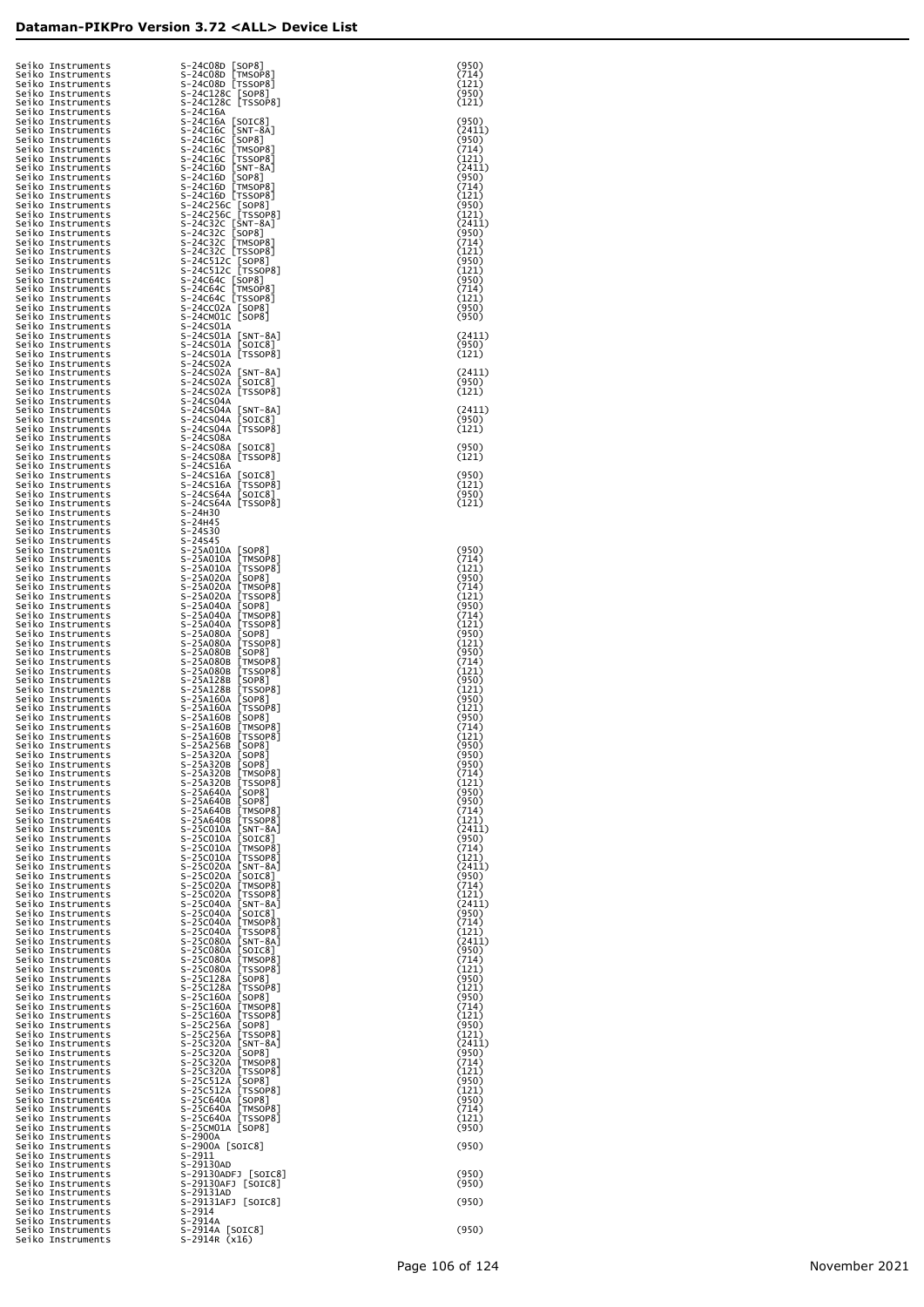| Seiko Instruments<br>Seiko Instruments<br>Seiko Instruments<br>Seiko Instruments | S-24C08D [SOP8]<br>S-24C08D [TMSOP8]<br>S-24C08D [TSSOP8]<br>S-24C128C [SOP8]<br>S-24C128C [TSSOP8]                                                                                                                                                             | (950)<br>(714)<br>(121)<br>(950) |
|----------------------------------------------------------------------------------|-----------------------------------------------------------------------------------------------------------------------------------------------------------------------------------------------------------------------------------------------------------------|----------------------------------|
| Seiko Instruments<br>Seiko Instruments                                           | S-24C16A                                                                                                                                                                                                                                                        | (121)                            |
| Seiko Instruments<br>Seiko Instruments                                           | S-24C16A<br>262C16A<br>S-24C16C [SNT-8A]<br>S-24C16C [SNT-8A]<br>S-24C16C [TMSOP8]<br>S-24C16C [TMSOP8]<br>S-24C16C [TSSOP8]<br>S-24C16D [NT-8A]<br>S-24C16D [MSOP8]<br>S-24C256C [SOP8]<br>S-24C256C [SOP8]<br>S-24C256C [STSOP8]<br>S-24C256C [TSSOP          | (950)<br>(2411)                  |
| Seiko Instruments<br>Seiko Instruments                                           |                                                                                                                                                                                                                                                                 | (950)<br>(714)                   |
| Seiko Instruments<br>Seiko Instruments                                           |                                                                                                                                                                                                                                                                 | (121)<br>(2411)                  |
| Seiko Instruments<br>Seiko Instruments                                           |                                                                                                                                                                                                                                                                 | (950)<br>(714)                   |
| Seiko Instruments<br>Seiko Instruments                                           |                                                                                                                                                                                                                                                                 | (121)<br>(950)                   |
| Seiko Instruments<br>Seiko Instruments                                           |                                                                                                                                                                                                                                                                 | (121)<br>(2411)                  |
| Seiko Instruments<br>Seiko Instruments                                           |                                                                                                                                                                                                                                                                 | (950)<br>(714)                   |
| Seiko Instruments<br>Seiko Instruments                                           | 5240320 [1550P8]<br>5240320 [1550P8]<br>52405120 [1550P8]<br>5240640 [1550P8]<br>5240640 [1550P8]<br>5240640 [1550P8]<br>5240640 [1550P8]                                                                                                                       | (121)<br>(950)                   |
| Seiko Instruments<br>Seiko Instruments                                           |                                                                                                                                                                                                                                                                 | (121)<br>(950)                   |
| Seiko Instruments<br>Seiko Instruments                                           |                                                                                                                                                                                                                                                                 | (714)<br>(121)                   |
| Seiko Instruments<br>Seiko Instruments                                           | S-24CCO2A [SOP8]<br>S-24CMO1C [SOP8]                                                                                                                                                                                                                            | (950)<br>(950)                   |
| Seiko Instruments<br>Seiko Instruments                                           | S-24CS01A                                                                                                                                                                                                                                                       | (2411)                           |
| Seiko Instruments<br>Seiko Instruments                                           | S-24CSO1A [SNT-8A]<br>S-24CSO1A [SOIC8]<br>S-24CSO1A [TSSOP8]                                                                                                                                                                                                   | (950)<br>(121)                   |
| Seiko Instruments<br>Seiko Instruments                                           | S-24CS02A                                                                                                                                                                                                                                                       | (2411)                           |
| Seiko Instruments<br>Seiko Instruments                                           | S-24CSO2A [SNT-8A]<br>S-24CSO2A [SOIC8]<br>S-24CSO2A [TSSOP8]                                                                                                                                                                                                   | (950)<br>(121)                   |
| Seiko Instruments<br>Seiko Instruments                                           | S-24CS04A                                                                                                                                                                                                                                                       | (2411)                           |
| Seiko Instruments<br>Seiko Instruments                                           | S-24CS04A [SNT-8A]<br>S-24CS04A [SOIC8]<br>S-24CS04A [TSSOP8]                                                                                                                                                                                                   | (950)<br>(121)                   |
| Seiko Instruments                                                                | S-24CS08A                                                                                                                                                                                                                                                       | (950)                            |
| Seiko Instruments<br>Seiko Instruments                                           | S-24CS08A [SOIC8]<br>S-24CS08A [TSSOP8]                                                                                                                                                                                                                         | (121)                            |
| Seiko Instruments<br>Seiko Instruments                                           | S-24CS16A                                                                                                                                                                                                                                                       | (950)                            |
| Seiko Instruments<br>Seiko Instruments                                           | 5-24CS16A [SOIC8]<br>S-24CS16A [TSSOP8]<br>S-24CS64A [SOIC8]<br>S-24CS64A [TSSOP8]                                                                                                                                                                              | (121)<br>(950)                   |
| Seiko Instruments<br>Seiko Instruments                                           | S-24H30                                                                                                                                                                                                                                                         | (121)                            |
| Seiko Instruments<br>Seiko Instruments                                           | S-24H45<br>s-24s30                                                                                                                                                                                                                                              |                                  |
| Seiko Instruments<br>Seiko Instruments                                           | s-24s45<br>S-25A010A [SOP8]                                                                                                                                                                                                                                     | (950)                            |
| Seiko Instruments<br>Seiko Instruments                                           | 5-238000<br>5-258010A [TMSOP8]<br>5-258010A [TSOP8]<br>5-258020A [TSOP8]<br>5-258020A [TMSOP8]<br>5-258020A [TMSOP8]<br>5-258020A [TMSOP8]<br>5-258040A [TMSOP8]<br>5-258040A [TMSOP8]<br>5-258040A [TMSOP8]                                                    | (714)<br>(121)                   |
| Seiko Instruments<br>Seiko Instruments                                           |                                                                                                                                                                                                                                                                 | (950)<br>(714)                   |
| Seiko Instruments<br>Seiko Instruments                                           |                                                                                                                                                                                                                                                                 | (121)<br>(950)                   |
| Seiko Instruments<br>Seiko Instruments                                           |                                                                                                                                                                                                                                                                 | (714)<br>(121)                   |
| Seiko Instruments<br>Seiko Instruments                                           | 5-25A040A [TSSOP8]<br>S-25A040A [TSSOP8]<br>S-25A080A [TSSOP8]<br>S-25A080B [SOP8]<br>S-25A080B [TMSOP8]<br>S-25A080B [TMSOP8]<br>S-25A080B [TSSOP8]<br>S-25A160A [TSSOP8]<br>S-25A160A [TSSOP8]<br>S-25A160B [TMSOP8]<br>S-25A160B [TSSOP8]<br>S-25A160B [TSSO | (950)<br>(121)                   |
| Seiko Instruments<br>Seiko Instruments                                           |                                                                                                                                                                                                                                                                 | (950)<br>(714)                   |
| Seiko Instruments<br>Seiko Instruments                                           |                                                                                                                                                                                                                                                                 | (121)<br>(950)                   |
| Seiko Instruments<br>Seiko Instruments                                           |                                                                                                                                                                                                                                                                 | (121)<br>(950)                   |
| Seiko Instruments<br>Seiko Instruments                                           |                                                                                                                                                                                                                                                                 | (121)<br>(950)                   |
| Seiko Instruments<br>Seiko Instruments                                           |                                                                                                                                                                                                                                                                 | (714)<br>(121)                   |
| Seiko Instruments<br>Seiko Instruments                                           | S-25A320A [SOP8]                                                                                                                                                                                                                                                | (950)<br>(950)                   |
| Seiko Instruments<br>Seiko Instruments                                           | S-25A320B<br>[SOP8]<br>S-25A320B<br>[TMSOP8]                                                                                                                                                                                                                    | (950)<br>(714)                   |
| Seiko Instruments<br>Seiko Instruments                                           | S-25A320B<br>[TSSOP8]<br>S-25A640A                                                                                                                                                                                                                              | (121)<br>(950)                   |
| Seiko Instruments<br>Seiko Instruments                                           | [SOP8]<br>[SOP8]<br>[TMSOP8]<br>S-25A640B<br>S-25A640B                                                                                                                                                                                                          | (950)<br>(714)                   |
| Seiko Instruments<br>Seiko Instruments                                           | S-25A640B<br>[TSSOP8]<br>[SNT-8A]<br>S-25C010A                                                                                                                                                                                                                  | (121)<br>(2411)                  |
| Seiko Instruments<br>Seiko Instruments                                           | S-25C010A<br>[SOIC8]<br>S-25C010A<br>[TMSOP8]                                                                                                                                                                                                                   | (950)<br>(714)                   |
| Seiko Instruments<br>Seiko Instruments                                           | S-25C010A<br>$[SSOP8]ESCT-8A]$<br>S-25C020A                                                                                                                                                                                                                     | (121)<br>(2411)                  |
| Seiko Instruments<br>Seiko Instruments                                           | S-25C020A<br>[SOIC8]<br>S-25C020A<br>$[$ TMSOP $8]$                                                                                                                                                                                                             | (950)<br>(714)                   |
| Seiko Instruments                                                                | S-25C020A<br>S-25C040A                                                                                                                                                                                                                                          | (121)                            |
| Seiko Instruments<br>Seiko Instruments                                           | [TSSOP8]<br>[SNT-8A]<br>[SOIC8]<br>[THOOD8]<br>S-25C040A                                                                                                                                                                                                        | (2411)<br>(950)                  |
| Seiko Instruments<br>Seiko Instruments                                           | S-25C040A<br>[TMSOP8]<br>S-25C040A<br>[TSSOP8]<br>[SNT-8A]<br>[SOIC8]                                                                                                                                                                                           | (714)<br>(121)                   |
| Seiko Instruments<br>Seiko Instruments                                           | S-25C080A<br>S-25C080A                                                                                                                                                                                                                                          | (2411)<br>(950)                  |
| Seiko Instruments<br>Seiko Instruments                                           | S-25C080A<br>[TMSOP8]<br>S-25C080A<br>$[\mathsf{TSSOP8}]$                                                                                                                                                                                                       | (714)<br>(121)                   |
| Seiko Instruments<br>Seiko Instruments                                           | S-25C128A<br>$[$ SOP8]<br>S-25C128A<br>[TSSOP8]                                                                                                                                                                                                                 | (950)<br>(121)                   |
| Seiko Instruments<br>Seiko Instruments                                           | S-25C160A<br>$[$ SOP8]<br>S-25C160A<br>$[$ TMSOP $8]$                                                                                                                                                                                                           | (950)<br>(714)                   |
| Seiko Instruments<br>Seiko Instruments                                           | S-25C160A<br>[TSSQP8]<br>S-25C256A<br>[SOP8]                                                                                                                                                                                                                    | (121)<br>(950)                   |
| Seiko Instruments<br>Seiko Instruments                                           | S-25C256A<br>[TSSOP8]<br>[SNT-8A]<br>[SOP8]<br>S-25C320A                                                                                                                                                                                                        | (121)<br>(2411)                  |
| Seiko Instruments<br>Seiko Instruments                                           | S-25C320A<br>S-25C320A<br>[TMSOP8]                                                                                                                                                                                                                              | (950)<br>(714)                   |
| Seiko Instruments<br>Seiko Instruments                                           | S-25C320A<br>[TSSOP8]<br>S-25C512A<br>[SOP8]                                                                                                                                                                                                                    | (121)<br>(950)                   |
| Seiko Instruments<br>Seiko Instruments                                           | S-25C512A<br>$[$ TSSOP $8$ ]                                                                                                                                                                                                                                    | (121)<br>(950)                   |
| Seiko Instruments<br>Seiko Instruments                                           | S-25C640A [SOP8]<br>S-25C640A [TMSOP8]<br>S-25C640A [TSSOP8]<br>S-25CM01A [SOP8]                                                                                                                                                                                | (714)<br>(121)                   |
| Seiko Instruments<br>Seiko Instruments                                           | S-2900A                                                                                                                                                                                                                                                         | (950)                            |
| Seiko Instruments<br>Seiko Instruments                                           | S-2900A [SOIC8]<br>s-2911                                                                                                                                                                                                                                       | (950)                            |
| Seiko Instruments<br>Seiko Instruments                                           | S-29130AD<br>S-29130ADFJ [SOIC8]                                                                                                                                                                                                                                | (950)                            |
| Seiko Instruments<br>Seiko Instruments                                           | S-29130AFJ [SOIC8]<br>S-29131AD                                                                                                                                                                                                                                 | (950)                            |
| Seiko Instruments<br>Seiko Instruments                                           | S-29131AFJ [SOIC8]<br>s-2914                                                                                                                                                                                                                                    | (950)                            |
| Seiko Instruments<br>Seiko Instruments                                           | S-2914A<br>S-2914A [SOIC8]                                                                                                                                                                                                                                      | (950)                            |
| Seiko Instruments                                                                | $S-2914R (x16)$                                                                                                                                                                                                                                                 |                                  |

| (121) (950) (2411) (1211) (1211) (1211) (1211) (1212) (1212) (1212) (1212) (1212) (1212) (1212) (1212) (1212) (1212) (1212) (1212) (1212) (1212) (1212) (1212) (1212) (1212) (1212) (1212) (1212) (1212) (1212) (1212) (1212) |                                             |                                                   |                                  |  |
|-------------------------------------------------------------------------------------------------------------------------------------------------------------------------------------------------------------------------------|---------------------------------------------|---------------------------------------------------|----------------------------------|--|
|                                                                                                                                                                                                                               |                                             |                                                   |                                  |  |
|                                                                                                                                                                                                                               |                                             |                                                   |                                  |  |
|                                                                                                                                                                                                                               |                                             |                                                   |                                  |  |
|                                                                                                                                                                                                                               |                                             |                                                   |                                  |  |
| $\begin{array}{c} \zeta \\ \zeta \end{array}$                                                                                                                                                                                 |                                             | )<br>950)<br>121)<br>950)<br>121)                 |                                  |  |
| )) うりつり うりつり うりつり うりりつり<br>9719719719197191919719997                                                                                                                                                                          | 5125125125251252525125551                   | 0410410410101010410004                            | )))))))))))))))))))))))))))))))) |  |
| らりりりりりりりりりりりりりりりりりりりりりりりりりりりりりりり<br>19971297129712971297191971912971919719<br>Ó<br>9                                                                                                                                          | 25512451245124512451252512524512525125<br>5 | 1004110411041110411010410110410<br>$\overline{0}$ |                                  |  |
| 9<br>9<br>(<br>9                                                                                                                                                                                                              |                                             | 0                                                 |                                  |  |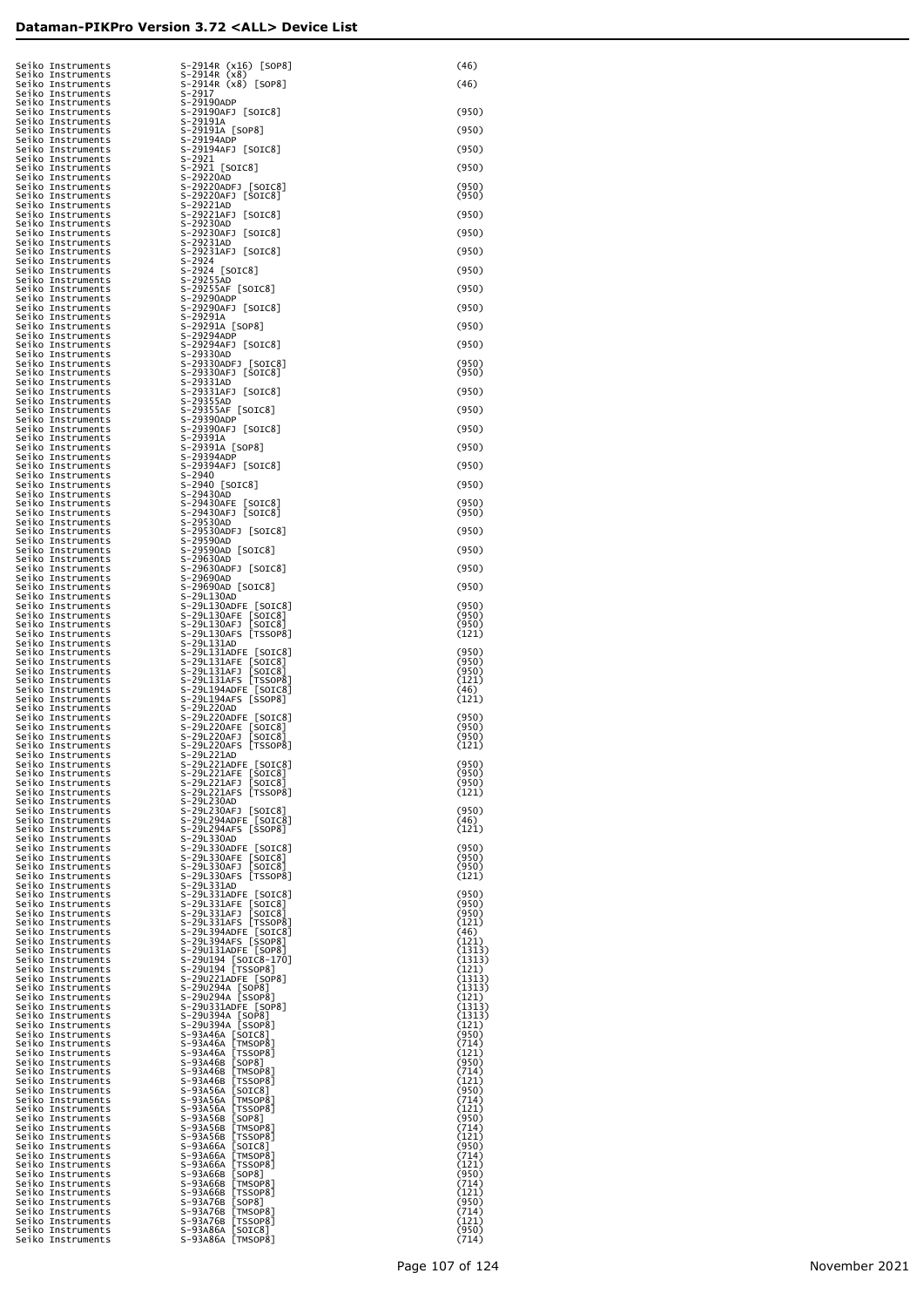| Seiko Instruments                                                                                                                                                                                                                                               | S-2914R (x16) [SOP8]                                                                                                                                                                                                                                 | (46)             |
|-----------------------------------------------------------------------------------------------------------------------------------------------------------------------------------------------------------------------------------------------------------------|------------------------------------------------------------------------------------------------------------------------------------------------------------------------------------------------------------------------------------------------------|------------------|
| seiko Instruments<br>Seiko Instruments                                                                                                                                                                                                                          | S-2914R (x8)                                                                                                                                                                                                                                         | (46)             |
| Seiko Instruments<br>Seiko Instruments                                                                                                                                                                                                                          | S-2914R (x8) [SOP8]<br>$S-2917$                                                                                                                                                                                                                      |                  |
| Seiko Instruments                                                                                                                                                                                                                                               | S-29190ADP                                                                                                                                                                                                                                           |                  |
| Seiko Instruments                                                                                                                                                                                                                                               | S-29190AFJ [SOIC8]                                                                                                                                                                                                                                   | (950)            |
| Seiko Instruments                                                                                                                                                                                                                                               | S-29191A                                                                                                                                                                                                                                             |                  |
| Seiko Instruments<br>Seiko Instruments                                                                                                                                                                                                                          | S-29191A [SOP8]<br>S-29194ADP                                                                                                                                                                                                                        | (950)            |
| Seiko Instruments                                                                                                                                                                                                                                               | S-29194AFJ [SOIC8]                                                                                                                                                                                                                                   | (950)            |
| Seiko Instruments                                                                                                                                                                                                                                               | S-2921                                                                                                                                                                                                                                               |                  |
| Seiko Instruments                                                                                                                                                                                                                                               | S-2921 [SOIC8]                                                                                                                                                                                                                                       | (950)            |
| Seiko Instruments<br>Seiko Instruments                                                                                                                                                                                                                          | S-29220AD                                                                                                                                                                                                                                            | (950)            |
| Seiko Instruments                                                                                                                                                                                                                                               | S-29220ADFJ [SOIC8]<br>S-29220AFJ [SOIC8]                                                                                                                                                                                                            | (950)            |
| Seiko Instruments                                                                                                                                                                                                                                               | S-29221AD                                                                                                                                                                                                                                            |                  |
| Seiko Instruments                                                                                                                                                                                                                                               | S-29221AFJ [SOIC8]                                                                                                                                                                                                                                   | (950)            |
| Seiko Instruments                                                                                                                                                                                                                                               | S-29230AD                                                                                                                                                                                                                                            |                  |
| Seiko Instruments<br>Seiko Instruments                                                                                                                                                                                                                          | S-29230AFJ [SOIC8]<br>S-29231AD                                                                                                                                                                                                                      | (950)            |
| Seiko Instruments                                                                                                                                                                                                                                               | S-29231AFJ [SOIC8]                                                                                                                                                                                                                                   | (950)            |
| Seiko Instruments                                                                                                                                                                                                                                               | $S - 2924$                                                                                                                                                                                                                                           |                  |
| Seiko Instruments                                                                                                                                                                                                                                               | S-2924 [SOIC8]<br>S-29255AD                                                                                                                                                                                                                          | (950)            |
| Seiko Instruments<br>Seiko Instruments                                                                                                                                                                                                                          |                                                                                                                                                                                                                                                      |                  |
| Seiko Instruments                                                                                                                                                                                                                                               | S-29255AF [SOIC8]<br>S-29290ADP                                                                                                                                                                                                                      | (950)            |
| Seiko Instruments                                                                                                                                                                                                                                               | S-29290AFJ [SOIC8]                                                                                                                                                                                                                                   | (950)            |
| Seiko Instruments                                                                                                                                                                                                                                               | S-29291A                                                                                                                                                                                                                                             |                  |
| Seiko Instruments                                                                                                                                                                                                                                               | S-29291A [SOP8]                                                                                                                                                                                                                                      | (950)            |
| Seiko Instruments<br>Seiko Instruments                                                                                                                                                                                                                          | S-29294ADP<br>S-29294AFJ [SOIC8]                                                                                                                                                                                                                     | (950)            |
| Seiko Instruments                                                                                                                                                                                                                                               | S-29330AD                                                                                                                                                                                                                                            |                  |
| Seiko Instruments                                                                                                                                                                                                                                               | S-29330ADFJ [SOIC8]<br>S-29330AFJ [SOIC8]                                                                                                                                                                                                            | (950)            |
| Seiko Instruments                                                                                                                                                                                                                                               |                                                                                                                                                                                                                                                      | (950)            |
| Seiko Instruments<br>Seiko Instruments                                                                                                                                                                                                                          | S-29331AD<br>S-29331AFJ [SOIC8]                                                                                                                                                                                                                      | (950)            |
| Seiko Instruments                                                                                                                                                                                                                                               | S-29355AD                                                                                                                                                                                                                                            |                  |
| Seiko Instruments                                                                                                                                                                                                                                               | S-29355AF [SOIC8]                                                                                                                                                                                                                                    | (950)            |
| Seiko Instruments                                                                                                                                                                                                                                               | S-29390ADP                                                                                                                                                                                                                                           |                  |
| Seiko Instruments<br>Seiko Instruments                                                                                                                                                                                                                          | S-29390AFJ [SOIC8]<br>S-29391A                                                                                                                                                                                                                       | (950)            |
| Seiko Instruments                                                                                                                                                                                                                                               | S-29391A [SOP8]                                                                                                                                                                                                                                      | (950)            |
| Seiko Instruments                                                                                                                                                                                                                                               | S-29394ADP                                                                                                                                                                                                                                           |                  |
| Seiko Instruments                                                                                                                                                                                                                                               | S-29394AFJ [SOIC8]                                                                                                                                                                                                                                   | (950)            |
| Seiko Instruments                                                                                                                                                                                                                                               | $S - 2940$                                                                                                                                                                                                                                           |                  |
| Seiko Instruments<br>Seiko Instruments                                                                                                                                                                                                                          | S-2940 [SOIC8]<br>S-29430AD                                                                                                                                                                                                                          | (950)            |
| Seiko Instruments                                                                                                                                                                                                                                               |                                                                                                                                                                                                                                                      | (950)            |
| Seiko Instruments                                                                                                                                                                                                                                               | S-29430AFE [SOIC8]<br>S-29430AFJ [SOIC8]                                                                                                                                                                                                             | (950)            |
| Seiko Instruments                                                                                                                                                                                                                                               | S-29530AD                                                                                                                                                                                                                                            |                  |
| Seiko Instruments<br>Seiko Instruments                                                                                                                                                                                                                          | S-29530ADFJ [SOIC8]<br>S-29590AD                                                                                                                                                                                                                     | (950)            |
| Seiko Instruments                                                                                                                                                                                                                                               | S-29590AD [SOIC8]                                                                                                                                                                                                                                    | (950)            |
| Seiko Instruments                                                                                                                                                                                                                                               | S-29630AD                                                                                                                                                                                                                                            |                  |
| Seiko Instruments                                                                                                                                                                                                                                               | S-29630ADFJ [SOIC8]                                                                                                                                                                                                                                  | (950)            |
| Seiko Instruments<br>Seiko Instruments                                                                                                                                                                                                                          | S-29690AD<br>S-29690AD [SOIC8]                                                                                                                                                                                                                       | (950)            |
| Seiko Instruments                                                                                                                                                                                                                                               | S-29L130AD                                                                                                                                                                                                                                           |                  |
| Seiko Instruments                                                                                                                                                                                                                                               | S-29L130ADFE [SOIC8]<br>S-29L130AFE [SOIC8]                                                                                                                                                                                                          | (950)            |
| Seiko Instruments                                                                                                                                                                                                                                               |                                                                                                                                                                                                                                                      | (950)            |
| Seiko Instruments<br>Seiko Instruments                                                                                                                                                                                                                          | S-29L130AFJ [SOIC8]<br>S-29L130AFS [TSSOP8]                                                                                                                                                                                                          | (950)<br>(121)   |
| Seiko Instruments                                                                                                                                                                                                                                               | S-29L131AD                                                                                                                                                                                                                                           |                  |
| Seiko Instruments                                                                                                                                                                                                                                               | S-29L131ADFE [SOIC8]<br>S-29L131AFE [SOIC8]                                                                                                                                                                                                          | (950)            |
| Seiko Instruments                                                                                                                                                                                                                                               |                                                                                                                                                                                                                                                      | (950)            |
| Seiko Instruments<br>Seiko Instruments                                                                                                                                                                                                                          | S-29L131AFJ [SOIC8]<br>S-29L131AFS [TSSOP8]                                                                                                                                                                                                          | (950)<br>(121)   |
| Seiko Instruments                                                                                                                                                                                                                                               |                                                                                                                                                                                                                                                      | (46)             |
| Seiko Instruments                                                                                                                                                                                                                                               | S-29L194ADFE [SOIC8]<br>S-29L194AFS [SSOP8]                                                                                                                                                                                                          | (121)            |
| Seiko Instruments                                                                                                                                                                                                                                               | S-29L220AD                                                                                                                                                                                                                                           |                  |
| Seiko Instruments<br>Seiko Instruments                                                                                                                                                                                                                          | S-29L220ADFE [SOIC8]<br>S-29L220AFE [SOIC8]                                                                                                                                                                                                          | (950)<br>(950)   |
| Seiko Instruments                                                                                                                                                                                                                                               | S-29L220AFJ [SOIC8]                                                                                                                                                                                                                                  | (950)            |
| Seiko Instruments                                                                                                                                                                                                                                               | S-29L220AFS [TSSOP8]                                                                                                                                                                                                                                 | (121)            |
| Seiko Instruments                                                                                                                                                                                                                                               | S-29L221AD                                                                                                                                                                                                                                           |                  |
| Seiko Instruments<br>Seiko Instruments                                                                                                                                                                                                                          | S-29L221ADFE [SOIC8]<br>S-29L221AFE [SOIC8]                                                                                                                                                                                                          | (950)<br>(950)   |
| Seiko Instruments                                                                                                                                                                                                                                               | S-29L221AFJ [SOIC8]                                                                                                                                                                                                                                  | (950)            |
| Seiko Instruments                                                                                                                                                                                                                                               | S-29L221AFS [TSSOP8]                                                                                                                                                                                                                                 | (121)            |
| Seiko Instruments                                                                                                                                                                                                                                               | S-29L230AD                                                                                                                                                                                                                                           | (950)            |
|                                                                                                                                                                                                                                                                 | S-29L230AFJ [SOIC8]<br>S-29L294ADFE [SOIC8]                                                                                                                                                                                                          | (46)             |
|                                                                                                                                                                                                                                                                 | S-29L294AFS [SSOP8]                                                                                                                                                                                                                                  | (121)            |
|                                                                                                                                                                                                                                                                 | S-29L330AD                                                                                                                                                                                                                                           |                  |
|                                                                                                                                                                                                                                                                 | S-29L330ADFE [SOIC8]                                                                                                                                                                                                                                 | (950)            |
|                                                                                                                                                                                                                                                                 | S-29L330AFE [SOIC8]<br>S-29L330AFJ [SOIC8]                                                                                                                                                                                                           | (950)<br>(950)   |
|                                                                                                                                                                                                                                                                 | S-29L330AFS [TSSOP8]                                                                                                                                                                                                                                 | (121)            |
|                                                                                                                                                                                                                                                                 |                                                                                                                                                                                                                                                      |                  |
|                                                                                                                                                                                                                                                                 | S-29L331ADFE [SOIC8]<br>S-29L331AFE [SOIC8]                                                                                                                                                                                                          | (950)<br>(950)   |
|                                                                                                                                                                                                                                                                 | S-29L331AFJ [SOIC8]                                                                                                                                                                                                                                  | (950)            |
|                                                                                                                                                                                                                                                                 | S-29L331AFS [TSSOP8]                                                                                                                                                                                                                                 | (121)            |
|                                                                                                                                                                                                                                                                 |                                                                                                                                                                                                                                                      | (46)             |
|                                                                                                                                                                                                                                                                 | S-29L394ADFE [SOIC8]<br>S-29L394APS [SSOP8]<br>S-29U131ADFE [SOP8]                                                                                                                                                                                   | (121)            |
|                                                                                                                                                                                                                                                                 |                                                                                                                                                                                                                                                      | (1313)<br>(1313) |
|                                                                                                                                                                                                                                                                 | S-29∪194 [SOIČ8-17Ō]<br>S-29∪194 [TSSOP8]                                                                                                                                                                                                            | (121)            |
|                                                                                                                                                                                                                                                                 | S-29U221ADFE [SOP8]                                                                                                                                                                                                                                  | (1313)           |
|                                                                                                                                                                                                                                                                 |                                                                                                                                                                                                                                                      | (1313)           |
|                                                                                                                                                                                                                                                                 | S-29U331ADFE [SOP8]                                                                                                                                                                                                                                  | (121)<br>(1313)  |
|                                                                                                                                                                                                                                                                 |                                                                                                                                                                                                                                                      | (1313)           |
|                                                                                                                                                                                                                                                                 |                                                                                                                                                                                                                                                      | (121)            |
|                                                                                                                                                                                                                                                                 |                                                                                                                                                                                                                                                      | (950)<br>(714)   |
|                                                                                                                                                                                                                                                                 |                                                                                                                                                                                                                                                      | (121)            |
|                                                                                                                                                                                                                                                                 |                                                                                                                                                                                                                                                      | (950)            |
|                                                                                                                                                                                                                                                                 |                                                                                                                                                                                                                                                      | (714)            |
|                                                                                                                                                                                                                                                                 |                                                                                                                                                                                                                                                      | (121)            |
|                                                                                                                                                                                                                                                                 |                                                                                                                                                                                                                                                      | (950)<br>(714)   |
|                                                                                                                                                                                                                                                                 |                                                                                                                                                                                                                                                      | (121)            |
|                                                                                                                                                                                                                                                                 |                                                                                                                                                                                                                                                      | (950)            |
|                                                                                                                                                                                                                                                                 |                                                                                                                                                                                                                                                      | (714)            |
|                                                                                                                                                                                                                                                                 |                                                                                                                                                                                                                                                      | (121)<br>(950)   |
|                                                                                                                                                                                                                                                                 |                                                                                                                                                                                                                                                      | (714)            |
|                                                                                                                                                                                                                                                                 |                                                                                                                                                                                                                                                      | (121)            |
|                                                                                                                                                                                                                                                                 |                                                                                                                                                                                                                                                      | (950)            |
|                                                                                                                                                                                                                                                                 |                                                                                                                                                                                                                                                      | (714)<br>(121)   |
|                                                                                                                                                                                                                                                                 |                                                                                                                                                                                                                                                      | (950)            |
|                                                                                                                                                                                                                                                                 | 5-2012944 ESCRET (SSP)<br>S-2012944F SCRET (SSP)<br>S-2012944F SCRET (SSP)<br>S-201330ADF SOLC<br>S-201330ADF SOLC<br>S-201330ADF SOLC<br>S-201330AF1 SOLC<br>S-201331ADF SOLC<br>S-201331ADF SOLC<br>S-201331APF SOLC<br>S-201331APF SOLC<br>S-2013 | (714)            |
|                                                                                                                                                                                                                                                                 |                                                                                                                                                                                                                                                      | (121)            |
| Seriko Instruments<br>Seriko Instruments<br>Seriko Instruments<br>Seriko Instruments<br>Seriko Instruments<br>Seriko Instruments<br>Seriko Instruments<br>Seriko Instruments<br>Seriko Instruments<br>Seriko Instruments<br>Seriko Instruments<br>Seriko Instru | S-93A76B [SOP8]<br>S-93A76B [TMSOP8]<br>S-93A76B [TSSOP8]<br>S-93A86A [SOIC8]<br>S-93A86A [TMSOP8]                                                                                                                                                   | (950)<br>(714)   |
|                                                                                                                                                                                                                                                                 |                                                                                                                                                                                                                                                      |                  |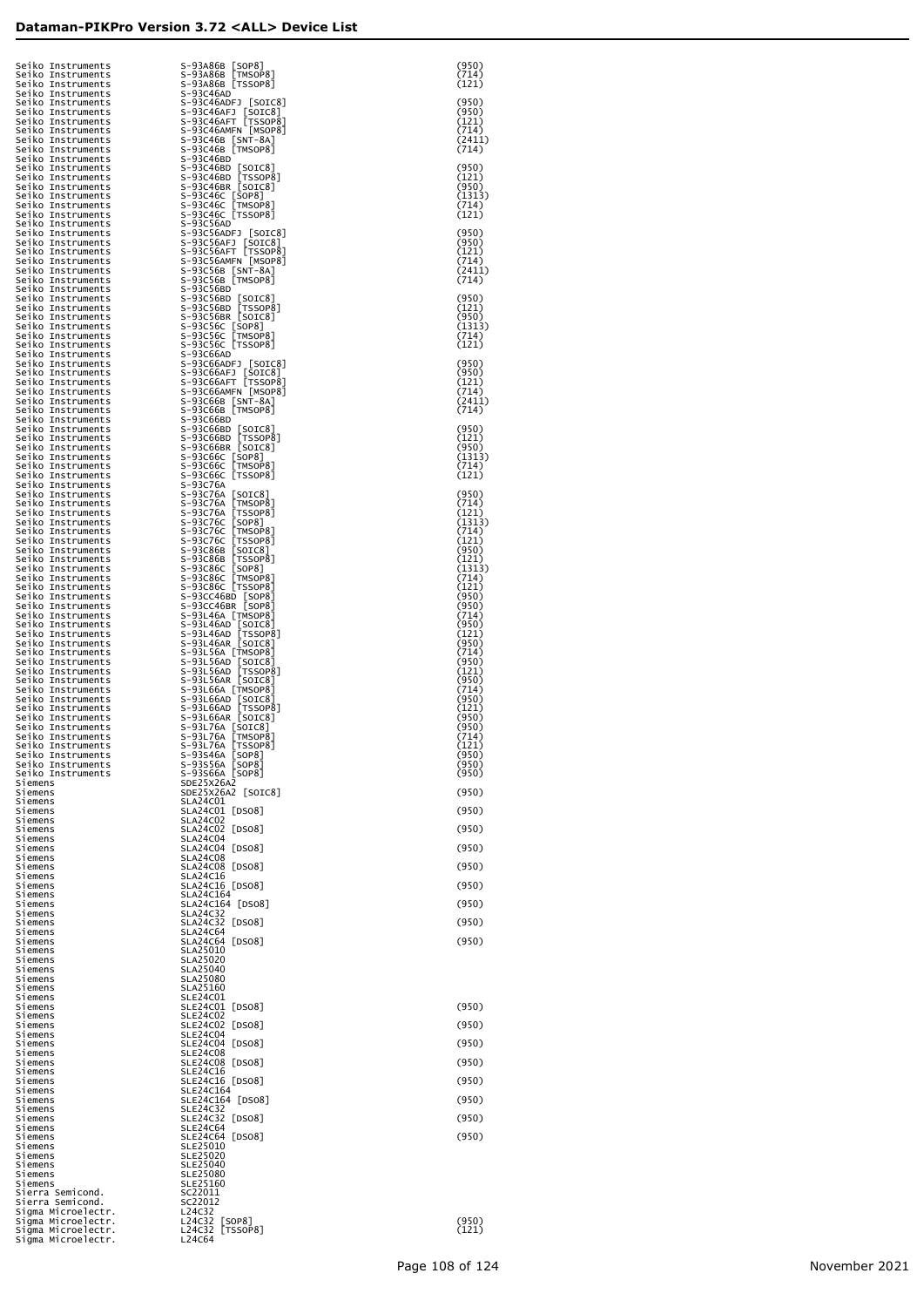| Seiko Instruments<br>Seiko Instruments                                                                                                                                                                                                                            | S-93A86B [SOP8]<br>S-93A86B [TMSOP8]                                                               | (950)<br>(714)           |
|-------------------------------------------------------------------------------------------------------------------------------------------------------------------------------------------------------------------------------------------------------------------|----------------------------------------------------------------------------------------------------|--------------------------|
| Seiko Instruments<br>Seiko Instruments<br>Seiko Instruments                                                                                                                                                                                                       | S-93A86B [TSSOP8]<br>S-93C46AD<br>S-93C46ADFJ [SOIC8]                                              | (121)<br>(950)           |
| Seiko Instruments                                                                                                                                                                                                                                                 | S-93C46AFJ [SOIC8]<br>S-93C46AFT [TSSOP8]                                                          | (950)<br>(121)           |
|                                                                                                                                                                                                                                                                   | S-93C46AMFN [MSOP8]                                                                                | (714)<br>(2411)          |
|                                                                                                                                                                                                                                                                   | S-93C46B [SNT-8A]<br>S-93C46B [TMSOP8]<br>S-93C46BD                                                | (714)                    |
|                                                                                                                                                                                                                                                                   | S-93C46BD [SOIC8]<br>S-93C46BD [TSSOP8]                                                            | (950)<br>(121)           |
|                                                                                                                                                                                                                                                                   | S-93C46BR [SOIC8]<br>S-93C46C [SOP8]<br>S-93C46C [TMSOP8]                                          | (950)<br>(1313)          |
|                                                                                                                                                                                                                                                                   | S-93C46C [TSSOP8]                                                                                  | (714)<br>(121)           |
|                                                                                                                                                                                                                                                                   | S-93C56AD<br>S-93C56ADFJ [SOIC8]<br>S-93C56AFJ [SOIC8]                                             | (950)<br>(950)           |
|                                                                                                                                                                                                                                                                   | S-93C56AFT [TSSOP8]<br>S-93C56AMFN [MSOP8]                                                         | (121)<br>(714)           |
|                                                                                                                                                                                                                                                                   | S-93C56B [SNT-8A]<br>S-93C56B [TMSOP8]                                                             | (2411)<br>(714)          |
|                                                                                                                                                                                                                                                                   | S-93C56BD<br>S-93C56BD [SOIC8]                                                                     | (950)                    |
|                                                                                                                                                                                                                                                                   | S-93C56BD [TSSOP8]<br>S-93C56BR [SOIC8]                                                            | (121)<br>(950)           |
|                                                                                                                                                                                                                                                                   | S-93C56C [SOP8]<br>S-93C56C [SOP8]                                                                 | (1313)<br>(714)          |
|                                                                                                                                                                                                                                                                   | S-93C56C [TSSOP8]<br>S-93C66AD                                                                     | (121)                    |
|                                                                                                                                                                                                                                                                   | S-93C66ADFJ [SOIC8]<br>S-93C66AFJ [SOIC8]<br>S-93C66AFT [TSSOP8]                                   | (950)<br>(950)<br>(121)  |
|                                                                                                                                                                                                                                                                   | S-93C66AMFN [MSOP8]<br>$S-93C66B$ $\sqrt{ST-8A}$                                                   | (714)<br>(2411)          |
|                                                                                                                                                                                                                                                                   | S-93C66B [TMSOP8]<br>S-93C66BD                                                                     | (714)                    |
|                                                                                                                                                                                                                                                                   | S-93C66BD [SOIC8]<br>S-93C66BD [TSSOP8]                                                            | (950)<br>(121)           |
|                                                                                                                                                                                                                                                                   | S-93C66BR [SOIC8]                                                                                  | (950)<br>(1313)          |
|                                                                                                                                                                                                                                                                   | S-93C66C [SOP8]<br>S-93C66C [TMSOP8]<br>S-93C66C [TSSOP8]                                          | (714)<br>(121)           |
|                                                                                                                                                                                                                                                                   | S-93C76A                                                                                           | (950)                    |
|                                                                                                                                                                                                                                                                   | S-93C76A [SOIC8]<br>S-93C76A [TMSOP8]<br>S-93C76A [TSSOP8]<br>S-93C76C [SOP8]<br>S-93C76C [TMSOP8] | (714)<br>(121)<br>(1313) |
|                                                                                                                                                                                                                                                                   | S-93C76C [TSSOP8]                                                                                  | (714)<br>(121)           |
|                                                                                                                                                                                                                                                                   | S-93C86B [SOIC8]<br>S-93C86B [TSSOP8]                                                              | (950)<br>(121)           |
|                                                                                                                                                                                                                                                                   | S-93C86C [SOP8]<br>S-93C86C TMSOP8]                                                                | (1313)<br>(714)          |
|                                                                                                                                                                                                                                                                   | S-93C86C [TSSOP8]<br>S-93CC46BD [SOP8]                                                             | (121)<br>(950)           |
|                                                                                                                                                                                                                                                                   | S-93CC46BR [SOP8]<br>S-93L46A [TMSOP8]                                                             | (950)<br>(714)           |
|                                                                                                                                                                                                                                                                   | S-93L46AD [SOIC8]<br>S-93L46AD [TSSOP8]                                                            | (950)<br>(121)           |
| Seiko Instruments<br>Seiko Instruments<br>Seiko Instruments<br>Seiko Instruments<br>Seiko Instruments<br>Seiko Instruments<br>Seiko Instruments<br>Seiko Instruments<br>Seiko Instruments<br>Seiko Instruments<br>Seiko Instruments<br>Seiko Instruments<br>Seiko | S-93L46AR [SOIC8]<br>S-93L56A [TMSOP8]<br>S-93L56AD [SOIC8]                                        | (950)<br>(714)<br>(950)  |
|                                                                                                                                                                                                                                                                   | S-93L56AD [TSSOP8]<br>S-93L56AR [SOIC8]                                                            | (121)<br>(950)           |
|                                                                                                                                                                                                                                                                   | S-93L66A [TMSOP8]<br>S-93L66AD [SOIC8]                                                             | (714)<br>(950)           |
| Seiko Instruments<br>Seiko Instruments                                                                                                                                                                                                                            | S-93L66AD [TSSOP8]<br>S-93L66AR [SOIC8]                                                            | (121)<br>(950)           |
| Seiko Instruments<br>Seiko Instruments                                                                                                                                                                                                                            | S-93L76A [SOIC8]<br>S-93L76A [TMSOP8]                                                              | (950)<br>(714)           |
| Seiko Instruments<br>Seiko Instruments                                                                                                                                                                                                                            | S-93L76A [TSSOP8]<br>S-93S46A [SOP8]                                                               | (121)<br>(950)<br>(950)  |
| Seiko Instruments<br>Seiko Instruments<br>Siemens                                                                                                                                                                                                                 | S-93S56A [SOP8]<br>S-93S66A [SOP8]<br>SDE25X26A2                                                   | (950)                    |
| Siemens<br>Siemens                                                                                                                                                                                                                                                | SDE25X26A2 [SOIC8]<br>SLA24C01                                                                     | (950)                    |
| Siemens<br>Siemens                                                                                                                                                                                                                                                | SLA24C01 [DS08]<br><b>SLA24C02</b>                                                                 | (950)                    |
| Siemens<br>Siemens                                                                                                                                                                                                                                                | SLA24C02 [DS08]<br><b>SLA24C04</b>                                                                 | (950)                    |
| Siemens<br>Siemens                                                                                                                                                                                                                                                | SLA24C04 [DS08]<br><b>SLA24C08</b>                                                                 | (950)                    |
| Siemens<br>Siemens                                                                                                                                                                                                                                                | SLA24C08 [DS08]<br>SLA24C16                                                                        | (950)                    |
| Siemens<br>Siemens<br>Siemens                                                                                                                                                                                                                                     | SLA24C16 [DSO8]<br>SLA24C164<br>SLA24C164 [DS08]                                                   | (950)<br>(950)           |
| Siemens<br>Siemens                                                                                                                                                                                                                                                | <b>SLA24C32</b><br>SLA24C32 [DS08]                                                                 | (950)                    |
| Siemens<br>Siemens                                                                                                                                                                                                                                                | <b>SLA24C64</b><br>SLA24C64 [DS08]                                                                 | (950)                    |
| Siemens<br>Siemens                                                                                                                                                                                                                                                | SLA25010<br>SLA25020                                                                               |                          |
| Siemens<br>Siemens                                                                                                                                                                                                                                                | <b>SLA25040</b><br><b>SLA25080</b>                                                                 |                          |
| Siemens<br>Siemens                                                                                                                                                                                                                                                | SLA25160<br>SLE24C01                                                                               |                          |
| Siemens<br>Siemens                                                                                                                                                                                                                                                | SLE24C01 [DS08]<br>SLE24C02                                                                        | (950)                    |
| Siemens<br>Siemens<br>Siemens                                                                                                                                                                                                                                     | SLE24C02 [DS08]<br><b>SLE24C04</b><br>SLE24C04 [DS08]                                              | (950)<br>(950)           |
| Siemens<br>Siemens                                                                                                                                                                                                                                                | SLE24C08<br>SLE24C08 [DS08]                                                                        | (950)                    |
| Siemens<br>Siemens                                                                                                                                                                                                                                                | SLE24C16<br>SLE24C16 [DS08]                                                                        | (950)                    |
| Siemens<br>Siemens                                                                                                                                                                                                                                                | SLE24C164<br>SLE24C164 [DS08]                                                                      | (950)                    |
| Siemens<br>Siemens                                                                                                                                                                                                                                                | <b>SLE24C32</b><br>SLE24C32 [DS08]                                                                 | (950)                    |
| Siemens<br>Siemens                                                                                                                                                                                                                                                | <b>SLE24C64</b><br>SLE24C64<br>[DS08]                                                              | (950)                    |
| Siemens<br>Siemens<br>Siemens                                                                                                                                                                                                                                     | SLE25010<br>SLE25020<br>SLE25040                                                                   |                          |
| Siemens<br>Siemens                                                                                                                                                                                                                                                | SLE25080<br>SLE25160                                                                               |                          |
| Sierra Semicond.<br>Sierra Semicond.                                                                                                                                                                                                                              | SC22011<br>SC22012                                                                                 |                          |
| Sigma Microelectr.<br>Sigma Microelectr.                                                                                                                                                                                                                          | L24C32<br>L24C32<br><b>SOP81</b>                                                                   | (950)                    |
| Sigma Microelectr.<br>Sigma Microelectr.                                                                                                                                                                                                                          | L24C32<br>[TSSOP8]<br>L24C64                                                                       | (121)                    |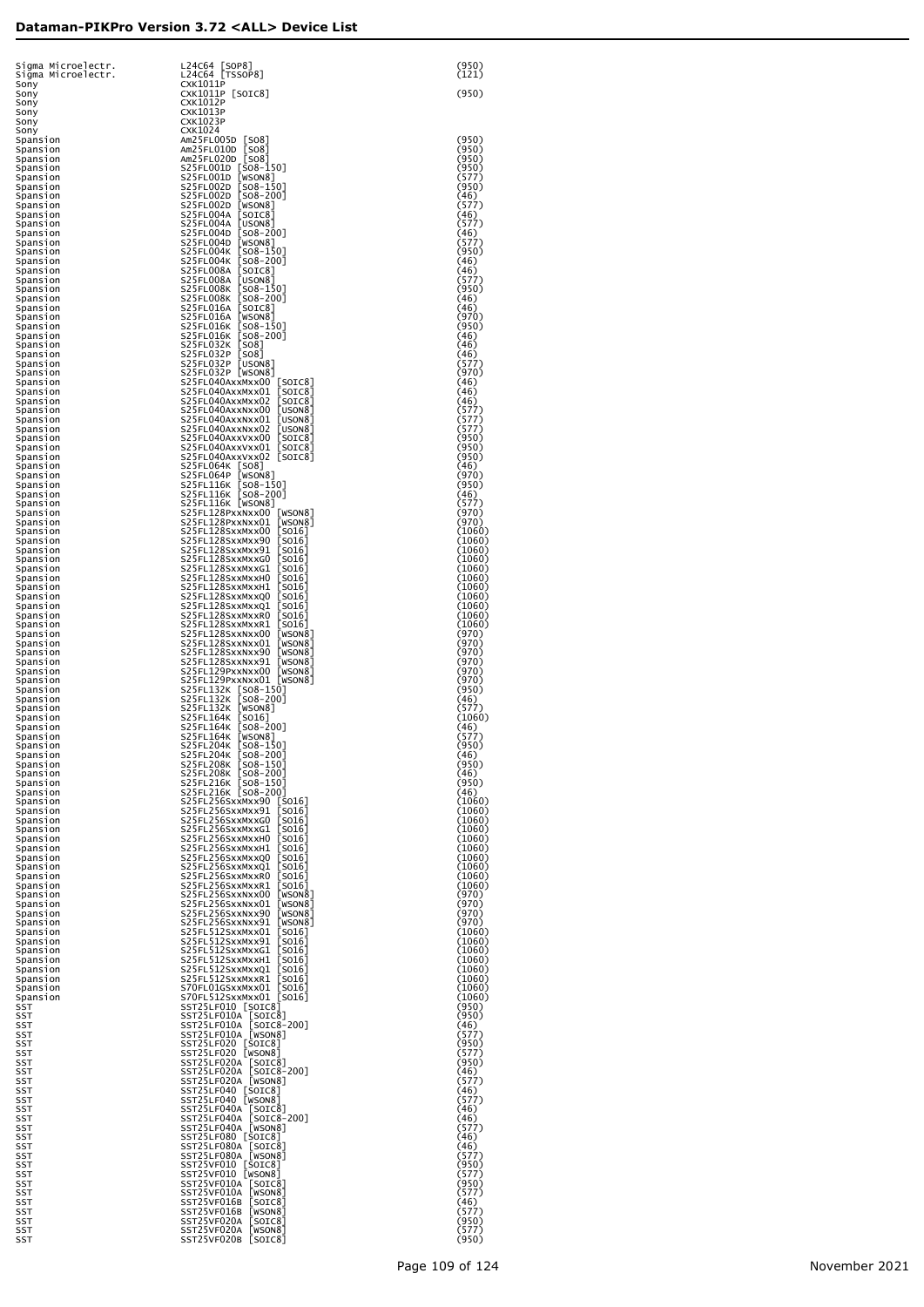| Sigma Microelectr.               | L24C64 [SOP8]                                                                    | (950)                     |
|----------------------------------|----------------------------------------------------------------------------------|---------------------------|
| Sigma Microelectr.               | L24C64 [TSSOP8]                                                                  | (121)                     |
| Sony<br>Sony                     | <b>CXK1011P</b><br>CXK1011P [SOIC8]<br><b>CXK1012P</b>                           | (950)                     |
| Sony<br>Sony<br>Sony             | CXK1013P<br><b>CXK1023P</b>                                                      |                           |
| Sony<br>Spansion                 | CXK1024<br>Am25FL005D [SO8]                                                      | (950)                     |
| Spansion                         | Am25FL010D [SO8]                                                                 | (950)                     |
| Spansion                         | Am25FL020D [SO8]                                                                 | (950)                     |
| Spansion                         | S25FL001D [SO8-150]                                                              | (950)                     |
| Spansion                         | S25FL001D [WSON8]                                                                | (577)                     |
| Spansion                         | S25FL002D [SO8-150]                                                              | (950)                     |
| Spansion                         | S25FL002D [S08-200]                                                              | (46)                      |
| Spansion                         | S25FL002D [WSON8]                                                                | (577)                     |
| Spansion                         | S25FL004A [SOIC8]                                                                | (46)                      |
| Spansion                         | S25FL004A [USON8]                                                                | (577)                     |
| Spansion                         | S25FL004D [SO8-200]                                                              | (46)                      |
| Spansion                         | S25FL004D [WSON8]                                                                | (577)                     |
| Spansion                         | S25FL004K [SO8-150]                                                              | (950)                     |
| Spansion                         | S25FL004K [SO8-200]                                                              | (46)                      |
| Spansion                         | S25FL008A [SOIC8]                                                                | (46)                      |
| Spansion                         | S25FL008A [USON8]                                                                | (577)                     |
| Spansion                         | S25FL008K [SO8-150]                                                              | (950)                     |
| Spansion<br>Spansion             | S25FL008K [SO8-200]<br>S25FL016A [SOIC8]<br>S25FL016A [WSON8]                    | (46)<br>(46)<br>(970)     |
| Spansion<br>Spansion<br>Spansion | S25FL016K [SO8-150]<br>S25FL016K [SO8-200]                                       | (950)<br>(46)             |
| Spansion<br>Spansion             | S25FL032K [SO8]<br>S25FL032P<br>[508]                                            | (46)<br>(46)              |
| Spansion<br>Spansion             | S25FL032P<br>[USON8]<br>S25FL032P [WSON8]                                        | (577)<br>(970)            |
| Spansion                         | S25FL040AxxMxx00 [SOIC8]                                                         | (46)                      |
| Spansion                         | S25FL040AxxMxx01 [SOIC8]                                                         | (46)                      |
| Spansion                         | S25FL040AxxMxx02 [SOIC8]                                                         | (46)                      |
| Spansion                         | S25FL040AxxNxx00 [USON8]                                                         | (577)                     |
| Spansion                         | S25FL040AxxNxx01 [USON8]                                                         | (577)                     |
| Spansion                         | S25FL040AxxNxx02 [USON8]                                                         | (577)                     |
| Spansion                         | S25FL040AxxVxx00 [SOIC8]                                                         | (950)                     |
| Spansion<br>Spansion             | S25FL040AxxVxx01 [SOIC8]<br>S25FL040AxxVxx02 [SOIC8]                             | (950)<br>(950)<br>(46)    |
| Spansion<br>Spansion<br>Spansion | S25FL064K [SO8]<br>S25FL064P [WSON8]<br>S25FL116K [SO8-150]                      | (970)<br>(950)            |
| Spansion                         | S25FL116K [SO8-200]                                                              | (46)                      |
| Spansion                         | S25FL116K [WSON8]                                                                | (577)                     |
| Spansion                         | S25FL128PxxNxx00 [WSON8]                                                         | (970)                     |
| Spansion                         | S25FL128PxxNxx01 [WSON8]                                                         | (970)                     |
| Spansion                         | S25FL128SxxMxx00 [S016]                                                          | (1060)                    |
| Spansion                         | S25FL128SxxMxx90 [S016]                                                          | (1060)                    |
| Spansion                         | S25FL128SxxMxx91 [S016]                                                          | (1060)                    |
| Spansion                         | S25FL128SxxMxxG0 [SO16]                                                          | (1060)                    |
| Spansion                         | S25FL128SxxMxxG1 [SO16]                                                          | (1060)                    |
| Spansion                         | S25FL128SxxMxxH0 [SO16]                                                          | (1060)                    |
| Spansion                         | S25FL128SxxMxxH1 [SO16]                                                          | (1060)                    |
| Spansion<br>Spansion             | S25FL128SxxMxxQ0 [SO16]<br>S25FL128SxxMxxQ1 [SO16]<br>S25FL128SxxMxxR0 [SO16]    | (1060)<br>(1060)          |
| Spansion<br>Spansion<br>Spansion | S25FL128SxxMxxR1 [SO16]<br>S25FL128SxxNxx00 [WSON8]                              | (1060)<br>(1060)<br>(970) |
| Spansion                         | S25FL128SxxNxx01 [WSON8]                                                         | (970)                     |
| Spansion                         | S25FL128SxxNxx90 [WSON8]                                                         | (970)                     |
| Spansion<br>Spansion             | S25FL128SxxNxx91 [WSON8]<br>[WSON8]<br>S25FL129PxxNxx00                          | (970)<br>(970)            |
| Spansion<br>Spansion<br>Spansion | S25FL129PxxNxx01 [WSON8]<br>S25FL132K [SO8-150]<br>S25FL132K [SO8-200]           | (970)<br>(950)<br>(46)    |
| Spansion                         | S25FL132K [WSON8]                                                                | (577)                     |
| Spansion                         | S25FL164K [SO16]                                                                 | (1060)                    |
| Spansion                         | S25FL164K [SO8-200]                                                              | (46)                      |
| Spansion                         | S25FL164K [WSON8]                                                                | (577)                     |
| Spansion<br>Spansion             | S25FL204K [SO8-150]<br>S25FL204K [SO8-200]<br>S25FL208K [SO8-150]                | (950)<br>(46)             |
| Spansion<br>Spansion<br>Spansion | S25FL208K [SO8-200]<br>S25FL216K [SO8-150]                                       | (950)<br>(46)<br>(950)    |
| Spansion                         | S25FL216K [SO8-200]                                                              | (46)                      |
| Spansion                         | S25FL256SxxMxx90 [SO16]                                                          | (1060)                    |
| Spansion                         | S25FL256SxxMxx91 [S016]                                                          | (1060)                    |
| Spansion                         | S25FL256SxxMxxG0 [SO16]                                                          | (1060)                    |
| Spansion                         | S25FL256SxxMxxG1 [SO16]                                                          | (1060)                    |
| Spansion                         | S25FL256SxxMxxH0 [SO16]                                                          | (1060)                    |
| Spansion                         | S25FL256SxxMxxH1 [SO16]                                                          | (1060)                    |
| Spansion                         | S25FL256SxxMxxQ0 [SO16]                                                          | (1060)                    |
| Spansion                         | S25FL256SxxMxxQ1 [SO16]                                                          | (1060)                    |
| Spansion                         | S25FL256SxxMxxR0 [SO16]                                                          | (1060)                    |
| Spansion                         | S25FL256SxxMxxR1 [SO16]                                                          | (1060)                    |
| Spansion<br>Spansion             | S25FL256SxxNxx00 [WSON8]<br>S25FL256SxxNxx01 [WSON8]<br>S25FL256SxxNxx90 [WSON8] | (970)<br>(970)<br>(970)   |
| Spansion<br>Spansion<br>Spansion | S25FL256SxxNxx91 [WSON8]<br>S25FL512SxxMxx01 [S016]                              | (970)<br>(1060)           |
| Spansion                         | S25FL512SxxMxx91 [S016]                                                          | (1060)                    |
| Spansion                         | S25FL512SxxMxxG1 [SO16]                                                          | (1060)                    |
| Spansion                         | S25FL512SxxMxxH1 [SO16]                                                          | (1060)                    |
| Spansion                         | S25FL512SxxMxxQ1 [SO16]                                                          | (1060)                    |
| Spansion                         | S25FL512SxxMxxR1 [SO16]                                                          | (1060)                    |
| Spansion                         | S70FL01GSxxMxx01 [S016]                                                          | (1060)                    |
| Spansion                         | S70FL512SxxMxx01 [S016]                                                          | (1060)                    |
| SST                              | SST25LF010 [SOIC8]                                                               | (950)                     |
| SST                              | SST25LF010A [SOIC8]                                                              | (950)                     |
| SST                              | SST25LF010A [SOIC8-200]                                                          | (46)                      |
| SST                              | SST25LF010A [WSON8]                                                              | (577)                     |
| SST                              | SST25LF020 [SOIC8]                                                               | (950)                     |
| SST                              | SST25LF020 [WSON8]                                                               | (577)                     |
| SST                              | SST25LF020A [SOIC8]                                                              | (950)                     |
| SST                              | SST25LF020A [SOIC8-200]                                                          | (46)                      |
| SST                              | SST25LF020A [WSON8]                                                              | (577)                     |
| SST                              | SST25LF040 [SOIC8]                                                               | (46)                      |
| SST                              | SST25LF040 [WSON8]                                                               | (577)                     |
| SST                              | SST25LF040A [SOIC8]                                                              | (46)                      |
| SST                              | SST25LF040A [SOIC8-200]                                                          | (46)                      |
| SST                              | SST25LF040A [WSON8]                                                              | (577)                     |
| SST                              | SST25LF080 [SOIC8]                                                               | (46)                      |
| SST                              | SST25LF080A [SOIC8]                                                              | (46)                      |
| SST                              | SST25LF080A [WSON8]                                                              | (577)                     |
| SST                              | SST25VF010 [SOIC8]                                                               | (950)                     |
| SST                              | SST25VF010 [WSON8]                                                               | (577)                     |
| SST                              | SST25VF010A [SOIC8]                                                              | (950)                     |
| SST                              | SST25VF010A [WSON8]                                                              | (577)                     |
| SST                              | SST25VF016B [SOIC8]                                                              | (46)                      |
| SST                              | SST25VF016B [WSON8]                                                              | (577)                     |
| SST                              | SST25VF020A [SOIC8]                                                              | (950)                     |
| SST                              | SST25VF020A [WSON8]                                                              | (577)                     |
| SST                              | SST25VF020B [SOIC8]                                                              | (950)                     |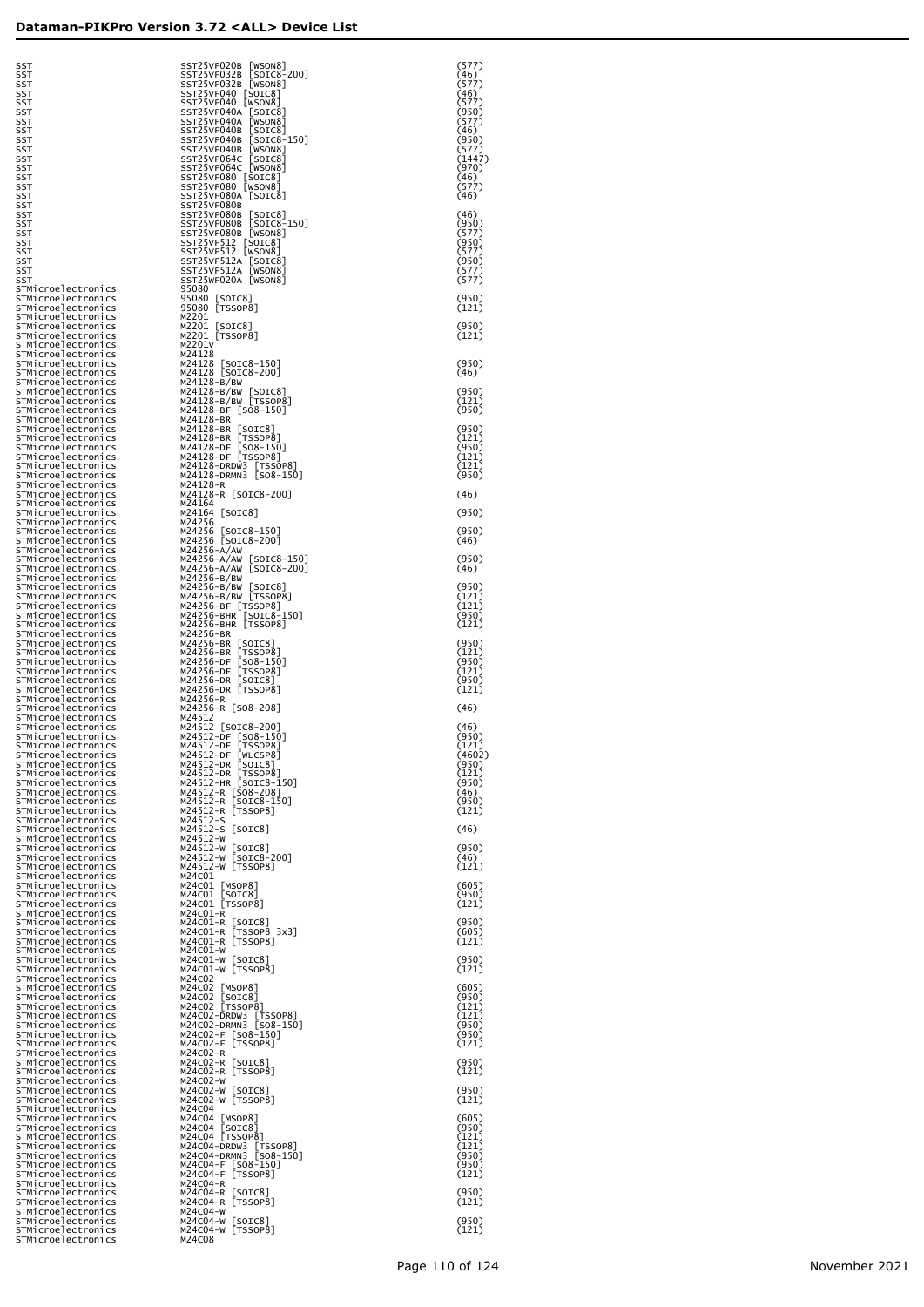| SST                                      | SST25VF032B                                |
|------------------------------------------|--------------------------------------------|
| <b>SST</b><br><b>SST</b>                 | SST25VF040<br>C<br>SST25VF040<br>C         |
| <b>SST</b>                               | SST25VF040A                                |
| <b>SST</b><br><b>SST</b>                 | SST25VF040A<br>SST25VF040B                 |
| <b>SST</b>                               | SST25VF040B                                |
| <b>SST</b>                               | SST25VF040B                                |
| SST<br>SST                               | SST25VF064C<br>SST25VF064C                 |
| SST                                      | SST25VF080<br>C                            |
| SST<br>SST                               | SST25VF080<br>C<br>SST25VF080A             |
| <b>SST</b>                               | SST25VF080B                                |
| <b>SST</b><br>SST                        | SST25VF080B<br>SST25VF080B                 |
| SST                                      | SST25VF080B                                |
| <b>SST</b>                               | SST25VF512<br>C                            |
| SST<br>SST                               | SST25VF512<br>E<br>SST25VF512A             |
| SST                                      | SST25VF512A                                |
| SST<br>STMicroelectronics                | SST25WF020A<br>95080                       |
| STMicroelectronics                       | 95080<br>[SOIC8                            |
| STMicroelectronics                       | 95080<br>[TSSOP<br>M2201                   |
| STMicroelectronics<br>STMicroelectronics | [SOIC8<br>M2201                            |
| STMicroelectronics                       | M2201<br>[TSSOP<br>M2201V                  |
| STMicroelectronics<br>STMicroelectronics | M24128                                     |
| STMicroelectronics                       | M24128<br>[SOIC                            |
| STMicroelectronics<br>STMicroelectronics | M24128 [SOIC<br>M24128-B/BW                |
| STMicroelectronics                       | M24128-B/BW                                |
| STMicroelectronics                       | M24128-B/BW<br>M24128-BF<br>[s             |
| STMicroelectronics<br>STMicroelectronics | M24128-BR                                  |
| STMicroelectronics                       | [S<br>[T<br>M24128-BR                      |
| STMicroelectronics<br>STMicroelectronics | M24128-BR<br>M24128-DF<br>ĻS               |
| STMicroelectronics                       | ĹΤ<br>M24128-DF                            |
| STMicroelectronics<br>STMicroelectronics | M24128-DRDW3<br>M24128-DRMN3               |
| STMicroelectronics                       | M24128-R                                   |
| STMicroelectronics                       | M24128-R<br>[SO<br>M24164                  |
| STMicroelectronics<br>STMicroelectronics | M24164<br>[SOIC                            |
| STMicroelectronics                       | M24256<br>M24256                           |
| STMicroelectronics<br>STMicroelectronics | [SOIC<br>M24256<br>[SOIC                   |
| STMicroelectronics                       | M24256-A/AW                                |
| STMicroelectronics<br>STMicroelectronics | M24256-A/AW<br>M24256-A/AW                 |
| STMicroelectronics                       | M24256-B/BW                                |
| STMicroelectronics<br>STMicroelectronics | M24256-B/BW<br>M24256-B/BW                 |
| STMicroelectronics                       | M24256-BF [T                               |
| STMicroelectronics<br>STMicroelectronics | E<br>M24256-BHR<br>M24256-BHR              |
| STMicroelectronics                       | M24256-BR                                  |
| STMicroelectronics                       | M24256-BR<br>[S<br>[T<br>M24256-BR         |
| STMicroelectronics<br>STMicroelectronics | M24256-DF                                  |
| STMicroelectronics                       | [S<br>[T<br>M24256-DF<br>M24256-DR         |
| STMicroelectronics<br>STMicroelectronics | [s<br>Ìт<br>M24256-DR                      |
| STMicroelectronics                       | M24256-R                                   |
| STMicroelectronics<br>STMicroelectronics | M24256-R<br>[SO<br>M24512                  |
| STMicroelectronics                       | M24512<br>[SOIC                            |
| STMicroelectronics<br>STMicroelectronics | M24512-DF<br>[S<br>[T<br>[W<br>M24512-DF   |
| STMicroelectronics                       | M24512-DF                                  |
| STMicroelectronics<br>STMicroelectronics | M24512-DR<br>[s<br>M24512-DR<br>Γт         |
| STMicroelectronics                       | M24512-HR<br>[s                            |
| STMicroelectronics                       | M24512-R<br>[SO                            |
| STMicroelectronics<br>STMicroelectronics | $M24512 - R$<br>[SO<br>$M24512 - R$<br>ĻТS |
| STMicroelectronics                       | $M24512 - S$                               |
| STMicroelectronics<br>STMicroelectronics | $M24512-S$<br>[SO<br>$M24512-w$            |
| STMicroelectronics                       | M24512-W<br>[SO                            |
| STMicroelectronics<br>STMicroelectronics | M24512-W<br>S0<br>M24512-W<br>ĻТS          |
| STMicroelectronics                       | M24C01                                     |
| STMicroelectronics<br>STMicroelectronics | [MSOP<br>M24CO1<br>M24CO1<br>[ SOIC        |
| STMicroelectronics                       | M24CO1<br><b>TSS0</b>                      |
| STMicroelectronics<br>STMicroelectronics | M24CO1-R<br>[so<br>M24CO1-R                |
| STMicroelectronics                       | M24CO1-R<br>тs                             |
| STMicroelectronics<br>STMicroelectronics | [TS<br>M24CO1-R<br>м24c01-w                |
| STMicroelectronics                       | ۲s٥<br>M24CO1-W                            |
| STMicroelectronics                       | [TS<br>M24CO1-W                            |
| STMicroelectronics<br>STMicroelectronics | M24C02<br>M24C02<br>[MSOP                  |
| STMicroelectronics                       | M24C02<br>[SOIC                            |
| STMicroelectronics<br>STMicroelectronics | M24C02<br>[TSS0<br>M24CO2-DRDW3            |
| STMicroelectronics                       | M24CO2-DRMN3                               |
| STMicroelectronics<br>STMicroelectronics | M24C02-F<br>LS0<br>[TS<br>M24C02-F         |
| STMicroelectronics                       | M24C02-R                                   |
| STMicroelectronics<br>STMicroelectronics | [SO<br>M24C02-R<br>M24C02-R<br>ĮТS         |
| STMicroelectronics                       | M24C02-W                                   |
| STMicroelectronics                       | [so<br>M24C02-W                            |
| STMicroelectronics<br>STMicroelectronics | [TS<br>M24C02-W<br>M24C04                  |
| STMicroelectronics                       | M24C04<br>[MSOP                            |
| STMicroelectronics<br>STMicroelectronics | M24C04<br>[SOIC<br>M24C04<br>[TSS0         |
| STMicroelectronics                       | M24C04-DRDW3                               |
| STMicroelectronics<br>STMicroelectronics | M24C04-DRMN3<br>M24C04-F<br>LS0            |
| STMicroelectronics                       | [TS<br>M24C04-F                            |
| STMicroelectronics                       | M24C04-R<br><b>SO</b>                      |
| STMicroelectronics<br>STMicroelectronics | M24C04-R<br>M24C04-R<br>[TS                |
| STMicroelectronics                       | M24C04-W                                   |

| SST<br>SST                                                     | SST25VF020B<br>[WSON8]<br>SST25VF032B [SOIC8-200]                     | (577)<br>(46)           |
|----------------------------------------------------------------|-----------------------------------------------------------------------|-------------------------|
| SST<br>SST                                                     | SST25VF032B [WSON8]<br>SST25VF040 [SOIC8]                             | (577)<br>(46)           |
| SST<br>SST                                                     | SST25VF040 [WSON8]<br>SST25VF040A [SOIC8]<br>SST25VF040A [WSON8]      | (577)<br>(950)<br>(577) |
| SST<br>SST<br>SST                                              | SST25VF040B [SOIC8]<br>SST25VF040B [SOIC8-150]                        | (46)<br>(950)           |
| SST<br>SST                                                     | SST25VF040B [WSON8]<br>SST25VF064C [SOIC8]                            | (577)<br>(1447)         |
| SST                                                            | SST25VF064C [WSON8]<br>SST25VF080 [SOIC8]                             | (970)                   |
| SST<br>SST<br>SST                                              | SST25VF080 [WSON8]<br>SST25VF080A [SOIC8]                             | (46)<br>(577)<br>(46)   |
| SST<br>SST                                                     | SST25VF080B<br>SST25VF080B [SOIC8]                                    | (46)                    |
| SST<br>SST                                                     | SST25VF080B [SOIC8-150]<br>SST25VF080B [WSON8]                        | (950)<br>(577)          |
| SST<br>SST                                                     | SST25VF512 [SOIC8]<br>SST25VF512 [WSON8]                              | (950)<br>(577)          |
| SST<br>SST                                                     | SST25VF512A [SOIC8]<br>SST25VF512A [WSON8]                            | (950)<br>(577)          |
| SST<br>STMicroelectronics                                      | SST25WF020A [WSON8]<br>95080                                          | (577)                   |
| STMicroelectronics<br>STMicroelectronics                       | 95080 [SOIC8]<br>95080 [TSSOP8]                                       | (950)<br>(121)          |
| STMicroelectronics<br>STMicroelectronics                       | M2201                                                                 | (950)                   |
| STMicroelectronics<br>STMicroelectronics                       | M2201 [SOIC8]<br>M2201 [TSSOP8]<br>M2201V                             | (121)                   |
| STMicroelectronics<br>STMicroelectronics                       | M24128                                                                | (950)                   |
| STMicroelectronics<br>STMicroelectronics                       | M24128 [SOIC8-150]<br>M24128 [SOIC8-200]<br>M24128-B/BW               | (46)                    |
| STMicroelectronics<br>STMicroelectronics                       | M24128-B/BW [SOIC8]<br>M24128-B/BW [TSSOP8]                           | (950)<br>(121)          |
| STMicroelectronics<br>STMicroelectronics                       | M24128-BF [SO8-150]<br>M24128-BR                                      | (950)                   |
| STMicroelectronics<br>STMicroelectronics                       | M24128-BR [SOIC8]<br>M24128-BR [TSSOP8]                               | (950)<br>(121)          |
| STMicroelectronics<br>STMicroelectronics                       | M24128-DF [SO8-150]<br>M24128-DF [SO8-150]                            | (950)<br>(121)          |
| STMicroelectronics<br>STMicroelectronics                       | M24128-DRDW3 [TSSOP8]<br>M24128-DRMN3 [SO8-150]                       | (121)<br>(950)          |
| STMicroelectronics<br>STMicroelectronics                       | M24128-R<br>M24128-R [SOIC8-200]                                      | (46)                    |
| STMicroelectronics<br>STMicroelectronics                       | M24164<br>M24164 [SOIC8]                                              | (950)                   |
| STMicroelectronics<br>STMicroelectronics                       | M24256<br>M24256 [SOIC8-150]<br>M24256 [SOIC8-200]                    | (950)                   |
| STMicroelectronics<br>STMicroelectronics                       | M24256-A/AW                                                           | (46)                    |
| STMicroelectronics<br>STMicroelectronics                       | M24256-A/AW [SOIC8-150]<br>M24256-A/AW [SOIC8-200]                    | (950)<br>(46)           |
| STMicroelectronics<br>STMicroelectronics                       | M24256-B/BW<br>M24256-B/BW [SOIC8]<br>M24256-B/BW [TSSOP8]            | (950)<br>(121)          |
| STMicroelectronics<br>STMicroelectronics<br>STMicroelectronics | M24256-BF [TSSOP8]                                                    | (121)<br>(950)          |
| STMicroelectronics<br>STMicroelectronics                       | M24256-BHR [SOIC8-150]<br>M24256-BHR [TSSOP8]<br>M24256-BR            | (121)                   |
| STMicroelectronics<br>STMicroelectronics                       | M24256-BR [SOIC8]<br>TSSOP8]<br>M24256-BR                             | (950)<br>(121)          |
| STMicroelectronics<br>STMicroelectronics                       | $[508 - 150]$<br>M24256-DF<br>M24256-DF [TSSOP8]                      | (950)<br>(121)          |
| STMicroelectronics<br>STMicroelectronics                       | M24256-DR [SOIC8]<br>M24256-DR [TSSOP8]                               | (950)<br>(121)          |
| STMicroelectronics<br>STMicroelectronics                       | M24256-R<br>M24256-R [SO8-208]                                        | (46)                    |
| STMicroelectronics<br>STMicroelectronics                       | M24512<br>M24512 [SOIC8-200]                                          | (46)                    |
| STMicroelectronics<br>STMicroelectronics                       | M24512-DF [SO8-150]<br>M24512-DF [TSSOP8]                             | (950)<br>(121)          |
| STMicroelectronics<br>STMicroelectronics                       | M24512-DF [WLCSP8]<br>M24512-DR<br>[SOIC8]                            | (4602)<br>(950)         |
| STMicroelectronics<br>STMicroelectronics                       | [TSSOP8]<br>M24512-DR<br>M24512-HR [SOIC8-150]                        | (121)<br>(950)          |
| STMicroelectronics<br>STMicroelectronics                       | M24512-R [SO8-208]<br>M24512-R [SOIC8-150]                            | (46)<br>(950)           |
| STMicroelectronics<br>STMicroelectronics                       | M24512-R [TSSOP8]<br>M24512-S                                         | (121)                   |
| STMicroelectronics<br>STMicroelectronics                       | M24512-S [SOIC8]<br>M24512-W                                          | (46)                    |
| STMicroelectronics<br>STMicroelectronics                       | M24512-W [SOIC8]<br>M24512-W [SOIC8-200]                              | (950)<br>(46)           |
| STMicroelectronics<br>STMicroelectronics                       | M24512-W [TSSOP8]<br>M24C01                                           | (121)                   |
| STMicroelectronics<br>STMicroelectronics                       | M24C01 [MSOP8]<br>M24C01 [SOIC8]<br>M24C01 [TSSOP8]                   | (605)<br>(950)          |
| STMicroelectronics<br>STMicroelectronics<br>STMicroelectronics | M24C01-R                                                              | (121)<br>(950)          |
| STMicroelectronics<br>STMicroelectronics                       | M24CO1-R [SOIC8]<br>M24CO1-R [TSSOP8_3x3]<br>M24C01-R [TSSOP8]        | (605)<br>(121)          |
| STMicroelectronics<br>STMicroelectronics                       | M24C01-W                                                              | (950)                   |
| STMicroelectronics<br>STMicroelectronics                       | M24CO1-W [SOIC8]<br>M24CO1-W [TSSOP8]<br>M24C02                       | (121)                   |
| STMicroelectronics<br>STMicroelectronics                       | M24C02 [MSOP8]<br>[SOIC8]<br>M24C02                                   | (605)<br>(950)          |
| STMicroelectronics<br>STMicroelectronics                       | M24C02 [TSSOP8]                                                       | (121)<br>(121)          |
| STMicroelectronics<br>STMicroelectronics                       | M24C02-DRDW3 [TSSOP8]<br>M24C02-DRMN3 [SO8-150]<br>M24C02-F [SO8-150] | (950)<br>(950)          |
| STMicroelectronics<br>STMicroelectronics                       | M24C02-F [TSSOP8]<br>M24C02-R                                         | (121)                   |
| STMicroelectronics<br>STMicroelectronics                       | M24C02-R [SOIC8]<br>M24CO2-R [TSSOP8]                                 | (950)<br>(121)          |
| STMicroelectronics<br>STMicroelectronics                       | M24C02-W<br>M24CO2-W [SOIC8]<br>M24CO2-W [TSSOP8]                     | (950)                   |
| STMicroelectronics<br>STMicroelectronics                       | M24C04                                                                | (121)                   |
| STMicroelectronics<br>STMicroelectronics                       | M24C04 [MSOP8]<br>M24C04 [SOIC8]<br>M24C04 [TSSOP8]                   | (605)<br>(950)          |
| STMicroelectronics<br>STMicroelectronics                       | M24C04-DRDW3 [TSSOP8]<br>M24C04-DRMN3 [SO8-150]                       | (121)<br>(121)<br>(950) |
| STMicroelectronics<br>STMicroelectronics<br>STMicroelectronics | M24C04-F [SO8-150]<br>[TSSOP8]<br>M24C04-F                            | (950)<br>(121)          |
| STMicroelectronics<br>STMicroelectronics                       | M24C04-R<br>M24C04-R [SOIC8]                                          | (950)                   |
| STMicroelectronics<br>STMicroelectronics                       | M24C04-R [TSSOP8]<br>M24C04-W                                         | (121)                   |
| STMicroelectronics<br>STMicroelectronics                       | M24C04-W [SOIC8]<br>M24C04-W [TSSOP8]                                 | (950)<br>(121)          |
| STMicroelectronics                                             | M24C08                                                                |                         |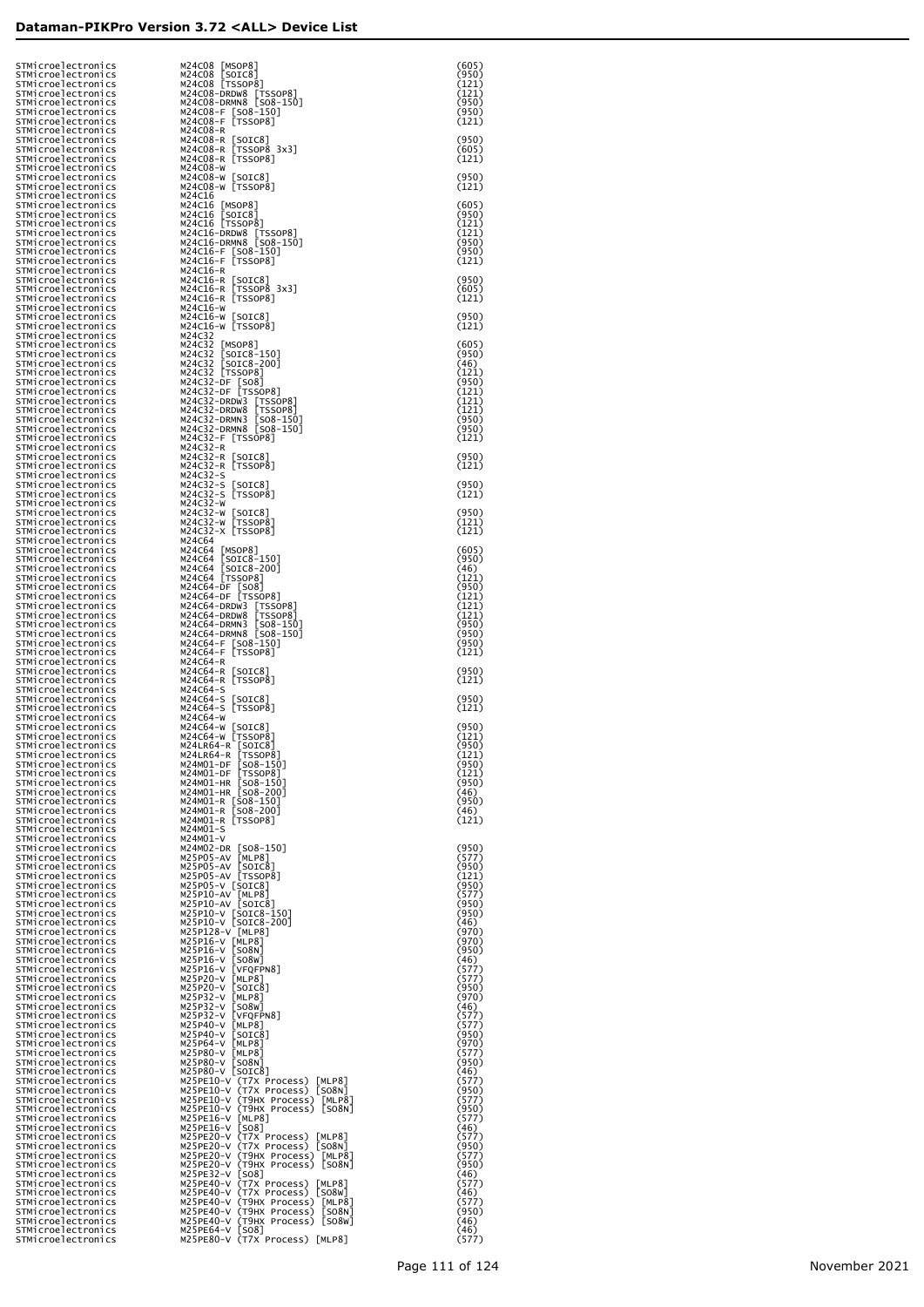| STMicroelectronics<br>STMicroelectronics                       | M24CO8 [MSOP8]<br>M24CO8 [SOIC8]<br>M24CO8 [TSSOP8]                                        | (605)<br>(950)          |
|----------------------------------------------------------------|--------------------------------------------------------------------------------------------|-------------------------|
| STMicroelectronics<br>STMicroelectronics                       |                                                                                            | (121)<br>(121)          |
| STMicroelectronics<br>STMicroelectronics                       | M24C08-DRDW8 [TSSOP8]<br>M24C08-DRMN8 [S08-150]<br>M24C08-F [S08-150]<br>M24C08-F [TSSOP8] | (950)<br>(950)          |
| STMicroelectronics<br>STMicroelectronics                       | M24C08-R                                                                                   | (121)                   |
| STMicroelectronics<br>STMicroelectronics                       | M24C08-R [SOIC8]<br>[TSSOP8 3x3]<br>M24C08-R                                               | (950)<br>(605)          |
| STMicroelectronics<br>STMicroelectronics                       | M24C08-R [TSSOP8]<br>M24C08-W                                                              | (121)                   |
| STMicroelectronics<br>STMicroelectronics                       | M24CO8-W [SOIC8]<br>M24CO8-W [TSSOP8]                                                      | (950)<br>(121)          |
| STMicroelectronics<br>STMicroelectronics                       | M24C16                                                                                     | (605)                   |
| STMicroelectronics<br>STMicroelectronics                       | M24c16 [MSOP8]<br>M24c16 [SOIC8]<br>M24c16 [TSSOP8]                                        | (950)<br>(121)          |
| STMicroelectronics<br>STMicroelectronics                       | M24C16-DRDW8 [TSSOP8]<br>M24C16-DRMN8 [SO8-150]                                            | (121)<br>(950)          |
| STMicroelectronics<br>STMicroelectronics                       | M24C16-F [SO8-150]<br>M24C16-F [TSSOP8]                                                    | (950)<br>(121)          |
| STMicroelectronics<br>STMicroelectronics                       | M24C16-R<br>M24C16-R [SOIC8]                                                               | (950)                   |
| STMicroelectronics<br>STMicroelectronics                       | [TSSOP8 3x3]<br>M24C16-R<br>M24C16-R [TSSOP8]                                              | (605)<br>(121)          |
| STMicroelectronics<br>STMicroelectronics<br>STMicroelectronics | M24C16-W<br>M24C16-W [SOIC8]<br>M24C16-W [TSSOP8]                                          | (950)<br>(121)          |
| STMicroelectronics<br>STMicroelectronics                       | M24C32                                                                                     | (605)                   |
| STMicroelectronics<br>STMicroelectronics                       | M24C32 [MSOP8]<br>M24C32 [SOIC8-150]<br>M24C32 [SOIC8-200]<br>M24C32 [TSSOP8]              | (950)<br>(46)           |
| STMicroelectronics<br>STMicroelectronics                       |                                                                                            | (121)<br>(950)          |
| STMicroelectronics<br>STMicroelectronics                       | M24C32-DF [SO8]<br>M24C32-DF [TSSOP8]<br>M24C32-DRDW3 [TSSOP8]                             | (121)<br>(121)          |
| STMicroelectronics<br>STMicroelectronics                       | M24C32-DRDW8<br>[TSSOP8]                                                                   | (121)<br>(950)          |
| STMicroelectronics<br>STMicroelectronics                       | M24C32-DRMN3 [SO8-150]<br>M24C32-DRMN8 [SO8-150]<br>M24C32-F [TSSOP8]                      | (950)<br>(121)          |
| STMicroelectronics<br>STMicroelectronics                       | M24C32-R<br>M24C32-R [SOIC8]                                                               | (950)                   |
| STMicroelectronics<br>STMicroelectronics                       | M24C32-R [TSSOP8]<br>M24C32-S                                                              | (121)                   |
| STMicroelectronics<br>STMicroelectronics                       | M24C32-S<br>[SOIC8]<br>M24C32-S [TSSOP8]                                                   | (950)<br>(121)          |
| STMicroelectronics<br>STMicroelectronics                       | M24C32-W<br>M24C32-W [SOIC8]                                                               | (950)                   |
| STMicroelectronics<br>STMicroelectronics                       | м24c32-w<br>[TSSOP8]<br>M24C32-X [TSSOP8]                                                  | (121)<br>(121)          |
| STMicroelectronics<br>STMicroelectronics                       | M24C64                                                                                     | (605)                   |
| STMicroelectronics<br>STMicroelectronics                       | M24C64 [MSOP8]<br>M24C64 [SOIC8-150]<br>M24C64 [SOIC8-200]<br>M24C64 [TSSOP8]              | (950)<br>(46)           |
| STMicroelectronics<br>STMicroelectronics                       | M24C64-DF [SO8]<br>M24C64-DF [TSSOP8]                                                      | (121)<br>(950)          |
| STMicroelectronics<br>STMicroelectronics                       | M24C64-DRDW3 [TSSOP8]                                                                      | (121)<br>(121)          |
| STMicroelectronics<br>STMicroelectronics                       | M24C64-DRDW8<br>$[TSSOP8]$<br>$[SO8-150]$<br>M24C64-DRMN3                                  | (121)<br>(950)          |
| STMicroelectronics<br>STMicroelectronics                       | M24C64-DRMN8 [SO8-150]<br>M24C64-F [SO8-150]<br>M24C64-F [TSSOP8]                          | (950)<br>(950)<br>(121) |
| STMicroelectronics<br>STMicroelectronics<br>STMicroelectronics | M24C64-R<br>M24C64-R [SOIC8]                                                               | (950)                   |
| STMicroelectronics<br>STMicroelectronics                       | M24C64-R [TSSOP8]<br>M24C64-S                                                              | (121)                   |
| STMicroelectronics<br>STMicroelectronics                       | M24C64-S<br>[SOIC8]<br>M24C64-S [TSSOP8]                                                   | (950)<br>(121)          |
| STMicroelectronics<br>STMicroelectronics                       | M24C64-W<br>M24C64-W [SOIC8]                                                               | (950)                   |
| STMicroelectronics<br>STMicroelectronics                       | M24C64-W [TSSOP8]                                                                          | (121)<br>(950)          |
| STMicroelectronics<br>STMicroelectronics                       | M24LR64-R [SOIC8]<br>M24LR64-R [TSSOP8]<br>M24M01-DF<br>$[508-150]$                        | (121)<br>(950)          |
| STMicroelectronics<br>STMicroelectronics                       | M24M01-DF<br>[TSSOP8]<br>M24M01-HR [SO8-150]                                               | (121)<br>(950)          |
| STMicroelectronics<br>STMicroelectronics                       | M24M01-HR [SO8-200]<br>M24M01-R [SO8-150]                                                  | (46)<br>(950)           |
| STMicroelectronics<br>STMicroelectronics                       | M24M01-R [SO8-200]<br>M24M01-R [TSSOP8]                                                    | (46)<br>(121)           |
| STMicroelectronics<br>STMicroelectronics                       | M24M01-S<br>M24M01-V                                                                       |                         |
| STMicroelectronics<br>STMicroelectronics                       | M24M02-DR [SO8-150]<br>M25P05-AV<br>[MLP8]                                                 | (950)<br>(577)          |
| STMicroelectronics<br>STMicroelectronics                       | M25P05-AV<br>[SOIC8]<br>M25P05-AV [TSSOP8]                                                 | (950)<br>(121)          |
| STMicroelectronics<br>STMicroelectronics                       | M25P05-V [SOIC8]<br>M25P10-AV [MLP8]                                                       | (950)<br>(577)          |
| STMicroelectronics<br>STMicroelectronics                       | M25P10-AV [SOIC8]<br>M25P10-V [SOIC8-150]                                                  | (950)<br>(950)<br>(46)  |
| STMicroelectronics<br>STMicroelectronics                       | M25P10-V [SOIC8-200]<br>M25P128-V [MLP8]                                                   | (970)<br>(970)          |
| STMicroelectronics<br>STMicroelectronics<br>STMicroelectronics | M25P16-V [MLP8]<br>M25P16-V<br>[508N]<br>M25P16-V<br>[508W]                                | (950)<br>(46)           |
| STMicroelectronics<br>STMicroelectronics                       | M25P16-V<br>[VFQFPN8]<br>M25P20-V<br>[MLP8]                                                | (577)<br>(577)          |
| STMicroelectronics<br>STMicroelectronics                       | M25P20-V<br>$\lfloor$ SOIC $8$ ]<br>M25P32-V<br>[MLP8]                                     | (950)<br>(970)          |
| STMicroelectronics<br>STMicroelectronics                       | M25P32-V<br>[508W]<br>M25P32-V<br>[VFQFPN8]                                                | (46)<br>(577)           |
| STMicroelectronics<br>STMicroelectronics                       | M25P40-V<br>[MLP8]<br>M25P40-V<br>$\lfloor$ SOIC $8$ ]                                     | (577)<br>(950)          |
| STMicroelectronics<br>STMicroelectronics                       | M25P64-V<br>[MLP8]<br>M25P80-V<br>[MLP8]                                                   | (970)<br>(577)          |
| STMicroelectronics<br>STMicroelectronics                       | M25P80-V<br>[SO8N]<br>M25P80-V [SOIC8]                                                     | (950)<br>(46)           |
| STMicroelectronics<br>STMicroelectronics                       | M25PE10-V (T7X Process)<br>[MLP8]<br>M25PE10-V (T7X Process) [SO8N]                        | (577)<br>(950)          |
| STMicroelectronics<br>STMicroelectronics                       | M25PE10-V (T9HX Process) [MLP8]<br>M25PE10-V (T9HX Process) [SO8N]                         | (577)<br>(950)          |
| STMicroelectronics<br>STMicroelectronics                       | M25PE16-V<br>[MLP8]<br>M25PE16-V [SO8]                                                     | (577)<br>(46)           |
| STMicroelectronics<br>STMicroelectronics                       | M25PE20-V (T7X Process) [MLP8]<br>M25PE20-V (T7X Process) [SO8N]                           | (577)<br>(950)          |
| STMicroelectronics<br>STMicroelectronics                       | M25PE20-V (T9HX Process) [MLP8]<br>M25PE20-V (T9HX Process) [SO8N]                         | (577)<br>(950)          |
| STMicroelectronics<br>STMicroelectronics                       | M25PE32-V [SO8]<br>M25PE40-V (T7X Process) [MLP8]                                          | (46)<br>(577)           |
| STMicroelectronics<br>STMicroelectronics                       | M25PE40-V (T7X Process) [SO8W]<br>M25PE40-V (T9HX Process) [MLP8]                          | (46)<br>(577)           |
| STMicroelectronics<br>STMicroelectronics                       | M25PE40-V (T9HX Process)<br>[SO8N]<br>M25PE40-V (T9HX Process) [SO8W]                      | (950)<br>(46)           |
| STMicroelectronics<br>STMicroelectronics                       | M25PE64-V [SO8]<br>M25PE80-V (T7X Process) [MLP8]                                          | (46)<br>(577)           |

| <br> }<br> }<br> }]<br>l                                                             |                                      |  |    |
|--------------------------------------------------------------------------------------|--------------------------------------|--|----|
| [(                                                                                   |                                      |  |    |
| l                                                                                    |                                      |  |    |
| 50]<br>)0]                                                                           |                                      |  |    |
| I                                                                                    |                                      |  |    |
| l                                                                                    |                                      |  |    |
|                                                                                      |                                      |  |    |
| pcess) [MLP8]<br>pcess) [SO8N]<br>rocess) [MLP8]<br>rocess) [SO8N]                   |                                      |  |    |
| pcess)<br>pcess)<br>rocess)<br>rocess)                                               | [MLP8]<br>[SO8N]<br>[MLP8]<br>[SO8N] |  |    |
| pcess) [MLP8]<br>pcess) [SO8W]<br>rocess) [MLP8]<br>rocess) [SO8N]<br>rocess) [SO8W] |                                      |  |    |
| )cess) [MLP8]                                                                        |                                      |  |    |
|                                                                                      |                                      |  | Pa |
|                                                                                      |                                      |  |    |
|                                                                                      |                                      |  |    |
|                                                                                      |                                      |  |    |
|                                                                                      |                                      |  |    |
|                                                                                      |                                      |  |    |
|                                                                                      |                                      |  |    |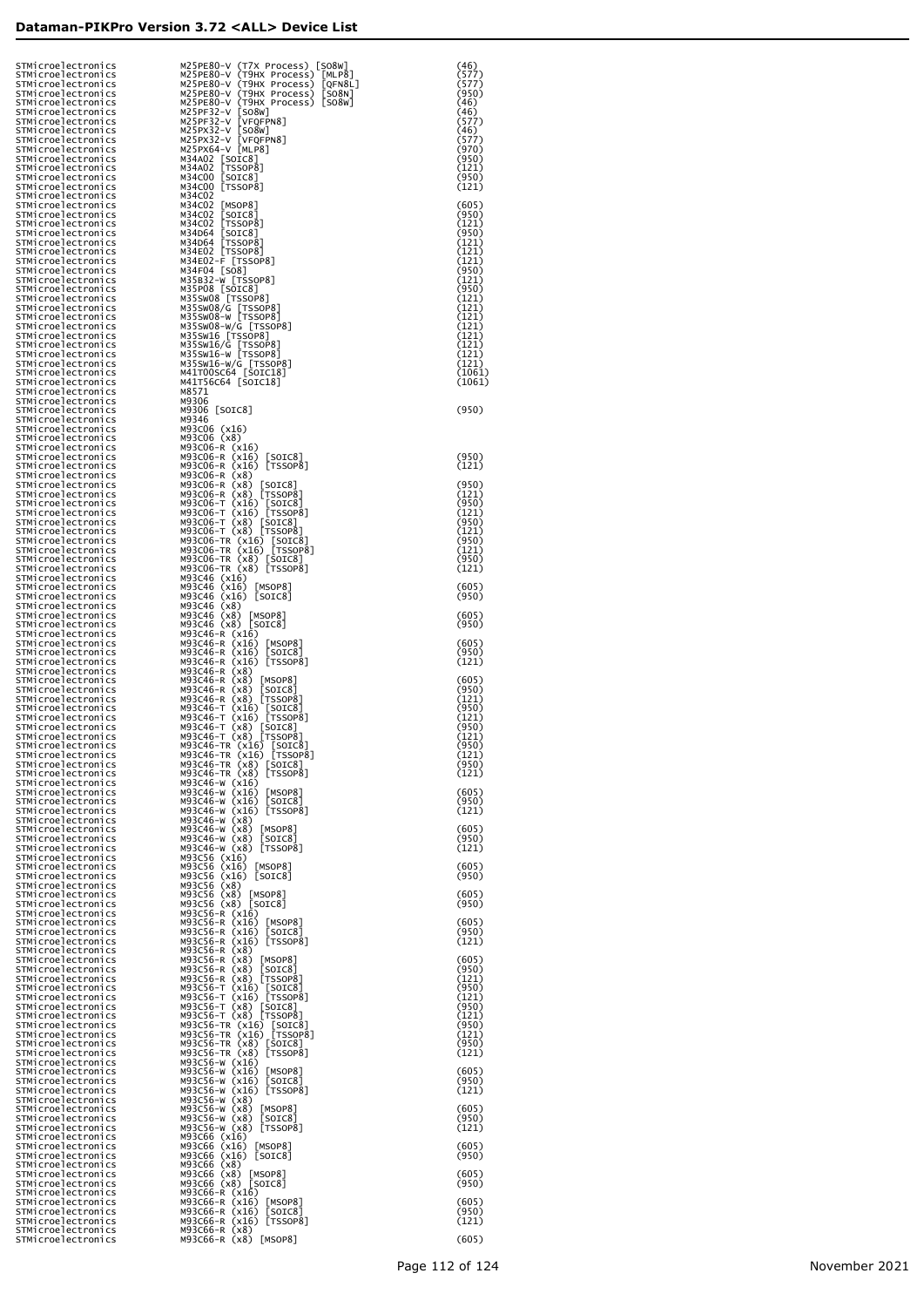|  | STMicroelectronics<br>STMicroelectronics<br>STMicroelectronics | M25PE80-V (T7X Process) [SO8W]<br>M25PE80-V (T9HX Process)<br>[MLP8]<br>M25PE80-V (T9HX Process)<br>[QFN8L] | (46)<br>(577)<br>(577)  |
|--|----------------------------------------------------------------|-------------------------------------------------------------------------------------------------------------|-------------------------|
|  | STMicroelectronics<br>STMicroelectronics                       | M25PE80-V (T9HX Process)<br>[508N]<br>M25PE80-V (T9HX Process) [SO8W]                                       | (950)<br>(46)           |
|  | STMicroelectronics<br>STMicroelectronics                       | M25PF32-V [SO8W]<br>M25PF32-V<br>[VFQFPN8]                                                                  | (46)<br>(577)           |
|  | STMicroelectronics<br>STMicroelectronics                       | M25PX32-V<br>[508W]<br>M25PX32-V [VFQFPN8]                                                                  | (46)<br>(577)           |
|  | STMicroelectronics<br>STMicroelectronics                       | M25PX64-V [MLP8]<br>M34A02 [SOIC8]                                                                          | (970)<br>(950)          |
|  | STMicroelectronics<br>STMicroelectronics<br>STMicroelectronics | M34A02 [TSSOP8]<br>M34C00 [SOIC8]<br>M34C00 [TSSOP8]                                                        | (121)<br>(950)<br>(121) |
|  | STMicroelectronics<br>STMicroelectronics                       | M34C02<br>M34C02 [MSOP8]                                                                                    | (605)                   |
|  | STMicroelectronics<br>STMicroelectronics                       | M34C02 [SOIC8]<br>M34C02 [TSSOP8]                                                                           | (950)<br>(121)          |
|  | STMicroelectronics<br>STMicroelectronics                       | M34D64 [SOIC8]<br>M34D64 [TSSOP8]                                                                           | (950)<br>(121)          |
|  | STMicroelectronics<br>STMicroelectronics                       | M34E02 [TSSOP8]<br>M34E02-F [TSSOP8]                                                                        | (121)<br>(121)          |
|  | STMicroelectronics<br>STMicroelectronics                       | M34F04 [SO8]<br>M35B32-W [TSSOP8]                                                                           | (950)<br>(121)          |
|  | STMicroelectronics<br>STMicroelectronics                       | M35P08 [SOIC8]<br>M35SW08 [TSSOP8]                                                                          | (950)<br>(121)          |
|  | STMicroelectronics<br>STMicroelectronics                       | M35SW08/G [TSSOP8]<br>M35SW08-W [TSSOP8]<br>M35SW08-W/G [TSSOP8]                                            | (121)<br>(121)<br>(121) |
|  | STMicroelectronics<br>STMicroelectronics<br>STMicroelectronics | M35SW16 [TSSOP8]                                                                                            | (121)<br>(121)          |
|  | STMicroelectronics<br>STMicroelectronics                       | M35SW16/G [TSSOP8]<br>M35SW16-W [TSSOP8]                                                                    | (121)<br>(121)          |
|  | STMicroelectronics<br>STMicroelectronics                       | M35SW16-W/G [TSSOP8]<br>M41T00SC64 [SOIC18]<br>M41T56C64 [SOIC18]                                           | (1061)<br>(1061)        |
|  | STMicroelectronics<br>STMicroelectronics                       | M8571<br>M9306                                                                                              |                         |
|  | STMicroelectronics<br>STMicroelectronics                       | M9306 [SOIC8]<br>M9346                                                                                      | (950)                   |
|  | STMicroelectronics<br>STMicroelectronics                       | M93C06 (x16)<br>M93C06 (x8)                                                                                 |                         |
|  | STMicroelectronics<br>STMicroelectronics                       | M93C06-R (x16)<br>M93C06-R (x16) [SOIC8]<br>M93C06-R (x16) [TSSOP8]                                         | (950)<br>(121)          |
|  | STMicroelectronics<br>STMicroelectronics<br>STMicroelectronics | M93C06-R (x8)<br>M93C06-R (x8)<br>[SOIC8]                                                                   | (950)                   |
|  | STMicroelectronics<br>STMicroelectronics                       | M93C06-R (x8) [TSSOP8]<br>M93C06-T (x16) [SOIC8]                                                            | (121)<br>(950)          |
|  | STMicroelectronics<br>STMicroelectronics                       | M93C06-T (x16) [TSSOP8]<br>M93C06-T (x8) [SOIC8]                                                            | (121)<br>(950)          |
|  | STMicroelectronics<br>STMicroelectronics                       | M93C06-T (x8) [TSSOP8]<br>M93C06-TR (x16) [SOIC8]                                                           | (121)<br>(950)          |
|  | STMicroelectronics<br>STMicroelectronics                       | M93C06-TR (x16) [TSSOP8]<br>M93C06-TR (x8) [SOIC8]                                                          | (121)<br>(950)          |
|  | STMicroelectronics<br>STMicroelectronics                       | M93C06-TR (x8) [TSSOP8]<br>M93C46 (x16)                                                                     | (121)                   |
|  | STMicroelectronics<br>STMicroelectronics<br>STMicroelectronics | M93C46 (x16)<br>[MSOP8]<br>M93C46 (x16) [SOIC8]<br>M93C46 (x8)                                              | (605)<br>(950)          |
|  | STMicroelectronics<br>STMicroelectronics                       | M93C46 (x8)<br>[MSOP8]<br>M93C46 (x8) [SOIC8]                                                               | (605)<br>(950)          |
|  | STMicroelectronics<br>STMicroelectronics                       | M93C46-R (x16)<br>M93C46-R (x16)<br>[MSOP8]                                                                 | (605)                   |
|  | STMicroelectronics<br>STMicroelectronics                       | [SOIC8]<br>M93C46-R (x16)<br>M93C46-R (x16) [TSSOP8]                                                        | (950)<br>(121)          |
|  | STMicroelectronics<br>STMicroelectronics                       | M93C46-R (x8)<br>M93C46-R (x8)<br>[MSOP8]                                                                   | (605)                   |
|  | STMicroelectronics<br>STMicroelectronics                       | M93C46-R (x8)<br>[SOTC8]<br>M93C46-R (x8) [TSSOP8]                                                          | (950)<br>(121)          |
|  | STMicroelectronics<br>STMicroelectronics<br>STMicroelectronics | M93C46-T (x16) [SOIC8]<br>M93C46-T (x16) [TSSOP8]<br>M93C46-T (x8) [SOIC8]                                  | (950)<br>(121)<br>(950) |
|  | STMicroelectronics<br>STMicroelectronics                       | M93C46-T (x8)<br>[TSSOP8]<br>M93C46-TR (x16) [SOIC8]                                                        | (121)<br>(950)          |
|  | STMicroelectronics<br>STMicroelectronics                       | M93C46-TR (x16) [TSSOP8]<br>M93C46-TR (x8) [SOIC8]                                                          | (121)<br>(950)          |
|  | STMicroelectronics<br>STMicroelectronics                       | M93C46-TR (x8) [TSSOP8]<br>M93C46-W (x16)                                                                   | (121)                   |
|  | STMicroelectronics<br>STMicroelectronics                       | M93C46-W (x16)<br>[MSOP8]<br>M93C46-W (x16)<br>[SOIC8]                                                      | (605)<br>(950)          |
|  | STMicroelectronics<br>STMicroelectronics                       | M93C46-W (x16) [TSSOP8]<br>M93C46-W (x8)                                                                    | (121)                   |
|  | STMicroelectronics<br>STMicroelectronics<br>STMicroelectronics | M93C46-W (x8)<br>[MSOP8]<br>M93C46-W (x8)<br>[SOTC8]<br>M93C46-W (x8) [TSSOP8]                              | (605)<br>(950)<br>(121) |
|  | STMicroelectronics<br>STMicroelectronics                       | M93C56 (x16)<br>M93C56 (x16)<br>[MSOP8]                                                                     | (605)                   |
|  | STMicroelectronics<br>STMicroelectronics                       | M93C56 (x16) [SOIC8]<br>M93C56 (x8)                                                                         | (950)                   |
|  | STMicroelectronics<br>STMicroelectronics                       | M93C56 (x8)<br>[MSOP8]<br>M93C56 (x8) [SOIC8]                                                               | (605)<br>(950)          |
|  | STMicroelectronics<br>STMicroelectronics                       | M93C56-R (x16)<br>M93C56-R (x16)<br>$\lfloor$ MSOP $8$ ]                                                    | (605)                   |
|  | STMicroelectronics<br>STMicroelectronics                       | M93C56-R (x16)<br>[SOIC8]<br>M93C56-R (x16) [TSSOP8]                                                        | (950)<br>(121)          |
|  | STMicroelectronics<br>STMicroelectronics<br>STMicroelectronics | M93C56-R (x8)<br>M93C56-R (x8)<br>[MSOP8]<br>M93C56-R (x8)<br>[SOTC8]                                       | (605)<br>(950)          |
|  | STMicroelectronics<br>STMicroelectronics                       | M93C56-R (x8) [TSSOP8]                                                                                      | (121)<br>(950)          |
|  | STMicroelectronics<br>STMicroelectronics                       | M93C56-T (x16) [SOIC8]<br>M93C56-T (x16) [TSSOP8]<br>M93C56-T (x8) [SOIC8]                                  | (121)<br>(950)          |
|  | STMicroelectronics<br>STMicroelectronics                       | M93C56-T (x8) [TSSOP8]<br>M93C56-TR (x16) [SOIC8]                                                           | (121)<br>(950)          |
|  | STMicroelectronics<br>STMicroelectronics                       | M93C56-TR (x16) [TSSOP8]<br>M93C56-TR (x8) [SOIC8]                                                          | (121)<br>(950)          |
|  | STMicroelectronics<br>STMicroelectronics                       | [TSSOP8]<br>M93C56-TR (x8)<br>M93C56-W (x16)                                                                | (121)                   |
|  | STMicroelectronics<br>STMicroelectronics<br>STMicroelectronics | M93C56-W (x16)<br>[MSOP8]<br>M93C56-W (x16)<br>[SOIC8]<br>M93C56-W (x16) [TSSOP8]                           | (605)<br>(950)<br>(121) |
|  | STMicroelectronics<br>STMicroelectronics                       | M93C56-W (x8)<br>M93C56-W (x8)<br>[MSOP8]                                                                   | (605)                   |
|  | STMicroelectronics<br>STMicroelectronics                       | M93C56-W (x8)<br>[SOTC8]<br>M93C56-W (x8) [TSSOP8]                                                          | (950)<br>(121)          |
|  | STMicroelectronics<br>STMicroelectronics                       | M93C66 (x16)<br>M93C66 (x16)<br>[MSOP8]                                                                     | (605)                   |
|  | STMicroelectronics<br>STMicroelectronics                       | M93C66 (x16) [SOIC8]<br>M93C66 (x8)                                                                         | (950)                   |
|  | STMicroelectronics<br>STMicroelectronics<br>STMicroelectronics | M93C66 (x8)<br>[MSOP8]<br>M93C66 (x8) [SOIC8]                                                               | (605)<br>(950)          |
|  | STMicroelectronics<br>STMicroelectronics                       | M93C66-R (x16)<br>M93C66-R (x16)<br>$\lfloor$ MSOP $8$ ]<br>M93C66-R (x16)<br>[SOIC8]                       | (605)<br>(950)          |
|  | STMicroelectronics<br>STMicroelectronics                       | M93C66-R (x16) [TSSOP8]<br>M93C66-R (x8)                                                                    | (121)                   |
|  | STMicroelectronics                                             | M93C66-R (x8)<br>[MSOP8]                                                                                    | (605)                   |

|  |                                                                                       | (970)<br>(950)<br>(121)<br>(950)<br>(121)                                                                                                        | ))))))              |   |
|--|---------------------------------------------------------------------------------------|--------------------------------------------------------------------------------------------------------------------------------------------------|---------------------|---|
|  |                                                                                       | (605)<br>(950)<br>(1211)<br>(1211)<br>(1211)<br>(1211)<br>(1211)<br>(1211)<br>(1211)<br>(1211)<br>(1211)<br>(1211)<br>(1211)<br>(1211)<br>(1211) | つうつう ううつううううううううしょく | ⊰ |
|  |                                                                                       | (950)                                                                                                                                            |                     |   |
|  |                                                                                       | (950)<br>(121)<br>(950)<br>(121)<br>(950)<br>(121)<br>(950)<br>(121)<br>(950)<br>(121)                                                           |                     |   |
|  |                                                                                       | (605)<br>(950)<br>(605)<br>(950)                                                                                                                 |                     |   |
|  |                                                                                       | (605)<br>(950)<br>(121)                                                                                                                          |                     |   |
|  |                                                                                       | (605)<br>(950)<br>(121)<br>(950)<br>(121)<br>(950)<br>(121)<br>(950)<br>(121)                                                                    |                     |   |
|  | (60<br>(95<br>(12                                                                     | 5)<br>0)<br>1)                                                                                                                                   |                     |   |
|  |                                                                                       | (605)<br>(950)<br>(121)                                                                                                                          |                     |   |
|  |                                                                                       | (605)<br>(950)                                                                                                                                   |                     |   |
|  |                                                                                       | $(605)$<br>(950)                                                                                                                                 |                     |   |
|  |                                                                                       | (605)<br>(950)<br>(121)                                                                                                                          |                     |   |
|  | (605)<br>(950)<br>(121<br>(950)<br>(121)<br>(950)<br>(121)<br>(950)<br>(121)<br>(121) | $\overline{1}$<br>$\vec{0}$ )<br>1)                                                                                                              |                     |   |
|  |                                                                                       | (605)<br>(950)<br>(121)                                                                                                                          |                     |   |
|  |                                                                                       | $(605)$<br>$(950)$<br>$(121)$                                                                                                                    |                     |   |
|  |                                                                                       | $(605)$<br>$(950)$                                                                                                                               |                     |   |
|  |                                                                                       | $(605)$<br>(950)                                                                                                                                 |                     |   |
|  |                                                                                       | (605)<br>(950)<br>(121)                                                                                                                          |                     |   |
|  |                                                                                       | (605)                                                                                                                                            |                     |   |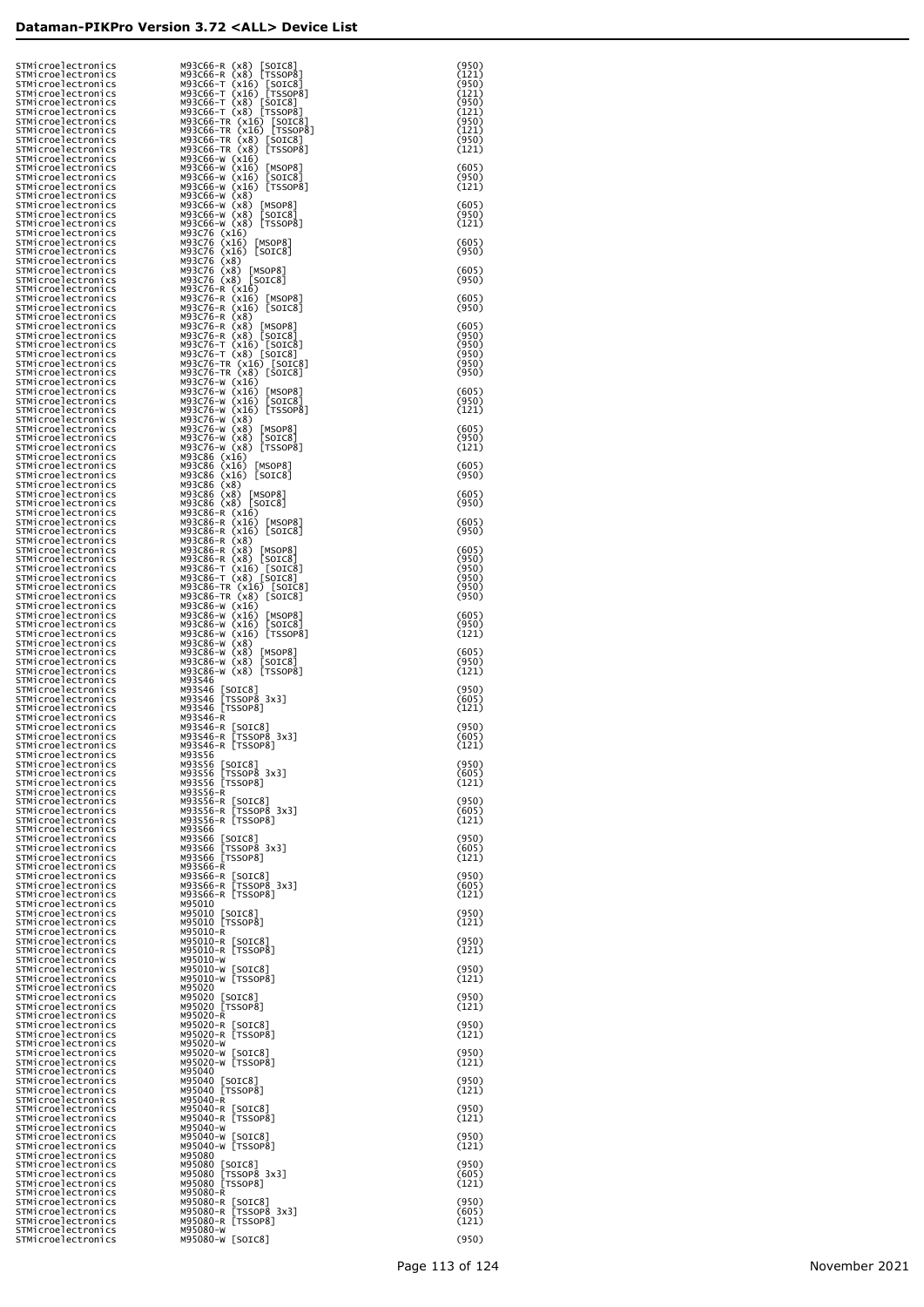| STMicroelectronics<br>STMicroelectronics                       | M93C66-R (x8)<br>[SOIC8]<br>M93C66-R (x8) [TSSOP8]                            | (950)<br>(121)          |
|----------------------------------------------------------------|-------------------------------------------------------------------------------|-------------------------|
| STMicroelectronics<br>STMicroelectronics<br>STMicroelectronics | M93C66-T (x16)<br>[SOIC8]<br>M93C66-T (x16) [TSSOP8]<br>M93C66-T (x8) [SOIC8] | (950)<br>(121)          |
| STMicroelectronics<br>STMicroelectronics                       | M93C66-T (x8) [TSSOP8]<br>M93C66-TR (x16) [SOIC8]                             | (950)<br>(121)<br>(950) |
| STMicroelectronics<br>STMicroelectronics                       | M93C66-TR (x16) [TSSOP8]<br>M93C66-TR (x8) [SOIC8]                            | (121)<br>(950)          |
| STMicroelectronics<br>STMicroelectronics                       | M93C66-TR (x8) [TSSOP8]<br>M93C66-W (x16)                                     | (121)                   |
| STMicroelectronics<br>STMicroelectronics                       | M93C66-W (x16)<br>[MSOP8]<br>M93C66-W (x16)<br>[SOIC8]                        | (605)<br>(950)          |
| STMicroelectronics<br>STMicroelectronics<br>STMicroelectronics | M93C66-W (x16) [TSSOP8]<br>M93C66-W (x8)<br>M93C66-W (x8)<br>LMSOP8]          | (121)<br>(605)          |
| STMicroelectronics<br>STMicroelectronics                       | [SOIC8]<br>M93C66-W (x8)<br>M93C66-W (x8) [TSSOP8]                            | (950)<br>(121)          |
| STMicroelectronics<br>STMicroelectronics                       | M93C76 (x16)<br>M93C76 (x16)<br>[MSOP8]                                       | (605)                   |
| STMicroelectronics<br>STMicroelectronics<br>STMicroelectronics | M93C76 (x16) [SOIC8]<br>M93C76 (x8)<br>M93C76 (x8)<br>$\lfloor$ MSOP $8$ ]    | (950)<br>(605)          |
| STMicroelectronics<br>STMicroelectronics                       | M93C76 (x8) [SOIC8]<br>M93C76-R (x16)                                         | (950)                   |
| STMicroelectronics<br>STMicroelectronics                       | M93C76-R (x16)<br>[MSOP8]<br>M93C76-R (x16)<br>[SOIC8]                        | (605)<br>(950)          |
| STMicroelectronics<br>STMicroelectronics<br>STMicroelectronics | M93C76-R (x8)<br>M93C76-R (x8)<br>[MSOP8]<br>M93C76-R (x8) [SOIC8]            | (605)<br>(950)          |
| STMicroelectronics<br>STMicroelectronics                       | M93C76-T (x16) [SOIC8<br>M93C76-T (x8) [SOIC8]<br>[SOIC8]                     | (950)<br>(950)          |
| STMicroelectronics<br>STMicroelectronics                       | M93C76-TR (x16) [SOIC8]<br>M93C76-TR (x8) [SOIC8]                             | (950)<br>(950)          |
| STMicroelectronics<br>STMicroelectronics                       | M93C76-W (x16)<br>M93C76-W (x16)<br>[MSOP8]                                   | (605)                   |
| STMicroelectronics<br>STMicroelectronics<br>STMicroelectronics | M93C76-W (x16)<br>[SOIC8]<br>[TSSOP8]<br>M93C76-W (x16)<br>M93C76-W (x8)      | (950)<br>(121)          |
| STMicroelectronics<br>STMicroelectronics                       | M93C76-W (x8)<br>[MSOP8]<br>[SOIC8]<br>M93C76-W (x8)                          | (605)<br>(950)          |
| STMicroelectronics<br>STMicroelectronics                       | [TSSOP8]<br>M93C76-W (x8)<br>M93C86 (x16)                                     | (121)                   |
| STMicroelectronics<br>STMicroelectronics<br>STMicroelectronics | M93C86 (x16)<br>$\lfloor$ MSOP8]<br>M93C86 (x16) [SOIC8]<br>M93C86 (x8)       | (605)<br>(950)          |
| STMicroelectronics<br>STMicroelectronics                       | M93C86 (x8)<br>$\lfloor$ MSOP $8$ ]<br>M93C86 (x8) [SOIC8]                    | (605)<br>(950)          |
| STMicroelectronics<br>STMicroelectronics                       | M93C86-R (x16)<br>M93C86-R (x16)<br>[MSOP8]                                   | (605)                   |
| STMicroelectronics<br>STMicroelectronics<br>STMicroelectronics | M93C86-R (x16) [SOIC8]<br>M93C86-R (x8)<br>M93C86-R (x8)<br>$\lfloor$ MSOP8]  | (950)<br>(605)          |
| STMicroelectronics<br>STMicroelectronics                       | M93C86-R (x8) [SOIC8]<br>[SOIC8]                                              | (950)<br>(950)          |
| STMicroelectronics<br>STMicroelectronics                       | M93C86-T (x16) [SOIC8<br>M93C86-T (x8) [SOIC8]<br>M93C86-TR (x16) [SOIC8]     | (950)<br>(950)          |
| STMicroelectronics<br>STMicroelectronics<br>STMicroelectronics | M93C86-TR (x8)<br>[SOIC8]<br>M93C86-W (x16)<br>M93C86-W (x16)<br> MSOP8       | (950)<br>(605)          |
| STMicroelectronics<br>STMicroelectronics                       | [SOIC8]<br>M93C86-W (x16)<br>[TSSOP8]<br>M93C86-W (x16)                       | (950)<br>(121)          |
| STMicroelectronics<br>STMicroelectronics                       | M93C86-W (x8)<br>M93C86-W (x8)<br>[MSOP8]                                     | (605)                   |
| STMicroelectronics<br>STMicroelectronics<br>STMicroelectronics | [SOIC8]<br>M93C86-W (x8)<br>M93C86-W (x8) [TSSOP8]<br>M93S46                  | (950)<br>(121)          |
| STMicroelectronics<br>STMicroelectronics                       | M93S46<br>$\lfloor$ SOIC $8$ ]<br>[TSSOP8 3x3]<br>M93S46                      | (950)<br>(605)          |
| STMicroelectronics<br>STMicroelectronics                       | M93S46 [TSSOP8]<br>M93S46-R                                                   | (121)                   |
| STMicroelectronics<br>STMicroelectronics<br>STMicroelectronics | M93S46-R<br>[SOIC8]<br>[TSSOP8_3x3]<br>M93S46-R<br>M93S46-R [TSSOP8]          | (950)<br>(605)<br>(121) |
| STMicroelectronics<br>STMicroelectronics                       | M93S56                                                                        | (950)                   |
| STMicroelectronics<br>STMicroelectronics                       | M93S56 [SOIC8]<br>M93S56 [TSSOP8 3x3]<br>M93S56 [TSSOP8]                      | (605)<br>(121)          |
| STMicroelectronics<br>STMicroelectronics<br>STMicroelectronics | M93S56-R<br>M93S56-R<br>[SOIC8]<br>[TSSOP8 3x3]<br>M93S56-R                   | (950)<br>(605)          |
| STMicroelectronics<br>STMicroelectronics                       | M93S56-R [TSSOP8]<br>M93S66                                                   | (121)                   |
| STMicroelectronics<br>STMicroelectronics                       | M93S66<br>[SOIC8]<br>[TSSOP8_3x3]<br>M93S66                                   | (950)<br>(605)          |
| STMicroelectronics<br>STMicroelectronics<br>STMicroelectronics | M93S66 [TSSOP8]<br>M93S66-R                                                   | (121)<br>(950)          |
| STMicroelectronics<br>STMicroelectronics                       | M93S66-R<br>[SOIC8]<br>[TSSOP8_3x3]<br>M93S66-R<br>M93S66-R [TSSOP8]          | (605)<br>(121)          |
| STMicroelectronics<br>STMicroelectronics                       | M95010<br>M95010<br>M95010 [SOIC8]<br>M95010 [TSSOP8]                         | (950)                   |
| STMicroelectronics<br>STMicroelectronics                       | M95010-R<br>M95010-R                                                          | (121)                   |
| STMicroelectronics<br>STMicroelectronics<br>STMicroelectronics | $\lfloor$ SOIC8]<br>M95010-R [TSSOP8]<br>M95010-W                             | (950)<br>(121)          |
| STMicroelectronics<br>STMicroelectronics                       | M95010-W [SOIC8]<br>M95010-W [TSSOP8]                                         | (950)<br>(121)          |
| STMicroelectronics<br>STMicroelectronics<br>STMicroelectronics | M95020<br>M95020<br>M95020 [SOIC8]<br>M95020 [TSSOP8]                         | (950)                   |
| STMicroelectronics<br>STMicroelectronics                       | M95020-R<br>M95020-R<br>$\lfloor$ SOIC $8$ ]                                  | (121)<br>(950)          |
| STMicroelectronics<br>STMicroelectronics                       | [TSSOP8]<br>M95020-R<br>M95020-W                                              | (121)                   |
| STMicroelectronics<br>STMicroelectronics                       | M95020-W [SOIC8]<br>M95020-W [TSSOP8]                                         | (950)<br>(121)          |
| STMicroelectronics<br>STMicroelectronics<br>STMicroelectronics | M95040<br>M95040<br>M95040 [SOIC8]<br>M95040 [TSSOP8]                         | (950)<br>(121)          |
| STMicroelectronics<br>STMicroelectronics                       | M95040-R<br>M95040-R<br>$\lfloor$ SOIC8]                                      | (950)                   |
| STMicroelectronics<br>STMicroelectronics<br>STMicroelectronics | M95040-R [TSSOP8]<br>M95040-W                                                 | (121)<br>(950)          |
| STMicroelectronics<br>STMicroelectronics                       | M95040-W [SOIC8]<br>M95040-W [TSSOP8]<br>M95080                               | (121)                   |
| STMicroelectronics<br>STMicroelectronics                       | M95080<br>[SOIC8]<br>[TSSOP8_3x3]<br>M95080                                   | (950)<br>(605)          |
| STMicroelectronics<br>STMicroelectronics<br>STMicroelectronics | M95080 [TSSOP8]<br>M95080-R<br>M95080-R                                       | (121)<br>(950)          |
| STMicroelectronics<br>STMicroelectronics                       | [SOIC8]<br>[TSSOP8_3x3]<br>M95080-R<br>M95080-R [TSSOP8]                      | (605)<br>(121)          |
| STMicroelectronics<br>STMicroelectronics                       | M95080-W<br>M95080-W [SOIC8]                                                  | (950)                   |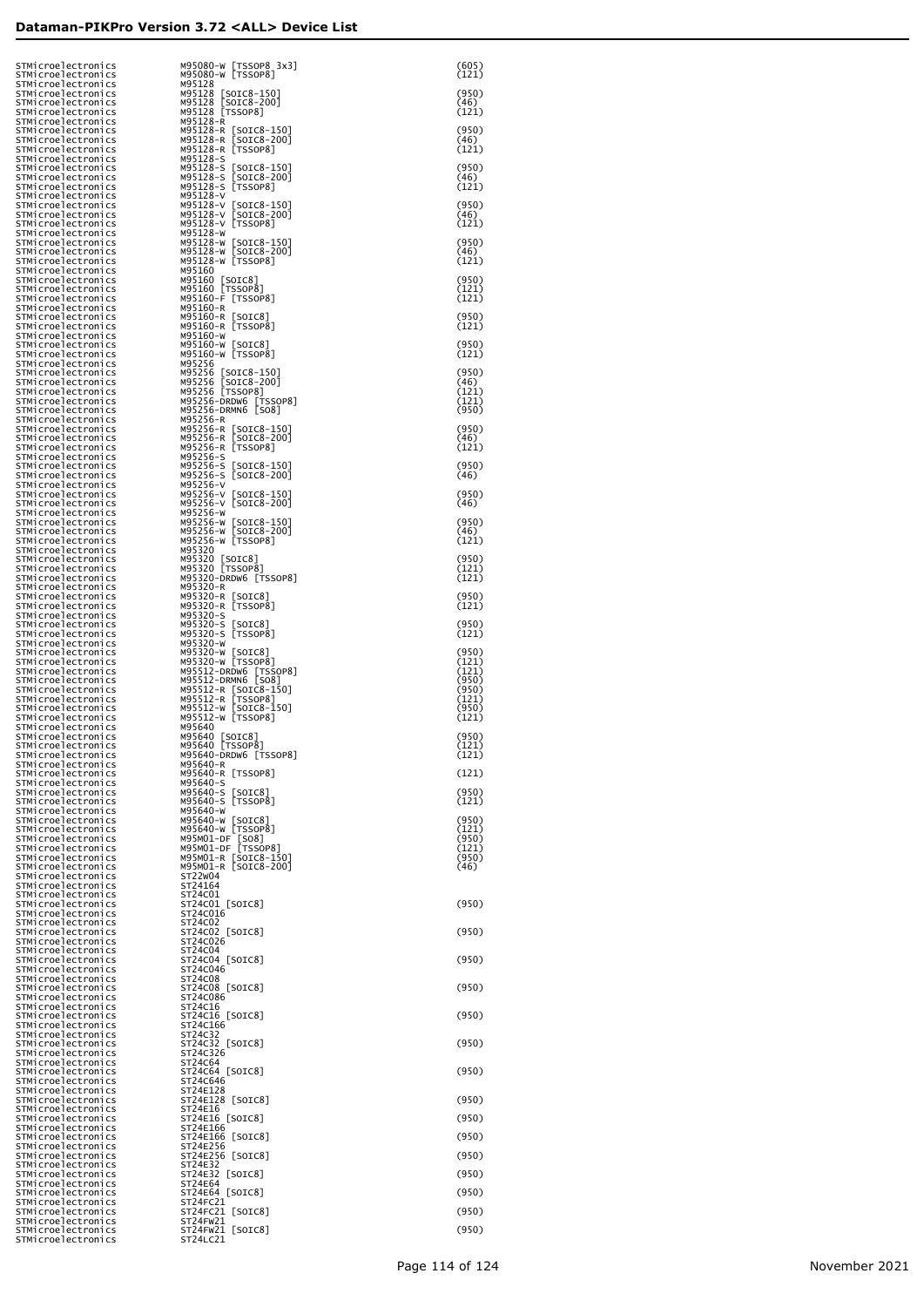|                                                                |                                                                                                                                                                                                                                                                                                                                                                                                                                                                                                                                                                                                                                                                                                                                                                                                                                                                                                                                                                                                                                                                                                                                                                                                                                                                                                                                                                                                                                                                                                                                                                                                                                                                                                                                                                                                                                                                                                                                                                                                                                                                                                                                                                                                                                          | (605)<br>(121)                                                                                                                                                                                                                                                                                                                                                                                                                                                                                                                                                                                                                                                                                                                                                                                                                                                                                                                                                                                                                                                                                                                                                                                                                                                                                                                                                                                                                                                                                                                                                                                                                                                                                                                                           |
|----------------------------------------------------------------|------------------------------------------------------------------------------------------------------------------------------------------------------------------------------------------------------------------------------------------------------------------------------------------------------------------------------------------------------------------------------------------------------------------------------------------------------------------------------------------------------------------------------------------------------------------------------------------------------------------------------------------------------------------------------------------------------------------------------------------------------------------------------------------------------------------------------------------------------------------------------------------------------------------------------------------------------------------------------------------------------------------------------------------------------------------------------------------------------------------------------------------------------------------------------------------------------------------------------------------------------------------------------------------------------------------------------------------------------------------------------------------------------------------------------------------------------------------------------------------------------------------------------------------------------------------------------------------------------------------------------------------------------------------------------------------------------------------------------------------------------------------------------------------------------------------------------------------------------------------------------------------------------------------------------------------------------------------------------------------------------------------------------------------------------------------------------------------------------------------------------------------------------------------------------------------------------------------------------------------|----------------------------------------------------------------------------------------------------------------------------------------------------------------------------------------------------------------------------------------------------------------------------------------------------------------------------------------------------------------------------------------------------------------------------------------------------------------------------------------------------------------------------------------------------------------------------------------------------------------------------------------------------------------------------------------------------------------------------------------------------------------------------------------------------------------------------------------------------------------------------------------------------------------------------------------------------------------------------------------------------------------------------------------------------------------------------------------------------------------------------------------------------------------------------------------------------------------------------------------------------------------------------------------------------------------------------------------------------------------------------------------------------------------------------------------------------------------------------------------------------------------------------------------------------------------------------------------------------------------------------------------------------------------------------------------------------------------------------------------------------------|
|                                                                |                                                                                                                                                                                                                                                                                                                                                                                                                                                                                                                                                                                                                                                                                                                                                                                                                                                                                                                                                                                                                                                                                                                                                                                                                                                                                                                                                                                                                                                                                                                                                                                                                                                                                                                                                                                                                                                                                                                                                                                                                                                                                                                                                                                                                                          | (950)                                                                                                                                                                                                                                                                                                                                                                                                                                                                                                                                                                                                                                                                                                                                                                                                                                                                                                                                                                                                                                                                                                                                                                                                                                                                                                                                                                                                                                                                                                                                                                                                                                                                                                                                                    |
|                                                                |                                                                                                                                                                                                                                                                                                                                                                                                                                                                                                                                                                                                                                                                                                                                                                                                                                                                                                                                                                                                                                                                                                                                                                                                                                                                                                                                                                                                                                                                                                                                                                                                                                                                                                                                                                                                                                                                                                                                                                                                                                                                                                                                                                                                                                          | (46)<br>(121)                                                                                                                                                                                                                                                                                                                                                                                                                                                                                                                                                                                                                                                                                                                                                                                                                                                                                                                                                                                                                                                                                                                                                                                                                                                                                                                                                                                                                                                                                                                                                                                                                                                                                                                                            |
|                                                                |                                                                                                                                                                                                                                                                                                                                                                                                                                                                                                                                                                                                                                                                                                                                                                                                                                                                                                                                                                                                                                                                                                                                                                                                                                                                                                                                                                                                                                                                                                                                                                                                                                                                                                                                                                                                                                                                                                                                                                                                                                                                                                                                                                                                                                          | (950)                                                                                                                                                                                                                                                                                                                                                                                                                                                                                                                                                                                                                                                                                                                                                                                                                                                                                                                                                                                                                                                                                                                                                                                                                                                                                                                                                                                                                                                                                                                                                                                                                                                                                                                                                    |
|                                                                |                                                                                                                                                                                                                                                                                                                                                                                                                                                                                                                                                                                                                                                                                                                                                                                                                                                                                                                                                                                                                                                                                                                                                                                                                                                                                                                                                                                                                                                                                                                                                                                                                                                                                                                                                                                                                                                                                                                                                                                                                                                                                                                                                                                                                                          | (46)<br>(121)                                                                                                                                                                                                                                                                                                                                                                                                                                                                                                                                                                                                                                                                                                                                                                                                                                                                                                                                                                                                                                                                                                                                                                                                                                                                                                                                                                                                                                                                                                                                                                                                                                                                                                                                            |
|                                                                |                                                                                                                                                                                                                                                                                                                                                                                                                                                                                                                                                                                                                                                                                                                                                                                                                                                                                                                                                                                                                                                                                                                                                                                                                                                                                                                                                                                                                                                                                                                                                                                                                                                                                                                                                                                                                                                                                                                                                                                                                                                                                                                                                                                                                                          | (950)                                                                                                                                                                                                                                                                                                                                                                                                                                                                                                                                                                                                                                                                                                                                                                                                                                                                                                                                                                                                                                                                                                                                                                                                                                                                                                                                                                                                                                                                                                                                                                                                                                                                                                                                                    |
|                                                                | [SOIC8-200]                                                                                                                                                                                                                                                                                                                                                                                                                                                                                                                                                                                                                                                                                                                                                                                                                                                                                                                                                                                                                                                                                                                                                                                                                                                                                                                                                                                                                                                                                                                                                                                                                                                                                                                                                                                                                                                                                                                                                                                                                                                                                                                                                                                                                              | (46)                                                                                                                                                                                                                                                                                                                                                                                                                                                                                                                                                                                                                                                                                                                                                                                                                                                                                                                                                                                                                                                                                                                                                                                                                                                                                                                                                                                                                                                                                                                                                                                                                                                                                                                                                     |
|                                                                |                                                                                                                                                                                                                                                                                                                                                                                                                                                                                                                                                                                                                                                                                                                                                                                                                                                                                                                                                                                                                                                                                                                                                                                                                                                                                                                                                                                                                                                                                                                                                                                                                                                                                                                                                                                                                                                                                                                                                                                                                                                                                                                                                                                                                                          | (121)                                                                                                                                                                                                                                                                                                                                                                                                                                                                                                                                                                                                                                                                                                                                                                                                                                                                                                                                                                                                                                                                                                                                                                                                                                                                                                                                                                                                                                                                                                                                                                                                                                                                                                                                                    |
|                                                                | [SOIC8-200]                                                                                                                                                                                                                                                                                                                                                                                                                                                                                                                                                                                                                                                                                                                                                                                                                                                                                                                                                                                                                                                                                                                                                                                                                                                                                                                                                                                                                                                                                                                                                                                                                                                                                                                                                                                                                                                                                                                                                                                                                                                                                                                                                                                                                              | (950)<br>(46)                                                                                                                                                                                                                                                                                                                                                                                                                                                                                                                                                                                                                                                                                                                                                                                                                                                                                                                                                                                                                                                                                                                                                                                                                                                                                                                                                                                                                                                                                                                                                                                                                                                                                                                                            |
|                                                                |                                                                                                                                                                                                                                                                                                                                                                                                                                                                                                                                                                                                                                                                                                                                                                                                                                                                                                                                                                                                                                                                                                                                                                                                                                                                                                                                                                                                                                                                                                                                                                                                                                                                                                                                                                                                                                                                                                                                                                                                                                                                                                                                                                                                                                          | (121)<br>(950)                                                                                                                                                                                                                                                                                                                                                                                                                                                                                                                                                                                                                                                                                                                                                                                                                                                                                                                                                                                                                                                                                                                                                                                                                                                                                                                                                                                                                                                                                                                                                                                                                                                                                                                                           |
|                                                                |                                                                                                                                                                                                                                                                                                                                                                                                                                                                                                                                                                                                                                                                                                                                                                                                                                                                                                                                                                                                                                                                                                                                                                                                                                                                                                                                                                                                                                                                                                                                                                                                                                                                                                                                                                                                                                                                                                                                                                                                                                                                                                                                                                                                                                          | (46)                                                                                                                                                                                                                                                                                                                                                                                                                                                                                                                                                                                                                                                                                                                                                                                                                                                                                                                                                                                                                                                                                                                                                                                                                                                                                                                                                                                                                                                                                                                                                                                                                                                                                                                                                     |
|                                                                |                                                                                                                                                                                                                                                                                                                                                                                                                                                                                                                                                                                                                                                                                                                                                                                                                                                                                                                                                                                                                                                                                                                                                                                                                                                                                                                                                                                                                                                                                                                                                                                                                                                                                                                                                                                                                                                                                                                                                                                                                                                                                                                                                                                                                                          | (121)                                                                                                                                                                                                                                                                                                                                                                                                                                                                                                                                                                                                                                                                                                                                                                                                                                                                                                                                                                                                                                                                                                                                                                                                                                                                                                                                                                                                                                                                                                                                                                                                                                                                                                                                                    |
|                                                                |                                                                                                                                                                                                                                                                                                                                                                                                                                                                                                                                                                                                                                                                                                                                                                                                                                                                                                                                                                                                                                                                                                                                                                                                                                                                                                                                                                                                                                                                                                                                                                                                                                                                                                                                                                                                                                                                                                                                                                                                                                                                                                                                                                                                                                          | (950)<br>(121)                                                                                                                                                                                                                                                                                                                                                                                                                                                                                                                                                                                                                                                                                                                                                                                                                                                                                                                                                                                                                                                                                                                                                                                                                                                                                                                                                                                                                                                                                                                                                                                                                                                                                                                                           |
|                                                                |                                                                                                                                                                                                                                                                                                                                                                                                                                                                                                                                                                                                                                                                                                                                                                                                                                                                                                                                                                                                                                                                                                                                                                                                                                                                                                                                                                                                                                                                                                                                                                                                                                                                                                                                                                                                                                                                                                                                                                                                                                                                                                                                                                                                                                          | (121)                                                                                                                                                                                                                                                                                                                                                                                                                                                                                                                                                                                                                                                                                                                                                                                                                                                                                                                                                                                                                                                                                                                                                                                                                                                                                                                                                                                                                                                                                                                                                                                                                                                                                                                                                    |
|                                                                |                                                                                                                                                                                                                                                                                                                                                                                                                                                                                                                                                                                                                                                                                                                                                                                                                                                                                                                                                                                                                                                                                                                                                                                                                                                                                                                                                                                                                                                                                                                                                                                                                                                                                                                                                                                                                                                                                                                                                                                                                                                                                                                                                                                                                                          | (950)<br>(121)                                                                                                                                                                                                                                                                                                                                                                                                                                                                                                                                                                                                                                                                                                                                                                                                                                                                                                                                                                                                                                                                                                                                                                                                                                                                                                                                                                                                                                                                                                                                                                                                                                                                                                                                           |
|                                                                |                                                                                                                                                                                                                                                                                                                                                                                                                                                                                                                                                                                                                                                                                                                                                                                                                                                                                                                                                                                                                                                                                                                                                                                                                                                                                                                                                                                                                                                                                                                                                                                                                                                                                                                                                                                                                                                                                                                                                                                                                                                                                                                                                                                                                                          | (950)                                                                                                                                                                                                                                                                                                                                                                                                                                                                                                                                                                                                                                                                                                                                                                                                                                                                                                                                                                                                                                                                                                                                                                                                                                                                                                                                                                                                                                                                                                                                                                                                                                                                                                                                                    |
|                                                                |                                                                                                                                                                                                                                                                                                                                                                                                                                                                                                                                                                                                                                                                                                                                                                                                                                                                                                                                                                                                                                                                                                                                                                                                                                                                                                                                                                                                                                                                                                                                                                                                                                                                                                                                                                                                                                                                                                                                                                                                                                                                                                                                                                                                                                          | (121)                                                                                                                                                                                                                                                                                                                                                                                                                                                                                                                                                                                                                                                                                                                                                                                                                                                                                                                                                                                                                                                                                                                                                                                                                                                                                                                                                                                                                                                                                                                                                                                                                                                                                                                                                    |
|                                                                |                                                                                                                                                                                                                                                                                                                                                                                                                                                                                                                                                                                                                                                                                                                                                                                                                                                                                                                                                                                                                                                                                                                                                                                                                                                                                                                                                                                                                                                                                                                                                                                                                                                                                                                                                                                                                                                                                                                                                                                                                                                                                                                                                                                                                                          | (950)<br>(46)                                                                                                                                                                                                                                                                                                                                                                                                                                                                                                                                                                                                                                                                                                                                                                                                                                                                                                                                                                                                                                                                                                                                                                                                                                                                                                                                                                                                                                                                                                                                                                                                                                                                                                                                            |
|                                                                |                                                                                                                                                                                                                                                                                                                                                                                                                                                                                                                                                                                                                                                                                                                                                                                                                                                                                                                                                                                                                                                                                                                                                                                                                                                                                                                                                                                                                                                                                                                                                                                                                                                                                                                                                                                                                                                                                                                                                                                                                                                                                                                                                                                                                                          | (121)<br>(121)                                                                                                                                                                                                                                                                                                                                                                                                                                                                                                                                                                                                                                                                                                                                                                                                                                                                                                                                                                                                                                                                                                                                                                                                                                                                                                                                                                                                                                                                                                                                                                                                                                                                                                                                           |
|                                                                |                                                                                                                                                                                                                                                                                                                                                                                                                                                                                                                                                                                                                                                                                                                                                                                                                                                                                                                                                                                                                                                                                                                                                                                                                                                                                                                                                                                                                                                                                                                                                                                                                                                                                                                                                                                                                                                                                                                                                                                                                                                                                                                                                                                                                                          | (950)                                                                                                                                                                                                                                                                                                                                                                                                                                                                                                                                                                                                                                                                                                                                                                                                                                                                                                                                                                                                                                                                                                                                                                                                                                                                                                                                                                                                                                                                                                                                                                                                                                                                                                                                                    |
|                                                                |                                                                                                                                                                                                                                                                                                                                                                                                                                                                                                                                                                                                                                                                                                                                                                                                                                                                                                                                                                                                                                                                                                                                                                                                                                                                                                                                                                                                                                                                                                                                                                                                                                                                                                                                                                                                                                                                                                                                                                                                                                                                                                                                                                                                                                          | (950)<br>(46)                                                                                                                                                                                                                                                                                                                                                                                                                                                                                                                                                                                                                                                                                                                                                                                                                                                                                                                                                                                                                                                                                                                                                                                                                                                                                                                                                                                                                                                                                                                                                                                                                                                                                                                                            |
|                                                                |                                                                                                                                                                                                                                                                                                                                                                                                                                                                                                                                                                                                                                                                                                                                                                                                                                                                                                                                                                                                                                                                                                                                                                                                                                                                                                                                                                                                                                                                                                                                                                                                                                                                                                                                                                                                                                                                                                                                                                                                                                                                                                                                                                                                                                          | (121)                                                                                                                                                                                                                                                                                                                                                                                                                                                                                                                                                                                                                                                                                                                                                                                                                                                                                                                                                                                                                                                                                                                                                                                                                                                                                                                                                                                                                                                                                                                                                                                                                                                                                                                                                    |
|                                                                |                                                                                                                                                                                                                                                                                                                                                                                                                                                                                                                                                                                                                                                                                                                                                                                                                                                                                                                                                                                                                                                                                                                                                                                                                                                                                                                                                                                                                                                                                                                                                                                                                                                                                                                                                                                                                                                                                                                                                                                                                                                                                                                                                                                                                                          | (950)<br>(46)                                                                                                                                                                                                                                                                                                                                                                                                                                                                                                                                                                                                                                                                                                                                                                                                                                                                                                                                                                                                                                                                                                                                                                                                                                                                                                                                                                                                                                                                                                                                                                                                                                                                                                                                            |
|                                                                |                                                                                                                                                                                                                                                                                                                                                                                                                                                                                                                                                                                                                                                                                                                                                                                                                                                                                                                                                                                                                                                                                                                                                                                                                                                                                                                                                                                                                                                                                                                                                                                                                                                                                                                                                                                                                                                                                                                                                                                                                                                                                                                                                                                                                                          | (950)                                                                                                                                                                                                                                                                                                                                                                                                                                                                                                                                                                                                                                                                                                                                                                                                                                                                                                                                                                                                                                                                                                                                                                                                                                                                                                                                                                                                                                                                                                                                                                                                                                                                                                                                                    |
|                                                                |                                                                                                                                                                                                                                                                                                                                                                                                                                                                                                                                                                                                                                                                                                                                                                                                                                                                                                                                                                                                                                                                                                                                                                                                                                                                                                                                                                                                                                                                                                                                                                                                                                                                                                                                                                                                                                                                                                                                                                                                                                                                                                                                                                                                                                          | (46)                                                                                                                                                                                                                                                                                                                                                                                                                                                                                                                                                                                                                                                                                                                                                                                                                                                                                                                                                                                                                                                                                                                                                                                                                                                                                                                                                                                                                                                                                                                                                                                                                                                                                                                                                     |
|                                                                |                                                                                                                                                                                                                                                                                                                                                                                                                                                                                                                                                                                                                                                                                                                                                                                                                                                                                                                                                                                                                                                                                                                                                                                                                                                                                                                                                                                                                                                                                                                                                                                                                                                                                                                                                                                                                                                                                                                                                                                                                                                                                                                                                                                                                                          | (950)<br>(46)                                                                                                                                                                                                                                                                                                                                                                                                                                                                                                                                                                                                                                                                                                                                                                                                                                                                                                                                                                                                                                                                                                                                                                                                                                                                                                                                                                                                                                                                                                                                                                                                                                                                                                                                            |
|                                                                |                                                                                                                                                                                                                                                                                                                                                                                                                                                                                                                                                                                                                                                                                                                                                                                                                                                                                                                                                                                                                                                                                                                                                                                                                                                                                                                                                                                                                                                                                                                                                                                                                                                                                                                                                                                                                                                                                                                                                                                                                                                                                                                                                                                                                                          | (121)                                                                                                                                                                                                                                                                                                                                                                                                                                                                                                                                                                                                                                                                                                                                                                                                                                                                                                                                                                                                                                                                                                                                                                                                                                                                                                                                                                                                                                                                                                                                                                                                                                                                                                                                                    |
|                                                                |                                                                                                                                                                                                                                                                                                                                                                                                                                                                                                                                                                                                                                                                                                                                                                                                                                                                                                                                                                                                                                                                                                                                                                                                                                                                                                                                                                                                                                                                                                                                                                                                                                                                                                                                                                                                                                                                                                                                                                                                                                                                                                                                                                                                                                          | (950)<br>(121)                                                                                                                                                                                                                                                                                                                                                                                                                                                                                                                                                                                                                                                                                                                                                                                                                                                                                                                                                                                                                                                                                                                                                                                                                                                                                                                                                                                                                                                                                                                                                                                                                                                                                                                                           |
|                                                                |                                                                                                                                                                                                                                                                                                                                                                                                                                                                                                                                                                                                                                                                                                                                                                                                                                                                                                                                                                                                                                                                                                                                                                                                                                                                                                                                                                                                                                                                                                                                                                                                                                                                                                                                                                                                                                                                                                                                                                                                                                                                                                                                                                                                                                          | (121)                                                                                                                                                                                                                                                                                                                                                                                                                                                                                                                                                                                                                                                                                                                                                                                                                                                                                                                                                                                                                                                                                                                                                                                                                                                                                                                                                                                                                                                                                                                                                                                                                                                                                                                                                    |
|                                                                |                                                                                                                                                                                                                                                                                                                                                                                                                                                                                                                                                                                                                                                                                                                                                                                                                                                                                                                                                                                                                                                                                                                                                                                                                                                                                                                                                                                                                                                                                                                                                                                                                                                                                                                                                                                                                                                                                                                                                                                                                                                                                                                                                                                                                                          | (950)<br>(121)                                                                                                                                                                                                                                                                                                                                                                                                                                                                                                                                                                                                                                                                                                                                                                                                                                                                                                                                                                                                                                                                                                                                                                                                                                                                                                                                                                                                                                                                                                                                                                                                                                                                                                                                           |
|                                                                |                                                                                                                                                                                                                                                                                                                                                                                                                                                                                                                                                                                                                                                                                                                                                                                                                                                                                                                                                                                                                                                                                                                                                                                                                                                                                                                                                                                                                                                                                                                                                                                                                                                                                                                                                                                                                                                                                                                                                                                                                                                                                                                                                                                                                                          | (950)                                                                                                                                                                                                                                                                                                                                                                                                                                                                                                                                                                                                                                                                                                                                                                                                                                                                                                                                                                                                                                                                                                                                                                                                                                                                                                                                                                                                                                                                                                                                                                                                                                                                                                                                                    |
|                                                                |                                                                                                                                                                                                                                                                                                                                                                                                                                                                                                                                                                                                                                                                                                                                                                                                                                                                                                                                                                                                                                                                                                                                                                                                                                                                                                                                                                                                                                                                                                                                                                                                                                                                                                                                                                                                                                                                                                                                                                                                                                                                                                                                                                                                                                          | (121)                                                                                                                                                                                                                                                                                                                                                                                                                                                                                                                                                                                                                                                                                                                                                                                                                                                                                                                                                                                                                                                                                                                                                                                                                                                                                                                                                                                                                                                                                                                                                                                                                                                                                                                                                    |
|                                                                |                                                                                                                                                                                                                                                                                                                                                                                                                                                                                                                                                                                                                                                                                                                                                                                                                                                                                                                                                                                                                                                                                                                                                                                                                                                                                                                                                                                                                                                                                                                                                                                                                                                                                                                                                                                                                                                                                                                                                                                                                                                                                                                                                                                                                                          | (950)<br>(121)<br>(121)                                                                                                                                                                                                                                                                                                                                                                                                                                                                                                                                                                                                                                                                                                                                                                                                                                                                                                                                                                                                                                                                                                                                                                                                                                                                                                                                                                                                                                                                                                                                                                                                                                                                                                                                  |
|                                                                |                                                                                                                                                                                                                                                                                                                                                                                                                                                                                                                                                                                                                                                                                                                                                                                                                                                                                                                                                                                                                                                                                                                                                                                                                                                                                                                                                                                                                                                                                                                                                                                                                                                                                                                                                                                                                                                                                                                                                                                                                                                                                                                                                                                                                                          | (950)<br>(950)                                                                                                                                                                                                                                                                                                                                                                                                                                                                                                                                                                                                                                                                                                                                                                                                                                                                                                                                                                                                                                                                                                                                                                                                                                                                                                                                                                                                                                                                                                                                                                                                                                                                                                                                           |
|                                                                |                                                                                                                                                                                                                                                                                                                                                                                                                                                                                                                                                                                                                                                                                                                                                                                                                                                                                                                                                                                                                                                                                                                                                                                                                                                                                                                                                                                                                                                                                                                                                                                                                                                                                                                                                                                                                                                                                                                                                                                                                                                                                                                                                                                                                                          | (121)<br>(950)                                                                                                                                                                                                                                                                                                                                                                                                                                                                                                                                                                                                                                                                                                                                                                                                                                                                                                                                                                                                                                                                                                                                                                                                                                                                                                                                                                                                                                                                                                                                                                                                                                                                                                                                           |
|                                                                |                                                                                                                                                                                                                                                                                                                                                                                                                                                                                                                                                                                                                                                                                                                                                                                                                                                                                                                                                                                                                                                                                                                                                                                                                                                                                                                                                                                                                                                                                                                                                                                                                                                                                                                                                                                                                                                                                                                                                                                                                                                                                                                                                                                                                                          | (121)                                                                                                                                                                                                                                                                                                                                                                                                                                                                                                                                                                                                                                                                                                                                                                                                                                                                                                                                                                                                                                                                                                                                                                                                                                                                                                                                                                                                                                                                                                                                                                                                                                                                                                                                                    |
|                                                                |                                                                                                                                                                                                                                                                                                                                                                                                                                                                                                                                                                                                                                                                                                                                                                                                                                                                                                                                                                                                                                                                                                                                                                                                                                                                                                                                                                                                                                                                                                                                                                                                                                                                                                                                                                                                                                                                                                                                                                                                                                                                                                                                                                                                                                          | (950)<br>(121)                                                                                                                                                                                                                                                                                                                                                                                                                                                                                                                                                                                                                                                                                                                                                                                                                                                                                                                                                                                                                                                                                                                                                                                                                                                                                                                                                                                                                                                                                                                                                                                                                                                                                                                                           |
|                                                                | M95640-DRDW6 [TSSOP8]                                                                                                                                                                                                                                                                                                                                                                                                                                                                                                                                                                                                                                                                                                                                                                                                                                                                                                                                                                                                                                                                                                                                                                                                                                                                                                                                                                                                                                                                                                                                                                                                                                                                                                                                                                                                                                                                                                                                                                                                                                                                                                                                                                                                                    | (TST)                                                                                                                                                                                                                                                                                                                                                                                                                                                                                                                                                                                                                                                                                                                                                                                                                                                                                                                                                                                                                                                                                                                                                                                                                                                                                                                                                                                                                                                                                                                                                                                                                                                                                                                                                    |
|                                                                |                                                                                                                                                                                                                                                                                                                                                                                                                                                                                                                                                                                                                                                                                                                                                                                                                                                                                                                                                                                                                                                                                                                                                                                                                                                                                                                                                                                                                                                                                                                                                                                                                                                                                                                                                                                                                                                                                                                                                                                                                                                                                                                                                                                                                                          | (121)                                                                                                                                                                                                                                                                                                                                                                                                                                                                                                                                                                                                                                                                                                                                                                                                                                                                                                                                                                                                                                                                                                                                                                                                                                                                                                                                                                                                                                                                                                                                                                                                                                                                                                                                                    |
|                                                                |                                                                                                                                                                                                                                                                                                                                                                                                                                                                                                                                                                                                                                                                                                                                                                                                                                                                                                                                                                                                                                                                                                                                                                                                                                                                                                                                                                                                                                                                                                                                                                                                                                                                                                                                                                                                                                                                                                                                                                                                                                                                                                                                                                                                                                          | (950)<br>(121)                                                                                                                                                                                                                                                                                                                                                                                                                                                                                                                                                                                                                                                                                                                                                                                                                                                                                                                                                                                                                                                                                                                                                                                                                                                                                                                                                                                                                                                                                                                                                                                                                                                                                                                                           |
|                                                                |                                                                                                                                                                                                                                                                                                                                                                                                                                                                                                                                                                                                                                                                                                                                                                                                                                                                                                                                                                                                                                                                                                                                                                                                                                                                                                                                                                                                                                                                                                                                                                                                                                                                                                                                                                                                                                                                                                                                                                                                                                                                                                                                                                                                                                          | (950)                                                                                                                                                                                                                                                                                                                                                                                                                                                                                                                                                                                                                                                                                                                                                                                                                                                                                                                                                                                                                                                                                                                                                                                                                                                                                                                                                                                                                                                                                                                                                                                                                                                                                                                                                    |
|                                                                |                                                                                                                                                                                                                                                                                                                                                                                                                                                                                                                                                                                                                                                                                                                                                                                                                                                                                                                                                                                                                                                                                                                                                                                                                                                                                                                                                                                                                                                                                                                                                                                                                                                                                                                                                                                                                                                                                                                                                                                                                                                                                                                                                                                                                                          | (121)<br>(950)                                                                                                                                                                                                                                                                                                                                                                                                                                                                                                                                                                                                                                                                                                                                                                                                                                                                                                                                                                                                                                                                                                                                                                                                                                                                                                                                                                                                                                                                                                                                                                                                                                                                                                                                           |
|                                                                |                                                                                                                                                                                                                                                                                                                                                                                                                                                                                                                                                                                                                                                                                                                                                                                                                                                                                                                                                                                                                                                                                                                                                                                                                                                                                                                                                                                                                                                                                                                                                                                                                                                                                                                                                                                                                                                                                                                                                                                                                                                                                                                                                                                                                                          | (121)<br>(950)                                                                                                                                                                                                                                                                                                                                                                                                                                                                                                                                                                                                                                                                                                                                                                                                                                                                                                                                                                                                                                                                                                                                                                                                                                                                                                                                                                                                                                                                                                                                                                                                                                                                                                                                           |
|                                                                |                                                                                                                                                                                                                                                                                                                                                                                                                                                                                                                                                                                                                                                                                                                                                                                                                                                                                                                                                                                                                                                                                                                                                                                                                                                                                                                                                                                                                                                                                                                                                                                                                                                                                                                                                                                                                                                                                                                                                                                                                                                                                                                                                                                                                                          | (46)                                                                                                                                                                                                                                                                                                                                                                                                                                                                                                                                                                                                                                                                                                                                                                                                                                                                                                                                                                                                                                                                                                                                                                                                                                                                                                                                                                                                                                                                                                                                                                                                                                                                                                                                                     |
|                                                                | ST24164<br>ST24C01                                                                                                                                                                                                                                                                                                                                                                                                                                                                                                                                                                                                                                                                                                                                                                                                                                                                                                                                                                                                                                                                                                                                                                                                                                                                                                                                                                                                                                                                                                                                                                                                                                                                                                                                                                                                                                                                                                                                                                                                                                                                                                                                                                                                                       |                                                                                                                                                                                                                                                                                                                                                                                                                                                                                                                                                                                                                                                                                                                                                                                                                                                                                                                                                                                                                                                                                                                                                                                                                                                                                                                                                                                                                                                                                                                                                                                                                                                                                                                                                          |
|                                                                | ST24C01 [SOIC8]<br>ST24C016                                                                                                                                                                                                                                                                                                                                                                                                                                                                                                                                                                                                                                                                                                                                                                                                                                                                                                                                                                                                                                                                                                                                                                                                                                                                                                                                                                                                                                                                                                                                                                                                                                                                                                                                                                                                                                                                                                                                                                                                                                                                                                                                                                                                              | (950)                                                                                                                                                                                                                                                                                                                                                                                                                                                                                                                                                                                                                                                                                                                                                                                                                                                                                                                                                                                                                                                                                                                                                                                                                                                                                                                                                                                                                                                                                                                                                                                                                                                                                                                                                    |
|                                                                | ST24C02<br>ST24C02 [SOIC8]                                                                                                                                                                                                                                                                                                                                                                                                                                                                                                                                                                                                                                                                                                                                                                                                                                                                                                                                                                                                                                                                                                                                                                                                                                                                                                                                                                                                                                                                                                                                                                                                                                                                                                                                                                                                                                                                                                                                                                                                                                                                                                                                                                                                               | (950)                                                                                                                                                                                                                                                                                                                                                                                                                                                                                                                                                                                                                                                                                                                                                                                                                                                                                                                                                                                                                                                                                                                                                                                                                                                                                                                                                                                                                                                                                                                                                                                                                                                                                                                                                    |
|                                                                | ST24C04                                                                                                                                                                                                                                                                                                                                                                                                                                                                                                                                                                                                                                                                                                                                                                                                                                                                                                                                                                                                                                                                                                                                                                                                                                                                                                                                                                                                                                                                                                                                                                                                                                                                                                                                                                                                                                                                                                                                                                                                                                                                                                                                                                                                                                  |                                                                                                                                                                                                                                                                                                                                                                                                                                                                                                                                                                                                                                                                                                                                                                                                                                                                                                                                                                                                                                                                                                                                                                                                                                                                                                                                                                                                                                                                                                                                                                                                                                                                                                                                                          |
|                                                                |                                                                                                                                                                                                                                                                                                                                                                                                                                                                                                                                                                                                                                                                                                                                                                                                                                                                                                                                                                                                                                                                                                                                                                                                                                                                                                                                                                                                                                                                                                                                                                                                                                                                                                                                                                                                                                                                                                                                                                                                                                                                                                                                                                                                                                          | (950)                                                                                                                                                                                                                                                                                                                                                                                                                                                                                                                                                                                                                                                                                                                                                                                                                                                                                                                                                                                                                                                                                                                                                                                                                                                                                                                                                                                                                                                                                                                                                                                                                                                                                                                                                    |
|                                                                |                                                                                                                                                                                                                                                                                                                                                                                                                                                                                                                                                                                                                                                                                                                                                                                                                                                                                                                                                                                                                                                                                                                                                                                                                                                                                                                                                                                                                                                                                                                                                                                                                                                                                                                                                                                                                                                                                                                                                                                                                                                                                                                                                                                                                                          |                                                                                                                                                                                                                                                                                                                                                                                                                                                                                                                                                                                                                                                                                                                                                                                                                                                                                                                                                                                                                                                                                                                                                                                                                                                                                                                                                                                                                                                                                                                                                                                                                                                                                                                                                          |
| STMicroelectronics<br>STMicroelectronics                       | ST24C08<br>ST24C08 [SOIC8]                                                                                                                                                                                                                                                                                                                                                                                                                                                                                                                                                                                                                                                                                                                                                                                                                                                                                                                                                                                                                                                                                                                                                                                                                                                                                                                                                                                                                                                                                                                                                                                                                                                                                                                                                                                                                                                                                                                                                                                                                                                                                                                                                                                                               | (950)                                                                                                                                                                                                                                                                                                                                                                                                                                                                                                                                                                                                                                                                                                                                                                                                                                                                                                                                                                                                                                                                                                                                                                                                                                                                                                                                                                                                                                                                                                                                                                                                                                                                                                                                                    |
| STMicroelectronics<br>STMicroelectronics                       | ST24C086<br>ST24C16                                                                                                                                                                                                                                                                                                                                                                                                                                                                                                                                                                                                                                                                                                                                                                                                                                                                                                                                                                                                                                                                                                                                                                                                                                                                                                                                                                                                                                                                                                                                                                                                                                                                                                                                                                                                                                                                                                                                                                                                                                                                                                                                                                                                                      |                                                                                                                                                                                                                                                                                                                                                                                                                                                                                                                                                                                                                                                                                                                                                                                                                                                                                                                                                                                                                                                                                                                                                                                                                                                                                                                                                                                                                                                                                                                                                                                                                                                                                                                                                          |
| STMicroelectronics<br>STMicroelectronics                       | ST24C16 [SOIC8]<br>ST24C166                                                                                                                                                                                                                                                                                                                                                                                                                                                                                                                                                                                                                                                                                                                                                                                                                                                                                                                                                                                                                                                                                                                                                                                                                                                                                                                                                                                                                                                                                                                                                                                                                                                                                                                                                                                                                                                                                                                                                                                                                                                                                                                                                                                                              | (950)                                                                                                                                                                                                                                                                                                                                                                                                                                                                                                                                                                                                                                                                                                                                                                                                                                                                                                                                                                                                                                                                                                                                                                                                                                                                                                                                                                                                                                                                                                                                                                                                                                                                                                                                                    |
| STMicroelectronics<br>STMicroelectronics                       | ST24C32<br>ST24C32 [SOIC8]                                                                                                                                                                                                                                                                                                                                                                                                                                                                                                                                                                                                                                                                                                                                                                                                                                                                                                                                                                                                                                                                                                                                                                                                                                                                                                                                                                                                                                                                                                                                                                                                                                                                                                                                                                                                                                                                                                                                                                                                                                                                                                                                                                                                               | (950)                                                                                                                                                                                                                                                                                                                                                                                                                                                                                                                                                                                                                                                                                                                                                                                                                                                                                                                                                                                                                                                                                                                                                                                                                                                                                                                                                                                                                                                                                                                                                                                                                                                                                                                                                    |
| STMicroelectronics<br>STMicroelectronics                       | ST24C326<br>ST24C64                                                                                                                                                                                                                                                                                                                                                                                                                                                                                                                                                                                                                                                                                                                                                                                                                                                                                                                                                                                                                                                                                                                                                                                                                                                                                                                                                                                                                                                                                                                                                                                                                                                                                                                                                                                                                                                                                                                                                                                                                                                                                                                                                                                                                      |                                                                                                                                                                                                                                                                                                                                                                                                                                                                                                                                                                                                                                                                                                                                                                                                                                                                                                                                                                                                                                                                                                                                                                                                                                                                                                                                                                                                                                                                                                                                                                                                                                                                                                                                                          |
| STMicroelectronics<br>STMicroelectronics                       | ST24C64 [SOIC8]<br>ST24C646                                                                                                                                                                                                                                                                                                                                                                                                                                                                                                                                                                                                                                                                                                                                                                                                                                                                                                                                                                                                                                                                                                                                                                                                                                                                                                                                                                                                                                                                                                                                                                                                                                                                                                                                                                                                                                                                                                                                                                                                                                                                                                                                                                                                              | (950)                                                                                                                                                                                                                                                                                                                                                                                                                                                                                                                                                                                                                                                                                                                                                                                                                                                                                                                                                                                                                                                                                                                                                                                                                                                                                                                                                                                                                                                                                                                                                                                                                                                                                                                                                    |
| STMicroelectronics<br>STMicroelectronics                       | ST24E128<br>ST24E128 [SOIC8]                                                                                                                                                                                                                                                                                                                                                                                                                                                                                                                                                                                                                                                                                                                                                                                                                                                                                                                                                                                                                                                                                                                                                                                                                                                                                                                                                                                                                                                                                                                                                                                                                                                                                                                                                                                                                                                                                                                                                                                                                                                                                                                                                                                                             | (950)                                                                                                                                                                                                                                                                                                                                                                                                                                                                                                                                                                                                                                                                                                                                                                                                                                                                                                                                                                                                                                                                                                                                                                                                                                                                                                                                                                                                                                                                                                                                                                                                                                                                                                                                                    |
| STMicroelectronics<br>STMicroelectronics                       | ST24E16<br>ST24E16 [SOIC8]                                                                                                                                                                                                                                                                                                                                                                                                                                                                                                                                                                                                                                                                                                                                                                                                                                                                                                                                                                                                                                                                                                                                                                                                                                                                                                                                                                                                                                                                                                                                                                                                                                                                                                                                                                                                                                                                                                                                                                                                                                                                                                                                                                                                               | (950)                                                                                                                                                                                                                                                                                                                                                                                                                                                                                                                                                                                                                                                                                                                                                                                                                                                                                                                                                                                                                                                                                                                                                                                                                                                                                                                                                                                                                                                                                                                                                                                                                                                                                                                                                    |
| STMicroelectronics<br>STMicroelectronics                       | ST24E166<br>ST24E166 [SOIC8]                                                                                                                                                                                                                                                                                                                                                                                                                                                                                                                                                                                                                                                                                                                                                                                                                                                                                                                                                                                                                                                                                                                                                                                                                                                                                                                                                                                                                                                                                                                                                                                                                                                                                                                                                                                                                                                                                                                                                                                                                                                                                                                                                                                                             | (950)                                                                                                                                                                                                                                                                                                                                                                                                                                                                                                                                                                                                                                                                                                                                                                                                                                                                                                                                                                                                                                                                                                                                                                                                                                                                                                                                                                                                                                                                                                                                                                                                                                                                                                                                                    |
| STMicroelectronics<br>STMicroelectronics                       | ST24E256<br>ST24E256 [SOIC8]                                                                                                                                                                                                                                                                                                                                                                                                                                                                                                                                                                                                                                                                                                                                                                                                                                                                                                                                                                                                                                                                                                                                                                                                                                                                                                                                                                                                                                                                                                                                                                                                                                                                                                                                                                                                                                                                                                                                                                                                                                                                                                                                                                                                             | (950)                                                                                                                                                                                                                                                                                                                                                                                                                                                                                                                                                                                                                                                                                                                                                                                                                                                                                                                                                                                                                                                                                                                                                                                                                                                                                                                                                                                                                                                                                                                                                                                                                                                                                                                                                    |
| STMicroelectronics<br>STMicroelectronics                       | ST24E32<br>ST24E32 [SOIC8]                                                                                                                                                                                                                                                                                                                                                                                                                                                                                                                                                                                                                                                                                                                                                                                                                                                                                                                                                                                                                                                                                                                                                                                                                                                                                                                                                                                                                                                                                                                                                                                                                                                                                                                                                                                                                                                                                                                                                                                                                                                                                                                                                                                                               | (950)                                                                                                                                                                                                                                                                                                                                                                                                                                                                                                                                                                                                                                                                                                                                                                                                                                                                                                                                                                                                                                                                                                                                                                                                                                                                                                                                                                                                                                                                                                                                                                                                                                                                                                                                                    |
| STMicroelectronics<br>STMicroelectronics                       | ST24E64<br>ST24E64 [SOIC8]                                                                                                                                                                                                                                                                                                                                                                                                                                                                                                                                                                                                                                                                                                                                                                                                                                                                                                                                                                                                                                                                                                                                                                                                                                                                                                                                                                                                                                                                                                                                                                                                                                                                                                                                                                                                                                                                                                                                                                                                                                                                                                                                                                                                               | (950)                                                                                                                                                                                                                                                                                                                                                                                                                                                                                                                                                                                                                                                                                                                                                                                                                                                                                                                                                                                                                                                                                                                                                                                                                                                                                                                                                                                                                                                                                                                                                                                                                                                                                                                                                    |
| STMicroelectronics<br>STMicroelectronics<br>STMicroelectronics | ST24FC21<br>ST24FC21 [SOIC8]<br>ST24FW21                                                                                                                                                                                                                                                                                                                                                                                                                                                                                                                                                                                                                                                                                                                                                                                                                                                                                                                                                                                                                                                                                                                                                                                                                                                                                                                                                                                                                                                                                                                                                                                                                                                                                                                                                                                                                                                                                                                                                                                                                                                                                                                                                                                                 | (950)                                                                                                                                                                                                                                                                                                                                                                                                                                                                                                                                                                                                                                                                                                                                                                                                                                                                                                                                                                                                                                                                                                                                                                                                                                                                                                                                                                                                                                                                                                                                                                                                                                                                                                                                                    |
|                                                                | STMicroelectronics<br>STMicroelectronics<br>STMicroelectronics<br>STMicroelectronics<br>STMicroelectronics<br>STMicroelectronics<br>STMicroelectronics<br>STMicroelectronics<br>STMicroelectronics<br>STMicroelectronics<br>STMicroelectronics<br>STMicroelectronics<br>STMicroelectronics<br>STMicroelectronics<br>STMicroelectronics<br>STMicroelectronics<br>STMicroelectronics<br>STMicroelectronics<br>STMicroelectronics<br>STMicroelectronics<br>STMicroelectronics<br>STMicroelectronics<br>STMicroelectronics<br>STMicroelectronics<br>STMicroelectronics<br>STMicroelectronics<br>STMicroelectronics<br>STMicroelectronics<br>STMicroelectronics<br>STMicroelectronics<br>STMicroelectronics<br>STMicroelectronics<br>STMicroelectronics<br>STMicroelectronics<br>STMicroelectronics<br>STMicroelectronics<br>STMicroelectronics<br>STMicroelectronics<br>STMicroelectronics<br>STMicroelectronics<br>STMicroelectronics<br>STMicroelectronics<br>STMicroelectronics<br>STMicroelectronics<br>STMicroelectronics<br>STMicroelectronics<br>STMicroelectronics<br>STMicroelectronics<br>STMicroelectronics<br>STMicroelectronics<br>STMicroelectronics<br>STMicroelectronics<br>STMicroelectronics<br>STMicroelectronics<br>STMicroelectronics<br>STMicroelectronics<br>STMicroelectronics<br>STMicroelectronics<br>STMicroelectronics<br>STMicroelectronics<br>STMicroelectronics<br>STMicroelectronics<br>STMicroelectronics<br>STMicroelectronics<br>STMicroelectronics<br>STMicroelectronics<br>STMicroelectronics<br>STMicroelectronics<br>STMicroelectronics<br>STMicroelectronics<br>STMicroelectronics<br>STMicroelectronics<br>STMicroelectronics<br>STMicroelectronics<br>STM1Croelectron1CS<br>STMicroelectronics<br>STMicroelectronics<br>STMicroelectronics<br>STMicroelectronics<br>STMicroelectronics<br>STMicroelectronics<br>STMicroelectronics<br>STMicroelectronics<br>STMicroelectronics<br>STMicroelectronics<br>STMicroelectronics<br>STMicroelectronics<br>STMicroelectronics<br>STMicroelectronics<br>STMicroelectronics<br>STMicroelectronics<br>STMicroelectronics<br>STMicroelectronics<br>STMicroelectronics<br>STMicroelectronics<br>STMicroelectronics<br>STMicroelectronics<br>STMicroelectronics | M95080-W [TSSOP8_3x3]<br>M95080-W [TSSOP8]<br>M95128<br>M95128 [SOIC8-150]<br>M95128 [SOIC8-200]<br>M95128 [TSSOP8]<br>M95128-R<br>M95128-R [SOIC8-150]<br>M95128-R [SOIC8-200]<br>M95128-R [TSSOP8]<br>M95128-S<br>M95128-S [SOIC8-150]<br>M95128-S<br>M95128-S [TSSOP8]<br>M95128-V<br>M95128-V [SOIC8-150]<br>M95128-V<br>M95128-V [TSSOP8]<br>M95128-W<br>M95128-W [SOIC8-150]<br>M95128-W [SOIC8-200]<br>M95128-W [TSSOP8]<br>M95160<br>M95160 [SOIC8]<br>M95160 [TSSOP8]<br>M95160-F [TSSOP8]<br>M95160-R<br>M95160-R [SOIC8]<br>M95160-R [TSSOP8]<br>M95160-W<br>M95160-W [SOIC8]<br>M95160-W [TSSOP8]<br>M95256<br>M95256 [SOIC8-150]<br>M95256 [SOIC8-200]<br>M95256 [TSSOP8]<br>M95256-DRDW6 [TSSOP8]<br>M95256-DRMN6 [SO8]<br>M95256-R<br>M95256-R [SOIC8-150]<br>M95256-R [SOIC8-200]<br>M95256-R [TSSOP8]<br>M95256-S<br>M95256-S [SOIC8-150]<br>M95256-S [SOIC8-200]<br>M95256-V<br>M95256-V [SOIC8-150]<br>M95256-V [SOIC8-200]<br>M95256-W<br>M95256-W [SOIC8-150]<br>M95256-W [SOIC8-200]<br>M95256-W [TSSOP8]<br>M95320<br>M95320 [SOIC8]<br>M95320 [TSSOP8]<br>M95320-DRDW6 [TSSOP8]<br>M95320-R<br>M95320-R [SOIC8]<br>M95320-R [TSSOP8]<br>M95320-S<br>M95320-S [SOIC8]<br>M95320-S [TSSOP8]<br>M95320-W<br>M95320-W [SOIC8]<br>M95320-W [TSSOP8]<br>M95512-DRDW6 [TSSOP8]<br>M95512-DRMN6 [SO8]<br>M95512-R [SOIC8-150]<br>M95512-R [TSSOP8]<br>M95512-W [SOIC8-150]<br>M95512-W [TSSOP8]<br>M95640<br>M95640 [SOIC8]<br>M95640 [TSSOP8]<br>M95640-R<br>M95640-R [TSSOP8]<br>M95640-S<br>M95640-S [SOIC8]<br>M95640-S [TSSOP8]<br>M95640-W<br>M95640-W [SOIC8]<br>M95640-W [TSSOP8]<br>M95M01-DF [SO8]<br>M95M01-DF [TSSOP8]<br>M95M01-R [SOIC8-150]<br>M95M01-R [SOIC8-200]<br>ST22W04<br>ST24C026<br>ST24C04 [SOIC8]<br>ST24C046 |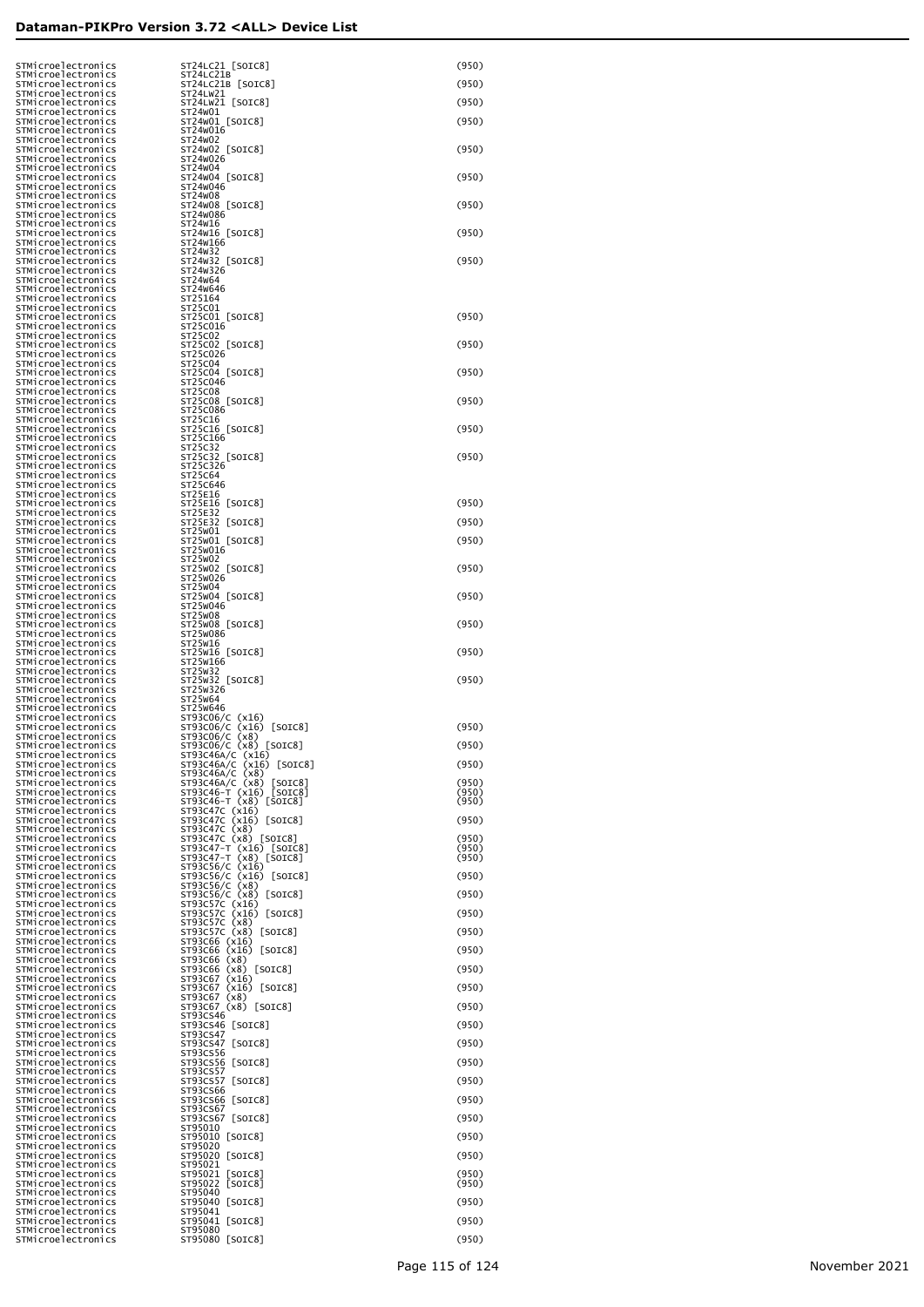|                    | STMicroelectronics                       | ST24LC21 [SOIC8]                                                                                                                               | (950)          |
|--------------------|------------------------------------------|------------------------------------------------------------------------------------------------------------------------------------------------|----------------|
|                    | STMicroelectronics<br>STMicroelectronics | ST24LC21B<br>ST24LC21B [SOIC8]                                                                                                                 | (950)          |
|                    | STMicroelectronics                       | ST24LW21                                                                                                                                       |                |
|                    | STMicroelectronics<br>STMicroelectronics | ST24LW21 [SOIC8]<br>ST24W01                                                                                                                    | (950)          |
|                    | STMicroelectronics                       | ST24W01 [SOIC8]                                                                                                                                | (950)          |
|                    | STMicroelectronics<br>STMicroelectronics | ST24W016<br>ST24 <sub>W</sub> 02                                                                                                               |                |
|                    | STMicroelectronics                       | ST24W02 [SOIC8]                                                                                                                                | (950)          |
|                    | STMicroelectronics<br>STMicroelectronics | ST24w026<br>ST24 <sub>W</sub> 04                                                                                                               |                |
|                    | STMicroelectronics                       | ST24W04 [SOIC8]                                                                                                                                | (950)          |
|                    | STMicroelectronics<br>STMicroelectronics | ST24W046<br>ST24 <sub>W</sub> 08                                                                                                               |                |
|                    | STMicroelectronics                       | ST24W08 [SOIC8]                                                                                                                                | (950)          |
|                    | STMicroelectronics<br>STMicroelectronics | ST24W086<br>ST24W16                                                                                                                            |                |
|                    | STMicroelectronics                       | ST24W16 [SOIC8]                                                                                                                                | (950)          |
|                    | STMicroelectronics<br>STMicroelectronics | ST24W166<br>ST24W32                                                                                                                            |                |
|                    | STMicroelectronics                       | ST24W32 [SOIC8]<br>ST24W326                                                                                                                    | (950)          |
|                    | STMicroelectronics<br>STMicroelectronics | ST24 <sub>W</sub> 64                                                                                                                           |                |
|                    | STMicroelectronics<br>STMicroelectronics | ST24W646<br>ST25164                                                                                                                            |                |
|                    | STMicroelectronics                       | ST25C01                                                                                                                                        |                |
|                    | STMicroelectronics<br>STMicroelectronics | ST25C01 [SOIC8]<br>ST25C016                                                                                                                    | (950)          |
|                    | STMicroelectronics                       | ST25C02                                                                                                                                        |                |
|                    | STMicroelectronics<br>STMicroelectronics | ST25C02 [SOIC8]<br>ST25C026                                                                                                                    | (950)          |
|                    | STMicroelectronics                       | ST25C04                                                                                                                                        |                |
|                    | STMicroelectronics<br>STMicroelectronics | ST25C04 [SOIC8]<br>ST25C046                                                                                                                    | (950)          |
|                    | STMicroelectronics                       | ST25C08                                                                                                                                        |                |
|                    | STMicroelectronics<br>STMicroelectronics | ST25C08 [SOIC8]<br>ST25C086                                                                                                                    | (950)          |
|                    | STMicroelectronics<br>STMicroelectronics | ST25C16<br>ST25C16 [SOIC8]                                                                                                                     | (950)          |
|                    | STMicroelectronics                       | ST25C166                                                                                                                                       |                |
|                    | STMicroelectronics<br>STMicroelectronics | ST25C32<br>ST25C32<br>[SOIC8]                                                                                                                  | (950)          |
|                    | STMicroelectronics                       | ST25C326                                                                                                                                       |                |
|                    | STMicroelectronics<br>STMicroelectronics | ST25C64<br>ST25C646                                                                                                                            |                |
|                    | STMicroelectronics                       | ST25E16                                                                                                                                        |                |
|                    | STMicroelectronics<br>STMicroelectronics | ST25E16 [SOIC8]<br>ST25E32                                                                                                                     | (950)          |
|                    | STMicroelectronics                       | ST25E32 [SOIC8]                                                                                                                                | (950)          |
|                    | STMicroelectronics<br>STMicroelectronics | ST25W01<br>ST25W01 [SOIC8]                                                                                                                     | (950)          |
|                    | STMicroelectronics<br>STMicroelectronics | ST25W016<br>ST25W02                                                                                                                            |                |
|                    | STMicroelectronics                       | ST25W02 [SOIC8]                                                                                                                                | (950)          |
|                    | STMicroelectronics<br>STMicroelectronics | ST25W026<br>ST25W04                                                                                                                            |                |
|                    | STMicroelectronics                       | ST25W04 [SOIC8]                                                                                                                                | (950)          |
|                    | STMicroelectronics<br>STMicroelectronics | ST25W046<br>ST25W08                                                                                                                            |                |
|                    | STMicroelectronics                       | ST25W08 [SOIC8]                                                                                                                                | (950)          |
|                    | STMicroelectronics<br>STMicroelectronics | ST25W086<br>ST25W16                                                                                                                            |                |
|                    | STMicroelectronics<br>STMicroelectronics | ST25W16 [SOIC8]<br>ST25W166                                                                                                                    | (950)          |
|                    | STMicroelectronics                       | ST25W32                                                                                                                                        |                |
|                    | STMicroelectronics<br>STMicroelectronics | ST25W32 [SOIC8]<br>ST25W326                                                                                                                    | (950)          |
|                    | STMicroelectronics                       | ST25W64                                                                                                                                        |                |
|                    | STMicroelectronics<br>STMicroelectronics | ST25W646                                                                                                                                       |                |
|                    | STMicroelectronics<br>STMicroelectronics |                                                                                                                                                | (950)          |
|                    | STMicroelectronics                       | ST93C06/C (x16)<br>ST93C06/C (x16) [SOIC8]<br>ST93C06/C (x8) [SOIC8]<br>ST93C06/C (x8) [SOIC8]<br>ST93C46A/C (x16)<br>ST93C46A/C (x16) [SOIC8] | (950)          |
|                    | STMicroelectronics<br>STMicroelectronics | ST93C46A/C (x16) [SOIC8]                                                                                                                       | (950)          |
|                    | STMicroelectronics                       | ST93C46A/C (x8)<br>ST93C46A/C (x8)                                                                                                             |                |
|                    | STMicroelectronics<br>STMicroelectronics | ST93C46A/C (x8) [SOIC8]<br>ST93C46-T (x16) [SOIC8]<br>ST93C46-T (x8) [SOIC8]                                                                   | (950)<br>(950) |
|                    | STMicroelectronics                       |                                                                                                                                                | (950)          |
| STMicroelectronics | STMicroelectronics                       | ST93C47C (x16)                                                                                                                                 |                |
|                    |                                          |                                                                                                                                                | (950)          |
|                    | STMicroelectronics                       | ST93C47C (x16) [SOIC8]<br>ST93C47C (x8)                                                                                                        |                |
|                    | STMicroelectronics<br>STMicroelectronics | ST93C47C (x8)<br>[SOIC8]                                                                                                                       | (950)<br>(950) |
|                    | STMicroelectronics                       | ST93C47-T (x16) [SOIC8]<br>ST93C47-T (x8) [SOIC8]                                                                                              | (950)          |
|                    | STMicroelectronics<br>STMicroelectronics | ST93C56/C<br>(x16)<br>ST93C56/C (x16) [SOIC8]                                                                                                  | (950)          |
|                    | STMicroelectronics<br>STMicroelectronics |                                                                                                                                                | (950)          |
|                    | STMicroelectronics                       | ST93C56/C (x8)<br>ST93C56/C (x8) [SOIC8]<br>ST93C57C (x16)<br>ST93C57C (x16) [SOIC8]                                                           |                |
|                    | STMicroelectronics<br>STMicroelectronics | ST93C57C (x16) [SOIC8]                                                                                                                         | (950)          |
|                    | STMicroelectronics                       | ST93C57C (x8)<br>ST93C57C (x8)<br>[SOIC8]                                                                                                      | (950)          |
|                    | STMicroelectronics<br>STMicroelectronics | ST93C66 (x16)<br>ST93C66 (x16) [SOIC8]                                                                                                         | (950)          |
|                    | STMicroelectronics                       | ST93C66 (x8)                                                                                                                                   |                |
|                    | STMicroelectronics<br>STMicroelectronics | ST93C66 (x8) [SOIC8]<br>ST93C67<br>(x16)                                                                                                       | (950)          |
|                    | STMicroelectronics                       | ST93C67<br>$(x16)$ [SOIC8]                                                                                                                     | (950)          |
|                    | STMicroelectronics<br>STMicroelectronics | ST93C67<br>(x8)<br>ST93C67 (x8) [SOIC8]                                                                                                        | (950)          |
|                    | STMicroelectronics<br>STMicroelectronics | ST93CS46<br>ST93CS46 [SOIC8]                                                                                                                   | (950)          |
|                    | STMicroelectronics                       | ST93CS47                                                                                                                                       |                |
|                    | STMicroelectronics<br>STMicroelectronics | ST93CS47 [SOIC8]<br>ST93CS56                                                                                                                   | (950)          |
|                    | STMicroelectronics                       | ST93CS56 [SOIC8]                                                                                                                               | (950)          |
|                    | STMicroelectronics<br>STMicroelectronics | ST93CS57<br>ST93CS57<br>$[SOIC8]$                                                                                                              | (950)          |
|                    | STMicroelectronics                       | ST93CS66                                                                                                                                       |                |
|                    | STMicroelectronics<br>STMicroelectronics | ST93CS66 [SOIC8]<br>ST93CS67                                                                                                                   | (950)          |
|                    | STMicroelectronics<br>STMicroelectronics | ST93CS67 [SOIC8]<br>ST95010                                                                                                                    | (950)          |
|                    | STMicroelectronics                       | ST95010 [SOIC8]                                                                                                                                | (950)          |
|                    | STMicroelectronics<br>STMicroelectronics | ST95020<br>ST95020 [SOIC8]                                                                                                                     | (950)          |
|                    | STMicroelectronics                       | ST95021                                                                                                                                        |                |
|                    | STMicroelectronics<br>STMicroelectronics | ST95021<br>[SOIC8]<br>[SOIC8]<br>ST95022                                                                                                       | (950)<br>(950) |
|                    | STMicroelectronics                       | ST95040                                                                                                                                        |                |
|                    | STMicroelectronics<br>STMicroelectronics | ST95040 [SOIC8]<br>ST95041                                                                                                                     | (950)          |
|                    | STMicroelectronics<br>STMicroelectronics | ST95041 [SOIC8]<br>ST95080                                                                                                                     | (950)<br>(950) |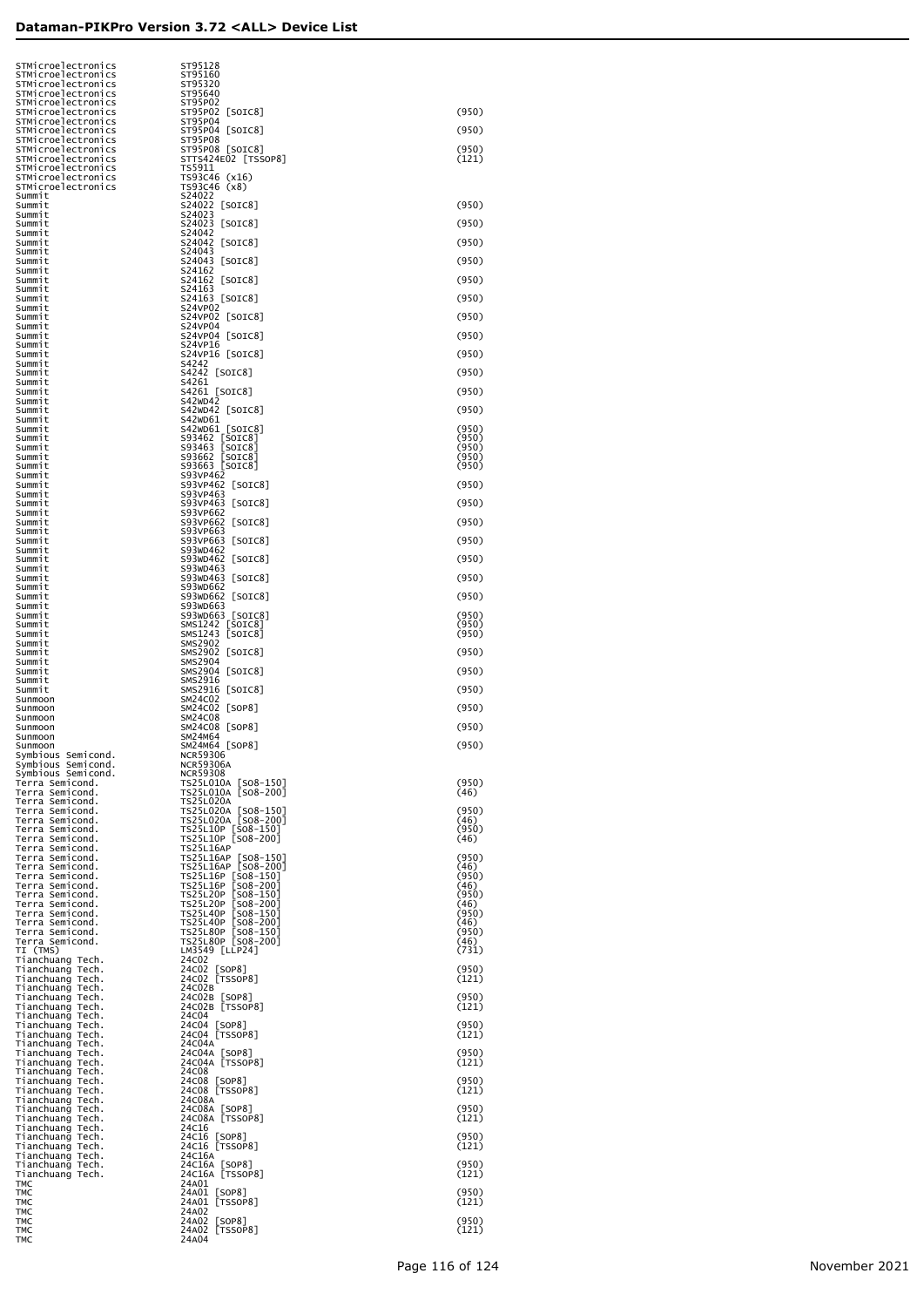| STMicroelectronics                                       | ST95128                                                                    |                        |
|----------------------------------------------------------|----------------------------------------------------------------------------|------------------------|
| STMicroelectronics<br>STMicroelectronics                 | ST95160<br>ST95320                                                         |                        |
| STMicroelectronics<br>STMicroelectronics                 | ST95640<br>ST95P02                                                         |                        |
| STMicroelectronics<br>STMicroelectronics                 | ST95P02 [SOIC8]<br>ST95P04                                                 | (950)                  |
| STMicroelectronics<br>STMicroelectronics                 | ST95P04 [SOIC8]<br>ST95P08                                                 | (950)                  |
| STMicroelectronics<br>STMicroelectronics                 | ST95P08 [SOIC8]<br>STTS424E02 [TSSOP8]                                     | (950)<br>(121)         |
| STMicroelectronics<br>STMicroelectronics                 | TS5911<br>TS93C46 (x16)                                                    |                        |
| STMicroelectronics<br>Summit                             | TS93C46 (x8)<br>S24022                                                     |                        |
| Summit<br>Summit                                         | S24022 [SOIC8]<br>S24023                                                   | (950)                  |
| Summit<br>Summit                                         | S24023 [SOIC8]<br>S24042                                                   | (950)                  |
| Summit<br>Summit                                         | S24042 [SOIC8]<br>S24043                                                   | (950)                  |
| Summit<br>Summit                                         | S24043 [SOIC8]<br>S24162                                                   | (950)                  |
| Summit<br>Summit                                         | S24162 [SOIC8]<br>S24163                                                   | (950)                  |
| Summit<br>Summit                                         | S24163 [SOIC8]<br>S24VP02                                                  | (950)                  |
| Summit<br>Summit<br>Summit                               | S24VP02 [SOIC8]<br>S24VP04<br>S24VP04 [SOIC8]                              | (950)<br>(950)         |
| Summit<br>Summit                                         | S24VP16<br>S24VP16 [SOIC8]                                                 | (950)                  |
| Summit<br>Summit                                         | S4242<br>S4242 [SOIC8]                                                     | (950)                  |
| Summit<br>Summit                                         | S4261<br>S4261 [SOIC8]                                                     | (950)                  |
| Summit<br>Summit                                         | S42WD42<br>S42WD42 [SOIC8]                                                 | (950)                  |
| Summit<br>Summit                                         | S42WD61<br>S42WD61 [SOIC8]                                                 | (950)                  |
| Summit<br>Summit                                         | S93462 [SOIC8]<br>\$93463<br>[SOIC8]                                       | (950)<br>(950)         |
| Summit<br>Summit                                         | S93662<br>[SOIC8]<br>s93663<br>[SOIC8]                                     | (950)<br>(950)         |
| Summit<br>Summit                                         | S93VP462<br>S93VP462<br>[SOIC8]                                            | (950)                  |
| Summit<br>Summit                                         | S93VP463<br>S93VP463<br>$\lfloor$ SOIC $8$ ]                               | (950)                  |
| Summit<br>Summit                                         | S93VP662<br>S93VP662<br>[SOIC8]                                            | (950)                  |
| Summit<br>Summit                                         | S93VP663<br>S93VP663<br>[SOIC8]                                            | (950)                  |
| Summit<br>Summit                                         | S93WD462<br>S93WD462<br>[SOIC8]                                            | (950)                  |
| Summit<br>Summit                                         | S93WD463<br>S93WD463<br>[SOIC8]                                            | (950)                  |
| Summit<br>Summit                                         | S93WD662<br>S93WD662<br>[SOIC8]                                            | (950)                  |
| Summit<br>Summit                                         | S93WD663<br>S93WD663 [SOIC8]                                               | (950)                  |
| Summit<br>Summit                                         | SMS1242 [SOIC8]<br>SMS1243<br>[SOIC8]<br><b>SMS2902</b>                    | (950)<br>(950)         |
| Summit<br>Summit<br>Summit                               | SMS2902 [SOIC8]<br>SMS2904                                                 | (950)                  |
| Summit<br>Summit                                         | SMS2904 [SOIC8]<br>SMS2916                                                 | (950)                  |
| Summit<br>Sunmoon                                        | SMS2916 [SOIC8]<br>SM24C02                                                 | (950)                  |
| Sunmoon<br>Sunmoon                                       | SM24C02 [SOP8]<br>SM24C08                                                  | (950)                  |
| Sunmoon<br>Sunmoon                                       | SM24C08 [SOP8]<br>SM24M64                                                  | (950)                  |
| Sunmoon<br>Symbious Semicond.                            | SM24M64 [SOP8]<br><b>NCR59306</b>                                          | (950)                  |
| Symbious Semicond.<br>Symbious Semicond.                 | <b>NCR59306A</b><br><b>NCR59308</b>                                        |                        |
| Terra Semicond.<br>Terra Semicond.                       | TS25L010A [SO8-150]<br>TS25L010A [SO8-200]                                 | (950)<br>(46)          |
| Terra Semicond.<br>Terra Semicond.                       | <b>TS25L020A</b><br>TS25L020A [SO8-150]                                    | (950)                  |
| Terra Semicond.<br>Terra Semicond.                       | TS25L020A [SO8-200]<br>TS25L10P [SO8-150]                                  | (46)<br>(950)          |
| Terra Semicond.<br>Terra Semicond.                       | TS25L10P [SO8-200]<br><b>TS25L16AP</b>                                     | (46)                   |
| Terra Semicond.<br>Terra Semicond.                       | TS25L16AP [SO8-150]<br>TS25L16AP [SO8-200]                                 | (950)<br>(46)<br>(950) |
| Terra Semicond.<br>Terra Semicond.<br>Terra Semicond.    | TS25L16P [SO8-150]<br>TS25L16P<br>$[508 - 200]$<br>TS25L20P<br>$[508-150]$ | (46)<br>(950)          |
| Terra Semicond.<br>Terra Semicond.                       | TS25L20P<br>$[508 - 200]$<br><b>TS25L40P</b><br>$[508-150]$                | (46)<br>(950)          |
| Terra Semicond.<br>Terra Semicond.                       | <b>TS25L40P</b><br>$[508 - 200]$<br>TS25L80P [SO8-150]                     | (46)<br>(950)          |
| Terra Semicond.<br>TI (TMS)                              | TS25L80P [SO8-200]<br>LM3549 [LLP24]                                       | (46)<br>(731)          |
| Tianchuang Tech.<br>Tianchuang Tech.                     | 24C02<br>24C02 [SOP8]                                                      | (950)                  |
| Tianchuang Tech.<br>Tianchuang Tech.                     | 24C02 [TSSOP8]<br>24C02B                                                   | (121)                  |
| Tianchuang Tech.<br>Tianchuang Tech.                     | 24C02B [SOP8]<br>24C02B [TSSOP8]                                           | (950)<br>(121)         |
| Tianchuang Tech.<br>Tianchuang Tech.                     | 24C04<br>24C04 [SOP8]                                                      | (950)                  |
| Tianchuang Tech.<br>Tianchuang Tech.                     | 24C04 [TSSOP8]<br>24C04A                                                   | (121)                  |
| Tianchuang Tech.<br>Tianchuang Tech.                     | 24C04A [SOP8]<br>24C04A [TSSOP8]                                           | (950)<br>(121)         |
| Tianchuang Tech.<br>Tianchuang Tech.                     | 24C08<br>24C08 [SOP8]                                                      | (950)                  |
| Tianchuang Tech.<br>Tianchuang Tech.                     | 24C08 [TSSOP8]<br>24C08A                                                   | (121)<br>(950)         |
| Tianchuang Tech.<br>Tianchuang Tech.                     | 24C08A [SOP8]<br>24C08A [TSSOP8]                                           | (121)                  |
| Tianchuang Tech.<br>Tianchuang Tech.                     | 24C16<br>24C16 [SOP8]<br>24C16 [TSSOP8]                                    | (950)<br>(121)         |
| Tianchuang Tech.<br>Tianchuang Tech.<br>Tianchuang Tech. | 24C16A<br>24C16A [SOP8]                                                    | (950)                  |
| Tianchuang Tech.<br>TMC                                  | 24C16A [TSSOP8]<br>24A01                                                   | (121)                  |
| TMC<br>TMC                                               | 24A01 [SOP8]<br>24A01 [TSSOP8]                                             | (950)<br>(121)         |
| TMC<br>TMC                                               | 24A02<br>24A02 [SOP8]                                                      | (950)                  |
| TMC<br>TMC                                               | 24A02 [TSSOP8]<br>24A04                                                    | (121)                  |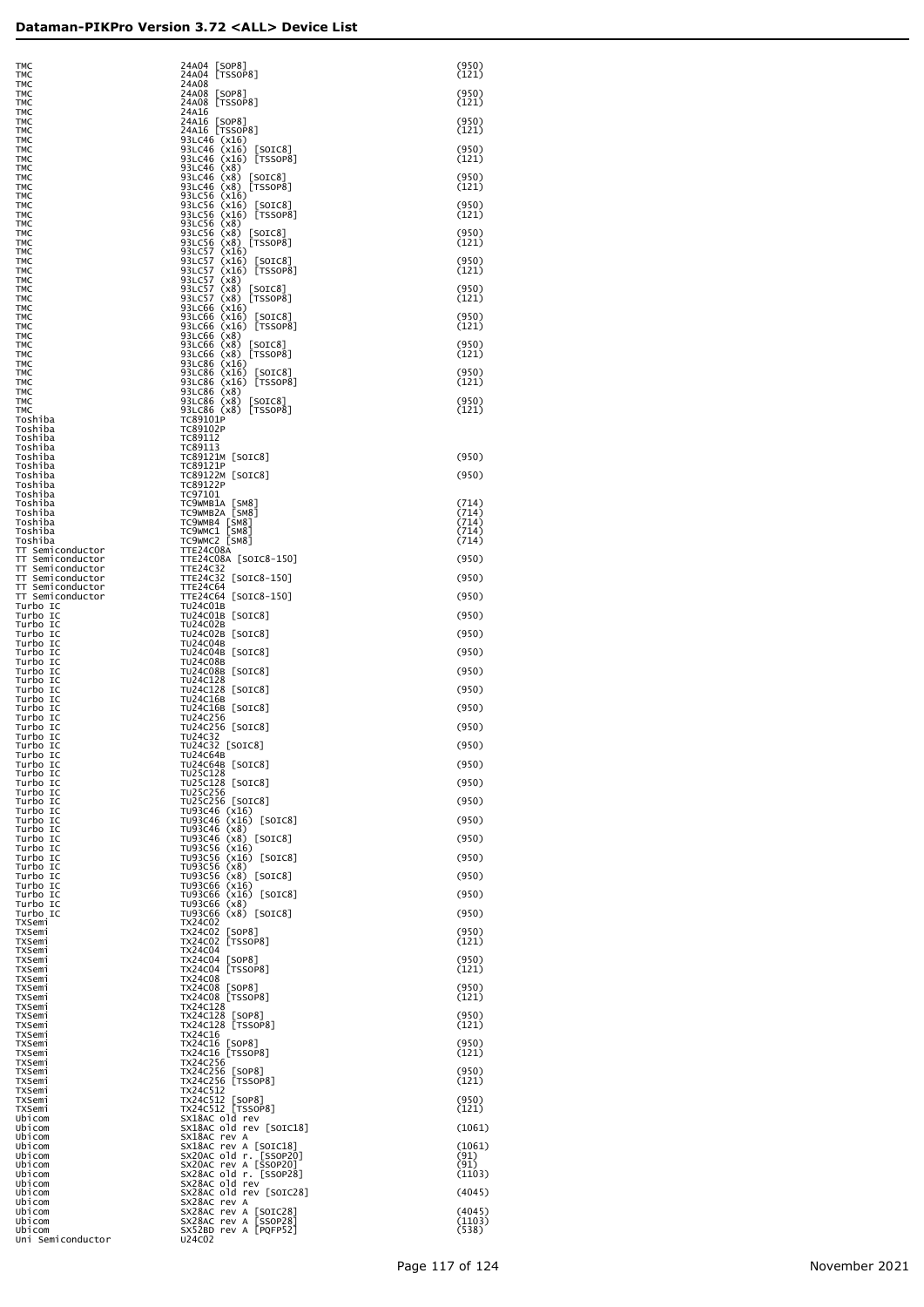| тмс<br>TMC                                 | 24A04<br>24A08                                                                                                                                                                            |
|--------------------------------------------|-------------------------------------------------------------------------------------------------------------------------------------------------------------------------------------------|
| <b>TMC</b>                                 | 24A08<br>[SO                                                                                                                                                                              |
| <b>TMC</b>                                 | 24A08<br>TS<br>24A16                                                                                                                                                                      |
| <b>TMC</b><br><b>TMC</b>                   | 24A16                                                                                                                                                                                     |
| <b>TMC</b>                                 | 24A16                                                                                                                                                                                     |
| <b>TMC</b><br><b>TMC</b>                   | 93LC46<br>93LC46                                                                                                                                                                          |
| <b>TMC</b>                                 | 93LC46                                                                                                                                                                                    |
| <b>TMC</b><br><b>TMC</b>                   | 93LC46<br>93LC46                                                                                                                                                                          |
| <b>TMC</b>                                 | 93LC46                                                                                                                                                                                    |
| <b>TMC</b>                                 | 93LC56                                                                                                                                                                                    |
| <b>TMC</b><br><b>TMC</b>                   | 93LC56                                                                                                                                                                                    |
| <b>TMC</b>                                 |                                                                                                                                                                                           |
| <b>TMC</b><br><b>TMC</b>                   | 93LC56<br>93LC56<br>93LC56<br>93LC56<br>93LC56                                                                                                                                            |
| <b>TMC</b>                                 | <b>93LC57<br/>93LC57<br/>93LC57 93LC66<br/>93LC66 93LC66 93LC66 93LC66 93LC66 93LC66 93LC66 93LC66 93LC66 93LC66 93LC66 93LC86</b><br>93LC86 93LC86 93LC86 93LC86<br>93LC86 93LC86 93LC86 |
| <b>TMC</b><br><b>TMC</b>                   |                                                                                                                                                                                           |
| <b>TMC</b>                                 |                                                                                                                                                                                           |
| <b>TMC</b>                                 |                                                                                                                                                                                           |
| <b>TMC</b><br><b>TMC</b>                   |                                                                                                                                                                                           |
| <b>TMC</b>                                 |                                                                                                                                                                                           |
| <b>TMC</b><br><b>TMC</b>                   |                                                                                                                                                                                           |
| <b>TMC</b>                                 |                                                                                                                                                                                           |
| <b>TMC</b><br><b>TMC</b>                   |                                                                                                                                                                                           |
| <b>TMC</b>                                 |                                                                                                                                                                                           |
| <b>TMC</b><br><b>TMC</b>                   |                                                                                                                                                                                           |
| <b>TMC</b>                                 |                                                                                                                                                                                           |
| <b>TMC</b><br>Toshiba                      | (x)<br>TC89101P                                                                                                                                                                           |
| Toshiba                                    | TC89102P                                                                                                                                                                                  |
| Toshiba                                    | TC89112                                                                                                                                                                                   |
| Toshiba<br>Toshiba                         | TC89113<br>TC89121M                                                                                                                                                                       |
| Toshiba                                    | TC89121P                                                                                                                                                                                  |
| Toshiba<br>Toshiba                         | <b>TC89122M</b><br>TC89122P                                                                                                                                                               |
| Toshiba                                    | TC97101                                                                                                                                                                                   |
| Toshiba<br>Toshiba                         | TC9WMB1A<br>TC9WMB2A                                                                                                                                                                      |
| Toshiba                                    | TC9WMB4                                                                                                                                                                                   |
| Toshiba                                    | <br> -<br> <br>TC9WMC1                                                                                                                                                                    |
| Toshiba<br>Semiconductor<br>ТT             | TC9wMC2<br>TTE24C08A                                                                                                                                                                      |
| ТT<br>Semiconductor                        | TTE24C08A                                                                                                                                                                                 |
| ΤT<br>Semiconductor<br>TT<br>Semiconductor | <b>TTE24C32</b><br>TTE24C32                                                                                                                                                               |
| T<br>Semiconductor<br>Τ                    | <b>TTE24C64</b>                                                                                                                                                                           |
| T<br>Semiconductor<br>Τ<br>Turbo<br>IC     | <b>TTE24C64</b><br>TU24C01B                                                                                                                                                               |
| Turbo<br>IC                                | TU24C01B                                                                                                                                                                                  |
| Turbo<br>IC<br>Turbo<br>IC                 | <b>TU24C02B</b><br><b>TU24C02B</b>                                                                                                                                                        |
| Turbo<br>IC                                | <b>TU24C04B</b>                                                                                                                                                                           |
| Turbo<br>IC<br>Turbo                       | <b>TU24C04B</b><br><b>TU24C08B</b>                                                                                                                                                        |
| IC<br>Turbo<br>IC                          | <b>TU24C08B</b>                                                                                                                                                                           |
| Turbo<br>IC                                | TU24C128                                                                                                                                                                                  |
| Turbo<br>IC<br>Turbo<br>IC                 | TU24C128<br><b>TU24C16B</b>                                                                                                                                                               |
| Turbo<br>IC                                | <b>TU24C16B</b>                                                                                                                                                                           |
| Turbo<br>IC<br>Turbo<br>IC                 | TU24C256<br>TU24C256                                                                                                                                                                      |
| Turbo<br>IC                                | TU24C32<br>TU24C32                                                                                                                                                                        |
| Turbo<br>IC<br>Turbo<br>IC                 | [<br><b>TU24C64B</b>                                                                                                                                                                      |
| Turbo<br>IC                                | TU24C64B                                                                                                                                                                                  |
| Turbo<br>IC<br>Turbo<br>IC                 | TU25C128<br><b>TU25C128</b>                                                                                                                                                               |
| Turbo<br>IC                                | TU25C256                                                                                                                                                                                  |
| Turbo<br>IC<br>Turbo                       | <b>TU25C256</b><br>TU93C46                                                                                                                                                                |
| IC<br>Turbo<br>IC                          | TU93C46                                                                                                                                                                                   |
| Turbo<br>IC                                | TU93C46                                                                                                                                                                                   |
| Turbo<br>IC<br>Turbo<br>IC                 | TU93C46<br>TU93C56                                                                                                                                                                        |
| Turbo<br>IC                                | <b>TU93C56</b>                                                                                                                                                                            |
| Turbo<br>IC<br>Turbo<br>IC                 | TU93C56<br>TU93C56                                                                                                                                                                        |
| Turbo<br>IC                                | くくくくくくくくくくく<br>TU93C66                                                                                                                                                                    |
| Turbo<br>IC<br>Turbo<br>IC                 | TU93C66<br>TU93C66                                                                                                                                                                        |
| Turbo<br>IC                                | TU93C66                                                                                                                                                                                   |
| TXSemi<br>TXSemi                           | TX24C02<br>TX24C02                                                                                                                                                                        |
| TXSemi                                     | [<br>[<br>TX24C02                                                                                                                                                                         |
| TXSemi                                     | TX24C04<br><b>TX24C04</b>                                                                                                                                                                 |
| TXSemi<br>TXSemi                           | [<br>[<br><b>TX24C04</b>                                                                                                                                                                  |
| TXSemi                                     | <b>TX24C08</b>                                                                                                                                                                            |
| TXSemi<br>TXSemi                           | TX24C08<br>[<br>[<br><b>TX24C08</b>                                                                                                                                                       |
| TXSemi                                     | TX24C128                                                                                                                                                                                  |
| TXSemi<br>TXSemi                           | TX24C128<br>TX24C128                                                                                                                                                                      |
| TXSemi                                     | TX24C16                                                                                                                                                                                   |
| TXSemi<br>TXSemi                           | TX24C16<br> <br> -<br>TX24C16                                                                                                                                                             |
| TXSemi                                     | TX24C256                                                                                                                                                                                  |
| TXSemi<br>TXSemi                           | TX24C256<br>TX24C256                                                                                                                                                                      |
| TXSemi                                     | TX24C512                                                                                                                                                                                  |
| TXSemi                                     | TX24C512                                                                                                                                                                                  |
| TXSemi<br>Ubicom                           | TX24C512<br>SX18AC<br>o٦                                                                                                                                                                  |
| Ubicom                                     | o٦<br>SX18AC                                                                                                                                                                              |
| Ubicom<br>Ubicom                           | SX18AC<br>re<br>SX18AC<br>re                                                                                                                                                              |
| Ubicom                                     | o1<br>SX20AC                                                                                                                                                                              |
| Ubicom<br>Ubicom                           | SX20AC<br>re<br>οÏ<br>SX28AC                                                                                                                                                              |
| Ubicom                                     | o٦<br>SX28AC                                                                                                                                                                              |
| Ubicom<br>Ubicom                           | o1<br>SX28AC<br>SX28AC<br>re                                                                                                                                                              |
|                                            |                                                                                                                                                                                           |

| <b>TMC</b><br>TMC                                        | 24A04 [SOP8]<br>24A04 [TSSOP8]                                                                                                                                                                                                                                 | (950)<br>(121)          |
|----------------------------------------------------------|----------------------------------------------------------------------------------------------------------------------------------------------------------------------------------------------------------------------------------------------------------------|-------------------------|
| TMC<br><b>TMC</b><br><b>TMC</b>                          | 24A08<br>24A08<br>[SOP8]<br>24A08 [TSSOP8]                                                                                                                                                                                                                     | (950)<br>(121)          |
| <b>TMC</b><br><b>TMC</b>                                 | 24A16                                                                                                                                                                                                                                                          | (950)                   |
| <b>TMC</b><br><b>TMC</b><br><b>TMC</b>                   | 24A16 [SOP8]<br>24A16 [TSSOP8]<br>93LC46 (x16)<br>93LC46 (x16) [SOIC8]<br>93LC46 (x16) [TSSOP8]<br>93LC46 (x8) [SOIC8]<br>93LC46 (x8)                                                                                                                          | (121)<br>(950)          |
| <b>TMC</b><br>TMC                                        |                                                                                                                                                                                                                                                                | (121)                   |
| TMC<br>TMC<br>TMC                                        |                                                                                                                                                                                                                                                                | (950)<br>(121)          |
| TMC<br>TMC                                               |                                                                                                                                                                                                                                                                | (950)<br>(121)          |
| TMC<br>TMC<br>TMC                                        | 93LC46 (x8)<br>93LC46 (x8)<br>93LC46 (x8)<br>93LC56 (x16)<br>93LC56 (x16)<br>93LC56 (x16)<br>93LC56 (x8)<br>93LC56 (x8)<br>93LC56 (x8)<br>93LC56 (x8)<br>93LC56 (x8)<br>93LC56 (x8)<br>93LC56 (x8)<br>93LC56 (x8)<br>93LC56 (x8)<br>93LC56 (x8)<br>93LC56 (x8) | (950)<br>(121)          |
| TMC<br>TMC                                               | 93LC57 (x16)<br>93LC57 (x16) [SOTC8]<br>93LC57 (x16) [TSSOP8]<br>93LC57 (x8) [TSSOP8]<br>93LC57 (x8) [SOTC8]<br>93LC57 (x8) [TSSOP8]<br>93LC66 (x16) [SOTC8]<br>93LC66 (x16) [SOTC8]                                                                           | (950)                   |
| TMC<br>TMC<br>TMC                                        |                                                                                                                                                                                                                                                                | (121)<br>(950)          |
| TMC<br>TMC                                               |                                                                                                                                                                                                                                                                | (121)                   |
| TMC<br>TMC<br>TMC                                        | 93LC66 (x16) [SOIC8]<br>93LC66 (x16) [TSSOP8]<br>93LC66 (x8)                                                                                                                                                                                                   | (950)<br>(121)          |
| TMC<br>TMC                                               | 93LC66 (x8) [SOIC8]<br>93LC66 (x8) [TSSOP8]<br>93LC86 (x16)                                                                                                                                                                                                    | (950)<br>(121)          |
| TMC<br>TMC<br>TMC                                        | 93LC86 (x16) [SOIC8]<br>93LC86 (x16) [TSSOP8]                                                                                                                                                                                                                  | (950)<br>(121)          |
| TMC<br>TMC                                               | 93LC86 (x8)<br>93LC86 (x8) [SOIC8]                                                                                                                                                                                                                             | (950)                   |
| TMC<br>Toshiba<br>Toshiba                                | 93LC86 (x8) [TSSOP8]<br>TC89101P<br>TC89102P                                                                                                                                                                                                                   | (121)                   |
| Toshiba<br>Toshiba                                       | TC89112<br>TC89113                                                                                                                                                                                                                                             |                         |
| Toshiba<br>Toshiba<br>Toshiba                            | TC89121M [SOIC8]<br>TC89121P<br>TC89122M [SOIC8]                                                                                                                                                                                                               | (950)<br>(950)          |
| Toshiba<br>Toshiba                                       | TC89122P<br>TC97101                                                                                                                                                                                                                                            |                         |
| Toshiba<br>Toshiba<br>Toshiba                            | TC9WMB1A [SM8]<br>TC9WMB2A [SM8]<br>TC9wMB4 [SM8]                                                                                                                                                                                                              | (714)<br>(714)<br>(714) |
| Toshiba<br>Toshiba                                       | TC9WMC1 [SM8]<br>TC9WMC2 [SM8]                                                                                                                                                                                                                                 | (714)<br>(714)          |
| TT Semiconductor<br>TT Semiconductor<br>TT Semiconductor | TTE24C08A<br>TTE24C08A [SOIC8-150]<br><b>TTE24C32</b>                                                                                                                                                                                                          | (950)                   |
| TT Semiconductor<br>TT Semiconductor                     | TTE24C32 [SOIC8-150]<br><b>TTE24C64</b>                                                                                                                                                                                                                        | (950)                   |
| TT Semiconductor<br>Turbo IC<br>Turbo IC                 | TTE24C64 [SOIC8-150]<br>TU24C01B<br>TU24C01B [SOIC8]                                                                                                                                                                                                           | (950)<br>(950)          |
| Turbo IC<br>Turbo IC                                     | TU24C02B<br>TU24C02B [SOIC8]                                                                                                                                                                                                                                   | (950)                   |
| Turbo IC<br>Turbo IC<br>Turbo IC                         | TU24C04B<br>TU24C04B [SOIC8]<br><b>TU24C08B</b>                                                                                                                                                                                                                | (950)                   |
| Turbo IC<br>Turbo IC                                     | TU24C08B [SOIC8]<br>TU24C128                                                                                                                                                                                                                                   | (950)                   |
| Turbo IC<br>Turbo IC<br>Turbo IC                         | TU24C128 [SOIC8]<br>TU24C16B<br>TU24C16B [SOIC8]                                                                                                                                                                                                               | (950)<br>(950)          |
| Turbo IC<br>Turbo IC                                     | TU24C256<br>TU24C256 [SOIC8]                                                                                                                                                                                                                                   | (950)                   |
| Turbo IC<br>Turbo IC<br>Turbo IC                         | TU24C32<br>TU24C32 [SOIC8]<br>TU24C64B                                                                                                                                                                                                                         | (950)                   |
| Turbo IC<br>Turbo IC                                     | TU24C64B [SOIC8]<br>TU25C128                                                                                                                                                                                                                                   | (950)                   |
| Turbo IC<br>Turbo IC<br>Turbo IC                         | TU25C128 [SOIC8]<br>TU25C256<br>TU25C256 [SOIC8]                                                                                                                                                                                                               | (950)<br>(950)          |
| Turbo IC<br>Turbo IC                                     | TU93C46 (x16)<br>TU93C46 (x16) [SOIC8]                                                                                                                                                                                                                         | (950)                   |
| Turbo IC<br>Turbo IC<br>Turbo IC                         | TU93C46 (x8)<br>TU93C46 (x8) [SOIC8]<br>TU93C56 (x16)                                                                                                                                                                                                          | (950)                   |
| Turbo IC<br>Turbo IC                                     | TU93C56 (x16) [SOIC8]<br>TU93C56 (x8)                                                                                                                                                                                                                          | (950)                   |
| Turbo IC<br>Turbo IC<br>Turbo IC                         | TU93C56 (x8) [SOIC8]<br>TU93C66 (x16)<br>TU93C66 (x16) [SOIC8]                                                                                                                                                                                                 | (950)<br>(950)          |
| Turbo IC<br>Turbo IC                                     | TU93C66 (x8)<br>TU93C66 (x8) [SOIC8]                                                                                                                                                                                                                           | (950)                   |
| TXSemi<br>TXSemi<br>TXSemi                               | TX24C02<br>TX24C02 [SOP8]<br>TX24C02 [TSSOP8]                                                                                                                                                                                                                  | (950)                   |
| TXSemi<br>TXSemi                                         | TX24C04<br>TX24C04 [SOP8]                                                                                                                                                                                                                                      | (121)<br>(950)          |
| TXSemi<br>TXSemi                                         | TX24C04 [TSSOP8]<br>TX24C08                                                                                                                                                                                                                                    | (121)<br>(950)          |
| TXSemi<br>TXSemi<br>TXSemi                               | TX24C08 [SOP8]<br>TX24C08 [TSSOP8]<br>TX24C128                                                                                                                                                                                                                 | (121)                   |
| TXSemi<br>TXSemi<br>TXSemi                               | TX24C128 [SOP8]<br>TX24C128 [TSSOP8]<br>TX24C16                                                                                                                                                                                                                | (950)<br>(121)          |
| TXSemi<br>TXSemi                                         | TX24C16 [SOP8]<br>TX24C16 [TSSOP8]                                                                                                                                                                                                                             | (950)<br>(121)          |
| TXSemi<br>TXSemi<br>TXSemi                               | TX24C256<br>TX24C256 [SOP8]<br>TX24C256 [TSSOP8]                                                                                                                                                                                                               | (950)<br>(121)          |
| TXSemi<br>TXSemi                                         | TX24C512<br>TX24C512 [SOP8]<br>TX24C512 [TSSOP8]                                                                                                                                                                                                               | (950)                   |
| TXSemi<br>Ubicom                                         | SX18AC old rev<br>SX18AC old rev [SOIC18]                                                                                                                                                                                                                      | (121)<br>(1061)         |
| Ubicom<br>Ubicom<br>Ubicom                               | SX18AC rev A<br>SX18AC rev A [SOIC18]                                                                                                                                                                                                                          | (1061)                  |
| Ubicom<br>Ubicom                                         | SX20AC old r. [SSOP20]<br>SX20AC rev A [SSOP20]<br>SX28AC old r. [SSOP28]                                                                                                                                                                                      | (91)<br>(91)<br>(1103)  |
| Ubicom<br>Ubicom<br>Ubicom                               | SX28AC old rev<br>SX28AC old rev [SOIC28]                                                                                                                                                                                                                      | (4045)                  |
| Ubicom<br>Ubicom                                         | SX28AC rev A<br>SX28AC rev A [SOIC28]                                                                                                                                                                                                                          | (4045)                  |
| Ubicom<br>Ubicom                                         | SX28AC rev A [SSOP28]<br>SX52BD rev A [PQFP52]                                                                                                                                                                                                                 | (1103)<br>(538)         |

Uni Semiconductor U24C02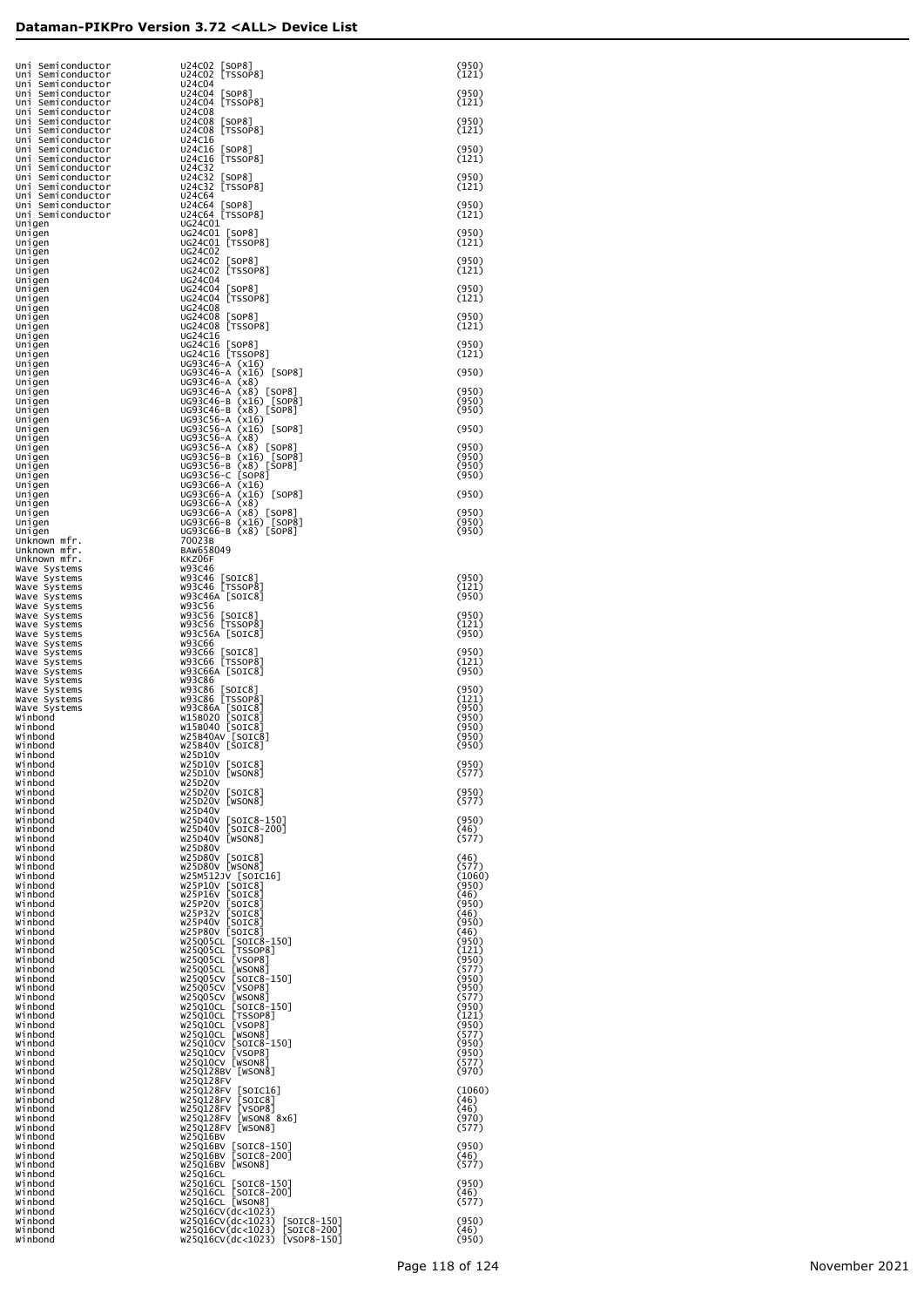| Uni Semiconductor<br>Uni Semiconductor                      | U24C02 [SOP8]<br>U24C02 [TSSOP8]                                                           | (950)<br>(121)          |
|-------------------------------------------------------------|--------------------------------------------------------------------------------------------|-------------------------|
| Uni Semiconductor<br>Uni Semiconductor<br>Uni Semiconductor | <b>U24C04</b><br>U24C04 [SOP8]<br>U24C04 [TSSOP8]                                          | (950)<br>(121)          |
| Uni Semiconductor<br>Uni Semiconductor                      | U24C08<br>U24C08 [SOP8]                                                                    | (950)                   |
| Uni Semiconductor<br>Uni Semiconductor<br>Uni Semiconductor | U24C08 [TSSOP8]<br>U24C16<br>U24C16 [SOP8]                                                 | (121)<br>(950)          |
| Uni Semiconductor<br>Uni Semiconductor                      | U24C16 [TSSOP8]<br>U24C32                                                                  | (121)                   |
| Uni Semiconductor<br>Uni Semiconductor<br>Uni Semiconductor | U24C32 [SOP8]<br>U24C32 [TSSOP8]<br>U24C64                                                 | (950)<br>(121)          |
| Uni Semiconductor<br>Uni Semiconductor                      | U24C64 [SOP8]<br>U24C64 [TSSOP8]                                                           | (950)<br>(121)          |
| Unigen<br>Unigen<br>Unigen                                  | UG24C01<br>UG24C01 [SOP8]<br>UG24C01 [TSSOP8]                                              | (950)<br>(121)          |
| ∪nigen<br>Unigen                                            | UG24C02<br>UG24C02 [SOP8]                                                                  | (950)                   |
| Unigen<br>Unigen<br>Unigen                                  | UG24C02 [TSSOP8]<br>UG24C04<br>UG24C04 [SOP8]                                              | (121)<br>(950)          |
| Unigen<br>Unigen<br>Unigen                                  | UG24C04 [TSSOP8]<br>UG24C08<br>UG24C08 [SOP8]                                              | (121)<br>(950)          |
| Unigen<br>Unigen                                            | UG24C08 [TSSOP8]<br>UG24C16                                                                | (121)                   |
| Unigen<br>Unigen<br>Unigen                                  | UG24C16 [SOP8]<br>UG24C16 [TSSOP8]<br>UG93C46-A (x16)                                      | (950)<br>(121)          |
| Unigen<br>Unigen                                            | UG93C46-A (x16) [SOP8]<br>$UG93C46-A (x8)$                                                 | (950)                   |
| Unigen<br>Unigen<br>Unigen                                  | UG93C46-A (x8) [SOP8]<br>UG93C46-B (x16) [SOP8]<br>UG93C46-B (x8) [SOP8]                   | (950)<br>(950)<br>(950) |
| Unigen<br>Unigen                                            | UG93C56-A (x16)<br>UG93C56-A (x16) [SOP8]                                                  | (950)                   |
| Unigen<br>Unigen<br>Unigen                                  | UG93C56-A (x8)<br>UG93C56-A (x8) [SOP8]<br>UG93C56-B (x16) [SOP8]<br>UG93C56-B (x8) [SOP8] | (950)<br>(950)          |
| Unigen<br>Unigen                                            | UG93C56-C [SOP8]                                                                           | (950)<br>(950)          |
| Unigen<br>Unigen<br>Unigen                                  | UG93C66-A (x16)<br>UG93C66-A (x16) [SOP8]<br>UG93C66-A (x8)                                | (950)                   |
| Unigen<br>Unigen                                            | UG93C66-A (x8) [SOP8]<br>UG93C66-B (x16) [SOP8]                                            | (950)<br>(950)          |
| Unigen<br>Unknown mfr.<br>Unknown mfr.                      | UG93C66-B (x8) [SOP8]<br>70023B<br>BAW658049                                               | (950)                   |
| Unknown mfr.<br>Wave Systems<br>Wave Systems                | KKZ06F<br>W93C46<br>W93C46 [SOIC8]                                                         | (950)                   |
| Wave Systems<br>Wave Systems                                | W93C46 [TSSOP8]<br>W93C46A [SOIC8]                                                         | (121)<br>(950)          |
| Wave Systems<br>Wave Systems<br>Wave Systems                | W93C56<br>W93C56 [SOIC8]<br>W93C56 [TSSOP8]                                                | (950)<br>(121)          |
| Wave Systems<br>Wave Systems                                | W93C56A [SOIC8]<br>W93C66                                                                  | (950)                   |
| Wave Systems<br>Wave Systems<br>Wave Systems                | W93C66 [SOIC8]<br>W93C66 [TSSOP8]<br>W93C66A [SOIC8]                                       | (950)<br>(121)<br>(950) |
| Wave Systems<br>Wave Systems                                | W93C86<br>W93C86 [SOIC8]<br>W93C86 [TSSOP8]                                                | (950)<br>(121)          |
| Wave Systems<br>Wave Systems<br>Winbond                     | W93C86A [SOIC8]<br>W15B020 [SOIC8]                                                         | (950)<br>(950)          |
| Winbond<br>Winbond<br>Winbond                               | W15B040 [SOIC8]<br>W25B40AV [SOIC8]<br>W25B40V [SOIC8]                                     | (950)<br>(950)<br>(950) |
| Winhond<br>Winbond                                          | W25D10V<br>W25D10V [SOIC8]                                                                 | (950)                   |
| Winbond<br>Winbond<br>Winbond                               | W25D10V [WSON8]<br>W25D20V<br>W25D20V [SOIC8]                                              | (577)<br>(950)          |
| Winbond<br>Winbond<br>Winbond                               | W25D20V [WSON8]<br>W25D40V<br>W25D40V [SOIC8-150]                                          | (577)                   |
| Winbond<br>Winbond                                          | W25D40V [SOIC8-200]<br>W25D40V [WSON8]                                                     | (950)<br>(46)<br>(577)  |
| Winbond<br>Winbond<br>Winbond                               | W25D80V<br>W25D80V [SOIC8]<br>W25D80V [WSON8]                                              | (46)<br>(577)           |
| Winbond<br>Winbond                                          | W25M512JV [SOIC16]<br>W25P10V [SOIC8]                                                      | (1060)<br>(950)         |
| Winbond<br>Winbond<br>Winbond                               | W25P16V [SOIC8]<br>W25P20V [SOIC8]<br>W25P32V [SOIC8]                                      | (46)<br>(950)<br>(46)   |
| Winbond<br>Winbond                                          | W25P40V [SOIC8]<br>W25P80V [SOIC8]                                                         | (950)<br>(46)           |
| Winbond<br>Winbond<br>Winbond                               | W25Q05CL [SOIC8-150]<br>W25Q05CL [TSSOP8]<br>W25Q05CL [VSOP8]                              | (950)<br>(121)<br>(950) |
| Winbond<br>Winbond<br>Winbond                               | W25Q05CL<br>[WSON8]<br>W25Q05CV<br>$[SOIC8-150]$                                           | (577)<br>(950)<br>(950) |
| Winbond<br>Winbond                                          | W25Q05CV<br>[VSOP8]<br>W25Q05CV [WSON8]<br>W25Q10CL [SOIC8-150]                            | (577)<br>(950)          |
| Winbond<br>Winbond<br>Winbond                               | W25Q10CL [TSSOP8]<br>W25Q10CL [VSOP8]<br>W25Q10CL [WSON8]                                  | (121)<br>(950)<br>(577) |
| Winbond<br>Winbond                                          | W25Q10CV<br>$[SOIC8-150]$<br>W25Q10CV [VSOP8]                                              | (950)<br>(950)          |
| Winbond<br>Winbond<br>Winbond                               | W25Q10CV [WSON8]<br>W25Q128BV [WSON8]<br>W25Q128FV                                         | (577)<br>(970)          |
| Winbond<br>Winbond                                          | W25Q128FV [SOIC16]<br>W25Q128FV<br>[SOIC8]                                                 | (1060)<br>(46)          |
| Winbond<br>Winbond<br>Winbond                               | W25Q128FV<br>[VSOP8]<br>W25Q128FV<br>[WSON8 8x6]<br>W25Q128FV [WSON8]                      | (46)<br>(970)<br>(577)  |
| Winbond<br>Winbond                                          | W25Q16BV<br>W25Q16BV [SOIC8-150]                                                           | (950)                   |
| Winbond<br>Winbond<br>Winbond                               | W25Q16BV<br>$[SOIC8-200]$<br>W25Q16BV [WSON8]<br>W25Q16CL                                  | (46)<br>(577)           |
| Winbond<br>Winbond<br>Winbond                               | W25Q16CL [SOIC8-150]<br>W25Q16CL [SOIC8-200]<br>W25Q16CL [WSON8]                           | (950)<br>(46)<br>(577)  |
| Winbond<br>Winbond                                          | w25q16cv(dc<1023)<br>w25q16CV(dc<1023)<br>$[SOIC8-150]$                                    | (950)                   |
| Winbond<br>Winbond                                          | w25q16CV(dc<1023)<br>$[SOIC8-200]$<br>W25Q16CV(dc<1023) [VSOP8-150]                        | (46)<br>(950)           |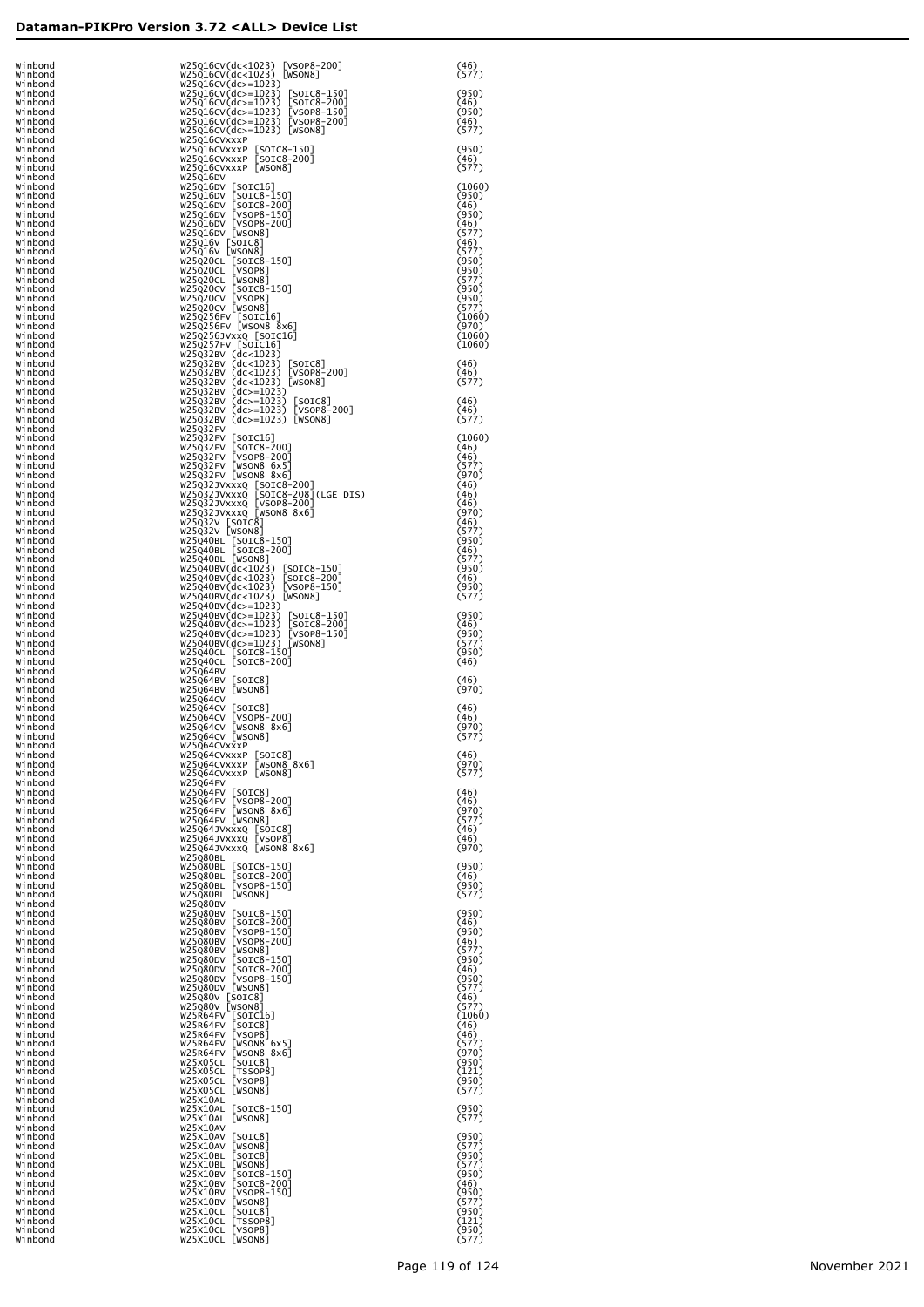| Winbond            | W25Q16CV(dc<1023) [VSOP8-200]                                                                                                                                 | (46)            |
|--------------------|---------------------------------------------------------------------------------------------------------------------------------------------------------------|-----------------|
| Winbond<br>Winbond | W25Q16CV(dc<1023) [WSON8]<br>w25q16cv(dc>=1023)                                                                                                               | (577)           |
| Winbond<br>Winbond | W25Q16CV(dc>=1023) [SOIC8-150]                                                                                                                                | (950)<br>(46)   |
| Winbond            | W25Q16CV(dc>=1023) [SOIC8-200]<br>W25Q16CV(dc>=1023) [VSOP8-150]<br>W25Q16CV(dc>=1023) [VSOP8-200]                                                            | (950)           |
| Winbond<br>Winbond | W25Q16CV(dc>=1023) [WSON8]                                                                                                                                    | (46)<br>(577)   |
| Winbond<br>Winbond | W25Q16CVxxxP                                                                                                                                                  | (950)           |
| Winbond<br>Winbond | W25Q16CVxxxP [SOIC8-150]<br>W25Q16CVxxxP [SOIC8-200]<br>W25Q16CVxxxP [WSON8]                                                                                  | (46)<br>(577)   |
| Winbond            | W25Q16DV                                                                                                                                                      |                 |
| Winbond<br>Winbond | W25Q16DV [SOIC16]<br>W25Q16DV [SOIC8-150]<br>W25Q16DV [SOIC8-200]<br>W25Q16DV [VSOP8-150]<br>W25Q16DV [VSOP8-200]<br>W25Q16DV [VSOP8-200]<br>W25Q16DV [WSOR8] | (1060)<br>(950) |
| Winbond<br>Winbond |                                                                                                                                                               | (46)<br>(950)   |
| Winbond<br>Winbond |                                                                                                                                                               | (46)<br>(577)   |
| Winbond            | W25Q16V [SOIC8]                                                                                                                                               | (46)            |
| Winbond<br>Winbond | W25Q16V [WSON8]<br>W25Q20CL [SOIC8-150]                                                                                                                       | (577)<br>(950)  |
| Winbond<br>Winbond | W25Q20CL [VSOP8]<br>W25Q20CL [WSON8]                                                                                                                          | (950)<br>(577)  |
| Winbond            | W25Q20CV [SOIC8-150]                                                                                                                                          | (950)           |
| Winbond<br>Winbond | W25Q20CV [VSOP8]<br>W25Q20CV [WSON8]                                                                                                                          | (950)<br>(577)  |
| Winbond<br>Winbond | W25Q256FV [SOIC16]<br>W25Q256FV [WSON8 8x6]                                                                                                                   | (1060)<br>(970) |
| Winbond            | W25Q256JVxxQ [SOIC16]                                                                                                                                         | (1060)          |
| Winbond<br>Winbond | W25Q257FV [SOIC16]<br>W25Q32BV (dc<1023)                                                                                                                      | (1060)          |
| Winbond<br>Winbond | W25Q32BV (dc<1023) [SOIC8]<br>W25Q32BV (dc<1023) [VSOP8-200]                                                                                                  | (46)<br>(46)    |
| Winbond<br>Winbond | W25Q32BV (dc<1023) [WSON8]<br>W25Q32BV (dc>=1023)                                                                                                             | (577)           |
| Winbond            | W25Q32BV (dc>=1023) [SOIC8]                                                                                                                                   | (46)            |
| Winbond<br>Winbond | W25Q32BV (dc>=1023) [VSOP8-200]<br>W25Q32BV (dc>=1023) [WSON8]                                                                                                | (46)<br>(577)   |
| Winbond<br>Winbond | W25Q32FV<br>W25Q32FV [SOIC16]                                                                                                                                 | (1060)          |
| Winbond            | W25Q32FV [SOIC8-200]                                                                                                                                          | (46)            |
| Winbond<br>Winbond | W25Q32FV [VSOP8-200]<br>W25Q32FV [WSON8 6x5]                                                                                                                  | (46)<br>(577)   |
| Winbond<br>Winbond | W25Q32FV [WSON8 8x6]                                                                                                                                          | (970)<br>(46)   |
| Winbond<br>Winbond | W25Q32JVxxxQ [SOIC8-200]<br>W25Q32JVxxxQ [SOIC8-208](LGE_DIS)<br>W25Q32JVxxxQ [VSOP8-200]                                                                     | (46)<br>(46)    |
| Winbond            | W25Q32JVxxxQ [WSON8 8x6]                                                                                                                                      | (970)           |
| Winbond<br>Winbond | W25Q32V [SOIC8]<br>W25Q32V [WSON8]                                                                                                                            | (46)<br>(577)   |
| Winbond<br>Winbond | W25Q40BL [SOIC8-150]<br>W25Q40BL [SOIC8-200]                                                                                                                  | (950)<br>(46)   |
| Winbond            | W25Q40BL [WSON8]                                                                                                                                              | (577)           |
| Winbond<br>Winbond | W25Q40BV(dc<1023)<br>[SOIC8-150]<br>W25Q40BV(dc<1023) [SOIC8-200]                                                                                             | (950)<br>(46)   |
| Winbond<br>Winbond | W25Q40BV(dc<1023)<br>$[VSOP8-150]$<br>W25Q40BV(dc<1023) [WSON8]                                                                                               | (950)<br>(577)  |
| Winbond<br>Winbond | W25Q40BV(dc>=1023)<br>W25Q40BV(dc>=1023) [SOIC8-150]                                                                                                          | (950)           |
| Winbond            | W25Q40BV(dc>=1023) [SOIC8-200]                                                                                                                                | (46)            |
| Winbond<br>Winbond | W25Q40BV(dc>=1023) [VSOP8-150]<br>W25Q40BV(dc>=1023) [WSON8]                                                                                                  | (950)<br>(577)  |
| Winbond<br>Winbond | W25Q40CL [SOIC8-150]<br>W25Q40CL [SOIC8-200]                                                                                                                  | (950)<br>(46)   |
| Winbond            | W25Q64BV                                                                                                                                                      |                 |
| Winbond<br>Winbond | W25Q64BV [SOIC8]<br>W25Q64BV [WSON8]                                                                                                                          | (46)<br>(970)   |
| Winbond<br>Winbond | W25Q64CV<br>W25Q64CV [SOIC8]                                                                                                                                  | (46)            |
| Winbond<br>Winbond | W25Q64CV [VSOP8-200]<br>W25Q64CV [WSON8 8x6]                                                                                                                  | (46)<br>(970)   |
| Winbond            | W25Q64CV [WSON8]                                                                                                                                              | (577)           |
| Winbond<br>Winbond | W25Q64CVXXXP<br>W25Q64CVxxxP [SOIC8]                                                                                                                          | (46)            |
| Winbond<br>Winbond | W25Q64CVxxxP [WSON8 8x6]<br>W25Q64CVxxxP [WSON8]                                                                                                              | (970)<br>(577)  |
| Winbond<br>Winbond | W25Q64FV<br>W25Q64FV [SOIC8]                                                                                                                                  | (46)            |
| Winbond            | W25Q64FV [VSOP8-200]                                                                                                                                          | (46)            |
| Winbond<br>Winbond | W25Q64FV [WSON8 8x6]<br>W25Q64FV [WSON8]                                                                                                                      | (970)<br>(577)  |
| Winbond<br>Winbond | W25Q64JVxxxQ [SOIC8]<br>W25Q64JVxxxQ [VSOP8]                                                                                                                  | (46)<br>(46)    |
| Winbond<br>Winbond | W25Q64JVxxxQ [WSON8 8x6]<br>W25Q80BL                                                                                                                          | (970)           |
| Winbond            | W25Q80BL [SOIC8-150]                                                                                                                                          | (950)           |
| Winbond<br>Winbond | W25Q80BL [SOIC8-200]<br>W25Q80BL [VSOP8-150]                                                                                                                  | (46)<br>(950)   |
| Winbond<br>Winbond | W25Q80BL [WSON8]<br>W25Q80BV                                                                                                                                  | (577)           |
| Winbond<br>Winbond | W25Q80BV [SOIC8-150]<br>W25Q80BV [SOIC8-200]                                                                                                                  | (950)<br>(46)   |
| Winbond            | W25Q80BV [VSOP8-150]                                                                                                                                          | (950)           |
| Winbond<br>Winbond | W25Q80BV [VSOP8-200]<br>W25Q80BV [WSON8]                                                                                                                      | (46)<br>(577)   |
| Winbond<br>Winbond | W25Q80DV [SOIC8-150]<br>W25Q80DV [SOIC8-200]                                                                                                                  | (950)<br>(46)   |
| Winbond            | W25Q80DV [VSOP8-150]<br>W25Q80DV [WSON8]                                                                                                                      | (950)           |
| Winbond<br>Winbond | W25Q80V [SOIC8]                                                                                                                                               | (577)<br>(46)   |
| Winbond<br>Winbond | W25Q80V [WSON8]<br>W25R64FV [SOIC16]                                                                                                                          | (577)<br>(1060) |
| Winbond<br>Winbond | W25R64FV [SOIC8]<br>W25R64FV [VSOP8]                                                                                                                          | (46)<br>(46)    |
| Winbond            | W25R64FV [WSON8 6x5]                                                                                                                                          | (577)           |
| Winbond<br>Winbond | W25R64FV [WSON8 8x6]<br>W25X05CL [SOIC8]                                                                                                                      | (970)<br>(950)  |
| Winbond<br>Winbond | W25X05CL [TSSOP8]<br>W25X05CL [VSOP8]                                                                                                                         | (121)<br>(950)  |
| Winbond<br>Winbond | W25X05CL [WSON8]<br>W25X10AL                                                                                                                                  | (577)           |
| Winbond            | W25X10AL [SOIC8-150]                                                                                                                                          | (950)           |
| Winbond<br>Winbond | W25X10AL [WSON8]<br>W25X10AV                                                                                                                                  | (577)           |
| Winbond<br>Winbond | W25X10AV [SOIC8]<br>W25X10AV [WSON8]                                                                                                                          | (950)<br>(577)  |
| Winbond<br>Winbond | W25X10BL [SOIC8]<br>W25X10BL [WSON8]                                                                                                                          | (950)<br>(577)  |
| Winbond            | W25X10BV [SOIC8-150]                                                                                                                                          | (950)           |
| Winbond<br>Winbond | W25X10BV [SOIC8-200]<br>W25X10BV [VSOP8-150]                                                                                                                  | (46)<br>(950)   |
| Winbond<br>Winbond | W25X10BV [WSON8]<br>W25X10CL [SOIC8]                                                                                                                          | (577)<br>(950)  |
| Winbond            | W25X10CL [TSSOP8]                                                                                                                                             | (121)           |
| Winbond<br>Winbond | W25X10CL [VSOP8]<br>W25X10CL [WSON8]                                                                                                                          | (950)<br>(577)  |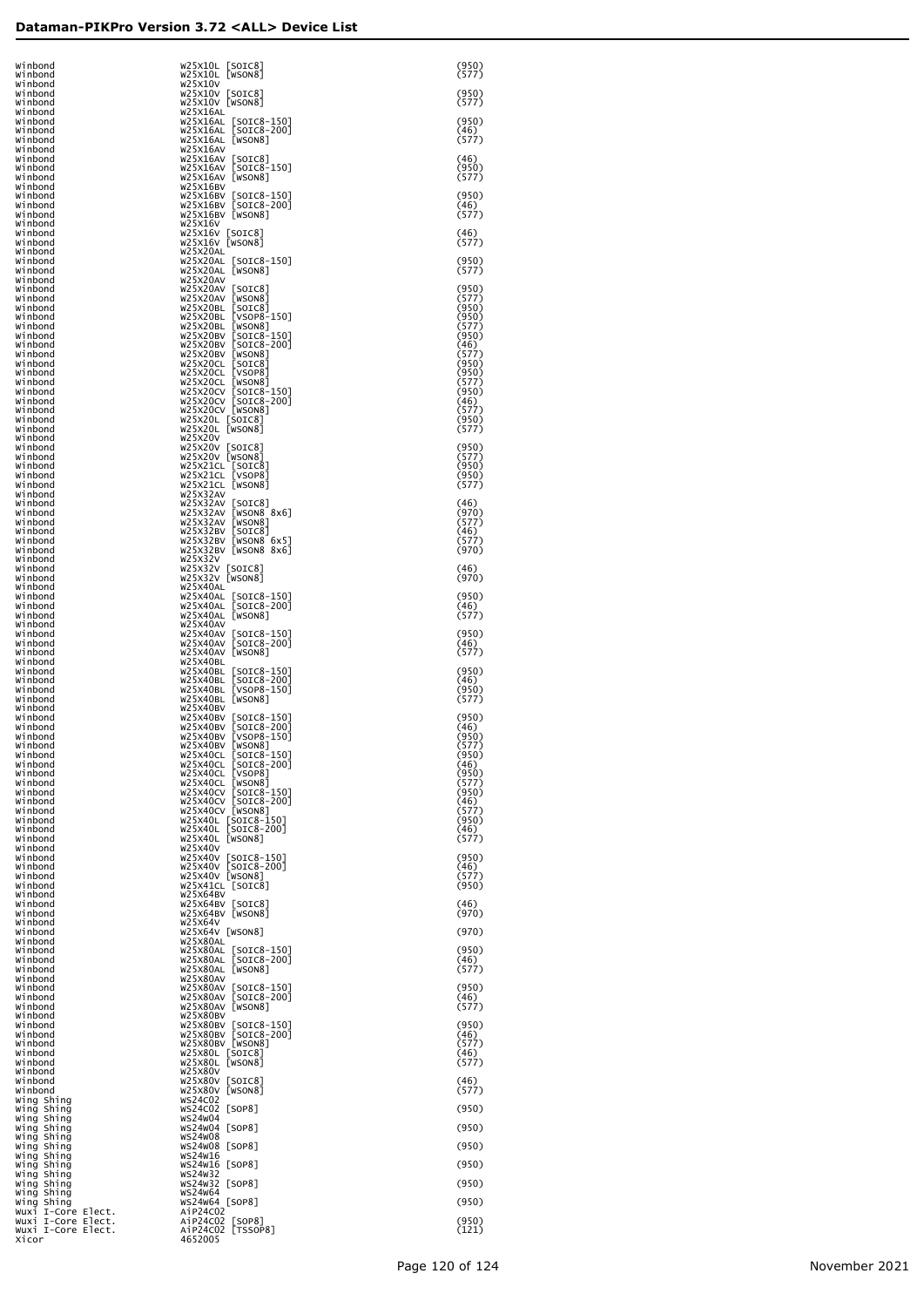| Winbond<br>Winbond                                             | W25X10L [SOIC8]<br>W25X10L [WSON8]                                                                    | (950)<br>(577)          |
|----------------------------------------------------------------|-------------------------------------------------------------------------------------------------------|-------------------------|
| Winbond<br>Winbond<br>Winbond                                  | W25X10V<br>W25X10V [SOIC8]<br>W25X10V [WSON8]                                                         | (950)<br>(577)          |
| Winbond<br>Winbond                                             | W25X16AL<br>W25X16AL [SOIC8-150]                                                                      | (950)                   |
| Winbond<br>Winbond                                             | W25X16AL [SOIC8-200]<br>W25X16AL [WSON8]                                                              | (46)<br>(577)           |
| Winbond<br>Winbond<br>Winbond                                  | W25X16AV<br>W25X16AV [SOIC8]<br>W25X16AV [SOIC8-150]                                                  | (46)<br>(950)           |
| Winbond<br>Winbond                                             | W25X16AV [WSON8]<br>W25X16BV                                                                          | (577)                   |
| Winbond<br>Winbond<br>Winbond                                  | W25X16BV [SOIC8-150]<br>W25X16BV [SOIC8-200]<br>W25X16BV [WSON8]                                      | (950)<br>(46)<br>(577)  |
| Winbond<br>Winbond                                             | w25x16v<br>W25X16V [SOIC8]                                                                            | (46)                    |
| Winbond<br>Winbond<br>Winbond                                  | W25X16V [WSON8]<br>W25X20AL<br>W25X20AL [SOIC8-150]                                                   | (577)<br>(950)          |
| Winbond<br>Winbond                                             | W25X20AL [WSON8]<br>W25X20AV                                                                          | (577)                   |
| Winbond<br>Winbond<br>Winbond                                  | W25X20AV [SOIC8]<br>W25X20AV [WSON8]                                                                  | (950)<br>(577)<br>(950) |
| Winbond<br>Winbond                                             | W25x2OBL [SOIC8]<br>W25x2OBL [VSOP8-150]<br>W25x2OBL [VSOP8-150]<br>W25x2OBV [SOIC8-150]              | (950)<br>(577)          |
| Winbond<br>Winbond                                             | W25X20BV [SOIC8-200]<br>W25X20BV [WSON8]                                                              | (950)<br>(46)<br>(577)  |
| Winbond<br>Winbond<br>Winbond                                  | W25X20CL [SOIC8]                                                                                      | (950)<br>(950)          |
| Winbond<br>Winbond                                             | W25X20CL [VSOP8]<br>W25X20CL [WSON8]<br>W25X20CV [SOIC8-150]<br>W25X20CV [SOIC8-200]                  | (577)<br>(950)          |
| Winbond<br>Winbond<br>Winbond                                  | W25X20CV [WSON8]<br>W25X20L [SOIC8]<br>W25X20L [WSON8]                                                | (46)<br>(577)<br>(950)  |
| Winbond<br>Winbond                                             | W25X20V                                                                                               | (577)                   |
| Winbond<br>Winbond<br>Winbond                                  | W25x20v [SOIC8]<br>W25x20v [WSON8]                                                                    | (950)<br>(577)<br>(950) |
| Winbond<br>Winbond                                             | W25x21CL [SOIC8]<br>W25x21CL [VSOP8]<br>W25x21CL [WSON8]                                              | (950)<br>(577)          |
| Winbond<br>Winbond<br>Winbond                                  | W25X32AV<br>W25X32AV [SOIC8]<br>W25X32AV [WSON8 8x6]                                                  | (46)<br>(970)           |
| Winbond<br>Winbond                                             | W25X32AV [WSON8]<br>W25X32BV [SOIC8]                                                                  | (577)<br>(46)           |
| Winbond<br>Winbond<br>Winbond                                  | W25X32BV [WSON8 6x5]<br>W25X32BV [WSON8 8x6]<br>W25X32V                                               | (577)<br>(970)          |
| Winbond<br>Winbond                                             | W25X32V [SOIC8]<br>W25X32V [WSON8]                                                                    | (46)<br>(970)           |
| Winbond<br>Winbond<br>Winbond                                  | W25X40AL<br>W25X40AL [SOIC8-150]                                                                      | (950)<br>(46)           |
| Winbond<br>Winbond                                             | W25X40AL [SOIC8-200]<br>W25X40AL [WSON8]<br>W25X40AV                                                  | (577)                   |
| Winbond<br>Winbond<br>Winbond                                  | W25X40AV [SOIC8-150]<br>W25X40AV [SOIC8-200]<br>W25X40AV [WSON8]                                      | (950)<br>(46)<br>(577)  |
| Winbond<br>Winbond                                             | W25X40BL<br>W25X40BL [SOIC8-150]                                                                      | (950)                   |
| Winbond<br>Winbond<br>Winbond                                  | W25X40BL [SOIC8-200]<br>W25X40BL [VSOP8-150]<br>W25X40BL [WSON8]                                      | (46)<br>(950)<br>(577)  |
| Winbond<br>Winbond                                             | W25X40BV<br>W25X40BV [SOIC8-150]                                                                      | (950)                   |
| Winbond<br>Winbond<br>Winbond                                  | W25X40BV [SOIC8-200]<br>W25X40BV [VSOP8-150]<br>W25X40BV [WSON8]                                      | (46)<br>(950)<br>(577)  |
| Winbond<br>Winbond                                             | W25X40CL [SOIC8-150]<br>W25X40CL [SOIC8-200]                                                          | (950)<br>(46)           |
| Winbond<br>Winbond<br>Winbond                                  | W25X40CL [VSOP8]<br>W25X40CL [WSON8]<br>W25X40CV [SOIC8-150]                                          | (950)<br>(577)<br>(950) |
| Winbond<br>Winbond                                             | W25X40CV [SOIC8-200]                                                                                  | (46)<br>(577)           |
| Winbond<br>Winbond                                             | W25x40cv [WSON8]<br>W25x40cv [WSON8]<br>W25x40L [SOIC8-150]<br>W25x40L [SOIC8-200]<br>W25X40L [WSON8] | (950)<br>(46)<br>(577)  |
| Winbond<br>Winbond<br>Winbond                                  | W25X40V<br>W25X40V [SOIC8-150]                                                                        | (950)                   |
| Winbond<br>Winbond                                             | W25X40V [SOIC8-200]<br>W25X40V [WSON8]<br>W25X41CL [SOIC8]                                            | (46)<br>(577)           |
| Winbond<br>Winbond<br>Winbond                                  | W25X64BV<br>W25X64BV [SOIC8]                                                                          | (950)<br>(46)           |
| Winbond<br>Winbond                                             | W25X64BV [WSON8]<br>W25X64V<br>W25X64V [WSON8]                                                        | (970)<br>(970)          |
| Winbond<br>Winbond<br>Winbond                                  | W25X80AL<br>W25X80AL [SOIC8-150]                                                                      | (950)                   |
| Winbond<br>Winbond                                             | W25X80AL [SOIC8-200]<br>W25X80AL [WSON8]                                                              | (46)<br>(577)           |
| Winbond<br>Winbond<br>Winbond                                  | W25X80AV<br>W25X80AV [SOIC8-150]<br>W25X80AV [SOIC8-200]                                              | (950)<br>(46)           |
| Winbond<br>Winbond                                             | W25X80AV [WSON8]<br>W25X80BV                                                                          | (577)<br>(950)          |
| Winbond<br>Winbond<br>Winbond                                  | W25X80BV [SOIC8-150]<br>W25X80BV [SOIC8-200]                                                          | (46)<br>(577)           |
| Winbond<br>Winbond                                             | W25X80BV [WSON8]<br>W25X80L [SOIC8]<br>W25X80L [WSON8]                                                | (46)<br>(577)           |
| Winbond<br>Winbond<br>Winbond                                  | W25X80V<br>W25X80V [SOIC8]<br>W25X80V [WSON8]                                                         | (46)<br>(577)           |
| Wing Shing<br>Wing Shing                                       | WS24C02<br>WS24C02 [SOP8]                                                                             | (950)                   |
| Wing Shing<br>Wing Shing<br>Wing Shing                         | <b>WS24W04</b><br>WS24W04 [SOP8]<br><b>WS24W08</b>                                                    | (950)                   |
| Wing Shing<br>Wing Shing                                       | WS24W08 [SOP8]<br>WS24W16                                                                             | (950)                   |
| Wing Shing<br>Wing Shing<br>Wing Shing                         | WS24W16 [SOP8]<br>WS24W32<br>WS24W32 [SOP8]                                                           | (950)<br>(950)          |
| Wing Shing<br>Wing Shing                                       | <b>WS24W64</b><br>WS24W64 [SOP8]                                                                      | (950)                   |
| wuxi I-Core Elect.<br>Wuxi I-Core Elect.<br>Wuxi I-Core Elect. | A1P24C02<br>AiP24C02 [SOP8]<br>AiP24C02 [TSSOP8]                                                      | (950)<br>(121)          |
| Xicor                                                          | 4652005                                                                                               |                         |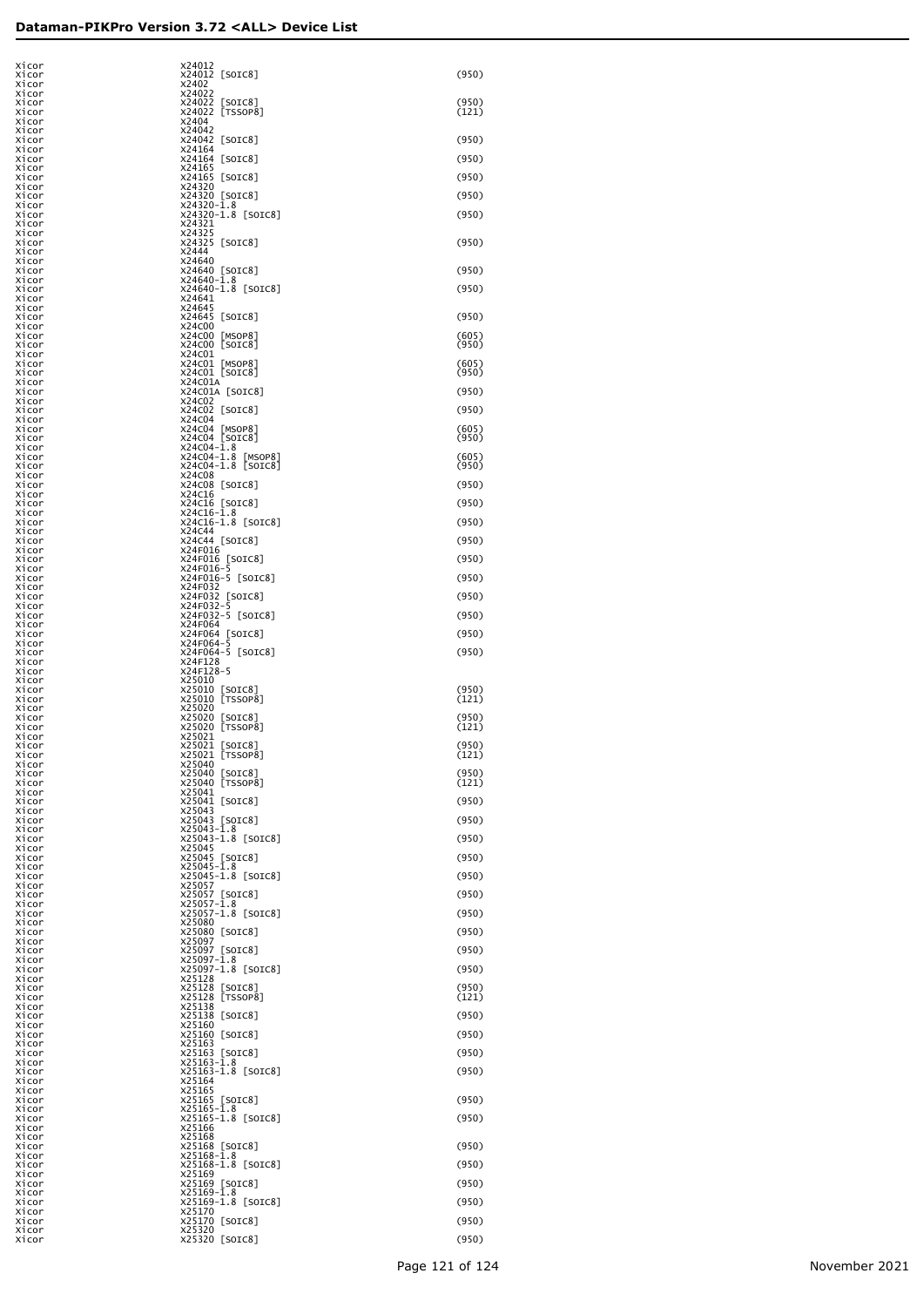| Xicor          | X24012                            |                |
|----------------|-----------------------------------|----------------|
| Xicor          | X24012 [SOIC8]                    | (950)          |
| Xicor          | X2402                             |                |
| Xicor          | X24022                            | (950)          |
| Xicor<br>Xicor | X24022 [SOIC8]<br>X24022 [TSSOP8] | (121)          |
| Xicor          | X2404                             |                |
| Xicor          | X24042                            | (950)          |
| Xicor<br>Xicor | X24042 [SOIC8]<br>X24164          |                |
| Xicor          | X24164 [SOIC8]                    | (950)          |
| Xicor          | X24165                            |                |
| Xicor<br>Xicor | X24165 [SOIC8]<br>X24320          | (950)          |
| Xicor          | X24320 [SOIC8]                    | (950)          |
| Xicor          | X24320-1.8                        |                |
| Xicor<br>Xicor | X24320-1.8 [SOIC8]<br>X24321      | (950)          |
| Xicor          | X24325                            |                |
| Xicor          | X24325 [SOIC8]                    | (950)          |
| Xicor<br>Xicor | X2444<br>X24640                   |                |
| Xicor          | X24640 [SOIC8]                    | (950)          |
| Xicor          | X24640-1.8                        |                |
| Xicor<br>Xicor | X24640-1.8 [SOIC8]<br>X24641      | (950)          |
| Xicor          | X24645                            |                |
| Xicor<br>Xicor | X24645 [SOIC8]<br>X24C00          | (950)          |
| Xicor          | X24C00 [MSOP8]                    | (605)          |
| Xicor          | X24C00 [SOIC8]                    | (950)          |
| Xicor<br>Xicor | X24C01<br>X24C01 [MSOP8]          | (605)          |
| Xicor          | X24C01 [SOIC8]                    | (950)          |
| Xicor          | X24C01A                           |                |
| Xicor<br>Xicor | X24C01A [SOIC8]<br>X24C02         | (950)          |
| Xicor          | X24C02 [SOIC8]                    | (950)          |
| Xicor          | X24C04                            |                |
| Xicor<br>Xicor | X24C04 [MSOP8]<br>X24C04 [SOIC8]  | (605)<br>(950) |
| Xicor          | X24C04-1.8                        |                |
| Xicor          | X24C04-1.8 [MSOP8]                | (605)          |
| Xicor<br>Xicor | X24C04-1.8 [SOIC8]<br>X24C08      | (950)          |
| Xicor          | X24C08 [SOIC8]                    | (950)          |
| Xicor          | X24C16                            | (950)          |
| Xicor<br>Xicor | X24C16 [SOIC8]<br>X24C16-1.8      |                |
| Xicor          | X24C16-1.8 [SOIC8]                | (950)          |
| Xicor<br>Xicor | X24C44<br>X24C44 [SOIC8]          | (950)          |
| Xicor          | X24F016                           |                |
| Xicor          | X24F016 [SOIC8]                   | (950)          |
| Xicor<br>Xicor | X24F016-5<br>X24F016-5 [SOIC8]    | (950)          |
| Xicor          | X24F032                           |                |
| Xicor          | X24F032 [SOIC8]                   | (950)          |
| Xicor<br>Xicor | X24F032-5<br>X24F032-5 [SOIC8]    | (950)          |
| Xicor          | X24F064                           |                |
| Xicor<br>Xicor | X24F064 [SOIC8]<br>X24F064-5      | (950)          |
| Xicor          | X24F064-5 [SOIC8]                 | (950)          |
| Xicor          | X24F128                           |                |
| Xicor<br>Xicor | X24F128-5<br>X25010               |                |
| Xicor          | X25010 [SOIC8]                    | (950)          |
| Xicor          | X25010 [TSSOP8]                   | (121)          |
| Xicor<br>Xicor | X25020<br>X25020 [SOIC8]          | (950)          |
| Xicor          | X25020 [TSSOP8]                   | (121)          |
| Xicor          | X25021                            | (950)          |
| Xicor<br>Xicor | X25021 [SOIC8]<br>X25021 [TSSOP8] | (121)          |
| Xicor          | X25040                            |                |
| Xicor<br>Xicor | X25040 [SOIC8]<br>X25040 [TSSOP8] | (950)<br>(121) |
| Xicor          | X25041                            |                |
| Xicor          | X25041 [SOIC8]                    | (950)          |
| Xicor<br>Xicor | X25043<br>X25043 [SOIC8]          | (950)          |
| Xicor          | $X25043 - \bar{1}.8$              |                |
| Xicor<br>Xicor | X25043-1.8 [SOIC8]<br>X25045      | (950)          |
| Xicor          | X25045 [SOIC8]                    | (950)          |
| Xicor          | $X25045 - 1.8$                    |                |
| Xicor<br>Xicor | X25045-1.8 [SOIC8]<br>X25057      | (950)          |
| Xicor          | X25057 [SOIC8]                    | (950)          |
| Xicor          | X25057-1.8                        |                |
| Xicor<br>Xicor | X25057-1.8 [SOIC8]<br>X25080      | (950)          |
| Xicor          | X25080 [SOIC8]                    | (950)          |
| Xicor          | X25097                            |                |
| Xicor<br>Xicor | X25097 [SOIC8]<br>X25097-1.8      | (950)          |
| Xicor          | X25097-1.8 [SOIC8]                | (950)          |
| Xicor<br>Xicor | X25128<br>X25128<br>[SOIC8]       | (950)          |
| Xicor          | X25128 [TSSOP8]                   | (121)          |
| Xicor          | X25138                            |                |
| Xicor<br>Xicor | X25138 [SOIC8]<br>X25160          | (950)          |
| Xicor          | X25160 [SOIC8]                    | (950)          |
| Xicor<br>Xicor | X25163<br>X25163 [SOIC8]          | (950)          |
| Xicor          | X25163-1.8                        |                |
| Xicor          | X25163-1.8 [SOIC8]                | (950)          |
| Xicor<br>Xicor | X25164<br>X25165                  |                |
| Xicor          | X25165 [SOIC8]                    | (950)          |
| Xicor          | X25165-1.8                        |                |
| Xicor<br>Xicor | X25165-1.8 [SOIC8]<br>X25166      | (950)          |
| Xicor          | X25168                            |                |
| Xicor          | X25168 [SOIC8]<br>X25168-1.8      | (950)          |
| Xicor<br>Xicor | X25168-1.8 [SOIC8]                | (950)          |
| Xicor          | X25169                            |                |
| Xicor<br>Xicor | X25169 [SOIC8]<br>$x25169 - 1.8$  | (950)          |
| Xicor          | X25169-1.8 [SOIC8]                | (950)          |
| Xicor          | X25170                            |                |
| Xicor<br>Xicor | X25170 [SOIC8]<br>X25320          | (950)          |
| Xicor          | X25320 [SOIC8]                    | (950)          |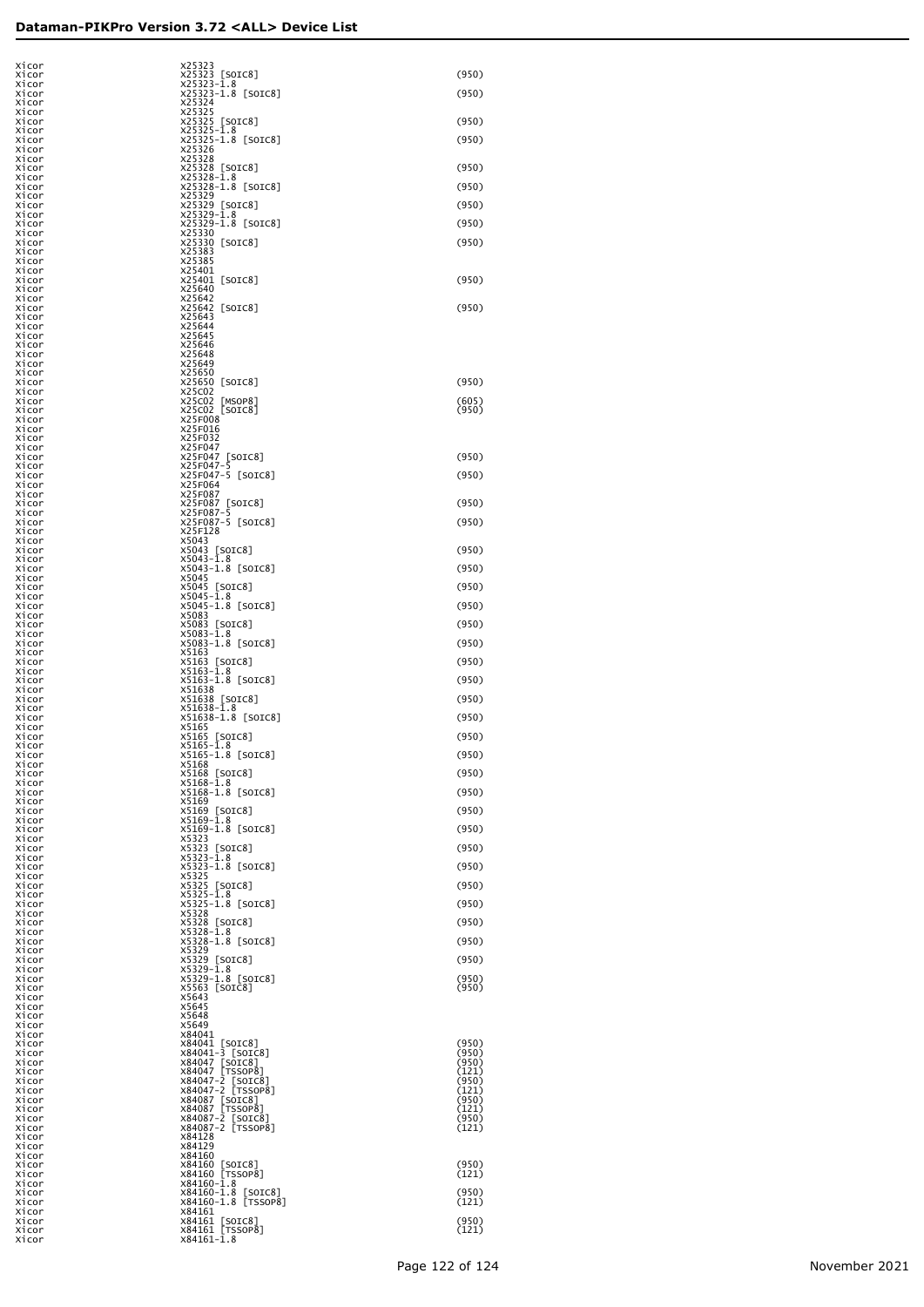| Xicor<br>Xicor | X25323<br>X25323 [SOIC8]                  | (950)          |
|----------------|-------------------------------------------|----------------|
| Xicor<br>Xicor | $X25323 - 1.8$                            | (950)          |
| Xicor          | X25323-1.8 [SOIC8]<br>X25324              |                |
| Xicor<br>Xicor | X25325<br>X25325 [SOIC8]                  | (950)          |
| Xicor          | X25325-1.8                                |                |
| Xicor<br>Xicor | X25325-1.8 [SOIC8]<br>X25326              | (950)          |
| Xicor          | X25328                                    |                |
| Xicor<br>Xicor | X25328 [SOIC8]<br>X25328-1.8              | (950)          |
| Xicor<br>Xicor | X25328-1.8 [SOIC8]<br>X25329              | (950)          |
| Xicor          | X25329 [SOIC8]                            | (950)          |
| Xicor<br>Xicor | X25329-1.8<br>X25329-1.8 [SOIC8]          | (950)          |
| Xicor          | X25330                                    |                |
| Xicor<br>Xicor | X25330 [SOIC8]<br>X25383                  | (950)          |
| Xicor          | X25385<br>X25401                          |                |
| Xicor<br>Xicor | X25401 [SOIC8]                            | (950)          |
| Xicor<br>Xicor | X25640<br>X25642                          |                |
| Xicor          | X25642 [SOIC8]                            | (950)          |
| Xicor<br>Xicor | X25643<br>X25644                          |                |
| Xicor          | X25645<br>X25646                          |                |
| Xicor<br>Xicor | X25648                                    |                |
| Xicor<br>Xicor | X25649<br>X25650                          |                |
| Xicor          | X25650 [SOIC8]                            | (950)          |
| Xicor<br>Xicor | X25C02<br>X25C02 [MSOP8]                  | (605)          |
| Xicor<br>Xicor | X25C02 [SOIC8]<br>X25F008                 | (950)          |
| Xicor          | X25F016                                   |                |
| Xicor<br>Xicor | X25F032<br>X25F047                        |                |
| Xicor          | X25F047 [SOIC8]                           | (950)          |
| Xicor<br>Xicor | X25F047-5<br>X25F047-5 [SOIC8]            | (950)          |
| Xicor<br>Xicor | X25F064<br>X25F087                        |                |
| Xicor          | X25F087 [SOIC8]                           | (950)          |
| Xicor<br>Xicor | X25F087-5<br>X25F087-5 [SOIC8]            | (950)          |
| Xicor<br>Xicor | X25F128<br>X5043                          |                |
| Xicor          | X5043 [SOIC8]                             | (950)          |
| Xicor<br>Xicor | $x5043 - 1.8$<br>X5043-1.8 [SOIC8]        | (950)          |
| Xicor<br>Xicor | X5045<br>X5045 [SOIC8]                    | (950)          |
| Xicor          | $x5045 - 1.8$                             |                |
| Xicor<br>Xicor | X5045-1.8 [SOIC8]<br>X5083                | (950)          |
| Xicor<br>Xicor | X5083 [SOIC8]<br>$x5083 - 1.8$            | (950)          |
| Xicor          | X5083-1.8 [SOIC8]                         | (950)          |
| Xicor<br>Xicor | X5163<br>X5163 [SOIC8]                    | (950)          |
| Xicor<br>Xicor | $X5163 - 1.8$<br>X5163-1.8 [SOIC8]        | (950)          |
| Xicor          | X51638                                    |                |
| Xicor<br>Xicor | X51638 [SOIC8]<br>X51638-1.8              | (950)          |
| Xicor<br>Xicor | X51638-1.8 [SOIC8]<br>X5165               | (950)          |
| Xicor<br>Xicor | X5165 [SOIC8]<br>$X5165 - 1.8$            | (950)          |
| Xicor          | $X5165 - 1.8$<br>[SOIC8]                  | (950)          |
| Xicor<br>Xicor | X5168<br>X5168 [SOIC8]                    | (950)          |
| Xicor<br>Xicor | $x5168 - 1.8$<br>X5168-1.8 [SOIC8]        | (950)          |
| Xicor          | X5169                                     | (950)          |
| Xicor<br>Xicor | X5169 [SOIC8]<br>$x5169-1.8$              |                |
| Xicor<br>Xicor | X5169-1.8 [SOIC8]<br>X5323                | (950)          |
| Xicor<br>Xicor | X5323 [SOIC8]<br>$X5323 - 1.8$            | (950)          |
| Xicor          | X5323-1.8 [SOIC8]                         | (950)          |
| Xicor<br>Xicor | X5325<br>X5325 [SOIC8]                    | (950)          |
| Xicor<br>Xicor | $X5325 - 1.8$<br>X5325-1.8 [SOIC8]        | (950)          |
| Xicor          | X5328                                     |                |
| Xicor<br>Xicor | X5328 [SOIC8]<br>X5328-1.8                | (950)          |
| Xicor<br>Xicor | X5328-1.8 [SOIC8]<br>X5329                | (950)          |
| Xicor          | X5329 [SOIC8]                             | (950)          |
| Xicor<br>Xicor | X5329-1.8<br>X5329-1.8 [SOIC8]            | (950)          |
| Xicor<br>Xicor | X5563 [SOIC8]<br>X5643                    | (950)          |
| Xicor          | X5645                                     |                |
| Xicor<br>Xicor | X5648<br>X5649                            |                |
| Xicor<br>Xicor | X84041<br>X84041 [SOIC8]                  | (950)          |
| Xicor          | X84041-3 [SOIC8]                          | (950)          |
| Xicor<br>Xicor | X84047 [SOIC8]<br>X84047 [TSSOP8]         | (950)<br>(121) |
| Xicor<br>Xicor | X84047-2 [SOIC8]<br>X84047-2 [TSSOP8]     | (950)<br>(121) |
| Xicor          | X84087 [SOIC8]<br>X84087 [TSSOP8]         | (950)          |
| Xicor<br>Xicor | X84087-2 [SOIC8]                          | (121)<br>(950) |
| Xicor<br>Xicor | X84087-2 [TSSOP8]<br>X84128               | (121)          |
| Xicor          | X84129                                    |                |
| Xicor<br>Xicor | X84160<br>X84160 [SOIC8]                  | (950)          |
| Xicor<br>Xicor | X84160 [TSSOP8]<br>X84160-1.8             | (121)          |
| Xicor          | X84160-1.8 [SOIC8]<br>X84160-1.8 [TSSOP8] | (950)          |
| Xicor<br>Xicor | X84161                                    | (121)          |
| Xicor<br>Xicor | X84161 [SOIC8]<br>X84161 [TSSOP8]         | (950)<br>(121) |
| Xicor          | X84161-1.8                                |                |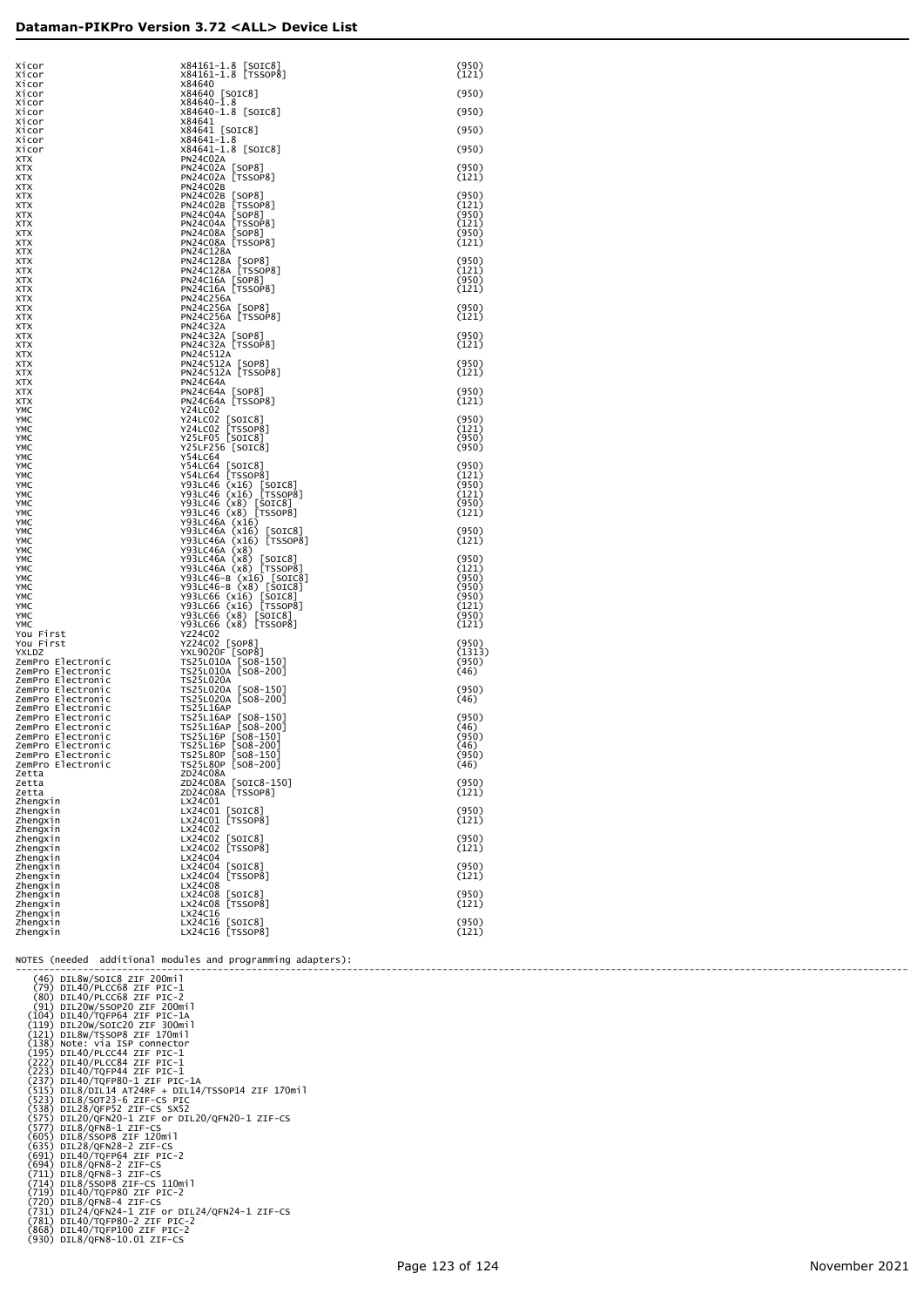| Xicor<br>Xicor                         | X84161-1.8 [SOIC8]<br>X84161-1.8 [TSSOP8]                                                                                                                                      | (950)<br>(121)  |
|----------------------------------------|--------------------------------------------------------------------------------------------------------------------------------------------------------------------------------|-----------------|
| Xicor                                  | X84640                                                                                                                                                                         |                 |
| Xicor<br>Xicor                         | X84640 [SOIC8]<br>$x84640 - \bar{1}.8$                                                                                                                                         | (950)           |
| Xicor                                  | X84640-1.8 [SOIC8]                                                                                                                                                             | (950)           |
| Xicor<br>Xicor                         | X84641<br>X84641 [SOIC8]                                                                                                                                                       | (950)           |
| Xicor                                  | $x84641 - \bar{1}.8$                                                                                                                                                           |                 |
| Xicor<br>XTX                           | X84641-1.8 [SOIC8]<br>PN24C02A                                                                                                                                                 | (950)           |
| XTX<br>XTX                             | PN24C02A [SOP8]<br>PN24C02A [TSSOP8]                                                                                                                                           | (950)<br>(121)  |
| XTX                                    | PN24C02B                                                                                                                                                                       |                 |
| XTX<br>XTX                             | PN24C02B [SOP8]<br>PN24C02B [TSSOP8]                                                                                                                                           | (950)<br>(121)  |
| XTX                                    | PN24C04A [SOP8]<br>PN24C04A [TSSOP8]                                                                                                                                           | (950)<br>(121)  |
| XTX<br>XTX                             | PN24C08A [SOP8]                                                                                                                                                                | (950)           |
| XTX<br>XTX                             | PN24C08A [TSSOP8]<br>PN24C128A                                                                                                                                                 | (121)           |
| XTX                                    | PN24C128A [SOP8]<br>PN24C128A [TSSOP8]<br>PN24C16A [SOP8]<br>PN24C16A [TSSOP8]                                                                                                 | (950)           |
| XTX<br>XTX                             |                                                                                                                                                                                | (121)<br>(950)  |
| XTX<br>XTX                             | PN24C256A                                                                                                                                                                      | (121)           |
| XTX                                    | PN24C256A [SOP8]                                                                                                                                                               | (950)           |
| XTX<br>XTX                             | PN24C256A [TSSOP8]<br>PN24C32A                                                                                                                                                 | (121)           |
| XTX<br>XTX                             | PN24C32A [SOP8]<br>PN24C32A [TSSOP8]                                                                                                                                           | (950)<br>(121)  |
| XTX                                    | PN24C512A                                                                                                                                                                      |                 |
| XTX<br>XTX                             | PN24C512A [SOP8]<br>PN24C512A [TSSOP8]                                                                                                                                         | (950)<br>(121)  |
| XTX<br>XTX                             | PN24C64A                                                                                                                                                                       | (950)           |
| XTX                                    | PN24C64A [SOP8]<br>PN24C64A [TSSOP8]                                                                                                                                           | (121)           |
| YMC<br>YMC                             | Y24LC02                                                                                                                                                                        | (950)           |
| YMC<br>YMC                             | Y24LC02 [SOIC8]<br>Y24LC02 [TSSOP8]<br>Y25LF05 [SOIC8]                                                                                                                         | (121)<br>(950)  |
| YMC                                    | Y25LF256 [SOIC8]                                                                                                                                                               | (950)           |
| YMC<br>YMC                             | Y54LC64                                                                                                                                                                        | (950)           |
| YMC<br>YMC                             | Y54LC64 [SOIC8]<br>Y54LC64 [TSSOP8]                                                                                                                                            | (121)<br>(950)  |
| YMC                                    |                                                                                                                                                                                | (121)           |
| YMC<br>YMC                             | V93LC46 (x16) [SOIC8]<br>Y93LC46 (x16) [TSSOP8]<br>Y93LC46 (x8) [SOIC8]<br>Y93LC46 (x8) [TSSOP8]                                                                               | (950)<br>(121)  |
| YMC<br>YMC                             | Y93LC46A (x16)<br>Y93LC46A (x16)                                                                                                                                               | (950)           |
| YMC                                    | Y93LC46A (x16) [SOIC8]<br>Y93LC46A (x16) [TSSOP8]                                                                                                                              | (121)           |
| YMC<br>YMC                             | Y93LC46A (x8)                                                                                                                                                                  | (950)           |
| YMC<br>YMC                             | Y93LC46A (x8) [SOIC8]<br>Y93LC46A (x8) [TSSOP8]                                                                                                                                | (121)<br>(950)  |
| YMC                                    |                                                                                                                                                                                | (950)           |
| YMC<br>YMC                             |                                                                                                                                                                                | (950)<br>(121)  |
| YMC<br>YMC                             | V93LC46-B (x16) [SOIC8]<br>Y93LC46-B (x8) [SOIC8]<br>Y93LC66 (x16) [SOIC8]<br>Y93LC66 (x16) [TSSOP8]<br>Y93LC66 (x8) [SOIC8]<br>Y93LC66 (x8) [SOIC8],<br>Y93LC66 (x8) [TSSOP8] | (950)           |
| You First                              | YZ24C02                                                                                                                                                                        | (121)           |
| You First<br>YXLDZ                     | YZ24C02 [SOP8]<br>YXL9020F [SOP8]                                                                                                                                              | (950)<br>(1313) |
| ZemPro Electronic<br>ZemPro Electronic | TS25L010A [SO8-150]<br>TS25L010A [SO8-200]                                                                                                                                     | (950)<br>(46)   |
| ZemPro Electronic                      | TS25L020A                                                                                                                                                                      |                 |
| ZemPro Electronic<br>ZemPro Electronic | TS25L020A [SO8-150]<br>TS25L020A [SO8-200]                                                                                                                                     | (950)<br>(46)   |
| ZemPro Electronic<br>ZemPro Electronic | <b>TS25L16AP</b><br>TS25L16AP [SO8-150]                                                                                                                                        | (950)           |
| ZemPro Electronic<br>ZemPro Electronic | TS25L16AP [SO8-200]<br>TS25L16P [SO8-150]                                                                                                                                      | (46)<br>(950)   |
| ZemPro Electronic                      | TS25L16P 508-200                                                                                                                                                               | (46)            |
| ZemPro Electronic<br>ZemPro Electronic | TS25L80P [SO8-150]<br>TS25L80P [SO8-200]                                                                                                                                       | (950)<br>(46)   |
| Zetta<br>Zetta                         | ZD24C08A                                                                                                                                                                       | (950)           |
| Zetta                                  | ZD24C08A [SOIC8-150]<br>ZD24C08A [TSSOP8]                                                                                                                                      | (121)           |
| Zhengxin<br>Zhengxin                   | LX24C01<br>LX24CO1 [SOIC8]<br>LX24CO1 [TSSOP8]                                                                                                                                 | (950)           |
| Zhengxin<br>Zhengxin                   | LX24C02                                                                                                                                                                        | (121)           |
| Zhengxin<br>Zhengxin                   | LX24C02 [SOIC8]<br>LX24C02 [TSSOP8]                                                                                                                                            | (950)<br>(121)  |
| Zhengxin                               | LX24C04                                                                                                                                                                        |                 |
| Zhengxin<br>Zhengxin                   | LX24C04 [SOIC8]<br>LX24C04 [TSSOP8]                                                                                                                                            | (950)<br>(121)  |
| Zhengxin<br>Zhengxin                   | LX24C08<br>[SOIC8]<br>LX24C08                                                                                                                                                  | (950)           |
| Zhengxin                               | LX24C08 [TSSOP8]                                                                                                                                                               | (121)           |
| Zhengxin<br>Zhengxin                   | LX24C16<br>LX24C16<br>[SOIC8]                                                                                                                                                  | (950)           |
| Zhengxin                               | LX24C16 [TSSOP8]                                                                                                                                                               | (121)           |

NOTES (needed additional modules and programming adapters):

(10) DILA()<br>
(30) DILA()/RCCCR 2IF PIO-1<br>
(30) DILA()/RCCCR 2IF PIO-1<br>
(31) DIL2()/VSCCR 2IF PIO-1<br>
(31) DIL2()/VSCCR 2IF PIO-1<br>
(112) DILA()/VSCCR 2IF PIO-1<br>
(112) DILA()/VSCCR 2IF PIO-1<br>
(123) DILA()/VSCCR 2IF PIC-1<br>
(1